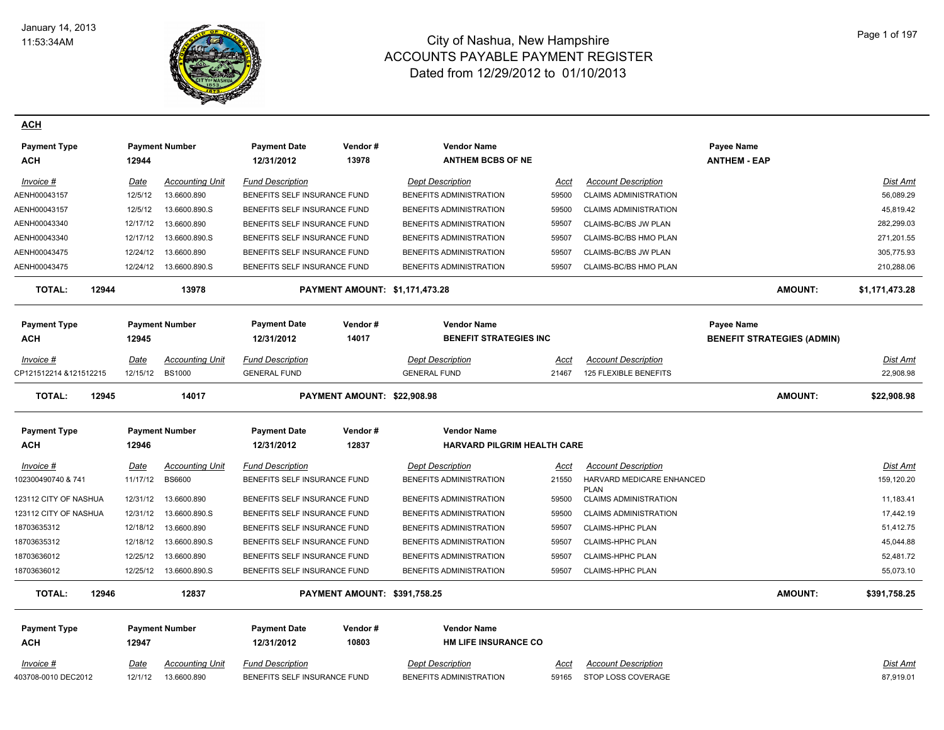

**ACH**

| <b>Payment Type</b><br><b>ACH</b>   | 12944                   | <b>Payment Number</b>                   | <b>Payment Date</b><br>12/31/2012              | Vendor#<br>13978                    | <b>Vendor Name</b><br><b>ANTHEM BCBS OF NE</b> |               |                                                     | Payee Name<br><b>ANTHEM - EAP</b> |                       |
|-------------------------------------|-------------------------|-----------------------------------------|------------------------------------------------|-------------------------------------|------------------------------------------------|---------------|-----------------------------------------------------|-----------------------------------|-----------------------|
| Invoice #                           | Date                    | <b>Accounting Unit</b>                  | <b>Fund Description</b>                        |                                     | <b>Dept Description</b>                        | <u>Acct</u>   | <b>Account Description</b>                          |                                   | Dist Amt              |
| AENH00043157                        | 12/5/12                 | 13.6600.890                             | BENEFITS SELF INSURANCE FUND                   |                                     | BENEFITS ADMINISTRATION                        | 59500         | <b>CLAIMS ADMINISTRATION</b>                        |                                   | 56,089.29             |
| AENH00043157                        | 12/5/12                 | 13.6600.890.S                           | BENEFITS SELF INSURANCE FUND                   |                                     | BENEFITS ADMINISTRATION                        | 59500         | <b>CLAIMS ADMINISTRATION</b>                        |                                   | 45,819.42             |
| AENH00043340                        | 12/17/12                | 13.6600.890                             | BENEFITS SELF INSURANCE FUND                   |                                     | BENEFITS ADMINISTRATION                        | 59507         | CLAIMS-BC/BS JW PLAN                                |                                   | 282,299.03            |
| AENH00043340                        | 12/17/12                | 13.6600.890.S                           | BENEFITS SELF INSURANCE FUND                   |                                     | BENEFITS ADMINISTRATION                        | 59507         | CLAIMS-BC/BS HMO PLAN                               |                                   | 271,201.55            |
| AENH00043475                        | 12/24/12                | 13.6600.890                             | BENEFITS SELF INSURANCE FUND                   |                                     | BENEFITS ADMINISTRATION                        | 59507         | CLAIMS-BC/BS JW PLAN                                |                                   | 305,775.93            |
| AENH00043475                        | 12/24/12                | 13.6600.890.S                           | BENEFITS SELF INSURANCE FUND                   |                                     | BENEFITS ADMINISTRATION                        | 59507         | CLAIMS-BC/BS HMO PLAN                               |                                   | 210,288.06            |
| <b>TOTAL:</b><br>12944              |                         | 13978                                   |                                                | PAYMENT AMOUNT: \$1,171,473.28      |                                                |               |                                                     | <b>AMOUNT:</b>                    | \$1,171,473.28        |
| <b>Payment Type</b>                 |                         | <b>Payment Number</b>                   | <b>Payment Date</b>                            | Vendor#                             | <b>Vendor Name</b>                             |               |                                                     | Payee Name                        |                       |
| ACH                                 | 12945                   |                                         | 12/31/2012                                     | 14017                               | <b>BENEFIT STRATEGIES INC</b>                  |               |                                                     | <b>BENEFIT STRATEGIES (ADMIN)</b> |                       |
| Invoice #<br>CP121512214 &121512215 | <u>Date</u><br>12/15/12 | <b>Accounting Unit</b><br><b>BS1000</b> | <b>Fund Description</b><br><b>GENERAL FUND</b> |                                     | <b>Dept Description</b><br><b>GENERAL FUND</b> | Acct<br>21467 | <b>Account Description</b><br>125 FLEXIBLE BENEFITS |                                   | Dist Amt<br>22,908.98 |
| <b>TOTAL:</b><br>12945              |                         | 14017                                   |                                                | PAYMENT AMOUNT: \$22,908.98         |                                                |               |                                                     | AMOUNT:                           | \$22,908.98           |
| <b>Payment Type</b>                 |                         | <b>Payment Number</b>                   | Payment Date                                   | Vendor #                            | <b>Vendor Name</b>                             |               |                                                     |                                   |                       |
| <b>ACH</b>                          | 12946                   |                                         | 12/31/2012                                     | 12837                               | <b>HARVARD PILGRIM HEALTH CARE</b>             |               |                                                     |                                   |                       |
| Invoice #                           | Date                    | <b>Accounting Unit</b>                  | <b>Fund Description</b>                        |                                     | <b>Dept Description</b>                        | Acct          | <b>Account Description</b>                          |                                   | Dist Amt              |
| 102300490740 & 741                  | 11/17/12                | <b>BS6600</b>                           | BENEFITS SELF INSURANCE FUND                   |                                     | BENEFITS ADMINISTRATION                        | 21550         | HARVARD MEDICARE ENHANCED<br><b>PLAN</b>            |                                   | 159,120.20            |
| 123112 CITY OF NASHUA               | 12/31/12                | 13.6600.890                             | BENEFITS SELF INSURANCE FUND                   |                                     | BENEFITS ADMINISTRATION                        | 59500         | <b>CLAIMS ADMINISTRATION</b>                        |                                   | 11,183.41             |
| 123112 CITY OF NASHUA               | 12/31/12                | 13.6600.890.S                           | BENEFITS SELF INSURANCE FUND                   |                                     | BENEFITS ADMINISTRATION                        | 59500         | <b>CLAIMS ADMINISTRATION</b>                        |                                   | 17,442.19             |
| 18703635312                         | 12/18/12                | 13.6600.890                             | BENEFITS SELF INSURANCE FUND                   |                                     | BENEFITS ADMINISTRATION                        | 59507         | <b>CLAIMS-HPHC PLAN</b>                             |                                   | 51,412.75             |
| 18703635312                         | 12/18/12                | 13.6600.890.S                           | BENEFITS SELF INSURANCE FUND                   |                                     | BENEFITS ADMINISTRATION                        | 59507         | CLAIMS-HPHC PLAN                                    |                                   | 45,044.88             |
| 18703636012                         | 12/25/12                | 13.6600.890                             | BENEFITS SELF INSURANCE FUND                   |                                     | BENEFITS ADMINISTRATION                        | 59507         | CLAIMS-HPHC PLAN                                    |                                   | 52,481.72             |
| 18703636012                         |                         | 12/25/12  13.6600.890.S                 | BENEFITS SELF INSURANCE FUND                   |                                     | BENEFITS ADMINISTRATION                        | 59507         | CLAIMS-HPHC PLAN                                    |                                   | 55,073.10             |
| <b>TOTAL:</b><br>12946              |                         | 12837                                   |                                                | <b>PAYMENT AMOUNT: \$391,758.25</b> |                                                |               |                                                     | <b>AMOUNT:</b>                    | \$391,758.25          |
| <b>Payment Type</b>                 |                         | <b>Payment Number</b>                   | <b>Payment Date</b>                            | Vendor#                             | <b>Vendor Name</b>                             |               |                                                     |                                   |                       |
| ACH                                 | 12947                   |                                         | 12/31/2012                                     | 10803                               | <b>HM LIFE INSURANCE CO</b>                    |               |                                                     |                                   |                       |
| Invoice #                           | Date                    | <b>Accounting Unit</b>                  | <b>Fund Description</b>                        |                                     | <b>Dept Description</b>                        | <u>Acct</u>   | <b>Account Description</b>                          |                                   | Dist Amt              |

403708-0010 DEC2012 12/1/12 13.6600.890 BENEFITS SELF INSURANCE FUND BENEFITS ADMINISTRATION 59165 STOP LOSS COVERAGE 87,919.01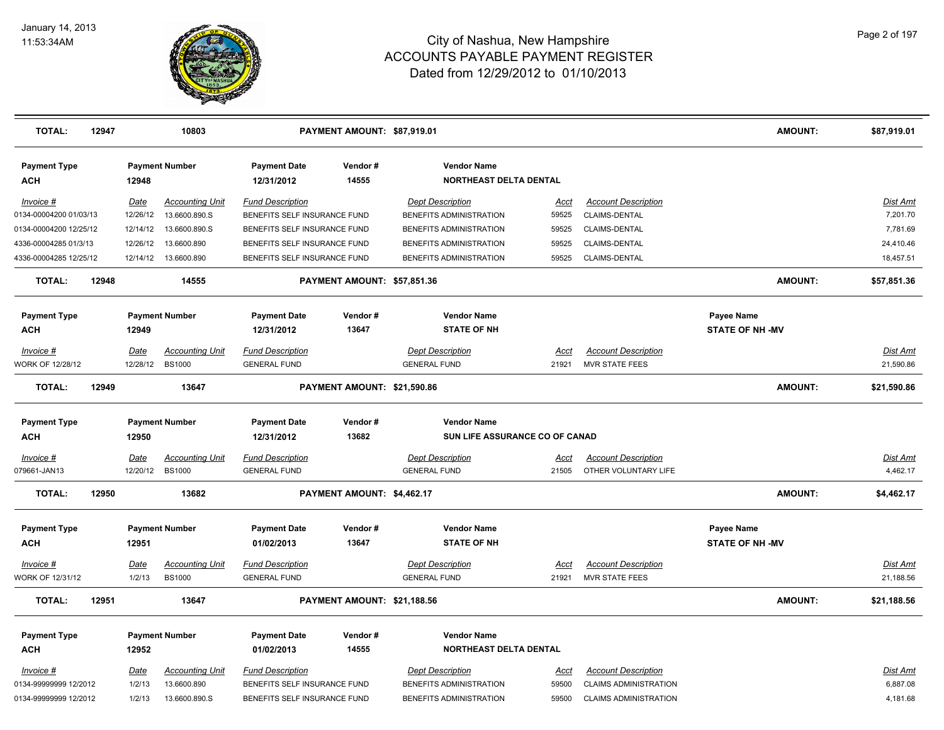

| <b>TOTAL:</b>                     | 12947 |             | 10803                  |                                   | PAYMENT AMOUNT: \$87,919.01 |                                              |             |                              | <b>AMOUNT:</b>         | \$87,919.01     |
|-----------------------------------|-------|-------------|------------------------|-----------------------------------|-----------------------------|----------------------------------------------|-------------|------------------------------|------------------------|-----------------|
| <b>Payment Type</b><br><b>ACH</b> |       | 12948       | <b>Payment Number</b>  | <b>Payment Date</b><br>12/31/2012 | Vendor#<br>14555            | <b>Vendor Name</b><br>NORTHEAST DELTA DENTAL |             |                              |                        |                 |
| Invoice #                         |       | Date        | <b>Accounting Unit</b> | <b>Fund Description</b>           |                             | <b>Dept Description</b>                      | <u>Acct</u> | <b>Account Description</b>   |                        | Dist Amt        |
| 0134-00004200 01/03/13            |       | 12/26/12    | 13.6600.890.S          | BENEFITS SELF INSURANCE FUND      |                             | BENEFITS ADMINISTRATION                      | 59525       | CLAIMS-DENTAL                |                        | 7,201.70        |
| 0134-00004200 12/25/12            |       | 12/14/12    | 13.6600.890.S          | BENEFITS SELF INSURANCE FUND      |                             | BENEFITS ADMINISTRATION                      | 59525       | CLAIMS-DENTAL                |                        | 7,781.69        |
| 4336-00004285 01/3/13             |       | 12/26/12    | 13.6600.890            | BENEFITS SELF INSURANCE FUND      |                             | BENEFITS ADMINISTRATION                      | 59525       | CLAIMS-DENTAL                |                        | 24,410.46       |
| 4336-00004285 12/25/12            |       | 12/14/12    | 13.6600.890            | BENEFITS SELF INSURANCE FUND      |                             | BENEFITS ADMINISTRATION                      | 59525       | CLAIMS-DENTAL                |                        | 18,457.51       |
| <b>TOTAL:</b>                     | 12948 |             | 14555                  |                                   | PAYMENT AMOUNT: \$57,851.36 |                                              |             |                              | <b>AMOUNT:</b>         | \$57,851.36     |
| <b>Payment Type</b>               |       |             | <b>Payment Number</b>  | <b>Payment Date</b>               | Vendor#                     | <b>Vendor Name</b>                           |             |                              | Payee Name             |                 |
| <b>ACH</b>                        |       | 12949       |                        | 12/31/2012                        | 13647                       | <b>STATE OF NH</b>                           |             |                              | <b>STATE OF NH-MV</b>  |                 |
| Invoice #                         |       | Date        | <b>Accounting Unit</b> | <b>Fund Description</b>           |                             | <b>Dept Description</b>                      | Acct        | <b>Account Description</b>   |                        | Dist Amt        |
| <b>NORK OF 12/28/12</b>           |       | 12/28/12    | <b>BS1000</b>          | <b>GENERAL FUND</b>               |                             | <b>GENERAL FUND</b>                          | 21921       | MVR STATE FEES               |                        | 21,590.86       |
| <b>TOTAL:</b>                     | 12949 |             | 13647                  |                                   | PAYMENT AMOUNT: \$21,590.86 |                                              |             |                              | <b>AMOUNT:</b>         | \$21,590.86     |
| <b>Payment Type</b>               |       |             | <b>Payment Number</b>  | <b>Payment Date</b>               | Vendor#                     | <b>Vendor Name</b>                           |             |                              |                        |                 |
| <b>ACH</b>                        |       | 12950       |                        | 12/31/2012                        | 13682                       | SUN LIFE ASSURANCE CO OF CANAD               |             |                              |                        |                 |
| Invoice #                         |       | <b>Date</b> | <b>Accounting Unit</b> | <b>Fund Description</b>           |                             | <b>Dept Description</b>                      | <u>Acct</u> | <b>Account Description</b>   |                        | <u>Dist Amt</u> |
| 079661-JAN13                      |       | 12/20/12    | <b>BS1000</b>          | <b>GENERAL FUND</b>               |                             | <b>GENERAL FUND</b>                          | 21505       | OTHER VOLUNTARY LIFE         |                        | 4,462.17        |
| <b>TOTAL:</b>                     | 12950 |             | 13682                  |                                   | PAYMENT AMOUNT: \$4,462.17  |                                              |             |                              | <b>AMOUNT:</b>         | \$4,462.17      |
| <b>Payment Type</b>               |       |             | <b>Payment Number</b>  | <b>Payment Date</b>               | Vendor#                     | <b>Vendor Name</b>                           |             |                              | Payee Name             |                 |
| <b>ACH</b>                        |       | 12951       |                        | 01/02/2013                        | 13647                       | <b>STATE OF NH</b>                           |             |                              | <b>STATE OF NH -MV</b> |                 |
| Invoice #                         |       | Date        | <b>Accounting Unit</b> | <b>Fund Description</b>           |                             | <b>Dept Description</b>                      | Acct        | <b>Account Description</b>   |                        | Dist Amt        |
| <b>NORK OF 12/31/12</b>           |       | 1/2/13      | <b>BS1000</b>          | <b>GENERAL FUND</b>               |                             | <b>GENERAL FUND</b>                          | 21921       | <b>MVR STATE FEES</b>        |                        | 21,188.56       |
| <b>TOTAL:</b>                     | 12951 |             | 13647                  |                                   | PAYMENT AMOUNT: \$21,188.56 |                                              |             |                              | <b>AMOUNT:</b>         | \$21,188.56     |
|                                   |       |             |                        |                                   |                             |                                              |             |                              |                        |                 |
| <b>Payment Type</b>               |       |             | <b>Payment Number</b>  | <b>Payment Date</b>               | Vendor#                     | <b>Vendor Name</b>                           |             |                              |                        |                 |
| <b>ACH</b>                        |       | 12952       |                        | 01/02/2013                        | 14555                       | <b>NORTHEAST DELTA DENTAL</b>                |             |                              |                        |                 |
| Invoice #                         |       | <u>Date</u> | <b>Accounting Unit</b> | <b>Fund Description</b>           |                             | <b>Dept Description</b>                      | Acct        | <b>Account Description</b>   |                        | Dist Amt        |
| 0134-99999999 12/2012             |       | 1/2/13      | 13.6600.890            | BENEFITS SELF INSURANCE FUND      |                             | BENEFITS ADMINISTRATION                      | 59500       | <b>CLAIMS ADMINISTRATION</b> |                        | 6,887.08        |
| 0134-99999999 12/2012             |       | 1/2/13      | 13.6600.890.S          | BENEFITS SELF INSURANCE FUND      |                             | BENEFITS ADMINISTRATION                      | 59500       | <b>CLAIMS ADMINISTRATION</b> |                        | 4,181.68        |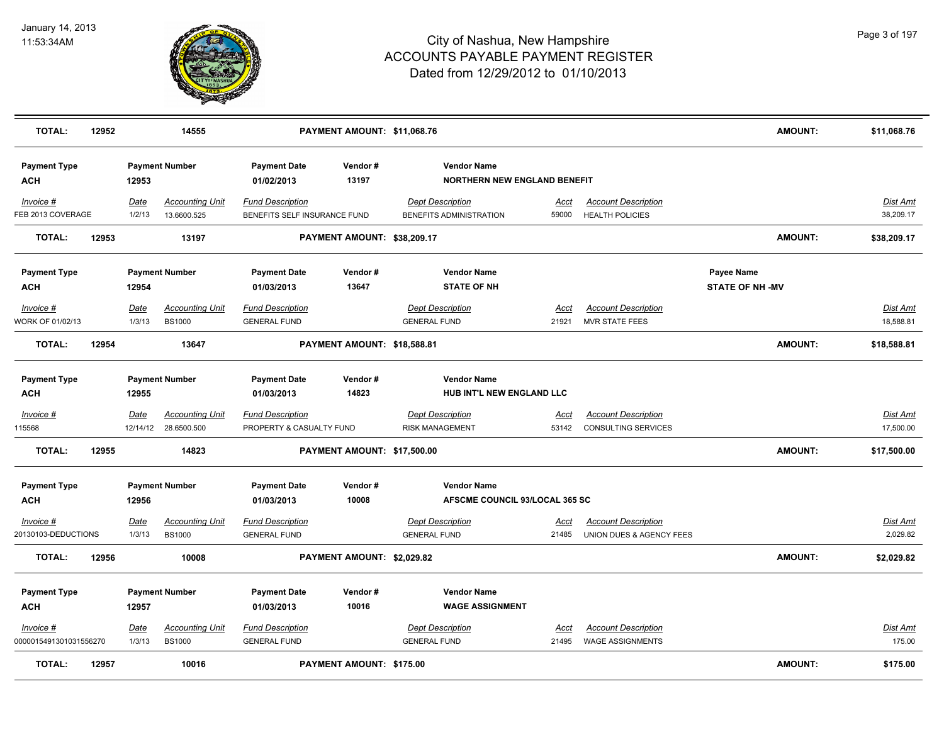

| <b>TOTAL:</b>                       | 12952 |                         | 14555                                   |                                                         | PAYMENT AMOUNT: \$11,068.76 |                                                           |                      |                                                          | <b>AMOUNT:</b>                       | \$11,068.76                  |
|-------------------------------------|-------|-------------------------|-----------------------------------------|---------------------------------------------------------|-----------------------------|-----------------------------------------------------------|----------------------|----------------------------------------------------------|--------------------------------------|------------------------------|
| <b>Payment Type</b><br><b>ACH</b>   |       | 12953                   | <b>Payment Number</b>                   | <b>Payment Date</b><br>01/02/2013                       | Vendor#<br>13197            | <b>Vendor Name</b><br><b>NORTHERN NEW ENGLAND BENEFIT</b> |                      |                                                          |                                      |                              |
| Invoice #<br>FEB 2013 COVERAGE      |       | Date<br>1/2/13          | <b>Accounting Unit</b><br>13.6600.525   | <b>Fund Description</b><br>BENEFITS SELF INSURANCE FUND |                             | <b>Dept Description</b><br>BENEFITS ADMINISTRATION        | <u>Acct</u><br>59000 | <b>Account Description</b><br><b>HEALTH POLICIES</b>     |                                      | Dist Amt<br>38,209.17        |
| <b>TOTAL:</b>                       | 12953 |                         | 13197                                   |                                                         | PAYMENT AMOUNT: \$38,209.17 |                                                           |                      |                                                          | <b>AMOUNT:</b>                       | \$38,209.17                  |
| <b>Payment Type</b><br><b>ACH</b>   |       | 12954                   | <b>Payment Number</b>                   | <b>Payment Date</b><br>01/03/2013                       | Vendor#<br>13647            | <b>Vendor Name</b><br><b>STATE OF NH</b>                  |                      |                                                          | Payee Name<br><b>STATE OF NH -MV</b> |                              |
| Invoice #<br>WORK OF 01/02/13       |       | Date<br>1/3/13          | <b>Accounting Unit</b><br><b>BS1000</b> | <b>Fund Description</b><br><b>GENERAL FUND</b>          |                             | <b>Dept Description</b><br><b>GENERAL FUND</b>            | Acct<br>21921        | <b>Account Description</b><br><b>MVR STATE FEES</b>      |                                      | Dist Amt<br>18,588.81        |
| <b>TOTAL:</b>                       | 12954 |                         | 13647                                   |                                                         | PAYMENT AMOUNT: \$18,588.81 |                                                           |                      |                                                          | <b>AMOUNT:</b>                       | \$18,588.81                  |
| <b>Payment Type</b><br><b>ACH</b>   |       | 12955                   | <b>Payment Number</b>                   | <b>Payment Date</b><br>01/03/2013                       | Vendor#<br>14823            | <b>Vendor Name</b><br>HUB INT'L NEW ENGLAND LLC           |                      |                                                          |                                      |                              |
| $Invoice$ #<br>115568               |       | <u>Date</u><br>12/14/12 | <b>Accounting Unit</b><br>28.6500.500   | <b>Fund Description</b><br>PROPERTY & CASUALTY FUND     |                             | <b>Dept Description</b><br><b>RISK MANAGEMENT</b>         | <u>Acct</u><br>53142 | <b>Account Description</b><br><b>CONSULTING SERVICES</b> |                                      | <b>Dist Amt</b><br>17,500.00 |
| <b>TOTAL:</b>                       | 12955 |                         | 14823                                   |                                                         | PAYMENT AMOUNT: \$17,500.00 |                                                           |                      |                                                          | <b>AMOUNT:</b>                       | \$17,500.00                  |
| <b>Payment Type</b><br><b>ACH</b>   |       | 12956                   | <b>Payment Number</b>                   | <b>Payment Date</b><br>01/03/2013                       | Vendor#<br>10008            | <b>Vendor Name</b><br>AFSCME COUNCIL 93/LOCAL 365 SC      |                      |                                                          |                                      |                              |
| Invoice #<br>20130103-DEDUCTIONS    |       | <u>Date</u><br>1/3/13   | <b>Accounting Unit</b><br><b>BS1000</b> | <b>Fund Description</b><br><b>GENERAL FUND</b>          |                             | <b>Dept Description</b><br><b>GENERAL FUND</b>            | <u>Acct</u><br>21485 | <b>Account Description</b><br>UNION DUES & AGENCY FEES   |                                      | <u>Dist Amt</u><br>2,029.82  |
| <b>TOTAL:</b>                       | 12956 |                         | 10008                                   |                                                         | PAYMENT AMOUNT: \$2,029.82  |                                                           |                      |                                                          | <b>AMOUNT:</b>                       | \$2,029.82                   |
| <b>Payment Type</b><br><b>ACH</b>   |       | 12957                   | <b>Payment Number</b>                   | <b>Payment Date</b><br>01/03/2013                       | Vendor#<br>10016            | <b>Vendor Name</b><br><b>WAGE ASSIGNMENT</b>              |                      |                                                          |                                      |                              |
| Invoice #<br>0000015491301031556270 |       | Date<br>1/3/13          | <b>Accounting Unit</b><br><b>BS1000</b> | <b>Fund Description</b><br><b>GENERAL FUND</b>          |                             | <b>Dept Description</b><br><b>GENERAL FUND</b>            | Acct<br>21495        | <b>Account Description</b><br><b>WAGE ASSIGNMENTS</b>    |                                      | Dist Amt<br>175.00           |
| <b>TOTAL:</b>                       | 12957 |                         | 10016                                   |                                                         | PAYMENT AMOUNT: \$175.00    |                                                           |                      |                                                          | <b>AMOUNT:</b>                       | \$175.00                     |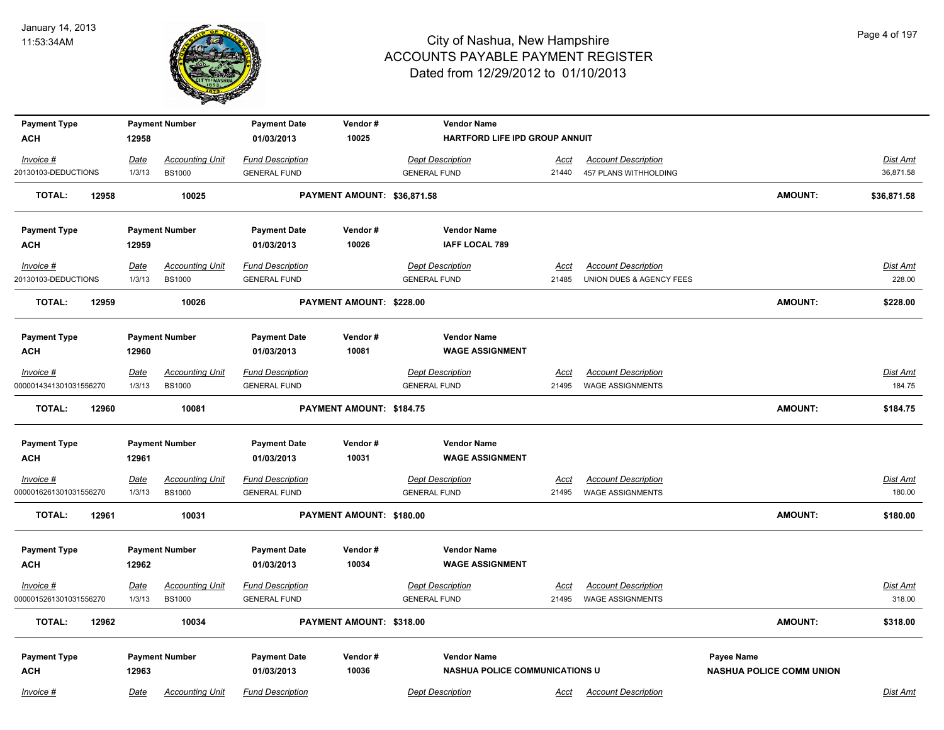

| <b>Payment Type</b>    |             | <b>Payment Number</b>  | <b>Payment Date</b>     | Vendor#                     | <b>Vendor Name</b>                    |             |                             |                                 |                 |
|------------------------|-------------|------------------------|-------------------------|-----------------------------|---------------------------------------|-------------|-----------------------------|---------------------------------|-----------------|
| <b>ACH</b>             | 12958       |                        | 01/03/2013              | 10025                       | HARTFORD LIFE IPD GROUP ANNUIT        |             |                             |                                 |                 |
| Invoice #              | Date        | <b>Accounting Unit</b> | <b>Fund Description</b> |                             | <b>Dept Description</b>               | Acct        | <b>Account Description</b>  |                                 | Dist Amt        |
| 20130103-DEDUCTIONS    | 1/3/13      | <b>BS1000</b>          | <b>GENERAL FUND</b>     |                             | <b>GENERAL FUND</b>                   |             | 21440 457 PLANS WITHHOLDING |                                 | 36,871.58       |
| <b>TOTAL:</b><br>12958 |             | 10025                  |                         | PAYMENT AMOUNT: \$36,871.58 |                                       |             |                             | <b>AMOUNT:</b>                  | \$36,871.58     |
| <b>Payment Type</b>    |             | <b>Payment Number</b>  | <b>Payment Date</b>     | Vendor#                     | <b>Vendor Name</b>                    |             |                             |                                 |                 |
| <b>ACH</b>             | 12959       |                        | 01/03/2013              | 10026                       | <b>IAFF LOCAL 789</b>                 |             |                             |                                 |                 |
| Invoice #              | Date        | <b>Accounting Unit</b> | <b>Fund Description</b> |                             | <b>Dept Description</b>               | Acct        | <b>Account Description</b>  |                                 | <b>Dist Amt</b> |
| 20130103-DEDUCTIONS    | 1/3/13      | <b>BS1000</b>          | <b>GENERAL FUND</b>     |                             | <b>GENERAL FUND</b>                   | 21485       | UNION DUES & AGENCY FEES    |                                 | 228.00          |
| 12959<br><b>TOTAL:</b> |             | 10026                  |                         | PAYMENT AMOUNT: \$228.00    |                                       |             |                             | <b>AMOUNT:</b>                  | \$228.00        |
| <b>Payment Type</b>    |             | <b>Payment Number</b>  | <b>Payment Date</b>     | Vendor#                     | <b>Vendor Name</b>                    |             |                             |                                 |                 |
| <b>ACH</b>             | 12960       |                        | 01/03/2013              | 10081                       | <b>WAGE ASSIGNMENT</b>                |             |                             |                                 |                 |
| Invoice #              | Date        | <b>Accounting Unit</b> | <b>Fund Description</b> |                             | <b>Dept Description</b>               | Acct        | <b>Account Description</b>  |                                 | Dist Amt        |
| 0000014341301031556270 | 1/3/13      | <b>BS1000</b>          | <b>GENERAL FUND</b>     |                             | <b>GENERAL FUND</b>                   | 21495       | <b>WAGE ASSIGNMENTS</b>     |                                 | 184.75          |
| <b>TOTAL:</b><br>12960 |             | 10081                  |                         | PAYMENT AMOUNT: \$184.75    |                                       |             |                             | <b>AMOUNT:</b>                  | \$184.75        |
| <b>Payment Type</b>    |             | <b>Payment Number</b>  | <b>Payment Date</b>     | Vendor#                     | <b>Vendor Name</b>                    |             |                             |                                 |                 |
| <b>ACH</b>             | 12961       |                        | 01/03/2013              | 10031                       | <b>WAGE ASSIGNMENT</b>                |             |                             |                                 |                 |
| $Invoice$ #            | <u>Date</u> | <b>Accounting Unit</b> | <b>Fund Description</b> |                             | <b>Dept Description</b>               | <u>Acct</u> | <b>Account Description</b>  |                                 | <b>Dist Amt</b> |
| 0000016261301031556270 | 1/3/13      | <b>BS1000</b>          | <b>GENERAL FUND</b>     |                             | <b>GENERAL FUND</b>                   | 21495       | <b>WAGE ASSIGNMENTS</b>     |                                 | 180.00          |
| TOTAL:<br>12961        |             | 10031                  |                         | PAYMENT AMOUNT: \$180.00    |                                       |             |                             | <b>AMOUNT:</b>                  | \$180.00        |
| <b>Payment Type</b>    |             | <b>Payment Number</b>  | <b>Payment Date</b>     | Vendor#                     | <b>Vendor Name</b>                    |             |                             |                                 |                 |
| <b>ACH</b>             | 12962       |                        | 01/03/2013              | 10034                       | <b>WAGE ASSIGNMENT</b>                |             |                             |                                 |                 |
| Invoice #              | <u>Date</u> | <b>Accounting Unit</b> | <b>Fund Description</b> |                             | <b>Dept Description</b>               | Acct        | <b>Account Description</b>  |                                 | Dist Amt        |
| 0000015261301031556270 | 1/3/13      | <b>BS1000</b>          | <b>GENERAL FUND</b>     |                             | <b>GENERAL FUND</b>                   | 21495       | <b>WAGE ASSIGNMENTS</b>     |                                 | 318.00          |
| <b>TOTAL:</b><br>12962 |             | 10034                  |                         | PAYMENT AMOUNT: \$318.00    |                                       |             |                             | AMOUNT:                         | \$318.00        |
| <b>Payment Type</b>    |             | <b>Payment Number</b>  | <b>Payment Date</b>     | Vendor#                     | <b>Vendor Name</b>                    |             |                             | Payee Name                      |                 |
| <b>ACH</b>             | 12963       |                        | 01/03/2013              | 10036                       | <b>NASHUA POLICE COMMUNICATIONS U</b> |             |                             | <b>NASHUA POLICE COMM UNION</b> |                 |
| Invoice #              | Date        | <b>Accounting Unit</b> | <b>Fund Description</b> |                             | <b>Dept Description</b>               | Acct        | <b>Account Description</b>  |                                 | Dist Amt        |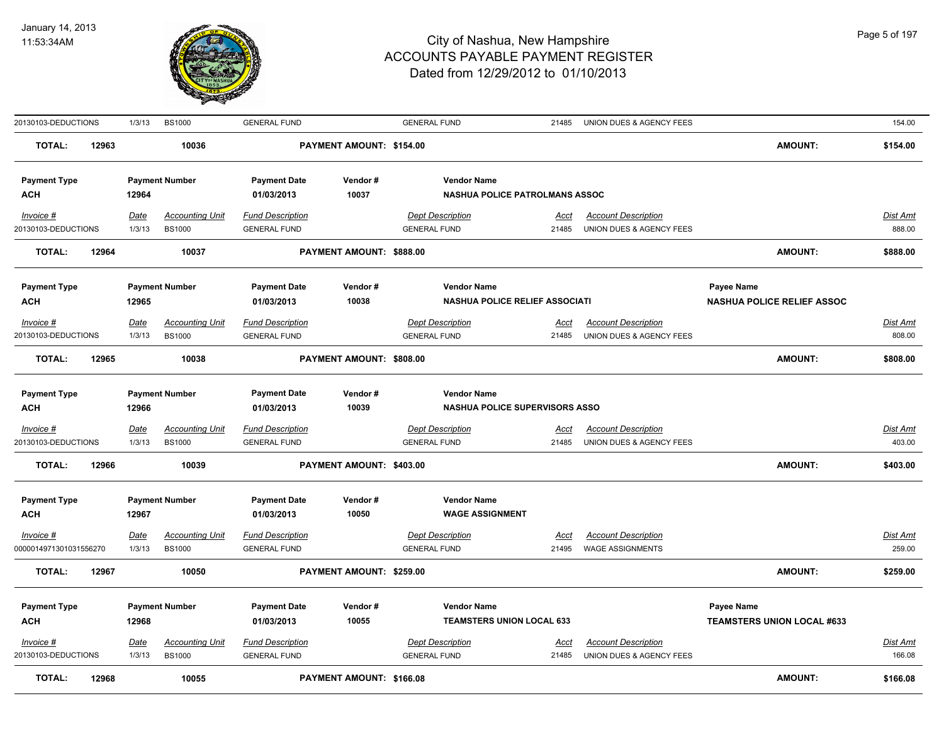

| 20130103-DEDUCTIONS              |       | 1/3/13                | <b>BS1000</b>                           | <b>GENERAL FUND</b>                            |                          | <b>GENERAL FUND</b>                            | 21485                | UNION DUES & AGENCY FEES                               |                                   | 154.00                    |
|----------------------------------|-------|-----------------------|-----------------------------------------|------------------------------------------------|--------------------------|------------------------------------------------|----------------------|--------------------------------------------------------|-----------------------------------|---------------------------|
| <b>TOTAL:</b>                    | 12963 |                       | 10036                                   |                                                | PAYMENT AMOUNT: \$154.00 |                                                |                      |                                                        | <b>AMOUNT:</b>                    | \$154.00                  |
| <b>Payment Type</b>              |       |                       | <b>Payment Number</b>                   | <b>Payment Date</b>                            | Vendor#                  | <b>Vendor Name</b>                             |                      |                                                        |                                   |                           |
| <b>ACH</b>                       |       | 12964                 |                                         | 01/03/2013                                     | 10037                    | NASHUA POLICE PATROLMANS ASSOC                 |                      |                                                        |                                   |                           |
| Invoice #<br>20130103-DEDUCTIONS |       | <b>Date</b><br>1/3/13 | <b>Accounting Unit</b><br><b>BS1000</b> | <b>Fund Description</b><br><b>GENERAL FUND</b> |                          | <b>Dept Description</b><br><b>GENERAL FUND</b> | <u>Acct</u><br>21485 | <b>Account Description</b><br>UNION DUES & AGENCY FEES |                                   | <b>Dist Amt</b><br>888.00 |
| <b>TOTAL:</b>                    | 12964 |                       | 10037                                   |                                                | PAYMENT AMOUNT: \$888.00 |                                                |                      |                                                        | <b>AMOUNT:</b>                    | \$888.00                  |
| <b>Payment Type</b>              |       |                       | <b>Payment Number</b>                   | <b>Payment Date</b>                            | Vendor#                  | <b>Vendor Name</b>                             |                      |                                                        | Payee Name                        |                           |
| <b>ACH</b>                       |       | 12965                 |                                         | 01/03/2013                                     | 10038                    | <b>NASHUA POLICE RELIEF ASSOCIATI</b>          |                      |                                                        | <b>NASHUA POLICE RELIEF ASSOC</b> |                           |
| Invoice #                        |       | <b>Date</b>           | <b>Accounting Unit</b>                  | <b>Fund Description</b>                        |                          | <b>Dept Description</b>                        | Acct                 | <b>Account Description</b>                             |                                   | <b>Dist Amt</b>           |
| 20130103-DEDUCTIONS              |       | 1/3/13                | <b>BS1000</b>                           | <b>GENERAL FUND</b>                            |                          | <b>GENERAL FUND</b>                            | 21485                | UNION DUES & AGENCY FEES                               |                                   | 808.00                    |
| <b>TOTAL:</b>                    | 12965 |                       | 10038                                   |                                                | PAYMENT AMOUNT: \$808.00 |                                                |                      |                                                        | <b>AMOUNT:</b>                    | \$808.00                  |
| <b>Payment Type</b>              |       |                       | <b>Payment Number</b>                   | <b>Payment Date</b>                            | Vendor#                  | <b>Vendor Name</b>                             |                      |                                                        |                                   |                           |
| <b>ACH</b>                       |       | 12966                 |                                         | 01/03/2013                                     | 10039                    | <b>NASHUA POLICE SUPERVISORS ASSO</b>          |                      |                                                        |                                   |                           |
| $Invoice$ #                      |       | <u>Date</u>           | <b>Accounting Unit</b>                  | <b>Fund Description</b>                        |                          | <b>Dept Description</b>                        | <u>Acct</u>          | <b>Account Description</b>                             |                                   | <b>Dist Amt</b>           |
| 20130103-DEDUCTIONS              |       | 1/3/13                | <b>BS1000</b>                           | <b>GENERAL FUND</b>                            |                          | <b>GENERAL FUND</b>                            | 21485                | UNION DUES & AGENCY FEES                               |                                   | 403.00                    |
| <b>TOTAL:</b>                    | 12966 |                       | 10039                                   |                                                | PAYMENT AMOUNT: \$403.00 |                                                |                      |                                                        | <b>AMOUNT:</b>                    | \$403.00                  |
| <b>Payment Type</b>              |       |                       | <b>Payment Number</b>                   | <b>Payment Date</b>                            | Vendor#                  | <b>Vendor Name</b>                             |                      |                                                        |                                   |                           |
| <b>ACH</b>                       |       | 12967                 |                                         | 01/03/2013                                     | 10050                    | <b>WAGE ASSIGNMENT</b>                         |                      |                                                        |                                   |                           |
| Invoice #                        |       | <u>Date</u>           | <b>Accounting Unit</b>                  | <b>Fund Description</b>                        |                          | <b>Dept Description</b>                        | <u>Acct</u>          | <b>Account Description</b>                             |                                   | <b>Dist Amt</b>           |
| 0000014971301031556270           |       | 1/3/13                | <b>BS1000</b>                           | <b>GENERAL FUND</b>                            |                          | <b>GENERAL FUND</b>                            | 21495                | <b>WAGE ASSIGNMENTS</b>                                |                                   | 259.00                    |
| <b>TOTAL:</b>                    | 12967 |                       | 10050                                   |                                                | PAYMENT AMOUNT: \$259.00 |                                                |                      |                                                        | <b>AMOUNT:</b>                    | \$259.00                  |
| <b>Payment Type</b>              |       |                       | <b>Payment Number</b>                   | <b>Payment Date</b>                            | Vendor#                  | <b>Vendor Name</b>                             |                      |                                                        | Payee Name                        |                           |
| <b>ACH</b>                       |       | 12968                 |                                         | 01/03/2013                                     | 10055                    | <b>TEAMSTERS UNION LOCAL 633</b>               |                      |                                                        | <b>TEAMSTERS UNION LOCAL #633</b> |                           |
| Invoice #<br>20130103-DEDUCTIONS |       | <u>Date</u><br>1/3/13 | <b>Accounting Unit</b><br><b>BS1000</b> | <b>Fund Description</b><br><b>GENERAL FUND</b> |                          | <b>Dept Description</b><br><b>GENERAL FUND</b> | <u>Acct</u><br>21485 | <b>Account Description</b><br>UNION DUES & AGENCY FEES |                                   | <u>Dist Amt</u><br>166.08 |
|                                  |       |                       |                                         |                                                |                          |                                                |                      |                                                        |                                   |                           |
| <b>TOTAL:</b>                    | 12968 |                       | 10055                                   |                                                | PAYMENT AMOUNT: \$166.08 |                                                |                      |                                                        | <b>AMOUNT:</b>                    | \$166.08                  |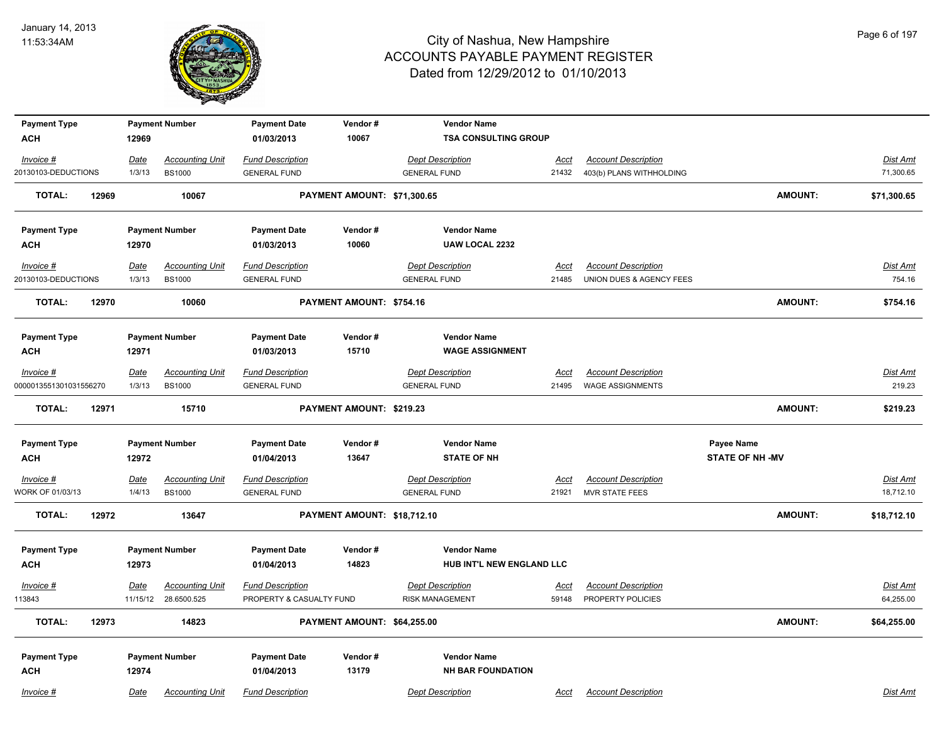

| <b>Payment Type</b>    |       |             | <b>Payment Number</b>  | <b>Payment Date</b>      | Vendor#                     | <b>Vendor Name</b>          |             |                            |                        |                 |
|------------------------|-------|-------------|------------------------|--------------------------|-----------------------------|-----------------------------|-------------|----------------------------|------------------------|-----------------|
| <b>ACH</b>             |       | 12969       |                        | 01/03/2013               | 10067                       | <b>TSA CONSULTING GROUP</b> |             |                            |                        |                 |
| Invoice #              |       | Date        | <b>Accounting Unit</b> | <b>Fund Description</b>  |                             | <b>Dept Description</b>     | <u>Acct</u> | <b>Account Description</b> |                        | Dist Amt        |
| 20130103-DEDUCTIONS    |       | 1/3/13      | <b>BS1000</b>          | <b>GENERAL FUND</b>      |                             | <b>GENERAL FUND</b>         | 21432       | 403(b) PLANS WITHHOLDING   |                        | 71,300.65       |
| <b>TOTAL:</b>          | 12969 |             | 10067                  |                          | PAYMENT AMOUNT: \$71,300.65 |                             |             |                            | <b>AMOUNT:</b>         | \$71,300.65     |
| <b>Payment Type</b>    |       |             | <b>Payment Number</b>  | <b>Payment Date</b>      | Vendor#                     | <b>Vendor Name</b>          |             |                            |                        |                 |
| <b>ACH</b>             |       | 12970       |                        | 01/03/2013               | 10060                       | <b>UAW LOCAL 2232</b>       |             |                            |                        |                 |
| Invoice #              |       | Date        | <b>Accounting Unit</b> | <b>Fund Description</b>  |                             | <b>Dept Description</b>     | Acct        | <b>Account Description</b> |                        | Dist Amt        |
| 20130103-DEDUCTIONS    |       | 1/3/13      | <b>BS1000</b>          | <b>GENERAL FUND</b>      |                             | <b>GENERAL FUND</b>         | 21485       | UNION DUES & AGENCY FEES   |                        | 754.16          |
| <b>TOTAL:</b>          | 12970 |             | 10060                  |                          | PAYMENT AMOUNT: \$754.16    |                             |             |                            | <b>AMOUNT:</b>         | \$754.16        |
| <b>Payment Type</b>    |       |             | <b>Payment Number</b>  | <b>Payment Date</b>      | Vendor#                     | <b>Vendor Name</b>          |             |                            |                        |                 |
| <b>ACH</b>             |       | 12971       |                        | 01/03/2013               | 15710                       | <b>WAGE ASSIGNMENT</b>      |             |                            |                        |                 |
| Invoice #              |       | Date        | <b>Accounting Unit</b> | <b>Fund Description</b>  |                             | <b>Dept Description</b>     | Acct        | <b>Account Description</b> |                        | Dist Amt        |
| 0000013551301031556270 |       | 1/3/13      | <b>BS1000</b>          | <b>GENERAL FUND</b>      |                             | <b>GENERAL FUND</b>         | 21495       | <b>WAGE ASSIGNMENTS</b>    |                        | 219.23          |
| <b>TOTAL:</b>          | 12971 |             | 15710                  |                          | PAYMENT AMOUNT: \$219.23    |                             |             |                            | <b>AMOUNT:</b>         | \$219.23        |
| <b>Payment Type</b>    |       |             | <b>Payment Number</b>  | <b>Payment Date</b>      | Vendor#                     | <b>Vendor Name</b>          |             |                            | <b>Payee Name</b>      |                 |
| <b>ACH</b>             |       | 12972       |                        | 01/04/2013               | 13647                       | <b>STATE OF NH</b>          |             |                            | <b>STATE OF NH -MV</b> |                 |
| $Invoice$ #            |       | <u>Date</u> | <b>Accounting Unit</b> | <b>Fund Description</b>  |                             | <b>Dept Description</b>     | <b>Acct</b> | <b>Account Description</b> |                        | <b>Dist Amt</b> |
| WORK OF 01/03/13       |       | 1/4/13      | <b>BS1000</b>          | <b>GENERAL FUND</b>      |                             | <b>GENERAL FUND</b>         | 21921       | <b>MVR STATE FEES</b>      |                        | 18,712.10       |
| TOTAL:                 | 12972 |             | 13647                  |                          | PAYMENT AMOUNT: \$18,712.10 |                             |             |                            | <b>AMOUNT:</b>         | \$18,712.10     |
| <b>Payment Type</b>    |       |             | <b>Payment Number</b>  | <b>Payment Date</b>      | Vendor#                     | <b>Vendor Name</b>          |             |                            |                        |                 |
| <b>ACH</b>             |       | 12973       |                        | 01/04/2013               | 14823                       | HUB INT'L NEW ENGLAND LLC   |             |                            |                        |                 |
| Invoice #              |       | Date        | <b>Accounting Unit</b> | <b>Fund Description</b>  |                             | <b>Dept Description</b>     | <u>Acct</u> | <b>Account Description</b> |                        | Dist Amt        |
| 113843                 |       | 11/15/12    | 28.6500.525            | PROPERTY & CASUALTY FUND |                             | <b>RISK MANAGEMENT</b>      | 59148       | PROPERTY POLICIES          |                        | 64,255.00       |
| <b>TOTAL:</b>          | 12973 |             | 14823                  |                          | PAYMENT AMOUNT: \$64,255.00 |                             |             |                            | <b>AMOUNT:</b>         | \$64,255.00     |
| <b>Payment Type</b>    |       |             | <b>Payment Number</b>  | <b>Payment Date</b>      | Vendor#                     | <b>Vendor Name</b>          |             |                            |                        |                 |
| <b>ACH</b>             |       | 12974       |                        | 01/04/2013               | 13179                       | <b>NH BAR FOUNDATION</b>    |             |                            |                        |                 |
| Invoice #              |       | Date        | <b>Accounting Unit</b> | <b>Fund Description</b>  |                             | <b>Dept Description</b>     | Acct        | <b>Account Description</b> |                        | Dist Amt        |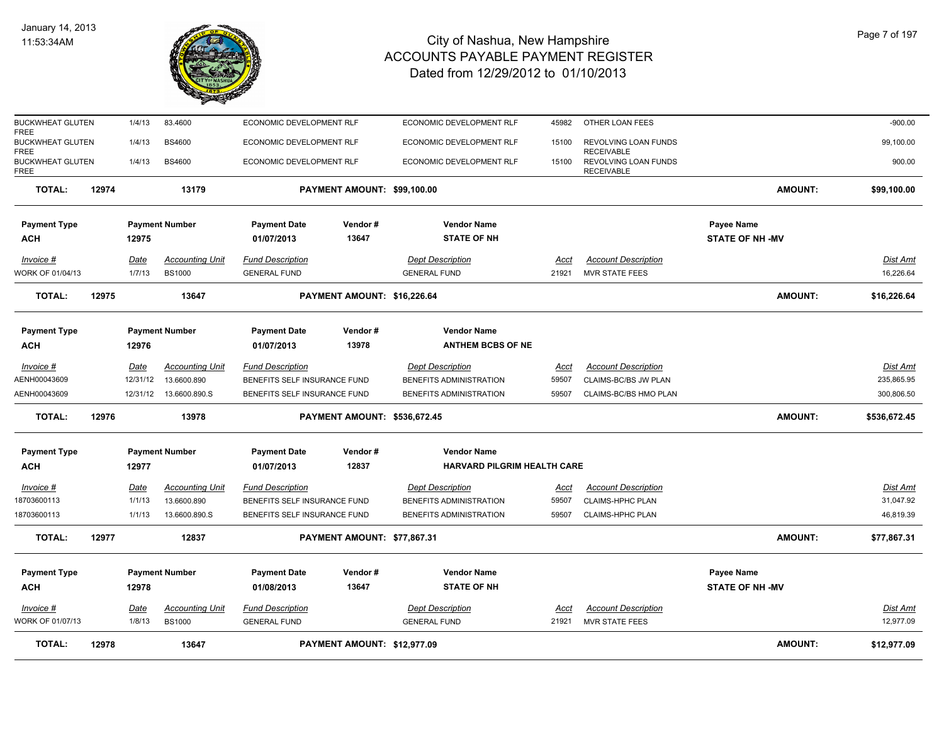

| <b>TOTAL:</b>                                         | 12978 |                       | 13647                                   |                                                         | PAYMENT AMOUNT: \$12,977.09  |                                                          |                      |                                                     | <b>AMOUNT:</b>                       | \$12,977.09                   |
|-------------------------------------------------------|-------|-----------------------|-----------------------------------------|---------------------------------------------------------|------------------------------|----------------------------------------------------------|----------------------|-----------------------------------------------------|--------------------------------------|-------------------------------|
| Invoice #<br>WORK OF 01/07/13                         |       | <b>Date</b><br>1/8/13 | <b>Accounting Unit</b><br><b>BS1000</b> | <b>Fund Description</b><br><b>GENERAL FUND</b>          |                              | <b>Dept Description</b><br><b>GENERAL FUND</b>           | <u>Acct</u><br>21921 | <b>Account Description</b><br><b>MVR STATE FEES</b> |                                      | <u>Dist Amt</u><br>12,977.09  |
| <b>Payment Type</b><br><b>ACH</b>                     |       | 12978                 | <b>Payment Number</b>                   | <b>Payment Date</b><br>01/08/2013                       | Vendor#<br>13647             | <b>Vendor Name</b><br><b>STATE OF NH</b>                 |                      |                                                     | Payee Name<br><b>STATE OF NH -MV</b> |                               |
| <b>TOTAL:</b>                                         | 12977 |                       | 12837                                   |                                                         | PAYMENT AMOUNT: \$77,867.31  |                                                          |                      |                                                     | <b>AMOUNT:</b>                       | \$77,867.31                   |
| 18703600113                                           |       | 1/1/13                | 13.6600.890.S                           | BENEFITS SELF INSURANCE FUND                            |                              | BENEFITS ADMINISTRATION                                  | 59507                | <b>CLAIMS-HPHC PLAN</b>                             |                                      | 46,819.39                     |
| 18703600113                                           |       | 1/1/13                | 13.6600.890                             | BENEFITS SELF INSURANCE FUND                            |                              | BENEFITS ADMINISTRATION                                  | 59507                | <b>CLAIMS-HPHC PLAN</b>                             |                                      | 31,047.92                     |
| Invoice #                                             |       | Date                  | <b>Accounting Unit</b>                  | <b>Fund Description</b>                                 |                              | <b>Dept Description</b>                                  | Acct                 | <b>Account Description</b>                          |                                      | Dist Amt                      |
| <b>Payment Type</b><br><b>ACH</b>                     |       | 12977                 | <b>Payment Number</b>                   | <b>Payment Date</b><br>01/07/2013                       | Vendor#<br>12837             | <b>Vendor Name</b><br><b>HARVARD PILGRIM HEALTH CARE</b> |                      |                                                     |                                      |                               |
|                                                       |       |                       |                                         |                                                         |                              |                                                          |                      |                                                     |                                      |                               |
| <b>TOTAL:</b>                                         | 12976 |                       | 13978                                   |                                                         | PAYMENT AMOUNT: \$536,672.45 |                                                          |                      |                                                     | <b>AMOUNT:</b>                       | \$536,672.45                  |
| AENH00043609                                          |       |                       | 12/31/12  13.6600.890.S                 | BENEFITS SELF INSURANCE FUND                            |                              | BENEFITS ADMINISTRATION                                  | 59507                | CLAIMS-BC/BS HMO PLAN                               |                                      | 300,806.50                    |
| $Invoice$ #<br>AENH00043609                           |       | Date<br>12/31/12      | <b>Accounting Unit</b><br>13.6600.890   | <b>Fund Description</b><br>BENEFITS SELF INSURANCE FUND |                              | <b>Dept Description</b><br>BENEFITS ADMINISTRATION       | <u>Acct</u><br>59507 | <b>Account Description</b><br>CLAIMS-BC/BS JW PLAN  |                                      | <b>Dist Amt</b><br>235,865.95 |
| ACH                                                   |       | 12976                 |                                         | 01/07/2013                                              | 13978                        | <b>ANTHEM BCBS OF NE</b>                                 |                      |                                                     |                                      |                               |
| <b>Payment Type</b>                                   |       |                       | <b>Payment Number</b>                   | <b>Payment Date</b>                                     | Vendor#                      | <b>Vendor Name</b>                                       |                      |                                                     |                                      |                               |
| <b>TOTAL:</b>                                         | 12975 |                       | 13647                                   |                                                         | PAYMENT AMOUNT: \$16,226.64  |                                                          |                      |                                                     | <b>AMOUNT:</b>                       | \$16,226.64                   |
| Invoice #<br>VORK OF 01/04/13                         |       | Date<br>1/7/13        | <b>Accounting Unit</b><br><b>BS1000</b> | <b>Fund Description</b><br><b>GENERAL FUND</b>          |                              | <b>Dept Description</b><br><b>GENERAL FUND</b>           | Acct<br>21921        | <b>Account Description</b><br><b>MVR STATE FEES</b> |                                      | Dist Amt<br>16,226.64         |
| <b>ACH</b>                                            |       | 12975                 |                                         | 01/07/2013                                              | 13647                        | <b>STATE OF NH</b>                                       |                      |                                                     | <b>STATE OF NH-MV</b>                |                               |
| <b>Payment Type</b>                                   |       |                       | <b>Payment Number</b>                   | <b>Payment Date</b>                                     | Vendor#                      | <b>Vendor Name</b>                                       |                      |                                                     | Payee Name                           |                               |
| <b>TOTAL:</b>                                         | 12974 |                       | 13179                                   |                                                         | PAYMENT AMOUNT: \$99,100.00  |                                                          |                      |                                                     | <b>AMOUNT:</b>                       | \$99,100.00                   |
| <b>BUCKWHEAT GLUTEN</b><br>FREE                       |       | 1/4/13                | <b>BS4600</b>                           | ECONOMIC DEVELOPMENT RLF                                |                              | ECONOMIC DEVELOPMENT RLF                                 | 15100                | REVOLVING LOAN FUNDS<br><b>RECEIVABLE</b>           |                                      | 900.00                        |
| <b>FREE</b><br><b>BUCKWHEAT GLUTEN</b><br><b>FREE</b> |       | 1/4/13                | <b>BS4600</b>                           | ECONOMIC DEVELOPMENT RLF                                |                              | ECONOMIC DEVELOPMENT RLF                                 | 15100                | REVOLVING LOAN FUNDS<br><b>RECEIVABLE</b>           |                                      | 99,100.00                     |
| <b>BUCKWHEAT GLUTEN</b>                               |       | 1/4/13                | 83.4600                                 | ECONOMIC DEVELOPMENT RLF                                |                              | ECONOMIC DEVELOPMENT RLF                                 | 45982                | OTHER LOAN FEES                                     |                                      | $-900.00$                     |
|                                                       |       |                       |                                         |                                                         |                              |                                                          |                      |                                                     |                                      |                               |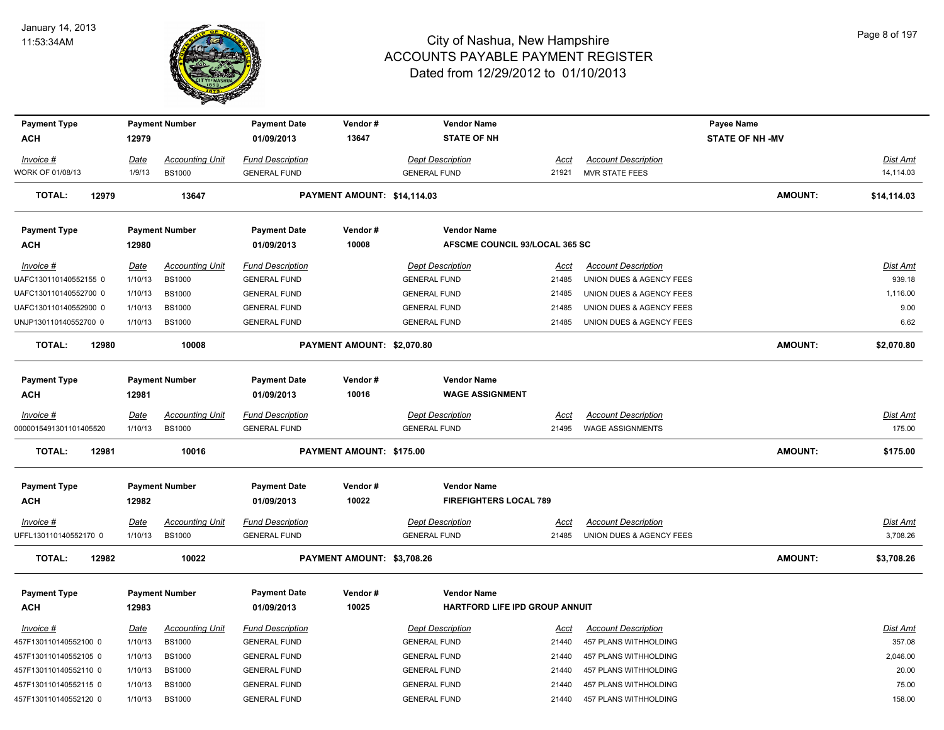

| <b>Payment Type</b>     |       |             | <b>Payment Number</b>  | <b>Payment Date</b>     | Vendor#                     | <b>Vendor Name</b>             |             |                            | Payee Name             |                 |
|-------------------------|-------|-------------|------------------------|-------------------------|-----------------------------|--------------------------------|-------------|----------------------------|------------------------|-----------------|
| <b>ACH</b>              |       | 12979       |                        | 01/09/2013              | 13647                       | <b>STATE OF NH</b>             |             |                            | <b>STATE OF NH -MV</b> |                 |
| Invoice #               |       | <u>Date</u> | <b>Accounting Unit</b> | <b>Fund Description</b> |                             | <b>Dept Description</b>        | <u>Acct</u> | <b>Account Description</b> |                        | Dist Amt        |
| <b>NORK OF 01/08/13</b> |       | 1/9/13      | <b>BS1000</b>          | <b>GENERAL FUND</b>     |                             | <b>GENERAL FUND</b>            | 21921       | <b>MVR STATE FEES</b>      |                        | 14,114.03       |
| <b>TOTAL:</b>           | 12979 |             | 13647                  |                         | PAYMENT AMOUNT: \$14,114.03 |                                |             |                            | <b>AMOUNT:</b>         | \$14,114.03     |
| <b>Payment Type</b>     |       |             | <b>Payment Number</b>  | <b>Payment Date</b>     | Vendor#                     | <b>Vendor Name</b>             |             |                            |                        |                 |
| ACH                     |       | 12980       |                        | 01/09/2013              | 10008                       | AFSCME COUNCIL 93/LOCAL 365 SC |             |                            |                        |                 |
| Invoice #               |       | <u>Date</u> | <b>Accounting Unit</b> | <b>Fund Description</b> |                             | <b>Dept Description</b>        | <u>Acct</u> | <b>Account Description</b> |                        | Dist Amt        |
| UAFC130110140552155 0   |       | 1/10/13     | <b>BS1000</b>          | <b>GENERAL FUND</b>     |                             | <b>GENERAL FUND</b>            | 21485       | UNION DUES & AGENCY FEES   |                        | 939.18          |
| UAFC130110140552700 0   |       | 1/10/13     | <b>BS1000</b>          | <b>GENERAL FUND</b>     |                             | <b>GENERAL FUND</b>            | 21485       | UNION DUES & AGENCY FEES   |                        | 1,116.00        |
| UAFC130110140552900 0   |       | 1/10/13     | <b>BS1000</b>          | <b>GENERAL FUND</b>     |                             | <b>GENERAL FUND</b>            | 21485       | UNION DUES & AGENCY FEES   |                        | 9.00            |
| UNJP130110140552700 0   |       | 1/10/13     | <b>BS1000</b>          | <b>GENERAL FUND</b>     |                             | <b>GENERAL FUND</b>            | 21485       | UNION DUES & AGENCY FEES   |                        | 6.62            |
| <b>TOTAL:</b>           | 12980 |             | 10008                  |                         | PAYMENT AMOUNT: \$2,070.80  |                                |             |                            | <b>AMOUNT:</b>         | \$2,070.80      |
| <b>Payment Type</b>     |       |             | <b>Payment Number</b>  | <b>Payment Date</b>     | Vendor#                     | <b>Vendor Name</b>             |             |                            |                        |                 |
| <b>ACH</b>              |       | 12981       |                        | 01/09/2013              | 10016                       | <b>WAGE ASSIGNMENT</b>         |             |                            |                        |                 |
| Invoice #               |       | <u>Date</u> | <b>Accounting Unit</b> | <b>Fund Description</b> |                             | <b>Dept Description</b>        | Acct        | <b>Account Description</b> |                        | <u>Dist Amt</u> |
| 0000015491301101405520  |       | 1/10/13     | <b>BS1000</b>          | <b>GENERAL FUND</b>     |                             | <b>GENERAL FUND</b>            | 21495       | <b>WAGE ASSIGNMENTS</b>    |                        | 175.00          |
|                         |       |             |                        |                         |                             |                                |             |                            |                        |                 |
| <b>TOTAL:</b>           | 12981 |             | 10016                  |                         | PAYMENT AMOUNT: \$175.00    |                                |             |                            | <b>AMOUNT:</b>         | \$175.00        |
| <b>Payment Type</b>     |       |             | <b>Payment Number</b>  | <b>Payment Date</b>     | Vendor#                     | <b>Vendor Name</b>             |             |                            |                        |                 |
| <b>ACH</b>              |       | 12982       |                        | 01/09/2013              | 10022                       | <b>FIREFIGHTERS LOCAL 789</b>  |             |                            |                        |                 |
| $Invoice$ #             |       | <u>Date</u> | <b>Accounting Unit</b> | <b>Fund Description</b> |                             | <b>Dept Description</b>        | <u>Acct</u> | <b>Account Description</b> |                        | <u>Dist Amt</u> |
| JFFL130110140552170 0   |       | 1/10/13     | <b>BS1000</b>          | <b>GENERAL FUND</b>     |                             | <b>GENERAL FUND</b>            | 21485       | UNION DUES & AGENCY FEES   |                        | 3,708.26        |
| <b>TOTAL:</b>           | 12982 |             | 10022                  |                         | PAYMENT AMOUNT: \$3,708.26  |                                |             |                            | <b>AMOUNT:</b>         | \$3,708.26      |
| <b>Payment Type</b>     |       |             | <b>Payment Number</b>  | <b>Payment Date</b>     | Vendor#                     | <b>Vendor Name</b>             |             |                            |                        |                 |
| <b>ACH</b>              |       | 12983       |                        | 01/09/2013              | 10025                       | HARTFORD LIFE IPD GROUP ANNUIT |             |                            |                        |                 |
| Invoice #               |       | <u>Date</u> | <b>Accounting Unit</b> | <b>Fund Description</b> |                             | <b>Dept Description</b>        | Acct        | <b>Account Description</b> |                        | Dist Amt        |
| 457F130110140552100 0   |       | 1/10/13     | <b>BS1000</b>          | <b>GENERAL FUND</b>     |                             | <b>GENERAL FUND</b>            | 21440       | 457 PLANS WITHHOLDING      |                        | 357.08          |
| 457F130110140552105 0   |       | 1/10/13     | <b>BS1000</b>          | <b>GENERAL FUND</b>     |                             | <b>GENERAL FUND</b>            | 21440       | 457 PLANS WITHHOLDING      |                        | 2,046.00        |
| 457F130110140552110 0   |       | 1/10/13     | <b>BS1000</b>          | <b>GENERAL FUND</b>     |                             | <b>GENERAL FUND</b>            | 21440       | 457 PLANS WITHHOLDING      |                        | 20.00           |
| 457F130110140552115 0   |       | 1/10/13     | <b>BS1000</b>          | <b>GENERAL FUND</b>     |                             | <b>GENERAL FUND</b>            | 21440       | 457 PLANS WITHHOLDING      |                        | 75.00           |
| 457F130110140552120 0   |       | 1/10/13     | <b>BS1000</b>          | <b>GENERAL FUND</b>     |                             | <b>GENERAL FUND</b>            | 21440       | 457 PLANS WITHHOLDING      |                        | 158.00          |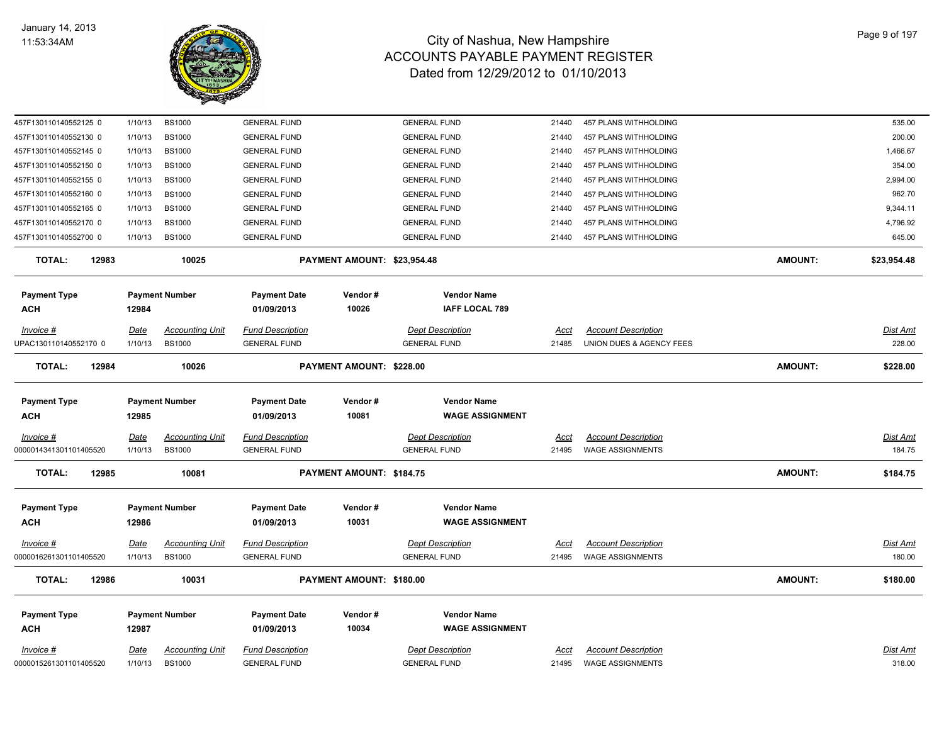

| 457F130110140552125 0               | 1/10/13         | <b>BS1000</b>          | <b>GENERAL FUND</b>     |                                 | <b>GENERAL FUND</b>     | 21440         | 457 PLANS WITHHOLDING                                 |                | 535.00             |
|-------------------------------------|-----------------|------------------------|-------------------------|---------------------------------|-------------------------|---------------|-------------------------------------------------------|----------------|--------------------|
| 457F130110140552130 0               | 1/10/13         | <b>BS1000</b>          | <b>GENERAL FUND</b>     |                                 | <b>GENERAL FUND</b>     | 21440         | 457 PLANS WITHHOLDING                                 |                | 200.00             |
| 457F130110140552145 0               | 1/10/13         | <b>BS1000</b>          | <b>GENERAL FUND</b>     |                                 | <b>GENERAL FUND</b>     | 21440         | 457 PLANS WITHHOLDING                                 |                | 1,466.67           |
| 457F130110140552150 0               | 1/10/13         | <b>BS1000</b>          | <b>GENERAL FUND</b>     |                                 | <b>GENERAL FUND</b>     | 21440         | 457 PLANS WITHHOLDING                                 |                | 354.00             |
| 457F130110140552155 0               | 1/10/13         | <b>BS1000</b>          | <b>GENERAL FUND</b>     |                                 | <b>GENERAL FUND</b>     | 21440         | 457 PLANS WITHHOLDING                                 |                | 2,994.00           |
| 457F130110140552160 0               | 1/10/13         | <b>BS1000</b>          | <b>GENERAL FUND</b>     |                                 | <b>GENERAL FUND</b>     | 21440         | 457 PLANS WITHHOLDING                                 |                | 962.70             |
| 457F130110140552165 0               | 1/10/13         | <b>BS1000</b>          | <b>GENERAL FUND</b>     |                                 | <b>GENERAL FUND</b>     | 21440         | 457 PLANS WITHHOLDING                                 |                | 9,344.11           |
| 457F130110140552170 0               | 1/10/13         | <b>BS1000</b>          | <b>GENERAL FUND</b>     |                                 | <b>GENERAL FUND</b>     | 21440         | 457 PLANS WITHHOLDING                                 |                | 4,796.92           |
| 457F130110140552700 0               | 1/10/13         | <b>BS1000</b>          | <b>GENERAL FUND</b>     |                                 | <b>GENERAL FUND</b>     | 21440         | 457 PLANS WITHHOLDING                                 |                | 645.00             |
| <b>TOTAL:</b><br>12983              |                 | 10025                  |                         | PAYMENT AMOUNT: \$23,954.48     |                         |               |                                                       | <b>AMOUNT:</b> | \$23,954.48        |
| <b>Payment Type</b>                 |                 | <b>Payment Number</b>  | <b>Payment Date</b>     | Vendor#                         | <b>Vendor Name</b>      |               |                                                       |                |                    |
| ACH                                 | 12984           |                        | 01/09/2013              | 10026                           | <b>IAFF LOCAL 789</b>   |               |                                                       |                |                    |
| Invoice #                           | <u>Date</u>     | <b>Accounting Unit</b> | <b>Fund Description</b> |                                 | <b>Dept Description</b> | Acct          | <b>Account Description</b>                            |                | <u>Dist Amt</u>    |
| JPAC130110140552170 0               | 1/10/13         | <b>BS1000</b>          | <b>GENERAL FUND</b>     |                                 | <b>GENERAL FUND</b>     | 21485         | UNION DUES & AGENCY FEES                              |                | 228.00             |
| <b>TOTAL:</b><br>12984              |                 | 10026                  |                         | <b>PAYMENT AMOUNT: \$228.00</b> |                         |               |                                                       | <b>AMOUNT:</b> | \$228.00           |
| <b>Payment Type</b>                 |                 | <b>Payment Number</b>  | <b>Payment Date</b>     | Vendor#                         | <b>Vendor Name</b>      |               |                                                       |                |                    |
| ACH                                 | 12985           |                        | 01/09/2013              | 10081                           | <b>WAGE ASSIGNMENT</b>  |               |                                                       |                |                    |
|                                     |                 |                        |                         |                                 |                         |               |                                                       |                |                    |
| Invoice #                           | Date            | <b>Accounting Unit</b> | <b>Fund Description</b> |                                 | <b>Dept Description</b> | <u>Acct</u>   | <b>Account Description</b>                            |                | Dist Amt<br>184.75 |
| 0000014341301101405520              | 1/10/13         | <b>BS1000</b>          | <b>GENERAL FUND</b>     |                                 | <b>GENERAL FUND</b>     | 21495         | <b>WAGE ASSIGNMENTS</b>                               |                |                    |
| <b>TOTAL:</b><br>12985              |                 | 10081                  |                         | PAYMENT AMOUNT: \$184.75        |                         |               |                                                       | <b>AMOUNT:</b> | \$184.75           |
| <b>Payment Type</b>                 |                 | <b>Payment Number</b>  | <b>Payment Date</b>     | Vendor#                         | <b>Vendor Name</b>      |               |                                                       |                |                    |
| <b>ACH</b>                          | 12986           |                        | 01/09/2013              | 10031                           | <b>WAGE ASSIGNMENT</b>  |               |                                                       |                |                    |
| $Invoice$ #                         | <u>Date</u>     | <u>Accounting Unit</u> | <b>Fund Description</b> |                                 | <b>Dept Description</b> | <u>Acct</u>   | <b>Account Description</b>                            |                | <u>Dist Amt</u>    |
| 0000016261301101405520              | 1/10/13         | <b>BS1000</b>          | <b>GENERAL FUND</b>     |                                 | <b>GENERAL FUND</b>     | 21495         | <b>WAGE ASSIGNMENTS</b>                               |                | 180.00             |
| <b>TOTAL:</b><br>12986              |                 | 10031                  |                         | PAYMENT AMOUNT: \$180.00        |                         |               |                                                       | <b>AMOUNT:</b> | \$180.00           |
| <b>Payment Type</b>                 |                 | <b>Payment Number</b>  | <b>Payment Date</b>     | Vendor#                         | <b>Vendor Name</b>      |               |                                                       |                |                    |
| <b>ACH</b>                          | 12987           |                        | 01/09/2013              | 10034                           | <b>WAGE ASSIGNMENT</b>  |               |                                                       |                |                    |
|                                     |                 |                        |                         |                                 |                         |               |                                                       |                |                    |
| Invoice #<br>0000015261301101405520 | Date<br>1/10/13 | <b>Accounting Unit</b> | <b>Fund Description</b> |                                 | <b>Dept Description</b> | Acct<br>21495 | <b>Account Description</b><br><b>WAGE ASSIGNMENTS</b> |                | Dist Amt<br>318.00 |
|                                     |                 | <b>BS1000</b>          | <b>GENERAL FUND</b>     |                                 | <b>GENERAL FUND</b>     |               |                                                       |                |                    |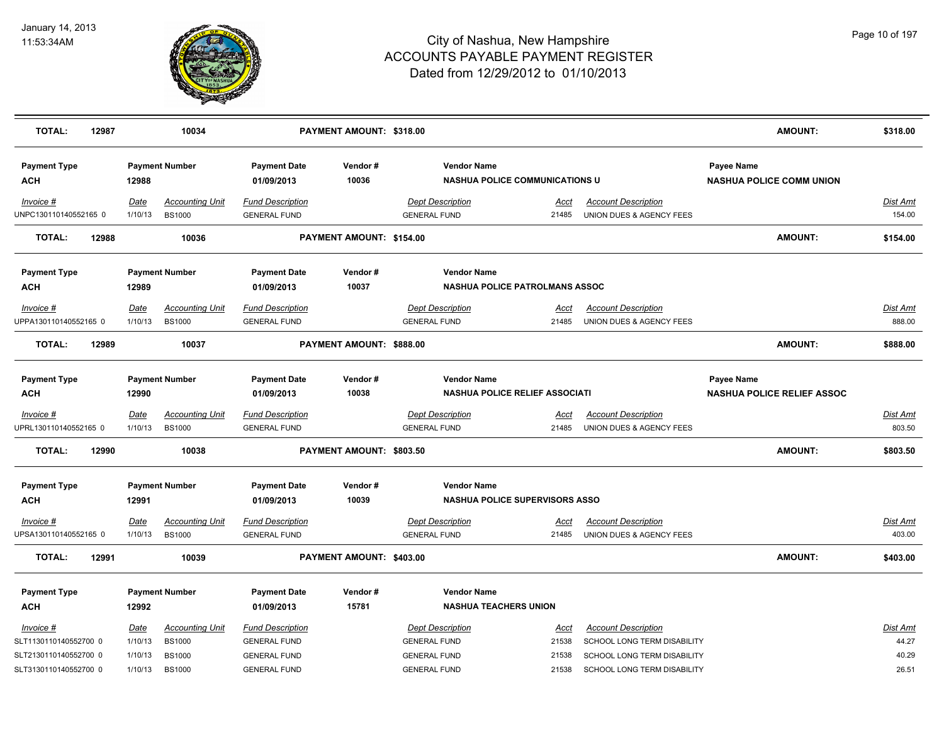

| <b>TOTAL:</b><br>12987                                      |                                   | 10034                                                    |                                                                       | PAYMENT AMOUNT: \$318.00 |                                                                       |                                       |                                                                                          | <b>AMOUNT:</b>                                  | \$318.00                          |
|-------------------------------------------------------------|-----------------------------------|----------------------------------------------------------|-----------------------------------------------------------------------|--------------------------|-----------------------------------------------------------------------|---------------------------------------|------------------------------------------------------------------------------------------|-------------------------------------------------|-----------------------------------|
| <b>Payment Type</b><br>ACH                                  | 12988                             | <b>Payment Number</b>                                    | <b>Payment Date</b><br>01/09/2013                                     | Vendor#<br>10036         | <b>Vendor Name</b>                                                    | <b>NASHUA POLICE COMMUNICATIONS U</b> |                                                                                          | Payee Name<br><b>NASHUA POLICE COMM UNION</b>   |                                   |
| Invoice #<br>JNPC130110140552165 0                          | Date<br>1/10/13                   | <b>Accounting Unit</b><br><b>BS1000</b>                  | <b>Fund Description</b><br><b>GENERAL FUND</b>                        |                          | Dept Description<br><b>GENERAL FUND</b>                               | Acct<br>21485                         | <b>Account Description</b><br>UNION DUES & AGENCY FEES                                   |                                                 | Dist Amt<br>154.00                |
| <b>TOTAL:</b><br>12988                                      |                                   | 10036                                                    |                                                                       | PAYMENT AMOUNT: \$154.00 |                                                                       |                                       |                                                                                          | <b>AMOUNT:</b>                                  | \$154.00                          |
| <b>Payment Type</b><br><b>ACH</b>                           | 12989                             | <b>Payment Number</b>                                    | <b>Payment Date</b><br>01/09/2013                                     | Vendor#<br>10037         | <b>Vendor Name</b>                                                    | <b>NASHUA POLICE PATROLMANS ASSOC</b> |                                                                                          |                                                 |                                   |
| Invoice #<br>JPPA130110140552165 0                          | Date<br>1/10/13                   | <b>Accounting Unit</b><br><b>BS1000</b>                  | <b>Fund Description</b><br><b>GENERAL FUND</b>                        |                          | <b>Dept Description</b><br><b>GENERAL FUND</b>                        | Acct<br>21485                         | <b>Account Description</b><br>UNION DUES & AGENCY FEES                                   |                                                 | <b>Dist Amt</b><br>888.00         |
| <b>TOTAL:</b><br>12989                                      |                                   | 10037                                                    |                                                                       | PAYMENT AMOUNT: \$888.00 |                                                                       |                                       |                                                                                          | <b>AMOUNT:</b>                                  | \$888.00                          |
| <b>Payment Type</b><br><b>ACH</b>                           | 12990                             | <b>Payment Number</b>                                    | <b>Payment Date</b><br>01/09/2013                                     | Vendor#<br>10038         | <b>Vendor Name</b>                                                    | NASHUA POLICE RELIEF ASSOCIATI        |                                                                                          | Payee Name<br><b>NASHUA POLICE RELIEF ASSOC</b> |                                   |
| Invoice #<br>JPRL130110140552165 0                          | Date<br>1/10/13                   | <b>Accounting Unit</b><br><b>BS1000</b>                  | <b>Fund Description</b><br><b>GENERAL FUND</b>                        |                          | <b>Dept Description</b><br><b>GENERAL FUND</b>                        | <u>Acct</u><br>21485                  | <b>Account Description</b><br>UNION DUES & AGENCY FEES                                   |                                                 | <b>Dist Amt</b><br>803.50         |
| <b>TOTAL:</b><br>12990                                      |                                   | 10038                                                    |                                                                       | PAYMENT AMOUNT: \$803.50 |                                                                       |                                       |                                                                                          | <b>AMOUNT:</b>                                  | \$803.50                          |
| <b>Payment Type</b><br><b>ACH</b>                           | 12991                             | <b>Payment Number</b>                                    | <b>Payment Date</b><br>01/09/2013                                     | Vendor#<br>10039         | <b>Vendor Name</b>                                                    | <b>NASHUA POLICE SUPERVISORS ASSO</b> |                                                                                          |                                                 |                                   |
| Invoice #<br>JPSA130110140552165 0                          | Date<br>1/10/13                   | <b>Accounting Unit</b><br><b>BS1000</b>                  | <b>Fund Description</b><br><b>GENERAL FUND</b>                        |                          | <b>Dept Description</b><br><b>GENERAL FUND</b>                        | Acct<br>21485                         | <b>Account Description</b><br>UNION DUES & AGENCY FEES                                   |                                                 | Dist Amt<br>403.00                |
| <b>TOTAL:</b><br>12991                                      |                                   | 10039                                                    |                                                                       | PAYMENT AMOUNT: \$403.00 |                                                                       |                                       |                                                                                          | <b>AMOUNT:</b>                                  | \$403.00                          |
| <b>Payment Type</b><br><b>ACH</b>                           | 12992                             | <b>Payment Number</b>                                    | <b>Payment Date</b><br>01/09/2013                                     | Vendor#<br>15781         | <b>Vendor Name</b><br><b>NASHUA TEACHERS UNION</b>                    |                                       |                                                                                          |                                                 |                                   |
| Invoice #<br>SLT1130110140552700 0<br>SLT2130110140552700 0 | <b>Date</b><br>1/10/13<br>1/10/13 | <b>Accounting Unit</b><br><b>BS1000</b><br><b>BS1000</b> | <b>Fund Description</b><br><b>GENERAL FUND</b><br><b>GENERAL FUND</b> |                          | <b>Dept Description</b><br><b>GENERAL FUND</b><br><b>GENERAL FUND</b> | <u>Acct</u><br>21538<br>21538         | <b>Account Description</b><br>SCHOOL LONG TERM DISABILITY<br>SCHOOL LONG TERM DISABILITY |                                                 | <u>Dist Amt</u><br>44.27<br>40.29 |
| SLT3130110140552700 0                                       | 1/10/13                           | <b>BS1000</b>                                            | <b>GENERAL FUND</b>                                                   |                          | <b>GENERAL FUND</b>                                                   | 21538                                 | SCHOOL LONG TERM DISABILITY                                                              |                                                 | 26.51                             |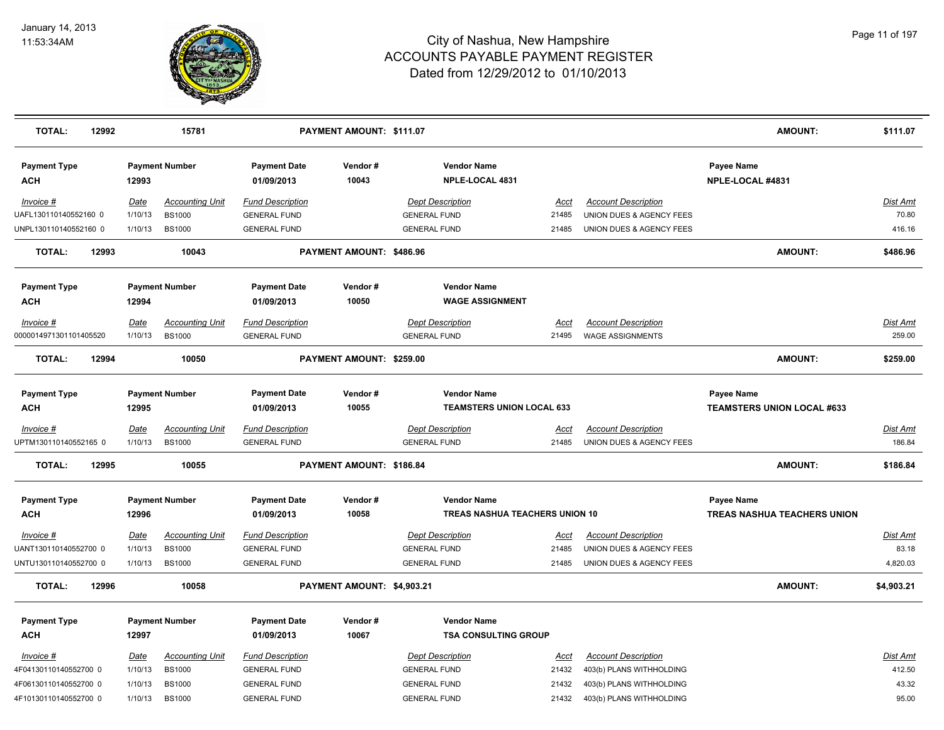

| <b>TOTAL:</b><br>12992                         |                        | 15781                                   |                                                | PAYMENT AMOUNT: \$111.07   |                                                        |                |                                                        | <b>AMOUNT:</b>                                  | \$111.07           |
|------------------------------------------------|------------------------|-----------------------------------------|------------------------------------------------|----------------------------|--------------------------------------------------------|----------------|--------------------------------------------------------|-------------------------------------------------|--------------------|
| <b>Payment Type</b><br><b>ACH</b>              | 12993                  | <b>Payment Number</b>                   | <b>Payment Date</b><br>01/09/2013              | Vendor#<br>10043           | <b>Vendor Name</b><br>NPLE-LOCAL 4831                  |                |                                                        | Payee Name<br>NPLE-LOCAL #4831                  |                    |
| Invoice #<br>UAFL130110140552160 0             | Date<br>1/10/13        | <b>Accounting Unit</b><br><b>BS1000</b> | <b>Fund Description</b><br><b>GENERAL FUND</b> |                            | <b>Dept Description</b><br><b>GENERAL FUND</b>         | Acct<br>21485  | <b>Account Description</b><br>UNION DUES & AGENCY FEES |                                                 | Dist Amt<br>70.80  |
| UNPL130110140552160 0                          | 1/10/13                | <b>BS1000</b>                           | <b>GENERAL FUND</b>                            |                            | <b>GENERAL FUND</b>                                    | 21485          | UNION DUES & AGENCY FEES                               |                                                 | 416.16             |
| <b>TOTAL:</b><br>12993                         |                        | 10043                                   |                                                | PAYMENT AMOUNT: \$486.96   |                                                        |                |                                                        | <b>AMOUNT:</b>                                  | \$486.96           |
| <b>Payment Type</b><br>ACH                     | 12994                  | <b>Payment Number</b>                   | <b>Payment Date</b><br>01/09/2013              | Vendor#<br>10050           | <b>Vendor Name</b><br><b>WAGE ASSIGNMENT</b>           |                |                                                        |                                                 |                    |
| Invoice #<br>0000014971301101405520            | Date<br>1/10/13        | <b>Accounting Unit</b><br><b>BS1000</b> | <b>Fund Description</b><br><b>GENERAL FUND</b> |                            | <b>Dept Description</b><br><b>GENERAL FUND</b>         | Acct<br>21495  | <b>Account Description</b><br><b>WAGE ASSIGNMENTS</b>  |                                                 | Dist Amt<br>259.00 |
| <b>TOTAL:</b><br>12994                         |                        | 10050                                   |                                                | PAYMENT AMOUNT: \$259.00   |                                                        |                |                                                        | <b>AMOUNT:</b>                                  | \$259.00           |
| <b>Payment Type</b><br>ACH                     | 12995                  | <b>Payment Number</b>                   | <b>Payment Date</b><br>01/09/2013              | Vendor#<br>10055           | <b>Vendor Name</b><br><b>TEAMSTERS UNION LOCAL 633</b> |                |                                                        | Payee Name<br><b>TEAMSTERS UNION LOCAL #633</b> |                    |
| Invoice #                                      | <b>Date</b>            | <b>Accounting Unit</b>                  | <b>Fund Description</b>                        |                            | <b>Dept Description</b>                                | Acct           | <b>Account Description</b>                             |                                                 | Dist Amt           |
| UPTM130110140552165 0                          | 1/10/13                | <b>BS1000</b>                           | <b>GENERAL FUND</b>                            |                            | <b>GENERAL FUND</b>                                    | 21485          | UNION DUES & AGENCY FEES                               |                                                 | 186.84             |
| <b>TOTAL:</b><br>12995                         |                        | 10055                                   |                                                | PAYMENT AMOUNT: \$186.84   |                                                        |                |                                                        | <b>AMOUNT:</b>                                  | \$186.84           |
| <b>Payment Type</b>                            |                        | <b>Payment Number</b>                   | <b>Payment Date</b>                            | Vendor#                    | <b>Vendor Name</b>                                     |                |                                                        | Payee Name                                      |                    |
| ACH                                            | 12996                  |                                         | 01/09/2013                                     | 10058                      | <b>TREAS NASHUA TEACHERS UNION 10</b>                  |                |                                                        | <b>TREAS NASHUA TEACHERS UNION</b>              |                    |
| Invoice #<br>UANT130110140552700 0             | <u>Date</u><br>1/10/13 | <b>Accounting Unit</b><br><b>BS1000</b> | <b>Fund Description</b><br><b>GENERAL FUND</b> |                            | <b>Dept Description</b><br><b>GENERAL FUND</b>         | Acct<br>21485  | <b>Account Description</b><br>UNION DUES & AGENCY FEES |                                                 | Dist Amt<br>83.18  |
| UNTU130110140552700 0                          | 1/10/13                | <b>BS1000</b>                           | <b>GENERAL FUND</b>                            |                            | <b>GENERAL FUND</b>                                    | 21485          | UNION DUES & AGENCY FEES                               |                                                 | 4,820.03           |
| <b>TOTAL:</b><br>12996                         |                        | 10058                                   |                                                | PAYMENT AMOUNT: \$4,903.21 |                                                        |                |                                                        | <b>AMOUNT:</b>                                  | \$4,903.21         |
| <b>Payment Type</b><br><b>ACH</b>              | 12997                  | <b>Payment Number</b>                   | <b>Payment Date</b><br>01/09/2013              | Vendor#<br>10067           | <b>Vendor Name</b><br><b>TSA CONSULTING GROUP</b>      |                |                                                        |                                                 |                    |
| Invoice #                                      | <u>Date</u>            | <b>Accounting Unit</b>                  | <b>Fund Description</b>                        |                            | <b>Dept Description</b>                                | <u>Acct</u>    | <b>Account Description</b>                             |                                                 | <u>Dist Amt</u>    |
| 4F04130110140552700 0                          | 1/10/13                | <b>BS1000</b>                           | <b>GENERAL FUND</b>                            |                            | <b>GENERAL FUND</b>                                    | 21432          | 403(b) PLANS WITHHOLDING                               |                                                 | 412.50             |
| 4F06130110140552700 0<br>4F10130110140552700 0 | 1/10/13<br>1/10/13     | <b>BS1000</b><br><b>BS1000</b>          | <b>GENERAL FUND</b><br><b>GENERAL FUND</b>     |                            | <b>GENERAL FUND</b><br><b>GENERAL FUND</b>             | 21432<br>21432 | 403(b) PLANS WITHHOLDING<br>403(b) PLANS WITHHOLDING   |                                                 | 43.32<br>95.00     |
|                                                |                        |                                         |                                                |                            |                                                        |                |                                                        |                                                 |                    |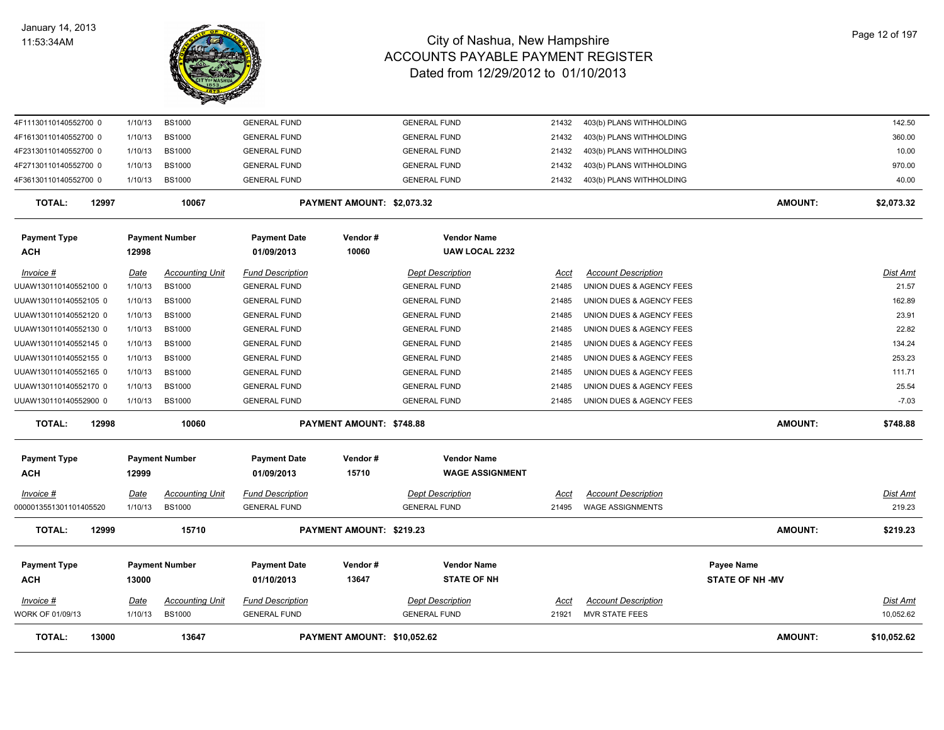

| <b>TOTAL:</b><br>13000              |                        | 13647                                   |                                                | PAYMENT AMOUNT: \$10,052.62 |                                                |                      |                                                        | <b>AMOUNT:</b>                       | \$10,052.62                  |
|-------------------------------------|------------------------|-----------------------------------------|------------------------------------------------|-----------------------------|------------------------------------------------|----------------------|--------------------------------------------------------|--------------------------------------|------------------------------|
| $Invoice$ #<br>VORK OF 01/09/13     | <u>Date</u><br>1/10/13 | <b>Accounting Unit</b><br><b>BS1000</b> | <b>Fund Description</b><br><b>GENERAL FUND</b> |                             | <b>Dept Description</b><br><b>GENERAL FUND</b> | <u>Acct</u><br>21921 | <b>Account Description</b><br><b>MVR STATE FEES</b>    |                                      | <b>Dist Amt</b><br>10,052.62 |
| <b>Payment Type</b><br>ACH          | 13000                  | <b>Payment Number</b>                   | <b>Payment Date</b><br>01/10/2013              | Vendor#<br>13647            | <b>Vendor Name</b><br><b>STATE OF NH</b>       |                      |                                                        | Payee Name<br><b>STATE OF NH -MV</b> |                              |
| <b>TOTAL:</b><br>12999              |                        | 15710                                   |                                                | PAYMENT AMOUNT: \$219.23    |                                                |                      |                                                        | <b>AMOUNT:</b>                       | \$219.23                     |
| Invoice #<br>0000013551301101405520 | Date<br>1/10/13        | <b>Accounting Unit</b><br><b>BS1000</b> | <b>Fund Description</b><br><b>GENERAL FUND</b> |                             | <b>Dept Description</b><br><b>GENERAL FUND</b> | Acct<br>21495        | <b>Account Description</b><br><b>WAGE ASSIGNMENTS</b>  |                                      | Dist Amt<br>219.23           |
| <b>Payment Type</b><br><b>ACH</b>   | 12999                  | <b>Payment Number</b>                   | <b>Payment Date</b><br>01/09/2013              | Vendor#<br>15710            | <b>Vendor Name</b><br><b>WAGE ASSIGNMENT</b>   |                      |                                                        |                                      |                              |
| <b>TOTAL:</b><br>12998              |                        | 10060                                   |                                                | PAYMENT AMOUNT: \$748.88    |                                                |                      |                                                        | <b>AMOUNT:</b>                       | \$748.88                     |
| UUAW130110140552900 0               | 1/10/13                | <b>BS1000</b>                           | <b>GENERAL FUND</b>                            |                             | <b>GENERAL FUND</b>                            | 21485                | UNION DUES & AGENCY FEES                               |                                      | $-7.03$                      |
| UUAW130110140552170 0               | 1/10/13                | <b>BS1000</b>                           | <b>GENERAL FUND</b>                            |                             | <b>GENERAL FUND</b>                            | 21485                | UNION DUES & AGENCY FEES                               |                                      | 25.54                        |
| UUAW130110140552165 0               | 1/10/13                | <b>BS1000</b>                           | <b>GENERAL FUND</b>                            |                             | <b>GENERAL FUND</b>                            | 21485                | UNION DUES & AGENCY FEES                               |                                      | 111.71                       |
| UUAW130110140552155 0               | 1/10/13                | <b>BS1000</b>                           | <b>GENERAL FUND</b>                            |                             | <b>GENERAL FUND</b>                            | 21485                | UNION DUES & AGENCY FEES                               |                                      | 253.23                       |
| UUAW130110140552145 0               | 1/10/13                | <b>BS1000</b>                           | <b>GENERAL FUND</b>                            |                             | <b>GENERAL FUND</b>                            | 21485                | UNION DUES & AGENCY FEES                               |                                      | 134.24                       |
| UUAW130110140552130 0               | 1/10/13                | <b>BS1000</b>                           | <b>GENERAL FUND</b>                            |                             | <b>GENERAL FUND</b>                            | 21485                | UNION DUES & AGENCY FEES                               |                                      | 22.82                        |
| UUAW130110140552120 0               | 1/10/13                | <b>BS1000</b>                           | <b>GENERAL FUND</b>                            |                             | <b>GENERAL FUND</b>                            | 21485                | UNION DUES & AGENCY FEES                               |                                      | 23.91                        |
| UUAW130110140552105 0               | 1/10/13                | <b>BS1000</b>                           | <b>GENERAL FUND</b>                            |                             | <b>GENERAL FUND</b>                            | 21485                | UNION DUES & AGENCY FEES                               |                                      | 162.89                       |
| Invoice #<br>JUAW130110140552100 0  | <u>Date</u><br>1/10/13 | <b>Accounting Unit</b><br><b>BS1000</b> | <b>Fund Description</b><br><b>GENERAL FUND</b> |                             | <b>Dept Description</b><br><b>GENERAL FUND</b> | Acct<br>21485        | <b>Account Description</b><br>UNION DUES & AGENCY FEES |                                      | <b>Dist Amt</b><br>21.57     |
| <b>ACH</b>                          | 12998                  |                                         | 01/09/2013                                     | 10060                       | <b>UAW LOCAL 2232</b>                          |                      |                                                        |                                      |                              |
| <b>Payment Type</b>                 |                        | <b>Payment Number</b>                   | <b>Payment Date</b>                            | Vendor#                     | <b>Vendor Name</b>                             |                      |                                                        |                                      |                              |
| <b>TOTAL:</b><br>12997              |                        | 10067                                   |                                                | PAYMENT AMOUNT: \$2,073.32  |                                                |                      |                                                        | <b>AMOUNT:</b>                       | \$2,073.32                   |
| 4F36130110140552700 0               | 1/10/13                | <b>BS1000</b>                           | <b>GENERAL FUND</b>                            |                             | <b>GENERAL FUND</b>                            | 21432                | 403(b) PLANS WITHHOLDING                               |                                      | 40.00                        |
| 4F27130110140552700 0               | 1/10/13                | <b>BS1000</b>                           | <b>GENERAL FUND</b>                            |                             | <b>GENERAL FUND</b>                            | 21432                | 403(b) PLANS WITHHOLDING                               |                                      | 970.00                       |
| 4F23130110140552700 0               | 1/10/13                | <b>BS1000</b>                           | <b>GENERAL FUND</b>                            |                             | <b>GENERAL FUND</b>                            | 21432                | 403(b) PLANS WITHHOLDING                               |                                      | 10.00                        |
| 4F16130110140552700 0               | 1/10/13                | <b>BS1000</b>                           | <b>GENERAL FUND</b>                            |                             | <b>GENERAL FUND</b>                            | 21432                | 403(b) PLANS WITHHOLDING                               |                                      | 360.00                       |
| 4F11130110140552700 0               | 1/10/13                | <b>BS1000</b>                           | <b>GENERAL FUND</b>                            |                             | <b>GENERAL FUND</b>                            | 21432                | 403(b) PLANS WITHHOLDING                               |                                      | 142.50                       |
|                                     |                        |                                         |                                                |                             |                                                |                      |                                                        |                                      |                              |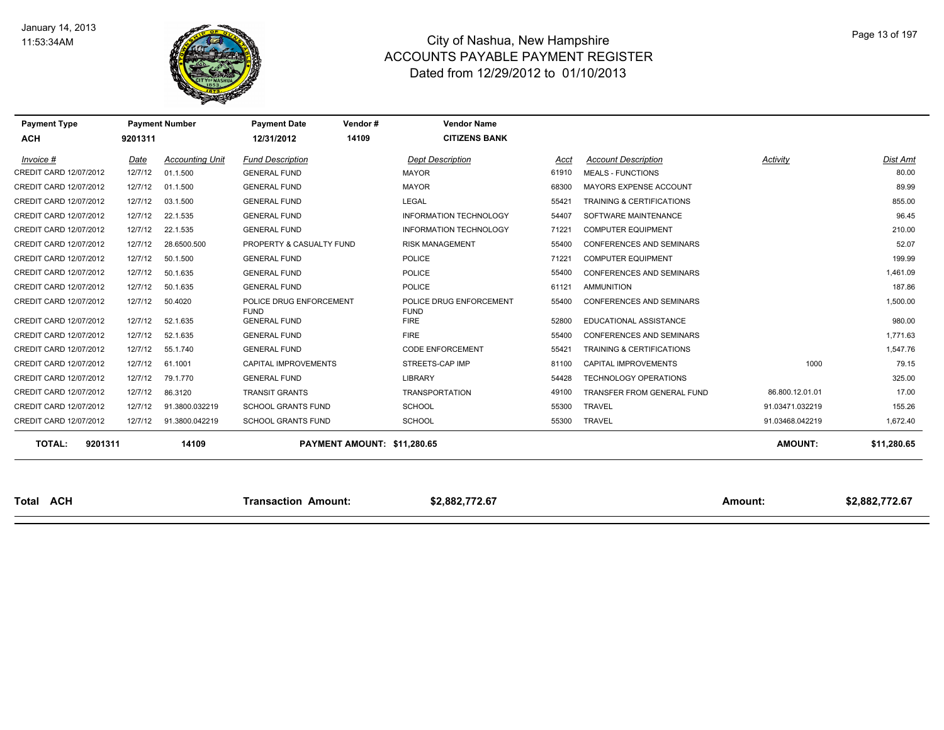

| <b>Payment Type</b>      |         | <b>Payment Number</b>  | <b>Payment Date</b>                    | Vendor#                     | <b>Vendor Name</b>                     |       |                                 |                 |                |
|--------------------------|---------|------------------------|----------------------------------------|-----------------------------|----------------------------------------|-------|---------------------------------|-----------------|----------------|
| <b>ACH</b>               | 9201311 |                        | 12/31/2012                             | 14109                       | <b>CITIZENS BANK</b>                   |       |                                 |                 |                |
| Invoice #                | Date    | <b>Accounting Unit</b> | <b>Fund Description</b>                |                             | <b>Dept Description</b>                | Acct  | <b>Account Description</b>      | Activity        | Dist Amt       |
| CREDIT CARD 12/07/2012   | 12/7/12 | 01.1.500               | <b>GENERAL FUND</b>                    |                             | <b>MAYOR</b>                           | 61910 | <b>MEALS - FUNCTIONS</b>        |                 | 80.00          |
| CREDIT CARD 12/07/2012   | 12/7/12 | 01.1.500               | <b>GENERAL FUND</b>                    |                             | <b>MAYOR</b>                           | 68300 | MAYORS EXPENSE ACCOUNT          |                 | 89.99          |
| CREDIT CARD 12/07/2012   | 12/7/12 | 03.1.500               | <b>GENERAL FUND</b>                    |                             | <b>LEGAL</b>                           | 55421 | TRAINING & CERTIFICATIONS       |                 | 855.00         |
| CREDIT CARD 12/07/2012   | 12/7/12 | 22.1.535               | <b>GENERAL FUND</b>                    |                             | <b>INFORMATION TECHNOLOGY</b>          | 54407 | SOFTWARE MAINTENANCE            |                 | 96.45          |
| CREDIT CARD 12/07/2012   | 12/7/12 | 22.1.535               | <b>GENERAL FUND</b>                    |                             | <b>INFORMATION TECHNOLOGY</b>          | 71221 | <b>COMPUTER EQUIPMENT</b>       |                 | 210.00         |
| CREDIT CARD 12/07/2012   | 12/7/12 | 28.6500.500            | PROPERTY & CASUALTY FUND               |                             | <b>RISK MANAGEMENT</b>                 | 55400 | <b>CONFERENCES AND SEMINARS</b> |                 | 52.07          |
| CREDIT CARD 12/07/2012   | 12/7/12 | 50.1.500               | <b>GENERAL FUND</b>                    |                             | <b>POLICE</b>                          | 71221 | <b>COMPUTER EQUIPMENT</b>       |                 | 199.99         |
| CREDIT CARD 12/07/2012   | 12/7/12 | 50.1.635               | <b>GENERAL FUND</b>                    |                             | <b>POLICE</b>                          | 55400 | <b>CONFERENCES AND SEMINARS</b> |                 | 1,461.09       |
| CREDIT CARD 12/07/2012   | 12/7/12 | 50.1.635               | <b>GENERAL FUND</b>                    |                             | POLICE                                 | 61121 | AMMUNITION                      |                 | 187.86         |
| CREDIT CARD 12/07/2012   | 12/7/12 | 50.4020                | POLICE DRUG ENFORCEMENT<br><b>FUND</b> |                             | POLICE DRUG ENFORCEMENT<br><b>FUND</b> | 55400 | CONFERENCES AND SEMINARS        |                 | 1,500.00       |
| CREDIT CARD 12/07/2012   | 12/7/12 | 52.1.635               | <b>GENERAL FUND</b>                    |                             | <b>FIRE</b>                            | 52800 | EDUCATIONAL ASSISTANCE          |                 | 980.00         |
| CREDIT CARD 12/07/2012   | 12/7/12 | 52.1.635               | <b>GENERAL FUND</b>                    |                             | <b>FIRE</b>                            | 55400 | <b>CONFERENCES AND SEMINARS</b> |                 | 1.771.63       |
| CREDIT CARD 12/07/2012   | 12/7/12 | 55.1.740               | <b>GENERAL FUND</b>                    |                             | <b>CODE ENFORCEMENT</b>                | 55421 | TRAINING & CERTIFICATIONS       |                 | 1,547.76       |
| CREDIT CARD 12/07/2012   | 12/7/12 | 61.1001                | CAPITAL IMPROVEMENTS                   |                             | STREETS-CAP IMP                        | 81100 | <b>CAPITAL IMPROVEMENTS</b>     | 1000            | 79.15          |
| CREDIT CARD 12/07/2012   | 12/7/12 | 79.1.770               | <b>GENERAL FUND</b>                    |                             | LIBRARY                                | 54428 | TECHNOLOGY OPERATIONS           |                 | 325.00         |
| CREDIT CARD 12/07/2012   | 12/7/12 | 86.3120                | <b>TRANSIT GRANTS</b>                  |                             | <b>TRANSPORTATION</b>                  | 49100 | TRANSFER FROM GENERAL FUND      | 86.800.12.01.01 | 17.00          |
| CREDIT CARD 12/07/2012   | 12/7/12 | 91.3800.032219         | <b>SCHOOL GRANTS FUND</b>              |                             | <b>SCHOOL</b>                          | 55300 | <b>TRAVEL</b>                   | 91.03471.032219 | 155.26         |
| CREDIT CARD 12/07/2012   | 12/7/12 | 91.3800.042219         | <b>SCHOOL GRANTS FUND</b>              |                             | <b>SCHOOL</b>                          | 55300 | <b>TRAVEL</b>                   | 91.03468.042219 | 1,672.40       |
| <b>TOTAL:</b><br>9201311 |         | 14109                  |                                        | PAYMENT AMOUNT: \$11,280.65 |                                        |       |                                 | <b>AMOUNT:</b>  | \$11,280.65    |
|                          |         |                        |                                        |                             |                                        |       |                                 |                 |                |
| <b>Total ACH</b>         |         |                        | <b>Transaction Amount:</b>             |                             | \$2,882,772.67                         |       |                                 | <b>Amount:</b>  | \$2,882,772.67 |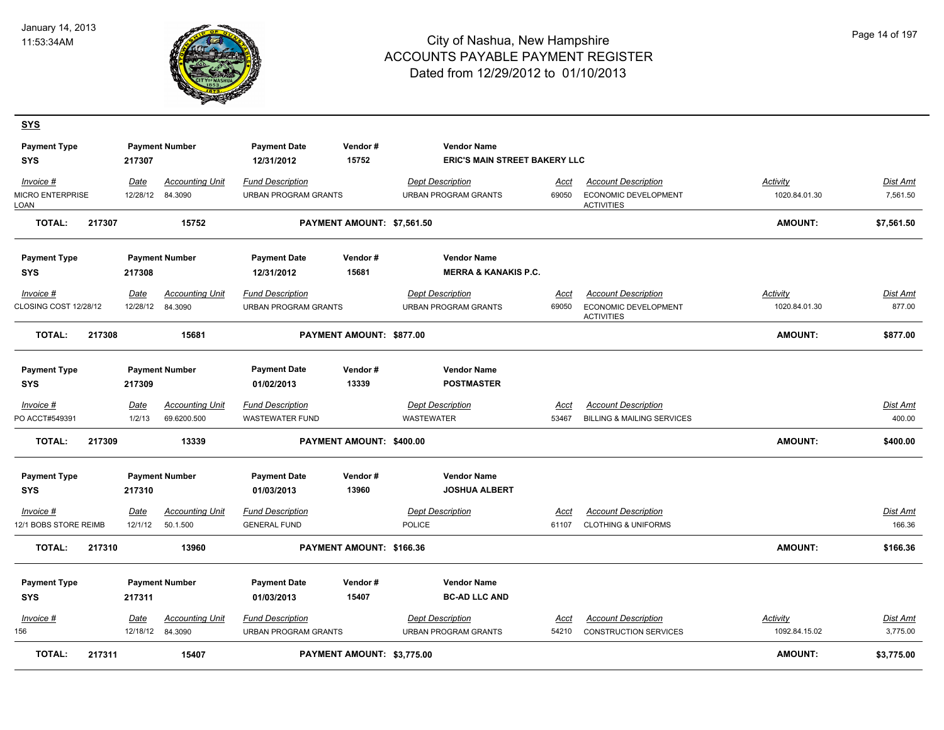**SYS**



| <b>Payment Type</b><br><b>SYS</b>            |        | 217307                 | <b>Payment Number</b>                      | <b>Payment Date</b><br>12/31/2012                      | Vendor#<br>15752           | <b>Vendor Name</b><br><b>ERIC'S MAIN STREET BAKERY LLC</b> |                      |                                                                                |                           |                           |
|----------------------------------------------|--------|------------------------|--------------------------------------------|--------------------------------------------------------|----------------------------|------------------------------------------------------------|----------------------|--------------------------------------------------------------------------------|---------------------------|---------------------------|
| Invoice #<br><b>MICRO ENTERPRISE</b><br>LOAN |        | Date<br>12/28/12       | <b>Accounting Unit</b><br>84.3090          | <b>Fund Description</b><br><b>URBAN PROGRAM GRANTS</b> |                            | <b>Dept Description</b><br><b>URBAN PROGRAM GRANTS</b>     | Acct<br>69050        | <b>Account Description</b><br><b>ECONOMIC DEVELOPMENT</b><br><b>ACTIVITIES</b> | Activity<br>1020.84.01.30 | Dist Amt<br>7,561.50      |
| <b>TOTAL:</b>                                | 217307 |                        | 15752                                      |                                                        | PAYMENT AMOUNT: \$7.561.50 |                                                            |                      |                                                                                | <b>AMOUNT:</b>            | \$7,561.50                |
| <b>Payment Type</b>                          |        |                        | <b>Payment Number</b>                      | <b>Payment Date</b>                                    | Vendor#                    | <b>Vendor Name</b>                                         |                      |                                                                                |                           |                           |
| <b>SYS</b>                                   |        | 217308                 |                                            | 12/31/2012                                             | 15681                      | <b>MERRA &amp; KANAKIS P.C.</b>                            |                      |                                                                                |                           |                           |
| Invoice #<br>CLOSING COST 12/28/12           |        | Date                   | <b>Accounting Unit</b><br>12/28/12 84.3090 | <b>Fund Description</b><br><b>URBAN PROGRAM GRANTS</b> |                            | <b>Dept Description</b><br><b>URBAN PROGRAM GRANTS</b>     | Acct<br>69050        | <b>Account Description</b><br>ECONOMIC DEVELOPMENT<br><b>ACTIVITIES</b>        | Activity<br>1020.84.01.30 | <b>Dist Amt</b><br>877.00 |
| <b>TOTAL:</b>                                | 217308 |                        | 15681                                      |                                                        | PAYMENT AMOUNT: \$877.00   |                                                            |                      |                                                                                | <b>AMOUNT:</b>            | \$877.00                  |
| <b>Payment Type</b><br><b>SYS</b>            |        | 217309                 | <b>Payment Number</b>                      | <b>Payment Date</b><br>01/02/2013                      | Vendor#<br>13339           | <b>Vendor Name</b><br><b>POSTMASTER</b>                    |                      |                                                                                |                           |                           |
| Invoice #<br>PO ACCT#549391                  |        | Date<br>1/2/13         | <b>Accounting Unit</b><br>69.6200.500      | <b>Fund Description</b><br><b>WASTEWATER FUND</b>      |                            | <b>Dept Description</b><br><b>WASTEWATER</b>               | Acct<br>53467        | <b>Account Description</b><br><b>BILLING &amp; MAILING SERVICES</b>            |                           | Dist Amt<br>400.00        |
| <b>TOTAL:</b>                                | 217309 |                        | 13339                                      |                                                        | PAYMENT AMOUNT: \$400.00   |                                                            |                      |                                                                                | <b>AMOUNT:</b>            | \$400.00                  |
| <b>Payment Type</b><br><b>SYS</b>            |        | 217310                 | <b>Payment Number</b>                      | <b>Payment Date</b><br>01/03/2013                      | Vendor#<br>13960           | <b>Vendor Name</b><br><b>JOSHUA ALBERT</b>                 |                      |                                                                                |                           |                           |
| $Invoice$ #<br>12/1 BOBS STORE REIMB         |        | <u>Date</u><br>12/1/12 | <b>Accounting Unit</b><br>50.1.500         | <b>Fund Description</b><br><b>GENERAL FUND</b>         |                            | <b>Dept Description</b><br><b>POLICE</b>                   | <u>Acct</u><br>61107 | <b>Account Description</b><br><b>CLOTHING &amp; UNIFORMS</b>                   |                           | Dist Amt<br>166.36        |
| <b>TOTAL:</b>                                | 217310 |                        | 13960                                      |                                                        | PAYMENT AMOUNT: \$166.36   |                                                            |                      |                                                                                | <b>AMOUNT:</b>            | \$166.36                  |
| <b>Payment Type</b><br><b>SYS</b>            |        | 217311                 | <b>Payment Number</b>                      | <b>Payment Date</b><br>01/03/2013                      | Vendor#<br>15407           | <b>Vendor Name</b><br><b>BC-AD LLC AND</b>                 |                      |                                                                                |                           |                           |
| Invoice #<br>156                             |        | Date                   | <b>Accounting Unit</b><br>12/18/12 84.3090 | <b>Fund Description</b><br><b>URBAN PROGRAM GRANTS</b> |                            | <b>Dept Description</b><br><b>URBAN PROGRAM GRANTS</b>     | Acct<br>54210        | <b>Account Description</b><br><b>CONSTRUCTION SERVICES</b>                     | Activity<br>1092.84.15.02 | Dist Amt<br>3,775.00      |
| <b>TOTAL:</b>                                | 217311 |                        | 15407                                      |                                                        | PAYMENT AMOUNT: \$3,775.00 |                                                            |                      |                                                                                | <b>AMOUNT:</b>            | \$3,775.00                |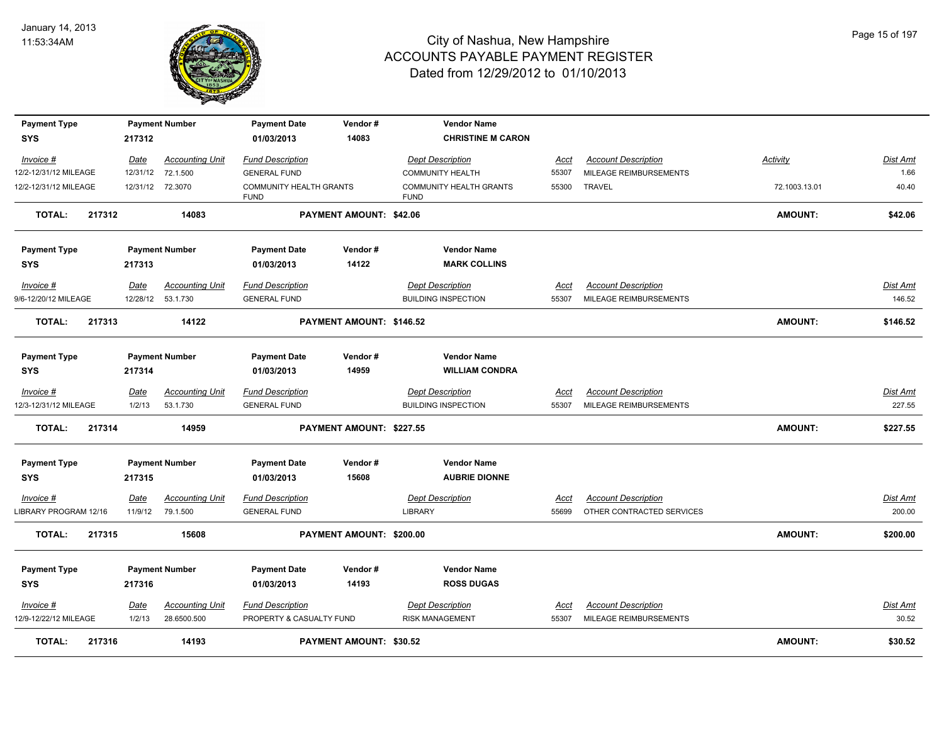

| <b>Payment Type</b>                  |                       | <b>Payment Number</b>                 | <b>Payment Date</b>                                 | Vendor#                  | <b>Vendor Name</b>                                    |                      |                                                         |                 |                           |
|--------------------------------------|-----------------------|---------------------------------------|-----------------------------------------------------|--------------------------|-------------------------------------------------------|----------------------|---------------------------------------------------------|-----------------|---------------------------|
| <b>SYS</b>                           | 217312                |                                       | 01/03/2013                                          | 14083                    | <b>CHRISTINE M CARON</b>                              |                      |                                                         |                 |                           |
| Invoice #<br>12/2-12/31/12 MILEAGE   | Date<br>12/31/12      | <b>Accounting Unit</b><br>72.1.500    | <b>Fund Description</b><br><b>GENERAL FUND</b>      |                          | <b>Dept Description</b><br><b>COMMUNITY HEALTH</b>    | Acct<br>55307        | <b>Account Description</b><br>MILEAGE REIMBURSEMENTS    | <b>Activity</b> | <u>Dist Amt</u><br>1.66   |
| 12/2-12/31/12 MILEAGE                | 12/31/12              | 72.3070                               | COMMUNITY HEALTH GRANTS<br><b>FUND</b>              |                          | COMMUNITY HEALTH GRANTS<br><b>FUND</b>                | 55300                | <b>TRAVEL</b>                                           | 72.1003.13.01   | 40.40                     |
| <b>TOTAL:</b><br>217312              |                       | 14083                                 |                                                     | PAYMENT AMOUNT: \$42.06  |                                                       |                      |                                                         | <b>AMOUNT:</b>  | \$42.06                   |
| <b>Payment Type</b><br><b>SYS</b>    | 217313                | <b>Payment Number</b>                 | <b>Payment Date</b><br>01/03/2013                   | Vendor#<br>14122         | <b>Vendor Name</b><br><b>MARK COLLINS</b>             |                      |                                                         |                 |                           |
| Invoice #<br>9/6-12/20/12 MILEAGE    | Date<br>12/28/12      | <b>Accounting Unit</b><br>53.1.730    | <b>Fund Description</b><br><b>GENERAL FUND</b>      |                          | <b>Dept Description</b><br><b>BUILDING INSPECTION</b> | Acct<br>55307        | <b>Account Description</b><br>MILEAGE REIMBURSEMENTS    |                 | Dist Amt<br>146.52        |
| 217313<br><b>TOTAL:</b>              |                       | 14122                                 |                                                     | PAYMENT AMOUNT: \$146.52 |                                                       |                      |                                                         | <b>AMOUNT:</b>  | \$146.52                  |
| <b>Payment Type</b><br><b>SYS</b>    | 217314                | <b>Payment Number</b>                 | <b>Payment Date</b><br>01/03/2013                   | Vendor#<br>14959         | <b>Vendor Name</b><br><b>WILLIAM CONDRA</b>           |                      |                                                         |                 |                           |
| $Invoice$ #<br>12/3-12/31/12 MILEAGE | <u>Date</u><br>1/2/13 | <b>Accounting Unit</b><br>53.1.730    | <b>Fund Description</b><br><b>GENERAL FUND</b>      |                          | <b>Dept Description</b><br><b>BUILDING INSPECTION</b> | <u>Acct</u><br>55307 | <b>Account Description</b><br>MILEAGE REIMBURSEMENTS    |                 | <u>Dist Amt</u><br>227.55 |
| <b>TOTAL:</b><br>217314              |                       | 14959                                 |                                                     | PAYMENT AMOUNT: \$227.55 |                                                       |                      |                                                         | <b>AMOUNT:</b>  | \$227.55                  |
| <b>Payment Type</b><br><b>SYS</b>    | 217315                | <b>Payment Number</b>                 | <b>Payment Date</b><br>01/03/2013                   | Vendor#<br>15608         | <b>Vendor Name</b><br><b>AUBRIE DIONNE</b>            |                      |                                                         |                 |                           |
| Invoice #<br>LIBRARY PROGRAM 12/16   | Date<br>11/9/12       | <b>Accounting Unit</b><br>79.1.500    | <b>Fund Description</b><br><b>GENERAL FUND</b>      |                          | <b>Dept Description</b><br><b>LIBRARY</b>             | Acct<br>55699        | <b>Account Description</b><br>OTHER CONTRACTED SERVICES |                 | Dist Amt<br>200.00        |
| <b>TOTAL:</b><br>217315              |                       | 15608                                 |                                                     | PAYMENT AMOUNT: \$200.00 |                                                       |                      |                                                         | <b>AMOUNT:</b>  | \$200.00                  |
| <b>Payment Type</b><br><b>SYS</b>    | 217316                | <b>Payment Number</b>                 | <b>Payment Date</b><br>01/03/2013                   | Vendor#<br>14193         | <b>Vendor Name</b><br><b>ROSS DUGAS</b>               |                      |                                                         |                 |                           |
| $Invoice$ #<br>12/9-12/22/12 MILEAGE | Date<br>1/2/13        | <b>Accounting Unit</b><br>28.6500.500 | <b>Fund Description</b><br>PROPERTY & CASUALTY FUND |                          | <b>Dept Description</b><br><b>RISK MANAGEMENT</b>     | <b>Acct</b><br>55307 | <b>Account Description</b><br>MILEAGE REIMBURSEMENTS    |                 | Dist Amt<br>30.52         |
| <b>TOTAL:</b><br>217316              |                       | 14193                                 |                                                     | PAYMENT AMOUNT: \$30.52  |                                                       |                      |                                                         | <b>AMOUNT:</b>  | \$30.52                   |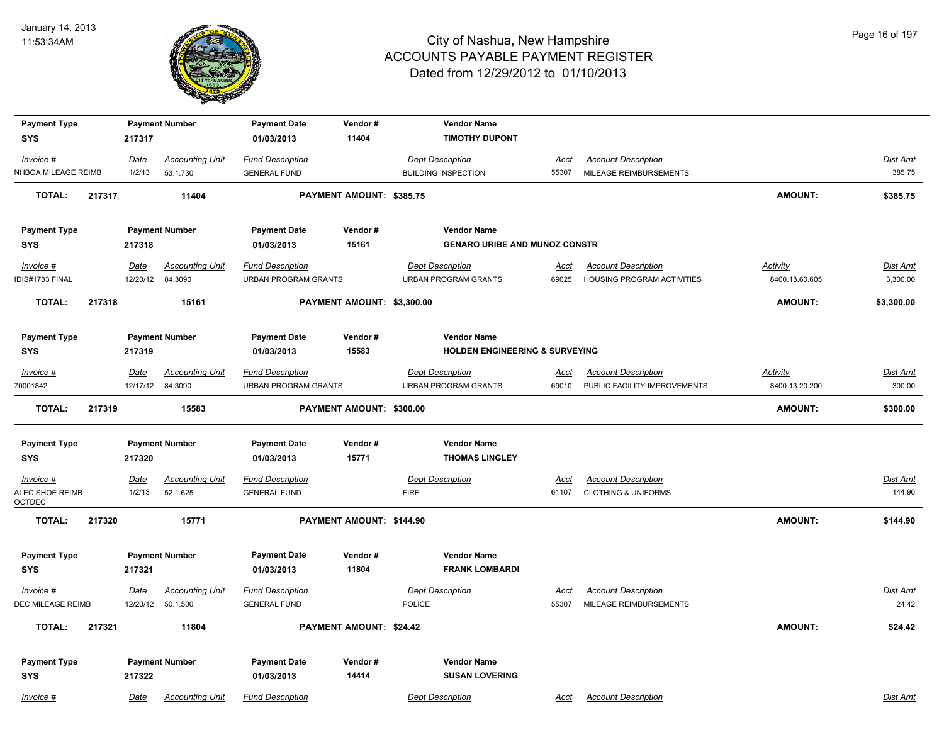

| <b>Payment Type</b>              |             | <b>Payment Number</b>                       | <b>Payment Date</b>                             | Vendor#                    | <b>Vendor Name</b>                                     |                      |                                                            |                                   |                          |
|----------------------------------|-------------|---------------------------------------------|-------------------------------------------------|----------------------------|--------------------------------------------------------|----------------------|------------------------------------------------------------|-----------------------------------|--------------------------|
| <b>SYS</b>                       | 217317      |                                             | 01/03/2013                                      | 11404                      | <b>TIMOTHY DUPONT</b>                                  |                      |                                                            |                                   |                          |
| Invoice #                        | <u>Date</u> | <b>Accounting Unit</b>                      | <b>Fund Description</b>                         |                            | <b>Dept Description</b>                                | <u>Acct</u>          | <b>Account Description</b>                                 |                                   | Dist Amt                 |
| NHBOA MILEAGE REIMB              | 1/2/13      | 53.1.730                                    | <b>GENERAL FUND</b>                             |                            | <b>BUILDING INSPECTION</b>                             | 55307                | MILEAGE REIMBURSEMENTS                                     |                                   | 385.75                   |
| <b>TOTAL:</b>                    | 217317      | 11404                                       |                                                 | PAYMENT AMOUNT: \$385.75   |                                                        |                      |                                                            | <b>AMOUNT:</b>                    | \$385.75                 |
| <b>Payment Type</b>              |             | <b>Payment Number</b>                       | <b>Payment Date</b>                             | Vendor#                    | <b>Vendor Name</b>                                     |                      |                                                            |                                   |                          |
| SYS                              | 217318      |                                             | 01/03/2013                                      | 15161                      | <b>GENARO URIBE AND MUNOZ CONSTR</b>                   |                      |                                                            |                                   |                          |
| Invoice #<br>IDIS#1733 FINAL     | Date        | <b>Accounting Unit</b><br>12/20/12 84.3090  | <b>Fund Description</b><br>URBAN PROGRAM GRANTS |                            | <b>Dept Description</b><br><b>URBAN PROGRAM GRANTS</b> | <u>Acct</u><br>69025 | <b>Account Description</b><br>HOUSING PROGRAM ACTIVITIES   | <b>Activity</b><br>8400.13.60.605 | Dist Amt<br>3,300.00     |
| <b>TOTAL:</b>                    | 217318      | 15161                                       |                                                 | PAYMENT AMOUNT: \$3,300.00 |                                                        |                      |                                                            | <b>AMOUNT:</b>                    | \$3,300.00               |
| <b>Payment Type</b>              |             | <b>Payment Number</b>                       | <b>Payment Date</b>                             | Vendor#                    | <b>Vendor Name</b>                                     |                      |                                                            |                                   |                          |
| <b>SYS</b>                       | 217319      |                                             | 01/03/2013                                      | 15583                      | <b>HOLDEN ENGINEERING &amp; SURVEYING</b>              |                      |                                                            |                                   |                          |
| Invoice #<br>70001842            | Date        | <b>Accounting Unit</b><br>12/17/12 84.3090  | <b>Fund Description</b><br>URBAN PROGRAM GRANTS |                            | <b>Dept Description</b><br><b>URBAN PROGRAM GRANTS</b> | Acct<br>69010        | <b>Account Description</b><br>PUBLIC FACILITY IMPROVEMENTS | Activity<br>8400.13.20.200        | Dist Amt<br>300.00       |
| <b>TOTAL:</b>                    | 217319      | 15583                                       |                                                 | PAYMENT AMOUNT: \$300.00   |                                                        |                      |                                                            | <b>AMOUNT:</b>                    | \$300.00                 |
| <b>Payment Type</b>              |             | <b>Payment Number</b>                       | <b>Payment Date</b>                             | Vendor#                    | <b>Vendor Name</b>                                     |                      |                                                            |                                   |                          |
| <b>SYS</b>                       | 217320      |                                             | 01/03/2013                                      | 15771                      | <b>THOMAS LINGLEY</b>                                  |                      |                                                            |                                   |                          |
| $Invoice$ #                      | Date        | <b>Accounting Unit</b>                      | <b>Fund Description</b>                         |                            | <b>Dept Description</b>                                | <b>Acct</b>          | <b>Account Description</b>                                 |                                   | Dist Amt                 |
| ALEC SHOE REIMB<br>OCTDEC        | 1/2/13      | 52.1.625                                    | <b>GENERAL FUND</b>                             |                            | <b>FIRE</b>                                            | 61107                | <b>CLOTHING &amp; UNIFORMS</b>                             |                                   | 144.90                   |
| <b>TOTAL:</b>                    | 217320      | 15771                                       |                                                 | PAYMENT AMOUNT: \$144.90   |                                                        |                      |                                                            | <b>AMOUNT:</b>                    | \$144.90                 |
| <b>Payment Type</b>              |             | <b>Payment Number</b>                       | <b>Payment Date</b>                             | Vendor#                    | <b>Vendor Name</b>                                     |                      |                                                            |                                   |                          |
| <b>SYS</b>                       | 217321      |                                             | 01/03/2013                                      | 11804                      | <b>FRANK LOMBARDI</b>                                  |                      |                                                            |                                   |                          |
| $Invoice$ #<br>DEC MILEAGE REIMB | <b>Date</b> | <b>Accounting Unit</b><br>12/20/12 50.1.500 | <b>Fund Description</b><br><b>GENERAL FUND</b>  |                            | <b>Dept Description</b><br><b>POLICE</b>               | Acct<br>55307        | <b>Account Description</b><br>MILEAGE REIMBURSEMENTS       |                                   | <u>Dist Amt</u><br>24.42 |
| <b>TOTAL:</b>                    | 217321      | 11804                                       |                                                 | PAYMENT AMOUNT: \$24.42    |                                                        |                      |                                                            | <b>AMOUNT:</b>                    | \$24.42                  |
| <b>Payment Type</b>              |             | <b>Payment Number</b>                       | <b>Payment Date</b>                             | Vendor#                    | <b>Vendor Name</b>                                     |                      |                                                            |                                   |                          |
| <b>SYS</b>                       | 217322      |                                             | 01/03/2013                                      | 14414                      | <b>SUSAN LOVERING</b>                                  |                      |                                                            |                                   |                          |
| Invoice #                        | Date        | <b>Accounting Unit</b>                      | <b>Fund Description</b>                         |                            | <b>Dept Description</b>                                | Acct                 | <b>Account Description</b>                                 |                                   | Dist Amt                 |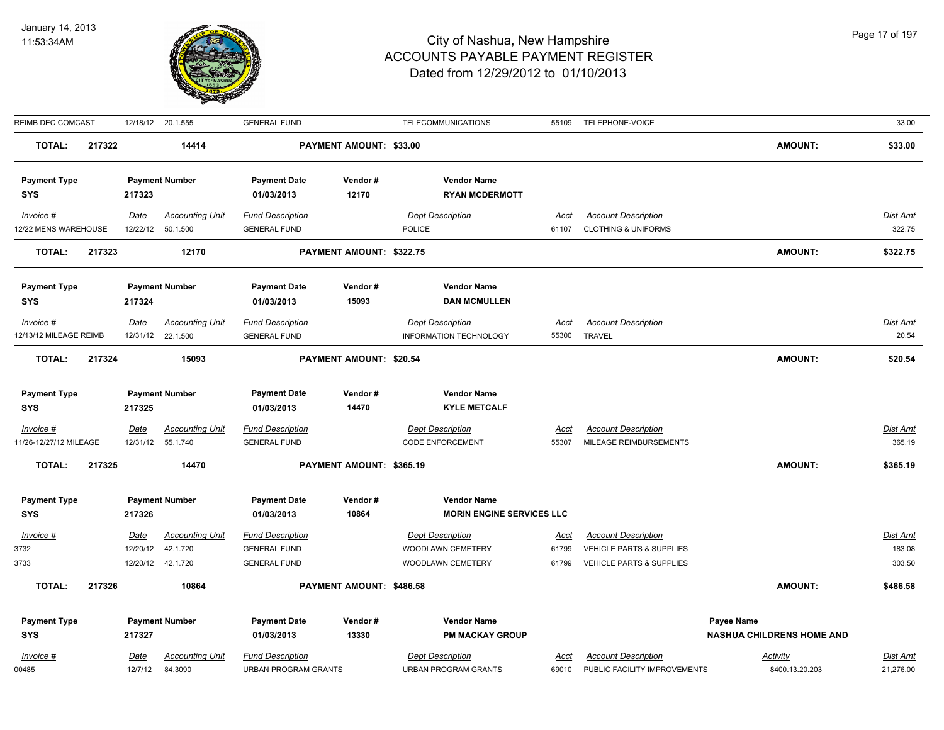

| REIMB DEC COMCAST      |        |             | 12/18/12 20.1.555      | <b>GENERAL FUND</b>         |                                | TELECOMMUNICATIONS               |             | 55109 TELEPHONE-VOICE               |                                  | 33.00           |
|------------------------|--------|-------------|------------------------|-----------------------------|--------------------------------|----------------------------------|-------------|-------------------------------------|----------------------------------|-----------------|
| <b>TOTAL:</b>          | 217322 |             | 14414                  |                             | PAYMENT AMOUNT: \$33.00        |                                  |             |                                     | <b>AMOUNT:</b>                   | \$33.00         |
| <b>Payment Type</b>    |        |             | <b>Payment Number</b>  | <b>Payment Date</b>         | Vendor#                        | <b>Vendor Name</b>               |             |                                     |                                  |                 |
| <b>SYS</b>             |        | 217323      |                        | 01/03/2013                  | 12170                          | <b>RYAN MCDERMOTT</b>            |             |                                     |                                  |                 |
| Invoice #              |        | Date        | <b>Accounting Unit</b> | <b>Fund Description</b>     |                                | <b>Dept Description</b>          | Acct        | <b>Account Description</b>          |                                  | Dist Amt        |
| 12/22 MENS WAREHOUSE   |        |             | 12/22/12 50.1.500      | <b>GENERAL FUND</b>         |                                | <b>POLICE</b>                    | 61107       | <b>CLOTHING &amp; UNIFORMS</b>      |                                  | 322.75          |
| <b>TOTAL:</b>          | 217323 |             | 12170                  |                             | PAYMENT AMOUNT: \$322.75       |                                  |             |                                     | <b>AMOUNT:</b>                   | \$322.75        |
| <b>Payment Type</b>    |        |             | <b>Payment Number</b>  | <b>Payment Date</b>         | Vendor#                        | <b>Vendor Name</b>               |             |                                     |                                  |                 |
| <b>SYS</b>             |        | 217324      |                        | 01/03/2013                  | 15093                          | <b>DAN MCMULLEN</b>              |             |                                     |                                  |                 |
| $Invoice$ #            |        | <u>Date</u> | <b>Accounting Unit</b> | <b>Fund Description</b>     |                                | <b>Dept Description</b>          | Acct        | <b>Account Description</b>          |                                  | <b>Dist Amt</b> |
| 12/13/12 MILEAGE REIMB |        |             | 12/31/12 22.1.500      | <b>GENERAL FUND</b>         |                                | INFORMATION TECHNOLOGY           | 55300       | <b>TRAVEL</b>                       |                                  | 20.54           |
| <b>TOTAL:</b>          | 217324 |             | 15093                  |                             | <b>PAYMENT AMOUNT: \$20.54</b> |                                  |             |                                     | <b>AMOUNT:</b>                   | \$20.54         |
|                        |        |             |                        |                             |                                |                                  |             |                                     |                                  |                 |
| <b>Payment Type</b>    |        |             | <b>Payment Number</b>  | <b>Payment Date</b>         | Vendor#                        | <b>Vendor Name</b>               |             |                                     |                                  |                 |
| <b>SYS</b>             |        | 217325      |                        | 01/03/2013                  | 14470                          | <b>KYLE METCALF</b>              |             |                                     |                                  |                 |
| Invoice #              |        | <u>Date</u> | <b>Accounting Unit</b> | <b>Fund Description</b>     |                                | <b>Dept Description</b>          | <u>Acct</u> | <b>Account Description</b>          |                                  | <b>Dist Amt</b> |
| 11/26-12/27/12 MILEAGE |        |             | 12/31/12  55.1.740     | <b>GENERAL FUND</b>         |                                | <b>CODE ENFORCEMENT</b>          | 55307       | MILEAGE REIMBURSEMENTS              |                                  | 365.19          |
| <b>TOTAL:</b>          | 217325 |             | 14470                  |                             | PAYMENT AMOUNT: \$365.19       |                                  |             |                                     | <b>AMOUNT:</b>                   | \$365.19        |
| <b>Payment Type</b>    |        |             | <b>Payment Number</b>  | <b>Payment Date</b>         | Vendor#                        | <b>Vendor Name</b>               |             |                                     |                                  |                 |
| <b>SYS</b>             |        | 217326      |                        | 01/03/2013                  | 10864                          | <b>MORIN ENGINE SERVICES LLC</b> |             |                                     |                                  |                 |
| Invoice #              |        | Date        | <b>Accounting Unit</b> | <b>Fund Description</b>     |                                | <b>Dept Description</b>          | Acct        | <b>Account Description</b>          |                                  | Dist Amt        |
| 3732                   |        | 12/20/12    | 42.1.720               | <b>GENERAL FUND</b>         |                                | WOODLAWN CEMETERY                | 61799       | VEHICLE PARTS & SUPPLIES            |                                  | 183.08          |
| 3733                   |        |             | 12/20/12  42.1.720     | <b>GENERAL FUND</b>         |                                | WOODLAWN CEMETERY                | 61799       | <b>VEHICLE PARTS &amp; SUPPLIES</b> |                                  | 303.50          |
| <b>TOTAL:</b>          | 217326 |             | 10864                  |                             | PAYMENT AMOUNT: \$486.58       |                                  |             |                                     | <b>AMOUNT:</b>                   | \$486.58        |
| <b>Payment Type</b>    |        |             | <b>Payment Number</b>  | <b>Payment Date</b>         | Vendor#                        | <b>Vendor Name</b>               |             |                                     | Payee Name                       |                 |
| <b>SYS</b>             |        | 217327      |                        | 01/03/2013                  | 13330                          | <b>PM MACKAY GROUP</b>           |             |                                     | <b>NASHUA CHILDRENS HOME AND</b> |                 |
| Invoice #              |        | Date        | <b>Accounting Unit</b> | <b>Fund Description</b>     |                                | <b>Dept Description</b>          | Acct        | <b>Account Description</b>          | Activity                         | Dist Amt        |
| 00485                  |        | 12/7/12     | 84.3090                | <b>URBAN PROGRAM GRANTS</b> |                                | <b>URBAN PROGRAM GRANTS</b>      | 69010       | PUBLIC FACILITY IMPROVEMENTS        | 8400.13.20.203                   | 21,276.00       |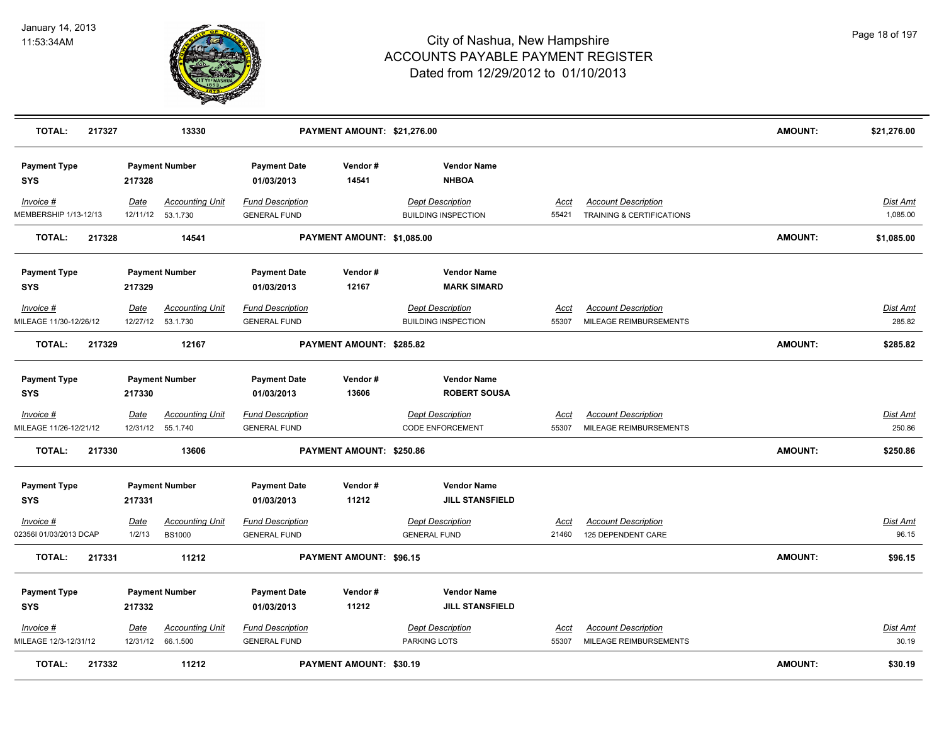

| <b>TOTAL:</b><br>217327             |                         | 13330                                        |                                                | PAYMENT AMOUNT: \$21,276.00    |                                                       |                      |                                                         | <b>AMOUNT:</b> | \$21,276.00                 |
|-------------------------------------|-------------------------|----------------------------------------------|------------------------------------------------|--------------------------------|-------------------------------------------------------|----------------------|---------------------------------------------------------|----------------|-----------------------------|
| <b>Payment Type</b><br><b>SYS</b>   | 217328                  | <b>Payment Number</b>                        | <b>Payment Date</b><br>01/03/2013              | Vendor#<br>14541               | <b>Vendor Name</b><br><b>NHBOA</b>                    |                      |                                                         |                |                             |
| Invoice #<br>MEMBERSHIP 1/13-12/13  | Date                    | <b>Accounting Unit</b><br>12/11/12  53.1.730 | <b>Fund Description</b><br><b>GENERAL FUND</b> |                                | <b>Dept Description</b><br><b>BUILDING INSPECTION</b> | <u>Acct</u><br>55421 | <b>Account Description</b><br>TRAINING & CERTIFICATIONS |                | <u>Dist Amt</u><br>1,085.00 |
| <b>TOTAL:</b><br>217328             |                         | 14541                                        |                                                | PAYMENT AMOUNT: \$1,085.00     |                                                       |                      |                                                         | <b>AMOUNT:</b> | \$1,085.00                  |
| <b>Payment Type</b>                 |                         | <b>Payment Number</b>                        | <b>Payment Date</b>                            | Vendor#                        | <b>Vendor Name</b>                                    |                      |                                                         |                |                             |
| <b>SYS</b>                          | 217329                  |                                              | 01/03/2013                                     | 12167                          | <b>MARK SIMARD</b>                                    |                      |                                                         |                |                             |
| Invoice #<br>MILEAGE 11/30-12/26/12 | <b>Date</b><br>12/27/12 | <b>Accounting Unit</b><br>53.1.730           | <b>Fund Description</b><br><b>GENERAL FUND</b> |                                | <b>Dept Description</b><br><b>BUILDING INSPECTION</b> | <b>Acct</b><br>55307 | <b>Account Description</b><br>MILEAGE REIMBURSEMENTS    |                | <b>Dist Amt</b><br>285.82   |
| <b>TOTAL:</b><br>217329             |                         | 12167                                        |                                                | PAYMENT AMOUNT: \$285.82       |                                                       |                      |                                                         | <b>AMOUNT:</b> | \$285.82                    |
| <b>Payment Type</b><br><b>SYS</b>   | 217330                  | <b>Payment Number</b>                        | <b>Payment Date</b><br>01/03/2013              | Vendor#<br>13606               | <b>Vendor Name</b><br><b>ROBERT SOUSA</b>             |                      |                                                         |                |                             |
| $Invoice$ #                         | Date                    | <b>Accounting Unit</b>                       | <b>Fund Description</b>                        |                                | <b>Dept Description</b>                               | <u>Acct</u>          | <b>Account Description</b>                              |                | Dist Amt                    |
| MILEAGE 11/26-12/21/12              |                         | 12/31/12  55.1.740                           | <b>GENERAL FUND</b>                            |                                | <b>CODE ENFORCEMENT</b>                               | 55307                | MILEAGE REIMBURSEMENTS                                  |                | 250.86                      |
| <b>TOTAL:</b><br>217330             |                         | 13606                                        |                                                | PAYMENT AMOUNT: \$250.86       |                                                       |                      |                                                         | <b>AMOUNT:</b> | \$250.86                    |
| <b>Payment Type</b><br><b>SYS</b>   | 217331                  | <b>Payment Number</b>                        | <b>Payment Date</b><br>01/03/2013              | Vendor#<br>11212               | <b>Vendor Name</b><br><b>JILL STANSFIELD</b>          |                      |                                                         |                |                             |
| Invoice #                           | Date                    | <b>Accounting Unit</b>                       | <b>Fund Description</b>                        |                                | <b>Dept Description</b>                               | Acct                 | <b>Account Description</b>                              |                | <u>Dist Amt</u>             |
| 02356I 01/03/2013 DCAP              | 1/2/13                  | <b>BS1000</b>                                | <b>GENERAL FUND</b>                            |                                | <b>GENERAL FUND</b>                                   | 21460                | 125 DEPENDENT CARE                                      |                | 96.15                       |
| <b>TOTAL:</b><br>217331             |                         | 11212                                        |                                                | PAYMENT AMOUNT: \$96.15        |                                                       |                      |                                                         | <b>AMOUNT:</b> | \$96.15                     |
| <b>Payment Type</b>                 |                         | <b>Payment Number</b>                        | <b>Payment Date</b>                            | Vendor#                        | <b>Vendor Name</b>                                    |                      |                                                         |                |                             |
| <b>SYS</b>                          | 217332                  |                                              | 01/03/2013                                     | 11212                          | <b>JILL STANSFIELD</b>                                |                      |                                                         |                |                             |
| Invoice #<br>MILEAGE 12/3-12/31/12  | <u>Date</u>             | <b>Accounting Unit</b><br>12/31/12 66.1.500  | <b>Fund Description</b><br><b>GENERAL FUND</b> |                                | <b>Dept Description</b><br>PARKING LOTS               | <u>Acct</u><br>55307 | <b>Account Description</b><br>MILEAGE REIMBURSEMENTS    |                | <u>Dist Amt</u><br>30.19    |
| 217332<br><b>TOTAL:</b>             |                         | 11212                                        |                                                | <b>PAYMENT AMOUNT: \$30.19</b> |                                                       |                      |                                                         | AMOUNT:        | \$30.19                     |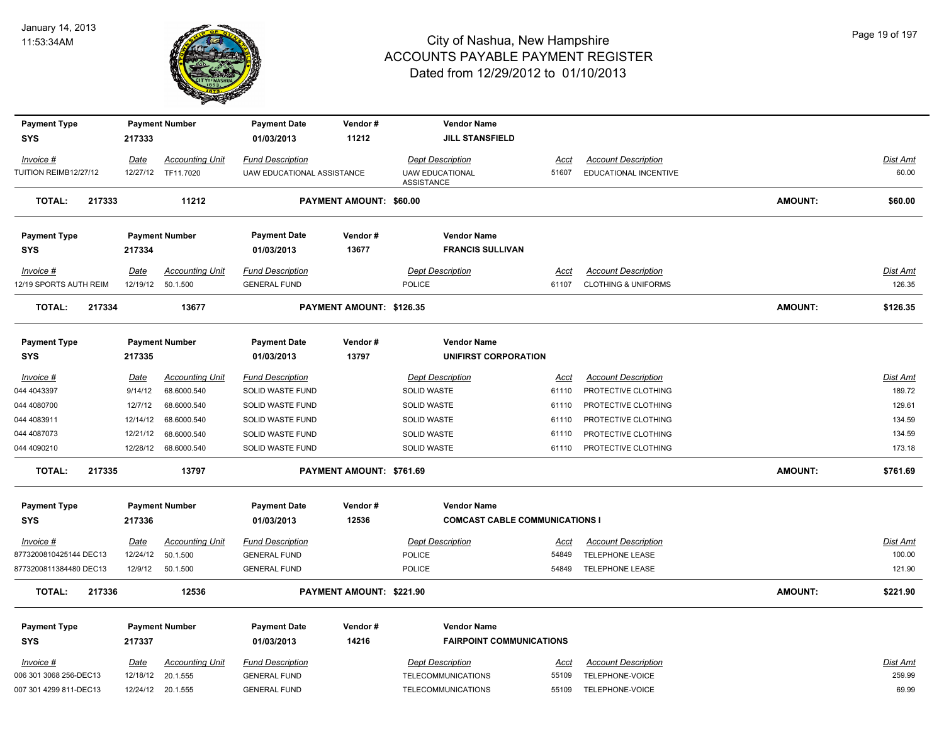

| <b>Payment Type</b>    |             | <b>Payment Number</b>  | <b>Payment Date</b>        | Vendor#                  | <b>Vendor Name</b>                          |             |                                |                |                 |
|------------------------|-------------|------------------------|----------------------------|--------------------------|---------------------------------------------|-------------|--------------------------------|----------------|-----------------|
| <b>SYS</b>             | 217333      |                        | 01/03/2013                 | 11212                    | <b>JILL STANSFIELD</b>                      |             |                                |                |                 |
| Invoice #              | Date        | <b>Accounting Unit</b> | <b>Fund Description</b>    |                          | <b>Dept Description</b>                     | Acct        | <b>Account Description</b>     |                | Dist Amt        |
| TUITION REIMB12/27/12  | 12/27/12    | TF11.7020              | UAW EDUCATIONAL ASSISTANCE |                          | <b>UAW EDUCATIONAL</b><br><b>ASSISTANCE</b> | 51607       | EDUCATIONAL INCENTIVE          |                | 60.00           |
| <b>TOTAL:</b>          | 217333      | 11212                  |                            | PAYMENT AMOUNT: \$60.00  |                                             |             |                                | <b>AMOUNT:</b> | \$60.00         |
| <b>Payment Type</b>    |             | <b>Payment Number</b>  | <b>Payment Date</b>        | Vendor#                  | <b>Vendor Name</b>                          |             |                                |                |                 |
| <b>SYS</b>             | 217334      |                        | 01/03/2013                 | 13677                    | <b>FRANCIS SULLIVAN</b>                     |             |                                |                |                 |
| Invoice #              | Date        | <b>Accounting Unit</b> | <b>Fund Description</b>    |                          | <b>Dept Description</b>                     | Acct        | <b>Account Description</b>     |                | <u>Dist Amt</u> |
| 12/19 SPORTS AUTH REIM | 12/19/12    | 50.1.500               | <b>GENERAL FUND</b>        |                          | <b>POLICE</b>                               | 61107       | <b>CLOTHING &amp; UNIFORMS</b> |                | 126.35          |
| <b>TOTAL:</b>          | 217334      | 13677                  |                            | PAYMENT AMOUNT: \$126.35 |                                             |             |                                | <b>AMOUNT:</b> | \$126.35        |
|                        |             |                        |                            |                          |                                             |             |                                |                |                 |
| <b>Payment Type</b>    |             | <b>Payment Number</b>  | <b>Payment Date</b>        | Vendor#                  | <b>Vendor Name</b>                          |             |                                |                |                 |
| <b>SYS</b>             | 217335      |                        | 01/03/2013                 | 13797                    | UNIFIRST CORPORATION                        |             |                                |                |                 |
| Invoice #              | <u>Date</u> | <b>Accounting Unit</b> | <b>Fund Description</b>    |                          | <b>Dept Description</b>                     | <u>Acct</u> | <b>Account Description</b>     |                | <u>Dist Amt</u> |
| 044 4043397            | 9/14/12     | 68.6000.540            | SOLID WASTE FUND           |                          | SOLID WASTE                                 | 61110       | PROTECTIVE CLOTHING            |                | 189.72          |
| 044 4080700            | 12/7/12     | 68.6000.540            | SOLID WASTE FUND           |                          | SOLID WASTE                                 | 61110       | PROTECTIVE CLOTHING            |                | 129.61          |
| 044 4083911            | 12/14/12    | 68.6000.540            | SOLID WASTE FUND           |                          | SOLID WASTE                                 | 61110       | PROTECTIVE CLOTHING            |                | 134.59          |
| 044 4087073            | 12/21/12    | 68.6000.540            | SOLID WASTE FUND           |                          | SOLID WASTE                                 | 61110       | PROTECTIVE CLOTHING            |                | 134.59          |
| 044 4090210            | 12/28/12    | 68.6000.540            | SOLID WASTE FUND           |                          | SOLID WASTE                                 | 61110       | PROTECTIVE CLOTHING            |                | 173.18          |
| <b>TOTAL:</b>          | 217335      | 13797                  |                            | PAYMENT AMOUNT: \$761.69 |                                             |             |                                | <b>AMOUNT:</b> | \$761.69        |
| <b>Payment Type</b>    |             | <b>Payment Number</b>  | <b>Payment Date</b>        | Vendor#                  | <b>Vendor Name</b>                          |             |                                |                |                 |
| <b>SYS</b>             | 217336      |                        | 01/03/2013                 | 12536                    | <b>COMCAST CABLE COMMUNICATIONS I</b>       |             |                                |                |                 |
| Invoice #              | Date        | <b>Accounting Unit</b> | <b>Fund Description</b>    |                          | <b>Dept Description</b>                     | Acct        | <b>Account Description</b>     |                | Dist Amt        |
| 8773200810425144 DEC13 | 12/24/12    | 50.1.500               | <b>GENERAL FUND</b>        |                          | <b>POLICE</b>                               | 54849       | TELEPHONE LEASE                |                | 100.00          |
| 8773200811384480 DEC13 | 12/9/12     | 50.1.500               | <b>GENERAL FUND</b>        |                          | <b>POLICE</b>                               | 54849       | TELEPHONE LEASE                |                | 121.90          |
| <b>TOTAL:</b>          | 217336      | 12536                  |                            | PAYMENT AMOUNT: \$221.90 |                                             |             |                                | <b>AMOUNT:</b> | \$221.90        |
| <b>Payment Type</b>    |             | <b>Payment Number</b>  | <b>Payment Date</b>        | Vendor#                  | <b>Vendor Name</b>                          |             |                                |                |                 |
| <b>SYS</b>             | 217337      |                        | 01/03/2013                 | 14216                    | <b>FAIRPOINT COMMUNICATIONS</b>             |             |                                |                |                 |
| $Invoice$ #            | <u>Date</u> | <b>Accounting Unit</b> | <b>Fund Description</b>    |                          | <b>Dept Description</b>                     | <u>Acct</u> | <b>Account Description</b>     |                | <b>Dist Amt</b> |
| 006 301 3068 256-DEC13 | 12/18/12    | 20.1.555               | <b>GENERAL FUND</b>        |                          | TELECOMMUNICATIONS                          | 55109       | TELEPHONE-VOICE                |                | 259.99          |
| 007 301 4299 811-DEC13 | 12/24/12    | 20.1.555               | <b>GENERAL FUND</b>        |                          | TELECOMMUNICATIONS                          | 55109       | TELEPHONE-VOICE                |                | 69.99           |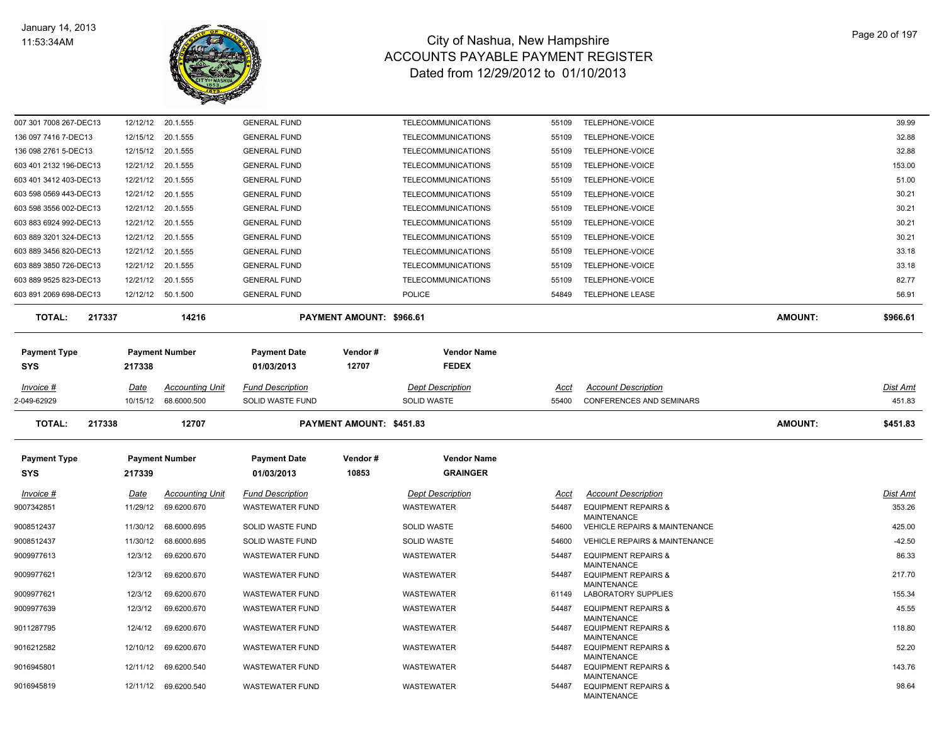

| <b>SYS</b><br>Invoice #<br>9007342851<br>9016945801                                                          | 217339<br>Date<br>11/29/12<br>11/30/12<br>11/30/12<br>12/3/12<br>12/3/12<br>12/3/12<br>12/3/12<br>12/4/12<br>12/10/12<br>12/11/12 | <b>Accounting Unit</b><br>69.6200.670<br>68.6000.695<br>68.6000.695<br>69.6200.670<br>69.6200.670<br>69.6200.670<br>69.6200.670<br>69.6200.670<br>69.6200.670<br>69.6200.540 | 01/03/2013<br><b>Fund Description</b><br>WASTEWATER FUND<br>SOLID WASTE FUND<br>SOLID WASTE FUND<br><b>WASTEWATER FUND</b><br><b>WASTEWATER FUND</b><br><b>WASTEWATER FUND</b><br><b>WASTEWATER FUND</b><br><b>WASTEWATER FUND</b><br><b>WASTEWATER FUND</b><br><b>WASTEWATER FUND</b> | Vendor#<br>10853         | <b>Vendor Name</b><br><b>GRAINGER</b><br><b>Dept Description</b><br>WASTEWATER<br>SOLID WASTE<br><b>SOLID WASTE</b><br>WASTEWATER<br>WASTEWATER<br><b>WASTEWATER</b><br>WASTEWATER<br>WASTEWATER<br>WASTEWATER<br>WASTEWATER | <u>Acct</u><br>54487<br>54600<br>54600<br>54487<br>54487<br>61149<br>54487<br>54487<br>54487<br>54487 | <b>Account Description</b><br><b>EQUIPMENT REPAIRS &amp;</b><br><b>MAINTENANCE</b><br>VEHICLE REPAIRS & MAINTENANCE<br><b>VEHICLE REPAIRS &amp; MAINTENANCE</b><br><b>EQUIPMENT REPAIRS &amp;</b><br><b>MAINTENANCE</b><br><b>EQUIPMENT REPAIRS &amp;</b><br><b>MAINTENANCE</b><br><b>LABORATORY SUPPLIES</b><br><b>EQUIPMENT REPAIRS &amp;</b><br><b>MAINTENANCE</b><br><b>EQUIPMENT REPAIRS &amp;</b><br><b>MAINTENANCE</b><br><b>EQUIPMENT REPAIRS &amp;</b><br><b>MAINTENANCE</b><br><b>EQUIPMENT REPAIRS &amp;</b> |                | Dist Amt<br>353.26<br>425.00<br>$-42.50$<br>86.33<br>217.70<br>155.34<br>45.55<br>118.80<br>52.20<br>143.76 |
|--------------------------------------------------------------------------------------------------------------|-----------------------------------------------------------------------------------------------------------------------------------|------------------------------------------------------------------------------------------------------------------------------------------------------------------------------|----------------------------------------------------------------------------------------------------------------------------------------------------------------------------------------------------------------------------------------------------------------------------------------|--------------------------|------------------------------------------------------------------------------------------------------------------------------------------------------------------------------------------------------------------------------|-------------------------------------------------------------------------------------------------------|-------------------------------------------------------------------------------------------------------------------------------------------------------------------------------------------------------------------------------------------------------------------------------------------------------------------------------------------------------------------------------------------------------------------------------------------------------------------------------------------------------------------------|----------------|-------------------------------------------------------------------------------------------------------------|
| 9008512437<br>9008512437<br>9009977613<br>9009977621<br>9009977621<br>9009977639<br>9011287795<br>9016212582 |                                                                                                                                   |                                                                                                                                                                              |                                                                                                                                                                                                                                                                                        |                          |                                                                                                                                                                                                                              |                                                                                                       |                                                                                                                                                                                                                                                                                                                                                                                                                                                                                                                         |                |                                                                                                             |
|                                                                                                              |                                                                                                                                   |                                                                                                                                                                              |                                                                                                                                                                                                                                                                                        |                          |                                                                                                                                                                                                                              |                                                                                                       |                                                                                                                                                                                                                                                                                                                                                                                                                                                                                                                         |                |                                                                                                             |
|                                                                                                              |                                                                                                                                   |                                                                                                                                                                              |                                                                                                                                                                                                                                                                                        |                          |                                                                                                                                                                                                                              |                                                                                                       |                                                                                                                                                                                                                                                                                                                                                                                                                                                                                                                         |                |                                                                                                             |
|                                                                                                              |                                                                                                                                   |                                                                                                                                                                              |                                                                                                                                                                                                                                                                                        |                          |                                                                                                                                                                                                                              |                                                                                                       |                                                                                                                                                                                                                                                                                                                                                                                                                                                                                                                         |                |                                                                                                             |
|                                                                                                              |                                                                                                                                   |                                                                                                                                                                              |                                                                                                                                                                                                                                                                                        |                          |                                                                                                                                                                                                                              |                                                                                                       |                                                                                                                                                                                                                                                                                                                                                                                                                                                                                                                         |                |                                                                                                             |
|                                                                                                              |                                                                                                                                   |                                                                                                                                                                              |                                                                                                                                                                                                                                                                                        |                          |                                                                                                                                                                                                                              |                                                                                                       |                                                                                                                                                                                                                                                                                                                                                                                                                                                                                                                         |                |                                                                                                             |
|                                                                                                              |                                                                                                                                   |                                                                                                                                                                              |                                                                                                                                                                                                                                                                                        |                          |                                                                                                                                                                                                                              |                                                                                                       |                                                                                                                                                                                                                                                                                                                                                                                                                                                                                                                         |                |                                                                                                             |
|                                                                                                              |                                                                                                                                   |                                                                                                                                                                              |                                                                                                                                                                                                                                                                                        |                          |                                                                                                                                                                                                                              |                                                                                                       |                                                                                                                                                                                                                                                                                                                                                                                                                                                                                                                         |                |                                                                                                             |
|                                                                                                              |                                                                                                                                   |                                                                                                                                                                              |                                                                                                                                                                                                                                                                                        |                          |                                                                                                                                                                                                                              |                                                                                                       |                                                                                                                                                                                                                                                                                                                                                                                                                                                                                                                         |                |                                                                                                             |
|                                                                                                              |                                                                                                                                   |                                                                                                                                                                              |                                                                                                                                                                                                                                                                                        |                          |                                                                                                                                                                                                                              |                                                                                                       |                                                                                                                                                                                                                                                                                                                                                                                                                                                                                                                         |                |                                                                                                             |
|                                                                                                              |                                                                                                                                   |                                                                                                                                                                              |                                                                                                                                                                                                                                                                                        |                          |                                                                                                                                                                                                                              |                                                                                                       |                                                                                                                                                                                                                                                                                                                                                                                                                                                                                                                         |                |                                                                                                             |
| <b>Payment Type</b>                                                                                          | <b>Payment Number</b>                                                                                                             |                                                                                                                                                                              | <b>Payment Date</b>                                                                                                                                                                                                                                                                    |                          |                                                                                                                                                                                                                              |                                                                                                       |                                                                                                                                                                                                                                                                                                                                                                                                                                                                                                                         |                |                                                                                                             |
| <b>TOTAL:</b><br>217338                                                                                      |                                                                                                                                   | 12707                                                                                                                                                                        |                                                                                                                                                                                                                                                                                        | PAYMENT AMOUNT: \$451.83 |                                                                                                                                                                                                                              |                                                                                                       |                                                                                                                                                                                                                                                                                                                                                                                                                                                                                                                         | <b>AMOUNT:</b> | \$451.83                                                                                                    |
| 2-049-62929                                                                                                  | 10/15/12                                                                                                                          | 68.6000.500                                                                                                                                                                  | SOLID WASTE FUND                                                                                                                                                                                                                                                                       |                          | SOLID WASTE                                                                                                                                                                                                                  | 55400                                                                                                 | <b>CONFERENCES AND SEMINARS</b>                                                                                                                                                                                                                                                                                                                                                                                                                                                                                         |                | 451.83                                                                                                      |
| Invoice #                                                                                                    | Date                                                                                                                              | <b>Accounting Unit</b>                                                                                                                                                       | <b>Fund Description</b>                                                                                                                                                                                                                                                                |                          | <b>Dept Description</b>                                                                                                                                                                                                      | Acct                                                                                                  | <b>Account Description</b>                                                                                                                                                                                                                                                                                                                                                                                                                                                                                              |                | <b>Dist Amt</b>                                                                                             |
| SYS                                                                                                          | 217338                                                                                                                            |                                                                                                                                                                              | 01/03/2013                                                                                                                                                                                                                                                                             | 12707                    | <b>FEDEX</b>                                                                                                                                                                                                                 |                                                                                                       |                                                                                                                                                                                                                                                                                                                                                                                                                                                                                                                         |                |                                                                                                             |
| <b>Payment Type</b>                                                                                          |                                                                                                                                   | <b>Payment Number</b>                                                                                                                                                        | <b>Payment Date</b>                                                                                                                                                                                                                                                                    | Vendor#                  | <b>Vendor Name</b>                                                                                                                                                                                                           |                                                                                                       |                                                                                                                                                                                                                                                                                                                                                                                                                                                                                                                         |                |                                                                                                             |
| <b>TOTAL:</b><br>217337                                                                                      |                                                                                                                                   | 14216                                                                                                                                                                        |                                                                                                                                                                                                                                                                                        | PAYMENT AMOUNT: \$966.61 |                                                                                                                                                                                                                              |                                                                                                       |                                                                                                                                                                                                                                                                                                                                                                                                                                                                                                                         | <b>AMOUNT:</b> | \$966.61                                                                                                    |
| 603 891 2069 698-DEC13                                                                                       |                                                                                                                                   | 12/12/12  50.1.500                                                                                                                                                           | <b>GENERAL FUND</b>                                                                                                                                                                                                                                                                    |                          | <b>POLICE</b>                                                                                                                                                                                                                | 54849                                                                                                 | TELEPHONE LEASE                                                                                                                                                                                                                                                                                                                                                                                                                                                                                                         |                | 56.91                                                                                                       |
| 603 889 9525 823-DEC13                                                                                       | 12/21/12                                                                                                                          | 20.1.555                                                                                                                                                                     | <b>GENERAL FUND</b>                                                                                                                                                                                                                                                                    |                          | TELECOMMUNICATIONS                                                                                                                                                                                                           | 55109                                                                                                 | TELEPHONE-VOICE                                                                                                                                                                                                                                                                                                                                                                                                                                                                                                         |                | 82.77                                                                                                       |
| 603 889 3850 726-DEC13                                                                                       |                                                                                                                                   | 12/21/12 20.1.555                                                                                                                                                            | <b>GENERAL FUND</b>                                                                                                                                                                                                                                                                    |                          | <b>TELECOMMUNICATIONS</b>                                                                                                                                                                                                    | 55109                                                                                                 | TELEPHONE-VOICE                                                                                                                                                                                                                                                                                                                                                                                                                                                                                                         |                | 33.18                                                                                                       |
| 603 889 3456 820-DEC13                                                                                       | 12/21/12                                                                                                                          | 20.1.555                                                                                                                                                                     | <b>GENERAL FUND</b>                                                                                                                                                                                                                                                                    |                          | <b>TELECOMMUNICATIONS</b>                                                                                                                                                                                                    | 55109                                                                                                 | TELEPHONE-VOICE                                                                                                                                                                                                                                                                                                                                                                                                                                                                                                         |                | 33.18                                                                                                       |
| 603 889 3201 324-DEC13                                                                                       | 12/21/12                                                                                                                          | 20.1.555                                                                                                                                                                     | <b>GENERAL FUND</b>                                                                                                                                                                                                                                                                    |                          | TELECOMMUNICATIONS                                                                                                                                                                                                           | 55109                                                                                                 | TELEPHONE-VOICE                                                                                                                                                                                                                                                                                                                                                                                                                                                                                                         |                | 30.21                                                                                                       |
| 603 883 6924 992-DEC13                                                                                       |                                                                                                                                   | 12/21/12 20.1.555                                                                                                                                                            | <b>GENERAL FUND</b>                                                                                                                                                                                                                                                                    |                          | TELECOMMUNICATIONS                                                                                                                                                                                                           | 55109                                                                                                 | TELEPHONE-VOICE                                                                                                                                                                                                                                                                                                                                                                                                                                                                                                         |                | 30.21                                                                                                       |
| 603 598 3556 002-DEC13                                                                                       | 12/21/12                                                                                                                          | 20.1.555                                                                                                                                                                     | <b>GENERAL FUND</b>                                                                                                                                                                                                                                                                    |                          | <b>TELECOMMUNICATIONS</b>                                                                                                                                                                                                    | 55109                                                                                                 | TELEPHONE-VOICE                                                                                                                                                                                                                                                                                                                                                                                                                                                                                                         |                | 30.21                                                                                                       |
| 603 598 0569 443-DEC13                                                                                       | 12/21/12                                                                                                                          | 20.1.555                                                                                                                                                                     | <b>GENERAL FUND</b>                                                                                                                                                                                                                                                                    |                          | <b>TELECOMMUNICATIONS</b>                                                                                                                                                                                                    | 55109                                                                                                 | TELEPHONE-VOICE                                                                                                                                                                                                                                                                                                                                                                                                                                                                                                         |                | 30.21                                                                                                       |
| 603 401 3412 403-DEC13                                                                                       |                                                                                                                                   | 12/21/12 20.1.555                                                                                                                                                            | <b>GENERAL FUND</b>                                                                                                                                                                                                                                                                    |                          | <b>TELECOMMUNICATIONS</b>                                                                                                                                                                                                    | 55109                                                                                                 | TELEPHONE-VOICE                                                                                                                                                                                                                                                                                                                                                                                                                                                                                                         |                | 51.00                                                                                                       |
| 603 401 2132 196-DEC13                                                                                       | 12/15/12<br>12/21/12                                                                                                              | 20.1.555                                                                                                                                                                     | <b>GENERAL FUND</b>                                                                                                                                                                                                                                                                    |                          | <b>TELECOMMUNICATIONS</b>                                                                                                                                                                                                    | 55109<br>55109                                                                                        | TELEPHONE-VOICE                                                                                                                                                                                                                                                                                                                                                                                                                                                                                                         |                | 153.00                                                                                                      |
| 136 098 2761 5-DEC13                                                                                         | 12/15/12                                                                                                                          | 20.1.555<br>20.1.555                                                                                                                                                         | <b>GENERAL FUND</b><br><b>GENERAL FUND</b>                                                                                                                                                                                                                                             |                          | TELECOMMUNICATIONS<br><b>TELECOMMUNICATIONS</b>                                                                                                                                                                              | 55109                                                                                                 | TELEPHONE-VOICE<br>TELEPHONE-VOICE                                                                                                                                                                                                                                                                                                                                                                                                                                                                                      |                | 32.88<br>32.88                                                                                              |
|                                                                                                              |                                                                                                                                   |                                                                                                                                                                              | <b>GENERAL FUND</b>                                                                                                                                                                                                                                                                    |                          | <b>TELECOMMUNICATIONS</b>                                                                                                                                                                                                    | 55109                                                                                                 | TELEPHONE-VOICE                                                                                                                                                                                                                                                                                                                                                                                                                                                                                                         |                | 39.99                                                                                                       |
| 007 301 7008 267-DEC13<br>136 097 7416 7-DEC13                                                               |                                                                                                                                   | 12/12/12 20.1.555                                                                                                                                                            |                                                                                                                                                                                                                                                                                        |                          |                                                                                                                                                                                                                              |                                                                                                       |                                                                                                                                                                                                                                                                                                                                                                                                                                                                                                                         |                |                                                                                                             |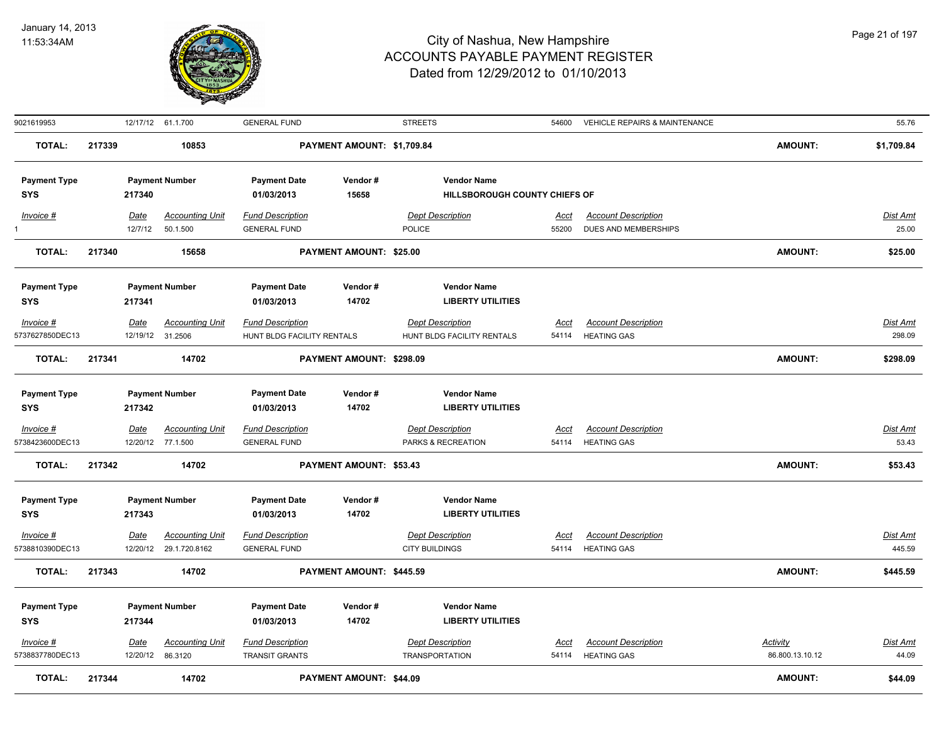

| 9021619953                     |        |                  | 12/17/12 61.1.700                 | <b>GENERAL FUND</b>                       |                                | <b>STREETS</b>                                   | 54600         | <b>VEHICLE REPAIRS &amp; MAINTENANCE</b>         |                                    | 55.76                    |
|--------------------------------|--------|------------------|-----------------------------------|-------------------------------------------|--------------------------------|--------------------------------------------------|---------------|--------------------------------------------------|------------------------------------|--------------------------|
| <b>TOTAL:</b>                  | 217339 |                  | 10853                             |                                           | PAYMENT AMOUNT: \$1,709.84     |                                                  |               |                                                  | <b>AMOUNT:</b>                     | \$1,709.84               |
| <b>Payment Type</b>            |        |                  | <b>Payment Number</b>             | <b>Payment Date</b>                       | Vendor#                        | <b>Vendor Name</b>                               |               |                                                  |                                    |                          |
| <b>SYS</b>                     |        | 217340           |                                   | 01/03/2013                                | 15658                          | HILLSBOROUGH COUNTY CHIEFS OF                    |               |                                                  |                                    |                          |
| Invoice #                      |        | Date             | <b>Accounting Unit</b>            | <b>Fund Description</b>                   |                                | <b>Dept Description</b>                          | Acct          | <b>Account Description</b>                       |                                    | Dist Amt                 |
|                                |        | 12/7/12          | 50.1.500                          | <b>GENERAL FUND</b>                       |                                | <b>POLICE</b>                                    | 55200         | DUES AND MEMBERSHIPS                             |                                    | 25.00                    |
| <b>TOTAL:</b>                  | 217340 |                  | 15658                             |                                           | PAYMENT AMOUNT: \$25.00        |                                                  |               |                                                  | <b>AMOUNT:</b>                     | \$25.00                  |
| <b>Payment Type</b>            |        |                  | <b>Payment Number</b>             | <b>Payment Date</b>                       | Vendor#                        | <b>Vendor Name</b>                               |               |                                                  |                                    |                          |
| <b>SYS</b>                     |        | 217341           |                                   | 01/03/2013                                | 14702                          | <b>LIBERTY UTILITIES</b>                         |               |                                                  |                                    |                          |
| $Invoice$ #                    |        | <u>Date</u>      | <b>Accounting Unit</b>            | <b>Fund Description</b>                   |                                | <b>Dept Description</b>                          | Acct          | <b>Account Description</b>                       |                                    | <b>Dist Amt</b>          |
| 5737627850DEC13                |        |                  | 12/19/12 31.2506                  | HUNT BLDG FACILITY RENTALS                |                                | HUNT BLDG FACILITY RENTALS                       | 54114         | <b>HEATING GAS</b>                               |                                    | 298.09                   |
| TOTAL:                         | 217341 |                  | 14702                             |                                           | PAYMENT AMOUNT: \$298.09       |                                                  |               |                                                  | <b>AMOUNT:</b>                     | \$298.09                 |
| <b>Payment Type</b>            |        |                  | <b>Payment Number</b>             | <b>Payment Date</b>                       | Vendor#                        | <b>Vendor Name</b>                               |               |                                                  |                                    |                          |
| <b>SYS</b>                     |        | 217342           |                                   | 01/03/2013                                | 14702                          | <b>LIBERTY UTILITIES</b>                         |               |                                                  |                                    |                          |
| Invoice #                      |        | <u>Date</u>      | <u>Accounting Unit</u>            | <b>Fund Description</b>                   |                                | <b>Dept Description</b>                          | <u>Acct</u>   | <b>Account Description</b>                       |                                    | <u>Dist Amt</u>          |
| 5738423600DEC13                |        |                  | 12/20/12 77.1.500                 | <b>GENERAL FUND</b>                       |                                | PARKS & RECREATION                               | 54114         | <b>HEATING GAS</b>                               |                                    | 53.43                    |
| <b>TOTAL:</b>                  | 217342 |                  | 14702                             |                                           | PAYMENT AMOUNT: \$53.43        |                                                  |               |                                                  | <b>AMOUNT:</b>                     | \$53.43                  |
| <b>Payment Type</b>            |        |                  | <b>Payment Number</b>             | <b>Payment Date</b>                       | Vendor#                        | <b>Vendor Name</b>                               |               |                                                  |                                    |                          |
| <b>SYS</b>                     |        | 217343           |                                   | 01/03/2013                                | 14702                          | <b>LIBERTY UTILITIES</b>                         |               |                                                  |                                    |                          |
| $Invoice$ #                    |        | Date             | <b>Accounting Unit</b>            | <b>Fund Description</b>                   |                                | <b>Dept Description</b>                          | Acct          | <b>Account Description</b>                       |                                    | Dist Amt                 |
| 5738810390DEC13                |        |                  | 12/20/12 29.1.720.8162            | <b>GENERAL FUND</b>                       |                                | <b>CITY BUILDINGS</b>                            | 54114         | <b>HEATING GAS</b>                               |                                    | 445.59                   |
| TOTAL:                         | 217343 |                  | 14702                             |                                           | PAYMENT AMOUNT: \$445.59       |                                                  |               |                                                  | <b>AMOUNT:</b>                     | \$445.59                 |
| <b>Payment Type</b>            |        |                  | <b>Payment Number</b>             | <b>Payment Date</b>                       | Vendor#                        | <b>Vendor Name</b>                               |               |                                                  |                                    |                          |
| <b>SYS</b>                     |        | 217344           |                                   | 01/03/2013                                | 14702                          | <b>LIBERTY UTILITIES</b>                         |               |                                                  |                                    |                          |
| $Invoice$ #<br>5738837780DEC13 |        | Date<br>12/20/12 | <b>Accounting Unit</b><br>86.3120 | <b>Fund Description</b><br>TRANSIT GRANTS |                                | <b>Dept Description</b><br><b>TRANSPORTATION</b> | Acct<br>54114 | <b>Account Description</b><br><b>HEATING GAS</b> | <b>Activity</b><br>86.800.13.10.12 | <b>Dist Amt</b><br>44.09 |
| <b>TOTAL:</b>                  | 217344 |                  | 14702                             |                                           | <b>PAYMENT AMOUNT: \$44.09</b> |                                                  |               |                                                  | <b>AMOUNT:</b>                     | \$44.09                  |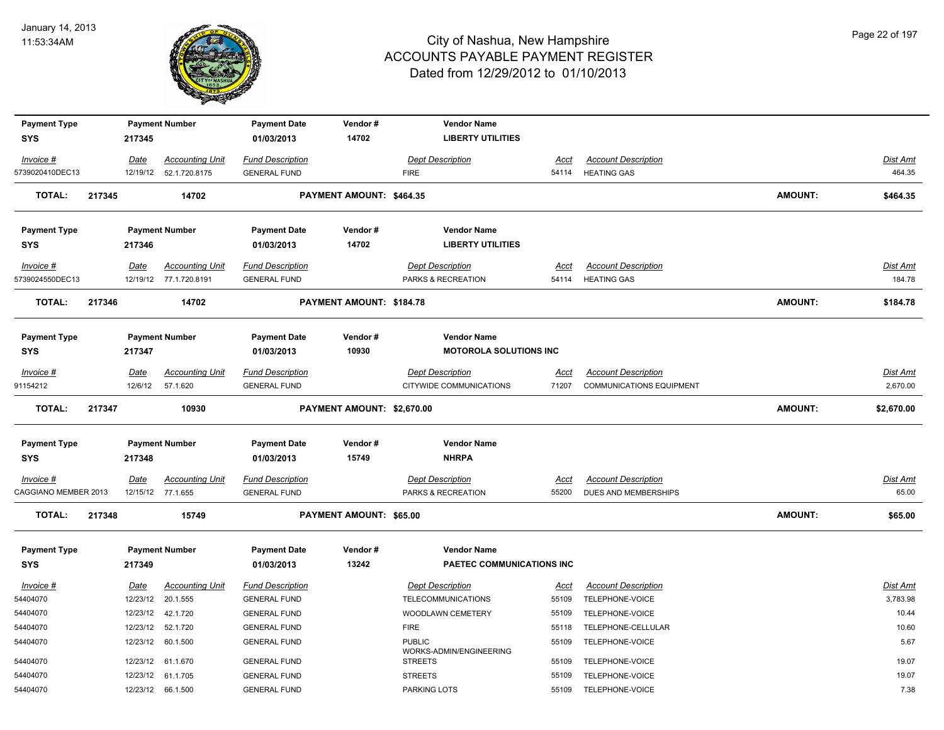

| <b>Payment Type</b>  |        |             | <b>Payment Number</b>   | <b>Payment Date</b>     | Vendor#                        | <b>Vendor Name</b>                       |             |                            |                |                 |
|----------------------|--------|-------------|-------------------------|-------------------------|--------------------------------|------------------------------------------|-------------|----------------------------|----------------|-----------------|
| <b>SYS</b>           |        | 217345      |                         | 01/03/2013              | 14702                          | <b>LIBERTY UTILITIES</b>                 |             |                            |                |                 |
| Invoice #            |        | Date        | <b>Accounting Unit</b>  | <b>Fund Description</b> |                                | <b>Dept Description</b>                  | Acct        | <b>Account Description</b> |                | Dist Amt        |
| 5739020410DEC13      |        |             | 12/19/12  52.1.720.8175 | <b>GENERAL FUND</b>     |                                | <b>FIRE</b>                              | 54114       | <b>HEATING GAS</b>         |                | 464.35          |
| <b>TOTAL:</b>        | 217345 |             | 14702                   |                         | PAYMENT AMOUNT: \$464.35       |                                          |             |                            | <b>AMOUNT:</b> | \$464.35        |
| <b>Payment Type</b>  |        |             | <b>Payment Number</b>   | <b>Payment Date</b>     | Vendor#                        | <b>Vendor Name</b>                       |             |                            |                |                 |
| <b>SYS</b>           |        | 217346      |                         | 01/03/2013              | 14702                          | <b>LIBERTY UTILITIES</b>                 |             |                            |                |                 |
| Invoice #            |        | Date        | <b>Accounting Unit</b>  | <b>Fund Description</b> |                                | <b>Dept Description</b>                  | Acct        | <b>Account Description</b> |                | Dist Amt        |
| 5739024550DEC13      |        |             | 12/19/12 77.1.720.8191  | <b>GENERAL FUND</b>     |                                | PARKS & RECREATION                       | 54114       | <b>HEATING GAS</b>         |                | 184.78          |
| <b>TOTAL:</b>        | 217346 |             | 14702                   |                         | PAYMENT AMOUNT: \$184.78       |                                          |             |                            | AMOUNT:        | \$184.78        |
| <b>Payment Type</b>  |        |             | <b>Payment Number</b>   | <b>Payment Date</b>     | Vendor#                        | <b>Vendor Name</b>                       |             |                            |                |                 |
| <b>SYS</b>           |        | 217347      |                         | 01/03/2013              | 10930                          | <b>MOTOROLA SOLUTIONS INC</b>            |             |                            |                |                 |
| Invoice #            |        | <u>Date</u> | <b>Accounting Unit</b>  | <b>Fund Description</b> |                                | <b>Dept Description</b>                  | <u>Acct</u> | <b>Account Description</b> |                | <b>Dist Amt</b> |
| 91154212             |        | 12/6/12     | 57.1.620                | <b>GENERAL FUND</b>     |                                | CITYWIDE COMMUNICATIONS                  | 71207       | COMMUNICATIONS EQUIPMENT   |                | 2.670.00        |
| TOTAL:               | 217347 |             | 10930                   |                         | PAYMENT AMOUNT: \$2,670.00     |                                          |             |                            | <b>AMOUNT:</b> | \$2,670.00      |
| <b>Payment Type</b>  |        |             | <b>Payment Number</b>   | <b>Payment Date</b>     | Vendor#                        | <b>Vendor Name</b>                       |             |                            |                |                 |
| <b>SYS</b>           |        | 217348      |                         | 01/03/2013              | 15749                          | <b>NHRPA</b>                             |             |                            |                |                 |
| $Invoice$ #          |        | Date        | <b>Accounting Unit</b>  | <b>Fund Description</b> |                                | <b>Dept Description</b>                  | <u>Acct</u> | <b>Account Description</b> |                | <b>Dist Amt</b> |
| CAGGIANO MEMBER 2013 |        |             | 12/15/12 77.1.655       | <b>GENERAL FUND</b>     |                                | PARKS & RECREATION                       | 55200       | DUES AND MEMBERSHIPS       |                | 65.00           |
| <b>TOTAL:</b>        | 217348 |             | 15749                   |                         | <b>PAYMENT AMOUNT: \$65.00</b> |                                          |             |                            | <b>AMOUNT:</b> | \$65.00         |
| <b>Payment Type</b>  |        |             | <b>Payment Number</b>   | <b>Payment Date</b>     | Vendor#                        | <b>Vendor Name</b>                       |             |                            |                |                 |
| <b>SYS</b>           |        | 217349      |                         | 01/03/2013              | 13242                          | PAETEC COMMUNICATIONS INC                |             |                            |                |                 |
| Invoice #            |        | Date        | <b>Accounting Unit</b>  | <b>Fund Description</b> |                                | <b>Dept Description</b>                  | <b>Acct</b> | <b>Account Description</b> |                | Dist Amt        |
| 54404070             |        | 12/23/12    | 20.1.555                | <b>GENERAL FUND</b>     |                                | <b>TELECOMMUNICATIONS</b>                | 55109       | TELEPHONE-VOICE            |                | 3,783.98        |
| 54404070             |        |             | 12/23/12  42.1.720      | <b>GENERAL FUND</b>     |                                | WOODLAWN CEMETERY                        | 55109       | TELEPHONE-VOICE            |                | 10.44           |
| 54404070             |        | 12/23/12    | 52.1.720                | <b>GENERAL FUND</b>     |                                | <b>FIRE</b>                              | 55118       | TELEPHONE-CELLULAR         |                | 10.60           |
| 54404070             |        | 12/23/12    | 60.1.500                | <b>GENERAL FUND</b>     |                                | <b>PUBLIC</b><br>WORKS-ADMIN/ENGINEERING | 55109       | TELEPHONE-VOICE            |                | 5.67            |
| 54404070             |        |             | 12/23/12 61.1.670       | <b>GENERAL FUND</b>     |                                | <b>STREETS</b>                           | 55109       | TELEPHONE-VOICE            |                | 19.07           |
| 54404070             |        |             | 12/23/12 61.1.705       | <b>GENERAL FUND</b>     |                                | <b>STREETS</b>                           | 55109       | TELEPHONE-VOICE            |                | 19.07           |
| 54404070             |        |             | 12/23/12 66.1.500       | <b>GENERAL FUND</b>     |                                | PARKING LOTS                             | 55109       | TELEPHONE-VOICE            |                | 7.38            |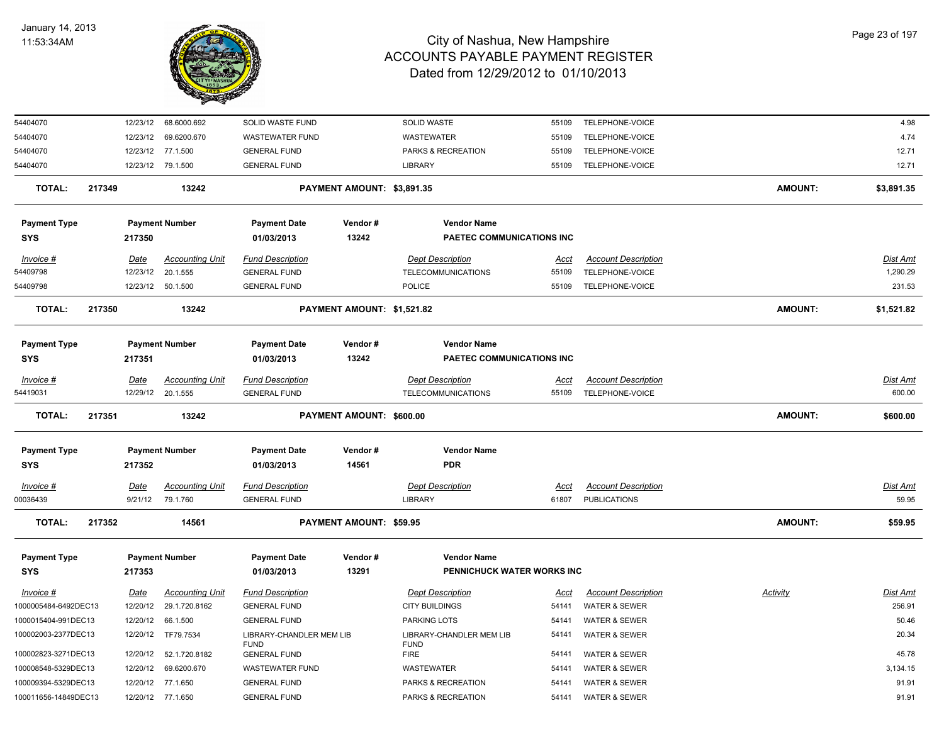

| 54404070             |        |             | 12/23/12 68.6000.692   | SOLID WASTE FUND                        |                            | <b>SOLID WASTE</b>                      | 55109       | TELEPHONE-VOICE            |                | 4.98            |
|----------------------|--------|-------------|------------------------|-----------------------------------------|----------------------------|-----------------------------------------|-------------|----------------------------|----------------|-----------------|
| 54404070             |        |             | 12/23/12 69.6200.670   | <b>WASTEWATER FUND</b>                  |                            | WASTEWATER                              | 55109       | TELEPHONE-VOICE            |                | 4.74            |
| 54404070             |        |             | 12/23/12 77.1.500      | <b>GENERAL FUND</b>                     |                            | PARKS & RECREATION                      | 55109       | TELEPHONE-VOICE            |                | 12.71           |
| 54404070             |        |             | 12/23/12 79.1.500      | <b>GENERAL FUND</b>                     |                            | LIBRARY                                 | 55109       | TELEPHONE-VOICE            |                | 12.71           |
| <b>TOTAL:</b>        | 217349 |             | 13242                  |                                         | PAYMENT AMOUNT: \$3,891.35 |                                         |             |                            | <b>AMOUNT:</b> | \$3,891.35      |
| <b>Payment Type</b>  |        |             | <b>Payment Number</b>  | <b>Payment Date</b>                     | Vendor#                    | <b>Vendor Name</b>                      |             |                            |                |                 |
| <b>SYS</b>           |        | 217350      |                        | 01/03/2013                              | 13242                      | PAETEC COMMUNICATIONS INC               |             |                            |                |                 |
| Invoice #            |        | Date        | <b>Accounting Unit</b> | <b>Fund Description</b>                 |                            | <b>Dept Description</b>                 | Acct        | <b>Account Description</b> |                | <b>Dist Amt</b> |
| 54409798             |        | 12/23/12    | 20.1.555               | <b>GENERAL FUND</b>                     |                            | <b>TELECOMMUNICATIONS</b>               | 55109       | TELEPHONE-VOICE            |                | 1,290.29        |
| 54409798             |        |             | 12/23/12 50.1.500      | <b>GENERAL FUND</b>                     |                            | <b>POLICE</b>                           | 55109       | TELEPHONE-VOICE            |                | 231.53          |
| <b>TOTAL:</b>        | 217350 |             | 13242                  |                                         | PAYMENT AMOUNT: \$1,521.82 |                                         |             |                            | <b>AMOUNT:</b> | \$1,521.82      |
| <b>Payment Type</b>  |        |             | <b>Payment Number</b>  | <b>Payment Date</b>                     | Vendor#                    | <b>Vendor Name</b>                      |             |                            |                |                 |
| <b>SYS</b>           |        | 217351      |                        | 01/03/2013                              | 13242                      | PAETEC COMMUNICATIONS INC               |             |                            |                |                 |
| Invoice #            |        | Date        | <b>Accounting Unit</b> | <b>Fund Description</b>                 |                            | <b>Dept Description</b>                 | Acct        | <b>Account Description</b> |                | Dist Amt        |
| 54419031             |        |             | 12/29/12 20.1.555      | <b>GENERAL FUND</b>                     |                            | <b>TELECOMMUNICATIONS</b>               | 55109       | TELEPHONE-VOICE            |                | 600.00          |
| <b>TOTAL:</b>        | 217351 |             | 13242                  |                                         | PAYMENT AMOUNT: \$600.00   |                                         |             |                            | <b>AMOUNT:</b> | \$600.00        |
| <b>Payment Type</b>  |        |             | <b>Payment Number</b>  | <b>Payment Date</b>                     | Vendor#                    | <b>Vendor Name</b>                      |             |                            |                |                 |
| <b>SYS</b>           |        | 217352      |                        | 01/03/2013                              | 14561                      | <b>PDR</b>                              |             |                            |                |                 |
| Invoice #            |        | <b>Date</b> | <b>Accounting Unit</b> | <b>Fund Description</b>                 |                            | <b>Dept Description</b>                 | <u>Acct</u> | <b>Account Description</b> |                | <b>Dist Amt</b> |
| 00036439             |        | 9/21/12     | 79.1.760               | <b>GENERAL FUND</b>                     |                            | <b>LIBRARY</b>                          | 61807       | <b>PUBLICATIONS</b>        |                | 59.95           |
| <b>TOTAL:</b>        | 217352 |             | 14561                  |                                         | PAYMENT AMOUNT: \$59.95    |                                         |             |                            | <b>AMOUNT:</b> | \$59.95         |
| <b>Payment Type</b>  |        |             | <b>Payment Number</b>  | <b>Payment Date</b>                     | Vendor#                    | <b>Vendor Name</b>                      |             |                            |                |                 |
| <b>SYS</b>           |        | 217353      |                        | 01/03/2013                              | 13291                      | PENNICHUCK WATER WORKS INC              |             |                            |                |                 |
| Invoice #            |        | Date        | <b>Accounting Unit</b> | <b>Fund Description</b>                 |                            | <b>Dept Description</b>                 | Acct        | <b>Account Description</b> | Activity       | Dist Amt        |
| 1000005484-6492DEC13 |        | 12/20/12    | 29.1.720.8162          | <b>GENERAL FUND</b>                     |                            | <b>CITY BUILDINGS</b>                   | 54141       | <b>WATER &amp; SEWER</b>   |                | 256.91          |
| 1000015404-991DEC13  |        | 12/20/12    | 66.1.500               | <b>GENERAL FUND</b>                     |                            | <b>PARKING LOTS</b>                     | 54141       | <b>WATER &amp; SEWER</b>   |                | 50.46           |
| 100002003-2377DEC13  |        | 12/20/12    | TF79.7534              | LIBRARY-CHANDLER MEM LIB<br><b>FUND</b> |                            | LIBRARY-CHANDLER MEM LIB<br><b>FUND</b> | 54141       | <b>WATER &amp; SEWER</b>   |                | 20.34           |
| 100002823-3271DEC13  |        | 12/20/12    | 52.1.720.8182          | <b>GENERAL FUND</b>                     |                            | <b>FIRE</b>                             | 54141       | <b>WATER &amp; SEWER</b>   |                | 45.78           |
| 100008548-5329DEC13  |        | 12/20/12    | 69.6200.670            | <b>WASTEWATER FUND</b>                  |                            | WASTEWATER                              | 54141       | <b>WATER &amp; SEWER</b>   |                | 3,134.15        |
| 100009394-5329DEC13  |        | 12/20/12    | 77.1.650               | <b>GENERAL FUND</b>                     |                            | PARKS & RECREATION                      | 54141       | <b>WATER &amp; SEWER</b>   |                | 91.91           |
| 100011656-14849DEC13 |        | 12/20/12    | 77.1.650               | <b>GENERAL FUND</b>                     |                            | PARKS & RECREATION                      | 54141       | <b>WATER &amp; SEWER</b>   |                | 91.91           |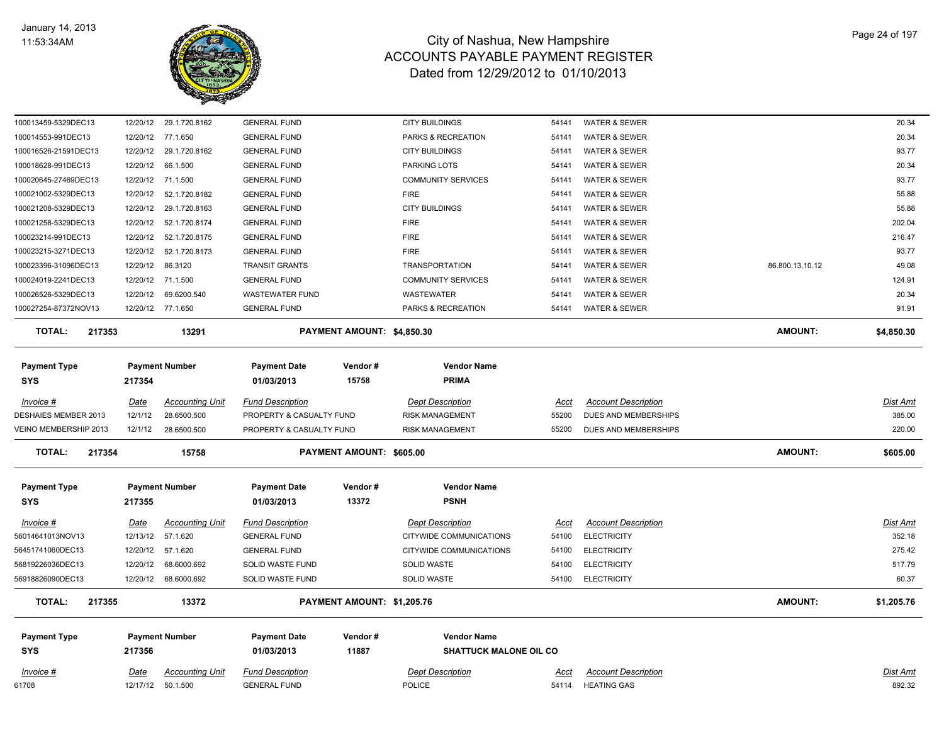

| Date                  | <b>Accounting Unit</b> | <b>Fund Description</b>                                                                                                                                                                               |                                            | <b>Dept Description</b>                              | <u>Acct</u>                                                                                                                                                                                       | <b>Account Description</b>                               |                                                                                                                           | <b>Dist Amt</b> |
|-----------------------|------------------------|-------------------------------------------------------------------------------------------------------------------------------------------------------------------------------------------------------|--------------------------------------------|------------------------------------------------------|---------------------------------------------------------------------------------------------------------------------------------------------------------------------------------------------------|----------------------------------------------------------|---------------------------------------------------------------------------------------------------------------------------|-----------------|
| 217356                |                        | <b>Payment Date</b><br>01/03/2013                                                                                                                                                                     | Vendor#<br>11887                           | <b>Vendor Name</b>                                   |                                                                                                                                                                                                   |                                                          |                                                                                                                           |                 |
| 217355                | 13372                  |                                                                                                                                                                                                       |                                            |                                                      |                                                                                                                                                                                                   |                                                          | AMOUNT:                                                                                                                   | \$1,205.76      |
|                       | 68.6000.692            | <b>SOLID WASTE FUND</b>                                                                                                                                                                               |                                            | SOLID WASTE                                          | 54100                                                                                                                                                                                             | <b>ELECTRICITY</b>                                       |                                                                                                                           | 60.37           |
| 12/20/12              | 68.6000.692            | SOLID WASTE FUND                                                                                                                                                                                      |                                            | SOLID WASTE                                          | 54100                                                                                                                                                                                             | <b>ELECTRICITY</b>                                       |                                                                                                                           | 517.79          |
| 12/20/12              | 57.1.620               | <b>GENERAL FUND</b>                                                                                                                                                                                   |                                            | CITYWIDE COMMUNICATIONS                              | 54100                                                                                                                                                                                             | <b>ELECTRICITY</b>                                       |                                                                                                                           | 275.42          |
| 12/13/12              | 57.1.620               | <b>GENERAL FUND</b>                                                                                                                                                                                   |                                            | CITYWIDE COMMUNICATIONS                              | 54100                                                                                                                                                                                             | <b>ELECTRICITY</b>                                       |                                                                                                                           | 352.18          |
| Date                  | <b>Accounting Unit</b> | <b>Fund Description</b>                                                                                                                                                                               |                                            | <b>Dept Description</b>                              | Acct                                                                                                                                                                                              | <b>Account Description</b>                               |                                                                                                                           | Dist Amt        |
| 217355                |                        | <b>Payment Date</b><br>01/03/2013                                                                                                                                                                     | Vendor#<br>13372                           | <b>Vendor Name</b><br><b>PSNH</b>                    |                                                                                                                                                                                                   |                                                          |                                                                                                                           |                 |
| 217354                | 15758                  |                                                                                                                                                                                                       |                                            |                                                      |                                                                                                                                                                                                   |                                                          | <b>AMOUNT:</b>                                                                                                            | \$605.00        |
|                       |                        |                                                                                                                                                                                                       |                                            |                                                      |                                                                                                                                                                                                   |                                                          |                                                                                                                           | 220.00          |
|                       |                        |                                                                                                                                                                                                       |                                            |                                                      |                                                                                                                                                                                                   |                                                          |                                                                                                                           | 385.00          |
| Date                  | <b>Accounting Unit</b> | <b>Fund Description</b>                                                                                                                                                                               |                                            | <b>Dept Description</b>                              | Acct                                                                                                                                                                                              | <b>Account Description</b>                               |                                                                                                                           | <b>Dist Amt</b> |
| 217354                |                        | <b>Payment Date</b><br>01/03/2013                                                                                                                                                                     | Vendor#<br>15758                           | <b>Vendor Name</b><br><b>PRIMA</b>                   |                                                                                                                                                                                                   |                                                          |                                                                                                                           |                 |
| 217353                | 13291                  |                                                                                                                                                                                                       |                                            |                                                      |                                                                                                                                                                                                   |                                                          | AMOUNT:                                                                                                                   | \$4,850.30      |
|                       |                        |                                                                                                                                                                                                       |                                            |                                                      |                                                                                                                                                                                                   |                                                          |                                                                                                                           | 91.91           |
| 12/20/12              | 69.6200.540            | <b>WASTEWATER FUND</b>                                                                                                                                                                                |                                            | WASTEWATER                                           | 54141                                                                                                                                                                                             | WATER & SEWER                                            |                                                                                                                           | 20.34           |
|                       |                        | <b>GENERAL FUND</b>                                                                                                                                                                                   |                                            | <b>COMMUNITY SERVICES</b>                            | 54141                                                                                                                                                                                             | <b>WATER &amp; SEWER</b>                                 |                                                                                                                           | 124.91          |
| 12/20/12              | 86.3120                | <b>TRANSIT GRANTS</b>                                                                                                                                                                                 |                                            | <b>TRANSPORTATION</b>                                | 54141                                                                                                                                                                                             | <b>WATER &amp; SEWER</b>                                 | 86.800.13.10.12                                                                                                           | 49.08           |
| 12/20/12              | 52.1.720.8173          | <b>GENERAL FUND</b>                                                                                                                                                                                   |                                            | <b>FIRE</b>                                          | 54141                                                                                                                                                                                             | <b>WATER &amp; SEWER</b>                                 |                                                                                                                           | 93.77           |
| 12/20/12              | 52.1.720.8175          | <b>GENERAL FUND</b>                                                                                                                                                                                   |                                            | <b>FIRE</b>                                          | 54141                                                                                                                                                                                             | <b>WATER &amp; SEWER</b>                                 |                                                                                                                           | 216.47          |
| 12/20/12              | 52.1.720.8174          | <b>GENERAL FUND</b>                                                                                                                                                                                   |                                            | <b>FIRE</b>                                          | 54141                                                                                                                                                                                             | <b>WATER &amp; SEWER</b>                                 |                                                                                                                           | 202.04          |
| 12/20/12              | 29.1.720.8163          | <b>GENERAL FUND</b>                                                                                                                                                                                   |                                            | <b>CITY BUILDINGS</b>                                | 54141                                                                                                                                                                                             | WATER & SEWER                                            |                                                                                                                           | 55.88           |
| 12/20/12              | 52.1.720.8182          | <b>GENERAL FUND</b>                                                                                                                                                                                   |                                            | <b>FIRE</b>                                          | 54141                                                                                                                                                                                             | <b>WATER &amp; SEWER</b>                                 |                                                                                                                           | 55.88           |
|                       |                        | <b>GENERAL FUND</b>                                                                                                                                                                                   |                                            | <b>COMMUNITY SERVICES</b>                            | 54141                                                                                                                                                                                             | <b>WATER &amp; SEWER</b>                                 |                                                                                                                           | 93.77           |
| 12/20/12              | 66.1.500               | <b>GENERAL FUND</b>                                                                                                                                                                                   |                                            | PARKING LOTS                                         | 54141                                                                                                                                                                                             | <b>WATER &amp; SEWER</b>                                 |                                                                                                                           | 20.34           |
| 12/20/12              | 29.1.720.8162          | <b>GENERAL FUND</b>                                                                                                                                                                                   |                                            | <b>CITY BUILDINGS</b>                                | 54141                                                                                                                                                                                             | <b>WATER &amp; SEWER</b>                                 |                                                                                                                           | 93.77           |
| 12/20/12              | 77.1.650               | <b>GENERAL FUND</b>                                                                                                                                                                                   |                                            | PARKS & RECREATION                                   | 54141                                                                                                                                                                                             | <b>WATER &amp; SEWER</b>                                 |                                                                                                                           | 20.34           |
| 12/20/12              | 29.1.720.8162          | <b>GENERAL FUND</b>                                                                                                                                                                                   |                                            |                                                      | 54141                                                                                                                                                                                             |                                                          |                                                                                                                           |                 |
| VEINO MEMBERSHIP 2013 | 12/1/12<br>12/1/12     | 12/20/12 71.1.500<br>12/20/12 71.1.500<br>12/20/12 77.1.650<br><b>Payment Number</b><br>28.6500.500<br>28.6500.500<br><b>Payment Number</b><br>12/20/12<br><b>Payment Number</b><br>12/17/12 50.1.500 | <b>GENERAL FUND</b><br><b>GENERAL FUND</b> | PROPERTY & CASUALTY FUND<br>PROPERTY & CASUALTY FUND | <b>CITY BUILDINGS</b><br>PARKS & RECREATION<br>PAYMENT AMOUNT: \$4,850.30<br>RISK MANAGEMENT<br><b>RISK MANAGEMENT</b><br>PAYMENT AMOUNT: \$605.00<br>PAYMENT AMOUNT: \$1,205.76<br><b>POLICE</b> | 54141<br>55200<br>55200<br><b>SHATTUCK MALONE OIL CO</b> | <b>WATER &amp; SEWER</b><br><b>WATER &amp; SEWER</b><br>DUES AND MEMBERSHIPS<br>DUES AND MEMBERSHIPS<br>54114 HEATING GAS |                 |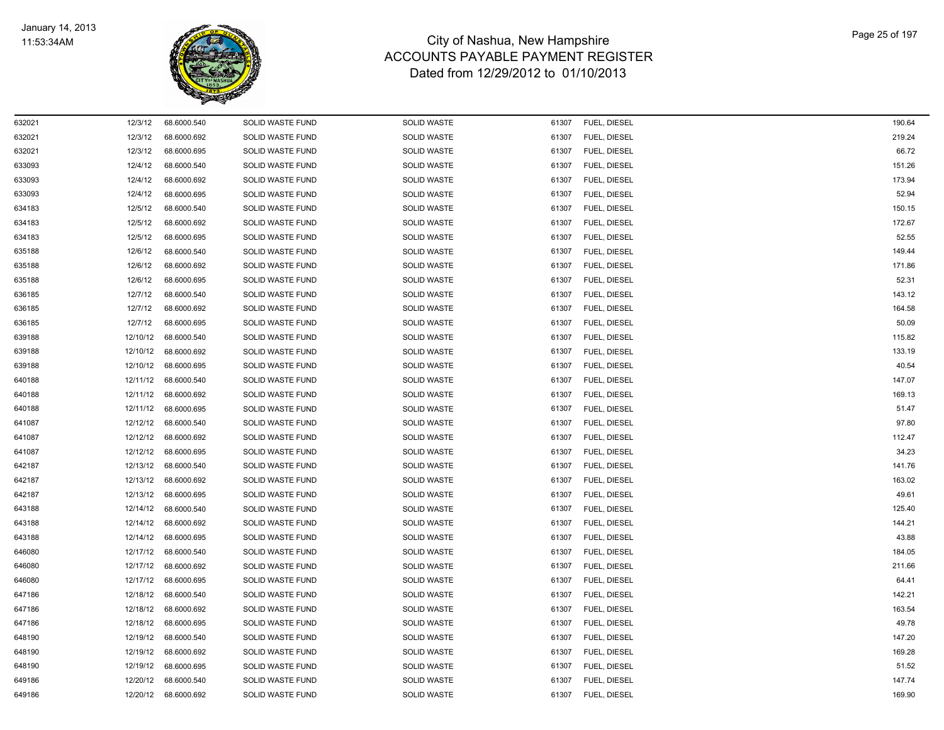

| 632021 | 12/3/12  | 68.6000.540          | SOLID WASTE FUND        | <b>SOLID WASTE</b> | 61307 | FUEL, DIESEL | 190.64 |
|--------|----------|----------------------|-------------------------|--------------------|-------|--------------|--------|
| 632021 | 12/3/12  | 68.6000.692          | SOLID WASTE FUND        | <b>SOLID WASTE</b> | 61307 | FUEL, DIESEL | 219.24 |
| 632021 | 12/3/12  | 68.6000.695          | SOLID WASTE FUND        | SOLID WASTE        | 61307 | FUEL, DIESEL | 66.72  |
| 633093 | 12/4/12  | 68.6000.540          | SOLID WASTE FUND        | SOLID WASTE        | 61307 | FUEL, DIESEL | 151.26 |
| 633093 | 12/4/12  | 68.6000.692          | SOLID WASTE FUND        | SOLID WASTE        | 61307 | FUEL, DIESEL | 173.94 |
| 633093 | 12/4/12  | 68.6000.695          | <b>SOLID WASTE FUND</b> | <b>SOLID WASTE</b> | 61307 | FUEL, DIESEL | 52.94  |
| 634183 | 12/5/12  | 68.6000.540          | SOLID WASTE FUND        | SOLID WASTE        | 61307 | FUEL, DIESEL | 150.15 |
| 634183 | 12/5/12  | 68.6000.692          | SOLID WASTE FUND        | SOLID WASTE        | 61307 | FUEL, DIESEL | 172.67 |
| 634183 | 12/5/12  | 68.6000.695          | SOLID WASTE FUND        | <b>SOLID WASTE</b> | 61307 | FUEL, DIESEL | 52.55  |
| 635188 | 12/6/12  | 68.6000.540          | SOLID WASTE FUND        | SOLID WASTE        | 61307 | FUEL, DIESEL | 149.44 |
| 635188 | 12/6/12  | 68.6000.692          | SOLID WASTE FUND        | SOLID WASTE        | 61307 | FUEL, DIESEL | 171.86 |
| 635188 | 12/6/12  | 68.6000.695          | SOLID WASTE FUND        | SOLID WASTE        | 61307 | FUEL, DIESEL | 52.31  |
| 636185 | 12/7/12  | 68.6000.540          | <b>SOLID WASTE FUND</b> | <b>SOLID WASTE</b> | 61307 | FUEL, DIESEL | 143.12 |
| 636185 | 12/7/12  | 68.6000.692          | SOLID WASTE FUND        | <b>SOLID WASTE</b> | 61307 | FUEL, DIESEL | 164.58 |
| 636185 | 12/7/12  | 68.6000.695          | SOLID WASTE FUND        | <b>SOLID WASTE</b> | 61307 | FUEL, DIESEL | 50.09  |
| 639188 | 12/10/12 | 68.6000.540          | SOLID WASTE FUND        | <b>SOLID WASTE</b> | 61307 | FUEL, DIESEL | 115.82 |
| 639188 | 12/10/12 | 68.6000.692          | SOLID WASTE FUND        | <b>SOLID WASTE</b> | 61307 | FUEL, DIESEL | 133.19 |
| 639188 |          | 12/10/12 68.6000.695 | SOLID WASTE FUND        | SOLID WASTE        | 61307 | FUEL, DIESEL | 40.54  |
| 640188 | 12/11/12 | 68.6000.540          | SOLID WASTE FUND        | SOLID WASTE        | 61307 | FUEL, DIESEL | 147.07 |
| 640188 | 12/11/12 | 68.6000.692          | <b>SOLID WASTE FUND</b> | <b>SOLID WASTE</b> | 61307 | FUEL, DIESEL | 169.13 |
| 640188 |          | 12/11/12 68.6000.695 | SOLID WASTE FUND        | SOLID WASTE        | 61307 | FUEL, DIESEL | 51.47  |
| 641087 | 12/12/12 | 68.6000.540          | SOLID WASTE FUND        | SOLID WASTE        | 61307 | FUEL, DIESEL | 97.80  |
| 641087 | 12/12/12 | 68.6000.692          | SOLID WASTE FUND        | <b>SOLID WASTE</b> | 61307 | FUEL, DIESEL | 112.47 |
| 641087 | 12/12/12 | 68.6000.695          | SOLID WASTE FUND        | <b>SOLID WASTE</b> | 61307 | FUEL, DIESEL | 34.23  |
| 642187 | 12/13/12 | 68.6000.540          | SOLID WASTE FUND        | SOLID WASTE        | 61307 | FUEL, DIESEL | 141.76 |
| 642187 |          | 12/13/12 68.6000.692 | SOLID WASTE FUND        | SOLID WASTE        | 61307 | FUEL, DIESEL | 163.02 |
| 642187 | 12/13/12 | 68.6000.695          | <b>SOLID WASTE FUND</b> | <b>SOLID WASTE</b> | 61307 | FUEL, DIESEL | 49.61  |
| 643188 |          | 12/14/12 68.6000.540 | SOLID WASTE FUND        | SOLID WASTE        | 61307 | FUEL, DIESEL | 125.40 |
| 643188 |          | 12/14/12 68.6000.692 | SOLID WASTE FUND        | SOLID WASTE        | 61307 | FUEL, DIESEL | 144.21 |
| 643188 | 12/14/12 | 68.6000.695          | SOLID WASTE FUND        | <b>SOLID WASTE</b> | 61307 | FUEL, DIESEL | 43.88  |
| 646080 | 12/17/12 | 68.6000.540          | SOLID WASTE FUND        | <b>SOLID WASTE</b> | 61307 | FUEL, DIESEL | 184.05 |
| 646080 |          | 12/17/12 68.6000.692 | SOLID WASTE FUND        | SOLID WASTE        | 61307 | FUEL, DIESEL | 211.66 |
| 646080 | 12/17/12 | 68.6000.695          | SOLID WASTE FUND        | SOLID WASTE        | 61307 | FUEL, DIESEL | 64.41  |
| 647186 | 12/18/12 | 68.6000.540          | <b>SOLID WASTE FUND</b> | SOLID WASTE        | 61307 | FUEL, DIESEL | 142.21 |
| 647186 | 12/18/12 | 68.6000.692          | SOLID WASTE FUND        | SOLID WASTE        | 61307 | FUEL, DIESEL | 163.54 |
| 647186 | 12/18/12 | 68.6000.695          | SOLID WASTE FUND        | <b>SOLID WASTE</b> | 61307 | FUEL, DIESEL | 49.78  |
| 648190 | 12/19/12 | 68.6000.540          | SOLID WASTE FUND        | <b>SOLID WASTE</b> | 61307 | FUEL, DIESEL | 147.20 |
| 648190 |          | 12/19/12 68.6000.692 | SOLID WASTE FUND        | <b>SOLID WASTE</b> | 61307 | FUEL, DIESEL | 169.28 |
| 648190 |          | 12/19/12 68.6000.695 | SOLID WASTE FUND        | <b>SOLID WASTE</b> | 61307 | FUEL, DIESEL | 51.52  |
| 649186 |          | 12/20/12 68.6000.540 | SOLID WASTE FUND        | SOLID WASTE        | 61307 | FUEL, DIESEL | 147.74 |
| 649186 | 12/20/12 | 68.6000.692          | SOLID WASTE FUND        | SOLID WASTE        | 61307 | FUEL, DIESEL | 169.90 |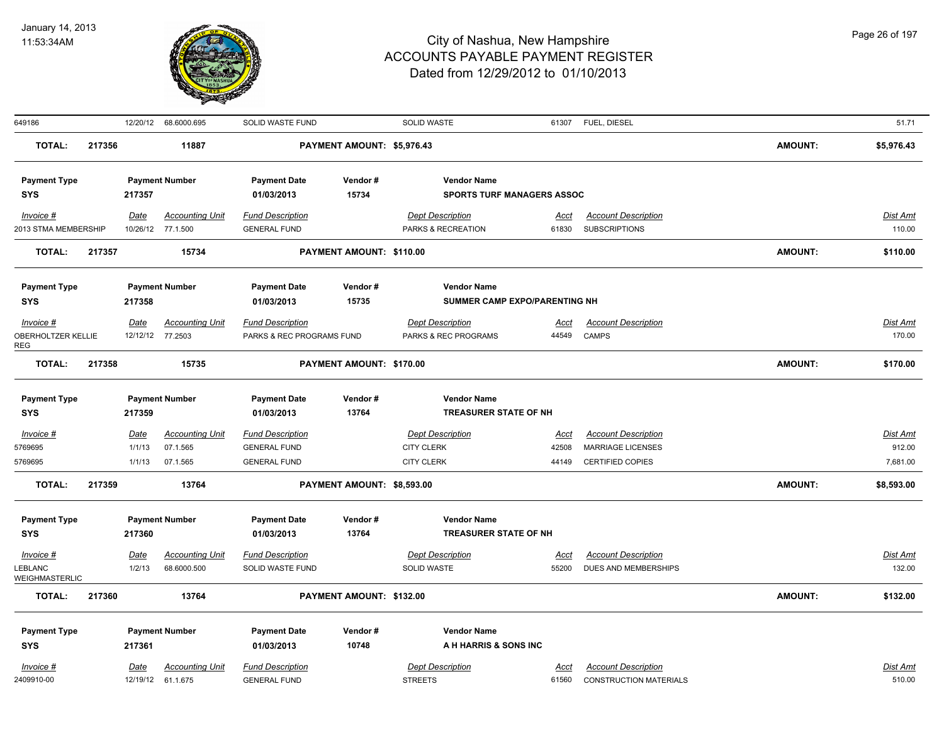

| 649186                    |        |             | 12/20/12 68.6000.695   | SOLID WASTE FUND          |                            | SOLID WASTE                       |             | 61307 FUEL, DIESEL            |                | 51.71           |
|---------------------------|--------|-------------|------------------------|---------------------------|----------------------------|-----------------------------------|-------------|-------------------------------|----------------|-----------------|
| <b>TOTAL:</b>             | 217356 |             | 11887                  |                           | PAYMENT AMOUNT: \$5,976.43 |                                   |             |                               | <b>AMOUNT:</b> | \$5,976.43      |
| <b>Payment Type</b>       |        |             | <b>Payment Number</b>  | <b>Payment Date</b>       | Vendor#                    | <b>Vendor Name</b>                |             |                               |                |                 |
| <b>SYS</b>                |        | 217357      |                        | 01/03/2013                | 15734                      | <b>SPORTS TURF MANAGERS ASSOC</b> |             |                               |                |                 |
| Invoice #                 |        | Date        | <b>Accounting Unit</b> | <b>Fund Description</b>   |                            | <b>Dept Description</b>           | Acct        | <b>Account Description</b>    |                | Dist Amt        |
| 2013 STMA MEMBERSHIP      |        |             | 10/26/12 77.1.500      | <b>GENERAL FUND</b>       |                            | PARKS & RECREATION                | 61830       | <b>SUBSCRIPTIONS</b>          |                | 110.00          |
| <b>TOTAL:</b>             | 217357 |             | 15734                  |                           | PAYMENT AMOUNT: \$110.00   |                                   |             |                               | <b>AMOUNT:</b> | \$110.00        |
| <b>Payment Type</b>       |        |             | <b>Payment Number</b>  | <b>Payment Date</b>       | Vendor#                    | <b>Vendor Name</b>                |             |                               |                |                 |
| <b>SYS</b>                |        | 217358      |                        | 01/03/2013                | 15735                      | SUMMER CAMP EXPO/PARENTING NH     |             |                               |                |                 |
| Invoice #                 |        | Date        | <b>Accounting Unit</b> | <b>Fund Description</b>   |                            | <b>Dept Description</b>           | <u>Acct</u> | <b>Account Description</b>    |                | Dist Amt        |
| OBERHOLTZER KELLIE        |        |             | 12/12/12 77.2503       | PARKS & REC PROGRAMS FUND |                            | PARKS & REC PROGRAMS              | 44549       | CAMPS                         |                | 170.00          |
| REG<br><b>TOTAL:</b>      | 217358 |             | 15735                  |                           | PAYMENT AMOUNT: \$170.00   |                                   |             |                               | <b>AMOUNT:</b> | \$170.00        |
|                           |        |             |                        |                           |                            |                                   |             |                               |                |                 |
| <b>Payment Type</b>       |        |             | <b>Payment Number</b>  | <b>Payment Date</b>       | Vendor#                    | <b>Vendor Name</b>                |             |                               |                |                 |
| <b>SYS</b>                |        | 217359      |                        | 01/03/2013                | 13764                      | <b>TREASURER STATE OF NH</b>      |             |                               |                |                 |
| Invoice #                 |        | Date        | <b>Accounting Unit</b> | <b>Fund Description</b>   |                            | <b>Dept Description</b>           | <u>Acct</u> | <b>Account Description</b>    |                | <b>Dist Amt</b> |
| 5769695                   |        | 1/1/13      | 07.1.565               | <b>GENERAL FUND</b>       |                            | <b>CITY CLERK</b>                 | 42508       | <b>MARRIAGE LICENSES</b>      |                | 912.00          |
| 5769695                   |        | 1/1/13      | 07.1.565               | <b>GENERAL FUND</b>       |                            | <b>CITY CLERK</b>                 | 44149       | <b>CERTIFIED COPIES</b>       |                | 7,681.00        |
| <b>TOTAL:</b>             | 217359 |             | 13764                  |                           | PAYMENT AMOUNT: \$8,593.00 |                                   |             |                               | <b>AMOUNT:</b> | \$8,593.00      |
| <b>Payment Type</b>       |        |             | <b>Payment Number</b>  | <b>Payment Date</b>       | Vendor#                    | <b>Vendor Name</b>                |             |                               |                |                 |
| <b>SYS</b>                |        | 217360      |                        | 01/03/2013                | 13764                      | <b>TREASURER STATE OF NH</b>      |             |                               |                |                 |
| $Invoice$ #               |        | Date        | <b>Accounting Unit</b> | <b>Fund Description</b>   |                            | <b>Dept Description</b>           | Acct        | <b>Account Description</b>    |                | <b>Dist Amt</b> |
| LEBLANC<br>WEIGHMASTERLIC |        | 1/2/13      | 68.6000.500            | SOLID WASTE FUND          |                            | SOLID WASTE                       | 55200       | DUES AND MEMBERSHIPS          |                | 132.00          |
| <b>TOTAL:</b>             | 217360 |             | 13764                  |                           | PAYMENT AMOUNT: \$132.00   |                                   |             |                               | <b>AMOUNT:</b> | \$132.00        |
| <b>Payment Type</b>       |        |             | <b>Payment Number</b>  | <b>Payment Date</b>       | Vendor#                    | <b>Vendor Name</b>                |             |                               |                |                 |
| <b>SYS</b>                |        | 217361      |                        | 01/03/2013                | 10748                      | A H HARRIS & SONS INC             |             |                               |                |                 |
| Invoice #                 |        | <u>Date</u> | <b>Accounting Unit</b> | <b>Fund Description</b>   |                            | <b>Dept Description</b>           | Acct        | <b>Account Description</b>    |                | Dist Amt        |
| 2409910-00                |        |             | 12/19/12 61.1.675      | <b>GENERAL FUND</b>       |                            | <b>STREETS</b>                    | 61560       | <b>CONSTRUCTION MATERIALS</b> |                | 510.00          |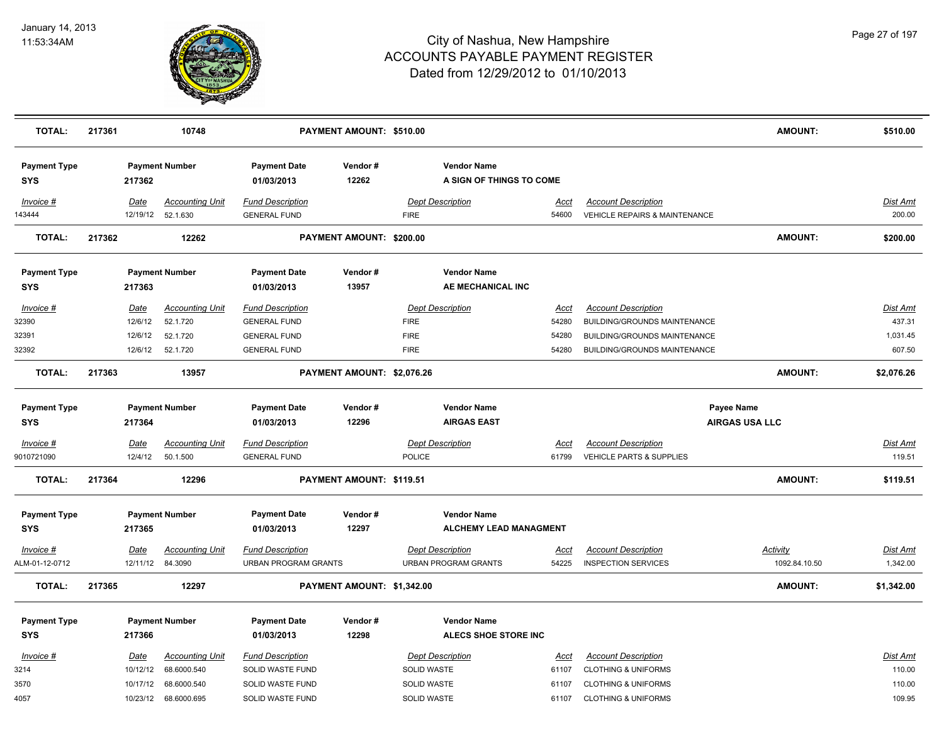

| <b>TOTAL:</b>                     | 217361      |                                 | 10748                  |                                   | PAYMENT AMOUNT: \$510.00   |                                                |             |                                          | <b>AMOUNT:</b>        | \$510.00        |
|-----------------------------------|-------------|---------------------------------|------------------------|-----------------------------------|----------------------------|------------------------------------------------|-------------|------------------------------------------|-----------------------|-----------------|
| <b>Payment Type</b><br><b>SYS</b> |             | <b>Payment Number</b><br>217362 |                        | <b>Payment Date</b><br>01/03/2013 | Vendor#<br>12262           | <b>Vendor Name</b><br>A SIGN OF THINGS TO COME |             |                                          |                       |                 |
| Invoice #                         | Date        |                                 | <b>Accounting Unit</b> | <b>Fund Description</b>           |                            | <b>Dept Description</b>                        | Acct        | <b>Account Description</b>               |                       | <b>Dist Amt</b> |
| 143444                            |             | 12/19/12 52.1.630               |                        | <b>GENERAL FUND</b>               |                            | <b>FIRE</b>                                    | 54600       | <b>VEHICLE REPAIRS &amp; MAINTENANCE</b> |                       | 200.00          |
| <b>TOTAL:</b>                     | 217362      |                                 | 12262                  |                                   | PAYMENT AMOUNT: \$200.00   |                                                |             |                                          | <b>AMOUNT:</b>        | \$200.00        |
| <b>Payment Type</b>               |             | <b>Payment Number</b>           |                        | <b>Payment Date</b>               | Vendor#                    | <b>Vendor Name</b>                             |             |                                          |                       |                 |
| <b>SYS</b>                        |             | 217363                          |                        | 01/03/2013                        | 13957                      | AE MECHANICAL INC                              |             |                                          |                       |                 |
| Invoice #                         | <u>Date</u> |                                 | <b>Accounting Unit</b> | <b>Fund Description</b>           |                            | <b>Dept Description</b>                        | <u>Acct</u> | <b>Account Description</b>               |                       | <u>Dist Amt</u> |
| 32390                             |             | 12/6/12                         | 52.1.720               | <b>GENERAL FUND</b>               |                            | <b>FIRE</b>                                    | 54280       | BUILDING/GROUNDS MAINTENANCE             |                       | 437.31          |
| 32391                             |             | 12/6/12                         | 52.1.720               | <b>GENERAL FUND</b>               |                            | <b>FIRE</b>                                    | 54280       | BUILDING/GROUNDS MAINTENANCE             |                       | 1,031.45        |
| 32392                             |             | 12/6/12                         | 52.1.720               | <b>GENERAL FUND</b>               |                            | <b>FIRE</b>                                    | 54280       | BUILDING/GROUNDS MAINTENANCE             |                       | 607.50          |
| <b>TOTAL:</b>                     | 217363      |                                 | 13957                  |                                   | PAYMENT AMOUNT: \$2,076.26 |                                                |             |                                          | <b>AMOUNT:</b>        | \$2,076.26      |
| <b>Payment Type</b>               |             | <b>Payment Number</b>           |                        | <b>Payment Date</b>               | Vendor#                    | <b>Vendor Name</b>                             |             | Payee Name                               |                       |                 |
| <b>SYS</b>                        |             | 217364                          |                        | 01/03/2013                        | 12296                      | <b>AIRGAS EAST</b>                             |             |                                          | <b>AIRGAS USA LLC</b> |                 |
| $Invoice$ #                       | Date        |                                 | <b>Accounting Unit</b> | <b>Fund Description</b>           |                            | <b>Dept Description</b>                        | <u>Acct</u> | <b>Account Description</b>               |                       | <b>Dist Amt</b> |
| 9010721090                        |             | 12/4/12                         | 50.1.500               | <b>GENERAL FUND</b>               |                            | <b>POLICE</b>                                  | 61799       | <b>VEHICLE PARTS &amp; SUPPLIES</b>      |                       | 119.51          |
| <b>TOTAL:</b>                     | 217364      |                                 | 12296                  |                                   | PAYMENT AMOUNT: \$119.51   |                                                |             |                                          | <b>AMOUNT:</b>        | \$119.51        |
| <b>Payment Type</b>               |             | <b>Payment Number</b>           |                        | <b>Payment Date</b>               | Vendor#                    | <b>Vendor Name</b>                             |             |                                          |                       |                 |
| <b>SYS</b>                        |             | 217365                          |                        | 01/03/2013                        | 12297                      | <b>ALCHEMY LEAD MANAGMENT</b>                  |             |                                          |                       |                 |
| Invoice #                         | Date        |                                 | <b>Accounting Unit</b> | <b>Fund Description</b>           |                            | <b>Dept Description</b>                        | <u>Acct</u> | <b>Account Description</b>               | <b>Activity</b>       | <b>Dist Amt</b> |
| ALM-01-12-0712                    |             | 12/11/12                        | 84.3090                | <b>URBAN PROGRAM GRANTS</b>       |                            | <b>URBAN PROGRAM GRANTS</b>                    | 54225       | <b>INSPECTION SERVICES</b>               | 1092.84.10.50         | 1,342.00        |
| <b>TOTAL:</b>                     | 217365      |                                 | 12297                  |                                   | PAYMENT AMOUNT: \$1,342.00 |                                                |             |                                          | <b>AMOUNT:</b>        | \$1,342.00      |
| <b>Payment Type</b>               |             | <b>Payment Number</b>           |                        | <b>Payment Date</b>               | Vendor#                    | <b>Vendor Name</b>                             |             |                                          |                       |                 |
| <b>SYS</b>                        |             | 217366                          |                        | 01/03/2013                        | 12298                      | <b>ALECS SHOE STORE INC</b>                    |             |                                          |                       |                 |
| Invoice #                         | Date        |                                 | <b>Accounting Unit</b> | <b>Fund Description</b>           |                            | <b>Dept Description</b>                        | Acct        | <b>Account Description</b>               |                       | Dist Amt        |
| 3214                              |             | 10/12/12                        | 68.6000.540            | SOLID WASTE FUND                  |                            | SOLID WASTE                                    | 61107       | <b>CLOTHING &amp; UNIFORMS</b>           |                       | 110.00          |
| 3570                              |             | 10/17/12                        | 68.6000.540            | SOLID WASTE FUND                  |                            | SOLID WASTE                                    | 61107       | <b>CLOTHING &amp; UNIFORMS</b>           |                       | 110.00          |
| 4057                              |             | 10/23/12                        | 68.6000.695            | <b>SOLID WASTE FUND</b>           |                            | <b>SOLID WASTE</b>                             | 61107       | <b>CLOTHING &amp; UNIFORMS</b>           |                       | 109.95          |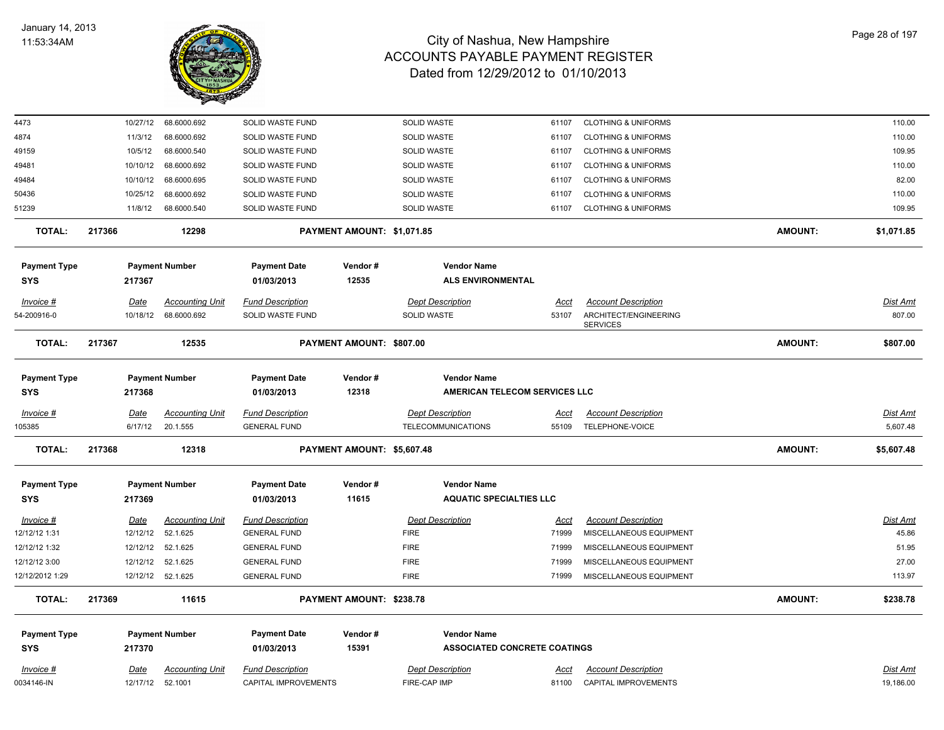

| 4473                       |        | 10/27/12    | 68.6000.692            | SOLID WASTE FUND                  |                            | <b>SOLID WASTE</b> |                                                            | 61107       | <b>CLOTHING &amp; UNIFORMS</b>           |                | 110.00          |
|----------------------------|--------|-------------|------------------------|-----------------------------------|----------------------------|--------------------|------------------------------------------------------------|-------------|------------------------------------------|----------------|-----------------|
| 4874                       |        | 11/3/12     | 68.6000.692            | SOLID WASTE FUND                  |                            | SOLID WASTE        |                                                            | 61107       | <b>CLOTHING &amp; UNIFORMS</b>           |                | 110.00          |
| 49159                      |        | 10/5/12     | 68.6000.540            | SOLID WASTE FUND                  |                            | SOLID WASTE        |                                                            | 61107       | <b>CLOTHING &amp; UNIFORMS</b>           |                | 109.95          |
| 49481                      |        | 10/10/12    | 68.6000.692            | SOLID WASTE FUND                  |                            | <b>SOLID WASTE</b> |                                                            | 61107       | <b>CLOTHING &amp; UNIFORMS</b>           |                | 110.00          |
| 49484                      |        | 10/10/12    | 68.6000.695            | SOLID WASTE FUND                  |                            | <b>SOLID WASTE</b> |                                                            | 61107       | <b>CLOTHING &amp; UNIFORMS</b>           |                | 82.00           |
| 50436                      |        | 10/25/12    | 68.6000.692            | SOLID WASTE FUND                  |                            | SOLID WASTE        |                                                            | 61107       | <b>CLOTHING &amp; UNIFORMS</b>           |                | 110.00          |
| 51239                      |        | 11/8/12     | 68.6000.540            | SOLID WASTE FUND                  |                            | <b>SOLID WASTE</b> |                                                            | 61107       | <b>CLOTHING &amp; UNIFORMS</b>           |                | 109.95          |
| <b>TOTAL:</b>              | 217366 |             | 12298                  |                                   | PAYMENT AMOUNT: \$1,071.85 |                    |                                                            |             |                                          | <b>AMOUNT:</b> | \$1,071.85      |
| <b>Payment Type</b><br>SYS |        | 217367      | <b>Payment Number</b>  | <b>Payment Date</b><br>01/03/2013 | Vendor#<br>12535           |                    | <b>Vendor Name</b><br><b>ALS ENVIRONMENTAL</b>             |             |                                          |                |                 |
| Invoice #                  |        | Date        | <b>Accounting Unit</b> | <b>Fund Description</b>           |                            |                    | <b>Dept Description</b>                                    | Acct        | <b>Account Description</b>               |                | <b>Dist Amt</b> |
| 54-200916-0                |        | 10/18/12    | 68.6000.692            | SOLID WASTE FUND                  |                            | <b>SOLID WASTE</b> |                                                            | 53107       | ARCHITECT/ENGINEERING<br><b>SERVICES</b> |                | 807.00          |
| <b>TOTAL:</b>              | 217367 |             | 12535                  |                                   | PAYMENT AMOUNT: \$807.00   |                    |                                                            |             |                                          | <b>AMOUNT:</b> | \$807.00        |
| <b>Payment Type</b><br>SYS |        | 217368      | <b>Payment Number</b>  | <b>Payment Date</b><br>01/03/2013 | Vendor#<br>12318           |                    | <b>Vendor Name</b><br><b>AMERICAN TELECOM SERVICES LLC</b> |             |                                          |                |                 |
| <b>Invoice #</b>           |        | <u>Date</u> | <b>Accounting Unit</b> | <b>Fund Description</b>           |                            |                    | <b>Dept Description</b>                                    | <u>Acct</u> | <b>Account Description</b>               |                | Dist Amt        |
| 105385                     |        | 6/17/12     | 20.1.555               | <b>GENERAL FUND</b>               |                            |                    | TELECOMMUNICATIONS                                         | 55109       | TELEPHONE-VOICE                          |                | 5,607.48        |
| <b>TOTAL:</b>              | 217368 |             | 12318                  |                                   | PAYMENT AMOUNT: \$5,607.48 |                    |                                                            |             |                                          | <b>AMOUNT:</b> | \$5,607.48      |
| <b>Payment Type</b>        |        |             | <b>Payment Number</b>  | <b>Payment Date</b>               | Vendor#                    |                    | <b>Vendor Name</b>                                         |             |                                          |                |                 |
| <b>SYS</b>                 |        | 217369      |                        | 01/03/2013                        | 11615                      |                    | <b>AQUATIC SPECIALTIES LLC</b>                             |             |                                          |                |                 |
| Invoice #                  |        | <u>Date</u> | <b>Accounting Unit</b> | <b>Fund Description</b>           |                            |                    | <b>Dept Description</b>                                    | <u>Acct</u> | <b>Account Description</b>               |                | <b>Dist Amt</b> |
| 12/12/12 1:31              |        | 12/12/12    | 52.1.625               | <b>GENERAL FUND</b>               |                            | <b>FIRE</b>        |                                                            | 71999       | MISCELLANEOUS EQUIPMENT                  |                | 45.86           |
| 12/12/12 1:32              |        | 12/12/12    | 52.1.625               | <b>GENERAL FUND</b>               |                            | <b>FIRE</b>        |                                                            | 71999       | MISCELLANEOUS EQUIPMENT                  |                | 51.95           |
| 12/12/12 3:00              |        | 12/12/12    | 52.1.625               | <b>GENERAL FUND</b>               |                            | <b>FIRE</b>        |                                                            | 71999       | MISCELLANEOUS EQUIPMENT                  |                | 27.00           |
| 12/12/2012 1:29            |        |             | 12/12/12 52.1.625      | <b>GENERAL FUND</b>               |                            | <b>FIRE</b>        |                                                            | 71999       | MISCELLANEOUS EQUIPMENT                  |                | 113.97          |
| <b>TOTAL:</b>              | 217369 |             | 11615                  |                                   | PAYMENT AMOUNT: \$238.78   |                    |                                                            |             |                                          | <b>AMOUNT:</b> | \$238.78        |
| <b>Payment Type</b>        |        |             | <b>Payment Number</b>  | <b>Payment Date</b>               | Vendor#                    |                    | <b>Vendor Name</b>                                         |             |                                          |                |                 |
| <b>SYS</b>                 |        | 217370      |                        | 01/03/2013                        | 15391                      |                    | <b>ASSOCIATED CONCRETE COATINGS</b>                        |             |                                          |                |                 |
| $Invoice$ #                |        | <u>Date</u> | <b>Accounting Unit</b> | <b>Fund Description</b>           |                            |                    | <b>Dept Description</b>                                    | <u>Acct</u> | <b>Account Description</b>               |                | <b>Dist Amt</b> |
| 0034146-IN                 |        | 12/17/12    | 52.1001                | CAPITAL IMPROVEMENTS              |                            | FIRE-CAP IMP       |                                                            | 81100       | <b>CAPITAL IMPROVEMENTS</b>              |                | 19,186.00       |
|                            |        |             |                        |                                   |                            |                    |                                                            |             |                                          |                |                 |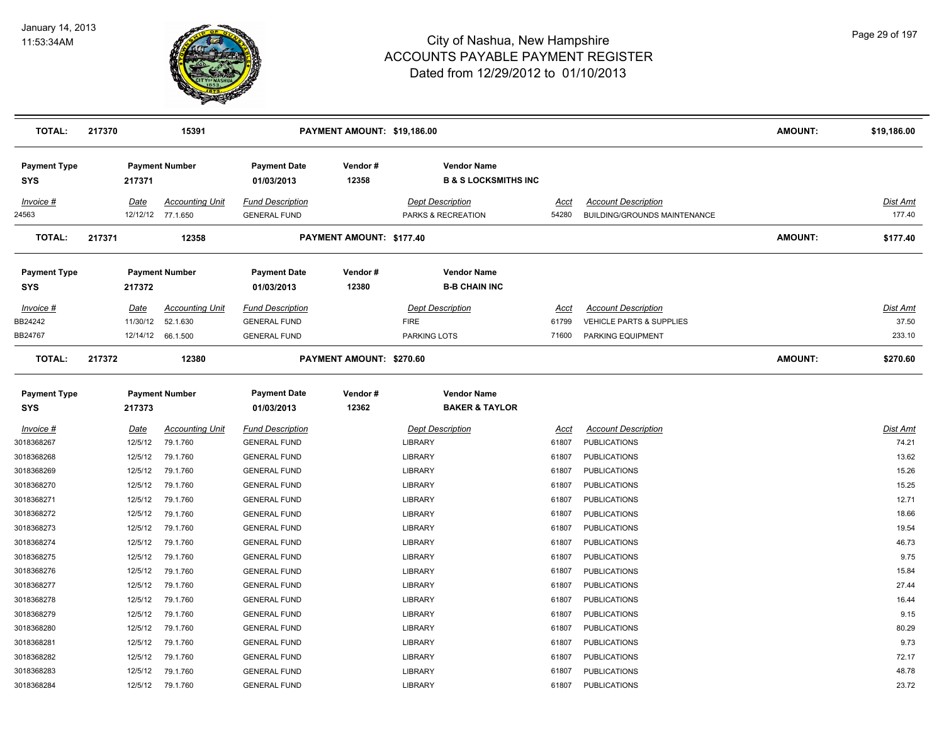

| <b>TOTAL:</b>                     | 217370      | 15391                                       |                                                | PAYMENT AMOUNT: \$19,186.00 |                                                       |               |                                                                   | <b>AMOUNT:</b> | \$19,186.00        |
|-----------------------------------|-------------|---------------------------------------------|------------------------------------------------|-----------------------------|-------------------------------------------------------|---------------|-------------------------------------------------------------------|----------------|--------------------|
| <b>Payment Type</b><br>SYS        | 217371      | <b>Payment Number</b>                       | <b>Payment Date</b><br>01/03/2013              | Vendor#<br>12358            | <b>Vendor Name</b><br><b>B &amp; S LOCKSMITHS INC</b> |               |                                                                   |                |                    |
| Invoice #<br>24563                | Date        | <b>Accounting Unit</b><br>12/12/12 77.1.650 | <b>Fund Description</b><br><b>GENERAL FUND</b> |                             | <b>Dept Description</b><br>PARKS & RECREATION         | Acct<br>54280 | <b>Account Description</b><br><b>BUILDING/GROUNDS MAINTENANCE</b> |                | Dist Amt<br>177.40 |
| <b>TOTAL:</b>                     | 217371      | 12358                                       |                                                | PAYMENT AMOUNT: \$177.40    |                                                       |               |                                                                   | <b>AMOUNT:</b> | \$177.40           |
| <b>Payment Type</b><br>SYS        | 217372      | <b>Payment Number</b>                       | <b>Payment Date</b><br>01/03/2013              | Vendor#<br>12380            | <b>Vendor Name</b><br><b>B-B CHAIN INC</b>            |               |                                                                   |                |                    |
| Invoice #                         | Date        | <b>Accounting Unit</b>                      | <b>Fund Description</b>                        |                             | Dept Description                                      | Acct          | <b>Account Description</b>                                        |                | Dist Amt           |
| BB24242                           | 11/30/12    | 52.1.630                                    | <b>GENERAL FUND</b>                            |                             | <b>FIRE</b>                                           | 61799         | <b>VEHICLE PARTS &amp; SUPPLIES</b>                               |                | 37.50              |
| BB24767                           |             | 12/14/12 66.1.500                           | <b>GENERAL FUND</b>                            |                             | <b>PARKING LOTS</b>                                   | 71600         | PARKING EQUIPMENT                                                 |                | 233.10             |
| <b>TOTAL:</b>                     | 217372      | 12380                                       |                                                | PAYMENT AMOUNT: \$270.60    |                                                       |               |                                                                   | <b>AMOUNT:</b> | \$270.60           |
| <b>Payment Type</b><br><b>SYS</b> | 217373      | <b>Payment Number</b>                       | <b>Payment Date</b><br>01/03/2013              | Vendor#<br>12362            | <b>Vendor Name</b><br><b>BAKER &amp; TAYLOR</b>       |               |                                                                   |                |                    |
| <b>Invoice #</b>                  | <u>Date</u> | <b>Accounting Unit</b>                      | <b>Fund Description</b>                        |                             | <b>Dept Description</b>                               | <u>Acct</u>   | <b>Account Description</b>                                        |                | Dist Amt           |
| 3018368267                        | 12/5/12     | 79.1.760                                    | <b>GENERAL FUND</b>                            |                             | <b>LIBRARY</b>                                        | 61807         | <b>PUBLICATIONS</b>                                               |                | 74.21              |
| 3018368268                        | 12/5/12     | 79.1.760                                    | <b>GENERAL FUND</b>                            |                             | LIBRARY                                               | 61807         | <b>PUBLICATIONS</b>                                               |                | 13.62              |
| 3018368269                        | 12/5/12     | 79.1.760                                    | <b>GENERAL FUND</b>                            |                             | <b>LIBRARY</b>                                        | 61807         | <b>PUBLICATIONS</b>                                               |                | 15.26              |
| 3018368270                        | 12/5/12     | 79.1.760                                    | <b>GENERAL FUND</b>                            |                             | LIBRARY                                               | 61807         | <b>PUBLICATIONS</b>                                               |                | 15.25              |
| 3018368271                        | 12/5/12     | 79.1.760                                    | <b>GENERAL FUND</b>                            |                             | LIBRARY                                               | 61807         | <b>PUBLICATIONS</b>                                               |                | 12.71              |
| 3018368272                        | 12/5/12     | 79.1.760                                    | <b>GENERAL FUND</b>                            |                             | LIBRARY                                               | 61807         | <b>PUBLICATIONS</b>                                               |                | 18.66              |
| 3018368273                        | 12/5/12     | 79.1.760                                    | <b>GENERAL FUND</b>                            |                             | <b>LIBRARY</b>                                        | 61807         | <b>PUBLICATIONS</b>                                               |                | 19.54              |
| 3018368274                        | 12/5/12     | 79.1.760                                    | <b>GENERAL FUND</b>                            |                             | <b>LIBRARY</b>                                        | 61807         | <b>PUBLICATIONS</b>                                               |                | 46.73              |
| 3018368275                        | 12/5/12     | 79.1.760                                    | <b>GENERAL FUND</b>                            |                             | <b>LIBRARY</b>                                        | 61807         | <b>PUBLICATIONS</b>                                               |                | 9.75               |
| 3018368276                        | 12/5/12     | 79.1.760                                    | <b>GENERAL FUND</b>                            |                             | <b>LIBRARY</b>                                        | 61807         | <b>PUBLICATIONS</b>                                               |                | 15.84              |
| 3018368277                        | 12/5/12     | 79.1.760                                    | <b>GENERAL FUND</b>                            |                             | <b>LIBRARY</b>                                        | 61807         | <b>PUBLICATIONS</b>                                               |                | 27.44              |
| 3018368278                        | 12/5/12     | 79.1.760                                    | <b>GENERAL FUND</b>                            |                             | LIBRARY                                               | 61807         | <b>PUBLICATIONS</b>                                               |                | 16.44              |
| 3018368279                        | 12/5/12     | 79.1.760                                    | <b>GENERAL FUND</b>                            |                             | LIBRARY                                               | 61807         | <b>PUBLICATIONS</b>                                               |                | 9.15               |
| 3018368280                        | 12/5/12     | 79.1.760                                    | <b>GENERAL FUND</b>                            |                             | LIBRARY                                               | 61807         | <b>PUBLICATIONS</b>                                               |                | 80.29              |
| 3018368281                        | 12/5/12     | 79.1.760                                    | <b>GENERAL FUND</b>                            |                             | <b>LIBRARY</b>                                        | 61807         | <b>PUBLICATIONS</b>                                               |                | 9.73               |
| 3018368282                        | 12/5/12     | 79.1.760                                    | <b>GENERAL FUND</b>                            |                             | <b>LIBRARY</b>                                        | 61807         | <b>PUBLICATIONS</b>                                               |                | 72.17              |
| 3018368283                        | 12/5/12     | 79.1.760                                    | <b>GENERAL FUND</b>                            |                             | LIBRARY                                               | 61807         | <b>PUBLICATIONS</b>                                               |                | 48.78              |
| 3018368284                        | 12/5/12     | 79.1.760                                    | <b>GENERAL FUND</b>                            |                             | LIBRARY                                               | 61807         | <b>PUBLICATIONS</b>                                               |                | 23.72              |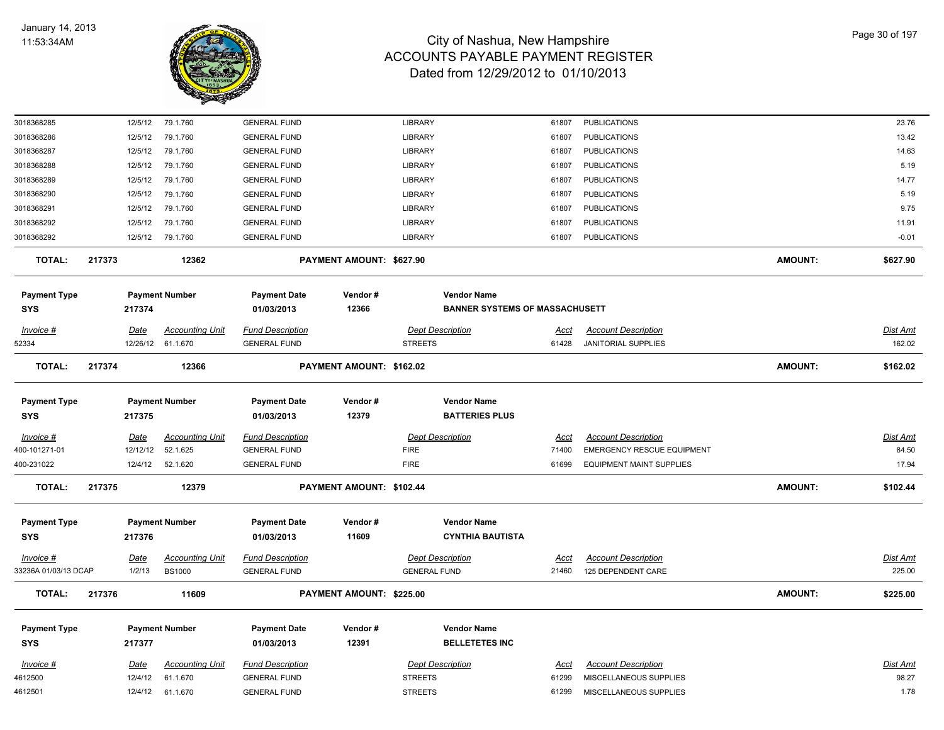

| 3018368285           |        | 12/5/12     | 79.1.760               | <b>GENERAL FUND</b>     |                          | <b>LIBRARY</b>          | 61807                                 | <b>PUBLICATIONS</b>               |                | 23.76           |
|----------------------|--------|-------------|------------------------|-------------------------|--------------------------|-------------------------|---------------------------------------|-----------------------------------|----------------|-----------------|
| 3018368286           |        | 12/5/12     | 79.1.760               | <b>GENERAL FUND</b>     |                          | LIBRARY                 | 61807                                 | <b>PUBLICATIONS</b>               |                | 13.42           |
| 3018368287           |        | 12/5/12     | 79.1.760               | <b>GENERAL FUND</b>     |                          | LIBRARY                 | 61807                                 | <b>PUBLICATIONS</b>               |                | 14.63           |
| 3018368288           |        | 12/5/12     | 79.1.760               | <b>GENERAL FUND</b>     |                          | LIBRARY                 | 61807                                 | <b>PUBLICATIONS</b>               |                | 5.19            |
| 3018368289           |        | 12/5/12     | 79.1.760               | <b>GENERAL FUND</b>     |                          | LIBRARY                 | 61807                                 | <b>PUBLICATIONS</b>               |                | 14.77           |
| 3018368290           |        | 12/5/12     | 79.1.760               | <b>GENERAL FUND</b>     |                          | LIBRARY                 | 61807                                 | <b>PUBLICATIONS</b>               |                | 5.19            |
| 3018368291           |        | 12/5/12     | 79.1.760               | <b>GENERAL FUND</b>     |                          | <b>LIBRARY</b>          | 61807                                 | <b>PUBLICATIONS</b>               |                | 9.75            |
| 3018368292           |        | 12/5/12     | 79.1.760               | <b>GENERAL FUND</b>     |                          | LIBRARY                 | 61807                                 | <b>PUBLICATIONS</b>               |                | 11.91           |
| 3018368292           |        | 12/5/12     | 79.1.760               | <b>GENERAL FUND</b>     |                          | <b>LIBRARY</b>          | 61807                                 | <b>PUBLICATIONS</b>               |                | $-0.01$         |
| <b>TOTAL:</b>        | 217373 |             | 12362                  |                         | PAYMENT AMOUNT: \$627.90 |                         |                                       |                                   | <b>AMOUNT:</b> | \$627.90        |
| <b>Payment Type</b>  |        |             | <b>Payment Number</b>  | <b>Payment Date</b>     | Vendor#                  | <b>Vendor Name</b>      |                                       |                                   |                |                 |
| <b>SYS</b>           |        | 217374      |                        | 01/03/2013              | 12366                    |                         | <b>BANNER SYSTEMS OF MASSACHUSETT</b> |                                   |                |                 |
| Invoice #            |        | <u>Date</u> | <b>Accounting Unit</b> | <u>Fund Description</u> |                          | <b>Dept Description</b> | <u>Acct</u>                           | <b>Account Description</b>        |                | Dist Amt        |
| 52334                |        |             | 12/26/12 61.1.670      | <b>GENERAL FUND</b>     |                          | <b>STREETS</b>          | 61428                                 | <b>JANITORIAL SUPPLIES</b>        |                | 162.02          |
| <b>TOTAL:</b>        | 217374 |             | 12366                  |                         | PAYMENT AMOUNT: \$162.02 |                         |                                       |                                   | <b>AMOUNT:</b> | \$162.02        |
|                      |        |             |                        |                         |                          |                         |                                       |                                   |                |                 |
| <b>Payment Type</b>  |        |             | <b>Payment Number</b>  | <b>Payment Date</b>     | Vendor#                  | <b>Vendor Name</b>      |                                       |                                   |                |                 |
| SYS                  |        | 217375      |                        | 01/03/2013              | 12379                    | <b>BATTERIES PLUS</b>   |                                       |                                   |                |                 |
| Invoice #            |        | Date        | <b>Accounting Unit</b> | <b>Fund Description</b> |                          | <b>Dept Description</b> | Acct                                  | <b>Account Description</b>        |                | <b>Dist Amt</b> |
| 400-101271-01        |        | 12/12/12    | 52.1.625               | <b>GENERAL FUND</b>     |                          | <b>FIRE</b>             | 71400                                 | <b>EMERGENCY RESCUE EQUIPMENT</b> |                | 84.50           |
| 400-231022           |        | 12/4/12     | 52.1.620               | <b>GENERAL FUND</b>     |                          | <b>FIRE</b>             | 61699                                 | <b>EQUIPMENT MAINT SUPPLIES</b>   |                | 17.94           |
| <b>TOTAL:</b>        | 217375 |             | 12379                  |                         | PAYMENT AMOUNT: \$102.44 |                         |                                       |                                   | <b>AMOUNT:</b> | \$102.44        |
| <b>Payment Type</b>  |        |             | <b>Payment Number</b>  | <b>Payment Date</b>     | Vendor#                  | <b>Vendor Name</b>      |                                       |                                   |                |                 |
| SYS                  |        | 217376      |                        | 01/03/2013              | 11609                    |                         | <b>CYNTHIA BAUTISTA</b>               |                                   |                |                 |
|                      |        |             |                        |                         |                          |                         |                                       |                                   |                |                 |
| Invoice #            |        | <b>Date</b> | <b>Accounting Unit</b> | <b>Fund Description</b> |                          | <b>Dept Description</b> | <u>Acct</u>                           | <b>Account Description</b>        |                | <b>Dist Amt</b> |
| 33236A 01/03/13 DCAP |        | 1/2/13      | <b>BS1000</b>          | <b>GENERAL FUND</b>     |                          | <b>GENERAL FUND</b>     | 21460                                 | 125 DEPENDENT CARE                |                | 225.00          |
| TOTAL:               | 217376 |             | 11609                  |                         | PAYMENT AMOUNT: \$225.00 |                         |                                       |                                   | <b>AMOUNT:</b> | \$225.00        |
| <b>Payment Type</b>  |        |             | <b>Payment Number</b>  | <b>Payment Date</b>     | Vendor#                  | <b>Vendor Name</b>      |                                       |                                   |                |                 |
| SYS                  |        | 217377      |                        | 01/03/2013              | 12391                    | <b>BELLETETES INC</b>   |                                       |                                   |                |                 |
| Invoice #            |        | Date        | <b>Accounting Unit</b> | <b>Fund Description</b> |                          | <b>Dept Description</b> | Acct                                  | <b>Account Description</b>        |                | <b>Dist Amt</b> |
| 4612500              |        | 12/4/12     | 61.1.670               | <b>GENERAL FUND</b>     |                          | <b>STREETS</b>          | 61299                                 | MISCELLANEOUS SUPPLIES            |                | 98.27           |
| 4612501              |        | 12/4/12     | 61.1.670               | <b>GENERAL FUND</b>     |                          | <b>STREETS</b>          | 61299                                 | MISCELLANEOUS SUPPLIES            |                | 1.78            |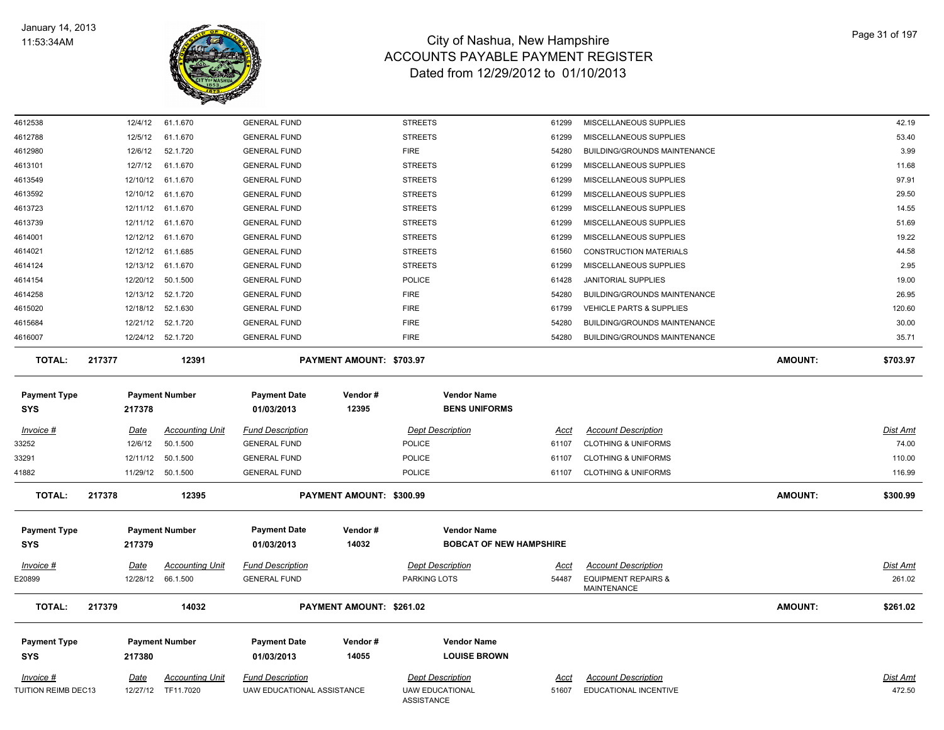

| 4612538                           | 12/4/12     | 61.1.670               | <b>GENERAL FUND</b>               |                          | <b>STREETS</b>                              | 61299 | MISCELLANEOUS SUPPLIES                        |                | 42.19           |
|-----------------------------------|-------------|------------------------|-----------------------------------|--------------------------|---------------------------------------------|-------|-----------------------------------------------|----------------|-----------------|
| 4612788                           | 12/5/12     | 61.1.670               | <b>GENERAL FUND</b>               |                          | <b>STREETS</b>                              | 61299 | MISCELLANEOUS SUPPLIES                        |                | 53.40           |
| 4612980                           | 12/6/12     | 52.1.720               | <b>GENERAL FUND</b>               |                          | <b>FIRE</b>                                 | 54280 | <b>BUILDING/GROUNDS MAINTENANCE</b>           |                | 3.99            |
| 4613101                           | 12/7/12     | 61.1.670               | <b>GENERAL FUND</b>               |                          | <b>STREETS</b>                              | 61299 | MISCELLANEOUS SUPPLIES                        |                | 11.68           |
| 4613549                           | 12/10/12    | 61.1.670               | <b>GENERAL FUND</b>               |                          | <b>STREETS</b>                              | 61299 | MISCELLANEOUS SUPPLIES                        |                | 97.91           |
| 4613592                           |             | 12/10/12 61.1.670      | <b>GENERAL FUND</b>               |                          | <b>STREETS</b>                              | 61299 | MISCELLANEOUS SUPPLIES                        |                | 29.50           |
| 4613723                           |             | 12/11/12 61.1.670      | <b>GENERAL FUND</b>               |                          | <b>STREETS</b>                              | 61299 | MISCELLANEOUS SUPPLIES                        |                | 14.55           |
| 4613739                           | 12/11/12    | 61.1.670               | <b>GENERAL FUND</b>               |                          | <b>STREETS</b>                              | 61299 | MISCELLANEOUS SUPPLIES                        |                | 51.69           |
| 4614001                           | 12/12/12    | 61.1.670               | <b>GENERAL FUND</b>               |                          | <b>STREETS</b>                              | 61299 | MISCELLANEOUS SUPPLIES                        |                | 19.22           |
| 4614021                           | 12/12/12    | 61.1.685               | <b>GENERAL FUND</b>               |                          | <b>STREETS</b>                              | 61560 | <b>CONSTRUCTION MATERIALS</b>                 |                | 44.58           |
| 4614124                           |             | 12/13/12 61.1.670      | <b>GENERAL FUND</b>               |                          | <b>STREETS</b>                              | 61299 | MISCELLANEOUS SUPPLIES                        |                | 2.95            |
| 4614154                           |             | 12/20/12 50.1.500      | <b>GENERAL FUND</b>               |                          | POLICE                                      | 61428 | JANITORIAL SUPPLIES                           |                | 19.00           |
| 4614258                           |             | 12/13/12 52.1.720      | <b>GENERAL FUND</b>               |                          | <b>FIRE</b>                                 | 54280 | <b>BUILDING/GROUNDS MAINTENANCE</b>           |                | 26.95           |
| 4615020                           | 12/18/12    | 52.1.630               | <b>GENERAL FUND</b>               |                          | <b>FIRE</b>                                 | 61799 | VEHICLE PARTS & SUPPLIES                      |                | 120.60          |
| 4615684                           | 12/21/12    | 52.1.720               | <b>GENERAL FUND</b>               |                          | <b>FIRE</b>                                 | 54280 | <b>BUILDING/GROUNDS MAINTENANCE</b>           |                | 30.00           |
| 4616007                           |             | 12/24/12 52.1.720      | <b>GENERAL FUND</b>               |                          | <b>FIRE</b>                                 | 54280 | BUILDING/GROUNDS MAINTENANCE                  |                | 35.71           |
| <b>TOTAL:</b>                     | 217377      | 12391                  |                                   | PAYMENT AMOUNT: \$703.97 |                                             |       |                                               | <b>AMOUNT:</b> | \$703.97        |
| <b>Payment Type</b><br><b>SYS</b> | 217378      | <b>Payment Number</b>  | <b>Payment Date</b><br>01/03/2013 | Vendor#<br>12395         | <b>Vendor Name</b><br><b>BENS UNIFORMS</b>  |       |                                               |                |                 |
| Invoice #                         | <u>Date</u> | <b>Accounting Unit</b> | <b>Fund Description</b>           |                          | <b>Dept Description</b>                     | Acct  | <b>Account Description</b>                    |                | <b>Dist Amt</b> |
| 33252                             | 12/6/12     | 50.1.500               | <b>GENERAL FUND</b>               |                          | <b>POLICE</b>                               | 61107 | <b>CLOTHING &amp; UNIFORMS</b>                |                | 74.00           |
| 33291                             | 12/11/12    | 50.1.500               | <b>GENERAL FUND</b>               |                          | POLICE                                      | 61107 | <b>CLOTHING &amp; UNIFORMS</b>                |                | 110.00          |
| 41882                             |             | 11/29/12 50.1.500      | <b>GENERAL FUND</b>               |                          | POLICE                                      | 61107 | <b>CLOTHING &amp; UNIFORMS</b>                |                | 116.99          |
| <b>TOTAL:</b>                     | 217378      | 12395                  |                                   | PAYMENT AMOUNT: \$300.99 |                                             |       |                                               | <b>AMOUNT:</b> | \$300.99        |
| <b>Payment Type</b>               |             | <b>Payment Number</b>  | <b>Payment Date</b>               | Vendor#                  | <b>Vendor Name</b>                          |       |                                               |                |                 |
| <b>SYS</b>                        | 217379      |                        | 01/03/2013                        | 14032                    | <b>BOBCAT OF NEW HAMPSHIRE</b>              |       |                                               |                |                 |
|                                   |             |                        |                                   |                          |                                             |       |                                               |                |                 |
| $Invoice$ #                       | <u>Date</u> | <b>Accounting Unit</b> | <b>Fund Description</b>           |                          | <b>Dept Description</b>                     | Acct  | <b>Account Description</b>                    |                | Dist Amt        |
| E20899                            | 12/28/12    | 66.1.500               | <b>GENERAL FUND</b>               |                          | PARKING LOTS                                | 54487 | <b>EQUIPMENT REPAIRS &amp;</b><br>MAINTENANCE |                | 261.02          |
| <b>TOTAL:</b>                     | 217379      | 14032                  |                                   | PAYMENT AMOUNT: \$261.02 |                                             |       |                                               | <b>AMOUNT:</b> | \$261.02        |
| <b>Payment Type</b>               |             | <b>Payment Number</b>  | <b>Payment Date</b>               | Vendor#                  | <b>Vendor Name</b>                          |       |                                               |                |                 |
| <b>SYS</b>                        | 217380      |                        | 01/03/2013                        | 14055                    | <b>LOUISE BROWN</b>                         |       |                                               |                |                 |
| Invoice #                         | Date        | <b>Accounting Unit</b> | <b>Fund Description</b>           |                          | <b>Dept Description</b>                     | Acct  | <b>Account Description</b>                    |                | <b>Dist Amt</b> |
| TUITION REIMB DEC13               |             | 12/27/12 TF11.7020     | UAW EDUCATIONAL ASSISTANCE        |                          | <b>UAW EDUCATIONAL</b><br><b>ASSISTANCE</b> | 51607 | EDUCATIONAL INCENTIVE                         |                | 472.50          |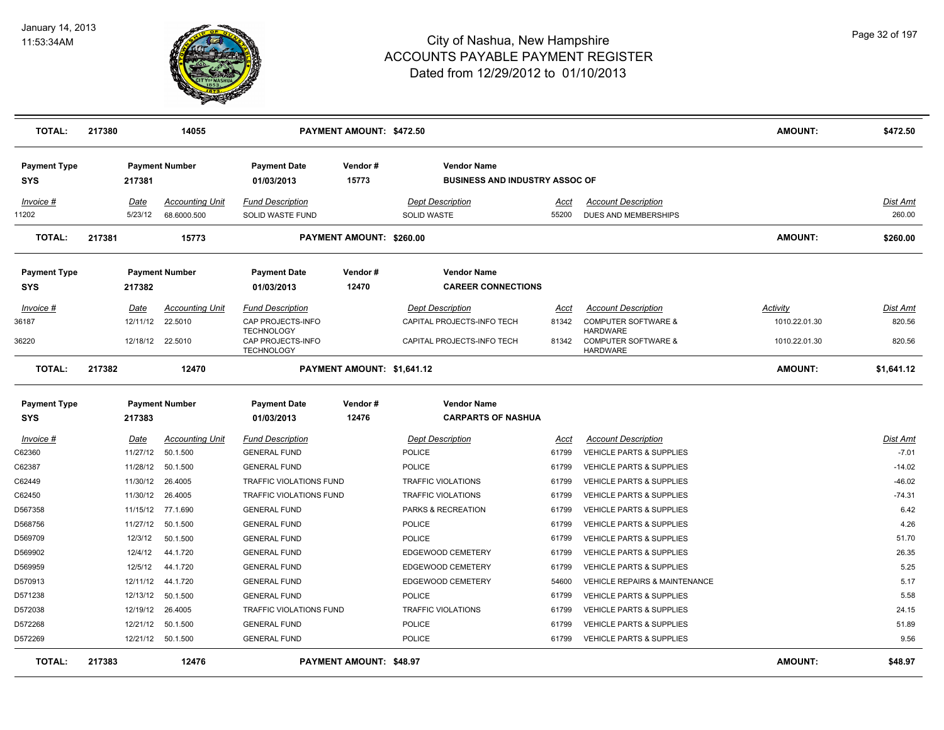

| <b>TOTAL:</b>                     | 217380 |                 | 14055                                 |                                             | PAYMENT AMOUNT: \$472.50        |                                                             |               |                                                           | <b>AMOUNT:</b> | \$472.50                  |
|-----------------------------------|--------|-----------------|---------------------------------------|---------------------------------------------|---------------------------------|-------------------------------------------------------------|---------------|-----------------------------------------------------------|----------------|---------------------------|
| <b>Payment Type</b><br>SYS        |        | 217381          | <b>Payment Number</b>                 | <b>Payment Date</b><br>01/03/2013           | Vendor#<br>15773                | <b>Vendor Name</b><br><b>BUSINESS AND INDUSTRY ASSOC OF</b> |               |                                                           |                |                           |
| Invoice #<br>1202                 |        | Date<br>5/23/12 | <b>Accounting Unit</b><br>68.6000.500 | <b>Fund Description</b><br>SOLID WASTE FUND |                                 | <b>Dept Description</b><br><b>SOLID WASTE</b>               | Acct<br>55200 | <b>Account Description</b><br><b>DUES AND MEMBERSHIPS</b> |                | <b>Dist Amt</b><br>260.00 |
| <b>TOTAL:</b>                     | 217381 |                 | 15773                                 |                                             | <b>PAYMENT AMOUNT: \$260.00</b> |                                                             |               |                                                           | <b>AMOUNT:</b> | \$260.00                  |
| <b>Payment Type</b><br><b>SYS</b> |        | 217382          | <b>Payment Number</b>                 | <b>Payment Date</b><br>01/03/2013           | Vendor#<br>12470                | <b>Vendor Name</b><br><b>CAREER CONNECTIONS</b>             |               |                                                           |                |                           |
| Invoice #                         |        | Date            | <b>Accounting Unit</b>                | <b>Fund Description</b>                     |                                 | <b>Dept Description</b>                                     | Acct          | <b>Account Description</b>                                | Activity       | <b>Dist Amt</b>           |
| 36187                             |        | 12/11/12        | 22.5010                               | CAP PROJECTS-INFO<br><b>TECHNOLOGY</b>      |                                 | CAPITAL PROJECTS-INFO TECH                                  | 81342         | COMPUTER SOFTWARE &<br><b>HARDWARE</b>                    | 1010.22.01.30  | 820.56                    |
| 36220                             |        | 12/18/12        | 22.5010                               | CAP PROJECTS-INFO<br><b>TECHNOLOGY</b>      |                                 | CAPITAL PROJECTS-INFO TECH                                  | 81342         | <b>COMPUTER SOFTWARE &amp;</b><br><b>HARDWARE</b>         | 1010.22.01.30  | 820.56                    |
| <b>TOTAL:</b>                     | 217382 |                 | 12470                                 |                                             | PAYMENT AMOUNT: \$1,641.12      |                                                             |               |                                                           | <b>AMOUNT:</b> | \$1,641.12                |
| <b>Payment Type</b><br><b>SYS</b> |        | 217383          | <b>Payment Number</b>                 | <b>Payment Date</b><br>01/03/2013           | Vendor#<br>12476                | <b>Vendor Name</b><br><b>CARPARTS OF NASHUA</b>             |               |                                                           |                |                           |
| Invoice #                         |        | <u>Date</u>     | <b>Accounting Unit</b>                | <b>Fund Description</b>                     |                                 | <b>Dept Description</b>                                     | <u>Acct</u>   | <b>Account Description</b>                                |                | <b>Dist Amt</b>           |
| C62360                            |        | 11/27/12        | 50.1.500                              | <b>GENERAL FUND</b>                         |                                 | POLICE                                                      | 61799         | <b>VEHICLE PARTS &amp; SUPPLIES</b>                       |                | $-7.01$                   |
| C62387                            |        | 11/28/12        | 50.1.500                              | <b>GENERAL FUND</b>                         |                                 | POLICE                                                      | 61799         | <b>VEHICLE PARTS &amp; SUPPLIES</b>                       |                | $-14.02$                  |
| C62449                            |        | 11/30/12        | 26.4005                               | <b>TRAFFIC VIOLATIONS FUND</b>              |                                 | <b>TRAFFIC VIOLATIONS</b>                                   | 61799         | VEHICLE PARTS & SUPPLIES                                  |                | $-46.02$                  |
| C62450                            |        | 11/30/12        | 26,4005                               | <b>TRAFFIC VIOLATIONS FUND</b>              |                                 | <b>TRAFFIC VIOLATIONS</b>                                   | 61799         | <b>VEHICLE PARTS &amp; SUPPLIES</b>                       |                | $-74.31$                  |
| D567358                           |        | 11/15/12        | 77.1.690                              | <b>GENERAL FUND</b>                         |                                 | PARKS & RECREATION                                          | 61799         | <b>VEHICLE PARTS &amp; SUPPLIES</b>                       |                | 6.42                      |
| D568756                           |        | 11/27/12        | 50.1.500                              | <b>GENERAL FUND</b>                         |                                 | <b>POLICE</b>                                               | 61799         | VEHICLE PARTS & SUPPLIES                                  |                | 4.26                      |
| D569709                           |        | 12/3/12         | 50.1.500                              | <b>GENERAL FUND</b>                         |                                 | <b>POLICE</b>                                               | 61799         | <b>VEHICLE PARTS &amp; SUPPLIES</b>                       |                | 51.70                     |
| D569902                           |        | 12/4/12         | 44.1.720                              | <b>GENERAL FUND</b>                         |                                 | EDGEWOOD CEMETERY                                           | 61799         | <b>VEHICLE PARTS &amp; SUPPLIES</b>                       |                | 26.35                     |
| D569959                           |        | 12/5/12         | 44.1.720                              | <b>GENERAL FUND</b>                         |                                 | EDGEWOOD CEMETERY                                           | 61799         | <b>VEHICLE PARTS &amp; SUPPLIES</b>                       |                | 5.25                      |
| D570913                           |        | 12/11/12        | 44.1.720                              | <b>GENERAL FUND</b>                         |                                 | EDGEWOOD CEMETERY                                           | 54600         | <b>VEHICLE REPAIRS &amp; MAINTENANCE</b>                  |                | 5.17                      |
| D571238                           |        | 12/13/12        | 50.1.500                              | <b>GENERAL FUND</b>                         |                                 | <b>POLICE</b>                                               | 61799         | <b>VEHICLE PARTS &amp; SUPPLIES</b>                       |                | 5.58                      |
| D572038                           |        | 12/19/12        | 26.4005                               | <b>TRAFFIC VIOLATIONS FUND</b>              |                                 | <b>TRAFFIC VIOLATIONS</b>                                   | 61799         | <b>VEHICLE PARTS &amp; SUPPLIES</b>                       |                | 24.15                     |
| D572268                           |        | 12/21/12        | 50.1.500                              | <b>GENERAL FUND</b>                         |                                 | <b>POLICE</b>                                               | 61799         | VEHICLE PARTS & SUPPLIES                                  |                | 51.89                     |
| D572269                           |        |                 | 12/21/12 50.1.500                     | <b>GENERAL FUND</b>                         |                                 | <b>POLICE</b>                                               | 61799         | <b>VEHICLE PARTS &amp; SUPPLIES</b>                       |                | 9.56                      |
| <b>TOTAL:</b>                     | 217383 |                 | 12476                                 |                                             | <b>PAYMENT AMOUNT: \$48.97</b>  |                                                             |               |                                                           | <b>AMOUNT:</b> | \$48.97                   |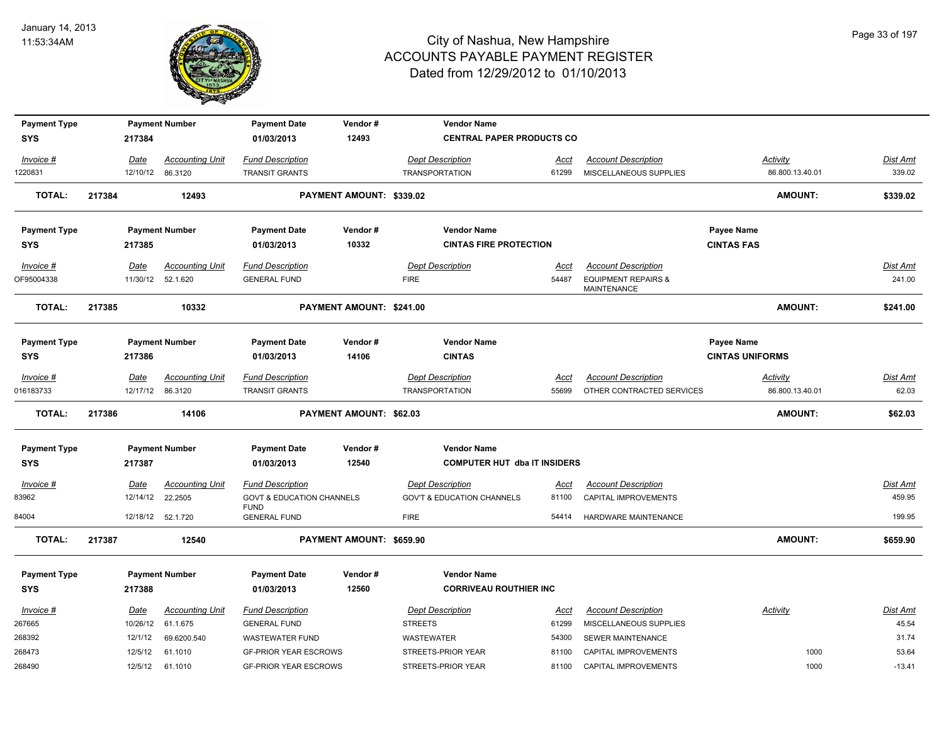

| <b>Payment Type</b>     |        |                         | <b>Payment Number</b>              | <b>Payment Date</b>                                 | Vendor#                        | <b>Vendor Name</b>                     |               |                                                                             |                        |                           |
|-------------------------|--------|-------------------------|------------------------------------|-----------------------------------------------------|--------------------------------|----------------------------------------|---------------|-----------------------------------------------------------------------------|------------------------|---------------------------|
| <b>SYS</b>              |        | 217384                  |                                    | 01/03/2013                                          | 12493                          | <b>CENTRAL PAPER PRODUCTS CO</b>       |               |                                                                             |                        |                           |
| Invoice #               |        | Date                    | <b>Accounting Unit</b>             | <b>Fund Description</b>                             |                                | <b>Dept Description</b>                | Acct          | <b>Account Description</b>                                                  | Activity               | Dist Amt                  |
| 1220831                 |        | 12/10/12                | 86.3120                            | <b>TRANSIT GRANTS</b>                               |                                | <b>TRANSPORTATION</b>                  | 61299         | MISCELLANEOUS SUPPLIES                                                      | 86.800.13.40.01        | 339.02                    |
| <b>TOTAL:</b>           | 217384 |                         | 12493                              |                                                     | PAYMENT AMOUNT: \$339.02       |                                        |               |                                                                             | <b>AMOUNT:</b>         | \$339.02                  |
| <b>Payment Type</b>     |        |                         | <b>Payment Number</b>              | <b>Payment Date</b>                                 | Vendor#                        | <b>Vendor Name</b>                     |               |                                                                             | Payee Name             |                           |
| <b>SYS</b>              |        | 217385                  |                                    | 01/03/2013                                          | 10332                          | <b>CINTAS FIRE PROTECTION</b>          |               |                                                                             | <b>CINTAS FAS</b>      |                           |
| Invoice #<br>OF95004338 |        | <b>Date</b><br>11/30/12 | <b>Accounting Unit</b><br>52.1.620 | <b>Fund Description</b><br><b>GENERAL FUND</b>      |                                | <b>Dept Description</b><br><b>FIRE</b> | Acct<br>54487 | <b>Account Description</b><br><b>EQUIPMENT REPAIRS &amp;</b><br>MAINTENANCE |                        | <b>Dist Amt</b><br>241.00 |
| <b>TOTAL:</b>           | 217385 |                         | 10332                              |                                                     | PAYMENT AMOUNT: \$241.00       |                                        |               |                                                                             | <b>AMOUNT:</b>         | \$241.00                  |
| <b>Payment Type</b>     |        |                         | <b>Payment Number</b>              | <b>Payment Date</b>                                 | Vendor#                        | <b>Vendor Name</b>                     |               |                                                                             | Payee Name             |                           |
| <b>SYS</b>              |        | 217386                  |                                    | 01/03/2013                                          | 14106                          | <b>CINTAS</b>                          |               |                                                                             | <b>CINTAS UNIFORMS</b> |                           |
| $Invoice$ #             |        | <u>Date</u>             | <b>Accounting Unit</b>             | <b>Fund Description</b>                             |                                | <b>Dept Description</b>                | <u>Acct</u>   | <b>Account Description</b>                                                  | <b>Activity</b>        | <u>Dist Amt</u>           |
| 016183733               |        |                         | 12/17/12 86.3120                   | <b>TRANSIT GRANTS</b>                               |                                | <b>TRANSPORTATION</b>                  | 55699         | OTHER CONTRACTED SERVICES                                                   | 86.800.13.40.01        | 62.03                     |
| <b>TOTAL:</b>           | 217386 |                         | 14106                              |                                                     | <b>PAYMENT AMOUNT: \$62.03</b> |                                        |               |                                                                             | <b>AMOUNT:</b>         | \$62.03                   |
| <b>Payment Type</b>     |        |                         | <b>Payment Number</b>              | <b>Payment Date</b>                                 | Vendor#                        | <b>Vendor Name</b>                     |               |                                                                             |                        |                           |
| <b>SYS</b>              |        | 217387                  |                                    | 01/03/2013                                          | 12540                          | <b>COMPUTER HUT dba IT INSIDERS</b>    |               |                                                                             |                        |                           |
| $Invoice$ #             |        | Date                    | <b>Accounting Unit</b>             | <b>Fund Description</b>                             |                                | <b>Dept Description</b>                | <u>Acct</u>   | <b>Account Description</b>                                                  |                        | Dist Amt                  |
| 83962                   |        | 12/14/12                | 22.2505                            | <b>GOVT &amp; EDUCATION CHANNELS</b><br><b>FUND</b> |                                | <b>GOV'T &amp; EDUCATION CHANNELS</b>  | 81100         | CAPITAL IMPROVEMENTS                                                        |                        | 459.95                    |
| 84004                   |        |                         | 12/18/12 52.1.720                  | <b>GENERAL FUND</b>                                 |                                | <b>FIRE</b>                            | 54414         | HARDWARE MAINTENANCE                                                        |                        | 199.95                    |
| <b>TOTAL:</b>           | 217387 |                         | 12540                              |                                                     | PAYMENT AMOUNT: \$659.90       |                                        |               |                                                                             | <b>AMOUNT:</b>         | \$659.90                  |
| <b>Payment Type</b>     |        |                         | <b>Payment Number</b>              | <b>Payment Date</b>                                 | Vendor#                        | <b>Vendor Name</b>                     |               |                                                                             |                        |                           |
| <b>SYS</b>              |        | 217388                  |                                    | 01/03/2013                                          | 12560                          | <b>CORRIVEAU ROUTHIER INC</b>          |               |                                                                             |                        |                           |
| Invoice #               |        | Date                    | <b>Accounting Unit</b>             | <b>Fund Description</b>                             |                                | <b>Dept Description</b>                | Acct          | <b>Account Description</b>                                                  | Activity               | Dist Amt                  |
| 267665                  |        | 10/26/12                | 61.1.675                           | <b>GENERAL FUND</b>                                 |                                | <b>STREETS</b>                         | 61299         | MISCELLANEOUS SUPPLIES                                                      |                        | 45.54                     |
| 268392                  |        | 12/1/12                 | 69.6200.540                        | <b>WASTEWATER FUND</b>                              |                                | WASTEWATER                             | 54300         | SEWER MAINTENANCE                                                           |                        | 31.74                     |
| 268473                  |        | 12/5/12                 | 61.1010                            | <b>GF-PRIOR YEAR ESCROWS</b>                        |                                | STREETS-PRIOR YEAR                     | 81100         | CAPITAL IMPROVEMENTS                                                        | 1000                   | 53.64                     |
| 268490                  |        | 12/5/12                 | 61.1010                            | <b>GF-PRIOR YEAR ESCROWS</b>                        |                                | STREETS-PRIOR YEAR                     | 81100         | CAPITAL IMPROVEMENTS                                                        | 1000                   | $-13.41$                  |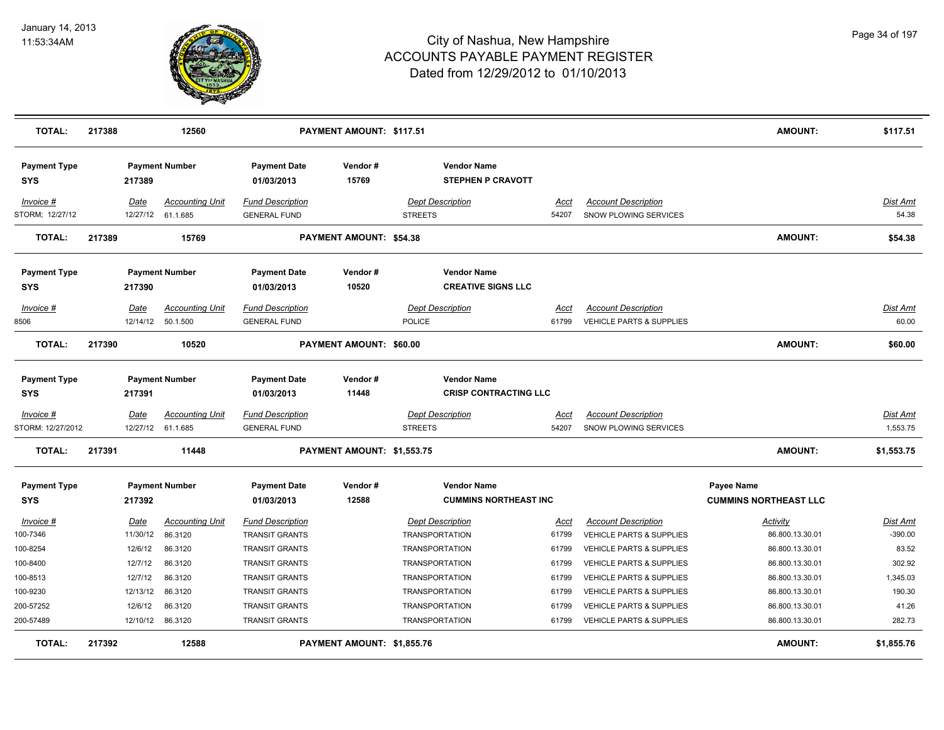

| TOTAL:                            | 217388 |             | 12560                  |                                   | PAYMENT AMOUNT: \$117.51       |                                                    |             |                                     | <b>AMOUNT:</b>                                    | \$117.51        |
|-----------------------------------|--------|-------------|------------------------|-----------------------------------|--------------------------------|----------------------------------------------------|-------------|-------------------------------------|---------------------------------------------------|-----------------|
| <b>Payment Type</b><br>SYS        |        | 217389      | <b>Payment Number</b>  | <b>Payment Date</b><br>01/03/2013 | Vendor#<br>15769               | <b>Vendor Name</b><br><b>STEPHEN P CRAVOTT</b>     |             |                                     |                                                   |                 |
| Invoice #                         |        | Date        | <b>Accounting Unit</b> | <b>Fund Description</b>           |                                | <b>Dept Description</b>                            | Acct        | <b>Account Description</b>          |                                                   | Dist Amt        |
| STORM; 12/27/12                   |        |             | 12/27/12 61.1.685      | <b>GENERAL FUND</b>               |                                | <b>STREETS</b>                                     | 54207       | SNOW PLOWING SERVICES               |                                                   | 54.38           |
| <b>TOTAL:</b>                     | 217389 |             | 15769                  |                                   | <b>PAYMENT AMOUNT: \$54.38</b> |                                                    |             |                                     | <b>AMOUNT:</b>                                    | \$54.38         |
| <b>Payment Type</b><br>SYS        |        | 217390      | <b>Payment Number</b>  | <b>Payment Date</b><br>01/03/2013 | Vendor#<br>10520               | <b>Vendor Name</b><br><b>CREATIVE SIGNS LLC</b>    |             |                                     |                                                   |                 |
| Invoice #                         |        | Date        | <b>Accounting Unit</b> | <b>Fund Description</b>           |                                | <b>Dept Description</b>                            | Acct        | <b>Account Description</b>          |                                                   | Dist Amt        |
| 8506                              |        | 12/14/12    | 50.1.500               | <b>GENERAL FUND</b>               |                                | POLICE                                             | 61799       | <b>VEHICLE PARTS &amp; SUPPLIES</b> |                                                   | 60.00           |
| <b>TOTAL:</b>                     | 217390 |             | 10520                  |                                   | <b>PAYMENT AMOUNT: \$60.00</b> |                                                    |             |                                     | <b>AMOUNT:</b>                                    | \$60.00         |
| <b>Payment Type</b>               |        |             | <b>Payment Number</b>  | <b>Payment Date</b>               | Vendor#                        | <b>Vendor Name</b>                                 |             |                                     |                                                   |                 |
| SYS                               |        | 217391      |                        | 01/03/2013                        | 11448                          | <b>CRISP CONTRACTING LLC</b>                       |             |                                     |                                                   |                 |
| $Invoice$ #                       |        | <u>Date</u> | <b>Accounting Unit</b> | <u>Fund Description</u>           |                                | <b>Dept Description</b>                            | <u>Acct</u> | <b>Account Description</b>          |                                                   | <b>Dist Amt</b> |
| STORM: 12/27/2012                 |        |             | 12/27/12 61.1.685      | <b>GENERAL FUND</b>               |                                | <b>STREETS</b>                                     | 54207       | SNOW PLOWING SERVICES               |                                                   | 1,553.75        |
| <b>TOTAL:</b>                     | 217391 |             | 11448                  |                                   | PAYMENT AMOUNT: \$1,553.75     |                                                    |             |                                     | <b>AMOUNT:</b>                                    | \$1,553.75      |
| <b>Payment Type</b><br><b>SYS</b> |        | 217392      | <b>Payment Number</b>  | <b>Payment Date</b><br>01/03/2013 | Vendor#<br>12588               | <b>Vendor Name</b><br><b>CUMMINS NORTHEAST INC</b> |             |                                     | <b>Payee Name</b><br><b>CUMMINS NORTHEAST LLC</b> |                 |
| Invoice #                         |        | Date        | <b>Accounting Unit</b> | <b>Fund Description</b>           |                                | <b>Dept Description</b>                            | Acct        | <b>Account Description</b>          | <b>Activity</b>                                   | <b>Dist Amt</b> |
| 100-7346                          |        | 11/30/12    | 86.3120                | <b>TRANSIT GRANTS</b>             |                                | <b>TRANSPORTATION</b>                              | 61799       | <b>VEHICLE PARTS &amp; SUPPLIES</b> | 86.800.13.30.01                                   | $-390.00$       |
| 100-8254                          |        | 12/6/12     | 86.3120                | <b>TRANSIT GRANTS</b>             |                                | <b>TRANSPORTATION</b>                              | 61799       | <b>VEHICLE PARTS &amp; SUPPLIES</b> | 86.800.13.30.01                                   | 83.52           |
| 100-8400                          |        | 12/7/12     | 86.3120                | <b>TRANSIT GRANTS</b>             |                                | <b>TRANSPORTATION</b>                              | 61799       | <b>VEHICLE PARTS &amp; SUPPLIES</b> | 86.800.13.30.01                                   | 302.92          |
| 100-8513                          |        | 12/7/12     | 86.3120                | <b>TRANSIT GRANTS</b>             |                                | <b>TRANSPORTATION</b>                              | 61799       | <b>VEHICLE PARTS &amp; SUPPLIES</b> | 86.800.13.30.01                                   | 1,345.03        |
| 100-9230                          |        | 12/13/12    | 86.3120                | <b>TRANSIT GRANTS</b>             |                                | <b>TRANSPORTATION</b>                              | 61799       | <b>VEHICLE PARTS &amp; SUPPLIES</b> | 86.800.13.30.01                                   | 190.30          |
| 200-57252                         |        | 12/6/12     | 86.3120                | <b>TRANSIT GRANTS</b>             |                                | <b>TRANSPORTATION</b>                              | 61799       | <b>VEHICLE PARTS &amp; SUPPLIES</b> | 86.800.13.30.01                                   | 41.26           |
| 200-57489                         |        | 12/10/12    | 86.3120                | <b>TRANSIT GRANTS</b>             |                                | <b>TRANSPORTATION</b>                              | 61799       | VEHICLE PARTS & SUPPLIES            | 86.800.13.30.01                                   | 282.73          |
| <b>TOTAL:</b>                     | 217392 |             | 12588                  |                                   | PAYMENT AMOUNT: \$1,855.76     |                                                    |             |                                     | <b>AMOUNT:</b>                                    | \$1,855.76      |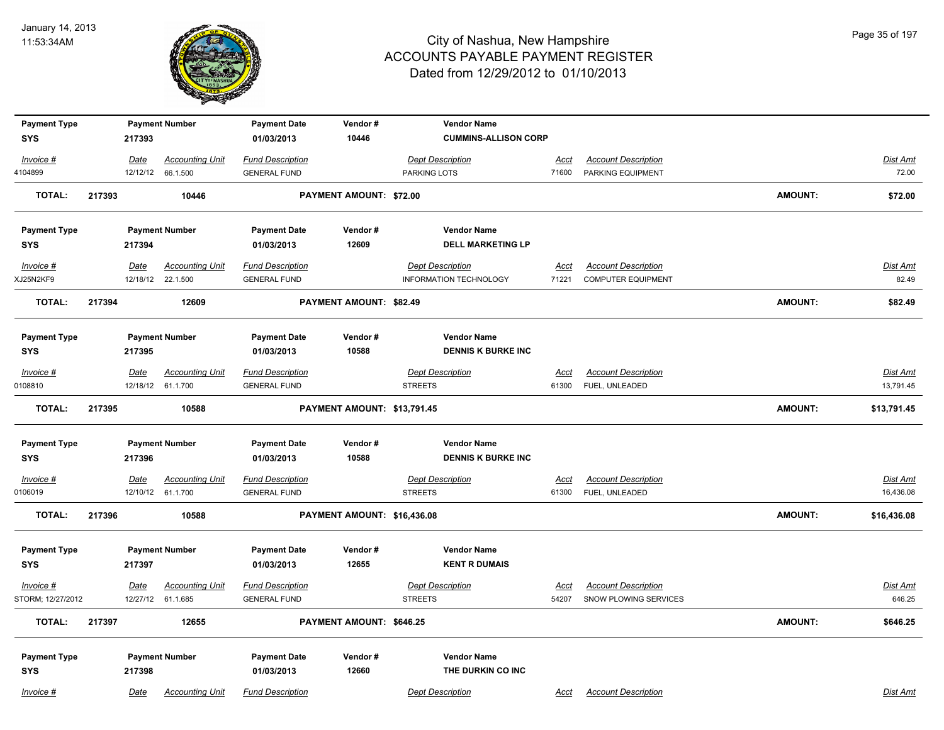

| <b>Payment Type</b> |             | <b>Payment Number</b>  | <b>Payment Date</b>     | Vendor#                     | <b>Vendor Name</b>          |             |                            |                |                 |
|---------------------|-------------|------------------------|-------------------------|-----------------------------|-----------------------------|-------------|----------------------------|----------------|-----------------|
| <b>SYS</b>          | 217393      |                        | 01/03/2013              | 10446                       | <b>CUMMINS-ALLISON CORP</b> |             |                            |                |                 |
| Invoice #           | Date        | <b>Accounting Unit</b> | <b>Fund Description</b> |                             | <b>Dept Description</b>     | <b>Acct</b> | <b>Account Description</b> |                | Dist Amt        |
| 4104899             |             | 12/12/12 66.1.500      | <b>GENERAL FUND</b>     |                             | PARKING LOTS                | 71600       | PARKING EQUIPMENT          |                | 72.00           |
| TOTAL:              | 217393      | 10446                  |                         | PAYMENT AMOUNT: \$72.00     |                             |             |                            | <b>AMOUNT:</b> | \$72.00         |
| <b>Payment Type</b> |             | <b>Payment Number</b>  | <b>Payment Date</b>     | Vendor#                     | <b>Vendor Name</b>          |             |                            |                |                 |
| <b>SYS</b>          | 217394      |                        | 01/03/2013              | 12609                       | <b>DELL MARKETING LP</b>    |             |                            |                |                 |
| Invoice #           | Date        | <b>Accounting Unit</b> | <b>Fund Description</b> |                             | <b>Dept Description</b>     | Acct        | <b>Account Description</b> |                | Dist Amt        |
| XJ25N2KF9           |             | 12/18/12 22.1.500      | <b>GENERAL FUND</b>     |                             | INFORMATION TECHNOLOGY      | 71221       | <b>COMPUTER EQUIPMENT</b>  |                | 82.49           |
| <b>TOTAL:</b>       | 217394      | 12609                  |                         | PAYMENT AMOUNT: \$82.49     |                             |             |                            | <b>AMOUNT:</b> | \$82.49         |
| <b>Payment Type</b> |             | <b>Payment Number</b>  | <b>Payment Date</b>     | Vendor#                     | <b>Vendor Name</b>          |             |                            |                |                 |
| <b>SYS</b>          | 217395      |                        | 01/03/2013              | 10588                       | <b>DENNIS K BURKE INC</b>   |             |                            |                |                 |
| Invoice #           | <b>Date</b> | <b>Accounting Unit</b> | <b>Fund Description</b> |                             | <b>Dept Description</b>     | Acct        | <b>Account Description</b> |                | Dist Amt        |
| 0108810             |             | 12/18/12 61.1.700      | <b>GENERAL FUND</b>     |                             | <b>STREETS</b>              | 61300       | FUEL, UNLEADED             |                | 13,791.45       |
| <b>TOTAL:</b>       | 217395      | 10588                  |                         | PAYMENT AMOUNT: \$13,791.45 |                             |             |                            | <b>AMOUNT:</b> | \$13,791.45     |
| <b>Payment Type</b> |             | <b>Payment Number</b>  | <b>Payment Date</b>     | Vendor#                     | <b>Vendor Name</b>          |             |                            |                |                 |
| <b>SYS</b>          | 217396      |                        | 01/03/2013              | 10588                       | <b>DENNIS K BURKE INC</b>   |             |                            |                |                 |
| $Invoice$ #         | <u>Date</u> | <b>Accounting Unit</b> | <b>Fund Description</b> |                             | <b>Dept Description</b>     | <u>Acct</u> | <b>Account Description</b> |                | <b>Dist Amt</b> |
| 0106019             |             | 12/10/12 61.1.700      | <b>GENERAL FUND</b>     |                             | <b>STREETS</b>              | 61300       | FUEL, UNLEADED             |                | 16,436.08       |
| TOTAL:              | 217396      | 10588                  |                         | PAYMENT AMOUNT: \$16,436.08 |                             |             |                            | <b>AMOUNT:</b> | \$16,436.08     |
| <b>Payment Type</b> |             | <b>Payment Number</b>  | <b>Payment Date</b>     | Vendor#                     | <b>Vendor Name</b>          |             |                            |                |                 |
| <b>SYS</b>          | 217397      |                        | 01/03/2013              | 12655                       | <b>KENT R DUMAIS</b>        |             |                            |                |                 |
| Invoice #           | Date        | <b>Accounting Unit</b> | <b>Fund Description</b> |                             | <b>Dept Description</b>     | Acct        | <b>Account Description</b> |                | Dist Amt        |
| STORM; 12/27/2012   |             | 12/27/12 61.1.685      | <b>GENERAL FUND</b>     |                             | <b>STREETS</b>              | 54207       | SNOW PLOWING SERVICES      |                | 646.25          |
| <b>TOTAL:</b>       | 217397      | 12655                  |                         | PAYMENT AMOUNT: \$646.25    |                             |             |                            | <b>AMOUNT:</b> | \$646.25        |
| <b>Payment Type</b> |             | <b>Payment Number</b>  | <b>Payment Date</b>     | Vendor#                     | <b>Vendor Name</b>          |             |                            |                |                 |
| <b>SYS</b>          | 217398      |                        | 01/03/2013              | 12660                       | THE DURKIN CO INC           |             |                            |                |                 |
| Invoice #           | Date        | <b>Accounting Unit</b> | <b>Fund Description</b> |                             | <b>Dept Description</b>     | Acct        | <b>Account Description</b> |                | Dist Amt        |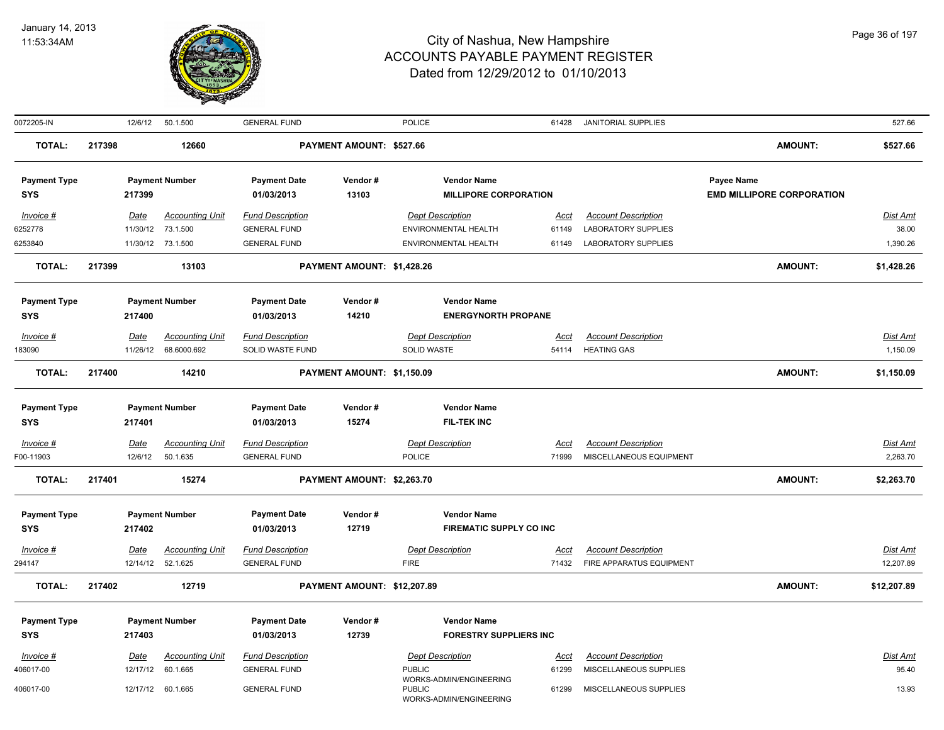

| 0072205-IN                        |        |             | 12/6/12  50.1.500      | <b>GENERAL FUND</b>     |                             | POLICE                                                              | 61428       | <b>JANITORIAL SUPPLIES</b> |                                  | 527.66          |
|-----------------------------------|--------|-------------|------------------------|-------------------------|-----------------------------|---------------------------------------------------------------------|-------------|----------------------------|----------------------------------|-----------------|
| <b>TOTAL:</b>                     | 217398 |             | 12660                  |                         | PAYMENT AMOUNT: \$527.66    |                                                                     |             |                            | <b>AMOUNT:</b>                   | \$527.66        |
| <b>Payment Type</b>               |        |             | <b>Payment Number</b>  | <b>Payment Date</b>     | Vendor#                     | <b>Vendor Name</b>                                                  |             |                            | Payee Name                       |                 |
| <b>SYS</b>                        |        | 217399      |                        | 01/03/2013              | 13103                       | <b>MILLIPORE CORPORATION</b>                                        |             |                            | <b>EMD MILLIPORE CORPORATION</b> |                 |
| Invoice #                         |        | Date        | <b>Accounting Unit</b> | <b>Fund Description</b> |                             | <b>Dept Description</b>                                             | <u>Acct</u> | <b>Account Description</b> |                                  | <u>Dist Amt</u> |
| 6252778                           |        | 11/30/12    | 73.1.500               | <b>GENERAL FUND</b>     |                             | ENVIRONMENTAL HEALTH                                                | 61149       | <b>LABORATORY SUPPLIES</b> |                                  | 38.00           |
| 6253840                           |        |             | 11/30/12 73.1.500      | <b>GENERAL FUND</b>     |                             | ENVIRONMENTAL HEALTH                                                | 61149       | <b>LABORATORY SUPPLIES</b> |                                  | 1,390.26        |
| <b>TOTAL:</b>                     | 217399 |             | 13103                  |                         | PAYMENT AMOUNT: \$1,428.26  |                                                                     |             |                            | <b>AMOUNT:</b>                   | \$1,428.26      |
| <b>Payment Type</b>               |        |             | <b>Payment Number</b>  | <b>Payment Date</b>     | Vendor#                     | <b>Vendor Name</b>                                                  |             |                            |                                  |                 |
| <b>SYS</b>                        |        | 217400      |                        | 01/03/2013              | 14210                       | <b>ENERGYNORTH PROPANE</b>                                          |             |                            |                                  |                 |
| Invoice #                         |        | Date        | <b>Accounting Unit</b> | <b>Fund Description</b> |                             | <b>Dept Description</b>                                             | Acct        | <b>Account Description</b> |                                  | Dist Amt        |
| 183090                            |        |             | 11/26/12 68.6000.692   | SOLID WASTE FUND        |                             | SOLID WASTE                                                         | 54114       | <b>HEATING GAS</b>         |                                  | 1,150.09        |
| <b>TOTAL:</b>                     | 217400 |             | 14210                  |                         | PAYMENT AMOUNT: \$1,150.09  |                                                                     |             |                            | AMOUNT:                          | \$1,150.09      |
|                                   |        |             |                        | <b>Payment Date</b>     | Vendor#                     | <b>Vendor Name</b>                                                  |             |                            |                                  |                 |
| <b>Payment Type</b><br><b>SYS</b> |        | 217401      | <b>Payment Number</b>  | 01/03/2013              | 15274                       | <b>FIL-TEK INC</b>                                                  |             |                            |                                  |                 |
| Invoice #                         |        | <b>Date</b> | <b>Accounting Unit</b> | <b>Fund Description</b> |                             | <b>Dept Description</b>                                             | <u>Acct</u> | <b>Account Description</b> |                                  | Dist Amt        |
| F00-11903                         |        | 12/6/12     | 50.1.635               | <b>GENERAL FUND</b>     |                             | <b>POLICE</b>                                                       | 71999       | MISCELLANEOUS EQUIPMENT    |                                  | 2,263.70        |
| <b>TOTAL:</b>                     | 217401 |             | 15274                  |                         | PAYMENT AMOUNT: \$2,263.70  |                                                                     |             |                            | <b>AMOUNT:</b>                   | \$2,263.70      |
|                                   |        |             | <b>Payment Number</b>  | <b>Payment Date</b>     | Vendor#                     | <b>Vendor Name</b>                                                  |             |                            |                                  |                 |
| <b>Payment Type</b><br><b>SYS</b> |        | 217402      |                        | 01/03/2013              | 12719                       | <b>FIREMATIC SUPPLY CO INC</b>                                      |             |                            |                                  |                 |
| Invoice #                         |        | Date        | <b>Accounting Unit</b> | <b>Fund Description</b> |                             | <b>Dept Description</b>                                             | Acct        | <b>Account Description</b> |                                  | Dist Amt        |
| 294147                            |        |             | 12/14/12 52.1.625      | <b>GENERAL FUND</b>     |                             | <b>FIRE</b>                                                         | 71432       | FIRE APPARATUS EQUIPMENT   |                                  | 12,207.89       |
| <b>TOTAL:</b>                     | 217402 |             | 12719                  |                         | PAYMENT AMOUNT: \$12,207.89 |                                                                     |             |                            | <b>AMOUNT:</b>                   | \$12,207.89     |
| <b>Payment Type</b>               |        |             | <b>Payment Number</b>  | <b>Payment Date</b>     | Vendor#                     | <b>Vendor Name</b>                                                  |             |                            |                                  |                 |
| <b>SYS</b>                        |        | 217403      |                        | 01/03/2013              | 12739                       | <b>FORESTRY SUPPLIERS INC</b>                                       |             |                            |                                  |                 |
| Invoice #                         |        | Date        | <b>Accounting Unit</b> | <b>Fund Description</b> |                             | <b>Dept Description</b>                                             | <u>Acct</u> | <b>Account Description</b> |                                  | <u>Dist Amt</u> |
| 406017-00                         |        | 12/17/12    | 60.1.665               | <b>GENERAL FUND</b>     |                             | <b>PUBLIC</b>                                                       | 61299       | MISCELLANEOUS SUPPLIES     |                                  | 95.40           |
| 406017-00                         |        |             | 12/17/12 60.1.665      | <b>GENERAL FUND</b>     |                             | WORKS-ADMIN/ENGINEERING<br><b>PUBLIC</b><br>WORKS-ADMIN/ENGINEERING | 61299       | MISCELLANEOUS SUPPLIES     |                                  | 13.93           |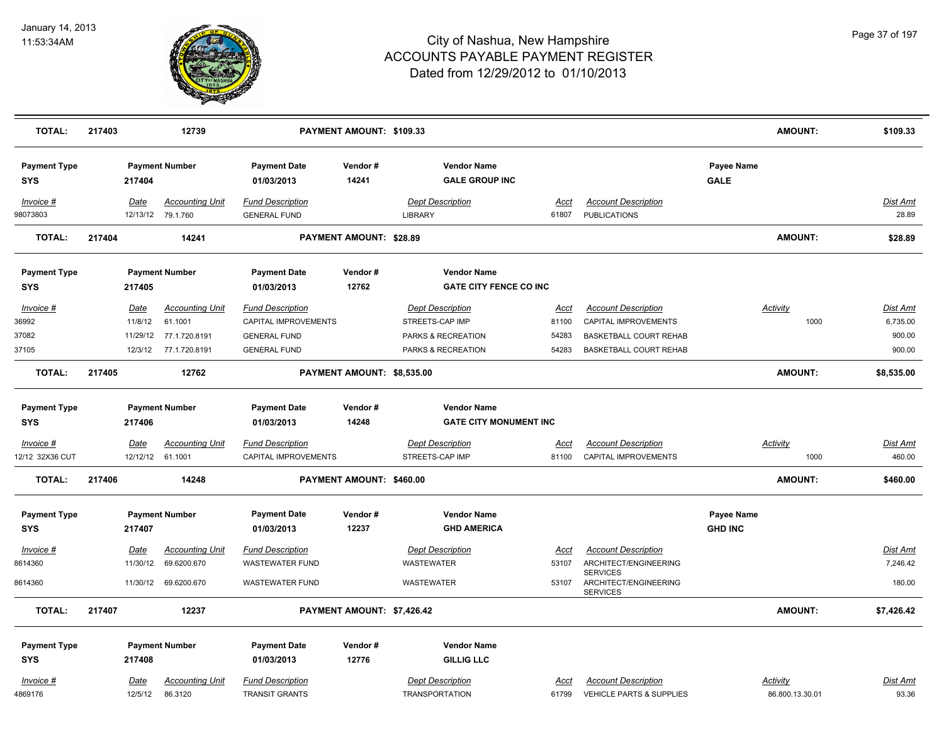

| <b>TOTAL:</b>                        | 217403      |                                | 12739                                                               |                                                                                               | PAYMENT AMOUNT: \$109.33       |                                                                                        |                                 |                                                                                                        |                                     | <b>AMOUNT:</b>  | \$109.33                                 |
|--------------------------------------|-------------|--------------------------------|---------------------------------------------------------------------|-----------------------------------------------------------------------------------------------|--------------------------------|----------------------------------------------------------------------------------------|---------------------------------|--------------------------------------------------------------------------------------------------------|-------------------------------------|-----------------|------------------------------------------|
| <b>Payment Type</b><br><b>SYS</b>    |             | 217404                         | <b>Payment Number</b>                                               | <b>Payment Date</b><br>01/03/2013                                                             | Vendor#<br>14241               | <b>Vendor Name</b><br><b>GALE GROUP INC</b>                                            |                                 |                                                                                                        | <b>Payee Name</b><br><b>GALE</b>    |                 |                                          |
| Invoice #<br>98073803                | Date        |                                | <b>Accounting Unit</b><br>12/13/12 79.1.760                         | <b>Fund Description</b><br><b>GENERAL FUND</b>                                                |                                | <b>Dept Description</b><br>LIBRARY                                                     | Acct<br>61807                   | <b>Account Description</b><br>PUBLICATIONS                                                             |                                     |                 | <b>Dist Amt</b><br>28.89                 |
| <b>TOTAL:</b>                        | 217404      |                                | 14241                                                               |                                                                                               | <b>PAYMENT AMOUNT: \$28.89</b> |                                                                                        |                                 |                                                                                                        |                                     | <b>AMOUNT:</b>  | \$28.89                                  |
| <b>Payment Type</b><br><b>SYS</b>    |             | 217405                         | <b>Payment Number</b>                                               | <b>Payment Date</b><br>01/03/2013                                                             | Vendor#<br>12762               | <b>Vendor Name</b><br><b>GATE CITY FENCE CO INC</b>                                    |                                 |                                                                                                        |                                     |                 |                                          |
| Invoice #<br>36992<br>37082<br>37105 | Date        | 11/8/12<br>11/29/12<br>12/3/12 | <b>Accounting Unit</b><br>61.1001<br>77.1.720.8191<br>77.1.720.8191 | <b>Fund Description</b><br>CAPITAL IMPROVEMENTS<br><b>GENERAL FUND</b><br><b>GENERAL FUND</b> |                                | <b>Dept Description</b><br>STREETS-CAP IMP<br>PARKS & RECREATION<br>PARKS & RECREATION | Acct<br>81100<br>54283<br>54283 | <b>Account Description</b><br>CAPITAL IMPROVEMENTS<br>BASKETBALL COURT REHAB<br>BASKETBALL COURT REHAB | Activity                            | 1000            | Dist Amt<br>6,735.00<br>900.00<br>900.00 |
| <b>TOTAL:</b>                        | 217405      |                                | 12762                                                               |                                                                                               | PAYMENT AMOUNT: \$8,535.00     |                                                                                        |                                 |                                                                                                        |                                     | <b>AMOUNT:</b>  | \$8,535.00                               |
| <b>Payment Type</b><br><b>SYS</b>    |             | 217406                         | <b>Payment Number</b>                                               | <b>Payment Date</b><br>01/03/2013                                                             | Vendor#<br>14248               | <b>Vendor Name</b><br><b>GATE CITY MONUMENT INC</b>                                    |                                 |                                                                                                        |                                     |                 |                                          |
| $Invoice$ #<br>12/12 32X36 CUT       | <u>Date</u> | 12/12/12                       | <b>Accounting Unit</b><br>61.1001                                   | <u>Fund Description</u><br>CAPITAL IMPROVEMENTS                                               |                                | <b>Dept Description</b><br>STREETS-CAP IMP                                             | <u>Acct</u><br>81100            | <b>Account Description</b><br>CAPITAL IMPROVEMENTS                                                     | <b>Activity</b>                     | 1000            | <b>Dist Amt</b><br>460.00                |
| <b>TOTAL:</b>                        | 217406      |                                | 14248                                                               |                                                                                               | PAYMENT AMOUNT: \$460.00       |                                                                                        |                                 |                                                                                                        |                                     | <b>AMOUNT:</b>  | \$460.00                                 |
| <b>Payment Type</b><br><b>SYS</b>    | 217407      |                                | <b>Payment Number</b>                                               | <b>Payment Date</b><br>01/03/2013                                                             | Vendor#<br>12237               | <b>Vendor Name</b><br><b>GHD AMERICA</b>                                               |                                 |                                                                                                        | <b>Payee Name</b><br><b>GHD INC</b> |                 |                                          |
| Invoice #<br>8614360                 | Date        | 11/30/12                       | <b>Accounting Unit</b><br>69.6200.670                               | <b>Fund Description</b><br><b>WASTEWATER FUND</b>                                             |                                | <b>Dept Description</b><br>WASTEWATER                                                  | <u>Acct</u><br>53107            | <b>Account Description</b><br>ARCHITECT/ENGINEERING<br><b>SERVICES</b>                                 |                                     |                 | <b>Dist Amt</b><br>7,246.42              |
| 8614360                              |             | 11/30/12                       | 69.6200.670                                                         | <b>WASTEWATER FUND</b>                                                                        |                                | <b>WASTEWATER</b>                                                                      | 53107                           | ARCHITECT/ENGINEERING<br><b>SERVICES</b>                                                               |                                     |                 | 180.00                                   |
| <b>TOTAL:</b>                        | 217407      |                                | 12237                                                               |                                                                                               | PAYMENT AMOUNT: \$7,426.42     |                                                                                        |                                 |                                                                                                        |                                     | <b>AMOUNT:</b>  | \$7,426.42                               |
| <b>Payment Type</b><br><b>SYS</b>    | 217408      |                                | <b>Payment Number</b>                                               | <b>Payment Date</b><br>01/03/2013                                                             | Vendor#<br>12776               | <b>Vendor Name</b><br><b>GILLIG LLC</b>                                                |                                 |                                                                                                        |                                     |                 |                                          |
| Invoice #<br>4869176                 | Date        | 12/5/12                        | <b>Accounting Unit</b><br>86.3120                                   | <b>Fund Description</b><br><b>TRANSIT GRANTS</b>                                              |                                | <b>Dept Description</b><br><b>TRANSPORTATION</b>                                       | Acct<br>61799                   | <b>Account Description</b><br><b>VEHICLE PARTS &amp; SUPPLIES</b>                                      | Activity                            | 86.800.13.30.01 | Dist Amt<br>93.36                        |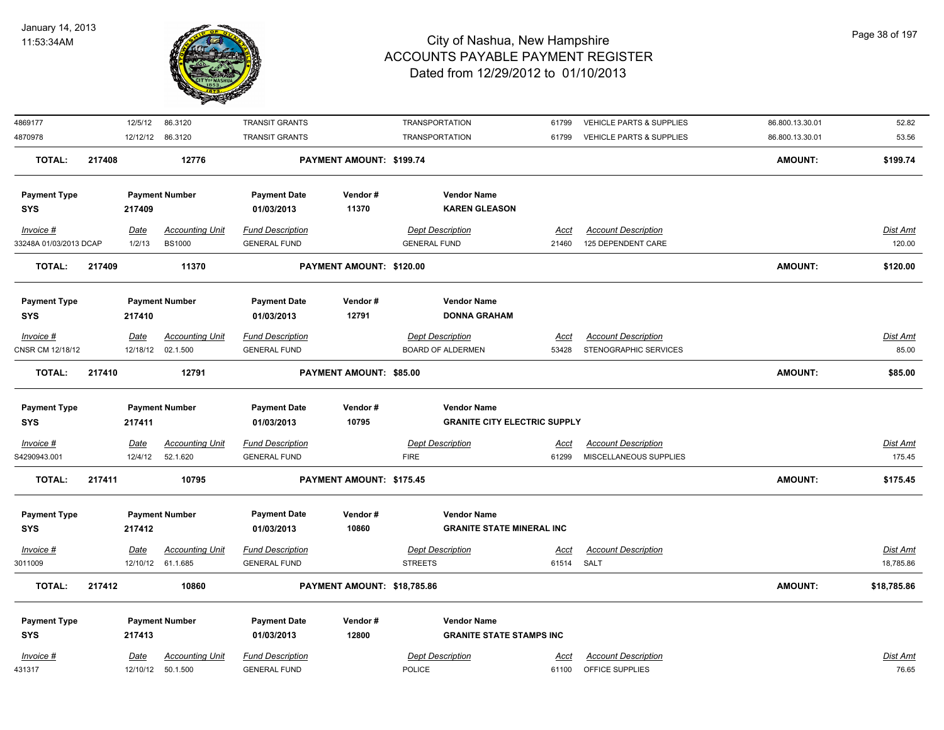

| 4869177                |        | 12/5/12     | 86.3120                | <b>TRANSIT GRANTS</b>   |                                | <b>TRANSPORTATION</b>               | 61799       | VEHICLE PARTS & SUPPLIES   | 86.800.13.30.01 | 52.82           |
|------------------------|--------|-------------|------------------------|-------------------------|--------------------------------|-------------------------------------|-------------|----------------------------|-----------------|-----------------|
| 4870978                |        |             | 12/12/12 86.3120       | <b>TRANSIT GRANTS</b>   |                                | <b>TRANSPORTATION</b>               | 61799       | VEHICLE PARTS & SUPPLIES   | 86.800.13.30.01 | 53.56           |
| <b>TOTAL:</b>          | 217408 |             | 12776                  |                         | PAYMENT AMOUNT: \$199.74       |                                     |             |                            | <b>AMOUNT:</b>  | \$199.74        |
| <b>Payment Type</b>    |        |             | <b>Payment Number</b>  | <b>Payment Date</b>     | Vendor#                        | <b>Vendor Name</b>                  |             |                            |                 |                 |
| <b>SYS</b>             |        | 217409      |                        | 01/03/2013              | 11370                          | <b>KAREN GLEASON</b>                |             |                            |                 |                 |
| $Invoice$ #            |        | <u>Date</u> | <b>Accounting Unit</b> | <b>Fund Description</b> |                                | <b>Dept Description</b>             | <u>Acct</u> | <b>Account Description</b> |                 | Dist Amt        |
| 33248A 01/03/2013 DCAP |        | 1/2/13      | <b>BS1000</b>          | <b>GENERAL FUND</b>     |                                | <b>GENERAL FUND</b>                 | 21460       | 125 DEPENDENT CARE         |                 | 120.00          |
| TOTAL:                 | 217409 |             | 11370                  |                         | PAYMENT AMOUNT: \$120.00       |                                     |             |                            | <b>AMOUNT:</b>  | \$120.00        |
| <b>Payment Type</b>    |        |             | <b>Payment Number</b>  | <b>Payment Date</b>     | Vendor#                        | <b>Vendor Name</b>                  |             |                            |                 |                 |
| <b>SYS</b>             |        | 217410      |                        | 01/03/2013              | 12791                          | <b>DONNA GRAHAM</b>                 |             |                            |                 |                 |
| Invoice #              |        | <u>Date</u> | <b>Accounting Unit</b> | <b>Fund Description</b> |                                | <b>Dept Description</b>             | Acct        | <b>Account Description</b> |                 | Dist Amt        |
| CNSR CM 12/18/12       |        | 12/18/12    | 02.1.500               | <b>GENERAL FUND</b>     |                                | <b>BOARD OF ALDERMEN</b>            | 53428       | STENOGRAPHIC SERVICES      |                 | 85.00           |
| <b>TOTAL:</b>          | 217410 |             | 12791                  |                         | <b>PAYMENT AMOUNT: \$85.00</b> |                                     |             |                            | <b>AMOUNT:</b>  | \$85.00         |
| <b>Payment Type</b>    |        |             | <b>Payment Number</b>  | <b>Payment Date</b>     | Vendor#                        | <b>Vendor Name</b>                  |             |                            |                 |                 |
| <b>SYS</b>             |        | 217411      |                        | 01/03/2013              | 10795                          | <b>GRANITE CITY ELECTRIC SUPPLY</b> |             |                            |                 |                 |
| Invoice #              |        | <u>Date</u> | <u>Accounting Unit</u> | <b>Fund Description</b> |                                | <b>Dept Description</b>             | <u>Acct</u> | <b>Account Description</b> |                 | <u>Dist Amt</u> |
| S4290943.001           |        | 12/4/12     | 52.1.620               | <b>GENERAL FUND</b>     |                                | <b>FIRE</b>                         | 61299       | MISCELLANEOUS SUPPLIES     |                 | 175.45          |
| <b>TOTAL:</b>          | 217411 |             | 10795                  |                         | PAYMENT AMOUNT: \$175.45       |                                     |             |                            | <b>AMOUNT:</b>  | \$175.45        |
| <b>Payment Type</b>    |        |             | <b>Payment Number</b>  | <b>Payment Date</b>     | Vendor#                        | <b>Vendor Name</b>                  |             |                            |                 |                 |
| <b>SYS</b>             |        | 217412      |                        | 01/03/2013              | 10860                          | <b>GRANITE STATE MINERAL INC</b>    |             |                            |                 |                 |
| Invoice #              |        | <u>Date</u> | Accounting Unit        | <b>Fund Description</b> |                                | <b>Dept Description</b>             | Acct        | <b>Account Description</b> |                 | Dist Amt        |
| 3011009                |        |             | 12/10/12 61.1.685      | <b>GENERAL FUND</b>     |                                | <b>STREETS</b>                      | 61514 SALT  |                            |                 | 18,785.86       |
| <b>TOTAL:</b>          | 217412 |             | 10860                  |                         | PAYMENT AMOUNT: \$18,785.86    |                                     |             |                            | <b>AMOUNT:</b>  | \$18,785.86     |
| <b>Payment Type</b>    |        |             | <b>Payment Number</b>  | <b>Payment Date</b>     | Vendor#                        | <b>Vendor Name</b>                  |             |                            |                 |                 |
| <b>SYS</b>             |        | 217413      |                        | 01/03/2013              | 12800                          | <b>GRANITE STATE STAMPS INC</b>     |             |                            |                 |                 |
| Invoice #              |        | Date        | <b>Accounting Unit</b> | <b>Fund Description</b> |                                | <b>Dept Description</b>             | Acct        | <b>Account Description</b> |                 | Dist Amt        |
| 431317                 |        |             | 12/10/12 50.1.500      | <b>GENERAL FUND</b>     |                                | POLICE                              | 61100       | OFFICE SUPPLIES            |                 | 76.65           |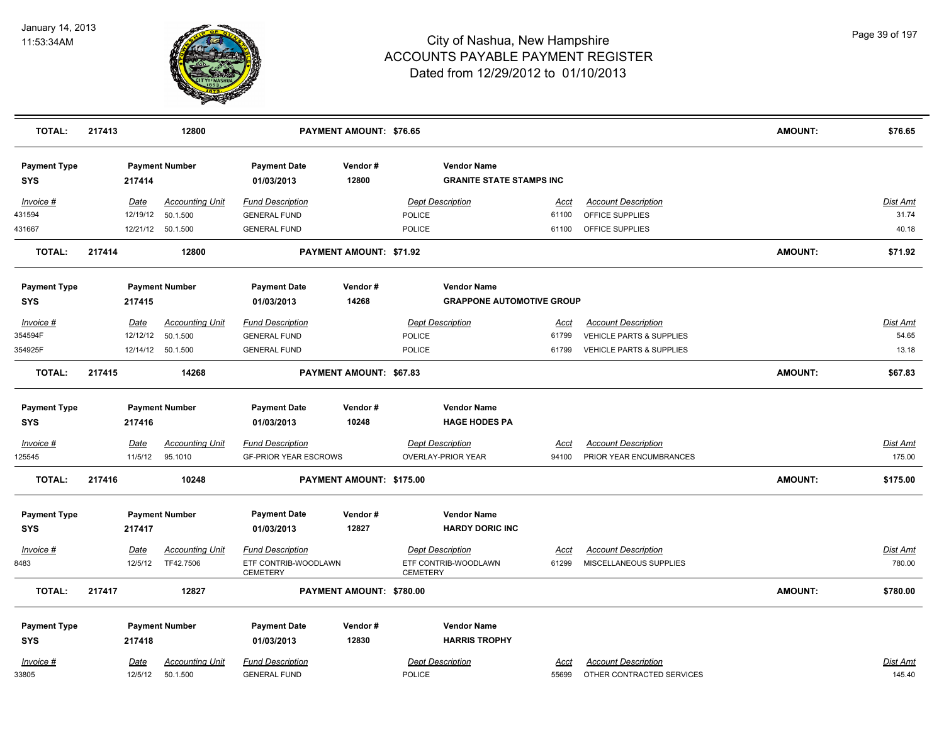

| <b>TOTAL:</b>                     | 217413      |          | 12800                              |                                                | <b>PAYMENT AMOUNT: \$76.65</b> |                 |                                                       |               |                                                         | <b>AMOUNT:</b> | \$76.65                   |
|-----------------------------------|-------------|----------|------------------------------------|------------------------------------------------|--------------------------------|-----------------|-------------------------------------------------------|---------------|---------------------------------------------------------|----------------|---------------------------|
| <b>Payment Type</b><br><b>SYS</b> |             | 217414   | <b>Payment Number</b>              | <b>Payment Date</b><br>01/03/2013              | Vendor#<br>12800               |                 | <b>Vendor Name</b><br><b>GRANITE STATE STAMPS INC</b> |               |                                                         |                |                           |
| Invoice #                         | <u>Date</u> |          | <b>Accounting Unit</b>             | <b>Fund Description</b>                        |                                |                 | <b>Dept Description</b>                               | <u>Acct</u>   | <b>Account Description</b>                              |                | <b>Dist Amt</b>           |
| 431594                            |             | 12/19/12 | 50.1.500                           | <b>GENERAL FUND</b>                            |                                | POLICE          |                                                       | 61100         | OFFICE SUPPLIES                                         |                | 31.74                     |
| 431667                            |             |          | 12/21/12 50.1.500                  | <b>GENERAL FUND</b>                            |                                | POLICE          |                                                       | 61100         | OFFICE SUPPLIES                                         |                | 40.18                     |
| <b>TOTAL:</b>                     | 217414      |          | 12800                              |                                                | PAYMENT AMOUNT: \$71.92        |                 |                                                       |               |                                                         | <b>AMOUNT:</b> | \$71.92                   |
| <b>Payment Type</b>               |             |          | <b>Payment Number</b>              | <b>Payment Date</b>                            | Vendor#                        |                 | <b>Vendor Name</b>                                    |               |                                                         |                |                           |
| <b>SYS</b>                        |             | 217415   |                                    | 01/03/2013                                     | 14268                          |                 | <b>GRAPPONE AUTOMOTIVE GROUP</b>                      |               |                                                         |                |                           |
| Invoice #                         | Date        |          | <b>Accounting Unit</b>             | <b>Fund Description</b>                        |                                |                 | <b>Dept Description</b>                               | Acct          | <b>Account Description</b>                              |                | Dist Amt                  |
| 354594F                           |             | 12/12/12 | 50.1.500                           | <b>GENERAL FUND</b>                            |                                | POLICE          |                                                       | 61799         | VEHICLE PARTS & SUPPLIES                                |                | 54.65                     |
| 354925F                           |             |          | 12/14/12  50.1.500                 | <b>GENERAL FUND</b>                            |                                | <b>POLICE</b>   |                                                       | 61799         | VEHICLE PARTS & SUPPLIES                                |                | 13.18                     |
| <b>TOTAL:</b>                     | 217415      |          | 14268                              |                                                | PAYMENT AMOUNT: \$67.83        |                 |                                                       |               |                                                         | <b>AMOUNT:</b> | \$67.83                   |
| <b>Payment Type</b>               |             |          | <b>Payment Number</b>              | <b>Payment Date</b>                            | Vendor#                        |                 | <b>Vendor Name</b>                                    |               |                                                         |                |                           |
| <b>SYS</b>                        |             | 217416   |                                    | 01/03/2013                                     | 10248                          |                 | <b>HAGE HODES PA</b>                                  |               |                                                         |                |                           |
| $Invoice$ #                       | Date        |          | <b>Accounting Unit</b>             | <b>Fund Description</b>                        |                                |                 | <b>Dept Description</b>                               | <u>Acct</u>   | <b>Account Description</b>                              |                | <b>Dist Amt</b>           |
| 125545                            |             | 11/5/12  | 95.1010                            | <b>GF-PRIOR YEAR ESCROWS</b>                   |                                |                 | <b>OVERLAY-PRIOR YEAR</b>                             | 94100         | PRIOR YEAR ENCUMBRANCES                                 |                | 175.00                    |
| <b>TOTAL:</b>                     | 217416      |          | 10248                              |                                                | PAYMENT AMOUNT: \$175.00       |                 |                                                       |               |                                                         | <b>AMOUNT:</b> | \$175.00                  |
| <b>Payment Type</b>               |             |          | <b>Payment Number</b>              | <b>Payment Date</b>                            | Vendor#                        |                 | <b>Vendor Name</b>                                    |               |                                                         |                |                           |
| <b>SYS</b>                        | 217417      |          |                                    | 01/03/2013                                     | 12827                          |                 | <b>HARDY DORIC INC</b>                                |               |                                                         |                |                           |
| Invoice #                         | Date        |          | <b>Accounting Unit</b>             | <b>Fund Description</b>                        |                                |                 | <b>Dept Description</b>                               | Acct          | <b>Account Description</b>                              |                | <u>Dist Amt</u>           |
| 8483                              |             | 12/5/12  | TF42.7506                          | ETF CONTRIB-WOODLAWN<br><b>CEMETERY</b>        |                                | <b>CEMETERY</b> | ETF CONTRIB-WOODLAWN                                  | 61299         | MISCELLANEOUS SUPPLIES                                  |                | 780.00                    |
| <b>TOTAL:</b>                     | 217417      |          | 12827                              |                                                | PAYMENT AMOUNT: \$780.00       |                 |                                                       |               |                                                         | <b>AMOUNT:</b> | \$780.00                  |
| <b>Payment Type</b>               |             |          | <b>Payment Number</b>              | <b>Payment Date</b>                            | Vendor#                        |                 | <b>Vendor Name</b>                                    |               |                                                         |                |                           |
| <b>SYS</b>                        |             | 217418   |                                    | 01/03/2013                                     | 12830                          |                 | <b>HARRIS TROPHY</b>                                  |               |                                                         |                |                           |
| Invoice #<br>33805                | Date        | 12/5/12  | <b>Accounting Unit</b><br>50.1.500 | <b>Fund Description</b><br><b>GENERAL FUND</b> |                                | POLICE          | <b>Dept Description</b>                               | Acct<br>55699 | <b>Account Description</b><br>OTHER CONTRACTED SERVICES |                | <u>Dist Amt</u><br>145.40 |
|                                   |             |          |                                    |                                                |                                |                 |                                                       |               |                                                         |                |                           |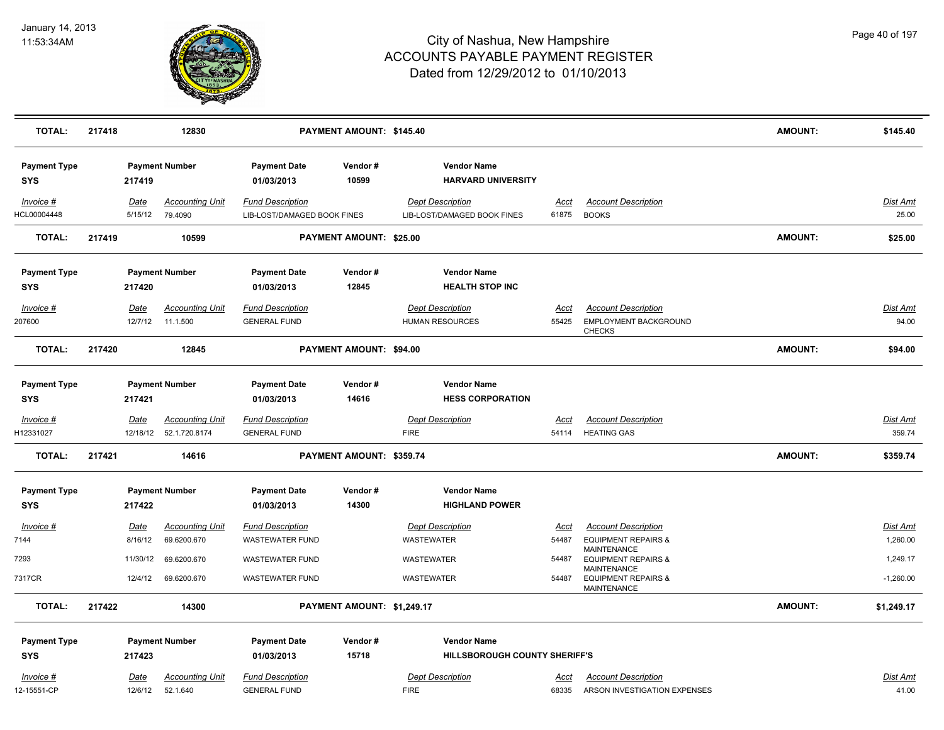

| <b>TOTAL:</b>                     | 217418 |                        | 12830                                             |                                                        | PAYMENT AMOUNT: \$145.40       |                                                        |                      |                                                                      | <b>AMOUNT:</b> | \$145.40                    |
|-----------------------------------|--------|------------------------|---------------------------------------------------|--------------------------------------------------------|--------------------------------|--------------------------------------------------------|----------------------|----------------------------------------------------------------------|----------------|-----------------------------|
| <b>Payment Type</b><br><b>SYS</b> |        | 217419                 | <b>Payment Number</b>                             | <b>Payment Date</b><br>01/03/2013                      | Vendor#<br>10599               | <b>Vendor Name</b><br><b>HARVARD UNIVERSITY</b>        |                      |                                                                      |                |                             |
| Invoice #<br>HCL00004448          |        | Date<br>5/15/12        | <b>Accounting Unit</b><br>79.4090                 | <b>Fund Description</b><br>LIB-LOST/DAMAGED BOOK FINES |                                | <b>Dept Description</b><br>LIB-LOST/DAMAGED BOOK FINES | Acct<br>61875        | <b>Account Description</b><br><b>BOOKS</b>                           |                | Dist Amt<br>25.00           |
| <b>TOTAL:</b>                     | 217419 |                        | 10599                                             |                                                        | <b>PAYMENT AMOUNT: \$25.00</b> |                                                        |                      |                                                                      | <b>AMOUNT:</b> | \$25.00                     |
| <b>Payment Type</b><br><b>SYS</b> |        | 217420                 | <b>Payment Number</b>                             | <b>Payment Date</b><br>01/03/2013                      | Vendor#<br>12845               | <b>Vendor Name</b><br><b>HEALTH STOP INC</b>           |                      |                                                                      |                |                             |
| Invoice #<br>207600               | Date   | 12/7/12                | <b>Accounting Unit</b><br>11.1.500                | <b>Fund Description</b><br><b>GENERAL FUND</b>         |                                | <b>Dept Description</b><br><b>HUMAN RESOURCES</b>      | Acct<br>55425        | <b>Account Description</b><br>EMPLOYMENT BACKGROUND<br><b>CHECKS</b> |                | <b>Dist Amt</b><br>94.00    |
| <b>TOTAL:</b>                     | 217420 |                        | 12845                                             |                                                        | PAYMENT AMOUNT: \$94.00        |                                                        |                      |                                                                      | <b>AMOUNT:</b> | \$94.00                     |
| <b>Payment Type</b><br><b>SYS</b> |        | 217421                 | <b>Payment Number</b>                             | <b>Payment Date</b><br>01/03/2013                      | Vendor#<br>14616               | <b>Vendor Name</b><br><b>HESS CORPORATION</b>          |                      |                                                                      |                |                             |
| Invoice #<br>H12331027            | Date   |                        | <b>Accounting Unit</b><br>12/18/12  52.1.720.8174 | <b>Fund Description</b><br><b>GENERAL FUND</b>         |                                | <b>Dept Description</b><br><b>FIRE</b>                 | Acct<br>54114        | <b>Account Description</b><br><b>HEATING GAS</b>                     |                | <b>Dist Amt</b><br>359.74   |
| <b>TOTAL:</b>                     | 217421 |                        | 14616                                             |                                                        | PAYMENT AMOUNT: \$359.74       |                                                        |                      |                                                                      | <b>AMOUNT:</b> | \$359.74                    |
| <b>Payment Type</b><br><b>SYS</b> |        | 217422                 | <b>Payment Number</b>                             | <b>Payment Date</b><br>01/03/2013                      | Vendor#<br>14300               | <b>Vendor Name</b><br><b>HIGHLAND POWER</b>            |                      |                                                                      |                |                             |
| $Invoice$ #<br>7144               |        | <b>Date</b><br>8/16/12 | <b>Accounting Unit</b><br>69.6200.670             | <b>Fund Description</b><br><b>WASTEWATER FUND</b>      |                                | <b>Dept Description</b><br>WASTEWATER                  | <u>Acct</u><br>54487 | <b>Account Description</b><br><b>EQUIPMENT REPAIRS &amp;</b>         |                | <b>Dist Amt</b><br>1,260.00 |
| 7293                              |        | 11/30/12               | 69.6200.670                                       | <b>WASTEWATER FUND</b>                                 |                                | WASTEWATER                                             | 54487                | MAINTENANCE<br><b>EQUIPMENT REPAIRS &amp;</b><br>MAINTENANCE         |                | 1,249.17                    |
| 7317CR                            |        | 12/4/12                | 69.6200.670                                       | <b>WASTEWATER FUND</b>                                 |                                | WASTEWATER                                             | 54487                | <b>EQUIPMENT REPAIRS &amp;</b><br><b>MAINTENANCE</b>                 |                | $-1,260.00$                 |
| <b>TOTAL:</b>                     | 217422 |                        | 14300                                             |                                                        | PAYMENT AMOUNT: \$1,249.17     |                                                        |                      |                                                                      | <b>AMOUNT:</b> | \$1,249.17                  |
| <b>Payment Type</b><br><b>SYS</b> |        | 217423                 | <b>Payment Number</b>                             | <b>Payment Date</b><br>01/03/2013                      | Vendor#<br>15718               | <b>Vendor Name</b><br>HILLSBOROUGH COUNTY SHERIFF'S    |                      |                                                                      |                |                             |
| Invoice #<br>12-15551-CP          |        | Date<br>12/6/12        | <b>Accounting Unit</b><br>52.1.640                | <b>Fund Description</b><br><b>GENERAL FUND</b>         |                                | <b>Dept Description</b><br><b>FIRE</b>                 | Acct<br>68335        | <b>Account Description</b><br>ARSON INVESTIGATION EXPENSES           |                | Dist Amt<br>41.00           |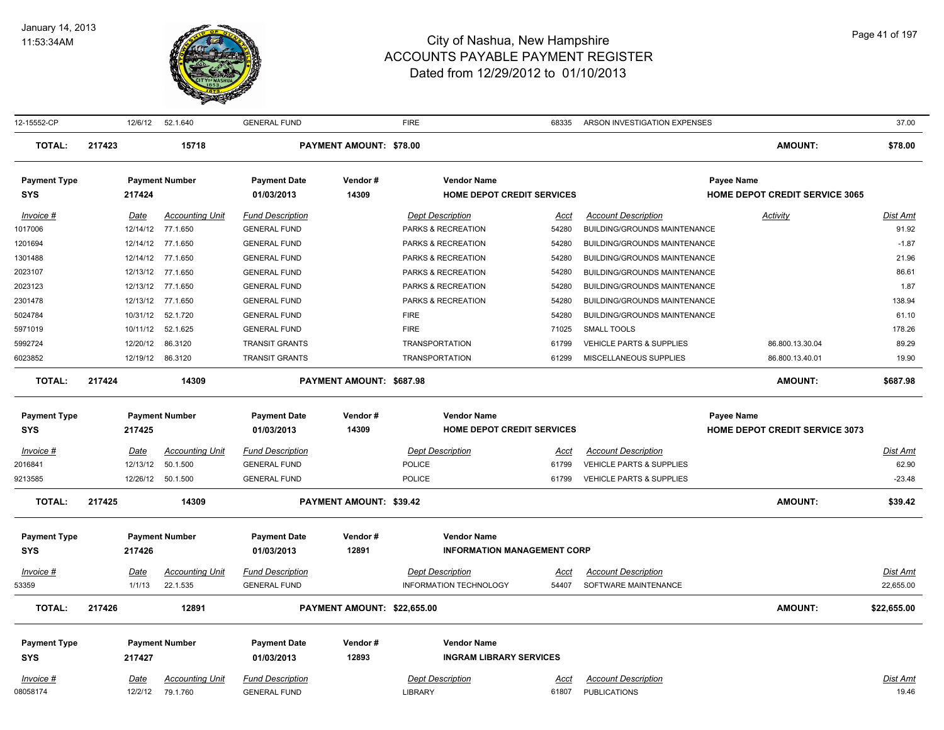

| 12-15552-CP                       |        | 12/6/12     | 52.1.640               | <b>GENERAL FUND</b>               |                                | <b>FIRE</b>                        | 68335       | ARSON INVESTIGATION EXPENSES        |                                       | 37.00           |
|-----------------------------------|--------|-------------|------------------------|-----------------------------------|--------------------------------|------------------------------------|-------------|-------------------------------------|---------------------------------------|-----------------|
| <b>TOTAL:</b>                     | 217423 |             | 15718                  |                                   | <b>PAYMENT AMOUNT: \$78.00</b> |                                    |             |                                     | <b>AMOUNT:</b>                        | \$78.00         |
| <b>Payment Type</b>               |        |             | <b>Payment Number</b>  | <b>Payment Date</b>               | Vendor#                        | <b>Vendor Name</b>                 |             |                                     | Payee Name                            |                 |
| <b>SYS</b>                        |        | 217424      |                        | 01/03/2013                        | 14309                          | <b>HOME DEPOT CREDIT SERVICES</b>  |             |                                     | <b>HOME DEPOT CREDIT SERVICE 3065</b> |                 |
| Invoice #                         |        | Date        | <b>Accounting Unit</b> | <b>Fund Description</b>           |                                | <b>Dept Description</b>            | Acct        | <b>Account Description</b>          | Activity                              | Dist Amt        |
| 1017006                           |        | 12/14/12    | 77.1.650               | <b>GENERAL FUND</b>               |                                | PARKS & RECREATION                 | 54280       | BUILDING/GROUNDS MAINTENANCE        |                                       | 91.92           |
| 1201694                           |        |             | 12/14/12 77.1.650      | <b>GENERAL FUND</b>               |                                | PARKS & RECREATION                 | 54280       | <b>BUILDING/GROUNDS MAINTENANCE</b> |                                       | $-1.87$         |
| 1301488                           |        |             | 12/14/12 77.1.650      | <b>GENERAL FUND</b>               |                                | PARKS & RECREATION                 | 54280       | BUILDING/GROUNDS MAINTENANCE        |                                       | 21.96           |
| 2023107                           |        |             | 12/13/12 77.1.650      | <b>GENERAL FUND</b>               |                                | PARKS & RECREATION                 | 54280       | BUILDING/GROUNDS MAINTENANCE        |                                       | 86.61           |
| 2023123                           |        | 12/13/12    | 77.1.650               | <b>GENERAL FUND</b>               |                                | PARKS & RECREATION                 | 54280       | BUILDING/GROUNDS MAINTENANCE        |                                       | 1.87            |
| 2301478                           |        | 12/13/12    | 77.1.650               | <b>GENERAL FUND</b>               |                                | PARKS & RECREATION                 | 54280       | <b>BUILDING/GROUNDS MAINTENANCE</b> |                                       | 138.94          |
| 5024784                           |        | 10/31/12    | 52.1.720               | <b>GENERAL FUND</b>               |                                | <b>FIRE</b>                        | 54280       | BUILDING/GROUNDS MAINTENANCE        |                                       | 61.10           |
| 5971019                           |        | 10/11/12    | 52.1.625               | <b>GENERAL FUND</b>               |                                | <b>FIRE</b>                        | 71025       | <b>SMALL TOOLS</b>                  |                                       | 178.26          |
| 5992724                           |        | 12/20/12    | 86.3120                | <b>TRANSIT GRANTS</b>             |                                | <b>TRANSPORTATION</b>              | 61799       | <b>VEHICLE PARTS &amp; SUPPLIES</b> | 86.800.13.30.04                       | 89.29           |
| 6023852                           |        |             | 12/19/12 86.3120       | <b>TRANSIT GRANTS</b>             |                                | <b>TRANSPORTATION</b>              | 61299       | MISCELLANEOUS SUPPLIES              | 86.800.13.40.01                       | 19.90           |
| <b>TOTAL:</b>                     | 217424 |             | 14309                  |                                   | PAYMENT AMOUNT: \$687.98       |                                    |             |                                     | <b>AMOUNT:</b>                        | \$687.98        |
| <b>Payment Type</b>               |        |             | <b>Payment Number</b>  | <b>Payment Date</b>               | Vendor#                        | <b>Vendor Name</b>                 |             |                                     | Payee Name                            |                 |
| <b>SYS</b>                        |        | 217425      |                        | 01/03/2013                        | 14309                          | HOME DEPOT CREDIT SERVICES         |             |                                     | <b>HOME DEPOT CREDIT SERVICE 3073</b> |                 |
| Invoice #                         |        | Date        | <b>Accounting Unit</b> | <b>Fund Description</b>           |                                | <b>Dept Description</b>            | Acct        | <b>Account Description</b>          |                                       | <u>Dist Amt</u> |
| 2016841                           |        | 12/13/12    | 50.1.500               | <b>GENERAL FUND</b>               |                                | POLICE                             | 61799       | VEHICLE PARTS & SUPPLIES            |                                       | 62.90           |
| 9213585                           |        |             | 12/26/12  50.1.500     | <b>GENERAL FUND</b>               |                                | <b>POLICE</b>                      | 61799       | <b>VEHICLE PARTS &amp; SUPPLIES</b> |                                       | $-23.48$        |
| <b>TOTAL:</b>                     | 217425 |             | 14309                  |                                   | <b>PAYMENT AMOUNT: \$39.42</b> |                                    |             |                                     | <b>AMOUNT:</b>                        | \$39.42         |
|                                   |        |             |                        |                                   |                                | <b>Vendor Name</b>                 |             |                                     |                                       |                 |
| <b>Payment Type</b><br><b>SYS</b> |        | 217426      | <b>Payment Number</b>  | <b>Payment Date</b><br>01/03/2013 | Vendor#<br>12891               | <b>INFORMATION MANAGEMENT CORP</b> |             |                                     |                                       |                 |
| $Invoice$ #                       |        | <u>Date</u> | <b>Accounting Unit</b> | <b>Fund Description</b>           |                                | <b>Dept Description</b>            | <u>Acct</u> | <b>Account Description</b>          |                                       | <u>Dist Amt</u> |
| 53359                             |        | 1/1/13      | 22.1.535               | <b>GENERAL FUND</b>               |                                | INFORMATION TECHNOLOGY             | 54407       | SOFTWARE MAINTENANCE                |                                       | 22,655.00       |
|                                   | 217426 |             |                        |                                   |                                |                                    |             |                                     |                                       |                 |
| <b>TOTAL:</b>                     |        |             | 12891                  |                                   | PAYMENT AMOUNT: \$22,655.00    |                                    |             |                                     | <b>AMOUNT:</b>                        | \$22,655.00     |
| <b>Payment Type</b>               |        |             | <b>Payment Number</b>  | <b>Payment Date</b>               | Vendor#                        | <b>Vendor Name</b>                 |             |                                     |                                       |                 |
| <b>SYS</b>                        |        | 217427      |                        | 01/03/2013                        | 12893                          | <b>INGRAM LIBRARY SERVICES</b>     |             |                                     |                                       |                 |
| Invoice #                         |        | Date        | <b>Accounting Unit</b> | <b>Fund Description</b>           |                                | <b>Dept Description</b>            | Acct        | <b>Account Description</b>          |                                       | <b>Dist Amt</b> |
| 08058174                          |        | 12/2/12     | 79.1.760               | <b>GENERAL FUND</b>               |                                | LIBRARY                            | 61807       | <b>PUBLICATIONS</b>                 |                                       | 19.46           |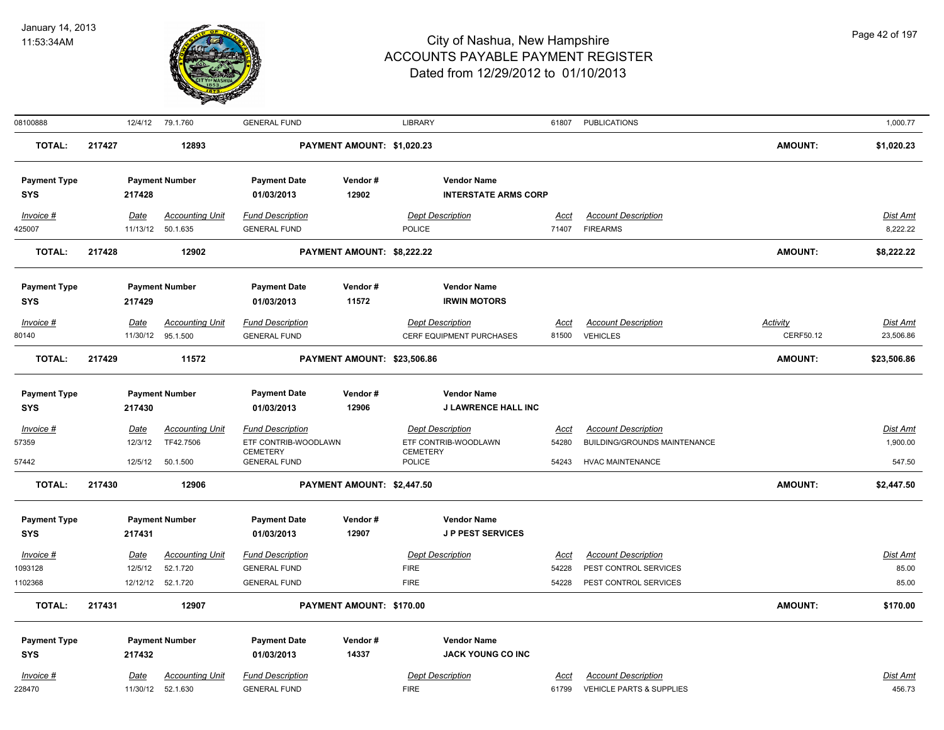

| 08100888            |        |             | 12/4/12 79.1.760       | <b>GENERAL FUND</b>                    |                             | <b>LIBRARY</b>            |                             |             | 61807 PUBLICATIONS           |                 | 1,000.77        |
|---------------------|--------|-------------|------------------------|----------------------------------------|-----------------------------|---------------------------|-----------------------------|-------------|------------------------------|-----------------|-----------------|
| <b>TOTAL:</b>       | 217427 |             | 12893                  |                                        | PAYMENT AMOUNT: \$1,020.23  |                           |                             |             |                              | <b>AMOUNT:</b>  | \$1,020.23      |
| <b>Payment Type</b> |        |             | <b>Payment Number</b>  | <b>Payment Date</b>                    | Vendor#                     |                           | <b>Vendor Name</b>          |             |                              |                 |                 |
| <b>SYS</b>          |        | 217428      |                        | 01/03/2013                             | 12902                       |                           | <b>INTERSTATE ARMS CORP</b> |             |                              |                 |                 |
| Invoice #           |        | Date        | <b>Accounting Unit</b> | <b>Fund Description</b>                |                             | <b>Dept Description</b>   |                             | <b>Acct</b> | <b>Account Description</b>   |                 | <b>Dist Amt</b> |
| 425007              |        |             | 11/13/12 50.1.635      | <b>GENERAL FUND</b>                    |                             | <b>POLICE</b>             |                             | 71407       | <b>FIREARMS</b>              |                 | 8,222.22        |
| TOTAL:              | 217428 |             | 12902                  |                                        | PAYMENT AMOUNT: \$8,222.22  |                           |                             |             |                              | <b>AMOUNT:</b>  | \$8,222.22      |
| <b>Payment Type</b> |        |             | <b>Payment Number</b>  | <b>Payment Date</b>                    | Vendor#                     |                           | <b>Vendor Name</b>          |             |                              |                 |                 |
| <b>SYS</b>          |        | 217429      |                        | 01/03/2013                             | 11572                       |                           | <b>IRWIN MOTORS</b>         |             |                              |                 |                 |
| Invoice #           |        | Date        | <b>Accounting Unit</b> | <b>Fund Description</b>                |                             | <b>Dept Description</b>   |                             | <u>Acct</u> | <b>Account Description</b>   | <b>Activity</b> | Dist Amt        |
| 80140               |        |             | 11/30/12 95.1.500      | <b>GENERAL FUND</b>                    |                             |                           | CERF EQUIPMENT PURCHASES    | 81500       | <b>VEHICLES</b>              | CERF50.12       | 23,506.86       |
| <b>TOTAL:</b>       | 217429 |             | 11572                  |                                        | PAYMENT AMOUNT: \$23,506.86 |                           |                             |             |                              | <b>AMOUNT:</b>  | \$23,506.86     |
| <b>Payment Type</b> |        |             | <b>Payment Number</b>  | <b>Payment Date</b>                    | Vendor#                     |                           | <b>Vendor Name</b>          |             |                              |                 |                 |
| <b>SYS</b>          |        | 217430      |                        | 01/03/2013                             | 12906                       |                           | J LAWRENCE HALL INC         |             |                              |                 |                 |
| $Invoice$ #         |        | Date        | <b>Accounting Unit</b> | <b>Fund Description</b>                |                             | <b>Dept Description</b>   |                             | <u>Acct</u> | <b>Account Description</b>   |                 | <b>Dist Amt</b> |
| 57359               |        | 12/3/12     | TF42.7506              | ETF CONTRIB-WOODLAWN                   |                             |                           | ETF CONTRIB-WOODLAWN        | 54280       | BUILDING/GROUNDS MAINTENANCE |                 | 1,900.00        |
| 57442               |        | 12/5/12     | 50.1.500               | <b>CEMETERY</b><br><b>GENERAL FUND</b> |                             | <b>CEMETERY</b><br>POLICE |                             | 54243       | <b>HVAC MAINTENANCE</b>      |                 | 547.50          |
| TOTAL:              | 217430 |             | 12906                  |                                        | PAYMENT AMOUNT: \$2,447.50  |                           |                             |             |                              | <b>AMOUNT:</b>  | \$2,447.50      |
| <b>Payment Type</b> |        |             | <b>Payment Number</b>  | <b>Payment Date</b>                    | Vendor#                     |                           | <b>Vendor Name</b>          |             |                              |                 |                 |
| <b>SYS</b>          |        | 217431      |                        | 01/03/2013                             | 12907                       |                           | <b>JP PEST SERVICES</b>     |             |                              |                 |                 |
| $Invoice$ #         |        | <b>Date</b> | <b>Accounting Unit</b> | <b>Fund Description</b>                |                             | <b>Dept Description</b>   |                             | <u>Acct</u> | <b>Account Description</b>   |                 | <b>Dist Amt</b> |
| 1093128             |        | 12/5/12     | 52.1.720               | <b>GENERAL FUND</b>                    |                             | <b>FIRE</b>               |                             | 54228       | PEST CONTROL SERVICES        |                 | 85.00           |
| 1102368             |        |             | 12/12/12 52.1.720      | <b>GENERAL FUND</b>                    |                             | <b>FIRE</b>               |                             | 54228       | PEST CONTROL SERVICES        |                 | 85.00           |
| <b>TOTAL:</b>       | 217431 |             | 12907                  |                                        | PAYMENT AMOUNT: \$170.00    |                           |                             |             |                              | <b>AMOUNT:</b>  | \$170.00        |
| <b>Payment Type</b> |        |             | <b>Payment Number</b>  | <b>Payment Date</b>                    | Vendor#                     |                           | <b>Vendor Name</b>          |             |                              |                 |                 |
| <b>SYS</b>          |        | 217432      |                        | 01/03/2013                             | 14337                       |                           | <b>JACK YOUNG CO INC</b>    |             |                              |                 |                 |
| <b>Invoice #</b>    |        | <u>Date</u> | <b>Accounting Unit</b> | <b>Fund Description</b>                |                             | <b>Dept Description</b>   |                             | Acct        | <b>Account Description</b>   |                 | Dist Amt        |
| 228470              |        |             | 11/30/12 52.1.630      | <b>GENERAL FUND</b>                    |                             | <b>FIRE</b>               |                             | 61799       | VEHICLE PARTS & SUPPLIES     |                 | 456.73          |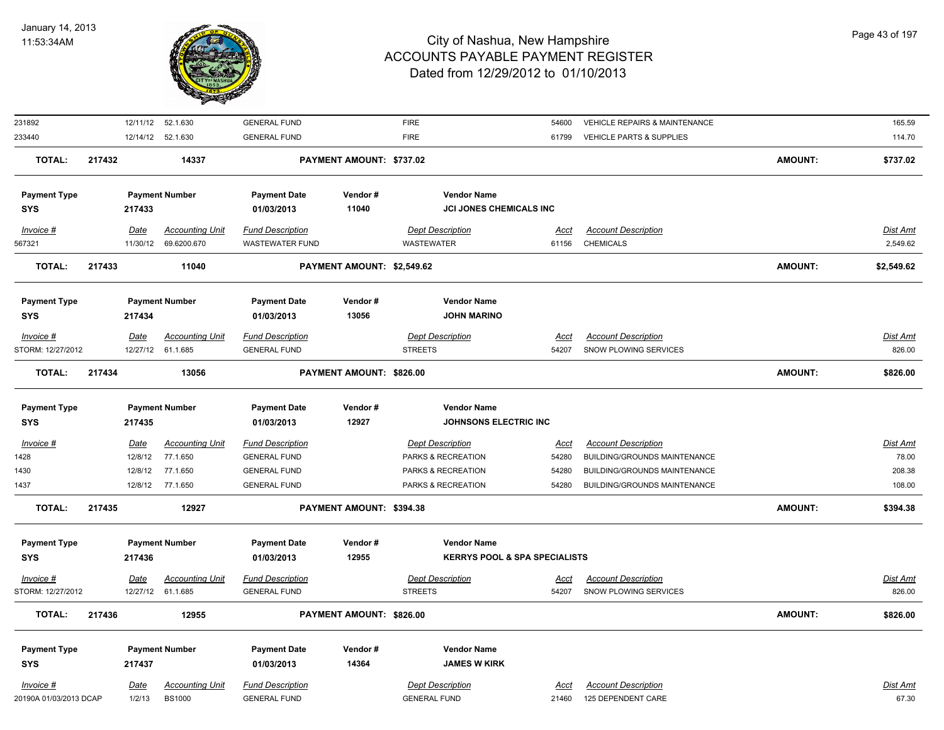

| 231892                 |             | 12/11/12 52.1.630       | <b>GENERAL FUND</b>     |                            | <b>FIRE</b>                              | 54600       | VEHICLE REPAIRS & MAINTENANCE |                | 165.59          |
|------------------------|-------------|-------------------------|-------------------------|----------------------------|------------------------------------------|-------------|-------------------------------|----------------|-----------------|
| 233440                 |             | 12/14/12 52.1.630       | <b>GENERAL FUND</b>     |                            | <b>FIRE</b>                              | 61799       | VEHICLE PARTS & SUPPLIES      |                | 114.70          |
| <b>TOTAL:</b>          | 217432      | 14337                   |                         | PAYMENT AMOUNT: \$737.02   |                                          |             |                               | <b>AMOUNT:</b> | \$737.02        |
| <b>Payment Type</b>    |             | <b>Payment Number</b>   | <b>Payment Date</b>     | Vendor#                    | <b>Vendor Name</b>                       |             |                               |                |                 |
| <b>SYS</b>             | 217433      |                         | 01/03/2013              | 11040                      | JCI JONES CHEMICALS INC                  |             |                               |                |                 |
| Invoice #              | Date        | <b>Accounting Unit</b>  | <b>Fund Description</b> |                            | <b>Dept Description</b>                  | Acct        | <b>Account Description</b>    |                | Dist Amt        |
| 567321                 |             | 11/30/12<br>69.6200.670 | <b>WASTEWATER FUND</b>  |                            | <b>WASTEWATER</b>                        | 61156       | <b>CHEMICALS</b>              |                | 2,549.62        |
| <b>TOTAL:</b>          | 217433      | 11040                   |                         | PAYMENT AMOUNT: \$2,549.62 |                                          |             |                               | <b>AMOUNT:</b> | \$2,549.62      |
| <b>Payment Type</b>    |             | <b>Payment Number</b>   | <b>Payment Date</b>     | Vendor#                    | <b>Vendor Name</b>                       |             |                               |                |                 |
| <b>SYS</b>             | 217434      |                         | 01/03/2013              | 13056                      | <b>JOHN MARINO</b>                       |             |                               |                |                 |
| Invoice #              | Date        | <b>Accounting Unit</b>  | <b>Fund Description</b> |                            | <b>Dept Description</b>                  | Acct        | <b>Account Description</b>    |                | Dist Amt        |
| STORM: 12/27/2012      |             | 12/27/12 61.1.685       | <b>GENERAL FUND</b>     |                            | <b>STREETS</b>                           | 54207       | SNOW PLOWING SERVICES         |                | 826.00          |
| <b>TOTAL:</b>          | 217434      | 13056                   |                         | PAYMENT AMOUNT: \$826.00   |                                          |             |                               | <b>AMOUNT:</b> | \$826.00        |
| <b>Payment Type</b>    |             | <b>Payment Number</b>   | <b>Payment Date</b>     | Vendor#                    | <b>Vendor Name</b>                       |             |                               |                |                 |
| <b>SYS</b>             | 217435      |                         | 01/03/2013              | 12927                      | JOHNSONS ELECTRIC INC                    |             |                               |                |                 |
| $Invoice$ #            | <b>Date</b> | <b>Accounting Unit</b>  | <b>Fund Description</b> |                            | <b>Dept Description</b>                  | <u>Acct</u> | <b>Account Description</b>    |                | <b>Dist Amt</b> |
| 1428                   |             | 12/8/12<br>77.1.650     | <b>GENERAL FUND</b>     |                            | PARKS & RECREATION                       | 54280       | BUILDING/GROUNDS MAINTENANCE  |                | 78.00           |
| 1430                   |             | 12/8/12<br>77.1.650     | <b>GENERAL FUND</b>     |                            | PARKS & RECREATION                       | 54280       | BUILDING/GROUNDS MAINTENANCE  |                | 208.38          |
| 1437                   |             | 12/8/12 77.1.650        | <b>GENERAL FUND</b>     |                            | PARKS & RECREATION                       | 54280       | BUILDING/GROUNDS MAINTENANCE  |                | 108.00          |
| <b>TOTAL:</b>          | 217435      | 12927                   |                         | PAYMENT AMOUNT: \$394.38   |                                          |             |                               | <b>AMOUNT:</b> | \$394.38        |
| <b>Payment Type</b>    |             | <b>Payment Number</b>   | <b>Payment Date</b>     | Vendor#                    | <b>Vendor Name</b>                       |             |                               |                |                 |
| <b>SYS</b>             | 217436      |                         | 01/03/2013              | 12955                      | <b>KERRYS POOL &amp; SPA SPECIALISTS</b> |             |                               |                |                 |
| $Invoice$ #            | Date        | <b>Accounting Unit</b>  | <b>Fund Description</b> |                            | <b>Dept Description</b>                  | <u>Acct</u> | <b>Account Description</b>    |                | <b>Dist Amt</b> |
| STORM: 12/27/2012      |             | 12/27/12 61.1.685       | <b>GENERAL FUND</b>     |                            | <b>STREETS</b>                           | 54207       | SNOW PLOWING SERVICES         |                | 826.00          |
| <b>TOTAL:</b>          | 217436      | 12955                   |                         | PAYMENT AMOUNT: \$826.00   |                                          |             |                               | <b>AMOUNT:</b> | \$826.00        |
| <b>Payment Type</b>    |             | <b>Payment Number</b>   | <b>Payment Date</b>     | Vendor#                    | <b>Vendor Name</b>                       |             |                               |                |                 |
| <b>SYS</b>             | 217437      |                         | 01/03/2013              | 14364                      | <b>JAMES W KIRK</b>                      |             |                               |                |                 |
| Invoice #              | Date        | <b>Accounting Unit</b>  | <b>Fund Description</b> |                            | <b>Dept Description</b>                  | Acct        | <b>Account Description</b>    |                | <b>Dist Amt</b> |
| 20190A 01/03/2013 DCAP |             | 1/2/13<br><b>BS1000</b> | <b>GENERAL FUND</b>     |                            | <b>GENERAL FUND</b>                      | 21460       | 125 DEPENDENT CARE            |                | 67.30           |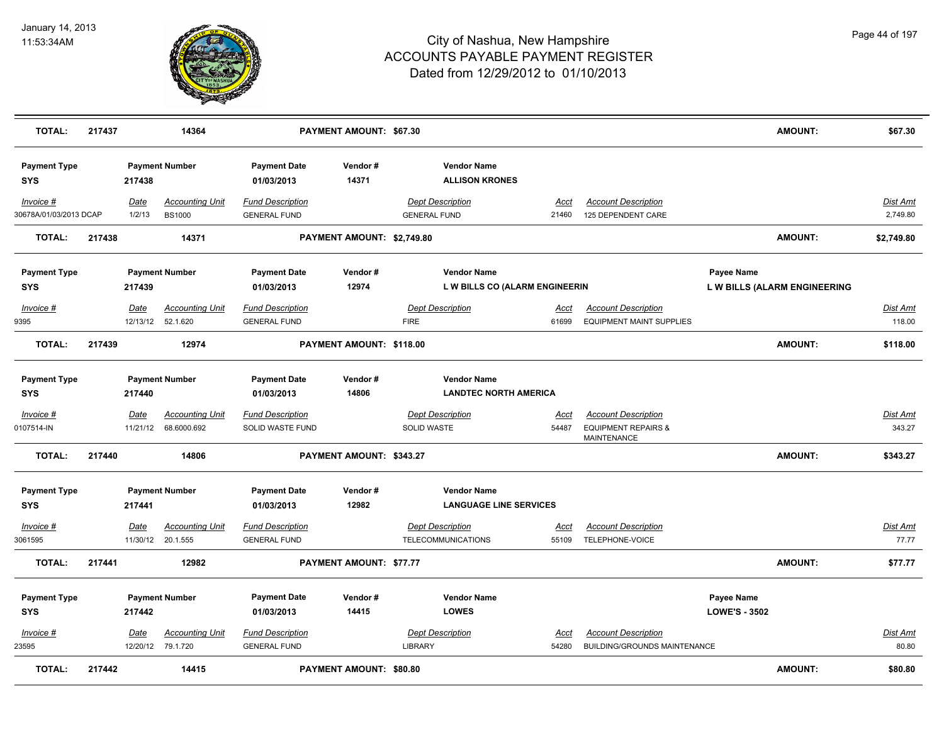

| <b>TOTAL:</b>                       | 217437 |                         | 14364                                       |                                                | PAYMENT AMOUNT: \$67.30    |                                                      |                                                      |                                                                             |                                    | <b>AMOUNT:</b>               | \$67.30                     |
|-------------------------------------|--------|-------------------------|---------------------------------------------|------------------------------------------------|----------------------------|------------------------------------------------------|------------------------------------------------------|-----------------------------------------------------------------------------|------------------------------------|------------------------------|-----------------------------|
| <b>Payment Type</b><br><b>SYS</b>   |        | 217438                  | <b>Payment Number</b>                       | <b>Payment Date</b><br>01/03/2013              | Vendor#<br>14371           |                                                      | <b>Vendor Name</b><br><b>ALLISON KRONES</b>          |                                                                             |                                    |                              |                             |
| Invoice #<br>30678A/01/03/2013 DCAP |        | Date<br>1/2/13          | <b>Accounting Unit</b><br><b>BS1000</b>     | <b>Fund Description</b><br><b>GENERAL FUND</b> |                            | <b>Dept Description</b><br><b>GENERAL FUND</b>       | Acct<br>21460                                        | <b>Account Description</b><br>125 DEPENDENT CARE                            |                                    |                              | <b>Dist Amt</b><br>2,749.80 |
| <b>TOTAL:</b>                       | 217438 |                         | 14371                                       |                                                | PAYMENT AMOUNT: \$2,749.80 |                                                      |                                                      |                                                                             |                                    | <b>AMOUNT:</b>               | \$2,749.80                  |
| <b>Payment Type</b><br><b>SYS</b>   |        | 217439                  | <b>Payment Number</b>                       | <b>Payment Date</b><br>01/03/2013              | Vendor#<br>12974           |                                                      | <b>Vendor Name</b><br>L W BILLS CO (ALARM ENGINEERIN |                                                                             | Payee Name                         | L W BILLS (ALARM ENGINEERING |                             |
| <b>Invoice #</b><br>9395            |        | Date<br>12/13/12        | <b>Accounting Unit</b><br>52.1.620          | <b>Fund Description</b><br><b>GENERAL FUND</b> |                            | <b>Dept Description</b><br><b>FIRE</b>               | <u>Acct</u><br>61699                                 | <b>Account Description</b><br><b>EQUIPMENT MAINT SUPPLIES</b>               |                                    |                              | <b>Dist Amt</b><br>118.00   |
| <b>TOTAL:</b>                       | 217439 |                         | 12974                                       |                                                | PAYMENT AMOUNT: \$118.00   |                                                      |                                                      |                                                                             |                                    | <b>AMOUNT:</b>               | \$118.00                    |
| <b>Payment Type</b><br><b>SYS</b>   |        | 217440                  | <b>Payment Number</b>                       | <b>Payment Date</b><br>01/03/2013              | Vendor#<br>14806           |                                                      | <b>Vendor Name</b><br><b>LANDTEC NORTH AMERICA</b>   |                                                                             |                                    |                              |                             |
| $Invoice$ #<br>0107514-IN           |        | <u>Date</u><br>11/21/12 | <b>Accounting Unit</b><br>68.6000.692       | <b>Fund Description</b><br>SOLID WASTE FUND    |                            | <b>Dept Description</b><br><b>SOLID WASTE</b>        | <u>Acct</u><br>54487                                 | <b>Account Description</b><br><b>EQUIPMENT REPAIRS &amp;</b><br>MAINTENANCE |                                    |                              | <b>Dist Amt</b><br>343.27   |
| <b>TOTAL:</b>                       | 217440 |                         | 14806                                       |                                                | PAYMENT AMOUNT: \$343.27   |                                                      |                                                      |                                                                             |                                    | <b>AMOUNT:</b>               | \$343.27                    |
| <b>Payment Type</b><br><b>SYS</b>   |        | 217441                  | <b>Payment Number</b>                       | <b>Payment Date</b><br>01/03/2013              | Vendor#<br>12982           |                                                      | <b>Vendor Name</b><br><b>LANGUAGE LINE SERVICES</b>  |                                                                             |                                    |                              |                             |
| $Invoice$ #<br>3061595              |        | <b>Date</b><br>11/30/12 | <b>Accounting Unit</b><br>20.1.555          | <b>Fund Description</b><br><b>GENERAL FUND</b> |                            | <b>Dept Description</b><br><b>TELECOMMUNICATIONS</b> | <u>Acct</u><br>55109                                 | <b>Account Description</b><br>TELEPHONE-VOICE                               |                                    |                              | <u>Dist Amt</u><br>77.77    |
| <b>TOTAL:</b>                       | 217441 |                         | 12982                                       |                                                | PAYMENT AMOUNT: \$77.77    |                                                      |                                                      |                                                                             |                                    | <b>AMOUNT:</b>               | \$77.77                     |
| <b>Payment Type</b><br><b>SYS</b>   |        | 217442                  | <b>Payment Number</b>                       | <b>Payment Date</b><br>01/03/2013              | Vendor#<br>14415           | <b>LOWES</b>                                         | <b>Vendor Name</b>                                   |                                                                             | Payee Name<br><b>LOWE'S - 3502</b> |                              |                             |
| Invoice #<br>23595                  |        | Date                    | <b>Accounting Unit</b><br>12/20/12 79.1.720 | <b>Fund Description</b><br><b>GENERAL FUND</b> |                            | <b>Dept Description</b><br><b>LIBRARY</b>            | <u>Acct</u><br>54280                                 | <b>Account Description</b><br><b>BUILDING/GROUNDS MAINTENANCE</b>           |                                    |                              | <b>Dist Amt</b><br>80.80    |
| <b>TOTAL:</b>                       | 217442 |                         | 14415                                       |                                                | PAYMENT AMOUNT: \$80.80    |                                                      |                                                      |                                                                             |                                    | <b>AMOUNT:</b>               | \$80.80                     |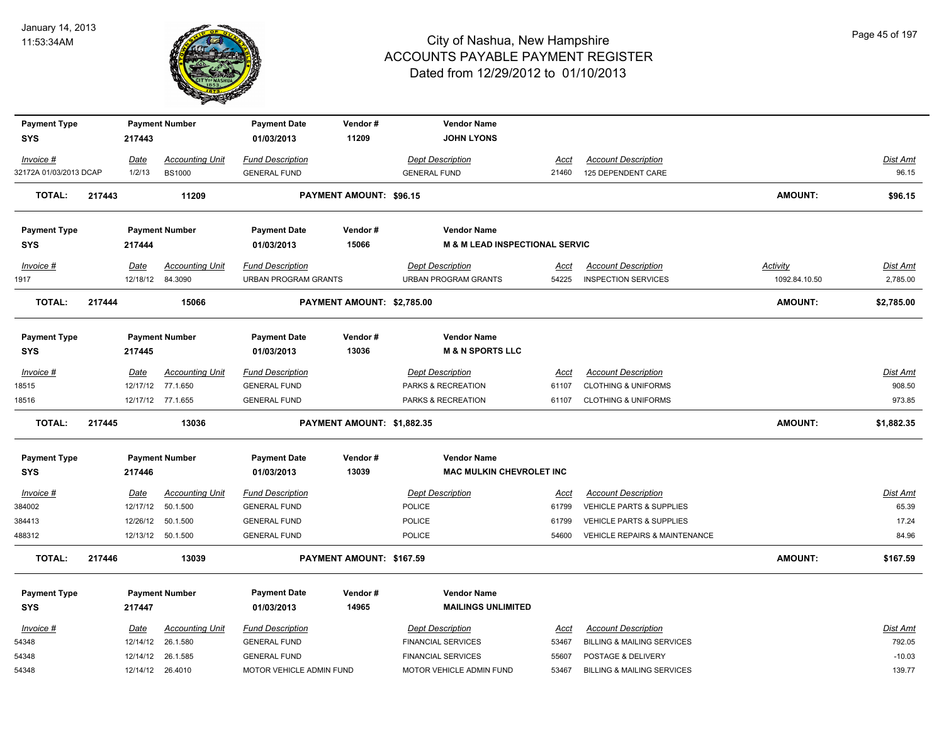

| <b>Payment Type</b>    |             | <b>Payment Number</b>  | <b>Payment Date</b>      | Vendor#<br>11209               | <b>Vendor Name</b><br><b>JOHN LYONS</b> |             |                                       |                |                 |
|------------------------|-------------|------------------------|--------------------------|--------------------------------|-----------------------------------------|-------------|---------------------------------------|----------------|-----------------|
| <b>SYS</b>             | 217443      |                        | 01/03/2013               |                                |                                         |             |                                       |                |                 |
| Invoice #              | <u>Date</u> | <b>Accounting Unit</b> | <b>Fund Description</b>  |                                | Dept Description                        | <u>Acct</u> | <b>Account Description</b>            |                | <u>Dist Amt</u> |
| 32172A 01/03/2013 DCAP | 1/2/13      | <b>BS1000</b>          | <b>GENERAL FUND</b>      |                                | <b>GENERAL FUND</b>                     | 21460       | 125 DEPENDENT CARE                    |                | 96.15           |
| <b>TOTAL:</b>          | 217443      | 11209                  |                          | <b>PAYMENT AMOUNT: \$96.15</b> |                                         |             |                                       | <b>AMOUNT:</b> | \$96.15         |
| <b>Payment Type</b>    |             | <b>Payment Number</b>  | <b>Payment Date</b>      | Vendor#                        | <b>Vendor Name</b>                      |             |                                       |                |                 |
| <b>SYS</b>             | 217444      |                        | 01/03/2013               | 15066                          | M & M LEAD INSPECTIONAL SERVIC          |             |                                       |                |                 |
| Invoice #              | Date        | <b>Accounting Unit</b> | <b>Fund Description</b>  |                                | <b>Dept Description</b>                 | Acct        | <b>Account Description</b>            | Activity       | Dist Amt        |
| 1917                   | 12/18/12    | 84.3090                | URBAN PROGRAM GRANTS     |                                | <b>URBAN PROGRAM GRANTS</b>             | 54225       | <b>INSPECTION SERVICES</b>            | 1092.84.10.50  | 2,785.00        |
| <b>TOTAL:</b>          | 217444      | 15066                  |                          | PAYMENT AMOUNT: \$2,785.00     |                                         |             |                                       | <b>AMOUNT:</b> | \$2,785.00      |
| <b>Payment Type</b>    |             | <b>Payment Number</b>  | <b>Payment Date</b>      | Vendor#                        | <b>Vendor Name</b>                      |             |                                       |                |                 |
| <b>SYS</b>             | 217445      |                        | 01/03/2013               | 13036                          | <b>M &amp; N SPORTS LLC</b>             |             |                                       |                |                 |
| Invoice #              | Date        | <b>Accounting Unit</b> | <b>Fund Description</b>  |                                | <b>Dept Description</b>                 | Acct        | <b>Account Description</b>            |                | Dist Amt        |
| 18515                  | 12/17/12    | 77.1.650               | <b>GENERAL FUND</b>      |                                | PARKS & RECREATION                      | 61107       | <b>CLOTHING &amp; UNIFORMS</b>        |                | 908.50          |
| 18516                  |             | 12/17/12 77.1.655      | <b>GENERAL FUND</b>      |                                | PARKS & RECREATION                      | 61107       | <b>CLOTHING &amp; UNIFORMS</b>        |                | 973.85          |
| <b>TOTAL:</b>          | 217445      | 13036                  |                          | PAYMENT AMOUNT: \$1,882.35     |                                         |             |                                       | <b>AMOUNT:</b> | \$1,882.35      |
| <b>Payment Type</b>    |             | <b>Payment Number</b>  | <b>Payment Date</b>      | Vendor#                        | <b>Vendor Name</b>                      |             |                                       |                |                 |
| <b>SYS</b>             | 217446      |                        | 01/03/2013               | 13039                          | MAC MULKIN CHEVROLET INC                |             |                                       |                |                 |
| $Invoice$ #            | Date        | <b>Accounting Unit</b> | <b>Fund Description</b>  |                                | <b>Dept Description</b>                 | Acct        | <b>Account Description</b>            |                | Dist Amt        |
| 384002                 | 12/17/12    | 50.1.500               | <b>GENERAL FUND</b>      |                                | POLICE                                  | 61799       | VEHICLE PARTS & SUPPLIES              |                | 65.39           |
| 384413                 | 12/26/12    | 50.1.500               | <b>GENERAL FUND</b>      |                                | <b>POLICE</b>                           | 61799       | <b>VEHICLE PARTS &amp; SUPPLIES</b>   |                | 17.24           |
| 488312                 |             | 12/13/12  50.1.500     | <b>GENERAL FUND</b>      |                                | POLICE                                  | 54600       | VEHICLE REPAIRS & MAINTENANCE         |                | 84.96           |
| <b>TOTAL:</b>          | 217446      | 13039                  |                          | PAYMENT AMOUNT: \$167.59       |                                         |             |                                       | <b>AMOUNT:</b> | \$167.59        |
| <b>Payment Type</b>    |             | <b>Payment Number</b>  | <b>Payment Date</b>      | Vendor#                        | <b>Vendor Name</b>                      |             |                                       |                |                 |
| <b>SYS</b>             | 217447      |                        | 01/03/2013               | 14965                          | <b>MAILINGS UNLIMITED</b>               |             |                                       |                |                 |
| Invoice #              | Date        | <b>Accounting Unit</b> | <b>Fund Description</b>  |                                | <b>Dept Description</b>                 | <u>Acct</u> | <b>Account Description</b>            |                | <u>Dist Amt</u> |
| 54348                  | 12/14/12    | 26.1.580               | <b>GENERAL FUND</b>      |                                | <b>FINANCIAL SERVICES</b>               | 53467       | <b>BILLING &amp; MAILING SERVICES</b> |                | 792.05          |
| 54348                  | 12/14/12    | 26.1.585               | <b>GENERAL FUND</b>      |                                | <b>FINANCIAL SERVICES</b>               | 55607       | POSTAGE & DELIVERY                    |                | $-10.03$        |
| 54348                  |             | 12/14/12 26.4010       | MOTOR VEHICLE ADMIN FUND |                                | MOTOR VEHICLE ADMIN FUND                | 53467       | <b>BILLING &amp; MAILING SERVICES</b> |                | 139.77          |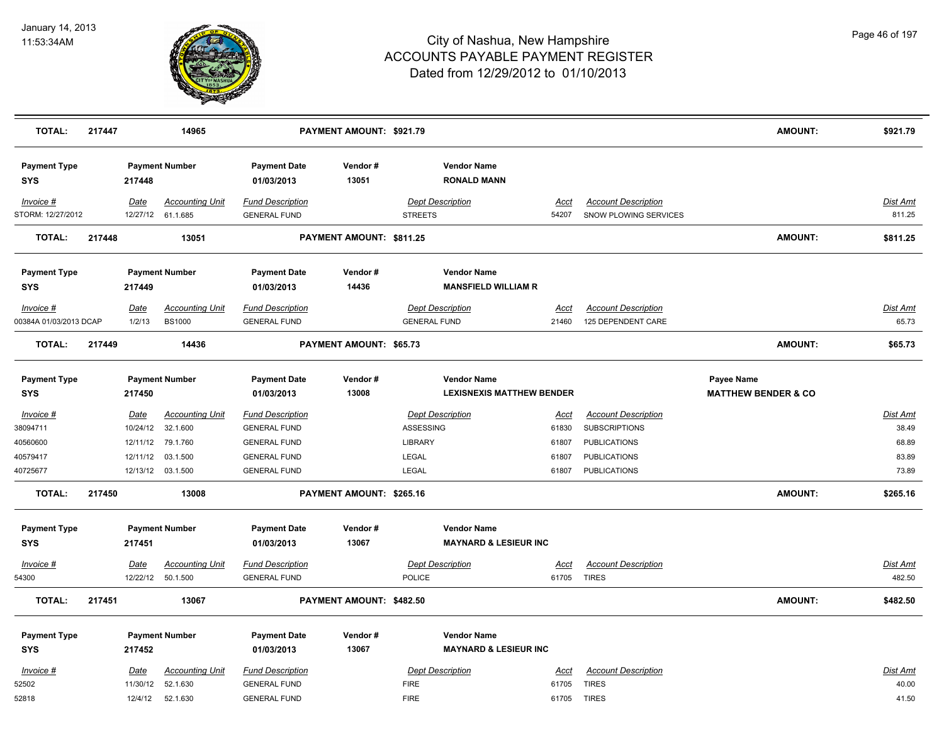

| <b>TOTAL:</b>                     | 217447 |                         | 14965                                       |                                                | <b>PAYMENT AMOUNT: \$921.79</b> |                                           |                                  |              |                                                     | <b>AMOUNT:</b>                 | \$921.79           |
|-----------------------------------|--------|-------------------------|---------------------------------------------|------------------------------------------------|---------------------------------|-------------------------------------------|----------------------------------|--------------|-----------------------------------------------------|--------------------------------|--------------------|
| <b>Payment Type</b><br>SYS        |        | 217448                  | <b>Payment Number</b>                       | <b>Payment Date</b><br>01/03/2013              | Vendor#<br>13051                | <b>Vendor Name</b>                        | <b>RONALD MANN</b>               |              |                                                     |                                |                    |
| Invoice #<br>STORM: 12/27/2012    |        | Date                    | <b>Accounting Unit</b><br>12/27/12 61.1.685 | <b>Fund Description</b><br><b>GENERAL FUND</b> |                                 | <b>Dept Description</b><br><b>STREETS</b> | <u>Acct</u><br>54207             |              | <b>Account Description</b><br>SNOW PLOWING SERVICES |                                | Dist Amt<br>811.25 |
| <b>TOTAL:</b>                     | 217448 |                         | 13051                                       |                                                | PAYMENT AMOUNT: \$811.25        |                                           |                                  |              |                                                     | <b>AMOUNT:</b>                 | \$811.25           |
| <b>Payment Type</b><br><b>SYS</b> |        | 217449                  | <b>Payment Number</b>                       | <b>Payment Date</b><br>01/03/2013              | Vendor#<br>14436                | <b>Vendor Name</b>                        | <b>MANSFIELD WILLIAM R</b>       |              |                                                     |                                |                    |
| Invoice #                         |        | <u>Date</u>             | <b>Accounting Unit</b>                      | <b>Fund Description</b>                        |                                 | <b>Dept Description</b>                   | Acct                             |              | <b>Account Description</b>                          |                                | <b>Dist Amt</b>    |
| 00384A 01/03/2013 DCAP            |        | 1/2/13                  | <b>BS1000</b>                               | <b>GENERAL FUND</b>                            |                                 | <b>GENERAL FUND</b>                       | 21460                            |              | 125 DEPENDENT CARE                                  |                                | 65.73              |
| <b>TOTAL:</b>                     | 217449 |                         | 14436                                       |                                                | <b>PAYMENT AMOUNT: \$65.73</b>  |                                           |                                  |              |                                                     | <b>AMOUNT:</b>                 | \$65.73            |
| <b>Payment Type</b>               |        |                         | <b>Payment Number</b>                       | <b>Payment Date</b>                            | Vendor#                         | <b>Vendor Name</b>                        |                                  |              |                                                     | Payee Name                     |                    |
| SYS                               |        | 217450                  |                                             | 01/03/2013                                     | 13008                           |                                           | <b>LEXISNEXIS MATTHEW BENDER</b> |              |                                                     | <b>MATTHEW BENDER &amp; CO</b> |                    |
| Invoice #<br>38094711             |        | <u>Date</u><br>10/24/12 | <b>Accounting Unit</b><br>32.1.600          | <b>Fund Description</b><br><b>GENERAL FUND</b> |                                 | <b>Dept Description</b><br>ASSESSING      | <u>Acct</u><br>61830             |              | <b>Account Description</b><br><b>SUBSCRIPTIONS</b>  |                                | Dist Amt<br>38.49  |
| 40560600                          |        | 12/11/12                | 79.1.760                                    | <b>GENERAL FUND</b>                            |                                 | LIBRARY                                   | 61807                            |              | <b>PUBLICATIONS</b>                                 |                                | 68.89              |
| 40579417                          |        | 12/11/12                | 03.1.500                                    | <b>GENERAL FUND</b>                            |                                 | LEGAL                                     | 61807                            |              | <b>PUBLICATIONS</b>                                 |                                | 83.89              |
| 40725677                          |        |                         | 12/13/12 03.1.500                           | <b>GENERAL FUND</b>                            |                                 | <b>LEGAL</b>                              | 61807                            |              | <b>PUBLICATIONS</b>                                 |                                | 73.89              |
| <b>TOTAL:</b>                     | 217450 |                         | 13008                                       |                                                | PAYMENT AMOUNT: \$265.16        |                                           |                                  |              |                                                     | <b>AMOUNT:</b>                 | \$265.16           |
| <b>Payment Type</b>               |        |                         | <b>Payment Number</b>                       | <b>Payment Date</b>                            | Vendor#                         | <b>Vendor Name</b>                        |                                  |              |                                                     |                                |                    |
| <b>SYS</b>                        |        | 217451                  |                                             | 01/03/2013                                     | 13067                           |                                           | <b>MAYNARD &amp; LESIEUR INC</b> |              |                                                     |                                |                    |
| Invoice #                         |        | Date                    | <b>Accounting Unit</b>                      | <b>Fund Description</b>                        |                                 | <b>Dept Description</b>                   | Acct                             |              | <b>Account Description</b>                          |                                | Dist Amt           |
| 54300                             |        | 12/22/12                | 50.1.500                                    | <b>GENERAL FUND</b>                            |                                 | <b>POLICE</b>                             | 61705                            | <b>TIRES</b> |                                                     |                                | 482.50             |
| <b>TOTAL:</b>                     | 217451 |                         | 13067                                       |                                                | PAYMENT AMOUNT: \$482.50        |                                           |                                  |              |                                                     | <b>AMOUNT:</b>                 | \$482.50           |
| <b>Payment Type</b>               |        |                         | <b>Payment Number</b>                       | <b>Payment Date</b>                            | Vendor#                         | <b>Vendor Name</b>                        |                                  |              |                                                     |                                |                    |
| SYS                               |        | 217452                  |                                             | 01/03/2013                                     | 13067                           |                                           | <b>MAYNARD &amp; LESIEUR INC</b> |              |                                                     |                                |                    |
|                                   |        |                         |                                             |                                                |                                 |                                           |                                  |              |                                                     |                                |                    |
| Invoice #<br>52502                |        | Date<br>11/30/12        | <b>Accounting Unit</b><br>52.1.630          | <b>Fund Description</b><br><b>GENERAL FUND</b> |                                 | <b>Dept Description</b><br><b>FIRE</b>    | Acct<br>61705                    | <b>TIRES</b> | <b>Account Description</b>                          |                                | Dist Amt<br>40.00  |
| 52818                             |        | 12/4/12                 | 52.1.630                                    | <b>GENERAL FUND</b>                            |                                 | <b>FIRE</b>                               | 61705                            | <b>TIRES</b> |                                                     |                                | 41.50              |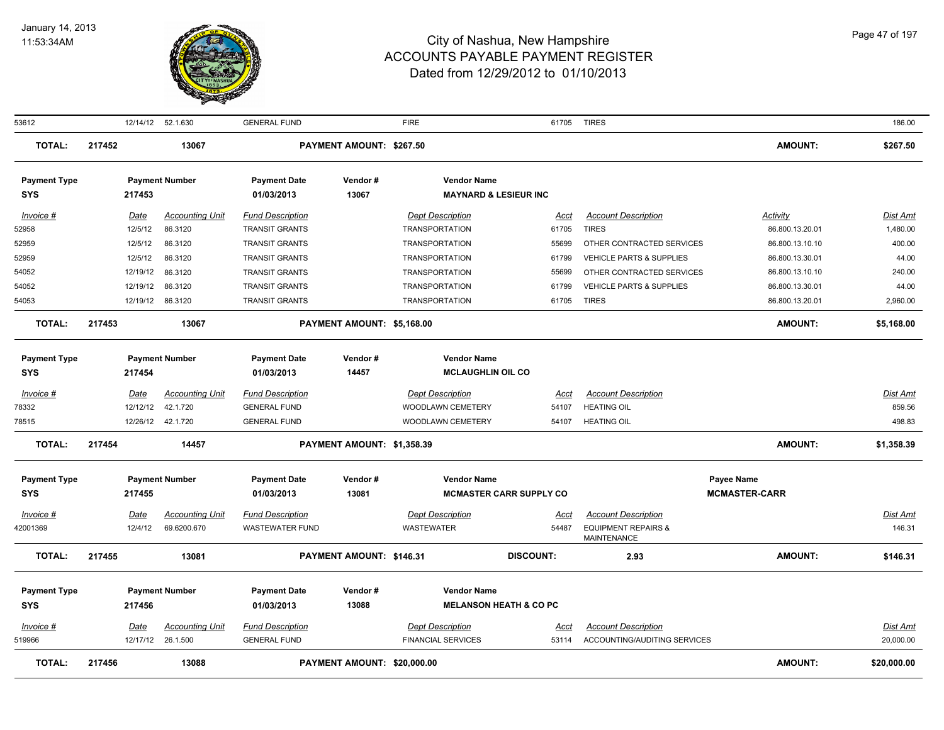

| 53612                             |        |                        | 12/14/12 52.1.630                 | <b>GENERAL FUND</b>                              |                             | <b>FIRE</b>                                      |                                   | 61705 TIRES                                   |                             | 186.00               |
|-----------------------------------|--------|------------------------|-----------------------------------|--------------------------------------------------|-----------------------------|--------------------------------------------------|-----------------------------------|-----------------------------------------------|-----------------------------|----------------------|
| <b>TOTAL:</b>                     | 217452 |                        | 13067                             |                                                  | PAYMENT AMOUNT: \$267.50    |                                                  |                                   |                                               | <b>AMOUNT:</b>              | \$267.50             |
| <b>Payment Type</b>               |        |                        | <b>Payment Number</b>             | <b>Payment Date</b>                              | Vendor#                     | <b>Vendor Name</b>                               |                                   |                                               |                             |                      |
| <b>SYS</b>                        |        | 217453                 |                                   | 01/03/2013                                       | 13067                       | <b>MAYNARD &amp; LESIEUR INC</b>                 |                                   |                                               |                             |                      |
| Invoice #<br>52958                |        | <u>Date</u><br>12/5/12 | <b>Accounting Unit</b><br>86.3120 | <b>Fund Description</b><br><b>TRANSIT GRANTS</b> |                             | <b>Dept Description</b><br><b>TRANSPORTATION</b> | Acct<br>61705                     | <b>Account Description</b><br><b>TIRES</b>    | Activity<br>86.800.13.20.01 | Dist Amt<br>1,480.00 |
| 52959                             |        | 12/5/12                | 86.3120                           | <b>TRANSIT GRANTS</b>                            |                             | <b>TRANSPORTATION</b>                            | 55699                             | OTHER CONTRACTED SERVICES                     | 86.800.13.10.10             | 400.00               |
| 52959                             |        | 12/5/12                | 86.3120                           | <b>TRANSIT GRANTS</b>                            |                             | <b>TRANSPORTATION</b>                            | 61799                             | VEHICLE PARTS & SUPPLIES                      | 86.800.13.30.01             | 44.00                |
| 54052                             |        | 12/19/12               | 86.3120                           | <b>TRANSIT GRANTS</b>                            |                             | <b>TRANSPORTATION</b>                            | 55699                             | OTHER CONTRACTED SERVICES                     | 86.800.13.10.10             | 240.00               |
| 54052                             |        | 12/19/12               | 86.3120                           | <b>TRANSIT GRANTS</b>                            |                             | <b>TRANSPORTATION</b>                            | 61799                             | <b>VEHICLE PARTS &amp; SUPPLIES</b>           | 86.800.13.30.01             | 44.00                |
| 54053                             |        |                        | 12/19/12 86.3120                  | <b>TRANSIT GRANTS</b>                            |                             | <b>TRANSPORTATION</b>                            | 61705                             | <b>TIRES</b>                                  | 86.800.13.20.01             | 2,960.00             |
| <b>TOTAL:</b>                     | 217453 |                        | 13067                             |                                                  | PAYMENT AMOUNT: \$5,168.00  |                                                  |                                   |                                               | <b>AMOUNT:</b>              | \$5,168.00           |
|                                   |        |                        |                                   |                                                  | Vendor#                     | <b>Vendor Name</b>                               |                                   |                                               |                             |                      |
| <b>Payment Type</b><br><b>SYS</b> |        | 217454                 | <b>Payment Number</b>             | <b>Payment Date</b><br>01/03/2013                | 14457                       | <b>MCLAUGHLIN OIL CO</b>                         |                                   |                                               |                             |                      |
|                                   |        |                        |                                   |                                                  |                             |                                                  |                                   |                                               |                             |                      |
| Invoice #                         |        | <u>Date</u>            | <b>Accounting Unit</b>            | <b>Fund Description</b>                          |                             | <b>Dept Description</b>                          | Acct                              | <b>Account Description</b>                    |                             | Dist Amt             |
| 78332                             |        | 12/12/12               | 42.1.720                          | <b>GENERAL FUND</b>                              |                             | WOODLAWN CEMETERY                                | 54107                             | <b>HEATING OIL</b>                            |                             | 859.56               |
| 78515                             |        |                        | 12/26/12  42.1.720                | <b>GENERAL FUND</b>                              |                             | WOODLAWN CEMETERY                                | 54107                             | <b>HEATING OIL</b>                            |                             | 498.83               |
| <b>TOTAL:</b>                     | 217454 |                        | 14457                             |                                                  | PAYMENT AMOUNT: \$1,358.39  |                                                  |                                   |                                               | <b>AMOUNT:</b>              | \$1,358.39           |
| <b>Payment Type</b>               |        |                        | <b>Payment Number</b>             | <b>Payment Date</b>                              | Vendor#                     | <b>Vendor Name</b>                               |                                   |                                               | Payee Name                  |                      |
| <b>SYS</b>                        |        | 217455                 |                                   | 01/03/2013                                       | 13081                       |                                                  | <b>MCMASTER CARR SUPPLY CO</b>    |                                               | <b>MCMASTER-CARR</b>        |                      |
| Invoice #                         |        | <u>Date</u>            | <b>Accounting Unit</b>            | <b>Fund Description</b>                          |                             | <b>Dept Description</b>                          | <u>Acct</u>                       | <b>Account Description</b>                    |                             | <b>Dist Amt</b>      |
| 42001369                          |        | 12/4/12                | 69.6200.670                       | <b>WASTEWATER FUND</b>                           |                             | <b>WASTEWATER</b>                                | 54487                             | <b>EQUIPMENT REPAIRS &amp;</b><br>MAINTENANCE |                             | 146.31               |
| <b>TOTAL:</b>                     | 217455 |                        | 13081                             |                                                  | PAYMENT AMOUNT: \$146.31    |                                                  | <b>DISCOUNT:</b>                  | 2.93                                          | <b>AMOUNT:</b>              | \$146.31             |
| <b>Payment Type</b>               |        |                        | <b>Payment Number</b>             | <b>Payment Date</b>                              | Vendor#                     | <b>Vendor Name</b>                               |                                   |                                               |                             |                      |
| <b>SYS</b>                        |        | 217456                 |                                   | 01/03/2013                                       | 13088                       |                                                  | <b>MELANSON HEATH &amp; CO PC</b> |                                               |                             |                      |
| Invoice #                         |        | <u>Date</u>            | <b>Accounting Unit</b>            | <b>Fund Description</b>                          |                             | <b>Dept Description</b>                          | Acct                              | <b>Account Description</b>                    |                             | <u>Dist Amt</u>      |
| 519966                            |        |                        | 12/17/12 26.1.500                 | <b>GENERAL FUND</b>                              |                             | <b>FINANCIAL SERVICES</b>                        | 53114                             | ACCOUNTING/AUDITING SERVICES                  |                             | 20,000.00            |
| <b>TOTAL:</b>                     | 217456 |                        | 13088                             |                                                  | PAYMENT AMOUNT: \$20,000.00 |                                                  |                                   |                                               | <b>AMOUNT:</b>              | \$20,000.00          |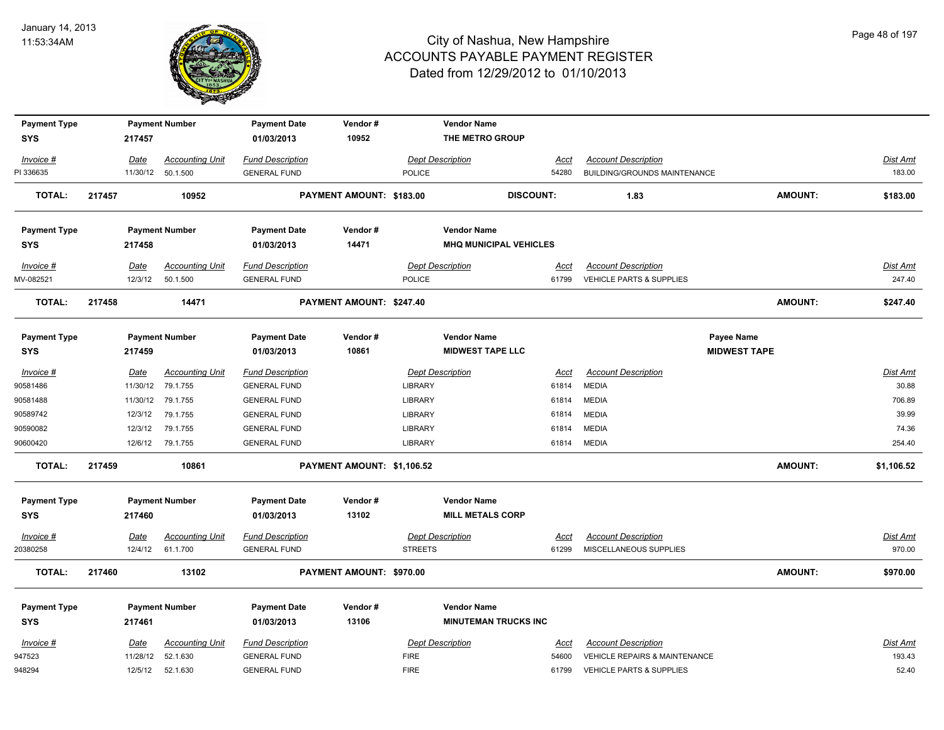

| <b>Payment Type</b> |          | <b>Payment Number</b>  | <b>Payment Date</b>     | Vendor#                    |                | <b>Vendor Name</b>            |                  |                                          |                     |                |                 |
|---------------------|----------|------------------------|-------------------------|----------------------------|----------------|-------------------------------|------------------|------------------------------------------|---------------------|----------------|-----------------|
| <b>SYS</b>          | 217457   |                        | 01/03/2013              | 10952                      |                | THE METRO GROUP               |                  |                                          |                     |                |                 |
| Invoice #           | Date     | <b>Accounting Unit</b> | <b>Fund Description</b> |                            |                | <b>Dept Description</b>       | Acct             | <b>Account Description</b>               |                     |                | <b>Dist Amt</b> |
| PI 336635           | 11/30/12 | 50.1.500               | <b>GENERAL FUND</b>     |                            | <b>POLICE</b>  |                               | 54280            | BUILDING/GROUNDS MAINTENANCE             |                     |                | 183.00          |
| <b>TOTAL:</b>       | 217457   | 10952                  |                         | PAYMENT AMOUNT: \$183.00   |                |                               | <b>DISCOUNT:</b> | 1.83                                     |                     | AMOUNT:        | \$183.00        |
| <b>Payment Type</b> |          | <b>Payment Number</b>  | <b>Payment Date</b>     | Vendor#                    |                | <b>Vendor Name</b>            |                  |                                          |                     |                |                 |
| <b>SYS</b>          | 217458   |                        | 01/03/2013              | 14471                      |                | <b>MHQ MUNICIPAL VEHICLES</b> |                  |                                          |                     |                |                 |
| Invoice #           | Date     | <b>Accounting Unit</b> | <b>Fund Description</b> |                            |                | <b>Dept Description</b>       | Acct             | <b>Account Description</b>               |                     |                | <u>Dist Amt</u> |
| MV-082521           | 12/3/12  | 50.1.500               | <b>GENERAL FUND</b>     |                            | <b>POLICE</b>  |                               | 61799            | <b>VEHICLE PARTS &amp; SUPPLIES</b>      |                     |                | 247.40          |
| <b>TOTAL:</b>       | 217458   | 14471                  |                         | PAYMENT AMOUNT: \$247.40   |                |                               |                  |                                          |                     | AMOUNT:        | \$247.40        |
| <b>Payment Type</b> |          | <b>Payment Number</b>  | <b>Payment Date</b>     | Vendor#                    |                | <b>Vendor Name</b>            |                  |                                          | Payee Name          |                |                 |
| <b>SYS</b>          | 217459   |                        | 01/03/2013              | 10861                      |                | <b>MIDWEST TAPE LLC</b>       |                  |                                          | <b>MIDWEST TAPE</b> |                |                 |
| Invoice #           | Date     | <b>Accounting Unit</b> | <b>Fund Description</b> |                            |                | <b>Dept Description</b>       | Acct             | <b>Account Description</b>               |                     |                | Dist Amt        |
| 90581486            | 11/30/12 | 79.1.755               | <b>GENERAL FUND</b>     |                            | <b>LIBRARY</b> |                               | 61814            | <b>MEDIA</b>                             |                     |                | 30.88           |
| 90581488            | 11/30/12 | 79.1.755               | <b>GENERAL FUND</b>     |                            | LIBRARY        |                               | 61814            | <b>MEDIA</b>                             |                     |                | 706.89          |
| 90589742            | 12/3/12  | 79.1.755               | <b>GENERAL FUND</b>     |                            | LIBRARY        |                               | 61814            | <b>MEDIA</b>                             |                     |                | 39.99           |
| 90590082            | 12/3/12  | 79.1.755               | <b>GENERAL FUND</b>     |                            | LIBRARY        |                               | 61814            | <b>MEDIA</b>                             |                     |                | 74.36           |
| 90600420            | 12/6/12  | 79.1.755               | <b>GENERAL FUND</b>     |                            | LIBRARY        |                               | 61814            | <b>MEDIA</b>                             |                     |                | 254.40          |
| <b>TOTAL:</b>       | 217459   | 10861                  |                         | PAYMENT AMOUNT: \$1,106.52 |                |                               |                  |                                          |                     | <b>AMOUNT:</b> | \$1,106.52      |
| <b>Payment Type</b> |          | <b>Payment Number</b>  | <b>Payment Date</b>     | Vendor#                    |                | <b>Vendor Name</b>            |                  |                                          |                     |                |                 |
| <b>SYS</b>          | 217460   |                        | 01/03/2013              | 13102                      |                | <b>MILL METALS CORP</b>       |                  |                                          |                     |                |                 |
| $Invoice$ #         | Date     | <b>Accounting Unit</b> | <b>Fund Description</b> |                            |                | <b>Dept Description</b>       | <u>Acct</u>      | <b>Account Description</b>               |                     |                | Dist Amt        |
| 20380258            | 12/4/12  | 61.1.700               | <b>GENERAL FUND</b>     |                            | <b>STREETS</b> |                               | 61299            | MISCELLANEOUS SUPPLIES                   |                     |                | 970.00          |
| <b>TOTAL:</b>       | 217460   | 13102                  |                         | PAYMENT AMOUNT: \$970.00   |                |                               |                  |                                          |                     | AMOUNT:        | \$970.00        |
| <b>Payment Type</b> |          | <b>Payment Number</b>  | <b>Payment Date</b>     | Vendor#                    |                | <b>Vendor Name</b>            |                  |                                          |                     |                |                 |
| <b>SYS</b>          | 217461   |                        | 01/03/2013              | 13106                      |                | <b>MINUTEMAN TRUCKS INC</b>   |                  |                                          |                     |                |                 |
| Invoice #           | Date     | <b>Accounting Unit</b> | <b>Fund Description</b> |                            |                | <b>Dept Description</b>       | Acct             | <b>Account Description</b>               |                     |                | Dist Amt        |
| 947523              | 11/28/12 | 52.1.630               | <b>GENERAL FUND</b>     |                            | <b>FIRE</b>    |                               | 54600            | <b>VEHICLE REPAIRS &amp; MAINTENANCE</b> |                     |                | 193.43          |
| 948294              | 12/5/12  | 52.1.630               | <b>GENERAL FUND</b>     |                            | <b>FIRE</b>    |                               | 61799            | VEHICLE PARTS & SUPPLIES                 |                     |                | 52.40           |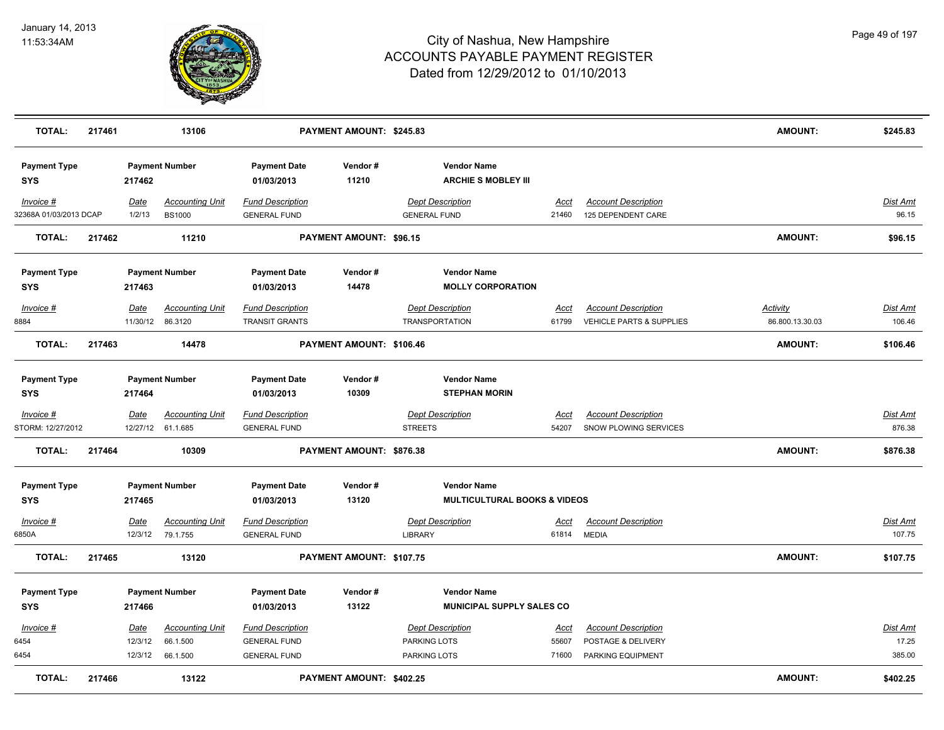

| <b>TOTAL:</b>                       | 217461 |                            | 13106                                          |                                                                       | PAYMENT AMOUNT: \$245.83        |                                                                |                        |                                                                       | <b>AMOUNT:</b>                     | \$245.83                    |
|-------------------------------------|--------|----------------------------|------------------------------------------------|-----------------------------------------------------------------------|---------------------------------|----------------------------------------------------------------|------------------------|-----------------------------------------------------------------------|------------------------------------|-----------------------------|
| <b>Payment Type</b><br><b>SYS</b>   |        | 217462                     | <b>Payment Number</b>                          | <b>Payment Date</b><br>01/03/2013                                     | Vendor#<br>11210                | <b>Vendor Name</b><br><b>ARCHIE S MOBLEY III</b>               |                        |                                                                       |                                    |                             |
| Invoice #<br>32368A 01/03/2013 DCAP |        | Date<br>1/2/13             | <b>Accounting Unit</b><br><b>BS1000</b>        | <b>Fund Description</b><br><b>GENERAL FUND</b>                        |                                 | <b>Dept Description</b><br><b>GENERAL FUND</b>                 | Acct<br>21460          | <b>Account Description</b><br>125 DEPENDENT CARE                      |                                    | Dist Amt<br>96.15           |
| <b>TOTAL:</b>                       | 217462 |                            | 11210                                          |                                                                       | <b>PAYMENT AMOUNT: \$96.15</b>  |                                                                |                        |                                                                       | <b>AMOUNT:</b>                     | \$96.15                     |
| <b>Payment Type</b><br><b>SYS</b>   |        | 217463                     | <b>Payment Number</b>                          | <b>Payment Date</b><br>01/03/2013                                     | Vendor#<br>14478                | <b>Vendor Name</b><br><b>MOLLY CORPORATION</b>                 |                        |                                                                       |                                    |                             |
| Invoice #<br>8884                   |        | Date                       | <b>Accounting Unit</b><br>11/30/12 86.3120     | <b>Fund Description</b><br>TRANSIT GRANTS                             |                                 | <b>Dept Description</b><br><b>TRANSPORTATION</b>               | Acct<br>61799          | <b>Account Description</b><br><b>VEHICLE PARTS &amp; SUPPLIES</b>     | <b>Activity</b><br>86.800.13.30.03 | Dist Amt<br>106.46          |
| <b>TOTAL:</b>                       | 217463 |                            | 14478                                          |                                                                       | PAYMENT AMOUNT: \$106.46        |                                                                |                        |                                                                       | <b>AMOUNT:</b>                     | \$106.46                    |
| <b>Payment Type</b><br><b>SYS</b>   |        | 217464                     | <b>Payment Number</b>                          | <b>Payment Date</b><br>01/03/2013                                     | Vendor#<br>10309                | <b>Vendor Name</b><br><b>STEPHAN MORIN</b>                     |                        |                                                                       |                                    |                             |
| $Invoice$ #<br>STORM: 12/27/2012    |        | Date<br>12/27/12           | <b>Accounting Unit</b><br>61.1.685             | <b>Fund Description</b><br><b>GENERAL FUND</b>                        |                                 | <b>Dept Description</b><br><b>STREETS</b>                      | <b>Acct</b><br>54207   | <b>Account Description</b><br>SNOW PLOWING SERVICES                   |                                    | <b>Dist Amt</b><br>876.38   |
| <b>TOTAL:</b>                       | 217464 |                            | 10309                                          |                                                                       | <b>PAYMENT AMOUNT: \$876.38</b> |                                                                |                        |                                                                       | <b>AMOUNT:</b>                     | \$876.38                    |
| <b>Payment Type</b><br><b>SYS</b>   |        | 217465                     | <b>Payment Number</b>                          | <b>Payment Date</b><br>01/03/2013                                     | Vendor#<br>13120                | <b>Vendor Name</b><br><b>MULTICULTURAL BOOKS &amp; VIDEOS</b>  |                        |                                                                       |                                    |                             |
| Invoice #<br>6850A                  |        | Date<br>12/3/12            | <b>Accounting Unit</b><br>79.1.755             | <b>Fund Description</b><br><b>GENERAL FUND</b>                        |                                 | <b>Dept Description</b><br>LIBRARY                             | Acct<br>61814          | <b>Account Description</b><br><b>MEDIA</b>                            |                                    | Dist Amt<br>107.75          |
| <b>TOTAL:</b>                       | 217465 |                            | 13120                                          |                                                                       | PAYMENT AMOUNT: \$107.75        |                                                                |                        |                                                                       | <b>AMOUNT:</b>                     | \$107.75                    |
| <b>Payment Type</b><br><b>SYS</b>   |        | 217466                     | <b>Payment Number</b>                          | <b>Payment Date</b><br>01/03/2013                                     | Vendor#<br>13122                | <b>Vendor Name</b><br><b>MUNICIPAL SUPPLY SALES CO</b>         |                        |                                                                       |                                    |                             |
| Invoice #<br>6454<br>6454           |        | Date<br>12/3/12<br>12/3/12 | <b>Accounting Unit</b><br>66.1.500<br>66.1.500 | <b>Fund Description</b><br><b>GENERAL FUND</b><br><b>GENERAL FUND</b> |                                 | <b>Dept Description</b><br>PARKING LOTS<br><b>PARKING LOTS</b> | Acct<br>55607<br>71600 | <b>Account Description</b><br>POSTAGE & DELIVERY<br>PARKING EQUIPMENT |                                    | Dist Amt<br>17.25<br>385.00 |
| <b>TOTAL:</b>                       | 217466 |                            | 13122                                          |                                                                       | PAYMENT AMOUNT: \$402.25        |                                                                |                        |                                                                       | <b>AMOUNT:</b>                     | \$402.25                    |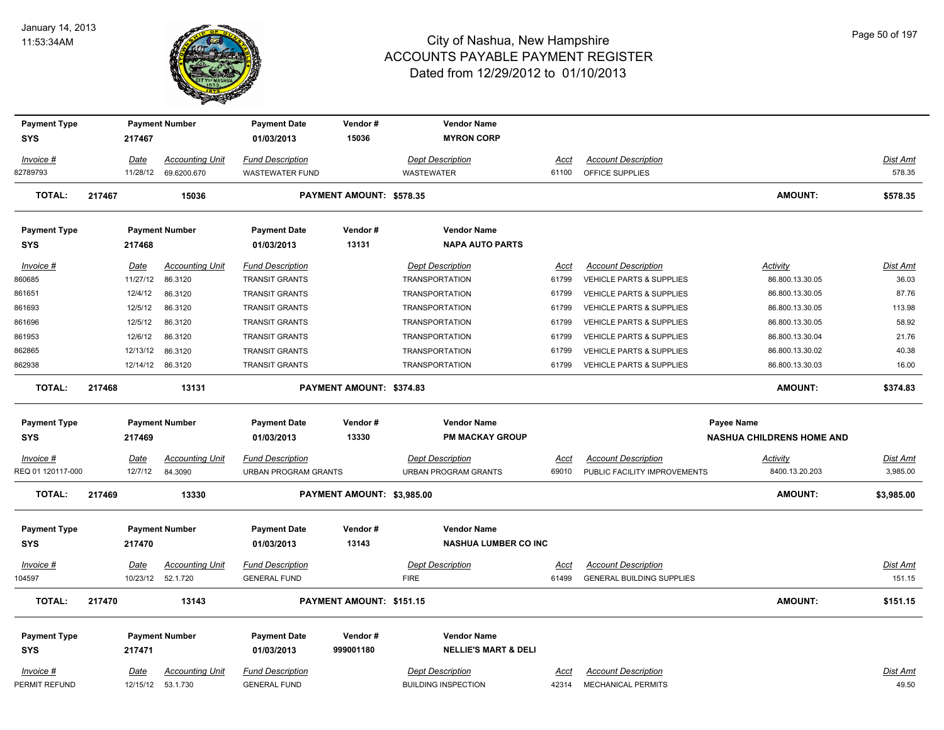

| <b>Payment Type</b><br><b>SYS</b> |        | 217467                 | <b>Payment Number</b>              | <b>Payment Date</b><br>01/03/2013                      | Vendor#<br>15036           | <b>Vendor Name</b><br><b>MYRON CORP</b>                |                      |                                                            |                                    |                             |
|-----------------------------------|--------|------------------------|------------------------------------|--------------------------------------------------------|----------------------------|--------------------------------------------------------|----------------------|------------------------------------------------------------|------------------------------------|-----------------------------|
| Invoice #                         |        | Date                   | <b>Accounting Unit</b>             | <b>Fund Description</b>                                |                            | <b>Dept Description</b>                                | Acct                 | <b>Account Description</b>                                 |                                    | <b>Dist Amt</b>             |
| 82789793                          |        | 11/28/12               | 69.6200.670                        | <b>WASTEWATER FUND</b>                                 |                            | <b>WASTEWATER</b>                                      | 61100                | OFFICE SUPPLIES                                            |                                    | 578.35                      |
| <b>TOTAL:</b>                     | 217467 |                        | 15036                              |                                                        | PAYMENT AMOUNT: \$578.35   |                                                        |                      |                                                            | <b>AMOUNT:</b>                     | \$578.35                    |
| <b>Payment Type</b>               |        |                        | <b>Payment Number</b>              | <b>Payment Date</b>                                    | Vendor#                    | <b>Vendor Name</b>                                     |                      |                                                            |                                    |                             |
| SYS                               |        | 217468                 |                                    | 01/03/2013                                             | 13131                      | <b>NAPA AUTO PARTS</b>                                 |                      |                                                            |                                    |                             |
| Invoice #<br>860685               |        | Date<br>11/27/12       | <b>Accounting Unit</b><br>86.3120  | <b>Fund Description</b><br><b>TRANSIT GRANTS</b>       |                            | <b>Dept Description</b><br><b>TRANSPORTATION</b>       | Acct<br>61799        | <b>Account Description</b><br>VEHICLE PARTS & SUPPLIES     | <b>Activity</b><br>86.800.13.30.05 | Dist Amt<br>36.03           |
| 861651                            |        | 12/4/12                | 86.3120                            | <b>TRANSIT GRANTS</b>                                  |                            | <b>TRANSPORTATION</b>                                  | 61799                | VEHICLE PARTS & SUPPLIES                                   | 86.800.13.30.05                    | 87.76                       |
| 861693                            |        | 12/5/12                | 86.3120                            | <b>TRANSIT GRANTS</b>                                  |                            | <b>TRANSPORTATION</b>                                  | 61799                | VEHICLE PARTS & SUPPLIES                                   | 86.800.13.30.05                    | 113.98                      |
| 861696                            |        | 12/5/12                | 86.3120                            | <b>TRANSIT GRANTS</b>                                  |                            | <b>TRANSPORTATION</b>                                  | 61799                | VEHICLE PARTS & SUPPLIES                                   | 86.800.13.30.05                    | 58.92                       |
| 861953                            |        | 12/6/12                | 86.3120                            | <b>TRANSIT GRANTS</b>                                  |                            | <b>TRANSPORTATION</b>                                  | 61799                | VEHICLE PARTS & SUPPLIES                                   | 86.800.13.30.04                    | 21.76                       |
| 862865                            |        | 12/13/12               | 86.3120                            | TRANSIT GRANTS                                         |                            | <b>TRANSPORTATION</b>                                  | 61799                | VEHICLE PARTS & SUPPLIES                                   | 86.800.13.30.02                    | 40.38                       |
| 862938                            |        | 12/14/12               | 86.3120                            | <b>TRANSIT GRANTS</b>                                  |                            | <b>TRANSPORTATION</b>                                  | 61799                | <b>VEHICLE PARTS &amp; SUPPLIES</b>                        | 86.800.13.30.03                    | 16.00                       |
| <b>TOTAL:</b>                     | 217468 |                        | 13131                              |                                                        | PAYMENT AMOUNT: \$374.83   |                                                        |                      |                                                            | <b>AMOUNT:</b>                     | \$374.83                    |
| <b>Payment Type</b>               |        |                        | <b>Payment Number</b>              | <b>Payment Date</b>                                    | Vendor#                    | <b>Vendor Name</b>                                     |                      |                                                            | Payee Name                         |                             |
| <b>SYS</b>                        |        | 217469                 |                                    | 01/03/2013                                             | 13330                      | <b>PM MACKAY GROUP</b>                                 |                      |                                                            | <b>NASHUA CHILDRENS HOME AND</b>   |                             |
| $Invoice$ #<br>REQ 01 120117-000  |        | <b>Date</b><br>12/7/12 | <b>Accounting Unit</b><br>84.3090  | <b>Fund Description</b><br><b>URBAN PROGRAM GRANTS</b> |                            | <b>Dept Description</b><br><b>URBAN PROGRAM GRANTS</b> | <u>Acct</u><br>69010 | <b>Account Description</b><br>PUBLIC FACILITY IMPROVEMENTS | <b>Activity</b><br>8400.13.20.203  | <b>Dist Amt</b><br>3,985.00 |
| <b>TOTAL:</b>                     | 217469 |                        | 13330                              |                                                        | PAYMENT AMOUNT: \$3,985.00 |                                                        |                      |                                                            | <b>AMOUNT:</b>                     | \$3,985.00                  |
| <b>Payment Type</b><br><b>SYS</b> |        | 217470                 | <b>Payment Number</b>              | <b>Payment Date</b><br>01/03/2013                      | Vendor#<br>13143           | <b>Vendor Name</b><br><b>NASHUA LUMBER CO INC</b>      |                      |                                                            |                                    |                             |
| $Invoice$ #                       |        | Date                   | <b>Accounting Unit</b>             | <b>Fund Description</b>                                |                            | <b>Dept Description</b>                                | Acct                 | <b>Account Description</b>                                 |                                    | <b>Dist Amt</b>             |
| 104597                            |        | 10/23/12               | 52.1.720                           | <b>GENERAL FUND</b>                                    |                            | <b>FIRE</b>                                            | 61499                | <b>GENERAL BUILDING SUPPLIES</b>                           |                                    | 151.15                      |
| <b>TOTAL:</b>                     | 217470 |                        | 13143                              |                                                        | PAYMENT AMOUNT: \$151.15   |                                                        |                      |                                                            | <b>AMOUNT:</b>                     | \$151.15                    |
| <b>Payment Type</b>               |        |                        | <b>Payment Number</b>              | <b>Payment Date</b>                                    | Vendor#                    | <b>Vendor Name</b>                                     |                      |                                                            |                                    |                             |
| SYS                               |        | 217471                 |                                    | 01/03/2013                                             | 999001180                  | <b>NELLIE'S MART &amp; DELI</b>                        |                      |                                                            |                                    |                             |
| Invoice #<br>PERMIT REFUND        |        | Date<br>12/15/12       | <b>Accounting Unit</b><br>53.1.730 | <b>Fund Description</b><br><b>GENERAL FUND</b>         |                            | <b>Dept Description</b><br><b>BUILDING INSPECTION</b>  | Acct<br>42314        | <b>Account Description</b><br><b>MECHANICAL PERMITS</b>    |                                    | <b>Dist Amt</b><br>49.50    |
|                                   |        |                        |                                    |                                                        |                            |                                                        |                      |                                                            |                                    |                             |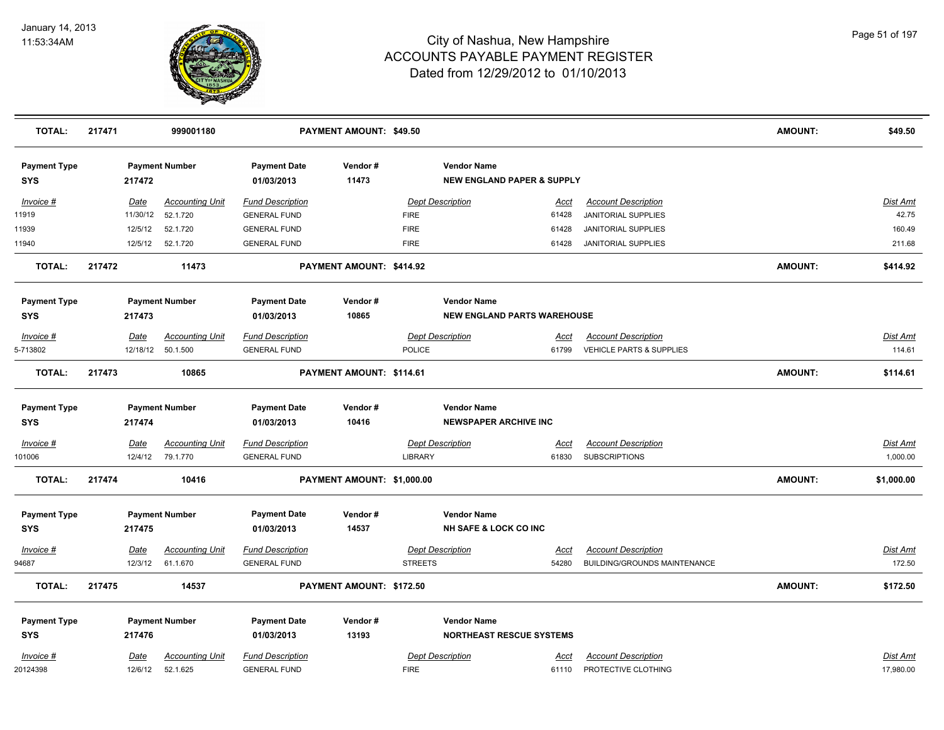

| <b>TOTAL:</b>                     | 217471 |             | 999001180              |                                   | PAYMENT AMOUNT: \$49.50    |                |                                                             |             |                              | <b>AMOUNT:</b> | \$49.50         |
|-----------------------------------|--------|-------------|------------------------|-----------------------------------|----------------------------|----------------|-------------------------------------------------------------|-------------|------------------------------|----------------|-----------------|
| <b>Payment Type</b><br><b>SYS</b> |        | 217472      | <b>Payment Number</b>  | <b>Payment Date</b><br>01/03/2013 | Vendor#<br>11473           |                | <b>Vendor Name</b><br><b>NEW ENGLAND PAPER &amp; SUPPLY</b> |             |                              |                |                 |
| Invoice #                         |        | Date        | <b>Accounting Unit</b> | <b>Fund Description</b>           |                            |                | Dept Description                                            | <u>Acct</u> | <b>Account Description</b>   |                | Dist Amt        |
| 11919                             |        | 11/30/12    | 52.1.720               | <b>GENERAL FUND</b>               |                            | <b>FIRE</b>    |                                                             | 61428       | JANITORIAL SUPPLIES          |                | 42.75           |
| 11939                             |        | 12/5/12     | 52.1.720               | <b>GENERAL FUND</b>               |                            | <b>FIRE</b>    |                                                             | 61428       | <b>JANITORIAL SUPPLIES</b>   |                | 160.49          |
| 11940                             |        | 12/5/12     | 52.1.720               | <b>GENERAL FUND</b>               |                            | <b>FIRE</b>    |                                                             | 61428       | <b>JANITORIAL SUPPLIES</b>   |                | 211.68          |
| <b>TOTAL:</b>                     | 217472 |             | 11473                  |                                   | PAYMENT AMOUNT: \$414.92   |                |                                                             |             |                              | <b>AMOUNT:</b> | \$414.92        |
| <b>Payment Type</b>               |        |             | <b>Payment Number</b>  | <b>Payment Date</b>               | Vendor#                    |                | <b>Vendor Name</b>                                          |             |                              |                |                 |
| <b>SYS</b>                        |        | 217473      |                        | 01/03/2013                        | 10865                      |                | <b>NEW ENGLAND PARTS WAREHOUSE</b>                          |             |                              |                |                 |
| Invoice #                         |        | <u>Date</u> | <b>Accounting Unit</b> | <b>Fund Description</b>           |                            |                | <b>Dept Description</b>                                     | Acct        | <b>Account Description</b>   |                | Dist Amt        |
| 5-713802                          |        |             | 12/18/12 50.1.500      | <b>GENERAL FUND</b>               |                            | <b>POLICE</b>  |                                                             | 61799       | VEHICLE PARTS & SUPPLIES     |                | 114.61          |
| <b>TOTAL:</b>                     | 217473 |             | 10865                  |                                   | PAYMENT AMOUNT: \$114.61   |                |                                                             |             |                              | <b>AMOUNT:</b> | \$114.61        |
| <b>Payment Type</b>               |        |             | <b>Payment Number</b>  | <b>Payment Date</b>               | Vendor#                    |                | <b>Vendor Name</b>                                          |             |                              |                |                 |
| SYS                               |        | 217474      |                        | 01/03/2013                        | 10416                      |                | <b>NEWSPAPER ARCHIVE INC</b>                                |             |                              |                |                 |
| $Invoice$ #                       |        | <u>Date</u> | <b>Accounting Unit</b> | <b>Fund Description</b>           |                            |                | <b>Dept Description</b>                                     | <u>Acct</u> | <b>Account Description</b>   |                | <u>Dist Amt</u> |
| 101006                            |        | 12/4/12     | 79.1.770               | <b>GENERAL FUND</b>               |                            | LIBRARY        |                                                             | 61830       | <b>SUBSCRIPTIONS</b>         |                | 1,000.00        |
| <b>TOTAL:</b>                     | 217474 |             | 10416                  |                                   | PAYMENT AMOUNT: \$1,000.00 |                |                                                             |             |                              | <b>AMOUNT:</b> | \$1,000.00      |
| <b>Payment Type</b>               |        |             | <b>Payment Number</b>  | <b>Payment Date</b>               | Vendor#                    |                | <b>Vendor Name</b>                                          |             |                              |                |                 |
| <b>SYS</b>                        |        | 217475      |                        | 01/03/2013                        | 14537                      |                | <b>NH SAFE &amp; LOCK CO INC</b>                            |             |                              |                |                 |
| Invoice #                         |        | <u>Date</u> | <b>Accounting Unit</b> | <b>Fund Description</b>           |                            |                | <b>Dept Description</b>                                     | Acct        | <b>Account Description</b>   |                | Dist Amt        |
| 94687                             |        | 12/3/12     | 61.1.670               | <b>GENERAL FUND</b>               |                            | <b>STREETS</b> |                                                             | 54280       | BUILDING/GROUNDS MAINTENANCE |                | 172.50          |
| <b>TOTAL:</b>                     | 217475 |             | 14537                  |                                   | PAYMENT AMOUNT: \$172.50   |                |                                                             |             |                              | <b>AMOUNT:</b> | \$172.50        |
| <b>Payment Type</b>               |        |             | <b>Payment Number</b>  | <b>Payment Date</b>               | Vendor#                    |                | <b>Vendor Name</b>                                          |             |                              |                |                 |
| SYS                               |        | 217476      |                        | 01/03/2013                        | 13193                      |                | <b>NORTHEAST RESCUE SYSTEMS</b>                             |             |                              |                |                 |
| Invoice #                         |        | <u>Date</u> | <b>Accounting Unit</b> | <b>Fund Description</b>           |                            |                | <b>Dept Description</b>                                     | <u>Acct</u> | <b>Account Description</b>   |                | Dist Amt        |
| 20124398                          |        | 12/6/12     | 52.1.625               | <b>GENERAL FUND</b>               |                            | <b>FIRE</b>    |                                                             | 61110       | PROTECTIVE CLOTHING          |                | 17.980.00       |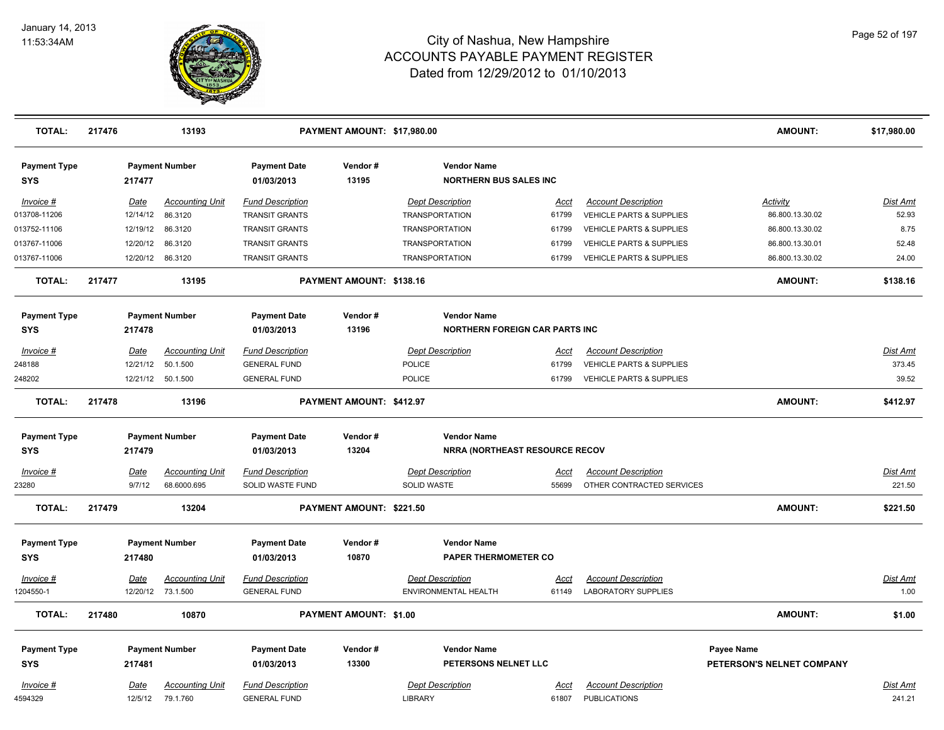

| <b>TOTAL:</b>                     | 217476 |                 | 13193                              |                                   | PAYMENT AMOUNT: \$17,980.00 |                                                             |                      |                                     | <b>AMOUNT:</b>            | \$17,980.00        |
|-----------------------------------|--------|-----------------|------------------------------------|-----------------------------------|-----------------------------|-------------------------------------------------------------|----------------------|-------------------------------------|---------------------------|--------------------|
| <b>Payment Type</b><br>SYS        |        | 217477          | <b>Payment Number</b>              | <b>Payment Date</b><br>01/03/2013 | Vendor#<br>13195            | <b>Vendor Name</b><br><b>NORTHERN BUS SALES INC</b>         |                      |                                     |                           |                    |
| Invoice #                         |        | <u>Date</u>     | <b>Accounting Unit</b>             | <b>Fund Description</b>           |                             | <b>Dept Description</b>                                     | Acct                 | <b>Account Description</b>          | <b>Activity</b>           | Dist Amt           |
| 013708-11206                      |        | 12/14/12        | 86.3120                            | <b>TRANSIT GRANTS</b>             |                             | <b>TRANSPORTATION</b>                                       | 61799                | <b>VEHICLE PARTS &amp; SUPPLIES</b> | 86.800.13.30.02           | 52.93              |
| 013752-11106                      |        | 12/19/12        | 86.3120                            | <b>TRANSIT GRANTS</b>             |                             | <b>TRANSPORTATION</b>                                       | 61799                | VEHICLE PARTS & SUPPLIES            | 86.800.13.30.02           | 8.75               |
| 013767-11006                      |        | 12/20/12        | 86.3120                            | TRANSIT GRANTS                    |                             | <b>TRANSPORTATION</b>                                       | 61799                | VEHICLE PARTS & SUPPLIES            | 86.800.13.30.01           | 52.48              |
| 013767-11006                      |        | 12/20/12        | 86.3120                            | <b>TRANSIT GRANTS</b>             |                             | <b>TRANSPORTATION</b>                                       | 61799                | <b>VEHICLE PARTS &amp; SUPPLIES</b> | 86.800.13.30.02           | 24.00              |
| <b>TOTAL:</b>                     | 217477 |                 | 13195                              |                                   | PAYMENT AMOUNT: \$138.16    |                                                             |                      |                                     | <b>AMOUNT:</b>            | \$138.16           |
| <b>Payment Type</b>               |        |                 | <b>Payment Number</b>              | <b>Payment Date</b>               | Vendor#                     | <b>Vendor Name</b>                                          |                      |                                     |                           |                    |
| <b>SYS</b>                        |        | 217478          |                                    | 01/03/2013                        | 13196                       | <b>NORTHERN FOREIGN CAR PARTS INC</b>                       |                      |                                     |                           |                    |
| Invoice #                         |        | Date            | <b>Accounting Unit</b>             | <b>Fund Description</b>           |                             | <b>Dept Description</b>                                     | Acct                 | <b>Account Description</b>          |                           | Dist Amt           |
| 248188                            |        |                 | 12/21/12 50.1.500                  | <b>GENERAL FUND</b>               |                             | POLICE                                                      | 61799                | <b>VEHICLE PARTS &amp; SUPPLIES</b> |                           | 373.45             |
| 248202                            |        |                 | 12/21/12 50.1.500                  | <b>GENERAL FUND</b>               |                             | POLICE                                                      | 61799                | <b>VEHICLE PARTS &amp; SUPPLIES</b> |                           | 39.52              |
| <b>TOTAL:</b>                     | 217478 |                 | 13196                              |                                   | PAYMENT AMOUNT: \$412.97    |                                                             |                      |                                     | <b>AMOUNT:</b>            | \$412.97           |
|                                   |        |                 |                                    |                                   |                             |                                                             |                      |                                     |                           |                    |
| <b>Payment Type</b><br><b>SYS</b> |        | 217479          | <b>Payment Number</b>              | <b>Payment Date</b><br>01/03/2013 | Vendor#<br>13204            | <b>Vendor Name</b><br><b>NRRA (NORTHEAST RESOURCE RECOV</b> |                      |                                     |                           |                    |
|                                   |        |                 |                                    |                                   |                             |                                                             |                      |                                     |                           |                    |
| <b>Invoice #</b>                  |        | <u>Date</u>     | <b>Accounting Unit</b>             | <b>Fund Description</b>           |                             | <b>Dept Description</b>                                     | <u>Acct</u><br>55699 | <b>Account Description</b>          |                           | <b>Dist Amt</b>    |
| 23280                             |        | 9/7/12          | 68.6000.695                        | SOLID WASTE FUND                  |                             | SOLID WASTE                                                 |                      | OTHER CONTRACTED SERVICES           |                           | 221.50             |
| <b>TOTAL:</b>                     | 217479 |                 | 13204                              |                                   | PAYMENT AMOUNT: \$221.50    |                                                             |                      |                                     | <b>AMOUNT:</b>            | \$221.50           |
| <b>Payment Type</b>               |        |                 | <b>Payment Number</b>              | <b>Payment Date</b>               | Vendor#                     | <b>Vendor Name</b>                                          |                      |                                     |                           |                    |
| <b>SYS</b>                        |        | 217480          |                                    | 01/03/2013                        | 10870                       | <b>PAPER THERMOMETER CO</b>                                 |                      |                                     |                           |                    |
| Invoice #                         |        | Date            | <b>Accounting Unit</b>             | <b>Fund Description</b>           |                             | <b>Dept Description</b>                                     | Acct                 | <b>Account Description</b>          |                           | Dist Amt           |
| 1204550-1                         |        |                 | 12/20/12 73.1.500                  | <b>GENERAL FUND</b>               |                             | ENVIRONMENTAL HEALTH                                        | 61149                | <b>LABORATORY SUPPLIES</b>          |                           | 1.00               |
| <b>TOTAL:</b>                     | 217480 |                 | 10870                              |                                   | PAYMENT AMOUNT: \$1.00      |                                                             |                      |                                     | <b>AMOUNT:</b>            | \$1.00             |
| <b>Payment Type</b>               |        |                 | <b>Payment Number</b>              | <b>Payment Date</b>               | Vendor#                     | <b>Vendor Name</b>                                          |                      |                                     | Payee Name                |                    |
| <b>SYS</b>                        |        | 217481          |                                    | 01/03/2013                        | 13300                       | PETERSONS NELNET LLC                                        |                      |                                     | PETERSON'S NELNET COMPANY |                    |
|                                   |        |                 |                                    | <b>Fund Description</b>           |                             | <b>Dept Description</b>                                     |                      | <b>Account Description</b>          |                           |                    |
| Invoice #<br>4594329              |        | Date<br>12/5/12 | <b>Accounting Unit</b><br>79.1.760 | <b>GENERAL FUND</b>               |                             | LIBRARY                                                     | Acct<br>61807        | <b>PUBLICATIONS</b>                 |                           | Dist Amt<br>241.21 |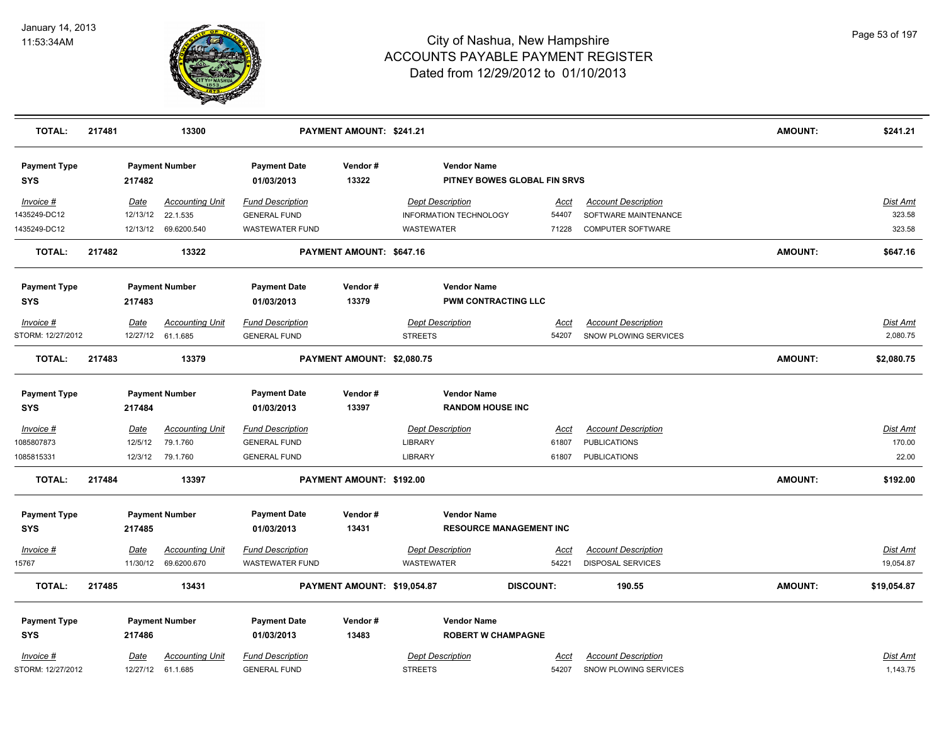

| <b>TOTAL:</b>                     | 217481 |             | 13300                  |                                   | PAYMENT AMOUNT: \$241.21    |                         |                                                    |                  |                              | AMOUNT:        | \$241.21        |
|-----------------------------------|--------|-------------|------------------------|-----------------------------------|-----------------------------|-------------------------|----------------------------------------------------|------------------|------------------------------|----------------|-----------------|
| <b>Payment Type</b><br><b>SYS</b> |        | 217482      | <b>Payment Number</b>  | <b>Payment Date</b><br>01/03/2013 | Vendor#<br>13322            |                         | <b>Vendor Name</b><br>PITNEY BOWES GLOBAL FIN SRVS |                  |                              |                |                 |
| Invoice #                         |        | <b>Date</b> | <b>Accounting Unit</b> | <b>Fund Description</b>           |                             | <b>Dept Description</b> |                                                    | <u>Acct</u>      | <b>Account Description</b>   |                | Dist Amt        |
| 1435249-DC12                      |        | 12/13/12    | 22.1.535               | <b>GENERAL FUND</b>               |                             |                         | INFORMATION TECHNOLOGY                             | 54407            | SOFTWARE MAINTENANCE         |                | 323.58          |
| 1435249-DC12                      |        |             | 12/13/12 69.6200.540   | <b>WASTEWATER FUND</b>            |                             | <b>WASTEWATER</b>       |                                                    | 71228            | <b>COMPUTER SOFTWARE</b>     |                | 323.58          |
| <b>TOTAL:</b>                     | 217482 |             | 13322                  |                                   | PAYMENT AMOUNT: \$647.16    |                         |                                                    |                  |                              | <b>AMOUNT:</b> | \$647.16        |
| <b>Payment Type</b>               |        |             | <b>Payment Number</b>  | <b>Payment Date</b>               | Vendor#                     |                         | <b>Vendor Name</b>                                 |                  |                              |                |                 |
| SYS                               |        | 217483      |                        | 01/03/2013                        | 13379                       |                         | <b>PWM CONTRACTING LLC</b>                         |                  |                              |                |                 |
| Invoice #                         |        | Date        | <b>Accounting Unit</b> | <b>Fund Description</b>           |                             | <b>Dept Description</b> |                                                    | Acct             | <b>Account Description</b>   |                | Dist Amt        |
| STORM: 12/27/2012                 |        |             | 12/27/12 61.1.685      | <b>GENERAL FUND</b>               |                             | <b>STREETS</b>          |                                                    | 54207            | SNOW PLOWING SERVICES        |                | 2,080.75        |
| <b>TOTAL:</b>                     | 217483 |             | 13379                  |                                   | PAYMENT AMOUNT: \$2,080.75  |                         |                                                    |                  |                              | <b>AMOUNT:</b> | \$2,080.75      |
| <b>Payment Type</b>               |        |             | <b>Payment Number</b>  | <b>Payment Date</b>               | Vendor#                     |                         | <b>Vendor Name</b>                                 |                  |                              |                |                 |
| <b>SYS</b>                        |        | 217484      |                        | 01/03/2013                        | 13397                       |                         | <b>RANDOM HOUSE INC</b>                            |                  |                              |                |                 |
| Invoice #                         |        | <u>Date</u> | <b>Accounting Unit</b> | <b>Fund Description</b>           |                             | <b>Dept Description</b> |                                                    | <u>Acct</u>      | <b>Account Description</b>   |                | <u>Dist Amt</u> |
| 1085807873                        |        | 12/5/12     | 79.1.760               | <b>GENERAL FUND</b>               |                             | <b>LIBRARY</b>          |                                                    | 61807            | <b>PUBLICATIONS</b>          |                | 170.00          |
| 1085815331                        |        |             | 12/3/12 79.1.760       | <b>GENERAL FUND</b>               |                             | <b>LIBRARY</b>          |                                                    | 61807            | <b>PUBLICATIONS</b>          |                | 22.00           |
| <b>TOTAL:</b>                     | 217484 |             | 13397                  |                                   | PAYMENT AMOUNT: \$192.00    |                         |                                                    |                  |                              | <b>AMOUNT:</b> | \$192.00        |
| <b>Payment Type</b>               |        |             | <b>Payment Number</b>  | <b>Payment Date</b>               | Vendor#                     |                         | <b>Vendor Name</b>                                 |                  |                              |                |                 |
| <b>SYS</b>                        |        | 217485      |                        | 01/03/2013                        | 13431                       |                         | <b>RESOURCE MANAGEMENT INC</b>                     |                  |                              |                |                 |
| Invoice #                         |        | Date        | <b>Accounting Unit</b> | <b>Fund Description</b>           |                             | <b>Dept Description</b> |                                                    | Acct             | <b>Account Description</b>   |                | Dist Amt        |
| 15767                             |        | 11/30/12    | 69.6200.670            | <b>WASTEWATER FUND</b>            |                             | <b>WASTEWATER</b>       |                                                    | 54221            | <b>DISPOSAL SERVICES</b>     |                | 19,054.87       |
| <b>TOTAL:</b>                     | 217485 |             | 13431                  |                                   | PAYMENT AMOUNT: \$19,054.87 |                         |                                                    | <b>DISCOUNT:</b> | 190.55                       | <b>AMOUNT:</b> | \$19,054.87     |
| <b>Payment Type</b>               |        |             | <b>Payment Number</b>  | <b>Payment Date</b>               | Vendor#                     |                         | <b>Vendor Name</b>                                 |                  |                              |                |                 |
| <b>SYS</b>                        |        | 217486      |                        | 01/03/2013                        | 13483                       |                         | <b>ROBERT W CHAMPAGNE</b>                          |                  |                              |                |                 |
| Invoice #                         |        | <u>Date</u> | Accounting Unit        | <b>Fund Description</b>           |                             | <b>Dept Description</b> |                                                    | Acct             | <b>Account Description</b>   |                | Dist Amt        |
| STORM: 12/27/2012                 |        |             | 12/27/12 61.1.685      | <b>GENERAL FUND</b>               |                             | <b>STREETS</b>          |                                                    | 54207            | <b>SNOW PLOWING SERVICES</b> |                | 1,143.75        |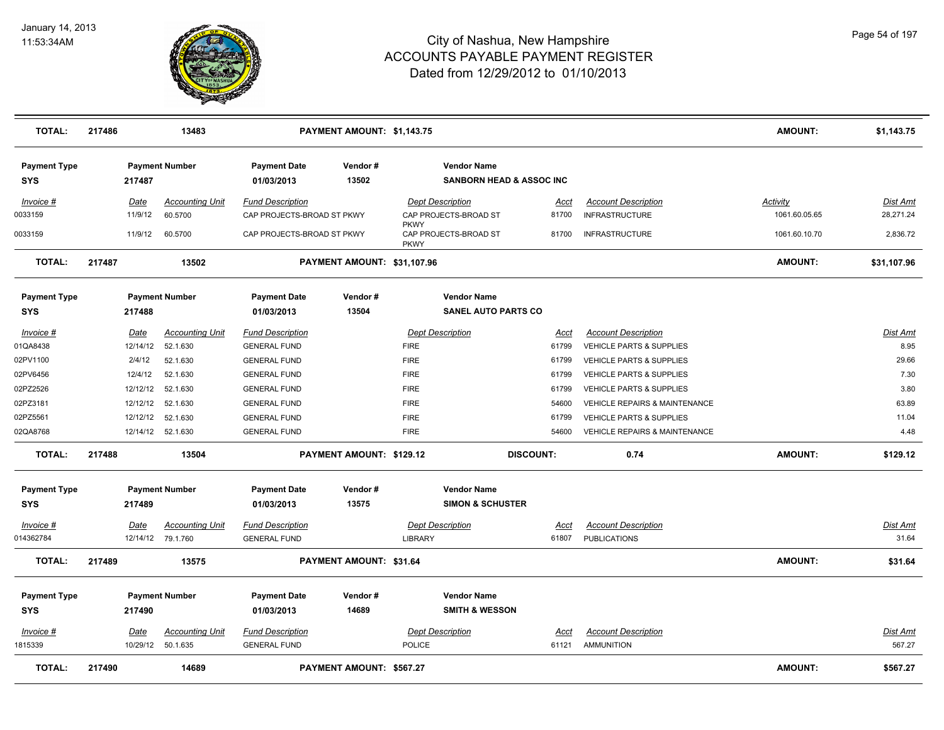

| <b>TOTAL:</b>                     | 217486      | 13483                                       |                                                | PAYMENT AMOUNT: \$1,143.75  |                            |                                                           |                      |                                                   | <b>AMOUNT:</b>  | \$1,143.75               |
|-----------------------------------|-------------|---------------------------------------------|------------------------------------------------|-----------------------------|----------------------------|-----------------------------------------------------------|----------------------|---------------------------------------------------|-----------------|--------------------------|
| <b>Payment Type</b><br><b>SYS</b> | 217487      | <b>Payment Number</b>                       | <b>Payment Date</b><br>01/03/2013              | Vendor#<br>13502            |                            | <b>Vendor Name</b><br><b>SANBORN HEAD &amp; ASSOC INC</b> |                      |                                                   |                 |                          |
| Invoice #                         | <u>Date</u> | <b>Accounting Unit</b>                      | <b>Fund Description</b>                        |                             |                            | <b>Dept Description</b>                                   | Acct                 | <b>Account Description</b>                        | <b>Activity</b> | Dist Amt                 |
| 0033159                           | 11/9/12     | 60.5700                                     | CAP PROJECTS-BROAD ST PKWY                     |                             |                            | CAP PROJECTS-BROAD ST                                     | 81700                | <b>INFRASTRUCTURE</b>                             | 1061.60.05.65   | 28,271.24                |
| 0033159                           | 11/9/12     | 60.5700                                     | CAP PROJECTS-BROAD ST PKWY                     |                             | <b>PKWY</b><br><b>PKWY</b> | CAP PROJECTS-BROAD ST                                     | 81700                | <b>INFRASTRUCTURE</b>                             | 1061.60.10.70   | 2,836.72                 |
| <b>TOTAL:</b>                     | 217487      | 13502                                       |                                                | PAYMENT AMOUNT: \$31,107.96 |                            |                                                           |                      |                                                   | <b>AMOUNT:</b>  | \$31,107.96              |
| <b>Payment Type</b>               |             | <b>Payment Number</b>                       | <b>Payment Date</b>                            | Vendor#                     |                            | <b>Vendor Name</b>                                        |                      |                                                   |                 |                          |
| <b>SYS</b>                        | 217488      |                                             | 01/03/2013                                     | 13504                       |                            | <b>SANEL AUTO PARTS CO</b>                                |                      |                                                   |                 |                          |
| Invoice #                         | Date        | <b>Accounting Unit</b>                      | <b>Fund Description</b>                        |                             |                            | <b>Dept Description</b>                                   | Acct                 | <b>Account Description</b>                        |                 | Dist Amt                 |
| 01QA8438                          | 12/14/12    | 52.1.630                                    | <b>GENERAL FUND</b>                            |                             | <b>FIRE</b>                |                                                           | 61799                | <b>VEHICLE PARTS &amp; SUPPLIES</b>               |                 | 8.95                     |
| 02PV1100                          | 2/4/12      | 52.1.630                                    | <b>GENERAL FUND</b>                            |                             | <b>FIRE</b>                |                                                           | 61799                | <b>VEHICLE PARTS &amp; SUPPLIES</b>               |                 | 29.66                    |
| 02PV6456                          | 12/4/12     | 52.1.630                                    | <b>GENERAL FUND</b>                            |                             | <b>FIRE</b>                |                                                           | 61799                | VEHICLE PARTS & SUPPLIES                          |                 | 7.30                     |
| 02PZ2526                          | 12/12/12    | 52.1.630                                    | <b>GENERAL FUND</b>                            |                             | <b>FIRE</b>                |                                                           | 61799                | <b>VEHICLE PARTS &amp; SUPPLIES</b>               |                 | 3.80                     |
| 02PZ3181                          | 12/12/12    | 52.1.630                                    | <b>GENERAL FUND</b>                            |                             | <b>FIRE</b>                |                                                           | 54600                | <b>VEHICLE REPAIRS &amp; MAINTENANCE</b>          |                 | 63.89                    |
| 02PZ5561                          | 12/12/12    | 52.1.630                                    | <b>GENERAL FUND</b>                            |                             | <b>FIRE</b>                |                                                           | 61799                | <b>VEHICLE PARTS &amp; SUPPLIES</b>               |                 | 11.04                    |
| 02QA8768                          |             | 12/14/12 52.1.630                           | <b>GENERAL FUND</b>                            |                             | <b>FIRE</b>                |                                                           | 54600                | <b>VEHICLE REPAIRS &amp; MAINTENANCE</b>          |                 | 4.48                     |
| <b>TOTAL:</b>                     | 217488      | 13504                                       |                                                | PAYMENT AMOUNT: \$129.12    |                            |                                                           | <b>DISCOUNT:</b>     | 0.74                                              | <b>AMOUNT:</b>  | \$129.12                 |
| <b>Payment Type</b><br>SYS        | 217489      | <b>Payment Number</b>                       | <b>Payment Date</b><br>01/03/2013              | Vendor#<br>13575            |                            | <b>Vendor Name</b><br><b>SIMON &amp; SCHUSTER</b>         |                      |                                                   |                 |                          |
| Invoice #<br>014362784            | <b>Date</b> | <b>Accounting Unit</b><br>12/14/12 79.1.760 | <b>Fund Description</b><br><b>GENERAL FUND</b> |                             | LIBRARY                    | <b>Dept Description</b>                                   | <u>Acct</u><br>61807 | <b>Account Description</b><br><b>PUBLICATIONS</b> |                 | <u>Dist Amt</u><br>31.64 |
| <b>TOTAL:</b>                     | 217489      | 13575                                       |                                                | PAYMENT AMOUNT: \$31.64     |                            |                                                           |                      |                                                   | <b>AMOUNT:</b>  | \$31.64                  |
| <b>Payment Type</b><br><b>SYS</b> | 217490      | <b>Payment Number</b>                       | <b>Payment Date</b><br>01/03/2013              | Vendor#<br>14689            |                            | <b>Vendor Name</b><br><b>SMITH &amp; WESSON</b>           |                      |                                                   |                 |                          |
| Invoice #                         | Date        | <b>Accounting Unit</b>                      | <b>Fund Description</b>                        |                             |                            | <b>Dept Description</b>                                   | Acct                 | <b>Account Description</b>                        |                 | Dist Amt                 |
| 1815339                           | 10/29/12    | 50.1.635                                    | <b>GENERAL FUND</b>                            |                             | POLICE                     |                                                           | 61121                | AMMUNITION                                        |                 | 567.27                   |
| <b>TOTAL:</b>                     | 217490      | 14689                                       |                                                | PAYMENT AMOUNT: \$567.27    |                            |                                                           |                      |                                                   | <b>AMOUNT:</b>  | \$567.27                 |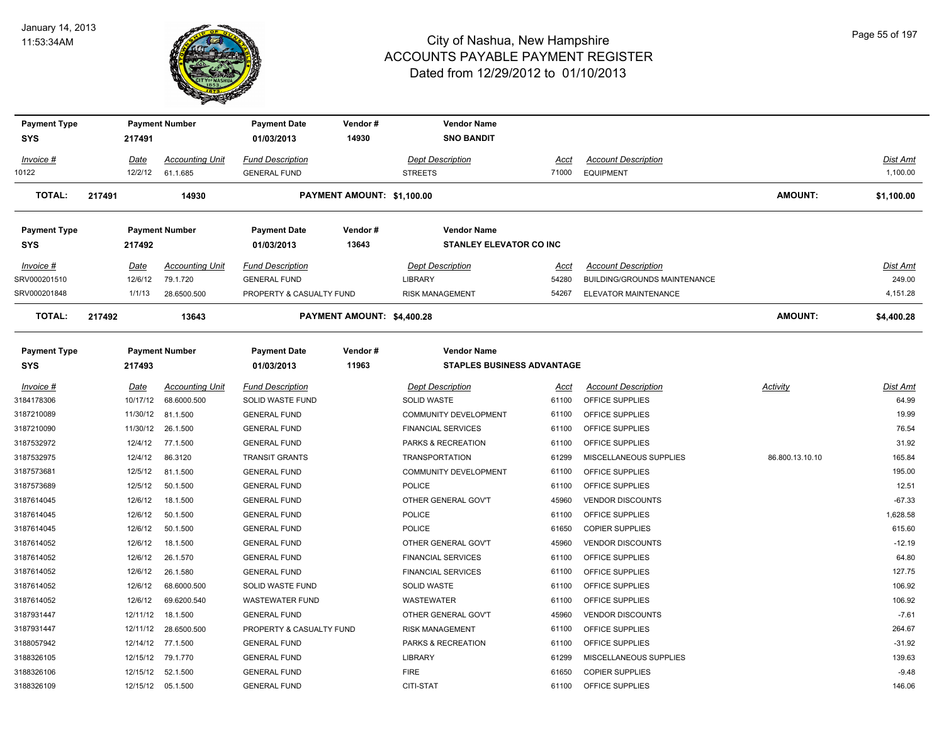

| <b>Payment Type</b><br><b>SYS</b> | 217491   | <b>Payment Number</b>  | <b>Payment Date</b><br>01/03/2013 | Vendor#<br>14930           | <b>Vendor Name</b><br><b>SNO BANDIT</b> |       |                              |                 |                 |
|-----------------------------------|----------|------------------------|-----------------------------------|----------------------------|-----------------------------------------|-------|------------------------------|-----------------|-----------------|
|                                   |          |                        |                                   |                            |                                         |       |                              |                 |                 |
| $Invoice$ #                       | Date     | <b>Accounting Unit</b> | <b>Fund Description</b>           |                            | <b>Dept Description</b>                 | Acct  | <b>Account Description</b>   |                 | Dist Amt        |
| 10122                             | 12/2/12  | 61.1.685               | <b>GENERAL FUND</b>               |                            | <b>STREETS</b>                          | 71000 | <b>EQUIPMENT</b>             |                 | 1,100.00        |
| <b>TOTAL:</b>                     | 217491   | 14930                  |                                   | PAYMENT AMOUNT: \$1,100.00 |                                         |       |                              | <b>AMOUNT:</b>  | \$1,100.00      |
| <b>Payment Type</b>               |          | <b>Payment Number</b>  | <b>Payment Date</b>               | Vendor#                    | <b>Vendor Name</b>                      |       |                              |                 |                 |
| <b>SYS</b>                        | 217492   |                        | 01/03/2013                        | 13643                      | <b>STANLEY ELEVATOR CO INC</b>          |       |                              |                 |                 |
| Invoice #                         | Date     | <b>Accounting Unit</b> | <b>Fund Description</b>           |                            | <b>Dept Description</b>                 | Acct  | <b>Account Description</b>   |                 | <b>Dist Amt</b> |
| SRV000201510                      | 12/6/12  | 79.1.720               | <b>GENERAL FUND</b>               |                            | LIBRARY                                 | 54280 | BUILDING/GROUNDS MAINTENANCE |                 | 249.00          |
| SRV000201848                      | 1/1/13   | 28.6500.500            | PROPERTY & CASUALTY FUND          |                            | <b>RISK MANAGEMENT</b>                  | 54267 | ELEVATOR MAINTENANCE         |                 | 4,151.28        |
| <b>TOTAL:</b>                     | 217492   | 13643                  |                                   | PAYMENT AMOUNT: \$4,400.28 |                                         |       |                              | <b>AMOUNT:</b>  | \$4,400.28      |
| <b>Payment Type</b>               |          | <b>Payment Number</b>  | <b>Payment Date</b>               | Vendor#                    | <b>Vendor Name</b>                      |       |                              |                 |                 |
| <b>SYS</b>                        | 217493   |                        | 01/03/2013                        | 11963                      | <b>STAPLES BUSINESS ADVANTAGE</b>       |       |                              |                 |                 |
| Invoice #                         | Date     | <b>Accounting Unit</b> | <b>Fund Description</b>           |                            | <b>Dept Description</b>                 | Acct  | <b>Account Description</b>   | Activity        | <b>Dist Amt</b> |
| 3184178306                        | 10/17/12 | 68.6000.500            | SOLID WASTE FUND                  |                            | SOLID WASTE                             | 61100 | OFFICE SUPPLIES              |                 | 64.99           |
| 3187210089                        | 11/30/12 | 81.1.500               | <b>GENERAL FUND</b>               |                            | COMMUNITY DEVELOPMENT                   | 61100 | OFFICE SUPPLIES              |                 | 19.99           |
| 3187210090                        | 11/30/12 | 26.1.500               | <b>GENERAL FUND</b>               |                            | <b>FINANCIAL SERVICES</b>               | 61100 | OFFICE SUPPLIES              |                 | 76.54           |
| 3187532972                        | 12/4/12  | 77.1.500               | <b>GENERAL FUND</b>               |                            | PARKS & RECREATION                      | 61100 | OFFICE SUPPLIES              |                 | 31.92           |
| 3187532975                        | 12/4/12  | 86.3120                | <b>TRANSIT GRANTS</b>             |                            | <b>TRANSPORTATION</b>                   | 61299 | MISCELLANEOUS SUPPLIES       | 86.800.13.10.10 | 165.84          |
| 3187573681                        | 12/5/12  | 81.1.500               | <b>GENERAL FUND</b>               |                            | COMMUNITY DEVELOPMENT                   | 61100 | OFFICE SUPPLIES              |                 | 195.00          |
| 3187573689                        | 12/5/12  | 50.1.500               | <b>GENERAL FUND</b>               |                            | <b>POLICE</b>                           | 61100 | OFFICE SUPPLIES              |                 | 12.51           |
| 3187614045                        | 12/6/12  | 18.1.500               | <b>GENERAL FUND</b>               |                            | OTHER GENERAL GOV'T                     | 45960 | <b>VENDOR DISCOUNTS</b>      |                 | $-67.33$        |
| 3187614045                        | 12/6/12  | 50.1.500               | <b>GENERAL FUND</b>               |                            | <b>POLICE</b>                           | 61100 | OFFICE SUPPLIES              |                 | 1,628.58        |
| 3187614045                        | 12/6/12  | 50.1.500               | <b>GENERAL FUND</b>               |                            | <b>POLICE</b>                           | 61650 | <b>COPIER SUPPLIES</b>       |                 | 615.60          |
| 3187614052                        | 12/6/12  | 18.1.500               | <b>GENERAL FUND</b>               |                            | OTHER GENERAL GOV'T                     | 45960 | <b>VENDOR DISCOUNTS</b>      |                 | $-12.19$        |
| 3187614052                        | 12/6/12  | 26.1.570               | <b>GENERAL FUND</b>               |                            | <b>FINANCIAL SERVICES</b>               | 61100 | OFFICE SUPPLIES              |                 | 64.80           |
| 3187614052                        | 12/6/12  | 26.1.580               | <b>GENERAL FUND</b>               |                            | <b>FINANCIAL SERVICES</b>               | 61100 | OFFICE SUPPLIES              |                 | 127.75          |
| 3187614052                        | 12/6/12  | 68.6000.500            | SOLID WASTE FUND                  |                            | SOLID WASTE                             | 61100 | OFFICE SUPPLIES              |                 | 106.92          |
| 3187614052                        | 12/6/12  | 69.6200.540            | <b>WASTEWATER FUND</b>            |                            | <b>WASTEWATER</b>                       | 61100 | OFFICE SUPPLIES              |                 | 106.92          |
| 3187931447                        | 12/11/12 | 18.1.500               | <b>GENERAL FUND</b>               |                            | OTHER GENERAL GOV'T                     | 45960 | <b>VENDOR DISCOUNTS</b>      |                 | $-7.61$         |
| 3187931447                        | 12/11/12 | 28.6500.500            | PROPERTY & CASUALTY FUND          |                            | <b>RISK MANAGEMENT</b>                  | 61100 | OFFICE SUPPLIES              |                 | 264.67          |
| 3188057942                        | 12/14/12 | 77.1.500               | <b>GENERAL FUND</b>               |                            | PARKS & RECREATION                      | 61100 | OFFICE SUPPLIES              |                 | $-31.92$        |
| 3188326105                        | 12/15/12 | 79.1.770               | <b>GENERAL FUND</b>               |                            | <b>LIBRARY</b>                          | 61299 | MISCELLANEOUS SUPPLIES       |                 | 139.63          |
| 3188326106                        |          | 12/15/12 52.1.500      | <b>GENERAL FUND</b>               |                            | <b>FIRE</b>                             | 61650 | <b>COPIER SUPPLIES</b>       |                 | $-9.48$         |
| 3188326109                        |          | 12/15/12 05.1.500      | <b>GENERAL FUND</b>               |                            | CITI-STAT                               | 61100 | OFFICE SUPPLIES              |                 | 146.06          |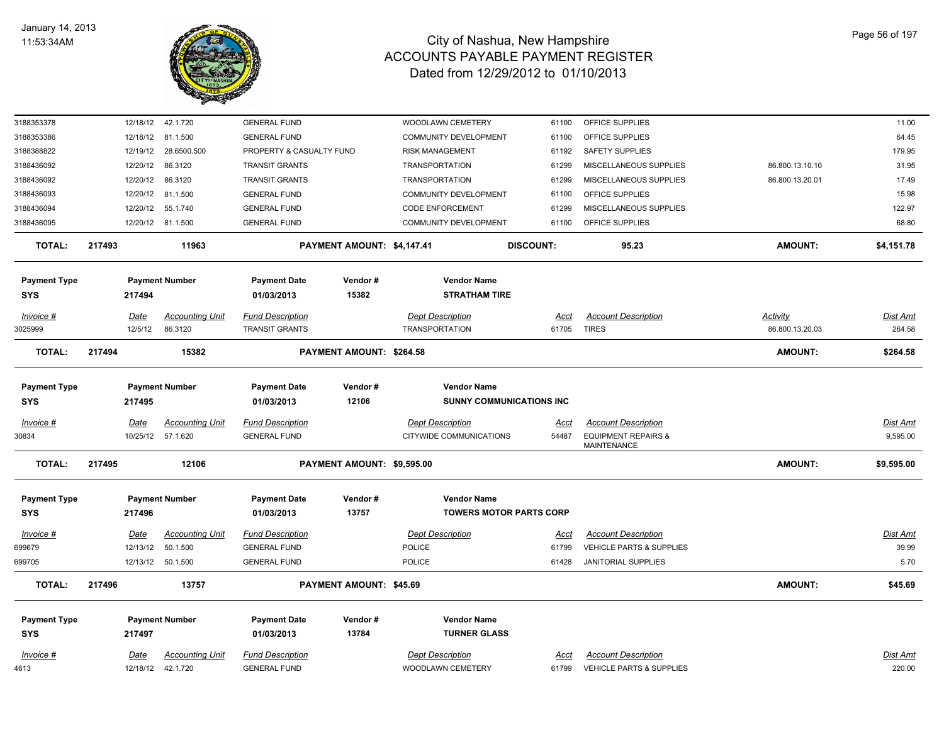

| 3188353378          | 12/18/12    | 42.1.720               | <b>GENERAL FUND</b>      |                            | WOODLAWN CEMETERY               | 61100            | OFFICE SUPPLIES                                      |                 | 11.00           |
|---------------------|-------------|------------------------|--------------------------|----------------------------|---------------------------------|------------------|------------------------------------------------------|-----------------|-----------------|
| 3188353386          | 12/18/12    | 81.1.500               | <b>GENERAL FUND</b>      |                            | COMMUNITY DEVELOPMENT           | 61100            | OFFICE SUPPLIES                                      |                 | 64.45           |
| 3188388822          | 12/19/12    | 28.6500.500            | PROPERTY & CASUALTY FUND |                            | <b>RISK MANAGEMENT</b>          | 61192            | SAFETY SUPPLIES                                      |                 | 179.95          |
| 3188436092          | 12/20/12    | 86.3120                | <b>TRANSIT GRANTS</b>    |                            | <b>TRANSPORTATION</b>           | 61299            | MISCELLANEOUS SUPPLIES                               | 86.800.13.10.10 | 31.95           |
| 3188436092          | 12/20/12    | 86.3120                | <b>TRANSIT GRANTS</b>    |                            | <b>TRANSPORTATION</b>           | 61299            | MISCELLANEOUS SUPPLIES                               | 86.800.13.20.01 | 17.49           |
| 3188436093          | 12/20/12    | 81.1.500               | <b>GENERAL FUND</b>      |                            | COMMUNITY DEVELOPMENT           | 61100            | OFFICE SUPPLIES                                      |                 | 15.98           |
| 3188436094          | 12/20/12    | 55.1.740               | <b>GENERAL FUND</b>      |                            | <b>CODE ENFORCEMENT</b>         | 61299            | MISCELLANEOUS SUPPLIES                               |                 | 122.97          |
| 3188436095          | 12/20/12    | 81.1.500               | <b>GENERAL FUND</b>      |                            | <b>COMMUNITY DEVELOPMENT</b>    | 61100            | OFFICE SUPPLIES                                      |                 | 68.80           |
| <b>TOTAL:</b>       | 217493      | 11963                  |                          | PAYMENT AMOUNT: \$4,147.41 |                                 | <b>DISCOUNT:</b> | 95.23                                                | <b>AMOUNT:</b>  | \$4,151.78      |
| <b>Payment Type</b> |             | <b>Payment Number</b>  | <b>Payment Date</b>      | Vendor#                    | <b>Vendor Name</b>              |                  |                                                      |                 |                 |
| <b>SYS</b>          | 217494      |                        | 01/03/2013               | 15382                      | <b>STRATHAM TIRE</b>            |                  |                                                      |                 |                 |
| Invoice #           | Date        | <b>Accounting Unit</b> | <b>Fund Description</b>  |                            | <b>Dept Description</b>         | <u>Acct</u>      | <b>Account Description</b>                           | Activity        | Dist Amt        |
| 3025999             | 12/5/12     | 86.3120                | <b>TRANSIT GRANTS</b>    |                            | <b>TRANSPORTATION</b>           |                  | 61705 TIRES                                          | 86.800.13.20.03 | 264.58          |
| <b>TOTAL:</b>       | 217494      | 15382                  |                          | PAYMENT AMOUNT: \$264.58   |                                 |                  |                                                      | <b>AMOUNT:</b>  | \$264.58        |
| <b>Payment Type</b> |             | <b>Payment Number</b>  | <b>Payment Date</b>      | Vendor#                    | <b>Vendor Name</b>              |                  |                                                      |                 |                 |
| <b>SYS</b>          | 217495      |                        | 01/03/2013               | 12106                      | <b>SUNNY COMMUNICATIONS INC</b> |                  |                                                      |                 |                 |
| Invoice #           | Date        | <b>Accounting Unit</b> | <b>Fund Description</b>  |                            | <b>Dept Description</b>         | <u>Acct</u>      | <b>Account Description</b>                           |                 | Dist Amt        |
| 30834               | 10/25/12    | 57.1.620               | <b>GENERAL FUND</b>      |                            | CITYWIDE COMMUNICATIONS         | 54487            | <b>EQUIPMENT REPAIRS &amp;</b><br><b>MAINTENANCE</b> |                 | 9,595.00        |
| <b>TOTAL:</b>       | 217495      | 12106                  |                          | PAYMENT AMOUNT: \$9,595.00 |                                 |                  |                                                      | AMOUNT:         | \$9,595.00      |
| <b>Payment Type</b> |             | <b>Payment Number</b>  | <b>Payment Date</b>      | Vendor#                    | <b>Vendor Name</b>              |                  |                                                      |                 |                 |
| <b>SYS</b>          | 217496      |                        | 01/03/2013               | 13757                      | <b>TOWERS MOTOR PARTS CORP</b>  |                  |                                                      |                 |                 |
| Invoice #           | <u>Date</u> | <b>Accounting Unit</b> | <b>Fund Description</b>  |                            | <b>Dept Description</b>         | <u>Acct</u>      | <b>Account Description</b>                           |                 | <b>Dist Amt</b> |
| 699679              | 12/13/12    | 50.1.500               | <b>GENERAL FUND</b>      |                            | <b>POLICE</b>                   | 61799            | VEHICLE PARTS & SUPPLIES                             |                 | 39.99           |
| 699705              |             | 12/13/12 50.1.500      | <b>GENERAL FUND</b>      |                            | POLICE                          | 61428            | JANITORIAL SUPPLIES                                  |                 | 5.70            |
| <b>TOTAL:</b>       | 217496      | 13757                  |                          | PAYMENT AMOUNT: \$45.69    |                                 |                  |                                                      | AMOUNT:         | \$45.69         |
| <b>Payment Type</b> |             | <b>Payment Number</b>  | <b>Payment Date</b>      | Vendor#                    | <b>Vendor Name</b>              |                  |                                                      |                 |                 |
| <b>SYS</b>          | 217497      |                        | 01/03/2013               | 13784                      | <b>TURNER GLASS</b>             |                  |                                                      |                 |                 |
| $Invoice$ #         | Date        | <b>Accounting Unit</b> | <b>Fund Description</b>  |                            | <b>Dept Description</b>         | <u>Acct</u>      | <b>Account Description</b>                           |                 | <b>Dist Amt</b> |
| 4613                |             | 12/18/12  42.1.720     | <b>GENERAL FUND</b>      |                            | <b>WOODLAWN CEMETERY</b>        | 61799            | <b>VEHICLE PARTS &amp; SUPPLIES</b>                  |                 | 220.00          |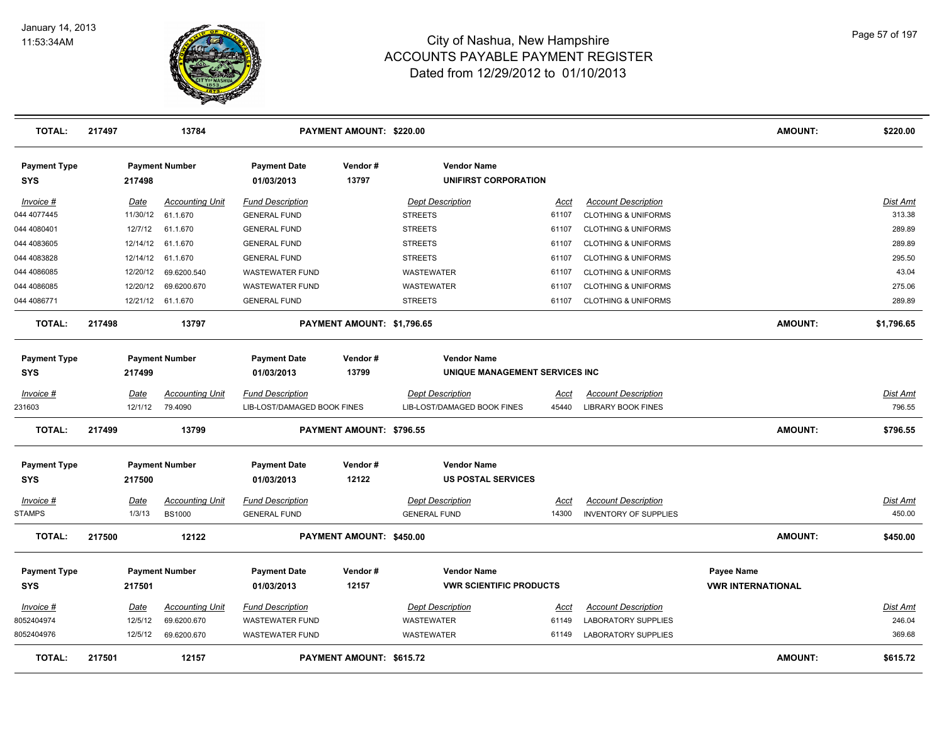

| <b>TOTAL:</b>              | 217497 |             | 13784                  |                                   | PAYMENT AMOUNT: \$220.00   |                                                      |             |                                | <b>AMOUNT:</b>                  | \$220.00        |
|----------------------------|--------|-------------|------------------------|-----------------------------------|----------------------------|------------------------------------------------------|-------------|--------------------------------|---------------------------------|-----------------|
| <b>Payment Type</b><br>SYS |        | 217498      | <b>Payment Number</b>  | <b>Payment Date</b><br>01/03/2013 | Vendor#<br>13797           | <b>Vendor Name</b><br><b>UNIFIRST CORPORATION</b>    |             |                                |                                 |                 |
| Invoice #                  |        | Date        | <b>Accounting Unit</b> | <b>Fund Description</b>           |                            | <b>Dept Description</b>                              | Acct        | <b>Account Description</b>     |                                 | Dist Amt        |
| 044 4077445                |        | 11/30/12    | 61.1.670               | <b>GENERAL FUND</b>               |                            | <b>STREETS</b>                                       | 61107       | <b>CLOTHING &amp; UNIFORMS</b> |                                 | 313.38          |
| 044 4080401                |        | 12/7/12     | 61.1.670               | <b>GENERAL FUND</b>               |                            | <b>STREETS</b>                                       | 61107       | <b>CLOTHING &amp; UNIFORMS</b> |                                 | 289.89          |
| 044 4083605                |        | 12/14/12    | 61.1.670               | <b>GENERAL FUND</b>               |                            | <b>STREETS</b>                                       | 61107       | <b>CLOTHING &amp; UNIFORMS</b> |                                 | 289.89          |
| 044 4083828                |        | 12/14/12    | 61.1.670               | <b>GENERAL FUND</b>               |                            | <b>STREETS</b>                                       | 61107       | <b>CLOTHING &amp; UNIFORMS</b> |                                 | 295.50          |
| 044 4086085                |        | 12/20/12    | 69.6200.540            | <b>WASTEWATER FUND</b>            |                            | <b>WASTEWATER</b>                                    | 61107       | <b>CLOTHING &amp; UNIFORMS</b> |                                 | 43.04           |
| 044 4086085                |        | 12/20/12    | 69.6200.670            | <b>WASTEWATER FUND</b>            |                            | WASTEWATER                                           | 61107       | <b>CLOTHING &amp; UNIFORMS</b> |                                 | 275.06          |
| 044 4086771                |        | 12/21/12    | 61.1.670               | <b>GENERAL FUND</b>               |                            | <b>STREETS</b>                                       | 61107       | <b>CLOTHING &amp; UNIFORMS</b> |                                 | 289.89          |
| <b>TOTAL:</b>              | 217498 |             | 13797                  |                                   | PAYMENT AMOUNT: \$1,796.65 |                                                      |             |                                | <b>AMOUNT:</b>                  | \$1,796.65      |
| <b>Payment Type</b><br>SYS |        | 217499      | <b>Payment Number</b>  | <b>Payment Date</b><br>01/03/2013 | Vendor#<br>13799           | <b>Vendor Name</b><br>UNIQUE MANAGEMENT SERVICES INC |             |                                |                                 |                 |
| Invoice #                  |        | Date        | <b>Accounting Unit</b> | <b>Fund Description</b>           |                            | <b>Dept Description</b>                              | <u>Acct</u> | <b>Account Description</b>     |                                 | Dist Amt        |
| 231603                     |        | 12/1/12     | 79.4090                | LIB-LOST/DAMAGED BOOK FINES       |                            | LIB-LOST/DAMAGED BOOK FINES                          | 45440       | <b>LIBRARY BOOK FINES</b>      |                                 | 796.55          |
| <b>TOTAL:</b>              | 217499 |             | 13799                  |                                   | PAYMENT AMOUNT: \$796.55   |                                                      |             |                                | <b>AMOUNT:</b>                  | \$796.55        |
| <b>Payment Type</b><br>SYS |        | 217500      | <b>Payment Number</b>  | <b>Payment Date</b><br>01/03/2013 | Vendor#<br>12122           | <b>Vendor Name</b><br><b>US POSTAL SERVICES</b>      |             |                                |                                 |                 |
| Invoice #                  |        | <u>Date</u> | <b>Accounting Unit</b> | <b>Fund Description</b>           |                            | <b>Dept Description</b>                              | <u>Acct</u> | <b>Account Description</b>     |                                 | <b>Dist Amt</b> |
| <b>STAMPS</b>              |        | 1/3/13      | <b>BS1000</b>          | <b>GENERAL FUND</b>               |                            | <b>GENERAL FUND</b>                                  | 14300       | <b>INVENTORY OF SUPPLIES</b>   |                                 | 450.00          |
| <b>TOTAL:</b>              | 217500 |             | 12122                  |                                   | PAYMENT AMOUNT: \$450.00   |                                                      |             |                                | <b>AMOUNT:</b>                  | \$450.00        |
| <b>Payment Type</b>        |        |             | <b>Payment Number</b>  | <b>Payment Date</b>               | Vendor#                    | <b>Vendor Name</b>                                   |             |                                | <b>Payee Name</b>               |                 |
| SYS                        |        | 217501      |                        | 01/03/2013                        | 12157                      | <b>VWR SCIENTIFIC PRODUCTS</b>                       |             |                                | <b><i>VWR INTERNATIONAL</i></b> |                 |
| Invoice #                  |        | Date        | <b>Accounting Unit</b> | <b>Fund Description</b>           |                            | <b>Dept Description</b>                              | Acct        | <b>Account Description</b>     |                                 | Dist Amt        |
| 8052404974                 |        | 12/5/12     | 69.6200.670            | <b>WASTEWATER FUND</b>            |                            | WASTEWATER                                           | 61149       | <b>LABORATORY SUPPLIES</b>     |                                 | 246.04          |
| 8052404976                 |        | 12/5/12     | 69.6200.670            | <b>WASTEWATER FUND</b>            |                            | WASTEWATER                                           | 61149       | <b>LABORATORY SUPPLIES</b>     |                                 | 369.68          |
| <b>TOTAL:</b>              | 217501 |             | 12157                  |                                   | PAYMENT AMOUNT: \$615.72   |                                                      |             |                                | <b>AMOUNT:</b>                  | \$615.72        |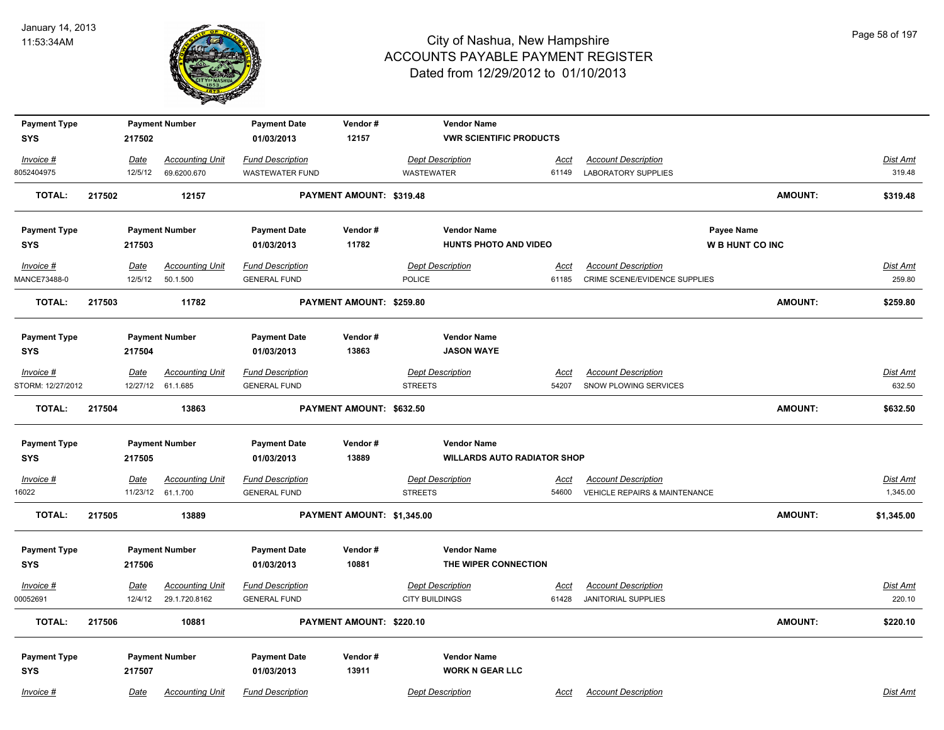

| <b>Payment Type</b> |         | <b>Payment Number</b>  | <b>Payment Date</b>     | Vendor#                    | <b>Vendor Name</b>      |                                    |                                          |                        |                 |
|---------------------|---------|------------------------|-------------------------|----------------------------|-------------------------|------------------------------------|------------------------------------------|------------------------|-----------------|
| <b>SYS</b>          | 217502  |                        | 01/03/2013              | 12157                      |                         | <b>VWR SCIENTIFIC PRODUCTS</b>     |                                          |                        |                 |
| Invoice #           | Date    | <b>Accounting Unit</b> | <b>Fund Description</b> |                            | <b>Dept Description</b> | Acct                               | <b>Account Description</b>               |                        | Dist Amt        |
| 8052404975          | 12/5/12 | 69.6200.670            | WASTEWATER FUND         |                            | <b>WASTEWATER</b>       | 61149                              | <b>LABORATORY SUPPLIES</b>               |                        | 319.48          |
| <b>TOTAL:</b>       | 217502  | 12157                  |                         | PAYMENT AMOUNT: \$319.48   |                         |                                    |                                          | <b>AMOUNT:</b>         | \$319.48        |
| <b>Payment Type</b> |         | <b>Payment Number</b>  | <b>Payment Date</b>     | Vendor#                    | <b>Vendor Name</b>      |                                    |                                          | Payee Name             |                 |
| <b>SYS</b>          | 217503  |                        | 01/03/2013              | 11782                      |                         | <b>HUNTS PHOTO AND VIDEO</b>       |                                          | <b>W B HUNT CO INC</b> |                 |
| Invoice #           | Date    | <b>Accounting Unit</b> | <b>Fund Description</b> |                            | <b>Dept Description</b> | Acct                               | <b>Account Description</b>               |                        | Dist Amt        |
| MANCE73488-0        | 12/5/12 | 50.1.500               | <b>GENERAL FUND</b>     |                            | <b>POLICE</b>           | 61185                              | CRIME SCENE/EVIDENCE SUPPLIES            |                        | 259.80          |
| <b>TOTAL:</b>       | 217503  | 11782                  |                         | PAYMENT AMOUNT: \$259.80   |                         |                                    |                                          | <b>AMOUNT:</b>         | \$259.80        |
| <b>Payment Type</b> |         | <b>Payment Number</b>  | <b>Payment Date</b>     | Vendor#                    | <b>Vendor Name</b>      |                                    |                                          |                        |                 |
| <b>SYS</b>          | 217504  |                        | 01/03/2013              | 13863                      | <b>JASON WAYE</b>       |                                    |                                          |                        |                 |
| Invoice #           | Date    | <b>Accounting Unit</b> | <b>Fund Description</b> |                            | <b>Dept Description</b> | Acct                               | <b>Account Description</b>               |                        | Dist Amt        |
| STORM: 12/27/2012   |         | 12/27/12 61.1.685      | <b>GENERAL FUND</b>     |                            | <b>STREETS</b>          | 54207                              | SNOW PLOWING SERVICES                    |                        | 632.50          |
| <b>TOTAL:</b>       | 217504  | 13863                  |                         | PAYMENT AMOUNT: \$632.50   |                         |                                    |                                          | <b>AMOUNT:</b>         | \$632.50        |
| <b>Payment Type</b> |         | <b>Payment Number</b>  | <b>Payment Date</b>     | Vendor#                    | <b>Vendor Name</b>      |                                    |                                          |                        |                 |
| <b>SYS</b>          | 217505  |                        | 01/03/2013              | 13889                      |                         | <b>WILLARDS AUTO RADIATOR SHOP</b> |                                          |                        |                 |
| $Invoice$ #         | Date    | <b>Accounting Unit</b> | <b>Fund Description</b> |                            | <b>Dept Description</b> | <u>Acct</u>                        | <b>Account Description</b>               |                        | <b>Dist Amt</b> |
| 16022               |         | 11/23/12 61.1.700      | <b>GENERAL FUND</b>     |                            | <b>STREETS</b>          | 54600                              | <b>VEHICLE REPAIRS &amp; MAINTENANCE</b> |                        | 1,345.00        |
| TOTAL:              | 217505  | 13889                  |                         | PAYMENT AMOUNT: \$1,345.00 |                         |                                    |                                          | <b>AMOUNT:</b>         | \$1,345.00      |
| <b>Payment Type</b> |         | <b>Payment Number</b>  | <b>Payment Date</b>     | Vendor#                    | <b>Vendor Name</b>      |                                    |                                          |                        |                 |
| <b>SYS</b>          | 217506  |                        | 01/03/2013              | 10881                      |                         | THE WIPER CONNECTION               |                                          |                        |                 |
| Invoice #           | Date    | <b>Accounting Unit</b> | <b>Fund Description</b> |                            | <b>Dept Description</b> | <u>Acct</u>                        | <b>Account Description</b>               |                        | Dist Amt        |
| 00052691            | 12/4/12 | 29.1.720.8162          | <b>GENERAL FUND</b>     |                            | CITY BUILDINGS          | 61428                              | <b>JANITORIAL SUPPLIES</b>               |                        | 220.10          |
| <b>TOTAL:</b>       | 217506  | 10881                  |                         | PAYMENT AMOUNT: \$220.10   |                         |                                    |                                          | <b>AMOUNT:</b>         | \$220.10        |
| <b>Payment Type</b> |         | <b>Payment Number</b>  | <b>Payment Date</b>     | Vendor#                    | <b>Vendor Name</b>      |                                    |                                          |                        |                 |
| <b>SYS</b>          | 217507  |                        | 01/03/2013              | 13911                      |                         | <b>WORK N GEAR LLC</b>             |                                          |                        |                 |
| Invoice #           | Date    | <b>Accounting Unit</b> | <b>Fund Description</b> |                            | <b>Dept Description</b> | Acct                               | <b>Account Description</b>               |                        | Dist Amt        |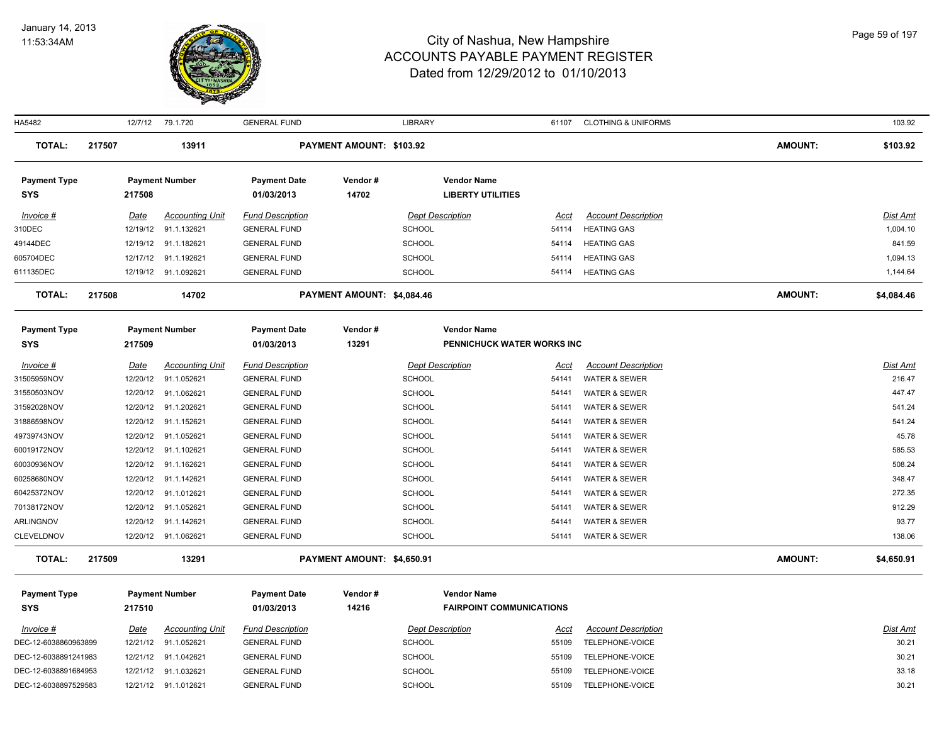

| HA5482               |        |             | 12/7/12 79.1.720       | <b>GENERAL FUND</b>     |                            | <b>LIBRARY</b> |                                 | 61107       | <b>CLOTHING &amp; UNIFORMS</b> |                | 103.92          |
|----------------------|--------|-------------|------------------------|-------------------------|----------------------------|----------------|---------------------------------|-------------|--------------------------------|----------------|-----------------|
| <b>TOTAL:</b>        | 217507 |             | 13911                  |                         | PAYMENT AMOUNT: \$103.92   |                |                                 |             |                                | <b>AMOUNT:</b> | \$103.92        |
| <b>Payment Type</b>  |        |             | <b>Payment Number</b>  | <b>Payment Date</b>     | Vendor#                    |                | <b>Vendor Name</b>              |             |                                |                |                 |
| <b>SYS</b>           |        | 217508      |                        | 01/03/2013              | 14702                      |                | <b>LIBERTY UTILITIES</b>        |             |                                |                |                 |
| Invoice #            |        | Date        | <b>Accounting Unit</b> | <b>Fund Description</b> |                            |                | <b>Dept Description</b>         | Acct        | <b>Account Description</b>     |                | Dist Amt        |
| 310DEC               |        | 12/19/12    | 91.1.132621            | <b>GENERAL FUND</b>     |                            | <b>SCHOOL</b>  |                                 | 54114       | <b>HEATING GAS</b>             |                | 1,004.10        |
| 49144DEC             |        | 12/19/12    | 91.1.182621            | <b>GENERAL FUND</b>     |                            | <b>SCHOOL</b>  |                                 | 54114       | <b>HEATING GAS</b>             |                | 841.59          |
| 605704DEC            |        | 12/17/12    | 91.1.192621            | <b>GENERAL FUND</b>     |                            | <b>SCHOOL</b>  |                                 | 54114       | <b>HEATING GAS</b>             |                | 1,094.13        |
| 611135DEC            |        | 12/19/12    | 91.1.092621            | <b>GENERAL FUND</b>     |                            | <b>SCHOOL</b>  |                                 | 54114       | <b>HEATING GAS</b>             |                | 1,144.64        |
| <b>TOTAL:</b>        | 217508 |             | 14702                  |                         | PAYMENT AMOUNT: \$4,084.46 |                |                                 |             |                                | <b>AMOUNT:</b> | \$4,084.46      |
| <b>Payment Type</b>  |        |             | <b>Payment Number</b>  | <b>Payment Date</b>     | Vendor#                    |                | <b>Vendor Name</b>              |             |                                |                |                 |
| <b>SYS</b>           |        | 217509      |                        | 01/03/2013              | 13291                      |                | PENNICHUCK WATER WORKS INC      |             |                                |                |                 |
| Invoice #            |        | Date        | <b>Accounting Unit</b> | <b>Fund Description</b> |                            |                | <b>Dept Description</b>         | Acct        | <b>Account Description</b>     |                | Dist Amt        |
| 31505959NOV          |        | 12/20/12    | 91.1.052621            | <b>GENERAL FUND</b>     |                            | <b>SCHOOL</b>  |                                 | 54141       | WATER & SEWER                  |                | 216.47          |
| 31550503NOV          |        | 12/20/12    | 91.1.062621            | <b>GENERAL FUND</b>     |                            | <b>SCHOOL</b>  |                                 | 54141       | WATER & SEWER                  |                | 447.47          |
| 31592028NOV          |        |             | 12/20/12 91.1.202621   | <b>GENERAL FUND</b>     |                            | <b>SCHOOL</b>  |                                 | 54141       | WATER & SEWER                  |                | 541.24          |
| 31886598NOV          |        | 12/20/12    | 91.1.152621            | <b>GENERAL FUND</b>     |                            | <b>SCHOOL</b>  |                                 | 54141       | WATER & SEWER                  |                | 541.24          |
| 49739743NOV          |        | 12/20/12    | 91.1.052621            | <b>GENERAL FUND</b>     |                            | <b>SCHOOL</b>  |                                 | 54141       | WATER & SEWER                  |                | 45.78           |
| 60019172NOV          |        |             | 12/20/12 91.1.102621   | <b>GENERAL FUND</b>     |                            | <b>SCHOOL</b>  |                                 | 54141       | WATER & SEWER                  |                | 585.53          |
| 60030936NOV          |        | 12/20/12    | 91.1.162621            | <b>GENERAL FUND</b>     |                            | <b>SCHOOL</b>  |                                 | 54141       | WATER & SEWER                  |                | 508.24          |
| 60258680NOV          |        |             | 12/20/12 91.1.142621   | <b>GENERAL FUND</b>     |                            | <b>SCHOOL</b>  |                                 | 54141       | WATER & SEWER                  |                | 348.47          |
| 60425372NOV          |        | 12/20/12    | 91.1.012621            | <b>GENERAL FUND</b>     |                            | <b>SCHOOL</b>  |                                 | 54141       | WATER & SEWER                  |                | 272.35          |
| 70138172NOV          |        | 12/20/12    | 91.1.052621            | <b>GENERAL FUND</b>     |                            | <b>SCHOOL</b>  |                                 | 54141       | WATER & SEWER                  |                | 912.29          |
| <b>ARLINGNOV</b>     |        |             | 12/20/12 91.1.142621   | <b>GENERAL FUND</b>     |                            | <b>SCHOOL</b>  |                                 | 54141       | WATER & SEWER                  |                | 93.77           |
| <b>CLEVELDNOV</b>    |        |             | 12/20/12 91.1.062621   | <b>GENERAL FUND</b>     |                            | <b>SCHOOL</b>  |                                 | 54141       | <b>WATER &amp; SEWER</b>       |                | 138.06          |
| <b>TOTAL:</b>        | 217509 |             | 13291                  |                         | PAYMENT AMOUNT: \$4,650.91 |                |                                 |             |                                | <b>AMOUNT:</b> | \$4,650.91      |
| <b>Payment Type</b>  |        |             | <b>Payment Number</b>  | <b>Payment Date</b>     | Vendor#                    |                | <b>Vendor Name</b>              |             |                                |                |                 |
| <b>SYS</b>           |        | 217510      |                        | 01/03/2013              | 14216                      |                | <b>FAIRPOINT COMMUNICATIONS</b> |             |                                |                |                 |
| $Invoice$ #          |        | <u>Date</u> | <b>Accounting Unit</b> | <b>Fund Description</b> |                            |                | <b>Dept Description</b>         | <u>Acct</u> | <b>Account Description</b>     |                | <u>Dist Amt</u> |
| DEC-12-6038860963899 |        | 12/21/12    | 91.1.052621            | <b>GENERAL FUND</b>     |                            | <b>SCHOOL</b>  |                                 | 55109       | TELEPHONE-VOICE                |                | 30.21           |
| DEC-12-6038891241983 |        | 12/21/12    | 91.1.042621            | <b>GENERAL FUND</b>     |                            | <b>SCHOOL</b>  |                                 | 55109       | TELEPHONE-VOICE                |                | 30.21           |
| DEC-12-6038891684953 |        |             | 12/21/12 91.1.032621   | <b>GENERAL FUND</b>     |                            | <b>SCHOOL</b>  |                                 | 55109       | TELEPHONE-VOICE                |                | 33.18           |
| DEC-12-6038897529583 |        |             | 12/21/12 91.1.012621   | <b>GENERAL FUND</b>     |                            | <b>SCHOOL</b>  |                                 | 55109       | TELEPHONE-VOICE                |                | 30.21           |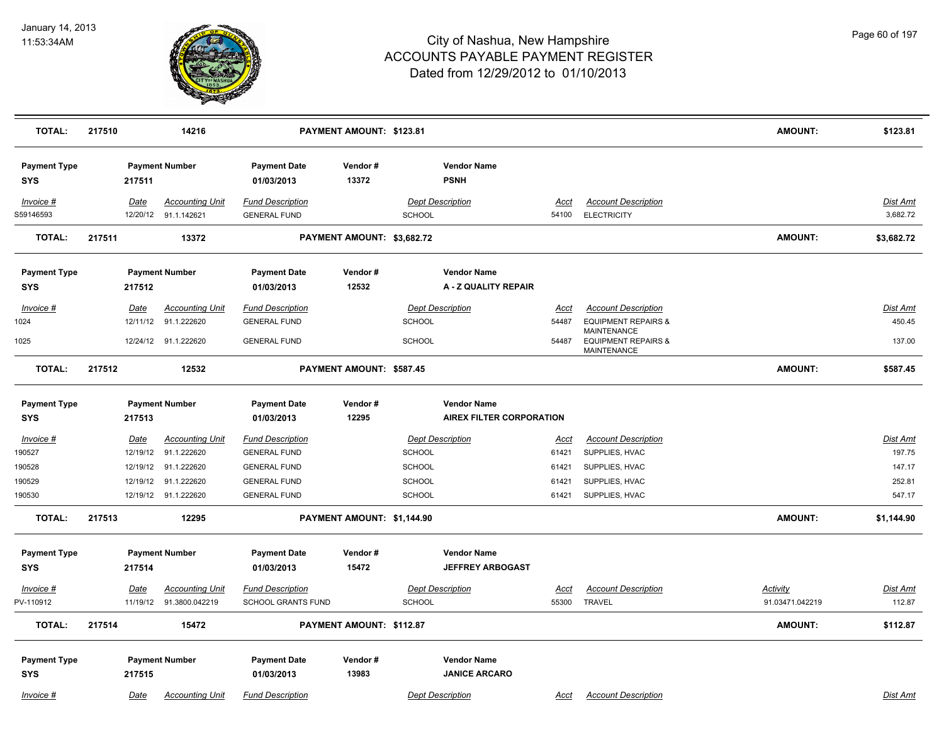

| <b>TOTAL:</b>                     | 217510      | 14216                                          |                                                | PAYMENT AMOUNT: \$123.81   |               |                                            |                      |                                                              | <b>AMOUNT:</b>  | \$123.81             |
|-----------------------------------|-------------|------------------------------------------------|------------------------------------------------|----------------------------|---------------|--------------------------------------------|----------------------|--------------------------------------------------------------|-----------------|----------------------|
| <b>Payment Type</b><br><b>SYS</b> | 217511      | <b>Payment Number</b>                          | <b>Payment Date</b><br>01/03/2013              | Vendor#<br>13372           |               | <b>Vendor Name</b><br><b>PSNH</b>          |                      |                                                              |                 |                      |
| Invoice #<br>S59146593            | Date        | <b>Accounting Unit</b><br>12/20/12 91.1.142621 | <b>Fund Description</b><br><b>GENERAL FUND</b> |                            | <b>SCHOOL</b> | <b>Dept Description</b>                    | <u>Acct</u><br>54100 | <b>Account Description</b><br><b>ELECTRICITY</b>             |                 | Dist Amt<br>3,682.72 |
| <b>TOTAL:</b>                     | 217511      | 13372                                          |                                                | PAYMENT AMOUNT: \$3,682.72 |               |                                            |                      |                                                              | <b>AMOUNT:</b>  | \$3,682.72           |
| <b>Payment Type</b><br><b>SYS</b> | 217512      | <b>Payment Number</b>                          | <b>Payment Date</b><br>01/03/2013              | Vendor#<br>12532           |               | <b>Vendor Name</b><br>A - Z QUALITY REPAIR |                      |                                                              |                 |                      |
| Invoice #                         | <u>Date</u> | <b>Accounting Unit</b>                         | <b>Fund Description</b>                        |                            |               | <b>Dept Description</b>                    | Acct                 | <b>Account Description</b>                                   |                 | <b>Dist Amt</b>      |
| 1024                              | 12/11/12    | 91.1.222620                                    | <b>GENERAL FUND</b>                            |                            | <b>SCHOOL</b> |                                            | 54487                | <b>EQUIPMENT REPAIRS &amp;</b>                               |                 | 450.45               |
| 1025                              |             | 12/24/12 91.1.222620                           | <b>GENERAL FUND</b>                            |                            | <b>SCHOOL</b> |                                            | 54487                | MAINTENANCE<br><b>EQUIPMENT REPAIRS &amp;</b><br>MAINTENANCE |                 | 137.00               |
| <b>TOTAL:</b>                     | 217512      | 12532                                          |                                                | PAYMENT AMOUNT: \$587.45   |               |                                            |                      |                                                              | <b>AMOUNT:</b>  | \$587.45             |
| <b>Payment Type</b>               |             | <b>Payment Number</b>                          | <b>Payment Date</b>                            | Vendor#                    |               | <b>Vendor Name</b>                         |                      |                                                              |                 |                      |
| <b>SYS</b>                        | 217513      |                                                | 01/03/2013                                     | 12295                      |               | <b>AIREX FILTER CORPORATION</b>            |                      |                                                              |                 |                      |
| <u> Invoice #</u>                 | <u>Date</u> | <b>Accounting Unit</b>                         | <b>Fund Description</b>                        |                            |               | <b>Dept Description</b>                    | <u>Acct</u>          | <b>Account Description</b>                                   |                 | Dist Amt             |
| 190527                            | 12/19/12    | 91.1.222620                                    | <b>GENERAL FUND</b>                            |                            | <b>SCHOOL</b> |                                            | 61421                | SUPPLIES, HVAC                                               |                 | 197.75               |
| 190528                            | 12/19/12    | 91.1.222620                                    | <b>GENERAL FUND</b>                            |                            | <b>SCHOOL</b> |                                            | 61421                | SUPPLIES, HVAC                                               |                 | 147.17               |
| 190529                            | 12/19/12    | 91.1.222620                                    | <b>GENERAL FUND</b>                            |                            | <b>SCHOOL</b> |                                            | 61421                | SUPPLIES, HVAC                                               |                 | 252.81               |
| 190530                            |             | 12/19/12 91.1.222620                           | <b>GENERAL FUND</b>                            |                            | <b>SCHOOL</b> |                                            | 61421                | SUPPLIES, HVAC                                               |                 | 547.17               |
| <b>TOTAL:</b>                     | 217513      | 12295                                          |                                                | PAYMENT AMOUNT: \$1,144.90 |               |                                            |                      |                                                              | <b>AMOUNT:</b>  | \$1,144.90           |
| <b>Payment Type</b>               |             | <b>Payment Number</b>                          | <b>Payment Date</b>                            | Vendor#                    |               | <b>Vendor Name</b>                         |                      |                                                              |                 |                      |
| <b>SYS</b>                        | 217514      |                                                | 01/03/2013                                     | 15472                      |               | <b>JEFFREY ARBOGAST</b>                    |                      |                                                              |                 |                      |
| Invoice #                         | Date        | <b>Accounting Unit</b>                         | <b>Fund Description</b>                        |                            |               | <b>Dept Description</b>                    | Acct                 | <b>Account Description</b>                                   | Activity        | <b>Dist Amt</b>      |
| PV-110912                         |             | 11/19/12 91.3800.042219                        | SCHOOL GRANTS FUND                             |                            | <b>SCHOOL</b> |                                            | 55300                | <b>TRAVEL</b>                                                | 91.03471.042219 | 112.87               |
| <b>TOTAL:</b>                     | 217514      | 15472                                          |                                                | PAYMENT AMOUNT: \$112.87   |               |                                            |                      |                                                              | <b>AMOUNT:</b>  | \$112.87             |
| <b>Payment Type</b>               |             | <b>Payment Number</b>                          | <b>Payment Date</b>                            | Vendor#                    |               | <b>Vendor Name</b>                         |                      |                                                              |                 |                      |
| <b>SYS</b>                        | 217515      |                                                | 01/03/2013                                     | 13983                      |               | <b>JANICE ARCARO</b>                       |                      |                                                              |                 |                      |
| Invoice #                         | Date        | <b>Accounting Unit</b>                         | <b>Fund Description</b>                        |                            |               | <b>Dept Description</b>                    | Acct                 | <b>Account Description</b>                                   |                 | Dist Amt             |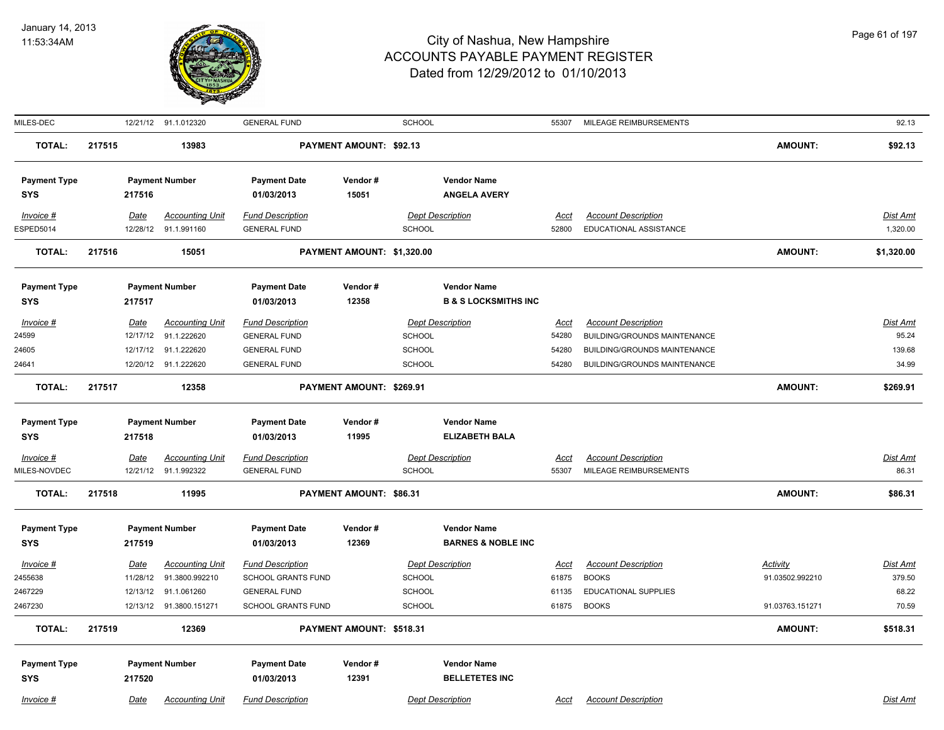

| MILES-DEC           |             |          | 12/21/12 91.1.012320    | <b>GENERAL FUND</b>       |                            | <b>SCHOOL</b> |                                 | 55307       | MILEAGE REIMBURSEMENTS              |                 | 92.13           |
|---------------------|-------------|----------|-------------------------|---------------------------|----------------------------|---------------|---------------------------------|-------------|-------------------------------------|-----------------|-----------------|
| <b>TOTAL:</b>       | 217515      |          | 13983                   |                           | PAYMENT AMOUNT: \$92.13    |               |                                 |             |                                     | <b>AMOUNT:</b>  | \$92.13         |
| <b>Payment Type</b> |             |          | <b>Payment Number</b>   | <b>Payment Date</b>       | Vendor#                    |               | <b>Vendor Name</b>              |             |                                     |                 |                 |
| <b>SYS</b>          |             | 217516   |                         | 01/03/2013                | 15051                      |               | <b>ANGELA AVERY</b>             |             |                                     |                 |                 |
| $Invoice$ #         | Date        |          | <b>Accounting Unit</b>  | <b>Fund Description</b>   |                            |               | <b>Dept Description</b>         | <b>Acct</b> | <b>Account Description</b>          |                 | Dist Amt        |
| ESPED5014           |             |          | 12/28/12 91.1.991160    | <b>GENERAL FUND</b>       |                            | <b>SCHOOL</b> |                                 | 52800       | EDUCATIONAL ASSISTANCE              |                 | 1,320.00        |
| TOTAL:              | 217516      |          | 15051                   |                           | PAYMENT AMOUNT: \$1,320.00 |               |                                 |             |                                     | <b>AMOUNT:</b>  | \$1,320.00      |
| <b>Payment Type</b> |             |          | <b>Payment Number</b>   | <b>Payment Date</b>       | Vendor#                    |               | <b>Vendor Name</b>              |             |                                     |                 |                 |
| <b>SYS</b>          |             | 217517   |                         | 01/03/2013                | 12358                      |               | <b>B &amp; S LOCKSMITHS INC</b> |             |                                     |                 |                 |
| Invoice #           | <b>Date</b> |          | <b>Accounting Unit</b>  | <b>Fund Description</b>   |                            |               | <b>Dept Description</b>         | <b>Acct</b> | <b>Account Description</b>          |                 | Dist Amt        |
| 24599               |             | 12/17/12 | 91.1.222620             | <b>GENERAL FUND</b>       |                            | <b>SCHOOL</b> |                                 | 54280       | <b>BUILDING/GROUNDS MAINTENANCE</b> |                 | 95.24           |
| 24605               |             |          | 12/17/12 91.1.222620    | <b>GENERAL FUND</b>       |                            | <b>SCHOOL</b> |                                 | 54280       | <b>BUILDING/GROUNDS MAINTENANCE</b> |                 | 139.68          |
| 24641               |             | 12/20/12 | 91.1.222620             | <b>GENERAL FUND</b>       |                            | <b>SCHOOL</b> |                                 | 54280       | <b>BUILDING/GROUNDS MAINTENANCE</b> |                 | 34.99           |
| <b>TOTAL:</b>       | 217517      |          | 12358                   |                           | PAYMENT AMOUNT: \$269.91   |               |                                 |             |                                     | <b>AMOUNT:</b>  | \$269.91        |
| <b>Payment Type</b> |             |          | <b>Payment Number</b>   | <b>Payment Date</b>       | Vendor#                    |               | <b>Vendor Name</b>              |             |                                     |                 |                 |
| <b>SYS</b>          |             | 217518   |                         | 01/03/2013                | 11995                      |               | <b>ELIZABETH BALA</b>           |             |                                     |                 |                 |
| Invoice #           | <u>Date</u> |          | <b>Accounting Unit</b>  | <b>Fund Description</b>   |                            |               | <b>Dept Description</b>         | <u>Acct</u> | <b>Account Description</b>          |                 | Dist Amt        |
| MILES-NOVDEC        |             |          | 12/21/12 91.1.992322    | <b>GENERAL FUND</b>       |                            | <b>SCHOOL</b> |                                 | 55307       | MILEAGE REIMBURSEMENTS              |                 | 86.31           |
| <b>TOTAL:</b>       | 217518      |          | 11995                   |                           | PAYMENT AMOUNT: \$86.31    |               |                                 |             |                                     | <b>AMOUNT:</b>  | \$86.31         |
| <b>Payment Type</b> |             |          | <b>Payment Number</b>   | <b>Payment Date</b>       | Vendor#                    |               | <b>Vendor Name</b>              |             |                                     |                 |                 |
| <b>SYS</b>          |             | 217519   |                         | 01/03/2013                | 12369                      |               | <b>BARNES &amp; NOBLE INC</b>   |             |                                     |                 |                 |
| $Invoice$ #         | <b>Date</b> |          | <b>Accounting Unit</b>  | <b>Fund Description</b>   |                            |               | <b>Dept Description</b>         | <u>Acct</u> | <b>Account Description</b>          | <b>Activity</b> | <u>Dist Amt</u> |
| 2455638             |             | 11/28/12 | 91.3800.992210          | <b>SCHOOL GRANTS FUND</b> |                            | <b>SCHOOL</b> |                                 | 61875       | <b>BOOKS</b>                        | 91.03502.992210 | 379.50          |
| 2467229             |             | 12/13/12 | 91.1.061260             | <b>GENERAL FUND</b>       |                            | <b>SCHOOL</b> |                                 | 61135       | <b>EDUCATIONAL SUPPLIES</b>         |                 | 68.22           |
| 2467230             |             |          | 12/13/12 91.3800.151271 | <b>SCHOOL GRANTS FUND</b> |                            | <b>SCHOOL</b> |                                 |             | 61875 BOOKS                         | 91.03763.151271 | 70.59           |
| <b>TOTAL:</b>       | 217519      |          | 12369                   |                           | PAYMENT AMOUNT: \$518.31   |               |                                 |             |                                     | <b>AMOUNT:</b>  | \$518.31        |
| <b>Payment Type</b> |             |          | <b>Payment Number</b>   | <b>Payment Date</b>       | Vendor#                    |               | <b>Vendor Name</b>              |             |                                     |                 |                 |
| <b>SYS</b>          |             | 217520   |                         | 01/03/2013                | 12391                      |               | <b>BELLETETES INC</b>           |             |                                     |                 |                 |
| Invoice #           | Date        |          | <b>Accounting Unit</b>  | <b>Fund Description</b>   |                            |               | <b>Dept Description</b>         | Acct        | <b>Account Description</b>          |                 | Dist Amt        |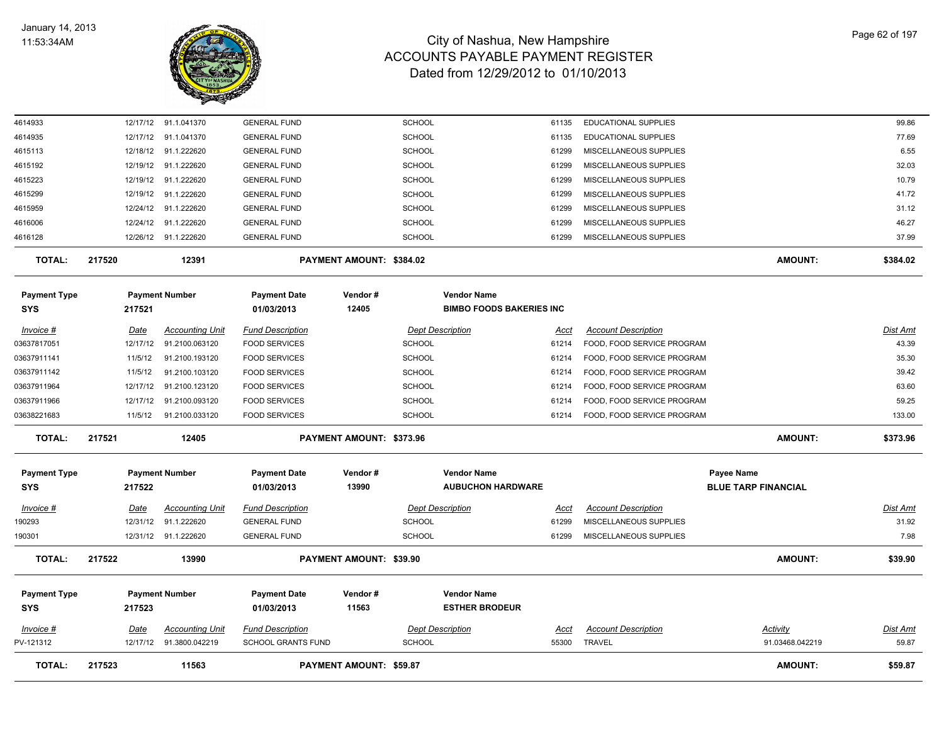

| <b>TOTAL:</b>              | 217523                  | 11563                                    |                                                      | PAYMENT AMOUNT: \$59.87  |                                                |                      |                                                          | <b>AMOUNT:</b>                           | \$59.87                  |
|----------------------------|-------------------------|------------------------------------------|------------------------------------------------------|--------------------------|------------------------------------------------|----------------------|----------------------------------------------------------|------------------------------------------|--------------------------|
| $Invoice$ #<br>PV-121312   | <u>Date</u><br>12/17/12 | <b>Accounting Unit</b><br>91.3800.042219 | <b>Fund Description</b><br><b>SCHOOL GRANTS FUND</b> | <b>SCHOOL</b>            | <b>Dept Description</b>                        | <u>Acct</u><br>55300 | <b>Account Description</b><br><b>TRAVEL</b>              | <u>Activity</u><br>91.03468.042219       | <u>Dist Amt</u><br>59.87 |
| <b>Payment Type</b><br>SYS | 217523                  | <b>Payment Number</b>                    | <b>Payment Date</b><br>01/03/2013                    | Vendor#<br>11563         | <b>Vendor Name</b><br><b>ESTHER BRODEUR</b>    |                      |                                                          |                                          |                          |
| <b>TOTAL:</b>              | 217522                  | 13990                                    |                                                      | PAYMENT AMOUNT: \$39.90  |                                                |                      |                                                          | <b>AMOUNT:</b>                           | \$39.90                  |
| 190301                     |                         | 12/31/12 91.1.222620                     | <b>GENERAL FUND</b>                                  | <b>SCHOOL</b>            |                                                | 61299                | MISCELLANEOUS SUPPLIES                                   |                                          | 7.98                     |
| 190293                     | 12/31/12                | 91.1.222620                              | <b>GENERAL FUND</b>                                  | <b>SCHOOL</b>            |                                                | 61299                | MISCELLANEOUS SUPPLIES                                   |                                          | 31.92                    |
| Invoice #                  | Date                    | <b>Accounting Unit</b>                   | <b>Fund Description</b>                              |                          | <b>Dept Description</b>                        | Acct                 | <b>Account Description</b>                               |                                          | <u>Dist Amt</u>          |
| <b>Payment Type</b><br>SYS | 217522                  | <b>Payment Number</b>                    | <b>Payment Date</b><br>01/03/2013                    | Vendor#<br>13990         | <b>Vendor Name</b><br><b>AUBUCHON HARDWARE</b> |                      |                                                          | Payee Name<br><b>BLUE TARP FINANCIAL</b> |                          |
| <b>TOTAL:</b>              | 217521                  | 12405                                    |                                                      | PAYMENT AMOUNT: \$373.96 |                                                |                      |                                                          | <b>AMOUNT:</b>                           | \$373.96                 |
| 03638221683                | 11/5/12                 | 91.2100.033120                           | <b>FOOD SERVICES</b>                                 | <b>SCHOOL</b>            |                                                | 61214                | FOOD, FOOD SERVICE PROGRAM                               |                                          | 133.00                   |
| 03637911966                | 12/17/12                | 91.2100.093120                           | <b>FOOD SERVICES</b>                                 | <b>SCHOOL</b>            |                                                | 61214                | FOOD, FOOD SERVICE PROGRAM                               |                                          | 59.25                    |
| 03637911964                | 12/17/12                | 91.2100.123120                           | <b>FOOD SERVICES</b>                                 | <b>SCHOOL</b>            |                                                | 61214                | FOOD, FOOD SERVICE PROGRAM                               |                                          | 63.60                    |
| 03637911142                | 11/5/12                 | 91.2100.103120                           | <b>FOOD SERVICES</b>                                 | <b>SCHOOL</b>            |                                                | 61214                | FOOD, FOOD SERVICE PROGRAM                               |                                          | 39.42                    |
| 03637911141                | 11/5/12                 | 91.2100.193120                           | <b>FOOD SERVICES</b>                                 | <b>SCHOOL</b>            |                                                | 61214                | FOOD, FOOD SERVICE PROGRAM                               |                                          | 35.30                    |
| Invoice #<br>03637817051   | Date<br>12/17/12        | <b>Accounting Unit</b><br>91.2100.063120 | <b>Fund Description</b><br><b>FOOD SERVICES</b>      | <b>SCHOOL</b>            | <b>Dept Description</b>                        | Acct<br>61214        | <b>Account Description</b><br>FOOD, FOOD SERVICE PROGRAM |                                          | Dist Amt<br>43.39        |
| SYS                        | 217521                  |                                          | 01/03/2013                                           | 12405                    | <b>BIMBO FOODS BAKERIES INC</b>                |                      |                                                          |                                          |                          |
| <b>Payment Type</b>        |                         | <b>Payment Number</b>                    | <b>Payment Date</b>                                  | Vendor#                  | <b>Vendor Name</b>                             |                      |                                                          |                                          |                          |
| <b>TOTAL:</b>              | 217520                  | 12391                                    |                                                      | PAYMENT AMOUNT: \$384.02 |                                                |                      |                                                          | <b>AMOUNT:</b>                           | \$384.02                 |
| 4616128                    |                         | 12/26/12 91.1.222620                     | <b>GENERAL FUND</b>                                  | <b>SCHOOL</b>            |                                                | 61299                | MISCELLANEOUS SUPPLIES                                   |                                          | 37.99                    |
| 4616006                    | 12/24/12                | 91.1.222620                              | <b>GENERAL FUND</b>                                  | <b>SCHOOL</b>            |                                                | 61299                | MISCELLANEOUS SUPPLIES                                   |                                          | 46.27                    |
| 4615959                    | 12/24/12                | 91.1.222620                              | <b>GENERAL FUND</b>                                  | <b>SCHOOL</b>            |                                                | 61299                | MISCELLANEOUS SUPPLIES                                   |                                          | 31.12                    |
| 4615299                    | 12/19/12                | 91.1.222620                              | <b>GENERAL FUND</b>                                  | <b>SCHOOL</b>            |                                                | 61299                | MISCELLANEOUS SUPPLIES                                   |                                          | 41.72                    |
| 4615223                    | 12/19/12                | 91.1.222620                              | <b>GENERAL FUND</b>                                  | <b>SCHOOL</b>            |                                                | 61299                | MISCELLANEOUS SUPPLIES                                   |                                          | 10.79                    |
| 4615192                    | 12/19/12                | 91.1.222620                              | <b>GENERAL FUND</b>                                  | <b>SCHOOL</b>            |                                                | 61299                | MISCELLANEOUS SUPPLIES                                   |                                          | 32.03                    |
| 4615113                    |                         | 12/18/12 91.1.222620                     | <b>GENERAL FUND</b>                                  | <b>SCHOOL</b>            |                                                | 61299                | MISCELLANEOUS SUPPLIES                                   |                                          | 6.55                     |
| 4614935                    | 12/17/12                | 91.1.041370                              | <b>GENERAL FUND</b>                                  | <b>SCHOOL</b>            |                                                | 61135                | <b>EDUCATIONAL SUPPLIES</b>                              |                                          | 77.69                    |
| 4614933                    |                         | 12/17/12 91.1.041370                     | <b>GENERAL FUND</b>                                  | <b>SCHOOL</b>            |                                                | 61135                | EDUCATIONAL SUPPLIES                                     |                                          | 99.86                    |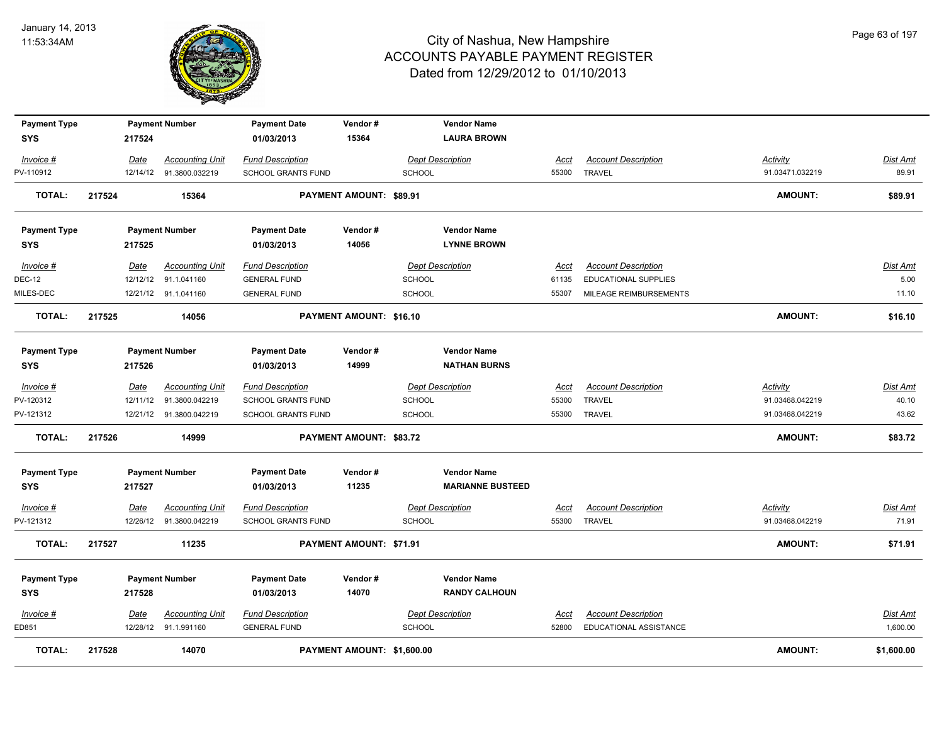

| <b>Payment Type</b>               |        |          | <b>Payment Number</b>   | <b>Payment Date</b>               | Vendor#                        |               | <b>Vendor Name</b>                        |             |                             |                 |                 |
|-----------------------------------|--------|----------|-------------------------|-----------------------------------|--------------------------------|---------------|-------------------------------------------|-------------|-----------------------------|-----------------|-----------------|
| <b>SYS</b>                        |        | 217524   |                         | 01/03/2013                        | 15364                          |               | <b>LAURA BROWN</b>                        |             |                             |                 |                 |
| Invoice #                         |        | Date     | <b>Accounting Unit</b>  | <b>Fund Description</b>           |                                |               | Dept Description                          | Acct        | <b>Account Description</b>  | <b>Activity</b> | <b>Dist Amt</b> |
| PV-110912                         |        | 12/14/12 | 91.3800.032219          | <b>SCHOOL GRANTS FUND</b>         |                                | <b>SCHOOL</b> |                                           | 55300       | <b>TRAVEL</b>               | 91.03471.032219 | 89.91           |
| <b>TOTAL:</b>                     | 217524 |          | 15364                   |                                   | PAYMENT AMOUNT: \$89.91        |               |                                           |             |                             | <b>AMOUNT:</b>  | \$89.91         |
| <b>Payment Type</b>               |        |          | <b>Payment Number</b>   | <b>Payment Date</b>               | Vendor#                        |               | <b>Vendor Name</b>                        |             |                             |                 |                 |
| <b>SYS</b>                        |        | 217525   |                         | 01/03/2013                        | 14056                          |               | <b>LYNNE BROWN</b>                        |             |                             |                 |                 |
| Invoice #                         |        | Date     | <b>Accounting Unit</b>  | <b>Fund Description</b>           |                                |               | <b>Dept Description</b>                   | Acct        | <b>Account Description</b>  |                 | <b>Dist Amt</b> |
| <b>DEC-12</b>                     |        | 12/12/12 | 91.1.041160             | <b>GENERAL FUND</b>               |                                | <b>SCHOOL</b> |                                           | 61135       | <b>EDUCATIONAL SUPPLIES</b> |                 | 5.00            |
| MILES-DEC                         |        |          | 12/21/12 91.1.041160    | <b>GENERAL FUND</b>               |                                | <b>SCHOOL</b> |                                           | 55307       | MILEAGE REIMBURSEMENTS      |                 | 11.10           |
| <b>TOTAL:</b>                     | 217525 |          | 14056                   |                                   | <b>PAYMENT AMOUNT: \$16.10</b> |               |                                           |             |                             | <b>AMOUNT:</b>  | \$16.10         |
| <b>Payment Type</b><br><b>SYS</b> |        | 217526   | <b>Payment Number</b>   | <b>Payment Date</b><br>01/03/2013 | Vendor#<br>14999               |               | <b>Vendor Name</b><br><b>NATHAN BURNS</b> |             |                             |                 |                 |
| Invoice #                         |        | Date     | <b>Accounting Unit</b>  | <b>Fund Description</b>           |                                |               | <b>Dept Description</b>                   | Acct        | <b>Account Description</b>  | Activity        | <u>Dist Amt</u> |
| PV-120312                         |        | 12/11/12 | 91.3800.042219          | SCHOOL GRANTS FUND                |                                | <b>SCHOOL</b> |                                           | 55300       | <b>TRAVEL</b>               | 91.03468.042219 | 40.10           |
| PV-121312                         |        |          | 12/21/12 91.3800.042219 | <b>SCHOOL GRANTS FUND</b>         |                                | <b>SCHOOL</b> |                                           | 55300       | <b>TRAVEL</b>               | 91.03468.042219 | 43.62           |
| <b>TOTAL:</b>                     | 217526 |          | 14999                   |                                   | PAYMENT AMOUNT: \$83.72        |               |                                           |             |                             | <b>AMOUNT:</b>  | \$83.72         |
| <b>Payment Type</b>               |        |          | <b>Payment Number</b>   | <b>Payment Date</b>               | Vendor#                        |               | <b>Vendor Name</b>                        |             |                             |                 |                 |
| <b>SYS</b>                        |        | 217527   |                         | 01/03/2013                        | 11235                          |               | <b>MARIANNE BUSTEED</b>                   |             |                             |                 |                 |
| Invoice #                         |        | Date     | <b>Accounting Unit</b>  | <b>Fund Description</b>           |                                |               | <b>Dept Description</b>                   | <u>Acct</u> | <b>Account Description</b>  | <b>Activity</b> | <u>Dist Amt</u> |
| PV-121312                         |        | 12/26/12 | 91.3800.042219          | <b>SCHOOL GRANTS FUND</b>         |                                | <b>SCHOOL</b> |                                           | 55300       | <b>TRAVEL</b>               | 91.03468.042219 | 71.91           |
| <b>TOTAL:</b>                     | 217527 |          | 11235                   |                                   | PAYMENT AMOUNT: \$71.91        |               |                                           |             |                             | <b>AMOUNT:</b>  | \$71.91         |
| <b>Payment Type</b>               |        |          | <b>Payment Number</b>   | <b>Payment Date</b>               | Vendor#                        |               | <b>Vendor Name</b>                        |             |                             |                 |                 |
| <b>SYS</b>                        |        | 217528   |                         | 01/03/2013                        | 14070                          |               | <b>RANDY CALHOUN</b>                      |             |                             |                 |                 |
| $Invoice$ #                       |        | Date     | <b>Accounting Unit</b>  | <b>Fund Description</b>           |                                |               | <b>Dept Description</b>                   | Acct        | <b>Account Description</b>  |                 | Dist Amt        |
| ED851                             |        |          | 12/28/12 91.1.991160    | <b>GENERAL FUND</b>               |                                | <b>SCHOOL</b> |                                           | 52800       | EDUCATIONAL ASSISTANCE      |                 | 1,600.00        |
| <b>TOTAL:</b>                     | 217528 |          | 14070                   |                                   | PAYMENT AMOUNT: \$1,600.00     |               |                                           |             |                             | <b>AMOUNT:</b>  | \$1,600.00      |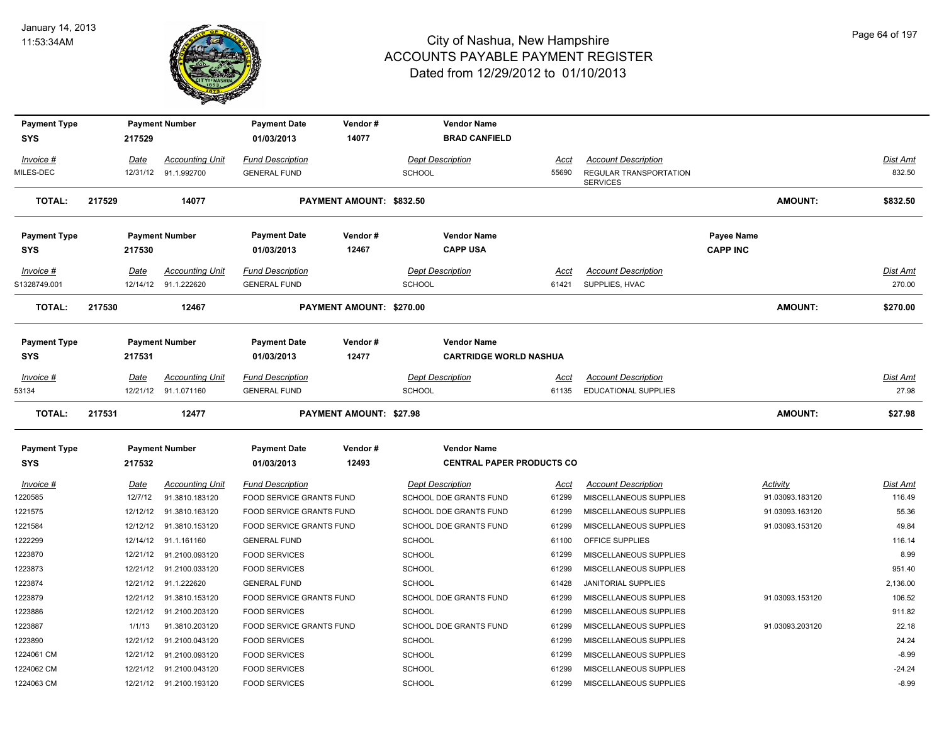

| <b>Payment Type</b> |          | <b>Payment Number</b>   | <b>Payment Date</b>      | Vendor#                        | <b>Vendor Name</b>               |       |                                           |                   |                 |                 |
|---------------------|----------|-------------------------|--------------------------|--------------------------------|----------------------------------|-------|-------------------------------------------|-------------------|-----------------|-----------------|
| <b>SYS</b>          | 217529   |                         | 01/03/2013               | 14077                          | <b>BRAD CANFIELD</b>             |       |                                           |                   |                 |                 |
| Invoice #           | Date     | <b>Accounting Unit</b>  | <b>Fund Description</b>  |                                | <b>Dept Description</b>          | Acct  | <b>Account Description</b>                |                   |                 | Dist Amt        |
| MILES-DEC           | 12/31/12 | 91.1.992700             | <b>GENERAL FUND</b>      |                                | <b>SCHOOL</b>                    | 55690 | REGULAR TRANSPORTATION<br><b>SERVICES</b> |                   |                 | 832.50          |
| TOTAL:              | 217529   | 14077                   |                          | PAYMENT AMOUNT: \$832.50       |                                  |       |                                           |                   | <b>AMOUNT:</b>  | \$832.50        |
| <b>Payment Type</b> |          | <b>Payment Number</b>   | <b>Payment Date</b>      | Vendor#                        | <b>Vendor Name</b>               |       |                                           | <b>Payee Name</b> |                 |                 |
| <b>SYS</b>          | 217530   |                         | 01/03/2013               | 12467                          | <b>CAPP USA</b>                  |       |                                           | <b>CAPP INC</b>   |                 |                 |
| <i>Invoice</i> #    | Date     | <b>Accounting Unit</b>  | <b>Fund Description</b>  |                                | <b>Dept Description</b>          | Acct  | <b>Account Description</b>                |                   |                 | <u>Dist Amt</u> |
| S1328749.001        | 12/14/12 | 91.1.222620             | <b>GENERAL FUND</b>      |                                | <b>SCHOOL</b>                    | 61421 | SUPPLIES, HVAC                            |                   |                 | 270.00          |
| TOTAL:              | 217530   | 12467                   |                          | PAYMENT AMOUNT: \$270.00       |                                  |       |                                           |                   | <b>AMOUNT:</b>  | \$270.00        |
| <b>Payment Type</b> |          | <b>Payment Number</b>   | <b>Payment Date</b>      | Vendor#                        | <b>Vendor Name</b>               |       |                                           |                   |                 |                 |
| <b>SYS</b>          | 217531   |                         | 01/03/2013               | 12477                          | <b>CARTRIDGE WORLD NASHUA</b>    |       |                                           |                   |                 |                 |
| Invoice #           | Date     | <b>Accounting Unit</b>  | <b>Fund Description</b>  |                                | <b>Dept Description</b>          | Acct  | <b>Account Description</b>                |                   |                 | <u>Dist Amt</u> |
| 53134               | 12/21/12 | 91.1.071160             | <b>GENERAL FUND</b>      |                                | <b>SCHOOL</b>                    | 61135 | <b>EDUCATIONAL SUPPLIES</b>               |                   |                 | 27.98           |
| <b>TOTAL:</b>       | 217531   | 12477                   |                          | <b>PAYMENT AMOUNT: \$27.98</b> |                                  |       |                                           |                   | <b>AMOUNT:</b>  | \$27.98         |
| <b>Payment Type</b> |          | <b>Payment Number</b>   | <b>Payment Date</b>      | Vendor#                        | <b>Vendor Name</b>               |       |                                           |                   |                 |                 |
| <b>SYS</b>          | 217532   |                         | 01/03/2013               | 12493                          | <b>CENTRAL PAPER PRODUCTS CO</b> |       |                                           |                   |                 |                 |
| Invoice #           | Date     | <b>Accounting Unit</b>  | <b>Fund Description</b>  |                                | <b>Dept Description</b>          | Acct  | <b>Account Description</b>                | Activity          |                 | Dist Amt        |
| 220585              | 12/7/12  | 91.3810.183120          | FOOD SERVICE GRANTS FUND |                                | SCHOOL DOE GRANTS FUND           | 61299 | MISCELLANEOUS SUPPLIES                    |                   | 91.03093.183120 | 116.49          |
| 1221575             | 12/12/12 | 91.3810.163120          | FOOD SERVICE GRANTS FUND |                                | SCHOOL DOE GRANTS FUND           | 61299 | MISCELLANEOUS SUPPLIES                    |                   | 91.03093.163120 | 55.36           |
| 1221584             | 12/12/12 | 91.3810.153120          | FOOD SERVICE GRANTS FUND |                                | SCHOOL DOE GRANTS FUND           | 61299 | MISCELLANEOUS SUPPLIES                    |                   | 91.03093.153120 | 49.84           |
| 222299              | 12/14/12 | 91.1.161160             | <b>GENERAL FUND</b>      |                                | <b>SCHOOL</b>                    | 61100 | OFFICE SUPPLIES                           |                   |                 | 116.14          |
| 1223870             | 12/21/12 | 91.2100.093120          | <b>FOOD SERVICES</b>     |                                | <b>SCHOOL</b>                    | 61299 | MISCELLANEOUS SUPPLIES                    |                   |                 | 8.99            |
| 1223873             | 12/21/12 | 91.2100.033120          | <b>FOOD SERVICES</b>     |                                | SCHOOL                           | 61299 | MISCELLANEOUS SUPPLIES                    |                   |                 | 951.40          |
| 1223874             | 12/21/12 | 91.1.222620             | <b>GENERAL FUND</b>      |                                | <b>SCHOOL</b>                    | 61428 | <b>JANITORIAL SUPPLIES</b>                |                   |                 | 2,136.00        |
| 1223879             | 12/21/12 | 91.3810.153120          | FOOD SERVICE GRANTS FUND |                                | SCHOOL DOE GRANTS FUND           | 61299 | MISCELLANEOUS SUPPLIES                    |                   | 91.03093.153120 | 106.52          |
| 1223886             | 12/21/12 | 91.2100.203120          | <b>FOOD SERVICES</b>     |                                | <b>SCHOOL</b>                    | 61299 | MISCELLANEOUS SUPPLIES                    |                   |                 | 911.82          |
| 1223887             | 1/1/13   | 91.3810.203120          | FOOD SERVICE GRANTS FUND |                                | SCHOOL DOE GRANTS FUND           | 61299 | MISCELLANEOUS SUPPLIES                    |                   | 91.03093.203120 | 22.18           |
| 1223890             | 12/21/12 | 91.2100.043120          | <b>FOOD SERVICES</b>     |                                | <b>SCHOOL</b>                    | 61299 | MISCELLANEOUS SUPPLIES                    |                   |                 | 24.24           |
| 1224061 CM          | 12/21/12 | 91.2100.093120          | <b>FOOD SERVICES</b>     |                                | <b>SCHOOL</b>                    | 61299 | MISCELLANEOUS SUPPLIES                    |                   |                 | $-8.99$         |
| 1224062 CM          | 12/21/12 | 91.2100.043120          | <b>FOOD SERVICES</b>     |                                | <b>SCHOOL</b>                    | 61299 | MISCELLANEOUS SUPPLIES                    |                   |                 | $-24.24$        |
| 1224063 CM          |          | 12/21/12 91.2100.193120 | <b>FOOD SERVICES</b>     |                                | SCHOOL                           | 61299 | MISCELLANEOUS SUPPLIES                    |                   |                 | $-8.99$         |
|                     |          |                         |                          |                                |                                  |       |                                           |                   |                 |                 |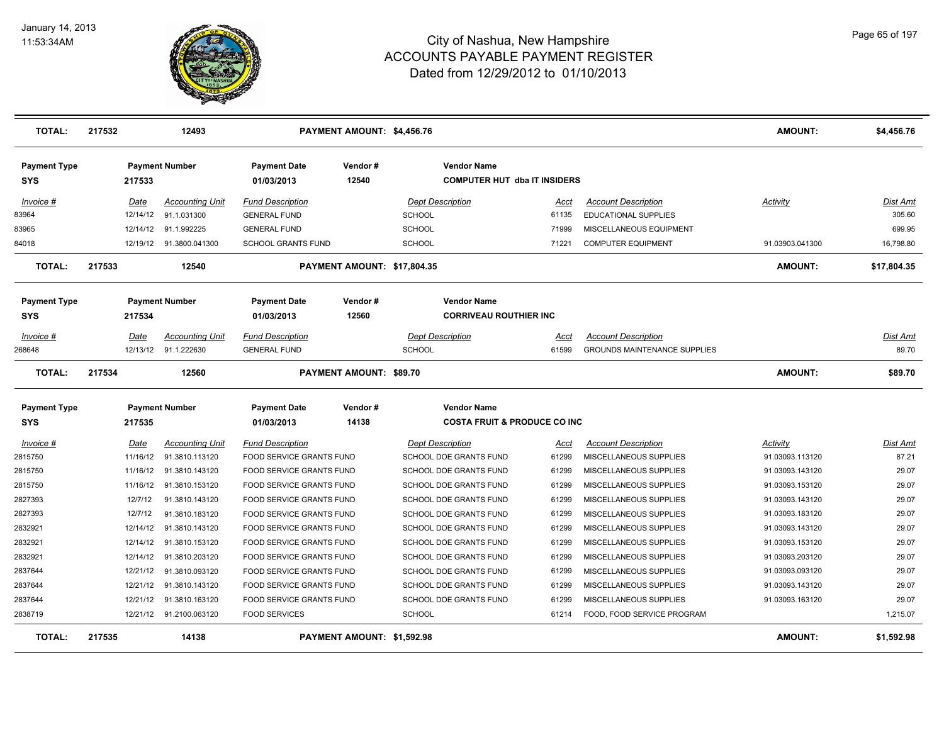

| <b>TOTAL:</b>              | 217532 |             | 12493                    |                                 | PAYMENT AMOUNT: \$4,456.76     |               |                                                           |             |                                     | <b>AMOUNT:</b>  | \$4,456.76      |
|----------------------------|--------|-------------|--------------------------|---------------------------------|--------------------------------|---------------|-----------------------------------------------------------|-------------|-------------------------------------|-----------------|-----------------|
| <b>Payment Type</b><br>SYS |        | 217533      | <b>Payment Number</b>    | Payment Date<br>01/03/2013      | Vendor#<br>12540               |               | <b>Vendor Name</b><br><b>COMPUTER HUT dba IT INSIDERS</b> |             |                                     |                 |                 |
| Invoice #                  |        | Date        | <b>Accounting Unit</b>   | <b>Fund Description</b>         |                                |               | <b>Dept Description</b>                                   | Acct        | <b>Account Description</b>          | Activity        | Dist Amt        |
| 83964                      |        | 12/14/12    | 91.1.031300              | <b>GENERAL FUND</b>             |                                | <b>SCHOOL</b> |                                                           | 61135       | <b>EDUCATIONAL SUPPLIES</b>         |                 | 305.60          |
| 83965                      |        | 12/14/12    | 91.1.992225              | <b>GENERAL FUND</b>             |                                | <b>SCHOOL</b> |                                                           | 71999       | MISCELLANEOUS EQUIPMENT             |                 | 699.95          |
| 84018                      |        |             | 12/19/12  91.3800.041300 | SCHOOL GRANTS FUND              |                                | <b>SCHOOL</b> |                                                           | 71221       | <b>COMPUTER EQUIPMENT</b>           | 91.03903.041300 | 16,798.80       |
| <b>TOTAL:</b>              | 217533 |             | 12540                    |                                 | PAYMENT AMOUNT: \$17,804.35    |               |                                                           |             |                                     | <b>AMOUNT:</b>  | \$17,804.35     |
| <b>Payment Type</b>        |        |             | <b>Payment Number</b>    | <b>Payment Date</b>             | Vendor#                        |               | <b>Vendor Name</b>                                        |             |                                     |                 |                 |
| SYS                        |        | 217534      |                          | 01/03/2013                      | 12560                          |               | <b>CORRIVEAU ROUTHIER INC</b>                             |             |                                     |                 |                 |
| Invoice #                  |        | Date        | <b>Accounting Unit</b>   | <b>Fund Description</b>         |                                |               | <b>Dept Description</b>                                   | Acct        | <b>Account Description</b>          |                 | Dist Amt        |
| 268648                     |        |             | 12/13/12 91.1.222630     | <b>GENERAL FUND</b>             |                                | <b>SCHOOL</b> |                                                           | 61599       | <b>GROUNDS MAINTENANCE SUPPLIES</b> |                 | 89.70           |
| <b>TOTAL:</b>              | 217534 |             | 12560                    |                                 | <b>PAYMENT AMOUNT: \$89.70</b> |               |                                                           |             |                                     | <b>AMOUNT:</b>  | \$89.70         |
| <b>Payment Type</b>        |        |             | <b>Payment Number</b>    | <b>Payment Date</b>             | Vendor#                        |               | <b>Vendor Name</b>                                        |             |                                     |                 |                 |
| <b>SYS</b>                 |        | 217535      |                          | 01/03/2013                      | 14138                          |               | <b>COSTA FRUIT &amp; PRODUCE CO INC</b>                   |             |                                     |                 |                 |
| <b>Invoice #</b>           |        | <u>Date</u> | <b>Accounting Unit</b>   | <b>Fund Description</b>         |                                |               | <b>Dept Description</b>                                   | <u>Acct</u> | <b>Account Description</b>          | <u>Activity</u> | <u>Dist Amt</u> |
| 2815750                    |        | 11/16/12    | 91.3810.113120           | FOOD SERVICE GRANTS FUND        |                                |               | SCHOOL DOE GRANTS FUND                                    | 61299       | MISCELLANEOUS SUPPLIES              | 91.03093.113120 | 87.21           |
| 2815750                    |        | 11/16/12    | 91.3810.143120           | <b>FOOD SERVICE GRANTS FUND</b> |                                |               | <b>SCHOOL DOE GRANTS FUND</b>                             | 61299       | <b>MISCELLANEOUS SUPPLIES</b>       | 91.03093.143120 | 29.07           |
| 2815750                    |        | 11/16/12    | 91.3810.153120           | <b>FOOD SERVICE GRANTS FUND</b> |                                |               | SCHOOL DOE GRANTS FUND                                    | 61299       | MISCELLANEOUS SUPPLIES              | 91.03093.153120 | 29.07           |
| 2827393                    |        | 12/7/12     | 91.3810.143120           | <b>FOOD SERVICE GRANTS FUND</b> |                                |               | <b>SCHOOL DOE GRANTS FUND</b>                             | 61299       | <b>MISCELLANEOUS SUPPLIES</b>       | 91.03093.143120 | 29.07           |
| 2827393                    |        | 12/7/12     | 91.3810.183120           | FOOD SERVICE GRANTS FUND        |                                |               | SCHOOL DOE GRANTS FUND                                    | 61299       | MISCELLANEOUS SUPPLIES              | 91.03093.183120 | 29.07           |
| 2832921                    |        | 12/14/12    | 91.3810.143120           | FOOD SERVICE GRANTS FUND        |                                |               | SCHOOL DOE GRANTS FUND                                    | 61299       | MISCELLANEOUS SUPPLIES              | 91.03093.143120 | 29.07           |
| 2832921                    |        | 12/14/12    | 91.3810.153120           | FOOD SERVICE GRANTS FUND        |                                |               | SCHOOL DOE GRANTS FUND                                    | 61299       | MISCELLANEOUS SUPPLIES              | 91.03093.153120 | 29.07           |
| 2832921                    |        | 12/14/12    | 91.3810.203120           | FOOD SERVICE GRANTS FUND        |                                |               | SCHOOL DOE GRANTS FUND                                    | 61299       | MISCELLANEOUS SUPPLIES              | 91.03093.203120 | 29.07           |
| 2837644                    |        | 12/21/12    | 91.3810.093120           | <b>FOOD SERVICE GRANTS FUND</b> |                                |               | SCHOOL DOE GRANTS FUND                                    | 61299       | MISCELLANEOUS SUPPLIES              | 91.03093.093120 | 29.07           |
| 2837644                    |        | 12/21/12    | 91.3810.143120           | FOOD SERVICE GRANTS FUND        |                                |               | SCHOOL DOE GRANTS FUND                                    | 61299       | MISCELLANEOUS SUPPLIES              | 91.03093.143120 | 29.07           |
| 2837644                    |        | 12/21/12    | 91.3810.163120           | FOOD SERVICE GRANTS FUND        |                                |               | SCHOOL DOE GRANTS FUND                                    | 61299       | MISCELLANEOUS SUPPLIES              | 91.03093.163120 | 29.07           |
| 2838719                    |        |             | 12/21/12 91.2100.063120  | <b>FOOD SERVICES</b>            |                                | <b>SCHOOL</b> |                                                           | 61214       | FOOD, FOOD SERVICE PROGRAM          |                 | 1,215.07        |
| <b>TOTAL:</b>              | 217535 |             | 14138                    |                                 | PAYMENT AMOUNT: \$1,592.98     |               |                                                           |             |                                     | <b>AMOUNT:</b>  | \$1,592.98      |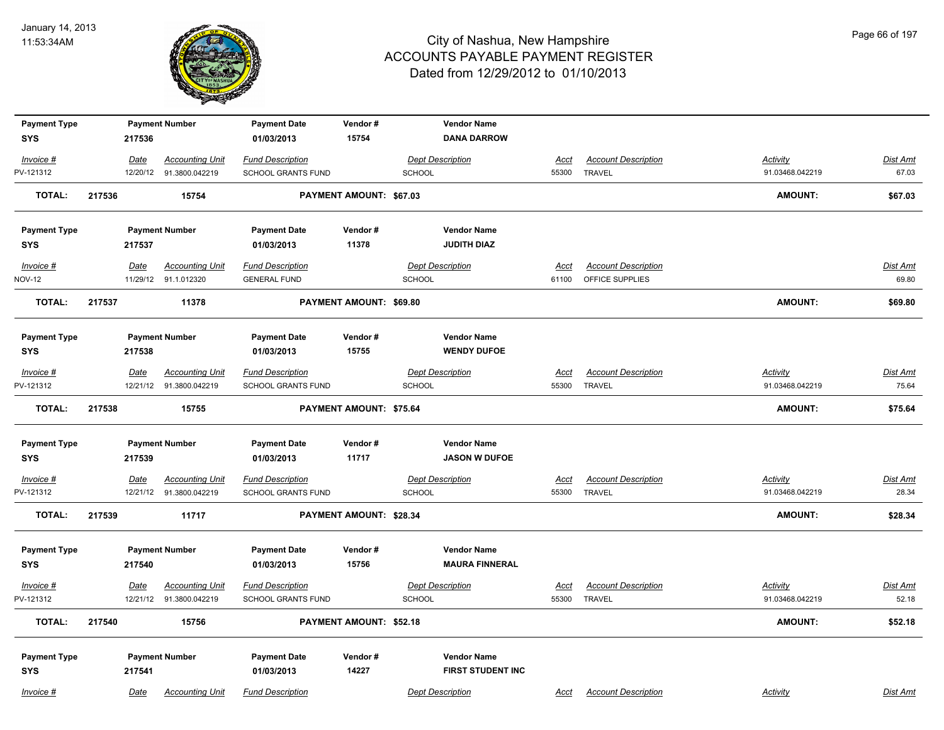

| <b>Payment Type</b>      |             | <b>Payment Number</b>                             | <b>Payment Date</b>                                  | Vendor#                 | <b>Vendor Name</b>                       |                      |                                             |                                    |                          |
|--------------------------|-------------|---------------------------------------------------|------------------------------------------------------|-------------------------|------------------------------------------|----------------------|---------------------------------------------|------------------------------------|--------------------------|
| <b>SYS</b>               | 217536      |                                                   | 01/03/2013                                           | 15754                   | <b>DANA DARROW</b>                       |                      |                                             |                                    |                          |
| Invoice #                | Date        | <b>Accounting Unit</b>                            | <b>Fund Description</b>                              |                         | <b>Dept Description</b>                  | <b>Acct</b>          | <b>Account Description</b>                  | <b>Activity</b>                    | <b>Dist Amt</b>          |
| PV-121312                |             | 12/20/12 91.3800.042219                           | SCHOOL GRANTS FUND                                   |                         | <b>SCHOOL</b>                            | 55300                | <b>TRAVEL</b>                               | 91.03468.042219                    | 67.03                    |
| <b>TOTAL:</b>            | 217536      | 15754                                             |                                                      | PAYMENT AMOUNT: \$67.03 |                                          |                      |                                             | <b>AMOUNT:</b>                     | \$67.03                  |
| <b>Payment Type</b>      |             | <b>Payment Number</b>                             | <b>Payment Date</b>                                  | Vendor#                 | <b>Vendor Name</b>                       |                      |                                             |                                    |                          |
| <b>SYS</b>               | 217537      |                                                   | 01/03/2013                                           | 11378                   | <b>JUDITH DIAZ</b>                       |                      |                                             |                                    |                          |
| Invoice #                | Date        | <b>Accounting Unit</b>                            | <b>Fund Description</b>                              |                         | <b>Dept Description</b>                  | <u>Acct</u>          | <b>Account Description</b>                  |                                    | <b>Dist Amt</b>          |
| <b>NOV-12</b>            |             | 11/29/12 91.1.012320                              | <b>GENERAL FUND</b>                                  |                         | <b>SCHOOL</b>                            | 61100                | OFFICE SUPPLIES                             |                                    | 69.80                    |
| <b>TOTAL:</b>            | 217537      | 11378                                             |                                                      | PAYMENT AMOUNT: \$69.80 |                                          |                      |                                             | AMOUNT:                            | \$69.80                  |
| <b>Payment Type</b>      |             | <b>Payment Number</b>                             | <b>Payment Date</b>                                  | Vendor#                 | <b>Vendor Name</b>                       |                      |                                             |                                    |                          |
| <b>SYS</b>               | 217538      |                                                   | 01/03/2013                                           | 15755                   | <b>WENDY DUFOE</b>                       |                      |                                             |                                    |                          |
| $Invoice$ #<br>PV-121312 | Date        | <b>Accounting Unit</b><br>12/21/12 91.3800.042219 | <b>Fund Description</b><br><b>SCHOOL GRANTS FUND</b> |                         | <b>Dept Description</b><br><b>SCHOOL</b> | <b>Acct</b><br>55300 | <b>Account Description</b><br><b>TRAVEL</b> | <b>Activity</b><br>91.03468.042219 | <b>Dist Amt</b><br>75.64 |
| TOTAL:                   | 217538      | 15755                                             |                                                      | PAYMENT AMOUNT: \$75.64 |                                          |                      |                                             | <b>AMOUNT:</b>                     | \$75.64                  |
| <b>Payment Type</b>      |             | <b>Payment Number</b>                             | <b>Payment Date</b>                                  | Vendor#                 | <b>Vendor Name</b>                       |                      |                                             |                                    |                          |
| <b>SYS</b>               | 217539      |                                                   | 01/03/2013                                           | 11717                   | <b>JASON W DUFOE</b>                     |                      |                                             |                                    |                          |
| $Invoice$ #              | <u>Date</u> | <b>Accounting Unit</b>                            | <b>Fund Description</b>                              |                         | <b>Dept Description</b>                  | <u>Acct</u>          | <b>Account Description</b>                  | <b>Activity</b>                    | Dist Amt                 |
| PV-121312                | 12/21/12    | 91.3800.042219                                    | SCHOOL GRANTS FUND                                   |                         | <b>SCHOOL</b>                            | 55300                | <b>TRAVEL</b>                               | 91.03468.042219                    | 28.34                    |
| <b>TOTAL:</b>            | 217539      | 11717                                             |                                                      | PAYMENT AMOUNT: \$28.34 |                                          |                      |                                             | AMOUNT:                            | \$28.34                  |
| <b>Payment Type</b>      |             | <b>Payment Number</b>                             | <b>Payment Date</b>                                  | Vendor#                 | <b>Vendor Name</b>                       |                      |                                             |                                    |                          |
| <b>SYS</b>               | 217540      |                                                   | 01/03/2013                                           | 15756                   | <b>MAURA FINNERAL</b>                    |                      |                                             |                                    |                          |
| $Invoice$ #              | Date        | <b>Accounting Unit</b>                            | <b>Fund Description</b>                              |                         | <b>Dept Description</b>                  | <u>Acct</u>          | <b>Account Description</b>                  | Activity                           | Dist Amt                 |
| PV-121312                |             | 12/21/12  91.3800.042219                          | SCHOOL GRANTS FUND                                   |                         | <b>SCHOOL</b>                            |                      | 55300 TRAVEL                                | 91.03468.042219                    | 52.18                    |
| <b>TOTAL:</b>            | 217540      | 15756                                             |                                                      | PAYMENT AMOUNT: \$52.18 |                                          |                      |                                             | <b>AMOUNT:</b>                     | \$52.18                  |
| <b>Payment Type</b>      |             | <b>Payment Number</b>                             | <b>Payment Date</b>                                  | Vendor#                 | <b>Vendor Name</b>                       |                      |                                             |                                    |                          |
| <b>SYS</b>               | 217541      |                                                   | 01/03/2013                                           | 14227                   | FIRST STUDENT INC                        |                      |                                             |                                    |                          |
| $Invoice$ #              | <u>Date</u> | <b>Accounting Unit</b>                            | <b>Fund Description</b>                              |                         | <b>Dept Description</b>                  | Acct                 | <b>Account Description</b>                  | Activity                           | <b>Dist Amt</b>          |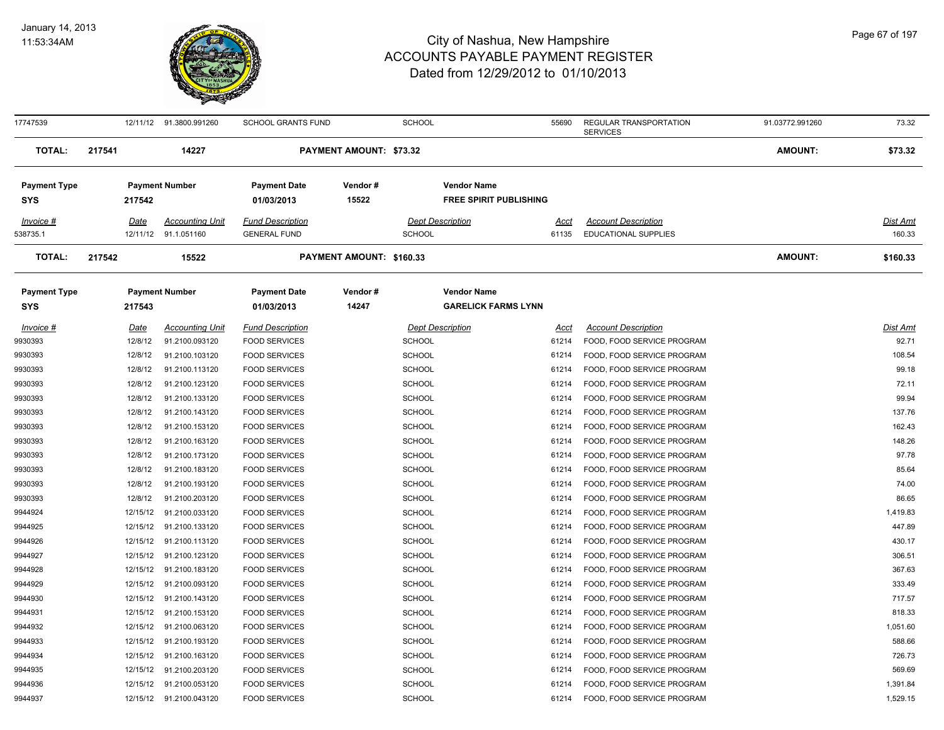

| 17747539                          |        |             | 12/11/12  91.3800.991260 | <b>SCHOOL GRANTS FUND</b>         |                          | SCHOOL                  |                                                     | 55690       | REGULAR TRANSPORTATION<br><b>SERVICES</b> | 91.03772.991260 | 73.32           |
|-----------------------------------|--------|-------------|--------------------------|-----------------------------------|--------------------------|-------------------------|-----------------------------------------------------|-------------|-------------------------------------------|-----------------|-----------------|
| <b>TOTAL:</b>                     | 217541 |             | 14227                    |                                   | PAYMENT AMOUNT: \$73.32  |                         |                                                     |             |                                           | <b>AMOUNT:</b>  | \$73.32         |
| <b>Payment Type</b><br><b>SYS</b> |        | 217542      | <b>Payment Number</b>    | <b>Payment Date</b><br>01/03/2013 | Vendor#<br>15522         |                         | <b>Vendor Name</b><br><b>FREE SPIRIT PUBLISHING</b> |             |                                           |                 |                 |
|                                   |        |             |                          |                                   |                          |                         |                                                     |             |                                           |                 |                 |
| Invoice #                         |        | Date        | <b>Accounting Unit</b>   | <b>Fund Description</b>           |                          | <b>Dept Description</b> |                                                     | <u>Acct</u> | <b>Account Description</b>                |                 | Dist Amt        |
| 538735.1                          |        |             | 12/11/12 91.1.051160     | <b>GENERAL FUND</b>               |                          | <b>SCHOOL</b>           |                                                     | 61135       | <b>EDUCATIONAL SUPPLIES</b>               |                 | 160.33          |
| <b>TOTAL:</b>                     | 217542 |             | 15522                    |                                   | PAYMENT AMOUNT: \$160.33 |                         |                                                     |             |                                           | <b>AMOUNT:</b>  | \$160.33        |
| <b>Payment Type</b>               |        |             | <b>Payment Number</b>    | <b>Payment Date</b>               | Vendor#                  |                         | <b>Vendor Name</b>                                  |             |                                           |                 |                 |
| SYS                               |        | 217543      |                          | 01/03/2013                        | 14247                    |                         | <b>GARELICK FARMS LYNN</b>                          |             |                                           |                 |                 |
| $Invoice$ #                       |        | <u>Date</u> | <b>Accounting Unit</b>   | <b>Fund Description</b>           |                          | <b>Dept Description</b> |                                                     | <u>Acct</u> | <b>Account Description</b>                |                 | <b>Dist Amt</b> |
| 9930393                           |        | 12/8/12     | 91.2100.093120           | <b>FOOD SERVICES</b>              |                          | <b>SCHOOL</b>           |                                                     | 61214       | FOOD, FOOD SERVICE PROGRAM                |                 | 92.71           |
| 9930393                           |        | 12/8/12     | 91.2100.103120           | <b>FOOD SERVICES</b>              |                          | <b>SCHOOL</b>           |                                                     | 61214       | FOOD, FOOD SERVICE PROGRAM                |                 | 108.54          |
| 9930393                           |        | 12/8/12     | 91.2100.113120           | <b>FOOD SERVICES</b>              |                          | <b>SCHOOL</b>           |                                                     | 61214       | FOOD, FOOD SERVICE PROGRAM                |                 | 99.18           |
| 9930393                           |        | 12/8/12     | 91.2100.123120           | <b>FOOD SERVICES</b>              |                          | <b>SCHOOL</b>           |                                                     | 61214       | FOOD, FOOD SERVICE PROGRAM                |                 | 72.11           |
| 9930393                           |        | 12/8/12     | 91.2100.133120           | <b>FOOD SERVICES</b>              |                          | <b>SCHOOL</b>           |                                                     | 61214       | FOOD, FOOD SERVICE PROGRAM                |                 | 99.94           |
| 9930393                           |        | 12/8/12     | 91.2100.143120           | <b>FOOD SERVICES</b>              |                          | <b>SCHOOL</b>           |                                                     | 61214       | FOOD, FOOD SERVICE PROGRAM                |                 | 137.76          |
| 9930393                           |        | 12/8/12     | 91.2100.153120           | <b>FOOD SERVICES</b>              |                          | <b>SCHOOL</b>           |                                                     | 61214       | FOOD, FOOD SERVICE PROGRAM                |                 | 162.43          |
| 9930393                           |        | 12/8/12     | 91.2100.163120           | <b>FOOD SERVICES</b>              |                          | <b>SCHOOL</b>           |                                                     | 61214       | FOOD, FOOD SERVICE PROGRAM                |                 | 148.26          |
| 9930393                           |        | 12/8/12     | 91.2100.173120           | <b>FOOD SERVICES</b>              |                          | <b>SCHOOL</b>           |                                                     | 61214       | FOOD, FOOD SERVICE PROGRAM                |                 | 97.78           |
| 9930393                           |        | 12/8/12     | 91.2100.183120           | <b>FOOD SERVICES</b>              |                          | <b>SCHOOL</b>           |                                                     | 61214       | FOOD, FOOD SERVICE PROGRAM                |                 | 85.64           |
| 9930393                           |        | 12/8/12     | 91.2100.193120           | <b>FOOD SERVICES</b>              |                          | <b>SCHOOL</b>           |                                                     | 61214       | FOOD, FOOD SERVICE PROGRAM                |                 | 74.00           |
| 9930393                           |        | 12/8/12     | 91.2100.203120           | <b>FOOD SERVICES</b>              |                          | <b>SCHOOL</b>           |                                                     | 61214       | FOOD, FOOD SERVICE PROGRAM                |                 | 86.65           |
| 9944924                           |        | 12/15/12    | 91.2100.033120           | <b>FOOD SERVICES</b>              |                          | <b>SCHOOL</b>           |                                                     | 61214       | FOOD, FOOD SERVICE PROGRAM                |                 | 1,419.83        |
| 9944925                           |        | 12/15/12    | 91.2100.133120           | <b>FOOD SERVICES</b>              |                          | <b>SCHOOL</b>           |                                                     | 61214       | FOOD, FOOD SERVICE PROGRAM                |                 | 447.89          |
| 9944926                           |        | 12/15/12    | 91.2100.113120           | <b>FOOD SERVICES</b>              |                          | <b>SCHOOL</b>           |                                                     | 61214       | FOOD, FOOD SERVICE PROGRAM                |                 | 430.17          |
| 9944927                           |        | 12/15/12    | 91.2100.123120           | <b>FOOD SERVICES</b>              |                          | <b>SCHOOL</b>           |                                                     | 61214       | FOOD, FOOD SERVICE PROGRAM                |                 | 306.51          |
| 9944928                           |        | 12/15/12    | 91.2100.183120           | <b>FOOD SERVICES</b>              |                          | <b>SCHOOL</b>           |                                                     | 61214       | FOOD, FOOD SERVICE PROGRAM                |                 | 367.63          |
| 9944929                           |        | 12/15/12    | 91.2100.093120           | <b>FOOD SERVICES</b>              |                          | <b>SCHOOL</b>           |                                                     | 61214       | FOOD, FOOD SERVICE PROGRAM                |                 | 333.49          |
| 9944930                           |        | 12/15/12    | 91.2100.143120           | <b>FOOD SERVICES</b>              |                          | <b>SCHOOL</b>           |                                                     | 61214       | FOOD, FOOD SERVICE PROGRAM                |                 | 717.57          |
| 9944931                           |        |             | 12/15/12 91.2100.153120  | <b>FOOD SERVICES</b>              |                          | <b>SCHOOL</b>           |                                                     | 61214       | FOOD, FOOD SERVICE PROGRAM                |                 | 818.33          |
| 9944932                           |        |             | 12/15/12 91.2100.063120  | <b>FOOD SERVICES</b>              |                          | <b>SCHOOL</b>           |                                                     | 61214       | FOOD, FOOD SERVICE PROGRAM                |                 | 1,051.60        |
| 9944933                           |        |             | 12/15/12 91.2100.193120  | <b>FOOD SERVICES</b>              |                          | <b>SCHOOL</b>           |                                                     | 61214       | FOOD, FOOD SERVICE PROGRAM                |                 | 588.66          |
| 9944934                           |        | 12/15/12    | 91.2100.163120           | <b>FOOD SERVICES</b>              |                          | <b>SCHOOL</b>           |                                                     | 61214       | FOOD, FOOD SERVICE PROGRAM                |                 | 726.73          |
| 9944935                           |        | 12/15/12    | 91.2100.203120           | <b>FOOD SERVICES</b>              |                          | <b>SCHOOL</b>           |                                                     | 61214       | FOOD, FOOD SERVICE PROGRAM                |                 | 569.69          |
| 9944936                           |        |             | 12/15/12 91.2100.053120  | <b>FOOD SERVICES</b>              |                          | <b>SCHOOL</b>           |                                                     | 61214       | FOOD, FOOD SERVICE PROGRAM                |                 | 1,391.84        |
| 9944937                           |        |             | 12/15/12 91.2100.043120  | <b>FOOD SERVICES</b>              |                          | SCHOOL                  |                                                     | 61214       | FOOD, FOOD SERVICE PROGRAM                |                 | 1,529.15        |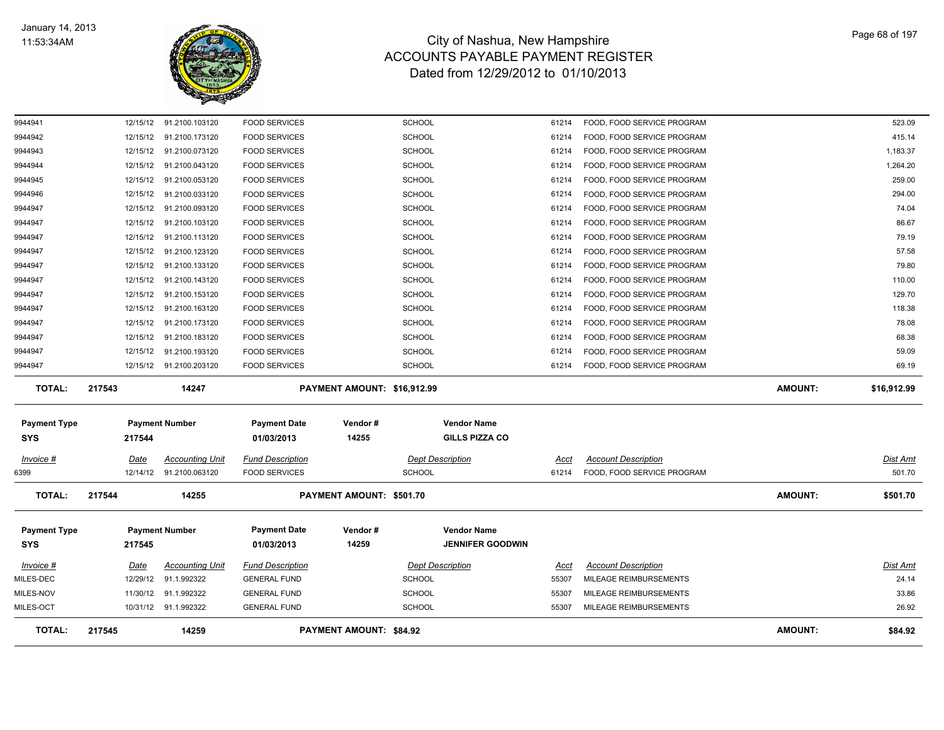

| TOTAL:                            | 217545               | 14259                            |                                              | <b>PAYMENT AMOUNT: \$84.92</b> |                                |                                             |                |                                                          | <b>AMOUNT:</b> | \$84.92         |
|-----------------------------------|----------------------|----------------------------------|----------------------------------------------|--------------------------------|--------------------------------|---------------------------------------------|----------------|----------------------------------------------------------|----------------|-----------------|
| MILES-OCT                         |                      | 10/31/12 91.1.992322             | <b>GENERAL FUND</b>                          |                                | <b>SCHOOL</b>                  |                                             | 55307          | MILEAGE REIMBURSEMENTS                                   |                | 26.92           |
| MILES-NOV                         | 11/30/12             | 91.1.992322                      | <b>GENERAL FUND</b>                          |                                | <b>SCHOOL</b>                  |                                             | 55307          | MILEAGE REIMBURSEMENTS                                   |                | 33.86           |
| MILES-DEC                         | 12/29/12             | 91.1.992322                      | <b>GENERAL FUND</b>                          |                                | <b>SCHOOL</b>                  |                                             | 55307          | MILEAGE REIMBURSEMENTS                                   |                | 24.14           |
| Invoice #                         | Date                 | <b>Accounting Unit</b>           | <b>Fund Description</b>                      |                                | <b>Dept Description</b>        |                                             | Acct           | <b>Account Description</b>                               |                | Dist Amt        |
| <b>SYS</b>                        | 217545               |                                  | 01/03/2013                                   | 14259                          |                                | <b>JENNIFER GOODWIN</b>                     |                |                                                          |                |                 |
| <b>Payment Type</b>               |                      | <b>Payment Number</b>            | <b>Payment Date</b>                          | Vendor#                        |                                | <b>Vendor Name</b>                          |                |                                                          |                |                 |
| <b>TOTAL:</b>                     | 217544               | 14255                            |                                              | PAYMENT AMOUNT: \$501.70       |                                |                                             |                |                                                          | <b>AMOUNT:</b> | \$501.70        |
| 6399                              | 12/14/12             | 91.2100.063120                   | <b>FOOD SERVICES</b>                         |                                | <b>SCHOOL</b>                  |                                             | 61214          | FOOD, FOOD SERVICE PROGRAM                               |                | 501.70          |
| Invoice #                         | Date                 | <b>Accounting Unit</b>           | <b>Fund Description</b>                      |                                | <b>Dept Description</b>        |                                             | <u>Acct</u>    | <b>Account Description</b>                               |                | <u>Dist Amt</u> |
| <b>Payment Type</b><br><b>SYS</b> | 217544               | <b>Payment Number</b>            | <b>Payment Date</b><br>01/03/2013            | Vendor#<br>14255               |                                | <b>Vendor Name</b><br><b>GILLS PIZZA CO</b> |                |                                                          |                |                 |
|                                   |                      |                                  |                                              |                                |                                |                                             |                |                                                          |                |                 |
| TOTAL:                            | 217543               | 14247                            |                                              | PAYMENT AMOUNT: \$16,912.99    |                                |                                             |                |                                                          | <b>AMOUNT:</b> | \$16,912.99     |
| 9944947                           |                      | 12/15/12 91.2100.203120          | <b>FOOD SERVICES</b>                         |                                | <b>SCHOOL</b>                  |                                             | 61214          | FOOD, FOOD SERVICE PROGRAM                               |                | 69.19           |
| 9944947                           | 12/15/12             | 91.2100.193120                   | <b>FOOD SERVICES</b>                         |                                | <b>SCHOOL</b>                  |                                             | 61214          | FOOD, FOOD SERVICE PROGRAM                               |                | 59.09           |
| 9944947                           |                      | 12/15/12 91.2100.183120          | <b>FOOD SERVICES</b>                         |                                | <b>SCHOOL</b>                  |                                             | 61214          | FOOD, FOOD SERVICE PROGRAM                               |                | 68.38           |
| 9944947<br>9944947                | 12/15/12<br>12/15/12 | 91.2100.163120<br>91.2100.173120 | <b>FOOD SERVICES</b><br><b>FOOD SERVICES</b> |                                | <b>SCHOOL</b><br><b>SCHOOL</b> |                                             | 61214<br>61214 | FOOD, FOOD SERVICE PROGRAM<br>FOOD, FOOD SERVICE PROGRAM |                | 118.38<br>78.08 |
| 9944947                           |                      | 12/15/12 91.2100.153120          | <b>FOOD SERVICES</b>                         |                                | <b>SCHOOL</b>                  |                                             | 61214          | FOOD, FOOD SERVICE PROGRAM                               |                | 129.70          |
| 9944947                           |                      | 12/15/12 91.2100.143120          | <b>FOOD SERVICES</b>                         |                                | <b>SCHOOL</b>                  |                                             | 61214          | FOOD, FOOD SERVICE PROGRAM                               |                | 110.00          |
| 9944947                           |                      | 12/15/12 91.2100.133120          | <b>FOOD SERVICES</b>                         |                                | <b>SCHOOL</b>                  |                                             | 61214          | FOOD, FOOD SERVICE PROGRAM                               |                | 79.80           |
| 9944947                           |                      | 12/15/12 91.2100.123120          | <b>FOOD SERVICES</b>                         |                                | <b>SCHOOL</b>                  |                                             | 61214          | FOOD, FOOD SERVICE PROGRAM                               |                | 57.58           |
| 9944947                           |                      | 12/15/12 91.2100.113120          | <b>FOOD SERVICES</b>                         |                                | <b>SCHOOL</b>                  |                                             | 61214          | FOOD, FOOD SERVICE PROGRAM                               |                | 79.19           |
| 9944947                           |                      | 12/15/12 91.2100.103120          | <b>FOOD SERVICES</b>                         |                                | <b>SCHOOL</b>                  |                                             | 61214          | FOOD, FOOD SERVICE PROGRAM                               |                | 86.67           |
| 9944947                           |                      | 12/15/12 91.2100.093120          | <b>FOOD SERVICES</b>                         |                                | <b>SCHOOL</b>                  |                                             | 61214          | FOOD, FOOD SERVICE PROGRAM                               |                | 74.04           |
| 9944946                           |                      | 12/15/12 91.2100.033120          | <b>FOOD SERVICES</b>                         |                                | SCHOOL                         |                                             | 61214          | FOOD, FOOD SERVICE PROGRAM                               |                | 294.00          |
| 9944945                           |                      | 12/15/12 91.2100.053120          | <b>FOOD SERVICES</b>                         |                                | <b>SCHOOL</b>                  |                                             | 61214          | FOOD, FOOD SERVICE PROGRAM                               |                | 259.00          |
| 9944944                           |                      | 12/15/12 91.2100.043120          | <b>FOOD SERVICES</b>                         |                                | <b>SCHOOL</b>                  |                                             | 61214          | FOOD, FOOD SERVICE PROGRAM                               |                | 1,264.20        |
| 9944943                           |                      | 12/15/12 91.2100.073120          | <b>FOOD SERVICES</b>                         |                                | <b>SCHOOL</b>                  |                                             | 61214          | FOOD, FOOD SERVICE PROGRAM                               |                | 1,183.37        |
| 9944942                           | 12/15/12             | 91.2100.173120                   | <b>FOOD SERVICES</b>                         |                                | <b>SCHOOL</b>                  |                                             | 61214          | FOOD, FOOD SERVICE PROGRAM                               |                | 415.14          |
| 9944941                           | 12/15/12             | 91.2100.103120                   | <b>FOOD SERVICES</b>                         |                                | <b>SCHOOL</b>                  |                                             | 61214          | FOOD, FOOD SERVICE PROGRAM                               |                | 523.09          |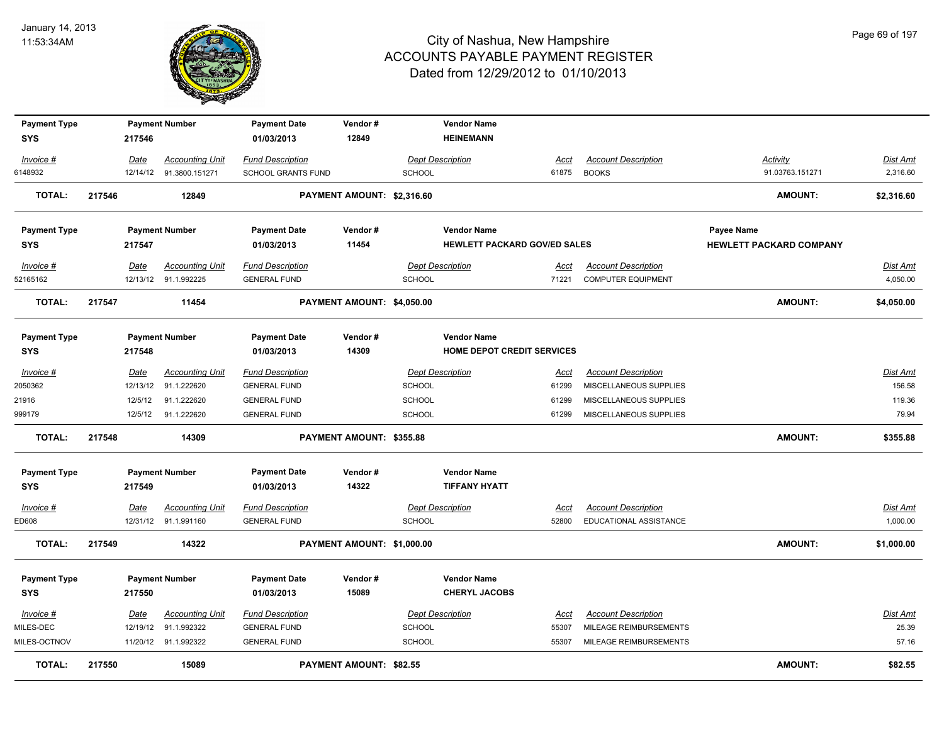

| <b>Payment Type</b>   |             | <b>Payment Number</b>                          | <b>Payment Date</b>                            | Vendor#                    |               | <b>Vendor Name</b>                  |               |                                                  |                                |                      |
|-----------------------|-------------|------------------------------------------------|------------------------------------------------|----------------------------|---------------|-------------------------------------|---------------|--------------------------------------------------|--------------------------------|----------------------|
| <b>SYS</b>            | 217546      |                                                | 01/03/2013                                     | 12849                      |               | <b>HEINEMANN</b>                    |               |                                                  |                                |                      |
| Invoice #             | Date        | <b>Accounting Unit</b>                         | <b>Fund Description</b>                        |                            |               | <b>Dept Description</b>             | Acct          | <b>Account Description</b>                       | <b>Activity</b>                | Dist Amt             |
| 6148932               |             | 12/14/12 91.3800.151271                        | <b>SCHOOL GRANTS FUND</b>                      |                            | <b>SCHOOL</b> |                                     | 61875         | <b>BOOKS</b>                                     | 91.03763.151271                | 2,316.60             |
| <b>TOTAL:</b>         | 217546      | 12849                                          |                                                | PAYMENT AMOUNT: \$2,316.60 |               |                                     |               |                                                  | <b>AMOUNT:</b>                 | \$2,316.60           |
| <b>Payment Type</b>   |             | <b>Payment Number</b>                          | <b>Payment Date</b>                            | Vendor#                    |               | <b>Vendor Name</b>                  |               |                                                  | Payee Name                     |                      |
| <b>SYS</b>            | 217547      |                                                | 01/03/2013                                     | 11454                      |               | <b>HEWLETT PACKARD GOV/ED SALES</b> |               |                                                  | <b>HEWLETT PACKARD COMPANY</b> |                      |
| Invoice #<br>52165162 | Date        | <b>Accounting Unit</b><br>12/13/12 91.1.992225 | <b>Fund Description</b><br><b>GENERAL FUND</b> |                            | <b>SCHOOL</b> | <b>Dept Description</b>             | Acct<br>71221 | <b>Account Description</b><br>COMPUTER EQUIPMENT |                                | Dist Amt<br>4,050.00 |
| <b>TOTAL:</b>         | 217547      | 11454                                          |                                                | PAYMENT AMOUNT: \$4,050.00 |               |                                     |               |                                                  | <b>AMOUNT:</b>                 | \$4,050.00           |
| <b>Payment Type</b>   |             | <b>Payment Number</b>                          | <b>Payment Date</b>                            | Vendor#                    |               | <b>Vendor Name</b>                  |               |                                                  |                                |                      |
| <b>SYS</b>            | 217548      |                                                | 01/03/2013                                     | 14309                      |               | <b>HOME DEPOT CREDIT SERVICES</b>   |               |                                                  |                                |                      |
| Invoice #             | Date        | <b>Accounting Unit</b>                         | <b>Fund Description</b>                        |                            |               | <b>Dept Description</b>             | Acct          | <b>Account Description</b>                       |                                | Dist Amt             |
| 2050362               |             | 12/13/12 91.1.222620                           | <b>GENERAL FUND</b>                            |                            | SCHOOL        |                                     | 61299         | MISCELLANEOUS SUPPLIES                           |                                | 156.58               |
| 21916                 | 12/5/12     | 91.1.222620                                    | <b>GENERAL FUND</b>                            |                            | <b>SCHOOL</b> |                                     | 61299         | MISCELLANEOUS SUPPLIES                           |                                | 119.36               |
| 999179                |             | 12/5/12 91.1.222620                            | <b>GENERAL FUND</b>                            |                            | <b>SCHOOL</b> |                                     | 61299         | MISCELLANEOUS SUPPLIES                           |                                | 79.94                |
| TOTAL:                | 217548      | 14309                                          |                                                | PAYMENT AMOUNT: \$355.88   |               |                                     |               |                                                  | <b>AMOUNT:</b>                 | \$355.88             |
| <b>Payment Type</b>   |             | <b>Payment Number</b>                          | <b>Payment Date</b>                            | Vendor#                    |               | <b>Vendor Name</b>                  |               |                                                  |                                |                      |
| <b>SYS</b>            | 217549      |                                                | 01/03/2013                                     | 14322                      |               | <b>TIFFANY HYATT</b>                |               |                                                  |                                |                      |
| $Invoice$ #           | <b>Date</b> | <b>Accounting Unit</b>                         | <b>Fund Description</b>                        |                            |               | <b>Dept Description</b>             | <u>Acct</u>   | <b>Account Description</b>                       |                                | <b>Dist Amt</b>      |
| ED608                 |             | 12/31/12 91.1.991160                           | <b>GENERAL FUND</b>                            |                            | <b>SCHOOL</b> |                                     | 52800         | EDUCATIONAL ASSISTANCE                           |                                | 1,000.00             |
| <b>TOTAL:</b>         | 217549      | 14322                                          |                                                | PAYMENT AMOUNT: \$1,000.00 |               |                                     |               |                                                  | <b>AMOUNT:</b>                 | \$1,000.00           |
| <b>Payment Type</b>   |             | <b>Payment Number</b>                          | <b>Payment Date</b>                            | Vendor#                    |               | <b>Vendor Name</b>                  |               |                                                  |                                |                      |
| <b>SYS</b>            | 217550      |                                                | 01/03/2013                                     | 15089                      |               | <b>CHERYL JACOBS</b>                |               |                                                  |                                |                      |
| Invoice #             | Date        | <b>Accounting Unit</b>                         | <b>Fund Description</b>                        |                            |               | <b>Dept Description</b>             | Acct          | <b>Account Description</b>                       |                                | Dist Amt             |
| MILES-DEC             |             | 12/19/12 91.1.992322                           | <b>GENERAL FUND</b>                            |                            | <b>SCHOOL</b> |                                     | 55307         | MILEAGE REIMBURSEMENTS                           |                                | 25.39                |
| MILES-OCTNOV          |             | 11/20/12 91.1.992322                           | <b>GENERAL FUND</b>                            |                            | <b>SCHOOL</b> |                                     | 55307         | MILEAGE REIMBURSEMENTS                           |                                | 57.16                |
| <b>TOTAL:</b>         | 217550      | 15089                                          |                                                | PAYMENT AMOUNT: \$82.55    |               |                                     |               |                                                  | AMOUNT:                        | \$82.55              |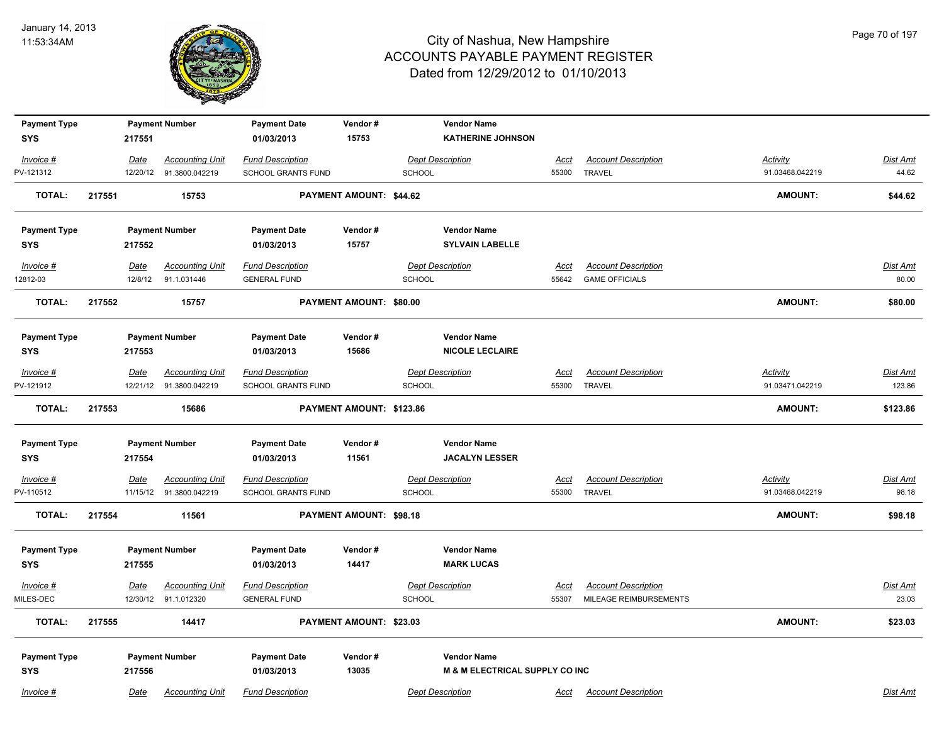

| <b>Payment Type</b>    |             | <b>Payment Number</b>                          | <b>Payment Date</b>                            | Vendor#                  |                                          | <b>Vendor Name</b>             |                      |                                                      |                 |                   |
|------------------------|-------------|------------------------------------------------|------------------------------------------------|--------------------------|------------------------------------------|--------------------------------|----------------------|------------------------------------------------------|-----------------|-------------------|
| <b>SYS</b>             | 217551      |                                                | 01/03/2013                                     | 15753                    |                                          | <b>KATHERINE JOHNSON</b>       |                      |                                                      |                 |                   |
| Invoice #              | Date        | <b>Accounting Unit</b>                         | <b>Fund Description</b>                        |                          | <b>Dept Description</b>                  |                                | Acct                 | <b>Account Description</b>                           | <b>Activity</b> | Dist Amt          |
| PV-121312              |             | 12/20/12 91.3800.042219                        | SCHOOL GRANTS FUND                             |                          | <b>SCHOOL</b>                            |                                | 55300                | <b>TRAVEL</b>                                        | 91.03468.042219 | 44.62             |
| <b>TOTAL:</b>          | 217551      | 15753                                          |                                                | PAYMENT AMOUNT: \$44.62  |                                          |                                |                      |                                                      | <b>AMOUNT:</b>  | \$44.62           |
| <b>Payment Type</b>    |             | <b>Payment Number</b>                          | <b>Payment Date</b>                            | Vendor#                  |                                          | <b>Vendor Name</b>             |                      |                                                      |                 |                   |
| <b>SYS</b>             | 217552      |                                                | 01/03/2013                                     | 15757                    |                                          | <b>SYLVAIN LABELLE</b>         |                      |                                                      |                 |                   |
| Invoice #              | Date        | <b>Accounting Unit</b>                         | <b>Fund Description</b>                        |                          | <b>Dept Description</b>                  |                                | Acct                 | <b>Account Description</b>                           |                 | Dist Amt          |
| 12812-03               | 12/8/12     | 91.1.031446                                    | <b>GENERAL FUND</b>                            |                          | <b>SCHOOL</b>                            |                                | 55642                | <b>GAME OFFICIALS</b>                                |                 | 80.00             |
| <b>TOTAL:</b>          | 217552      | 15757                                          |                                                | PAYMENT AMOUNT: \$80.00  |                                          |                                |                      |                                                      | <b>AMOUNT:</b>  | \$80.00           |
| <b>Payment Type</b>    |             | <b>Payment Number</b>                          | <b>Payment Date</b>                            | Vendor#                  |                                          | <b>Vendor Name</b>             |                      |                                                      |                 |                   |
| <b>SYS</b>             | 217553      |                                                | 01/03/2013                                     | 15686                    |                                          | <b>NICOLE LECLAIRE</b>         |                      |                                                      |                 |                   |
| Invoice #              | Date        | <b>Accounting Unit</b>                         | <b>Fund Description</b>                        |                          | <b>Dept Description</b>                  |                                | <u>Acct</u>          | <b>Account Description</b>                           | <b>Activity</b> | <b>Dist Amt</b>   |
| PV-121912              | 12/21/12    | 91.3800.042219                                 | <b>SCHOOL GRANTS FUND</b>                      |                          | <b>SCHOOL</b>                            |                                | 55300                | <b>TRAVEL</b>                                        | 91.03471.042219 | 123.86            |
| <b>TOTAL:</b>          | 217553      | 15686                                          |                                                | PAYMENT AMOUNT: \$123.86 |                                          |                                |                      |                                                      | <b>AMOUNT:</b>  | \$123.86          |
| <b>Payment Type</b>    |             | <b>Payment Number</b>                          | <b>Payment Date</b>                            | Vendor#                  |                                          | <b>Vendor Name</b>             |                      |                                                      |                 |                   |
| <b>SYS</b>             | 217554      |                                                | 01/03/2013                                     | 11561                    |                                          | <b>JACALYN LESSER</b>          |                      |                                                      |                 |                   |
| <b>Invoice #</b>       | <u>Date</u> | <b>Accounting Unit</b>                         | <b>Fund Description</b>                        |                          | <b>Dept Description</b>                  |                                | <u>Acct</u>          | <b>Account Description</b>                           | <b>Activity</b> | <b>Dist Amt</b>   |
| PV-110512              | 11/15/12    | 91.3800.042219                                 | <b>SCHOOL GRANTS FUND</b>                      |                          | <b>SCHOOL</b>                            |                                | 55300                | <b>TRAVEL</b>                                        | 91.03468.042219 | 98.18             |
| <b>TOTAL:</b>          | 217554      | 11561                                          |                                                | PAYMENT AMOUNT: \$98.18  |                                          |                                |                      |                                                      | <b>AMOUNT:</b>  | \$98.18           |
| <b>Payment Type</b>    |             | <b>Payment Number</b>                          | <b>Payment Date</b>                            | Vendor#                  |                                          | <b>Vendor Name</b>             |                      |                                                      |                 |                   |
| <b>SYS</b>             | 217555      |                                                | 01/03/2013                                     | 14417                    |                                          | <b>MARK LUCAS</b>              |                      |                                                      |                 |                   |
| Invoice #<br>MILES-DEC | Date        | <b>Accounting Unit</b><br>12/30/12 91.1.012320 | <b>Fund Description</b><br><b>GENERAL FUND</b> |                          | <b>Dept Description</b><br><b>SCHOOL</b> |                                | <b>Acct</b><br>55307 | <b>Account Description</b><br>MILEAGE REIMBURSEMENTS |                 | Dist Amt<br>23.03 |
|                        |             |                                                |                                                |                          |                                          |                                |                      |                                                      |                 |                   |
| <b>TOTAL:</b>          | 217555      | 14417                                          |                                                | PAYMENT AMOUNT: \$23.03  |                                          |                                |                      |                                                      | <b>AMOUNT:</b>  | \$23.03           |
| <b>Payment Type</b>    |             | <b>Payment Number</b>                          | <b>Payment Date</b>                            | Vendor#                  |                                          | <b>Vendor Name</b>             |                      |                                                      |                 |                   |
| <b>SYS</b>             | 217556      |                                                | 01/03/2013                                     | 13035                    |                                          | M & M ELECTRICAL SUPPLY CO INC |                      |                                                      |                 |                   |
| Invoice #              | Date        | <b>Accounting Unit</b>                         | <b>Fund Description</b>                        |                          | <b>Dept Description</b>                  |                                | Acct                 | <b>Account Description</b>                           |                 | Dist Amt          |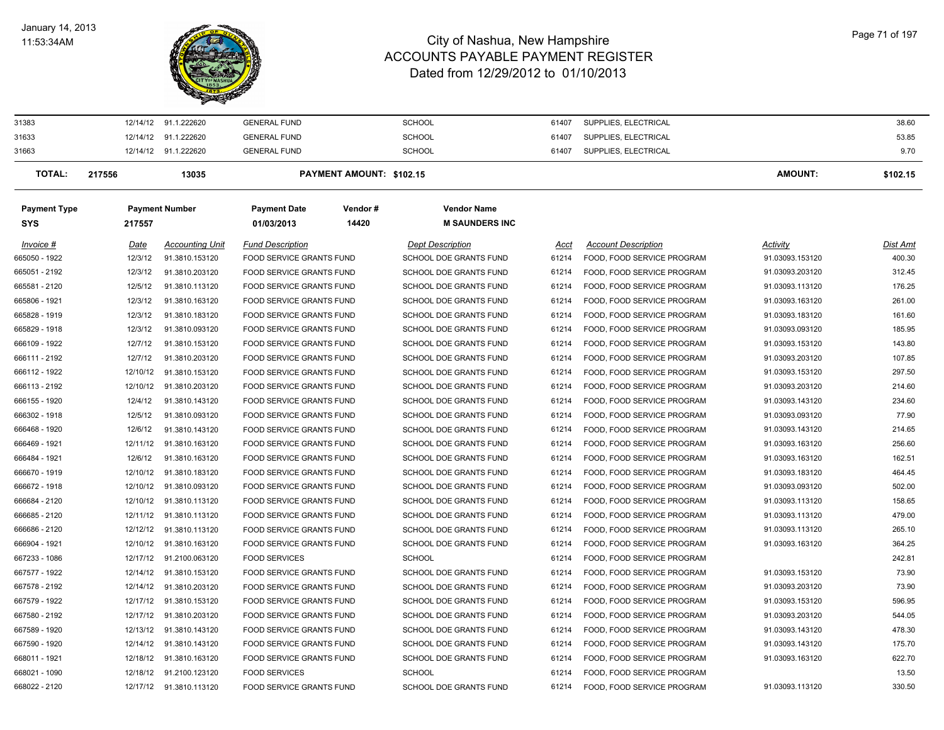#### January 14, 2013 11:53:34AM



| 31383               |          | 12/14/12 91.1.222620    | <b>GENERAL FUND</b>             |                          | <b>SCHOOL</b>                 | 61407 | SUPPLIES, ELECTRICAL       |                 | 38.60    |
|---------------------|----------|-------------------------|---------------------------------|--------------------------|-------------------------------|-------|----------------------------|-----------------|----------|
| 31633               |          | 12/14/12 91.1.222620    | <b>GENERAL FUND</b>             |                          | <b>SCHOOL</b>                 | 61407 | SUPPLIES, ELECTRICAL       |                 | 53.85    |
| 31663               |          | 12/14/12 91.1.222620    | <b>GENERAL FUND</b>             |                          | <b>SCHOOL</b>                 | 61407 | SUPPLIES, ELECTRICAL       |                 | 9.70     |
| <b>TOTAL:</b>       | 217556   | 13035                   |                                 | PAYMENT AMOUNT: \$102.15 |                               |       |                            | <b>AMOUNT:</b>  | \$102.15 |
| <b>Payment Type</b> |          | <b>Payment Number</b>   | <b>Payment Date</b>             | Vendor#                  | <b>Vendor Name</b>            |       |                            |                 |          |
| <b>SYS</b>          | 217557   |                         | 01/03/2013                      | 14420                    | <b>M SAUNDERS INC</b>         |       |                            |                 |          |
| Invoice #           | Date     | <b>Accounting Unit</b>  | <b>Fund Description</b>         |                          | <b>Dept Description</b>       | Acct  | <b>Account Description</b> | Activity        | Dist Amt |
| 665050 - 1922       | 12/3/12  | 91.3810.153120          | FOOD SERVICE GRANTS FUND        |                          | SCHOOL DOE GRANTS FUND        | 61214 | FOOD, FOOD SERVICE PROGRAM | 91.03093.153120 | 400.30   |
| 665051 - 2192       | 12/3/12  | 91.3810.203120          | FOOD SERVICE GRANTS FUND        |                          | SCHOOL DOE GRANTS FUND        | 61214 | FOOD, FOOD SERVICE PROGRAM | 91.03093.203120 | 312.45   |
| 665581 - 2120       | 12/5/12  | 91.3810.113120          | FOOD SERVICE GRANTS FUND        |                          | SCHOOL DOE GRANTS FUND        | 61214 | FOOD, FOOD SERVICE PROGRAM | 91.03093.113120 | 176.25   |
| 665806 - 1921       | 12/3/12  | 91.3810.163120          | FOOD SERVICE GRANTS FUND        |                          | SCHOOL DOE GRANTS FUND        | 61214 | FOOD, FOOD SERVICE PROGRAM | 91.03093.163120 | 261.00   |
| 665828 - 1919       | 12/3/12  | 91.3810.183120          | FOOD SERVICE GRANTS FUND        |                          | SCHOOL DOE GRANTS FUND        | 61214 | FOOD, FOOD SERVICE PROGRAM | 91.03093.183120 | 161.60   |
| 665829 - 1918       | 12/3/12  | 91.3810.093120          | <b>FOOD SERVICE GRANTS FUND</b> |                          | <b>SCHOOL DOE GRANTS FUND</b> | 61214 | FOOD. FOOD SERVICE PROGRAM | 91.03093.093120 | 185.95   |
| 666109 - 1922       | 12/7/12  | 91.3810.153120          | FOOD SERVICE GRANTS FUND        |                          | SCHOOL DOE GRANTS FUND        | 61214 | FOOD, FOOD SERVICE PROGRAM | 91.03093.153120 | 143.80   |
| 666111 - 2192       | 12/7/12  | 91.3810.203120          | FOOD SERVICE GRANTS FUND        |                          | SCHOOL DOE GRANTS FUND        | 61214 | FOOD, FOOD SERVICE PROGRAM | 91.03093.203120 | 107.85   |
| 666112 - 1922       | 12/10/12 | 91.3810.153120          | <b>FOOD SERVICE GRANTS FUND</b> |                          | <b>SCHOOL DOE GRANTS FUND</b> | 61214 | FOOD, FOOD SERVICE PROGRAM | 91.03093.153120 | 297.50   |
| 666113 - 2192       | 12/10/12 | 91.3810.203120          | FOOD SERVICE GRANTS FUND        |                          | SCHOOL DOE GRANTS FUND        | 61214 | FOOD, FOOD SERVICE PROGRAM | 91.03093.203120 | 214.60   |
| 666155 - 1920       | 12/4/12  | 91.3810.143120          | <b>FOOD SERVICE GRANTS FUND</b> |                          | SCHOOL DOE GRANTS FUND        | 61214 | FOOD, FOOD SERVICE PROGRAM | 91.03093.143120 | 234.60   |
| 666302 - 1918       | 12/5/12  | 91.3810.093120          | FOOD SERVICE GRANTS FUND        |                          | SCHOOL DOE GRANTS FUND        | 61214 | FOOD, FOOD SERVICE PROGRAM | 91.03093.093120 | 77.90    |
| 666468 - 1920       | 12/6/12  | 91.3810.143120          | FOOD SERVICE GRANTS FUND        |                          | SCHOOL DOE GRANTS FUND        | 61214 | FOOD, FOOD SERVICE PROGRAM | 91.03093.143120 | 214.65   |
| 666469 - 1921       | 12/11/12 | 91.3810.163120          | <b>FOOD SERVICE GRANTS FUND</b> |                          | SCHOOL DOE GRANTS FUND        | 61214 | FOOD, FOOD SERVICE PROGRAM | 91.03093.163120 | 256.60   |
| 666484 - 1921       | 12/6/12  | 91.3810.163120          | FOOD SERVICE GRANTS FUND        |                          | SCHOOL DOE GRANTS FUND        | 61214 | FOOD, FOOD SERVICE PROGRAM | 91.03093.163120 | 162.51   |
| 666670 - 1919       | 12/10/12 | 91.3810.183120          | FOOD SERVICE GRANTS FUND        |                          | SCHOOL DOE GRANTS FUND        | 61214 | FOOD, FOOD SERVICE PROGRAM | 91.03093.183120 | 464.45   |
| 666672 - 1918       | 12/10/12 | 91.3810.093120          | FOOD SERVICE GRANTS FUND        |                          | SCHOOL DOE GRANTS FUND        | 61214 | FOOD, FOOD SERVICE PROGRAM | 91.03093.093120 | 502.00   |
| 666684 - 2120       | 12/10/12 | 91.3810.113120          | FOOD SERVICE GRANTS FUND        |                          | SCHOOL DOE GRANTS FUND        | 61214 | FOOD, FOOD SERVICE PROGRAM | 91.03093.113120 | 158.65   |
| 666685 - 2120       | 12/11/12 | 91.3810.113120          | FOOD SERVICE GRANTS FUND        |                          | SCHOOL DOE GRANTS FUND        | 61214 | FOOD, FOOD SERVICE PROGRAM | 91.03093.113120 | 479.00   |
| 666686 - 2120       | 12/12/12 | 91.3810.113120          | FOOD SERVICE GRANTS FUND        |                          | SCHOOL DOE GRANTS FUND        | 61214 | FOOD, FOOD SERVICE PROGRAM | 91.03093.113120 | 265.10   |
| 666904 - 1921       | 12/10/12 | 91.3810.163120          | FOOD SERVICE GRANTS FUND        |                          | SCHOOL DOE GRANTS FUND        | 61214 | FOOD, FOOD SERVICE PROGRAM | 91.03093.163120 | 364.25   |
| 667233 - 1086       | 12/17/12 | 91.2100.063120          | <b>FOOD SERVICES</b>            |                          | <b>SCHOOL</b>                 | 61214 | FOOD, FOOD SERVICE PROGRAM |                 | 242.81   |
| 667577 - 1922       | 12/14/12 | 91.3810.153120          | <b>FOOD SERVICE GRANTS FUND</b> |                          | SCHOOL DOE GRANTS FUND        | 61214 | FOOD, FOOD SERVICE PROGRAM | 91.03093.153120 | 73.90    |
| 667578 - 2192       | 12/14/12 | 91.3810.203120          | FOOD SERVICE GRANTS FUND        |                          | SCHOOL DOE GRANTS FUND        | 61214 | FOOD, FOOD SERVICE PROGRAM | 91.03093.203120 | 73.90    |
| 667579 - 1922       | 12/17/12 | 91.3810.153120          | FOOD SERVICE GRANTS FUND        |                          | SCHOOL DOE GRANTS FUND        | 61214 | FOOD, FOOD SERVICE PROGRAM | 91.03093.153120 | 596.95   |
| 667580 - 2192       | 12/17/12 | 91.3810.203120          | <b>FOOD SERVICE GRANTS FUND</b> |                          | <b>SCHOOL DOE GRANTS FUND</b> | 61214 | FOOD, FOOD SERVICE PROGRAM | 91.03093.203120 | 544.05   |
| 667589 - 1920       | 12/13/12 | 91.3810.143120          | FOOD SERVICE GRANTS FUND        |                          | SCHOOL DOE GRANTS FUND        | 61214 | FOOD, FOOD SERVICE PROGRAM | 91.03093.143120 | 478.30   |
| 667590 - 1920       | 12/14/12 | 91.3810.143120          | <b>FOOD SERVICE GRANTS FUND</b> |                          | SCHOOL DOE GRANTS FUND        | 61214 | FOOD, FOOD SERVICE PROGRAM | 91.03093.143120 | 175.70   |
| 668011 - 1921       | 12/18/12 | 91.3810.163120          | FOOD SERVICE GRANTS FUND        |                          | SCHOOL DOE GRANTS FUND        | 61214 | FOOD, FOOD SERVICE PROGRAM | 91.03093.163120 | 622.70   |
| 668021 - 1090       | 12/18/12 | 91.2100.123120          | <b>FOOD SERVICES</b>            |                          | <b>SCHOOL</b>                 | 61214 | FOOD, FOOD SERVICE PROGRAM |                 | 13.50    |
| 668022 - 2120       |          | 12/17/12 91.3810.113120 | <b>FOOD SERVICE GRANTS FUND</b> |                          | <b>SCHOOL DOE GRANTS FUND</b> | 61214 | FOOD, FOOD SERVICE PROGRAM | 91.03093.113120 | 330.50   |
|                     |          |                         |                                 |                          |                               |       |                            |                 |          |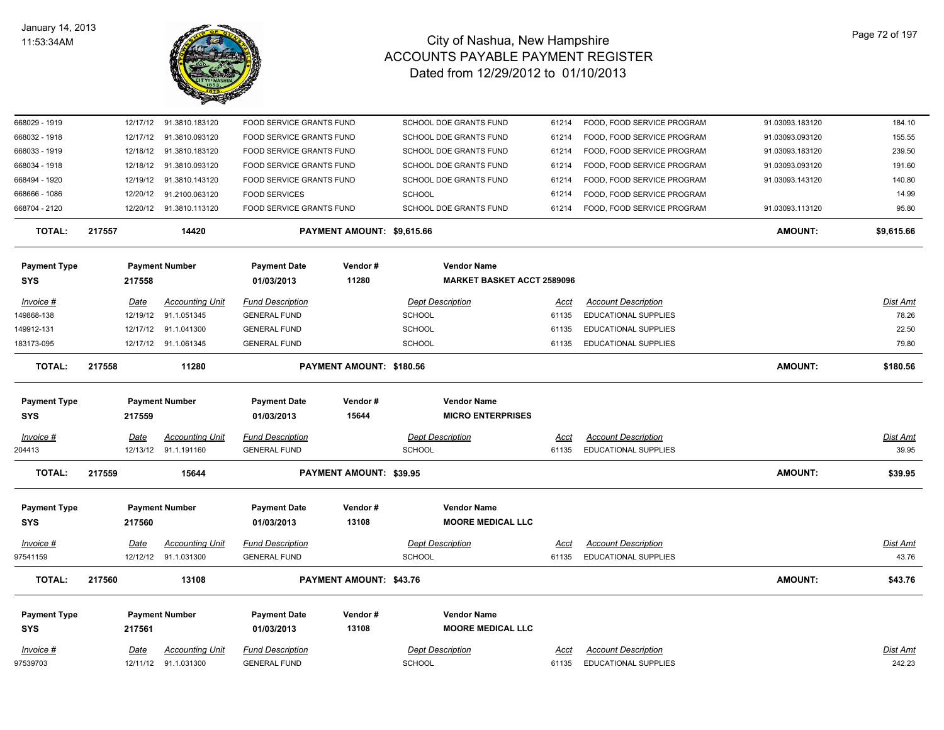

| 668029 - 1919       |             | 12/17/12 91.3810.183120 | FOOD SERVICE GRANTS FUND |                                | SCHOOL DOE GRANTS FUND            | 61214       | FOOD, FOOD SERVICE PROGRAM | 91.03093.183120 | 184.10          |
|---------------------|-------------|-------------------------|--------------------------|--------------------------------|-----------------------------------|-------------|----------------------------|-----------------|-----------------|
| 668032 - 1918       | 12/17/12    | 91.3810.093120          | FOOD SERVICE GRANTS FUND |                                | SCHOOL DOE GRANTS FUND            | 61214       | FOOD, FOOD SERVICE PROGRAM | 91.03093.093120 | 155.55          |
| 668033 - 1919       | 12/18/12    | 91.3810.183120          | FOOD SERVICE GRANTS FUND |                                | SCHOOL DOE GRANTS FUND            | 61214       | FOOD, FOOD SERVICE PROGRAM | 91.03093.183120 | 239.50          |
| 668034 - 1918       | 12/18/12    | 91.3810.093120          | FOOD SERVICE GRANTS FUND |                                | SCHOOL DOE GRANTS FUND            | 61214       | FOOD, FOOD SERVICE PROGRAM | 91.03093.093120 | 191.60          |
| 668494 - 1920       | 12/19/12    | 91.3810.143120          | FOOD SERVICE GRANTS FUND |                                | SCHOOL DOE GRANTS FUND            | 61214       | FOOD, FOOD SERVICE PROGRAM | 91.03093.143120 | 140.80          |
| 668666 - 1086       | 12/20/12    | 91.2100.063120          | <b>FOOD SERVICES</b>     |                                | <b>SCHOOL</b>                     | 61214       | FOOD, FOOD SERVICE PROGRAM |                 | 14.99           |
| 668704 - 2120       |             | 12/20/12 91.3810.113120 | FOOD SERVICE GRANTS FUND |                                | SCHOOL DOE GRANTS FUND            | 61214       | FOOD, FOOD SERVICE PROGRAM | 91.03093.113120 | 95.80           |
| <b>TOTAL:</b>       | 217557      | 14420                   |                          | PAYMENT AMOUNT: \$9,615.66     |                                   |             |                            | <b>AMOUNT:</b>  | \$9,615.66      |
| <b>Payment Type</b> |             | <b>Payment Number</b>   | <b>Payment Date</b>      | Vendor#                        | <b>Vendor Name</b>                |             |                            |                 |                 |
| SYS                 | 217558      |                         | 01/03/2013               | 11280                          | <b>MARKET BASKET ACCT 2589096</b> |             |                            |                 |                 |
| Invoice #           | Date        | <b>Accounting Unit</b>  | <b>Fund Description</b>  |                                | <b>Dept Description</b>           | Acct        | <b>Account Description</b> |                 | Dist Amt        |
| 149868-138          | 12/19/12    | 91.1.051345             | <b>GENERAL FUND</b>      |                                | <b>SCHOOL</b>                     | 61135       | EDUCATIONAL SUPPLIES       |                 | 78.26           |
| 149912-131          |             | 12/17/12 91.1.041300    | <b>GENERAL FUND</b>      |                                | SCHOOL                            | 61135       | EDUCATIONAL SUPPLIES       |                 | 22.50           |
| 183173-095          |             | 12/17/12 91.1.061345    | <b>GENERAL FUND</b>      |                                | <b>SCHOOL</b>                     | 61135       | EDUCATIONAL SUPPLIES       |                 | 79.80           |
| <b>TOTAL:</b>       | 217558      | 11280                   |                          | PAYMENT AMOUNT: \$180.56       |                                   |             |                            | <b>AMOUNT:</b>  | \$180.56        |
| <b>Payment Type</b> |             | <b>Payment Number</b>   | <b>Payment Date</b>      | Vendor#                        | <b>Vendor Name</b>                |             |                            |                 |                 |
| <b>SYS</b>          | 217559      |                         | 01/03/2013               | 15644                          | <b>MICRO ENTERPRISES</b>          |             |                            |                 |                 |
| $Invoice$ #         | Date        | <b>Accounting Unit</b>  | <b>Fund Description</b>  |                                | <b>Dept Description</b>           | <u>Acct</u> | <b>Account Description</b> |                 | <u>Dist Amt</u> |
| 204413              |             | 12/13/12 91.1.191160    | <b>GENERAL FUND</b>      |                                | <b>SCHOOL</b>                     | 61135       | EDUCATIONAL SUPPLIES       |                 | 39.95           |
| <b>TOTAL:</b>       | 217559      | 15644                   |                          | <b>PAYMENT AMOUNT: \$39.95</b> |                                   |             |                            | <b>AMOUNT:</b>  | \$39.95         |
| <b>Payment Type</b> |             | <b>Payment Number</b>   | <b>Payment Date</b>      | Vendor#                        | <b>Vendor Name</b>                |             |                            |                 |                 |
| <b>SYS</b>          | 217560      |                         | 01/03/2013               | 13108                          | <b>MOORE MEDICAL LLC</b>          |             |                            |                 |                 |
| $Invoice$ #         | <u>Date</u> | <b>Accounting Unit</b>  | <b>Fund Description</b>  |                                | <b>Dept Description</b>           | <u>Acct</u> | <b>Account Description</b> |                 | <u>Dist Amt</u> |
| 97541159            |             | 12/12/12 91.1.031300    | <b>GENERAL FUND</b>      |                                | <b>SCHOOL</b>                     | 61135       | EDUCATIONAL SUPPLIES       |                 | 43.76           |
| <b>TOTAL:</b>       | 217560      | 13108                   |                          | <b>PAYMENT AMOUNT: \$43.76</b> |                                   |             |                            | <b>AMOUNT:</b>  | \$43.76         |
| <b>Payment Type</b> |             | <b>Payment Number</b>   | <b>Payment Date</b>      | Vendor#                        | <b>Vendor Name</b>                |             |                            |                 |                 |
| <b>SYS</b>          | 217561      |                         | 01/03/2013               | 13108                          | <b>MOORE MEDICAL LLC</b>          |             |                            |                 |                 |
| Invoice #           | Date        | <b>Accounting Unit</b>  | <b>Fund Description</b>  |                                | <b>Dept Description</b>           | Acct        | <b>Account Description</b> |                 | Dist Amt        |
| 97539703            |             | 12/11/12 91.1.031300    | <b>GENERAL FUND</b>      |                                | <b>SCHOOL</b>                     | 61135       | EDUCATIONAL SUPPLIES       |                 | 242.23          |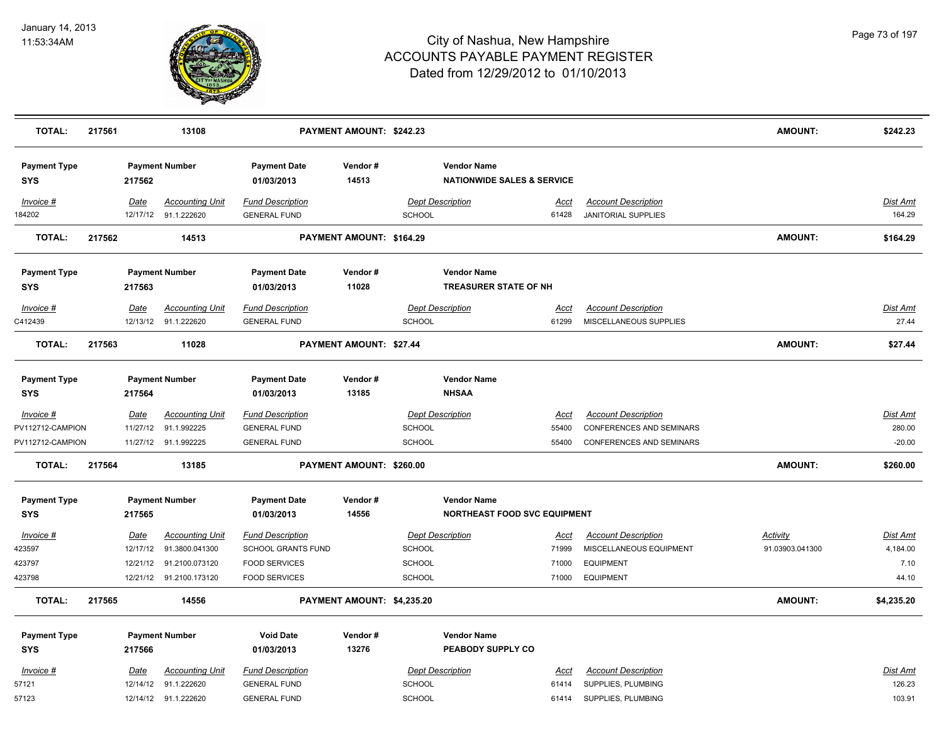

| <b>TOTAL:</b>                        | 217561 |             | 13108                   |                                   | PAYMENT AMOUNT: \$242.23   |               |                                                             |                      |                                                        | <b>AMOUNT:</b>  | \$242.23        |
|--------------------------------------|--------|-------------|-------------------------|-----------------------------------|----------------------------|---------------|-------------------------------------------------------------|----------------------|--------------------------------------------------------|-----------------|-----------------|
| <b>Payment Type</b><br>SYS           |        | 217562      | <b>Payment Number</b>   | <b>Payment Date</b><br>01/03/2013 | Vendor#<br>14513           |               | <b>Vendor Name</b><br><b>NATIONWIDE SALES &amp; SERVICE</b> |                      |                                                        |                 |                 |
| <b>Invoice #</b>                     |        | <u>Date</u> | <b>Accounting Unit</b>  | <b>Fund Description</b>           |                            |               | <b>Dept Description</b>                                     | Acct                 | <b>Account Description</b>                             |                 | Dist Amt        |
| 184202                               |        |             | 12/17/12 91.1.222620    | <b>GENERAL FUND</b>               |                            | SCHOOL        |                                                             | 61428                | JANITORIAL SUPPLIES                                    |                 | 164.29          |
| <b>TOTAL:</b>                        | 217562 |             | 14513                   |                                   | PAYMENT AMOUNT: \$164.29   |               |                                                             |                      |                                                        | <b>AMOUNT:</b>  | \$164.29        |
| <b>Payment Type</b><br>SYS           |        | 217563      | <b>Payment Number</b>   | <b>Payment Date</b><br>01/03/2013 | Vendor#<br>11028           |               | <b>Vendor Name</b><br><b>TREASURER STATE OF NH</b>          |                      |                                                        |                 |                 |
| Invoice #                            |        | Date        | <b>Accounting Unit</b>  | <b>Fund Description</b>           |                            |               | <b>Dept Description</b>                                     | <u>Acct</u>          | <b>Account Description</b>                             |                 | <b>Dist Amt</b> |
| C412439                              |        |             | 12/13/12 91.1.222620    | <b>GENERAL FUND</b>               |                            | <b>SCHOOL</b> |                                                             | 61299                | MISCELLANEOUS SUPPLIES                                 |                 | 27.44           |
| <b>TOTAL:</b>                        | 217563 |             | 11028                   |                                   | PAYMENT AMOUNT: \$27.44    |               |                                                             |                      |                                                        | <b>AMOUNT:</b>  | \$27.44         |
| <b>Payment Type</b><br><b>SYS</b>    |        | 217564      | <b>Payment Number</b>   | <b>Payment Date</b><br>01/03/2013 | Vendor#<br>13185           |               | <b>Vendor Name</b><br><b>NHSAA</b>                          |                      |                                                        |                 |                 |
|                                      |        | Date        | <b>Accounting Unit</b>  | <b>Fund Description</b>           |                            |               | <b>Dept Description</b>                                     |                      |                                                        |                 | <b>Dist Amt</b> |
| <b>Invoice #</b><br>PV112712-CAMPION |        |             | 11/27/12 91.1.992225    | <b>GENERAL FUND</b>               |                            | <b>SCHOOL</b> |                                                             | <u>Acct</u><br>55400 | <b>Account Description</b><br>CONFERENCES AND SEMINARS |                 | 280.00          |
| PV112712-CAMPION                     |        |             | 11/27/12 91.1.992225    | <b>GENERAL FUND</b>               |                            | <b>SCHOOL</b> |                                                             | 55400                | CONFERENCES AND SEMINARS                               |                 | $-20.00$        |
| <b>TOTAL:</b>                        | 217564 |             | 13185                   |                                   | PAYMENT AMOUNT: \$260.00   |               |                                                             |                      |                                                        | <b>AMOUNT:</b>  | \$260.00        |
| <b>Payment Type</b>                  |        |             | <b>Payment Number</b>   | <b>Payment Date</b>               | Vendor#                    |               | <b>Vendor Name</b>                                          |                      |                                                        |                 |                 |
| SYS                                  |        | 217565      |                         | 01/03/2013                        | 14556                      |               | NORTHEAST FOOD SVC EQUIPMENT                                |                      |                                                        |                 |                 |
| Invoice #                            |        | Date        | <b>Accounting Unit</b>  | <b>Fund Description</b>           |                            |               | <b>Dept Description</b>                                     | Acct                 | <b>Account Description</b>                             | Activity        | Dist Amt        |
| 423597                               |        | 12/17/12    | 91.3800.041300          | SCHOOL GRANTS FUND                |                            | <b>SCHOOL</b> |                                                             | 71999                | MISCELLANEOUS EQUIPMENT                                | 91.03903.041300 | 4,184.00        |
| 423797                               |        |             | 12/21/12 91.2100.073120 | <b>FOOD SERVICES</b>              |                            | <b>SCHOOL</b> |                                                             | 71000                | <b>EQUIPMENT</b>                                       |                 | 7.10            |
| 423798                               |        |             | 12/21/12 91.2100.173120 | <b>FOOD SERVICES</b>              |                            | <b>SCHOOL</b> |                                                             | 71000                | <b>EQUIPMENT</b>                                       |                 | 44.10           |
| <b>TOTAL:</b>                        | 217565 |             | 14556                   |                                   | PAYMENT AMOUNT: \$4,235.20 |               |                                                             |                      |                                                        | <b>AMOUNT:</b>  | \$4,235.20      |
| <b>Payment Type</b>                  |        |             | <b>Payment Number</b>   | <b>Void Date</b>                  | Vendor#                    |               | <b>Vendor Name</b>                                          |                      |                                                        |                 |                 |
| <b>SYS</b>                           |        | 217566      |                         | 01/03/2013                        | 13276                      |               | PEABODY SUPPLY CO                                           |                      |                                                        |                 |                 |
| Invoice #                            |        | Date        | <b>Accounting Unit</b>  | <b>Fund Description</b>           |                            |               | <b>Dept Description</b>                                     | Acct                 | <b>Account Description</b>                             |                 | Dist Amt        |
| 57121                                |        |             | 12/14/12 91.1.222620    | <b>GENERAL FUND</b>               |                            | <b>SCHOOL</b> |                                                             | 61414                | SUPPLIES, PLUMBING                                     |                 | 126.23          |
| 57123                                |        |             | 12/14/12 91.1.222620    | <b>GENERAL FUND</b>               |                            | <b>SCHOOL</b> |                                                             | 61414                | SUPPLIES, PLUMBING                                     |                 | 103.91          |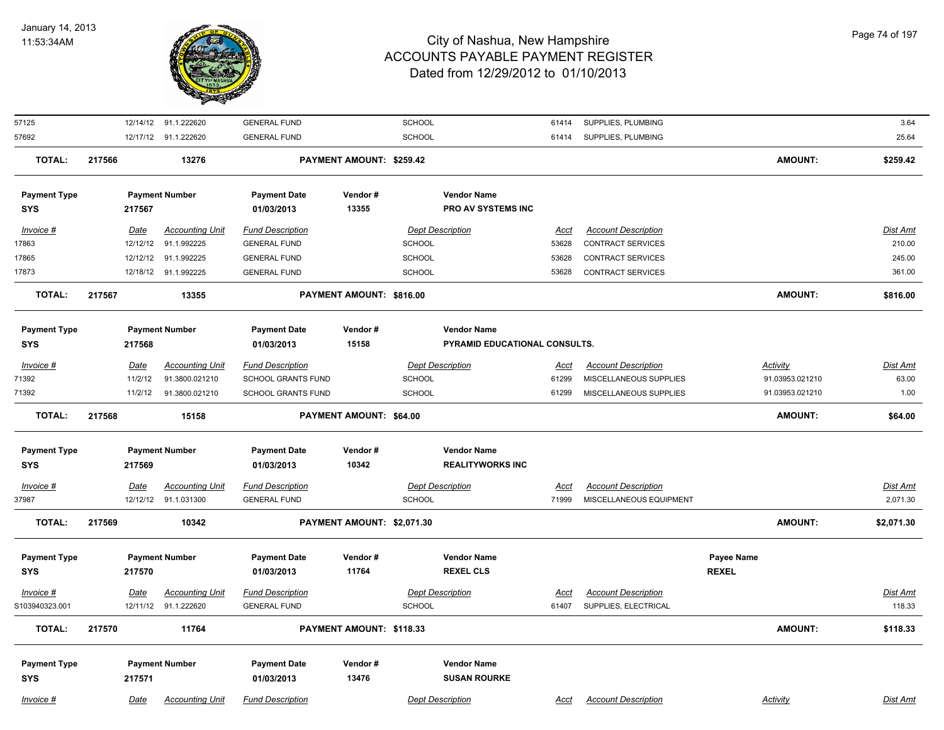

| 57125               |        |             | 12/14/12 91.1.222620   | <b>GENERAL FUND</b>       |                            | <b>SCHOOL</b> |                               | 61414       | SUPPLIES, PLUMBING         |              |                 | 3.64            |
|---------------------|--------|-------------|------------------------|---------------------------|----------------------------|---------------|-------------------------------|-------------|----------------------------|--------------|-----------------|-----------------|
| 57692               |        |             | 12/17/12 91.1.222620   | <b>GENERAL FUND</b>       |                            | SCHOOL        |                               | 61414       | SUPPLIES, PLUMBING         |              |                 | 25.64           |
| <b>TOTAL:</b>       | 217566 |             | 13276                  |                           | PAYMENT AMOUNT: \$259.42   |               |                               |             |                            |              | AMOUNT:         | \$259.42        |
| <b>Payment Type</b> |        |             | <b>Payment Number</b>  | <b>Payment Date</b>       | Vendor#                    |               | <b>Vendor Name</b>            |             |                            |              |                 |                 |
| <b>SYS</b>          |        | 217567      |                        | 01/03/2013                | 13355                      |               | <b>PRO AV SYSTEMS INC</b>     |             |                            |              |                 |                 |
| Invoice #           |        | Date        | <b>Accounting Unit</b> | <b>Fund Description</b>   |                            |               | <b>Dept Description</b>       | Acct        | <b>Account Description</b> |              |                 | <b>Dist Amt</b> |
| 17863               |        | 12/12/12    | 91.1.992225            | <b>GENERAL FUND</b>       |                            | <b>SCHOOL</b> |                               | 53628       | <b>CONTRACT SERVICES</b>   |              |                 | 210.00          |
| 17865               |        |             | 12/12/12 91.1.992225   | <b>GENERAL FUND</b>       |                            | SCHOOL        |                               | 53628       | <b>CONTRACT SERVICES</b>   |              |                 | 245.00          |
| 17873               |        |             | 12/18/12 91.1.992225   | <b>GENERAL FUND</b>       |                            | SCHOOL        |                               | 53628       | <b>CONTRACT SERVICES</b>   |              |                 | 361.00          |
| <b>TOTAL:</b>       | 217567 |             | 13355                  |                           | PAYMENT AMOUNT: \$816.00   |               |                               |             |                            |              | AMOUNT:         | \$816.00        |
| <b>Payment Type</b> |        |             | <b>Payment Number</b>  | <b>Payment Date</b>       | Vendor#                    |               | <b>Vendor Name</b>            |             |                            |              |                 |                 |
| <b>SYS</b>          |        | 217568      |                        | 01/03/2013                | 15158                      |               | PYRAMID EDUCATIONAL CONSULTS. |             |                            |              |                 |                 |
| Invoice #           |        | Date        | <b>Accounting Unit</b> | <b>Fund Description</b>   |                            |               | <b>Dept Description</b>       | Acct        | <b>Account Description</b> |              | Activity        | <b>Dist Amt</b> |
| 71392               |        | 11/2/12     | 91.3800.021210         | <b>SCHOOL GRANTS FUND</b> |                            | SCHOOL        |                               | 61299       | MISCELLANEOUS SUPPLIES     |              | 91.03953.021210 | 63.00           |
| 71392               |        | 11/2/12     | 91.3800.021210         | SCHOOL GRANTS FUND        |                            | SCHOOL        |                               | 61299       | MISCELLANEOUS SUPPLIES     |              | 91.03953.021210 | 1.00            |
| <b>TOTAL:</b>       | 217568 |             | 15158                  |                           | PAYMENT AMOUNT: \$64.00    |               |                               |             |                            |              | AMOUNT:         | \$64.00         |
| <b>Payment Type</b> |        |             | <b>Payment Number</b>  | <b>Payment Date</b>       | Vendor#                    |               | <b>Vendor Name</b>            |             |                            |              |                 |                 |
| <b>SYS</b>          |        | 217569      |                        | 01/03/2013                | 10342                      |               | <b>REALITYWORKS INC</b>       |             |                            |              |                 |                 |
| Invoice #           |        | <b>Date</b> | <b>Accounting Unit</b> | <b>Fund Description</b>   |                            |               | <b>Dept Description</b>       | <u>Acct</u> | <b>Account Description</b> |              |                 | Dist Amt        |
| 37987               |        |             | 12/12/12 91.1.031300   | <b>GENERAL FUND</b>       |                            | <b>SCHOOL</b> |                               | 71999       | MISCELLANEOUS EQUIPMENT    |              |                 | 2,071.30        |
| <b>TOTAL:</b>       | 217569 |             | 10342                  |                           | PAYMENT AMOUNT: \$2,071.30 |               |                               |             |                            |              | AMOUNT:         | \$2,071.30      |
| <b>Payment Type</b> |        |             | <b>Payment Number</b>  | <b>Payment Date</b>       | Vendor#                    |               | <b>Vendor Name</b>            |             |                            | Payee Name   |                 |                 |
| <b>SYS</b>          |        | 217570      |                        | 01/03/2013                | 11764                      |               | <b>REXEL CLS</b>              |             |                            | <b>REXEL</b> |                 |                 |
| Invoice #           |        | Date        | <b>Accounting Unit</b> | <b>Fund Description</b>   |                            |               | <b>Dept Description</b>       | Acct        | <b>Account Description</b> |              |                 | <b>Dist Amt</b> |
| S103940323.001      |        |             | 12/11/12 91.1.222620   | <b>GENERAL FUND</b>       |                            | <b>SCHOOL</b> |                               | 61407       | SUPPLIES, ELECTRICAL       |              |                 | 118.33          |
| <b>TOTAL:</b>       | 217570 |             | 11764                  |                           | PAYMENT AMOUNT: \$118.33   |               |                               |             |                            |              | AMOUNT:         | \$118.33        |
| <b>Payment Type</b> |        |             | <b>Payment Number</b>  | <b>Payment Date</b>       | Vendor#                    |               | <b>Vendor Name</b>            |             |                            |              |                 |                 |
| <b>SYS</b>          |        | 217571      |                        | 01/03/2013                | 13476                      |               | <b>SUSAN ROURKE</b>           |             |                            |              |                 |                 |
| Invoice #           |        | Date        | <b>Accounting Unit</b> | <b>Fund Description</b>   |                            |               | <b>Dept Description</b>       | Acct        | <b>Account Description</b> |              | Activity        | <b>Dist Amt</b> |
|                     |        |             |                        |                           |                            |               |                               |             |                            |              |                 |                 |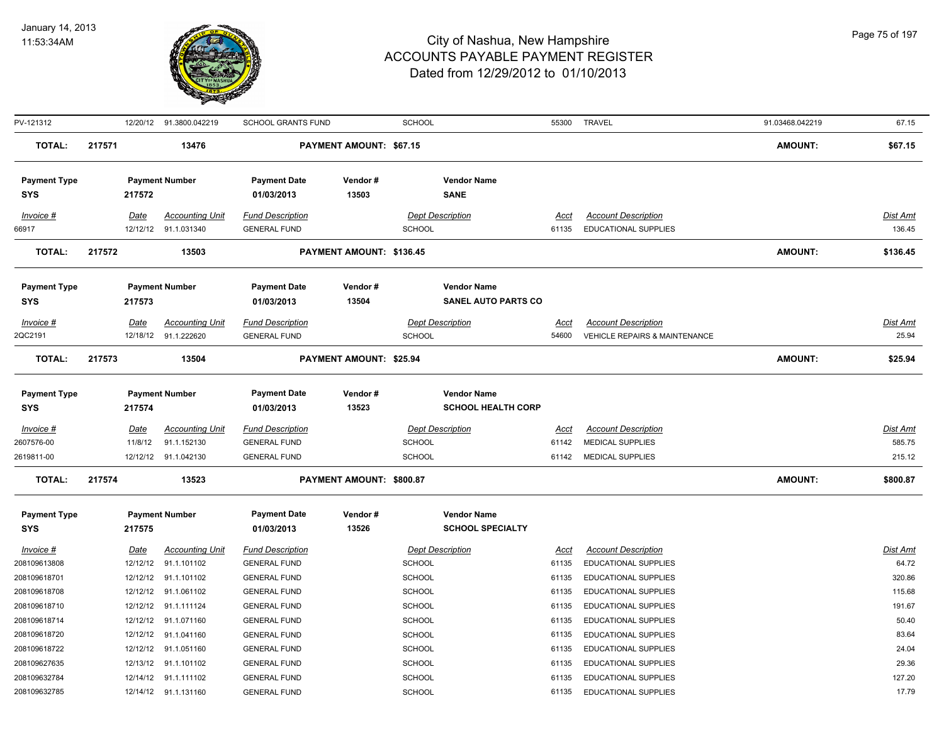

| PV-121312           |        |             | 12/20/12 91.3800.042219 | <b>SCHOOL GRANTS FUND</b> |                          | <b>SCHOOL</b>              |       | 55300 TRAVEL                             | 91.03468.042219 | 67.15           |
|---------------------|--------|-------------|-------------------------|---------------------------|--------------------------|----------------------------|-------|------------------------------------------|-----------------|-----------------|
| <b>TOTAL:</b>       | 217571 |             | 13476                   |                           | PAYMENT AMOUNT: \$67.15  |                            |       |                                          | <b>AMOUNT:</b>  | \$67.15         |
| <b>Payment Type</b> |        |             | <b>Payment Number</b>   | <b>Payment Date</b>       | Vendor#                  | <b>Vendor Name</b>         |       |                                          |                 |                 |
| <b>SYS</b>          |        | 217572      |                         | 01/03/2013                | 13503                    | <b>SANE</b>                |       |                                          |                 |                 |
| Invoice #           |        | Date        | <b>Accounting Unit</b>  | <b>Fund Description</b>   |                          | <b>Dept Description</b>    | Acct  | <b>Account Description</b>               |                 | Dist Amt        |
| 66917               |        |             | 12/12/12 91.1.031340    | <b>GENERAL FUND</b>       |                          | <b>SCHOOL</b>              | 61135 | <b>EDUCATIONAL SUPPLIES</b>              |                 | 136.45          |
| <b>TOTAL:</b>       | 217572 |             | 13503                   |                           | PAYMENT AMOUNT: \$136.45 |                            |       |                                          | <b>AMOUNT:</b>  | \$136.45        |
| <b>Payment Type</b> |        |             | <b>Payment Number</b>   | <b>Payment Date</b>       | Vendor#                  | <b>Vendor Name</b>         |       |                                          |                 |                 |
| <b>SYS</b>          |        | 217573      |                         | 01/03/2013                | 13504                    | <b>SANEL AUTO PARTS CO</b> |       |                                          |                 |                 |
| $Invoice$ #         |        | Date        | <b>Accounting Unit</b>  | <b>Fund Description</b>   |                          | <b>Dept Description</b>    | Acct  | <b>Account Description</b>               |                 | Dist Amt        |
| 2QC2191             |        |             | 12/18/12 91.1.222620    | <b>GENERAL FUND</b>       |                          | <b>SCHOOL</b>              | 54600 | <b>VEHICLE REPAIRS &amp; MAINTENANCE</b> |                 | 25.94           |
| <b>TOTAL:</b>       | 217573 |             | 13504                   |                           | PAYMENT AMOUNT: \$25.94  |                            |       |                                          | <b>AMOUNT:</b>  | \$25.94         |
| <b>Payment Type</b> |        |             | <b>Payment Number</b>   | <b>Payment Date</b>       | Vendor#                  | <b>Vendor Name</b>         |       |                                          |                 |                 |
| <b>SYS</b>          |        | 217574      |                         | 01/03/2013                | 13523                    | <b>SCHOOL HEALTH CORP</b>  |       |                                          |                 |                 |
| Invoice #           |        | <u>Date</u> | <b>Accounting Unit</b>  | <b>Fund Description</b>   |                          | <b>Dept Description</b>    | Acct  | <b>Account Description</b>               |                 | <b>Dist Amt</b> |
| 2607576-00          |        | 11/8/12     | 91.1.152130             | <b>GENERAL FUND</b>       |                          | <b>SCHOOL</b>              | 61142 | <b>MEDICAL SUPPLIES</b>                  |                 | 585.75          |
| 2619811-00          |        |             | 12/12/12 91.1.042130    | <b>GENERAL FUND</b>       |                          | <b>SCHOOL</b>              | 61142 | MEDICAL SUPPLIES                         |                 | 215.12          |
| <b>TOTAL:</b>       | 217574 |             | 13523                   |                           | PAYMENT AMOUNT: \$800.87 |                            |       |                                          | <b>AMOUNT:</b>  | \$800.87        |
| <b>Payment Type</b> |        |             | <b>Payment Number</b>   | <b>Payment Date</b>       | Vendor#                  | <b>Vendor Name</b>         |       |                                          |                 |                 |
| <b>SYS</b>          |        | 217575      |                         | 01/03/2013                | 13526                    | <b>SCHOOL SPECIALTY</b>    |       |                                          |                 |                 |
| Invoice #           |        | Date        | <b>Accounting Unit</b>  | <b>Fund Description</b>   |                          | <b>Dept Description</b>    | Acct  | <b>Account Description</b>               |                 | Dist Amt        |
| 208109613808        |        | 12/12/12    | 91.1.101102             | <b>GENERAL FUND</b>       |                          | SCHOOL                     | 61135 | <b>EDUCATIONAL SUPPLIES</b>              |                 | 64.72           |
| 208109618701        |        | 12/12/12    | 91.1.101102             | <b>GENERAL FUND</b>       |                          | SCHOOL                     | 61135 | <b>EDUCATIONAL SUPPLIES</b>              |                 | 320.86          |
| 208109618708        |        | 12/12/12    | 91.1.061102             | <b>GENERAL FUND</b>       |                          | <b>SCHOOL</b>              | 61135 | EDUCATIONAL SUPPLIES                     |                 | 115.68          |
| 208109618710        |        |             | 12/12/12 91.1.111124    | <b>GENERAL FUND</b>       |                          | <b>SCHOOL</b>              | 61135 | EDUCATIONAL SUPPLIES                     |                 | 191.67          |
| 208109618714        |        | 12/12/12    | 91.1.071160             | <b>GENERAL FUND</b>       |                          | <b>SCHOOL</b>              | 61135 | EDUCATIONAL SUPPLIES                     |                 | 50.40           |
| 208109618720        |        | 12/12/12    | 91.1.041160             | <b>GENERAL FUND</b>       |                          | <b>SCHOOL</b>              | 61135 | EDUCATIONAL SUPPLIES                     |                 | 83.64           |
| 208109618722        |        | 12/12/12    | 91.1.051160             | <b>GENERAL FUND</b>       |                          | <b>SCHOOL</b>              | 61135 | EDUCATIONAL SUPPLIES                     |                 | 24.04           |
| 208109627635        |        | 12/13/12    | 91.1.101102             | <b>GENERAL FUND</b>       |                          | <b>SCHOOL</b>              | 61135 | EDUCATIONAL SUPPLIES                     |                 | 29.36           |
| 208109632784        |        | 12/14/12    | 91.1.111102             | <b>GENERAL FUND</b>       |                          | <b>SCHOOL</b>              | 61135 | EDUCATIONAL SUPPLIES                     |                 | 127.20          |
| 208109632785        |        |             | 12/14/12 91.1.131160    | <b>GENERAL FUND</b>       |                          | SCHOOL                     | 61135 | <b>EDUCATIONAL SUPPLIES</b>              |                 | 17.79           |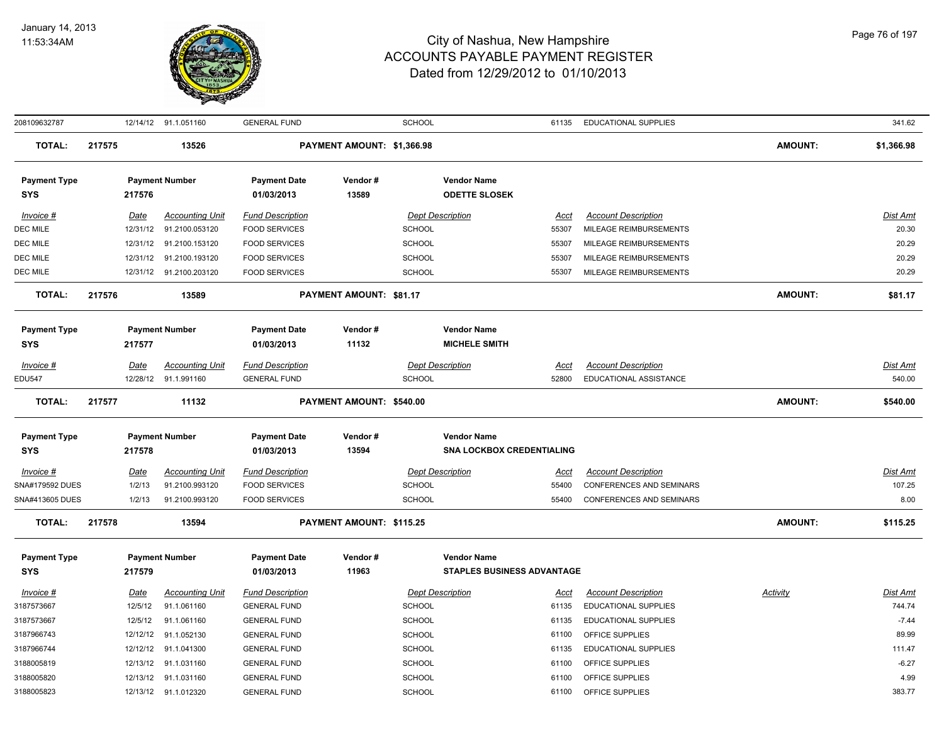

| 208109632787                      |        |             | 12/14/12 91.1.051160    | <b>GENERAL FUND</b>               |                            | <b>SCHOOL</b> |                                            | 61135       | <b>EDUCATIONAL SUPPLIES</b>     |                | 341.62     |
|-----------------------------------|--------|-------------|-------------------------|-----------------------------------|----------------------------|---------------|--------------------------------------------|-------------|---------------------------------|----------------|------------|
| <b>TOTAL:</b>                     | 217575 |             | 13526                   |                                   | PAYMENT AMOUNT: \$1,366.98 |               |                                            |             |                                 | <b>AMOUNT:</b> | \$1,366.98 |
| <b>Payment Type</b><br><b>SYS</b> |        | 217576      | <b>Payment Number</b>   | <b>Payment Date</b><br>01/03/2013 | Vendor#<br>13589           |               | <b>Vendor Name</b><br><b>ODETTE SLOSEK</b> |             |                                 |                |            |
| Invoice #                         |        | Date        | <b>Accounting Unit</b>  | <b>Fund Description</b>           |                            |               | <b>Dept Description</b>                    | Acct        | <b>Account Description</b>      |                | Dist Amt   |
| DEC MILE                          |        | 12/31/12    | 91.2100.053120          | <b>FOOD SERVICES</b>              |                            | <b>SCHOOL</b> |                                            | 55307       | MILEAGE REIMBURSEMENTS          |                | 20.30      |
| DEC MILE                          |        |             | 12/31/12 91.2100.153120 | <b>FOOD SERVICES</b>              |                            | <b>SCHOOL</b> |                                            | 55307       | MILEAGE REIMBURSEMENTS          |                | 20.29      |
| DEC MILE                          |        | 12/31/12    | 91.2100.193120          | <b>FOOD SERVICES</b>              |                            | <b>SCHOOL</b> |                                            | 55307       | MILEAGE REIMBURSEMENTS          |                | 20.29      |
| DEC MILE                          |        |             | 12/31/12 91.2100.203120 | <b>FOOD SERVICES</b>              |                            | <b>SCHOOL</b> |                                            | 55307       | MILEAGE REIMBURSEMENTS          |                | 20.29      |
| <b>TOTAL:</b>                     | 217576 |             | 13589                   |                                   | PAYMENT AMOUNT: \$81.17    |               |                                            |             |                                 | <b>AMOUNT:</b> | \$81.17    |
| <b>Payment Type</b>               |        |             | <b>Payment Number</b>   | <b>Payment Date</b>               | Vendor#                    |               | <b>Vendor Name</b>                         |             |                                 |                |            |
| <b>SYS</b>                        |        | 217577      |                         | 01/03/2013                        | 11132                      |               | <b>MICHELE SMITH</b>                       |             |                                 |                |            |
| Invoice #                         |        | Date        | <b>Accounting Unit</b>  | <b>Fund Description</b>           |                            |               | <b>Dept Description</b>                    | Acct        | <b>Account Description</b>      |                | Dist Amt   |
| <b>EDU547</b>                     |        | 12/28/12    | 91.1.991160             | <b>GENERAL FUND</b>               |                            | <b>SCHOOL</b> |                                            | 52800       | EDUCATIONAL ASSISTANCE          |                | 540.00     |
| <b>TOTAL:</b>                     | 217577 |             | 11132                   |                                   | PAYMENT AMOUNT: \$540.00   |               |                                            |             |                                 | <b>AMOUNT:</b> | \$540.00   |
|                                   |        |             |                         |                                   |                            |               |                                            |             |                                 |                |            |
| <b>Payment Type</b>               |        |             | <b>Payment Number</b>   | <b>Payment Date</b>               | Vendor#                    |               | <b>Vendor Name</b>                         |             |                                 |                |            |
| <b>SYS</b>                        |        | 217578      |                         | 01/03/2013                        | 13594                      |               | <b>SNA LOCKBOX CREDENTIALING</b>           |             |                                 |                |            |
| Invoice #                         |        | <u>Date</u> | <b>Accounting Unit</b>  | <b>Fund Description</b>           |                            |               | <b>Dept Description</b>                    | <u>Acct</u> | <b>Account Description</b>      |                | Dist Amt   |
| SNA#179592 DUES                   |        | 1/2/13      | 91.2100.993120          | <b>FOOD SERVICES</b>              |                            | <b>SCHOOL</b> |                                            | 55400       | <b>CONFERENCES AND SEMINARS</b> |                | 107.25     |
| SNA#413605 DUES                   |        | 1/2/13      | 91.2100.993120          | <b>FOOD SERVICES</b>              |                            | <b>SCHOOL</b> |                                            | 55400       | CONFERENCES AND SEMINARS        |                | 8.00       |
| <b>TOTAL:</b>                     | 217578 |             | 13594                   |                                   | PAYMENT AMOUNT: \$115.25   |               |                                            |             |                                 | <b>AMOUNT:</b> | \$115.25   |
| <b>Payment Type</b>               |        |             | <b>Payment Number</b>   | <b>Payment Date</b>               | Vendor#                    |               | <b>Vendor Name</b>                         |             |                                 |                |            |
| <b>SYS</b>                        |        | 217579      |                         | 01/03/2013                        | 11963                      |               | <b>STAPLES BUSINESS ADVANTAGE</b>          |             |                                 |                |            |
| Invoice #                         |        | Date        | <b>Accounting Unit</b>  | <b>Fund Description</b>           |                            |               | <b>Dept Description</b>                    | Acct        | <b>Account Description</b>      | Activity       | Dist Amt   |
| 3187573667                        |        | 12/5/12     | 91.1.061160             | <b>GENERAL FUND</b>               |                            | <b>SCHOOL</b> |                                            | 61135       | EDUCATIONAL SUPPLIES            |                | 744.74     |
| 3187573667                        |        | 12/5/12     | 91.1.061160             | <b>GENERAL FUND</b>               |                            | <b>SCHOOL</b> |                                            | 61135       | <b>EDUCATIONAL SUPPLIES</b>     |                | $-7.44$    |
| 3187966743                        |        | 12/12/12    | 91.1.052130             | <b>GENERAL FUND</b>               |                            | <b>SCHOOL</b> |                                            | 61100       | OFFICE SUPPLIES                 |                | 89.99      |
| 3187966744                        |        | 12/12/12    | 91.1.041300             | <b>GENERAL FUND</b>               |                            | <b>SCHOOL</b> |                                            | 61135       | EDUCATIONAL SUPPLIES            |                | 111.47     |
| 3188005819                        |        | 12/13/12    | 91.1.031160             | <b>GENERAL FUND</b>               |                            | <b>SCHOOL</b> |                                            | 61100       | OFFICE SUPPLIES                 |                | $-6.27$    |
| 3188005820                        |        |             | 12/13/12 91.1.031160    | <b>GENERAL FUND</b>               |                            | <b>SCHOOL</b> |                                            | 61100       | OFFICE SUPPLIES                 |                | 4.99       |
| 3188005823                        |        |             | 12/13/12 91.1.012320    | <b>GENERAL FUND</b>               |                            | <b>SCHOOL</b> |                                            | 61100       | OFFICE SUPPLIES                 |                | 383.77     |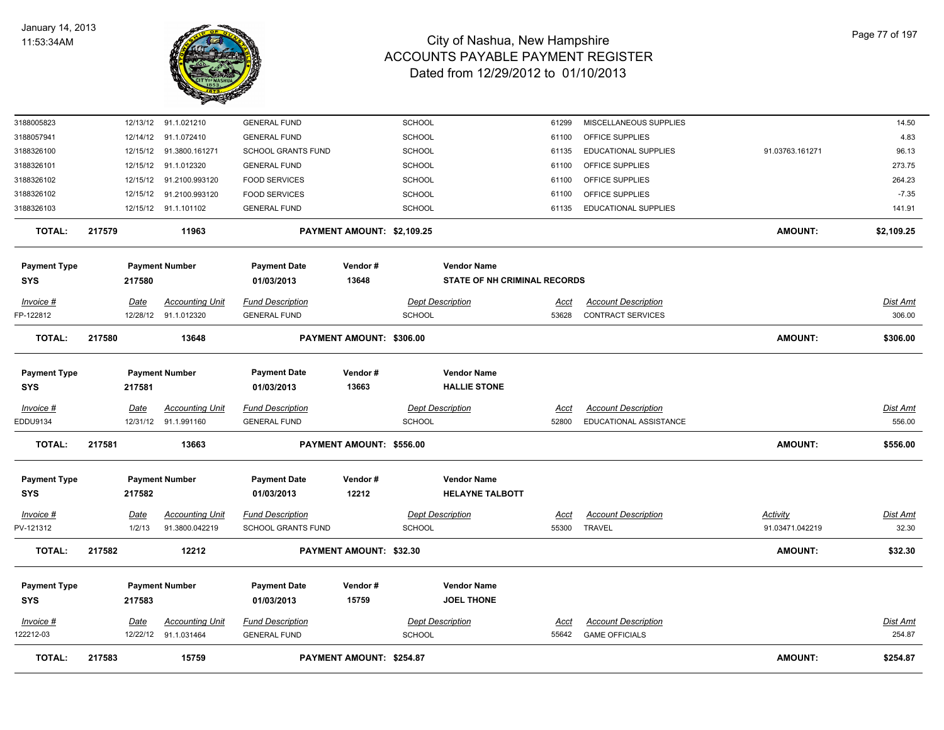

| 3188005823          |        |             | 12/13/12 91.1.021210    | <b>GENERAL FUND</b>       |                                | SCHOOL        |                                     | 61299       | MISCELLANEOUS SUPPLIES      |                 | 14.50           |
|---------------------|--------|-------------|-------------------------|---------------------------|--------------------------------|---------------|-------------------------------------|-------------|-----------------------------|-----------------|-----------------|
| 3188057941          |        |             | 12/14/12 91.1.072410    | <b>GENERAL FUND</b>       |                                | SCHOOL        |                                     | 61100       | OFFICE SUPPLIES             |                 | 4.83            |
| 3188326100          |        |             | 12/15/12 91.3800.161271 | SCHOOL GRANTS FUND        |                                | SCHOOL        |                                     | 61135       | EDUCATIONAL SUPPLIES        | 91.03763.161271 | 96.13           |
| 3188326101          |        |             | 12/15/12 91.1.012320    | <b>GENERAL FUND</b>       |                                | SCHOOL        |                                     | 61100       | OFFICE SUPPLIES             |                 | 273.75          |
| 3188326102          |        |             | 12/15/12 91.2100.993120 | <b>FOOD SERVICES</b>      |                                | SCHOOL        |                                     | 61100       | OFFICE SUPPLIES             |                 | 264.23          |
| 3188326102          |        | 12/15/12    | 91.2100.993120          | <b>FOOD SERVICES</b>      |                                | SCHOOL        |                                     | 61100       | OFFICE SUPPLIES             |                 | $-7.35$         |
| 3188326103          |        |             | 12/15/12 91.1.101102    | <b>GENERAL FUND</b>       |                                | SCHOOL        |                                     | 61135       | <b>EDUCATIONAL SUPPLIES</b> |                 | 141.91          |
| <b>TOTAL:</b>       | 217579 |             | 11963                   |                           | PAYMENT AMOUNT: \$2,109.25     |               |                                     |             |                             | <b>AMOUNT:</b>  | \$2,109.25      |
| <b>Payment Type</b> |        |             | <b>Payment Number</b>   | <b>Payment Date</b>       | Vendor#                        |               | <b>Vendor Name</b>                  |             |                             |                 |                 |
| <b>SYS</b>          |        | 217580      |                         | 01/03/2013                | 13648                          |               | <b>STATE OF NH CRIMINAL RECORDS</b> |             |                             |                 |                 |
| Invoice #           |        | Date        | <b>Accounting Unit</b>  | <b>Fund Description</b>   |                                |               | <b>Dept Description</b>             | Acct        | <b>Account Description</b>  |                 | <b>Dist Amt</b> |
| FP-122812           |        |             | 12/28/12 91.1.012320    | <b>GENERAL FUND</b>       |                                | SCHOOL        |                                     | 53628       | CONTRACT SERVICES           |                 | 306.00          |
| <b>TOTAL:</b>       | 217580 |             | 13648                   |                           | PAYMENT AMOUNT: \$306.00       |               |                                     |             |                             | <b>AMOUNT:</b>  | \$306.00        |
|                     |        |             |                         |                           |                                |               |                                     |             |                             |                 |                 |
| <b>Payment Type</b> |        |             | <b>Payment Number</b>   | Payment Date              | Vendor#                        |               | <b>Vendor Name</b>                  |             |                             |                 |                 |
| SYS                 |        | 217581      |                         | 01/03/2013                | 13663                          |               | <b>HALLIE STONE</b>                 |             |                             |                 |                 |
| Invoice #           |        | <u>Date</u> | <b>Accounting Unit</b>  | <b>Fund Description</b>   |                                |               | <b>Dept Description</b>             | Acct        | <b>Account Description</b>  |                 | Dist Amt        |
| EDDU9134            |        |             | 12/31/12 91.1.991160    | <b>GENERAL FUND</b>       |                                | <b>SCHOOL</b> |                                     | 52800       | EDUCATIONAL ASSISTANCE      |                 | 556.00          |
| <b>TOTAL:</b>       | 217581 |             | 13663                   |                           | PAYMENT AMOUNT: \$556.00       |               |                                     |             |                             | <b>AMOUNT:</b>  | \$556.00        |
| <b>Payment Type</b> |        |             | <b>Payment Number</b>   | <b>Payment Date</b>       | Vendor#                        |               | <b>Vendor Name</b>                  |             |                             |                 |                 |
| <b>SYS</b>          |        | 217582      |                         | 01/03/2013                | 12212                          |               | <b>HELAYNE TALBOTT</b>              |             |                             |                 |                 |
| <u>Invoice #</u>    |        | <u>Date</u> | <b>Accounting Unit</b>  | <b>Fund Description</b>   |                                |               | <b>Dept Description</b>             | <u>Acct</u> | <b>Account Description</b>  | <b>Activity</b> | <u>Dist Amt</u> |
| PV-121312           |        | 1/2/13      | 91.3800.042219          | <b>SCHOOL GRANTS FUND</b> |                                | <b>SCHOOL</b> |                                     | 55300       | <b>TRAVEL</b>               | 91.03471.042219 | 32.30           |
| <b>TOTAL:</b>       | 217582 |             | 12212                   |                           | <b>PAYMENT AMOUNT: \$32.30</b> |               |                                     |             |                             | <b>AMOUNT:</b>  | \$32.30         |
|                     |        |             |                         |                           |                                |               |                                     |             |                             |                 |                 |
| <b>Payment Type</b> |        |             | <b>Payment Number</b>   | <b>Payment Date</b>       | Vendor#                        |               | <b>Vendor Name</b>                  |             |                             |                 |                 |
| <b>SYS</b>          |        | 217583      |                         | 01/03/2013                | 15759                          |               | <b>JOEL THONE</b>                   |             |                             |                 |                 |
| Invoice #           |        | Date        | <b>Accounting Unit</b>  | <b>Fund Description</b>   |                                |               | <b>Dept Description</b>             | Acct        | <b>Account Description</b>  |                 | <u>Dist Amt</u> |
| 22212-03            |        |             | 12/22/12 91.1.031464    | <b>GENERAL FUND</b>       |                                | SCHOOL        |                                     | 55642       | <b>GAME OFFICIALS</b>       |                 | 254.87          |
| <b>TOTAL:</b>       | 217583 |             | 15759                   |                           | PAYMENT AMOUNT: \$254.87       |               |                                     |             |                             | <b>AMOUNT:</b>  | \$254.87        |
|                     |        |             |                         |                           |                                |               |                                     |             |                             |                 |                 |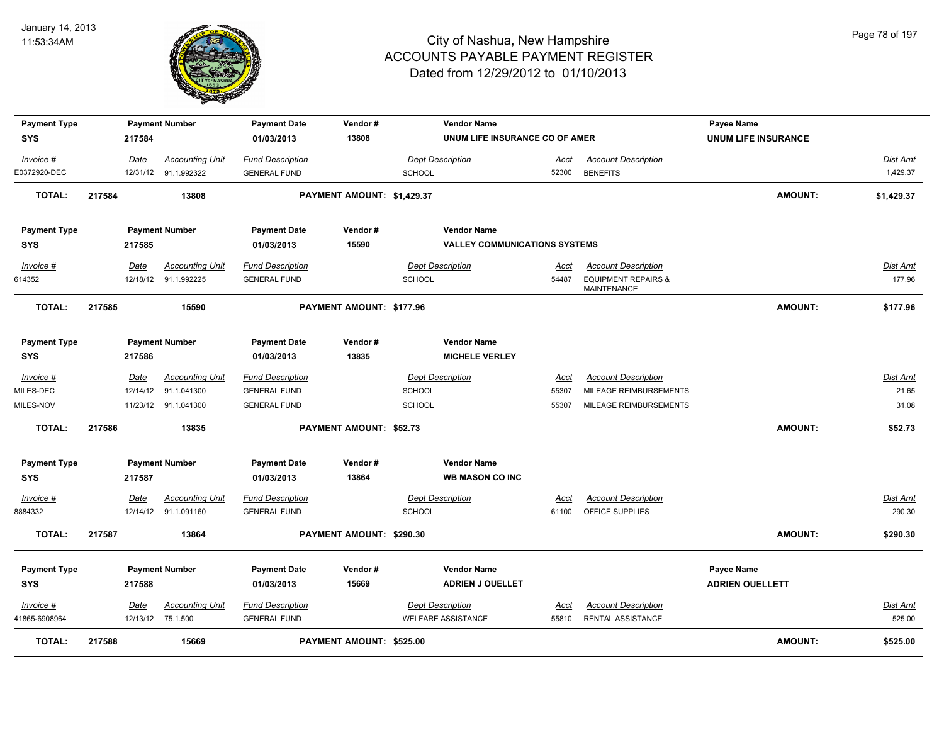

| <b>Payment Type</b>       |                  | <b>Payment Number</b>                 | <b>Payment Date</b>                            | Vendor#                    |                                          | <b>Vendor Name</b>                   |               |                                               | <b>Payee Name</b>          |                      |
|---------------------------|------------------|---------------------------------------|------------------------------------------------|----------------------------|------------------------------------------|--------------------------------------|---------------|-----------------------------------------------|----------------------------|----------------------|
| <b>SYS</b>                | 217584           |                                       | 01/03/2013                                     | 13808                      |                                          | UNUM LIFE INSURANCE CO OF AMER       |               |                                               | <b>UNUM LIFE INSURANCE</b> |                      |
| Invoice #<br>E0372920-DEC | Date<br>12/31/12 | <b>Accounting Unit</b><br>91.1.992322 | <b>Fund Description</b><br><b>GENERAL FUND</b> |                            | <b>Dept Description</b><br><b>SCHOOL</b> |                                      | Acct<br>52300 | <b>Account Description</b><br><b>BENEFITS</b> |                            | Dist Amt<br>1,429.37 |
| <b>TOTAL:</b>             | 217584           | 13808                                 |                                                | PAYMENT AMOUNT: \$1,429.37 |                                          |                                      |               |                                               | <b>AMOUNT:</b>             | \$1,429.37           |
| <b>Payment Type</b>       |                  | <b>Payment Number</b>                 | <b>Payment Date</b>                            | Vendor#                    |                                          | <b>Vendor Name</b>                   |               |                                               |                            |                      |
| <b>SYS</b>                | 217585           |                                       | 01/03/2013                                     | 15590                      |                                          | <b>VALLEY COMMUNICATIONS SYSTEMS</b> |               |                                               |                            |                      |
| Invoice #                 | Date             | <b>Accounting Unit</b>                | <b>Fund Description</b>                        |                            | <b>Dept Description</b>                  |                                      | Acct          | <b>Account Description</b>                    |                            | Dist Amt             |
| 614352                    |                  | 12/18/12 91.1.992225                  | <b>GENERAL FUND</b>                            |                            | SCHOOL                                   |                                      | 54487         | <b>EQUIPMENT REPAIRS &amp;</b><br>MAINTENANCE |                            | 177.96               |
| <b>TOTAL:</b>             | 217585           | 15590                                 |                                                | PAYMENT AMOUNT: \$177.96   |                                          |                                      |               |                                               | <b>AMOUNT:</b>             | \$177.96             |
| <b>Payment Type</b>       |                  | <b>Payment Number</b>                 | <b>Payment Date</b>                            | Vendor#                    |                                          | <b>Vendor Name</b>                   |               |                                               |                            |                      |
| <b>SYS</b>                | 217586           |                                       | 01/03/2013                                     | 13835                      |                                          | <b>MICHELE VERLEY</b>                |               |                                               |                            |                      |
| $Invoice$ #               | <b>Date</b>      | <b>Accounting Unit</b>                | <b>Fund Description</b>                        |                            | <b>Dept Description</b>                  |                                      | <u>Acct</u>   | <b>Account Description</b>                    |                            | Dist Amt             |
| MILES-DEC                 | 12/14/12         | 91.1.041300                           | <b>GENERAL FUND</b>                            |                            | <b>SCHOOL</b>                            |                                      | 55307         | MILEAGE REIMBURSEMENTS                        |                            | 21.65                |
| MILES-NOV                 |                  | 11/23/12 91.1.041300                  | <b>GENERAL FUND</b>                            |                            | <b>SCHOOL</b>                            |                                      | 55307         | MILEAGE REIMBURSEMENTS                        |                            | 31.08                |
| <b>TOTAL:</b>             | 217586           | 13835                                 |                                                | PAYMENT AMOUNT: \$52.73    |                                          |                                      |               |                                               | <b>AMOUNT:</b>             | \$52.73              |
| <b>Payment Type</b>       |                  | <b>Payment Number</b>                 | <b>Payment Date</b>                            | Vendor#                    |                                          | <b>Vendor Name</b>                   |               |                                               |                            |                      |
| <b>SYS</b>                | 217587           |                                       | 01/03/2013                                     | 13864                      |                                          | <b>WB MASON CO INC</b>               |               |                                               |                            |                      |
| Invoice #                 | Date             | <b>Accounting Unit</b>                | <b>Fund Description</b>                        |                            | <b>Dept Description</b>                  |                                      | Acct          | <b>Account Description</b>                    |                            | Dist Amt             |
| 8884332                   |                  | 12/14/12 91.1.091160                  | <b>GENERAL FUND</b>                            |                            | <b>SCHOOL</b>                            |                                      |               | 61100 OFFICE SUPPLIES                         |                            | 290.30               |
| <b>TOTAL:</b>             | 217587           | 13864                                 |                                                | PAYMENT AMOUNT: \$290.30   |                                          |                                      |               |                                               | <b>AMOUNT:</b>             | \$290.30             |
| <b>Payment Type</b>       |                  | <b>Payment Number</b>                 | <b>Payment Date</b>                            | Vendor#                    |                                          | <b>Vendor Name</b>                   |               |                                               | Payee Name                 |                      |
| <b>SYS</b>                | 217588           |                                       | 01/03/2013                                     | 15669                      |                                          | <b>ADRIEN J OUELLET</b>              |               |                                               | <b>ADRIEN OUELLETT</b>     |                      |
| $Invoice$ #               | Date             | <b>Accounting Unit</b>                | <b>Fund Description</b>                        |                            | <b>Dept Description</b>                  |                                      | <u>Acct</u>   | <b>Account Description</b>                    |                            | <u>Dist Amt</u>      |
| 41865-6908964             |                  | 12/13/12 75.1.500                     | <b>GENERAL FUND</b>                            |                            | <b>WELFARE ASSISTANCE</b>                |                                      | 55810         | RENTAL ASSISTANCE                             |                            | 525.00               |
| <b>TOTAL:</b>             | 217588           | 15669                                 |                                                | PAYMENT AMOUNT: \$525.00   |                                          |                                      |               |                                               | <b>AMOUNT:</b>             | \$525.00             |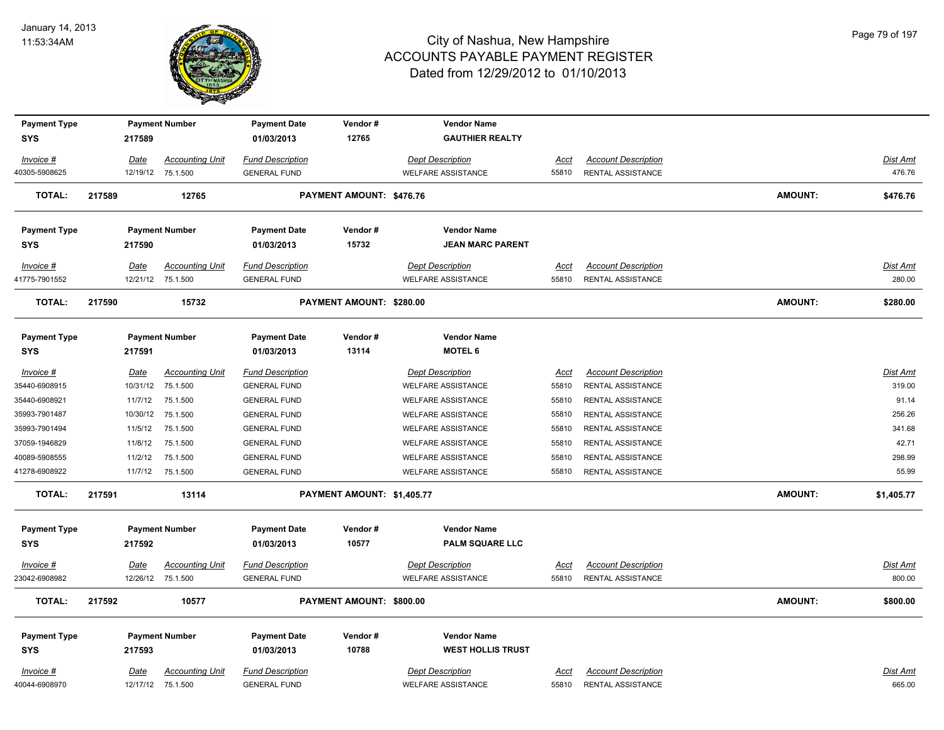

| <b>Payment Type</b>        |        |             | <b>Payment Number</b>                       | <b>Payment Date</b>                            | Vendor#                    | <b>Vendor Name</b>                                   |               |                                                        |                |                    |
|----------------------------|--------|-------------|---------------------------------------------|------------------------------------------------|----------------------------|------------------------------------------------------|---------------|--------------------------------------------------------|----------------|--------------------|
| <b>SYS</b>                 |        | 217589      |                                             | 01/03/2013                                     | 12765                      | <b>GAUTHIER REALTY</b>                               |               |                                                        |                |                    |
| Invoice #                  |        | Date        | <b>Accounting Unit</b>                      | <b>Fund Description</b>                        |                            | <b>Dept Description</b>                              | Acct          | <b>Account Description</b>                             |                | <u>Dist Amt</u>    |
| 40305-5908625              |        |             | 12/19/12 75.1.500                           | <b>GENERAL FUND</b>                            |                            | <b>WELFARE ASSISTANCE</b>                            | 55810         | <b>RENTAL ASSISTANCE</b>                               |                | 476.76             |
| <b>TOTAL:</b>              | 217589 |             | 12765                                       |                                                | PAYMENT AMOUNT: \$476.76   |                                                      |               |                                                        | <b>AMOUNT:</b> | \$476.76           |
| <b>Payment Type</b>        |        |             | <b>Payment Number</b>                       | <b>Payment Date</b>                            | Vendor#                    | <b>Vendor Name</b>                                   |               |                                                        |                |                    |
| <b>SYS</b>                 |        | 217590      |                                             | 01/03/2013                                     | 15732                      | <b>JEAN MARC PARENT</b>                              |               |                                                        |                |                    |
| Invoice #<br>41775-7901552 |        | Date        | <b>Accounting Unit</b><br>12/21/12 75.1.500 | <b>Fund Description</b><br><b>GENERAL FUND</b> |                            | <b>Dept Description</b><br><b>WELFARE ASSISTANCE</b> | Acct<br>55810 | <b>Account Description</b><br><b>RENTAL ASSISTANCE</b> |                | Dist Amt<br>280.00 |
| <b>TOTAL:</b>              | 217590 |             | 15732                                       |                                                | PAYMENT AMOUNT: \$280.00   |                                                      |               |                                                        | <b>AMOUNT:</b> | \$280.00           |
| <b>Payment Type</b>        |        |             | <b>Payment Number</b>                       | <b>Payment Date</b>                            | Vendor#                    | <b>Vendor Name</b>                                   |               |                                                        |                |                    |
| <b>SYS</b>                 |        | 217591      |                                             | 01/03/2013                                     | 13114                      | <b>MOTEL 6</b>                                       |               |                                                        |                |                    |
| Invoice #                  |        | <u>Date</u> | <b>Accounting Unit</b>                      | <b>Fund Description</b>                        |                            | <b>Dept Description</b>                              | Acct          | <b>Account Description</b>                             |                | Dist Amt           |
| 35440-6908915              |        | 10/31/12    | 75.1.500                                    | <b>GENERAL FUND</b>                            |                            | <b>WELFARE ASSISTANCE</b>                            | 55810         | RENTAL ASSISTANCE                                      |                | 319.00             |
| 35440-6908921              |        | 11/7/12     | 75.1.500                                    | <b>GENERAL FUND</b>                            |                            | <b>WELFARE ASSISTANCE</b>                            | 55810         | <b>RENTAL ASSISTANCE</b>                               |                | 91.14              |
| 35993-7901487              |        | 10/30/12    | 75.1.500                                    | <b>GENERAL FUND</b>                            |                            | <b>WELFARE ASSISTANCE</b>                            | 55810         | RENTAL ASSISTANCE                                      |                | 256.26             |
| 35993-7901494              |        | 11/5/12     | 75.1.500                                    | <b>GENERAL FUND</b>                            |                            | <b>WELFARE ASSISTANCE</b>                            | 55810         | RENTAL ASSISTANCE                                      |                | 341.68             |
| 37059-1946829              |        | 11/8/12     | 75.1.500                                    | <b>GENERAL FUND</b>                            |                            | <b>WELFARE ASSISTANCE</b>                            | 55810         | RENTAL ASSISTANCE                                      |                | 42.71              |
| 40089-5908555              |        | 11/2/12     | 75.1.500                                    | <b>GENERAL FUND</b>                            |                            | <b>WELFARE ASSISTANCE</b>                            | 55810         | RENTAL ASSISTANCE                                      |                | 298.99             |
| 41278-6908922              |        |             | 11/7/12 75.1.500                            | <b>GENERAL FUND</b>                            |                            | <b>WELFARE ASSISTANCE</b>                            | 55810         | <b>RENTAL ASSISTANCE</b>                               |                | 55.99              |
| <b>TOTAL:</b>              | 217591 |             | 13114                                       |                                                | PAYMENT AMOUNT: \$1,405.77 |                                                      |               |                                                        | <b>AMOUNT:</b> | \$1,405.77         |
| <b>Payment Type</b>        |        |             | <b>Payment Number</b>                       | <b>Payment Date</b>                            | Vendor#                    | <b>Vendor Name</b>                                   |               |                                                        |                |                    |
| <b>SYS</b>                 |        | 217592      |                                             | 01/03/2013                                     | 10577                      | <b>PALM SQUARE LLC</b>                               |               |                                                        |                |                    |
| $Invoice$ #                |        | Date        | <b>Accounting Unit</b>                      | <b>Fund Description</b>                        |                            | <b>Dept Description</b>                              | <b>Acct</b>   | <b>Account Description</b>                             |                | Dist Amt           |
| 23042-6908982              |        |             | 12/26/12 75.1.500                           | <b>GENERAL FUND</b>                            |                            | <b>WELFARE ASSISTANCE</b>                            | 55810         | <b>RENTAL ASSISTANCE</b>                               |                | 800.00             |
| <b>TOTAL:</b>              | 217592 |             | 10577                                       |                                                | PAYMENT AMOUNT: \$800.00   |                                                      |               |                                                        | <b>AMOUNT:</b> | \$800.00           |
| <b>Payment Type</b>        |        |             | <b>Payment Number</b>                       | <b>Payment Date</b>                            | Vendor#                    | <b>Vendor Name</b>                                   |               |                                                        |                |                    |
| <b>SYS</b>                 |        | 217593      |                                             | 01/03/2013                                     | 10788                      | <b>WEST HOLLIS TRUST</b>                             |               |                                                        |                |                    |
| Invoice #                  |        | Date        | <b>Accounting Unit</b>                      | <b>Fund Description</b>                        |                            | <b>Dept Description</b>                              | Acct          | <b>Account Description</b>                             |                | Dist Amt           |
| 40044-6908970              |        |             | 12/17/12 75.1.500                           | <b>GENERAL FUND</b>                            |                            | <b>WELFARE ASSISTANCE</b>                            | 55810         | <b>RENTAL ASSISTANCE</b>                               |                | 665.00             |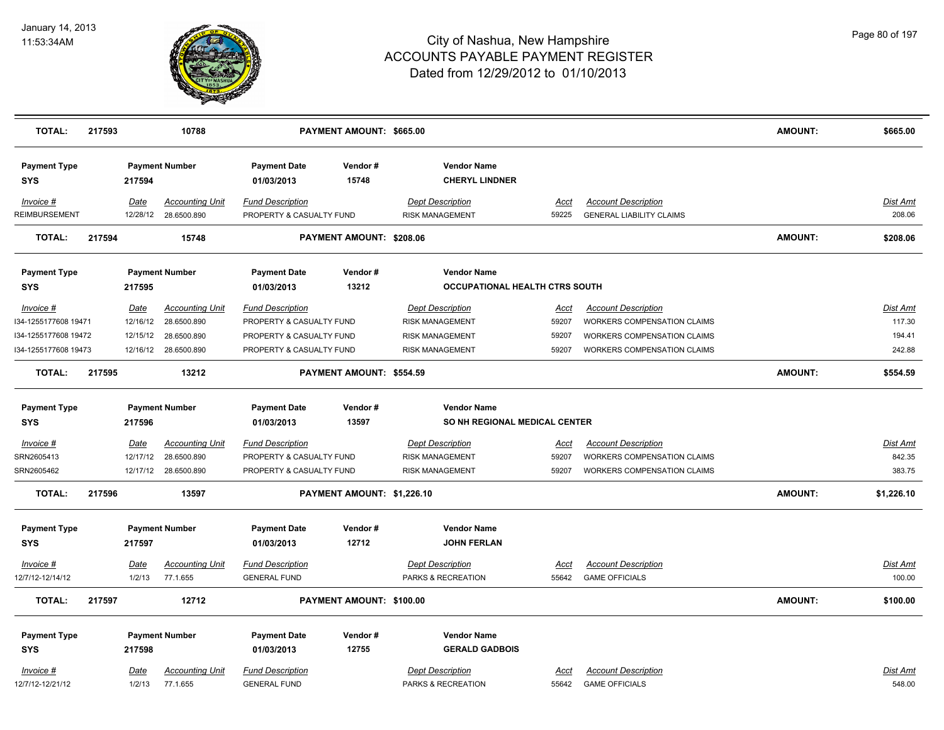

| <b>TOTAL:</b>                     | 217593 |                       | 10788                                 |                                                     | PAYMENT AMOUNT: \$665.00   |                                                      |                      |                                                               | <b>AMOUNT:</b> | \$665.00           |
|-----------------------------------|--------|-----------------------|---------------------------------------|-----------------------------------------------------|----------------------------|------------------------------------------------------|----------------------|---------------------------------------------------------------|----------------|--------------------|
| <b>Payment Type</b><br><b>SYS</b> |        | 217594                | <b>Payment Number</b>                 | <b>Payment Date</b><br>01/03/2013                   | Vendor#<br>15748           | <b>Vendor Name</b><br><b>CHERYL LINDNER</b>          |                      |                                                               |                |                    |
| Invoice #<br>REIMBURSEMENT        |        | Date<br>12/28/12      | <b>Accounting Unit</b><br>28.6500.890 | <b>Fund Description</b><br>PROPERTY & CASUALTY FUND |                            | <b>Dept Description</b><br><b>RISK MANAGEMENT</b>    | Acct<br>59225        | <b>Account Description</b><br><b>GENERAL LIABILITY CLAIMS</b> |                | Dist Amt<br>208.06 |
| <b>TOTAL:</b>                     | 217594 |                       | 15748                                 |                                                     | PAYMENT AMOUNT: \$208.06   |                                                      |                      |                                                               | <b>AMOUNT:</b> | \$208.06           |
| <b>Payment Type</b><br><b>SYS</b> |        | 217595                | <b>Payment Number</b>                 | <b>Payment Date</b><br>01/03/2013                   | Vendor#<br>13212           | <b>Vendor Name</b><br>OCCUPATIONAL HEALTH CTRS SOUTH |                      |                                                               |                |                    |
| Invoice #                         |        | Date                  | <b>Accounting Unit</b>                | <b>Fund Description</b>                             |                            | <b>Dept Description</b>                              | Acct                 | <b>Account Description</b>                                    |                | Dist Amt           |
| 134-1255177608 19471              |        | 12/16/12              | 28.6500.890                           | PROPERTY & CASUALTY FUND                            |                            | <b>RISK MANAGEMENT</b>                               | 59207                | WORKERS COMPENSATION CLAIMS                                   |                | 117.30             |
| I34-1255177608 19472              |        | 12/15/12              | 28.6500.890                           | PROPERTY & CASUALTY FUND                            |                            | <b>RISK MANAGEMENT</b>                               | 59207                | <b>WORKERS COMPENSATION CLAIMS</b>                            |                | 194.41             |
| I34-1255177608 19473              |        |                       | 12/16/12 28.6500.890                  | PROPERTY & CASUALTY FUND                            |                            | <b>RISK MANAGEMENT</b>                               | 59207                | <b>WORKERS COMPENSATION CLAIMS</b>                            |                | 242.88             |
| <b>TOTAL:</b>                     | 217595 |                       | 13212                                 |                                                     | PAYMENT AMOUNT: \$554.59   |                                                      |                      |                                                               | <b>AMOUNT:</b> | \$554.59           |
| <b>Payment Type</b>               |        |                       | <b>Payment Number</b>                 | <b>Payment Date</b>                                 | Vendor#                    | <b>Vendor Name</b>                                   |                      |                                                               |                |                    |
| <b>SYS</b>                        |        | 217596                |                                       | 01/03/2013                                          | 13597                      | SO NH REGIONAL MEDICAL CENTER                        |                      |                                                               |                |                    |
| $Invoice$ #                       |        | <b>Date</b>           | <b>Accounting Unit</b>                | <b>Fund Description</b>                             |                            | <b>Dept Description</b>                              | <u>Acct</u>          | <b>Account Description</b>                                    |                | <b>Dist Amt</b>    |
| SRN2605413                        |        | 12/17/12              | 28.6500.890                           | PROPERTY & CASUALTY FUND                            |                            | <b>RISK MANAGEMENT</b>                               | 59207                | WORKERS COMPENSATION CLAIMS                                   |                | 842.35             |
| SRN2605462                        |        | 12/17/12              | 28.6500.890                           | PROPERTY & CASUALTY FUND                            |                            | <b>RISK MANAGEMENT</b>                               | 59207                | <b>WORKERS COMPENSATION CLAIMS</b>                            |                | 383.75             |
| <b>TOTAL:</b>                     | 217596 |                       | 13597                                 |                                                     | PAYMENT AMOUNT: \$1,226.10 |                                                      |                      |                                                               | AMOUNT:        | \$1,226.10         |
| <b>Payment Type</b>               |        |                       | <b>Payment Number</b>                 | <b>Payment Date</b>                                 | Vendor#                    | <b>Vendor Name</b>                                   |                      |                                                               |                |                    |
| <b>SYS</b>                        |        | 217597                |                                       | 01/03/2013                                          | 12712                      | <b>JOHN FERLAN</b>                                   |                      |                                                               |                |                    |
| Invoice #                         |        | Date                  | <b>Accounting Unit</b>                | <b>Fund Description</b>                             |                            | <b>Dept Description</b>                              | Acct                 | <b>Account Description</b>                                    |                | Dist Amt           |
| 12/7/12-12/14/12                  |        | 1/2/13                | 77.1.655                              | <b>GENERAL FUND</b>                                 |                            | PARKS & RECREATION                                   | 55642                | <b>GAME OFFICIALS</b>                                         |                | 100.00             |
|                                   |        |                       |                                       |                                                     |                            |                                                      |                      |                                                               |                |                    |
| <b>TOTAL:</b>                     | 217597 |                       | 12712                                 |                                                     | PAYMENT AMOUNT: \$100.00   |                                                      |                      |                                                               | AMOUNT:        | \$100.00           |
| <b>Payment Type</b>               |        |                       | <b>Payment Number</b>                 | <b>Payment Date</b>                                 | Vendor#                    | <b>Vendor Name</b>                                   |                      |                                                               |                |                    |
| <b>SYS</b>                        |        | 217598                |                                       | 01/03/2013                                          | 12755                      | <b>GERALD GADBOIS</b>                                |                      |                                                               |                |                    |
|                                   |        |                       |                                       |                                                     |                            |                                                      |                      |                                                               |                |                    |
| Invoice #<br>12/7/12-12/21/12     |        | <u>Date</u><br>1/2/13 | <b>Accounting Unit</b><br>77.1.655    | <b>Fund Description</b><br><b>GENERAL FUND</b>      |                            | <b>Dept Description</b><br>PARKS & RECREATION        | <u>Acct</u><br>55642 | <b>Account Description</b><br><b>GAME OFFICIALS</b>           |                | Dist Amt<br>548.00 |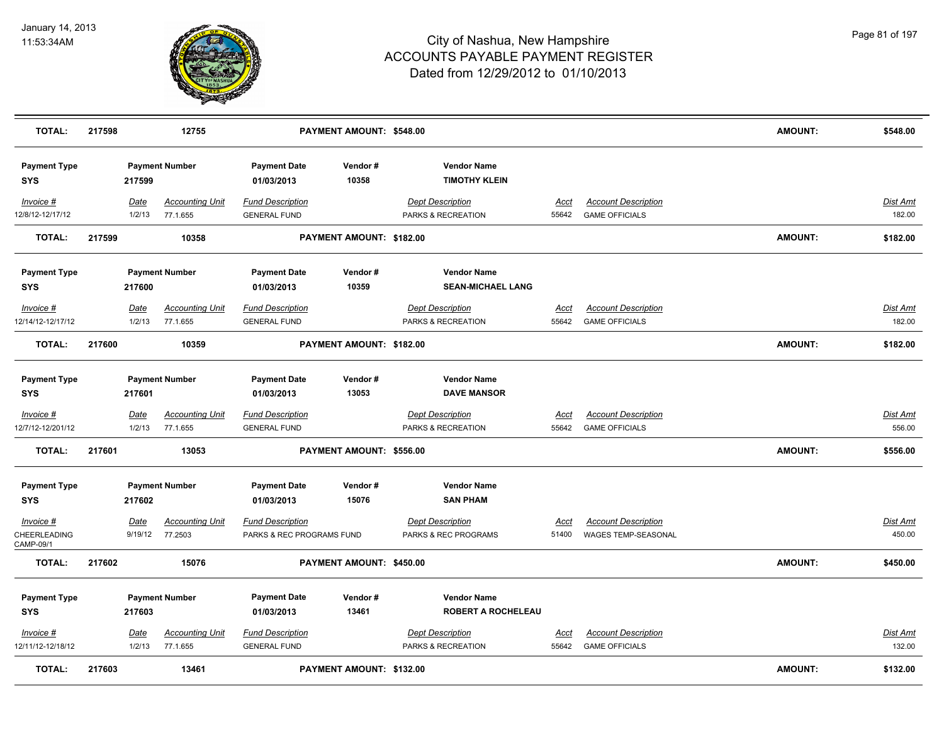

| <b>TOTAL:</b>                     | 217598 |                | 12755                              |                                                | PAYMENT AMOUNT: \$548.00 |                                               |                      |                                                     | <b>AMOUNT:</b> | \$548.00           |
|-----------------------------------|--------|----------------|------------------------------------|------------------------------------------------|--------------------------|-----------------------------------------------|----------------------|-----------------------------------------------------|----------------|--------------------|
| <b>Payment Type</b><br><b>SYS</b> |        | 217599         | <b>Payment Number</b>              | <b>Payment Date</b><br>01/03/2013              | Vendor#<br>10358         | <b>Vendor Name</b><br><b>TIMOTHY KLEIN</b>    |                      |                                                     |                |                    |
| Invoice #<br>12/8/12-12/17/12     |        | Date<br>1/2/13 | <b>Accounting Unit</b><br>77.1.655 | <b>Fund Description</b><br><b>GENERAL FUND</b> |                          | <b>Dept Description</b><br>PARKS & RECREATION | <u>Acct</u><br>55642 | <b>Account Description</b><br><b>GAME OFFICIALS</b> |                | Dist Amt<br>182.00 |
| <b>TOTAL:</b>                     | 217599 |                | 10358                              |                                                | PAYMENT AMOUNT: \$182.00 |                                               |                      |                                                     | <b>AMOUNT:</b> | \$182.00           |
| <b>Payment Type</b>               |        |                | <b>Payment Number</b>              | <b>Payment Date</b>                            | Vendor#                  | <b>Vendor Name</b>                            |                      |                                                     |                |                    |
| <b>SYS</b>                        |        | 217600         |                                    | 01/03/2013                                     | 10359                    | <b>SEAN-MICHAEL LANG</b>                      |                      |                                                     |                |                    |
| Invoice #<br>12/14/12-12/17/12    |        | Date<br>1/2/13 | <b>Accounting Unit</b><br>77.1.655 | <b>Fund Description</b><br><b>GENERAL FUND</b> |                          | <b>Dept Description</b><br>PARKS & RECREATION | Acct<br>55642        | <b>Account Description</b><br><b>GAME OFFICIALS</b> |                | Dist Amt<br>182.00 |
| <b>TOTAL:</b>                     | 217600 |                | 10359                              |                                                | PAYMENT AMOUNT: \$182.00 |                                               |                      |                                                     | AMOUNT:        | \$182.00           |
| <b>Payment Type</b>               |        |                | <b>Payment Number</b>              | <b>Payment Date</b>                            | Vendor#                  | <b>Vendor Name</b>                            |                      |                                                     |                |                    |
| <b>SYS</b>                        |        | 217601         |                                    | 01/03/2013                                     | 13053                    | <b>DAVE MANSOR</b>                            |                      |                                                     |                |                    |
| $Invoice$ #                       |        | <u>Date</u>    | <b>Accounting Unit</b>             | <b>Fund Description</b>                        |                          | <b>Dept Description</b>                       | <u>Acct</u>          | <b>Account Description</b>                          |                | <b>Dist Amt</b>    |
| 12/7/12-12/201/12                 |        | 1/2/13         | 77.1.655                           | <b>GENERAL FUND</b>                            |                          | PARKS & RECREATION                            | 55642                | <b>GAME OFFICIALS</b>                               |                | 556.00             |
| <b>TOTAL:</b>                     | 217601 |                | 13053                              |                                                | PAYMENT AMOUNT: \$556.00 |                                               |                      |                                                     | AMOUNT:        | \$556.00           |
| <b>Payment Type</b>               |        |                | <b>Payment Number</b>              | <b>Payment Date</b>                            | Vendor#                  | <b>Vendor Name</b>                            |                      |                                                     |                |                    |
| <b>SYS</b>                        |        | 217602         |                                    | 01/03/2013                                     | 15076                    | <b>SAN PHAM</b>                               |                      |                                                     |                |                    |
| Invoice #                         |        | Date           | <b>Accounting Unit</b>             | <b>Fund Description</b>                        |                          | <b>Dept Description</b>                       | Acct                 | <b>Account Description</b>                          |                | Dist Amt           |
| CHEERLEADING<br>CAMP-09/1         |        | 9/19/12        | 77.2503                            | PARKS & REC PROGRAMS FUND                      |                          | PARKS & REC PROGRAMS                          | 51400                | WAGES TEMP-SEASONAL                                 |                | 450.00             |
| <b>TOTAL:</b>                     | 217602 |                | 15076                              |                                                | PAYMENT AMOUNT: \$450.00 |                                               |                      |                                                     | <b>AMOUNT:</b> | \$450.00           |
| <b>Payment Type</b>               |        |                | <b>Payment Number</b>              | <b>Payment Date</b>                            | Vendor#                  | <b>Vendor Name</b>                            |                      |                                                     |                |                    |
| <b>SYS</b>                        |        | 217603         |                                    | 01/03/2013                                     | 13461                    | <b>ROBERT A ROCHELEAU</b>                     |                      |                                                     |                |                    |
| Invoice #<br>12/11/12-12/18/12    |        | Date<br>1/2/13 | <b>Accounting Unit</b><br>77.1.655 | <b>Fund Description</b><br><b>GENERAL FUND</b> |                          | <b>Dept Description</b><br>PARKS & RECREATION | <u>Acct</u><br>55642 | <b>Account Description</b><br><b>GAME OFFICIALS</b> |                | Dist Amt<br>132.00 |
| <b>TOTAL:</b>                     | 217603 |                | 13461                              |                                                | PAYMENT AMOUNT: \$132.00 |                                               |                      |                                                     | AMOUNT:        | \$132.00           |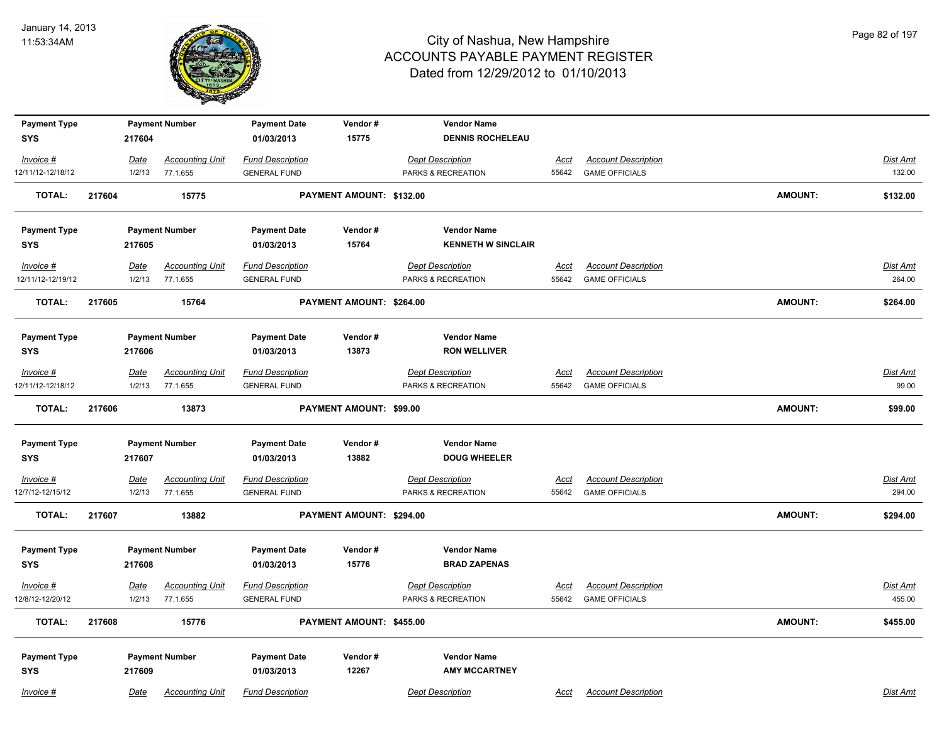

| <b>Payment Type</b><br><b>SYS</b> |        | 217604                | <b>Payment Number</b>              | <b>Payment Date</b><br>01/03/2013              | Vendor#<br>15775         | <b>Vendor Name</b><br><b>DENNIS ROCHELEAU</b> |                      |                                                     |                |                           |
|-----------------------------------|--------|-----------------------|------------------------------------|------------------------------------------------|--------------------------|-----------------------------------------------|----------------------|-----------------------------------------------------|----------------|---------------------------|
| Invoice #                         |        | Date                  | <b>Accounting Unit</b>             | <b>Fund Description</b>                        |                          | <b>Dept Description</b>                       | <u>Acct</u>          | <b>Account Description</b>                          |                | Dist Amt                  |
| 12/11/12-12/18/12                 |        | 1/2/13                | 77.1.655                           | <b>GENERAL FUND</b>                            |                          | PARKS & RECREATION                            | 55642                | <b>GAME OFFICIALS</b>                               |                | 132.00                    |
| <b>TOTAL:</b>                     | 217604 |                       | 15775                              |                                                | PAYMENT AMOUNT: \$132.00 |                                               |                      |                                                     | <b>AMOUNT:</b> | \$132.00                  |
| <b>Payment Type</b>               |        |                       | <b>Payment Number</b>              | <b>Payment Date</b>                            | Vendor#                  | <b>Vendor Name</b>                            |                      |                                                     |                |                           |
| <b>SYS</b>                        |        | 217605                |                                    | 01/03/2013                                     | 15764                    | <b>KENNETH W SINCLAIR</b>                     |                      |                                                     |                |                           |
| Invoice #                         |        | <u>Date</u>           | <b>Accounting Unit</b>             | <b>Fund Description</b>                        |                          | <b>Dept Description</b>                       | <u>Acct</u>          | <b>Account Description</b>                          |                | <b>Dist Amt</b>           |
| 12/11/12-12/19/12                 |        | 1/2/13                | 77.1.655                           | <b>GENERAL FUND</b>                            |                          | PARKS & RECREATION                            | 55642                | <b>GAME OFFICIALS</b>                               |                | 264.00                    |
| <b>TOTAL:</b>                     | 217605 |                       | 15764                              |                                                | PAYMENT AMOUNT: \$264.00 |                                               |                      |                                                     | <b>AMOUNT:</b> | \$264.00                  |
| <b>Payment Type</b>               |        |                       | <b>Payment Number</b>              | <b>Payment Date</b>                            | Vendor#                  | <b>Vendor Name</b>                            |                      |                                                     |                |                           |
| <b>SYS</b>                        |        | 217606                |                                    | 01/03/2013                                     | 13873                    | <b>RON WELLIVER</b>                           |                      |                                                     |                |                           |
| Invoice #<br>12/11/12-12/18/12    |        | Date<br>1/2/13        | <b>Accounting Unit</b><br>77.1.655 | <b>Fund Description</b><br><b>GENERAL FUND</b> |                          | <b>Dept Description</b><br>PARKS & RECREATION | Acct<br>55642        | <b>Account Description</b><br><b>GAME OFFICIALS</b> |                | Dist Amt<br>99.00         |
| <b>TOTAL:</b>                     | 217606 |                       | 13873                              |                                                | PAYMENT AMOUNT: \$99.00  |                                               |                      |                                                     | <b>AMOUNT:</b> | \$99.00                   |
| <b>Payment Type</b>               |        |                       | <b>Payment Number</b>              | <b>Payment Date</b>                            | Vendor#                  | <b>Vendor Name</b>                            |                      |                                                     |                |                           |
| <b>SYS</b>                        |        | 217607                |                                    | 01/03/2013                                     | 13882                    | <b>DOUG WHEELER</b>                           |                      |                                                     |                |                           |
| Invoice #                         |        | <u>Date</u>           | <b>Accounting Unit</b>             | <b>Fund Description</b>                        |                          | <b>Dept Description</b>                       | <u>Acct</u>          | <b>Account Description</b>                          |                | Dist Amt                  |
| 12/7/12-12/15/12                  |        | 1/2/13                | 77.1.655                           | <b>GENERAL FUND</b>                            |                          | PARKS & RECREATION                            | 55642                | <b>GAME OFFICIALS</b>                               |                | 294.00                    |
| <b>TOTAL:</b>                     | 217607 |                       | 13882                              |                                                | PAYMENT AMOUNT: \$294.00 |                                               |                      |                                                     | <b>AMOUNT:</b> | \$294.00                  |
| <b>Payment Type</b>               |        |                       | <b>Payment Number</b>              | <b>Payment Date</b>                            | Vendor#                  | <b>Vendor Name</b>                            |                      |                                                     |                |                           |
| <b>SYS</b>                        |        | 217608                |                                    | 01/03/2013                                     | 15776                    | <b>BRAD ZAPENAS</b>                           |                      |                                                     |                |                           |
| $Invoice$ #<br>12/8/12-12/20/12   |        | <u>Date</u><br>1/2/13 | <b>Accounting Unit</b><br>77.1.655 | <b>Fund Description</b><br><b>GENERAL FUND</b> |                          | <b>Dept Description</b><br>PARKS & RECREATION | <u>Acct</u><br>55642 | <b>Account Description</b><br><b>GAME OFFICIALS</b> |                | <b>Dist Amt</b><br>455.00 |
| <b>TOTAL:</b>                     | 217608 |                       | 15776                              |                                                | PAYMENT AMOUNT: \$455.00 |                                               |                      |                                                     | AMOUNT:        | \$455.00                  |
| <b>Payment Type</b>               |        |                       | <b>Payment Number</b>              | <b>Payment Date</b>                            | Vendor#                  | <b>Vendor Name</b>                            |                      |                                                     |                |                           |
| <b>SYS</b>                        |        | 217609                |                                    | 01/03/2013                                     | 12267                    | <b>AMY MCCARTNEY</b>                          |                      |                                                     |                |                           |
| Invoice #                         |        | Date                  | <b>Accounting Unit</b>             | <b>Fund Description</b>                        |                          | <b>Dept Description</b>                       | Acct                 | <b>Account Description</b>                          |                | Dist Amt                  |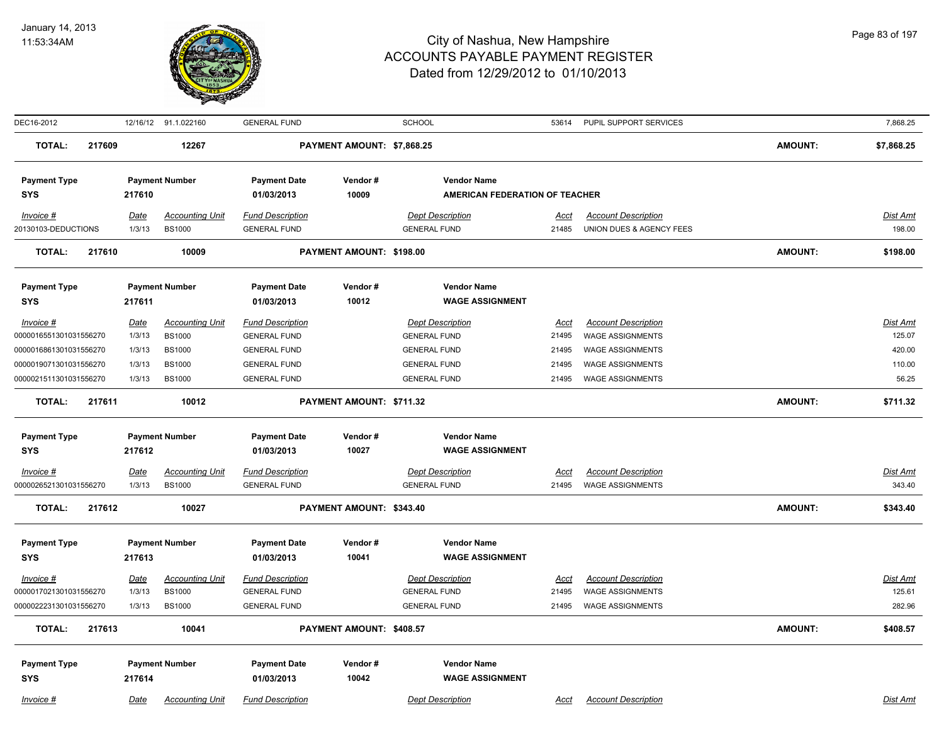

| DEC16-2012             |        |             | 12/16/12 91.1.022160   | <b>GENERAL FUND</b>     |                            | <b>SCHOOL</b>                  | 53614       | PUPIL SUPPORT SERVICES     |                | 7,868.25        |
|------------------------|--------|-------------|------------------------|-------------------------|----------------------------|--------------------------------|-------------|----------------------------|----------------|-----------------|
| <b>TOTAL:</b>          | 217609 |             | 12267                  |                         | PAYMENT AMOUNT: \$7,868.25 |                                |             |                            | <b>AMOUNT:</b> | \$7,868.25      |
| <b>Payment Type</b>    |        |             | <b>Payment Number</b>  | <b>Payment Date</b>     | Vendor#                    | <b>Vendor Name</b>             |             |                            |                |                 |
| <b>SYS</b>             |        | 217610      |                        | 01/03/2013              | 10009                      | AMERICAN FEDERATION OF TEACHER |             |                            |                |                 |
| Invoice #              |        | <u>Date</u> | <b>Accounting Unit</b> | <b>Fund Description</b> |                            | <b>Dept Description</b>        | Acct        | <b>Account Description</b> |                | Dist Amt        |
| 20130103-DEDUCTIONS    |        | 1/3/13      | <b>BS1000</b>          | <b>GENERAL FUND</b>     |                            | <b>GENERAL FUND</b>            | 21485       | UNION DUES & AGENCY FEES   |                | 198.00          |
| <b>TOTAL:</b>          | 217610 |             | 10009                  |                         | PAYMENT AMOUNT: \$198.00   |                                |             |                            | <b>AMOUNT:</b> | \$198.00        |
| <b>Payment Type</b>    |        |             | <b>Payment Number</b>  | <b>Payment Date</b>     | Vendor#                    | <b>Vendor Name</b>             |             |                            |                |                 |
| <b>SYS</b>             |        | 217611      |                        | 01/03/2013              | 10012                      | <b>WAGE ASSIGNMENT</b>         |             |                            |                |                 |
| Invoice #              |        | <b>Date</b> | <b>Accounting Unit</b> | <b>Fund Description</b> |                            | <b>Dept Description</b>        | <b>Acct</b> | <b>Account Description</b> |                | Dist Amt        |
| 0000016551301031556270 |        | 1/3/13      | <b>BS1000</b>          | <b>GENERAL FUND</b>     |                            | <b>GENERAL FUND</b>            | 21495       | <b>WAGE ASSIGNMENTS</b>    |                | 125.07          |
| 0000016861301031556270 |        | 1/3/13      | <b>BS1000</b>          | <b>GENERAL FUND</b>     |                            | <b>GENERAL FUND</b>            | 21495       | <b>WAGE ASSIGNMENTS</b>    |                | 420.00          |
| 0000019071301031556270 |        | 1/3/13      | <b>BS1000</b>          | <b>GENERAL FUND</b>     |                            | <b>GENERAL FUND</b>            | 21495       | <b>WAGE ASSIGNMENTS</b>    |                | 110.00          |
| 0000021511301031556270 |        | 1/3/13      | <b>BS1000</b>          | <b>GENERAL FUND</b>     |                            | <b>GENERAL FUND</b>            | 21495       | <b>WAGE ASSIGNMENTS</b>    |                | 56.25           |
| <b>TOTAL:</b>          | 217611 |             | 10012                  |                         | PAYMENT AMOUNT: \$711.32   |                                |             |                            | <b>AMOUNT:</b> | \$711.32        |
| <b>Payment Type</b>    |        |             | <b>Payment Number</b>  | <b>Payment Date</b>     | Vendor#                    | <b>Vendor Name</b>             |             |                            |                |                 |
| <b>SYS</b>             |        | 217612      |                        | 01/03/2013              | 10027                      | <b>WAGE ASSIGNMENT</b>         |             |                            |                |                 |
| $Invoice$ #            |        | <u>Date</u> | <b>Accounting Unit</b> | <b>Fund Description</b> |                            | <b>Dept Description</b>        | <u>Acct</u> | <b>Account Description</b> |                | <b>Dist Amt</b> |
| 0000026521301031556270 |        | 1/3/13      | <b>BS1000</b>          | <b>GENERAL FUND</b>     |                            | <b>GENERAL FUND</b>            | 21495       | <b>WAGE ASSIGNMENTS</b>    |                | 343.40          |
| <b>TOTAL:</b>          | 217612 |             | 10027                  |                         | PAYMENT AMOUNT: \$343.40   |                                |             |                            | <b>AMOUNT:</b> | \$343.40        |
| <b>Payment Type</b>    |        |             | <b>Payment Number</b>  | <b>Payment Date</b>     | Vendor#                    | <b>Vendor Name</b>             |             |                            |                |                 |
| <b>SYS</b>             |        | 217613      |                        | 01/03/2013              | 10041                      | <b>WAGE ASSIGNMENT</b>         |             |                            |                |                 |
| Invoice #              |        | <b>Date</b> | <b>Accounting Unit</b> | <b>Fund Description</b> |                            | <b>Dept Description</b>        | Acct        | <b>Account Description</b> |                | Dist Amt        |
| 0000017021301031556270 |        | 1/3/13      | <b>BS1000</b>          | <b>GENERAL FUND</b>     |                            | <b>GENERAL FUND</b>            | 21495       | <b>WAGE ASSIGNMENTS</b>    |                | 125.61          |
| 0000022231301031556270 |        | 1/3/13      | <b>BS1000</b>          | <b>GENERAL FUND</b>     |                            | <b>GENERAL FUND</b>            | 21495       | <b>WAGE ASSIGNMENTS</b>    |                | 282.96          |
| <b>TOTAL:</b>          | 217613 |             | 10041                  |                         | PAYMENT AMOUNT: \$408.57   |                                |             |                            | <b>AMOUNT:</b> | \$408.57        |
| <b>Payment Type</b>    |        |             | <b>Payment Number</b>  | <b>Payment Date</b>     | Vendor#                    | <b>Vendor Name</b>             |             |                            |                |                 |
| <b>SYS</b>             |        | 217614      |                        | 01/03/2013              | 10042                      | <b>WAGE ASSIGNMENT</b>         |             |                            |                |                 |
| Invoice #              |        | Date        | <b>Accounting Unit</b> | <b>Fund Description</b> |                            | <b>Dept Description</b>        | Acct        | <b>Account Description</b> |                | Dist Amt        |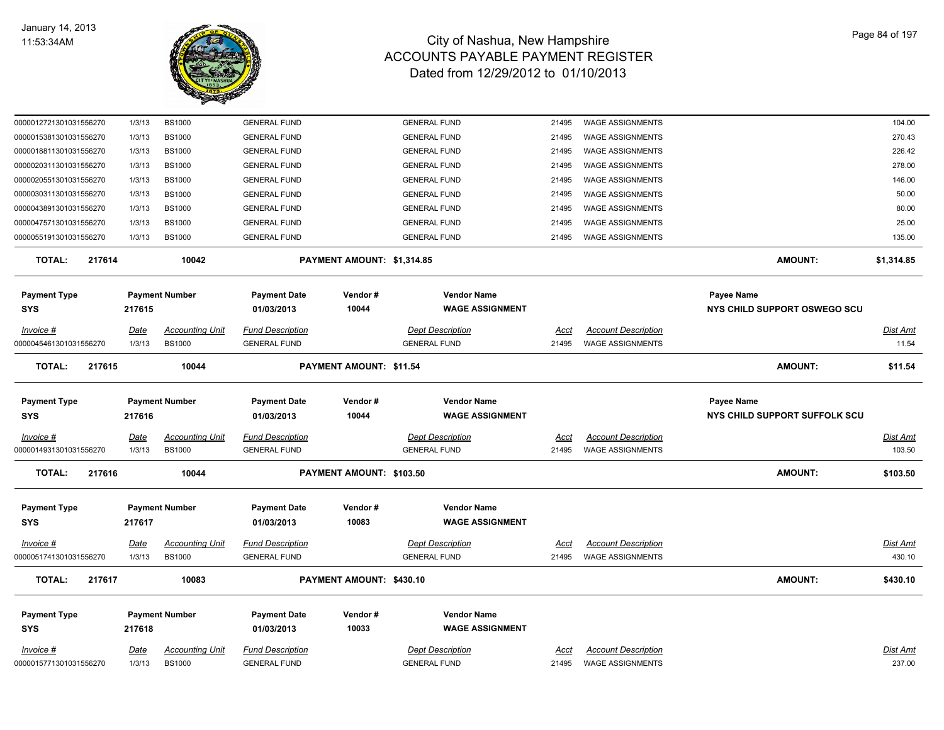

| 0000012721301031556270     | 1/3/13      | <b>BS1000</b>          | <b>GENERAL FUND</b>               |                            | <b>GENERAL FUND</b>                          | 21495       | <b>WAGE ASSIGNMENTS</b>    |                                            | 104.00          |
|----------------------------|-------------|------------------------|-----------------------------------|----------------------------|----------------------------------------------|-------------|----------------------------|--------------------------------------------|-----------------|
| 0000015381301031556270     | 1/3/13      | <b>BS1000</b>          | <b>GENERAL FUND</b>               |                            | <b>GENERAL FUND</b>                          | 21495       | <b>WAGE ASSIGNMENTS</b>    |                                            | 270.43          |
| 0000018811301031556270     | 1/3/13      | <b>BS1000</b>          | <b>GENERAL FUND</b>               |                            | <b>GENERAL FUND</b>                          | 21495       | WAGE ASSIGNMENTS           |                                            | 226.42          |
| 0000020311301031556270     | 1/3/13      | <b>BS1000</b>          | <b>GENERAL FUND</b>               |                            | <b>GENERAL FUND</b>                          | 21495       | <b>WAGE ASSIGNMENTS</b>    |                                            | 278.00          |
| 0000020551301031556270     | 1/3/13      | <b>BS1000</b>          | <b>GENERAL FUND</b>               |                            | <b>GENERAL FUND</b>                          | 21495       | <b>WAGE ASSIGNMENTS</b>    |                                            | 146.00          |
| 0000030311301031556270     | 1/3/13      | <b>BS1000</b>          | <b>GENERAL FUND</b>               |                            | <b>GENERAL FUND</b>                          | 21495       | <b>WAGE ASSIGNMENTS</b>    |                                            | 50.00           |
| 0000043891301031556270     | 1/3/13      | <b>BS1000</b>          | <b>GENERAL FUND</b>               |                            | <b>GENERAL FUND</b>                          | 21495       | <b>WAGE ASSIGNMENTS</b>    |                                            | 80.00           |
| 0000047571301031556270     | 1/3/13      | <b>BS1000</b>          | <b>GENERAL FUND</b>               |                            | <b>GENERAL FUND</b>                          | 21495       | <b>WAGE ASSIGNMENTS</b>    |                                            | 25.00           |
| 0000055191301031556270     | 1/3/13      | <b>BS1000</b>          | <b>GENERAL FUND</b>               |                            | <b>GENERAL FUND</b>                          | 21495       | <b>WAGE ASSIGNMENTS</b>    |                                            | 135.00          |
| <b>TOTAL:</b><br>217614    |             | 10042                  |                                   | PAYMENT AMOUNT: \$1,314.85 |                                              |             |                            | <b>AMOUNT:</b>                             | \$1,314.85      |
| <b>Payment Type</b><br>SYS | 217615      | <b>Payment Number</b>  | <b>Payment Date</b><br>01/03/2013 | Vendor #<br>10044          | <b>Vendor Name</b><br><b>WAGE ASSIGNMENT</b> |             |                            | Payee Name<br>NYS CHILD SUPPORT OSWEGO SCU |                 |
| Invoice #                  | <u>Date</u> | <b>Accounting Unit</b> | <b>Fund Description</b>           |                            | <b>Dept Description</b>                      | Acct        | <b>Account Description</b> |                                            | Dist Amt        |
| 0000045461301031556270     | 1/3/13      | <b>BS1000</b>          | <b>GENERAL FUND</b>               |                            | <b>GENERAL FUND</b>                          | 21495       | <b>WAGE ASSIGNMENTS</b>    |                                            | 11.54           |
| <b>TOTAL:</b><br>217615    |             | 10044                  |                                   | PAYMENT AMOUNT: \$11.54    |                                              |             |                            | <b>AMOUNT:</b>                             | \$11.54         |
| <b>Payment Type</b>        |             | <b>Payment Number</b>  | <b>Payment Date</b>               | Vendor#                    | <b>Vendor Name</b>                           |             |                            | Payee Name                                 |                 |
| SYS                        | 217616      |                        | 01/03/2013                        | 10044                      | <b>WAGE ASSIGNMENT</b>                       |             |                            | NYS CHILD SUPPORT SUFFOLK SCU              |                 |
| Invoice #                  | <u>Date</u> | <b>Accounting Unit</b> | <b>Fund Description</b>           |                            | <b>Dept Description</b>                      | Acct        | <b>Account Description</b> |                                            | Dist Amt        |
| 0000014931301031556270     | 1/3/13      | <b>BS1000</b>          | <b>GENERAL FUND</b>               |                            | <b>GENERAL FUND</b>                          | 21495       | <b>WAGE ASSIGNMENTS</b>    |                                            | 103.50          |
| <b>TOTAL:</b><br>217616    |             | 10044                  |                                   | PAYMENT AMOUNT: \$103.50   |                                              |             |                            | <b>AMOUNT:</b>                             | \$103.50        |
|                            |             |                        |                                   |                            |                                              |             |                            |                                            |                 |
| <b>Payment Type</b>        |             | <b>Payment Number</b>  | <b>Payment Date</b>               | Vendor#                    | <b>Vendor Name</b>                           |             |                            |                                            |                 |
| SYS                        | 217617      |                        | 01/03/2013                        | 10083                      | <b>WAGE ASSIGNMENT</b>                       |             |                            |                                            |                 |
| $Invoice$ #                | <u>Date</u> | <u>Accounting Unit</u> | <u>Fund Description</u>           |                            | <b>Dept Description</b>                      | <u>Acct</u> | <b>Account Description</b> |                                            | <u>Dist Amt</u> |
| 0000051741301031556270     | 1/3/13      | <b>BS1000</b>          | <b>GENERAL FUND</b>               |                            | <b>GENERAL FUND</b>                          | 21495       | <b>WAGE ASSIGNMENTS</b>    |                                            | 430.10          |
| <b>TOTAL:</b><br>217617    |             | 10083                  |                                   | PAYMENT AMOUNT: \$430.10   |                                              |             |                            | <b>AMOUNT:</b>                             | \$430.10        |
| <b>Payment Type</b>        |             | <b>Payment Number</b>  | <b>Payment Date</b>               | Vendor #                   | <b>Vendor Name</b>                           |             |                            |                                            |                 |
| <b>SYS</b>                 | 217618      |                        | 01/03/2013                        | 10033                      | <b>WAGE ASSIGNMENT</b>                       |             |                            |                                            |                 |
|                            |             |                        |                                   |                            |                                              |             |                            |                                            |                 |
| Invoice #                  | Date        | <b>Accounting Unit</b> | <b>Fund Description</b>           |                            | <b>Dept Description</b>                      | Acct        | <b>Account Description</b> |                                            | Dist Amt        |
| 0000015771301031556270     | 1/3/13      | <b>BS1000</b>          | <b>GENERAL FUND</b>               |                            | <b>GENERAL FUND</b>                          | 21495       | <b>WAGE ASSIGNMENTS</b>    |                                            | 237.00          |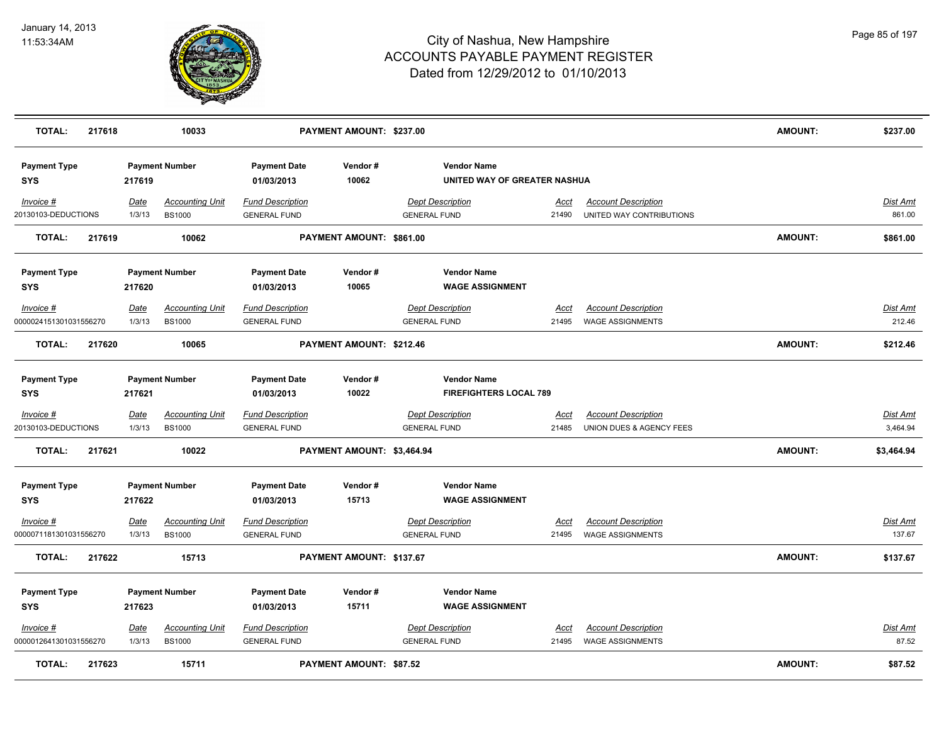

| <b>TOTAL:</b>                     | 217618 |             | 10033                  |                                   | PAYMENT AMOUNT: \$237.00       |                                                    |             |                            | <b>AMOUNT:</b> | \$237.00        |
|-----------------------------------|--------|-------------|------------------------|-----------------------------------|--------------------------------|----------------------------------------------------|-------------|----------------------------|----------------|-----------------|
| <b>Payment Type</b><br><b>SYS</b> |        | 217619      | <b>Payment Number</b>  | <b>Payment Date</b><br>01/03/2013 | Vendor#<br>10062               | <b>Vendor Name</b><br>UNITED WAY OF GREATER NASHUA |             |                            |                |                 |
| Invoice #                         |        | Date        | <b>Accounting Unit</b> | <b>Fund Description</b>           |                                | <b>Dept Description</b>                            | <u>Acct</u> | <b>Account Description</b> |                | Dist Amt        |
| 20130103-DEDUCTIONS               |        | 1/3/13      | <b>BS1000</b>          | <b>GENERAL FUND</b>               |                                | <b>GENERAL FUND</b>                                | 21490       | UNITED WAY CONTRIBUTIONS   |                | 861.00          |
| <b>TOTAL:</b>                     | 217619 |             | 10062                  |                                   | PAYMENT AMOUNT: \$861.00       |                                                    |             |                            | <b>AMOUNT:</b> | \$861.00        |
| <b>Payment Type</b>               |        |             | <b>Payment Number</b>  | <b>Payment Date</b>               | Vendor#                        | <b>Vendor Name</b>                                 |             |                            |                |                 |
| <b>SYS</b>                        |        | 217620      |                        | 01/03/2013                        | 10065                          | <b>WAGE ASSIGNMENT</b>                             |             |                            |                |                 |
| Invoice #                         |        | Date        | <b>Accounting Unit</b> | <b>Fund Description</b>           |                                | <b>Dept Description</b>                            | Acct        | <b>Account Description</b> |                | Dist Amt        |
| 0000024151301031556270            |        | 1/3/13      | <b>BS1000</b>          | <b>GENERAL FUND</b>               |                                | <b>GENERAL FUND</b>                                | 21495       | <b>WAGE ASSIGNMENTS</b>    |                | 212.46          |
| <b>TOTAL:</b>                     | 217620 |             | 10065                  |                                   | PAYMENT AMOUNT: \$212.46       |                                                    |             |                            | <b>AMOUNT:</b> | \$212.46        |
| <b>Payment Type</b>               |        |             | <b>Payment Number</b>  | <b>Payment Date</b>               | Vendor#                        | <b>Vendor Name</b>                                 |             |                            |                |                 |
| <b>SYS</b>                        |        | 217621      |                        | 01/03/2013                        | 10022                          | <b>FIREFIGHTERS LOCAL 789</b>                      |             |                            |                |                 |
| $Invoice$ #                       |        | <b>Date</b> | <b>Accounting Unit</b> | <b>Fund Description</b>           |                                | <b>Dept Description</b>                            | <u>Acct</u> | <b>Account Description</b> |                | <u>Dist Amt</u> |
| 20130103-DEDUCTIONS               |        | 1/3/13      | <b>BS1000</b>          | <b>GENERAL FUND</b>               |                                | <b>GENERAL FUND</b>                                | 21485       | UNION DUES & AGENCY FEES   |                | 3,464.94        |
| <b>TOTAL:</b>                     | 217621 |             | 10022                  |                                   | PAYMENT AMOUNT: \$3,464.94     |                                                    |             |                            | <b>AMOUNT:</b> | \$3,464.94      |
| <b>Payment Type</b>               |        |             | <b>Payment Number</b>  | <b>Payment Date</b>               | Vendor#                        | <b>Vendor Name</b>                                 |             |                            |                |                 |
| <b>SYS</b>                        |        | 217622      |                        | 01/03/2013                        | 15713                          | <b>WAGE ASSIGNMENT</b>                             |             |                            |                |                 |
| Invoice #                         |        | Date        | <b>Accounting Unit</b> | <b>Fund Description</b>           |                                | <b>Dept Description</b>                            | Acct        | <b>Account Description</b> |                | Dist Amt        |
| 0000071181301031556270            |        | 1/3/13      | <b>BS1000</b>          | <b>GENERAL FUND</b>               |                                | <b>GENERAL FUND</b>                                | 21495       | <b>WAGE ASSIGNMENTS</b>    |                | 137.67          |
| <b>TOTAL:</b>                     | 217622 |             | 15713                  |                                   | PAYMENT AMOUNT: \$137.67       |                                                    |             |                            | AMOUNT:        | \$137.67        |
| <b>Payment Type</b>               |        |             | <b>Payment Number</b>  | <b>Payment Date</b>               | Vendor#                        | <b>Vendor Name</b>                                 |             |                            |                |                 |
| <b>SYS</b>                        |        | 217623      |                        | 01/03/2013                        | 15711                          | <b>WAGE ASSIGNMENT</b>                             |             |                            |                |                 |
| Invoice #                         |        | Date        | <b>Accounting Unit</b> | <b>Fund Description</b>           |                                | <b>Dept Description</b>                            | <u>Acct</u> | <b>Account Description</b> |                | Dist Amt        |
| 0000012641301031556270            |        | 1/3/13      | <b>BS1000</b>          | <b>GENERAL FUND</b>               |                                | <b>GENERAL FUND</b>                                | 21495       | <b>WAGE ASSIGNMENTS</b>    |                | 87.52           |
| <b>TOTAL:</b>                     | 217623 |             | 15711                  |                                   | <b>PAYMENT AMOUNT: \$87.52</b> |                                                    |             |                            | <b>AMOUNT:</b> | \$87.52         |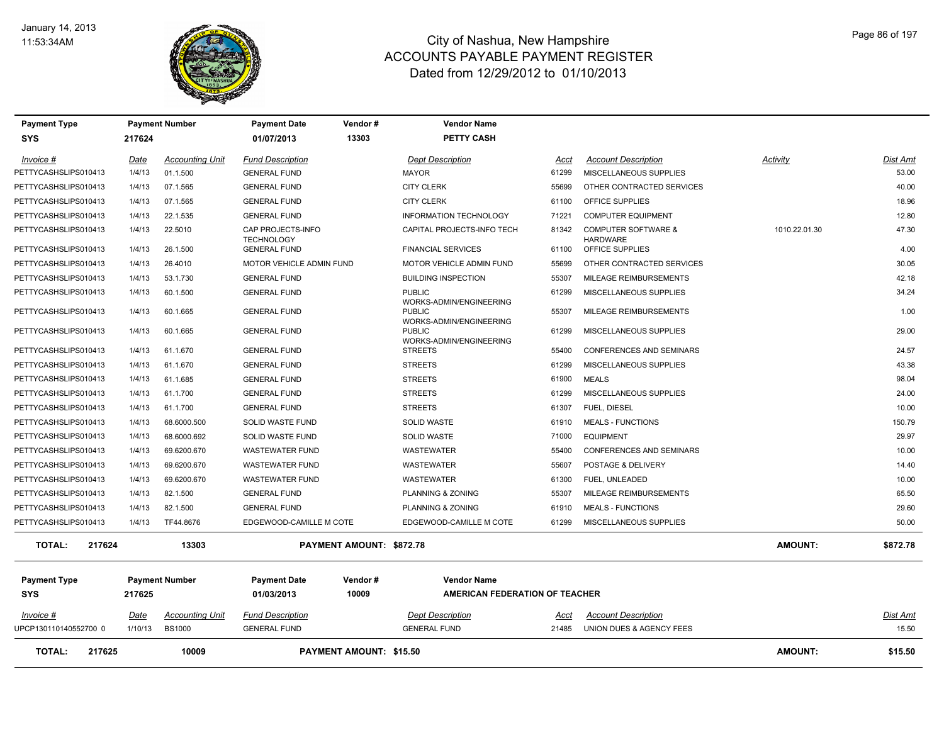

| <b>Payment Type</b>     |             | <b>Payment Number</b>  | <b>Payment Date</b>                    | Vendor #                        | <b>Vendor Name</b>                       |             |                                                   |                |                 |
|-------------------------|-------------|------------------------|----------------------------------------|---------------------------------|------------------------------------------|-------------|---------------------------------------------------|----------------|-----------------|
| <b>SYS</b>              | 217624      |                        | 01/07/2013                             | 13303                           | <b>PETTY CASH</b>                        |             |                                                   |                |                 |
| Invoice #               | Date        | <b>Accounting Unit</b> | <b>Fund Description</b>                |                                 | <b>Dept Description</b>                  | Acct        | <b>Account Description</b>                        | Activity       | Dist Amt        |
| PETTYCASHSLIPS010413    | 1/4/13      | 01.1.500               | <b>GENERAL FUND</b>                    |                                 | <b>MAYOR</b>                             | 61299       | MISCELLANEOUS SUPPLIES                            |                | 53.00           |
| PETTYCASHSLIPS010413    | 1/4/13      | 07.1.565               | <b>GENERAL FUND</b>                    |                                 | <b>CITY CLERK</b>                        | 55699       | OTHER CONTRACTED SERVICES                         |                | 40.00           |
| PETTYCASHSLIPS010413    | 1/4/13      | 07.1.565               | <b>GENERAL FUND</b>                    |                                 | <b>CITY CLERK</b>                        | 61100       | OFFICE SUPPLIES                                   |                | 18.96           |
| PETTYCASHSLIPS010413    | 1/4/13      | 22.1.535               | <b>GENERAL FUND</b>                    |                                 | INFORMATION TECHNOLOGY                   | 71221       | <b>COMPUTER EQUIPMENT</b>                         |                | 12.80           |
| PETTYCASHSLIPS010413    | 1/4/13      | 22.5010                | CAP PROJECTS-INFO<br><b>TECHNOLOGY</b> |                                 | CAPITAL PROJECTS-INFO TECH               | 81342       | <b>COMPUTER SOFTWARE &amp;</b><br><b>HARDWARE</b> | 1010.22.01.30  | 47.30           |
| PETTYCASHSLIPS010413    | 1/4/13      | 26.1.500               | <b>GENERAL FUND</b>                    |                                 | <b>FINANCIAL SERVICES</b>                | 61100       | OFFICE SUPPLIES                                   |                | 4.00            |
| PETTYCASHSLIPS010413    | 1/4/13      | 26,4010                | MOTOR VEHICLE ADMIN FUND               |                                 | <b>MOTOR VEHICLE ADMIN FUND</b>          | 55699       | OTHER CONTRACTED SERVICES                         |                | 30.05           |
| PETTYCASHSLIPS010413    | 1/4/13      | 53.1.730               | <b>GENERAL FUND</b>                    |                                 | <b>BUILDING INSPECTION</b>               | 55307       | MILEAGE REIMBURSEMENTS                            |                | 42.18           |
| PETTYCASHSLIPS010413    | 1/4/13      | 60.1.500               | <b>GENERAL FUND</b>                    |                                 | <b>PUBLIC</b><br>WORKS-ADMIN/ENGINEERING | 61299       | MISCELLANEOUS SUPPLIES                            |                | 34.24           |
| PETTYCASHSLIPS010413    | 1/4/13      | 60.1.665               | <b>GENERAL FUND</b>                    |                                 | <b>PUBLIC</b><br>WORKS-ADMIN/ENGINEERING | 55307       | MILEAGE REIMBURSEMENTS                            |                | 1.00            |
| PETTYCASHSLIPS010413    | 1/4/13      | 60.1.665               | <b>GENERAL FUND</b>                    |                                 | <b>PUBLIC</b><br>WORKS-ADMIN/ENGINEERING | 61299       | MISCELLANEOUS SUPPLIES                            |                | 29.00           |
| PETTYCASHSLIPS010413    | 1/4/13      | 61.1.670               | <b>GENERAL FUND</b>                    |                                 | <b>STREETS</b>                           | 55400       | CONFERENCES AND SEMINARS                          |                | 24.57           |
| PETTYCASHSLIPS010413    | 1/4/13      | 61.1.670               | <b>GENERAL FUND</b>                    |                                 | <b>STREETS</b>                           | 61299       | MISCELLANEOUS SUPPLIES                            |                | 43.38           |
| PETTYCASHSLIPS010413    | 1/4/13      | 61.1.685               | <b>GENERAL FUND</b>                    |                                 | <b>STREETS</b>                           | 61900       | <b>MEALS</b>                                      |                | 98.04           |
| PETTYCASHSLIPS010413    | 1/4/13      | 61.1.700               | <b>GENERAL FUND</b>                    |                                 | <b>STREETS</b>                           | 61299       | MISCELLANEOUS SUPPLIES                            |                | 24.00           |
| PETTYCASHSLIPS010413    | 1/4/13      | 61.1.700               | <b>GENERAL FUND</b>                    |                                 | <b>STREETS</b>                           | 61307       | <b>FUEL, DIESEL</b>                               |                | 10.00           |
| PETTYCASHSLIPS010413    | 1/4/13      | 68.6000.500            | <b>SOLID WASTE FUND</b>                |                                 | <b>SOLID WASTE</b>                       | 61910       | <b>MEALS - FUNCTIONS</b>                          |                | 150.79          |
| PETTYCASHSLIPS010413    | 1/4/13      | 68.6000.692            | <b>SOLID WASTE FUND</b>                |                                 | <b>SOLID WASTE</b>                       | 71000       | <b>EQUIPMENT</b>                                  |                | 29.97           |
| PETTYCASHSLIPS010413    | 1/4/13      | 69.6200.670            | <b>WASTEWATER FUND</b>                 |                                 | <b>WASTEWATER</b>                        | 55400       | <b>CONFERENCES AND SEMINARS</b>                   |                | 10.00           |
| PETTYCASHSLIPS010413    | 1/4/13      | 69.6200.670            | <b>WASTEWATER FUND</b>                 |                                 | <b>WASTEWATER</b>                        | 55607       | POSTAGE & DELIVERY                                |                | 14.40           |
| PETTYCASHSLIPS010413    | 1/4/13      | 69.6200.670            | <b>WASTEWATER FUND</b>                 |                                 | <b>WASTEWATER</b>                        | 61300       | FUEL, UNLEADED                                    |                | 10.00           |
| PETTYCASHSLIPS010413    | 1/4/13      | 82.1.500               | <b>GENERAL FUND</b>                    |                                 | PLANNING & ZONING                        | 55307       | MILEAGE REIMBURSEMENTS                            |                | 65.50           |
| PETTYCASHSLIPS010413    | 1/4/13      | 82.1.500               | <b>GENERAL FUND</b>                    |                                 | PLANNING & ZONING                        | 61910       | <b>MEALS - FUNCTIONS</b>                          |                | 29.60           |
| PETTYCASHSLIPS010413    | 1/4/13      | TF44.8676              | EDGEWOOD-CAMILLE M COTE                |                                 | EDGEWOOD-CAMILLE M COTE                  | 61299       | MISCELLANEOUS SUPPLIES                            |                | 50.00           |
| <b>TOTAL:</b><br>217624 |             | 13303                  |                                        | <b>PAYMENT AMOUNT: \$872.78</b> |                                          |             |                                                   | <b>AMOUNT:</b> | \$872.78        |
| <b>Payment Type</b>     |             | <b>Payment Number</b>  | <b>Payment Date</b>                    | Vendor#                         | <b>Vendor Name</b>                       |             |                                                   |                |                 |
| <b>SYS</b>              | 217625      |                        | 01/03/2013                             | 10009                           | AMERICAN FEDERATION OF TEACHER           |             |                                                   |                |                 |
| $Invoice$ #             | <b>Date</b> | <u>Accounting Unit</u> | <b>Fund Description</b>                |                                 | <b>Dept Description</b>                  | <u>Acct</u> | <b>Account Description</b>                        |                | <u>Dist Amt</u> |
| UPCP130110140552700 0   | 1/10/13     | <b>BS1000</b>          | <b>GENERAL FUND</b>                    |                                 | <b>GENERAL FUND</b>                      | 21485       | UNION DUES & AGENCY FEES                          |                | 15.50           |
| 217625<br><b>TOTAL:</b> |             | 10009                  |                                        | <b>PAYMENT AMOUNT: \$15.50</b>  |                                          |             |                                                   | <b>AMOUNT:</b> | \$15.50         |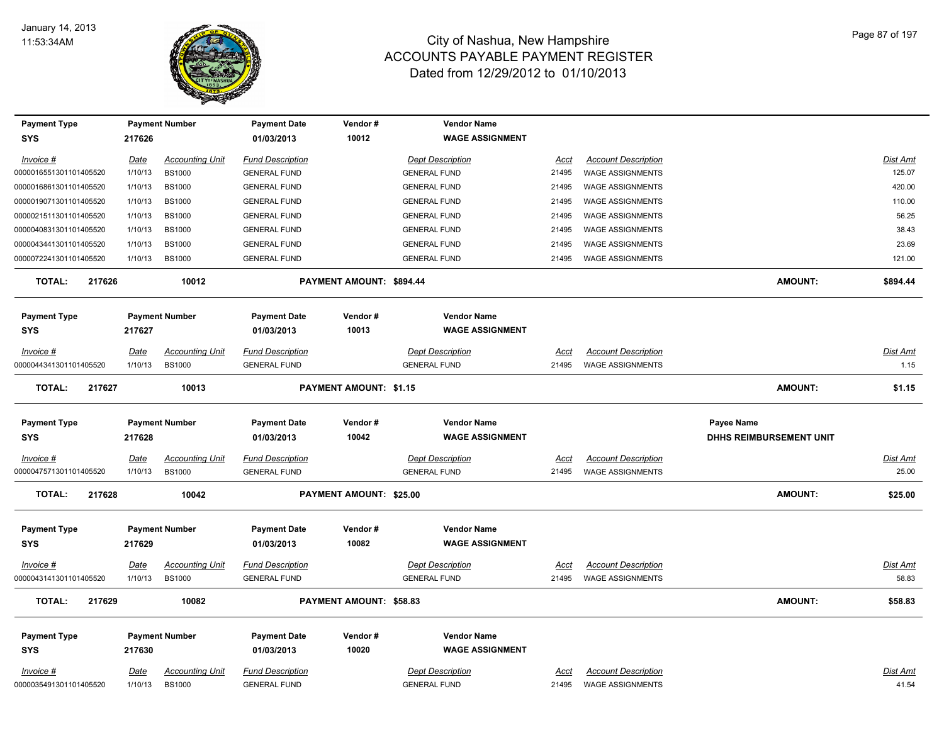

| <b>Payment Type</b>        |             | <b>Payment Number</b>  | <b>Payment Date</b>               | Vendor#                  | <b>Vendor Name</b>                           |             |                            |                         |                 |
|----------------------------|-------------|------------------------|-----------------------------------|--------------------------|----------------------------------------------|-------------|----------------------------|-------------------------|-----------------|
| <b>SYS</b>                 | 217626      |                        | 01/03/2013                        | 10012                    | <b>WAGE ASSIGNMENT</b>                       |             |                            |                         |                 |
| Invoice #                  | <u>Date</u> | <b>Accounting Unit</b> | <b>Fund Description</b>           |                          | <b>Dept Description</b>                      | <u>Acct</u> | <b>Account Description</b> |                         | <b>Dist Amt</b> |
| 0000016551301101405520     | 1/10/13     | <b>BS1000</b>          | <b>GENERAL FUND</b>               |                          | <b>GENERAL FUND</b>                          | 21495       | <b>WAGE ASSIGNMENTS</b>    |                         | 125.07          |
| 0000016861301101405520     | 1/10/13     | <b>BS1000</b>          | <b>GENERAL FUND</b>               |                          | <b>GENERAL FUND</b>                          | 21495       | <b>WAGE ASSIGNMENTS</b>    |                         | 420.00          |
| 0000019071301101405520     | 1/10/13     | <b>BS1000</b>          | <b>GENERAL FUND</b>               |                          | <b>GENERAL FUND</b>                          | 21495       | <b>WAGE ASSIGNMENTS</b>    |                         | 110.00          |
| 0000021511301101405520     | 1/10/13     | <b>BS1000</b>          | <b>GENERAL FUND</b>               |                          | <b>GENERAL FUND</b>                          | 21495       | <b>WAGE ASSIGNMENTS</b>    |                         | 56.25           |
| 0000040831301101405520     | 1/10/13     | <b>BS1000</b>          | <b>GENERAL FUND</b>               |                          | <b>GENERAL FUND</b>                          | 21495       | <b>WAGE ASSIGNMENTS</b>    |                         | 38.43           |
| 0000043441301101405520     | 1/10/13     | <b>BS1000</b>          | <b>GENERAL FUND</b>               |                          | <b>GENERAL FUND</b>                          | 21495       | <b>WAGE ASSIGNMENTS</b>    |                         | 23.69           |
| 0000072241301101405520     | 1/10/13     | <b>BS1000</b>          | <b>GENERAL FUND</b>               |                          | <b>GENERAL FUND</b>                          | 21495       | <b>WAGE ASSIGNMENTS</b>    |                         | 121.00          |
| <b>TOTAL:</b><br>217626    |             | 10012                  |                                   | PAYMENT AMOUNT: \$894.44 |                                              |             |                            | <b>AMOUNT:</b>          | \$894.44        |
| <b>Payment Type</b><br>SYS | 217627      | <b>Payment Number</b>  | <b>Payment Date</b><br>01/03/2013 | Vendor#<br>10013         | <b>Vendor Name</b><br><b>WAGE ASSIGNMENT</b> |             |                            |                         |                 |
| Invoice #                  | Date        | <b>Accounting Unit</b> | <b>Fund Description</b>           |                          | <b>Dept Description</b>                      | Acct        | <b>Account Description</b> |                         | <u>Dist Amt</u> |
| 0000044341301101405520     | 1/10/13     | <b>BS1000</b>          | <b>GENERAL FUND</b>               |                          | <b>GENERAL FUND</b>                          | 21495       | <b>WAGE ASSIGNMENTS</b>    |                         | 1.15            |
| <b>TOTAL:</b><br>217627    |             | 10013                  |                                   | PAYMENT AMOUNT: \$1.15   |                                              |             |                            | <b>AMOUNT:</b>          | \$1.15          |
| <b>Payment Type</b>        |             | <b>Payment Number</b>  | <b>Payment Date</b>               | Vendor#                  | <b>Vendor Name</b>                           |             |                            | Payee Name              |                 |
| SYS                        | 217628      |                        | 01/03/2013                        | 10042                    | <b>WAGE ASSIGNMENT</b>                       |             |                            | DHHS REIMBURSEMENT UNIT |                 |
| Invoice #                  | <b>Date</b> | <b>Accounting Unit</b> | <b>Fund Description</b>           |                          | <b>Dept Description</b>                      | Acct        | <b>Account Description</b> |                         | Dist Amt        |
| 0000047571301101405520     | 1/10/13     | <b>BS1000</b>          | <b>GENERAL FUND</b>               |                          | <b>GENERAL FUND</b>                          | 21495       | <b>WAGE ASSIGNMENTS</b>    |                         | 25.00           |
| <b>TOTAL:</b><br>217628    |             | 10042                  |                                   | PAYMENT AMOUNT: \$25.00  |                                              |             |                            | <b>AMOUNT:</b>          | \$25.00         |
| <b>Payment Type</b>        |             | <b>Payment Number</b>  | <b>Payment Date</b>               | Vendor#                  | <b>Vendor Name</b>                           |             |                            |                         |                 |
| <b>SYS</b>                 | 217629      |                        | 01/03/2013                        | 10082                    | <b>WAGE ASSIGNMENT</b>                       |             |                            |                         |                 |
| $Invoice$ #                | <u>Date</u> | <u>Accounting Unit</u> | <b>Fund Description</b>           |                          | <b>Dept Description</b>                      | <u>Acct</u> | <b>Account Description</b> |                         | <b>Dist Amt</b> |
| 0000043141301101405520     | 1/10/13     | <b>BS1000</b>          | <b>GENERAL FUND</b>               |                          | <b>GENERAL FUND</b>                          | 21495       | <b>WAGE ASSIGNMENTS</b>    |                         | 58.83           |
| <b>TOTAL:</b><br>217629    |             | 10082                  |                                   | PAYMENT AMOUNT: \$58.83  |                                              |             |                            | <b>AMOUNT:</b>          | \$58.83         |
| <b>Payment Type</b>        |             | <b>Payment Number</b>  | <b>Payment Date</b>               | Vendor#                  | <b>Vendor Name</b>                           |             |                            |                         |                 |
| SYS                        | 217630      |                        | 01/03/2013                        | 10020                    | <b>WAGE ASSIGNMENT</b>                       |             |                            |                         |                 |
| $Invoice$ #                | <u>Date</u> | <b>Accounting Unit</b> | <b>Fund Description</b>           |                          | <b>Dept Description</b>                      | <u>Acct</u> | <b>Account Description</b> |                         | <u>Dist Amt</u> |
| 0000035491301101405520     | 1/10/13     | <b>BS1000</b>          | <b>GENERAL FUND</b>               |                          | <b>GENERAL FUND</b>                          | 21495       | <b>WAGE ASSIGNMENTS</b>    |                         | 41.54           |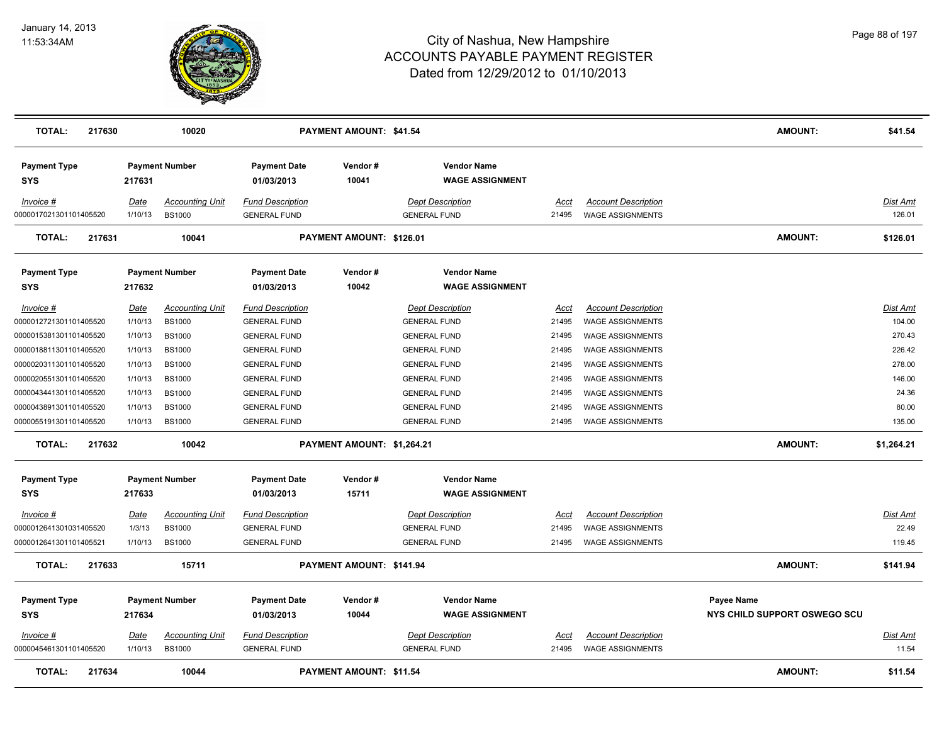

| <b>TOTAL:</b><br>217630           |             | 10020                  |                                   | <b>PAYMENT AMOUNT: \$41.54</b> |                                              |             |                            | <b>AMOUNT:</b>                             | \$41.54         |
|-----------------------------------|-------------|------------------------|-----------------------------------|--------------------------------|----------------------------------------------|-------------|----------------------------|--------------------------------------------|-----------------|
| <b>Payment Type</b><br><b>SYS</b> | 217631      | <b>Payment Number</b>  | <b>Payment Date</b><br>01/03/2013 | Vendor#<br>10041               | <b>Vendor Name</b><br><b>WAGE ASSIGNMENT</b> |             |                            |                                            |                 |
| Invoice #                         | <b>Date</b> | <b>Accounting Unit</b> | <b>Fund Description</b>           |                                | <b>Dept Description</b>                      | Acct        | <b>Account Description</b> |                                            | Dist Amt        |
| 0000017021301101405520            | 1/10/13     | <b>BS1000</b>          | <b>GENERAL FUND</b>               |                                | <b>GENERAL FUND</b>                          | 21495       | <b>WAGE ASSIGNMENTS</b>    |                                            | 126.01          |
| <b>TOTAL:</b><br>217631           |             | 10041                  |                                   | PAYMENT AMOUNT: \$126.01       |                                              |             |                            | <b>AMOUNT:</b>                             | \$126.01        |
| <b>Payment Type</b><br><b>SYS</b> | 217632      | <b>Payment Number</b>  | <b>Payment Date</b><br>01/03/2013 | Vendor#<br>10042               | <b>Vendor Name</b><br><b>WAGE ASSIGNMENT</b> |             |                            |                                            |                 |
| Invoice #                         | Date        | <b>Accounting Unit</b> | <b>Fund Description</b>           |                                | <b>Dept Description</b>                      | Acct        | <b>Account Description</b> |                                            | Dist Amt        |
| 0000012721301101405520            | 1/10/13     | <b>BS1000</b>          | <b>GENERAL FUND</b>               |                                | <b>GENERAL FUND</b>                          | 21495       | <b>WAGE ASSIGNMENTS</b>    |                                            | 104.00          |
| 0000015381301101405520            | 1/10/13     | <b>BS1000</b>          | <b>GENERAL FUND</b>               |                                | <b>GENERAL FUND</b>                          | 21495       | <b>WAGE ASSIGNMENTS</b>    |                                            | 270.43          |
| 0000018811301101405520            | 1/10/13     | <b>BS1000</b>          | <b>GENERAL FUND</b>               |                                | <b>GENERAL FUND</b>                          | 21495       | <b>WAGE ASSIGNMENTS</b>    |                                            | 226.42          |
| 0000020311301101405520            | 1/10/13     | <b>BS1000</b>          | <b>GENERAL FUND</b>               |                                | <b>GENERAL FUND</b>                          | 21495       | WAGE ASSIGNMENTS           |                                            | 278.00          |
| 0000020551301101405520            | 1/10/13     | <b>BS1000</b>          | <b>GENERAL FUND</b>               |                                | <b>GENERAL FUND</b>                          | 21495       | <b>WAGE ASSIGNMENTS</b>    |                                            | 146.00          |
| 0000043441301101405520            | 1/10/13     | <b>BS1000</b>          | <b>GENERAL FUND</b>               |                                | <b>GENERAL FUND</b>                          | 21495       | WAGE ASSIGNMENTS           |                                            | 24.36           |
| 0000043891301101405520            | 1/10/13     | <b>BS1000</b>          | <b>GENERAL FUND</b>               |                                | <b>GENERAL FUND</b>                          | 21495       | <b>WAGE ASSIGNMENTS</b>    |                                            | 80.00           |
| 0000055191301101405520            | 1/10/13     | <b>BS1000</b>          | <b>GENERAL FUND</b>               |                                | <b>GENERAL FUND</b>                          | 21495       | <b>WAGE ASSIGNMENTS</b>    |                                            | 135.00          |
| <b>TOTAL:</b><br>217632           |             | 10042                  |                                   | PAYMENT AMOUNT: \$1,264.21     |                                              |             |                            | AMOUNT:                                    | \$1,264.21      |
| <b>Payment Type</b>               |             | <b>Payment Number</b>  | <b>Payment Date</b>               | Vendor#                        | <b>Vendor Name</b>                           |             |                            |                                            |                 |
| <b>SYS</b>                        | 217633      |                        | 01/03/2013                        | 15711                          | <b>WAGE ASSIGNMENT</b>                       |             |                            |                                            |                 |
| <u>Invoice #</u>                  | <b>Date</b> | <b>Accounting Unit</b> | <b>Fund Description</b>           |                                | <b>Dept Description</b>                      | <u>Acct</u> | <b>Account Description</b> |                                            | <u>Dist Amt</u> |
| 0000012641301031405520            | 1/3/13      | <b>BS1000</b>          | <b>GENERAL FUND</b>               |                                | <b>GENERAL FUND</b>                          | 21495       | <b>WAGE ASSIGNMENTS</b>    |                                            | 22.49           |
| 0000012641301101405521            | 1/10/13     | <b>BS1000</b>          | <b>GENERAL FUND</b>               |                                | <b>GENERAL FUND</b>                          | 21495       | <b>WAGE ASSIGNMENTS</b>    |                                            | 119.45          |
| <b>TOTAL:</b><br>217633           |             | 15711                  |                                   | PAYMENT AMOUNT: \$141.94       |                                              |             |                            | <b>AMOUNT:</b>                             | \$141.94        |
| <b>Payment Type</b><br><b>SYS</b> | 217634      | <b>Payment Number</b>  | <b>Payment Date</b><br>01/03/2013 | Vendor#<br>10044               | <b>Vendor Name</b><br><b>WAGE ASSIGNMENT</b> |             |                            | Payee Name<br>NYS CHILD SUPPORT OSWEGO SCU |                 |
| Invoice #                         | Date        | <b>Accounting Unit</b> | <b>Fund Description</b>           |                                | <b>Dept Description</b>                      | Acct        | <b>Account Description</b> |                                            | Dist Amt        |
| 0000045461301101405520            | 1/10/13     | <b>BS1000</b>          | <b>GENERAL FUND</b>               |                                | <b>GENERAL FUND</b>                          | 21495       | <b>WAGE ASSIGNMENTS</b>    |                                            | 11.54           |
| <b>TOTAL:</b><br>217634           |             | 10044                  |                                   | PAYMENT AMOUNT: \$11.54        |                                              |             |                            | <b>AMOUNT:</b>                             | \$11.54         |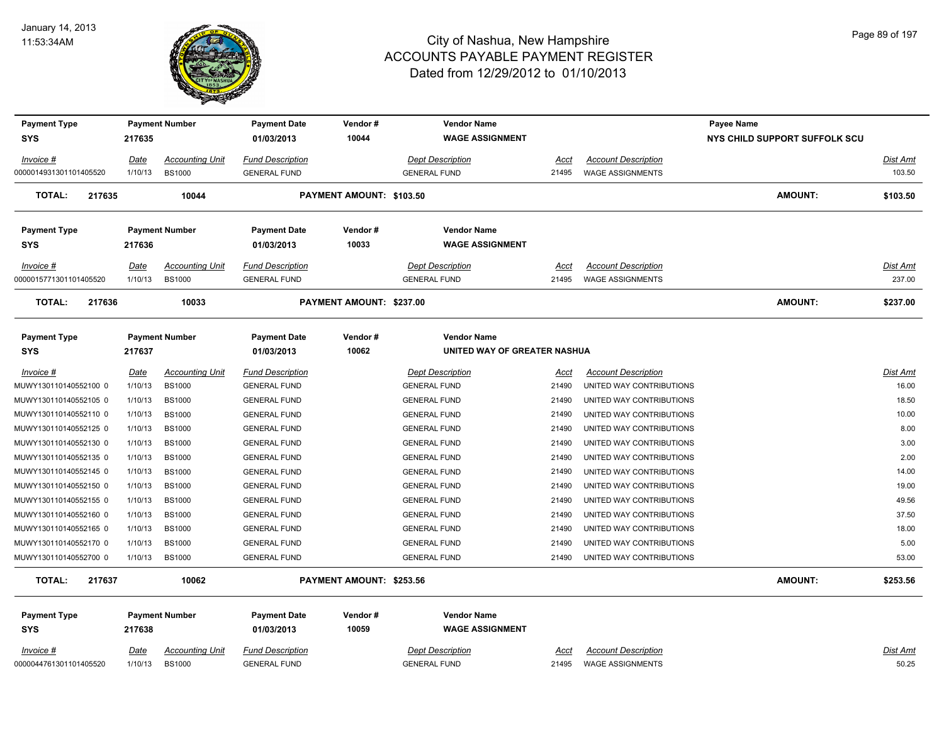

| <b>Payment Type</b>     |                        | <b>Payment Number</b>  | <b>Payment Date</b>     | Vendor#                         | <b>Vendor Name</b>           |               |                            | <b>Payee Name</b>             |                 |
|-------------------------|------------------------|------------------------|-------------------------|---------------------------------|------------------------------|---------------|----------------------------|-------------------------------|-----------------|
| <b>SYS</b>              | 217635                 |                        | 01/03/2013              | 10044                           | <b>WAGE ASSIGNMENT</b>       |               |                            | NYS CHILD SUPPORT SUFFOLK SCU |                 |
| Invoice #               | <u>Date</u>            | <b>Accounting Unit</b> | <b>Fund Description</b> |                                 | <b>Dept Description</b>      | Acct          | <b>Account Description</b> |                               | <b>Dist Amt</b> |
| 0000014931301101405520  | 1/10/13                | <b>BS1000</b>          | <b>GENERAL FUND</b>     |                                 | <b>GENERAL FUND</b>          | 21495         | <b>WAGE ASSIGNMENTS</b>    |                               | 103.50          |
| <b>TOTAL:</b><br>217635 |                        | 10044                  |                         | <b>PAYMENT AMOUNT: \$103.50</b> |                              |               |                            | <b>AMOUNT:</b>                | \$103.50        |
| <b>Payment Type</b>     |                        | <b>Payment Number</b>  | <b>Payment Date</b>     | Vendor#                         | <b>Vendor Name</b>           |               |                            |                               |                 |
| <b>SYS</b>              | 217636                 |                        | 01/03/2013              | 10033                           | <b>WAGE ASSIGNMENT</b>       |               |                            |                               |                 |
| Invoice #               | <b>Date</b>            | <b>Accounting Unit</b> | <b>Fund Description</b> |                                 | <b>Dept Description</b>      | Acct          | <b>Account Description</b> |                               | Dist Amt        |
| 0000015771301101405520  | 1/10/13                | <b>BS1000</b>          | <b>GENERAL FUND</b>     |                                 | <b>GENERAL FUND</b>          | 21495         | <b>WAGE ASSIGNMENTS</b>    |                               | 237.00          |
| <b>TOTAL:</b><br>217636 |                        | 10033                  |                         | PAYMENT AMOUNT: \$237.00        |                              |               |                            | <b>AMOUNT:</b>                | \$237.00        |
| <b>Payment Type</b>     |                        | <b>Payment Number</b>  | <b>Payment Date</b>     | Vendor#                         | <b>Vendor Name</b>           |               |                            |                               |                 |
| SYS                     | 217637                 |                        | 01/03/2013              | 10062                           | UNITED WAY OF GREATER NASHUA |               |                            |                               |                 |
| Invoice #               |                        | <b>Accounting Unit</b> | <b>Fund Description</b> |                                 | <b>Dept Description</b>      |               | <b>Account Description</b> |                               | Dist Amt        |
| MUWY130110140552100 0   | <u>Date</u><br>1/10/13 | <b>BS1000</b>          | <b>GENERAL FUND</b>     |                                 | <b>GENERAL FUND</b>          | Acct<br>21490 | UNITED WAY CONTRIBUTIONS   |                               | 16.00           |
| MUWY130110140552105 0   | 1/10/13                | <b>BS1000</b>          | <b>GENERAL FUND</b>     |                                 | <b>GENERAL FUND</b>          | 21490         | UNITED WAY CONTRIBUTIONS   |                               | 18.50           |
| MUWY130110140552110 0   | 1/10/13                | <b>BS1000</b>          | <b>GENERAL FUND</b>     |                                 | <b>GENERAL FUND</b>          | 21490         | UNITED WAY CONTRIBUTIONS   |                               | 10.00           |
| MUWY130110140552125 0   | 1/10/13                | <b>BS1000</b>          | <b>GENERAL FUND</b>     |                                 | <b>GENERAL FUND</b>          | 21490         | UNITED WAY CONTRIBUTIONS   |                               | 8.00            |
| MUWY130110140552130 0   | 1/10/13                | <b>BS1000</b>          | <b>GENERAL FUND</b>     |                                 | <b>GENERAL FUND</b>          | 21490         | UNITED WAY CONTRIBUTIONS   |                               | 3.00            |
| MUWY130110140552135 0   | 1/10/13                | <b>BS1000</b>          | <b>GENERAL FUND</b>     |                                 | <b>GENERAL FUND</b>          | 21490         | UNITED WAY CONTRIBUTIONS   |                               | 2.00            |
| MUWY130110140552145 0   | 1/10/13                | <b>BS1000</b>          | <b>GENERAL FUND</b>     |                                 | <b>GENERAL FUND</b>          | 21490         | UNITED WAY CONTRIBUTIONS   |                               | 14.00           |
| MUWY130110140552150 0   | 1/10/13                | <b>BS1000</b>          | <b>GENERAL FUND</b>     |                                 | <b>GENERAL FUND</b>          | 21490         | UNITED WAY CONTRIBUTIONS   |                               | 19.00           |
| MUWY130110140552155 0   | 1/10/13                | <b>BS1000</b>          | <b>GENERAL FUND</b>     |                                 | <b>GENERAL FUND</b>          | 21490         | UNITED WAY CONTRIBUTIONS   |                               | 49.56           |
| MUWY130110140552160 0   | 1/10/13                | <b>BS1000</b>          | <b>GENERAL FUND</b>     |                                 | <b>GENERAL FUND</b>          | 21490         | UNITED WAY CONTRIBUTIONS   |                               | 37.50           |
| MUWY130110140552165 0   | 1/10/13                | <b>BS1000</b>          | <b>GENERAL FUND</b>     |                                 | <b>GENERAL FUND</b>          | 21490         | UNITED WAY CONTRIBUTIONS   |                               | 18.00           |
| MUWY130110140552170 0   | 1/10/13                | <b>BS1000</b>          | <b>GENERAL FUND</b>     |                                 | <b>GENERAL FUND</b>          | 21490         | UNITED WAY CONTRIBUTIONS   |                               | 5.00            |
| MUWY130110140552700 0   | 1/10/13                | <b>BS1000</b>          | <b>GENERAL FUND</b>     |                                 | <b>GENERAL FUND</b>          | 21490         | UNITED WAY CONTRIBUTIONS   |                               | 53.00           |
| <b>TOTAL:</b><br>217637 |                        | 10062                  |                         | PAYMENT AMOUNT: \$253.56        |                              |               |                            | <b>AMOUNT:</b>                | \$253.56        |
| <b>Payment Type</b>     |                        | <b>Payment Number</b>  | <b>Payment Date</b>     | Vendor#                         | <b>Vendor Name</b>           |               |                            |                               |                 |
| SYS                     | 217638                 |                        | 01/03/2013              | 10059                           | <b>WAGE ASSIGNMENT</b>       |               |                            |                               |                 |
| $Invoice$ #             | <u>Date</u>            | <b>Accounting Unit</b> | <b>Fund Description</b> |                                 | <b>Dept Description</b>      | <u>Acct</u>   | <b>Account Description</b> |                               | Dist Amt        |
| 0000044761301101405520  | 1/10/13                | <b>BS1000</b>          | <b>GENERAL FUND</b>     |                                 | <b>GENERAL FUND</b>          | 21495         | <b>WAGE ASSIGNMENTS</b>    |                               | 50.25           |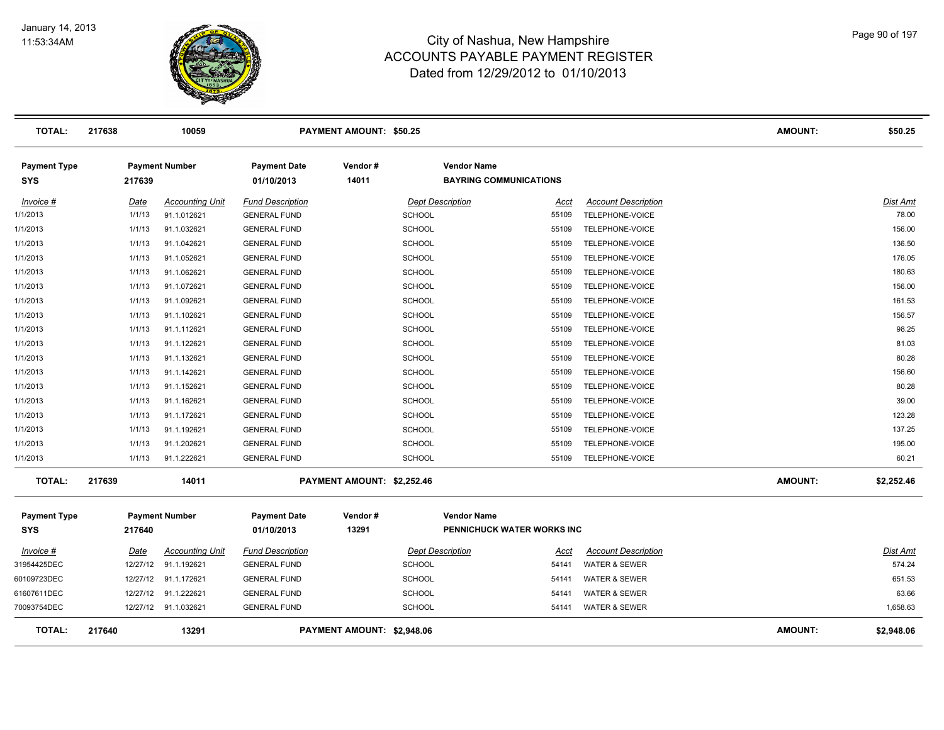

| <b>TOTAL:</b>                     | 217638 |          | 10059                  |                                   | <b>PAYMENT AMOUNT: \$50.25</b> |                                                     |       |                            | <b>AMOUNT:</b> | \$50.25         |
|-----------------------------------|--------|----------|------------------------|-----------------------------------|--------------------------------|-----------------------------------------------------|-------|----------------------------|----------------|-----------------|
| <b>Payment Type</b><br>SYS        |        | 217639   | <b>Payment Number</b>  | <b>Payment Date</b><br>01/10/2013 | Vendor#<br>14011               | <b>Vendor Name</b><br><b>BAYRING COMMUNICATIONS</b> |       |                            |                |                 |
| Invoice #                         |        | Date     | <b>Accounting Unit</b> | <b>Fund Description</b>           |                                | <b>Dept Description</b>                             | Acct  | <b>Account Description</b> |                | Dist Amt        |
| 1/1/2013                          |        | 1/1/13   | 91.1.012621            | <b>GENERAL FUND</b>               | <b>SCHOOL</b>                  |                                                     | 55109 | TELEPHONE-VOICE            |                | 78.00           |
| 1/1/2013                          |        | 1/1/13   | 91.1.032621            | <b>GENERAL FUND</b>               | <b>SCHOOL</b>                  |                                                     | 55109 | TELEPHONE-VOICE            |                | 156.00          |
| 1/1/2013                          |        | 1/1/13   | 91.1.042621            | <b>GENERAL FUND</b>               | <b>SCHOOL</b>                  |                                                     | 55109 | TELEPHONE-VOICE            |                | 136.50          |
| 1/1/2013                          |        | 1/1/13   | 91.1.052621            | <b>GENERAL FUND</b>               | <b>SCHOOL</b>                  | 55109                                               |       | TELEPHONE-VOICE            |                | 176.05          |
| 1/1/2013                          |        | 1/1/13   | 91.1.062621            | <b>GENERAL FUND</b>               | <b>SCHOOL</b>                  |                                                     | 55109 | TELEPHONE-VOICE            |                | 180.63          |
| 1/1/2013                          |        | 1/1/13   | 91.1.072621            | <b>GENERAL FUND</b>               | <b>SCHOOL</b>                  |                                                     | 55109 | TELEPHONE-VOICE            |                | 156.00          |
| 1/1/2013                          |        | 1/1/13   | 91.1.092621            | <b>GENERAL FUND</b>               | <b>SCHOOL</b>                  |                                                     | 55109 | TELEPHONE-VOICE            |                | 161.53          |
| 1/1/2013                          |        | 1/1/13   | 91.1.102621            | <b>GENERAL FUND</b>               | <b>SCHOOL</b>                  |                                                     | 55109 | TELEPHONE-VOICE            |                | 156.57          |
| 1/1/2013                          |        | 1/1/13   | 91.1.112621            | <b>GENERAL FUND</b>               | <b>SCHOOL</b>                  |                                                     | 55109 | TELEPHONE-VOICE            |                | 98.25           |
| 1/1/2013                          |        | 1/1/13   | 91.1.122621            | <b>GENERAL FUND</b>               | <b>SCHOOL</b>                  |                                                     | 55109 | TELEPHONE-VOICE            |                | 81.03           |
| 1/1/2013                          |        | 1/1/13   | 91.1.132621            | <b>GENERAL FUND</b>               | <b>SCHOOL</b>                  |                                                     | 55109 | TELEPHONE-VOICE            |                | 80.28           |
| 1/1/2013                          |        | 1/1/13   | 91.1.142621            | <b>GENERAL FUND</b>               | <b>SCHOOL</b>                  | 55109                                               |       | TELEPHONE-VOICE            |                | 156.60          |
| 1/1/2013                          |        | 1/1/13   | 91.1.152621            | <b>GENERAL FUND</b>               | <b>SCHOOL</b>                  | 55109                                               |       | TELEPHONE-VOICE            |                | 80.28           |
| 1/1/2013                          |        | 1/1/13   | 91.1.162621            | <b>GENERAL FUND</b>               | <b>SCHOOL</b>                  |                                                     | 55109 | TELEPHONE-VOICE            |                | 39.00           |
| 1/1/2013                          |        | 1/1/13   | 91.1.172621            | <b>GENERAL FUND</b>               | <b>SCHOOL</b>                  |                                                     | 55109 | TELEPHONE-VOICE            |                | 123.28          |
| 1/1/2013                          |        | 1/1/13   | 91.1.192621            | <b>GENERAL FUND</b>               | <b>SCHOOL</b>                  |                                                     | 55109 | TELEPHONE-VOICE            |                | 137.25          |
| 1/1/2013                          |        | 1/1/13   | 91.1.202621            | <b>GENERAL FUND</b>               | <b>SCHOOL</b>                  |                                                     | 55109 | TELEPHONE-VOICE            |                | 195.00          |
| 1/1/2013                          |        | 1/1/13   | 91.1.222621            | <b>GENERAL FUND</b>               | <b>SCHOOL</b>                  |                                                     | 55109 | TELEPHONE-VOICE            |                | 60.21           |
| <b>TOTAL:</b>                     | 217639 |          | 14011                  |                                   | PAYMENT AMOUNT: \$2,252.46     |                                                     |       |                            | <b>AMOUNT:</b> | \$2,252.46      |
| <b>Payment Type</b><br><b>SYS</b> |        | 217640   | <b>Payment Number</b>  | <b>Payment Date</b><br>01/10/2013 | Vendor#<br>13291               | <b>Vendor Name</b><br>PENNICHUCK WATER WORKS INC    |       |                            |                |                 |
| Invoice #                         |        | Date     | <b>Accounting Unit</b> | <b>Fund Description</b>           |                                | <b>Dept Description</b>                             | Acct  | <b>Account Description</b> |                | <b>Dist Amt</b> |
| 31954425DEC                       |        | 12/27/12 | 91.1.192621            | <b>GENERAL FUND</b>               | <b>SCHOOL</b>                  |                                                     | 54141 | <b>WATER &amp; SEWER</b>   |                | 574.24          |
| 60109723DEC                       |        | 12/27/12 | 91.1.172621            | <b>GENERAL FUND</b>               | <b>SCHOOL</b>                  | 54141                                               |       | <b>WATER &amp; SEWER</b>   |                | 651.53          |
| 61607611DEC                       |        | 12/27/12 | 91.1.222621            | <b>GENERAL FUND</b>               | <b>SCHOOL</b>                  | 54141                                               |       | <b>WATER &amp; SEWER</b>   |                | 63.66           |
| 70093754DEC                       |        |          | 12/27/12 91.1.032621   | <b>GENERAL FUND</b>               | <b>SCHOOL</b>                  |                                                     | 54141 | <b>WATER &amp; SEWER</b>   |                | 1,658.63        |
| <b>TOTAL:</b>                     | 217640 |          | 13291                  |                                   | PAYMENT AMOUNT: \$2,948.06     |                                                     |       |                            | <b>AMOUNT:</b> | \$2,948.06      |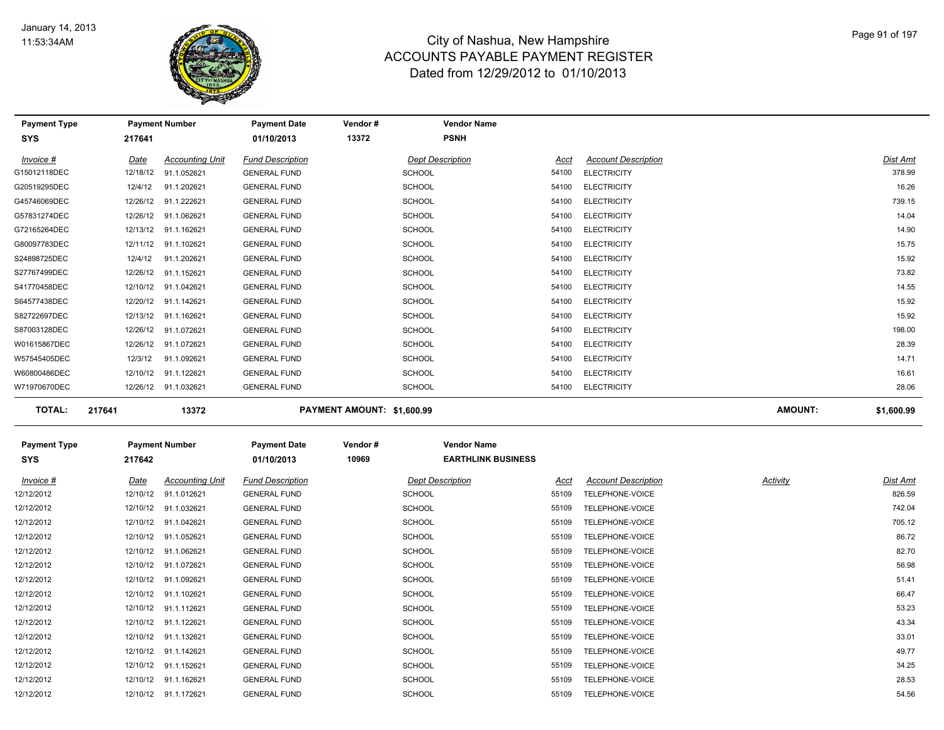

| <b>Payment Type</b> |             | <b>Payment Number</b>  | <b>Payment Date</b>     | Vendor#                    | <b>Vendor Name</b>              |                            |                |            |
|---------------------|-------------|------------------------|-------------------------|----------------------------|---------------------------------|----------------------------|----------------|------------|
| SYS                 | 217641      |                        | 01/10/2013              | 13372                      | <b>PSNH</b>                     |                            |                |            |
| Invoice #           | <u>Date</u> | <b>Accounting Unit</b> | <b>Fund Description</b> |                            | <b>Dept Description</b><br>Acct | <b>Account Description</b> |                | Dist Amt   |
| G15012118DEC        | 12/18/12    | 91.1.052621            | <b>GENERAL FUND</b>     | <b>SCHOOL</b>              | 54100                           | <b>ELECTRICITY</b>         |                | 378.99     |
| G20519295DEC        | 12/4/12     | 91.1.202621            | <b>GENERAL FUND</b>     | <b>SCHOOL</b>              | 54100                           | <b>ELECTRICITY</b>         |                | 16.26      |
| G45746069DEC        | 12/26/12    | 91.1.222621            | <b>GENERAL FUND</b>     | <b>SCHOOL</b>              | 54100                           | <b>ELECTRICITY</b>         |                | 739.15     |
| G57831274DEC        | 12/26/12    | 91.1.062621            | <b>GENERAL FUND</b>     | <b>SCHOOL</b>              | 54100                           | <b>ELECTRICITY</b>         |                | 14.04      |
| G72165264DEC        | 12/13/12    | 91.1.162621            | <b>GENERAL FUND</b>     | <b>SCHOOL</b>              | 54100                           | <b>ELECTRICITY</b>         |                | 14.90      |
| G80097783DEC        | 12/11/12    | 91.1.102621            | <b>GENERAL FUND</b>     | <b>SCHOOL</b>              | 54100                           | <b>ELECTRICITY</b>         |                | 15.75      |
| S24898725DEC        | 12/4/12     | 91.1.202621            | <b>GENERAL FUND</b>     | <b>SCHOOL</b>              | 54100                           | <b>ELECTRICITY</b>         |                | 15.92      |
| S27767499DEC        | 12/26/12    | 91.1.152621            | <b>GENERAL FUND</b>     | <b>SCHOOL</b>              | 54100                           | <b>ELECTRICITY</b>         |                | 73.82      |
| S41770458DEC        | 12/10/12    | 91.1.042621            | <b>GENERAL FUND</b>     | <b>SCHOOL</b>              | 54100                           | <b>ELECTRICITY</b>         |                | 14.55      |
| S64577438DEC        | 12/20/12    | 91.1.142621            | <b>GENERAL FUND</b>     | <b>SCHOOL</b>              | 54100                           | <b>ELECTRICITY</b>         |                | 15.92      |
| S82722697DEC        | 12/13/12    | 91.1.162621            | <b>GENERAL FUND</b>     | <b>SCHOOL</b>              | 54100                           | <b>ELECTRICITY</b>         |                | 15.92      |
| S87003128DEC        | 12/26/12    | 91.1.072621            | <b>GENERAL FUND</b>     | <b>SCHOOL</b>              | 54100                           | <b>ELECTRICITY</b>         |                | 198.00     |
| W01615867DEC        | 12/26/12    | 91.1.072621            | <b>GENERAL FUND</b>     | <b>SCHOOL</b>              | 54100                           | <b>ELECTRICITY</b>         |                | 28.39      |
| W57545405DEC        | 12/3/12     | 91.1.092621            | <b>GENERAL FUND</b>     | <b>SCHOOL</b>              | 54100                           | <b>ELECTRICITY</b>         |                | 14.71      |
| W60800486DEC        | 12/10/12    | 91.1.122621            | <b>GENERAL FUND</b>     | <b>SCHOOL</b>              | 54100                           | <b>ELECTRICITY</b>         |                | 16.61      |
| W71970670DEC        | 12/26/12    | 91.1.032621            | <b>GENERAL FUND</b>     | <b>SCHOOL</b>              | 54100                           | <b>ELECTRICITY</b>         |                | 28.06      |
| <b>TOTAL:</b>       | 217641      | 13372                  |                         | PAYMENT AMOUNT: \$1,600.99 |                                 |                            | <b>AMOUNT:</b> | \$1,600.99 |

| <b>Payment Type</b><br>SYS | 217642      | <b>Payment Number</b>  | <b>Payment Date</b><br>01/10/2013 | Vendor#<br>10969 | <b>Vendor Name</b><br><b>EARTHLINK BUSINESS</b> |       |                            |          |          |
|----------------------------|-------------|------------------------|-----------------------------------|------------------|-------------------------------------------------|-------|----------------------------|----------|----------|
| Invoice #                  | <u>Date</u> | <b>Accounting Unit</b> | <b>Fund Description</b>           |                  | <b>Dept Description</b>                         | Acct  | <b>Account Description</b> | Activity | Dist Amt |
| 12/12/2012                 | 12/10/12    | 91.1.012621            | <b>GENERAL FUND</b>               |                  | <b>SCHOOL</b>                                   | 55109 | TELEPHONE-VOICE            |          | 826.59   |
| 12/12/2012                 | 12/10/12    | 91.1.032621            | <b>GENERAL FUND</b>               |                  | <b>SCHOOL</b>                                   | 55109 | TELEPHONE-VOICE            |          | 742.04   |
| 12/12/2012                 | 12/10/12    | 91.1.042621            | <b>GENERAL FUND</b>               |                  | <b>SCHOOL</b>                                   | 55109 | TELEPHONE-VOICE            |          | 705.12   |
| 12/12/2012                 | 12/10/12    | 91.1.052621            | <b>GENERAL FUND</b>               |                  | <b>SCHOOL</b>                                   | 55109 | <b>TELEPHONE-VOICE</b>     |          | 86.72    |
| 12/12/2012                 | 12/10/12    | 91.1.062621            | <b>GENERAL FUND</b>               |                  | <b>SCHOOL</b>                                   | 55109 | <b>TELEPHONE-VOICE</b>     |          | 82.70    |
| 12/12/2012                 | 12/10/12    | 91.1.072621            | <b>GENERAL FUND</b>               |                  | <b>SCHOOL</b>                                   | 55109 | TELEPHONE-VOICE            |          | 56.98    |
| 12/12/2012                 | 12/10/12    | 91.1.092621            | <b>GENERAL FUND</b>               |                  | <b>SCHOOL</b>                                   | 55109 | TELEPHONE-VOICE            |          | 51.41    |
| 12/12/2012                 | 12/10/12    | 91.1.102621            | <b>GENERAL FUND</b>               |                  | <b>SCHOOL</b>                                   | 55109 | TELEPHONE-VOICE            |          | 66.47    |
| 12/12/2012                 | 12/10/12    | 91.1.112621            | <b>GENERAL FUND</b>               |                  | <b>SCHOOL</b>                                   | 55109 | TELEPHONE-VOICE            |          | 53.23    |
| 12/12/2012                 | 12/10/12    | 91.1.122621            | <b>GENERAL FUND</b>               |                  | <b>SCHOOL</b>                                   | 55109 | TELEPHONE-VOICE            |          | 43.34    |
| 12/12/2012                 | 12/10/12    | 91.1.132621            | <b>GENERAL FUND</b>               |                  | <b>SCHOOL</b>                                   | 55109 | TELEPHONE-VOICE            |          | 33.01    |
| 12/12/2012                 | 12/10/12    | 91.1.142621            | <b>GENERAL FUND</b>               |                  | <b>SCHOOL</b>                                   | 55109 | TELEPHONE-VOICE            |          | 49.77    |
| 12/12/2012                 | 12/10/12    | 91.1.152621            | <b>GENERAL FUND</b>               |                  | <b>SCHOOL</b>                                   | 55109 | TELEPHONE-VOICE            |          | 34.25    |
| 12/12/2012                 | 12/10/12    | 91.1.162621            | <b>GENERAL FUND</b>               |                  | <b>SCHOOL</b>                                   | 55109 | TELEPHONE-VOICE            |          | 28.53    |
| 12/12/2012                 | 12/10/12    | 91.1.172621            | <b>GENERAL FUND</b>               |                  | <b>SCHOOL</b>                                   | 55109 | TELEPHONE-VOICE            |          | 54.56    |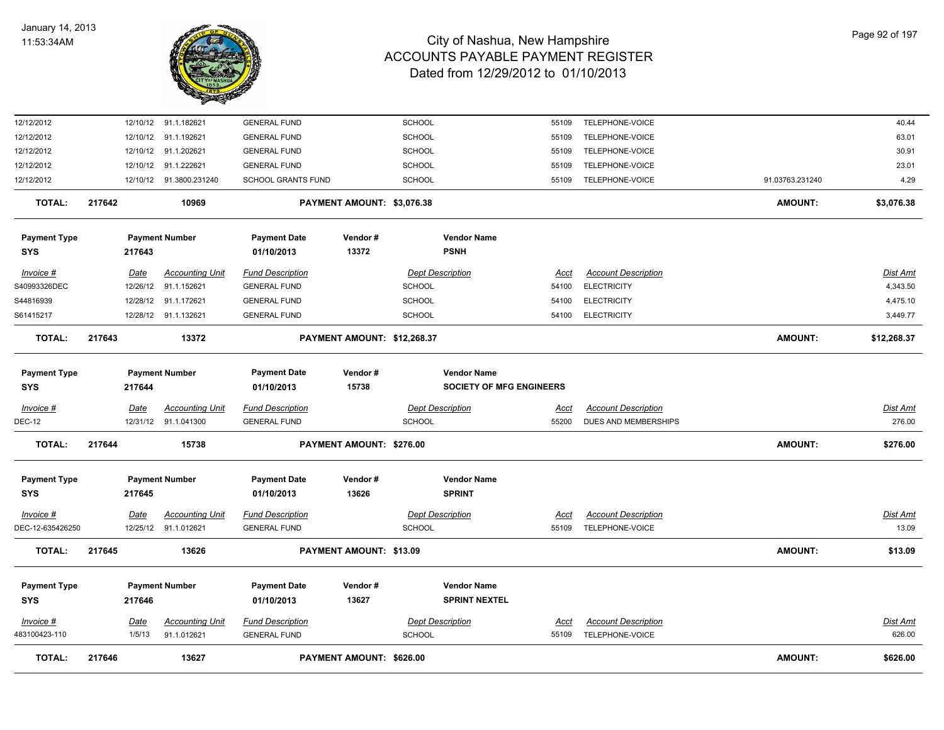

| <b>TOTAL:</b>                     | 217646 |                  | 13627                                           |                                                  | PAYMENT AMOUNT: \$626.00    |                                |                                                       |                      |                                                  | <b>AMOUNT:</b>  | \$626.00                 |
|-----------------------------------|--------|------------------|-------------------------------------------------|--------------------------------------------------|-----------------------------|--------------------------------|-------------------------------------------------------|----------------------|--------------------------------------------------|-----------------|--------------------------|
| Invoice #<br>483100423-110        |        | Date<br>1/5/13   | <b>Accounting Unit</b><br>91.1.012621           | <b>Fund Description</b><br><b>GENERAL FUND</b>   |                             | <b>SCHOOL</b>                  | <b>Dept Description</b>                               | Acct<br>55109        | <b>Account Description</b><br>TELEPHONE-VOICE    |                 | Dist Amt<br>626.00       |
| <b>Payment Type</b><br><b>SYS</b> |        | 217646           | <b>Payment Number</b>                           | <b>Payment Date</b><br>01/10/2013                | Vendor#<br>13627            |                                | <b>Vendor Name</b><br><b>SPRINT NEXTEL</b>            |                      |                                                  |                 |                          |
| <b>TOTAL:</b>                     | 217645 |                  | 13626                                           |                                                  | PAYMENT AMOUNT: \$13.09     |                                |                                                       |                      |                                                  | <b>AMOUNT:</b>  | \$13.09                  |
| $Invoice$ #<br>DEC-12-635426250   |        | <u>Date</u>      | <b>Accounting Unit</b><br>12/25/12 91.1.012621  | <b>Fund Description</b><br><b>GENERAL FUND</b>   |                             | <b>SCHOOL</b>                  | <b>Dept Description</b>                               | <u>Acct</u><br>55109 | <b>Account Description</b><br>TELEPHONE-VOICE    |                 | <u>Dist Amt</u><br>13.09 |
| <b>Payment Type</b><br>SYS        |        | 217645           | <b>Payment Number</b>                           | <b>Payment Date</b><br>01/10/2013                | Vendor#<br>13626            |                                | <b>Vendor Name</b><br><b>SPRINT</b>                   |                      |                                                  |                 |                          |
| <b>TOTAL:</b>                     | 217644 |                  | 15738                                           |                                                  | PAYMENT AMOUNT: \$276.00    |                                |                                                       |                      |                                                  | <b>AMOUNT:</b>  | \$276.00                 |
| <b>DEC-12</b>                     |        |                  | 12/31/12 91.1.041300                            | <b>GENERAL FUND</b>                              |                             | SCHOOL                         |                                                       | 55200                | DUES AND MEMBERSHIPS                             |                 | 276.00                   |
| Invoice #                         |        | <b>Date</b>      | <b>Accounting Unit</b>                          | <b>Fund Description</b>                          |                             |                                | <b>Dept Description</b>                               | <u>Acct</u>          | <b>Account Description</b>                       |                 | Dist Amt                 |
| <b>Payment Type</b><br>SYS        |        | 217644           | <b>Payment Number</b>                           | <b>Payment Date</b><br>01/10/2013                | Vendor#<br>15738            |                                | <b>Vendor Name</b><br><b>SOCIETY OF MFG ENGINEERS</b> |                      |                                                  |                 |                          |
| <b>TOTAL:</b>                     | 217643 |                  | 13372                                           |                                                  | PAYMENT AMOUNT: \$12,268.37 |                                |                                                       |                      |                                                  | <b>AMOUNT:</b>  | \$12,268.37              |
| S61415217                         |        |                  | 12/28/12 91.1.132621                            | <b>GENERAL FUND</b>                              |                             | SCHOOL                         |                                                       | 54100                | <b>ELECTRICITY</b>                               |                 | 3,449.77                 |
| S44816939                         |        | 12/28/12         | 91.1.172621                                     | <b>GENERAL FUND</b>                              |                             | SCHOOL                         |                                                       | 54100                | <b>ELECTRICITY</b>                               |                 | 4,475.10                 |
| Invoice #<br>S40993326DEC         |        | Date<br>12/26/12 | <b>Accounting Unit</b><br>91.1.152621           | <b>Fund Description</b><br><b>GENERAL FUND</b>   |                             | <b>SCHOOL</b>                  | <b>Dept Description</b>                               | Acct<br>54100        | <b>Account Description</b><br><b>ELECTRICITY</b> |                 | Dist Amt<br>4,343.50     |
| <b>Payment Type</b><br><b>SYS</b> |        | 217643           | <b>Payment Number</b>                           | <b>Payment Date</b><br>01/10/2013                | Vendor#<br>13372            |                                | <b>Vendor Name</b><br><b>PSNH</b>                     |                      |                                                  |                 |                          |
|                                   |        |                  |                                                 |                                                  |                             |                                |                                                       |                      |                                                  |                 |                          |
| <b>TOTAL:</b>                     | 217642 |                  | 10969                                           |                                                  | PAYMENT AMOUNT: \$3,076.38  |                                |                                                       |                      |                                                  | <b>AMOUNT:</b>  | \$3,076.38               |
| 12/12/2012<br>12/12/2012          |        |                  | 12/10/12 91.1.222621<br>12/10/12 91.3800.231240 | <b>GENERAL FUND</b><br><b>SCHOOL GRANTS FUND</b> |                             | <b>SCHOOL</b><br><b>SCHOOL</b> |                                                       | 55109<br>55109       | TELEPHONE-VOICE<br>TELEPHONE-VOICE               | 91.03763.231240 | 23.01<br>4.29            |
| 12/12/2012                        |        |                  | 12/10/12 91.1.202621                            | <b>GENERAL FUND</b>                              |                             | SCHOOL                         |                                                       | 55109                | TELEPHONE-VOICE                                  |                 | 30.91                    |
| 12/12/2012                        |        |                  | 12/10/12 91.1.192621                            | <b>GENERAL FUND</b>                              |                             | SCHOOL                         |                                                       | 55109                | TELEPHONE-VOICE                                  |                 | 63.01                    |
| 12/12/2012                        |        |                  | 12/10/12 91.1.182621                            | <b>GENERAL FUND</b>                              |                             | SCHOOL                         |                                                       | 55109                | TELEPHONE-VOICE                                  |                 | 40.44                    |
|                                   |        |                  |                                                 |                                                  |                             |                                |                                                       |                      |                                                  |                 |                          |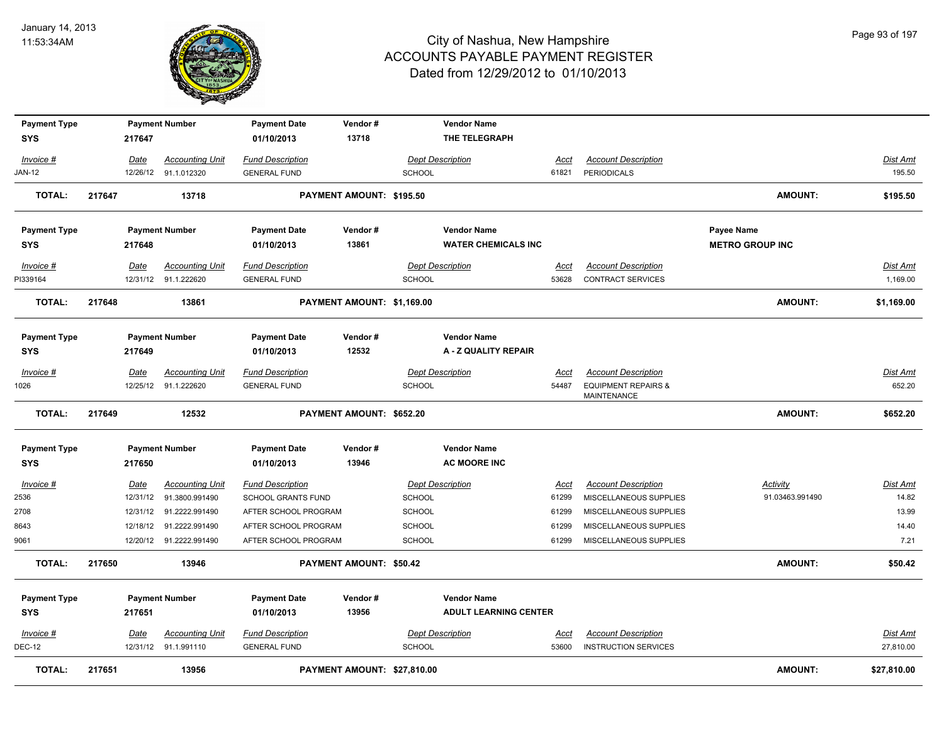

| <b>Payment Type</b> |             | <b>Payment Number</b>   | <b>Payment Date</b>       | Vendor#                     |                         | <b>Vendor Name</b>           |             |                                               |                        |                 |
|---------------------|-------------|-------------------------|---------------------------|-----------------------------|-------------------------|------------------------------|-------------|-----------------------------------------------|------------------------|-----------------|
| <b>SYS</b>          | 217647      |                         | 01/10/2013                | 13718                       |                         | THE TELEGRAPH                |             |                                               |                        |                 |
| Invoice #           | Date        | <b>Accounting Unit</b>  | <b>Fund Description</b>   |                             | <b>Dept Description</b> |                              | Acct        | <b>Account Description</b>                    |                        | <b>Dist Amt</b> |
| <b>JAN-12</b>       |             | 12/26/12 91.1.012320    | <b>GENERAL FUND</b>       |                             | <b>SCHOOL</b>           |                              | 61821       | PERIODICALS                                   |                        | 195.50          |
| <b>TOTAL:</b>       | 217647      | 13718                   |                           | PAYMENT AMOUNT: \$195.50    |                         |                              |             |                                               | <b>AMOUNT:</b>         | \$195.50        |
| <b>Payment Type</b> |             | <b>Payment Number</b>   | <b>Payment Date</b>       | Vendor#                     |                         | <b>Vendor Name</b>           |             |                                               | Payee Name             |                 |
| <b>SYS</b>          | 217648      |                         | 01/10/2013                | 13861                       |                         | <b>WATER CHEMICALS INC</b>   |             |                                               | <b>METRO GROUP INC</b> |                 |
| Invoice #           | Date        | <b>Accounting Unit</b>  | <b>Fund Description</b>   |                             | <b>Dept Description</b> |                              | Acct        | <b>Account Description</b>                    |                        | <b>Dist Amt</b> |
| PI339164            | 12/31/12    | 91.1.222620             | <b>GENERAL FUND</b>       |                             | <b>SCHOOL</b>           |                              | 53628       | <b>CONTRACT SERVICES</b>                      |                        | 1,169.00        |
| <b>TOTAL:</b>       | 217648      | 13861                   |                           | PAYMENT AMOUNT: \$1,169.00  |                         |                              |             |                                               | <b>AMOUNT:</b>         | \$1,169.00      |
| <b>Payment Type</b> |             | <b>Payment Number</b>   | <b>Payment Date</b>       | Vendor#                     |                         | <b>Vendor Name</b>           |             |                                               |                        |                 |
| <b>SYS</b>          | 217649      |                         | 01/10/2013                | 12532                       |                         | A - Z QUALITY REPAIR         |             |                                               |                        |                 |
| Invoice #           | Date        | <b>Accounting Unit</b>  | <b>Fund Description</b>   |                             | <b>Dept Description</b> |                              | Acct        | <b>Account Description</b>                    |                        | Dist Amt        |
| 1026                |             | 12/25/12 91.1.222620    | <b>GENERAL FUND</b>       |                             | <b>SCHOOL</b>           |                              | 54487       | <b>EQUIPMENT REPAIRS &amp;</b><br>MAINTENANCE |                        | 652.20          |
| TOTAL:              | 217649      | 12532                   |                           | PAYMENT AMOUNT: \$652.20    |                         |                              |             |                                               | <b>AMOUNT:</b>         | \$652.20        |
| <b>Payment Type</b> |             | <b>Payment Number</b>   | <b>Payment Date</b>       | Vendor#                     |                         | <b>Vendor Name</b>           |             |                                               |                        |                 |
| <b>SYS</b>          | 217650      |                         | 01/10/2013                | 13946                       |                         | <b>AC MOORE INC</b>          |             |                                               |                        |                 |
| Invoice #           | Date        | <b>Accounting Unit</b>  | <b>Fund Description</b>   |                             | <b>Dept Description</b> |                              | <u>Acct</u> | <b>Account Description</b>                    | <b>Activity</b>        | <u>Dist Amt</u> |
| 2536                | 12/31/12    | 91.3800.991490          | <b>SCHOOL GRANTS FUND</b> |                             | <b>SCHOOL</b>           |                              | 61299       | MISCELLANEOUS SUPPLIES                        | 91.03463.991490        | 14.82           |
| 2708                | 12/31/12    | 91.2222.991490          | AFTER SCHOOL PROGRAM      |                             | <b>SCHOOL</b>           |                              | 61299       | MISCELLANEOUS SUPPLIES                        |                        | 13.99           |
| 8643                | 12/18/12    | 91.2222.991490          | AFTER SCHOOL PROGRAM      |                             | <b>SCHOOL</b>           |                              | 61299       | MISCELLANEOUS SUPPLIES                        |                        | 14.40           |
| 9061                |             | 12/20/12 91.2222.991490 | AFTER SCHOOL PROGRAM      |                             | <b>SCHOOL</b>           |                              | 61299       | MISCELLANEOUS SUPPLIES                        |                        | 7.21            |
| <b>TOTAL:</b>       | 217650      | 13946                   |                           | PAYMENT AMOUNT: \$50.42     |                         |                              |             |                                               | <b>AMOUNT:</b>         | \$50.42         |
| <b>Payment Type</b> |             | <b>Payment Number</b>   | <b>Payment Date</b>       | Vendor#                     |                         | <b>Vendor Name</b>           |             |                                               |                        |                 |
| <b>SYS</b>          | 217651      |                         | 01/10/2013                | 13956                       |                         | <b>ADULT LEARNING CENTER</b> |             |                                               |                        |                 |
| $Invoice$ #         | <u>Date</u> | <b>Accounting Unit</b>  | <b>Fund Description</b>   |                             | <b>Dept Description</b> |                              | <u>Acct</u> | <b>Account Description</b>                    |                        | <b>Dist Amt</b> |
| <b>DEC-12</b>       |             | 12/31/12 91.1.991110    | <b>GENERAL FUND</b>       |                             | <b>SCHOOL</b>           |                              | 53600       | <b>INSTRUCTION SERVICES</b>                   |                        | 27,810.00       |
| <b>TOTAL:</b>       | 217651      | 13956                   |                           | PAYMENT AMOUNT: \$27,810.00 |                         |                              |             |                                               | <b>AMOUNT:</b>         | \$27,810.00     |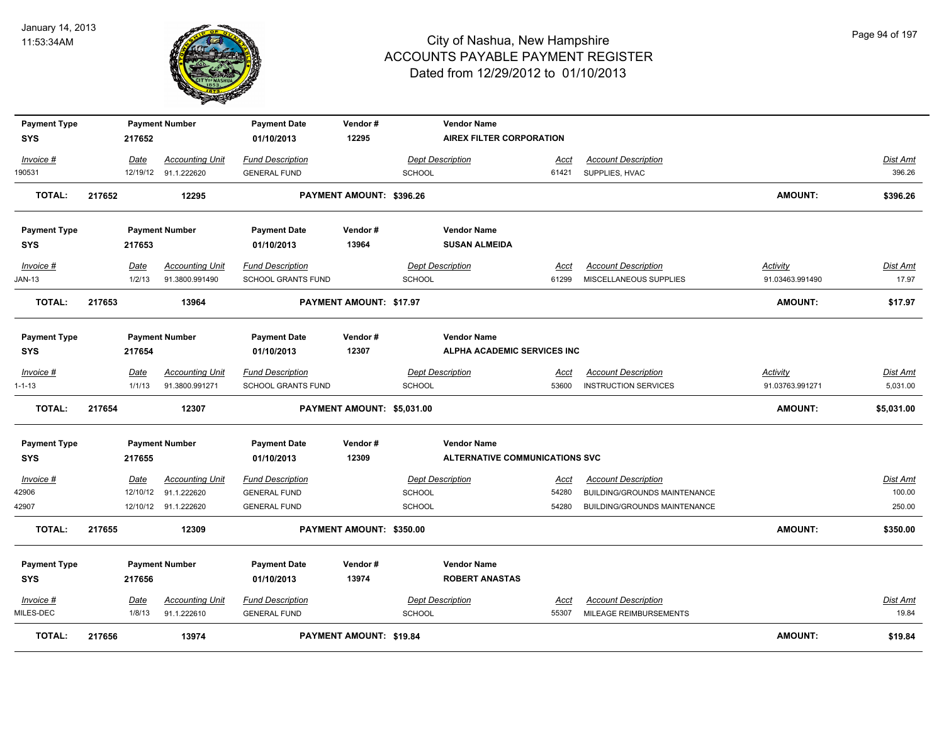

| <b>Payment Type</b> |          | <b>Payment Number</b>  | <b>Payment Date</b>       | Vendor#                        |               | <b>Vendor Name</b>                    |             |                              |                 |                 |
|---------------------|----------|------------------------|---------------------------|--------------------------------|---------------|---------------------------------------|-------------|------------------------------|-----------------|-----------------|
| <b>SYS</b>          | 217652   |                        | 01/10/2013                | 12295                          |               | AIREX FILTER CORPORATION              |             |                              |                 |                 |
| Invoice #           | Date     | <b>Accounting Unit</b> | <b>Fund Description</b>   |                                |               | <b>Dept Description</b>               | Acct        | <b>Account Description</b>   |                 | Dist Amt        |
| 190531              |          | 12/19/12 91.1.222620   | <b>GENERAL FUND</b>       |                                | <b>SCHOOL</b> |                                       | 61421       | SUPPLIES, HVAC               |                 | 396.26          |
| <b>TOTAL:</b>       | 217652   | 12295                  |                           | PAYMENT AMOUNT: \$396.26       |               |                                       |             |                              | <b>AMOUNT:</b>  | \$396.26        |
| <b>Payment Type</b> |          | <b>Payment Number</b>  | <b>Payment Date</b>       | Vendor#                        |               | <b>Vendor Name</b>                    |             |                              |                 |                 |
| <b>SYS</b>          | 217653   |                        | 01/10/2013                | 13964                          |               | <b>SUSAN ALMEIDA</b>                  |             |                              |                 |                 |
| Invoice #           | Date     | <b>Accounting Unit</b> | <b>Fund Description</b>   |                                |               | <b>Dept Description</b>               | Acct        | <b>Account Description</b>   | Activity        | Dist Amt        |
| JAN-13              | 1/2/13   | 91.3800.991490         | <b>SCHOOL GRANTS FUND</b> |                                | SCHOOL        |                                       | 61299       | MISCELLANEOUS SUPPLIES       | 91.03463.991490 | 17.97           |
| <b>TOTAL:</b>       | 217653   | 13964                  |                           | <b>PAYMENT AMOUNT: \$17.97</b> |               |                                       |             |                              | <b>AMOUNT:</b>  | \$17.97         |
| <b>Payment Type</b> |          | <b>Payment Number</b>  | <b>Payment Date</b>       | Vendor#                        |               | <b>Vendor Name</b>                    |             |                              |                 |                 |
| <b>SYS</b>          | 217654   |                        | 01/10/2013                | 12307                          |               | ALPHA ACADEMIC SERVICES INC           |             |                              |                 |                 |
| Invoice #           | Date     | <b>Accounting Unit</b> | <b>Fund Description</b>   |                                |               | <b>Dept Description</b>               | <u>Acct</u> | <b>Account Description</b>   | <b>Activity</b> | Dist Amt        |
| $1 - 1 - 13$        | 1/1/13   | 91.3800.991271         | <b>SCHOOL GRANTS FUND</b> |                                | <b>SCHOOL</b> |                                       | 53600       | <b>INSTRUCTION SERVICES</b>  | 91.03763.991271 | 5,031.00        |
| <b>TOTAL:</b>       | 217654   | 12307                  |                           | PAYMENT AMOUNT: \$5,031.00     |               |                                       |             |                              | <b>AMOUNT:</b>  | \$5,031.00      |
| <b>Payment Type</b> |          | <b>Payment Number</b>  | <b>Payment Date</b>       | Vendor#                        |               | <b>Vendor Name</b>                    |             |                              |                 |                 |
| <b>SYS</b>          | 217655   |                        | 01/10/2013                | 12309                          |               | <b>ALTERNATIVE COMMUNICATIONS SVC</b> |             |                              |                 |                 |
| $Invoice$ #         | Date     | <b>Accounting Unit</b> | <b>Fund Description</b>   |                                |               | <b>Dept Description</b>               | <u>Acct</u> | <b>Account Description</b>   |                 | <b>Dist Amt</b> |
| 42906               | 12/10/12 | 91.1.222620            | <b>GENERAL FUND</b>       |                                | <b>SCHOOL</b> |                                       | 54280       | BUILDING/GROUNDS MAINTENANCE |                 | 100.00          |
| 42907               |          | 12/10/12 91.1.222620   | <b>GENERAL FUND</b>       |                                | <b>SCHOOL</b> |                                       | 54280       | BUILDING/GROUNDS MAINTENANCE |                 | 250.00          |
| <b>TOTAL:</b>       | 217655   | 12309                  |                           | PAYMENT AMOUNT: \$350.00       |               |                                       |             |                              | <b>AMOUNT:</b>  | \$350.00        |
| <b>Payment Type</b> |          | <b>Payment Number</b>  | <b>Payment Date</b>       | Vendor#                        |               | <b>Vendor Name</b>                    |             |                              |                 |                 |
| SYS                 | 217656   |                        | 01/10/2013                | 13974                          |               | <b>ROBERT ANASTAS</b>                 |             |                              |                 |                 |
| Invoice #           | Date     | <b>Accounting Unit</b> | <b>Fund Description</b>   |                                |               | <b>Dept Description</b>               | <u>Acct</u> | <b>Account Description</b>   |                 | Dist Amt        |
| MILES-DEC           | 1/8/13   | 91.1.222610            | <b>GENERAL FUND</b>       |                                | <b>SCHOOL</b> |                                       | 55307       | MILEAGE REIMBURSEMENTS       |                 | 19.84           |
| <b>TOTAL:</b>       | 217656   | 13974                  |                           | <b>PAYMENT AMOUNT: \$19.84</b> |               |                                       |             |                              | <b>AMOUNT:</b>  | \$19.84         |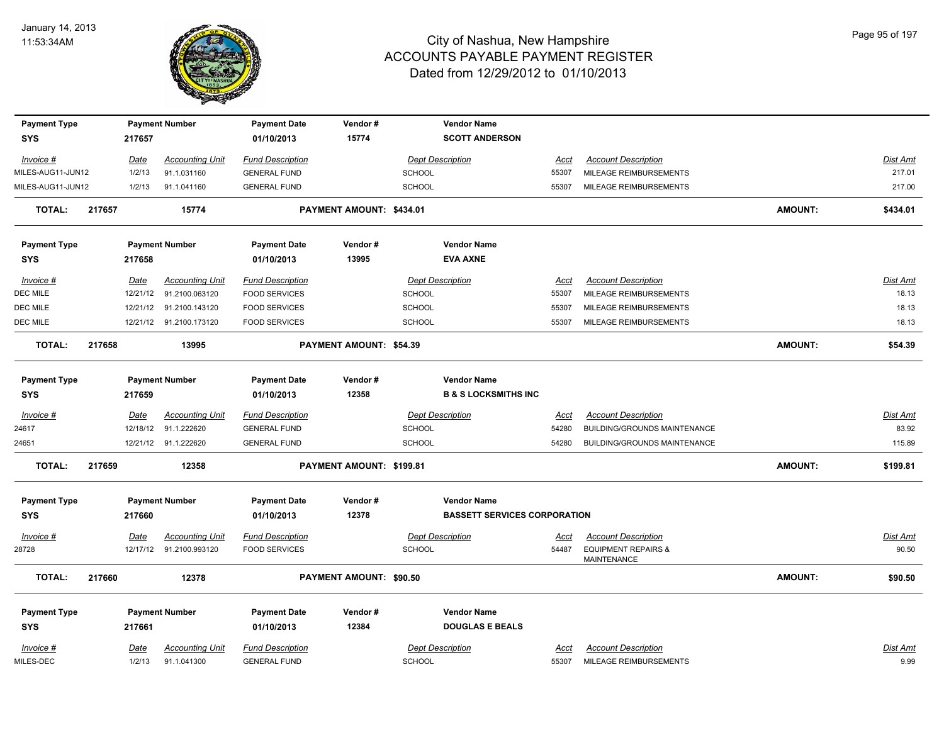

| <b>Payment Type</b><br><b>SYS</b> |        | 217657                | <b>Payment Number</b>                 | <b>Payment Date</b><br>01/10/2013              | Vendor#<br>15774         |               | <b>Vendor Name</b><br><b>SCOTT ANDERSON</b> |                      |                                                      |                |                 |
|-----------------------------------|--------|-----------------------|---------------------------------------|------------------------------------------------|--------------------------|---------------|---------------------------------------------|----------------------|------------------------------------------------------|----------------|-----------------|
|                                   |        |                       |                                       |                                                |                          |               |                                             |                      |                                                      |                | Dist Amt        |
| Invoice #<br>MILES-AUG11-JUN12    |        | <u>Date</u><br>1/2/13 | <b>Accounting Unit</b><br>91.1.031160 | <b>Fund Description</b><br><b>GENERAL FUND</b> |                          | <b>SCHOOL</b> | <b>Dept Description</b>                     | <u>Acct</u><br>55307 | <b>Account Description</b><br>MILEAGE REIMBURSEMENTS |                | 217.01          |
| MILES-AUG11-JUN12                 |        | 1/2/13                | 91.1.041160                           | <b>GENERAL FUND</b>                            |                          | <b>SCHOOL</b> |                                             | 55307                | MILEAGE REIMBURSEMENTS                               |                | 217.00          |
|                                   |        |                       |                                       |                                                |                          |               |                                             |                      |                                                      |                |                 |
| <b>TOTAL:</b>                     | 217657 |                       | 15774                                 |                                                | PAYMENT AMOUNT: \$434.01 |               |                                             |                      |                                                      | <b>AMOUNT:</b> | \$434.01        |
| <b>Payment Type</b>               |        |                       | <b>Payment Number</b>                 | <b>Payment Date</b>                            | Vendor#                  |               | <b>Vendor Name</b>                          |                      |                                                      |                |                 |
| <b>SYS</b>                        |        | 217658                |                                       | 01/10/2013                                     | 13995                    |               | <b>EVA AXNE</b>                             |                      |                                                      |                |                 |
| Invoice #                         |        | <u>Date</u>           | <b>Accounting Unit</b>                | <b>Fund Description</b>                        |                          |               | <b>Dept Description</b>                     | Acct                 | <b>Account Description</b>                           |                | Dist Amt        |
| DEC MILE                          |        | 12/21/12              | 91.2100.063120                        | <b>FOOD SERVICES</b>                           |                          | <b>SCHOOL</b> |                                             | 55307                | MILEAGE REIMBURSEMENTS                               |                | 18.13           |
| DEC MILE                          |        |                       | 12/21/12 91.2100.143120               | <b>FOOD SERVICES</b>                           |                          | <b>SCHOOL</b> |                                             | 55307                | MILEAGE REIMBURSEMENTS                               |                | 18.13           |
| DEC MILE                          |        |                       | 12/21/12 91.2100.173120               | <b>FOOD SERVICES</b>                           |                          | <b>SCHOOL</b> |                                             | 55307                | MILEAGE REIMBURSEMENTS                               |                | 18.13           |
| <b>TOTAL:</b>                     | 217658 |                       | 13995                                 |                                                | PAYMENT AMOUNT: \$54.39  |               |                                             |                      |                                                      | <b>AMOUNT:</b> | \$54.39         |
| <b>Payment Type</b>               |        |                       | <b>Payment Number</b>                 | <b>Payment Date</b>                            | Vendor#                  |               | <b>Vendor Name</b>                          |                      |                                                      |                |                 |
| SYS                               |        | 217659                |                                       | 01/10/2013                                     | 12358                    |               | <b>B &amp; S LOCKSMITHS INC</b>             |                      |                                                      |                |                 |
| Invoice #                         |        | Date                  | <b>Accounting Unit</b>                | <b>Fund Description</b>                        |                          |               | <b>Dept Description</b>                     | Acct                 | <b>Account Description</b>                           |                | <b>Dist Amt</b> |
| 24617                             |        |                       | 12/18/12 91.1.222620                  | <b>GENERAL FUND</b>                            |                          | <b>SCHOOL</b> |                                             | 54280                | BUILDING/GROUNDS MAINTENANCE                         |                | 83.92           |
| 24651                             |        |                       | 12/21/12 91.1.222620                  | <b>GENERAL FUND</b>                            |                          | <b>SCHOOL</b> |                                             | 54280                | <b>BUILDING/GROUNDS MAINTENANCE</b>                  |                | 115.89          |
| <b>TOTAL:</b>                     | 217659 |                       | 12358                                 |                                                | PAYMENT AMOUNT: \$199.81 |               |                                             |                      |                                                      | <b>AMOUNT:</b> | \$199.81        |
| <b>Payment Type</b>               |        |                       | <b>Payment Number</b>                 | <b>Payment Date</b>                            | Vendor#                  |               | <b>Vendor Name</b>                          |                      |                                                      |                |                 |
| SYS                               |        | 217660                |                                       | 01/10/2013                                     | 12378                    |               | <b>BASSETT SERVICES CORPORATION</b>         |                      |                                                      |                |                 |
| $Invoice$ #                       |        | Date                  | <u>Accounting Unit</u>                | <b>Fund Description</b>                        |                          |               | <b>Dept Description</b>                     | <u>Acct</u>          | <b>Account Description</b>                           |                | Dist Amt        |
| 28728                             |        |                       | 12/17/12 91.2100.993120               | <b>FOOD SERVICES</b>                           |                          | <b>SCHOOL</b> |                                             | 54487                | <b>EQUIPMENT REPAIRS &amp;</b><br><b>MAINTENANCE</b> |                | 90.50           |
| <b>TOTAL:</b>                     | 217660 |                       | 12378                                 |                                                | PAYMENT AMOUNT: \$90.50  |               |                                             |                      |                                                      | <b>AMOUNT:</b> | \$90.50         |
| <b>Payment Type</b>               |        |                       | <b>Payment Number</b>                 | <b>Payment Date</b>                            | Vendor#                  |               | <b>Vendor Name</b>                          |                      |                                                      |                |                 |
| <b>SYS</b>                        |        | 217661                |                                       | 01/10/2013                                     | 12384                    |               | <b>DOUGLAS E BEALS</b>                      |                      |                                                      |                |                 |
| $Invoice$ #                       |        | <u>Date</u>           | <b>Accounting Unit</b>                | <b>Fund Description</b>                        |                          |               | <b>Dept Description</b>                     | <u>Acct</u>          | <b>Account Description</b>                           |                | <b>Dist Amt</b> |
| MILES-DEC                         |        | 1/2/13                | 91.1.041300                           | <b>GENERAL FUND</b>                            |                          | <b>SCHOOL</b> |                                             | 55307                | MILEAGE REIMBURSEMENTS                               |                | 9.99            |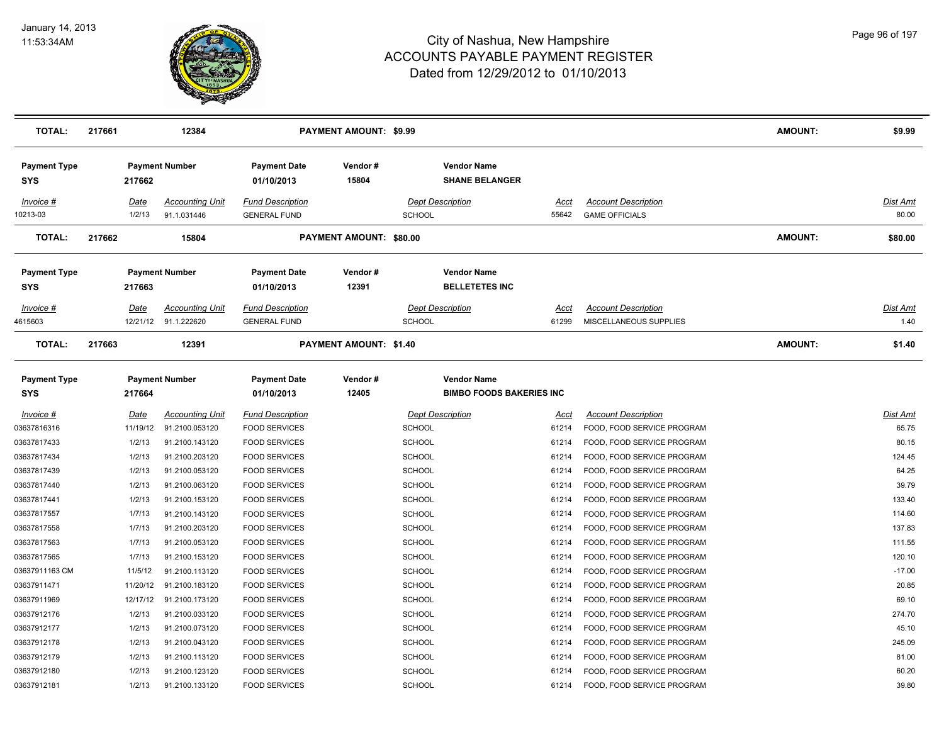

| <b>TOTAL:</b>              | 217661                | 12384                                          |                                                | <b>PAYMENT AMOUNT: \$9.99</b> |                                                       |                      |                                                      | <b>AMOUNT:</b> | \$9.99                   |
|----------------------------|-----------------------|------------------------------------------------|------------------------------------------------|-------------------------------|-------------------------------------------------------|----------------------|------------------------------------------------------|----------------|--------------------------|
| <b>Payment Type</b><br>SYS | 217662                | <b>Payment Number</b>                          | <b>Payment Date</b><br>01/10/2013              | Vendor#<br>15804              | <b>Vendor Name</b><br><b>SHANE BELANGER</b>           |                      |                                                      |                |                          |
| Invoice #<br>10213-03      | <u>Date</u><br>1/2/13 | <b>Accounting Unit</b><br>91.1.031446          | <b>Fund Description</b><br><b>GENERAL FUND</b> |                               | <b>Dept Description</b><br>SCHOOL                     | Acct<br>55642        | <b>Account Description</b><br><b>GAME OFFICIALS</b>  |                | <u>Dist Amt</u><br>80.00 |
| <b>TOTAL:</b>              | 217662                | 15804                                          |                                                | PAYMENT AMOUNT: \$80.00       |                                                       |                      |                                                      | <b>AMOUNT:</b> | \$80.00                  |
| <b>Payment Type</b><br>SYS | 217663                | <b>Payment Number</b>                          | <b>Payment Date</b><br>01/10/2013              | Vendor#<br>12391              | <b>Vendor Name</b><br><b>BELLETETES INC</b>           |                      |                                                      |                |                          |
| $Invoice$ #<br>4615603     | <u>Date</u>           | <b>Accounting Unit</b><br>12/21/12 91.1.222620 | <b>Fund Description</b><br><b>GENERAL FUND</b> |                               | <b>Dept Description</b><br>SCHOOL                     | <u>Acct</u><br>61299 | <b>Account Description</b><br>MISCELLANEOUS SUPPLIES |                | <u>Dist Amt</u><br>1.40  |
| <b>TOTAL:</b>              | 217663                | 12391                                          |                                                | <b>PAYMENT AMOUNT: \$1.40</b> |                                                       |                      |                                                      | <b>AMOUNT:</b> | \$1.40                   |
| <b>Payment Type</b><br>SYS | 217664                | <b>Payment Number</b>                          | <b>Payment Date</b><br>01/10/2013              | Vendor#<br>12405              | <b>Vendor Name</b><br><b>BIMBO FOODS BAKERIES INC</b> |                      |                                                      |                |                          |
| <b>Invoice #</b>           | <u>Date</u>           | <b>Accounting Unit</b>                         | <b>Fund Description</b>                        |                               | <b>Dept Description</b>                               | Acct                 | <b>Account Description</b>                           |                | <u>Dist Amt</u>          |
| 03637816316                | 11/19/12              | 91.2100.053120                                 | <b>FOOD SERVICES</b>                           |                               | <b>SCHOOL</b>                                         | 61214                | FOOD, FOOD SERVICE PROGRAM                           |                | 65.75                    |
| 03637817433                | 1/2/13                | 91.2100.143120                                 | <b>FOOD SERVICES</b>                           |                               | <b>SCHOOL</b>                                         | 61214                | FOOD, FOOD SERVICE PROGRAM                           |                | 80.15                    |
| 03637817434                | 1/2/13                | 91.2100.203120                                 | <b>FOOD SERVICES</b>                           |                               | <b>SCHOOL</b>                                         | 61214                | FOOD, FOOD SERVICE PROGRAM                           |                | 124.45                   |
| 03637817439                | 1/2/13                | 91.2100.053120                                 | <b>FOOD SERVICES</b>                           |                               | <b>SCHOOL</b>                                         | 61214                | FOOD, FOOD SERVICE PROGRAM                           |                | 64.25                    |
| 03637817440                | 1/2/13                | 91.2100.063120                                 | <b>FOOD SERVICES</b>                           |                               | <b>SCHOOL</b>                                         | 61214                | FOOD, FOOD SERVICE PROGRAM                           |                | 39.79                    |
| 03637817441                | 1/2/13                | 91.2100.153120                                 | <b>FOOD SERVICES</b>                           |                               | <b>SCHOOL</b>                                         | 61214                | FOOD, FOOD SERVICE PROGRAM                           |                | 133.40                   |
| 03637817557                | 1/7/13                | 91.2100.143120                                 | <b>FOOD SERVICES</b>                           |                               | <b>SCHOOL</b>                                         | 61214                | FOOD, FOOD SERVICE PROGRAM                           |                | 114.60                   |
| 03637817558                | 1/7/13                | 91.2100.203120                                 | <b>FOOD SERVICES</b>                           |                               | SCHOOL                                                | 61214                | FOOD, FOOD SERVICE PROGRAM                           |                | 137.83                   |
| 03637817563                | 1/7/13                | 91.2100.053120                                 | <b>FOOD SERVICES</b>                           |                               | <b>SCHOOL</b>                                         | 61214                | FOOD, FOOD SERVICE PROGRAM                           |                | 111.55                   |
| 03637817565                | 1/7/13                | 91.2100.153120                                 | <b>FOOD SERVICES</b>                           |                               | <b>SCHOOL</b>                                         | 61214                | FOOD, FOOD SERVICE PROGRAM                           |                | 120.10                   |
| 03637911163 CM             | 11/5/12               | 91.2100.113120                                 | <b>FOOD SERVICES</b>                           |                               | <b>SCHOOL</b>                                         | 61214                | FOOD, FOOD SERVICE PROGRAM                           |                | $-17.00$                 |
| 03637911471                | 11/20/12              | 91.2100.183120                                 | <b>FOOD SERVICES</b>                           |                               | <b>SCHOOL</b>                                         | 61214                | FOOD, FOOD SERVICE PROGRAM                           |                | 20.85                    |
| 03637911969                | 12/17/12              | 91.2100.173120                                 | <b>FOOD SERVICES</b>                           |                               | <b>SCHOOL</b>                                         | 61214                | FOOD, FOOD SERVICE PROGRAM                           |                | 69.10                    |
| 03637912176                | 1/2/13                | 91.2100.033120                                 | <b>FOOD SERVICES</b>                           |                               | <b>SCHOOL</b>                                         | 61214                | FOOD, FOOD SERVICE PROGRAM                           |                | 274.70                   |
| 03637912177                | 1/2/13                | 91.2100.073120                                 | <b>FOOD SERVICES</b>                           |                               | <b>SCHOOL</b>                                         | 61214                | FOOD, FOOD SERVICE PROGRAM                           |                | 45.10                    |
| 03637912178                | 1/2/13                | 91.2100.043120                                 | <b>FOOD SERVICES</b>                           |                               | SCHOOL                                                | 61214                | FOOD, FOOD SERVICE PROGRAM                           |                | 245.09                   |
| 03637912179                | 1/2/13                | 91.2100.113120                                 | <b>FOOD SERVICES</b>                           |                               | <b>SCHOOL</b>                                         | 61214                | FOOD, FOOD SERVICE PROGRAM                           |                | 81.00                    |
| 03637912180                | 1/2/13                | 91.2100.123120                                 | <b>FOOD SERVICES</b>                           |                               | SCHOOL                                                | 61214                | FOOD, FOOD SERVICE PROGRAM                           |                | 60.20                    |
| 03637912181                | 1/2/13                | 91.2100.133120                                 | <b>FOOD SERVICES</b>                           |                               | SCHOOL                                                | 61214                | FOOD, FOOD SERVICE PROGRAM                           |                | 39.80                    |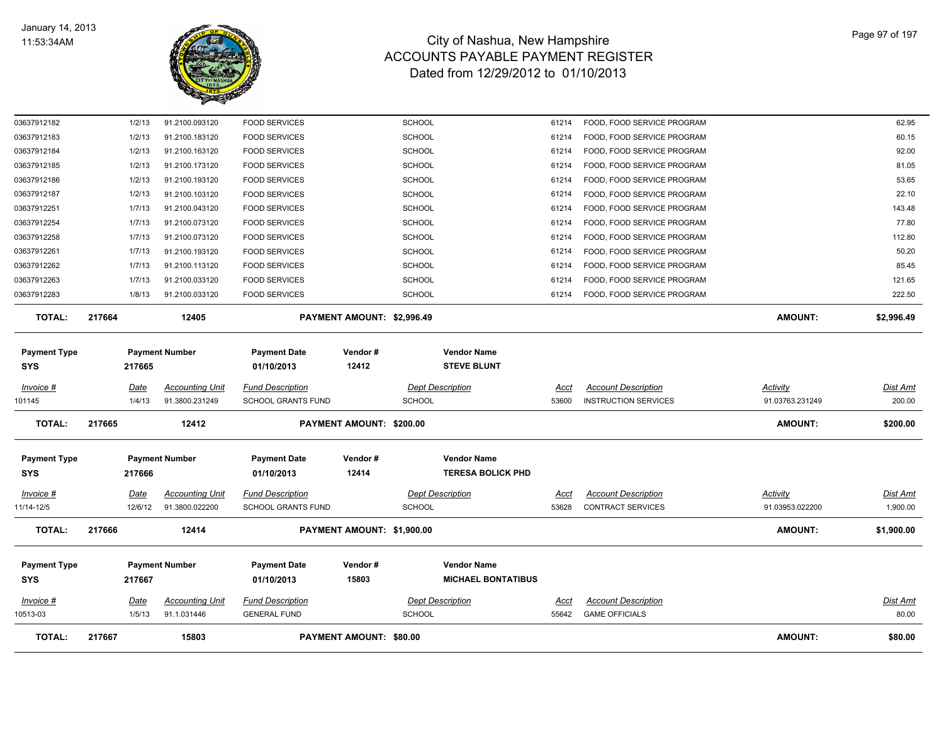

| <b>TOTAL:</b>                     | 217667 |                       | 15803                                    |                                                      | <b>PAYMENT AMOUNT: \$80.00</b> |                         |                                                 |                      |                                                           | <b>AMOUNT:</b>                     | \$80.00                  |
|-----------------------------------|--------|-----------------------|------------------------------------------|------------------------------------------------------|--------------------------------|-------------------------|-------------------------------------------------|----------------------|-----------------------------------------------------------|------------------------------------|--------------------------|
| <u>Invoice #</u><br>10513-03      |        | <u>Date</u><br>1/5/13 | <b>Accounting Unit</b><br>91.1.031446    | <b>Fund Description</b><br><b>GENERAL FUND</b>       |                                | <b>SCHOOL</b>           | <b>Dept Description</b>                         | <u>Acct</u><br>55642 | <b>Account Description</b><br><b>GAME OFFICIALS</b>       |                                    | <u>Dist Amt</u><br>80.00 |
| <b>Payment Type</b><br><b>SYS</b> |        | 217667                | <b>Payment Number</b>                    | <b>Payment Date</b><br>01/10/2013                    | Vendor #<br>15803              |                         | <b>Vendor Name</b><br><b>MICHAEL BONTATIBUS</b> |                      |                                                           |                                    |                          |
| <b>TOTAL:</b>                     | 217666 |                       | 12414                                    |                                                      | PAYMENT AMOUNT: \$1,900.00     |                         |                                                 |                      |                                                           | <b>AMOUNT:</b>                     | \$1,900.00               |
| Invoice #<br>11/14-12/5           |        | Date<br>12/6/12       | <b>Accounting Unit</b><br>91.3800.022200 | <b>Fund Description</b><br><b>SCHOOL GRANTS FUND</b> |                                | <b>SCHOOL</b>           | <b>Dept Description</b>                         | Acct<br>53628        | <b>Account Description</b><br><b>CONTRACT SERVICES</b>    | Activity<br>91.03953.022200        | Dist Amt<br>1,900.00     |
| <b>Payment Type</b><br><b>SYS</b> |        | 217666                | <b>Payment Number</b>                    | <b>Payment Date</b><br>01/10/2013                    | Vendor#<br>12414               |                         | <b>Vendor Name</b><br><b>TERESA BOLICK PHD</b>  |                      |                                                           |                                    |                          |
| <b>TOTAL:</b>                     | 217665 |                       | 12412                                    |                                                      | PAYMENT AMOUNT: \$200.00       |                         |                                                 |                      |                                                           | <b>AMOUNT:</b>                     | \$200.00                 |
| Invoice #<br>101145               |        | Date<br>1/4/13        | <b>Accounting Unit</b><br>91.3800.231249 | <b>Fund Description</b><br><b>SCHOOL GRANTS FUND</b> |                                | <b>SCHOOL</b>           | <b>Dept Description</b>                         | Acct<br>53600        | <b>Account Description</b><br><b>INSTRUCTION SERVICES</b> | <b>Activity</b><br>91.03763.231249 | Dist Amt<br>200.00       |
| <b>Payment Type</b><br><b>SYS</b> |        | 217665                | <b>Payment Number</b>                    | <b>Payment Date</b><br>01/10/2013                    | Vendor#<br>12412               |                         | <b>Vendor Name</b><br><b>STEVE BLUNT</b>        |                      |                                                           |                                    |                          |
| <b>TOTAL:</b>                     | 217664 |                       | 12405                                    |                                                      | PAYMENT AMOUNT: \$2,996.49     |                         |                                                 |                      |                                                           | <b>AMOUNT:</b>                     | \$2,996.49               |
| 03637912283                       |        | 1/8/13                | 91.2100.033120                           | <b>FOOD SERVICES</b>                                 |                                | <b>SCHOOL</b>           |                                                 | 61214                | FOOD, FOOD SERVICE PROGRAM                                |                                    | 222.50                   |
| 03637912263                       |        | 1/7/13                | 91.2100.033120                           | <b>FOOD SERVICES</b>                                 |                                | SCHOOL                  |                                                 | 61214                | FOOD, FOOD SERVICE PROGRAM                                |                                    | 121.65                   |
| 03637912262                       |        | 1/7/13                | 91.2100.113120                           | <b>FOOD SERVICES</b>                                 |                                | <b>SCHOOL</b>           |                                                 | 61214                | FOOD, FOOD SERVICE PROGRAM                                |                                    | 85.45                    |
| 03637912258<br>03637912261        |        | 1/7/13<br>1/7/13      | 91.2100.073120<br>91.2100.193120         | <b>FOOD SERVICES</b><br><b>FOOD SERVICES</b>         |                                | SCHOOL<br><b>SCHOOL</b> |                                                 | 61214<br>61214       | FOOD, FOOD SERVICE PROGRAM<br>FOOD, FOOD SERVICE PROGRAM  |                                    | 112.80<br>50.20          |
| 03637912254                       |        | 1/7/13                | 91.2100.073120                           | <b>FOOD SERVICES</b>                                 |                                | <b>SCHOOL</b>           |                                                 | 61214                | FOOD, FOOD SERVICE PROGRAM                                |                                    | 77.80                    |
| 03637912251                       |        | 1/7/13                | 91.2100.043120                           | <b>FOOD SERVICES</b>                                 |                                | <b>SCHOOL</b>           |                                                 | 61214                | FOOD, FOOD SERVICE PROGRAM                                |                                    | 143.48                   |
| 03637912187                       |        | 1/2/13                | 91.2100.103120                           | <b>FOOD SERVICES</b>                                 |                                | <b>SCHOOL</b>           |                                                 | 61214                | FOOD, FOOD SERVICE PROGRAM                                |                                    | 22.10                    |
| 03637912186                       |        | 1/2/13                | 91.2100.193120                           | <b>FOOD SERVICES</b>                                 |                                | <b>SCHOOL</b>           |                                                 | 61214                | FOOD, FOOD SERVICE PROGRAM                                |                                    | 53.65                    |
| 03637912185                       |        | 1/2/13                | 91.2100.173120                           | <b>FOOD SERVICES</b>                                 |                                | <b>SCHOOL</b>           |                                                 | 61214                | FOOD, FOOD SERVICE PROGRAM                                |                                    | 81.05                    |
| 03637912184                       |        | 1/2/13                | 91.2100.163120                           | <b>FOOD SERVICES</b>                                 |                                | <b>SCHOOL</b>           |                                                 | 61214                | FOOD, FOOD SERVICE PROGRAM                                |                                    | 92.00                    |
| 03637912183                       |        | 1/2/13                | 91.2100.183120                           | <b>FOOD SERVICES</b>                                 |                                | <b>SCHOOL</b>           |                                                 | 61214                | FOOD, FOOD SERVICE PROGRAM                                |                                    | 60.15                    |
| 03637912182                       |        | 1/2/13                | 91.2100.093120                           | <b>FOOD SERVICES</b>                                 |                                | <b>SCHOOL</b>           |                                                 | 61214                | FOOD, FOOD SERVICE PROGRAM                                |                                    | 62.95                    |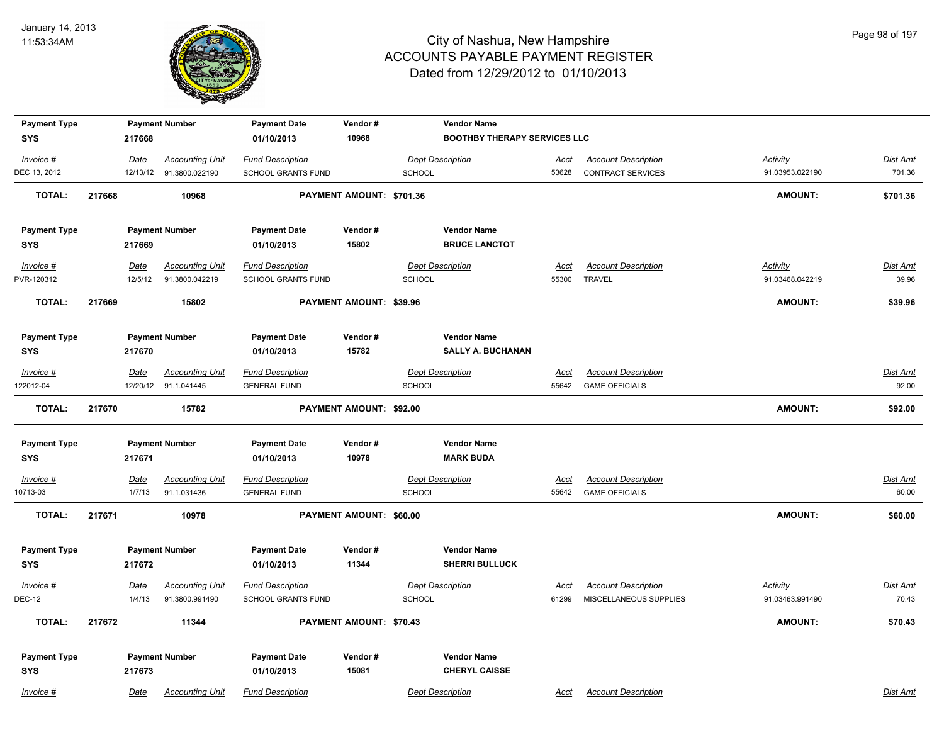

| <b>Payment Type</b><br><b>SYS</b> | 217668      | <b>Payment Number</b>   | <b>Payment Date</b><br>01/10/2013 | Vendor#<br>10968               |                         | <b>Vendor Name</b><br><b>BOOTHBY THERAPY SERVICES LLC</b> |             |                            |                 |                 |
|-----------------------------------|-------------|-------------------------|-----------------------------------|--------------------------------|-------------------------|-----------------------------------------------------------|-------------|----------------------------|-----------------|-----------------|
|                                   |             |                         |                                   |                                |                         |                                                           |             |                            |                 |                 |
| Invoice #                         | Date        | <b>Accounting Unit</b>  | <b>Fund Description</b>           |                                | <b>Dept Description</b> |                                                           | Acct        | <b>Account Description</b> | <b>Activity</b> | <b>Dist Amt</b> |
| DEC 13, 2012                      |             | 12/13/12 91.3800.022190 | <b>SCHOOL GRANTS FUND</b>         |                                | <b>SCHOOL</b>           |                                                           | 53628       | <b>CONTRACT SERVICES</b>   | 91.03953.022190 | 701.36          |
| <b>TOTAL:</b>                     | 217668      | 10968                   |                                   | PAYMENT AMOUNT: \$701.36       |                         |                                                           |             |                            | <b>AMOUNT:</b>  | \$701.36        |
| <b>Payment Type</b>               |             | <b>Payment Number</b>   | <b>Payment Date</b>               | Vendor#                        |                         | <b>Vendor Name</b>                                        |             |                            |                 |                 |
| <b>SYS</b>                        | 217669      |                         | 01/10/2013                        | 15802                          |                         | <b>BRUCE LANCTOT</b>                                      |             |                            |                 |                 |
| $Invoice$ #                       | <u>Date</u> | <b>Accounting Unit</b>  | <b>Fund Description</b>           |                                | <b>Dept Description</b> |                                                           | <u>Acct</u> | <b>Account Description</b> | <b>Activity</b> | <b>Dist Amt</b> |
| PVR-120312                        | 12/5/12     | 91.3800.042219          | <b>SCHOOL GRANTS FUND</b>         |                                | <b>SCHOOL</b>           |                                                           | 55300       | <b>TRAVEL</b>              | 91.03468.042219 | 39.96           |
| TOTAL:                            | 217669      | 15802                   |                                   | <b>PAYMENT AMOUNT: \$39.96</b> |                         |                                                           |             |                            | <b>AMOUNT:</b>  | \$39.96         |
| <b>Payment Type</b>               |             | <b>Payment Number</b>   | <b>Payment Date</b>               | Vendor#                        |                         | <b>Vendor Name</b>                                        |             |                            |                 |                 |
| <b>SYS</b>                        | 217670      |                         | 01/10/2013                        | 15782                          |                         | <b>SALLY A. BUCHANAN</b>                                  |             |                            |                 |                 |
| Invoice #                         | Date        | <b>Accounting Unit</b>  | <b>Fund Description</b>           |                                | <b>Dept Description</b> |                                                           | Acct        | <b>Account Description</b> |                 | Dist Amt        |
| 122012-04                         |             | 12/20/12 91.1.041445    | <b>GENERAL FUND</b>               |                                | SCHOOL                  |                                                           | 55642       | <b>GAME OFFICIALS</b>      |                 | 92.00           |
| <b>TOTAL:</b>                     | 217670      | 15782                   |                                   | PAYMENT AMOUNT: \$92.00        |                         |                                                           |             |                            | <b>AMOUNT:</b>  | \$92.00         |
| <b>Payment Type</b>               |             | <b>Payment Number</b>   | <b>Payment Date</b>               | Vendor#                        |                         | <b>Vendor Name</b>                                        |             |                            |                 |                 |
| <b>SYS</b>                        | 217671      |                         | 01/10/2013                        | 10978                          |                         | <b>MARK BUDA</b>                                          |             |                            |                 |                 |
| Invoice #                         | <u>Date</u> | <b>Accounting Unit</b>  | <b>Fund Description</b>           |                                | <b>Dept Description</b> |                                                           | <u>Acct</u> | <b>Account Description</b> |                 | <u>Dist Amt</u> |
| 10713-03                          | 1/7/13      | 91.1.031436             | <b>GENERAL FUND</b>               |                                | SCHOOL                  |                                                           | 55642       | <b>GAME OFFICIALS</b>      |                 | 60.00           |
| <b>TOTAL:</b>                     | 217671      | 10978                   |                                   | PAYMENT AMOUNT: \$60.00        |                         |                                                           |             |                            | <b>AMOUNT:</b>  | \$60.00         |
| <b>Payment Type</b>               |             | <b>Payment Number</b>   | <b>Payment Date</b>               | Vendor#                        |                         | <b>Vendor Name</b>                                        |             |                            |                 |                 |
| <b>SYS</b>                        | 217672      |                         | 01/10/2013                        | 11344                          |                         | <b>SHERRI BULLUCK</b>                                     |             |                            |                 |                 |
| Invoice #                         | Date        | <b>Accounting Unit</b>  | <b>Fund Description</b>           |                                | <b>Dept Description</b> |                                                           | <u>Acct</u> | <b>Account Description</b> | <b>Activity</b> | <b>Dist Amt</b> |
| <b>DEC-12</b>                     | 1/4/13      | 91.3800.991490          | <b>SCHOOL GRANTS FUND</b>         |                                | <b>SCHOOL</b>           |                                                           | 61299       | MISCELLANEOUS SUPPLIES     | 91.03463.991490 | 70.43           |
| <b>TOTAL:</b>                     | 217672      | 11344                   |                                   | PAYMENT AMOUNT: \$70.43        |                         |                                                           |             |                            | AMOUNT:         | \$70.43         |
| <b>Payment Type</b>               |             | <b>Payment Number</b>   | <b>Payment Date</b>               | Vendor#                        |                         | <b>Vendor Name</b>                                        |             |                            |                 |                 |
| <b>SYS</b>                        | 217673      |                         | 01/10/2013                        | 15081                          |                         | <b>CHERYL CAISSE</b>                                      |             |                            |                 |                 |
| Invoice #                         | Date        | <b>Accounting Unit</b>  | <b>Fund Description</b>           |                                | <b>Dept Description</b> |                                                           | Acct        | <b>Account Description</b> |                 | Dist Amt        |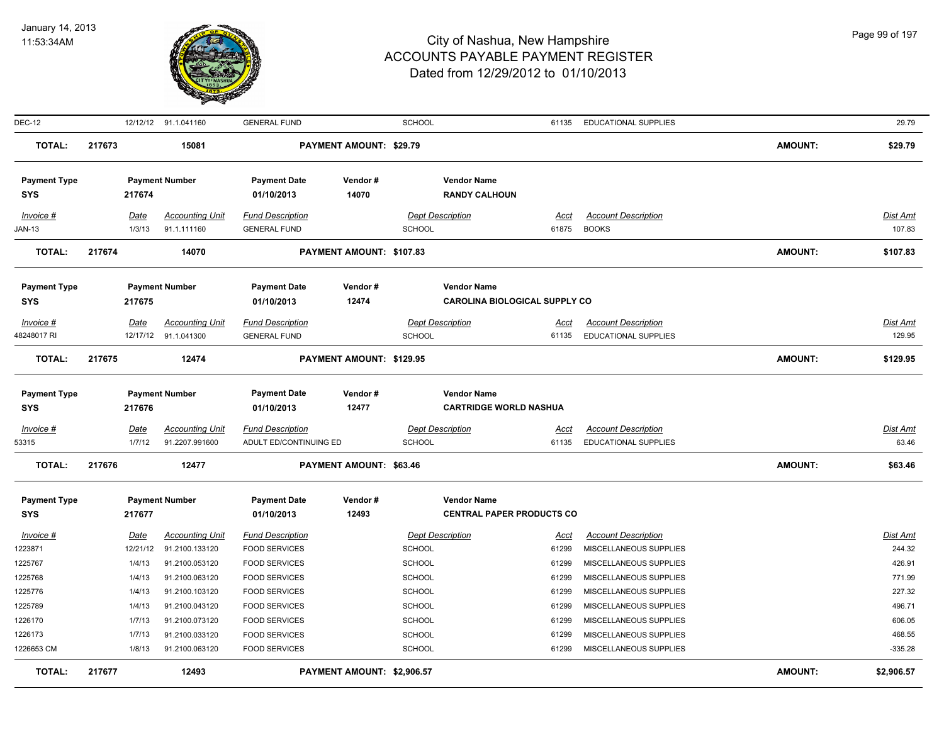

| DEC-12              |        |             | 12/12/12 91.1.041160   | <b>GENERAL FUND</b>     |                            | <b>SCHOOL</b> |                                      |             | 61135 EDUCATIONAL SUPPLIES |                | 29.79           |
|---------------------|--------|-------------|------------------------|-------------------------|----------------------------|---------------|--------------------------------------|-------------|----------------------------|----------------|-----------------|
| <b>TOTAL:</b>       | 217673 |             | 15081                  |                         | PAYMENT AMOUNT: \$29.79    |               |                                      |             |                            | <b>AMOUNT:</b> | \$29.79         |
| <b>Payment Type</b> |        |             | <b>Payment Number</b>  | <b>Payment Date</b>     | Vendor#                    |               | <b>Vendor Name</b>                   |             |                            |                |                 |
| <b>SYS</b>          |        | 217674      |                        | 01/10/2013              | 14070                      |               | <b>RANDY CALHOUN</b>                 |             |                            |                |                 |
| Invoice #           |        | Date        | <b>Accounting Unit</b> | <b>Fund Description</b> |                            |               | <b>Dept Description</b>              | Acct        | <b>Account Description</b> |                | Dist Amt        |
| <b>JAN-13</b>       |        | 1/3/13      | 91.1.111160            | <b>GENERAL FUND</b>     |                            | <b>SCHOOL</b> |                                      |             | 61875 BOOKS                |                | 107.83          |
| <b>TOTAL:</b>       | 217674 |             | 14070                  |                         | PAYMENT AMOUNT: \$107.83   |               |                                      |             |                            | <b>AMOUNT:</b> | \$107.83        |
| <b>Payment Type</b> |        |             | <b>Payment Number</b>  | <b>Payment Date</b>     | Vendor#                    |               | <b>Vendor Name</b>                   |             |                            |                |                 |
| <b>SYS</b>          |        | 217675      |                        | 01/10/2013              | 12474                      |               | <b>CAROLINA BIOLOGICAL SUPPLY CO</b> |             |                            |                |                 |
| Invoice #           |        | <u>Date</u> | <b>Accounting Unit</b> | <b>Fund Description</b> |                            |               | <b>Dept Description</b>              | <u>Acct</u> | <b>Account Description</b> |                | Dist Amt        |
| 48248017 RI         |        |             | 12/17/12 91.1.041300   | <b>GENERAL FUND</b>     |                            | <b>SCHOOL</b> |                                      | 61135       | EDUCATIONAL SUPPLIES       |                | 129.95          |
| <b>TOTAL:</b>       | 217675 |             | 12474                  |                         | PAYMENT AMOUNT: \$129.95   |               |                                      |             |                            | <b>AMOUNT:</b> | \$129.95        |
| <b>Payment Type</b> |        |             | <b>Payment Number</b>  | <b>Payment Date</b>     | Vendor#                    |               | <b>Vendor Name</b>                   |             |                            |                |                 |
| <b>SYS</b>          |        | 217676      |                        | 01/10/2013              | 12477                      |               | <b>CARTRIDGE WORLD NASHUA</b>        |             |                            |                |                 |
| $Invoice$ #         |        | <b>Date</b> | <b>Accounting Unit</b> | <b>Fund Description</b> |                            |               | <b>Dept Description</b>              | Acct        | <b>Account Description</b> |                | <b>Dist Amt</b> |
| 53315               |        | 1/7/12      | 91.2207.991600         | ADULT ED/CONTINUING ED  |                            | <b>SCHOOL</b> |                                      | 61135       | EDUCATIONAL SUPPLIES       |                | 63.46           |
| <b>TOTAL:</b>       | 217676 |             | 12477                  |                         | PAYMENT AMOUNT: \$63.46    |               |                                      |             |                            | <b>AMOUNT:</b> | \$63.46         |
| <b>Payment Type</b> |        |             | <b>Payment Number</b>  | <b>Payment Date</b>     | Vendor#                    |               | <b>Vendor Name</b>                   |             |                            |                |                 |
| <b>SYS</b>          |        | 217677      |                        | 01/10/2013              | 12493                      |               | <b>CENTRAL PAPER PRODUCTS CO</b>     |             |                            |                |                 |
| Invoice #           |        | Date        | <b>Accounting Unit</b> | <b>Fund Description</b> |                            |               | <b>Dept Description</b>              | Acct        | <b>Account Description</b> |                | Dist Amt        |
| 1223871             |        | 12/21/12    | 91.2100.133120         | <b>FOOD SERVICES</b>    |                            | <b>SCHOOL</b> |                                      | 61299       | MISCELLANEOUS SUPPLIES     |                | 244.32          |
| 1225767             |        | 1/4/13      | 91.2100.053120         | <b>FOOD SERVICES</b>    |                            | <b>SCHOOL</b> |                                      | 61299       | MISCELLANEOUS SUPPLIES     |                | 426.91          |
| 1225768             |        | 1/4/13      | 91.2100.063120         | <b>FOOD SERVICES</b>    |                            | <b>SCHOOL</b> |                                      | 61299       | MISCELLANEOUS SUPPLIES     |                | 771.99          |
| 1225776             |        | 1/4/13      | 91.2100.103120         | <b>FOOD SERVICES</b>    |                            | <b>SCHOOL</b> |                                      | 61299       | MISCELLANEOUS SUPPLIES     |                | 227.32          |
| 1225789             |        | 1/4/13      | 91.2100.043120         | <b>FOOD SERVICES</b>    |                            | <b>SCHOOL</b> |                                      | 61299       | MISCELLANEOUS SUPPLIES     |                | 496.71          |
| 1226170             |        | 1/7/13      | 91.2100.073120         | <b>FOOD SERVICES</b>    |                            | <b>SCHOOL</b> |                                      | 61299       | MISCELLANEOUS SUPPLIES     |                | 606.05          |
| 1226173             |        | 1/7/13      | 91.2100.033120         | <b>FOOD SERVICES</b>    |                            | <b>SCHOOL</b> |                                      | 61299       | MISCELLANEOUS SUPPLIES     |                | 468.55          |
| 1226653 CM          |        | 1/8/13      | 91.2100.063120         | <b>FOOD SERVICES</b>    |                            | <b>SCHOOL</b> |                                      | 61299       | MISCELLANEOUS SUPPLIES     |                | $-335.28$       |
| <b>TOTAL:</b>       | 217677 |             | 12493                  |                         | PAYMENT AMOUNT: \$2,906.57 |               |                                      |             |                            | <b>AMOUNT:</b> | \$2,906.57      |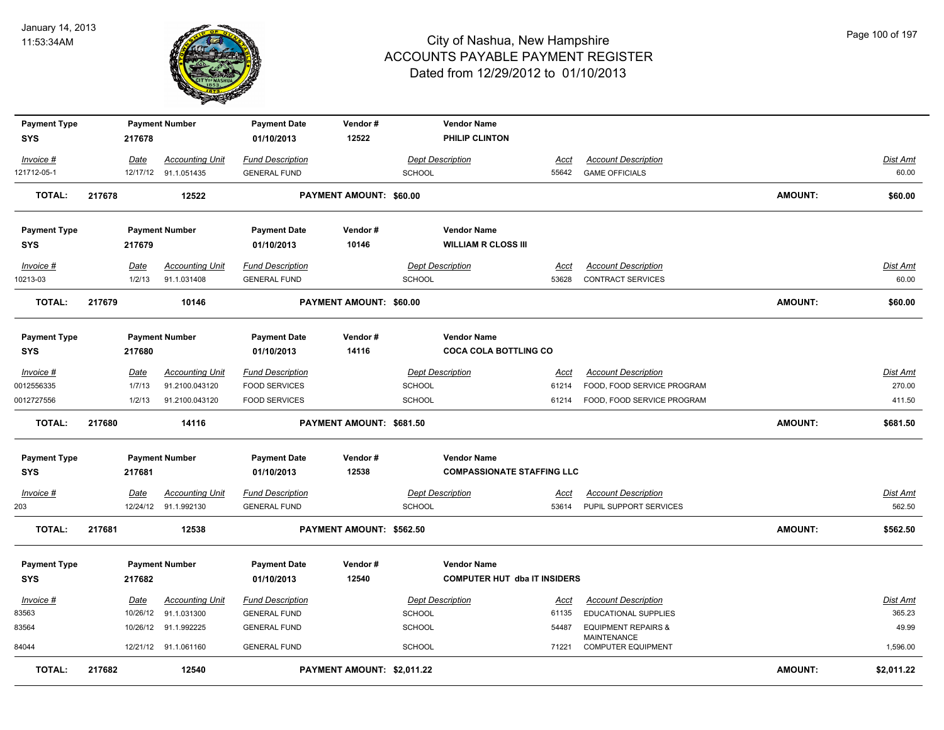

| <b>Payment Type</b> |        |                         | <b>Payment Number</b>                 | <b>Payment Date</b>                            | Vendor#                    |               | <b>Vendor Name</b>                  |                      |                                                      |                |                           |
|---------------------|--------|-------------------------|---------------------------------------|------------------------------------------------|----------------------------|---------------|-------------------------------------|----------------------|------------------------------------------------------|----------------|---------------------------|
| <b>SYS</b>          |        | 217678                  |                                       | 01/10/2013                                     | 12522                      |               | PHILIP CLINTON                      |                      |                                                      |                |                           |
| Invoice #           |        | Date                    | <b>Accounting Unit</b>                | <b>Fund Description</b>                        |                            |               | <b>Dept Description</b>             | Acct                 | <b>Account Description</b>                           |                | Dist Amt                  |
| 121712-05-1         |        |                         | 12/17/12 91.1.051435                  | <b>GENERAL FUND</b>                            |                            | <b>SCHOOL</b> |                                     | 55642                | <b>GAME OFFICIALS</b>                                |                | 60.00                     |
| <b>TOTAL:</b>       | 217678 |                         | 12522                                 |                                                | PAYMENT AMOUNT: \$60.00    |               |                                     |                      |                                                      | <b>AMOUNT:</b> | \$60.00                   |
| <b>Payment Type</b> |        |                         | <b>Payment Number</b>                 | <b>Payment Date</b>                            | Vendor#                    |               | <b>Vendor Name</b>                  |                      |                                                      |                |                           |
| <b>SYS</b>          |        | 217679                  |                                       | 01/10/2013                                     | 10146                      |               | <b>WILLIAM R CLOSS III</b>          |                      |                                                      |                |                           |
| Invoice #           |        | Date                    | <b>Accounting Unit</b>                | <b>Fund Description</b>                        |                            |               | <b>Dept Description</b>             | Acct                 | <b>Account Description</b>                           |                | Dist Amt                  |
| 10213-03            |        | 1/2/13                  | 91.1.031408                           | <b>GENERAL FUND</b>                            |                            | <b>SCHOOL</b> |                                     | 53628                | CONTRACT SERVICES                                    |                | 60.00                     |
| <b>TOTAL:</b>       | 217679 |                         | 10146                                 |                                                | PAYMENT AMOUNT: \$60.00    |               |                                     |                      |                                                      | <b>AMOUNT:</b> | \$60.00                   |
| <b>Payment Type</b> |        |                         | <b>Payment Number</b>                 | <b>Payment Date</b>                            | Vendor#                    |               | <b>Vendor Name</b>                  |                      |                                                      |                |                           |
| <b>SYS</b>          |        | 217680                  |                                       | 01/10/2013                                     | 14116                      |               | <b>COCA COLA BOTTLING CO</b>        |                      |                                                      |                |                           |
| Invoice #           |        | Date                    | <b>Accounting Unit</b>                | <b>Fund Description</b>                        |                            |               | <b>Dept Description</b>             | Acct                 | <b>Account Description</b>                           |                | Dist Amt                  |
| 0012556335          |        | 1/7/13                  | 91.2100.043120                        | <b>FOOD SERVICES</b>                           |                            | <b>SCHOOL</b> |                                     | 61214                | FOOD, FOOD SERVICE PROGRAM                           |                | 270.00                    |
| 0012727556          |        | 1/2/13                  | 91.2100.043120                        | <b>FOOD SERVICES</b>                           |                            | <b>SCHOOL</b> |                                     | 61214                | FOOD, FOOD SERVICE PROGRAM                           |                | 411.50                    |
| <b>TOTAL:</b>       | 217680 |                         | 14116                                 |                                                | PAYMENT AMOUNT: \$681.50   |               |                                     |                      |                                                      | <b>AMOUNT:</b> | \$681.50                  |
| <b>Payment Type</b> |        |                         | <b>Payment Number</b>                 | <b>Payment Date</b>                            | Vendor#                    |               | <b>Vendor Name</b>                  |                      |                                                      |                |                           |
| <b>SYS</b>          |        | 217681                  |                                       | 01/10/2013                                     | 12538                      |               | <b>COMPASSIONATE STAFFING LLC</b>   |                      |                                                      |                |                           |
| Invoice #<br>203    |        | <u>Date</u><br>12/24/12 | <b>Accounting Unit</b><br>91.1.992130 | <b>Fund Description</b><br><b>GENERAL FUND</b> |                            | <b>SCHOOL</b> | <b>Dept Description</b>             | <u>Acct</u><br>53614 | <b>Account Description</b><br>PUPIL SUPPORT SERVICES |                | <u>Dist Amt</u><br>562.50 |
| <b>TOTAL:</b>       | 217681 |                         | 12538                                 |                                                | PAYMENT AMOUNT: \$562.50   |               |                                     |                      |                                                      | <b>AMOUNT:</b> | \$562.50                  |
| <b>Payment Type</b> |        |                         | <b>Payment Number</b>                 | <b>Payment Date</b>                            | Vendor#                    |               | <b>Vendor Name</b>                  |                      |                                                      |                |                           |
| <b>SYS</b>          |        | 217682                  |                                       | 01/10/2013                                     | 12540                      |               | <b>COMPUTER HUT dba IT INSIDERS</b> |                      |                                                      |                |                           |
| Invoice #           |        | Date                    | <b>Accounting Unit</b>                | <b>Fund Description</b>                        |                            |               | <b>Dept Description</b>             | Acct                 | <b>Account Description</b>                           |                | Dist Amt                  |
| 83563               |        | 10/26/12                | 91.1.031300                           | <b>GENERAL FUND</b>                            |                            | <b>SCHOOL</b> |                                     | 61135                | EDUCATIONAL SUPPLIES                                 |                | 365.23                    |
| 83564               |        | 10/26/12                | 91.1.992225                           | <b>GENERAL FUND</b>                            |                            | <b>SCHOOL</b> |                                     | 54487                | <b>EQUIPMENT REPAIRS &amp;</b>                       |                | 49.99                     |
| 84044               |        |                         | 12/21/12 91.1.061160                  | <b>GENERAL FUND</b>                            |                            | <b>SCHOOL</b> |                                     | 71221                | MAINTENANCE<br><b>COMPUTER EQUIPMENT</b>             |                | 1,596.00                  |
| <b>TOTAL:</b>       | 217682 |                         | 12540                                 |                                                | PAYMENT AMOUNT: \$2,011.22 |               |                                     |                      |                                                      | <b>AMOUNT:</b> | \$2,011.22                |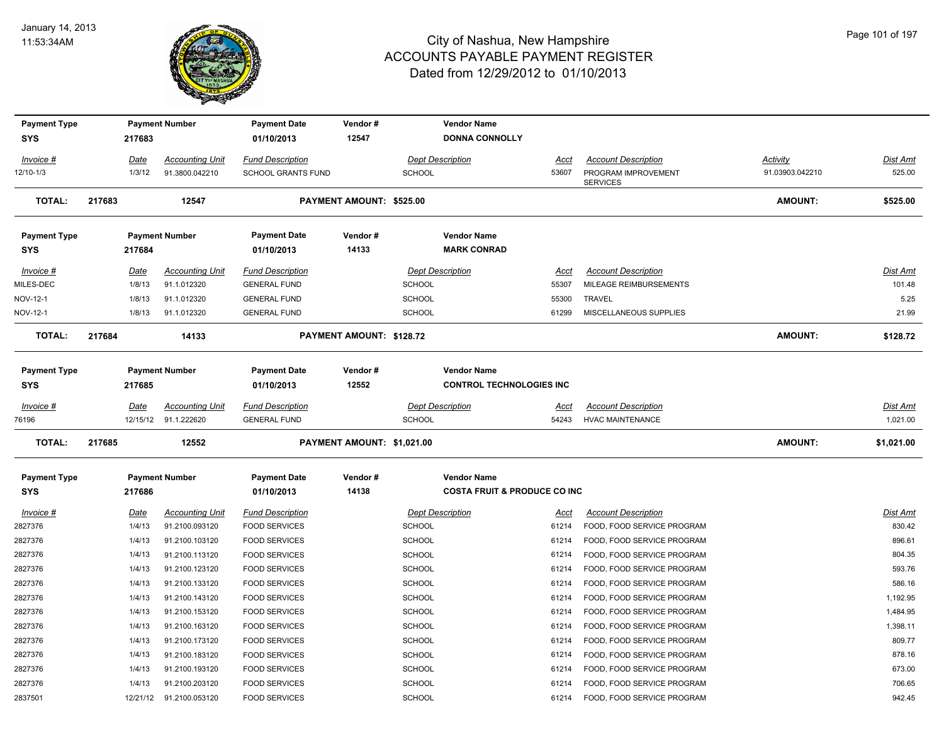

| <b>Payment Type</b> |                | <b>Payment Number</b>  | <b>Payment Date</b>       | Vendor#                    |               | <b>Vendor Name</b>                      |               |                            |                                    |                 |
|---------------------|----------------|------------------------|---------------------------|----------------------------|---------------|-----------------------------------------|---------------|----------------------------|------------------------------------|-----------------|
| <b>SYS</b>          | 217683         |                        | 01/10/2013                | 12547                      |               | <b>DONNA CONNOLLY</b>                   |               |                            |                                    |                 |
| Invoice #           |                | <b>Accounting Unit</b> | <b>Fund Description</b>   |                            |               | <b>Dept Description</b>                 |               | <b>Account Description</b> |                                    | <b>Dist Amt</b> |
| 12/10-1/3           | Date<br>1/3/12 | 91.3800.042210         | <b>SCHOOL GRANTS FUND</b> |                            | <b>SCHOOL</b> |                                         | Acct<br>53607 | PROGRAM IMPROVEMENT        | <b>Activity</b><br>91.03903.042210 | 525.00          |
|                     |                |                        |                           |                            |               |                                         |               | <b>SERVICES</b>            |                                    |                 |
| <b>TOTAL:</b>       | 217683         | 12547                  |                           | PAYMENT AMOUNT: \$525.00   |               |                                         |               |                            | AMOUNT:                            | \$525.00        |
| <b>Payment Type</b> |                | <b>Payment Number</b>  | <b>Payment Date</b>       | Vendor#                    |               | <b>Vendor Name</b>                      |               |                            |                                    |                 |
| <b>SYS</b>          | 217684         |                        | 01/10/2013                | 14133                      |               | <b>MARK CONRAD</b>                      |               |                            |                                    |                 |
| Invoice #           | Date           | <b>Accounting Unit</b> | <b>Fund Description</b>   |                            |               | <b>Dept Description</b>                 | Acct          | <b>Account Description</b> |                                    | <b>Dist Amt</b> |
| MILES-DEC           | 1/8/13         | 91.1.012320            | <b>GENERAL FUND</b>       |                            | <b>SCHOOL</b> |                                         | 55307         | MILEAGE REIMBURSEMENTS     |                                    | 101.48          |
| NOV-12-1            | 1/8/13         | 91.1.012320            | <b>GENERAL FUND</b>       |                            | <b>SCHOOL</b> |                                         | 55300         | <b>TRAVEL</b>              |                                    | 5.25            |
| NOV-12-1            | 1/8/13         | 91.1.012320            | <b>GENERAL FUND</b>       |                            | <b>SCHOOL</b> |                                         | 61299         | MISCELLANEOUS SUPPLIES     |                                    | 21.99           |
| <b>TOTAL:</b>       | 217684         | 14133                  |                           | PAYMENT AMOUNT: \$128.72   |               |                                         |               |                            | AMOUNT:                            | \$128.72        |
| <b>Payment Type</b> |                | <b>Payment Number</b>  | <b>Payment Date</b>       | Vendor#                    |               | <b>Vendor Name</b>                      |               |                            |                                    |                 |
| <b>SYS</b>          | 217685         |                        | 01/10/2013                | 12552                      |               | <b>CONTROL TECHNOLOGIES INC</b>         |               |                            |                                    |                 |
| Invoice #           | <b>Date</b>    | <b>Accounting Unit</b> | <b>Fund Description</b>   |                            |               | <b>Dept Description</b>                 | <u>Acct</u>   | <b>Account Description</b> |                                    | <u>Dist Amt</u> |
| 76196               | 12/15/12       | 91.1.222620            | <b>GENERAL FUND</b>       |                            | <b>SCHOOL</b> |                                         | 54243         | <b>HVAC MAINTENANCE</b>    |                                    | 1,021.00        |
| <b>TOTAL:</b>       | 217685         | 12552                  |                           | PAYMENT AMOUNT: \$1,021.00 |               |                                         |               |                            | AMOUNT:                            | \$1,021.00      |
| <b>Payment Type</b> |                | <b>Payment Number</b>  | <b>Payment Date</b>       | Vendor#                    |               | <b>Vendor Name</b>                      |               |                            |                                    |                 |
| SYS                 | 217686         |                        | 01/10/2013                | 14138                      |               | <b>COSTA FRUIT &amp; PRODUCE CO INC</b> |               |                            |                                    |                 |
| Invoice #           | Date           | <b>Accounting Unit</b> | <b>Fund Description</b>   |                            |               | <b>Dept Description</b>                 | Acct          | <b>Account Description</b> |                                    | <b>Dist Amt</b> |
| 2827376             | 1/4/13         | 91.2100.093120         | <b>FOOD SERVICES</b>      |                            | <b>SCHOOL</b> |                                         | 61214         | FOOD, FOOD SERVICE PROGRAM |                                    | 830.42          |
| 2827376             | 1/4/13         | 91.2100.103120         | <b>FOOD SERVICES</b>      |                            | <b>SCHOOL</b> |                                         | 61214         | FOOD, FOOD SERVICE PROGRAM |                                    | 896.61          |
| 2827376             | 1/4/13         | 91.2100.113120         | <b>FOOD SERVICES</b>      |                            | <b>SCHOOL</b> |                                         | 61214         | FOOD, FOOD SERVICE PROGRAM |                                    | 804.35          |
| 2827376             | 1/4/13         | 91.2100.123120         | <b>FOOD SERVICES</b>      |                            | <b>SCHOOL</b> |                                         | 61214         | FOOD, FOOD SERVICE PROGRAM |                                    | 593.76          |
| 2827376             | 1/4/13         | 91.2100.133120         | <b>FOOD SERVICES</b>      |                            | <b>SCHOOL</b> |                                         | 61214         | FOOD, FOOD SERVICE PROGRAM |                                    | 586.16          |
| 2827376             | 1/4/13         | 91.2100.143120         | <b>FOOD SERVICES</b>      |                            | <b>SCHOOL</b> |                                         | 61214         | FOOD, FOOD SERVICE PROGRAM |                                    | 1,192.95        |
| 2827376             | 1/4/13         | 91.2100.153120         | <b>FOOD SERVICES</b>      |                            | <b>SCHOOL</b> |                                         | 61214         | FOOD, FOOD SERVICE PROGRAM |                                    | 1,484.95        |
| 2827376             | 1/4/13         | 91.2100.163120         | <b>FOOD SERVICES</b>      |                            | <b>SCHOOL</b> |                                         | 61214         | FOOD, FOOD SERVICE PROGRAM |                                    | 1,398.11        |
| 2827376             | 1/4/13         | 91.2100.173120         | <b>FOOD SERVICES</b>      |                            | <b>SCHOOL</b> |                                         | 61214         | FOOD, FOOD SERVICE PROGRAM |                                    | 809.77          |
| 2827376             | 1/4/13         | 91.2100.183120         | <b>FOOD SERVICES</b>      |                            | <b>SCHOOL</b> |                                         | 61214         | FOOD, FOOD SERVICE PROGRAM |                                    | 878.16          |
| 2827376             | 1/4/13         | 91.2100.193120         | <b>FOOD SERVICES</b>      |                            | <b>SCHOOL</b> |                                         | 61214         | FOOD, FOOD SERVICE PROGRAM |                                    | 673.00          |
| 2827376             | 1/4/13         | 91.2100.203120         | <b>FOOD SERVICES</b>      |                            | <b>SCHOOL</b> |                                         | 61214         | FOOD, FOOD SERVICE PROGRAM |                                    | 706.65          |
| 2837501             | 12/21/12       | 91.2100.053120         | <b>FOOD SERVICES</b>      |                            | <b>SCHOOL</b> |                                         | 61214         | FOOD, FOOD SERVICE PROGRAM |                                    | 942.45          |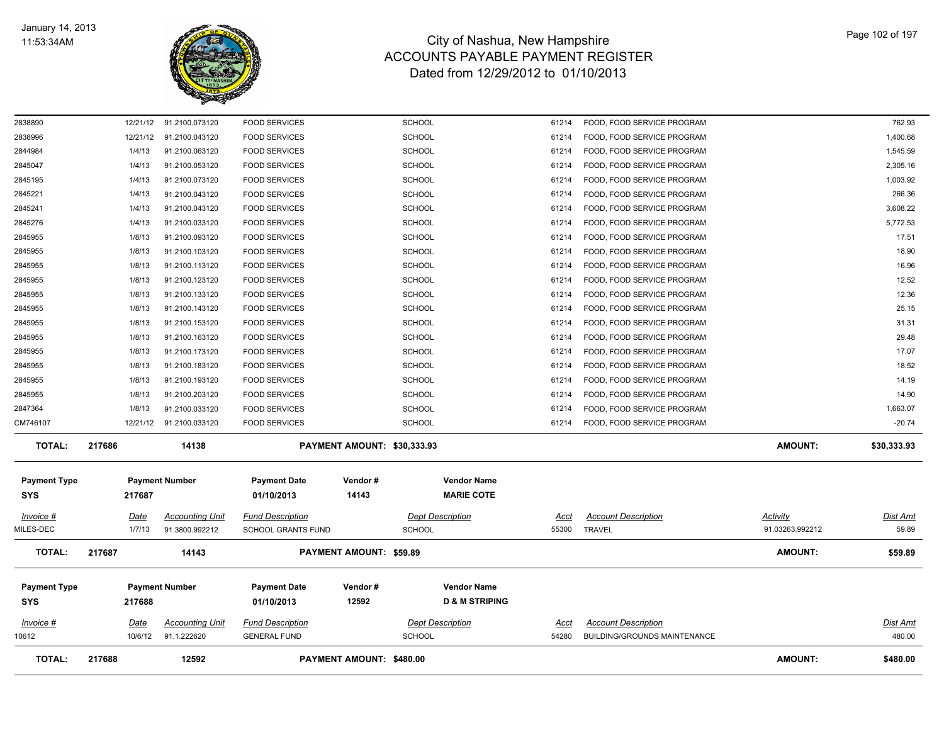

| <b>TOTAL:</b>                     | 217688           | 12592                                 |                                                | PAYMENT AMOUNT: \$480.00       |                                                 |                |                                                            | <b>AMOUNT:</b>  | \$480.00                  |
|-----------------------------------|------------------|---------------------------------------|------------------------------------------------|--------------------------------|-------------------------------------------------|----------------|------------------------------------------------------------|-----------------|---------------------------|
| Invoice #<br>10612                | Date<br>10/6/12  | <b>Accounting Unit</b><br>91.1.222620 | <b>Fund Description</b><br><b>GENERAL FUND</b> |                                | <b>Dept Description</b><br><b>SCHOOL</b>        | Acct<br>54280  | <b>Account Description</b><br>BUILDING/GROUNDS MAINTENANCE |                 | <u>Dist Amt</u><br>480.00 |
| <b>Payment Type</b><br><b>SYS</b> | 217688           | <b>Payment Number</b>                 | <b>Payment Date</b><br>01/10/2013              | Vendor#<br>12592               | <b>Vendor Name</b><br><b>D &amp; M STRIPING</b> |                |                                                            |                 |                           |
| <b>TOTAL:</b>                     | 217687           | 14143                                 |                                                | <b>PAYMENT AMOUNT: \$59.89</b> |                                                 |                |                                                            | AMOUNT:         | \$59.89                   |
| MILES-DEC                         | 1/7/13           | 91.3800.992212                        | <b>SCHOOL GRANTS FUND</b>                      |                                | <b>SCHOOL</b>                                   | 55300          | TRAVEL                                                     | 91.03263.992212 | 59.89                     |
| <b>SYS</b><br>Invoice #           | 217687<br>Date   | <b>Accounting Unit</b>                | 01/10/2013<br><b>Fund Description</b>          | 14143                          | <b>MARIE COTE</b><br><b>Dept Description</b>    | Acct           | <b>Account Description</b>                                 | Activity        | <u>Dist Amt</u>           |
| <b>Payment Type</b>               |                  | <b>Payment Number</b>                 | <b>Payment Date</b>                            | Vendor#                        | <b>Vendor Name</b>                              |                |                                                            |                 |                           |
| <b>TOTAL:</b>                     | 217686           | 14138                                 |                                                | PAYMENT AMOUNT: \$30,333.93    |                                                 |                |                                                            | <b>AMOUNT:</b>  | \$30,333.93               |
| CM746107                          | 12/21/12         | 91.2100.033120                        | <b>FOOD SERVICES</b>                           |                                | <b>SCHOOL</b>                                   | 61214          | FOOD, FOOD SERVICE PROGRAM                                 |                 | $-20.74$                  |
| 2847364                           | 1/8/13           | 91.2100.033120                        | <b>FOOD SERVICES</b>                           |                                | <b>SCHOOL</b>                                   | 61214          | FOOD, FOOD SERVICE PROGRAM                                 |                 | 1,663.07                  |
| 2845955                           | 1/8/13           | 91.2100.203120                        | <b>FOOD SERVICES</b>                           |                                | <b>SCHOOL</b>                                   | 61214          | FOOD, FOOD SERVICE PROGRAM                                 |                 | 14.90                     |
| 2845955                           | 1/8/13           | 91.2100.193120                        | <b>FOOD SERVICES</b>                           |                                | <b>SCHOOL</b>                                   | 61214          | FOOD, FOOD SERVICE PROGRAM                                 |                 | 14.19                     |
| 2845955                           | 1/8/13           | 91.2100.183120                        | <b>FOOD SERVICES</b>                           |                                | <b>SCHOOL</b>                                   | 61214          | FOOD, FOOD SERVICE PROGRAM                                 |                 | 18.52                     |
| 2845955                           | 1/8/13           | 91.2100.173120                        | <b>FOOD SERVICES</b>                           |                                | <b>SCHOOL</b>                                   | 61214          | FOOD, FOOD SERVICE PROGRAM                                 |                 | 17.07                     |
| 2845955<br>2845955                | 1/8/13<br>1/8/13 | 91.2100.153120<br>91.2100.163120      | <b>FOOD SERVICES</b><br><b>FOOD SERVICES</b>   |                                | <b>SCHOOL</b><br><b>SCHOOL</b>                  | 61214<br>61214 | FOOD, FOOD SERVICE PROGRAM<br>FOOD, FOOD SERVICE PROGRAM   |                 | 31.31<br>29.48            |
| 2845955                           | 1/8/13           | 91.2100.143120                        | <b>FOOD SERVICES</b>                           |                                | <b>SCHOOL</b>                                   | 61214          | FOOD, FOOD SERVICE PROGRAM                                 |                 | 25.15                     |
| 2845955                           | 1/8/13           | 91.2100.133120                        | <b>FOOD SERVICES</b>                           |                                | <b>SCHOOL</b>                                   | 61214          | FOOD, FOOD SERVICE PROGRAM                                 |                 | 12.36                     |
| 2845955                           | 1/8/13           | 91.2100.123120                        | <b>FOOD SERVICES</b>                           |                                | <b>SCHOOL</b>                                   | 61214          | FOOD, FOOD SERVICE PROGRAM                                 |                 | 12.52                     |
| 2845955                           | 1/8/13           | 91.2100.113120                        | <b>FOOD SERVICES</b>                           |                                | <b>SCHOOL</b>                                   | 61214          | FOOD, FOOD SERVICE PROGRAM                                 |                 | 16.96                     |
| 2845955                           | 1/8/13           | 91.2100.103120                        | <b>FOOD SERVICES</b>                           |                                | <b>SCHOOL</b>                                   | 61214          | FOOD, FOOD SERVICE PROGRAM                                 |                 | 18.90                     |
| 2845955                           | 1/8/13           | 91.2100.093120                        | <b>FOOD SERVICES</b>                           |                                | <b>SCHOOL</b>                                   | 61214          | FOOD, FOOD SERVICE PROGRAM                                 |                 | 17.51                     |
| 2845276                           | 1/4/13           | 91.2100.033120                        | <b>FOOD SERVICES</b>                           |                                | <b>SCHOOL</b>                                   | 61214          | FOOD, FOOD SERVICE PROGRAM                                 |                 | 5,772.53                  |
| 2845241                           | 1/4/13           | 91.2100.043120                        | <b>FOOD SERVICES</b>                           |                                | <b>SCHOOL</b>                                   | 61214          | FOOD, FOOD SERVICE PROGRAM                                 |                 | 3,608.22                  |
| 2845221                           | 1/4/13           | 91.2100.043120                        | <b>FOOD SERVICES</b>                           |                                | <b>SCHOOL</b>                                   | 61214          | FOOD, FOOD SERVICE PROGRAM                                 |                 | 266.36                    |
| 2845195                           | 1/4/13           | 91.2100.073120                        | <b>FOOD SERVICES</b>                           |                                | <b>SCHOOL</b>                                   | 61214          | FOOD, FOOD SERVICE PROGRAM                                 |                 | 1,003.92                  |
| 2845047                           | 1/4/13           | 91.2100.053120                        | <b>FOOD SERVICES</b>                           |                                | <b>SCHOOL</b>                                   | 61214          | FOOD, FOOD SERVICE PROGRAM                                 |                 | 2,305.16                  |
| 2844984                           | 1/4/13           | 91.2100.063120                        | <b>FOOD SERVICES</b>                           |                                | <b>SCHOOL</b>                                   | 61214          | FOOD, FOOD SERVICE PROGRAM                                 |                 | 1,545.59                  |
| 2838996                           | 12/21/12         | 91.2100.043120                        | <b>FOOD SERVICES</b>                           |                                | SCHOOL                                          | 61214          | FOOD, FOOD SERVICE PROGRAM                                 |                 | 1,400.68                  |
| 2838890                           |                  | 12/21/12 91.2100.073120               | <b>FOOD SERVICES</b>                           |                                | <b>SCHOOL</b>                                   | 61214          | FOOD, FOOD SERVICE PROGRAM                                 |                 | 762.93                    |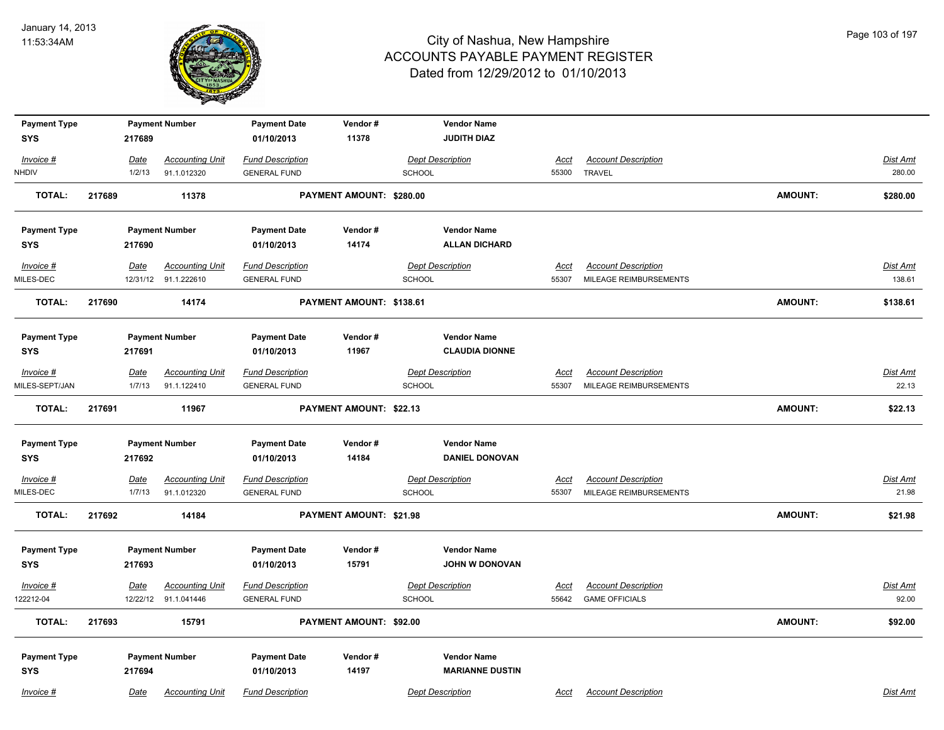

| <b>Payment Type</b> |             | <b>Payment Number</b>  | <b>Payment Date</b>     | Vendor#                  | <b>Vendor Name</b>      |             |                            |                |                 |
|---------------------|-------------|------------------------|-------------------------|--------------------------|-------------------------|-------------|----------------------------|----------------|-----------------|
| <b>SYS</b>          | 217689      |                        | 01/10/2013              | 11378                    | <b>JUDITH DIAZ</b>      |             |                            |                |                 |
| Invoice #           | <u>Date</u> | <b>Accounting Unit</b> | <b>Fund Description</b> |                          | <b>Dept Description</b> | <u>Acct</u> | <b>Account Description</b> |                | Dist Amt        |
| NHDIV               | 1/2/13      | 91.1.012320            | <b>GENERAL FUND</b>     |                          | <b>SCHOOL</b>           | 55300       | <b>TRAVEL</b>              |                | 280.00          |
| <b>TOTAL:</b>       | 217689      | 11378                  |                         | PAYMENT AMOUNT: \$280.00 |                         |             |                            | <b>AMOUNT:</b> | \$280.00        |
| <b>Payment Type</b> |             | <b>Payment Number</b>  | <b>Payment Date</b>     | Vendor#                  | <b>Vendor Name</b>      |             |                            |                |                 |
| <b>SYS</b>          | 217690      |                        | 01/10/2013              | 14174                    | <b>ALLAN DICHARD</b>    |             |                            |                |                 |
| $Invoice$ #         | <u>Date</u> | <b>Accounting Unit</b> | <b>Fund Description</b> |                          | <b>Dept Description</b> | <u>Acct</u> | <b>Account Description</b> |                | <b>Dist Amt</b> |
| MILES-DEC           |             | 12/31/12 91.1.222610   | <b>GENERAL FUND</b>     |                          | <b>SCHOOL</b>           | 55307       | MILEAGE REIMBURSEMENTS     |                | 138.61          |
| <b>TOTAL:</b>       | 217690      | 14174                  |                         | PAYMENT AMOUNT: \$138.61 |                         |             |                            | <b>AMOUNT:</b> | \$138.61        |
| <b>Payment Type</b> |             | <b>Payment Number</b>  | <b>Payment Date</b>     | Vendor#                  | <b>Vendor Name</b>      |             |                            |                |                 |
| <b>SYS</b>          | 217691      |                        | 01/10/2013              | 11967                    | <b>CLAUDIA DIONNE</b>   |             |                            |                |                 |
| Invoice #           | Date        | <b>Accounting Unit</b> | <b>Fund Description</b> |                          | <b>Dept Description</b> | Acct        | <b>Account Description</b> |                | Dist Amt        |
| MILES-SEPT/JAN      | 1/7/13      | 91.1.122410            | <b>GENERAL FUND</b>     |                          | <b>SCHOOL</b>           | 55307       | MILEAGE REIMBURSEMENTS     |                | 22.13           |
| <b>TOTAL:</b>       | 217691      | 11967                  |                         | PAYMENT AMOUNT: \$22.13  |                         |             |                            | <b>AMOUNT:</b> | \$22.13         |
| <b>Payment Type</b> |             | <b>Payment Number</b>  | <b>Payment Date</b>     | Vendor#                  | <b>Vendor Name</b>      |             |                            |                |                 |
| <b>SYS</b>          | 217692      |                        | 01/10/2013              | 14184                    | <b>DANIEL DONOVAN</b>   |             |                            |                |                 |
| Invoice #           | <u>Date</u> | <b>Accounting Unit</b> | <b>Fund Description</b> |                          | <b>Dept Description</b> | <u>Acct</u> | <b>Account Description</b> |                | <b>Dist Amt</b> |
| MILES-DEC           | 1/7/13      | 91.1.012320            | <b>GENERAL FUND</b>     |                          | <b>SCHOOL</b>           | 55307       | MILEAGE REIMBURSEMENTS     |                | 21.98           |
| <b>TOTAL:</b>       | 217692      | 14184                  |                         | PAYMENT AMOUNT: \$21.98  |                         |             |                            | <b>AMOUNT:</b> | \$21.98         |
| <b>Payment Type</b> |             | <b>Payment Number</b>  | <b>Payment Date</b>     | Vendor#                  | <b>Vendor Name</b>      |             |                            |                |                 |
| <b>SYS</b>          | 217693      |                        | 01/10/2013              | 15791                    | <b>JOHN W DONOVAN</b>   |             |                            |                |                 |
| Invoice #           | Date        | <b>Accounting Unit</b> | <b>Fund Description</b> |                          | <b>Dept Description</b> | <u>Acct</u> | <b>Account Description</b> |                | Dist Amt        |
| 122212-04           |             | 12/22/12 91.1.041446   | <b>GENERAL FUND</b>     |                          | <b>SCHOOL</b>           | 55642       | <b>GAME OFFICIALS</b>      |                | 92.00           |
| <b>TOTAL:</b>       | 217693      | 15791                  |                         | PAYMENT AMOUNT: \$92.00  |                         |             |                            | <b>AMOUNT:</b> | \$92.00         |
| <b>Payment Type</b> |             | <b>Payment Number</b>  | <b>Payment Date</b>     | Vendor#                  | <b>Vendor Name</b>      |             |                            |                |                 |
| <b>SYS</b>          | 217694      |                        | 01/10/2013              | 14197                    | <b>MARIANNE DUSTIN</b>  |             |                            |                |                 |
| Invoice #           | Date        | <b>Accounting Unit</b> | <b>Fund Description</b> |                          | <b>Dept Description</b> | Acct        | <b>Account Description</b> |                | Dist Amt        |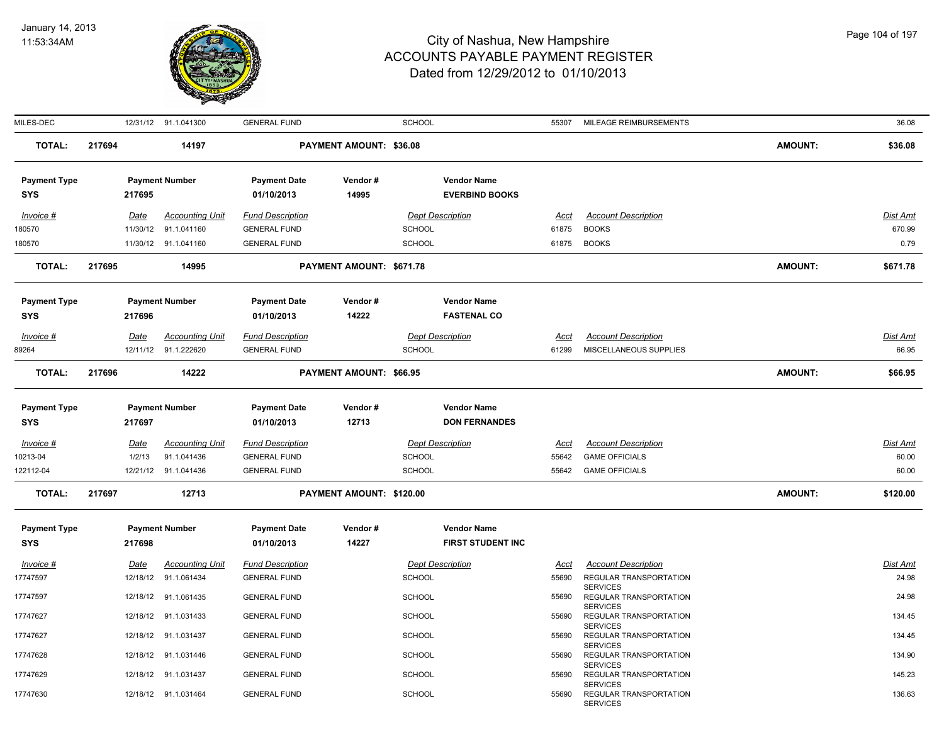

| MILES-DEC                         |        |             | 12/31/12 91.1.041300   | <b>GENERAL FUND</b>               |                          | <b>SCHOOL</b>           |                                             | 55307       | MILEAGE REIMBURSEMENTS                                              |                | 36.08           |
|-----------------------------------|--------|-------------|------------------------|-----------------------------------|--------------------------|-------------------------|---------------------------------------------|-------------|---------------------------------------------------------------------|----------------|-----------------|
| <b>TOTAL:</b>                     | 217694 |             | 14197                  |                                   | PAYMENT AMOUNT: \$36.08  |                         |                                             |             |                                                                     | <b>AMOUNT:</b> | \$36.08         |
| <b>Payment Type</b><br><b>SYS</b> |        | 217695      | <b>Payment Number</b>  | <b>Payment Date</b><br>01/10/2013 | Vendor#<br>14995         |                         | <b>Vendor Name</b><br><b>EVERBIND BOOKS</b> |             |                                                                     |                |                 |
| Invoice #                         |        | Date        | <b>Accounting Unit</b> | <b>Fund Description</b>           |                          | <b>Dept Description</b> |                                             | Acct        | <b>Account Description</b>                                          |                | Dist Amt        |
| 180570                            |        | 11/30/12    | 91.1.041160            | <b>GENERAL FUND</b>               |                          | <b>SCHOOL</b>           |                                             | 61875       | <b>BOOKS</b>                                                        |                | 670.99          |
| 180570                            |        |             | 11/30/12 91.1.041160   | <b>GENERAL FUND</b>               |                          | <b>SCHOOL</b>           |                                             |             | 61875 BOOKS                                                         |                | 0.79            |
| <b>TOTAL:</b>                     | 217695 |             | 14995                  |                                   | PAYMENT AMOUNT: \$671.78 |                         |                                             |             |                                                                     | <b>AMOUNT:</b> | \$671.78        |
| <b>Payment Type</b>               |        |             | <b>Payment Number</b>  | <b>Payment Date</b>               | Vendor#                  |                         | <b>Vendor Name</b>                          |             |                                                                     |                |                 |
| <b>SYS</b>                        |        | 217696      |                        | 01/10/2013                        | 14222                    |                         | <b>FASTENAL CO</b>                          |             |                                                                     |                |                 |
| Invoice #                         |        | Date        | <b>Accounting Unit</b> | <b>Fund Description</b>           |                          | <b>Dept Description</b> |                                             | Acct        | <b>Account Description</b>                                          |                | Dist Amt        |
| 89264                             |        |             | 12/11/12 91.1.222620   | <b>GENERAL FUND</b>               |                          | <b>SCHOOL</b>           |                                             | 61299       | MISCELLANEOUS SUPPLIES                                              |                | 66.95           |
| <b>TOTAL:</b>                     | 217696 |             | 14222                  |                                   | PAYMENT AMOUNT: \$66.95  |                         |                                             |             |                                                                     | <b>AMOUNT:</b> | \$66.95         |
| <b>Payment Type</b><br><b>SYS</b> |        | 217697      | <b>Payment Number</b>  | <b>Payment Date</b><br>01/10/2013 | Vendor#<br>12713         |                         | <b>Vendor Name</b><br><b>DON FERNANDES</b>  |             |                                                                     |                |                 |
| $Invoice$ #                       |        | <u>Date</u> | <b>Accounting Unit</b> | <b>Fund Description</b>           |                          | <b>Dept Description</b> |                                             | <u>Acct</u> | <b>Account Description</b>                                          |                | <b>Dist Amt</b> |
| 10213-04                          |        | 1/2/13      | 91.1.041436            | <b>GENERAL FUND</b>               |                          | <b>SCHOOL</b>           |                                             | 55642       | <b>GAME OFFICIALS</b>                                               |                | 60.00           |
| 122112-04                         |        |             | 12/21/12 91.1.041436   | <b>GENERAL FUND</b>               |                          | <b>SCHOOL</b>           |                                             | 55642       | <b>GAME OFFICIALS</b>                                               |                | 60.00           |
| <b>TOTAL:</b>                     | 217697 |             | 12713                  |                                   | PAYMENT AMOUNT: \$120.00 |                         |                                             |             |                                                                     | <b>AMOUNT:</b> | \$120.00        |
| <b>Payment Type</b>               |        |             | <b>Payment Number</b>  | <b>Payment Date</b>               | Vendor#                  |                         | <b>Vendor Name</b>                          |             |                                                                     |                |                 |
| <b>SYS</b>                        |        | 217698      |                        | 01/10/2013                        | 14227                    |                         | <b>FIRST STUDENT INC</b>                    |             |                                                                     |                |                 |
| $Invoice$ #                       |        | <u>Date</u> | <b>Accounting Unit</b> | <b>Fund Description</b>           |                          | <b>Dept Description</b> |                                             | <u>Acct</u> | <b>Account Description</b>                                          |                | <b>Dist Amt</b> |
| 17747597                          |        |             | 12/18/12 91.1.061434   | <b>GENERAL FUND</b>               |                          | <b>SCHOOL</b>           |                                             | 55690       | REGULAR TRANSPORTATION<br><b>SERVICES</b>                           |                | 24.98           |
| 17747597                          |        |             | 12/18/12 91.1.061435   | <b>GENERAL FUND</b>               |                          | <b>SCHOOL</b>           |                                             | 55690       | REGULAR TRANSPORTATION                                              |                | 24.98           |
| 17747627                          |        |             | 12/18/12 91.1.031433   | <b>GENERAL FUND</b>               |                          | <b>SCHOOL</b>           |                                             | 55690       | <b>SERVICES</b><br>REGULAR TRANSPORTATION                           |                | 134.45          |
| 17747627                          |        | 12/18/12    | 91.1.031437            | <b>GENERAL FUND</b>               |                          | <b>SCHOOL</b>           |                                             | 55690       | <b>SERVICES</b><br>REGULAR TRANSPORTATION                           |                | 134.45          |
| 17747628                          |        |             | 12/18/12 91.1.031446   | <b>GENERAL FUND</b>               |                          | <b>SCHOOL</b>           |                                             | 55690       | <b>SERVICES</b><br>REGULAR TRANSPORTATION                           |                | 134.90          |
| 17747629                          |        |             | 12/18/12 91.1.031437   | <b>GENERAL FUND</b>               |                          | <b>SCHOOL</b>           |                                             | 55690       | <b>SERVICES</b><br>REGULAR TRANSPORTATION                           |                | 145.23          |
| 17747630                          |        |             | 12/18/12 91.1.031464   | <b>GENERAL FUND</b>               |                          | <b>SCHOOL</b>           |                                             | 55690       | <b>SERVICES</b><br><b>REGULAR TRANSPORTATION</b><br><b>SERVICES</b> |                | 136.63          |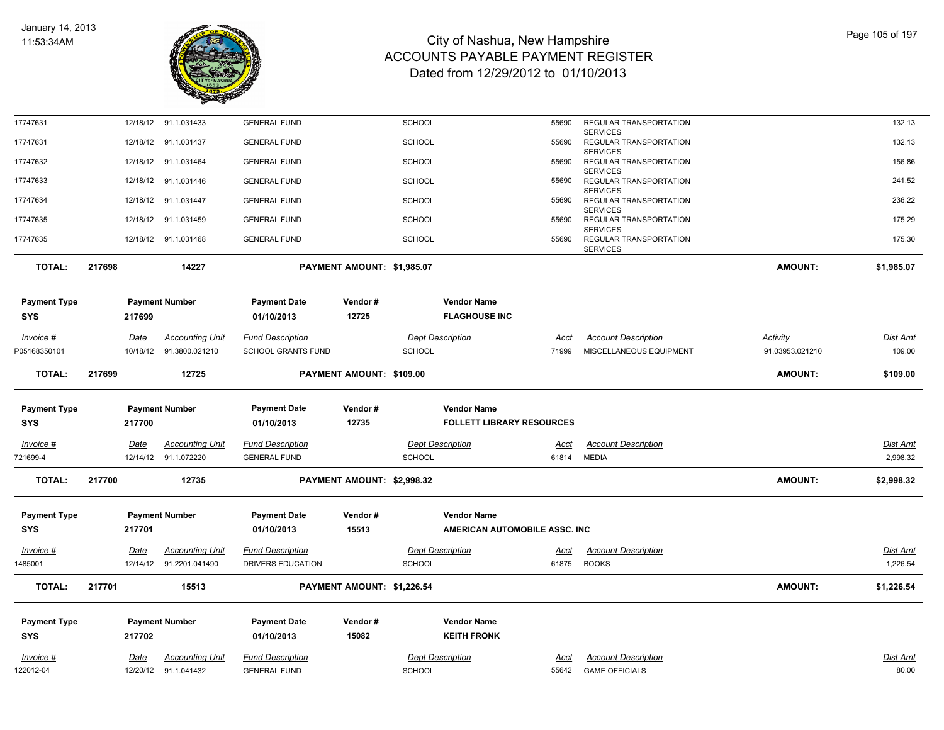

| 17747631                          |        |             | 12/18/12 91.1.031433    | <b>GENERAL FUND</b>               |                            | <b>SCHOOL</b> |                                            | 55690       | REGULAR TRANSPORTATION                    |                 | 132.13          |
|-----------------------------------|--------|-------------|-------------------------|-----------------------------------|----------------------------|---------------|--------------------------------------------|-------------|-------------------------------------------|-----------------|-----------------|
| 17747631                          |        |             | 12/18/12 91.1.031437    | <b>GENERAL FUND</b>               |                            | <b>SCHOOL</b> |                                            | 55690       | <b>SERVICES</b><br>REGULAR TRANSPORTATION |                 | 132.13          |
| 17747632                          |        |             | 12/18/12 91.1.031464    | <b>GENERAL FUND</b>               |                            | <b>SCHOOL</b> |                                            | 55690       | <b>SERVICES</b><br>REGULAR TRANSPORTATION |                 | 156.86          |
| 17747633                          |        |             | 12/18/12 91.1.031446    | <b>GENERAL FUND</b>               |                            | <b>SCHOOL</b> |                                            | 55690       | <b>SERVICES</b><br>REGULAR TRANSPORTATION |                 | 241.52          |
| 17747634                          |        |             | 12/18/12 91.1.031447    | <b>GENERAL FUND</b>               |                            | <b>SCHOOL</b> |                                            | 55690       | <b>SERVICES</b><br>REGULAR TRANSPORTATION |                 | 236.22          |
|                                   |        |             |                         |                                   |                            |               |                                            |             | <b>SERVICES</b>                           |                 |                 |
| 17747635                          |        |             | 12/18/12 91.1.031459    | <b>GENERAL FUND</b>               |                            | <b>SCHOOL</b> |                                            | 55690       | REGULAR TRANSPORTATION<br><b>SERVICES</b> |                 | 175.29          |
| 17747635                          |        |             | 12/18/12 91.1.031468    | <b>GENERAL FUND</b>               |                            | <b>SCHOOL</b> |                                            | 55690       | REGULAR TRANSPORTATION<br><b>SERVICES</b> |                 | 175.30          |
| <b>TOTAL:</b>                     | 217698 |             | 14227                   |                                   | PAYMENT AMOUNT: \$1,985.07 |               |                                            |             |                                           | <b>AMOUNT:</b>  | \$1,985.07      |
| <b>Payment Type</b><br><b>SYS</b> |        | 217699      | <b>Payment Number</b>   | <b>Payment Date</b><br>01/10/2013 | Vendor#<br>12725           |               | <b>Vendor Name</b><br><b>FLAGHOUSE INC</b> |             |                                           |                 |                 |
| Invoice #                         |        | Date        | <b>Accounting Unit</b>  | <b>Fund Description</b>           |                            |               | <b>Dept Description</b>                    | Acct        | <b>Account Description</b>                | Activity        | Dist Amt        |
| P05168350101                      |        | 10/18/12    | 91.3800.021210          | <b>SCHOOL GRANTS FUND</b>         |                            | <b>SCHOOL</b> |                                            | 71999       | MISCELLANEOUS EQUIPMENT                   | 91.03953.021210 | 109.00          |
| <b>TOTAL:</b>                     | 217699 |             | 12725                   |                                   | PAYMENT AMOUNT: \$109.00   |               |                                            |             |                                           | <b>AMOUNT:</b>  | \$109.00        |
| <b>Payment Type</b>               |        |             | <b>Payment Number</b>   | <b>Payment Date</b>               | Vendor#                    |               | <b>Vendor Name</b>                         |             |                                           |                 |                 |
| SYS                               |        | 217700      |                         | 01/10/2013                        | 12735                      |               | <b>FOLLETT LIBRARY RESOURCES</b>           |             |                                           |                 |                 |
| $Invoice$ #                       |        | <u>Date</u> | <b>Accounting Unit</b>  | <b>Fund Description</b>           |                            |               | <b>Dept Description</b>                    | <u>Acct</u> | <b>Account Description</b>                |                 | <b>Dist Amt</b> |
| 721699-4                          |        | 12/14/12    | 91.1.072220             | <b>GENERAL FUND</b>               |                            | SCHOOL        |                                            | 61814       | <b>MEDIA</b>                              |                 | 2,998.32        |
| <b>TOTAL:</b>                     | 217700 |             | 12735                   |                                   | PAYMENT AMOUNT: \$2,998.32 |               |                                            |             |                                           | <b>AMOUNT:</b>  | \$2,998.32      |
| <b>Payment Type</b>               |        |             | <b>Payment Number</b>   | <b>Payment Date</b>               | Vendor#                    |               | <b>Vendor Name</b>                         |             |                                           |                 |                 |
| SYS                               |        | 217701      |                         | 01/10/2013                        | 15513                      |               | AMERICAN AUTOMOBILE ASSC. INC              |             |                                           |                 |                 |
| Invoice #                         |        | Date        | <b>Accounting Unit</b>  | <b>Fund Description</b>           |                            |               | <b>Dept Description</b>                    | <u>Acct</u> | <b>Account Description</b>                |                 | Dist Amt        |
| 1485001                           |        |             | 12/14/12 91.2201.041490 | DRIVERS EDUCATION                 |                            | SCHOOL        |                                            | 61875       | <b>BOOKS</b>                              |                 | 1,226.54        |
| <b>TOTAL:</b>                     | 217701 |             | 15513                   |                                   | PAYMENT AMOUNT: \$1,226.54 |               |                                            |             |                                           | <b>AMOUNT:</b>  | \$1,226.54      |
| <b>Payment Type</b>               |        |             | <b>Payment Number</b>   | <b>Payment Date</b>               | Vendor#                    |               | <b>Vendor Name</b>                         |             |                                           |                 |                 |
| <b>SYS</b>                        |        | 217702      |                         | 01/10/2013                        | 15082                      |               | <b>KEITH FRONK</b>                         |             |                                           |                 |                 |
| Invoice #                         |        | Date        | <b>Accounting Unit</b>  | <b>Fund Description</b>           |                            |               | <b>Dept Description</b>                    | Acct        | <b>Account Description</b>                |                 | Dist Amt        |
| 22012-04                          |        |             | 12/20/12 91.1.041432    | <b>GENERAL FUND</b>               |                            | <b>SCHOOL</b> |                                            | 55642       | <b>GAME OFFICIALS</b>                     |                 | 80.00           |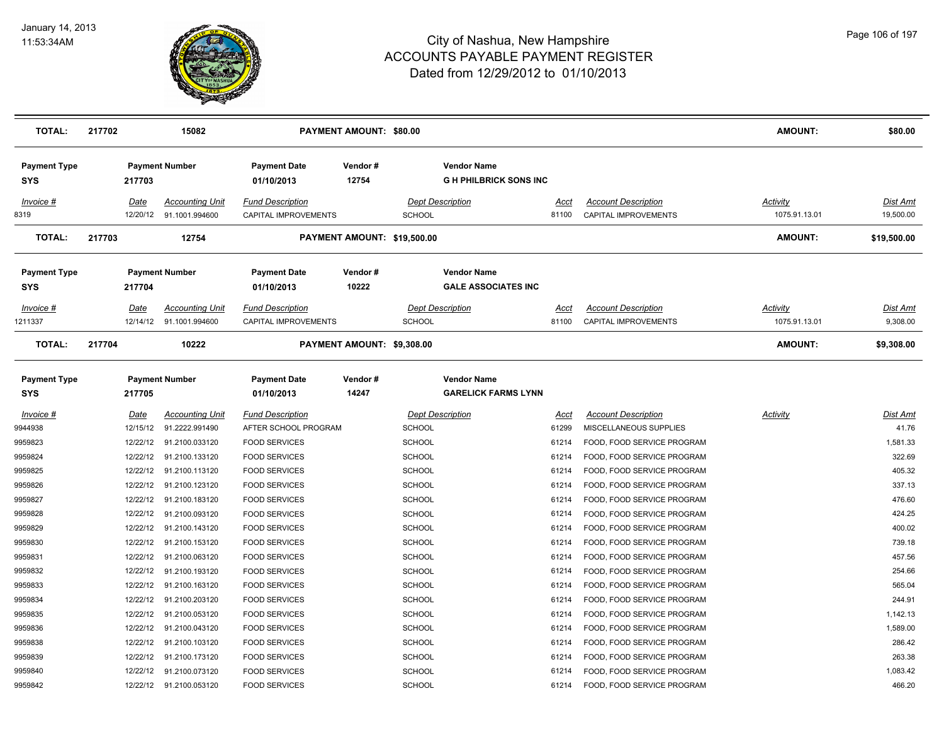

| <b>TOTAL:</b>                     | 217702               | 15082                                    |                                                 | PAYMENT AMOUNT: \$80.00    |                                |                                                    |                |                                                           | <b>AMOUNT:</b>            | \$80.00               |
|-----------------------------------|----------------------|------------------------------------------|-------------------------------------------------|----------------------------|--------------------------------|----------------------------------------------------|----------------|-----------------------------------------------------------|---------------------------|-----------------------|
| <b>Payment Type</b><br><b>SYS</b> | 217703               | <b>Payment Number</b>                    | <b>Payment Date</b><br>01/10/2013               | Vendor#<br>12754           |                                | <b>Vendor Name</b><br><b>GH PHILBRICK SONS INC</b> |                |                                                           |                           |                       |
| Invoice #<br>8319                 | Date<br>12/20/12     | <b>Accounting Unit</b><br>91.1001.994600 | <b>Fund Description</b><br>CAPITAL IMPROVEMENTS |                            | <b>SCHOOL</b>                  | <b>Dept Description</b>                            | Acct<br>81100  | <b>Account Description</b><br><b>CAPITAL IMPROVEMENTS</b> | Activity<br>1075.91.13.01 | Dist Amt<br>19,500.00 |
| <b>TOTAL:</b>                     | 217703               | 12754                                    |                                                 |                            | PAYMENT AMOUNT: \$19,500.00    |                                                    |                |                                                           | <b>AMOUNT:</b>            | \$19,500.00           |
| <b>Payment Type</b><br>SYS        | 217704               | <b>Payment Number</b>                    | <b>Payment Date</b><br>01/10/2013               | Vendor#<br>10222           |                                | <b>Vendor Name</b><br><b>GALE ASSOCIATES INC</b>   |                |                                                           |                           |                       |
| Invoice #                         | Date                 | <b>Accounting Unit</b>                   | <b>Fund Description</b>                         |                            |                                | <b>Dept Description</b>                            | Acct           | <b>Account Description</b>                                | Activity                  | Dist Amt              |
| 1211337                           | 12/14/12             | 91.1001.994600                           | CAPITAL IMPROVEMENTS                            |                            | <b>SCHOOL</b>                  |                                                    | 81100          | CAPITAL IMPROVEMENTS                                      | 1075.91.13.01             | 9,308.00              |
| <b>TOTAL:</b>                     | 217704               | 10222                                    |                                                 | PAYMENT AMOUNT: \$9,308.00 |                                |                                                    |                |                                                           | <b>AMOUNT:</b>            | \$9,308.00            |
| <b>Payment Type</b><br>SYS        | 217705               | <b>Payment Number</b>                    | <b>Payment Date</b><br>01/10/2013               | Vendor#<br>14247           |                                | <b>Vendor Name</b><br><b>GARELICK FARMS LYNN</b>   |                |                                                           |                           |                       |
| $Invoice$ #                       | <u>Date</u>          | <b>Accounting Unit</b>                   | <b>Fund Description</b>                         |                            |                                | <b>Dept Description</b>                            | <u>Acct</u>    | <b>Account Description</b>                                | <b>Activity</b>           | <u>Dist Amt</u>       |
| 9944938<br>9959823                | 12/15/12<br>12/22/12 | 91.2222.991490<br>91.2100.033120         | AFTER SCHOOL PROGRAM<br><b>FOOD SERVICES</b>    |                            | <b>SCHOOL</b><br><b>SCHOOL</b> |                                                    | 61299<br>61214 | MISCELLANEOUS SUPPLIES<br>FOOD, FOOD SERVICE PROGRAM      |                           | 41.76<br>1,581.33     |
| 9959824                           | 12/22/12             | 91.2100.133120                           | <b>FOOD SERVICES</b>                            |                            | <b>SCHOOL</b>                  |                                                    | 61214          | FOOD, FOOD SERVICE PROGRAM                                |                           | 322.69                |
| 9959825                           | 12/22/12             | 91.2100.113120                           | <b>FOOD SERVICES</b>                            |                            | <b>SCHOOL</b>                  |                                                    | 61214          | FOOD, FOOD SERVICE PROGRAM                                |                           | 405.32                |
| 9959826                           | 12/22/12             | 91.2100.123120                           | <b>FOOD SERVICES</b>                            |                            | <b>SCHOOL</b>                  |                                                    | 61214          | FOOD, FOOD SERVICE PROGRAM                                |                           | 337.13                |
| 9959827                           | 12/22/12             | 91.2100.183120                           | <b>FOOD SERVICES</b>                            |                            | <b>SCHOOL</b>                  |                                                    | 61214          | FOOD, FOOD SERVICE PROGRAM                                |                           | 476.60                |
| 9959828                           | 12/22/12             | 91.2100.093120                           | <b>FOOD SERVICES</b>                            |                            | <b>SCHOOL</b>                  |                                                    | 61214          | FOOD, FOOD SERVICE PROGRAM                                |                           | 424.25                |
| 9959829                           | 12/22/12             | 91.2100.143120                           | <b>FOOD SERVICES</b>                            |                            | <b>SCHOOL</b>                  |                                                    | 61214          | FOOD, FOOD SERVICE PROGRAM                                |                           | 400.02                |
| 9959830                           | 12/22/12             | 91.2100.153120                           | <b>FOOD SERVICES</b>                            |                            | <b>SCHOOL</b>                  |                                                    | 61214          | FOOD, FOOD SERVICE PROGRAM                                |                           | 739.18                |
| 9959831                           | 12/22/12             | 91.2100.063120                           | <b>FOOD SERVICES</b>                            |                            | SCHOOL                         |                                                    | 61214          | FOOD, FOOD SERVICE PROGRAM                                |                           | 457.56                |
| 9959832                           | 12/22/12             | 91.2100.193120                           | <b>FOOD SERVICES</b>                            |                            | <b>SCHOOL</b>                  |                                                    | 61214          | FOOD, FOOD SERVICE PROGRAM                                |                           | 254.66                |
| 9959833                           | 12/22/12             | 91.2100.163120                           | <b>FOOD SERVICES</b>                            |                            | <b>SCHOOL</b>                  |                                                    | 61214          | FOOD, FOOD SERVICE PROGRAM                                |                           | 565.04                |
| 9959834                           | 12/22/12             | 91.2100.203120                           | <b>FOOD SERVICES</b>                            |                            | <b>SCHOOL</b>                  |                                                    | 61214          | FOOD, FOOD SERVICE PROGRAM                                |                           | 244.91                |
| 9959835                           | 12/22/12             | 91.2100.053120                           | <b>FOOD SERVICES</b>                            |                            | <b>SCHOOL</b>                  |                                                    | 61214          | FOOD, FOOD SERVICE PROGRAM                                |                           | 1,142.13              |
| 9959836                           | 12/22/12             | 91.2100.043120                           | <b>FOOD SERVICES</b>                            |                            | <b>SCHOOL</b>                  |                                                    | 61214          | FOOD, FOOD SERVICE PROGRAM                                |                           | 1,589.00              |
| 9959838                           | 12/22/12             | 91.2100.103120                           | <b>FOOD SERVICES</b>                            |                            | <b>SCHOOL</b>                  |                                                    | 61214          | FOOD, FOOD SERVICE PROGRAM                                |                           | 286.42                |
| 9959839                           | 12/22/12             | 91.2100.173120                           | <b>FOOD SERVICES</b>                            |                            | <b>SCHOOL</b>                  |                                                    | 61214          | FOOD, FOOD SERVICE PROGRAM                                |                           | 263.38                |
| 9959840                           | 12/22/12             | 91.2100.073120                           | <b>FOOD SERVICES</b>                            |                            | SCHOOL                         |                                                    | 61214          | FOOD, FOOD SERVICE PROGRAM                                |                           | 1,083.42              |
| 9959842                           |                      | 12/22/12 91.2100.053120                  | <b>FOOD SERVICES</b>                            |                            | SCHOOL                         |                                                    | 61214          | FOOD, FOOD SERVICE PROGRAM                                |                           | 466.20                |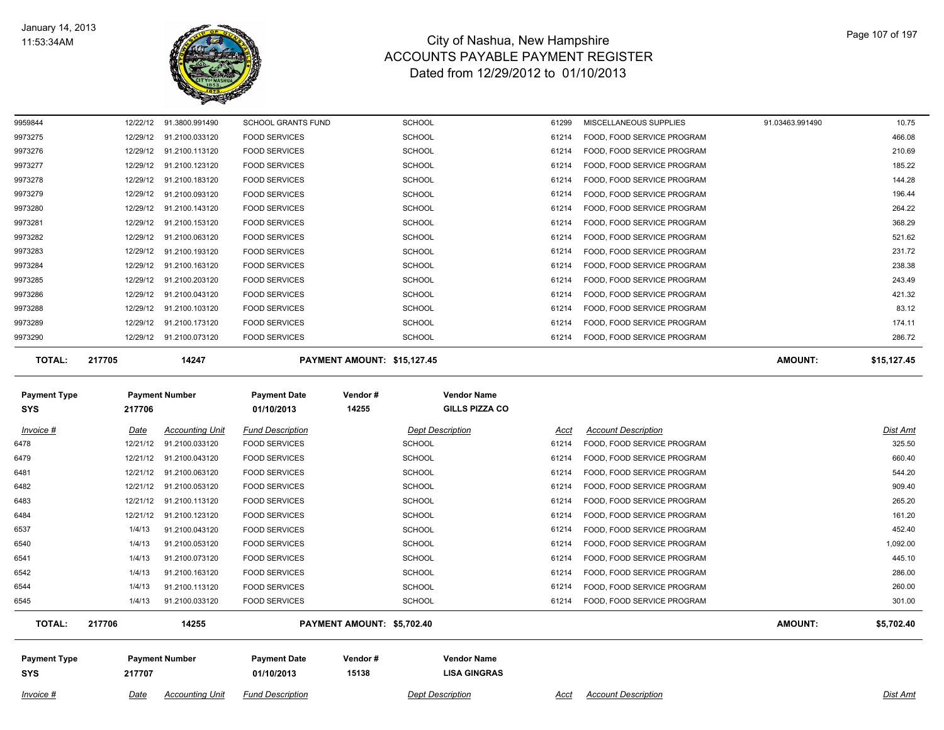

| <b>TOTAL:</b> | 217705   | 14247          |                           | PAYMENT AMOUNT: \$15,127.45 |       |                            | <b>AMOUNT:</b>  | \$15,127.45 |
|---------------|----------|----------------|---------------------------|-----------------------------|-------|----------------------------|-----------------|-------------|
| 9973290       | 12/29/12 | 91.2100.073120 | <b>FOOD SERVICES</b>      | <b>SCHOOL</b>               | 61214 | FOOD, FOOD SERVICE PROGRAM |                 | 286.72      |
| 9973289       | 12/29/12 | 91.2100.173120 | <b>FOOD SERVICES</b>      | <b>SCHOOL</b>               | 61214 | FOOD, FOOD SERVICE PROGRAM |                 | 174.11      |
| 9973288       | 12/29/12 | 91.2100.103120 | <b>FOOD SERVICES</b>      | <b>SCHOOL</b>               | 61214 | FOOD, FOOD SERVICE PROGRAM |                 | 83.12       |
| 9973286       | 12/29/12 | 91.2100.043120 | <b>FOOD SERVICES</b>      | <b>SCHOOL</b>               | 61214 | FOOD, FOOD SERVICE PROGRAM |                 | 421.32      |
| 9973285       | 12/29/12 | 91.2100.203120 | <b>FOOD SERVICES</b>      | <b>SCHOOL</b>               | 61214 | FOOD, FOOD SERVICE PROGRAM |                 | 243.49      |
| 9973284       | 12/29/12 | 91.2100.163120 | <b>FOOD SERVICES</b>      | <b>SCHOOL</b>               | 61214 | FOOD, FOOD SERVICE PROGRAM |                 | 238.38      |
| 9973283       | 12/29/12 | 91.2100.193120 | <b>FOOD SERVICES</b>      | <b>SCHOOL</b>               | 61214 | FOOD, FOOD SERVICE PROGRAM |                 | 231.72      |
| 9973282       | 12/29/12 | 91.2100.063120 | <b>FOOD SERVICES</b>      | <b>SCHOOL</b>               | 61214 | FOOD, FOOD SERVICE PROGRAM |                 | 521.62      |
| 9973281       | 12/29/12 | 91.2100.153120 | <b>FOOD SERVICES</b>      | <b>SCHOOL</b>               | 61214 | FOOD, FOOD SERVICE PROGRAM |                 | 368.29      |
| 9973280       | 12/29/12 | 91.2100.143120 | <b>FOOD SERVICES</b>      | <b>SCHOOL</b>               | 61214 | FOOD, FOOD SERVICE PROGRAM |                 | 264.22      |
| 9973279       | 12/29/12 | 91.2100.093120 | <b>FOOD SERVICES</b>      | <b>SCHOOL</b>               | 61214 | FOOD, FOOD SERVICE PROGRAM |                 | 196.44      |
| 9973278       | 12/29/12 | 91.2100.183120 | <b>FOOD SERVICES</b>      | <b>SCHOOL</b>               | 61214 | FOOD, FOOD SERVICE PROGRAM |                 | 144.28      |
| 9973277       | 12/29/12 | 91.2100.123120 | <b>FOOD SERVICES</b>      | <b>SCHOOL</b>               | 61214 | FOOD, FOOD SERVICE PROGRAM |                 | 185.22      |
| 9973276       | 12/29/12 | 91.2100.113120 | <b>FOOD SERVICES</b>      | <b>SCHOOL</b>               | 61214 | FOOD, FOOD SERVICE PROGRAM |                 | 210.69      |
| 9973275       | 12/29/12 | 91.2100.033120 | <b>FOOD SERVICES</b>      | <b>SCHOOL</b>               | 61214 | FOOD, FOOD SERVICE PROGRAM |                 | 466.08      |
| 9959844       | 12/22/12 | 91.3800.991490 | <b>SCHOOL GRANTS FUND</b> | <b>SCHOOL</b>               | 61299 | MISCELLANEOUS SUPPLIES     | 91.03463.991490 | 10.75       |

| <b>Payment Type</b><br>SYS                   | 217706   | <b>Payment Number</b>  | <b>Payment Date</b><br>01/10/2013 | Vendor#<br>14255           | <b>Vendor Name</b><br><b>GILLS PIZZA CO</b> |                            |                |            |
|----------------------------------------------|----------|------------------------|-----------------------------------|----------------------------|---------------------------------------------|----------------------------|----------------|------------|
| Invoice #                                    | Date     | <b>Accounting Unit</b> | <b>Fund Description</b>           |                            | <b>Dept Description</b><br>Acct             | <b>Account Description</b> |                | Dist Amt   |
| 6478                                         | 12/21/12 | 91.2100.033120         | <b>FOOD SERVICES</b>              | <b>SCHOOL</b>              | 61214                                       | FOOD, FOOD SERVICE PROGRAM |                | 325.50     |
| 6479                                         | 12/21/12 | 91.2100.043120         | <b>FOOD SERVICES</b>              | <b>SCHOOL</b>              | 61214                                       | FOOD, FOOD SERVICE PROGRAM |                | 660.40     |
| 6481                                         | 12/21/12 | 91.2100.063120         | <b>FOOD SERVICES</b>              | <b>SCHOOL</b>              | 61214                                       | FOOD, FOOD SERVICE PROGRAM |                | 544.20     |
| 6482                                         | 12/21/12 | 91.2100.053120         | <b>FOOD SERVICES</b>              | <b>SCHOOL</b>              | 61214                                       | FOOD, FOOD SERVICE PROGRAM |                | 909.40     |
| 6483                                         | 12/21/12 | 91.2100.113120         | <b>FOOD SERVICES</b>              | <b>SCHOOL</b>              | 61214                                       | FOOD, FOOD SERVICE PROGRAM |                | 265.20     |
| 6484                                         | 12/21/12 | 91.2100.123120         | <b>FOOD SERVICES</b>              | <b>SCHOOL</b>              | 61214                                       | FOOD, FOOD SERVICE PROGRAM |                | 161.20     |
| 6537                                         | 1/4/13   | 91.2100.043120         | <b>FOOD SERVICES</b>              | <b>SCHOOL</b>              | 61214                                       | FOOD, FOOD SERVICE PROGRAM |                | 452.40     |
| 6540                                         | 1/4/13   | 91.2100.053120         | <b>FOOD SERVICES</b>              | <b>SCHOOL</b>              | 61214                                       | FOOD, FOOD SERVICE PROGRAM |                | 1,092.00   |
| 6541                                         | 1/4/13   | 91.2100.073120         | <b>FOOD SERVICES</b>              | <b>SCHOOL</b>              | 61214                                       | FOOD, FOOD SERVICE PROGRAM |                | 445.10     |
| 6542                                         | 1/4/13   | 91.2100.163120         | <b>FOOD SERVICES</b>              | <b>SCHOOL</b>              | 61214                                       | FOOD, FOOD SERVICE PROGRAM |                | 286.00     |
| 6544                                         | 1/4/13   | 91.2100.113120         | <b>FOOD SERVICES</b>              | <b>SCHOOL</b>              | 61214                                       | FOOD, FOOD SERVICE PROGRAM |                | 260.00     |
| 6545                                         | 1/4/13   | 91.2100.033120         | <b>FOOD SERVICES</b>              | <b>SCHOOL</b>              | 61214                                       | FOOD, FOOD SERVICE PROGRAM |                | 301.00     |
| <b>TOTAL:</b>                                | 217706   | 14255                  |                                   | PAYMENT AMOUNT: \$5,702.40 |                                             |                            | <b>AMOUNT:</b> | \$5,702.40 |
| <b>Payment Number</b><br><b>Payment Type</b> |          | <b>Payment Date</b>    | Vendor#                           | <b>Vendor Name</b>         |                                             |                            |                |            |

**SYS 01/10/2013**

 **15138 LISA GINGRAS**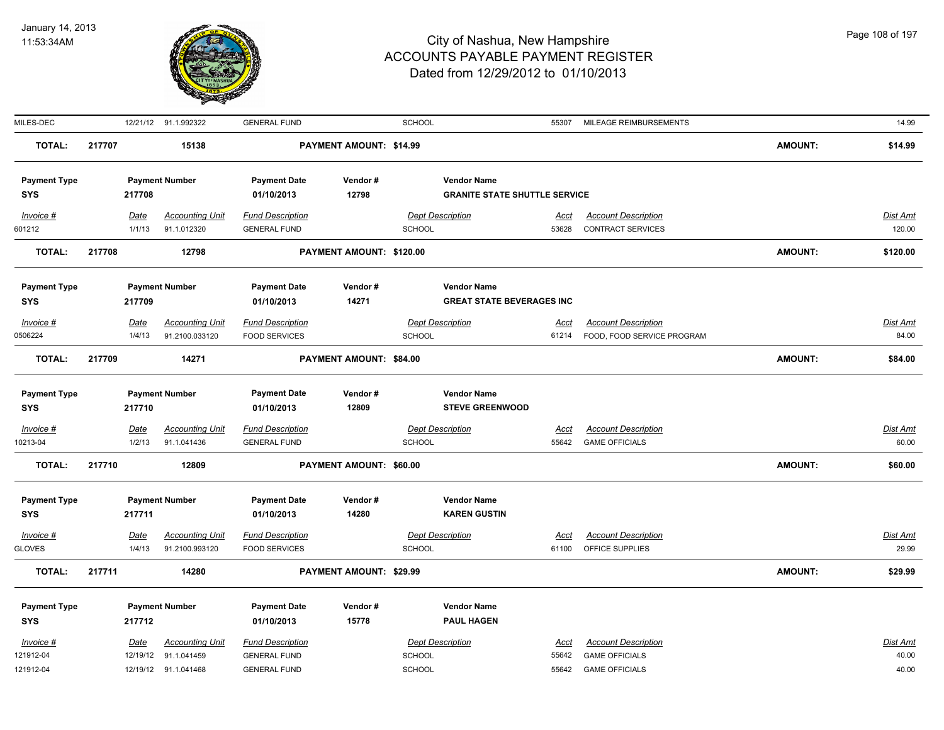

| MILES-DEC           |             | 12/21/12 91.1.992322   | <b>GENERAL FUND</b>      |                                | <b>SCHOOL</b>           | 55307                                | MILEAGE REIMBURSEMENTS     |                | 14.99           |
|---------------------|-------------|------------------------|--------------------------|--------------------------------|-------------------------|--------------------------------------|----------------------------|----------------|-----------------|
| <b>TOTAL:</b>       | 217707      | 15138                  | PAYMENT AMOUNT: \$14.99  |                                |                         |                                      |                            | <b>AMOUNT:</b> | \$14.99         |
| <b>Payment Type</b> |             | <b>Payment Number</b>  | <b>Payment Date</b>      | Vendor#                        |                         | <b>Vendor Name</b>                   |                            |                |                 |
| <b>SYS</b>          | 217708      |                        | 01/10/2013               | 12798                          |                         | <b>GRANITE STATE SHUTTLE SERVICE</b> |                            |                |                 |
| Invoice #           | Date        | <b>Accounting Unit</b> | <b>Fund Description</b>  |                                | <b>Dept Description</b> | Acct                                 | <b>Account Description</b> |                | Dist Amt        |
| 601212              | 1/1/13      | 91.1.012320            | <b>GENERAL FUND</b>      |                                | <b>SCHOOL</b>           | 53628                                | <b>CONTRACT SERVICES</b>   |                | 120.00          |
| <b>TOTAL:</b>       | 217708      | 12798                  | PAYMENT AMOUNT: \$120.00 |                                |                         |                                      | <b>AMOUNT:</b>             | \$120.00       |                 |
| <b>Payment Type</b> |             | <b>Payment Number</b>  | <b>Payment Date</b>      | Vendor#                        |                         | <b>Vendor Name</b>                   |                            |                |                 |
| <b>SYS</b>          | 217709      |                        | 01/10/2013               | 14271                          |                         | <b>GREAT STATE BEVERAGES INC</b>     |                            |                |                 |
| $Invoice$ #         | Date        | <b>Accounting Unit</b> | <b>Fund Description</b>  |                                | <b>Dept Description</b> | Acct                                 | <b>Account Description</b> |                | <b>Dist Amt</b> |
| 0506224             | 1/4/13      | 91.2100.033120         | <b>FOOD SERVICES</b>     |                                | <b>SCHOOL</b>           | 61214                                | FOOD, FOOD SERVICE PROGRAM |                | 84.00           |
| <b>TOTAL:</b>       | 217709      | 14271                  |                          | PAYMENT AMOUNT: \$84.00        |                         |                                      |                            | <b>AMOUNT:</b> | \$84.00         |
| <b>Payment Type</b> |             | <b>Payment Number</b>  | <b>Payment Date</b>      | Vendor#                        |                         | <b>Vendor Name</b>                   |                            |                |                 |
| <b>SYS</b>          | 217710      |                        | 01/10/2013               | 12809                          |                         | <b>STEVE GREENWOOD</b>               |                            |                |                 |
| $Invoice$ #         | <b>Date</b> | <b>Accounting Unit</b> | <b>Fund Description</b>  |                                | <b>Dept Description</b> | <u>Acct</u>                          | <b>Account Description</b> |                | <b>Dist Amt</b> |
| 10213-04            | 1/2/13      | 91.1.041436            | <b>GENERAL FUND</b>      |                                | <b>SCHOOL</b>           | 55642                                | <b>GAME OFFICIALS</b>      |                | 60.00           |
| <b>TOTAL:</b>       | 217710      | 12809                  | PAYMENT AMOUNT: \$60.00  |                                |                         |                                      |                            | <b>AMOUNT:</b> | \$60.00         |
| <b>Payment Type</b> |             | <b>Payment Number</b>  | <b>Payment Date</b>      | Vendor#                        |                         | <b>Vendor Name</b>                   |                            |                |                 |
| <b>SYS</b>          | 217711      |                        | 01/10/2013               | 14280                          |                         | <b>KAREN GUSTIN</b>                  |                            |                |                 |
| $Invoice$ #         | Date        | <b>Accounting Unit</b> | <b>Fund Description</b>  |                                | <b>Dept Description</b> | Acct                                 | <b>Account Description</b> |                | <b>Dist Amt</b> |
| <b>GLOVES</b>       | 1/4/13      | 91.2100.993120         | <b>FOOD SERVICES</b>     |                                | <b>SCHOOL</b>           | 61100                                | OFFICE SUPPLIES            |                | 29.99           |
| <b>TOTAL:</b>       | 217711      | 14280                  |                          | <b>PAYMENT AMOUNT: \$29.99</b> |                         |                                      |                            | <b>AMOUNT:</b> | \$29.99         |
| <b>Payment Type</b> |             | <b>Payment Number</b>  | <b>Payment Date</b>      | Vendor#                        |                         | <b>Vendor Name</b>                   |                            |                |                 |
| <b>SYS</b>          | 217712      |                        | 01/10/2013               | 15778                          |                         | <b>PAUL HAGEN</b>                    |                            |                |                 |
| Invoice #           | <u>Date</u> | <b>Accounting Unit</b> | <b>Fund Description</b>  |                                | <b>Dept Description</b> | Acct                                 | <b>Account Description</b> |                | Dist Amt        |
| 121912-04           |             | 12/19/12 91.1.041459   | <b>GENERAL FUND</b>      |                                | <b>SCHOOL</b>           | 55642                                | <b>GAME OFFICIALS</b>      |                | 40.00           |
| 121912-04           |             | 12/19/12 91.1.041468   | <b>GENERAL FUND</b>      |                                | SCHOOL                  | 55642                                | <b>GAME OFFICIALS</b>      |                | 40.00           |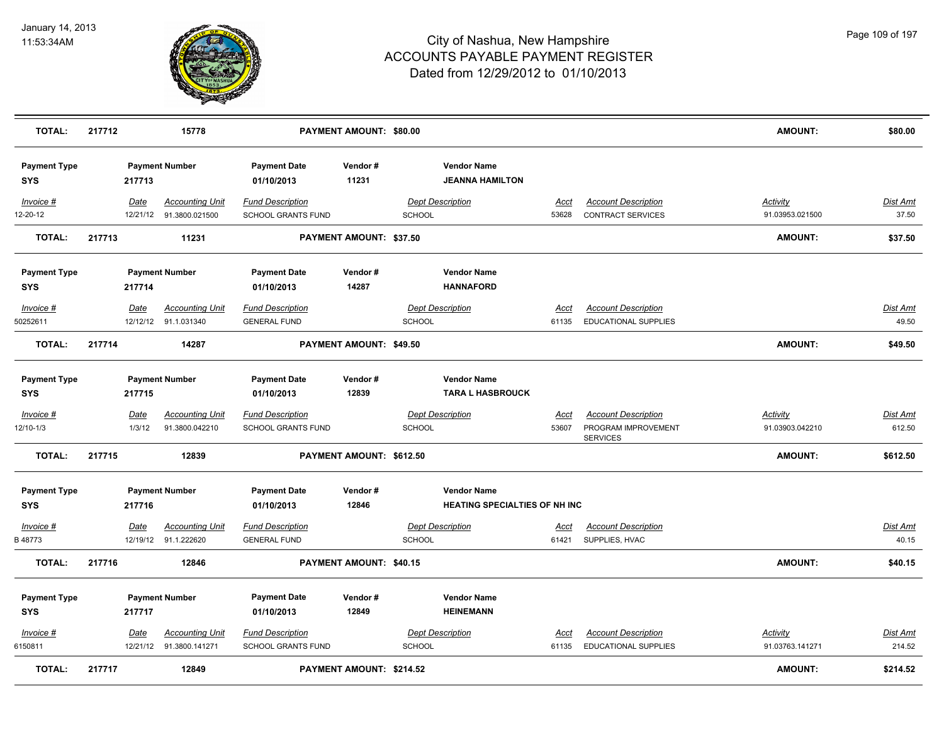

| <b>TOTAL:</b>                     | 217712 |                       | 15778                                          |                                                      | PAYMENT AMOUNT: \$80.00  |               |                                                            |                      |                                                                      | <b>AMOUNT:</b>                     | \$80.00                   |
|-----------------------------------|--------|-----------------------|------------------------------------------------|------------------------------------------------------|--------------------------|---------------|------------------------------------------------------------|----------------------|----------------------------------------------------------------------|------------------------------------|---------------------------|
| <b>Payment Type</b><br><b>SYS</b> |        | 217713                | <b>Payment Number</b>                          | <b>Payment Date</b><br>01/10/2013                    | Vendor#<br>11231         |               | <b>Vendor Name</b><br><b>JEANNA HAMILTON</b>               |                      |                                                                      |                                    |                           |
| Invoice #<br>12-20-12             |        | Date<br>12/21/12      | <b>Accounting Unit</b><br>91.3800.021500       | <b>Fund Description</b><br>SCHOOL GRANTS FUND        |                          | SCHOOL        | <b>Dept Description</b>                                    | Acct<br>53628        | <b>Account Description</b><br>CONTRACT SERVICES                      | Activity<br>91.03953.021500        | Dist Amt<br>37.50         |
| <b>TOTAL:</b>                     | 217713 |                       | 11231                                          |                                                      | PAYMENT AMOUNT: \$37.50  |               |                                                            |                      |                                                                      | AMOUNT:                            | \$37.50                   |
| <b>Payment Type</b><br><b>SYS</b> |        | 217714                | <b>Payment Number</b>                          | <b>Payment Date</b><br>01/10/2013                    | Vendor#<br>14287         |               | <b>Vendor Name</b><br><b>HANNAFORD</b>                     |                      |                                                                      |                                    |                           |
| Invoice #<br>50252611             |        | Date                  | <b>Accounting Unit</b><br>12/12/12 91.1.031340 | <b>Fund Description</b><br><b>GENERAL FUND</b>       |                          | <b>SCHOOL</b> | <b>Dept Description</b>                                    | <u>Acct</u><br>61135 | <b>Account Description</b><br><b>EDUCATIONAL SUPPLIES</b>            |                                    | <b>Dist Amt</b><br>49.50  |
| <b>TOTAL:</b>                     | 217714 |                       | 14287                                          |                                                      | PAYMENT AMOUNT: \$49.50  |               |                                                            |                      |                                                                      | AMOUNT:                            | \$49.50                   |
| <b>Payment Type</b><br><b>SYS</b> |        | 217715                | <b>Payment Number</b>                          | <b>Payment Date</b><br>01/10/2013                    | Vendor#<br>12839         |               | <b>Vendor Name</b><br><b>TARA L HASBROUCK</b>              |                      |                                                                      |                                    |                           |
| $Invoice$ #<br>12/10-1/3          |        | <u>Date</u><br>1/3/12 | <b>Accounting Unit</b><br>91.3800.042210       | <b>Fund Description</b><br><b>SCHOOL GRANTS FUND</b> |                          | SCHOOL        | <b>Dept Description</b>                                    | <u>Acct</u><br>53607 | <b>Account Description</b><br>PROGRAM IMPROVEMENT<br><b>SERVICES</b> | <b>Activity</b><br>91.03903.042210 | <b>Dist Amt</b><br>612.50 |
| <b>TOTAL:</b>                     | 217715 |                       | 12839                                          |                                                      | PAYMENT AMOUNT: \$612.50 |               |                                                            |                      |                                                                      | AMOUNT:                            | \$612.50                  |
| <b>Payment Type</b><br><b>SYS</b> |        | 217716                | <b>Payment Number</b>                          | <b>Payment Date</b><br>01/10/2013                    | Vendor#<br>12846         |               | <b>Vendor Name</b><br><b>HEATING SPECIALTIES OF NH INC</b> |                      |                                                                      |                                    |                           |
| $Invoice$ #<br>B 48773            |        | Date<br>12/19/12      | <b>Accounting Unit</b><br>91.1.222620          | <b>Fund Description</b><br><b>GENERAL FUND</b>       |                          | SCHOOL        | <b>Dept Description</b>                                    | <u>Acct</u><br>61421 | <b>Account Description</b><br>SUPPLIES, HVAC                         |                                    | <b>Dist Amt</b><br>40.15  |
| <b>TOTAL:</b>                     | 217716 |                       | 12846                                          |                                                      | PAYMENT AMOUNT: \$40.15  |               |                                                            |                      |                                                                      | AMOUNT:                            | \$40.15                   |
| <b>Payment Type</b><br><b>SYS</b> |        | 217717                | <b>Payment Number</b>                          | <b>Payment Date</b><br>01/10/2013                    | Vendor#<br>12849         |               | <b>Vendor Name</b><br><b>HEINEMANN</b>                     |                      |                                                                      |                                    |                           |
| Invoice #<br>6150811              |        | Date<br>12/21/12      | <b>Accounting Unit</b><br>91.3800.141271       | <b>Fund Description</b><br><b>SCHOOL GRANTS FUND</b> |                          | SCHOOL        | <b>Dept Description</b>                                    | <u>Acct</u><br>61135 | <b>Account Description</b><br><b>EDUCATIONAL SUPPLIES</b>            | <b>Activity</b><br>91.03763.141271 | <b>Dist Amt</b><br>214.52 |
| <b>TOTAL:</b>                     | 217717 |                       | 12849                                          |                                                      | PAYMENT AMOUNT: \$214.52 |               |                                                            |                      |                                                                      | <b>AMOUNT:</b>                     | \$214.52                  |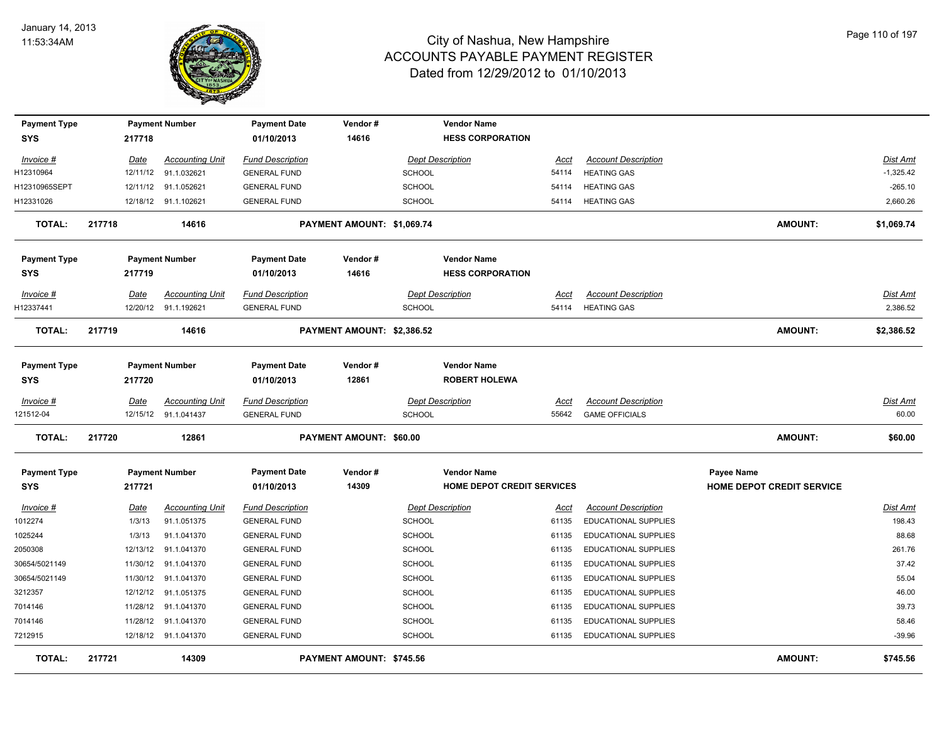

| <b>Payment Type</b> |        |             | <b>Payment Number</b>  | <b>Payment Date</b>     | Vendor#                    |                         | <b>Vendor Name</b>                |             |                             |                                  |                 |
|---------------------|--------|-------------|------------------------|-------------------------|----------------------------|-------------------------|-----------------------------------|-------------|-----------------------------|----------------------------------|-----------------|
| SYS                 |        | 217718      |                        | 01/10/2013              | 14616                      |                         | <b>HESS CORPORATION</b>           |             |                             |                                  |                 |
| Invoice #           |        | Date        | <b>Accounting Unit</b> | <b>Fund Description</b> |                            |                         | <b>Dept Description</b>           | Acct        | <b>Account Description</b>  |                                  | <b>Dist Amt</b> |
| H12310964           |        | 12/11/12    | 91.1.032621            | <b>GENERAL FUND</b>     |                            | <b>SCHOOL</b>           |                                   | 54114       | <b>HEATING GAS</b>          |                                  | $-1,325.42$     |
| H12310965SEPT       |        |             | 12/11/12 91.1.052621   | <b>GENERAL FUND</b>     |                            | <b>SCHOOL</b>           |                                   | 54114       | <b>HEATING GAS</b>          |                                  | $-265.10$       |
| H12331026           |        |             | 12/18/12 91.1.102621   | <b>GENERAL FUND</b>     |                            | <b>SCHOOL</b>           |                                   | 54114       | <b>HEATING GAS</b>          |                                  | 2,660.26        |
| TOTAL:              | 217718 |             | 14616                  |                         | PAYMENT AMOUNT: \$1,069.74 |                         |                                   |             |                             | <b>AMOUNT:</b>                   | \$1,069.74      |
| <b>Payment Type</b> |        |             | <b>Payment Number</b>  | <b>Payment Date</b>     | Vendor#                    |                         | <b>Vendor Name</b>                |             |                             |                                  |                 |
| SYS                 |        | 217719      |                        | 01/10/2013              | 14616                      |                         | <b>HESS CORPORATION</b>           |             |                             |                                  |                 |
| Invoice #           |        | Date        | <b>Accounting Unit</b> | <b>Fund Description</b> |                            |                         | <b>Dept Description</b>           | Acct        | <b>Account Description</b>  |                                  | Dist Amt        |
| H12337441           |        | 12/20/12    | 91.1.192621            | <b>GENERAL FUND</b>     |                            | <b>SCHOOL</b>           |                                   | 54114       | <b>HEATING GAS</b>          |                                  | 2,386.52        |
| <b>TOTAL:</b>       | 217719 |             | 14616                  |                         | PAYMENT AMOUNT: \$2,386.52 |                         |                                   |             |                             | <b>AMOUNT:</b>                   | \$2,386.52      |
| <b>Payment Type</b> |        |             | <b>Payment Number</b>  | <b>Payment Date</b>     | Vendor#                    |                         | <b>Vendor Name</b>                |             |                             |                                  |                 |
| SYS                 |        | 217720      |                        | 01/10/2013              | 12861                      |                         | <b>ROBERT HOLEWA</b>              |             |                             |                                  |                 |
| Invoice #           |        | Date        | <b>Accounting Unit</b> | <b>Fund Description</b> |                            | <b>Dept Description</b> |                                   | Acct        | <b>Account Description</b>  |                                  | Dist Amt        |
| 121512-04           |        |             | 12/15/12 91.1.041437   | <b>GENERAL FUND</b>     |                            | <b>SCHOOL</b>           |                                   | 55642       | <b>GAME OFFICIALS</b>       |                                  | 60.00           |
| <b>TOTAL:</b>       | 217720 |             | 12861                  |                         | PAYMENT AMOUNT: \$60.00    |                         |                                   |             |                             | <b>AMOUNT:</b>                   | \$60.00         |
| <b>Payment Type</b> |        |             | <b>Payment Number</b>  | <b>Payment Date</b>     | Vendor#                    |                         | <b>Vendor Name</b>                |             |                             | Payee Name                       |                 |
| SYS                 |        | 217721      |                        | 01/10/2013              | 14309                      |                         | <b>HOME DEPOT CREDIT SERVICES</b> |             |                             | <b>HOME DEPOT CREDIT SERVICE</b> |                 |
| Invoice #           |        | <u>Date</u> | <b>Accounting Unit</b> | <b>Fund Description</b> |                            | <b>Dept Description</b> |                                   | <u>Acct</u> | <b>Account Description</b>  |                                  | <b>Dist Amt</b> |
| 1012274             |        | 1/3/13      | 91.1.051375            | <b>GENERAL FUND</b>     |                            | <b>SCHOOL</b>           |                                   | 61135       | <b>EDUCATIONAL SUPPLIES</b> |                                  | 198.43          |
| 1025244             |        | 1/3/13      | 91.1.041370            | <b>GENERAL FUND</b>     |                            | <b>SCHOOL</b>           |                                   | 61135       | EDUCATIONAL SUPPLIES        |                                  | 88.68           |
| 2050308             |        | 12/13/12    | 91.1.041370            | <b>GENERAL FUND</b>     |                            | <b>SCHOOL</b>           |                                   | 61135       | EDUCATIONAL SUPPLIES        |                                  | 261.76          |
| 30654/5021149       |        |             | 11/30/12 91.1.041370   | <b>GENERAL FUND</b>     |                            | <b>SCHOOL</b>           |                                   | 61135       | EDUCATIONAL SUPPLIES        |                                  | 37.42           |
| 30654/5021149       |        | 11/30/12    | 91.1.041370            | <b>GENERAL FUND</b>     |                            | SCHOOL                  |                                   | 61135       | EDUCATIONAL SUPPLIES        |                                  | 55.04           |
| 3212357             |        | 12/12/12    | 91.1.051375            | <b>GENERAL FUND</b>     |                            | <b>SCHOOL</b>           |                                   | 61135       | EDUCATIONAL SUPPLIES        |                                  | 46.00           |
| 7014146             |        | 11/28/12    | 91.1.041370            | <b>GENERAL FUND</b>     |                            | <b>SCHOOL</b>           |                                   | 61135       | <b>EDUCATIONAL SUPPLIES</b> |                                  | 39.73           |
| 7014146             |        | 11/28/12    | 91.1.041370            | <b>GENERAL FUND</b>     |                            | <b>SCHOOL</b>           |                                   | 61135       | EDUCATIONAL SUPPLIES        |                                  | 58.46           |
| 7212915             |        |             | 12/18/12 91.1.041370   | <b>GENERAL FUND</b>     |                            | <b>SCHOOL</b>           |                                   | 61135       | <b>EDUCATIONAL SUPPLIES</b> |                                  | $-39.96$        |
| <b>TOTAL:</b>       | 217721 |             | 14309                  |                         | PAYMENT AMOUNT: \$745.56   |                         |                                   |             |                             | <b>AMOUNT:</b>                   | \$745.56        |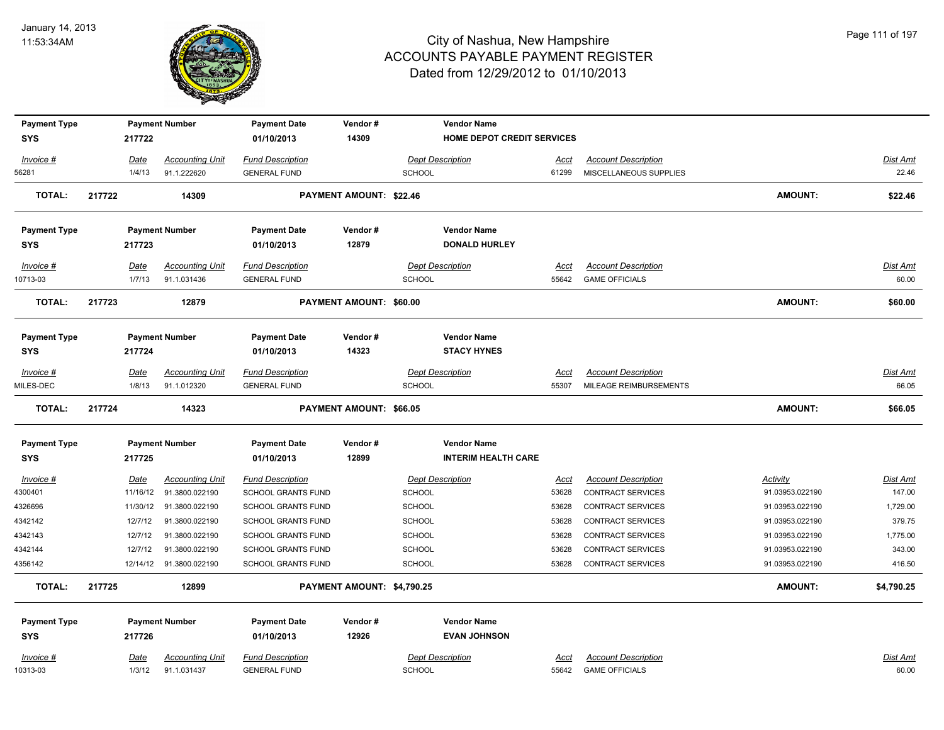

| <b>Payment Type</b>               |             | <b>Payment Number</b>   | <b>Payment Date</b>               | Vendor#                    |               | <b>Vendor Name</b>                       |             |                            |                 |                 |
|-----------------------------------|-------------|-------------------------|-----------------------------------|----------------------------|---------------|------------------------------------------|-------------|----------------------------|-----------------|-----------------|
| <b>SYS</b>                        | 217722      |                         | 01/10/2013                        | 14309                      |               | <b>HOME DEPOT CREDIT SERVICES</b>        |             |                            |                 |                 |
| Invoice #                         | Date        | <b>Accounting Unit</b>  | <b>Fund Description</b>           |                            |               | <b>Dept Description</b>                  | Acct        | <b>Account Description</b> |                 | Dist Amt        |
| 56281                             | 1/4/13      | 91.1.222620             | <b>GENERAL FUND</b>               |                            | <b>SCHOOL</b> |                                          | 61299       | MISCELLANEOUS SUPPLIES     |                 | 22.46           |
| <b>TOTAL:</b>                     | 217722      | 14309                   |                                   | PAYMENT AMOUNT: \$22.46    |               |                                          |             |                            | <b>AMOUNT:</b>  | \$22.46         |
|                                   |             |                         |                                   |                            |               |                                          |             |                            |                 |                 |
| <b>Payment Type</b>               |             | <b>Payment Number</b>   | <b>Payment Date</b>               | Vendor#                    |               | <b>Vendor Name</b>                       |             |                            |                 |                 |
| <b>SYS</b>                        | 217723      |                         | 01/10/2013                        | 12879                      |               | <b>DONALD HURLEY</b>                     |             |                            |                 |                 |
| Invoice #                         | Date        | <b>Accounting Unit</b>  | <b>Fund Description</b>           |                            |               | <b>Dept Description</b>                  | Acct        | <b>Account Description</b> |                 | <u>Dist Amt</u> |
| 10713-03                          | 1/7/13      | 91.1.031436             | <b>GENERAL FUND</b>               |                            | <b>SCHOOL</b> |                                          | 55642       | <b>GAME OFFICIALS</b>      |                 | 60.00           |
| <b>TOTAL:</b>                     | 217723      | 12879                   |                                   | PAYMENT AMOUNT: \$60.00    |               |                                          |             |                            | <b>AMOUNT:</b>  | \$60.00         |
|                                   |             |                         |                                   |                            |               |                                          |             |                            |                 |                 |
| <b>Payment Type</b><br><b>SYS</b> | 217724      | <b>Payment Number</b>   | <b>Payment Date</b><br>01/10/2013 | Vendor#<br>14323           |               | <b>Vendor Name</b><br><b>STACY HYNES</b> |             |                            |                 |                 |
|                                   |             |                         |                                   |                            |               |                                          |             |                            |                 |                 |
| Invoice #                         | Date        | <b>Accounting Unit</b>  | <b>Fund Description</b>           |                            |               | <b>Dept Description</b>                  | Acct        | <b>Account Description</b> |                 | Dist Amt        |
| MILES-DEC                         | 1/8/13      | 91.1.012320             | <b>GENERAL FUND</b>               |                            | <b>SCHOOL</b> |                                          | 55307       | MILEAGE REIMBURSEMENTS     |                 | 66.05           |
| <b>TOTAL:</b>                     | 217724      | 14323                   |                                   | PAYMENT AMOUNT: \$66.05    |               |                                          |             |                            | <b>AMOUNT:</b>  | \$66.05         |
| <b>Payment Type</b>               |             | <b>Payment Number</b>   | <b>Payment Date</b>               | Vendor#                    |               | <b>Vendor Name</b>                       |             |                            |                 |                 |
| <b>SYS</b>                        | 217725      |                         | 01/10/2013                        | 12899                      |               | <b>INTERIM HEALTH CARE</b>               |             |                            |                 |                 |
| $Invoice$ #                       | <b>Date</b> | <b>Accounting Unit</b>  | <b>Fund Description</b>           |                            |               | <b>Dept Description</b>                  | <u>Acct</u> | <b>Account Description</b> | <b>Activity</b> | <u>Dist Amt</u> |
| 4300401                           | 11/16/12    | 91.3800.022190          | SCHOOL GRANTS FUND                |                            | SCHOOL        |                                          | 53628       | <b>CONTRACT SERVICES</b>   | 91.03953.022190 | 147.00          |
| 4326696                           | 11/30/12    | 91.3800.022190          | <b>SCHOOL GRANTS FUND</b>         |                            | <b>SCHOOL</b> |                                          | 53628       | <b>CONTRACT SERVICES</b>   | 91.03953.022190 | 1,729.00        |
| 4342142                           | 12/7/12     | 91.3800.022190          | SCHOOL GRANTS FUND                |                            | SCHOOL        |                                          | 53628       | <b>CONTRACT SERVICES</b>   | 91.03953.022190 | 379.75          |
| 4342143                           | 12/7/12     | 91.3800.022190          | <b>SCHOOL GRANTS FUND</b>         |                            | SCHOOL        |                                          | 53628       | CONTRACT SERVICES          | 91.03953.022190 | 1,775.00        |
| 4342144                           | 12/7/12     | 91.3800.022190          | SCHOOL GRANTS FUND                |                            | <b>SCHOOL</b> |                                          | 53628       | <b>CONTRACT SERVICES</b>   | 91.03953.022190 | 343.00          |
| 4356142                           |             | 12/14/12 91.3800.022190 | <b>SCHOOL GRANTS FUND</b>         |                            | <b>SCHOOL</b> |                                          | 53628       | <b>CONTRACT SERVICES</b>   | 91.03953.022190 | 416.50          |
| <b>TOTAL:</b>                     | 217725      | 12899                   |                                   | PAYMENT AMOUNT: \$4,790.25 |               |                                          |             |                            | <b>AMOUNT:</b>  | \$4,790.25      |
| <b>Payment Type</b>               |             | <b>Payment Number</b>   | <b>Payment Date</b>               | Vendor#                    |               | <b>Vendor Name</b>                       |             |                            |                 |                 |
| <b>SYS</b>                        | 217726      |                         | 01/10/2013                        | 12926                      |               | <b>EVAN JOHNSON</b>                      |             |                            |                 |                 |
| Invoice #                         | Date        | <b>Accounting Unit</b>  | <b>Fund Description</b>           |                            |               | Dept Description                         | Acct        | <b>Account Description</b> |                 | Dist Amt        |
| 10313-03                          | 1/3/12      | 91.1.031437             | <b>GENERAL FUND</b>               |                            | <b>SCHOOL</b> |                                          | 55642       | <b>GAME OFFICIALS</b>      |                 | 60.00           |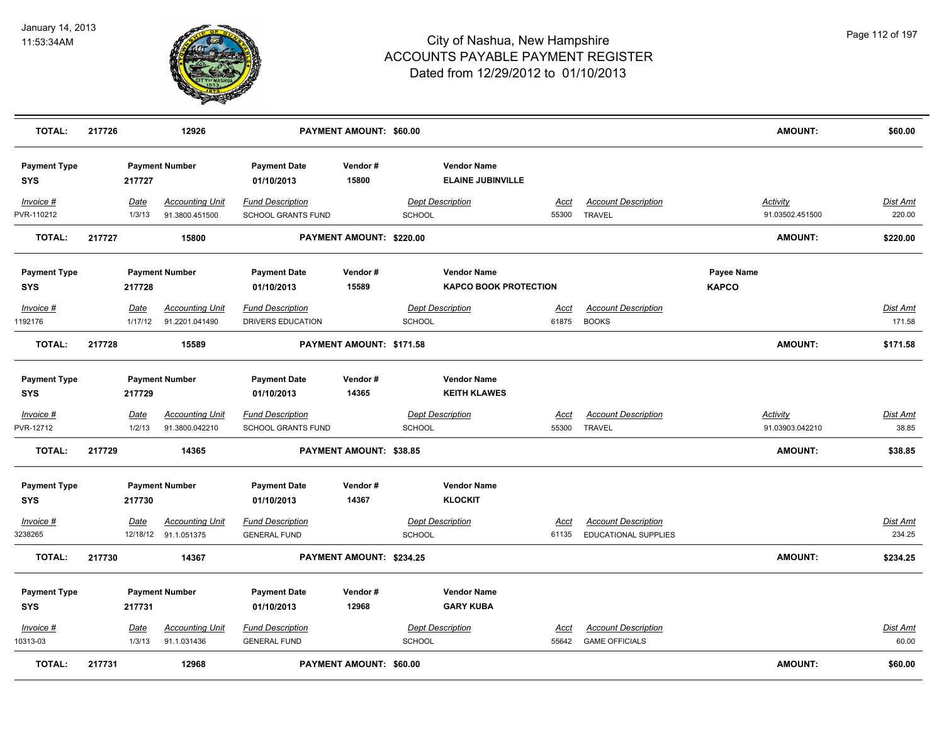

| <b>TOTAL:</b>                     | 217726 |                       | 12926                                          |                                                      | PAYMENT AMOUNT: \$60.00        |               |                                                    |                      |                                                           |                            | <b>AMOUNT:</b>                     | \$60.00                  |
|-----------------------------------|--------|-----------------------|------------------------------------------------|------------------------------------------------------|--------------------------------|---------------|----------------------------------------------------|----------------------|-----------------------------------------------------------|----------------------------|------------------------------------|--------------------------|
| <b>Payment Type</b><br><b>SYS</b> |        | 217727                | <b>Payment Number</b>                          | <b>Payment Date</b><br>01/10/2013                    | Vendor#<br>15800               |               | <b>Vendor Name</b><br><b>ELAINE JUBINVILLE</b>     |                      |                                                           |                            |                                    |                          |
| Invoice #<br>PVR-110212           |        | Date<br>1/3/13        | <b>Accounting Unit</b><br>91.3800.451500       | <b>Fund Description</b><br>SCHOOL GRANTS FUND        |                                | <b>SCHOOL</b> | <b>Dept Description</b>                            | Acct<br>55300        | <b>Account Description</b><br><b>TRAVEL</b>               |                            | <b>Activity</b><br>91.03502.451500 | Dist Amt<br>220.00       |
| <b>TOTAL:</b>                     | 217727 |                       | 15800                                          |                                                      | PAYMENT AMOUNT: \$220.00       |               |                                                    |                      |                                                           |                            | <b>AMOUNT:</b>                     | \$220.00                 |
| <b>Payment Type</b><br>SYS        |        | 217728                | <b>Payment Number</b>                          | <b>Payment Date</b><br>01/10/2013                    | Vendor#<br>15589               |               | <b>Vendor Name</b><br><b>KAPCO BOOK PROTECTION</b> |                      |                                                           | Payee Name<br><b>KAPCO</b> |                                    |                          |
| Invoice #<br>1192176              |        | Date<br>1/17/12       | <b>Accounting Unit</b><br>91.2201.041490       | <b>Fund Description</b><br>DRIVERS EDUCATION         |                                | SCHOOL        | <b>Dept Description</b>                            | Acct<br>61875        | <b>Account Description</b><br><b>BOOKS</b>                |                            |                                    | Dist Amt<br>171.58       |
| <b>TOTAL:</b>                     | 217728 |                       | 15589                                          |                                                      | PAYMENT AMOUNT: \$171.58       |               |                                                    |                      |                                                           |                            | <b>AMOUNT:</b>                     | \$171.58                 |
| <b>Payment Type</b><br>SYS        |        | 217729                | <b>Payment Number</b>                          | <b>Payment Date</b><br>01/10/2013                    | Vendor#<br>14365               |               | <b>Vendor Name</b><br><b>KEITH KLAWES</b>          |                      |                                                           |                            |                                    |                          |
| Invoice #<br>PVR-12712            |        | <b>Date</b><br>1/2/13 | <b>Accounting Unit</b><br>91.3800.042210       | <b>Fund Description</b><br><b>SCHOOL GRANTS FUND</b> |                                | SCHOOL        | <b>Dept Description</b>                            | <u>Acct</u><br>55300 | <b>Account Description</b><br><b>TRAVEL</b>               |                            | <b>Activity</b><br>91.03903.042210 | <u>Dist Amt</u><br>38.85 |
| <b>TOTAL:</b>                     | 217729 |                       | 14365                                          |                                                      | <b>PAYMENT AMOUNT: \$38.85</b> |               |                                                    |                      |                                                           |                            | <b>AMOUNT:</b>                     | \$38.85                  |
| <b>Payment Type</b><br><b>SYS</b> |        | 217730                | <b>Payment Number</b>                          | <b>Payment Date</b><br>01/10/2013                    | Vendor#<br>14367               |               | <b>Vendor Name</b><br><b>KLOCKIT</b>               |                      |                                                           |                            |                                    |                          |
| $Invoice$ #<br>3238265            |        | Date                  | <b>Accounting Unit</b><br>12/18/12 91.1.051375 | <b>Fund Description</b><br><b>GENERAL FUND</b>       |                                | SCHOOL        | <b>Dept Description</b>                            | <u>Acct</u><br>61135 | <b>Account Description</b><br><b>EDUCATIONAL SUPPLIES</b> |                            |                                    | Dist Amt<br>234.25       |
| <b>TOTAL:</b>                     | 217730 |                       | 14367                                          |                                                      | PAYMENT AMOUNT: \$234.25       |               |                                                    |                      |                                                           |                            | AMOUNT:                            | \$234.25                 |
| <b>Payment Type</b><br><b>SYS</b> |        | 217731                | <b>Payment Number</b>                          | <b>Payment Date</b><br>01/10/2013                    | Vendor#<br>12968               |               | <b>Vendor Name</b><br><b>GARY KUBA</b>             |                      |                                                           |                            |                                    |                          |
| $Invoice$ #<br>10313-03           |        | <b>Date</b><br>1/3/13 | <b>Accounting Unit</b><br>91.1.031436          | <b>Fund Description</b><br><b>GENERAL FUND</b>       |                                | SCHOOL        | <b>Dept Description</b>                            | <u>Acct</u><br>55642 | <b>Account Description</b><br><b>GAME OFFICIALS</b>       |                            |                                    | Dist Amt<br>60.00        |
| <b>TOTAL:</b>                     | 217731 |                       | 12968                                          |                                                      | PAYMENT AMOUNT: \$60.00        |               |                                                    |                      |                                                           |                            | <b>AMOUNT:</b>                     | \$60.00                  |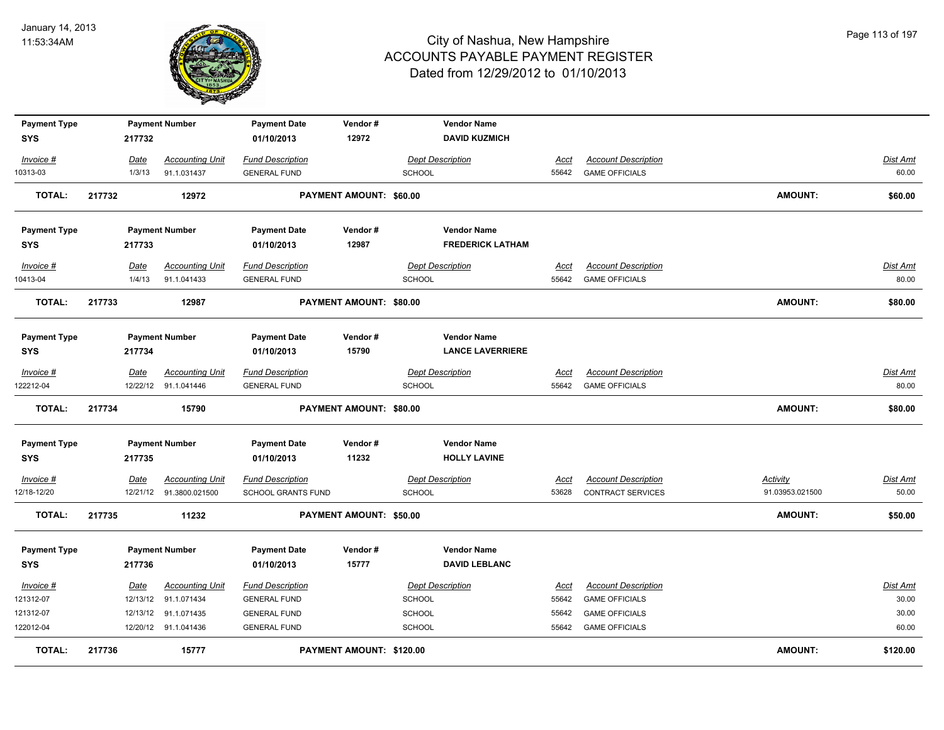

| <b>Payment Type</b>        |                         | <b>Payment Number</b>                    | <b>Payment Date</b>                                  | Vendor#                        | <b>Vendor Name</b>                       |                      |                                                     |                                    |                          |
|----------------------------|-------------------------|------------------------------------------|------------------------------------------------------|--------------------------------|------------------------------------------|----------------------|-----------------------------------------------------|------------------------------------|--------------------------|
| <b>SYS</b>                 | 217732                  |                                          | 01/10/2013                                           | 12972                          | <b>DAVID KUZMICH</b>                     |                      |                                                     |                                    |                          |
| Invoice #                  | Date                    | <b>Accounting Unit</b>                   | <b>Fund Description</b>                              |                                | <b>Dept Description</b>                  | Acct                 | <b>Account Description</b>                          |                                    | Dist Amt                 |
| 10313-03                   | 1/3/13                  | 91.1.031437                              | <b>GENERAL FUND</b>                                  |                                | <b>SCHOOL</b>                            |                      | 55642 GAME OFFICIALS                                |                                    | 60.00                    |
| <b>TOTAL:</b>              | 217732                  | 12972                                    |                                                      | <b>PAYMENT AMOUNT: \$60.00</b> |                                          |                      |                                                     | <b>AMOUNT:</b>                     | \$60.00                  |
| <b>Payment Type</b>        |                         | <b>Payment Number</b>                    | <b>Payment Date</b>                                  | Vendor#                        | <b>Vendor Name</b>                       |                      |                                                     |                                    |                          |
| <b>SYS</b>                 | 217733                  |                                          | 01/10/2013                                           | 12987                          | <b>FREDERICK LATHAM</b>                  |                      |                                                     |                                    |                          |
| Invoice #<br>10413-04      | Date<br>1/4/13          | <b>Accounting Unit</b><br>91.1.041433    | <b>Fund Description</b><br><b>GENERAL FUND</b>       |                                | <b>Dept Description</b><br><b>SCHOOL</b> | Acct<br>55642        | <b>Account Description</b><br><b>GAME OFFICIALS</b> |                                    | <b>Dist Amt</b><br>80.00 |
| TOTAL:                     | 217733                  | 12987                                    |                                                      | PAYMENT AMOUNT: \$80.00        |                                          |                      |                                                     | <b>AMOUNT:</b>                     | \$80.00                  |
| <b>Payment Type</b>        |                         | <b>Payment Number</b>                    | <b>Payment Date</b>                                  | Vendor#                        | <b>Vendor Name</b>                       |                      |                                                     |                                    |                          |
| <b>SYS</b>                 | 217734                  |                                          | 01/10/2013                                           | 15790                          | <b>LANCE LAVERRIERE</b>                  |                      |                                                     |                                    |                          |
| Invoice #                  | Date                    | <b>Accounting Unit</b>                   | <b>Fund Description</b>                              |                                | <b>Dept Description</b>                  | Acct                 | <b>Account Description</b>                          |                                    | Dist Amt                 |
| 122212-04                  |                         | 12/22/12 91.1.041446                     | <b>GENERAL FUND</b>                                  |                                | <b>SCHOOL</b>                            |                      | 55642 GAME OFFICIALS                                |                                    | 80.00                    |
| <b>TOTAL:</b>              | 217734                  | 15790                                    |                                                      | PAYMENT AMOUNT: \$80.00        |                                          |                      |                                                     | <b>AMOUNT:</b>                     | \$80.00                  |
| <b>Payment Type</b>        |                         | <b>Payment Number</b>                    | <b>Payment Date</b>                                  | Vendor#                        | <b>Vendor Name</b>                       |                      |                                                     |                                    |                          |
| <b>SYS</b>                 | 217735                  |                                          | 01/10/2013                                           | 11232                          | <b>HOLLY LAVINE</b>                      |                      |                                                     |                                    |                          |
| $Invoice$ #<br>12/18-12/20 | <b>Date</b><br>12/21/12 | <b>Accounting Unit</b><br>91.3800.021500 | <b>Fund Description</b><br><b>SCHOOL GRANTS FUND</b> |                                | <b>Dept Description</b><br>SCHOOL        | <u>Acct</u><br>53628 | <b>Account Description</b><br>CONTRACT SERVICES     | <b>Activity</b><br>91.03953.021500 | <u>Dist Amt</u><br>50.00 |
| TOTAL:                     | 217735                  | 11232                                    |                                                      | <b>PAYMENT AMOUNT: \$50.00</b> |                                          |                      |                                                     | <b>AMOUNT:</b>                     | \$50.00                  |
| <b>Payment Type</b>        |                         | <b>Payment Number</b>                    | <b>Payment Date</b>                                  | Vendor#                        | <b>Vendor Name</b>                       |                      |                                                     |                                    |                          |
| <b>SYS</b>                 | 217736                  |                                          | 01/10/2013                                           | 15777                          | <b>DAVID LEBLANC</b>                     |                      |                                                     |                                    |                          |
| Invoice #                  | Date                    | <b>Accounting Unit</b>                   | <b>Fund Description</b>                              |                                | <b>Dept Description</b>                  | <u>Acct</u>          | <b>Account Description</b>                          |                                    | <b>Dist Amt</b>          |
| 121312-07                  | 12/13/12                | 91.1.071434                              | <b>GENERAL FUND</b>                                  |                                | <b>SCHOOL</b>                            | 55642                | <b>GAME OFFICIALS</b>                               |                                    | 30.00                    |
| 121312-07                  | 12/13/12                | 91.1.071435                              | <b>GENERAL FUND</b>                                  |                                | <b>SCHOOL</b>                            | 55642                | <b>GAME OFFICIALS</b>                               |                                    | 30.00                    |
| 122012-04                  |                         | 12/20/12 91.1.041436                     | <b>GENERAL FUND</b>                                  |                                | <b>SCHOOL</b>                            |                      | 55642 GAME OFFICIALS                                |                                    | 60.00                    |
| <b>TOTAL:</b>              | 217736                  | 15777                                    |                                                      | PAYMENT AMOUNT: \$120.00       |                                          |                      |                                                     | <b>AMOUNT:</b>                     | \$120.00                 |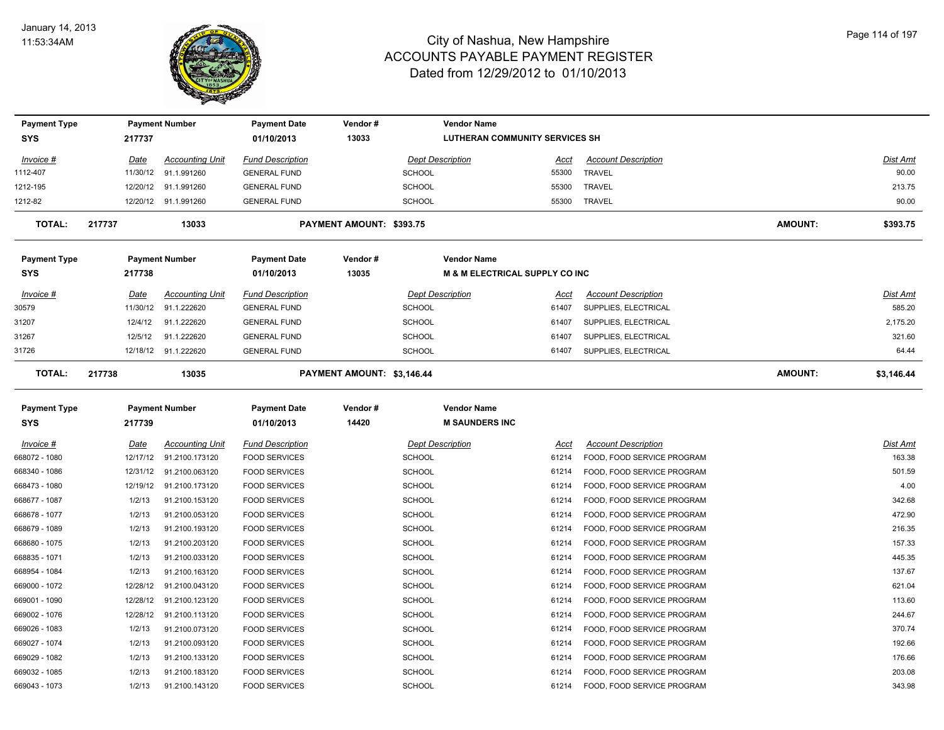

| <b>Payment Type</b> |          | <b>Payment Number</b>  | <b>Payment Date</b>     | Vendor#                    | <b>Vendor Name</b>                        |       |                            |                |            |
|---------------------|----------|------------------------|-------------------------|----------------------------|-------------------------------------------|-------|----------------------------|----------------|------------|
| <b>SYS</b>          | 217737   |                        | 01/10/2013              | 13033                      | <b>LUTHERAN COMMUNITY SERVICES SH</b>     |       |                            |                |            |
| Invoice #           | Date     | <b>Accounting Unit</b> | <b>Fund Description</b> |                            | <b>Dept Description</b>                   | Acct  | <b>Account Description</b> |                | Dist Amt   |
| 1112-407            | 11/30/12 | 91.1.991260            | <b>GENERAL FUND</b>     |                            | <b>SCHOOL</b>                             | 55300 | <b>TRAVEL</b>              |                | 90.00      |
| 1212-195            | 12/20/12 | 91.1.991260            | <b>GENERAL FUND</b>     |                            | <b>SCHOOL</b>                             | 55300 | <b>TRAVEL</b>              |                | 213.75     |
| 1212-82             | 12/20/12 | 91.1.991260            | <b>GENERAL FUND</b>     |                            | <b>SCHOOL</b>                             | 55300 | <b>TRAVEL</b>              |                | 90.00      |
| <b>TOTAL:</b>       | 217737   | 13033                  |                         | PAYMENT AMOUNT: \$393.75   |                                           |       |                            | <b>AMOUNT:</b> | \$393.75   |
| <b>Payment Type</b> |          | <b>Payment Number</b>  | <b>Payment Date</b>     | Vendor#                    | <b>Vendor Name</b>                        |       |                            |                |            |
| <b>SYS</b>          | 217738   |                        | 01/10/2013              | 13035                      | <b>M &amp; M ELECTRICAL SUPPLY CO INC</b> |       |                            |                |            |
| Invoice #           | Date     | <b>Accounting Unit</b> | <b>Fund Description</b> |                            | <b>Dept Description</b>                   | Acct  | <b>Account Description</b> |                | Dist Amt   |
| 30579               | 11/30/12 | 91.1.222620            | <b>GENERAL FUND</b>     |                            | <b>SCHOOL</b>                             | 61407 | SUPPLIES, ELECTRICAL       |                | 585.20     |
| 31207               | 12/4/12  | 91.1.222620            | <b>GENERAL FUND</b>     |                            | SCHOOL                                    | 61407 | SUPPLIES, ELECTRICAL       |                | 2,175.20   |
| 31267               | 12/5/12  | 91.1.222620            | <b>GENERAL FUND</b>     |                            | <b>SCHOOL</b>                             | 61407 | SUPPLIES, ELECTRICAL       |                | 321.60     |
| 31726               |          | 12/18/12 91.1.222620   | <b>GENERAL FUND</b>     |                            | <b>SCHOOL</b>                             | 61407 | SUPPLIES, ELECTRICAL       |                | 64.44      |
| <b>TOTAL:</b>       | 217738   | 13035                  |                         | PAYMENT AMOUNT: \$3,146.44 |                                           |       |                            | <b>AMOUNT:</b> | \$3,146.44 |
| <b>Payment Type</b> |          | <b>Payment Number</b>  | <b>Payment Date</b>     | Vendor#                    | <b>Vendor Name</b>                        |       |                            |                |            |
| <b>SYS</b>          | 217739   |                        | 01/10/2013              | 14420                      | <b>M SAUNDERS INC</b>                     |       |                            |                |            |
| Invoice #           | Date     | <b>Accounting Unit</b> | <b>Fund Description</b> |                            | <b>Dept Description</b>                   | Acct  | <b>Account Description</b> |                | Dist Amt   |
| 668072 - 1080       | 12/17/12 | 91.2100.173120         | <b>FOOD SERVICES</b>    |                            | <b>SCHOOL</b>                             | 61214 | FOOD, FOOD SERVICE PROGRAM |                | 163.38     |
| 668340 - 1086       | 12/31/12 | 91.2100.063120         | <b>FOOD SERVICES</b>    |                            | <b>SCHOOL</b>                             | 61214 | FOOD, FOOD SERVICE PROGRAM |                | 501.59     |
| 668473 - 1080       | 12/19/12 | 91.2100.173120         | <b>FOOD SERVICES</b>    |                            | <b>SCHOOL</b>                             | 61214 | FOOD, FOOD SERVICE PROGRAM |                | 4.00       |
| 668677 - 1087       | 1/2/13   | 91.2100.153120         | <b>FOOD SERVICES</b>    |                            | <b>SCHOOL</b>                             | 61214 | FOOD, FOOD SERVICE PROGRAM |                | 342.68     |
| 668678 - 1077       | 1/2/13   | 91.2100.053120         | <b>FOOD SERVICES</b>    |                            | <b>SCHOOL</b>                             | 61214 | FOOD, FOOD SERVICE PROGRAM |                | 472.90     |
| 668679 - 1089       | 1/2/13   | 91.2100.193120         | <b>FOOD SERVICES</b>    |                            | <b>SCHOOL</b>                             | 61214 | FOOD, FOOD SERVICE PROGRAM |                | 216.35     |
| 668680 - 1075       | 1/2/13   | 91.2100.203120         | <b>FOOD SERVICES</b>    |                            | <b>SCHOOL</b>                             | 61214 | FOOD, FOOD SERVICE PROGRAM |                | 157.33     |
| 668835 - 1071       | 1/2/13   | 91.2100.033120         | <b>FOOD SERVICES</b>    |                            | <b>SCHOOL</b>                             | 61214 | FOOD, FOOD SERVICE PROGRAM |                | 445.35     |
| 668954 - 1084       | 1/2/13   | 91.2100.163120         | <b>FOOD SERVICES</b>    |                            | <b>SCHOOL</b>                             | 61214 | FOOD, FOOD SERVICE PROGRAM |                | 137.67     |
| 669000 - 1072       | 12/28/12 | 91.2100.043120         | <b>FOOD SERVICES</b>    |                            | <b>SCHOOL</b>                             | 61214 | FOOD, FOOD SERVICE PROGRAM |                | 621.04     |
| 669001 - 1090       | 12/28/12 | 91.2100.123120         | <b>FOOD SERVICES</b>    |                            | <b>SCHOOL</b>                             | 61214 | FOOD, FOOD SERVICE PROGRAM |                | 113.60     |
| 669002 - 1076       | 12/28/12 | 91.2100.113120         | <b>FOOD SERVICES</b>    |                            | <b>SCHOOL</b>                             | 61214 | FOOD, FOOD SERVICE PROGRAM |                | 244.67     |
| 669026 - 1083       | 1/2/13   | 91.2100.073120         | <b>FOOD SERVICES</b>    |                            | <b>SCHOOL</b>                             | 61214 | FOOD, FOOD SERVICE PROGRAM |                | 370.74     |
| 669027 - 1074       | 1/2/13   | 91.2100.093120         | <b>FOOD SERVICES</b>    |                            | <b>SCHOOL</b>                             | 61214 | FOOD, FOOD SERVICE PROGRAM |                | 192.66     |
| 669029 - 1082       | 1/2/13   | 91.2100.133120         | <b>FOOD SERVICES</b>    |                            | <b>SCHOOL</b>                             | 61214 | FOOD, FOOD SERVICE PROGRAM |                | 176.66     |
| 669032 - 1085       | 1/2/13   | 91.2100.183120         | <b>FOOD SERVICES</b>    |                            | <b>SCHOOL</b>                             | 61214 | FOOD, FOOD SERVICE PROGRAM |                | 203.08     |
| 669043 - 1073       | 1/2/13   | 91.2100.143120         | <b>FOOD SERVICES</b>    |                            | SCHOOL                                    | 61214 | FOOD, FOOD SERVICE PROGRAM |                | 343.98     |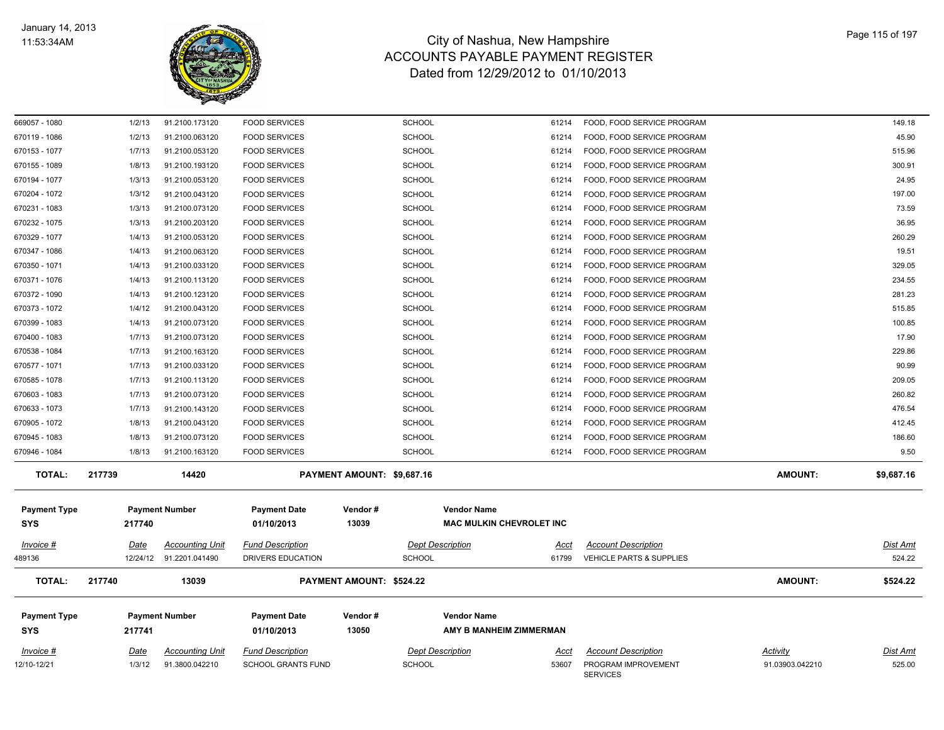

| <u>Invoice #</u><br>12/10-12/21   | Date<br>1/3/12   | <b>Accounting Unit</b><br>91.3800.042210          | <b>Fund Description</b><br><b>SCHOOL GRANTS FUND</b> | SCHOOL                         | <b>Dept Description</b><br><u>Acci</u><br>53607       | <b>Account Description</b><br>PROGRAM IMPROVEMENT<br><b>SERVICES</b> | <b>Activity</b><br>91.03903.042210 | <u>Dist Amt</u><br>525.00 |
|-----------------------------------|------------------|---------------------------------------------------|------------------------------------------------------|--------------------------------|-------------------------------------------------------|----------------------------------------------------------------------|------------------------------------|---------------------------|
| <b>Payment Type</b><br><b>SYS</b> | 217741           | <b>Payment Number</b>                             | <b>Payment Date</b><br>01/10/2013                    | Vendor#<br>13050               | <b>Vendor Name</b><br>AMY B MANHEIM ZIMMERMAN         |                                                                      |                                    |                           |
| <b>TOTAL:</b>                     | 217740           | 13039                                             |                                                      | PAYMENT AMOUNT: \$524.22       |                                                       |                                                                      | <b>AMOUNT:</b>                     | \$524.22                  |
| Invoice #<br>489136               | Date             | <b>Accounting Unit</b><br>12/24/12 91.2201.041490 | <b>Fund Description</b><br>DRIVERS EDUCATION         | <b>SCHOOL</b>                  | <b>Dept Description</b><br>Acct<br>61799              | <b>Account Description</b><br><b>VEHICLE PARTS &amp; SUPPLIES</b>    |                                    | <u>Dist Amt</u><br>524.22 |
| <b>Payment Type</b><br><b>SYS</b> | 217740           | <b>Payment Number</b>                             | <b>Payment Date</b><br>01/10/2013                    | Vendor#<br>13039               | <b>Vendor Name</b><br><b>MAC MULKIN CHEVROLET INC</b> |                                                                      |                                    |                           |
| <b>TOTAL:</b>                     | 217739           | 14420                                             |                                                      | PAYMENT AMOUNT: \$9,687.16     |                                                       |                                                                      | <b>AMOUNT:</b>                     | \$9,687.16                |
| 670946 - 1084                     | 1/8/13           | 91.2100.163120                                    | <b>FOOD SERVICES</b>                                 | <b>SCHOOL</b>                  | 61214                                                 | FOOD, FOOD SERVICE PROGRAM                                           |                                    | 9.50                      |
| 670945 - 1083                     | 1/8/13           | 91.2100.073120                                    | <b>FOOD SERVICES</b>                                 | <b>SCHOOL</b>                  | 61214                                                 | FOOD, FOOD SERVICE PROGRAM                                           |                                    | 186.60                    |
| 670905 - 1072                     | 1/8/13           | 91.2100.043120                                    | <b>FOOD SERVICES</b>                                 | <b>SCHOOL</b>                  | 61214                                                 | FOOD, FOOD SERVICE PROGRAM                                           |                                    | 412.45                    |
| 670633 - 1073                     | 1/7/13           | 91.2100.143120                                    | <b>FOOD SERVICES</b>                                 | <b>SCHOOL</b>                  | 61214                                                 | FOOD, FOOD SERVICE PROGRAM                                           |                                    | 476.54                    |
| 670603 - 1083                     | 1/7/13           | 91.2100.073120                                    | <b>FOOD SERVICES</b>                                 | SCHOOL                         | 61214                                                 | FOOD, FOOD SERVICE PROGRAM                                           |                                    | 260.82                    |
| 670585 - 1078                     | 1/7/13           | 91.2100.113120                                    | <b>FOOD SERVICES</b>                                 | <b>SCHOOL</b>                  | 61214                                                 | FOOD, FOOD SERVICE PROGRAM                                           |                                    | 209.05                    |
| 670577 - 1071                     | 1/7/13           | 91.2100.033120                                    | <b>FOOD SERVICES</b>                                 | <b>SCHOOL</b>                  | 61214                                                 | FOOD, FOOD SERVICE PROGRAM                                           |                                    | 90.99                     |
| 670538 - 1084                     | 1/7/13           | 91.2100.163120                                    | <b>FOOD SERVICES</b>                                 | <b>SCHOOL</b>                  | 61214                                                 | FOOD, FOOD SERVICE PROGRAM                                           |                                    | 229.86                    |
| 670399 - 1083<br>670400 - 1083    | 1/4/13<br>1/7/13 | 91.2100.073120<br>91.2100.073120                  | <b>FOOD SERVICES</b><br><b>FOOD SERVICES</b>         | <b>SCHOOL</b><br><b>SCHOOL</b> | 61214<br>61214                                        | FOOD, FOOD SERVICE PROGRAM<br>FOOD, FOOD SERVICE PROGRAM             |                                    | 100.85<br>17.90           |
| 670373 - 1072                     | 1/4/12           | 91.2100.043120                                    | <b>FOOD SERVICES</b>                                 | <b>SCHOOL</b>                  | 61214                                                 | FOOD, FOOD SERVICE PROGRAM                                           |                                    | 515.85                    |
| 670372 - 1090                     | 1/4/13           | 91.2100.123120                                    | <b>FOOD SERVICES</b>                                 | <b>SCHOOL</b>                  | 61214                                                 | FOOD, FOOD SERVICE PROGRAM                                           |                                    | 281.23                    |
| 670371 - 1076                     | 1/4/13           | 91.2100.113120                                    | <b>FOOD SERVICES</b>                                 | <b>SCHOOL</b>                  | 61214                                                 | FOOD, FOOD SERVICE PROGRAM                                           |                                    | 234.55                    |
| 670350 - 1071                     | 1/4/13           | 91.2100.033120                                    | <b>FOOD SERVICES</b>                                 | SCHOOL                         | 61214                                                 | FOOD, FOOD SERVICE PROGRAM                                           |                                    | 329.05                    |
| 670347 - 1086                     | 1/4/13           | 91.2100.063120                                    | <b>FOOD SERVICES</b>                                 | <b>SCHOOL</b>                  | 61214                                                 | FOOD, FOOD SERVICE PROGRAM                                           |                                    | 19.51                     |
| 670329 - 1077                     | 1/4/13           | 91.2100.053120                                    | <b>FOOD SERVICES</b>                                 | <b>SCHOOL</b>                  | 61214                                                 | FOOD, FOOD SERVICE PROGRAM                                           |                                    | 260.29                    |
| 670232 - 1075                     | 1/3/13           | 91.2100.203120                                    | <b>FOOD SERVICES</b>                                 | <b>SCHOOL</b>                  | 61214                                                 | FOOD, FOOD SERVICE PROGRAM                                           |                                    | 36.95                     |
| 670231 - 1083                     | 1/3/13           | 91.2100.073120                                    | <b>FOOD SERVICES</b>                                 | <b>SCHOOL</b>                  | 61214                                                 | FOOD, FOOD SERVICE PROGRAM                                           |                                    | 73.59                     |
| 670204 - 1072                     | 1/3/12           | 91.2100.043120                                    | <b>FOOD SERVICES</b>                                 | <b>SCHOOL</b>                  | 61214                                                 | FOOD, FOOD SERVICE PROGRAM                                           |                                    | 197.00                    |
| 670194 - 1077                     | 1/3/13           | 91.2100.053120                                    | <b>FOOD SERVICES</b>                                 | <b>SCHOOL</b>                  | 61214                                                 | FOOD, FOOD SERVICE PROGRAM                                           |                                    | 24.95                     |
| 670155 - 1089                     | 1/8/13           | 91.2100.193120                                    | <b>FOOD SERVICES</b>                                 | <b>SCHOOL</b>                  | 61214                                                 | FOOD, FOOD SERVICE PROGRAM                                           |                                    | 300.91                    |
| 670153 - 1077                     | 1/7/13           | 91.2100.053120                                    | <b>FOOD SERVICES</b>                                 | <b>SCHOOL</b>                  | 61214                                                 | FOOD, FOOD SERVICE PROGRAM                                           |                                    | 515.96                    |
| 670119 - 1086                     | 1/2/13           | 91.2100.063120                                    | <b>FOOD SERVICES</b>                                 | SCHOOL                         | 61214                                                 | FOOD, FOOD SERVICE PROGRAM                                           |                                    | 45.90                     |
| 669057 - 1080                     | 1/2/13           | 91.2100.173120                                    | <b>FOOD SERVICES</b>                                 | <b>SCHOOL</b>                  | 61214                                                 | FOOD, FOOD SERVICE PROGRAM                                           |                                    | 149.18                    |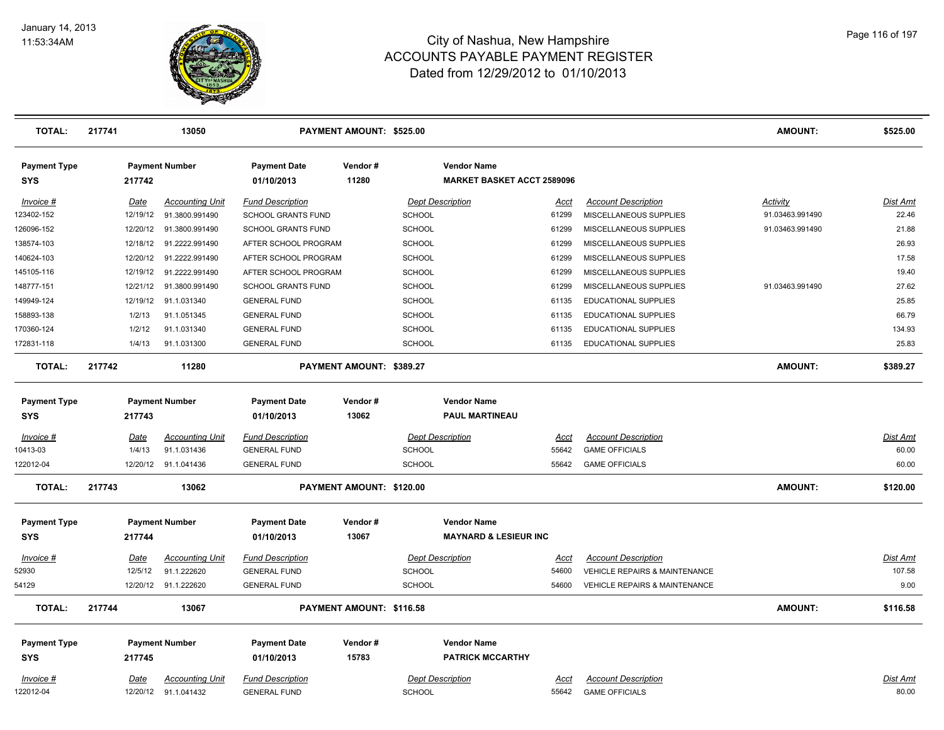

| <b>TOTAL:</b>                     | 217741 |             | 13050                  |                                   | PAYMENT AMOUNT: \$525.00 |               |                                                         |             |                                          | <b>AMOUNT:</b>  | \$525.00        |
|-----------------------------------|--------|-------------|------------------------|-----------------------------------|--------------------------|---------------|---------------------------------------------------------|-------------|------------------------------------------|-----------------|-----------------|
| <b>Payment Type</b><br><b>SYS</b> |        | 217742      | <b>Payment Number</b>  | <b>Payment Date</b><br>01/10/2013 | Vendor#<br>11280         |               | <b>Vendor Name</b><br><b>MARKET BASKET ACCT 2589096</b> |             |                                          |                 |                 |
| Invoice #                         |        | Date        | <b>Accounting Unit</b> | <b>Fund Description</b>           |                          |               | <b>Dept Description</b>                                 | Acct        | <b>Account Description</b>               | <b>Activity</b> | Dist Amt        |
| 123402-152                        |        | 12/19/12    | 91.3800.991490         | SCHOOL GRANTS FUND                |                          | SCHOOL        |                                                         | 61299       | MISCELLANEOUS SUPPLIES                   | 91.03463.991490 | 22.46           |
| 126096-152                        |        | 12/20/12    | 91.3800.991490         | SCHOOL GRANTS FUND                |                          | <b>SCHOOL</b> |                                                         | 61299       | MISCELLANEOUS SUPPLIES                   | 91.03463.991490 | 21.88           |
| 138574-103                        |        | 12/18/12    | 91.2222.991490         | AFTER SCHOOL PROGRAM              |                          | <b>SCHOOL</b> |                                                         | 61299       | MISCELLANEOUS SUPPLIES                   |                 | 26.93           |
| 140624-103                        |        | 12/20/12    | 91.2222.991490         | AFTER SCHOOL PROGRAM              |                          | <b>SCHOOL</b> |                                                         | 61299       | MISCELLANEOUS SUPPLIES                   |                 | 17.58           |
| 145105-116                        |        | 12/19/12    | 91.2222.991490         | AFTER SCHOOL PROGRAM              |                          | SCHOOL        |                                                         | 61299       | MISCELLANEOUS SUPPLIES                   |                 | 19.40           |
| 148777-151                        |        | 12/21/12    | 91.3800.991490         | <b>SCHOOL GRANTS FUND</b>         |                          | <b>SCHOOL</b> |                                                         | 61299       | MISCELLANEOUS SUPPLIES                   | 91.03463.991490 | 27.62           |
| 149949-124                        |        | 12/19/12    | 91.1.031340            | <b>GENERAL FUND</b>               |                          | <b>SCHOOL</b> |                                                         | 61135       | EDUCATIONAL SUPPLIES                     |                 | 25.85           |
| 158893-138                        |        | 1/2/13      | 91.1.051345            | <b>GENERAL FUND</b>               |                          | <b>SCHOOL</b> |                                                         | 61135       | EDUCATIONAL SUPPLIES                     |                 | 66.79           |
| 170360-124                        |        | 1/2/12      | 91.1.031340            | <b>GENERAL FUND</b>               |                          | <b>SCHOOL</b> |                                                         | 61135       | EDUCATIONAL SUPPLIES                     |                 | 134.93          |
| 172831-118                        |        | 1/4/13      | 91.1.031300            | <b>GENERAL FUND</b>               |                          | <b>SCHOOL</b> |                                                         | 61135       | <b>EDUCATIONAL SUPPLIES</b>              |                 | 25.83           |
| <b>TOTAL:</b>                     | 217742 |             | 11280                  |                                   | PAYMENT AMOUNT: \$389.27 |               |                                                         |             |                                          | <b>AMOUNT:</b>  | \$389.27        |
| <b>Payment Type</b>               |        |             | <b>Payment Number</b>  | <b>Payment Date</b>               | Vendor#                  |               | <b>Vendor Name</b>                                      |             |                                          |                 |                 |
| <b>SYS</b>                        |        | 217743      |                        | 01/10/2013                        | 13062                    |               | <b>PAUL MARTINEAU</b>                                   |             |                                          |                 |                 |
| Invoice #                         |        | Date        | <b>Accounting Unit</b> | <b>Fund Description</b>           |                          |               | <b>Dept Description</b>                                 | Acct        | <b>Account Description</b>               |                 | Dist Amt        |
| 10413-03                          |        | 1/4/13      | 91.1.031436            | <b>GENERAL FUND</b>               |                          | <b>SCHOOL</b> |                                                         | 55642       | <b>GAME OFFICIALS</b>                    |                 | 60.00           |
| 122012-04                         |        | 12/20/12    | 91.1.041436            | <b>GENERAL FUND</b>               |                          | SCHOOL        |                                                         | 55642       | <b>GAME OFFICIALS</b>                    |                 | 60.00           |
| <b>TOTAL:</b>                     | 217743 |             | 13062                  |                                   | PAYMENT AMOUNT: \$120.00 |               |                                                         |             |                                          | <b>AMOUNT:</b>  | \$120.00        |
| <b>Payment Type</b>               |        |             | <b>Payment Number</b>  | <b>Payment Date</b>               | Vendor#                  |               | <b>Vendor Name</b>                                      |             |                                          |                 |                 |
| <b>SYS</b>                        |        | 217744      |                        | 01/10/2013                        | 13067                    |               | <b>MAYNARD &amp; LESIEUR INC</b>                        |             |                                          |                 |                 |
| $Invoice$ #                       |        | <u>Date</u> | <b>Accounting Unit</b> | <b>Fund Description</b>           |                          |               | <b>Dept Description</b>                                 | <u>Acct</u> | <b>Account Description</b>               |                 | <u>Dist Amt</u> |
| 52930                             |        | 12/5/12     | 91.1.222620            | <b>GENERAL FUND</b>               |                          | SCHOOL        |                                                         | 54600       | <b>VEHICLE REPAIRS &amp; MAINTENANCE</b> |                 | 107.58          |
| 54129                             |        |             | 12/20/12 91.1.222620   | <b>GENERAL FUND</b>               |                          | SCHOOL        |                                                         | 54600       | <b>VEHICLE REPAIRS &amp; MAINTENANCE</b> |                 | 9.00            |
| <b>TOTAL:</b>                     | 217744 |             | 13067                  |                                   | PAYMENT AMOUNT: \$116.58 |               |                                                         |             |                                          | <b>AMOUNT:</b>  | \$116.58        |
| <b>Payment Type</b>               |        |             | <b>Payment Number</b>  | <b>Payment Date</b>               | Vendor#                  |               | <b>Vendor Name</b>                                      |             |                                          |                 |                 |
| <b>SYS</b>                        |        | 217745      |                        | 01/10/2013                        | 15783                    |               | <b>PATRICK MCCARTHY</b>                                 |             |                                          |                 |                 |
| Invoice #                         |        | Date        | <b>Accounting Unit</b> | <b>Fund Description</b>           |                          |               | <b>Dept Description</b>                                 | Acct        | <b>Account Description</b>               |                 | <b>Dist Amt</b> |
| 122012-04                         |        |             | 12/20/12 91.1.041432   | <b>GENERAL FUND</b>               |                          | <b>SCHOOL</b> |                                                         | 55642       | <b>GAME OFFICIALS</b>                    |                 | 80.00           |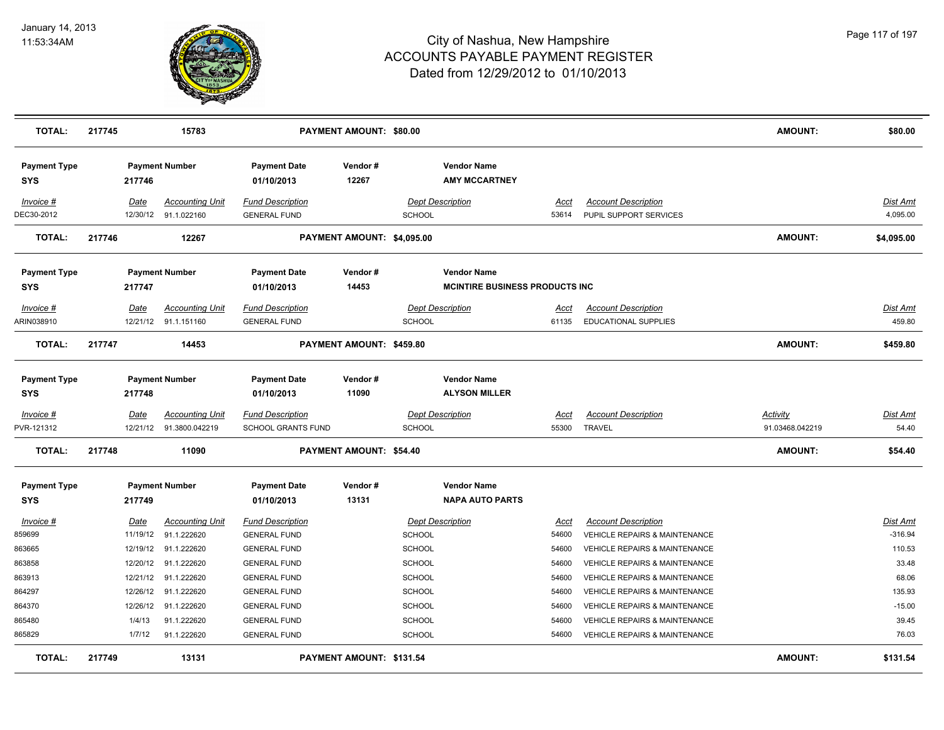

| <b>TOTAL:</b>                                                         | 217745 |                                                                              | 15783                                                                                                            |                                                                                                                                                                   | PAYMENT AMOUNT: \$80.00    |                                                                                             |                                                              |                                                            |                                                                                                                                                                                                                                                                   | <b>AMOUNT:</b>                     | \$80.00                                                                        |
|-----------------------------------------------------------------------|--------|------------------------------------------------------------------------------|------------------------------------------------------------------------------------------------------------------|-------------------------------------------------------------------------------------------------------------------------------------------------------------------|----------------------------|---------------------------------------------------------------------------------------------|--------------------------------------------------------------|------------------------------------------------------------|-------------------------------------------------------------------------------------------------------------------------------------------------------------------------------------------------------------------------------------------------------------------|------------------------------------|--------------------------------------------------------------------------------|
| <b>Payment Type</b><br><b>SYS</b>                                     |        | 217746                                                                       | <b>Payment Number</b>                                                                                            | <b>Payment Date</b><br>01/10/2013                                                                                                                                 | Vendor#<br>12267           |                                                                                             | <b>Vendor Name</b><br><b>AMY MCCARTNEY</b>                   |                                                            |                                                                                                                                                                                                                                                                   |                                    |                                                                                |
| Invoice #<br>DEC30-2012                                               |        | Date                                                                         | <b>Accounting Unit</b><br>12/30/12 91.1.022160                                                                   | <b>Fund Description</b><br><b>GENERAL FUND</b>                                                                                                                    |                            | <b>SCHOOL</b>                                                                               | <b>Dept Description</b>                                      | <u>Acct</u><br>53614                                       | <b>Account Description</b><br>PUPIL SUPPORT SERVICES                                                                                                                                                                                                              |                                    | <b>Dist Amt</b><br>4,095.00                                                    |
| <b>TOTAL:</b>                                                         | 217746 |                                                                              | 12267                                                                                                            |                                                                                                                                                                   | PAYMENT AMOUNT: \$4,095.00 |                                                                                             |                                                              |                                                            |                                                                                                                                                                                                                                                                   | <b>AMOUNT:</b>                     | \$4,095.00                                                                     |
| <b>Payment Type</b><br>SYS                                            |        | 217747                                                                       | <b>Payment Number</b>                                                                                            | <b>Payment Date</b><br>01/10/2013                                                                                                                                 | Vendor#<br>14453           |                                                                                             | <b>Vendor Name</b><br><b>MCINTIRE BUSINESS PRODUCTS INC.</b> |                                                            |                                                                                                                                                                                                                                                                   |                                    |                                                                                |
| Invoice #<br>ARIN038910                                               |        | Date                                                                         | <b>Accounting Unit</b><br>12/21/12 91.1.151160                                                                   | <b>Fund Description</b><br><b>GENERAL FUND</b>                                                                                                                    |                            | SCHOOL                                                                                      | <b>Dept Description</b>                                      | Acct<br>61135                                              | <b>Account Description</b><br>EDUCATIONAL SUPPLIES                                                                                                                                                                                                                |                                    | <b>Dist Amt</b><br>459.80                                                      |
| <b>TOTAL:</b>                                                         | 217747 |                                                                              | 14453                                                                                                            |                                                                                                                                                                   | PAYMENT AMOUNT: \$459.80   |                                                                                             |                                                              |                                                            |                                                                                                                                                                                                                                                                   | <b>AMOUNT:</b>                     | \$459.80                                                                       |
| <b>Payment Type</b><br>SYS                                            |        | 217748                                                                       | <b>Payment Number</b>                                                                                            | <b>Payment Date</b><br>01/10/2013                                                                                                                                 | Vendor#<br>11090           |                                                                                             | <b>Vendor Name</b><br><b>ALYSON MILLER</b>                   |                                                            |                                                                                                                                                                                                                                                                   |                                    |                                                                                |
| Invoice #<br>PVR-121312                                               |        | <u>Date</u><br>12/21/12                                                      | <u>Accounting Unit</u><br>91.3800.042219                                                                         | <b>Fund Description</b><br><b>SCHOOL GRANTS FUND</b>                                                                                                              |                            | <b>SCHOOL</b>                                                                               | <b>Dept Description</b>                                      | Acct<br>55300                                              | <b>Account Description</b><br><b>TRAVEL</b>                                                                                                                                                                                                                       | <b>Activity</b><br>91.03468.042219 | <b>Dist Amt</b><br>54.40                                                       |
| <b>TOTAL:</b>                                                         | 217748 |                                                                              | 11090                                                                                                            |                                                                                                                                                                   | PAYMENT AMOUNT: \$54.40    |                                                                                             |                                                              |                                                            |                                                                                                                                                                                                                                                                   | <b>AMOUNT:</b>                     | \$54.40                                                                        |
| <b>Payment Type</b><br><b>SYS</b>                                     |        | 217749                                                                       | <b>Payment Number</b>                                                                                            | <b>Payment Date</b><br>01/10/2013                                                                                                                                 | Vendor#<br>13131           |                                                                                             | <b>Vendor Name</b><br><b>NAPA AUTO PARTS</b>                 |                                                            |                                                                                                                                                                                                                                                                   |                                    |                                                                                |
| Invoice #<br>859699<br>863665<br>863858<br>863913<br>864297<br>864370 |        | Date<br>11/19/12<br>12/19/12<br>12/20/12<br>12/21/12<br>12/26/12<br>12/26/12 | <b>Accounting Unit</b><br>91.1.222620<br>91.1.222620<br>91.1.222620<br>91.1.222620<br>91.1.222620<br>91.1.222620 | <b>Fund Description</b><br><b>GENERAL FUND</b><br><b>GENERAL FUND</b><br><b>GENERAL FUND</b><br><b>GENERAL FUND</b><br><b>GENERAL FUND</b><br><b>GENERAL FUND</b> |                            | SCHOOL<br><b>SCHOOL</b><br><b>SCHOOL</b><br><b>SCHOOL</b><br><b>SCHOOL</b><br><b>SCHOOL</b> | <b>Dept Description</b>                                      | Acct<br>54600<br>54600<br>54600<br>54600<br>54600<br>54600 | <b>Account Description</b><br><b>VEHICLE REPAIRS &amp; MAINTENANCE</b><br><b>VEHICLE REPAIRS &amp; MAINTENANCE</b><br>VEHICLE REPAIRS & MAINTENANCE<br>VEHICLE REPAIRS & MAINTENANCE<br>VEHICLE REPAIRS & MAINTENANCE<br><b>VEHICLE REPAIRS &amp; MAINTENANCE</b> |                                    | <b>Dist Amt</b><br>$-316.94$<br>110.53<br>33.48<br>68.06<br>135.93<br>$-15.00$ |
| 865480<br>865829                                                      |        | 1/4/13<br>1/7/12                                                             | 91.1.222620<br>91.1.222620                                                                                       | <b>GENERAL FUND</b><br><b>GENERAL FUND</b>                                                                                                                        |                            | <b>SCHOOL</b><br><b>SCHOOL</b>                                                              |                                                              | 54600<br>54600                                             | <b>VEHICLE REPAIRS &amp; MAINTENANCE</b><br><b>VEHICLE REPAIRS &amp; MAINTENANCE</b>                                                                                                                                                                              |                                    | 39.45<br>76.03                                                                 |
| <b>TOTAL:</b>                                                         | 217749 |                                                                              | 13131                                                                                                            |                                                                                                                                                                   | PAYMENT AMOUNT: \$131.54   |                                                                                             |                                                              |                                                            |                                                                                                                                                                                                                                                                   | <b>AMOUNT:</b>                     | \$131.54                                                                       |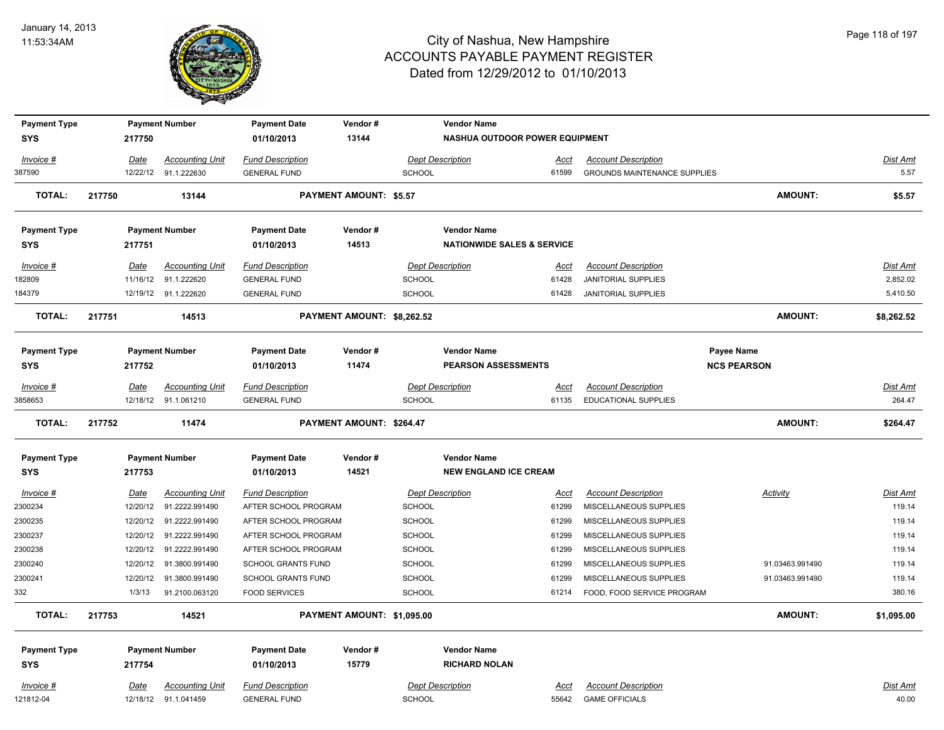

| <b>Payment Type</b> |             | <b>Payment Number</b>   | <b>Payment Date</b>       | Vendor#                       |               | <b>Vendor Name</b>                    |             |                                     |                    |                 |
|---------------------|-------------|-------------------------|---------------------------|-------------------------------|---------------|---------------------------------------|-------------|-------------------------------------|--------------------|-----------------|
| <b>SYS</b>          | 217750      |                         | 01/10/2013                | 13144                         |               | NASHUA OUTDOOR POWER EQUIPMENT        |             |                                     |                    |                 |
| Invoice #           | Date        | <b>Accounting Unit</b>  | <b>Fund Description</b>   |                               |               | Dept Description                      | Acct        | <b>Account Description</b>          |                    | Dist Amt        |
| 387590              |             | 12/22/12 91.1.222630    | <b>GENERAL FUND</b>       |                               | <b>SCHOOL</b> |                                       | 61599       | <b>GROUNDS MAINTENANCE SUPPLIES</b> |                    | 5.57            |
| <b>TOTAL:</b>       | 217750      | 13144                   |                           | <b>PAYMENT AMOUNT: \$5.57</b> |               |                                       |             |                                     | <b>AMOUNT:</b>     | \$5.57          |
| <b>Payment Type</b> |             | <b>Payment Number</b>   | <b>Payment Date</b>       | Vendor#                       |               | <b>Vendor Name</b>                    |             |                                     |                    |                 |
| <b>SYS</b>          | 217751      |                         | 01/10/2013                | 14513                         |               | <b>NATIONWIDE SALES &amp; SERVICE</b> |             |                                     |                    |                 |
| Invoice #           | Date        | <b>Accounting Unit</b>  | <b>Fund Description</b>   |                               |               | <b>Dept Description</b>               | Acct        | <b>Account Description</b>          |                    | Dist Amt        |
| 182809              | 11/16/12    | 91.1.222620             | <b>GENERAL FUND</b>       |                               | SCHOOL        |                                       | 61428       | JANITORIAL SUPPLIES                 |                    | 2,852.02        |
| 184379              |             | 12/19/12 91.1.222620    | <b>GENERAL FUND</b>       |                               | <b>SCHOOL</b> |                                       | 61428       | <b>JANITORIAL SUPPLIES</b>          |                    | 5,410.50        |
| <b>TOTAL:</b>       | 217751      | 14513                   |                           | PAYMENT AMOUNT: \$8,262.52    |               |                                       |             |                                     | <b>AMOUNT:</b>     | \$8,262.52      |
| <b>Payment Type</b> |             | <b>Payment Number</b>   | <b>Payment Date</b>       | Vendor#                       |               | <b>Vendor Name</b>                    |             |                                     | Payee Name         |                 |
| <b>SYS</b>          | 217752      |                         | 01/10/2013                | 11474                         |               | <b>PEARSON ASSESSMENTS</b>            |             |                                     | <b>NCS PEARSON</b> |                 |
| Invoice #           | Date        | <b>Accounting Unit</b>  | <b>Fund Description</b>   |                               |               | <b>Dept Description</b>               | Acct        | <b>Account Description</b>          |                    | <b>Dist Amt</b> |
| 3858653             |             | 12/18/12 91.1.061210    | <b>GENERAL FUND</b>       |                               | <b>SCHOOL</b> |                                       | 61135       | EDUCATIONAL SUPPLIES                |                    | 264.47          |
| <b>TOTAL:</b>       | 217752      | 11474                   |                           | PAYMENT AMOUNT: \$264.47      |               |                                       |             |                                     | AMOUNT:            | \$264.47        |
| <b>Payment Type</b> |             | <b>Payment Number</b>   | <b>Payment Date</b>       | Vendor#                       |               | <b>Vendor Name</b>                    |             |                                     |                    |                 |
| <b>SYS</b>          | 217753      |                         | 01/10/2013                | 14521                         |               | <b>NEW ENGLAND ICE CREAM</b>          |             |                                     |                    |                 |
| Invoice #           | <b>Date</b> | <b>Accounting Unit</b>  | <b>Fund Description</b>   |                               |               | <b>Dept Description</b>               | <u>Acct</u> | <b>Account Description</b>          | <b>Activity</b>    | <b>Dist Amt</b> |
| 2300234             | 12/20/12    | 91.2222.991490          | AFTER SCHOOL PROGRAM      |                               | <b>SCHOOL</b> |                                       | 61299       | MISCELLANEOUS SUPPLIES              |                    | 119.14          |
| 2300235             |             | 12/20/12 91.2222.991490 | AFTER SCHOOL PROGRAM      |                               | <b>SCHOOL</b> |                                       | 61299       | MISCELLANEOUS SUPPLIES              |                    | 119.14          |
| 2300237             |             | 12/20/12 91.2222.991490 | AFTER SCHOOL PROGRAM      |                               | SCHOOL        |                                       | 61299       | MISCELLANEOUS SUPPLIES              |                    | 119.14          |
| 2300238             |             | 12/20/12 91.2222.991490 | AFTER SCHOOL PROGRAM      |                               | SCHOOL        |                                       | 61299       | MISCELLANEOUS SUPPLIES              |                    | 119.14          |
| 2300240             |             | 12/20/12 91.3800.991490 | <b>SCHOOL GRANTS FUND</b> |                               | <b>SCHOOL</b> |                                       | 61299       | MISCELLANEOUS SUPPLIES              | 91.03463.991490    | 119.14          |
| 2300241             | 12/20/12    | 91.3800.991490          | <b>SCHOOL GRANTS FUND</b> |                               | <b>SCHOOL</b> |                                       | 61299       | MISCELLANEOUS SUPPLIES              | 91.03463.991490    | 119.14          |
| 332                 | 1/3/13      | 91.2100.063120          | <b>FOOD SERVICES</b>      |                               | <b>SCHOOL</b> |                                       | 61214       | FOOD, FOOD SERVICE PROGRAM          |                    | 380.16          |
| <b>TOTAL:</b>       | 217753      | 14521                   |                           | PAYMENT AMOUNT: \$1,095.00    |               |                                       |             |                                     | AMOUNT:            | \$1,095.00      |
| <b>Payment Type</b> |             | <b>Payment Number</b>   | <b>Payment Date</b>       | Vendor#                       |               | <b>Vendor Name</b>                    |             |                                     |                    |                 |
| <b>SYS</b>          | 217754      |                         | 01/10/2013                | 15779                         |               | <b>RICHARD NOLAN</b>                  |             |                                     |                    |                 |
| Invoice #           | Date        | <b>Accounting Unit</b>  | <b>Fund Description</b>   |                               |               | <b>Dept Description</b>               | <b>Acct</b> | <b>Account Description</b>          |                    | <b>Dist Amt</b> |
| 121812-04           |             | 12/18/12 91.1.041459    | <b>GENERAL FUND</b>       |                               | <b>SCHOOL</b> |                                       | 55642       | <b>GAME OFFICIALS</b>               |                    | 40.00           |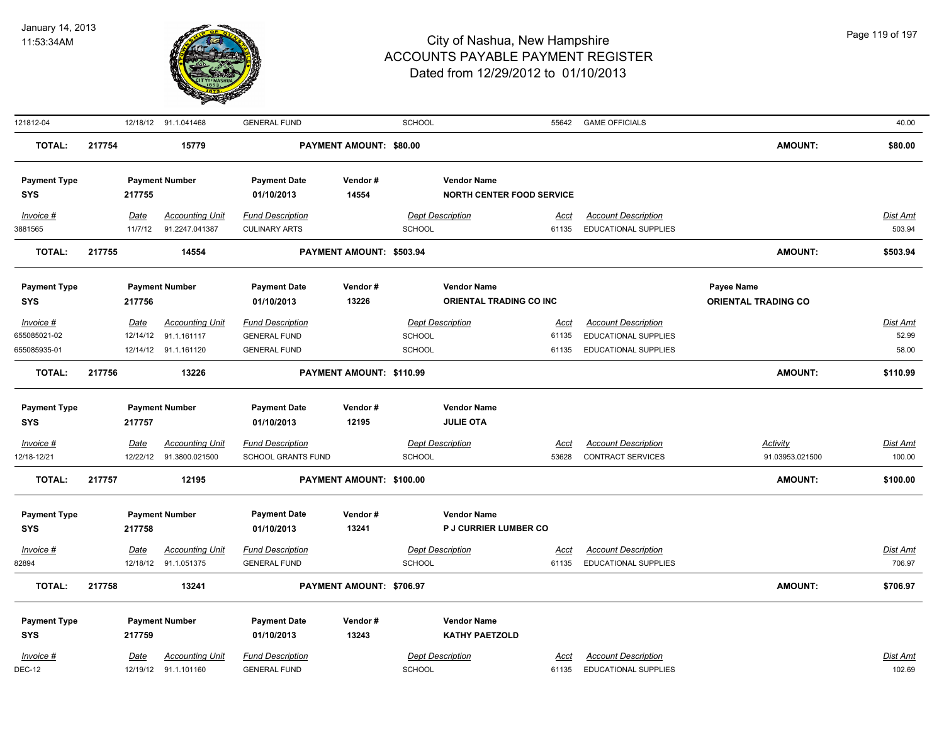

| 121812-04           |        |             | 12/18/12 91.1.041468   | <b>GENERAL FUND</b>       |                          | <b>SCHOOL</b> |                                  | 55642       | <b>GAME OFFICIALS</b>       |                            | 40.00           |
|---------------------|--------|-------------|------------------------|---------------------------|--------------------------|---------------|----------------------------------|-------------|-----------------------------|----------------------------|-----------------|
| <b>TOTAL:</b>       | 217754 |             | 15779                  |                           | PAYMENT AMOUNT: \$80.00  |               |                                  |             |                             | AMOUNT:                    | \$80.00         |
| <b>Payment Type</b> |        |             | <b>Payment Number</b>  | <b>Payment Date</b>       | Vendor#                  |               | <b>Vendor Name</b>               |             |                             |                            |                 |
| <b>SYS</b>          |        | 217755      |                        | 01/10/2013                | 14554                    |               | <b>NORTH CENTER FOOD SERVICE</b> |             |                             |                            |                 |
| Invoice #           |        | Date        | <b>Accounting Unit</b> | <b>Fund Description</b>   |                          |               | <b>Dept Description</b>          | Acct        | <b>Account Description</b>  |                            | Dist Amt        |
| 3881565             |        | 11/7/12     | 91.2247.041387         | <b>CULINARY ARTS</b>      |                          | <b>SCHOOL</b> |                                  | 61135       | <b>EDUCATIONAL SUPPLIES</b> |                            | 503.94          |
| <b>TOTAL:</b>       | 217755 |             | 14554                  |                           | PAYMENT AMOUNT: \$503.94 |               |                                  |             |                             | <b>AMOUNT:</b>             | \$503.94        |
| <b>Payment Type</b> |        |             | <b>Payment Number</b>  | <b>Payment Date</b>       | Vendor#                  |               | <b>Vendor Name</b>               |             |                             | Payee Name                 |                 |
| <b>SYS</b>          |        | 217756      |                        | 01/10/2013                | 13226                    |               | ORIENTAL TRADING CO INC          |             |                             | <b>ORIENTAL TRADING CO</b> |                 |
| Invoice #           |        | Date        | <b>Accounting Unit</b> | <b>Fund Description</b>   |                          |               | <b>Dept Description</b>          | Acct        | <b>Account Description</b>  |                            | <b>Dist Amt</b> |
| 655085021-02        |        | 12/14/12    | 91.1.161117            | <b>GENERAL FUND</b>       |                          | <b>SCHOOL</b> |                                  | 61135       | <b>EDUCATIONAL SUPPLIES</b> |                            | 52.99           |
| 655085935-01        |        |             | 12/14/12 91.1.161120   | <b>GENERAL FUND</b>       |                          | <b>SCHOOL</b> |                                  | 61135       | EDUCATIONAL SUPPLIES        |                            | 58.00           |
| <b>TOTAL:</b>       | 217756 |             | 13226                  |                           | PAYMENT AMOUNT: \$110.99 |               |                                  |             |                             | <b>AMOUNT:</b>             | \$110.99        |
| <b>Payment Type</b> |        |             | <b>Payment Number</b>  | <b>Payment Date</b>       | Vendor#                  |               | <b>Vendor Name</b>               |             |                             |                            |                 |
| <b>SYS</b>          |        | 217757      |                        | 01/10/2013                | 12195                    |               | <b>JULIE OTA</b>                 |             |                             |                            |                 |
| Invoice #           |        | <b>Date</b> | <b>Accounting Unit</b> | <b>Fund Description</b>   |                          |               | <b>Dept Description</b>          | <u>Acct</u> | <b>Account Description</b>  | <b>Activity</b>            | Dist Amt        |
| 12/18-12/21         |        | 12/22/12    | 91.3800.021500         | <b>SCHOOL GRANTS FUND</b> |                          | <b>SCHOOL</b> |                                  | 53628       | <b>CONTRACT SERVICES</b>    | 91.03953.021500            | 100.00          |
| <b>TOTAL:</b>       | 217757 |             | 12195                  |                           | PAYMENT AMOUNT: \$100.00 |               |                                  |             |                             | <b>AMOUNT:</b>             | \$100.00        |
| <b>Payment Type</b> |        |             | <b>Payment Number</b>  | <b>Payment Date</b>       | Vendor#                  |               | <b>Vendor Name</b>               |             |                             |                            |                 |
| <b>SYS</b>          |        | 217758      |                        | 01/10/2013                | 13241                    |               | P J CURRIER LUMBER CO            |             |                             |                            |                 |
| Invoice #           |        | <b>Date</b> | <b>Accounting Unit</b> | <b>Fund Description</b>   |                          |               | <b>Dept Description</b>          | <u>Acct</u> | <b>Account Description</b>  |                            | <b>Dist Amt</b> |
| 82894               |        |             | 12/18/12 91.1.051375   | <b>GENERAL FUND</b>       |                          | <b>SCHOOL</b> |                                  | 61135       | <b>EDUCATIONAL SUPPLIES</b> |                            | 706.97          |
| <b>TOTAL:</b>       | 217758 |             | 13241                  |                           | PAYMENT AMOUNT: \$706.97 |               |                                  |             |                             | <b>AMOUNT:</b>             | \$706.97        |
| <b>Payment Type</b> |        |             | <b>Payment Number</b>  | <b>Payment Date</b>       | Vendor#                  |               | <b>Vendor Name</b>               |             |                             |                            |                 |
| <b>SYS</b>          |        | 217759      |                        | 01/10/2013                | 13243                    |               | <b>KATHY PAETZOLD</b>            |             |                             |                            |                 |
| Invoice #           |        | Date        | <b>Accounting Unit</b> | <b>Fund Description</b>   |                          |               | <b>Dept Description</b>          | Acct        | <b>Account Description</b>  |                            | Dist Amt        |
| <b>DEC-12</b>       |        |             | 12/19/12 91.1.101160   | <b>GENERAL FUND</b>       |                          | <b>SCHOOL</b> |                                  | 61135       | <b>EDUCATIONAL SUPPLIES</b> |                            | 102.69          |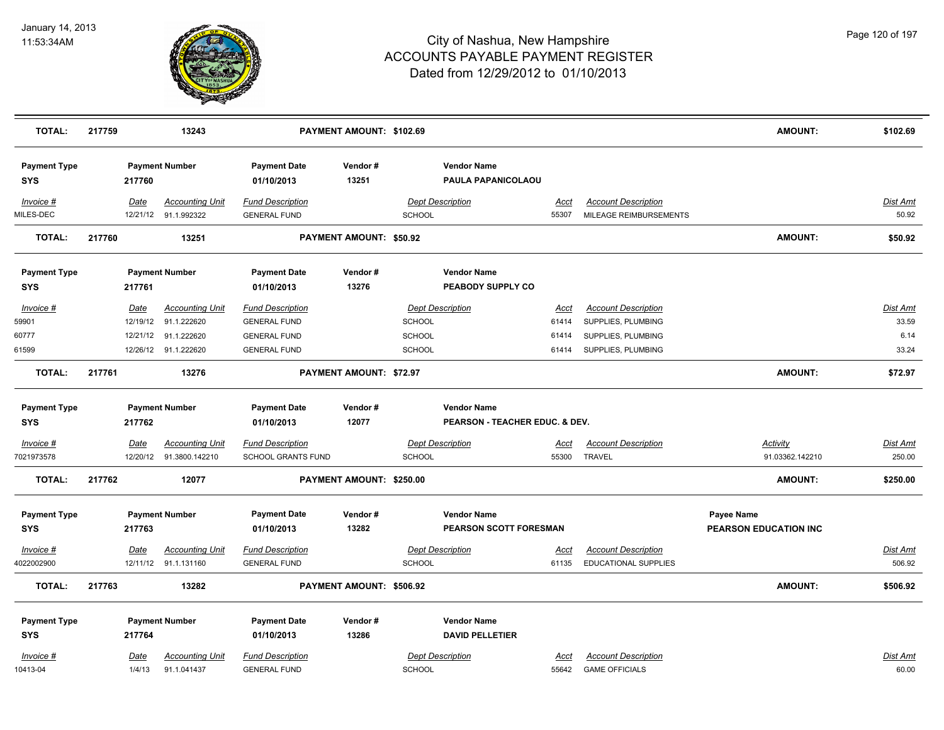

| <b>TOTAL:</b>                     | 217759      | 13243                  |                                   | PAYMENT AMOUNT: \$102.69 |               |                                          |             |                            | <b>AMOUNT:</b>               | \$102.69        |
|-----------------------------------|-------------|------------------------|-----------------------------------|--------------------------|---------------|------------------------------------------|-------------|----------------------------|------------------------------|-----------------|
| <b>Payment Type</b><br><b>SYS</b> | 217760      | <b>Payment Number</b>  | <b>Payment Date</b><br>01/10/2013 | Vendor#<br>13251         |               | <b>Vendor Name</b><br>PAULA PAPANICOLAOU |             |                            |                              |                 |
| $Invoice$ #                       | Date        | <b>Accounting Unit</b> | <b>Fund Description</b>           |                          |               | <b>Dept Description</b>                  | <u>Acct</u> | <b>Account Description</b> |                              | Dist Amt        |
| MILES-DEC                         |             | 12/21/12 91.1.992322   | <b>GENERAL FUND</b>               |                          | <b>SCHOOL</b> |                                          | 55307       | MILEAGE REIMBURSEMENTS     |                              | 50.92           |
| <b>TOTAL:</b>                     | 217760      | 13251                  |                                   | PAYMENT AMOUNT: \$50.92  |               |                                          |             |                            | <b>AMOUNT:</b>               | \$50.92         |
| <b>Payment Type</b>               |             | <b>Payment Number</b>  | <b>Payment Date</b>               | Vendor#                  |               | <b>Vendor Name</b>                       |             |                            |                              |                 |
| <b>SYS</b>                        | 217761      |                        | 01/10/2013                        | 13276                    |               | PEABODY SUPPLY CO                        |             |                            |                              |                 |
| Invoice #                         | Date        | <b>Accounting Unit</b> | <b>Fund Description</b>           |                          |               | <b>Dept Description</b>                  | Acct        | <b>Account Description</b> |                              | Dist Amt        |
| 59901                             | 12/19/12    | 91.1.222620            | <b>GENERAL FUND</b>               |                          | <b>SCHOOL</b> |                                          | 61414       | SUPPLIES, PLUMBING         |                              | 33.59           |
| 60777                             | 12/21/12    | 91.1.222620            | <b>GENERAL FUND</b>               |                          | SCHOOL        |                                          | 61414       | SUPPLIES, PLUMBING         |                              | 6.14            |
| 61599                             |             | 12/26/12 91.1.222620   | <b>GENERAL FUND</b>               |                          | SCHOOL        |                                          | 61414       | SUPPLIES, PLUMBING         |                              | 33.24           |
| <b>TOTAL:</b>                     | 217761      | 13276                  |                                   | PAYMENT AMOUNT: \$72.97  |               |                                          |             |                            | <b>AMOUNT:</b>               | \$72.97         |
| <b>Payment Type</b>               |             | <b>Payment Number</b>  | <b>Payment Date</b>               | Vendor#                  |               | <b>Vendor Name</b>                       |             |                            |                              |                 |
| <b>SYS</b>                        | 217762      |                        | 01/10/2013                        | 12077                    |               | PEARSON - TEACHER EDUC. & DEV.           |             |                            |                              |                 |
| <u>Invoice #</u>                  | <u>Date</u> | <b>Accounting Unit</b> | <b>Fund Description</b>           |                          |               | <b>Dept Description</b>                  | <u>Acct</u> | <b>Account Description</b> | <u>Activity</u>              | <u>Dist Amt</u> |
| 7021973578                        | 12/20/12    | 91.3800.142210         | <b>SCHOOL GRANTS FUND</b>         |                          | <b>SCHOOL</b> |                                          | 55300       | <b>TRAVEL</b>              | 91.03362.142210              | 250.00          |
| <b>TOTAL:</b>                     | 217762      | 12077                  |                                   | PAYMENT AMOUNT: \$250.00 |               |                                          |             |                            | <b>AMOUNT:</b>               | \$250.00        |
| <b>Payment Type</b>               |             | <b>Payment Number</b>  | <b>Payment Date</b>               | Vendor#                  |               | <b>Vendor Name</b>                       |             |                            | Payee Name                   |                 |
| <b>SYS</b>                        | 217763      |                        | 01/10/2013                        | 13282                    |               | PEARSON SCOTT FORESMAN                   |             |                            | <b>PEARSON EDUCATION INC</b> |                 |
| Invoice #                         | <b>Date</b> | <b>Accounting Unit</b> | <b>Fund Description</b>           |                          |               | <b>Dept Description</b>                  | <u>Acct</u> | <b>Account Description</b> |                              | <u>Dist Amt</u> |
| 4022002900                        |             | 12/11/12 91.1.131160   | <b>GENERAL FUND</b>               |                          | SCHOOL        |                                          | 61135       | EDUCATIONAL SUPPLIES       |                              | 506.92          |
| <b>TOTAL:</b>                     | 217763      | 13282                  |                                   | PAYMENT AMOUNT: \$506.92 |               |                                          |             |                            | <b>AMOUNT:</b>               | \$506.92        |
| <b>Payment Type</b>               |             | <b>Payment Number</b>  | <b>Payment Date</b>               | Vendor#                  |               | <b>Vendor Name</b>                       |             |                            |                              |                 |
| <b>SYS</b>                        | 217764      |                        | 01/10/2013                        | 13286                    |               | <b>DAVID PELLETIER</b>                   |             |                            |                              |                 |
| Invoice #                         | Date        | <b>Accounting Unit</b> | <b>Fund Description</b>           |                          |               | <b>Dept Description</b>                  | Acct        | <b>Account Description</b> |                              | Dist Amt        |
| 10413-04                          | 1/4/13      | 91.1.041437            | <b>GENERAL FUND</b>               |                          | <b>SCHOOL</b> |                                          | 55642       | <b>GAME OFFICIALS</b>      |                              | 60.00           |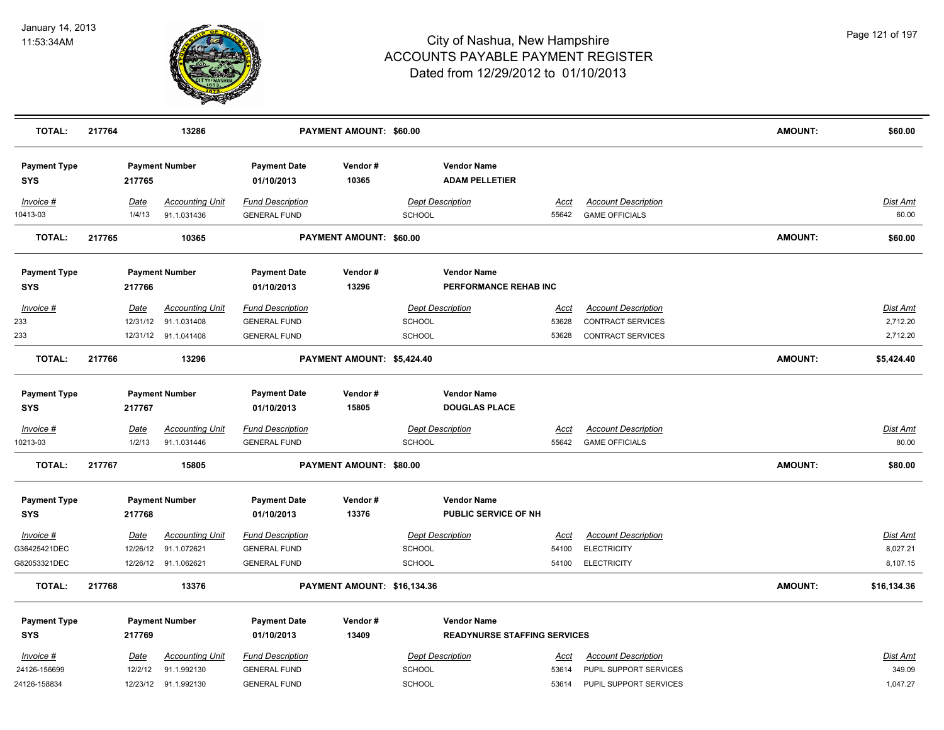

| <b>TOTAL:</b>                     | 217764 |          | 13286                  |                                   | PAYMENT AMOUNT: \$60.00     |               |                                             |             |                            | <b>AMOUNT:</b> | \$60.00         |
|-----------------------------------|--------|----------|------------------------|-----------------------------------|-----------------------------|---------------|---------------------------------------------|-------------|----------------------------|----------------|-----------------|
| <b>Payment Type</b><br><b>SYS</b> |        | 217765   | <b>Payment Number</b>  | <b>Payment Date</b><br>01/10/2013 | Vendor#<br>10365            |               | <b>Vendor Name</b><br><b>ADAM PELLETIER</b> |             |                            |                |                 |
| Invoice #                         |        | Date     | <b>Accounting Unit</b> | <b>Fund Description</b>           |                             |               | <b>Dept Description</b>                     | Acct        | <b>Account Description</b> |                | Dist Amt        |
| 10413-03                          |        | 1/4/13   | 91.1.031436            | <b>GENERAL FUND</b>               |                             | <b>SCHOOL</b> |                                             | 55642       | <b>GAME OFFICIALS</b>      |                | 60.00           |
| TOTAL:                            | 217765 |          | 10365                  |                                   | PAYMENT AMOUNT: \$60.00     |               |                                             |             |                            | <b>AMOUNT:</b> | \$60.00         |
| <b>Payment Type</b><br><b>SYS</b> |        | 217766   | <b>Payment Number</b>  | <b>Payment Date</b><br>01/10/2013 | Vendor#<br>13296            |               | <b>Vendor Name</b><br>PERFORMANCE REHAB INC |             |                            |                |                 |
| Invoice #                         |        | Date     | <b>Accounting Unit</b> | <b>Fund Description</b>           |                             |               | <b>Dept Description</b>                     | Acct        | <b>Account Description</b> |                | Dist Amt        |
| 233                               |        | 12/31/12 | 91.1.031408            | <b>GENERAL FUND</b>               |                             | <b>SCHOOL</b> |                                             | 53628       | <b>CONTRACT SERVICES</b>   |                | 2,712.20        |
| 233                               |        |          | 12/31/12 91.1.041408   | <b>GENERAL FUND</b>               |                             | <b>SCHOOL</b> |                                             | 53628       | <b>CONTRACT SERVICES</b>   |                | 2,712.20        |
| <b>TOTAL:</b>                     | 217766 |          | 13296                  |                                   | PAYMENT AMOUNT: \$5,424.40  |               |                                             |             |                            | <b>AMOUNT:</b> | \$5,424.40      |
| <b>Payment Type</b>               |        |          | <b>Payment Number</b>  | <b>Payment Date</b>               | Vendor#                     |               | <b>Vendor Name</b>                          |             |                            |                |                 |
| <b>SYS</b>                        |        | 217767   |                        | 01/10/2013                        | 15805                       |               | <b>DOUGLAS PLACE</b>                        |             |                            |                |                 |
| $Invoice$ #                       |        | Date     | <b>Accounting Unit</b> | <b>Fund Description</b>           |                             |               | <b>Dept Description</b>                     | <u>Acct</u> | <b>Account Description</b> |                | <b>Dist Amt</b> |
| 10213-03                          |        | 1/2/13   | 91.1.031446            | <b>GENERAL FUND</b>               |                             | <b>SCHOOL</b> |                                             | 55642       | <b>GAME OFFICIALS</b>      |                | 80.00           |
| TOTAL:                            | 217767 |          | 15805                  |                                   | PAYMENT AMOUNT: \$80.00     |               |                                             |             |                            | <b>AMOUNT:</b> | \$80.00         |
| <b>Payment Type</b>               |        |          | <b>Payment Number</b>  | <b>Payment Date</b>               | Vendor#                     |               | <b>Vendor Name</b>                          |             |                            |                |                 |
| <b>SYS</b>                        |        | 217768   |                        | 01/10/2013                        | 13376                       |               | PUBLIC SERVICE OF NH                        |             |                            |                |                 |
| Invoice #                         |        | Date     | <b>Accounting Unit</b> | <b>Fund Description</b>           |                             |               | <b>Dept Description</b>                     | Acct        | <b>Account Description</b> |                | <u>Dist Amt</u> |
| G36425421DEC                      |        | 12/26/12 | 91.1.072621            | <b>GENERAL FUND</b>               |                             | <b>SCHOOL</b> |                                             | 54100       | <b>ELECTRICITY</b>         |                | 8,027.21        |
| G82053321DEC                      |        |          | 12/26/12 91.1.062621   | <b>GENERAL FUND</b>               |                             | SCHOOL        |                                             | 54100       | <b>ELECTRICITY</b>         |                | 8,107.15        |
| <b>TOTAL:</b>                     | 217768 |          | 13376                  |                                   | PAYMENT AMOUNT: \$16,134.36 |               |                                             |             |                            | <b>AMOUNT:</b> | \$16,134.36     |
| <b>Payment Type</b>               |        |          | <b>Payment Number</b>  | <b>Payment Date</b>               | Vendor#                     |               | <b>Vendor Name</b>                          |             |                            |                |                 |
| <b>SYS</b>                        |        | 217769   |                        | 01/10/2013                        | 13409                       |               | <b>READYNURSE STAFFING SERVICES</b>         |             |                            |                |                 |
| Invoice #                         |        | Date     | <b>Accounting Unit</b> | <b>Fund Description</b>           |                             |               | <b>Dept Description</b>                     | Acct        | <b>Account Description</b> |                | Dist Amt        |
| 24126-156699                      |        | 12/2/12  | 91.1.992130            | <b>GENERAL FUND</b>               |                             | <b>SCHOOL</b> |                                             | 53614       | PUPIL SUPPORT SERVICES     |                | 349.09          |
| 24126-158834                      |        |          | 12/23/12 91.1.992130   | <b>GENERAL FUND</b>               |                             | <b>SCHOOL</b> |                                             | 53614       | PUPIL SUPPORT SERVICES     |                | 1,047.27        |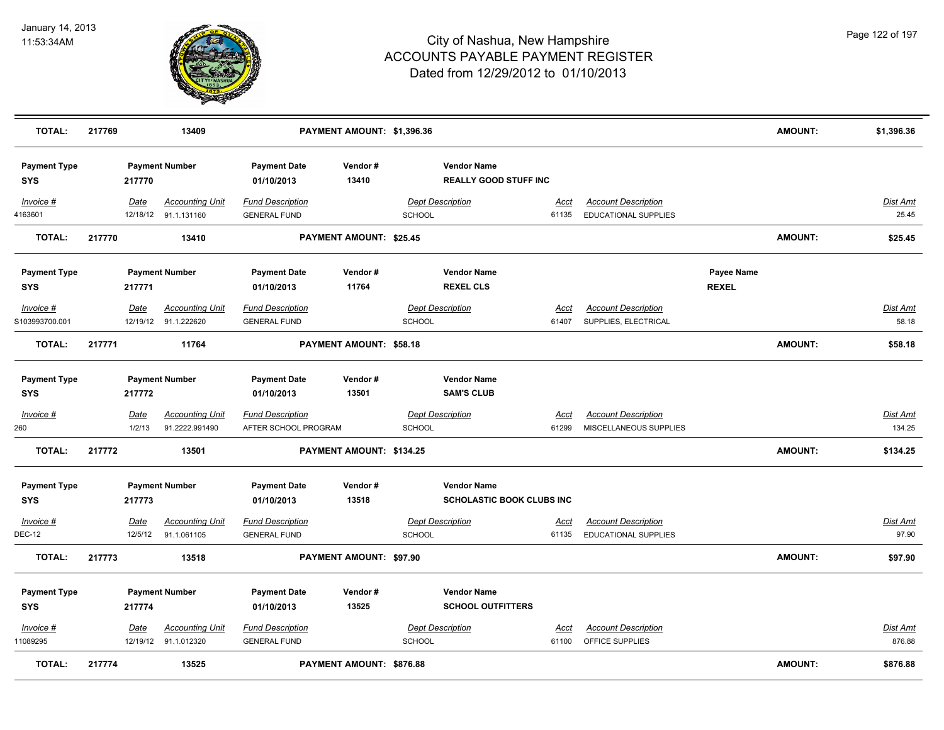

| <b>TOTAL:</b>                     | 217769 |                       | 13409                                          |                                                 | PAYMENT AMOUNT: \$1,396.36      |               |                                                        |                      |                                                           |                            | AMOUNT:        | \$1,396.36                |
|-----------------------------------|--------|-----------------------|------------------------------------------------|-------------------------------------------------|---------------------------------|---------------|--------------------------------------------------------|----------------------|-----------------------------------------------------------|----------------------------|----------------|---------------------------|
| <b>Payment Type</b><br><b>SYS</b> |        | 217770                | <b>Payment Number</b>                          | <b>Payment Date</b><br>01/10/2013               | Vendor#<br>13410                |               | <b>Vendor Name</b><br><b>REALLY GOOD STUFF INC</b>     |                      |                                                           |                            |                |                           |
| Invoice #<br>4163601              |        | Date                  | <b>Accounting Unit</b><br>12/18/12 91.1.131160 | <b>Fund Description</b><br><b>GENERAL FUND</b>  |                                 | SCHOOL        | <b>Dept Description</b>                                | Acct<br>61135        | <b>Account Description</b><br><b>EDUCATIONAL SUPPLIES</b> |                            |                | <b>Dist Amt</b><br>25.45  |
| <b>TOTAL:</b>                     | 217770 |                       | 13410                                          |                                                 | PAYMENT AMOUNT: \$25.45         |               |                                                        |                      |                                                           |                            | AMOUNT:        | \$25.45                   |
| <b>Payment Type</b><br><b>SYS</b> |        | 217771                | <b>Payment Number</b>                          | <b>Payment Date</b><br>01/10/2013               | Vendor#<br>11764                |               | <b>Vendor Name</b><br><b>REXEL CLS</b>                 |                      |                                                           | Payee Name<br><b>REXEL</b> |                |                           |
| Invoice #<br>S103993700.001       |        | Date                  | <b>Accounting Unit</b><br>12/19/12 91.1.222620 | <b>Fund Description</b><br><b>GENERAL FUND</b>  |                                 | SCHOOL        | <b>Dept Description</b>                                | <u>Acct</u><br>61407 | <b>Account Description</b><br>SUPPLIES, ELECTRICAL        |                            |                | <u>Dist Amt</u><br>58.18  |
| <b>TOTAL:</b>                     | 217771 |                       | 11764                                          |                                                 | PAYMENT AMOUNT: \$58.18         |               |                                                        |                      |                                                           |                            | AMOUNT:        | \$58.18                   |
| <b>Payment Type</b><br><b>SYS</b> |        | 217772                | <b>Payment Number</b>                          | <b>Payment Date</b><br>01/10/2013               | Vendor#<br>13501                |               | <b>Vendor Name</b><br><b>SAM'S CLUB</b>                |                      |                                                           |                            |                |                           |
| Invoice #<br>260                  |        | <u>Date</u><br>1/2/13 | <b>Accounting Unit</b><br>91.2222.991490       | <b>Fund Description</b><br>AFTER SCHOOL PROGRAM |                                 | <b>SCHOOL</b> | <b>Dept Description</b>                                | <u>Acct</u><br>61299 | <b>Account Description</b><br>MISCELLANEOUS SUPPLIES      |                            |                | <u>Dist Amt</u><br>134.25 |
| <b>TOTAL:</b>                     | 217772 |                       | 13501                                          |                                                 | PAYMENT AMOUNT: \$134.25        |               |                                                        |                      |                                                           |                            | <b>AMOUNT:</b> | \$134.25                  |
| <b>Payment Type</b><br><b>SYS</b> |        | 217773                | <b>Payment Number</b>                          | <b>Payment Date</b><br>01/10/2013               | Vendor#<br>13518                |               | <b>Vendor Name</b><br><b>SCHOLASTIC BOOK CLUBS INC</b> |                      |                                                           |                            |                |                           |
| Invoice #<br><b>DEC-12</b>        |        | Date<br>12/5/12       | <b>Accounting Unit</b><br>91.1.061105          | <b>Fund Description</b><br><b>GENERAL FUND</b>  |                                 | <b>SCHOOL</b> | <b>Dept Description</b>                                | Acct<br>61135        | <b>Account Description</b><br><b>EDUCATIONAL SUPPLIES</b> |                            |                | <b>Dist Amt</b><br>97.90  |
| <b>TOTAL:</b>                     | 217773 |                       | 13518                                          |                                                 | PAYMENT AMOUNT: \$97.90         |               |                                                        |                      |                                                           |                            | <b>AMOUNT:</b> | \$97.90                   |
| <b>Payment Type</b><br><b>SYS</b> |        | 217774                | <b>Payment Number</b>                          | <b>Payment Date</b><br>01/10/2013               | Vendor#<br>13525                |               | <b>Vendor Name</b><br><b>SCHOOL OUTFITTERS</b>         |                      |                                                           |                            |                |                           |
| Invoice #<br>11089295             |        | <u>Date</u>           | <b>Accounting Unit</b><br>12/19/12 91.1.012320 | <b>Fund Description</b><br><b>GENERAL FUND</b>  |                                 | SCHOOL        | <b>Dept Description</b>                                | <u>Acct</u><br>61100 | <b>Account Description</b><br>OFFICE SUPPLIES             |                            |                | <b>Dist Amt</b><br>876.88 |
| <b>TOTAL:</b>                     | 217774 |                       | 13525                                          |                                                 | <b>PAYMENT AMOUNT: \$876.88</b> |               |                                                        |                      |                                                           |                            | <b>AMOUNT:</b> | \$876.88                  |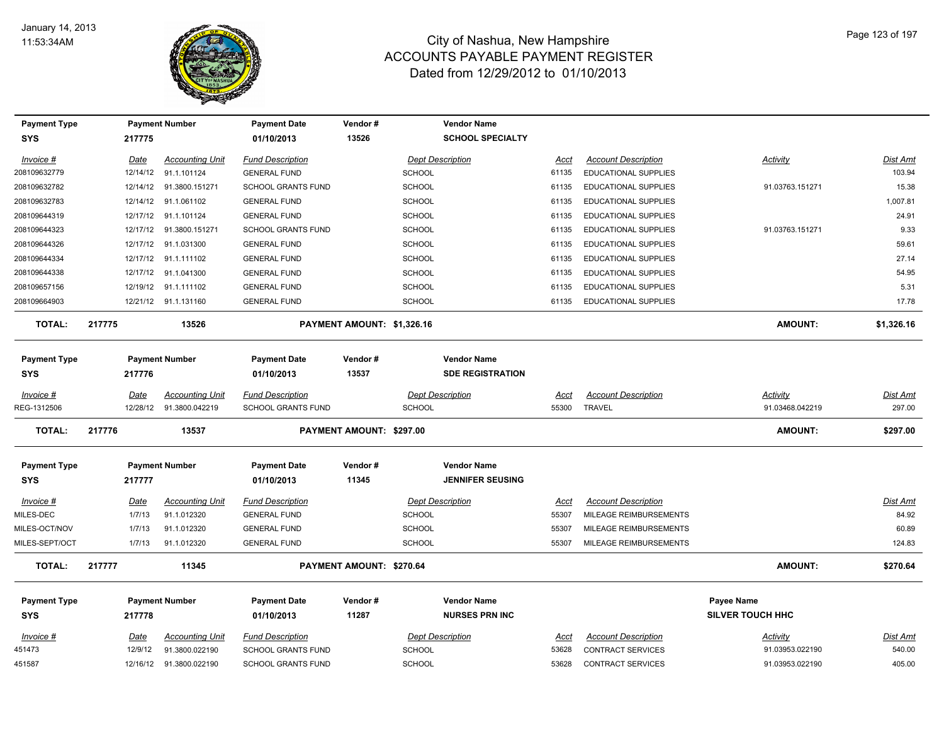

| <b>Payment Type</b>               |             | <b>Payment Number</b>  | <b>Payment Date</b>               | Vendor #                   | Vendor Name                                   |             |                             |                         |                 |
|-----------------------------------|-------------|------------------------|-----------------------------------|----------------------------|-----------------------------------------------|-------------|-----------------------------|-------------------------|-----------------|
| <b>SYS</b>                        | 217775      |                        | 01/10/2013                        | 13526                      | <b>SCHOOL SPECIALTY</b>                       |             |                             |                         |                 |
| Invoice #                         | Date        | <b>Accounting Unit</b> | <b>Fund Description</b>           |                            | <b>Dept Description</b>                       | Acct        | <b>Account Description</b>  | Activity                | <u>Dist Amt</u> |
| 208109632779                      | 12/14/12    | 91.1.101124            | <b>GENERAL FUND</b>               | <b>SCHOOL</b>              |                                               | 61135       | <b>EDUCATIONAL SUPPLIES</b> |                         | 103.94          |
| 208109632782                      | 12/14/12    | 91.3800.151271         | <b>SCHOOL GRANTS FUND</b>         | <b>SCHOOL</b>              |                                               | 61135       | <b>EDUCATIONAL SUPPLIES</b> | 91.03763.151271         | 15.38           |
| 208109632783                      | 12/14/12    | 91.1.061102            | <b>GENERAL FUND</b>               | <b>SCHOOL</b>              |                                               | 61135       | EDUCATIONAL SUPPLIES        |                         | 1,007.81        |
| 208109644319                      | 12/17/12    | 91.1.101124            | <b>GENERAL FUND</b>               | <b>SCHOOL</b>              |                                               | 61135       | EDUCATIONAL SUPPLIES        |                         | 24.91           |
| 208109644323                      | 12/17/12    | 91.3800.151271         | <b>SCHOOL GRANTS FUND</b>         | <b>SCHOOL</b>              |                                               | 61135       | <b>EDUCATIONAL SUPPLIES</b> | 91.03763.151271         | 9.33            |
| 208109644326                      | 12/17/12    | 91.1.031300            | <b>GENERAL FUND</b>               | <b>SCHOOL</b>              |                                               | 61135       | <b>EDUCATIONAL SUPPLIES</b> |                         | 59.61           |
| 208109644334                      | 12/17/12    | 91.1.111102            | <b>GENERAL FUND</b>               | <b>SCHOOL</b>              |                                               | 61135       | <b>EDUCATIONAL SUPPLIES</b> |                         | 27.14           |
| 208109644338                      | 12/17/12    | 91.1.041300            | <b>GENERAL FUND</b>               | <b>SCHOOL</b>              |                                               | 61135       | <b>EDUCATIONAL SUPPLIES</b> |                         | 54.95           |
| 208109657156                      | 12/19/12    | 91.1.111102            | <b>GENERAL FUND</b>               | <b>SCHOOL</b>              |                                               | 61135       | <b>EDUCATIONAL SUPPLIES</b> |                         | 5.31            |
| 208109664903                      |             | 12/21/12 91.1.131160   | <b>GENERAL FUND</b>               | <b>SCHOOL</b>              |                                               | 61135       | <b>EDUCATIONAL SUPPLIES</b> |                         | 17.78           |
| <b>TOTAL:</b>                     | 217775      | 13526                  |                                   | PAYMENT AMOUNT: \$1,326.16 |                                               |             |                             | AMOUNT:                 | \$1,326.16      |
| <b>Payment Type</b><br><b>SYS</b> | 217776      | <b>Payment Number</b>  | <b>Payment Date</b><br>01/10/2013 | Vendor#<br>13537           | <b>Vendor Name</b><br><b>SDE REGISTRATION</b> |             |                             |                         |                 |
| Invoice #                         | Date        | Accounting Unit        | <b>Fund Description</b>           |                            | <b>Dept Description</b>                       | Acct        | <b>Account Description</b>  | <b>Activity</b>         | <u>Dist Amt</u> |
| REG-1312506                       | 12/28/12    | 91.3800.042219         | <b>SCHOOL GRANTS FUND</b>         | <b>SCHOOL</b>              |                                               | 55300       | <b>TRAVEL</b>               | 91.03468.042219         | 297.00          |
| <b>TOTAL:</b>                     | 217776      | 13537                  |                                   | PAYMENT AMOUNT: \$297.00   |                                               |             |                             | <b>AMOUNT:</b>          | \$297.00        |
| <b>Payment Type</b><br><b>SYS</b> | 217777      | <b>Payment Number</b>  | <b>Payment Date</b><br>01/10/2013 | Vendor#<br>11345           | <b>Vendor Name</b><br><b>JENNIFER SEUSING</b> |             |                             |                         |                 |
| $Invoice$ #                       | Date        | <b>Accounting Unit</b> | <b>Fund Description</b>           |                            | <b>Dept Description</b>                       | Acct        | <b>Account Description</b>  |                         | <u>Dist Amt</u> |
| MILES-DEC                         | 1/7/13      | 91.1.012320            | <b>GENERAL FUND</b>               | <b>SCHOOL</b>              |                                               | 55307       | MILEAGE REIMBURSEMENTS      |                         | 84.92           |
| MILES-OCT/NOV                     | 1/7/13      | 91.1.012320            | <b>GENERAL FUND</b>               | <b>SCHOOL</b>              |                                               | 55307       | MILEAGE REIMBURSEMENTS      |                         | 60.89           |
| MILES-SEPT/OCT                    | 1/7/13      | 91.1.012320            | <b>GENERAL FUND</b>               | <b>SCHOOL</b>              |                                               | 55307       | MILEAGE REIMBURSEMENTS      |                         | 124.83          |
| <b>TOTAL:</b>                     | 217777      | 11345                  |                                   | PAYMENT AMOUNT: \$270.64   |                                               |             |                             | <b>AMOUNT:</b>          | \$270.64        |
| <b>Payment Type</b>               |             | <b>Payment Number</b>  | <b>Payment Date</b>               | Vendor#                    | <b>Vendor Name</b>                            |             |                             | Payee Name              |                 |
| <b>SYS</b>                        | 217778      |                        | 01/10/2013                        | 11287                      | <b>NURSES PRN INC</b>                         |             |                             | <b>SILVER TOUCH HHC</b> |                 |
| $Invoice$ #                       | <u>Date</u> | <b>Accounting Unit</b> | <b>Fund Description</b>           |                            | <b>Dept Description</b>                       | <u>Acct</u> | <b>Account Description</b>  | <u>Activity</u>         | <u>Dist Amt</u> |
| 451473                            | 12/9/12     | 91.3800.022190         | <b>SCHOOL GRANTS FUND</b>         | <b>SCHOOL</b>              |                                               | 53628       | CONTRACT SERVICES           | 91.03953.022190         | 540.00          |
| 451587                            | 12/16/12    | 91.3800.022190         | <b>SCHOOL GRANTS FUND</b>         | <b>SCHOOL</b>              |                                               | 53628       | <b>CONTRACT SERVICES</b>    | 91.03953.022190         | 405.00          |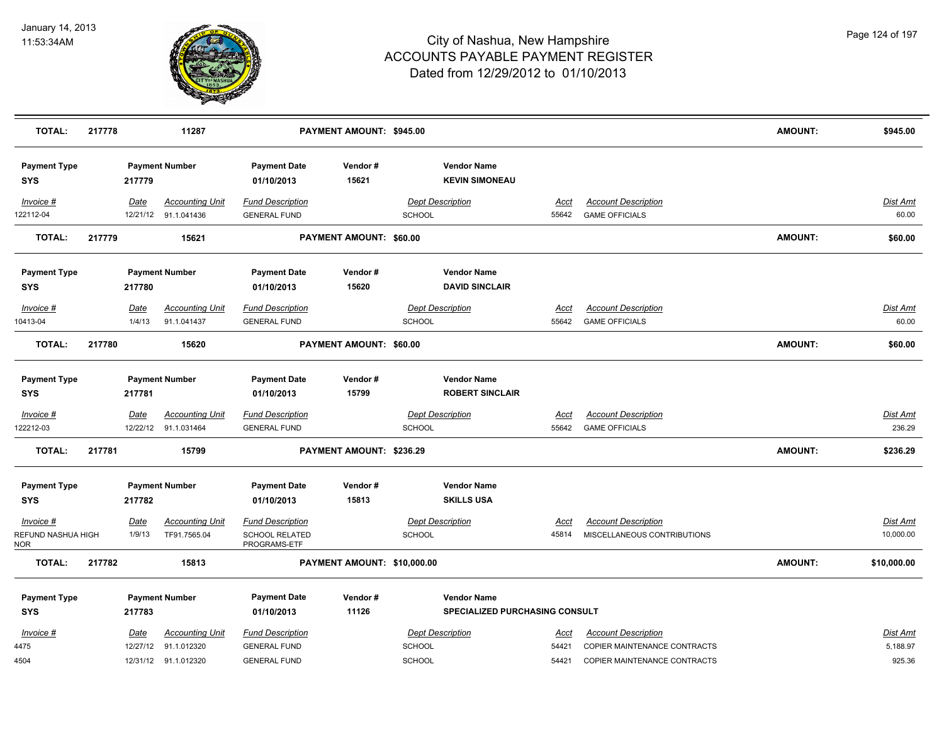

| <b>TOTAL:</b>                     | 217778 |             | 11287                  |                                   | PAYMENT AMOUNT: \$945.00    |               |                                             |             |                              | <b>AMOUNT:</b> | \$945.00        |
|-----------------------------------|--------|-------------|------------------------|-----------------------------------|-----------------------------|---------------|---------------------------------------------|-------------|------------------------------|----------------|-----------------|
| <b>Payment Type</b><br><b>SYS</b> |        | 217779      | <b>Payment Number</b>  | <b>Payment Date</b><br>01/10/2013 | Vendor#<br>15621            |               | <b>Vendor Name</b><br><b>KEVIN SIMONEAU</b> |             |                              |                |                 |
| Invoice #                         |        | Date        | <b>Accounting Unit</b> | <b>Fund Description</b>           |                             |               | Dept Description                            | <u>Acct</u> | <b>Account Description</b>   |                | <b>Dist Amt</b> |
| 122112-04                         |        |             | 12/21/12 91.1.041436   | <b>GENERAL FUND</b>               |                             | <b>SCHOOL</b> |                                             | 55642       | <b>GAME OFFICIALS</b>        |                | 60.00           |
| <b>TOTAL:</b>                     | 217779 |             | 15621                  |                                   | PAYMENT AMOUNT: \$60.00     |               |                                             |             |                              | <b>AMOUNT:</b> | \$60.00         |
| <b>Payment Type</b>               |        |             | <b>Payment Number</b>  | <b>Payment Date</b>               | Vendor#                     |               | <b>Vendor Name</b>                          |             |                              |                |                 |
| <b>SYS</b>                        |        | 217780      |                        | 01/10/2013                        | 15620                       |               | <b>DAVID SINCLAIR</b>                       |             |                              |                |                 |
| Invoice #                         |        | Date        | <b>Accounting Unit</b> | <b>Fund Description</b>           |                             |               | <b>Dept Description</b>                     | Acct        | <b>Account Description</b>   |                | Dist Amt        |
| 10413-04                          |        | 1/4/13      | 91.1.041437            | <b>GENERAL FUND</b>               |                             | <b>SCHOOL</b> |                                             | 55642       | <b>GAME OFFICIALS</b>        |                | 60.00           |
| <b>TOTAL:</b>                     | 217780 |             | 15620                  |                                   | PAYMENT AMOUNT: \$60.00     |               |                                             |             |                              | <b>AMOUNT:</b> | \$60.00         |
| <b>Payment Type</b>               |        |             | <b>Payment Number</b>  | <b>Payment Date</b>               | Vendor#                     |               | <b>Vendor Name</b>                          |             |                              |                |                 |
| <b>SYS</b>                        |        | 217781      |                        | 01/10/2013                        | 15799                       |               | <b>ROBERT SINCLAIR</b>                      |             |                              |                |                 |
| $Invoice$ #                       |        | Date        | <b>Accounting Unit</b> | <b>Fund Description</b>           |                             |               | <b>Dept Description</b>                     | <u>Acct</u> | <b>Account Description</b>   |                | <u>Dist Amt</u> |
| 122212-03                         |        |             | 12/22/12 91.1.031464   | <b>GENERAL FUND</b>               |                             | <b>SCHOOL</b> |                                             | 55642       | <b>GAME OFFICIALS</b>        |                | 236.29          |
| <b>TOTAL:</b>                     | 217781 |             | 15799                  |                                   | PAYMENT AMOUNT: \$236.29    |               |                                             |             |                              | <b>AMOUNT:</b> | \$236.29        |
| <b>Payment Type</b>               |        |             | <b>Payment Number</b>  | <b>Payment Date</b>               | Vendor#                     |               | <b>Vendor Name</b>                          |             |                              |                |                 |
| SYS                               |        | 217782      |                        | 01/10/2013                        | 15813                       |               | <b>SKILLS USA</b>                           |             |                              |                |                 |
| $Invoice$ #                       |        | <u>Date</u> | <b>Accounting Unit</b> | <b>Fund Description</b>           |                             |               | <b>Dept Description</b>                     | Acct        | <b>Account Description</b>   |                | <b>Dist Amt</b> |
| REFUND NASHUA HIGH<br>NOR         |        | 1/9/13      | TF91.7565.04           | SCHOOL RELATED<br>PROGRAMS-ETF    |                             | SCHOOL        |                                             | 45814       | MISCELLANEOUS CONTRIBUTIONS  |                | 10,000.00       |
| <b>TOTAL:</b>                     | 217782 |             | 15813                  |                                   | PAYMENT AMOUNT: \$10,000.00 |               |                                             |             |                              | <b>AMOUNT:</b> | \$10,000.00     |
| <b>Payment Type</b>               |        |             | <b>Payment Number</b>  | <b>Payment Date</b>               | Vendor#                     |               | <b>Vendor Name</b>                          |             |                              |                |                 |
| <b>SYS</b>                        |        | 217783      |                        | 01/10/2013                        | 11126                       |               | SPECIALIZED PURCHASING CONSULT              |             |                              |                |                 |
| Invoice #                         |        | Date        | <b>Accounting Unit</b> | <b>Fund Description</b>           |                             |               | <b>Dept Description</b>                     | Acct        | <b>Account Description</b>   |                | Dist Amt        |
| 4475                              |        | 12/27/12    | 91.1.012320            | <b>GENERAL FUND</b>               |                             | <b>SCHOOL</b> |                                             | 54421       | COPIER MAINTENANCE CONTRACTS |                | 5,188.97        |
| 4504                              |        |             | 12/31/12 91.1.012320   | <b>GENERAL FUND</b>               |                             | SCHOOL        |                                             | 54421       | COPIER MAINTENANCE CONTRACTS |                | 925.36          |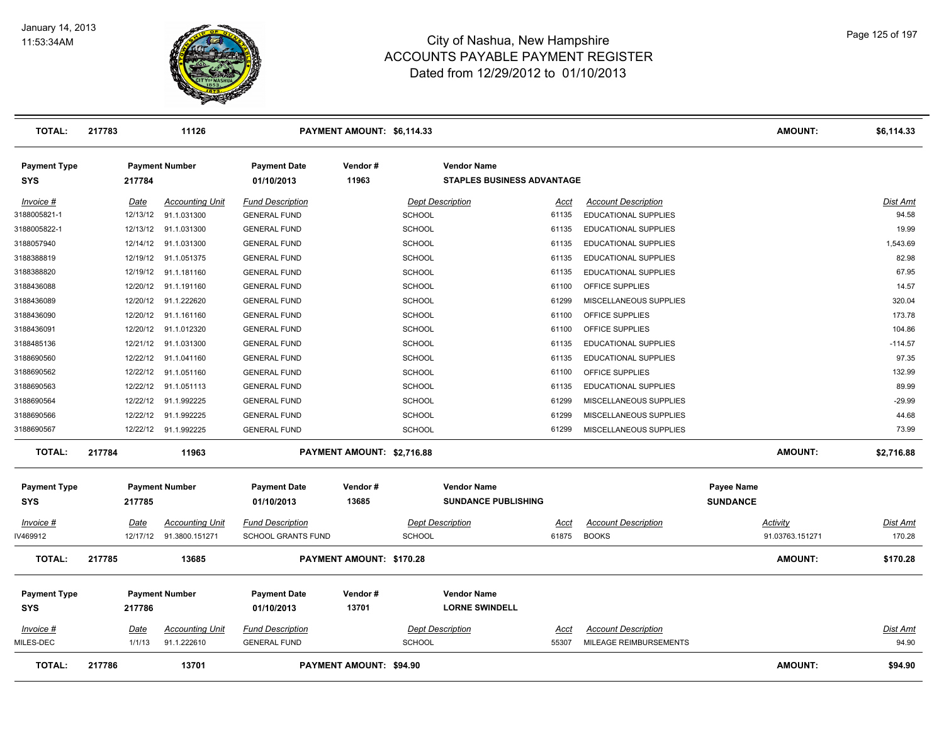

| TOTAL:                            | 217783   | 11126                  |                                   | PAYMENT AMOUNT: \$6,114.33     |                                                  |                                   |                             |                                      | <b>AMOUNT:</b>  | \$6,114.33      |
|-----------------------------------|----------|------------------------|-----------------------------------|--------------------------------|--------------------------------------------------|-----------------------------------|-----------------------------|--------------------------------------|-----------------|-----------------|
| <b>Payment Type</b><br><b>SYS</b> | 217784   | <b>Payment Number</b>  | <b>Payment Date</b><br>01/10/2013 | Vendor #<br>11963              | <b>Vendor Name</b>                               | <b>STAPLES BUSINESS ADVANTAGE</b> |                             |                                      |                 |                 |
| Invoice #                         | Date     | <b>Accounting Unit</b> | <b>Fund Description</b>           |                                | <b>Dept Description</b>                          | Acct                              | <b>Account Description</b>  |                                      |                 | Dist Amt        |
| 3188005821-1                      | 12/13/12 | 91.1.031300            | <b>GENERAL FUND</b>               |                                | <b>SCHOOL</b>                                    | 61135                             | EDUCATIONAL SUPPLIES        |                                      |                 | 94.58           |
| 3188005822-1                      | 12/13/12 | 91.1.031300            | <b>GENERAL FUND</b>               |                                | <b>SCHOOL</b>                                    | 61135                             | EDUCATIONAL SUPPLIES        |                                      |                 | 19.99           |
| 3188057940                        | 12/14/12 | 91.1.031300            | <b>GENERAL FUND</b>               |                                | <b>SCHOOL</b>                                    | 61135                             | EDUCATIONAL SUPPLIES        |                                      |                 | 1,543.69        |
| 3188388819                        | 12/19/12 | 91.1.051375            | <b>GENERAL FUND</b>               |                                | <b>SCHOOL</b>                                    | 61135                             | EDUCATIONAL SUPPLIES        |                                      |                 | 82.98           |
| 3188388820                        | 12/19/12 | 91.1.181160            | <b>GENERAL FUND</b>               |                                | <b>SCHOOL</b>                                    | 61135                             | EDUCATIONAL SUPPLIES        |                                      |                 | 67.95           |
| 3188436088                        | 12/20/12 | 91.1.191160            | <b>GENERAL FUND</b>               |                                | <b>SCHOOL</b>                                    | 61100                             | OFFICE SUPPLIES             |                                      |                 | 14.57           |
| 3188436089                        | 12/20/12 | 91.1.222620            | <b>GENERAL FUND</b>               |                                | <b>SCHOOL</b>                                    | 61299                             | MISCELLANEOUS SUPPLIES      |                                      |                 | 320.04          |
| 3188436090                        | 12/20/12 | 91.1.161160            | <b>GENERAL FUND</b>               |                                | <b>SCHOOL</b>                                    | 61100                             | OFFICE SUPPLIES             |                                      |                 | 173.78          |
| 3188436091                        | 12/20/12 | 91.1.012320            | <b>GENERAL FUND</b>               |                                | <b>SCHOOL</b>                                    | 61100                             | OFFICE SUPPLIES             |                                      |                 | 104.86          |
| 3188485136                        | 12/21/12 | 91.1.031300            | <b>GENERAL FUND</b>               |                                | <b>SCHOOL</b>                                    | 61135                             | EDUCATIONAL SUPPLIES        |                                      |                 | $-114.57$       |
| 3188690560                        | 12/22/12 | 91.1.041160            | <b>GENERAL FUND</b>               |                                | <b>SCHOOL</b>                                    | 61135                             | <b>EDUCATIONAL SUPPLIES</b> |                                      |                 | 97.35           |
| 3188690562                        | 12/22/12 | 91.1.051160            | <b>GENERAL FUND</b>               |                                | <b>SCHOOL</b>                                    | 61100                             | OFFICE SUPPLIES             |                                      |                 | 132.99          |
| 3188690563                        | 12/22/12 | 91.1.051113            | <b>GENERAL FUND</b>               |                                | <b>SCHOOL</b>                                    | 61135                             | EDUCATIONAL SUPPLIES        |                                      |                 | 89.99           |
| 3188690564                        | 12/22/12 | 91.1.992225            | <b>GENERAL FUND</b>               |                                | <b>SCHOOL</b>                                    | 61299                             | MISCELLANEOUS SUPPLIES      |                                      |                 | $-29.99$        |
| 3188690566                        | 12/22/12 | 91.1.992225            | <b>GENERAL FUND</b>               |                                | <b>SCHOOL</b>                                    | 61299                             | MISCELLANEOUS SUPPLIES      |                                      |                 | 44.68           |
| 3188690567                        | 12/22/12 | 91.1.992225            | <b>GENERAL FUND</b>               |                                | <b>SCHOOL</b>                                    | 61299                             | MISCELLANEOUS SUPPLIES      |                                      |                 | 73.99           |
| <b>TOTAL:</b>                     | 217784   | 11963                  |                                   | PAYMENT AMOUNT: \$2,716.88     |                                                  |                                   |                             |                                      | <b>AMOUNT:</b>  | \$2,716.88      |
| <b>Payment Type</b><br><b>SYS</b> | 217785   | <b>Payment Number</b>  | <b>Payment Date</b><br>01/10/2013 | Vendor #<br>13685              | <b>Vendor Name</b><br><b>SUNDANCE PUBLISHING</b> |                                   |                             | <b>Payee Name</b><br><b>SUNDANCE</b> |                 |                 |
| Invoice #                         | Date     | <b>Accounting Unit</b> | <b>Fund Description</b>           |                                | <b>Dept Description</b>                          | Acct                              | <b>Account Description</b>  |                                      | Activity        | Dist Amt        |
| IV469912                          | 12/17/12 | 91.3800.151271         | <b>SCHOOL GRANTS FUND</b>         |                                | SCHOOL                                           | 61875                             | <b>BOOKS</b>                |                                      | 91.03763.151271 | 170.28          |
| <b>TOTAL:</b>                     | 217785   | 13685                  |                                   | PAYMENT AMOUNT: \$170.28       |                                                  |                                   |                             |                                      | <b>AMOUNT:</b>  | \$170.28        |
| <b>Payment Type</b>               |          | <b>Payment Number</b>  | <b>Payment Date</b>               | Vendor #                       | <b>Vendor Name</b>                               |                                   |                             |                                      |                 |                 |
| <b>SYS</b>                        | 217786   |                        | 01/10/2013                        | 13701                          | <b>LORNE SWINDELL</b>                            |                                   |                             |                                      |                 |                 |
| Invoice #                         | Date     | <b>Accounting Unit</b> | <b>Fund Description</b>           |                                | <b>Dept Description</b>                          | <u>Acct</u>                       | <b>Account Description</b>  |                                      |                 | <b>Dist Amt</b> |
| MILES-DEC                         | 1/1/13   | 91.1.222610            | <b>GENERAL FUND</b>               |                                | <b>SCHOOL</b>                                    | 55307                             | MILEAGE REIMBURSEMENTS      |                                      |                 | 94.90           |
| <b>TOTAL:</b>                     | 217786   | 13701                  |                                   | <b>PAYMENT AMOUNT: \$94.90</b> |                                                  |                                   |                             |                                      | <b>AMOUNT:</b>  | \$94.90         |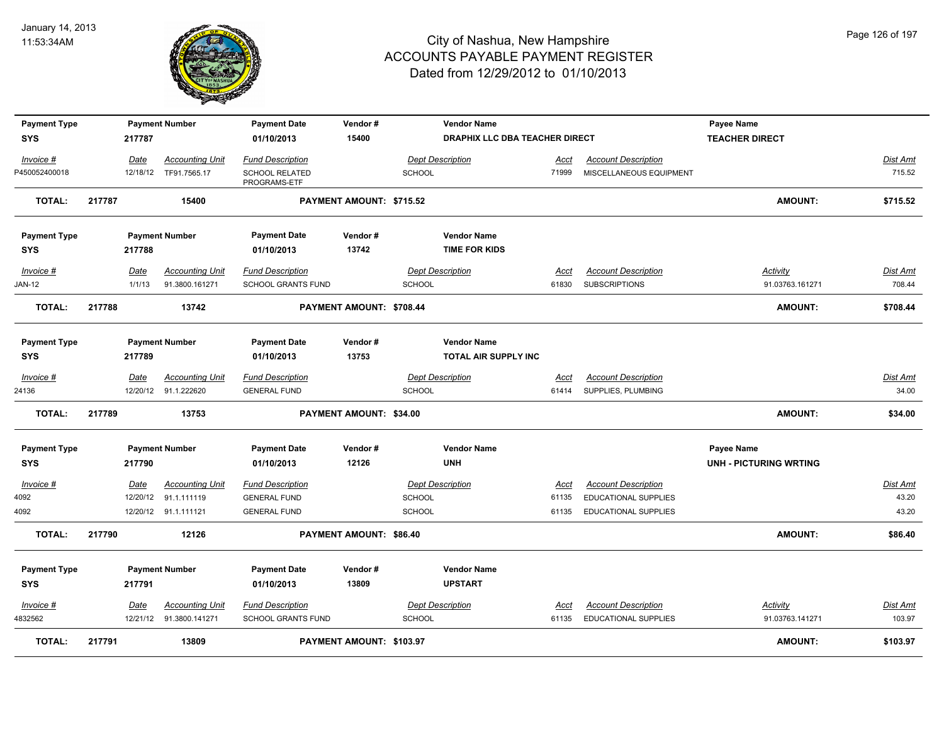

| <b>Payment Type</b> |        |             | <b>Payment Number</b>  | <b>Payment Date</b>                   | Vendor#                  |               | <b>Vendor Name</b>             |             |                             | <b>Payee Name</b>             |                 |
|---------------------|--------|-------------|------------------------|---------------------------------------|--------------------------|---------------|--------------------------------|-------------|-----------------------------|-------------------------------|-----------------|
| <b>SYS</b>          |        | 217787      |                        | 01/10/2013                            | 15400                    |               | DRAPHIX LLC DBA TEACHER DIRECT |             |                             | <b>TEACHER DIRECT</b>         |                 |
| Invoice #           |        | Date        | <b>Accounting Unit</b> | <b>Fund Description</b>               |                          |               | <b>Dept Description</b>        | Acct        | <b>Account Description</b>  |                               | Dist Amt        |
| P450052400018       |        | 12/18/12    | TF91.7565.17           | <b>SCHOOL RELATED</b><br>PROGRAMS-ETF |                          | <b>SCHOOL</b> |                                | 71999       | MISCELLANEOUS EQUIPMENT     |                               | 715.52          |
| <b>TOTAL:</b>       | 217787 |             | 15400                  |                                       | PAYMENT AMOUNT: \$715.52 |               |                                |             |                             | <b>AMOUNT:</b>                | \$715.52        |
| <b>Payment Type</b> |        |             | <b>Payment Number</b>  | <b>Payment Date</b>                   | Vendor#                  |               | <b>Vendor Name</b>             |             |                             |                               |                 |
| <b>SYS</b>          |        | 217788      |                        | 01/10/2013                            | 13742                    |               | <b>TIME FOR KIDS</b>           |             |                             |                               |                 |
| Invoice #           |        | <u>Date</u> | <b>Accounting Unit</b> | <b>Fund Description</b>               |                          |               | <b>Dept Description</b>        | <u>Acct</u> | <b>Account Description</b>  | <b>Activity</b>               | Dist Amt        |
| JAN-12              |        | 1/1/13      | 91.3800.161271         | SCHOOL GRANTS FUND                    |                          | <b>SCHOOL</b> |                                | 61830       | <b>SUBSCRIPTIONS</b>        | 91.03763.161271               | 708.44          |
| <b>TOTAL:</b>       | 217788 |             | 13742                  |                                       | PAYMENT AMOUNT: \$708.44 |               |                                |             |                             | <b>AMOUNT:</b>                | \$708.44        |
| <b>Payment Type</b> |        |             | <b>Payment Number</b>  | <b>Payment Date</b>                   | Vendor#                  |               | <b>Vendor Name</b>             |             |                             |                               |                 |
| <b>SYS</b>          |        | 217789      |                        | 01/10/2013                            | 13753                    |               | TOTAL AIR SUPPLY INC           |             |                             |                               |                 |
| $Invoice$ #         |        | Date        | <b>Accounting Unit</b> | <b>Fund Description</b>               |                          |               | <b>Dept Description</b>        | <u>Acct</u> | <b>Account Description</b>  |                               | <b>Dist Amt</b> |
| 24136               |        |             | 12/20/12 91.1.222620   | <b>GENERAL FUND</b>                   |                          | SCHOOL        |                                | 61414       | SUPPLIES, PLUMBING          |                               | 34.00           |
| <b>TOTAL:</b>       | 217789 |             | 13753                  |                                       | PAYMENT AMOUNT: \$34.00  |               |                                |             |                             | <b>AMOUNT:</b>                | \$34.00         |
| <b>Payment Type</b> |        |             | <b>Payment Number</b>  | <b>Payment Date</b>                   | Vendor#                  |               | <b>Vendor Name</b>             |             |                             | <b>Payee Name</b>             |                 |
| <b>SYS</b>          |        | 217790      |                        | 01/10/2013                            | 12126                    |               | <b>UNH</b>                     |             |                             | <b>UNH - PICTURING WRTING</b> |                 |
| Invoice #           |        | Date        | <b>Accounting Unit</b> | <b>Fund Description</b>               |                          |               | <b>Dept Description</b>        | Acct        | <b>Account Description</b>  |                               | Dist Amt        |
| 4092                |        | 12/20/12    | 91.1.111119            | <b>GENERAL FUND</b>                   |                          | SCHOOL        |                                | 61135       | EDUCATIONAL SUPPLIES        |                               | 43.20           |
| 4092                |        |             | 12/20/12 91.1.111121   | <b>GENERAL FUND</b>                   |                          | SCHOOL        |                                | 61135       | EDUCATIONAL SUPPLIES        |                               | 43.20           |
| <b>TOTAL:</b>       | 217790 |             | 12126                  |                                       | PAYMENT AMOUNT: \$86,40  |               |                                |             |                             | <b>AMOUNT:</b>                | \$86.40         |
| <b>Payment Type</b> |        |             | <b>Payment Number</b>  | <b>Payment Date</b>                   | Vendor#                  |               | <b>Vendor Name</b>             |             |                             |                               |                 |
| <b>SYS</b>          |        | 217791      |                        | 01/10/2013                            | 13809                    |               | <b>UPSTART</b>                 |             |                             |                               |                 |
| Invoice #           |        | <b>Date</b> | <b>Accounting Unit</b> | <b>Fund Description</b>               |                          |               | <b>Dept Description</b>        | <u>Acct</u> | <b>Account Description</b>  | <u>Activity</u>               | <u>Dist Amt</u> |
| 4832562             |        | 12/21/12    | 91.3800.141271         | <b>SCHOOL GRANTS FUND</b>             |                          | <b>SCHOOL</b> |                                | 61135       | <b>EDUCATIONAL SUPPLIES</b> | 91.03763.141271               | 103.97          |
| <b>TOTAL:</b>       | 217791 |             | 13809                  |                                       | PAYMENT AMOUNT: \$103.97 |               |                                |             |                             | <b>AMOUNT:</b>                | \$103.97        |

Page 126 of 197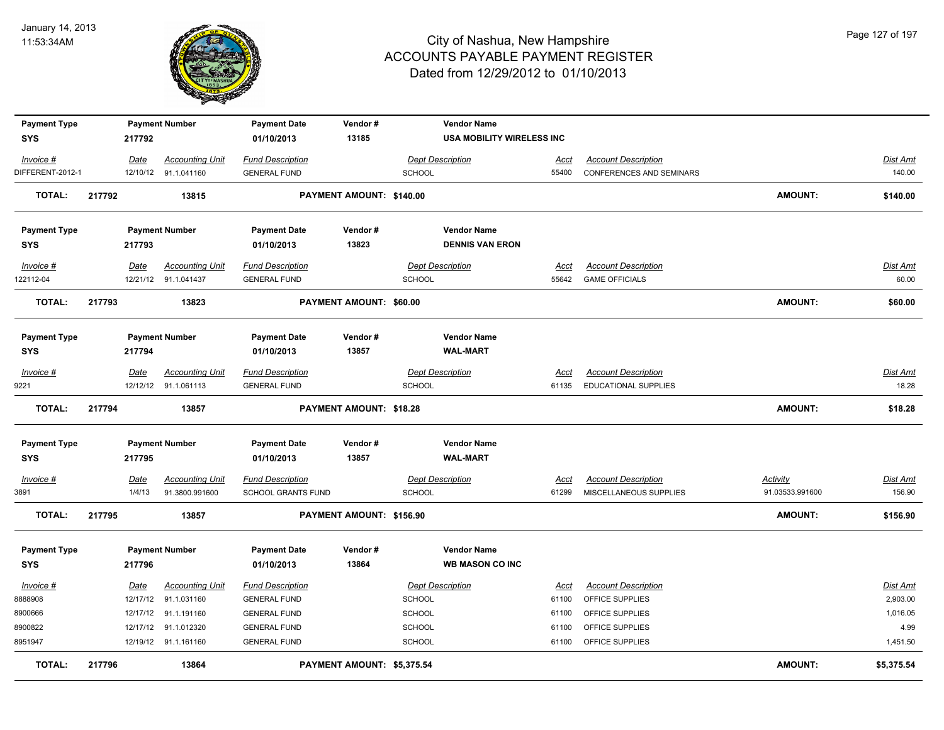

| <b>Payment Type</b><br><b>SYS</b> | 217792 | <b>Payment Number</b>  | <b>Payment Date</b><br>01/10/2013 | Vendor#<br>13185           |                         | <b>Vendor Name</b><br><b>USA MOBILITY WIRELESS INC</b> |             |                                 |                 |                 |
|-----------------------------------|--------|------------------------|-----------------------------------|----------------------------|-------------------------|--------------------------------------------------------|-------------|---------------------------------|-----------------|-----------------|
| Invoice #                         | Date   | <b>Accounting Unit</b> | <b>Fund Description</b>           |                            | <b>Dept Description</b> |                                                        | Acct        | <b>Account Description</b>      |                 | <b>Dist Amt</b> |
| DIFFERENT-2012-1                  |        | 12/10/12 91.1.041160   | <b>GENERAL FUND</b>               |                            | <b>SCHOOL</b>           |                                                        | 55400       | <b>CONFERENCES AND SEMINARS</b> |                 | 140.00          |
| <b>TOTAL:</b>                     | 217792 | 13815                  |                                   | PAYMENT AMOUNT: \$140.00   |                         |                                                        |             |                                 | <b>AMOUNT:</b>  | \$140.00        |
| <b>Payment Type</b>               |        | <b>Payment Number</b>  | <b>Payment Date</b>               | Vendor#                    |                         | <b>Vendor Name</b>                                     |             |                                 |                 |                 |
| <b>SYS</b>                        | 217793 |                        | 01/10/2013                        | 13823                      |                         | <b>DENNIS VAN ERON</b>                                 |             |                                 |                 |                 |
| Invoice #                         | Date   | <b>Accounting Unit</b> | <b>Fund Description</b>           |                            | <b>Dept Description</b> |                                                        | Acct        | <b>Account Description</b>      |                 | <b>Dist Amt</b> |
| 122112-04                         |        | 12/21/12 91.1.041437   | <b>GENERAL FUND</b>               |                            | <b>SCHOOL</b>           |                                                        | 55642       | <b>GAME OFFICIALS</b>           |                 | 60.00           |
| <b>TOTAL:</b>                     | 217793 | 13823                  |                                   | PAYMENT AMOUNT: \$60.00    |                         |                                                        |             |                                 | <b>AMOUNT:</b>  | \$60.00         |
| <b>Payment Type</b>               |        | <b>Payment Number</b>  | <b>Payment Date</b>               | Vendor#                    |                         | <b>Vendor Name</b>                                     |             |                                 |                 |                 |
| <b>SYS</b>                        | 217794 |                        | 01/10/2013                        | 13857                      |                         | <b>WAL-MART</b>                                        |             |                                 |                 |                 |
| Invoice #                         | Date   | <b>Accounting Unit</b> | <b>Fund Description</b>           |                            | <b>Dept Description</b> |                                                        | Acct        | <b>Account Description</b>      |                 | <b>Dist Amt</b> |
| 9221                              |        | 12/12/12 91.1.061113   | <b>GENERAL FUND</b>               |                            | <b>SCHOOL</b>           |                                                        | 61135       | EDUCATIONAL SUPPLIES            |                 | 18.28           |
| <b>TOTAL:</b>                     | 217794 | 13857                  |                                   | PAYMENT AMOUNT: \$18.28    |                         |                                                        |             |                                 | <b>AMOUNT:</b>  | \$18.28         |
| <b>Payment Type</b>               |        | <b>Payment Number</b>  | <b>Payment Date</b>               | Vendor#                    |                         | <b>Vendor Name</b>                                     |             |                                 |                 |                 |
| <b>SYS</b>                        | 217795 |                        | 01/10/2013                        | 13857                      |                         | <b>WAL-MART</b>                                        |             |                                 |                 |                 |
| Invoice #                         | Date   | <b>Accounting Unit</b> | <b>Fund Description</b>           |                            | <b>Dept Description</b> |                                                        | <u>Acct</u> | <b>Account Description</b>      | <b>Activity</b> | Dist Amt        |
| 3891                              | 1/4/13 | 91.3800.991600         | SCHOOL GRANTS FUND                |                            | <b>SCHOOL</b>           |                                                        | 61299       | MISCELLANEOUS SUPPLIES          | 91.03533.991600 | 156.90          |
| <b>TOTAL:</b>                     | 217795 | 13857                  |                                   | PAYMENT AMOUNT: \$156.90   |                         |                                                        |             |                                 | <b>AMOUNT:</b>  | \$156.90        |
| <b>Payment Type</b><br><b>SYS</b> | 217796 | <b>Payment Number</b>  | <b>Payment Date</b><br>01/10/2013 | Vendor#<br>13864           |                         | <b>Vendor Name</b><br><b>WB MASON CO INC</b>           |             |                                 |                 |                 |
| Invoice #                         | Date   | <b>Accounting Unit</b> | <b>Fund Description</b>           |                            | <b>Dept Description</b> |                                                        | Acct        | <b>Account Description</b>      |                 | <b>Dist Amt</b> |
| 8888908                           |        | 12/17/12 91.1.031160   | <b>GENERAL FUND</b>               |                            | <b>SCHOOL</b>           |                                                        | 61100       | OFFICE SUPPLIES                 |                 | 2,903.00        |
| 8900666                           |        | 12/17/12 91.1.191160   | <b>GENERAL FUND</b>               |                            | <b>SCHOOL</b>           |                                                        | 61100       | OFFICE SUPPLIES                 |                 | 1,016.05        |
| 8900822                           |        | 12/17/12 91.1.012320   | <b>GENERAL FUND</b>               |                            | <b>SCHOOL</b>           |                                                        | 61100       | OFFICE SUPPLIES                 |                 | 4.99            |
| 8951947                           |        | 12/19/12 91.1.161160   | <b>GENERAL FUND</b>               |                            | <b>SCHOOL</b>           |                                                        | 61100       | OFFICE SUPPLIES                 |                 | 1,451.50        |
| <b>TOTAL:</b>                     | 217796 | 13864                  |                                   | PAYMENT AMOUNT: \$5,375.54 |                         |                                                        |             |                                 | <b>AMOUNT:</b>  | \$5,375.54      |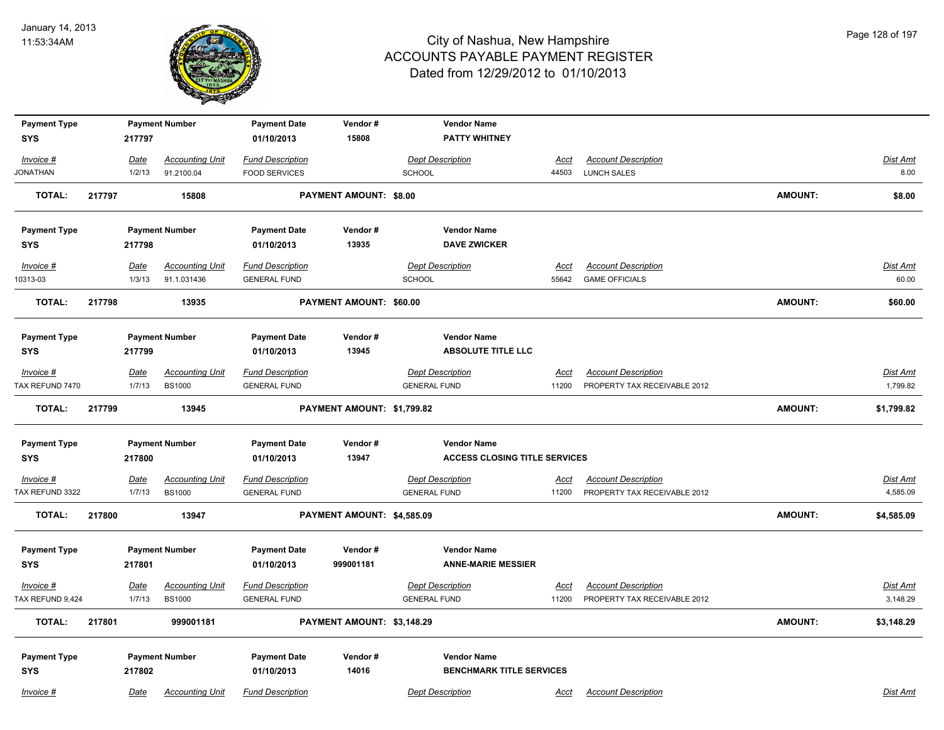

| <b>Payment Type</b> |        |             | <b>Payment Number</b>  | <b>Payment Date</b>     | Vendor#                    |                     | <b>Vendor Name</b>                              |             |                              |                |                 |
|---------------------|--------|-------------|------------------------|-------------------------|----------------------------|---------------------|-------------------------------------------------|-------------|------------------------------|----------------|-----------------|
| <b>SYS</b>          |        | 217797      |                        | 01/10/2013              | 15808                      |                     | <b>PATTY WHITNEY</b>                            |             |                              |                |                 |
| Invoice #           |        | Date        | <b>Accounting Unit</b> | <b>Fund Description</b> |                            |                     | <b>Dept Description</b>                         | <u>Acct</u> | <b>Account Description</b>   |                | <b>Dist Amt</b> |
| <b>JONATHAN</b>     |        | 1/2/13      | 91.2100.04             | <b>FOOD SERVICES</b>    |                            | SCHOOL              |                                                 | 44503       | <b>LUNCH SALES</b>           |                | 8.00            |
| <b>TOTAL:</b>       | 217797 |             | 15808                  |                         | PAYMENT AMOUNT: \$8.00     |                     |                                                 |             |                              | <b>AMOUNT:</b> | \$8.00          |
|                     |        |             |                        |                         |                            |                     |                                                 |             |                              |                |                 |
| <b>Payment Type</b> |        |             | <b>Payment Number</b>  | <b>Payment Date</b>     | Vendor#                    |                     | <b>Vendor Name</b>                              |             |                              |                |                 |
| <b>SYS</b>          |        | 217798      |                        | 01/10/2013              | 13935                      |                     | <b>DAVE ZWICKER</b>                             |             |                              |                |                 |
| Invoice #           |        | Date        | <b>Accounting Unit</b> | <b>Fund Description</b> |                            |                     | <b>Dept Description</b>                         | Acct        | <b>Account Description</b>   |                | <b>Dist Amt</b> |
| 10313-03            |        | 1/3/13      | 91.1.031436            | <b>GENERAL FUND</b>     |                            | <b>SCHOOL</b>       |                                                 | 55642       | <b>GAME OFFICIALS</b>        |                | 60.00           |
| <b>TOTAL:</b>       | 217798 |             | 13935                  |                         | PAYMENT AMOUNT: \$60.00    |                     |                                                 |             |                              | <b>AMOUNT:</b> | \$60.00         |
|                     |        |             |                        |                         |                            |                     |                                                 |             |                              |                |                 |
| <b>Payment Type</b> |        |             | <b>Payment Number</b>  | <b>Payment Date</b>     | Vendor#<br>13945           |                     | <b>Vendor Name</b><br><b>ABSOLUTE TITLE LLC</b> |             |                              |                |                 |
| <b>SYS</b>          |        | 217799      |                        | 01/10/2013              |                            |                     |                                                 |             |                              |                |                 |
| Invoice #           |        | Date        | <b>Accounting Unit</b> | <b>Fund Description</b> |                            |                     | <b>Dept Description</b>                         | Acct        | <b>Account Description</b>   |                | Dist Amt        |
| TAX REFUND 7470     |        | 1/7/13      | <b>BS1000</b>          | <b>GENERAL FUND</b>     |                            | <b>GENERAL FUND</b> |                                                 | 11200       | PROPERTY TAX RECEIVABLE 2012 |                | 1,799.82        |
| <b>TOTAL:</b>       | 217799 |             | 13945                  |                         | PAYMENT AMOUNT: \$1,799.82 |                     |                                                 |             |                              | <b>AMOUNT:</b> | \$1,799.82      |
| <b>Payment Type</b> |        |             | <b>Payment Number</b>  | <b>Payment Date</b>     | Vendor#                    |                     | <b>Vendor Name</b>                              |             |                              |                |                 |
| <b>SYS</b>          |        | 217800      |                        | 01/10/2013              | 13947                      |                     | <b>ACCESS CLOSING TITLE SERVICES</b>            |             |                              |                |                 |
| $Invoice$ #         |        | <u>Date</u> | <b>Accounting Unit</b> | <b>Fund Description</b> |                            |                     | <b>Dept Description</b>                         | <u>Acct</u> | <b>Account Description</b>   |                | <b>Dist Amt</b> |
| TAX REFUND 3322     |        | 1/7/13      | <b>BS1000</b>          | <b>GENERAL FUND</b>     |                            | <b>GENERAL FUND</b> |                                                 | 11200       | PROPERTY TAX RECEIVABLE 2012 |                | 4,585.09        |
| <b>TOTAL:</b>       | 217800 |             | 13947                  |                         | PAYMENT AMOUNT: \$4,585.09 |                     |                                                 |             |                              | <b>AMOUNT:</b> | \$4,585.09      |
|                     |        |             |                        |                         |                            |                     |                                                 |             |                              |                |                 |
| <b>Payment Type</b> |        |             | <b>Payment Number</b>  | <b>Payment Date</b>     | Vendor#                    |                     | <b>Vendor Name</b>                              |             |                              |                |                 |
| <b>SYS</b>          |        | 217801      |                        | 01/10/2013              | 999001181                  |                     | <b>ANNE-MARIE MESSIER</b>                       |             |                              |                |                 |
| Invoice #           |        | Date        | <b>Accounting Unit</b> | <b>Fund Description</b> |                            |                     | <b>Dept Description</b>                         | Acct        | <b>Account Description</b>   |                | Dist Amt        |
| TAX REFUND 9,424    |        | 1/7/13      | <b>BS1000</b>          | <b>GENERAL FUND</b>     |                            | <b>GENERAL FUND</b> |                                                 | 11200       | PROPERTY TAX RECEIVABLE 2012 |                | 3,148.29        |
| <b>TOTAL:</b>       | 217801 |             | 999001181              |                         | PAYMENT AMOUNT: \$3,148.29 |                     |                                                 |             |                              | <b>AMOUNT:</b> | \$3,148.29      |
|                     |        |             |                        |                         |                            |                     |                                                 |             |                              |                |                 |
| <b>Payment Type</b> |        |             | <b>Payment Number</b>  | <b>Payment Date</b>     | Vendor#                    |                     | <b>Vendor Name</b>                              |             |                              |                |                 |
| <b>SYS</b>          |        | 217802      |                        | 01/10/2013              | 14016                      |                     | <b>BENCHMARK TITLE SERVICES</b>                 |             |                              |                |                 |
| Invoice #           |        | Date        | <b>Accounting Unit</b> | <b>Fund Description</b> |                            |                     | <b>Dept Description</b>                         | Acct        | <b>Account Description</b>   |                | Dist Amt        |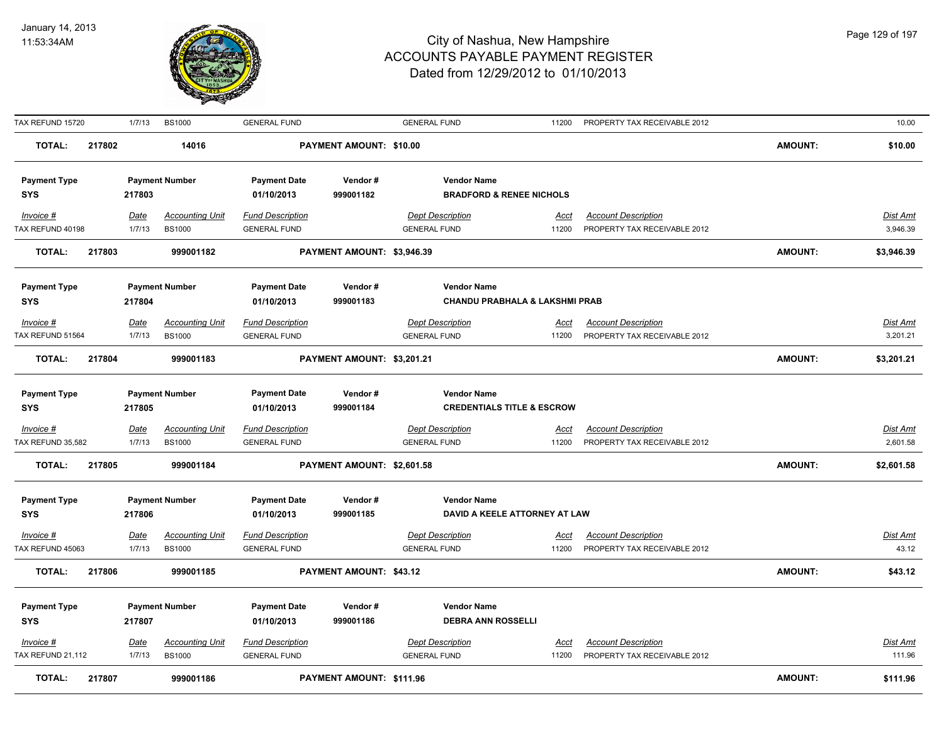

| TAX REFUND 15720    |        | 1/7/13      | <b>BS1000</b>          | <b>GENERAL FUND</b>     |                            | <b>GENERAL FUND</b>       | 11200                                 | PROPERTY TAX RECEIVABLE 2012 |                | 10.00           |
|---------------------|--------|-------------|------------------------|-------------------------|----------------------------|---------------------------|---------------------------------------|------------------------------|----------------|-----------------|
| <b>TOTAL:</b>       | 217802 |             | 14016                  |                         | PAYMENT AMOUNT: \$10.00    |                           |                                       |                              | <b>AMOUNT:</b> | \$10.00         |
| <b>Payment Type</b> |        |             | <b>Payment Number</b>  | <b>Payment Date</b>     | Vendor#                    | <b>Vendor Name</b>        |                                       |                              |                |                 |
| <b>SYS</b>          |        | 217803      |                        | 01/10/2013              | 999001182                  |                           | <b>BRADFORD &amp; RENEE NICHOLS</b>   |                              |                |                 |
| Invoice #           |        | Date        | <b>Accounting Unit</b> | <b>Fund Description</b> |                            | <b>Dept Description</b>   | <u>Acct</u>                           | <b>Account Description</b>   |                | Dist Amt        |
| TAX REFUND 40198    |        | 1/7/13      | <b>BS1000</b>          | <b>GENERAL FUND</b>     |                            | <b>GENERAL FUND</b>       | 11200                                 | PROPERTY TAX RECEIVABLE 2012 |                | 3,946.39        |
| <b>TOTAL:</b>       | 217803 |             | 999001182              |                         | PAYMENT AMOUNT: \$3,946.39 |                           |                                       |                              | <b>AMOUNT:</b> | \$3,946.39      |
| <b>Payment Type</b> |        |             | <b>Payment Number</b>  | <b>Payment Date</b>     | Vendor#                    | <b>Vendor Name</b>        |                                       |                              |                |                 |
| <b>SYS</b>          |        | 217804      |                        | 01/10/2013              | 999001183                  |                           | CHANDU PRABHALA & LAKSHMI PRAB        |                              |                |                 |
| Invoice #           |        | Date        | <b>Accounting Unit</b> | <b>Fund Description</b> |                            | <b>Dept Description</b>   | Acct                                  | <b>Account Description</b>   |                | Dist Amt        |
| TAX REFUND 51564    |        | 1/7/13      | <b>BS1000</b>          | <b>GENERAL FUND</b>     |                            | <b>GENERAL FUND</b>       | 11200                                 | PROPERTY TAX RECEIVABLE 2012 |                | 3,201.21        |
| <b>TOTAL:</b>       | 217804 |             | 999001183              |                         | PAYMENT AMOUNT: \$3,201.21 |                           |                                       |                              | <b>AMOUNT:</b> | \$3,201.21      |
| <b>Payment Type</b> |        |             | <b>Payment Number</b>  | <b>Payment Date</b>     | Vendor#                    | <b>Vendor Name</b>        |                                       |                              |                |                 |
| <b>SYS</b>          |        | 217805      |                        | 01/10/2013              | 999001184                  |                           | <b>CREDENTIALS TITLE &amp; ESCROW</b> |                              |                |                 |
| $Invoice$ #         |        | Date        | <b>Accounting Unit</b> | <b>Fund Description</b> |                            | <b>Dept Description</b>   | <u>Acct</u>                           | <b>Account Description</b>   |                | <b>Dist Amt</b> |
| TAX REFUND 35,582   |        | 1/7/13      | <b>BS1000</b>          | <b>GENERAL FUND</b>     |                            | <b>GENERAL FUND</b>       | 11200                                 | PROPERTY TAX RECEIVABLE 2012 |                | 2,601.58        |
| <b>TOTAL:</b>       | 217805 |             | 999001184              |                         | PAYMENT AMOUNT: \$2,601.58 |                           |                                       |                              | <b>AMOUNT:</b> | \$2,601.58      |
| <b>Payment Type</b> |        |             | <b>Payment Number</b>  | <b>Payment Date</b>     | Vendor#                    | <b>Vendor Name</b>        |                                       |                              |                |                 |
| <b>SYS</b>          |        | 217806      |                        | 01/10/2013              | 999001185                  |                           | DAVID A KEELE ATTORNEY AT LAW         |                              |                |                 |
| Invoice #           |        | <u>Date</u> | <b>Accounting Unit</b> | <b>Fund Description</b> |                            | <b>Dept Description</b>   | <u>Acct</u>                           | <b>Account Description</b>   |                | Dist Amt        |
| TAX REFUND 45063    |        | 1/7/13      | <b>BS1000</b>          | <b>GENERAL FUND</b>     |                            | <b>GENERAL FUND</b>       | 11200                                 | PROPERTY TAX RECEIVABLE 2012 |                | 43.12           |
| <b>TOTAL:</b>       | 217806 |             | 999001185              |                         | PAYMENT AMOUNT: \$43.12    |                           |                                       |                              | <b>AMOUNT:</b> | \$43.12         |
| <b>Payment Type</b> |        |             | <b>Payment Number</b>  | <b>Payment Date</b>     | Vendor#                    | <b>Vendor Name</b>        |                                       |                              |                |                 |
| <b>SYS</b>          |        | 217807      |                        | 01/10/2013              | 999001186                  | <b>DEBRA ANN ROSSELLI</b> |                                       |                              |                |                 |
| Invoice #           |        | Date        | <b>Accounting Unit</b> | <b>Fund Description</b> |                            | <b>Dept Description</b>   | <u>Acct</u>                           | <b>Account Description</b>   |                | Dist Amt        |
| TAX REFUND 21,112   |        | 1/7/13      | <b>BS1000</b>          | <b>GENERAL FUND</b>     |                            | <b>GENERAL FUND</b>       | 11200                                 | PROPERTY TAX RECEIVABLE 2012 |                | 111.96          |
| <b>TOTAL:</b>       | 217807 |             | 999001186              |                         | PAYMENT AMOUNT: \$111.96   |                           |                                       |                              | <b>AMOUNT:</b> | \$111.96        |
|                     |        |             |                        |                         |                            |                           |                                       |                              |                |                 |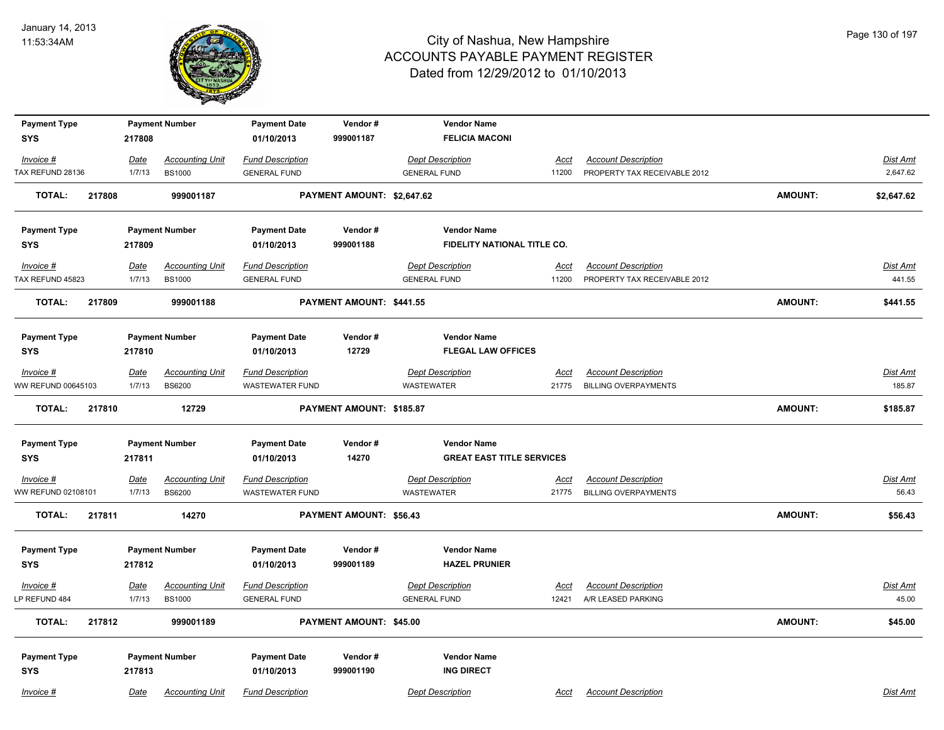

| <b>Payment Type</b> |        |        | <b>Payment Number</b>  | <b>Payment Date</b>     | Vendor#                    | <b>Vendor Name</b>               |             |                              |                |            |
|---------------------|--------|--------|------------------------|-------------------------|----------------------------|----------------------------------|-------------|------------------------------|----------------|------------|
| <b>SYS</b>          |        | 217808 |                        | 01/10/2013              | 999001187                  | <b>FELICIA MACONI</b>            |             |                              |                |            |
| Invoice #           |        | Date   | <b>Accounting Unit</b> | <b>Fund Description</b> |                            | <b>Dept Description</b>          | Acct        | <b>Account Description</b>   |                | Dist Amt   |
| TAX REFUND 28136    |        | 1/7/13 | <b>BS1000</b>          | <b>GENERAL FUND</b>     |                            | <b>GENERAL FUND</b>              | 11200       | PROPERTY TAX RECEIVABLE 2012 |                | 2,647.62   |
| <b>TOTAL:</b>       | 217808 |        | 999001187              |                         | PAYMENT AMOUNT: \$2,647.62 |                                  |             |                              | <b>AMOUNT:</b> | \$2,647.62 |
| <b>Payment Type</b> |        |        | <b>Payment Number</b>  | <b>Payment Date</b>     | Vendor#                    | <b>Vendor Name</b>               |             |                              |                |            |
| <b>SYS</b>          |        | 217809 |                        | 01/10/2013              | 999001188                  | FIDELITY NATIONAL TITLE CO.      |             |                              |                |            |
| Invoice #           |        | Date   | <b>Accounting Unit</b> | <b>Fund Description</b> |                            | <b>Dept Description</b>          | Acct        | <b>Account Description</b>   |                | Dist Amt   |
| TAX REFUND 45823    |        | 1/7/13 | <b>BS1000</b>          | <b>GENERAL FUND</b>     |                            | <b>GENERAL FUND</b>              | 11200       | PROPERTY TAX RECEIVABLE 2012 |                | 441.55     |
| <b>TOTAL:</b>       | 217809 |        | 999001188              |                         | PAYMENT AMOUNT: \$441.55   |                                  |             |                              | <b>AMOUNT:</b> | \$441.55   |
| <b>Payment Type</b> |        |        | <b>Payment Number</b>  | <b>Payment Date</b>     | Vendor#                    | <b>Vendor Name</b>               |             |                              |                |            |
| <b>SYS</b>          |        | 217810 |                        | 01/10/2013              | 12729                      | <b>FLEGAL LAW OFFICES</b>        |             |                              |                |            |
| Invoice #           |        | Date   | <b>Accounting Unit</b> | <b>Fund Description</b> |                            | <b>Dept Description</b>          | Acct        | <b>Account Description</b>   |                | Dist Amt   |
| WW REFUND 00645103  |        | 1/7/13 | <b>BS6200</b>          | <b>WASTEWATER FUND</b>  |                            | <b>WASTEWATER</b>                | 21775       | <b>BILLING OVERPAYMENTS</b>  |                | 185.87     |
| <b>TOTAL:</b>       | 217810 |        | 12729                  |                         | PAYMENT AMOUNT: \$185.87   |                                  |             |                              | <b>AMOUNT:</b> | \$185.87   |
| <b>Payment Type</b> |        |        | <b>Payment Number</b>  | <b>Payment Date</b>     | Vendor#                    | <b>Vendor Name</b>               |             |                              |                |            |
| <b>SYS</b>          |        | 217811 |                        | 01/10/2013              | 14270                      | <b>GREAT EAST TITLE SERVICES</b> |             |                              |                |            |
| $Invoice$ #         |        | Date   | <b>Accounting Unit</b> | <b>Fund Description</b> |                            | <b>Dept Description</b>          | <u>Acct</u> | <b>Account Description</b>   |                | Dist Amt   |
| WW REFUND 02108101  |        | 1/7/13 | <b>BS6200</b>          | <b>WASTEWATER FUND</b>  |                            | <b>WASTEWATER</b>                | 21775       | <b>BILLING OVERPAYMENTS</b>  |                | 56.43      |
| <b>TOTAL:</b>       | 217811 |        | 14270                  |                         | PAYMENT AMOUNT: \$56.43    |                                  |             |                              | <b>AMOUNT:</b> | \$56.43    |
| <b>Payment Type</b> |        |        | <b>Payment Number</b>  | <b>Payment Date</b>     | Vendor#                    | <b>Vendor Name</b>               |             |                              |                |            |
| <b>SYS</b>          |        | 217812 |                        | 01/10/2013              | 999001189                  | <b>HAZEL PRUNIER</b>             |             |                              |                |            |
| Invoice #           |        | Date   | <b>Accounting Unit</b> | <b>Fund Description</b> |                            | <b>Dept Description</b>          | Acct        | <b>Account Description</b>   |                | Dist Amt   |
| LP REFUND 484       |        | 1/7/13 | <b>BS1000</b>          | <b>GENERAL FUND</b>     |                            | <b>GENERAL FUND</b>              | 12421       | A/R LEASED PARKING           |                | 45.00      |
| <b>TOTAL:</b>       | 217812 |        | 999001189              |                         | PAYMENT AMOUNT: \$45.00    |                                  |             |                              | <b>AMOUNT:</b> | \$45.00    |
| <b>Payment Type</b> |        |        | <b>Payment Number</b>  | <b>Payment Date</b>     | Vendor#                    | <b>Vendor Name</b>               |             |                              |                |            |
| <b>SYS</b>          |        | 217813 |                        | 01/10/2013              | 999001190                  | <b>ING DIRECT</b>                |             |                              |                |            |
| Invoice #           |        | Date   | <b>Accounting Unit</b> | <b>Fund Description</b> |                            | <b>Dept Description</b>          | Acct        | <b>Account Description</b>   |                | Dist Amt   |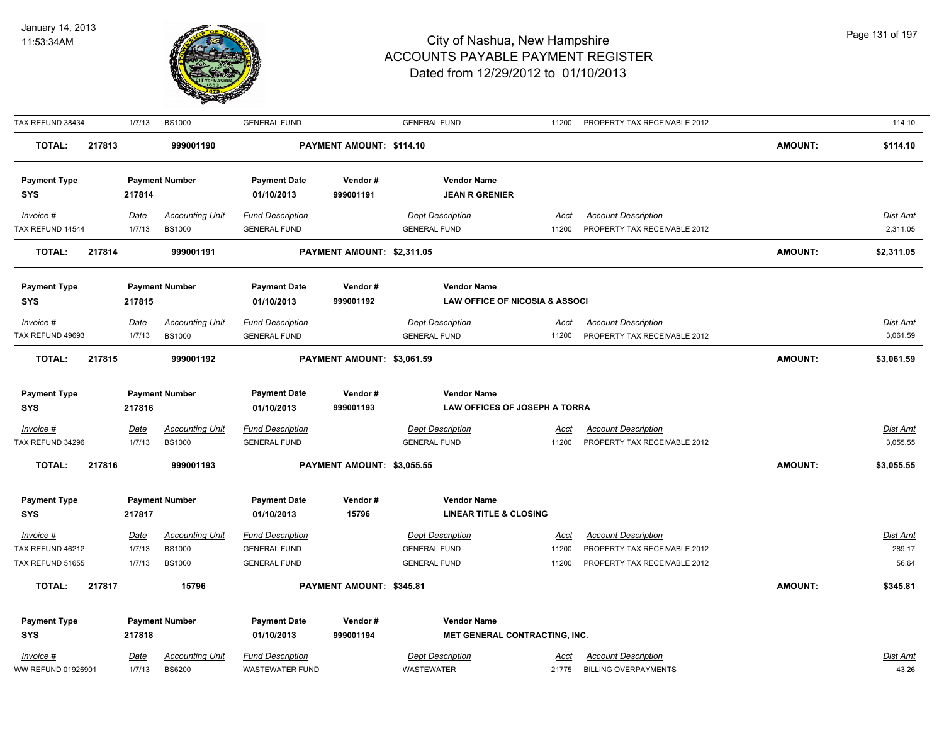

| TAX REFUND 38434                  |        | 1/7/13      | <b>BS1000</b>          | <b>GENERAL FUND</b>               |                            | <b>GENERAL FUND</b>                                 | 11200       | PROPERTY TAX RECEIVABLE 2012 |                | 114.10          |
|-----------------------------------|--------|-------------|------------------------|-----------------------------------|----------------------------|-----------------------------------------------------|-------------|------------------------------|----------------|-----------------|
| <b>TOTAL:</b>                     | 217813 |             | 999001190              |                                   | PAYMENT AMOUNT: \$114.10   |                                                     |             |                              | <b>AMOUNT:</b> | \$114.10        |
| <b>Payment Type</b>               |        |             | <b>Payment Number</b>  | <b>Payment Date</b>               | Vendor#                    | <b>Vendor Name</b>                                  |             |                              |                |                 |
| <b>SYS</b>                        |        | 217814      |                        | 01/10/2013                        | 999001191                  | <b>JEAN R GRENIER</b>                               |             |                              |                |                 |
| Invoice #                         |        | Date        | <b>Accounting Unit</b> | <b>Fund Description</b>           |                            | <b>Dept Description</b>                             | Acct        | <b>Account Description</b>   |                | Dist Amt        |
| TAX REFUND 14544                  |        | 1/7/13      | <b>BS1000</b>          | <b>GENERAL FUND</b>               |                            | <b>GENERAL FUND</b>                                 | 11200       | PROPERTY TAX RECEIVABLE 2012 |                | 2,311.05        |
| <b>TOTAL:</b>                     | 217814 |             | 999001191              |                                   | PAYMENT AMOUNT: \$2,311.05 |                                                     |             |                              | <b>AMOUNT:</b> | \$2,311.05      |
| <b>Payment Type</b>               |        |             | <b>Payment Number</b>  | <b>Payment Date</b>               | Vendor#                    | <b>Vendor Name</b>                                  |             |                              |                |                 |
| <b>SYS</b>                        |        | 217815      |                        | 01/10/2013                        | 999001192                  | <b>LAW OFFICE OF NICOSIA &amp; ASSOCI</b>           |             |                              |                |                 |
| Invoice #                         |        | Date        | <b>Accounting Unit</b> | <b>Fund Description</b>           |                            | <b>Dept Description</b>                             | Acct        | <b>Account Description</b>   |                | Dist Amt        |
| TAX REFUND 49693                  |        | 1/7/13      | <b>BS1000</b>          | <b>GENERAL FUND</b>               |                            | <b>GENERAL FUND</b>                                 | 11200       | PROPERTY TAX RECEIVABLE 2012 |                | 3,061.59        |
| <b>TOTAL:</b>                     | 217815 |             | 999001192              |                                   | PAYMENT AMOUNT: \$3,061.59 |                                                     |             |                              | AMOUNT:        | \$3,061.59      |
|                                   |        |             |                        |                                   |                            |                                                     |             |                              |                |                 |
| <b>Payment Type</b><br><b>SYS</b> |        | 217816      | <b>Payment Number</b>  | <b>Payment Date</b><br>01/10/2013 | Vendor#<br>999001193       | <b>Vendor Name</b><br>LAW OFFICES OF JOSEPH A TORRA |             |                              |                |                 |
| $Invoice$ #                       |        | <u>Date</u> | <b>Accounting Unit</b> | <b>Fund Description</b>           |                            | <b>Dept Description</b>                             | <u>Acct</u> | <b>Account Description</b>   |                | <b>Dist Amt</b> |
| TAX REFUND 34296                  |        | 1/7/13      | <b>BS1000</b>          | <b>GENERAL FUND</b>               |                            | <b>GENERAL FUND</b>                                 | 11200       | PROPERTY TAX RECEIVABLE 2012 |                | 3,055.55        |
| <b>TOTAL:</b>                     | 217816 |             | 999001193              |                                   | PAYMENT AMOUNT: \$3,055.55 |                                                     |             |                              | <b>AMOUNT:</b> | \$3,055.55      |
| <b>Payment Type</b>               |        |             | <b>Payment Number</b>  | <b>Payment Date</b>               | Vendor#                    | <b>Vendor Name</b>                                  |             |                              |                |                 |
| <b>SYS</b>                        |        | 217817      |                        | 01/10/2013                        | 15796                      | <b>LINEAR TITLE &amp; CLOSING</b>                   |             |                              |                |                 |
| Invoice #                         |        | <u>Date</u> | <b>Accounting Unit</b> | <b>Fund Description</b>           |                            | <b>Dept Description</b>                             | <u>Acct</u> | <b>Account Description</b>   |                | <u>Dist Amt</u> |
| TAX REFUND 46212                  |        | 1/7/13      | <b>BS1000</b>          | <b>GENERAL FUND</b>               |                            | <b>GENERAL FUND</b>                                 | 11200       | PROPERTY TAX RECEIVABLE 2012 |                | 289.17          |
| TAX REFUND 51655                  |        | 1/7/13      | <b>BS1000</b>          | <b>GENERAL FUND</b>               |                            | <b>GENERAL FUND</b>                                 | 11200       | PROPERTY TAX RECEIVABLE 2012 |                | 56.64           |
| <b>TOTAL:</b>                     | 217817 |             | 15796                  |                                   | PAYMENT AMOUNT: \$345.81   |                                                     |             |                              | <b>AMOUNT:</b> | \$345.81        |
| <b>Payment Type</b>               |        |             | <b>Payment Number</b>  | <b>Payment Date</b>               | Vendor#                    | <b>Vendor Name</b>                                  |             |                              |                |                 |
| <b>SYS</b>                        |        | 217818      |                        | 01/10/2013                        | 999001194                  | MET GENERAL CONTRACTING, INC.                       |             |                              |                |                 |
| Invoice #                         |        | <u>Date</u> | <b>Accounting Unit</b> | <b>Fund Description</b>           |                            | <b>Dept Description</b>                             | Acct        | <b>Account Description</b>   |                | <b>Dist Amt</b> |
| WW REFUND 01926901                |        | 1/7/13      | <b>BS6200</b>          | <b>WASTEWATER FUND</b>            |                            | WASTEWATER                                          | 21775       | <b>BILLING OVERPAYMENTS</b>  |                | 43.26           |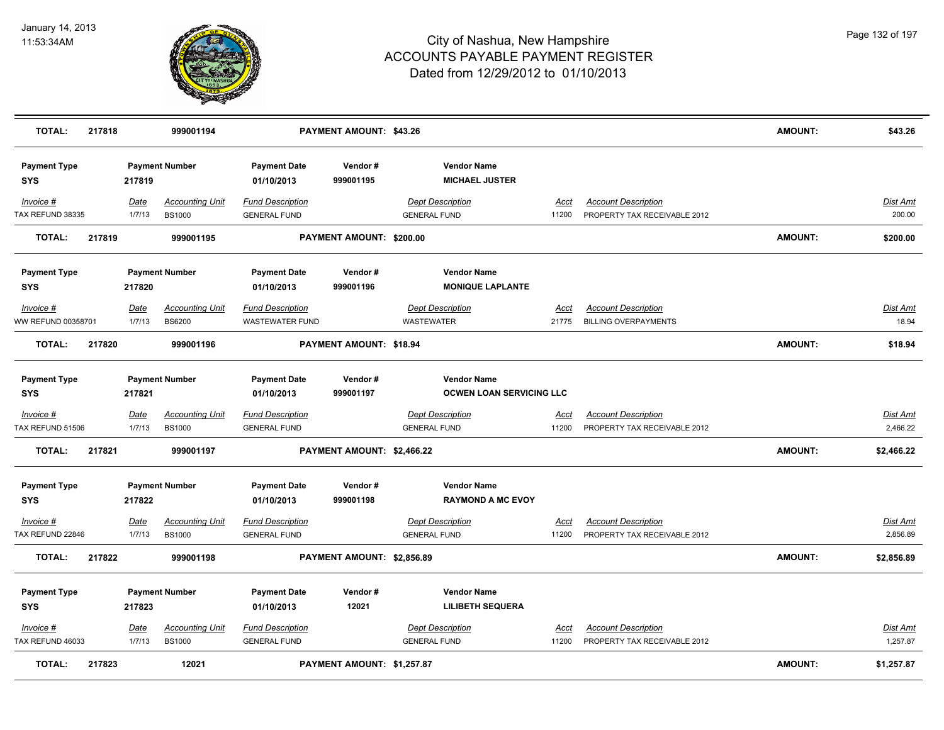

| <b>TOTAL:</b>                     | 217818 |             | 999001194              |                                   | PAYMENT AMOUNT: \$43.26    |                                             |             |                              | <b>AMOUNT:</b> | \$43.26         |
|-----------------------------------|--------|-------------|------------------------|-----------------------------------|----------------------------|---------------------------------------------|-------------|------------------------------|----------------|-----------------|
| <b>Payment Type</b><br><b>SYS</b> |        | 217819      | <b>Payment Number</b>  | <b>Payment Date</b><br>01/10/2013 | Vendor#<br>999001195       | <b>Vendor Name</b><br><b>MICHAEL JUSTER</b> |             |                              |                |                 |
| Invoice #                         |        | Date        | <b>Accounting Unit</b> | <b>Fund Description</b>           |                            | <b>Dept Description</b>                     | Acct        | <b>Account Description</b>   |                | Dist Amt        |
| TAX REFUND 38335                  |        | 1/7/13      | <b>BS1000</b>          | <b>GENERAL FUND</b>               |                            | <b>GENERAL FUND</b>                         | 11200       | PROPERTY TAX RECEIVABLE 2012 |                | 200.00          |
| <b>TOTAL:</b>                     | 217819 |             | 999001195              |                                   | PAYMENT AMOUNT: \$200.00   |                                             |             |                              | <b>AMOUNT:</b> | \$200.00        |
| <b>Payment Type</b>               |        |             | <b>Payment Number</b>  | <b>Payment Date</b>               | Vendor#                    | <b>Vendor Name</b>                          |             |                              |                |                 |
| <b>SYS</b>                        |        | 217820      |                        | 01/10/2013                        | 999001196                  | <b>MONIQUE LAPLANTE</b>                     |             |                              |                |                 |
| Invoice #                         |        | <b>Date</b> | <b>Accounting Unit</b> | <b>Fund Description</b>           |                            | <b>Dept Description</b>                     | <u>Acct</u> | <b>Account Description</b>   |                | Dist Amt        |
| WW REFUND 00358701                |        | 1/7/13      | <b>BS6200</b>          | <b>WASTEWATER FUND</b>            |                            | <b>WASTEWATER</b>                           | 21775       | <b>BILLING OVERPAYMENTS</b>  |                | 18.94           |
| <b>TOTAL:</b>                     | 217820 |             | 999001196              |                                   | PAYMENT AMOUNT: \$18.94    |                                             |             |                              | <b>AMOUNT:</b> | \$18.94         |
| <b>Payment Type</b>               |        |             | <b>Payment Number</b>  | <b>Payment Date</b>               | Vendor#                    | <b>Vendor Name</b>                          |             |                              |                |                 |
| <b>SYS</b>                        |        | 217821      |                        | 01/10/2013                        | 999001197                  | <b>OCWEN LOAN SERVICING LLC</b>             |             |                              |                |                 |
| $Invoice$ #                       |        | <u>Date</u> | <b>Accounting Unit</b> | <b>Fund Description</b>           |                            | <b>Dept Description</b>                     | <u>Acct</u> | <b>Account Description</b>   |                | <u>Dist Amt</u> |
| TAX REFUND 51506                  |        | 1/7/13      | <b>BS1000</b>          | <b>GENERAL FUND</b>               |                            | <b>GENERAL FUND</b>                         | 11200       | PROPERTY TAX RECEIVABLE 2012 |                | 2,466.22        |
| <b>TOTAL:</b>                     | 217821 |             | 999001197              |                                   | PAYMENT AMOUNT: \$2,466.22 |                                             |             |                              | <b>AMOUNT:</b> | \$2,466.22      |
| <b>Payment Type</b>               |        |             | <b>Payment Number</b>  | <b>Payment Date</b>               | Vendor#                    | <b>Vendor Name</b>                          |             |                              |                |                 |
| <b>SYS</b>                        |        | 217822      |                        | 01/10/2013                        | 999001198                  | <b>RAYMOND A MC EVOY</b>                    |             |                              |                |                 |
| Invoice #                         |        | Date        | <b>Accounting Unit</b> | <b>Fund Description</b>           |                            | <b>Dept Description</b>                     | Acct        | <b>Account Description</b>   |                | Dist Amt        |
| TAX REFUND 22846                  |        | 1/7/13      | <b>BS1000</b>          | <b>GENERAL FUND</b>               |                            | <b>GENERAL FUND</b>                         | 11200       | PROPERTY TAX RECEIVABLE 2012 |                | 2,856.89        |
| <b>TOTAL:</b>                     | 217822 |             | 999001198              |                                   | PAYMENT AMOUNT: \$2,856.89 |                                             |             |                              | <b>AMOUNT:</b> | \$2,856.89      |
| <b>Payment Type</b>               |        |             | <b>Payment Number</b>  | <b>Payment Date</b>               | Vendor#                    | <b>Vendor Name</b>                          |             |                              |                |                 |
| <b>SYS</b>                        |        | 217823      |                        | 01/10/2013                        | 12021                      | <b>LILIBETH SEQUERA</b>                     |             |                              |                |                 |
| Invoice #                         |        | <b>Date</b> | <b>Accounting Unit</b> | <b>Fund Description</b>           |                            | <b>Dept Description</b>                     | Acct        | <b>Account Description</b>   |                | Dist Amt        |
| TAX REFUND 46033                  |        | 1/7/13      | <b>BS1000</b>          | <b>GENERAL FUND</b>               |                            | <b>GENERAL FUND</b>                         | 11200       | PROPERTY TAX RECEIVABLE 2012 |                | 1,257.87        |
| <b>TOTAL:</b>                     | 217823 |             | 12021                  |                                   | PAYMENT AMOUNT: \$1,257.87 |                                             |             |                              | <b>AMOUNT:</b> | \$1,257.87      |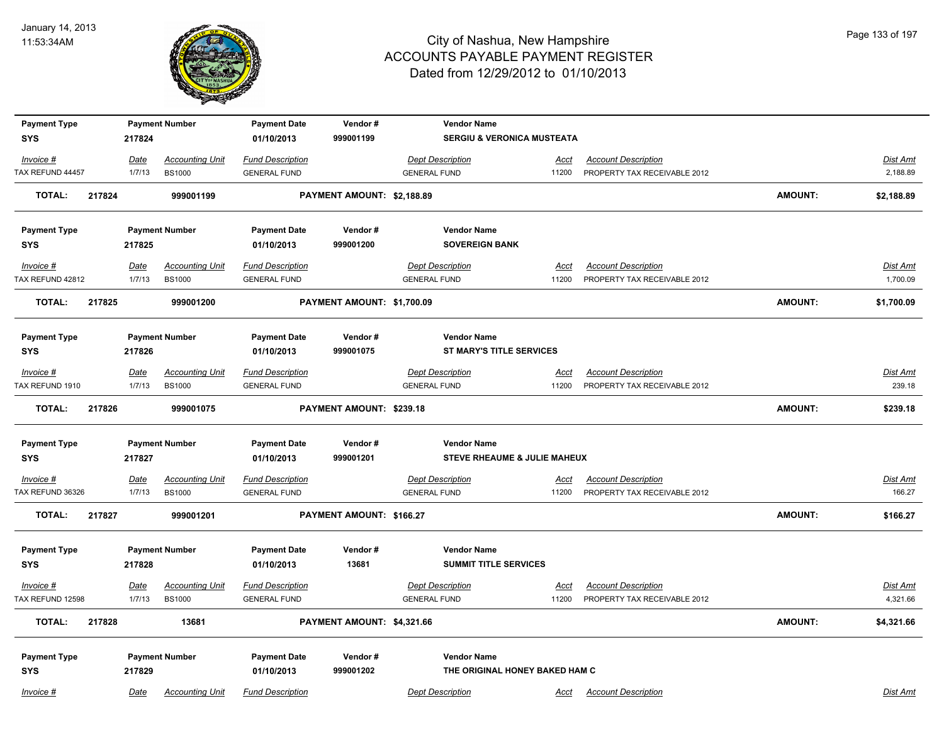

| <b>Payment Type</b>               |                       | <b>Payment Number</b>                   | <b>Payment Date</b>                            | Vendor#                    | <b>Vendor Name</b>                                    |                      |                                                            |                |                           |
|-----------------------------------|-----------------------|-----------------------------------------|------------------------------------------------|----------------------------|-------------------------------------------------------|----------------------|------------------------------------------------------------|----------------|---------------------------|
| <b>SYS</b>                        | 217824                |                                         | 01/10/2013                                     | 999001199                  | SERGIU & VERONICA MUSTEATA                            |                      |                                                            |                |                           |
| Invoice #                         | Date                  | <b>Accounting Unit</b>                  | <b>Fund Description</b>                        |                            | <b>Dept Description</b>                               | <u>Acct</u>          | <b>Account Description</b>                                 |                | Dist Amt                  |
| TAX REFUND 44457                  | 1/7/13                | <b>BS1000</b>                           | <b>GENERAL FUND</b>                            |                            | <b>GENERAL FUND</b>                                   | 11200                | PROPERTY TAX RECEIVABLE 2012                               |                | 2,188.89                  |
| <b>TOTAL:</b>                     | 217824                | 999001199                               |                                                | PAYMENT AMOUNT: \$2,188.89 |                                                       |                      |                                                            | <b>AMOUNT:</b> | \$2,188.89                |
| <b>Payment Type</b>               |                       | <b>Payment Number</b>                   | <b>Payment Date</b>                            | Vendor#                    | <b>Vendor Name</b>                                    |                      |                                                            |                |                           |
| <b>SYS</b>                        | 217825                |                                         | 01/10/2013                                     | 999001200                  | <b>SOVEREIGN BANK</b>                                 |                      |                                                            |                |                           |
| Invoice #<br>TAX REFUND 42812     | Date<br>1/7/13        | <b>Accounting Unit</b><br><b>BS1000</b> | <b>Fund Description</b><br><b>GENERAL FUND</b> |                            | <b>Dept Description</b><br><b>GENERAL FUND</b>        | <u>Acct</u><br>11200 | <b>Account Description</b><br>PROPERTY TAX RECEIVABLE 2012 |                | Dist Amt<br>1,700.09      |
| <b>TOTAL:</b>                     | 217825                | 999001200                               |                                                | PAYMENT AMOUNT: \$1,700.09 |                                                       |                      |                                                            | <b>AMOUNT:</b> | \$1,700.09                |
|                                   |                       |                                         |                                                |                            |                                                       |                      |                                                            |                |                           |
| <b>Payment Type</b><br><b>SYS</b> | 217826                | <b>Payment Number</b>                   | <b>Payment Date</b><br>01/10/2013              | Vendor#<br>999001075       | <b>Vendor Name</b><br><b>ST MARY'S TITLE SERVICES</b> |                      |                                                            |                |                           |
|                                   |                       |                                         |                                                |                            |                                                       |                      |                                                            |                |                           |
| Invoice #                         | <b>Date</b>           | <b>Accounting Unit</b>                  | <b>Fund Description</b>                        |                            | <b>Dept Description</b>                               | <u>Acct</u>          | <b>Account Description</b>                                 |                | <u>Dist Amt</u><br>239.18 |
| TAX REFUND 1910                   | 1/7/13                | <b>BS1000</b>                           | <b>GENERAL FUND</b>                            |                            | <b>GENERAL FUND</b>                                   | 11200                | PROPERTY TAX RECEIVABLE 2012                               |                |                           |
| <b>TOTAL:</b>                     | 217826                | 999001075                               |                                                | PAYMENT AMOUNT: \$239.18   |                                                       |                      |                                                            | <b>AMOUNT:</b> | \$239.18                  |
| <b>Payment Type</b>               |                       | <b>Payment Number</b>                   | <b>Payment Date</b>                            | Vendor#                    | <b>Vendor Name</b>                                    |                      |                                                            |                |                           |
| <b>SYS</b>                        | 217827                |                                         | 01/10/2013                                     | 999001201                  | STEVE RHEAUME & JULIE MAHEUX                          |                      |                                                            |                |                           |
| $Invoice$ #<br>TAX REFUND 36326   | <b>Date</b><br>1/7/13 | <b>Accounting Unit</b><br><b>BS1000</b> | <b>Fund Description</b><br><b>GENERAL FUND</b> |                            | <b>Dept Description</b><br><b>GENERAL FUND</b>        | <u>Acct</u><br>11200 | <b>Account Description</b><br>PROPERTY TAX RECEIVABLE 2012 |                | <b>Dist Amt</b><br>166.27 |
| <b>TOTAL:</b>                     | 217827                | 999001201                               |                                                | PAYMENT AMOUNT: \$166.27   |                                                       |                      |                                                            | <b>AMOUNT:</b> | \$166.27                  |
|                                   |                       |                                         |                                                |                            |                                                       |                      |                                                            |                |                           |
| <b>Payment Type</b>               |                       | <b>Payment Number</b>                   | <b>Payment Date</b>                            | Vendor#<br>13681           | <b>Vendor Name</b><br><b>SUMMIT TITLE SERVICES</b>    |                      |                                                            |                |                           |
| <b>SYS</b>                        | 217828                |                                         | 01/10/2013                                     |                            |                                                       |                      |                                                            |                |                           |
| Invoice #                         | <b>Date</b>           | <b>Accounting Unit</b>                  | <b>Fund Description</b>                        |                            | <b>Dept Description</b>                               | <u>Acct</u>          | <b>Account Description</b>                                 |                | Dist Amt                  |
| TAX REFUND 12598                  | 1/7/13                | <b>BS1000</b>                           | <b>GENERAL FUND</b>                            |                            | <b>GENERAL FUND</b>                                   | 11200                | PROPERTY TAX RECEIVABLE 2012                               |                | 4,321.66                  |
| <b>TOTAL:</b>                     | 217828                | 13681                                   |                                                | PAYMENT AMOUNT: \$4,321.66 |                                                       |                      |                                                            | <b>AMOUNT:</b> | \$4,321.66                |
| <b>Payment Type</b>               |                       | <b>Payment Number</b>                   | <b>Payment Date</b>                            | Vendor#                    | <b>Vendor Name</b>                                    |                      |                                                            |                |                           |
| <b>SYS</b>                        | 217829                |                                         | 01/10/2013                                     | 999001202                  | THE ORIGINAL HONEY BAKED HAM C                        |                      |                                                            |                |                           |
| Invoice #                         | Date                  | <b>Accounting Unit</b>                  | <b>Fund Description</b>                        |                            | <b>Dept Description</b>                               |                      | <b>Acct</b> Account Description                            |                | Dist Amt                  |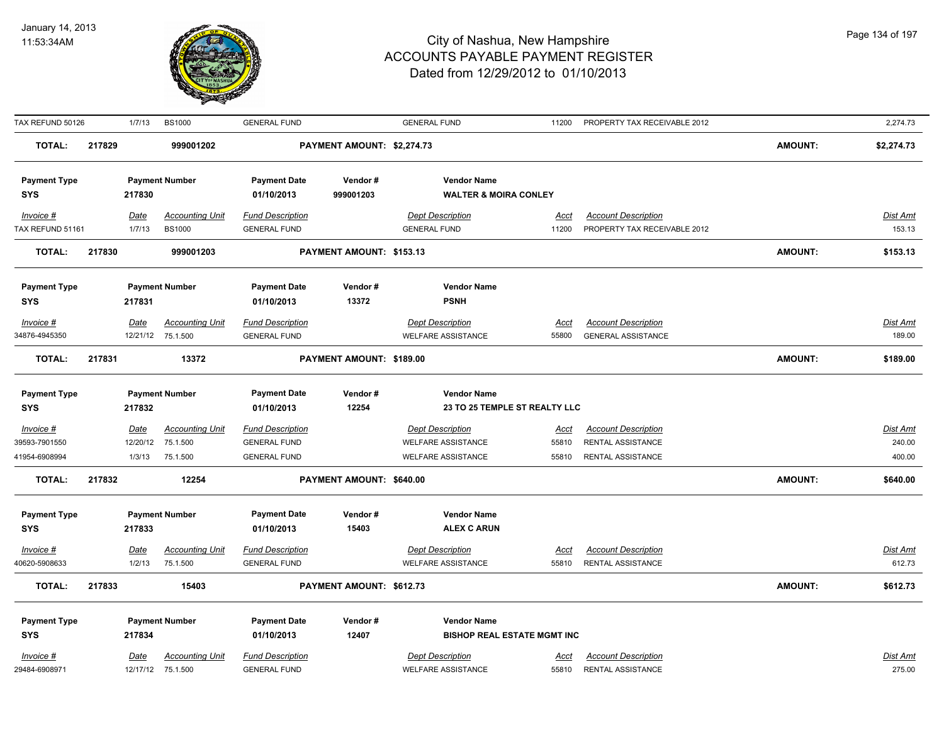

| TAX REFUND 50126    |        | 1/7/13      | <b>BS1000</b>          | <b>GENERAL FUND</b>     |                            | <b>GENERAL FUND</b>                | 11200       | PROPERTY TAX RECEIVABLE 2012 |                | 2,274.73        |
|---------------------|--------|-------------|------------------------|-------------------------|----------------------------|------------------------------------|-------------|------------------------------|----------------|-----------------|
| <b>TOTAL:</b>       | 217829 |             | 999001202              |                         | PAYMENT AMOUNT: \$2,274.73 |                                    |             |                              | <b>AMOUNT:</b> | \$2,274.73      |
| <b>Payment Type</b> |        |             | <b>Payment Number</b>  | <b>Payment Date</b>     | Vendor#                    | <b>Vendor Name</b>                 |             |                              |                |                 |
| <b>SYS</b>          |        | 217830      |                        | 01/10/2013              | 999001203                  | <b>WALTER &amp; MOIRA CONLEY</b>   |             |                              |                |                 |
| Invoice #           |        | <u>Date</u> | <b>Accounting Unit</b> | <b>Fund Description</b> |                            | <b>Dept Description</b>            | Acct        | <b>Account Description</b>   |                | Dist Amt        |
| TAX REFUND 51161    |        | 1/7/13      | <b>BS1000</b>          | <b>GENERAL FUND</b>     |                            | <b>GENERAL FUND</b>                | 11200       | PROPERTY TAX RECEIVABLE 2012 |                | 153.13          |
| <b>TOTAL:</b>       | 217830 |             | 999001203              |                         | PAYMENT AMOUNT: \$153.13   |                                    |             |                              | <b>AMOUNT:</b> | \$153.13        |
| <b>Payment Type</b> |        |             | <b>Payment Number</b>  | <b>Payment Date</b>     | Vendor#                    | <b>Vendor Name</b>                 |             |                              |                |                 |
| <b>SYS</b>          |        | 217831      |                        | 01/10/2013              | 13372                      | <b>PSNH</b>                        |             |                              |                |                 |
| Invoice #           |        | Date        | <b>Accounting Unit</b> | <b>Fund Description</b> |                            | <b>Dept Description</b>            | Acct        | <b>Account Description</b>   |                | Dist Amt        |
| 34876-4945350       |        |             | 12/21/12 75.1.500      | <b>GENERAL FUND</b>     |                            | <b>WELFARE ASSISTANCE</b>          | 55800       | <b>GENERAL ASSISTANCE</b>    |                | 189.00          |
| <b>TOTAL:</b>       | 217831 |             | 13372                  |                         | PAYMENT AMOUNT: \$189.00   |                                    |             |                              | <b>AMOUNT:</b> | \$189.00        |
|                     |        |             |                        |                         |                            |                                    |             |                              |                |                 |
| <b>Payment Type</b> |        |             | <b>Payment Number</b>  | <b>Payment Date</b>     | Vendor#                    | <b>Vendor Name</b>                 |             |                              |                |                 |
| <b>SYS</b>          |        | 217832      |                        | 01/10/2013              | 12254                      | 23 TO 25 TEMPLE ST REALTY LLC      |             |                              |                |                 |
| <u>Invoice #</u>    |        | <u>Date</u> | <b>Accounting Unit</b> | <b>Fund Description</b> |                            | <b>Dept Description</b>            | <u>Acct</u> | <b>Account Description</b>   |                | <u>Dist Amt</u> |
| 39593-7901550       |        | 12/20/12    | 75.1.500               | <b>GENERAL FUND</b>     |                            | <b>WELFARE ASSISTANCE</b>          | 55810       | RENTAL ASSISTANCE            |                | 240.00          |
| 41954-6908994       |        | 1/3/13      | 75.1.500               | <b>GENERAL FUND</b>     |                            | <b>WELFARE ASSISTANCE</b>          | 55810       | RENTAL ASSISTANCE            |                | 400.00          |
| <b>TOTAL:</b>       | 217832 |             | 12254                  |                         | PAYMENT AMOUNT: \$640.00   |                                    |             |                              | <b>AMOUNT:</b> | \$640.00        |
| <b>Payment Type</b> |        |             | <b>Payment Number</b>  | <b>Payment Date</b>     | Vendor#                    | <b>Vendor Name</b>                 |             |                              |                |                 |
| <b>SYS</b>          |        | 217833      |                        | 01/10/2013              | 15403                      | <b>ALEX C ARUN</b>                 |             |                              |                |                 |
| Invoice #           |        | <b>Date</b> | <b>Accounting Unit</b> | <b>Fund Description</b> |                            | <b>Dept Description</b>            | Acct        | <b>Account Description</b>   |                | Dist Amt        |
| 40620-5908633       |        | 1/2/13      | 75.1.500               | <b>GENERAL FUND</b>     |                            | <b>WELFARE ASSISTANCE</b>          | 55810       | <b>RENTAL ASSISTANCE</b>     |                | 612.73          |
| <b>TOTAL:</b>       | 217833 |             | 15403                  |                         | PAYMENT AMOUNT: \$612.73   |                                    |             |                              | <b>AMOUNT:</b> | \$612.73        |
| <b>Payment Type</b> |        |             | <b>Payment Number</b>  | <b>Payment Date</b>     | Vendor#                    | <b>Vendor Name</b>                 |             |                              |                |                 |
| <b>SYS</b>          |        | 217834      |                        | 01/10/2013              | 12407                      | <b>BISHOP REAL ESTATE MGMT INC</b> |             |                              |                |                 |
| Invoice #           |        | Date        | <b>Accounting Unit</b> | <b>Fund Description</b> |                            | <b>Dept Description</b>            | Acct        | <b>Account Description</b>   |                | Dist Amt        |
| 29484-6908971       |        | 12/17/12    | 75.1.500               | <b>GENERAL FUND</b>     |                            | <b>WELFARE ASSISTANCE</b>          | 55810       | RENTAL ASSISTANCE            |                | 275.00          |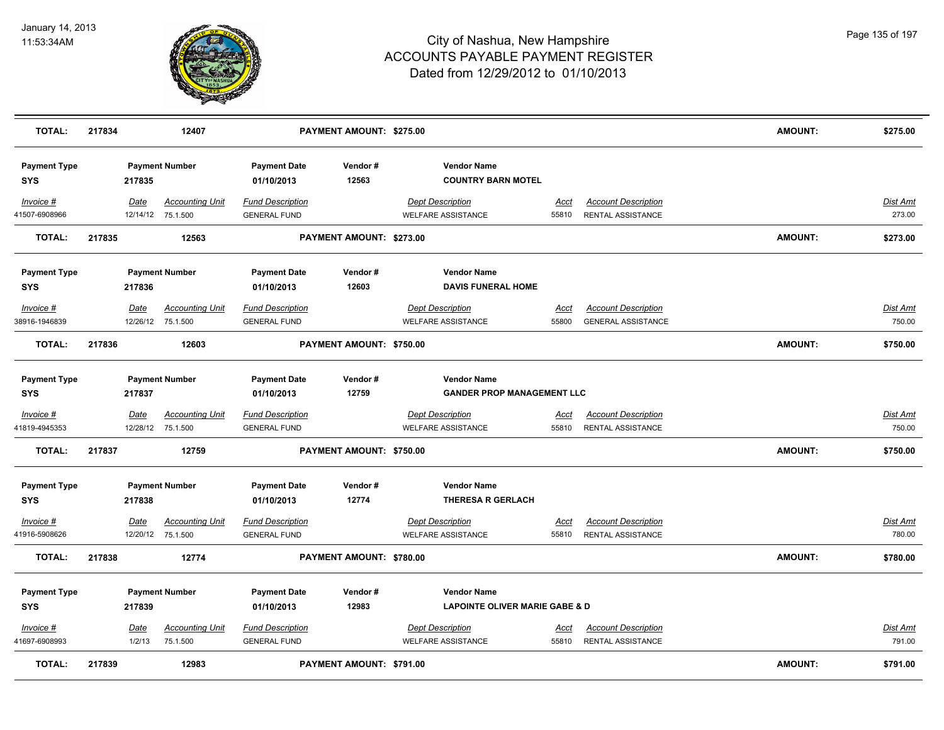

| <b>TOTAL:</b>                     | 217834 |             | 12407                  |                                   | PAYMENT AMOUNT: \$275.00 |                                                 |             |                            | AMOUNT:        | \$275.00        |
|-----------------------------------|--------|-------------|------------------------|-----------------------------------|--------------------------|-------------------------------------------------|-------------|----------------------------|----------------|-----------------|
| <b>Payment Type</b><br><b>SYS</b> |        | 217835      | <b>Payment Number</b>  | <b>Payment Date</b><br>01/10/2013 | Vendor#<br>12563         | <b>Vendor Name</b><br><b>COUNTRY BARN MOTEL</b> |             |                            |                |                 |
| Invoice #                         |        | Date        | <b>Accounting Unit</b> | <b>Fund Description</b>           |                          | <b>Dept Description</b>                         | Acct        | <b>Account Description</b> |                | Dist Amt        |
| 41507-6908966                     |        |             | 12/14/12 75.1.500      | <b>GENERAL FUND</b>               |                          | <b>WELFARE ASSISTANCE</b>                       | 55810       | RENTAL ASSISTANCE          |                | 273.00          |
| <b>TOTAL:</b>                     | 217835 |             | 12563                  |                                   | PAYMENT AMOUNT: \$273.00 |                                                 |             |                            | <b>AMOUNT:</b> | \$273.00        |
| <b>Payment Type</b>               |        |             | <b>Payment Number</b>  | <b>Payment Date</b>               | Vendor#                  | <b>Vendor Name</b>                              |             |                            |                |                 |
| <b>SYS</b>                        |        | 217836      |                        | 01/10/2013                        | 12603                    | <b>DAVIS FUNERAL HOME</b>                       |             |                            |                |                 |
| Invoice #                         |        | Date        | <b>Accounting Unit</b> | <b>Fund Description</b>           |                          | <b>Dept Description</b>                         | <u>Acct</u> | <b>Account Description</b> |                | <b>Dist Amt</b> |
| 38916-1946839                     |        | 12/26/12    | 75.1.500               | <b>GENERAL FUND</b>               |                          | <b>WELFARE ASSISTANCE</b>                       | 55800       | <b>GENERAL ASSISTANCE</b>  |                | 750.00          |
| <b>TOTAL:</b>                     | 217836 |             | 12603                  |                                   | PAYMENT AMOUNT: \$750.00 |                                                 |             |                            | <b>AMOUNT:</b> | \$750.00        |
| <b>Payment Type</b>               |        |             | <b>Payment Number</b>  | <b>Payment Date</b>               | Vendor #                 | <b>Vendor Name</b>                              |             |                            |                |                 |
| <b>SYS</b>                        |        | 217837      |                        | 01/10/2013                        | 12759                    | <b>GANDER PROP MANAGEMENT LLC</b>               |             |                            |                |                 |
| Invoice #                         |        | Date        | <b>Accounting Unit</b> | <b>Fund Description</b>           |                          | <b>Dept Description</b>                         | <u>Acct</u> | <b>Account Description</b> |                | Dist Amt        |
| 41819-4945353                     |        |             | 12/28/12 75.1.500      | <b>GENERAL FUND</b>               |                          | <b>WELFARE ASSISTANCE</b>                       | 55810       | <b>RENTAL ASSISTANCE</b>   |                | 750.00          |
| <b>TOTAL:</b>                     | 217837 |             | 12759                  |                                   | PAYMENT AMOUNT: \$750.00 |                                                 |             |                            | <b>AMOUNT:</b> | \$750.00        |
| <b>Payment Type</b>               |        |             | <b>Payment Number</b>  | <b>Payment Date</b>               | Vendor#                  | <b>Vendor Name</b>                              |             |                            |                |                 |
| <b>SYS</b>                        |        | 217838      |                        | 01/10/2013                        | 12774                    | <b>THERESA R GERLACH</b>                        |             |                            |                |                 |
| Invoice #                         |        | Date        | <b>Accounting Unit</b> | <b>Fund Description</b>           |                          | <b>Dept Description</b>                         | Acct        | <b>Account Description</b> |                | <u>Dist Amt</u> |
| 41916-5908626                     |        |             | 12/20/12 75.1.500      | <b>GENERAL FUND</b>               |                          | <b>WELFARE ASSISTANCE</b>                       | 55810       | <b>RENTAL ASSISTANCE</b>   |                | 780.00          |
| <b>TOTAL:</b>                     | 217838 |             | 12774                  |                                   | PAYMENT AMOUNT: \$780.00 |                                                 |             |                            | AMOUNT:        | \$780.00        |
| <b>Payment Type</b>               |        |             | <b>Payment Number</b>  | <b>Payment Date</b>               | Vendor#                  | <b>Vendor Name</b>                              |             |                            |                |                 |
| <b>SYS</b>                        |        | 217839      |                        | 01/10/2013                        | 12983                    | <b>LAPOINTE OLIVER MARIE GABE &amp; D</b>       |             |                            |                |                 |
| <i>Invoice</i> #                  |        | <u>Date</u> | <b>Accounting Unit</b> | <b>Fund Description</b>           |                          | <b>Dept Description</b>                         | <u>Acct</u> | <b>Account Description</b> |                | <u>Dist Amt</u> |
| 41697-6908993                     |        | 1/2/13      | 75.1.500               | <b>GENERAL FUND</b>               |                          | <b>WELFARE ASSISTANCE</b>                       | 55810       | RENTAL ASSISTANCE          |                | 791.00          |
| <b>TOTAL:</b>                     | 217839 |             | 12983                  |                                   | PAYMENT AMOUNT: \$791.00 |                                                 |             |                            | AMOUNT:        | \$791.00        |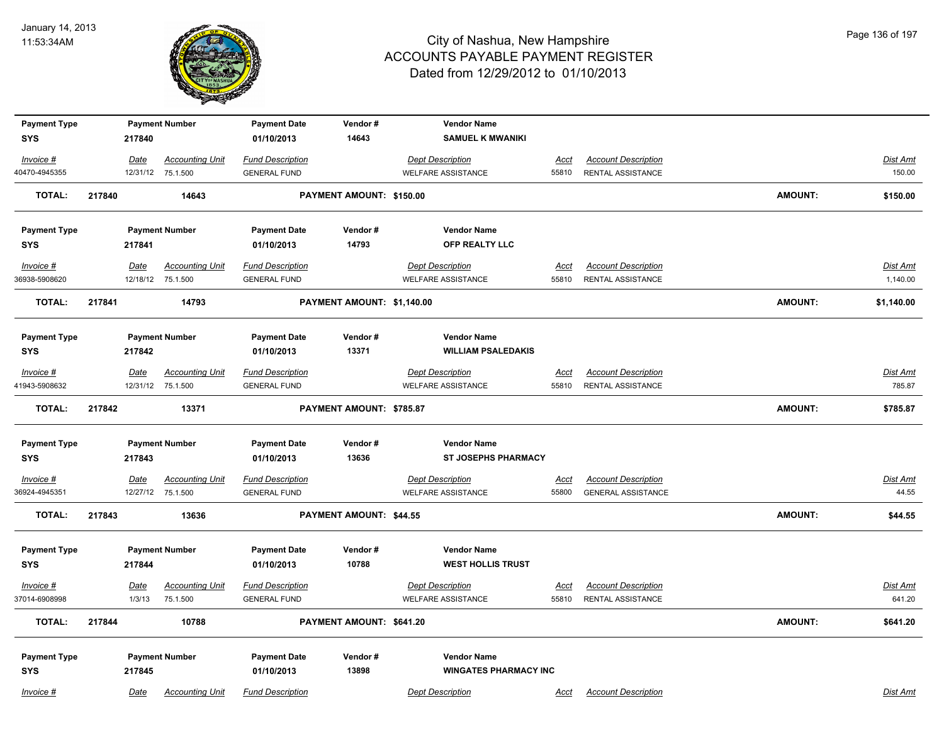

| <b>Payment Type</b> |             | <b>Payment Number</b>  | <b>Payment Date</b>     | Vendor#                    | <b>Vendor Name</b>           |             |                            |                |                 |
|---------------------|-------------|------------------------|-------------------------|----------------------------|------------------------------|-------------|----------------------------|----------------|-----------------|
| <b>SYS</b>          | 217840      |                        | 01/10/2013              | 14643                      | <b>SAMUEL K MWANIKI</b>      |             |                            |                |                 |
| $Invoice$ #         | <u>Date</u> | <b>Accounting Unit</b> | <b>Fund Description</b> |                            | <b>Dept Description</b>      | <u>Acct</u> | <b>Account Description</b> |                | <b>Dist Amt</b> |
| 40470-4945355       |             | 12/31/12 75.1.500      | <b>GENERAL FUND</b>     |                            | <b>WELFARE ASSISTANCE</b>    | 55810       | <b>RENTAL ASSISTANCE</b>   |                | 150.00          |
| <b>TOTAL:</b>       | 217840      | 14643                  |                         | PAYMENT AMOUNT: \$150.00   |                              |             |                            | <b>AMOUNT:</b> | \$150.00        |
| <b>Payment Type</b> |             | <b>Payment Number</b>  | <b>Payment Date</b>     | Vendor#                    | <b>Vendor Name</b>           |             |                            |                |                 |
| <b>SYS</b>          | 217841      |                        | 01/10/2013              | 14793                      | OFP REALTY LLC               |             |                            |                |                 |
| $Invoice$ #         | <u>Date</u> | <b>Accounting Unit</b> | <b>Fund Description</b> |                            | <b>Dept Description</b>      | Acct        | <b>Account Description</b> |                | Dist Amt        |
| 36938-5908620       |             | 12/18/12 75.1.500      | <b>GENERAL FUND</b>     |                            | <b>WELFARE ASSISTANCE</b>    | 55810       | <b>RENTAL ASSISTANCE</b>   |                | 1,140.00        |
| <b>TOTAL:</b>       | 217841      | 14793                  |                         | PAYMENT AMOUNT: \$1,140.00 |                              |             |                            | <b>AMOUNT:</b> | \$1,140.00      |
| <b>Payment Type</b> |             | <b>Payment Number</b>  | <b>Payment Date</b>     | Vendor#                    | <b>Vendor Name</b>           |             |                            |                |                 |
| <b>SYS</b>          | 217842      |                        | 01/10/2013              | 13371                      | <b>WILLIAM PSALEDAKIS</b>    |             |                            |                |                 |
| Invoice #           | Date        | <b>Accounting Unit</b> | <b>Fund Description</b> |                            | <b>Dept Description</b>      | Acct        | <b>Account Description</b> |                | Dist Amt        |
| 41943-5908632       |             | 12/31/12 75.1.500      | <b>GENERAL FUND</b>     |                            | <b>WELFARE ASSISTANCE</b>    | 55810       | <b>RENTAL ASSISTANCE</b>   |                | 785.87          |
| <b>TOTAL:</b>       | 217842      | 13371                  |                         | PAYMENT AMOUNT: \$785.87   |                              |             |                            | <b>AMOUNT:</b> | \$785.87        |
| <b>Payment Type</b> |             | <b>Payment Number</b>  | <b>Payment Date</b>     | Vendor#                    | <b>Vendor Name</b>           |             |                            |                |                 |
| <b>SYS</b>          | 217843      |                        | 01/10/2013              | 13636                      | <b>ST JOSEPHS PHARMACY</b>   |             |                            |                |                 |
| $Invoice$ #         | <u>Date</u> | <b>Accounting Unit</b> | <b>Fund Description</b> |                            | <b>Dept Description</b>      | <u>Acct</u> | <b>Account Description</b> |                | <u>Dist Amt</u> |
| 36924-4945351       |             | 12/27/12 75.1.500      | <b>GENERAL FUND</b>     |                            | <b>WELFARE ASSISTANCE</b>    | 55800       | <b>GENERAL ASSISTANCE</b>  |                | 44.55           |
| <b>TOTAL:</b>       | 217843      | 13636                  |                         | PAYMENT AMOUNT: \$44.55    |                              |             |                            | <b>AMOUNT:</b> | \$44.55         |
| <b>Payment Type</b> |             | <b>Payment Number</b>  | <b>Payment Date</b>     | Vendor#                    | <b>Vendor Name</b>           |             |                            |                |                 |
| <b>SYS</b>          | 217844      |                        | 01/10/2013              | 10788                      | <b>WEST HOLLIS TRUST</b>     |             |                            |                |                 |
| Invoice #           | <u>Date</u> | <b>Accounting Unit</b> | <b>Fund Description</b> |                            | <b>Dept Description</b>      | <u>Acct</u> | <b>Account Description</b> |                | Dist Amt        |
| 37014-6908998       | 1/3/13      | 75.1.500               | <b>GENERAL FUND</b>     |                            | <b>WELFARE ASSISTANCE</b>    | 55810       | <b>RENTAL ASSISTANCE</b>   |                | 641.20          |
| <b>TOTAL:</b>       | 217844      | 10788                  |                         | PAYMENT AMOUNT: \$641.20   |                              |             |                            | <b>AMOUNT:</b> | \$641.20        |
| <b>Payment Type</b> |             | <b>Payment Number</b>  | <b>Payment Date</b>     | Vendor#                    | <b>Vendor Name</b>           |             |                            |                |                 |
| <b>SYS</b>          | 217845      |                        | 01/10/2013              | 13898                      | <b>WINGATES PHARMACY INC</b> |             |                            |                |                 |
| Invoice #           | Date        | <b>Accounting Unit</b> | <b>Fund Description</b> |                            | <b>Dept Description</b>      | Acct        | <b>Account Description</b> |                | Dist Amt        |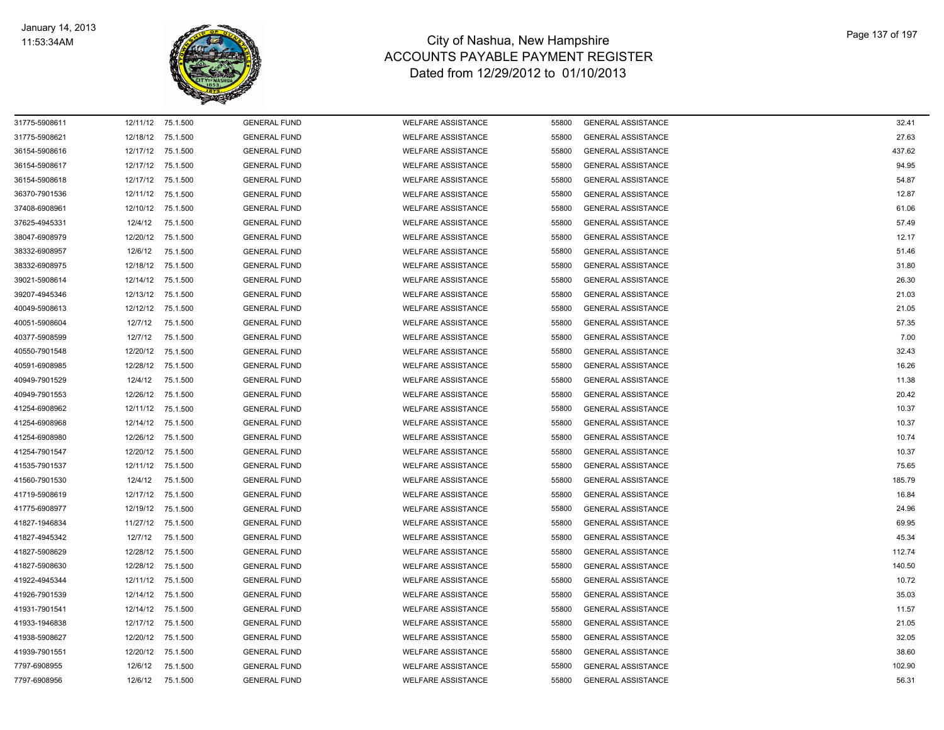

| 31775-5908611 |          | 12/11/12 75.1.500 | <b>GENERAL FUND</b> | <b>WELFARE ASSISTANCE</b> | 55800 | <b>GENERAL ASSISTANCE</b> | 32.41  |
|---------------|----------|-------------------|---------------------|---------------------------|-------|---------------------------|--------|
| 31775-5908621 | 12/18/12 | 75.1.500          | <b>GENERAL FUND</b> | <b>WELFARE ASSISTANCE</b> | 55800 | <b>GENERAL ASSISTANCE</b> | 27.63  |
| 36154-5908616 | 12/17/12 | 75.1.500          | <b>GENERAL FUND</b> | <b>WELFARE ASSISTANCE</b> | 55800 | <b>GENERAL ASSISTANCE</b> | 437.62 |
| 36154-5908617 | 12/17/12 | 75.1.500          | <b>GENERAL FUND</b> | <b>WELFARE ASSISTANCE</b> | 55800 | <b>GENERAL ASSISTANCE</b> | 94.95  |
| 36154-5908618 | 12/17/12 | 75.1.500          | <b>GENERAL FUND</b> | <b>WELFARE ASSISTANCE</b> | 55800 | <b>GENERAL ASSISTANCE</b> | 54.87  |
| 36370-7901536 |          | 12/11/12 75.1.500 | <b>GENERAL FUND</b> | <b>WELFARE ASSISTANCE</b> | 55800 | <b>GENERAL ASSISTANCE</b> | 12.87  |
| 37408-6908961 |          | 12/10/12 75.1.500 | <b>GENERAL FUND</b> | <b>WELFARE ASSISTANCE</b> | 55800 | <b>GENERAL ASSISTANCE</b> | 61.06  |
| 37625-4945331 | 12/4/12  | 75.1.500          | <b>GENERAL FUND</b> | <b>WELFARE ASSISTANCE</b> | 55800 | <b>GENERAL ASSISTANCE</b> | 57.49  |
| 38047-6908979 | 12/20/12 | 75.1.500          | <b>GENERAL FUND</b> | <b>WELFARE ASSISTANCE</b> | 55800 | <b>GENERAL ASSISTANCE</b> | 12.17  |
| 38332-6908957 | 12/6/12  | 75.1.500          | <b>GENERAL FUND</b> | <b>WELFARE ASSISTANCE</b> | 55800 | <b>GENERAL ASSISTANCE</b> | 51.46  |
| 38332-6908975 | 12/18/12 | 75.1.500          | <b>GENERAL FUND</b> | <b>WELFARE ASSISTANCE</b> | 55800 | <b>GENERAL ASSISTANCE</b> | 31.80  |
| 39021-5908614 | 12/14/12 | 75.1.500          | <b>GENERAL FUND</b> | <b>WELFARE ASSISTANCE</b> | 55800 | <b>GENERAL ASSISTANCE</b> | 26.30  |
| 39207-4945346 | 12/13/12 | 75.1.500          | <b>GENERAL FUND</b> | <b>WELFARE ASSISTANCE</b> | 55800 | <b>GENERAL ASSISTANCE</b> | 21.03  |
| 40049-5908613 |          | 12/12/12 75.1.500 | <b>GENERAL FUND</b> | <b>WELFARE ASSISTANCE</b> | 55800 | <b>GENERAL ASSISTANCE</b> | 21.05  |
| 40051-5908604 | 12/7/12  | 75.1.500          | <b>GENERAL FUND</b> | <b>WELFARE ASSISTANCE</b> | 55800 | <b>GENERAL ASSISTANCE</b> | 57.35  |
| 40377-5908599 | 12/7/12  | 75.1.500          | <b>GENERAL FUND</b> | <b>WELFARE ASSISTANCE</b> | 55800 | <b>GENERAL ASSISTANCE</b> | 7.00   |
| 40550-7901548 | 12/20/12 | 75.1.500          | <b>GENERAL FUND</b> | <b>WELFARE ASSISTANCE</b> | 55800 | <b>GENERAL ASSISTANCE</b> | 32.43  |
| 40591-6908985 | 12/28/12 | 75.1.500          | <b>GENERAL FUND</b> | <b>WELFARE ASSISTANCE</b> | 55800 | <b>GENERAL ASSISTANCE</b> | 16.26  |
| 40949-7901529 | 12/4/12  | 75.1.500          | <b>GENERAL FUND</b> | <b>WELFARE ASSISTANCE</b> | 55800 | <b>GENERAL ASSISTANCE</b> | 11.38  |
| 40949-7901553 | 12/26/12 | 75.1.500          | <b>GENERAL FUND</b> | <b>WELFARE ASSISTANCE</b> | 55800 | <b>GENERAL ASSISTANCE</b> | 20.42  |
| 41254-6908962 | 12/11/12 | 75.1.500          | <b>GENERAL FUND</b> | <b>WELFARE ASSISTANCE</b> | 55800 | <b>GENERAL ASSISTANCE</b> | 10.37  |
| 41254-6908968 |          | 12/14/12 75.1.500 | <b>GENERAL FUND</b> | <b>WELFARE ASSISTANCE</b> | 55800 | <b>GENERAL ASSISTANCE</b> | 10.37  |
| 41254-6908980 |          | 12/26/12 75.1.500 | <b>GENERAL FUND</b> | <b>WELFARE ASSISTANCE</b> | 55800 | <b>GENERAL ASSISTANCE</b> | 10.74  |
| 41254-7901547 |          | 12/20/12 75.1.500 | <b>GENERAL FUND</b> | <b>WELFARE ASSISTANCE</b> | 55800 | <b>GENERAL ASSISTANCE</b> | 10.37  |
| 41535-7901537 | 12/11/12 | 75.1.500          | <b>GENERAL FUND</b> | <b>WELFARE ASSISTANCE</b> | 55800 | <b>GENERAL ASSISTANCE</b> | 75.65  |
| 41560-7901530 | 12/4/12  | 75.1.500          | <b>GENERAL FUND</b> | <b>WELFARE ASSISTANCE</b> | 55800 | <b>GENERAL ASSISTANCE</b> | 185.79 |
| 41719-5908619 | 12/17/12 | 75.1.500          | <b>GENERAL FUND</b> | <b>WELFARE ASSISTANCE</b> | 55800 | <b>GENERAL ASSISTANCE</b> | 16.84  |
| 41775-6908977 | 12/19/12 | 75.1.500          | <b>GENERAL FUND</b> | <b>WELFARE ASSISTANCE</b> | 55800 | <b>GENERAL ASSISTANCE</b> | 24.96  |
| 41827-1946834 |          | 11/27/12 75.1.500 | <b>GENERAL FUND</b> | <b>WELFARE ASSISTANCE</b> | 55800 | <b>GENERAL ASSISTANCE</b> | 69.95  |
| 41827-4945342 | 12/7/12  | 75.1.500          | <b>GENERAL FUND</b> | <b>WELFARE ASSISTANCE</b> | 55800 | <b>GENERAL ASSISTANCE</b> | 45.34  |
| 41827-5908629 |          | 12/28/12 75.1.500 | <b>GENERAL FUND</b> | <b>WELFARE ASSISTANCE</b> | 55800 | <b>GENERAL ASSISTANCE</b> | 112.74 |
| 41827-5908630 |          | 12/28/12 75.1.500 | <b>GENERAL FUND</b> | <b>WELFARE ASSISTANCE</b> | 55800 | <b>GENERAL ASSISTANCE</b> | 140.50 |
| 41922-4945344 | 12/11/12 | 75.1.500          | <b>GENERAL FUND</b> | <b>WELFARE ASSISTANCE</b> | 55800 | <b>GENERAL ASSISTANCE</b> | 10.72  |
| 41926-7901539 | 12/14/12 | 75.1.500          | <b>GENERAL FUND</b> | <b>WELFARE ASSISTANCE</b> | 55800 | <b>GENERAL ASSISTANCE</b> | 35.03  |
| 41931-7901541 | 12/14/12 | 75.1.500          | <b>GENERAL FUND</b> | <b>WELFARE ASSISTANCE</b> | 55800 | <b>GENERAL ASSISTANCE</b> | 11.57  |
| 41933-1946838 | 12/17/12 | 75.1.500          | <b>GENERAL FUND</b> | <b>WELFARE ASSISTANCE</b> | 55800 | <b>GENERAL ASSISTANCE</b> | 21.05  |
| 41938-5908627 |          | 12/20/12 75.1.500 | <b>GENERAL FUND</b> | <b>WELFARE ASSISTANCE</b> | 55800 | <b>GENERAL ASSISTANCE</b> | 32.05  |
| 41939-7901551 | 12/20/12 | 75.1.500          | <b>GENERAL FUND</b> | <b>WELFARE ASSISTANCE</b> | 55800 | <b>GENERAL ASSISTANCE</b> | 38.60  |
| 7797-6908955  | 12/6/12  | 75.1.500          | <b>GENERAL FUND</b> | <b>WELFARE ASSISTANCE</b> | 55800 | <b>GENERAL ASSISTANCE</b> | 102.90 |
| 7797-6908956  | 12/6/12  | 75.1.500          | <b>GENERAL FUND</b> | <b>WELFARE ASSISTANCE</b> | 55800 | <b>GENERAL ASSISTANCE</b> | 56.31  |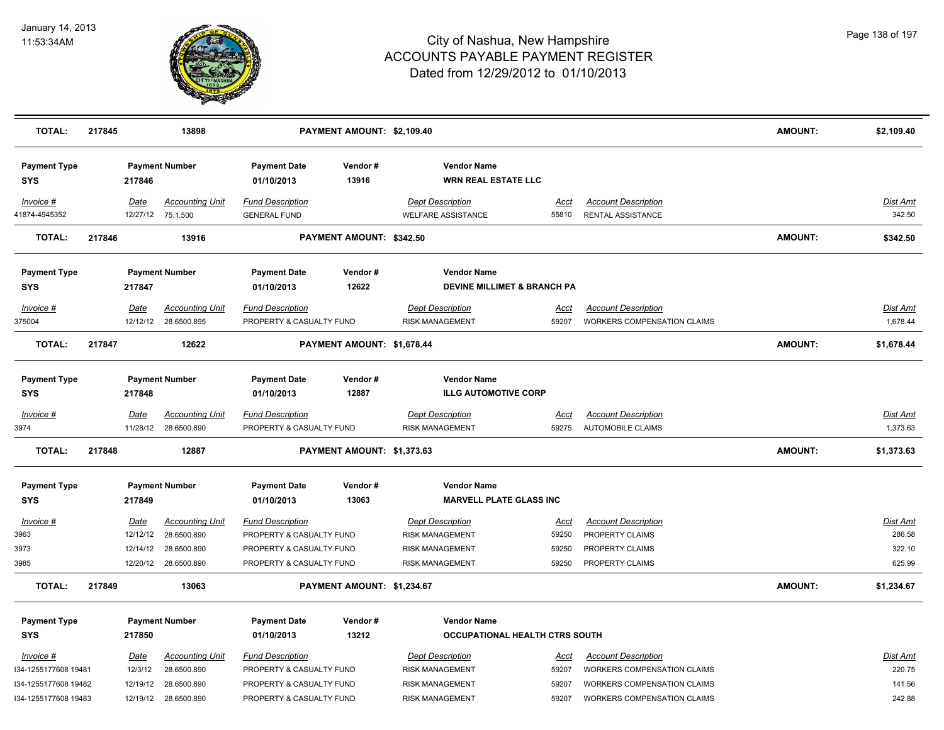

| <b>TOTAL:</b>                     | 217845 |                  | 13898                                       |                                                     | PAYMENT AMOUNT: \$2,109.40 |                                                              |                      |                                                        | AMOUNT:        | \$2,109.40                  |
|-----------------------------------|--------|------------------|---------------------------------------------|-----------------------------------------------------|----------------------------|--------------------------------------------------------------|----------------------|--------------------------------------------------------|----------------|-----------------------------|
| <b>Payment Type</b><br>SYS        |        | 217846           | <b>Payment Number</b>                       | <b>Payment Date</b><br>01/10/2013                   | Vendor#<br>13916           | <b>Vendor Name</b><br><b>WRN REAL ESTATE LLC</b>             |                      |                                                        |                |                             |
| Invoice #<br>41874-4945352        |        | Date             | <b>Accounting Unit</b><br>12/27/12 75.1.500 | <b>Fund Description</b><br><b>GENERAL FUND</b>      |                            | <b>Dept Description</b><br><b>WELFARE ASSISTANCE</b>         | Acct<br>55810        | <b>Account Description</b><br>RENTAL ASSISTANCE        |                | Dist Amt<br>342.50          |
| <b>TOTAL:</b>                     | 217846 |                  | 13916                                       |                                                     | PAYMENT AMOUNT: \$342.50   |                                                              |                      |                                                        | <b>AMOUNT:</b> | \$342.50                    |
| <b>Payment Type</b><br><b>SYS</b> |        | 217847           | <b>Payment Number</b>                       | <b>Payment Date</b><br>01/10/2013                   | Vendor#<br>12622           | <b>Vendor Name</b><br><b>DEVINE MILLIMET &amp; BRANCH PA</b> |                      |                                                        |                |                             |
| Invoice #                         |        | <b>Date</b>      | <b>Accounting Unit</b>                      | <b>Fund Description</b>                             |                            | <b>Dept Description</b>                                      | <u>Acct</u>          | <b>Account Description</b>                             |                | <b>Dist Amt</b>             |
| 375004                            |        | 12/12/12         | 28.6500.895                                 | PROPERTY & CASUALTY FUND                            |                            | <b>RISK MANAGEMENT</b>                                       | 59207                | <b>WORKERS COMPENSATION CLAIMS</b>                     |                | 1,678.44                    |
| <b>TOTAL:</b>                     | 217847 |                  | 12622                                       |                                                     | PAYMENT AMOUNT: \$1,678.44 |                                                              |                      |                                                        | <b>AMOUNT:</b> | \$1,678.44                  |
| <b>Payment Type</b><br>SYS        |        | 217848           | <b>Payment Number</b>                       | <b>Payment Date</b><br>01/10/2013                   | Vendor#<br>12887           | <b>Vendor Name</b><br><b>ILLG AUTOMOTIVE CORP</b>            |                      |                                                        |                |                             |
| $Invoice$ #<br>3974               |        | Date<br>11/28/12 | <b>Accounting Unit</b><br>28.6500.890       | <b>Fund Description</b><br>PROPERTY & CASUALTY FUND |                            | <b>Dept Description</b><br><b>RISK MANAGEMENT</b>            | <u>Acct</u><br>59275 | <b>Account Description</b><br><b>AUTOMOBILE CLAIMS</b> |                | <b>Dist Amt</b><br>1,373.63 |
| <b>TOTAL:</b>                     | 217848 |                  | 12887                                       |                                                     | PAYMENT AMOUNT: \$1,373.63 |                                                              |                      |                                                        | <b>AMOUNT:</b> | \$1,373.63                  |
| <b>Payment Type</b><br><b>SYS</b> |        | 217849           | <b>Payment Number</b>                       | <b>Payment Date</b><br>01/10/2013                   | Vendor#<br>13063           | <b>Vendor Name</b><br><b>MARVELL PLATE GLASS INC</b>         |                      |                                                        |                |                             |
|                                   |        |                  |                                             |                                                     |                            |                                                              |                      |                                                        |                |                             |
| Invoice #<br>3963                 |        | Date<br>12/12/12 | <b>Accounting Unit</b><br>28.6500.890       | <b>Fund Description</b><br>PROPERTY & CASUALTY FUND |                            | <b>Dept Description</b><br><b>RISK MANAGEMENT</b>            | <u>Acct</u><br>59250 | <b>Account Description</b><br>PROPERTY CLAIMS          |                | <b>Dist Amt</b><br>286.58   |
| 3973                              |        | 12/14/12         | 28.6500.890                                 | PROPERTY & CASUALTY FUND                            |                            | <b>RISK MANAGEMENT</b>                                       | 59250                | PROPERTY CLAIMS                                        |                | 322.10                      |
| 3985                              |        | 12/20/12         | 28.6500.890                                 | PROPERTY & CASUALTY FUND                            |                            | <b>RISK MANAGEMENT</b>                                       | 59250                | PROPERTY CLAIMS                                        |                | 625.99                      |
| <b>TOTAL:</b>                     | 217849 |                  | 13063                                       |                                                     | PAYMENT AMOUNT: \$1,234.67 |                                                              |                      |                                                        | AMOUNT:        | \$1,234.67                  |
|                                   |        |                  |                                             |                                                     |                            |                                                              |                      |                                                        |                |                             |
| <b>Payment Type</b><br><b>SYS</b> |        | 217850           | <b>Payment Number</b>                       | <b>Payment Date</b><br>01/10/2013                   | Vendor#<br>13212           | <b>Vendor Name</b><br>OCCUPATIONAL HEALTH CTRS SOUTH         |                      |                                                        |                |                             |
|                                   |        |                  |                                             |                                                     |                            |                                                              |                      |                                                        |                |                             |
| $Invoice$ #                       |        | <u>Date</u>      | <b>Accounting Unit</b>                      | <b>Fund Description</b>                             |                            | <b>Dept Description</b>                                      | Acct                 | <b>Account Description</b>                             |                | Dist Amt                    |
| 134-1255177608 19481              |        | 12/3/12          | 28.6500.890                                 | PROPERTY & CASUALTY FUND                            |                            | <b>RISK MANAGEMENT</b>                                       | 59207                | WORKERS COMPENSATION CLAIMS                            |                | 220.75                      |
| I34-1255177608 19482              |        | 12/19/12         | 28.6500.890                                 | PROPERTY & CASUALTY FUND                            |                            | <b>RISK MANAGEMENT</b>                                       | 59207                | <b>WORKERS COMPENSATION CLAIMS</b>                     |                | 141.56                      |
| I34-1255177608 19483              |        |                  | 12/19/12 28.6500.890                        | PROPERTY & CASUALTY FUND                            |                            | <b>RISK MANAGEMENT</b>                                       | 59207                | WORKERS COMPENSATION CLAIMS                            |                | 242.88                      |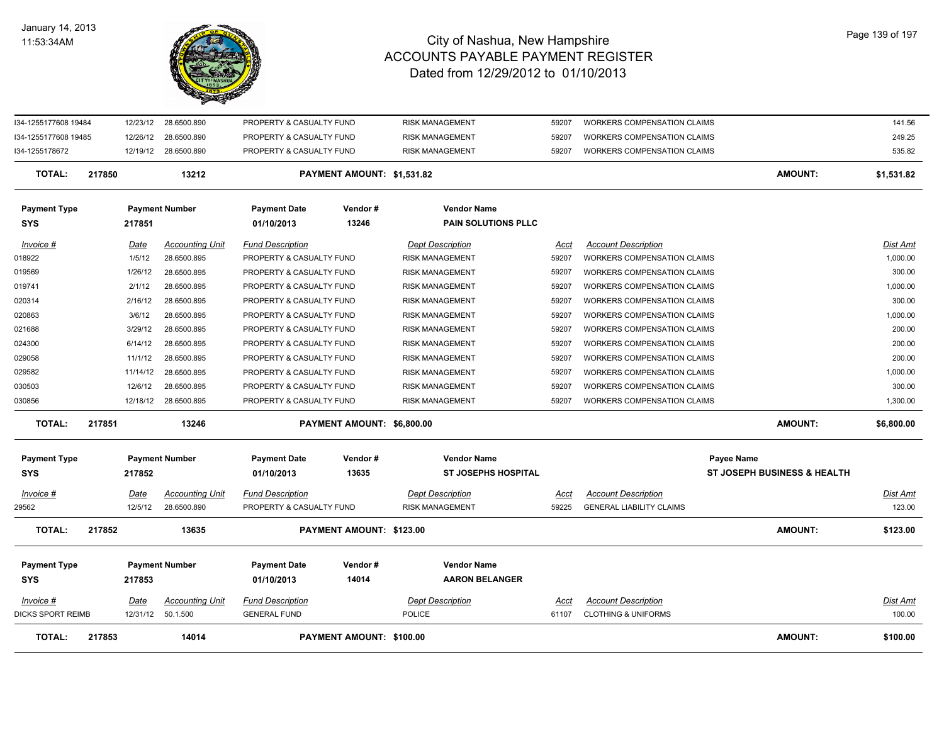

| <b>TOTAL:</b>                     | 217853                  | 14014                              |                                                      | PAYMENT AMOUNT: \$100.00   |                                                  |                      |                                                                          | <b>AMOUNT:</b>                                       | \$100.00                  |
|-----------------------------------|-------------------------|------------------------------------|------------------------------------------------------|----------------------------|--------------------------------------------------|----------------------|--------------------------------------------------------------------------|------------------------------------------------------|---------------------------|
| $Invoice$ #<br>DICKS SPORT REIMB  | <u>Date</u><br>12/31/12 | <b>Accounting Unit</b><br>50.1.500 | <b>Fund Description</b><br><b>GENERAL FUND</b>       |                            | <b>Dept Description</b><br><b>POLICE</b>         | <u>Acct</u><br>61107 | <b>Account Description</b><br><b>CLOTHING &amp; UNIFORMS</b>             |                                                      | <u>Dist Amt</u><br>100.00 |
| <b>Payment Type</b><br><b>SYS</b> | 217853                  | <b>Payment Number</b>              | <b>Payment Date</b><br>01/10/2013                    | Vendor#<br>14014           | <b>Vendor Name</b><br><b>AARON BELANGER</b>      |                      |                                                                          |                                                      |                           |
| <b>TOTAL:</b>                     | 217852                  | 13635                              |                                                      | PAYMENT AMOUNT: \$123.00   |                                                  |                      |                                                                          | <b>AMOUNT:</b>                                       | \$123.00                  |
| 29562                             | 12/5/12                 | 28.6500.890                        | PROPERTY & CASUALTY FUND                             |                            | <b>RISK MANAGEMENT</b>                           | 59225                | <b>GENERAL LIABILITY CLAIMS</b>                                          |                                                      | 123.00                    |
| Invoice #                         | Date                    | <b>Accounting Unit</b>             | <b>Fund Description</b>                              |                            | <b>Dept Description</b>                          | Acct                 | <b>Account Description</b>                                               |                                                      | <u>Dist Amt</u>           |
| <b>Payment Type</b><br><b>SYS</b> | 217852                  | <b>Payment Number</b>              | <b>Payment Date</b><br>01/10/2013                    | Vendor#<br>13635           | <b>Vendor Name</b><br><b>ST JOSEPHS HOSPITAL</b> |                      |                                                                          | Payee Name<br><b>ST JOSEPH BUSINESS &amp; HEALTH</b> |                           |
| <b>TOTAL:</b>                     | 217851                  | 13246                              |                                                      | PAYMENT AMOUNT: \$6,800.00 |                                                  |                      |                                                                          | <b>AMOUNT:</b>                                       | \$6,800.00                |
| 030856                            | 12/18/12                | 28.6500.895                        | PROPERTY & CASUALTY FUND                             |                            | <b>RISK MANAGEMENT</b>                           | 59207                | <b>WORKERS COMPENSATION CLAIMS</b>                                       |                                                      | 1,300.00                  |
| 030503                            | 12/6/12                 | 28.6500.895                        | PROPERTY & CASUALTY FUND                             |                            | <b>RISK MANAGEMENT</b>                           | 59207                | <b>WORKERS COMPENSATION CLAIMS</b>                                       |                                                      | 300.00                    |
| 029582                            | 11/14/12                | 28.6500.895                        | PROPERTY & CASUALTY FUND                             |                            | RISK MANAGEMENT                                  | 59207                | WORKERS COMPENSATION CLAIMS                                              |                                                      | 1,000.00                  |
| 029058                            | 11/1/12                 | 28.6500.895                        | PROPERTY & CASUALTY FUND                             |                            | RISK MANAGEMENT                                  | 59207                | WORKERS COMPENSATION CLAIMS                                              |                                                      | 200.00                    |
| 024300                            | 6/14/12                 | 28.6500.895                        | PROPERTY & CASUALTY FUND                             |                            | <b>RISK MANAGEMENT</b>                           | 59207                | WORKERS COMPENSATION CLAIMS                                              |                                                      | 200.00                    |
| 021688                            | 3/29/12                 | 28.6500.895                        | PROPERTY & CASUALTY FUND                             |                            | <b>RISK MANAGEMENT</b>                           | 59207                | WORKERS COMPENSATION CLAIMS                                              |                                                      | 200.00                    |
| 020863                            | 3/6/12                  | 28.6500.895                        | PROPERTY & CASUALTY FUND                             |                            | RISK MANAGEMENT                                  | 59207                | WORKERS COMPENSATION CLAIMS                                              |                                                      | 1,000.00                  |
| 020314                            | 2/16/12                 | 28.6500.895                        | PROPERTY & CASUALTY FUND                             |                            | RISK MANAGEMENT                                  | 59207                | WORKERS COMPENSATION CLAIMS                                              |                                                      | 300.00                    |
| 019569<br>019741                  | 1/26/12<br>2/1/12       | 28.6500.895<br>28.6500.895         | PROPERTY & CASUALTY FUND<br>PROPERTY & CASUALTY FUND |                            | <b>RISK MANAGEMENT</b><br><b>RISK MANAGEMENT</b> | 59207<br>59207       | <b>WORKERS COMPENSATION CLAIMS</b><br><b>WORKERS COMPENSATION CLAIMS</b> |                                                      | 300.00<br>1,000.00        |
| 018922                            | 1/5/12                  | 28.6500.895                        | PROPERTY & CASUALTY FUND                             |                            | <b>RISK MANAGEMENT</b>                           | 59207                | <b>WORKERS COMPENSATION CLAIMS</b>                                       |                                                      | 1,000.00                  |
| Invoice #                         | <b>Date</b>             | <b>Accounting Unit</b>             | <b>Fund Description</b>                              |                            | <b>Dept Description</b>                          | Acct                 | <b>Account Description</b>                                               |                                                      | Dist Amt                  |
| <b>Payment Type</b><br><b>SYS</b> | 217851                  | <b>Payment Number</b>              | <b>Payment Date</b><br>01/10/2013                    | Vendor#<br>13246           | <b>Vendor Name</b><br><b>PAIN SOLUTIONS PLLC</b> |                      |                                                                          |                                                      |                           |
| <b>TOTAL:</b>                     | 217850                  | 13212                              |                                                      | PAYMENT AMOUNT: \$1,531.82 |                                                  |                      |                                                                          | <b>AMOUNT:</b>                                       | \$1,531.82                |
| I34-1255178672                    |                         | 12/19/12 28.6500.890               | PROPERTY & CASUALTY FUND                             |                            | <b>RISK MANAGEMENT</b>                           | 59207                | <b>WORKERS COMPENSATION CLAIMS</b>                                       |                                                      | 535.82                    |
| I34-1255177608 19485              | 12/26/12                | 28.6500.890                        | PROPERTY & CASUALTY FUND                             |                            | <b>RISK MANAGEMENT</b>                           | 59207                | <b>WORKERS COMPENSATION CLAIMS</b>                                       |                                                      | 249.25                    |
| I34-1255177608 19484              | 12/23/12                | 28.6500.890                        | PROPERTY & CASUALTY FUND                             |                            | <b>RISK MANAGEMENT</b>                           | 59207                | <b>WORKERS COMPENSATION CLAIMS</b>                                       |                                                      | 141.56                    |
|                                   |                         |                                    |                                                      |                            |                                                  |                      |                                                                          |                                                      |                           |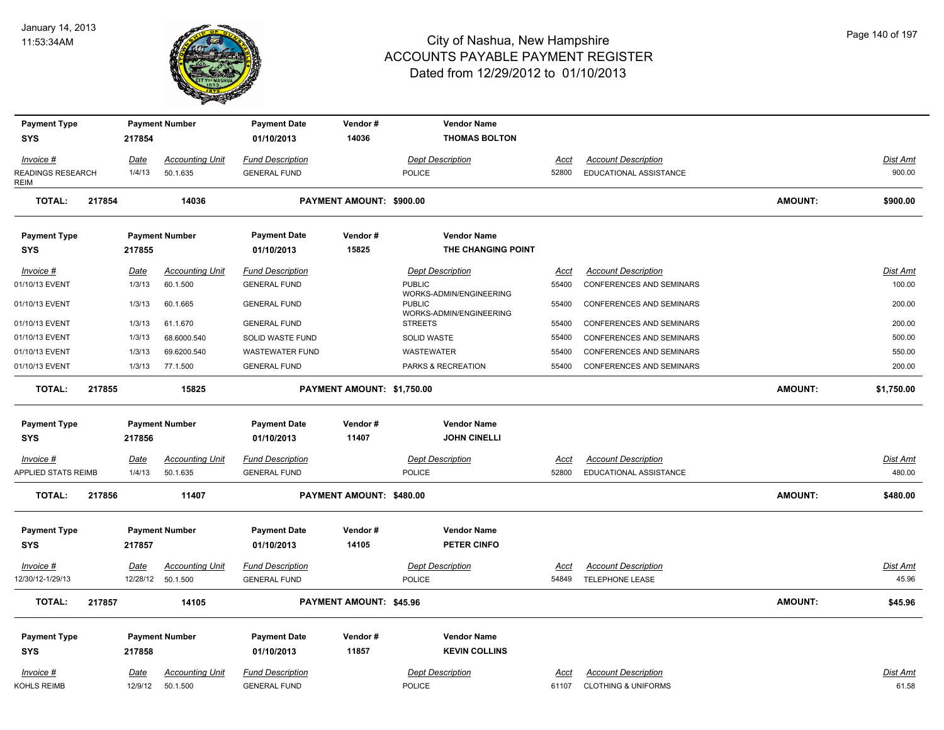

| <b>Payment Type</b><br><b>SYS</b> | 217854      | <b>Payment Number</b>  | <b>Payment Date</b><br>01/10/2013 | Vendor#<br>14036               | <b>Vendor Name</b><br><b>THOMAS BOLTON</b>                          |             |                                 |                |                 |
|-----------------------------------|-------------|------------------------|-----------------------------------|--------------------------------|---------------------------------------------------------------------|-------------|---------------------------------|----------------|-----------------|
| Invoice #                         | <u>Date</u> | <b>Accounting Unit</b> | <b>Fund Description</b>           |                                | <b>Dept Description</b>                                             | <u>Acct</u> | <b>Account Description</b>      |                | Dist Amt        |
| READINGS RESEARCH<br>REIM         | 1/4/13      | 50.1.635               | <b>GENERAL FUND</b>               |                                | <b>POLICE</b>                                                       | 52800       | EDUCATIONAL ASSISTANCE          |                | 900.00          |
| TOTAL:<br>217854                  |             | 14036                  |                                   | PAYMENT AMOUNT: \$900.00       |                                                                     |             |                                 | <b>AMOUNT:</b> | \$900.00        |
| <b>Payment Type</b>               |             | <b>Payment Number</b>  | <b>Payment Date</b>               | Vendor#                        | <b>Vendor Name</b>                                                  |             |                                 |                |                 |
| <b>SYS</b>                        | 217855      |                        | 01/10/2013                        | 15825                          | THE CHANGING POINT                                                  |             |                                 |                |                 |
| Invoice #                         | Date        | <b>Accounting Unit</b> | <b>Fund Description</b>           |                                | <b>Dept Description</b>                                             | Acct        | <b>Account Description</b>      |                | Dist Amt        |
| 01/10/13 EVENT                    | 1/3/13      | 60.1.500               | <b>GENERAL FUND</b>               |                                | <b>PUBLIC</b>                                                       | 55400       | CONFERENCES AND SEMINARS        |                | 100.00          |
| 01/10/13 EVENT                    | 1/3/13      | 60.1.665               | <b>GENERAL FUND</b>               |                                | WORKS-ADMIN/ENGINEERING<br><b>PUBLIC</b><br>WORKS-ADMIN/ENGINEERING | 55400       | <b>CONFERENCES AND SEMINARS</b> |                | 200.00          |
| 01/10/13 EVENT                    | 1/3/13      | 61.1.670               | <b>GENERAL FUND</b>               |                                | <b>STREETS</b>                                                      | 55400       | <b>CONFERENCES AND SEMINARS</b> |                | 200.00          |
| 01/10/13 EVENT                    | 1/3/13      | 68.6000.540            | SOLID WASTE FUND                  |                                | SOLID WASTE                                                         | 55400       | <b>CONFERENCES AND SEMINARS</b> |                | 500.00          |
| 01/10/13 EVENT                    | 1/3/13      | 69.6200.540            | <b>WASTEWATER FUND</b>            |                                | WASTEWATER                                                          | 55400       | CONFERENCES AND SEMINARS        |                | 550.00          |
| 01/10/13 EVENT                    | 1/3/13      | 77.1.500               | <b>GENERAL FUND</b>               |                                | PARKS & RECREATION                                                  | 55400       | <b>CONFERENCES AND SEMINARS</b> |                | 200.00          |
| <b>TOTAL:</b><br>217855           |             | 15825                  |                                   | PAYMENT AMOUNT: \$1,750.00     |                                                                     |             |                                 | <b>AMOUNT:</b> | \$1,750.00      |
| <b>Payment Type</b>               |             | <b>Payment Number</b>  | <b>Payment Date</b>               | Vendor#                        | <b>Vendor Name</b>                                                  |             |                                 |                |                 |
| <b>SYS</b>                        | 217856      |                        | 01/10/2013                        | 11407                          | <b>JOHN CINELLI</b>                                                 |             |                                 |                |                 |
| <b>Invoice #</b>                  | <u>Date</u> | <b>Accounting Unit</b> | <b>Fund Description</b>           |                                | <b>Dept Description</b>                                             | <u>Acct</u> | <b>Account Description</b>      |                | <u>Dist Amt</u> |
| APPLIED STATS REIMB               | 1/4/13      | 50.1.635               | <b>GENERAL FUND</b>               |                                | <b>POLICE</b>                                                       | 52800       | EDUCATIONAL ASSISTANCE          |                | 480.00          |
| <b>TOTAL:</b><br>217856           |             | 11407                  |                                   | PAYMENT AMOUNT: \$480.00       |                                                                     |             |                                 | <b>AMOUNT:</b> | \$480.00        |
| <b>Payment Type</b>               |             | <b>Payment Number</b>  | <b>Payment Date</b>               | Vendor#                        | <b>Vendor Name</b>                                                  |             |                                 |                |                 |
| <b>SYS</b>                        | 217857      |                        | 01/10/2013                        | 14105                          | PETER CINFO                                                         |             |                                 |                |                 |
| Invoice #                         | <u>Date</u> | <b>Accounting Unit</b> | <b>Fund Description</b>           |                                | <b>Dept Description</b>                                             | <u>Acct</u> | <b>Account Description</b>      |                | Dist Amt        |
| 12/30/12-1/29/13                  |             | 12/28/12 50.1.500      | <b>GENERAL FUND</b>               |                                | <b>POLICE</b>                                                       | 54849       | TELEPHONE LEASE                 |                | 45.96           |
| <b>TOTAL:</b><br>217857           |             | 14105                  |                                   | <b>PAYMENT AMOUNT: \$45.96</b> |                                                                     |             |                                 | AMOUNT:        | \$45.96         |
| <b>Payment Type</b>               |             | <b>Payment Number</b>  | <b>Payment Date</b>               | Vendor#                        | <b>Vendor Name</b>                                                  |             |                                 |                |                 |
| <b>SYS</b>                        | 217858      |                        | 01/10/2013                        | 11857                          | <b>KEVIN COLLINS</b>                                                |             |                                 |                |                 |
| Invoice #                         | Date        | <b>Accounting Unit</b> | <b>Fund Description</b>           |                                | <b>Dept Description</b>                                             | Acct        | <b>Account Description</b>      |                | <b>Dist Amt</b> |
| KOHLS REIMB                       | 12/9/12     | 50.1.500               | <b>GENERAL FUND</b>               |                                | <b>POLICE</b>                                                       | 61107       | <b>CLOTHING &amp; UNIFORMS</b>  |                | 61.58           |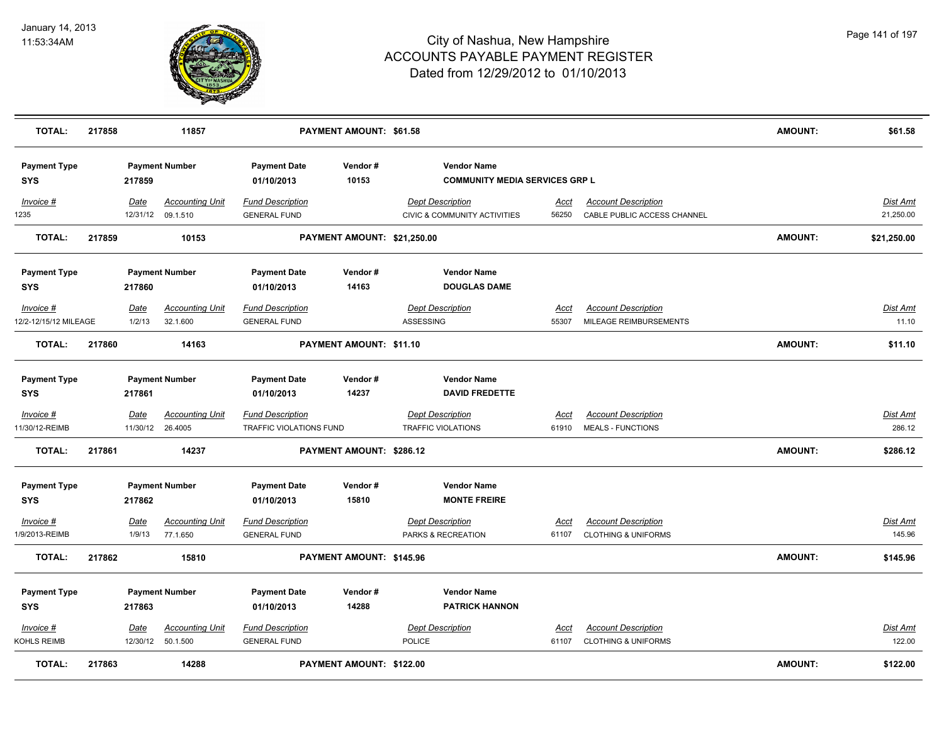

| <b>TOTAL:</b>                      | 217858 |                | 11857                                       |                                                | <b>PAYMENT AMOUNT: \$61.58</b>  |                                                             |                      |                                                           | <b>AMOUNT:</b> | \$61.58                      |
|------------------------------------|--------|----------------|---------------------------------------------|------------------------------------------------|---------------------------------|-------------------------------------------------------------|----------------------|-----------------------------------------------------------|----------------|------------------------------|
| <b>Payment Type</b><br><b>SYS</b>  |        | 217859         | <b>Payment Number</b>                       | <b>Payment Date</b><br>01/10/2013              | Vendor#<br>10153                | <b>Vendor Name</b><br><b>COMMUNITY MEDIA SERVICES GRP L</b> |                      |                                                           |                |                              |
| Invoice #<br>1235                  |        | Date           | <b>Accounting Unit</b><br>12/31/12 09.1.510 | <b>Fund Description</b><br><b>GENERAL FUND</b> |                                 | <b>Dept Description</b><br>CIVIC & COMMUNITY ACTIVITIES     | <u>Acct</u><br>56250 | <b>Account Description</b><br>CABLE PUBLIC ACCESS CHANNEL |                | <b>Dist Amt</b><br>21,250.00 |
| <b>TOTAL:</b>                      | 217859 |                | 10153                                       |                                                | PAYMENT AMOUNT: \$21,250.00     |                                                             |                      |                                                           | <b>AMOUNT:</b> | \$21,250.00                  |
| <b>Payment Type</b>                |        |                | <b>Payment Number</b>                       | <b>Payment Date</b>                            | Vendor#                         | <b>Vendor Name</b>                                          |                      |                                                           |                |                              |
| <b>SYS</b>                         |        | 217860         |                                             | 01/10/2013                                     | 14163                           | <b>DOUGLAS DAME</b>                                         |                      |                                                           |                |                              |
| Invoice #<br>12/2-12/15/12 MILEAGE |        | Date<br>1/2/13 | <b>Accounting Unit</b><br>32.1.600          | <b>Fund Description</b><br><b>GENERAL FUND</b> |                                 | <b>Dept Description</b><br>ASSESSING                        | Acct<br>55307        | <b>Account Description</b><br>MILEAGE REIMBURSEMENTS      |                | Dist Amt<br>11.10            |
|                                    |        |                |                                             |                                                |                                 |                                                             |                      |                                                           |                |                              |
| <b>TOTAL:</b>                      | 217860 |                | 14163                                       |                                                | PAYMENT AMOUNT: \$11.10         |                                                             |                      |                                                           | <b>AMOUNT:</b> | \$11.10                      |
| <b>Payment Type</b>                |        |                | <b>Payment Number</b>                       | <b>Payment Date</b>                            | Vendor#                         | <b>Vendor Name</b>                                          |                      |                                                           |                |                              |
| <b>SYS</b>                         |        | 217861         |                                             | 01/10/2013                                     | 14237                           | <b>DAVID FREDETTE</b>                                       |                      |                                                           |                |                              |
| Invoice #                          |        | <b>Date</b>    | <b>Accounting Unit</b>                      | <b>Fund Description</b>                        |                                 | <b>Dept Description</b>                                     | <u>Acct</u>          | <b>Account Description</b>                                |                | <u>Dist Amt</u>              |
| 11/30/12-REIMB                     |        | 11/30/12       | 26.4005                                     | TRAFFIC VIOLATIONS FUND                        |                                 | <b>TRAFFIC VIOLATIONS</b>                                   | 61910                | <b>MEALS - FUNCTIONS</b>                                  |                | 286.12                       |
| <b>TOTAL:</b>                      | 217861 |                | 14237                                       |                                                | <b>PAYMENT AMOUNT: \$286.12</b> |                                                             |                      |                                                           | <b>AMOUNT:</b> | \$286.12                     |
| <b>Payment Type</b>                |        |                | <b>Payment Number</b>                       | <b>Payment Date</b>                            | Vendor#                         | <b>Vendor Name</b>                                          |                      |                                                           |                |                              |
| <b>SYS</b>                         |        | 217862         |                                             | 01/10/2013                                     | 15810                           | <b>MONTE FREIRE</b>                                         |                      |                                                           |                |                              |
| Invoice #                          |        | Date           | <b>Accounting Unit</b>                      | <b>Fund Description</b>                        |                                 | <b>Dept Description</b>                                     | Acct                 | <b>Account Description</b>                                |                | <b>Dist Amt</b>              |
| 1/9/2013-REIMB                     |        | 1/9/13         | 77.1.650                                    | <b>GENERAL FUND</b>                            |                                 | PARKS & RECREATION                                          | 61107                | <b>CLOTHING &amp; UNIFORMS</b>                            |                | 145.96                       |
| <b>TOTAL:</b>                      | 217862 |                | 15810                                       |                                                | PAYMENT AMOUNT: \$145.96        |                                                             |                      |                                                           | <b>AMOUNT:</b> | \$145.96                     |
| <b>Payment Type</b>                |        |                | <b>Payment Number</b>                       | <b>Payment Date</b>                            | Vendor#                         | <b>Vendor Name</b>                                          |                      |                                                           |                |                              |
| <b>SYS</b>                         |        | 217863         |                                             | 01/10/2013                                     | 14288                           | <b>PATRICK HANNON</b>                                       |                      |                                                           |                |                              |
| Invoice #                          |        | Date           | <b>Accounting Unit</b>                      | <b>Fund Description</b>                        |                                 | <b>Dept Description</b>                                     | Acct                 | <b>Account Description</b>                                |                | Dist Amt                     |
| KOHLS REIMB                        |        | 12/30/12       | 50.1.500                                    | <b>GENERAL FUND</b>                            |                                 | <b>POLICE</b>                                               | 61107                | <b>CLOTHING &amp; UNIFORMS</b>                            |                | 122.00                       |
| <b>TOTAL:</b>                      | 217863 |                | 14288                                       |                                                | <b>PAYMENT AMOUNT: \$122.00</b> |                                                             |                      |                                                           | <b>AMOUNT:</b> | \$122.00                     |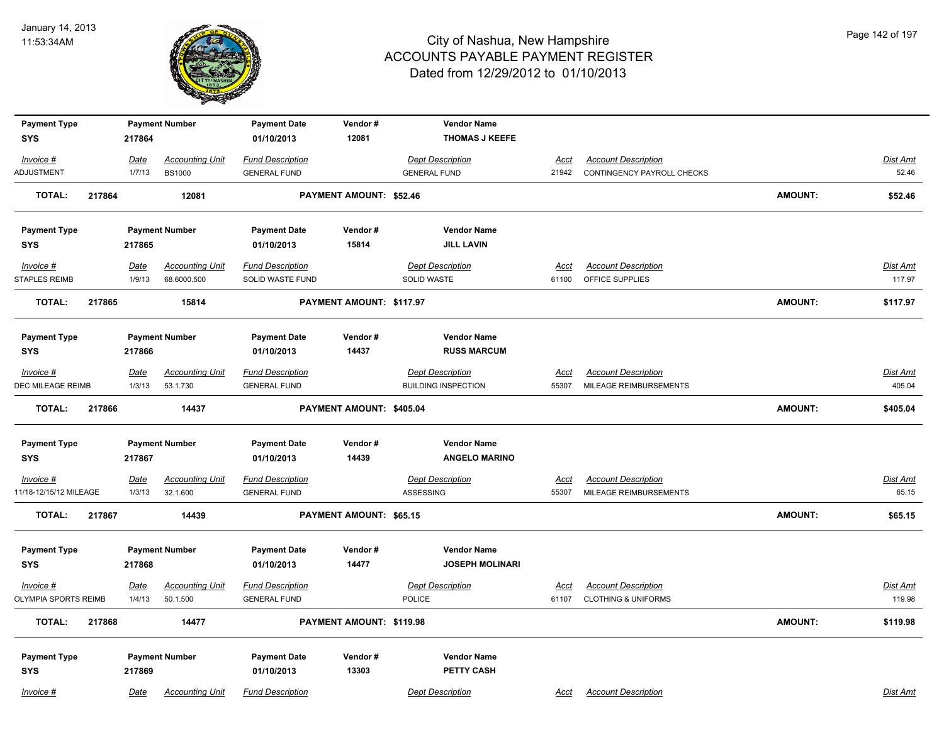

| <b>Payment Type</b>    |        |        | <b>Payment Number</b>  | <b>Payment Date</b>     | Vendor#                        | <b>Vendor Name</b>         |             |                                |                |                 |
|------------------------|--------|--------|------------------------|-------------------------|--------------------------------|----------------------------|-------------|--------------------------------|----------------|-----------------|
| <b>SYS</b>             |        | 217864 |                        | 01/10/2013              | 12081                          | <b>THOMAS J KEEFE</b>      |             |                                |                |                 |
| $Invoice$ #            |        | Date   | <b>Accounting Unit</b> | <b>Fund Description</b> |                                | <b>Dept Description</b>    | <u>Acct</u> | <b>Account Description</b>     |                | Dist Amt        |
| ADJUSTMENT             |        | 1/7/13 | <b>BS1000</b>          | <b>GENERAL FUND</b>     |                                | <b>GENERAL FUND</b>        | 21942       | CONTINGENCY PAYROLL CHECKS     |                | 52.46           |
| <b>TOTAL:</b>          | 217864 |        | 12081                  |                         | <b>PAYMENT AMOUNT: \$52.46</b> |                            |             |                                | <b>AMOUNT:</b> | \$52.46         |
| <b>Payment Type</b>    |        |        | <b>Payment Number</b>  | <b>Payment Date</b>     | Vendor#                        | <b>Vendor Name</b>         |             |                                |                |                 |
| <b>SYS</b>             |        | 217865 |                        | 01/10/2013              | 15814                          | <b>JILL LAVIN</b>          |             |                                |                |                 |
| $Invoice$ #            |        | Date   | <b>Accounting Unit</b> | <b>Fund Description</b> |                                | <b>Dept Description</b>    | <u>Acct</u> | <b>Account Description</b>     |                | <b>Dist Amt</b> |
| <b>STAPLES REIMB</b>   |        | 1/9/13 | 68.6000.500            | SOLID WASTE FUND        |                                | SOLID WASTE                | 61100       | OFFICE SUPPLIES                |                | 117.97          |
| <b>TOTAL:</b>          | 217865 |        | 15814                  |                         | PAYMENT AMOUNT: \$117.97       |                            |             |                                | <b>AMOUNT:</b> | \$117.97        |
| <b>Payment Type</b>    |        |        | <b>Payment Number</b>  | <b>Payment Date</b>     | Vendor#                        | <b>Vendor Name</b>         |             |                                |                |                 |
| <b>SYS</b>             |        | 217866 |                        | 01/10/2013              | 14437                          | <b>RUSS MARCUM</b>         |             |                                |                |                 |
| Invoice #              |        | Date   | <b>Accounting Unit</b> | <b>Fund Description</b> |                                | <b>Dept Description</b>    | Acct        | <b>Account Description</b>     |                | Dist Amt        |
| DEC MILEAGE REIMB      |        | 1/3/13 | 53.1.730               | <b>GENERAL FUND</b>     |                                | <b>BUILDING INSPECTION</b> | 55307       | MILEAGE REIMBURSEMENTS         |                | 405.04          |
| <b>TOTAL:</b>          | 217866 |        | 14437                  |                         | PAYMENT AMOUNT: \$405.04       |                            |             |                                | <b>AMOUNT:</b> | \$405.04        |
| <b>Payment Type</b>    |        |        | <b>Payment Number</b>  | <b>Payment Date</b>     | Vendor#                        | <b>Vendor Name</b>         |             |                                |                |                 |
| <b>SYS</b>             |        | 217867 |                        | 01/10/2013              | 14439                          | <b>ANGELO MARINO</b>       |             |                                |                |                 |
| Invoice #              |        | Date   | <b>Accounting Unit</b> | <b>Fund Description</b> |                                | <b>Dept Description</b>    | <u>Acct</u> | <b>Account Description</b>     |                | Dist Amt        |
| 11/18-12/15/12 MILEAGE |        | 1/3/13 | 32.1.600               | <b>GENERAL FUND</b>     |                                | ASSESSING                  | 55307       | MILEAGE REIMBURSEMENTS         |                | 65.15           |
| <b>TOTAL:</b>          | 217867 |        | 14439                  |                         | PAYMENT AMOUNT: \$65.15        |                            |             |                                | <b>AMOUNT:</b> | \$65.15         |
| <b>Payment Type</b>    |        |        | <b>Payment Number</b>  | <b>Payment Date</b>     | Vendor#                        | <b>Vendor Name</b>         |             |                                |                |                 |
| <b>SYS</b>             |        | 217868 |                        | 01/10/2013              | 14477                          | <b>JOSEPH MOLINARI</b>     |             |                                |                |                 |
| Invoice #              |        | Date   | <b>Accounting Unit</b> | <b>Fund Description</b> |                                | <b>Dept Description</b>    | Acct        | <b>Account Description</b>     |                | <u>Dist Amt</u> |
| OLYMPIA SPORTS REIMB   |        | 1/4/13 | 50.1.500               | <b>GENERAL FUND</b>     |                                | <b>POLICE</b>              | 61107       | <b>CLOTHING &amp; UNIFORMS</b> |                | 119.98          |
| <b>TOTAL:</b>          | 217868 |        | 14477                  |                         | PAYMENT AMOUNT: \$119.98       |                            |             |                                | <b>AMOUNT:</b> | \$119.98        |
| <b>Payment Type</b>    |        |        | <b>Payment Number</b>  | <b>Payment Date</b>     | Vendor#                        | <b>Vendor Name</b>         |             |                                |                |                 |
| <b>SYS</b>             |        | 217869 |                        | 01/10/2013              | 13303                          | <b>PETTY CASH</b>          |             |                                |                |                 |
| Invoice #              |        | Date   | <b>Accounting Unit</b> | <b>Fund Description</b> |                                | <b>Dept Description</b>    | Acct        | <b>Account Description</b>     |                | Dist Amt        |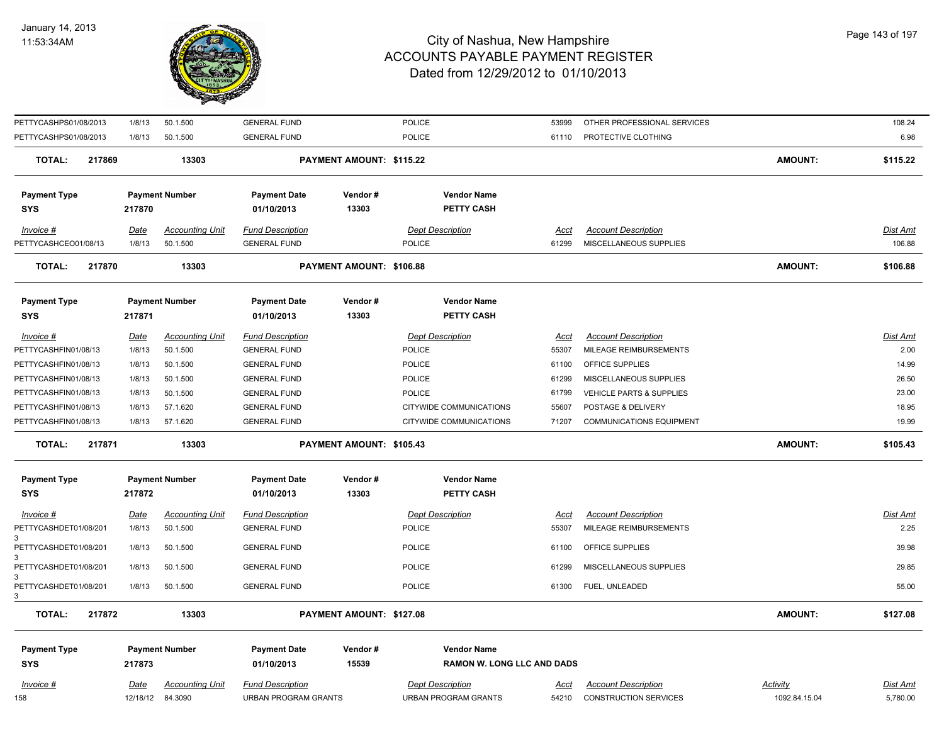

| PETTYCASHPS01/08/2013             | 1/8/13      | 50.1.500               | <b>GENERAL FUND</b>               |                          | POLICE                                  | 53999       | OTHER PROFESSIONAL SERVICES     |                 | 108.24          |
|-----------------------------------|-------------|------------------------|-----------------------------------|--------------------------|-----------------------------------------|-------------|---------------------------------|-----------------|-----------------|
| PETTYCASHPS01/08/2013             | 1/8/13      | 50.1.500               | <b>GENERAL FUND</b>               |                          | POLICE                                  | 61110       | PROTECTIVE CLOTHING             |                 | 6.98            |
| <b>TOTAL:</b><br>217869           |             | 13303                  |                                   | PAYMENT AMOUNT: \$115.22 |                                         |             |                                 | <b>AMOUNT:</b>  | \$115.22        |
|                                   |             |                        |                                   |                          |                                         |             |                                 |                 |                 |
| <b>Payment Type</b><br><b>SYS</b> | 217870      | <b>Payment Number</b>  | <b>Payment Date</b><br>01/10/2013 | Vendor#<br>13303         | <b>Vendor Name</b><br><b>PETTY CASH</b> |             |                                 |                 |                 |
|                                   |             |                        |                                   |                          |                                         |             |                                 |                 |                 |
| Invoice #                         | <u>Date</u> | <b>Accounting Unit</b> | <b>Fund Description</b>           |                          | <b>Dept Description</b>                 | <u>Acct</u> | <b>Account Description</b>      |                 | <u>Dist Amt</u> |
| PETTYCASHCEO01/08/13              | 1/8/13      | 50.1.500               | <b>GENERAL FUND</b>               |                          | POLICE                                  | 61299       | MISCELLANEOUS SUPPLIES          |                 | 106.88          |
| TOTAL:<br>217870                  |             | 13303                  |                                   | PAYMENT AMOUNT: \$106.88 |                                         |             |                                 | <b>AMOUNT:</b>  | \$106.88        |
| <b>Payment Type</b>               |             | <b>Payment Number</b>  | <b>Payment Date</b>               | Vendor#                  | <b>Vendor Name</b>                      |             |                                 |                 |                 |
| <b>SYS</b>                        | 217871      |                        | 01/10/2013                        | 13303                    | <b>PETTY CASH</b>                       |             |                                 |                 |                 |
| Invoice #                         | Date        | <b>Accounting Unit</b> | <b>Fund Description</b>           |                          | <b>Dept Description</b>                 | Acct        | <b>Account Description</b>      |                 | Dist Amt        |
| PETTYCASHFIN01/08/13              | 1/8/13      | 50.1.500               | <b>GENERAL FUND</b>               |                          | POLICE                                  | 55307       | MILEAGE REIMBURSEMENTS          |                 | 2.00            |
| PETTYCASHFIN01/08/13              | 1/8/13      | 50.1.500               | <b>GENERAL FUND</b>               |                          | <b>POLICE</b>                           | 61100       | OFFICE SUPPLIES                 |                 | 14.99           |
| PETTYCASHFIN01/08/13              | 1/8/13      | 50.1.500               | <b>GENERAL FUND</b>               |                          | POLICE                                  | 61299       | MISCELLANEOUS SUPPLIES          |                 | 26.50           |
| PETTYCASHFIN01/08/13              | 1/8/13      | 50.1.500               | <b>GENERAL FUND</b>               |                          | POLICE                                  | 61799       | VEHICLE PARTS & SUPPLIES        |                 | 23.00           |
| PETTYCASHFIN01/08/13              | 1/8/13      | 57.1.620               | <b>GENERAL FUND</b>               |                          | CITYWIDE COMMUNICATIONS                 | 55607       | POSTAGE & DELIVERY              |                 | 18.95           |
| PETTYCASHFIN01/08/13              | 1/8/13      | 57.1.620               | <b>GENERAL FUND</b>               |                          | CITYWIDE COMMUNICATIONS                 | 71207       | <b>COMMUNICATIONS EQUIPMENT</b> |                 | 19.99           |
| <b>TOTAL:</b><br>217871           |             | 13303                  |                                   | PAYMENT AMOUNT: \$105.43 |                                         |             |                                 | <b>AMOUNT:</b>  | \$105.43        |
| <b>Payment Type</b>               |             | <b>Payment Number</b>  | <b>Payment Date</b>               | Vendor#                  | <b>Vendor Name</b>                      |             |                                 |                 |                 |
| <b>SYS</b>                        | 217872      |                        | 01/10/2013                        | 13303                    | <b>PETTY CASH</b>                       |             |                                 |                 |                 |
| <b>Invoice #</b>                  | <u>Date</u> | <b>Accounting Unit</b> | <b>Fund Description</b>           |                          | <b>Dept Description</b>                 | <u>Acct</u> | <b>Account Description</b>      |                 | <u>Dist Amt</u> |
| PETTYCASHDET01/08/201             | 1/8/13      | 50.1.500               | <b>GENERAL FUND</b>               |                          | POLICE                                  | 55307       | MILEAGE REIMBURSEMENTS          |                 | 2.25            |
| PETTYCASHDET01/08/201             | 1/8/13      | 50.1.500               | <b>GENERAL FUND</b>               |                          | POLICE                                  | 61100       | OFFICE SUPPLIES                 |                 | 39.98           |
| PETTYCASHDET01/08/201             | 1/8/13      | 50.1.500               | <b>GENERAL FUND</b>               |                          | POLICE                                  | 61299       | MISCELLANEOUS SUPPLIES          |                 | 29.85           |
| PETTYCASHDET01/08/201<br>3        | 1/8/13      | 50.1.500               | <b>GENERAL FUND</b>               |                          | POLICE                                  | 61300       | FUEL, UNLEADED                  |                 | 55.00           |
| <b>TOTAL:</b><br>217872           |             | 13303                  |                                   | PAYMENT AMOUNT: \$127.08 |                                         |             |                                 | <b>AMOUNT:</b>  | \$127.08        |
| <b>Payment Type</b>               |             | <b>Payment Number</b>  | <b>Payment Date</b>               | Vendor#                  | <b>Vendor Name</b>                      |             |                                 |                 |                 |
| <b>SYS</b>                        | 217873      |                        | 01/10/2013                        | 15539                    | <b>RAMON W. LONG LLC AND DADS</b>       |             |                                 |                 |                 |
| Invoice #                         | <u>Date</u> | <b>Accounting Unit</b> | <b>Fund Description</b>           |                          | <b>Dept Description</b>                 | <u>Acct</u> | <b>Account Description</b>      | <b>Activity</b> | Dist Amt        |
| 158                               | 12/18/12    | 84.3090                | <b>URBAN PROGRAM GRANTS</b>       |                          | <b>URBAN PROGRAM GRANTS</b>             | 54210       | <b>CONSTRUCTION SERVICES</b>    | 1092.84.15.04   | 5,780.00        |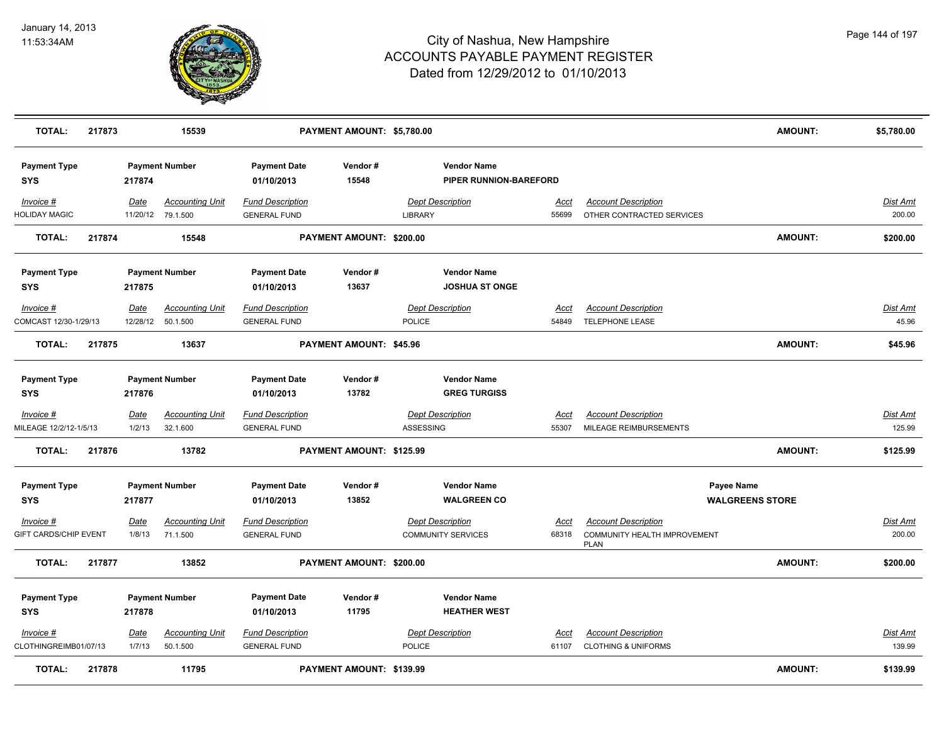

| <b>TOTAL:</b><br>217873               |                       | 15539                              |                                                | PAYMENT AMOUNT: \$5,780.00 |                                                      |                      |                                                                                  | <b>AMOUNT:</b>         | \$5,780.00                |
|---------------------------------------|-----------------------|------------------------------------|------------------------------------------------|----------------------------|------------------------------------------------------|----------------------|----------------------------------------------------------------------------------|------------------------|---------------------------|
| <b>Payment Type</b><br><b>SYS</b>     | 217874                | <b>Payment Number</b>              | <b>Payment Date</b><br>01/10/2013              | Vendor#<br>15548           | <b>Vendor Name</b><br>PIPER RUNNION-BAREFORD         |                      |                                                                                  |                        |                           |
| Invoice #<br><b>HOLIDAY MAGIC</b>     | Date<br>11/20/12      | <b>Accounting Unit</b><br>79.1.500 | <b>Fund Description</b><br><b>GENERAL FUND</b> |                            | <b>Dept Description</b><br>LIBRARY                   | Acct<br>55699        | <b>Account Description</b><br>OTHER CONTRACTED SERVICES                          |                        | <b>Dist Amt</b><br>200.00 |
| <b>TOTAL:</b><br>217874               |                       | 15548                              |                                                | PAYMENT AMOUNT: \$200.00   |                                                      |                      |                                                                                  | <b>AMOUNT:</b>         | \$200.00                  |
| <b>Payment Type</b><br><b>SYS</b>     | 217875                | <b>Payment Number</b>              | <b>Payment Date</b><br>01/10/2013              | Vendor#<br>13637           | <b>Vendor Name</b><br><b>JOSHUA ST ONGE</b>          |                      |                                                                                  |                        |                           |
| Invoice #<br>COMCAST 12/30-1/29/13    | Date<br>12/28/12      | <b>Accounting Unit</b><br>50.1.500 | <b>Fund Description</b><br><b>GENERAL FUND</b> |                            | <b>Dept Description</b><br>POLICE                    | <u>Acct</u><br>54849 | <b>Account Description</b><br><b>TELEPHONE LEASE</b>                             |                        | <u>Dist Amt</u><br>45.96  |
| <b>TOTAL:</b><br>217875               |                       | 13637                              |                                                | PAYMENT AMOUNT: \$45.96    |                                                      |                      |                                                                                  | <b>AMOUNT:</b>         | \$45.96                   |
| <b>Payment Type</b><br><b>SYS</b>     | 217876                | <b>Payment Number</b>              | <b>Payment Date</b><br>01/10/2013              | Vendor#<br>13782           | <b>Vendor Name</b><br><b>GREG TURGISS</b>            |                      |                                                                                  |                        |                           |
| $Invoice$ #<br>MILEAGE 12/2/12-1/5/13 | <u>Date</u><br>1/2/13 | <b>Accounting Unit</b><br>32.1.600 | <b>Fund Description</b><br><b>GENERAL FUND</b> |                            | <b>Dept Description</b><br>ASSESSING                 | <u>Acct</u><br>55307 | <b>Account Description</b><br>MILEAGE REIMBURSEMENTS                             |                        | <b>Dist Amt</b><br>125.99 |
| <b>TOTAL:</b><br>217876               |                       | 13782                              |                                                | PAYMENT AMOUNT: \$125.99   |                                                      |                      |                                                                                  | <b>AMOUNT:</b>         | \$125.99                  |
| <b>Payment Type</b><br><b>SYS</b>     | 217877                | <b>Payment Number</b>              | <b>Payment Date</b><br>01/10/2013              | Vendor#<br>13852           | <b>Vendor Name</b><br><b>WALGREEN CO</b>             |                      | Payee Name                                                                       | <b>WALGREENS STORE</b> |                           |
| Invoice #<br>GIFT CARDS/CHIP EVENT    | Date<br>1/8/13        | <b>Accounting Unit</b><br>71.1.500 | <b>Fund Description</b><br><b>GENERAL FUND</b> |                            | <b>Dept Description</b><br><b>COMMUNITY SERVICES</b> | Acct<br>68318        | <b>Account Description</b><br><b>COMMUNITY HEALTH IMPROVEMENT</b><br><b>PLAN</b> |                        | Dist Amt<br>200.00        |
| <b>TOTAL:</b><br>217877               |                       | 13852                              |                                                | PAYMENT AMOUNT: \$200.00   |                                                      |                      |                                                                                  | <b>AMOUNT:</b>         | \$200.00                  |
| <b>Payment Type</b><br><b>SYS</b>     | 217878                | <b>Payment Number</b>              | <b>Payment Date</b><br>01/10/2013              | Vendor#<br>11795           | <b>Vendor Name</b><br><b>HEATHER WEST</b>            |                      |                                                                                  |                        |                           |
| Invoice #<br>CLOTHINGREIMB01/07/13    | <b>Date</b><br>1/7/13 | <b>Accounting Unit</b><br>50.1.500 | <b>Fund Description</b><br><b>GENERAL FUND</b> |                            | <b>Dept Description</b><br>POLICE                    | <u>Acct</u><br>61107 | <b>Account Description</b><br><b>CLOTHING &amp; UNIFORMS</b>                     |                        | <b>Dist Amt</b><br>139.99 |
| <b>TOTAL:</b><br>217878               |                       | 11795                              |                                                | PAYMENT AMOUNT: \$139.99   |                                                      |                      |                                                                                  | <b>AMOUNT:</b>         | \$139.99                  |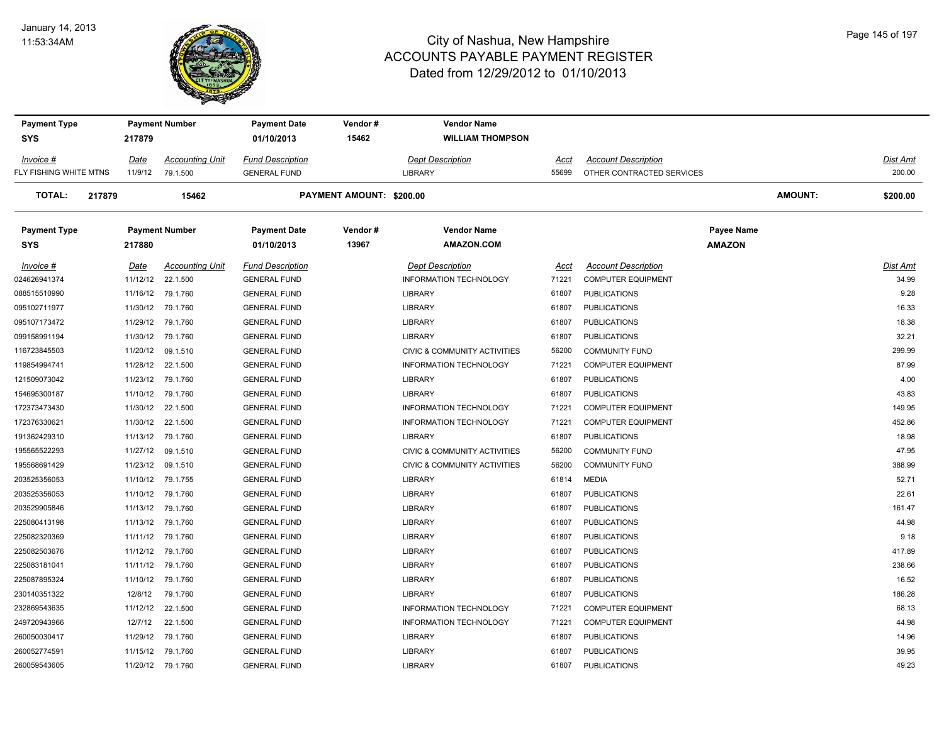#### January 14, 2013 11:53:34AM



| <b>Payment Type</b>     |          | <b>Payment Number</b>  | <b>Payment Date</b>     | Vendor #                 | <b>Vendor Name</b>           |       |                            |                   |          |
|-------------------------|----------|------------------------|-------------------------|--------------------------|------------------------------|-------|----------------------------|-------------------|----------|
| <b>SYS</b>              | 217879   |                        | 01/10/2013              | 15462                    | <b>WILLIAM THOMPSON</b>      |       |                            |                   |          |
| Invoice #               | Date     | <b>Accounting Unit</b> | <b>Fund Description</b> |                          | <b>Dept Description</b>      | Acct  | <b>Account Description</b> |                   | Dist Amt |
| FLY FISHING WHITE MTNS  | 11/9/12  | 79.1.500               | <b>GENERAL FUND</b>     |                          | <b>LIBRARY</b>               | 55699 | OTHER CONTRACTED SERVICES  |                   | 200.00   |
| <b>TOTAL:</b><br>217879 |          | 15462                  |                         | PAYMENT AMOUNT: \$200.00 |                              |       |                            | <b>AMOUNT:</b>    | \$200.00 |
| <b>Payment Type</b>     |          | <b>Payment Number</b>  | <b>Payment Date</b>     | Vendor#                  | <b>Vendor Name</b>           |       |                            | <b>Payee Name</b> |          |
| <b>SYS</b>              | 217880   |                        | 01/10/2013              | 13967                    | <b>AMAZON.COM</b>            |       |                            | <b>AMAZON</b>     |          |
| Invoice #               | Date     | <b>Accounting Unit</b> | <b>Fund Description</b> |                          | <b>Dept Description</b>      | Acct  | <b>Account Description</b> |                   | Dist Amt |
| 024626941374            | 11/12/12 | 22.1.500               | <b>GENERAL FUND</b>     |                          | INFORMATION TECHNOLOGY       | 71221 | <b>COMPUTER EQUIPMENT</b>  |                   | 34.99    |
| 088515510990            | 11/16/12 | 79.1.760               | <b>GENERAL FUND</b>     |                          | <b>LIBRARY</b>               | 61807 | <b>PUBLICATIONS</b>        |                   | 9.28     |
| 095102711977            | 11/30/12 | 79.1.760               | <b>GENERAL FUND</b>     |                          | <b>LIBRARY</b>               | 61807 | <b>PUBLICATIONS</b>        |                   | 16.33    |
| 095107173472            | 11/29/12 | 79.1.760               | <b>GENERAL FUND</b>     |                          | <b>LIBRARY</b>               | 61807 | <b>PUBLICATIONS</b>        |                   | 18.38    |
| 099158991194            | 11/30/12 | 79.1.760               | <b>GENERAL FUND</b>     |                          | <b>LIBRARY</b>               | 61807 | <b>PUBLICATIONS</b>        |                   | 32.21    |
| 116723845503            | 11/20/12 | 09.1.510               | <b>GENERAL FUND</b>     |                          | CIVIC & COMMUNITY ACTIVITIES | 56200 | <b>COMMUNITY FUND</b>      |                   | 299.99   |
| 119854994741            | 11/28/12 | 22.1.500               | <b>GENERAL FUND</b>     |                          | INFORMATION TECHNOLOGY       | 71221 | <b>COMPUTER EQUIPMENT</b>  |                   | 87.99    |
| 121509073042            | 11/23/12 | 79.1.760               | <b>GENERAL FUND</b>     |                          | <b>LIBRARY</b>               | 61807 | <b>PUBLICATIONS</b>        |                   | 4.00     |
| 154695300187            | 11/10/12 | 79.1.760               | <b>GENERAL FUND</b>     |                          | <b>LIBRARY</b>               | 61807 | <b>PUBLICATIONS</b>        |                   | 43.83    |
| 172373473430            | 11/30/12 | 22.1.500               | <b>GENERAL FUND</b>     |                          | INFORMATION TECHNOLOGY       | 71221 | <b>COMPUTER EQUIPMENT</b>  |                   | 149.95   |
| 172376330621            | 11/30/12 | 22.1.500               | <b>GENERAL FUND</b>     |                          | INFORMATION TECHNOLOGY       | 71221 | <b>COMPUTER EQUIPMENT</b>  |                   | 452.86   |
| 191362429310            | 11/13/12 | 79.1.760               | <b>GENERAL FUND</b>     |                          | <b>LIBRARY</b>               | 61807 | <b>PUBLICATIONS</b>        |                   | 18.98    |
| 195565522293            | 11/27/12 | 09.1.510               | <b>GENERAL FUND</b>     |                          | CIVIC & COMMUNITY ACTIVITIES | 56200 | <b>COMMUNITY FUND</b>      |                   | 47.95    |
| 195568691429            | 11/23/12 | 09.1.510               | <b>GENERAL FUND</b>     |                          | CIVIC & COMMUNITY ACTIVITIES | 56200 | <b>COMMUNITY FUND</b>      |                   | 388.99   |
| 203525356053            | 11/10/12 | 79.1.755               | <b>GENERAL FUND</b>     |                          | <b>LIBRARY</b>               | 61814 | <b>MEDIA</b>               |                   | 52.71    |
| 203525356053            | 11/10/12 | 79.1.760               | <b>GENERAL FUND</b>     |                          | <b>LIBRARY</b>               | 61807 | <b>PUBLICATIONS</b>        |                   | 22.61    |
| 203529905846            | 11/13/12 | 79.1.760               | <b>GENERAL FUND</b>     |                          | <b>LIBRARY</b>               | 61807 | <b>PUBLICATIONS</b>        |                   | 161.47   |
| 225080413198            | 11/13/12 | 79.1.760               | <b>GENERAL FUND</b>     |                          | <b>LIBRARY</b>               | 61807 | <b>PUBLICATIONS</b>        |                   | 44.98    |
| 225082320369            | 11/11/12 | 79.1.760               | <b>GENERAL FUND</b>     |                          | <b>LIBRARY</b>               | 61807 | <b>PUBLICATIONS</b>        |                   | 9.18     |
| 225082503676            | 11/12/12 | 79.1.760               | <b>GENERAL FUND</b>     |                          | LIBRARY                      | 61807 | <b>PUBLICATIONS</b>        |                   | 417.89   |
| 225083181041            | 11/11/12 | 79.1.760               | <b>GENERAL FUND</b>     |                          | LIBRARY                      | 61807 | <b>PUBLICATIONS</b>        |                   | 238.66   |
| 225087895324            | 11/10/12 | 79.1.760               | <b>GENERAL FUND</b>     |                          | <b>LIBRARY</b>               | 61807 | <b>PUBLICATIONS</b>        |                   | 16.52    |
| 230140351322            | 12/8/12  | 79.1.760               | <b>GENERAL FUND</b>     |                          | <b>LIBRARY</b>               | 61807 | <b>PUBLICATIONS</b>        |                   | 186.28   |
| 232869543635            | 11/12/12 | 22.1.500               | <b>GENERAL FUND</b>     |                          | INFORMATION TECHNOLOGY       | 71221 | <b>COMPUTER EQUIPMENT</b>  |                   | 68.13    |
| 249720943966            | 12/7/12  | 22.1.500               | <b>GENERAL FUND</b>     |                          | INFORMATION TECHNOLOGY       | 71221 | <b>COMPUTER EQUIPMENT</b>  |                   | 44.98    |
| 260050030417            | 11/29/12 | 79.1.760               | <b>GENERAL FUND</b>     |                          | LIBRARY                      | 61807 | <b>PUBLICATIONS</b>        |                   | 14.96    |
| 260052774591            | 11/15/12 | 79.1.760               | <b>GENERAL FUND</b>     |                          | <b>LIBRARY</b>               | 61807 | <b>PUBLICATIONS</b>        |                   | 39.95    |
| 260059543605            |          | 11/20/12 79.1.760      | <b>GENERAL FUND</b>     |                          | <b>LIBRARY</b>               | 61807 | <b>PUBLICATIONS</b>        |                   | 49.23    |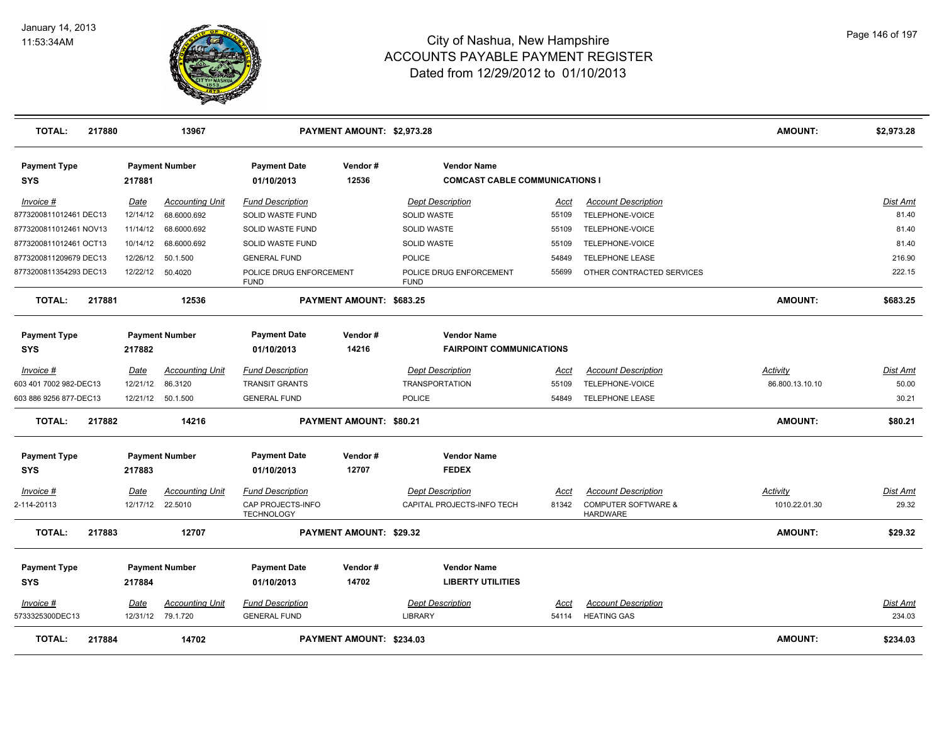

| <b>TOTAL:</b>              | 217880 |             | 13967                  |                                        | PAYMENT AMOUNT: \$2,973.28     |                                                             |             |                                                   | <b>AMOUNT:</b>  | \$2,973.28      |
|----------------------------|--------|-------------|------------------------|----------------------------------------|--------------------------------|-------------------------------------------------------------|-------------|---------------------------------------------------|-----------------|-----------------|
| <b>Payment Type</b><br>SYS |        | 217881      | <b>Payment Number</b>  | <b>Payment Date</b><br>01/10/2013      | Vendor#<br>12536               | <b>Vendor Name</b><br><b>COMCAST CABLE COMMUNICATIONS I</b> |             |                                                   |                 |                 |
| Invoice #                  |        | <u>Date</u> | <b>Accounting Unit</b> | <b>Fund Description</b>                |                                | <b>Dept Description</b>                                     | Acct        | <b>Account Description</b>                        |                 | <b>Dist Amt</b> |
| 8773200811012461 DEC13     |        | 12/14/12    | 68.6000.692            | SOLID WASTE FUND                       |                                | SOLID WASTE                                                 | 55109       | TELEPHONE-VOICE                                   |                 | 81.40           |
| 8773200811012461 NOV13     |        | 11/14/12    | 68.6000.692            | SOLID WASTE FUND                       |                                | <b>SOLID WASTE</b>                                          | 55109       | TELEPHONE-VOICE                                   |                 | 81.40           |
| 8773200811012461 OCT13     |        | 10/14/12    | 68.6000.692            | SOLID WASTE FUND                       |                                | <b>SOLID WASTE</b>                                          | 55109       | TELEPHONE-VOICE                                   |                 | 81.40           |
| 8773200811209679 DEC13     |        | 12/26/12    | 50.1.500               | <b>GENERAL FUND</b>                    |                                | POLICE                                                      | 54849       | <b>TELEPHONE LEASE</b>                            |                 | 216.90          |
| 8773200811354293 DEC13     |        | 12/22/12    | 50.4020                | POLICE DRUG ENFORCEMENT<br><b>FUND</b> |                                | POLICE DRUG ENFORCEMENT<br><b>FUND</b>                      | 55699       | OTHER CONTRACTED SERVICES                         |                 | 222.15          |
| <b>TOTAL:</b>              | 217881 |             | 12536                  |                                        | PAYMENT AMOUNT: \$683.25       |                                                             |             |                                                   | <b>AMOUNT:</b>  | \$683.25        |
| <b>Payment Type</b>        |        |             | <b>Payment Number</b>  | <b>Payment Date</b>                    | Vendor#                        | <b>Vendor Name</b>                                          |             |                                                   |                 |                 |
| <b>SYS</b>                 |        | 217882      |                        | 01/10/2013                             | 14216                          | <b>FAIRPOINT COMMUNICATIONS</b>                             |             |                                                   |                 |                 |
| $Invoice$ #                |        | <b>Date</b> | <b>Accounting Unit</b> | <b>Fund Description</b>                |                                | <b>Dept Description</b>                                     | <u>Acct</u> | <b>Account Description</b>                        | <b>Activity</b> | Dist Amt        |
| 603 401 7002 982-DEC13     |        | 12/21/12    | 86.3120                | <b>TRANSIT GRANTS</b>                  |                                | <b>TRANSPORTATION</b>                                       | 55109       | TELEPHONE-VOICE                                   | 86.800.13.10.10 | 50.00           |
| 603 886 9256 877-DEC13     |        |             | 12/21/12 50.1.500      | <b>GENERAL FUND</b>                    |                                | POLICE                                                      | 54849       | <b>TELEPHONE LEASE</b>                            |                 | 30.21           |
| <b>TOTAL:</b>              | 217882 |             | 14216                  |                                        | PAYMENT AMOUNT: \$80.21        |                                                             |             |                                                   | <b>AMOUNT:</b>  | \$80.21         |
| <b>Payment Type</b>        |        |             | <b>Payment Number</b>  | <b>Payment Date</b>                    | Vendor#                        | <b>Vendor Name</b>                                          |             |                                                   |                 |                 |
| <b>SYS</b>                 |        | 217883      |                        | 01/10/2013                             | 12707                          | <b>FEDEX</b>                                                |             |                                                   |                 |                 |
| Invoice #                  |        | <u>Date</u> | Accounting Unit        | <b>Fund Description</b>                |                                | <b>Dept Description</b>                                     | <u>Acct</u> | <b>Account Description</b>                        | <u>Activity</u> | <u>Dist Amt</u> |
| 2-114-20113                |        | 12/17/12    | 22.5010                | CAP PROJECTS-INFO<br><b>TECHNOLOGY</b> |                                | CAPITAL PROJECTS-INFO TECH                                  | 81342       | <b>COMPUTER SOFTWARE &amp;</b><br><b>HARDWARE</b> | 1010.22.01.30   | 29.32           |
| <b>TOTAL:</b>              | 217883 |             | 12707                  |                                        | <b>PAYMENT AMOUNT: \$29.32</b> |                                                             |             |                                                   | <b>AMOUNT:</b>  | \$29.32         |
| <b>Payment Type</b>        |        |             | <b>Payment Number</b>  | <b>Payment Date</b>                    | Vendor#                        | <b>Vendor Name</b>                                          |             |                                                   |                 |                 |
| <b>SYS</b>                 |        | 217884      |                        | 01/10/2013                             | 14702                          | <b>LIBERTY UTILITIES</b>                                    |             |                                                   |                 |                 |
| Invoice #                  |        | Date        | <b>Accounting Unit</b> | <b>Fund Description</b>                |                                | <b>Dept Description</b>                                     | Acct        | <b>Account Description</b>                        |                 | <b>Dist Amt</b> |
| 5733325300DEC13            |        |             | 12/31/12 79.1.720      | <b>GENERAL FUND</b>                    |                                | LIBRARY                                                     | 54114       | <b>HEATING GAS</b>                                |                 | 234.03          |
| <b>TOTAL:</b>              | 217884 |             | 14702                  |                                        | PAYMENT AMOUNT: \$234.03       |                                                             |             |                                                   | <b>AMOUNT:</b>  | \$234.03        |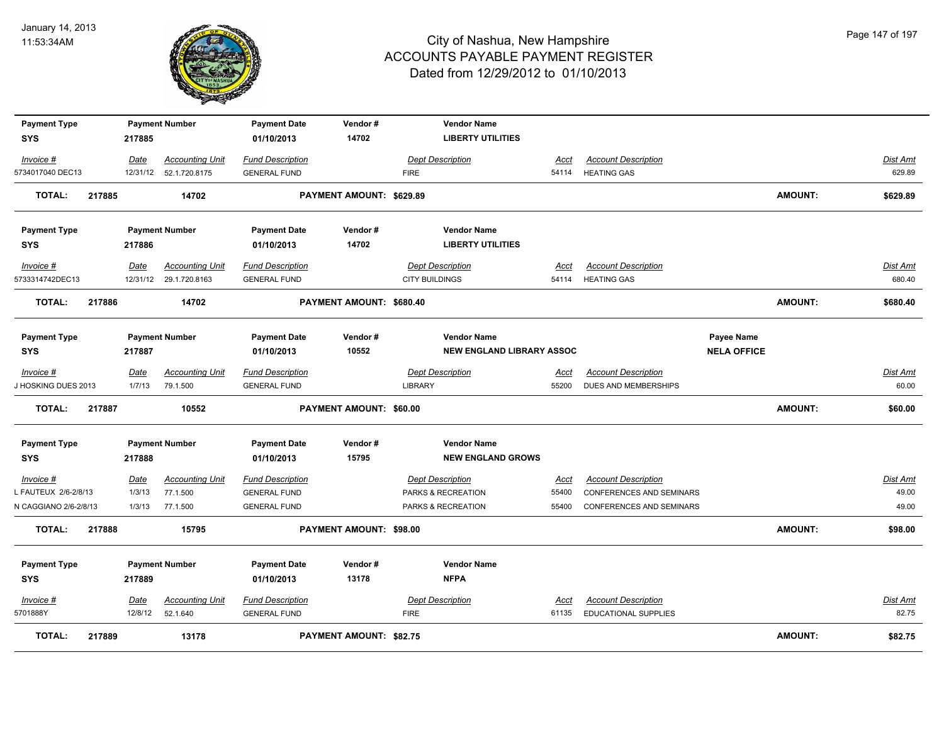

| <b>Payment Type</b>        |        |             | <b>Payment Number</b>  | <b>Payment Date</b>     | Vendor#                        | <b>Vendor Name</b>               |             |                                 |                    |                |                 |
|----------------------------|--------|-------------|------------------------|-------------------------|--------------------------------|----------------------------------|-------------|---------------------------------|--------------------|----------------|-----------------|
| <b>SYS</b>                 |        | 217885      |                        | 01/10/2013              | 14702                          | <b>LIBERTY UTILITIES</b>         |             |                                 |                    |                |                 |
| Invoice #                  |        | <b>Date</b> | <b>Accounting Unit</b> | <b>Fund Description</b> |                                | <b>Dept Description</b>          | Acct        | <b>Account Description</b>      |                    |                | <u>Dist Amt</u> |
| 5734017040 DEC13           |        | 12/31/12    | 52.1.720.8175          | <b>GENERAL FUND</b>     |                                | <b>FIRE</b>                      | 54114       | <b>HEATING GAS</b>              |                    |                | 629.89          |
| <b>TOTAL:</b>              | 217885 |             | 14702                  |                         | PAYMENT AMOUNT: \$629.89       |                                  |             |                                 |                    | <b>AMOUNT:</b> | \$629.89        |
| <b>Payment Type</b>        |        |             | <b>Payment Number</b>  | <b>Payment Date</b>     | Vendor#                        | <b>Vendor Name</b>               |             |                                 |                    |                |                 |
| <b>SYS</b>                 |        | 217886      |                        | 01/10/2013              | 14702                          | <b>LIBERTY UTILITIES</b>         |             |                                 |                    |                |                 |
| Invoice #                  |        | Date        | <b>Accounting Unit</b> | <b>Fund Description</b> |                                | <b>Dept Description</b>          | Acct        | <b>Account Description</b>      |                    |                | <b>Dist Amt</b> |
| 5733314742DEC13            |        |             | 12/31/12 29.1.720.8163 | <b>GENERAL FUND</b>     |                                | <b>CITY BUILDINGS</b>            |             | 54114 HEATING GAS               |                    |                | 680.40          |
| <b>TOTAL:</b>              | 217886 |             | 14702                  |                         | PAYMENT AMOUNT: \$680.40       |                                  |             |                                 |                    | <b>AMOUNT:</b> | \$680.40        |
| <b>Payment Type</b>        |        |             | <b>Payment Number</b>  | <b>Payment Date</b>     | Vendor#                        | <b>Vendor Name</b>               |             |                                 | Payee Name         |                |                 |
| <b>SYS</b>                 |        | 217887      |                        | 01/10/2013              | 10552                          | <b>NEW ENGLAND LIBRARY ASSOC</b> |             |                                 | <b>NELA OFFICE</b> |                |                 |
| Invoice #                  |        | Date        | <b>Accounting Unit</b> | <b>Fund Description</b> |                                | <b>Dept Description</b>          | Acct        | <b>Account Description</b>      |                    |                | Dist Amt        |
| <b>I HOSKING DUES 2013</b> |        | 1/7/13      | 79.1.500               | <b>GENERAL FUND</b>     |                                | LIBRARY                          | 55200       | DUES AND MEMBERSHIPS            |                    |                | 60.00           |
| <b>TOTAL:</b>              | 217887 |             | 10552                  |                         | PAYMENT AMOUNT: \$60.00        |                                  |             |                                 |                    | AMOUNT:        | \$60.00         |
| <b>Payment Type</b>        |        |             | <b>Payment Number</b>  | <b>Payment Date</b>     | Vendor#                        | <b>Vendor Name</b>               |             |                                 |                    |                |                 |
| <b>SYS</b>                 |        | 217888      |                        | 01/10/2013              | 15795                          | <b>NEW ENGLAND GROWS</b>         |             |                                 |                    |                |                 |
| $Invoice$ #                |        | <u>Date</u> | <b>Accounting Unit</b> | <b>Fund Description</b> |                                | <b>Dept Description</b>          | <u>Acct</u> | <b>Account Description</b>      |                    |                | <b>Dist Amt</b> |
| FAUTEUX 2/6-2/8/13         |        | 1/3/13      | 77.1.500               | <b>GENERAL FUND</b>     |                                | PARKS & RECREATION               | 55400       | CONFERENCES AND SEMINARS        |                    |                | 49.00           |
| N CAGGIANO 2/6-2/8/13      |        | 1/3/13      | 77.1.500               | <b>GENERAL FUND</b>     |                                | PARKS & RECREATION               | 55400       | <b>CONFERENCES AND SEMINARS</b> |                    |                | 49.00           |
| <b>TOTAL:</b>              | 217888 |             | 15795                  |                         | <b>PAYMENT AMOUNT: \$98.00</b> |                                  |             |                                 |                    | <b>AMOUNT:</b> | \$98.00         |
| <b>Payment Type</b>        |        |             | <b>Payment Number</b>  | <b>Payment Date</b>     | Vendor#                        | <b>Vendor Name</b>               |             |                                 |                    |                |                 |
| <b>SYS</b>                 |        | 217889      |                        | 01/10/2013              | 13178                          | <b>NFPA</b>                      |             |                                 |                    |                |                 |
| Invoice #                  |        | <b>Date</b> | <b>Accounting Unit</b> | <b>Fund Description</b> |                                | <b>Dept Description</b>          | Acct        | <b>Account Description</b>      |                    |                | Dist Amt        |
| 5701888Y                   |        | 12/8/12     | 52.1.640               | <b>GENERAL FUND</b>     |                                | <b>FIRE</b>                      | 61135       | <b>EDUCATIONAL SUPPLIES</b>     |                    |                | 82.75           |
| TOTAL:                     | 217889 |             | 13178                  |                         | <b>PAYMENT AMOUNT: \$82.75</b> |                                  |             |                                 |                    | <b>AMOUNT:</b> | \$82.75         |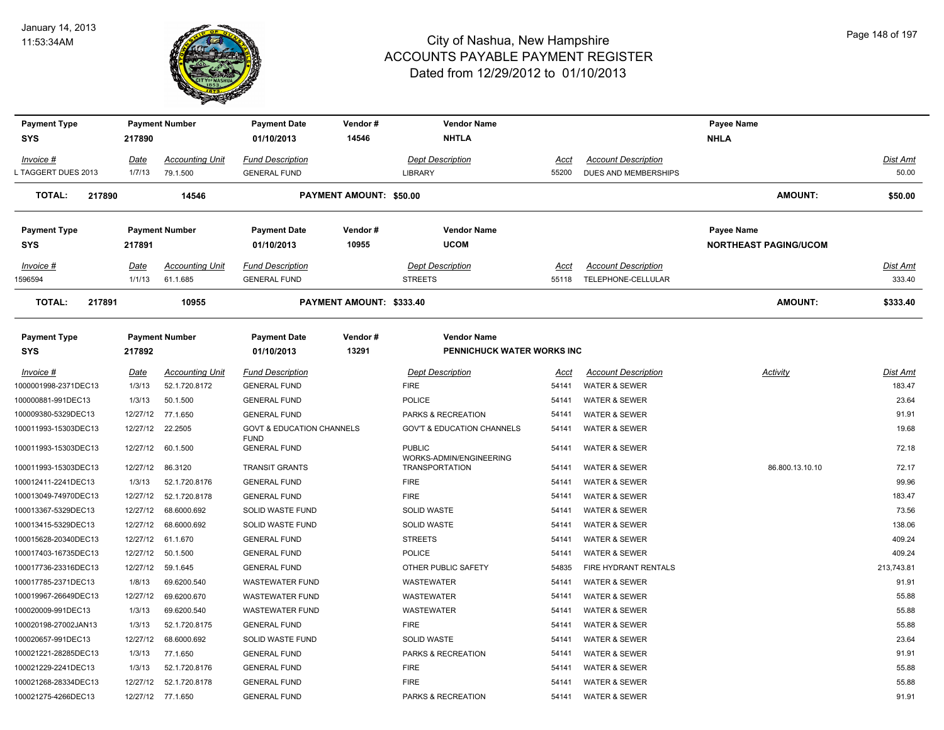

| <b>Payment Type</b>     |          | <b>Payment Number</b>  | <b>Payment Date</b>                                 | Vendor#<br>14546         | <b>Vendor Name</b><br><b>NHTLA</b>               |       |                            | Payee Name                   |            |
|-------------------------|----------|------------------------|-----------------------------------------------------|--------------------------|--------------------------------------------------|-------|----------------------------|------------------------------|------------|
| <b>SYS</b>              | 217890   |                        | 01/10/2013                                          |                          |                                                  |       |                            | <b>NHLA</b>                  |            |
| Invoice #               | Date     | <b>Accounting Unit</b> | <b>Fund Description</b>                             |                          | <b>Dept Description</b>                          | Acct  | <b>Account Description</b> |                              | Dist Amt   |
| TAGGERT DUES 2013       | 1/7/13   | 79.1.500               | <b>GENERAL FUND</b>                                 |                          | LIBRARY                                          | 55200 | DUES AND MEMBERSHIPS       |                              | 50.00      |
| <b>TOTAL:</b><br>217890 |          | 14546                  |                                                     | PAYMENT AMOUNT: \$50.00  |                                                  |       |                            | <b>AMOUNT:</b>               | \$50.00    |
| <b>Payment Type</b>     |          | <b>Payment Number</b>  | <b>Payment Date</b>                                 | Vendor#                  | <b>Vendor Name</b>                               |       |                            | Payee Name                   |            |
| <b>SYS</b>              | 217891   |                        | 01/10/2013                                          | 10955                    | <b>UCOM</b>                                      |       |                            | <b>NORTHEAST PAGING/UCOM</b> |            |
| Invoice #               | Date     | <b>Accounting Unit</b> | <b>Fund Description</b>                             |                          | <b>Dept Description</b>                          | Acct  | <b>Account Description</b> |                              | Dist Amt   |
| 1596594                 | 1/1/13   | 61.1.685               | <b>GENERAL FUND</b>                                 |                          | <b>STREETS</b>                                   | 55118 | TELEPHONE-CELLULAR         |                              | 333.40     |
| <b>TOTAL:</b><br>217891 |          | 10955                  |                                                     | PAYMENT AMOUNT: \$333.40 |                                                  |       |                            | <b>AMOUNT:</b>               | \$333.40   |
| <b>Payment Type</b>     |          | <b>Payment Number</b>  | <b>Payment Date</b>                                 | Vendor#                  | <b>Vendor Name</b>                               |       |                            |                              |            |
| <b>SYS</b>              | 217892   |                        | 01/10/2013                                          | 13291                    | <b>PENNICHUCK WATER WORKS INC</b>                |       |                            |                              |            |
| Invoice #               | Date     | <b>Accounting Unit</b> | <b>Fund Description</b>                             |                          | <b>Dept Description</b>                          | Acct  | <b>Account Description</b> | <b>Activity</b>              | Dist Amt   |
| 000001998-2371DEC13     | 1/3/13   | 52.1.720.8172          | <b>GENERAL FUND</b>                                 |                          | <b>FIRE</b>                                      | 54141 | <b>WATER &amp; SEWER</b>   |                              | 183.47     |
| 100000881-991DEC13      | 1/3/13   | 50.1.500               | <b>GENERAL FUND</b>                                 |                          | POLICE                                           | 54141 | <b>WATER &amp; SEWER</b>   |                              | 23.64      |
| 100009380-5329DEC13     | 12/27/12 | 77.1.650               | <b>GENERAL FUND</b>                                 |                          | PARKS & RECREATION                               | 54141 | <b>WATER &amp; SEWER</b>   |                              | 91.91      |
| 100011993-15303DEC13    | 12/27/12 | 22.2505                | <b>GOVT &amp; EDUCATION CHANNELS</b><br><b>FUND</b> |                          | <b>GOV'T &amp; EDUCATION CHANNELS</b>            | 54141 | <b>WATER &amp; SEWER</b>   |                              | 19.68      |
| 100011993-15303DEC13    | 12/27/12 | 60.1.500               | <b>GENERAL FUND</b>                                 |                          | <b>PUBLIC</b>                                    | 54141 | <b>WATER &amp; SEWER</b>   |                              | 72.18      |
| 100011993-15303DEC13    | 12/27/12 | 86.3120                | <b>TRANSIT GRANTS</b>                               |                          | WORKS-ADMIN/ENGINEERING<br><b>TRANSPORTATION</b> | 54141 | <b>WATER &amp; SEWER</b>   | 86.800.13.10.10              | 72.17      |
| 100012411-2241DEC13     | 1/3/13   | 52.1.720.8176          | <b>GENERAL FUND</b>                                 |                          | <b>FIRE</b>                                      | 54141 | WATER & SEWER              |                              | 99.96      |
| 100013049-74970DEC13    | 12/27/12 | 52.1.720.8178          | <b>GENERAL FUND</b>                                 |                          | <b>FIRE</b>                                      | 54141 | <b>WATER &amp; SEWER</b>   |                              | 183.47     |
| 100013367-5329DEC13     | 12/27/12 | 68.6000.692            | SOLID WASTE FUND                                    |                          | <b>SOLID WASTE</b>                               | 54141 | <b>WATER &amp; SEWER</b>   |                              | 73.56      |
| 100013415-5329DEC13     | 12/27/12 | 68.6000.692            | SOLID WASTE FUND                                    |                          | <b>SOLID WASTE</b>                               | 54141 | <b>WATER &amp; SEWER</b>   |                              | 138.06     |
| 100015628-20340DEC13    | 12/27/12 | 61.1.670               | <b>GENERAL FUND</b>                                 |                          | <b>STREETS</b>                                   | 54141 | <b>WATER &amp; SEWER</b>   |                              | 409.24     |
| 100017403-16735DEC13    | 12/27/12 | 50.1.500               | <b>GENERAL FUND</b>                                 |                          | POLICE                                           | 54141 | <b>WATER &amp; SEWER</b>   |                              | 409.24     |
| 100017736-23316DEC13    | 12/27/12 | 59.1.645               | <b>GENERAL FUND</b>                                 |                          | OTHER PUBLIC SAFETY                              | 54835 | FIRE HYDRANT RENTALS       |                              | 213,743.81 |
| 100017785-2371DEC13     | 1/8/13   | 69.6200.540            | <b>WASTEWATER FUND</b>                              |                          | WASTEWATER                                       | 54141 | <b>WATER &amp; SEWER</b>   |                              | 91.91      |
| 100019967-26649DEC13    | 12/27/12 | 69.6200.670            | <b>WASTEWATER FUND</b>                              |                          | WASTEWATER                                       | 54141 | <b>WATER &amp; SEWER</b>   |                              | 55.88      |
| 100020009-991DEC13      | 1/3/13   | 69.6200.540            | <b>WASTEWATER FUND</b>                              |                          | WASTEWATER                                       | 54141 | <b>WATER &amp; SEWER</b>   |                              | 55.88      |
| 100020198-27002JAN13    | 1/3/13   | 52.1.720.8175          | <b>GENERAL FUND</b>                                 |                          | <b>FIRE</b>                                      | 54141 | WATER & SEWER              |                              | 55.88      |
| 100020657-991DEC13      | 12/27/12 | 68.6000.692            | SOLID WASTE FUND                                    |                          | SOLID WASTE                                      | 54141 | <b>WATER &amp; SEWER</b>   |                              | 23.64      |
| 100021221-28285DEC13    | 1/3/13   | 77.1.650               | <b>GENERAL FUND</b>                                 |                          | PARKS & RECREATION                               | 54141 | <b>WATER &amp; SEWER</b>   |                              | 91.91      |
| 100021229-2241DEC13     | 1/3/13   | 52.1.720.8176          | <b>GENERAL FUND</b>                                 |                          | <b>FIRE</b>                                      | 54141 | WATER & SEWER              |                              | 55.88      |
| 100021268-28334DEC13    | 12/27/12 | 52.1.720.8178          | <b>GENERAL FUND</b>                                 |                          | <b>FIRE</b>                                      | 54141 | <b>WATER &amp; SEWER</b>   |                              | 55.88      |
| 100021275-4266DEC13     | 12/27/12 | 77.1.650               | <b>GENERAL FUND</b>                                 |                          | PARKS & RECREATION                               | 54141 | <b>WATER &amp; SEWER</b>   |                              | 91.91      |
|                         |          |                        |                                                     |                          |                                                  |       |                            |                              |            |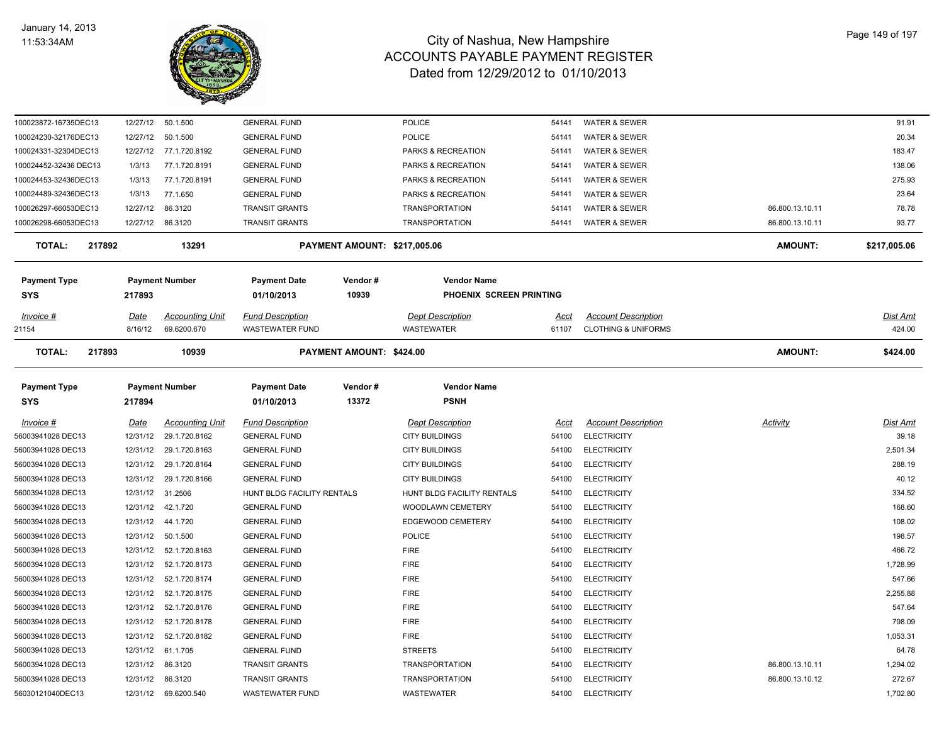

| 100023872-16735DEC13    | 12/27/12 | 50.1.500               | <b>GENERAL FUND</b>        |                              | POLICE                     | 54141 | <b>WATER &amp; SEWER</b>       |                 | 91.91        |
|-------------------------|----------|------------------------|----------------------------|------------------------------|----------------------------|-------|--------------------------------|-----------------|--------------|
| 100024230-32176DEC13    | 12/27/12 | 50.1.500               | <b>GENERAL FUND</b>        |                              | POLICE                     | 54141 | <b>WATER &amp; SEWER</b>       |                 | 20.34        |
| 100024331-32304DEC13    | 12/27/12 | 77.1.720.8192          | <b>GENERAL FUND</b>        |                              | PARKS & RECREATION         | 54141 | <b>WATER &amp; SEWER</b>       |                 | 183.47       |
| 100024452-32436 DEC13   | 1/3/13   | 77.1.720.8191          | <b>GENERAL FUND</b>        |                              | PARKS & RECREATION         | 54141 | <b>WATER &amp; SEWER</b>       |                 | 138.06       |
| 100024453-32436DEC13    | 1/3/13   | 77.1.720.8191          | <b>GENERAL FUND</b>        |                              | PARKS & RECREATION         | 54141 | <b>WATER &amp; SEWER</b>       |                 | 275.93       |
| 100024489-32436DEC13    | 1/3/13   | 77.1.650               | <b>GENERAL FUND</b>        |                              | PARKS & RECREATION         | 54141 | <b>WATER &amp; SEWER</b>       |                 | 23.64        |
| 100026297-66053DEC13    | 12/27/12 | 86.3120                | <b>TRANSIT GRANTS</b>      |                              | <b>TRANSPORTATION</b>      | 54141 | <b>WATER &amp; SEWER</b>       | 86.800.13.10.11 | 78.78        |
| 100026298-66053DEC13    | 12/27/12 | 86.3120                | <b>TRANSIT GRANTS</b>      |                              | <b>TRANSPORTATION</b>      | 54141 | <b>WATER &amp; SEWER</b>       | 86.800.13.10.11 | 93.77        |
| <b>TOTAL:</b><br>217892 |          | 13291                  |                            | PAYMENT AMOUNT: \$217,005.06 |                            |       |                                | <b>AMOUNT:</b>  | \$217,005.06 |
| <b>Payment Type</b>     |          | <b>Payment Number</b>  | <b>Payment Date</b>        | Vendor#                      | <b>Vendor Name</b>         |       |                                |                 |              |
| <b>SYS</b>              | 217893   |                        | 01/10/2013                 | 10939                        | PHOENIX SCREEN PRINTING    |       |                                |                 |              |
| Invoice #               | Date     | <b>Accounting Unit</b> | <b>Fund Description</b>    |                              | <b>Dept Description</b>    | Acct  | <b>Account Description</b>     |                 | Dist Amt     |
| 21154                   | 8/16/12  | 69.6200.670            | <b>WASTEWATER FUND</b>     |                              | WASTEWATER                 | 61107 | <b>CLOTHING &amp; UNIFORMS</b> |                 | 424.00       |
| <b>TOTAL:</b><br>217893 |          | 10939                  |                            | PAYMENT AMOUNT: \$424.00     |                            |       |                                | <b>AMOUNT:</b>  | \$424.00     |
| <b>Payment Type</b>     |          | <b>Payment Number</b>  | <b>Payment Date</b>        | Vendor#                      | <b>Vendor Name</b>         |       |                                |                 |              |
| <b>SYS</b>              | 217894   |                        | 01/10/2013                 | 13372                        | <b>PSNH</b>                |       |                                |                 |              |
| Invoice #               | Date     | <b>Accounting Unit</b> | <b>Fund Description</b>    |                              | <b>Dept Description</b>    | Acct  | <b>Account Description</b>     | Activity        | Dist Amt     |
| 56003941028 DEC13       | 12/31/12 | 29.1.720.8162          | <b>GENERAL FUND</b>        |                              | <b>CITY BUILDINGS</b>      | 54100 | <b>ELECTRICITY</b>             |                 | 39.18        |
| 56003941028 DEC13       | 12/31/12 | 29.1.720.8163          | <b>GENERAL FUND</b>        |                              | <b>CITY BUILDINGS</b>      | 54100 | <b>ELECTRICITY</b>             |                 | 2,501.34     |
| 56003941028 DEC13       | 12/31/12 | 29.1.720.8164          | <b>GENERAL FUND</b>        |                              | <b>CITY BUILDINGS</b>      | 54100 | <b>ELECTRICITY</b>             |                 | 288.19       |
| 56003941028 DEC13       | 12/31/12 | 29.1.720.8166          | <b>GENERAL FUND</b>        |                              | <b>CITY BUILDINGS</b>      | 54100 | <b>ELECTRICITY</b>             |                 | 40.12        |
| 56003941028 DEC13       | 12/31/12 | 31.2506                | HUNT BLDG FACILITY RENTALS |                              | HUNT BLDG FACILITY RENTALS | 54100 | <b>ELECTRICITY</b>             |                 | 334.52       |
| 56003941028 DEC13       | 12/31/12 | 42.1.720               | <b>GENERAL FUND</b>        |                              | WOODLAWN CEMETERY          | 54100 | <b>ELECTRICITY</b>             |                 | 168.60       |
| 56003941028 DEC13       | 12/31/12 | 44.1.720               | <b>GENERAL FUND</b>        |                              | EDGEWOOD CEMETERY          | 54100 | <b>ELECTRICITY</b>             |                 | 108.02       |
| 56003941028 DEC13       | 12/31/12 | 50.1.500               | <b>GENERAL FUND</b>        |                              | POLICE                     | 54100 | <b>ELECTRICITY</b>             |                 | 198.57       |
| 56003941028 DEC13       | 12/31/12 | 52.1.720.8163          | <b>GENERAL FUND</b>        |                              | <b>FIRE</b>                | 54100 | <b>ELECTRICITY</b>             |                 | 466.72       |
| 56003941028 DEC13       | 12/31/12 | 52.1.720.8173          | <b>GENERAL FUND</b>        |                              | <b>FIRE</b>                | 54100 | <b>ELECTRICITY</b>             |                 | 1,728.99     |
| 56003941028 DEC13       | 12/31/12 | 52.1.720.8174          | <b>GENERAL FUND</b>        |                              | <b>FIRE</b>                | 54100 | <b>ELECTRICITY</b>             |                 | 547.66       |
| 56003941028 DEC13       | 12/31/12 | 52.1.720.8175          | <b>GENERAL FUND</b>        |                              | <b>FIRE</b>                | 54100 | <b>ELECTRICITY</b>             |                 | 2,255.88     |
| 56003941028 DEC13       | 12/31/12 | 52.1.720.8176          | <b>GENERAL FUND</b>        |                              | <b>FIRE</b>                | 54100 | <b>ELECTRICITY</b>             |                 | 547.64       |
| 56003941028 DEC13       | 12/31/12 | 52.1.720.8178          | <b>GENERAL FUND</b>        |                              | <b>FIRE</b>                | 54100 | <b>ELECTRICITY</b>             |                 | 798.09       |
| 56003941028 DEC13       | 12/31/12 | 52.1.720.8182          | <b>GENERAL FUND</b>        |                              | <b>FIRE</b>                | 54100 | <b>ELECTRICITY</b>             |                 | 1,053.31     |
| 56003941028 DEC13       | 12/31/12 | 61.1.705               | <b>GENERAL FUND</b>        |                              | <b>STREETS</b>             | 54100 | <b>ELECTRICITY</b>             |                 | 64.78        |
| 56003941028 DEC13       | 12/31/12 | 86.3120                | TRANSIT GRANTS             |                              | <b>TRANSPORTATION</b>      | 54100 | <b>ELECTRICITY</b>             | 86.800.13.10.11 | 1,294.02     |
| 56003941028 DEC13       | 12/31/12 | 86.3120                | <b>TRANSIT GRANTS</b>      |                              | <b>TRANSPORTATION</b>      | 54100 | <b>ELECTRICITY</b>             | 86.800.13.10.12 | 272.67       |
| 56030121040DEC13        | 12/31/12 | 69.6200.540            | <b>WASTEWATER FUND</b>     |                              | <b>WASTEWATER</b>          | 54100 | <b>ELECTRICITY</b>             |                 | 1,702.80     |
|                         |          |                        |                            |                              |                            |       |                                |                 |              |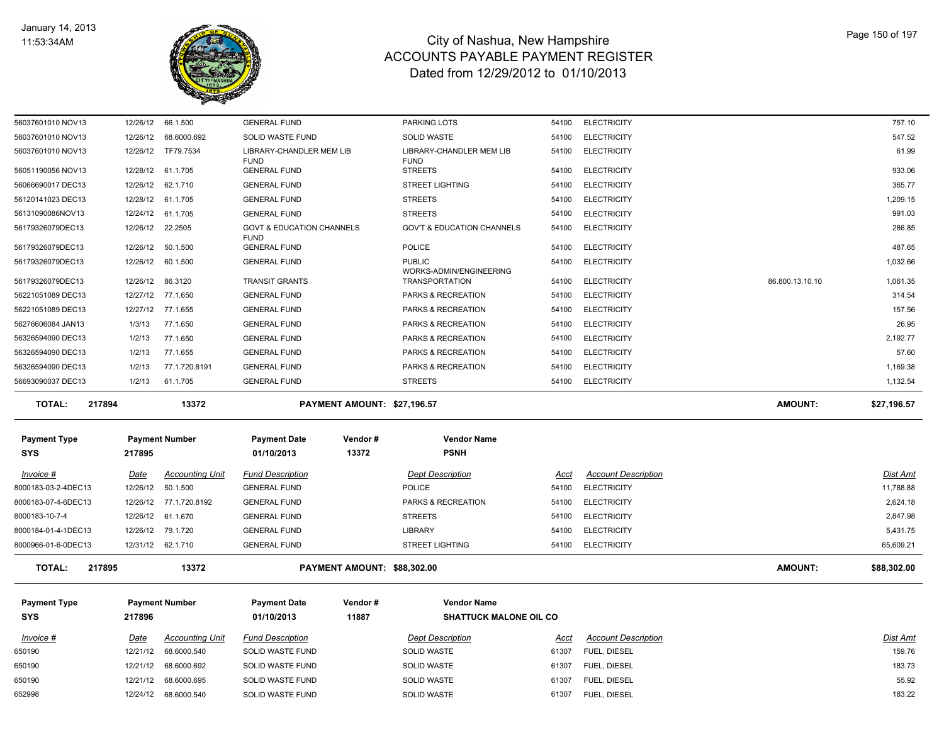

| 650190                               |                         | 12/21/12 68.6000.692                  | <b>SOLID WASTE FUND</b>                             |                             | <b>SOLID WASTE</b>                               | 61307                | FUEL, DIESEL                               |                 | 183.73                    |
|--------------------------------------|-------------------------|---------------------------------------|-----------------------------------------------------|-----------------------------|--------------------------------------------------|----------------------|--------------------------------------------|-----------------|---------------------------|
| $Invoice$ #<br>650190                | <u>Date</u><br>12/21/12 | <b>Accounting Unit</b><br>68.6000.540 | <b>Fund Description</b><br>SOLID WASTE FUND         |                             | <b>Dept Description</b><br>SOLID WASTE           | <u>Acct</u><br>61307 | <b>Account Description</b><br>FUEL, DIESEL |                 | <b>Dist Amt</b><br>159.76 |
| <b>SYS</b>                           | 217896                  |                                       | 01/10/2013                                          | 11887                       | <b>SHATTUCK MALONE OIL CO</b>                    |                      |                                            |                 |                           |
| <b>Payment Type</b>                  |                         | <b>Payment Number</b>                 | <b>Payment Date</b>                                 | Vendor#                     | <b>Vendor Name</b>                               |                      |                                            |                 |                           |
| <b>TOTAL:</b><br>217895              |                         | 13372                                 |                                                     | PAYMENT AMOUNT: \$88,302.00 |                                                  |                      |                                            | <b>AMOUNT:</b>  | \$88,302.00               |
| 8000966-01-6-0DEC13                  |                         | 12/31/12 62.1.710                     | <b>GENERAL FUND</b>                                 |                             | <b>STREET LIGHTING</b>                           | 54100                | <b>ELECTRICITY</b>                         |                 | 65,609.21                 |
| 8000184-01-4-1DEC13                  | 12/26/12                | 79.1.720                              | <b>GENERAL FUND</b>                                 |                             | LIBRARY                                          | 54100                | <b>ELECTRICITY</b>                         |                 | 5,431.75                  |
| 8000183-10-7-4                       |                         | 12/26/12 61.1.670                     | <b>GENERAL FUND</b>                                 |                             | <b>STREETS</b>                                   | 54100                | <b>ELECTRICITY</b>                         |                 | 2,847.98                  |
| 8000183-07-4-6DEC13                  |                         | 12/26/12 77.1.720.8192                | <b>GENERAL FUND</b>                                 |                             | PARKS & RECREATION                               | 54100                | <b>ELECTRICITY</b>                         |                 | 2,624.18                  |
| 8000183-03-2-4DEC13                  | 12/26/12                | 50.1.500                              | <b>GENERAL FUND</b>                                 |                             | <b>POLICE</b>                                    | 54100                | <b>ELECTRICITY</b>                         |                 | 11,788.88                 |
| Invoice #                            | Date                    | <b>Accounting Unit</b>                | <b>Fund Description</b>                             |                             | Dept Description                                 | Acct                 | <b>Account Description</b>                 |                 | Dist Amt                  |
| <b>Payment Type</b><br><b>SYS</b>    | 217895                  | <b>Payment Number</b>                 | <b>Payment Date</b><br>01/10/2013                   | Vendor#<br>13372            | <b>Vendor Name</b><br><b>PSNH</b>                |                      |                                            |                 |                           |
|                                      |                         |                                       |                                                     |                             |                                                  |                      |                                            |                 |                           |
| <b>TOTAL:</b><br>217894              |                         | 13372                                 |                                                     | PAYMENT AMOUNT: \$27,196.57 |                                                  |                      |                                            | <b>AMOUNT:</b>  | \$27,196.57               |
| 56693090037 DEC13                    | 1/2/13                  | 61.1.705                              | <b>GENERAL FUND</b>                                 |                             | <b>STREETS</b>                                   | 54100                | <b>ELECTRICITY</b>                         |                 | 1,132.54                  |
| 56326594090 DEC13                    | 1/2/13                  | 77.1.720.8191                         | <b>GENERAL FUND</b>                                 |                             | PARKS & RECREATION                               | 54100                | <b>ELECTRICITY</b>                         |                 | 1,169.38                  |
| 56326594090 DEC13                    | 1/2/13                  | 77.1.655                              | <b>GENERAL FUND</b>                                 |                             | PARKS & RECREATION                               | 54100                | <b>ELECTRICITY</b>                         |                 | 57.60                     |
| 56326594090 DEC13                    | 1/2/13                  | 77.1.650                              | <b>GENERAL FUND</b>                                 |                             | PARKS & RECREATION                               | 54100                | <b>ELECTRICITY</b>                         |                 | 2,192.77                  |
| 56276606084 JAN13                    | 1/3/13                  | 77.1.650                              | <b>GENERAL FUND</b>                                 |                             | PARKS & RECREATION                               | 54100                | <b>ELECTRICITY</b>                         |                 | 26.95                     |
| 56221051089 DEC13                    |                         | 12/27/12 77.1.655                     | <b>GENERAL FUND</b>                                 |                             | PARKS & RECREATION                               | 54100                | <b>ELECTRICITY</b>                         |                 | 157.56                    |
| 56221051089 DEC13                    |                         | 12/27/12 77.1.650                     | <b>GENERAL FUND</b>                                 |                             | PARKS & RECREATION                               | 54100                | <b>ELECTRICITY</b>                         |                 | 314.54                    |
| 56179326079DEC13                     | 12/26/12                | 86.3120                               | <b>TRANSIT GRANTS</b>                               |                             | WORKS-ADMIN/ENGINEERING<br><b>TRANSPORTATION</b> | 54100                | <b>ELECTRICITY</b>                         | 86.800.13.10.10 | 1,061.35                  |
| 56179326079DEC13<br>56179326079DEC13 | 12/26/12<br>12/26/12    | 50.1.500<br>60.1.500                  | <b>GENERAL FUND</b><br><b>GENERAL FUND</b>          |                             | <b>POLICE</b><br><b>PUBLIC</b>                   | 54100<br>54100       | <b>ELECTRICITY</b><br><b>ELECTRICITY</b>   |                 | 487.65<br>1,032.66        |
| 56179326079DEC13                     |                         | 12/26/12 22.2505                      | <b>GOVT &amp; EDUCATION CHANNELS</b><br><b>FUND</b> |                             | <b>GOV'T &amp; EDUCATION CHANNELS</b>            | 54100                | <b>ELECTRICITY</b>                         |                 | 286.85                    |
| 56131090086NOV13                     |                         | 12/24/12 61.1.705                     | <b>GENERAL FUND</b>                                 |                             | <b>STREETS</b>                                   | 54100                | <b>ELECTRICITY</b>                         |                 | 991.03                    |
| 56120141023 DEC13                    | 12/28/12                | 61.1.705                              | <b>GENERAL FUND</b>                                 |                             | <b>STREETS</b>                                   | 54100                | <b>ELECTRICITY</b>                         |                 | 1,209.15                  |
| 56066690017 DEC13                    | 12/26/12                | 62.1.710                              | <b>GENERAL FUND</b>                                 |                             | <b>STREET LIGHTING</b>                           | 54100                | <b>ELECTRICITY</b>                         |                 | 365.77                    |
| 56051190056 NOV13                    |                         | 12/28/12 61.1.705                     | <b>GENERAL FUND</b>                                 |                             | <b>STREETS</b>                                   | 54100                | <b>ELECTRICITY</b>                         |                 | 933.06                    |
| 56037601010 NOV13                    | 12/26/12                | TF79.7534                             | LIBRARY-CHANDLER MEM LIB<br><b>FUND</b>             |                             | LIBRARY-CHANDLER MEM LIB<br><b>FUND</b>          | 54100                | <b>ELECTRICITY</b>                         |                 | 61.99                     |
| 56037601010 NOV13                    | 12/26/12                | 68.6000.692                           | SOLID WASTE FUND                                    |                             | <b>SOLID WASTE</b>                               | 54100                | <b>ELECTRICITY</b>                         |                 | 547.52                    |
| 56037601010 NOV13                    |                         | 12/26/12 66.1.500                     | <b>GENERAL FUND</b>                                 |                             | <b>PARKING LOTS</b>                              | 54100                | <b>ELECTRICITY</b>                         |                 | 757.10                    |
|                                      |                         |                                       |                                                     |                             |                                                  |                      |                                            |                 |                           |

650190 12/21/12 68.6000.695 SOLID WASTE FUND SOLID WASTE 61307 FUEL, DIESEL 55.92 652998 12/24/12 68.6000.540 SOLID WASTE FUND SOLID WASTE SOLID WASTE 61307 FUEL, DIESEL 61307 FUEL, DIESEL 61307 FUEL, DIESEL 61307 FUEL, DIESEL 61307 FUEL, DIESEL 61307 FUEL, DIESEL 61307 FUEL, DIESEL 61307 FUEL, DIESEL 6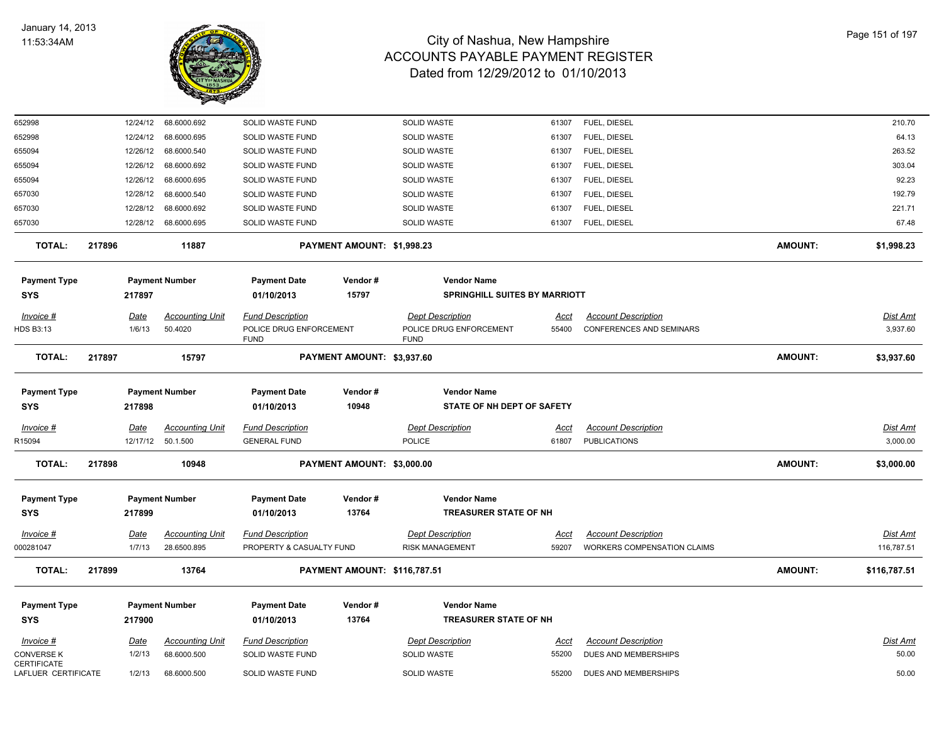

| 652998                             | 12/24/12    | 68.6000.692            | SOLID WASTE FUND         |                                     | SOLID WASTE                          | 61307       | FUEL, DIESEL                       |                | 210.70          |
|------------------------------------|-------------|------------------------|--------------------------|-------------------------------------|--------------------------------------|-------------|------------------------------------|----------------|-----------------|
| 652998                             | 12/24/12    | 68.6000.695            | SOLID WASTE FUND         |                                     | <b>SOLID WASTE</b>                   | 61307       | FUEL, DIESEL                       |                | 64.13           |
| 655094                             | 12/26/12    | 68.6000.540            | SOLID WASTE FUND         |                                     | <b>SOLID WASTE</b>                   | 61307       | FUEL, DIESEL                       |                | 263.52          |
| 655094                             | 12/26/12    | 68.6000.692            | SOLID WASTE FUND         |                                     | <b>SOLID WASTE</b>                   | 61307       | FUEL, DIESEL                       |                | 303.04          |
| 655094                             | 12/26/12    | 68.6000.695            | SOLID WASTE FUND         |                                     | SOLID WASTE                          | 61307       | FUEL, DIESEL                       |                | 92.23           |
| 657030                             | 12/28/12    | 68.6000.540            | SOLID WASTE FUND         |                                     | SOLID WASTE                          | 61307       | FUEL, DIESEL                       |                | 192.79          |
| 657030                             | 12/28/12    | 68.6000.692            | SOLID WASTE FUND         |                                     | SOLID WASTE                          | 61307       | FUEL, DIESEL                       |                | 221.71          |
| 657030                             | 12/28/12    | 68.6000.695            | SOLID WASTE FUND         |                                     | <b>SOLID WASTE</b>                   | 61307       | FUEL, DIESEL                       |                | 67.48           |
| TOTAL:                             | 217896      | 11887                  |                          | PAYMENT AMOUNT: \$1,998.23          |                                      |             |                                    | <b>AMOUNT:</b> | \$1,998.23      |
| <b>Payment Type</b>                |             | <b>Payment Number</b>  | <b>Payment Date</b>      | Vendor#                             | <b>Vendor Name</b>                   |             |                                    |                |                 |
| SYS                                | 217897      |                        | 01/10/2013               | 15797                               | <b>SPRINGHILL SUITES BY MARRIOTT</b> |             |                                    |                |                 |
| Invoice #                          | <u>Date</u> | <b>Accounting Unit</b> | <b>Fund Description</b>  |                                     | <b>Dept Description</b>              | <u>Acct</u> | <b>Account Description</b>         |                | <b>Dist Amt</b> |
| HDS B3:13                          | 1/6/13      | 50.4020                | POLICE DRUG ENFORCEMENT  |                                     | POLICE DRUG ENFORCEMENT              | 55400       | <b>CONFERENCES AND SEMINARS</b>    |                | 3,937.60        |
|                                    |             |                        | <b>FUND</b>              |                                     | <b>FUND</b>                          |             |                                    |                |                 |
| <b>TOTAL:</b>                      | 217897      | 15797                  |                          | PAYMENT AMOUNT: \$3,937.60          |                                      |             |                                    | <b>AMOUNT:</b> | \$3,937.60      |
| <b>Payment Type</b>                |             | <b>Payment Number</b>  | <b>Payment Date</b>      | Vendor#                             | <b>Vendor Name</b>                   |             |                                    |                |                 |
| <b>SYS</b>                         | 217898      |                        | 01/10/2013               | 10948                               | STATE OF NH DEPT OF SAFETY           |             |                                    |                |                 |
| $Invoice$ #                        | <u>Date</u> | <b>Accounting Unit</b> | <u>Fund Description</u>  |                                     | <b>Dept Description</b>              | <u>Acct</u> | <b>Account Description</b>         |                | <b>Dist Amt</b> |
| R15094                             | 12/17/12    | 50.1.500               | <b>GENERAL FUND</b>      |                                     | POLICE                               | 61807       | <b>PUBLICATIONS</b>                |                | 3,000.00        |
| <b>TOTAL:</b>                      | 217898      | 10948                  |                          | PAYMENT AMOUNT: \$3,000.00          |                                      |             |                                    | <b>AMOUNT:</b> | \$3,000.00      |
|                                    |             |                        |                          |                                     |                                      |             |                                    |                |                 |
| <b>Payment Type</b>                |             | <b>Payment Number</b>  | <b>Payment Date</b>      | Vendor#                             | <b>Vendor Name</b>                   |             |                                    |                |                 |
| SYS                                | 217899      |                        | 01/10/2013               | 13764                               | <b>TREASURER STATE OF NH</b>         |             |                                    |                |                 |
| $Invoice$ #                        | Date        | <b>Accounting Unit</b> | <b>Fund Description</b>  |                                     | <b>Dept Description</b>              | Acct        | <b>Account Description</b>         |                | <b>Dist Amt</b> |
| 000281047                          | 1/7/13      | 28.6500.895            | PROPERTY & CASUALTY FUND |                                     | <b>RISK MANAGEMENT</b>               | 59207       | <b>WORKERS COMPENSATION CLAIMS</b> |                | 116,787.51      |
| <b>TOTAL:</b>                      | 217899      | 13764                  |                          | <b>PAYMENT AMOUNT: \$116,787.51</b> |                                      |             |                                    | <b>AMOUNT:</b> | \$116,787.51    |
|                                    |             |                        |                          |                                     |                                      |             |                                    |                |                 |
| <b>Payment Type</b>                |             | <b>Payment Number</b>  | <b>Payment Date</b>      | Vendor#                             | <b>Vendor Name</b>                   |             |                                    |                |                 |
| <b>SYS</b>                         | 217900      |                        | 01/10/2013               | 13764                               | TREASURER STATE OF NH                |             |                                    |                |                 |
| Invoice #                          | <u>Date</u> | <b>Accounting Unit</b> | <b>Fund Description</b>  |                                     | <b>Dept Description</b>              | <u>Acct</u> | <b>Account Description</b>         |                | <b>Dist Amt</b> |
| CONVERSE K                         | 1/2/13      | 68.6000.500            | <b>SOLID WASTE FUND</b>  |                                     | <b>SOLID WASTE</b>                   | 55200       | DUES AND MEMBERSHIPS               |                | 50.00           |
| CERTIFICATE<br>LAFLUER CERTIFICATE | 1/2/13      | 68.6000.500            | SOLID WASTE FUND         |                                     | <b>SOLID WASTE</b>                   | 55200       | DUES AND MEMBERSHIPS               |                | 50.00           |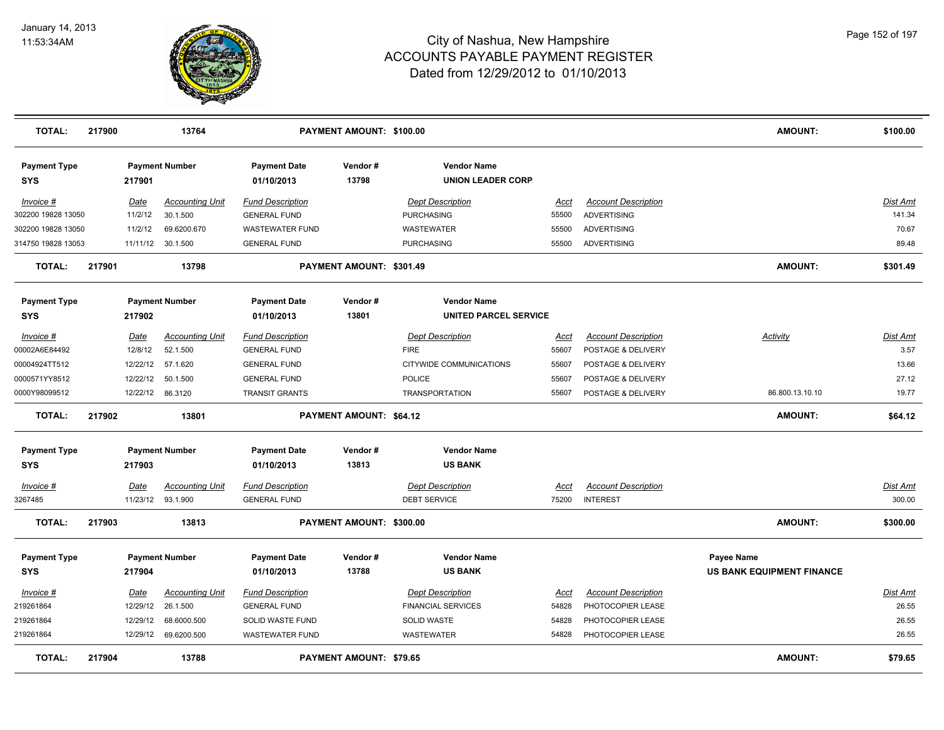

| <b>TOTAL:</b>                     | 217900 |                  | 13764                  |                                   | PAYMENT AMOUNT: \$100.00       |                                                |             |                            | <b>AMOUNT:</b>                   | \$100.00        |
|-----------------------------------|--------|------------------|------------------------|-----------------------------------|--------------------------------|------------------------------------------------|-------------|----------------------------|----------------------------------|-----------------|
| <b>Payment Type</b><br>SYS        |        | 217901           | <b>Payment Number</b>  | <b>Payment Date</b><br>01/10/2013 | Vendor#<br>13798               | <b>Vendor Name</b><br><b>UNION LEADER CORP</b> |             |                            |                                  |                 |
| Invoice #                         |        | Date             | <b>Accounting Unit</b> | <b>Fund Description</b>           |                                | <b>Dept Description</b>                        | Acct        | <b>Account Description</b> |                                  | Dist Amt        |
| 302200 19828 13050                |        | 11/2/12          | 30.1.500               | <b>GENERAL FUND</b>               |                                | <b>PURCHASING</b>                              | 55500       | <b>ADVERTISING</b>         |                                  | 141.34          |
| 302200 19828 13050                |        | 11/2/12          | 69.6200.670            | <b>WASTEWATER FUND</b>            |                                | <b>WASTEWATER</b>                              | 55500       | <b>ADVERTISING</b>         |                                  | 70.67           |
| 314750 19828 13053                |        | 11/11/12         | 30.1.500               | <b>GENERAL FUND</b>               |                                | <b>PURCHASING</b>                              | 55500       | ADVERTISING                |                                  | 89.48           |
| <b>TOTAL:</b>                     | 217901 |                  | 13798                  |                                   | PAYMENT AMOUNT: \$301.49       |                                                |             |                            | <b>AMOUNT:</b>                   | \$301.49        |
| <b>Payment Type</b>               |        |                  | <b>Payment Number</b>  | <b>Payment Date</b>               | Vendor#                        | <b>Vendor Name</b>                             |             |                            |                                  |                 |
| SYS                               |        | 217902           |                        | 01/10/2013                        | 13801                          | UNITED PARCEL SERVICE                          |             |                            |                                  |                 |
| Invoice #                         |        | <u>Date</u>      | <b>Accounting Unit</b> | <b>Fund Description</b>           |                                | <b>Dept Description</b>                        | Acct        | <b>Account Description</b> | <b>Activity</b>                  | <u>Dist Amt</u> |
| 00002A6E84492                     |        | 12/8/12          | 52.1.500               | <b>GENERAL FUND</b>               |                                | <b>FIRE</b>                                    | 55607       | POSTAGE & DELIVERY         |                                  | 3.57            |
| 00004924TT512                     |        | 12/22/12         | 57.1.620               | <b>GENERAL FUND</b>               |                                | CITYWIDE COMMUNICATIONS                        | 55607       | POSTAGE & DELIVERY         |                                  | 13.66           |
| 0000571YY8512                     |        | 12/22/12         | 50.1.500               | <b>GENERAL FUND</b>               |                                | <b>POLICE</b>                                  | 55607       | POSTAGE & DELIVERY         |                                  | 27.12           |
| 0000Y98099512                     |        | 12/22/12 86.3120 |                        | <b>TRANSIT GRANTS</b>             |                                | <b>TRANSPORTATION</b>                          | 55607       | POSTAGE & DELIVERY         | 86.800.13.10.10                  | 19.77           |
| <b>TOTAL:</b>                     | 217902 |                  | 13801                  |                                   | PAYMENT AMOUNT: \$64.12        |                                                |             |                            | AMOUNT:                          | \$64.12         |
| <b>Payment Type</b><br><b>SYS</b> |        | 217903           | <b>Payment Number</b>  | <b>Payment Date</b><br>01/10/2013 | Vendor#<br>13813               | <b>Vendor Name</b><br><b>US BANK</b>           |             |                            |                                  |                 |
| Invoice #                         |        | <u>Date</u>      | <b>Accounting Unit</b> | <b>Fund Description</b>           |                                | <b>Dept Description</b>                        | <u>Acct</u> | <b>Account Description</b> |                                  | Dist Amt        |
| 3267485                           |        | 11/23/12         | 93.1.900               | <b>GENERAL FUND</b>               |                                | <b>DEBT SERVICE</b>                            | 75200       | <b>INTEREST</b>            |                                  | 300.00          |
| <b>TOTAL:</b>                     | 217903 |                  | 13813                  |                                   | PAYMENT AMOUNT: \$300.00       |                                                |             |                            | <b>AMOUNT:</b>                   | \$300.00        |
| <b>Payment Type</b>               |        |                  | <b>Payment Number</b>  | <b>Payment Date</b>               | Vendor#                        | <b>Vendor Name</b>                             |             |                            | Payee Name                       |                 |
| <b>SYS</b>                        |        | 217904           |                        | 01/10/2013                        | 13788                          | <b>US BANK</b>                                 |             |                            | <b>US BANK EQUIPMENT FINANCE</b> |                 |
| Invoice #                         |        | Date             | <b>Accounting Unit</b> | <b>Fund Description</b>           |                                | <b>Dept Description</b>                        | Acct        | <b>Account Description</b> |                                  | Dist Amt        |
| 219261864                         |        | 12/29/12         | 26.1.500               | <b>GENERAL FUND</b>               |                                | <b>FINANCIAL SERVICES</b>                      | 54828       | PHOTOCOPIER LEASE          |                                  | 26.55           |
| 219261864                         |        | 12/29/12         | 68.6000.500            | SOLID WASTE FUND                  |                                | SOLID WASTE                                    | 54828       | PHOTOCOPIER LEASE          |                                  | 26.55           |
| 219261864                         |        | 12/29/12         | 69.6200.500            | WASTEWATER FUND                   |                                | <b>WASTEWATER</b>                              | 54828       | PHOTOCOPIER LEASE          |                                  | 26.55           |
| <b>TOTAL:</b>                     | 217904 |                  | 13788                  |                                   | <b>PAYMENT AMOUNT: \$79.65</b> |                                                |             |                            | <b>AMOUNT:</b>                   | \$79.65         |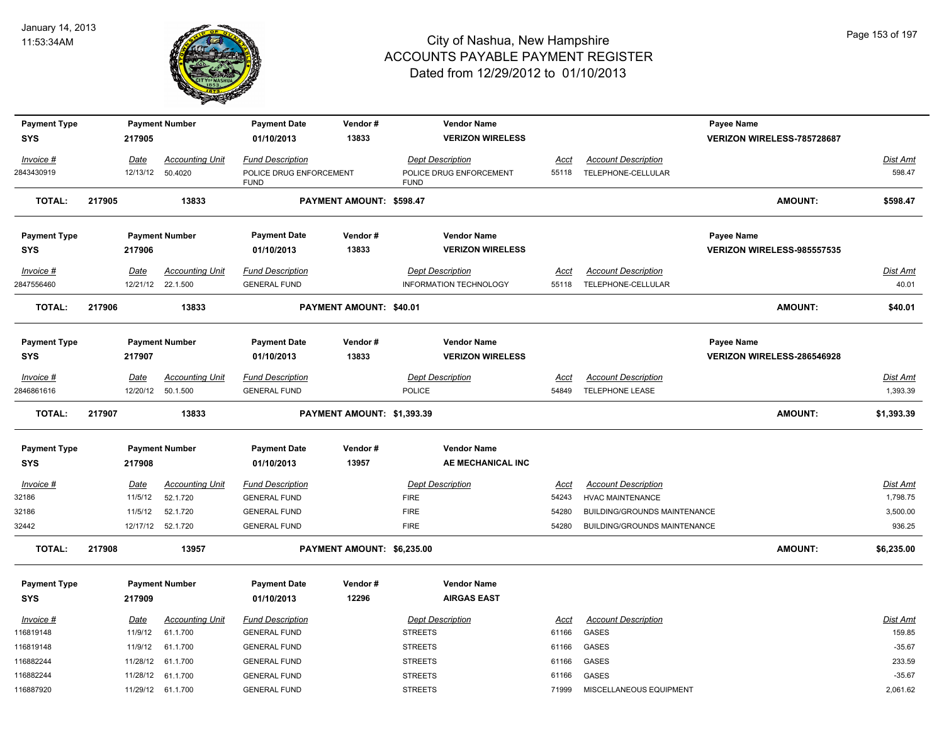

| <b>Payment Type</b> |             | <b>Payment Number</b>  | <b>Payment Date</b>                    | Vendor#                    | <b>Vendor Name</b>                     |             |                              | Payee Name                 |                 |
|---------------------|-------------|------------------------|----------------------------------------|----------------------------|----------------------------------------|-------------|------------------------------|----------------------------|-----------------|
| <b>SYS</b>          | 217905      |                        | 01/10/2013                             | 13833                      | <b>VERIZON WIRELESS</b>                |             |                              | VERIZON WIRELESS-785728687 |                 |
| Invoice #           | Date        | <b>Accounting Unit</b> | <b>Fund Description</b>                |                            | <b>Dept Description</b>                | Acct        | <b>Account Description</b>   |                            | Dist Amt        |
| 2843430919          | 12/13/12    | 50.4020                | POLICE DRUG ENFORCEMENT<br><b>FUND</b> |                            | POLICE DRUG ENFORCEMENT<br><b>FUND</b> | 55118       | TELEPHONE-CELLULAR           |                            | 598.47          |
| <b>TOTAL:</b>       | 217905      | 13833                  |                                        | PAYMENT AMOUNT: \$598.47   |                                        |             |                              | AMOUNT:                    | \$598.47        |
| <b>Payment Type</b> |             | <b>Payment Number</b>  | <b>Payment Date</b>                    | Vendor#                    | <b>Vendor Name</b>                     |             |                              | Payee Name                 |                 |
| <b>SYS</b>          | 217906      |                        | 01/10/2013                             | 13833                      | <b>VERIZON WIRELESS</b>                |             |                              | VERIZON WIRELESS-985557535 |                 |
| Invoice #           | Date        | <b>Accounting Unit</b> | <b>Fund Description</b>                |                            | <b>Dept Description</b>                | Acct        | <b>Account Description</b>   |                            | <u>Dist Amt</u> |
| 2847556460          |             | 12/21/12 22.1.500      | <b>GENERAL FUND</b>                    |                            | <b>INFORMATION TECHNOLOGY</b>          | 55118       | TELEPHONE-CELLULAR           |                            | 40.01           |
| <b>TOTAL:</b>       | 217906      | 13833                  |                                        | PAYMENT AMOUNT: \$40.01    |                                        |             |                              | <b>AMOUNT:</b>             | \$40.01         |
| <b>Payment Type</b> |             | <b>Payment Number</b>  | <b>Payment Date</b>                    | Vendor#                    | <b>Vendor Name</b>                     |             |                              | Payee Name                 |                 |
| <b>SYS</b>          | 217907      |                        | 01/10/2013                             | 13833                      | <b>VERIZON WIRELESS</b>                |             |                              | VERIZON WIRELESS-286546928 |                 |
| $Invoice$ #         | Date        | <b>Accounting Unit</b> | <b>Fund Description</b>                |                            | <b>Dept Description</b>                | Acct        | <b>Account Description</b>   |                            | <b>Dist Amt</b> |
| 2846861616          | 12/20/12    | 50.1.500               | <b>GENERAL FUND</b>                    |                            | <b>POLICE</b>                          | 54849       | <b>TELEPHONE LEASE</b>       |                            | 1,393.39        |
| <b>TOTAL:</b>       | 217907      | 13833                  |                                        | PAYMENT AMOUNT: \$1,393.39 |                                        |             |                              | <b>AMOUNT:</b>             | \$1,393.39      |
| <b>Payment Type</b> |             | <b>Payment Number</b>  | <b>Payment Date</b>                    | Vendor#                    | <b>Vendor Name</b>                     |             |                              |                            |                 |
| <b>SYS</b>          | 217908      |                        | 01/10/2013                             | 13957                      | AE MECHANICAL INC                      |             |                              |                            |                 |
| Invoice #           | Date        | <b>Accounting Unit</b> | <b>Fund Description</b>                |                            | <b>Dept Description</b>                | <u>Acct</u> | <b>Account Description</b>   |                            | <u>Dist Amt</u> |
| 32186               | 11/5/12     | 52.1.720               | <b>GENERAL FUND</b>                    |                            | <b>FIRE</b>                            | 54243       | HVAC MAINTENANCE             |                            | 1,798.75        |
| 32186               | 11/5/12     | 52.1.720               | <b>GENERAL FUND</b>                    |                            | <b>FIRE</b>                            | 54280       | BUILDING/GROUNDS MAINTENANCE |                            | 3,500.00        |
| 32442               |             | 12/17/12  52.1.720     | <b>GENERAL FUND</b>                    |                            | <b>FIRE</b>                            | 54280       | BUILDING/GROUNDS MAINTENANCE |                            | 936.25          |
| <b>TOTAL:</b>       | 217908      | 13957                  |                                        | PAYMENT AMOUNT: \$6,235.00 |                                        |             |                              | <b>AMOUNT:</b>             | \$6,235.00      |
| <b>Payment Type</b> |             | <b>Payment Number</b>  | <b>Payment Date</b>                    | Vendor#                    | <b>Vendor Name</b>                     |             |                              |                            |                 |
| <b>SYS</b>          | 217909      |                        | 01/10/2013                             | 12296                      | <b>AIRGAS EAST</b>                     |             |                              |                            |                 |
| Invoice #           | <u>Date</u> | <b>Accounting Unit</b> | <b>Fund Description</b>                |                            | <b>Dept Description</b>                | <u>Acct</u> | <b>Account Description</b>   |                            | <u>Dist Amt</u> |
| 116819148           | 11/9/12     | 61.1.700               | <b>GENERAL FUND</b>                    |                            | <b>STREETS</b>                         | 61166       | <b>GASES</b>                 |                            | 159.85          |
| 116819148           | 11/9/12     | 61.1.700               | <b>GENERAL FUND</b>                    |                            | <b>STREETS</b>                         | 61166       | <b>GASES</b>                 |                            | $-35.67$        |
| 116882244           | 11/28/12    | 61.1.700               | <b>GENERAL FUND</b>                    |                            | <b>STREETS</b>                         | 61166       | GASES                        |                            | 233.59          |
| 116882244           |             | 11/28/12 61.1.700      | <b>GENERAL FUND</b>                    |                            | <b>STREETS</b>                         | 61166       | <b>GASES</b>                 |                            | $-35.67$        |
| 116887920           |             | 11/29/12 61.1.700      | <b>GENERAL FUND</b>                    |                            | <b>STREETS</b>                         | 71999       | MISCELLANEOUS EQUIPMENT      |                            | 2,061.62        |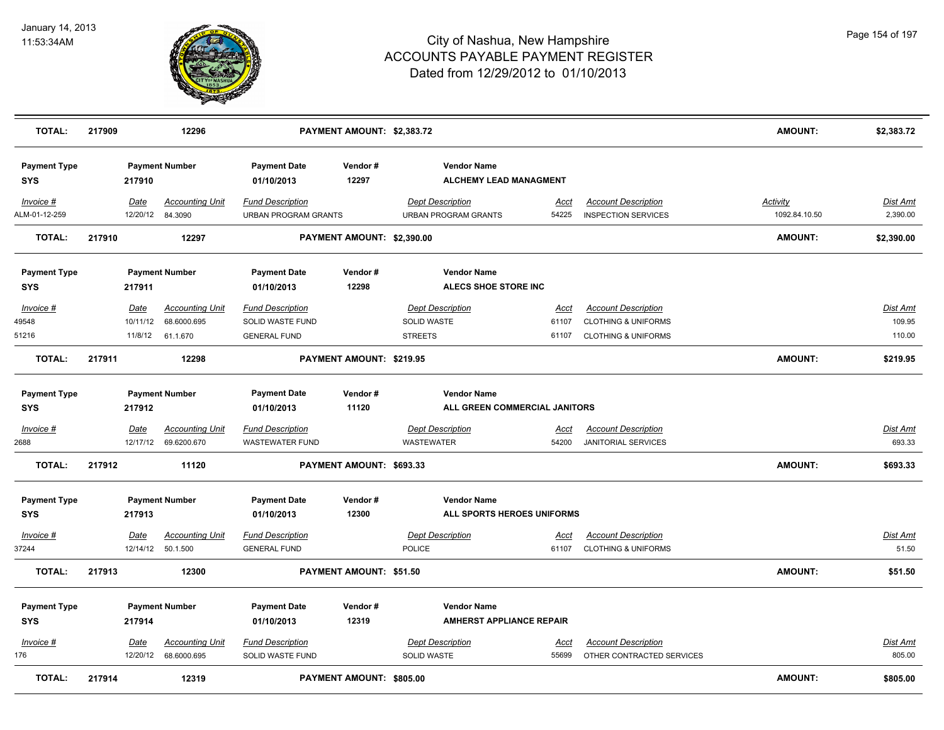

| <b>TOTAL:</b>                     | 217909 |                  | 12296                             |                                                        | PAYMENT AMOUNT: \$2,383.72 |                         |                                                     |               |                                                          | <b>AMOUNT:</b>                   | \$2,383.72           |
|-----------------------------------|--------|------------------|-----------------------------------|--------------------------------------------------------|----------------------------|-------------------------|-----------------------------------------------------|---------------|----------------------------------------------------------|----------------------------------|----------------------|
| <b>Payment Type</b><br><b>SYS</b> |        | 217910           | <b>Payment Number</b>             | <b>Payment Date</b><br>01/10/2013                      | Vendor#<br>12297           |                         | <b>Vendor Name</b><br><b>ALCHEMY LEAD MANAGMENT</b> |               |                                                          |                                  |                      |
| Invoice #<br>ALM-01-12-259        |        | Date<br>12/20/12 | <b>Accounting Unit</b><br>84.3090 | <b>Fund Description</b><br><b>URBAN PROGRAM GRANTS</b> |                            | <b>Dept Description</b> | <b>URBAN PROGRAM GRANTS</b>                         | Acct<br>54225 | <b>Account Description</b><br><b>INSPECTION SERVICES</b> | <b>Activity</b><br>1092.84.10.50 | Dist Amt<br>2,390.00 |
| <b>TOTAL:</b>                     | 217910 |                  | 12297                             |                                                        | PAYMENT AMOUNT: \$2,390.00 |                         |                                                     |               |                                                          | <b>AMOUNT:</b>                   | \$2,390.00           |
| <b>Payment Type</b><br><b>SYS</b> |        | 217911           | <b>Payment Number</b>             | <b>Payment Date</b><br>01/10/2013                      | Vendor#<br>12298           |                         | <b>Vendor Name</b><br>ALECS SHOE STORE INC          |               |                                                          |                                  |                      |
| Invoice #                         |        | Date             | <b>Accounting Unit</b>            | <b>Fund Description</b>                                |                            | <b>Dept Description</b> |                                                     | Acct          | <b>Account Description</b>                               |                                  | <b>Dist Amt</b>      |
| 49548                             |        | 10/11/12         | 68.6000.695                       | SOLID WASTE FUND                                       |                            | <b>SOLID WASTE</b>      |                                                     | 61107         | <b>CLOTHING &amp; UNIFORMS</b>                           |                                  | 109.95               |
| 51216                             |        | 11/8/12          | 61.1.670                          | <b>GENERAL FUND</b>                                    |                            | <b>STREETS</b>          |                                                     | 61107         | <b>CLOTHING &amp; UNIFORMS</b>                           |                                  | 110.00               |
| <b>TOTAL:</b>                     | 217911 |                  | 12298                             |                                                        | PAYMENT AMOUNT: \$219.95   |                         |                                                     |               |                                                          | <b>AMOUNT:</b>                   | \$219.95             |
| <b>Payment Type</b>               |        |                  | <b>Payment Number</b>             | <b>Payment Date</b>                                    | Vendor#                    |                         | <b>Vendor Name</b>                                  |               |                                                          |                                  |                      |
| <b>SYS</b>                        |        | 217912           |                                   | 01/10/2013                                             | 11120                      |                         | ALL GREEN COMMERCIAL JANITORS                       |               |                                                          |                                  |                      |
| $Invoice$ #                       |        | Date             | <b>Accounting Unit</b>            | <b>Fund Description</b>                                |                            | <b>Dept Description</b> |                                                     | <u>Acct</u>   | <b>Account Description</b>                               |                                  | Dist Amt             |
| 2688                              |        | 12/17/12         | 69.6200.670                       | <b>WASTEWATER FUND</b>                                 |                            | <b>WASTEWATER</b>       |                                                     | 54200         | <b>JANITORIAL SERVICES</b>                               |                                  | 693.33               |
| <b>TOTAL:</b>                     | 217912 |                  | 11120                             |                                                        | PAYMENT AMOUNT: \$693.33   |                         |                                                     |               |                                                          | <b>AMOUNT:</b>                   | \$693.33             |
| <b>Payment Type</b>               |        |                  | <b>Payment Number</b>             | <b>Payment Date</b>                                    | Vendor#                    |                         | <b>Vendor Name</b>                                  |               |                                                          |                                  |                      |
| <b>SYS</b>                        |        | 217913           |                                   | 01/10/2013                                             | 12300                      |                         | ALL SPORTS HEROES UNIFORMS                          |               |                                                          |                                  |                      |
| Invoice #                         |        | Date             | <b>Accounting Unit</b>            | <b>Fund Description</b>                                |                            | <b>Dept Description</b> |                                                     | Acct          | <b>Account Description</b>                               |                                  | Dist Amt             |
| 37244                             |        | 12/14/12         | 50.1.500                          | <b>GENERAL FUND</b>                                    |                            | POLICE                  |                                                     | 61107         | <b>CLOTHING &amp; UNIFORMS</b>                           |                                  | 51.50                |
| <b>TOTAL:</b>                     | 217913 |                  | 12300                             |                                                        | PAYMENT AMOUNT: \$51.50    |                         |                                                     |               |                                                          | <b>AMOUNT:</b>                   | \$51.50              |
| <b>Payment Type</b>               |        |                  | <b>Payment Number</b>             | <b>Payment Date</b>                                    | Vendor#                    |                         | <b>Vendor Name</b>                                  |               |                                                          |                                  |                      |
| <b>SYS</b>                        |        | 217914           |                                   | 01/10/2013                                             | 12319                      |                         | <b>AMHERST APPLIANCE REPAIR</b>                     |               |                                                          |                                  |                      |
| Invoice #                         |        | Date             | <b>Accounting Unit</b>            | <b>Fund Description</b>                                |                            | <b>Dept Description</b> |                                                     | Acct          | <b>Account Description</b>                               |                                  | Dist Amt             |
| 176                               |        | 12/20/12         | 68.6000.695                       | SOLID WASTE FUND                                       |                            | SOLID WASTE             |                                                     | 55699         | OTHER CONTRACTED SERVICES                                |                                  | 805.00               |
| <b>TOTAL:</b>                     | 217914 |                  | 12319                             |                                                        | PAYMENT AMOUNT: \$805.00   |                         |                                                     |               |                                                          | <b>AMOUNT:</b>                   | \$805.00             |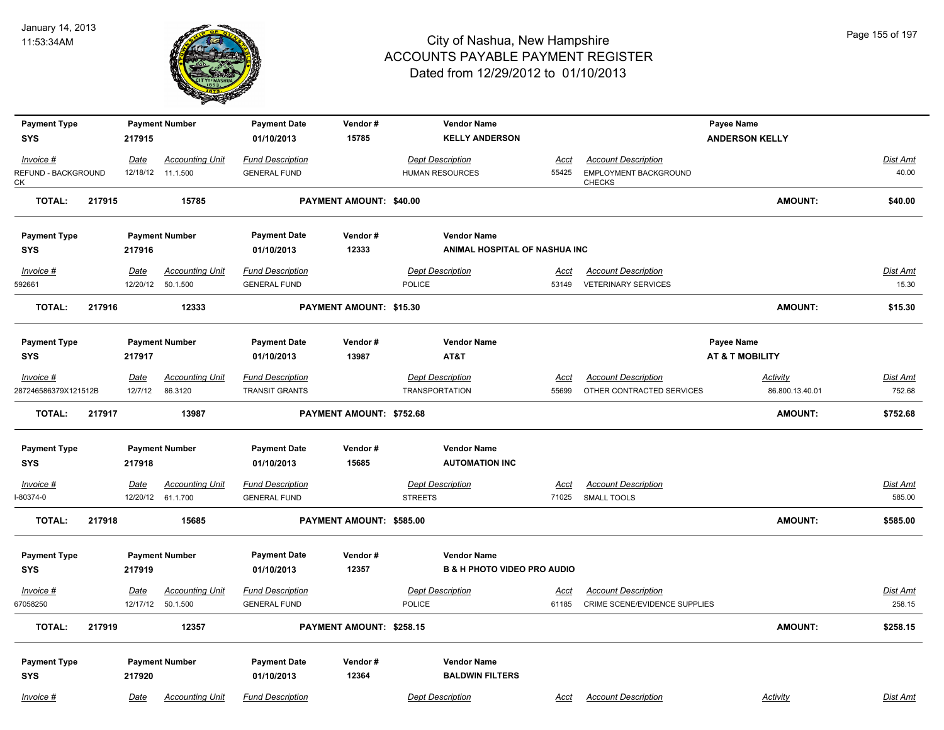

| <b>Payment Type</b>               |        |             | <b>Payment Number</b>                       | <b>Payment Date</b>                            | Vendor#                        | <b>Vendor Name</b>                     |                      |                                                             | Payee Name                 |                           |
|-----------------------------------|--------|-------------|---------------------------------------------|------------------------------------------------|--------------------------------|----------------------------------------|----------------------|-------------------------------------------------------------|----------------------------|---------------------------|
| <b>SYS</b>                        |        | 217915      |                                             | 01/10/2013                                     | 15785                          | <b>KELLY ANDERSON</b>                  |                      |                                                             | <b>ANDERSON KELLY</b>      |                           |
|                                   |        |             |                                             |                                                |                                |                                        |                      |                                                             |                            |                           |
| Invoice #                         |        | Date        | <b>Accounting Unit</b>                      | <b>Fund Description</b>                        |                                | <b>Dept Description</b>                | Acct                 | <b>Account Description</b>                                  |                            | Dist Amt                  |
| REFUND - BACKGROUND<br>СK         |        | 12/18/12    | 11.1.500                                    | <b>GENERAL FUND</b>                            |                                | <b>HUMAN RESOURCES</b>                 | 55425                | EMPLOYMENT BACKGROUND<br><b>CHECKS</b>                      |                            | 40.00                     |
| <b>TOTAL:</b>                     | 217915 |             | 15785                                       |                                                | PAYMENT AMOUNT: \$40.00        |                                        |                      |                                                             | <b>AMOUNT:</b>             | \$40.00                   |
| <b>Payment Type</b>               |        |             | <b>Payment Number</b>                       | <b>Payment Date</b>                            | Vendor#                        | <b>Vendor Name</b>                     |                      |                                                             |                            |                           |
| <b>SYS</b>                        |        | 217916      |                                             | 01/10/2013                                     | 12333                          | ANIMAL HOSPITAL OF NASHUA INC          |                      |                                                             |                            |                           |
| Invoice #                         |        | Date        | <b>Accounting Unit</b>                      | <b>Fund Description</b>                        |                                | <b>Dept Description</b>                | Acct                 | <b>Account Description</b>                                  |                            | <b>Dist Amt</b>           |
| 592661                            |        | 12/20/12    | 50.1.500                                    | <b>GENERAL FUND</b>                            |                                | POLICE                                 | 53149                | <b>VETERINARY SERVICES</b>                                  |                            | 15.30                     |
| <b>TOTAL:</b>                     | 217916 |             | 12333                                       |                                                | <b>PAYMENT AMOUNT: \$15.30</b> |                                        |                      |                                                             | <b>AMOUNT:</b>             | \$15.30                   |
|                                   |        |             |                                             |                                                |                                |                                        |                      |                                                             |                            |                           |
| <b>Payment Type</b>               |        |             | <b>Payment Number</b>                       | <b>Payment Date</b>                            | Vendor#                        | <b>Vendor Name</b>                     |                      |                                                             | Payee Name                 |                           |
| <b>SYS</b>                        |        | 217917      |                                             | 01/10/2013                                     | 13987                          | AT&T                                   |                      |                                                             | <b>AT &amp; T MOBILITY</b> |                           |
| $Invoice$ #                       |        | <u>Date</u> | <b>Accounting Unit</b>                      | <b>Fund Description</b>                        |                                | <b>Dept Description</b>                | <u>Acct</u>          | <b>Account Description</b>                                  | Activity                   | <b>Dist Amt</b>           |
| 287246586379X121512B              |        | 12/7/12     | 86.3120                                     | <b>TRANSIT GRANTS</b>                          |                                | <b>TRANSPORTATION</b>                  | 55699                | OTHER CONTRACTED SERVICES                                   | 86.800.13.40.01            | 752.68                    |
| <b>TOTAL:</b>                     | 217917 |             | 13987                                       |                                                | PAYMENT AMOUNT: \$752.68       |                                        |                      |                                                             | <b>AMOUNT:</b>             | \$752.68                  |
|                                   |        |             |                                             | <b>Payment Date</b>                            | Vendor#                        | <b>Vendor Name</b>                     |                      |                                                             |                            |                           |
| <b>Payment Type</b><br><b>SYS</b> |        | 217918      | <b>Payment Number</b>                       | 01/10/2013                                     | 15685                          | <b>AUTOMATION INC</b>                  |                      |                                                             |                            |                           |
|                                   |        |             |                                             |                                                |                                |                                        |                      |                                                             |                            |                           |
| Invoice #                         |        | Date        | <b>Accounting Unit</b>                      | <b>Fund Description</b>                        |                                | <b>Dept Description</b>                | Acct                 | <b>Account Description</b>                                  |                            | Dist Amt                  |
| $-80374-0$                        |        |             | 12/20/12 61.1.700                           | <b>GENERAL FUND</b>                            |                                | <b>STREETS</b>                         | 71025                | <b>SMALL TOOLS</b>                                          |                            | 585.00                    |
| <b>TOTAL:</b>                     | 217918 |             | 15685                                       |                                                | PAYMENT AMOUNT: \$585.00       |                                        |                      |                                                             | <b>AMOUNT:</b>             | \$585.00                  |
| <b>Payment Type</b>               |        |             | <b>Payment Number</b>                       | <b>Payment Date</b>                            | Vendor#                        | <b>Vendor Name</b>                     |                      |                                                             |                            |                           |
| <b>SYS</b>                        |        | 217919      |                                             | 01/10/2013                                     | 12357                          | <b>B &amp; H PHOTO VIDEO PRO AUDIO</b> |                      |                                                             |                            |                           |
|                                   |        |             |                                             |                                                |                                |                                        |                      |                                                             |                            |                           |
| $Invoice$ #<br>67058250           |        | <u>Date</u> | <b>Accounting Unit</b><br>12/17/12 50.1.500 | <b>Fund Description</b><br><b>GENERAL FUND</b> |                                | <b>Dept Description</b><br>POLICE      | <u>Acct</u><br>61185 | <b>Account Description</b><br>CRIME SCENE/EVIDENCE SUPPLIES |                            | <b>Dist Amt</b><br>258.15 |
|                                   |        |             |                                             |                                                |                                |                                        |                      |                                                             |                            |                           |
| <b>TOTAL:</b>                     | 217919 |             | 12357                                       |                                                | PAYMENT AMOUNT: \$258.15       |                                        |                      |                                                             | <b>AMOUNT:</b>             | \$258.15                  |
| <b>Payment Type</b>               |        |             | <b>Payment Number</b>                       | <b>Payment Date</b>                            | Vendor#                        | <b>Vendor Name</b>                     |                      |                                                             |                            |                           |
| <b>SYS</b>                        |        | 217920      |                                             | 01/10/2013                                     | 12364                          | <b>BALDWIN FILTERS</b>                 |                      |                                                             |                            |                           |
|                                   |        |             |                                             |                                                |                                |                                        |                      |                                                             |                            |                           |
| Invoice #                         |        | Date        | <b>Accounting Unit</b>                      | <b>Fund Description</b>                        |                                | <b>Dept Description</b>                | Acct                 | <b>Account Description</b>                                  | Activity                   | Dist Amt                  |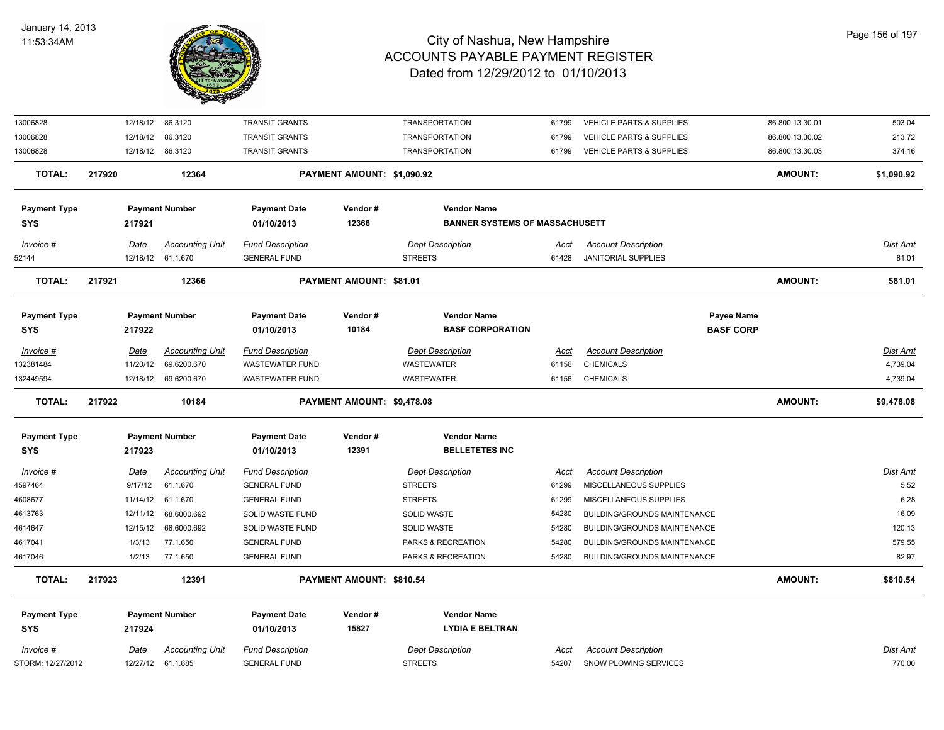

| 13006828            |             | 12/18/12 86.3120       | <b>TRANSIT GRANTS</b>   |                            | <b>TRANSPORTATION</b>                 | 61799       | VEHICLE PARTS & SUPPLIES            |                  | 86.800.13.30.01 | 503.04          |
|---------------------|-------------|------------------------|-------------------------|----------------------------|---------------------------------------|-------------|-------------------------------------|------------------|-----------------|-----------------|
| 13006828            | 12/18/12    | 86.3120                | <b>TRANSIT GRANTS</b>   |                            | <b>TRANSPORTATION</b>                 | 61799       | VEHICLE PARTS & SUPPLIES            |                  | 86.800.13.30.02 | 213.72          |
| 13006828            |             | 12/18/12 86.3120       | <b>TRANSIT GRANTS</b>   |                            | <b>TRANSPORTATION</b>                 | 61799       | <b>VEHICLE PARTS &amp; SUPPLIES</b> |                  | 86.800.13.30.03 | 374.16          |
| <b>TOTAL:</b>       | 217920      | 12364                  |                         | PAYMENT AMOUNT: \$1,090.92 |                                       |             |                                     |                  | <b>AMOUNT:</b>  | \$1,090.92      |
| <b>Payment Type</b> |             | <b>Payment Number</b>  | <b>Payment Date</b>     | Vendor#                    | <b>Vendor Name</b>                    |             |                                     |                  |                 |                 |
| <b>SYS</b>          | 217921      |                        | 01/10/2013              | 12366                      | <b>BANNER SYSTEMS OF MASSACHUSETT</b> |             |                                     |                  |                 |                 |
| Invoice #           | <b>Date</b> | <b>Accounting Unit</b> | <b>Fund Description</b> |                            | <b>Dept Description</b>               | Acct        | <b>Account Description</b>          |                  |                 | <u>Dist Amt</u> |
| 52144               |             | 12/18/12 61.1.670      | <b>GENERAL FUND</b>     |                            | <b>STREETS</b>                        | 61428       | JANITORIAL SUPPLIES                 |                  |                 | 81.01           |
| <b>TOTAL:</b>       | 217921      | 12366                  |                         | PAYMENT AMOUNT: \$81.01    |                                       |             |                                     |                  | AMOUNT:         | \$81.01         |
| <b>Payment Type</b> |             | <b>Payment Number</b>  | <b>Payment Date</b>     | Vendor#                    | <b>Vendor Name</b>                    |             |                                     | Payee Name       |                 |                 |
| <b>SYS</b>          | 217922      |                        | 01/10/2013              | 10184                      | <b>BASF CORPORATION</b>               |             |                                     | <b>BASF CORP</b> |                 |                 |
| Invoice #           | Date        | <b>Accounting Unit</b> | <b>Fund Description</b> |                            | <b>Dept Description</b>               | Acct        | <b>Account Description</b>          |                  |                 | Dist Amt        |
| 132381484           | 11/20/12    | 69.6200.670            | <b>WASTEWATER FUND</b>  |                            | <b>WASTEWATER</b>                     | 61156       | <b>CHEMICALS</b>                    |                  |                 | 4,739.04        |
| 132449594           | 12/18/12    | 69.6200.670            | WASTEWATER FUND         |                            | WASTEWATER                            | 61156       | <b>CHEMICALS</b>                    |                  |                 | 4,739.04        |
| <b>TOTAL:</b>       | 217922      | 10184                  |                         | PAYMENT AMOUNT: \$9,478.08 |                                       |             |                                     |                  | AMOUNT:         | \$9,478.08      |
| <b>Payment Type</b> |             | <b>Payment Number</b>  | <b>Payment Date</b>     | Vendor#                    | <b>Vendor Name</b>                    |             |                                     |                  |                 |                 |
| <b>SYS</b>          | 217923      |                        | 01/10/2013              | 12391                      | <b>BELLETETES INC</b>                 |             |                                     |                  |                 |                 |
| Invoice #           | <u>Date</u> | <b>Accounting Unit</b> | <b>Fund Description</b> |                            | <b>Dept Description</b>               | <u>Acct</u> | <b>Account Description</b>          |                  |                 | Dist Amt        |
| 4597464             | 9/17/12     | 61.1.670               | <b>GENERAL FUND</b>     |                            | <b>STREETS</b>                        | 61299       | MISCELLANEOUS SUPPLIES              |                  |                 | 5.52            |
| 4608677             | 11/14/12    | 61.1.670               | <b>GENERAL FUND</b>     |                            | <b>STREETS</b>                        | 61299       | MISCELLANEOUS SUPPLIES              |                  |                 | 6.28            |
| 4613763             | 12/11/12    | 68.6000.692            | SOLID WASTE FUND        |                            | SOLID WASTE                           | 54280       | BUILDING/GROUNDS MAINTENANCE        |                  |                 | 16.09           |
| 4614647             | 12/15/12    | 68.6000.692            | SOLID WASTE FUND        |                            | <b>SOLID WASTE</b>                    | 54280       | BUILDING/GROUNDS MAINTENANCE        |                  |                 | 120.13          |
| 4617041             | 1/3/13      | 77.1.650               | <b>GENERAL FUND</b>     |                            | PARKS & RECREATION                    | 54280       | BUILDING/GROUNDS MAINTENANCE        |                  |                 | 579.55          |
| 4617046             | 1/2/13      | 77.1.650               | <b>GENERAL FUND</b>     |                            | PARKS & RECREATION                    | 54280       | BUILDING/GROUNDS MAINTENANCE        |                  |                 | 82.97           |
| <b>TOTAL:</b>       | 217923      | 12391                  |                         | PAYMENT AMOUNT: \$810.54   |                                       |             |                                     |                  | <b>AMOUNT:</b>  | \$810.54        |
| <b>Payment Type</b> |             | <b>Payment Number</b>  | <b>Payment Date</b>     | Vendor#                    | <b>Vendor Name</b>                    |             |                                     |                  |                 |                 |
| <b>SYS</b>          | 217924      |                        | 01/10/2013              | 15827                      | <b>LYDIA E BELTRAN</b>                |             |                                     |                  |                 |                 |
| Invoice #           | <u>Date</u> | <b>Accounting Unit</b> | <b>Fund Description</b> |                            | <b>Dept Description</b>               | Acct        | <b>Account Description</b>          |                  |                 | Dist Amt        |
| STORM: 12/27/2012   |             | 12/27/12 61.1.685      | <b>GENERAL FUND</b>     |                            | <b>STREETS</b>                        | 54207       | SNOW PLOWING SERVICES               |                  |                 | 770.00          |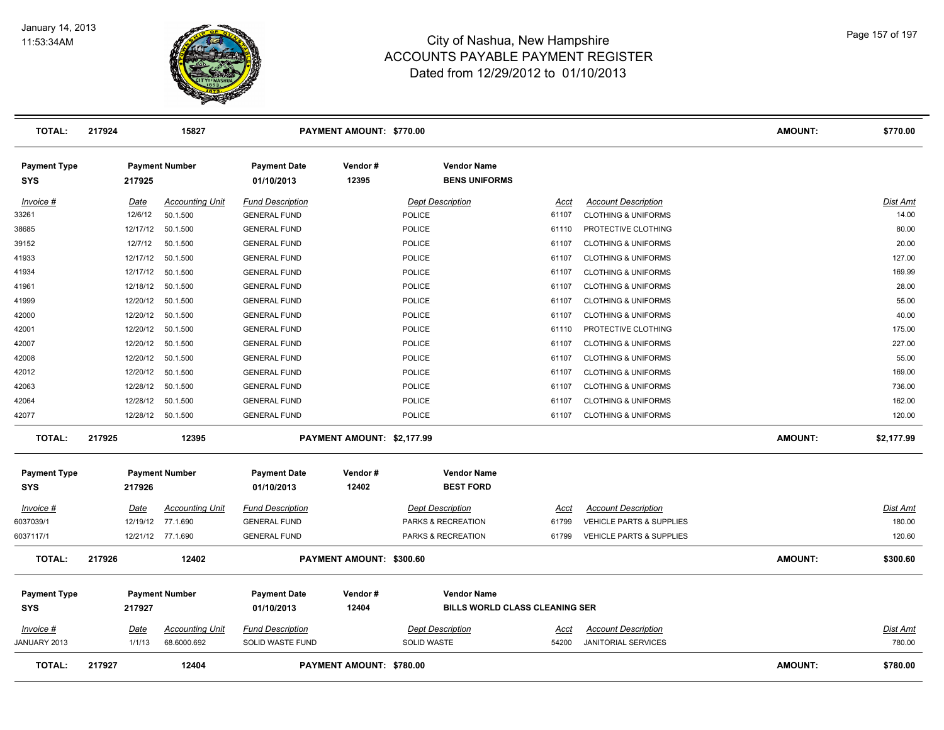

| <b>TOTAL:</b>              | 217924      | 15827                  |                                   | PAYMENT AMOUNT: \$770.00        |                                            |             |                                | <b>AMOUNT:</b> | \$770.00        |
|----------------------------|-------------|------------------------|-----------------------------------|---------------------------------|--------------------------------------------|-------------|--------------------------------|----------------|-----------------|
| <b>Payment Type</b><br>SYS | 217925      | <b>Payment Number</b>  | <b>Payment Date</b><br>01/10/2013 | Vendor#<br>12395                | <b>Vendor Name</b><br><b>BENS UNIFORMS</b> |             |                                |                |                 |
| Invoice #                  | Date        | <b>Accounting Unit</b> | <b>Fund Description</b>           |                                 | <b>Dept Description</b>                    | Acct        | <b>Account Description</b>     |                | Dist Amt        |
| 33261                      | 12/6/12     | 50.1.500               | <b>GENERAL FUND</b>               |                                 | <b>POLICE</b>                              | 61107       | <b>CLOTHING &amp; UNIFORMS</b> |                | 14.00           |
| 38685                      | 12/17/12    | 50.1.500               | <b>GENERAL FUND</b>               |                                 | POLICE                                     | 61110       | PROTECTIVE CLOTHING            |                | 80.00           |
| 39152                      | 12/7/12     | 50.1.500               | <b>GENERAL FUND</b>               |                                 | POLICE                                     | 61107       | <b>CLOTHING &amp; UNIFORMS</b> |                | 20.00           |
| 41933                      | 12/17/12    | 50.1.500               | <b>GENERAL FUND</b>               |                                 | <b>POLICE</b>                              | 61107       | <b>CLOTHING &amp; UNIFORMS</b> |                | 127.00          |
| 41934                      | 12/17/12    | 50.1.500               | <b>GENERAL FUND</b>               |                                 | <b>POLICE</b>                              | 61107       | <b>CLOTHING &amp; UNIFORMS</b> |                | 169.99          |
| 41961                      | 12/18/12    | 50.1.500               | <b>GENERAL FUND</b>               |                                 | POLICE                                     | 61107       | <b>CLOTHING &amp; UNIFORMS</b> |                | 28.00           |
| 41999                      | 12/20/12    | 50.1.500               | <b>GENERAL FUND</b>               |                                 | POLICE                                     | 61107       | <b>CLOTHING &amp; UNIFORMS</b> |                | 55.00           |
| 42000                      | 12/20/12    | 50.1.500               | <b>GENERAL FUND</b>               |                                 | POLICE                                     | 61107       | <b>CLOTHING &amp; UNIFORMS</b> |                | 40.00           |
| 42001                      | 12/20/12    | 50.1.500               | <b>GENERAL FUND</b>               |                                 | <b>POLICE</b>                              | 61110       | PROTECTIVE CLOTHING            |                | 175.00          |
| 42007                      | 12/20/12    | 50.1.500               | <b>GENERAL FUND</b>               |                                 | <b>POLICE</b>                              | 61107       | <b>CLOTHING &amp; UNIFORMS</b> |                | 227.00          |
| 42008                      | 12/20/12    | 50.1.500               | <b>GENERAL FUND</b>               |                                 | <b>POLICE</b>                              | 61107       | <b>CLOTHING &amp; UNIFORMS</b> |                | 55.00           |
| 42012                      | 12/20/12    | 50.1.500               | <b>GENERAL FUND</b>               |                                 | <b>POLICE</b>                              | 61107       | <b>CLOTHING &amp; UNIFORMS</b> |                | 169.00          |
| 42063                      | 12/28/12    | 50.1.500               | <b>GENERAL FUND</b>               |                                 | <b>POLICE</b>                              | 61107       | <b>CLOTHING &amp; UNIFORMS</b> |                | 736.00          |
| 42064                      | 12/28/12    | 50.1.500               | <b>GENERAL FUND</b>               |                                 | <b>POLICE</b>                              | 61107       | <b>CLOTHING &amp; UNIFORMS</b> |                | 162.00          |
| 42077                      | 12/28/12    | 50.1.500               | <b>GENERAL FUND</b>               |                                 | POLICE                                     | 61107       | <b>CLOTHING &amp; UNIFORMS</b> |                | 120.00          |
| <b>TOTAL:</b>              | 217925      | 12395                  |                                   | PAYMENT AMOUNT: \$2,177.99      |                                            |             |                                | AMOUNT:        | \$2,177.99      |
| <b>Payment Type</b>        |             | <b>Payment Number</b>  | <b>Payment Date</b>               | Vendor#                         | <b>Vendor Name</b>                         |             |                                |                |                 |
| <b>SYS</b>                 | 217926      |                        | 01/10/2013                        | 12402                           | <b>BEST FORD</b>                           |             |                                |                |                 |
| Invoice #                  | Date        | <b>Accounting Unit</b> | <b>Fund Description</b>           |                                 | <b>Dept Description</b>                    | Acct        | <b>Account Description</b>     |                | Dist Amt        |
| 6037039/1                  | 12/19/12    | 77.1.690               | <b>GENERAL FUND</b>               |                                 | PARKS & RECREATION                         | 61799       | VEHICLE PARTS & SUPPLIES       |                | 180.00          |
| 6037117/1                  |             | 12/21/12 77.1.690      | <b>GENERAL FUND</b>               |                                 | PARKS & RECREATION                         | 61799       | VEHICLE PARTS & SUPPLIES       |                | 120.60          |
| <b>TOTAL:</b>              | 217926      | 12402                  |                                   | PAYMENT AMOUNT: \$300.60        |                                            |             |                                | <b>AMOUNT:</b> | \$300.60        |
|                            |             |                        | <b>Payment Date</b>               | Vendor#                         | <b>Vendor Name</b>                         |             |                                |                |                 |
| <b>Payment Type</b><br>SYS | 217927      | <b>Payment Number</b>  | 01/10/2013                        | 12404                           | <b>BILLS WORLD CLASS CLEANING SER</b>      |             |                                |                |                 |
|                            |             |                        |                                   |                                 |                                            |             |                                |                |                 |
| $Invoice$ #                | <u>Date</u> | <b>Accounting Unit</b> | <b>Fund Description</b>           |                                 | <b>Dept Description</b>                    | <u>Acct</u> | <b>Account Description</b>     |                | <u>Dist Amt</u> |
| JANUARY 2013               | 1/1/13      | 68.6000.692            | SOLID WASTE FUND                  |                                 | <b>SOLID WASTE</b>                         | 54200       | <b>JANITORIAL SERVICES</b>     |                | 780.00          |
| <b>TOTAL:</b>              | 217927      | 12404                  |                                   | <b>PAYMENT AMOUNT: \$780.00</b> |                                            |             |                                | <b>AMOUNT:</b> | \$780.00        |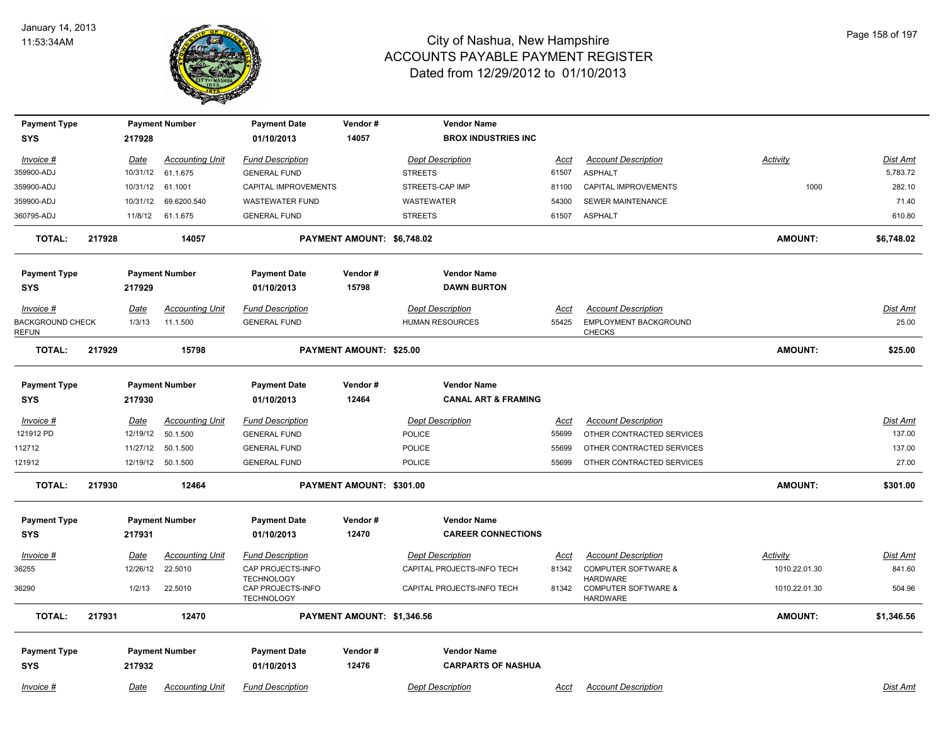

| <b>Payment Type</b><br><b>SYS</b>       |        | 217928      | <b>Payment Number</b>  | <b>Payment Date</b><br>01/10/2013      | Vendor#<br>14057               | <b>Vendor Name</b><br><b>BROX INDUSTRIES INC</b> |             |                                                   |                |                 |
|-----------------------------------------|--------|-------------|------------------------|----------------------------------------|--------------------------------|--------------------------------------------------|-------------|---------------------------------------------------|----------------|-----------------|
| Invoice #                               |        | Date        | <b>Accounting Unit</b> | <b>Fund Description</b>                |                                | <b>Dept Description</b>                          | Acct        | <b>Account Description</b>                        | Activity       | Dist Amt        |
| 359900-ADJ                              |        | 10/31/12    | 61.1.675               | <b>GENERAL FUND</b>                    |                                | <b>STREETS</b>                                   | 61507       | <b>ASPHALT</b>                                    |                | 5,783.72        |
| 359900-ADJ                              |        | 10/31/12    | 61.1001                | CAPITAL IMPROVEMENTS                   |                                | STREETS-CAP IMP                                  | 81100       | <b>CAPITAL IMPROVEMENTS</b>                       | 1000           | 282.10          |
| 359900-ADJ                              |        | 10/31/12    | 69.6200.540            | <b>WASTEWATER FUND</b>                 |                                | WASTEWATER                                       | 54300       | SEWER MAINTENANCE                                 |                | 71.40           |
| 360795-ADJ                              |        | 11/8/12     | 61.1.675               | <b>GENERAL FUND</b>                    |                                | <b>STREETS</b>                                   | 61507       | <b>ASPHALT</b>                                    |                | 610.80          |
| <b>TOTAL:</b>                           | 217928 |             | 14057                  |                                        | PAYMENT AMOUNT: \$6,748.02     |                                                  |             |                                                   | <b>AMOUNT:</b> | \$6,748.02      |
| <b>Payment Type</b>                     |        |             | <b>Payment Number</b>  | <b>Payment Date</b>                    | Vendor#                        | <b>Vendor Name</b>                               |             |                                                   |                |                 |
| <b>SYS</b>                              |        | 217929      |                        | 01/10/2013                             | 15798                          | <b>DAWN BURTON</b>                               |             |                                                   |                |                 |
| Invoice #                               |        | Date        | <b>Accounting Unit</b> | <b>Fund Description</b>                |                                | <b>Dept Description</b>                          | Acct        | <b>Account Description</b>                        |                | <b>Dist Amt</b> |
| <b>BACKGROUND CHECK</b><br><b>REFUN</b> |        | 1/3/13      | 11.1.500               | <b>GENERAL FUND</b>                    |                                | <b>HUMAN RESOURCES</b>                           | 55425       | <b>EMPLOYMENT BACKGROUND</b><br><b>CHECKS</b>     |                | 25.00           |
| <b>TOTAL:</b>                           | 217929 |             | 15798                  |                                        | <b>PAYMENT AMOUNT: \$25.00</b> |                                                  |             |                                                   | <b>AMOUNT:</b> | \$25.00         |
| <b>Payment Type</b>                     |        |             | <b>Payment Number</b>  | <b>Payment Date</b>                    | Vendor#                        | <b>Vendor Name</b>                               |             |                                                   |                |                 |
| SYS                                     |        | 217930      |                        | 01/10/2013                             | 12464                          | <b>CANAL ART &amp; FRAMING</b>                   |             |                                                   |                |                 |
| $Invoice$ #                             |        | <u>Date</u> | <b>Accounting Unit</b> | <b>Fund Description</b>                |                                | <b>Dept Description</b>                          | <u>Acct</u> | <b>Account Description</b>                        |                | <b>Dist Amt</b> |
| 121912 PD                               |        | 12/19/12    | 50.1.500               | <b>GENERAL FUND</b>                    |                                | POLICE                                           | 55699       | OTHER CONTRACTED SERVICES                         |                | 137.00          |
| 112712                                  |        | 11/27/12    | 50.1.500               | <b>GENERAL FUND</b>                    |                                | <b>POLICE</b>                                    | 55699       | OTHER CONTRACTED SERVICES                         |                | 137.00          |
| 121912                                  |        | 12/19/12    | 50.1.500               | <b>GENERAL FUND</b>                    |                                | <b>POLICE</b>                                    | 55699       | OTHER CONTRACTED SERVICES                         |                | 27.00           |
| <b>TOTAL:</b>                           | 217930 |             | 12464                  |                                        | PAYMENT AMOUNT: \$301.00       |                                                  |             |                                                   | <b>AMOUNT:</b> | \$301.00        |
| <b>Payment Type</b>                     |        |             | <b>Payment Number</b>  | <b>Payment Date</b>                    | Vendor#                        | <b>Vendor Name</b>                               |             |                                                   |                |                 |
| <b>SYS</b>                              |        | 217931      |                        | 01/10/2013                             | 12470                          | <b>CAREER CONNECTIONS</b>                        |             |                                                   |                |                 |
| Invoice #                               |        | Date        | <b>Accounting Unit</b> | <b>Fund Description</b>                |                                | <b>Dept Description</b>                          | Acct        | <b>Account Description</b>                        | Activity       | Dist Amt        |
| 36255                                   |        | 12/26/12    | 22.5010                | CAP PROJECTS-INFO<br><b>TECHNOLOGY</b> |                                | CAPITAL PROJECTS-INFO TECH                       | 81342       | <b>COMPUTER SOFTWARE &amp;</b><br><b>HARDWARE</b> | 1010.22.01.30  | 841.60          |
| 36290                                   |        | 1/2/13      | 22.5010                | CAP PROJECTS-INFO<br><b>TECHNOLOGY</b> |                                | CAPITAL PROJECTS-INFO TECH                       | 81342       | <b>COMPUTER SOFTWARE &amp;</b><br><b>HARDWARE</b> | 1010.22.01.30  | 504.96          |
| <b>TOTAL:</b>                           | 217931 |             | 12470                  |                                        | PAYMENT AMOUNT: \$1,346.56     |                                                  |             |                                                   | <b>AMOUNT:</b> | \$1,346.56      |
| <b>Payment Type</b>                     |        |             | <b>Payment Number</b>  | <b>Payment Date</b>                    | Vendor#                        | <b>Vendor Name</b>                               |             |                                                   |                |                 |
| SYS                                     |        | 217932      |                        | 01/10/2013                             | 12476                          | <b>CARPARTS OF NASHUA</b>                        |             |                                                   |                |                 |
| Invoice #                               |        | Date        | <b>Accounting Unit</b> | <b>Fund Description</b>                |                                | <b>Dept Description</b>                          | Acct        | <b>Account Description</b>                        |                | Dist Amt        |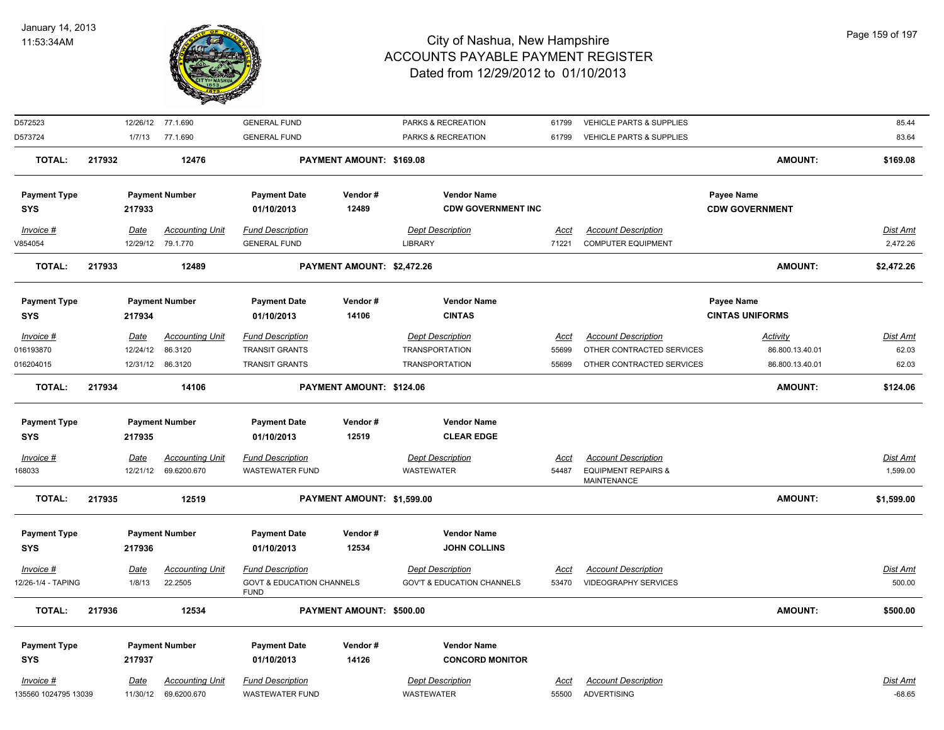

| D572523              |        |             | 12/26/12 77.1.690      | <b>GENERAL FUND</b>                                 |                            | PARKS & RECREATION                    | 61799       | VEHICLE PARTS & SUPPLIES                      |                        | 85.44           |
|----------------------|--------|-------------|------------------------|-----------------------------------------------------|----------------------------|---------------------------------------|-------------|-----------------------------------------------|------------------------|-----------------|
| D573724              |        | 1/7/13      | 77.1.690               | <b>GENERAL FUND</b>                                 |                            | PARKS & RECREATION                    | 61799       | <b>VEHICLE PARTS &amp; SUPPLIES</b>           |                        | 83.64           |
| <b>TOTAL:</b>        | 217932 |             | 12476                  |                                                     | PAYMENT AMOUNT: \$169.08   |                                       |             |                                               | <b>AMOUNT:</b>         | \$169.08        |
| <b>Payment Type</b>  |        |             | <b>Payment Number</b>  | <b>Payment Date</b>                                 | Vendor#                    | <b>Vendor Name</b>                    |             |                                               | Payee Name             |                 |
| <b>SYS</b>           |        | 217933      |                        | 01/10/2013                                          | 12489                      | <b>CDW GOVERNMENT INC</b>             |             |                                               | <b>CDW GOVERNMENT</b>  |                 |
| $Invoice$ #          |        | <u>Date</u> | <b>Accounting Unit</b> | <b>Fund Description</b>                             |                            | <b>Dept Description</b>               | <u>Acct</u> | <b>Account Description</b>                    |                        | Dist Amt        |
| V854054              |        |             | 12/29/12 79.1.770      | <b>GENERAL FUND</b>                                 |                            | LIBRARY                               | 71221       | <b>COMPUTER EQUIPMENT</b>                     |                        | 2,472.26        |
| <b>TOTAL:</b>        | 217933 |             | 12489                  |                                                     | PAYMENT AMOUNT: \$2,472.26 |                                       |             |                                               | <b>AMOUNT:</b>         | \$2,472.26      |
| <b>Payment Type</b>  |        |             | <b>Payment Number</b>  | <b>Payment Date</b>                                 | Vendor#                    | <b>Vendor Name</b>                    |             |                                               | Payee Name             |                 |
| <b>SYS</b>           |        | 217934      |                        | 01/10/2013                                          | 14106                      | <b>CINTAS</b>                         |             |                                               | <b>CINTAS UNIFORMS</b> |                 |
| Invoice #            |        | <u>Date</u> | <b>Accounting Unit</b> | <b>Fund Description</b>                             |                            | <b>Dept Description</b>               | Acct        | <b>Account Description</b>                    | <b>Activity</b>        | Dist Amt        |
| 016193870            |        | 12/24/12    | 86.3120                | <b>TRANSIT GRANTS</b>                               |                            | <b>TRANSPORTATION</b>                 | 55699       | OTHER CONTRACTED SERVICES                     | 86.800.13.40.01        | 62.03           |
| 016204015            |        |             | 12/31/12 86.3120       | <b>TRANSIT GRANTS</b>                               |                            | <b>TRANSPORTATION</b>                 | 55699       | OTHER CONTRACTED SERVICES                     | 86.800.13.40.01        | 62.03           |
| <b>TOTAL:</b>        | 217934 |             | 14106                  |                                                     | PAYMENT AMOUNT: \$124.06   |                                       |             |                                               | <b>AMOUNT:</b>         | \$124.06        |
| <b>Payment Type</b>  |        |             | <b>Payment Number</b>  | <b>Payment Date</b>                                 | Vendor#                    | <b>Vendor Name</b>                    |             |                                               |                        |                 |
| <b>SYS</b>           |        | 217935      |                        | 01/10/2013                                          | 12519                      | <b>CLEAR EDGE</b>                     |             |                                               |                        |                 |
| $Invoice$ #          |        | <u>Date</u> | <u>Accounting Unit</u> | <b>Fund Description</b>                             |                            | <b>Dept Description</b>               | <u>Acct</u> | <b>Account Description</b>                    |                        | <b>Dist Amt</b> |
| 168033               |        | 12/21/12    | 69.6200.670            | WASTEWATER FUND                                     |                            | <b>WASTEWATER</b>                     | 54487       | <b>EQUIPMENT REPAIRS &amp;</b><br>MAINTENANCE |                        | 1,599.00        |
| <b>TOTAL:</b>        | 217935 |             | 12519                  |                                                     | PAYMENT AMOUNT: \$1,599.00 |                                       |             |                                               | <b>AMOUNT:</b>         | \$1,599.00      |
| <b>Payment Type</b>  |        |             | <b>Payment Number</b>  | <b>Payment Date</b>                                 | Vendor#                    | <b>Vendor Name</b>                    |             |                                               |                        |                 |
| <b>SYS</b>           |        | 217936      |                        | 01/10/2013                                          | 12534                      | <b>JOHN COLLINS</b>                   |             |                                               |                        |                 |
| Invoice #            |        | <u>Date</u> | <u>Accounting Unit</u> | <b>Fund Description</b>                             |                            | <b>Dept Description</b>               | <u>Acct</u> | <b>Account Description</b>                    |                        | Dist Amt        |
| 12/26-1/4 - TAPING   |        | 1/8/13      | 22.2505                | <b>GOVT &amp; EDUCATION CHANNELS</b><br><b>FUND</b> |                            | <b>GOV'T &amp; EDUCATION CHANNELS</b> | 53470       | <b>VIDEOGRAPHY SERVICES</b>                   |                        | 500.00          |
| <b>TOTAL:</b>        | 217936 |             | 12534                  |                                                     | PAYMENT AMOUNT: \$500.00   |                                       |             |                                               | <b>AMOUNT:</b>         | \$500.00        |
| <b>Payment Type</b>  |        |             | <b>Payment Number</b>  | <b>Payment Date</b>                                 | Vendor#                    | <b>Vendor Name</b>                    |             |                                               |                        |                 |
| <b>SYS</b>           |        | 217937      |                        | 01/10/2013                                          | 14126                      | <b>CONCORD MONITOR</b>                |             |                                               |                        |                 |
| Invoice #            |        | Date        | <b>Accounting Unit</b> | <b>Fund Description</b>                             |                            | <b>Dept Description</b>               | <b>Acct</b> | <b>Account Description</b>                    |                        | Dist Amt        |
| 135560 1024795 13039 |        |             | 11/30/12 69.6200.670   | <b>WASTEWATER FUND</b>                              |                            | <b>WASTEWATER</b>                     | 55500       | <b>ADVERTISING</b>                            |                        | $-68.65$        |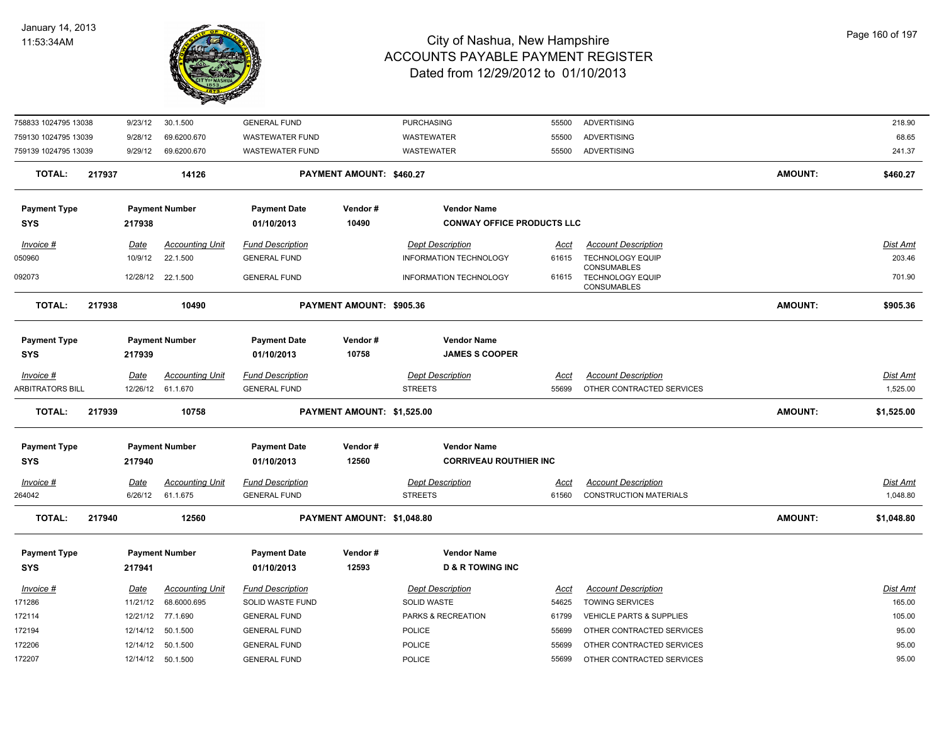

| 758833 1024795 13038    |        | 9/23/12                | 30.1.500                           | <b>GENERAL FUND</b>                            |                            | <b>PURCHASING</b>                         | 55500                | <b>ADVERTISING</b>                                          |                | 218.90                      |
|-------------------------|--------|------------------------|------------------------------------|------------------------------------------------|----------------------------|-------------------------------------------|----------------------|-------------------------------------------------------------|----------------|-----------------------------|
| 759130 1024795 13039    |        | 9/28/12                | 69.6200.670                        | <b>WASTEWATER FUND</b>                         |                            | WASTEWATER                                | 55500                | <b>ADVERTISING</b>                                          |                | 68.65                       |
| 759139 1024795 13039    |        | 9/29/12                | 69.6200.670                        | <b>WASTEWATER FUND</b>                         |                            | WASTEWATER                                | 55500                | ADVERTISING                                                 |                | 241.37                      |
| <b>TOTAL:</b>           | 217937 |                        | 14126                              |                                                | PAYMENT AMOUNT: \$460.27   |                                           |                      |                                                             | <b>AMOUNT:</b> | \$460.27                    |
| <b>Payment Type</b>     |        |                        | <b>Payment Number</b>              | <b>Payment Date</b>                            | Vendor#                    | <b>Vendor Name</b>                        |                      |                                                             |                |                             |
| <b>SYS</b>              |        | 217938                 |                                    | 01/10/2013                                     | 10490                      | <b>CONWAY OFFICE PRODUCTS LLC</b>         |                      |                                                             |                |                             |
| Invoice #               |        | <u>Date</u>            | <b>Accounting Unit</b>             | <b>Fund Description</b>                        |                            | <b>Dept Description</b>                   | Acct                 | <b>Account Description</b>                                  |                | Dist Amt                    |
| 050960                  |        | 10/9/12                | 22.1.500                           | <b>GENERAL FUND</b>                            |                            | <b>INFORMATION TECHNOLOGY</b>             | 61615                | <b>TECHNOLOGY EQUIP</b>                                     |                | 203.46                      |
| 092073                  |        |                        | 12/28/12 22.1.500                  | <b>GENERAL FUND</b>                            |                            | INFORMATION TECHNOLOGY                    | 61615                | CONSUMABLES<br><b>TECHNOLOGY EQUIP</b><br>CONSUMABLES       |                | 701.90                      |
| <b>TOTAL:</b>           | 217938 |                        | 10490                              |                                                | PAYMENT AMOUNT: \$905.36   |                                           |                      |                                                             | <b>AMOUNT:</b> | \$905.36                    |
| <b>Payment Type</b>     |        |                        | <b>Payment Number</b>              | <b>Payment Date</b>                            | Vendor#                    | <b>Vendor Name</b>                        |                      |                                                             |                |                             |
| <b>SYS</b>              |        | 217939                 |                                    | 01/10/2013                                     | 10758                      | <b>JAMES S COOPER</b>                     |                      |                                                             |                |                             |
| Invoice #               |        | Date                   | <b>Accounting Unit</b>             | <b>Fund Description</b>                        |                            | <b>Dept Description</b>                   | Acct                 | <b>Account Description</b>                                  |                | Dist Amt                    |
| <b>ARBITRATORS BILL</b> |        |                        | 12/26/12 61.1.670                  | <b>GENERAL FUND</b>                            |                            | <b>STREETS</b>                            | 55699                | OTHER CONTRACTED SERVICES                                   |                | 1,525.00                    |
| <b>TOTAL:</b>           | 217939 |                        | 10758                              |                                                | PAYMENT AMOUNT: \$1,525.00 |                                           |                      |                                                             | <b>AMOUNT:</b> | \$1,525.00                  |
| <b>Payment Type</b>     |        |                        | <b>Payment Number</b>              | <b>Payment Date</b>                            | Vendor#                    | <b>Vendor Name</b>                        |                      |                                                             |                |                             |
| <b>SYS</b>              |        | 217940                 |                                    | 01/10/2013                                     | 12560                      | <b>CORRIVEAU ROUTHIER INC</b>             |                      |                                                             |                |                             |
| $Invoice$ #<br>264042   |        | <u>Date</u><br>6/26/12 | <b>Accounting Unit</b><br>61.1.675 | <b>Fund Description</b><br><b>GENERAL FUND</b> |                            | <b>Dept Description</b><br><b>STREETS</b> | <u>Acct</u><br>61560 | <b>Account Description</b><br><b>CONSTRUCTION MATERIALS</b> |                | <u>Dist Amt</u><br>1,048.80 |
| <b>TOTAL:</b>           | 217940 |                        | 12560                              |                                                | PAYMENT AMOUNT: \$1,048.80 |                                           |                      |                                                             | <b>AMOUNT:</b> | \$1,048.80                  |
|                         |        |                        |                                    |                                                |                            |                                           |                      |                                                             |                |                             |
| <b>Payment Type</b>     |        |                        | <b>Payment Number</b>              | <b>Payment Date</b>                            | Vendor#                    | <b>Vendor Name</b>                        |                      |                                                             |                |                             |
| <b>SYS</b>              |        | 217941                 |                                    | 01/10/2013                                     | 12593                      | <b>D &amp; R TOWING INC</b>               |                      |                                                             |                |                             |
| Invoice #               |        | Date                   | <b>Accounting Unit</b>             | <b>Fund Description</b>                        |                            | <b>Dept Description</b>                   | <u>Acct</u>          | <b>Account Description</b>                                  |                | Dist Amt                    |
| 171286                  |        | 11/21/12               | 68.6000.695                        | SOLID WASTE FUND                               |                            | SOLID WASTE                               | 54625                | <b>TOWING SERVICES</b>                                      |                | 165.00                      |
| 172114                  |        |                        | 12/21/12 77.1.690                  | <b>GENERAL FUND</b>                            |                            | PARKS & RECREATION                        | 61799                | <b>VEHICLE PARTS &amp; SUPPLIES</b>                         |                | 105.00                      |
| 172194                  |        |                        | 12/14/12 50.1.500                  | <b>GENERAL FUND</b>                            |                            | POLICE                                    | 55699                | OTHER CONTRACTED SERVICES                                   |                | 95.00                       |
| 172206                  |        |                        | 12/14/12  50.1.500                 | <b>GENERAL FUND</b>                            |                            | POLICE                                    | 55699                | OTHER CONTRACTED SERVICES                                   |                | 95.00                       |
| 172207                  |        |                        | 12/14/12  50.1.500                 | <b>GENERAL FUND</b>                            |                            | POLICE                                    | 55699                | OTHER CONTRACTED SERVICES                                   |                | 95.00                       |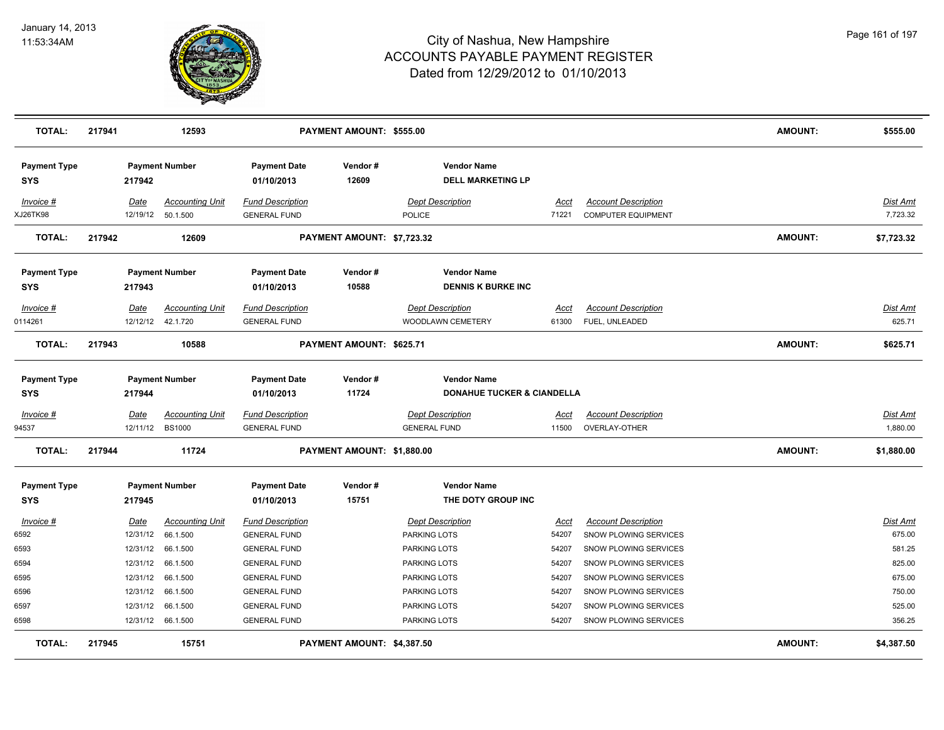

| <b>TOTAL:</b>                     | 217941 |             | 12593                  |                                   | PAYMENT AMOUNT: \$555.00   |                                                 |               |                            | <b>AMOUNT:</b> | \$555.00                  |
|-----------------------------------|--------|-------------|------------------------|-----------------------------------|----------------------------|-------------------------------------------------|---------------|----------------------------|----------------|---------------------------|
| <b>Payment Type</b><br><b>SYS</b> |        | 217942      | <b>Payment Number</b>  | <b>Payment Date</b><br>01/10/2013 | Vendor#<br>12609           | <b>Vendor Name</b><br><b>DELL MARKETING LP</b>  |               |                            |                |                           |
| Invoice #                         |        | Date        | <b>Accounting Unit</b> | <b>Fund Description</b>           |                            | <b>Dept Description</b>                         | Acct          | <b>Account Description</b> |                | <b>Dist Amt</b>           |
| XJ26TK98                          |        | 12/19/12    | 50.1.500               | <b>GENERAL FUND</b>               |                            | <b>POLICE</b>                                   | 71221         | <b>COMPUTER EQUIPMENT</b>  |                | 7,723.32                  |
| <b>TOTAL:</b>                     | 217942 |             | 12609                  |                                   | PAYMENT AMOUNT: \$7,723.32 |                                                 |               |                            | <b>AMOUNT:</b> | \$7,723.32                |
| <b>Payment Type</b><br><b>SYS</b> |        | 217943      | <b>Payment Number</b>  | <b>Payment Date</b><br>01/10/2013 | Vendor#<br>10588           | <b>Vendor Name</b><br><b>DENNIS K BURKE INC</b> |               |                            |                |                           |
|                                   |        |             |                        |                                   |                            |                                                 |               |                            |                |                           |
| Invoice #                         |        | Date        | <b>Accounting Unit</b> | <b>Fund Description</b>           |                            | <b>Dept Description</b>                         | Acct<br>61300 | <b>Account Description</b> |                | <b>Dist Amt</b><br>625.71 |
| 0114261                           |        | 12/12/12    | 42.1.720               | <b>GENERAL FUND</b>               |                            | WOODLAWN CEMETERY                               |               | FUEL, UNLEADED             |                |                           |
| <b>TOTAL:</b>                     | 217943 |             | 10588                  |                                   | PAYMENT AMOUNT: \$625.71   |                                                 |               |                            | <b>AMOUNT:</b> | \$625.71                  |
| <b>Payment Type</b>               |        |             | <b>Payment Number</b>  | <b>Payment Date</b>               | Vendor#                    | <b>Vendor Name</b>                              |               |                            |                |                           |
| <b>SYS</b>                        |        | 217944      |                        | 01/10/2013                        | 11724                      | <b>DONAHUE TUCKER &amp; CIANDELLA</b>           |               |                            |                |                           |
| $Invoice$ #                       |        | <u>Date</u> | <b>Accounting Unit</b> | <b>Fund Description</b>           |                            | <b>Dept Description</b>                         | <u>Acct</u>   | <b>Account Description</b> |                | <b>Dist Amt</b>           |
| 94537                             |        | 12/11/12    | <b>BS1000</b>          | <b>GENERAL FUND</b>               |                            | <b>GENERAL FUND</b>                             | 11500         | OVERLAY-OTHER              |                | 1,880.00                  |
| <b>TOTAL:</b>                     | 217944 |             | 11724                  |                                   | PAYMENT AMOUNT: \$1,880.00 |                                                 |               |                            | <b>AMOUNT:</b> | \$1,880.00                |
| <b>Payment Type</b>               |        |             | <b>Payment Number</b>  | <b>Payment Date</b>               | Vendor#                    | <b>Vendor Name</b>                              |               |                            |                |                           |
| <b>SYS</b>                        |        | 217945      |                        | 01/10/2013                        | 15751                      | THE DOTY GROUP INC                              |               |                            |                |                           |
| Invoice #                         |        | <u>Date</u> | <b>Accounting Unit</b> | <b>Fund Description</b>           |                            | <b>Dept Description</b>                         | <u>Acct</u>   | <b>Account Description</b> |                | Dist Amt                  |
| 6592                              |        | 12/31/12    | 66.1.500               | <b>GENERAL FUND</b>               |                            | PARKING LOTS                                    | 54207         | SNOW PLOWING SERVICES      |                | 675.00                    |
| 6593                              |        | 12/31/12    | 66.1.500               | <b>GENERAL FUND</b>               |                            | PARKING LOTS                                    | 54207         | SNOW PLOWING SERVICES      |                | 581.25                    |
| 6594                              |        | 12/31/12    | 66.1.500               | <b>GENERAL FUND</b>               |                            | PARKING LOTS                                    | 54207         | SNOW PLOWING SERVICES      |                | 825.00                    |
| 6595                              |        | 12/31/12    | 66.1.500               | <b>GENERAL FUND</b>               |                            | PARKING LOTS                                    | 54207         | SNOW PLOWING SERVICES      |                | 675.00                    |
| 6596                              |        | 12/31/12    | 66.1.500               | <b>GENERAL FUND</b>               |                            | PARKING LOTS                                    | 54207         | SNOW PLOWING SERVICES      |                | 750.00                    |
| 6597                              |        | 12/31/12    | 66.1.500               | <b>GENERAL FUND</b>               |                            | PARKING LOTS                                    | 54207         | SNOW PLOWING SERVICES      |                | 525.00                    |
| 6598                              |        |             | 12/31/12 66.1.500      | <b>GENERAL FUND</b>               |                            | PARKING LOTS                                    | 54207         | SNOW PLOWING SERVICES      |                | 356.25                    |
| <b>TOTAL:</b>                     | 217945 |             | 15751                  |                                   | PAYMENT AMOUNT: \$4,387.50 |                                                 |               |                            | <b>AMOUNT:</b> | \$4,387.50                |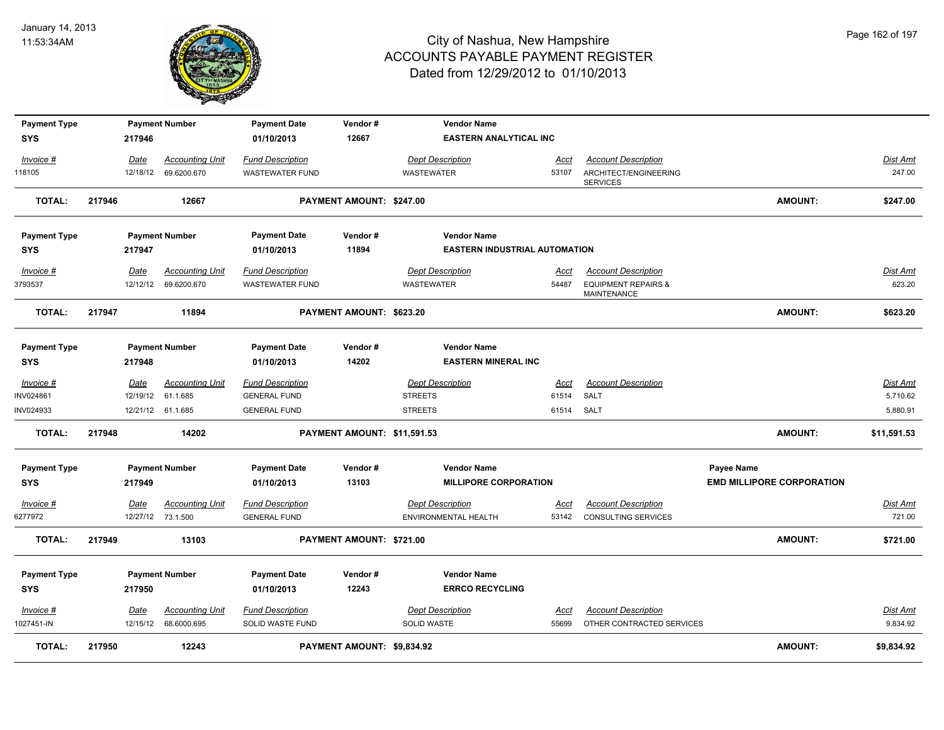

| <b>Payment Type</b> |        |          | <b>Payment Number</b>  | <b>Payment Date</b>     | Vendor#                     | <b>Vendor Name</b>                   |             |                                               |                                  |                 |
|---------------------|--------|----------|------------------------|-------------------------|-----------------------------|--------------------------------------|-------------|-----------------------------------------------|----------------------------------|-----------------|
| <b>SYS</b>          |        | 217946   |                        | 01/10/2013              | 12667                       | <b>EASTERN ANALYTICAL INC</b>        |             |                                               |                                  |                 |
| Invoice #           |        | Date     | <b>Accounting Unit</b> | <b>Fund Description</b> |                             | <b>Dept Description</b>              | Acct        | <b>Account Description</b>                    |                                  | <b>Dist Amt</b> |
| 118105              |        | 12/18/12 | 69.6200.670            | <b>WASTEWATER FUND</b>  |                             | WASTEWATER                           | 53107       | ARCHITECT/ENGINEERING<br><b>SERVICES</b>      |                                  | 247.00          |
| <b>TOTAL:</b>       | 217946 |          | 12667                  |                         | PAYMENT AMOUNT: \$247.00    |                                      |             |                                               | <b>AMOUNT:</b>                   | \$247.00        |
| <b>Payment Type</b> |        |          | <b>Payment Number</b>  | <b>Payment Date</b>     | Vendor#                     | <b>Vendor Name</b>                   |             |                                               |                                  |                 |
| <b>SYS</b>          |        | 217947   |                        | 01/10/2013              | 11894                       | <b>EASTERN INDUSTRIAL AUTOMATION</b> |             |                                               |                                  |                 |
| Invoice #           |        | Date     | <b>Accounting Unit</b> | <b>Fund Description</b> |                             | <b>Dept Description</b>              | Acct        | <b>Account Description</b>                    |                                  | Dist Amt        |
| 3793537             |        | 12/12/12 | 69.6200.670            | <b>WASTEWATER FUND</b>  |                             | WASTEWATER                           | 54487       | <b>EQUIPMENT REPAIRS &amp;</b><br>MAINTENANCE |                                  | 623.20          |
| <b>TOTAL:</b>       | 217947 |          | 11894                  |                         | PAYMENT AMOUNT: \$623.20    |                                      |             |                                               | <b>AMOUNT:</b>                   | \$623.20        |
| <b>Payment Type</b> |        |          | <b>Payment Number</b>  | <b>Payment Date</b>     | Vendor#                     | <b>Vendor Name</b>                   |             |                                               |                                  |                 |
| <b>SYS</b>          |        | 217948   |                        | 01/10/2013              | 14202                       | <b>EASTERN MINERAL INC</b>           |             |                                               |                                  |                 |
| Invoice #           |        | Date     | <b>Accounting Unit</b> | <b>Fund Description</b> |                             | <b>Dept Description</b>              | Acct        | <b>Account Description</b>                    |                                  | Dist Amt        |
| INV024861           |        | 12/19/12 | 61.1.685               | <b>GENERAL FUND</b>     |                             | <b>STREETS</b>                       | 61514       | <b>SALT</b>                                   |                                  | 5,710.62        |
| INV024933           |        |          | 12/21/12 61.1.685      | <b>GENERAL FUND</b>     |                             | <b>STREETS</b>                       | 61514 SALT  |                                               |                                  | 5,880.91        |
| <b>TOTAL:</b>       | 217948 |          | 14202                  |                         | PAYMENT AMOUNT: \$11,591.53 |                                      |             |                                               | <b>AMOUNT:</b>                   | \$11,591.53     |
| <b>Payment Type</b> |        |          | <b>Payment Number</b>  | <b>Payment Date</b>     | Vendor#                     | <b>Vendor Name</b>                   |             |                                               | <b>Payee Name</b>                |                 |
| <b>SYS</b>          |        | 217949   |                        | 01/10/2013              | 13103                       | <b>MILLIPORE CORPORATION</b>         |             |                                               | <b>EMD MILLIPORE CORPORATION</b> |                 |
| $Invoice$ #         |        | Date     | <b>Accounting Unit</b> | <b>Fund Description</b> |                             | <b>Dept Description</b>              | <u>Acct</u> | <b>Account Description</b>                    |                                  | <b>Dist Amt</b> |
| 6277972             |        |          | 12/27/12 73.1.500      | <b>GENERAL FUND</b>     |                             | ENVIRONMENTAL HEALTH                 | 53142       | <b>CONSULTING SERVICES</b>                    |                                  | 721.00          |
| <b>TOTAL:</b>       | 217949 |          | 13103                  |                         | PAYMENT AMOUNT: \$721.00    |                                      |             |                                               | <b>AMOUNT:</b>                   | \$721.00        |
| <b>Payment Type</b> |        |          | <b>Payment Number</b>  | <b>Payment Date</b>     | Vendor#                     | <b>Vendor Name</b>                   |             |                                               |                                  |                 |
| <b>SYS</b>          |        | 217950   |                        | 01/10/2013              | 12243                       | <b>ERRCO RECYCLING</b>               |             |                                               |                                  |                 |
| Invoice #           |        | Date     | <b>Accounting Unit</b> | <b>Fund Description</b> |                             | <b>Dept Description</b>              | Acct        | <b>Account Description</b>                    |                                  | <b>Dist Amt</b> |
| 1027451-IN          |        |          | 12/15/12 68.6000.695   | <b>SOLID WASTE FUND</b> |                             | <b>SOLID WASTE</b>                   | 55699       | OTHER CONTRACTED SERVICES                     |                                  | 9,834.92        |
| <b>TOTAL:</b>       | 217950 |          | 12243                  |                         | PAYMENT AMOUNT: \$9.834.92  |                                      |             |                                               | <b>AMOUNT:</b>                   | \$9.834.92      |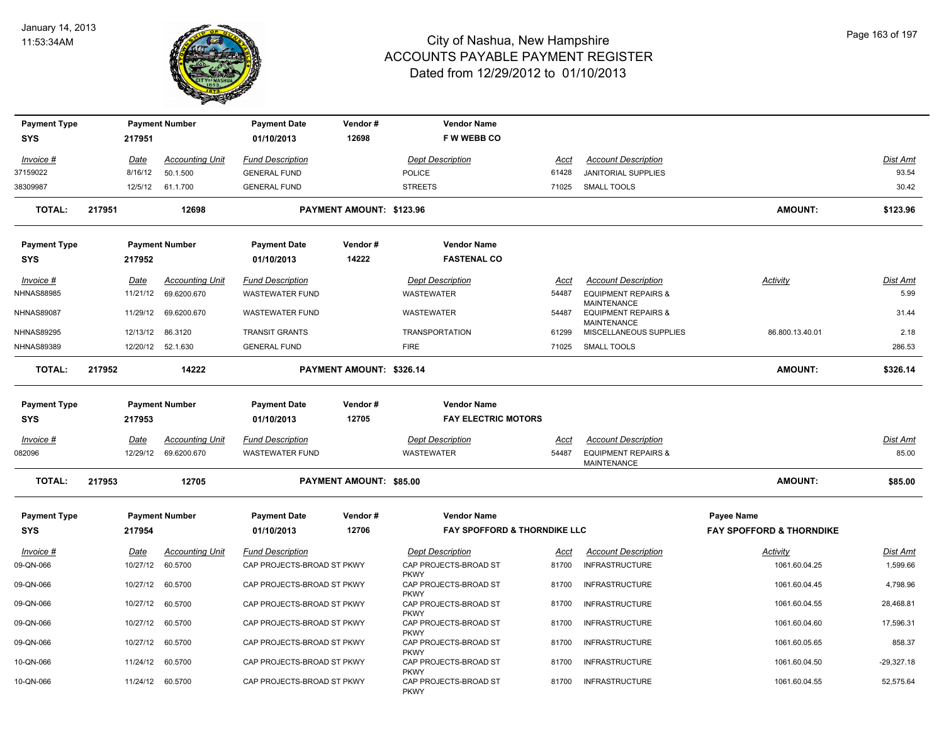

| <b>Payment Type</b><br><b>SYS</b>      | 217951               | <b>Payment Number</b>  | <b>Payment Date</b><br>01/10/2013            | Vendor#<br>12698               | <b>Vendor Name</b><br>F W WEBB CO    |                |                                                      |                                     |                 |
|----------------------------------------|----------------------|------------------------|----------------------------------------------|--------------------------------|--------------------------------------|----------------|------------------------------------------------------|-------------------------------------|-----------------|
|                                        |                      |                        |                                              |                                |                                      |                |                                                      |                                     |                 |
| Invoice #                              | <u>Date</u>          | <b>Accounting Unit</b> | <b>Fund Description</b>                      |                                | <b>Dept Description</b>              | Acct           | <b>Account Description</b>                           |                                     | Dist Amt        |
| 37159022                               | 8/16/12              | 50.1.500               | <b>GENERAL FUND</b>                          |                                | <b>POLICE</b>                        | 61428          | <b>JANITORIAL SUPPLIES</b>                           |                                     | 93.54           |
| 38309987                               | 12/5/12              | 61.1.700               | <b>GENERAL FUND</b>                          |                                | <b>STREETS</b>                       | 71025          | SMALL TOOLS                                          |                                     | 30.42           |
| <b>TOTAL:</b>                          | 217951               | 12698                  |                                              | PAYMENT AMOUNT: \$123.96       |                                      |                |                                                      | <b>AMOUNT:</b>                      | \$123.96        |
| <b>Payment Type</b>                    |                      | <b>Payment Number</b>  | <b>Payment Date</b>                          | Vendor#                        | <b>Vendor Name</b>                   |                |                                                      |                                     |                 |
| SYS                                    | 217952               |                        | 01/10/2013                                   | 14222                          | <b>FASTENAL CO</b>                   |                |                                                      |                                     |                 |
| Invoice #                              | Date                 | <b>Accounting Unit</b> | <b>Fund Description</b>                      |                                | <b>Dept Description</b>              | Acct           | <b>Account Description</b>                           | Activity                            | <u>Dist Amt</u> |
| <b>NHNAS88985</b>                      | 11/21/12             | 69.6200.670            | <b>WASTEWATER FUND</b>                       |                                | WASTEWATER                           | 54487          | <b>EQUIPMENT REPAIRS &amp;</b>                       |                                     | 5.99            |
| <b>NHNAS89087</b>                      | 11/29/12             | 69.6200.670            | WASTEWATER FUND                              |                                | WASTEWATER                           | 54487          | <b>MAINTENANCE</b><br><b>EQUIPMENT REPAIRS &amp;</b> |                                     | 31.44           |
|                                        |                      |                        |                                              |                                |                                      |                | <b>MAINTENANCE</b>                                   |                                     |                 |
| <b>NHNAS89295</b><br><b>NHNAS89389</b> | 12/13/12<br>12/20/12 | 86.3120<br>52.1.630    | <b>TRANSIT GRANTS</b><br><b>GENERAL FUND</b> |                                | <b>TRANSPORTATION</b><br><b>FIRE</b> | 61299<br>71025 | MISCELLANEOUS SUPPLIES<br>SMALL TOOLS                | 86.800.13.40.01                     | 2.18<br>286.53  |
|                                        |                      |                        |                                              |                                |                                      |                |                                                      |                                     |                 |
| <b>TOTAL:</b>                          | 217952               | 14222                  |                                              | PAYMENT AMOUNT: \$326.14       |                                      |                |                                                      | <b>AMOUNT:</b>                      | \$326.14        |
| <b>Payment Type</b>                    |                      | <b>Payment Number</b>  | <b>Payment Date</b>                          | Vendor#                        | <b>Vendor Name</b>                   |                |                                                      |                                     |                 |
| SYS                                    | 217953               |                        | 01/10/2013                                   | 12705                          | <b>FAY ELECTRIC MOTORS</b>           |                |                                                      |                                     |                 |
| Invoice #                              | <b>Date</b>          | <b>Accounting Unit</b> | <b>Fund Description</b>                      |                                | <b>Dept Description</b>              | <u>Acct</u>    | <b>Account Description</b>                           |                                     | Dist Amt        |
| 082096                                 | 12/29/12             | 69.6200.670            | <b>WASTEWATER FUND</b>                       |                                | WASTEWATER                           | 54487          | <b>EQUIPMENT REPAIRS &amp;</b><br>MAINTENANCE        |                                     | 85.00           |
| <b>TOTAL:</b>                          | 217953               | 12705                  |                                              | <b>PAYMENT AMOUNT: \$85.00</b> |                                      |                |                                                      | <b>AMOUNT:</b>                      | \$85.00         |
| <b>Payment Type</b>                    |                      | <b>Payment Number</b>  | <b>Payment Date</b>                          | Vendor#                        | <b>Vendor Name</b>                   |                |                                                      | <b>Payee Name</b>                   |                 |
| <b>SYS</b>                             | 217954               |                        | 01/10/2013                                   | 12706                          | FAY SPOFFORD & THORNDIKE LLC         |                |                                                      | <b>FAY SPOFFORD &amp; THORNDIKE</b> |                 |
| Invoice #                              | Date                 | <b>Accounting Unit</b> | <b>Fund Description</b>                      |                                | <b>Dept Description</b>              | Acct           | <b>Account Description</b>                           | <b>Activity</b>                     | Dist Amt        |
| 09-QN-066                              | 10/27/12             | 60.5700                | CAP PROJECTS-BROAD ST PKWY                   |                                | CAP PROJECTS-BROAD ST                | 81700          | <b>INFRASTRUCTURE</b>                                | 1061.60.04.25                       | 1,599.66        |
| 09-QN-066                              | 10/27/12             | 60.5700                | CAP PROJECTS-BROAD ST PKWY                   |                                | <b>PKWY</b><br>CAP PROJECTS-BROAD ST | 81700          | <b>INFRASTRUCTURE</b>                                | 1061.60.04.45                       | 4,798.96        |
|                                        |                      |                        |                                              |                                | <b>PKWY</b>                          |                |                                                      |                                     |                 |
| 09-QN-066                              | 10/27/12             | 60.5700                | CAP PROJECTS-BROAD ST PKWY                   |                                | CAP PROJECTS-BROAD ST<br><b>PKWY</b> | 81700          | <b>INFRASTRUCTURE</b>                                | 1061.60.04.55                       | 28,468.81       |
| 09-QN-066                              | 10/27/12             | 60.5700                | CAP PROJECTS-BROAD ST PKWY                   |                                | CAP PROJECTS-BROAD ST                | 81700          | <b>INFRASTRUCTURE</b>                                | 1061.60.04.60                       | 17,596.31       |
| 09-QN-066                              | 10/27/12             | 60.5700                | CAP PROJECTS-BROAD ST PKWY                   |                                | <b>PKWY</b><br>CAP PROJECTS-BROAD ST | 81700          | <b>INFRASTRUCTURE</b>                                | 1061.60.05.65                       | 858.37          |
| 10-QN-066                              | 11/24/12             | 60.5700                | CAP PROJECTS-BROAD ST PKWY                   |                                | <b>PKWY</b><br>CAP PROJECTS-BROAD ST | 81700          | <b>INFRASTRUCTURE</b>                                | 1061.60.04.50                       | $-29,327.18$    |
|                                        |                      |                        |                                              |                                | <b>PKWY</b>                          |                |                                                      |                                     |                 |
| 10-QN-066                              |                      | 11/24/12 60.5700       | CAP PROJECTS-BROAD ST PKWY                   |                                | CAP PROJECTS-BROAD ST<br><b>PKWY</b> | 81700          | <b>INFRASTRUCTURE</b>                                | 1061.60.04.55                       | 52,575.64       |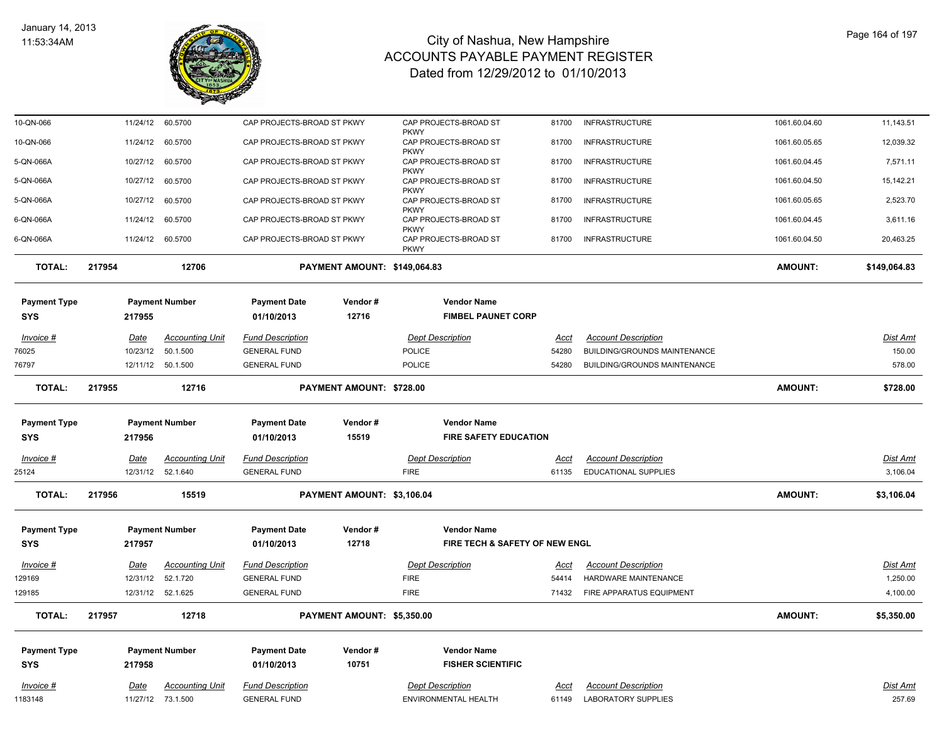

| 10-QN-066           |        | 11/24/12    | 60.5700                | CAP PROJECTS-BROAD ST PKWY |                              | CAP PROJECTS-BROAD ST                               | 81700       | <b>INFRASTRUCTURE</b>               | 1061.60.04.60  | 11,143.51       |
|---------------------|--------|-------------|------------------------|----------------------------|------------------------------|-----------------------------------------------------|-------------|-------------------------------------|----------------|-----------------|
| 10-QN-066           |        | 11/24/12    | 60.5700                | CAP PROJECTS-BROAD ST PKWY |                              | <b>PKWY</b><br>CAP PROJECTS-BROAD ST                | 81700       | <b>INFRASTRUCTURE</b>               | 1061.60.05.65  | 12,039.32       |
| 5-QN-066A           |        | 10/27/12    | 60.5700                | CAP PROJECTS-BROAD ST PKWY |                              | <b>PKWY</b><br>CAP PROJECTS-BROAD ST                | 81700       | <b>INFRASTRUCTURE</b>               | 1061.60.04.45  | 7,571.11        |
| 5-QN-066A           |        | 10/27/12    | 60.5700                | CAP PROJECTS-BROAD ST PKWY |                              | <b>PKWY</b><br>CAP PROJECTS-BROAD ST                | 81700       | <b>INFRASTRUCTURE</b>               | 1061.60.04.50  | 15,142.21       |
| 5-QN-066A           |        | 10/27/12    | 60.5700                | CAP PROJECTS-BROAD ST PKWY |                              | <b>PKWY</b><br>CAP PROJECTS-BROAD ST                | 81700       | <b>INFRASTRUCTURE</b>               | 1061.60.05.65  | 2,523.70        |
| 6-QN-066A           |        | 11/24/12    | 60.5700                | CAP PROJECTS-BROAD ST PKWY |                              | <b>PKWY</b><br>CAP PROJECTS-BROAD ST                | 81700       | <b>INFRASTRUCTURE</b>               | 1061.60.04.45  | 3,611.16        |
| 6-QN-066A           |        | 11/24/12    | 60.5700                | CAP PROJECTS-BROAD ST PKWY |                              | <b>PKWY</b><br>CAP PROJECTS-BROAD ST<br><b>PKWY</b> | 81700       | <b>INFRASTRUCTURE</b>               | 1061.60.04.50  | 20,463.25       |
| <b>TOTAL:</b>       | 217954 |             | 12706                  |                            | PAYMENT AMOUNT: \$149,064.83 |                                                     |             |                                     | <b>AMOUNT:</b> | \$149,064.83    |
| <b>Payment Type</b> |        |             | <b>Payment Number</b>  | <b>Payment Date</b>        | Vendor#                      | <b>Vendor Name</b>                                  |             |                                     |                |                 |
| <b>SYS</b>          |        | 217955      |                        | 01/10/2013                 | 12716                        | <b>FIMBEL PAUNET CORP</b>                           |             |                                     |                |                 |
| Invoice #           | Date   |             | <b>Accounting Unit</b> | Fund Description           |                              | <b>Dept Description</b>                             | <u>Acct</u> | <b>Account Description</b>          |                | <b>Dist Amt</b> |
| 76025               |        | 10/23/12    | 50.1.500               | <b>GENERAL FUND</b>        |                              | POLICE                                              | 54280       | <b>BUILDING/GROUNDS MAINTENANCE</b> |                | 150.00          |
| 76797               |        | 12/11/12    | 50.1.500               | <b>GENERAL FUND</b>        |                              | POLICE                                              | 54280       | <b>BUILDING/GROUNDS MAINTENANCE</b> |                | 578.00          |
| <b>TOTAL:</b>       | 217955 |             | 12716                  |                            | PAYMENT AMOUNT: \$728.00     |                                                     |             |                                     | <b>AMOUNT:</b> | \$728.00        |
| <b>Payment Type</b> |        |             | <b>Payment Number</b>  | <b>Payment Date</b>        | Vendor#                      | <b>Vendor Name</b>                                  |             |                                     |                |                 |
| <b>SYS</b>          |        | 217956      |                        | 01/10/2013                 | 15519                        | <b>FIRE SAFETY EDUCATION</b>                        |             |                                     |                |                 |
| $Invoice$ #         | Date   |             | <b>Accounting Unit</b> | <b>Fund Description</b>    |                              | <b>Dept Description</b>                             | <u>Acct</u> | <b>Account Description</b>          |                | <b>Dist Amt</b> |
| 25124               |        | 12/31/12    | 52.1.640               | <b>GENERAL FUND</b>        |                              | <b>FIRE</b>                                         | 61135       | <b>EDUCATIONAL SUPPLIES</b>         |                | 3,106.04        |
| <b>TOTAL:</b>       | 217956 |             | 15519                  |                            | PAYMENT AMOUNT: \$3,106.04   |                                                     |             |                                     | <b>AMOUNT:</b> | \$3,106.04      |
| <b>Payment Type</b> |        |             | <b>Payment Number</b>  | <b>Payment Date</b>        | Vendor#                      | <b>Vendor Name</b>                                  |             |                                     |                |                 |
| <b>SYS</b>          | 217957 |             |                        | 01/10/2013                 | 12718                        | FIRE TECH & SAFETY OF NEW ENGL                      |             |                                     |                |                 |
| Invoice #           | Date   |             | <b>Accounting Unit</b> | <b>Fund Description</b>    |                              | <b>Dept Description</b>                             | Acct        | <b>Account Description</b>          |                | <b>Dist Amt</b> |
| 129169              |        | 12/31/12    | 52.1.720               | <b>GENERAL FUND</b>        |                              | <b>FIRE</b>                                         | 54414       | HARDWARE MAINTENANCE                |                | 1,250.00        |
| 129185              |        |             | 12/31/12 52.1.625      | <b>GENERAL FUND</b>        |                              | <b>FIRE</b>                                         | 71432       | FIRE APPARATUS EQUIPMENT            |                | 4,100.00        |
| <b>TOTAL:</b>       | 217957 |             | 12718                  |                            | PAYMENT AMOUNT: \$5,350.00   |                                                     |             |                                     | <b>AMOUNT:</b> | \$5,350.00      |
| <b>Payment Type</b> |        |             | <b>Payment Number</b>  | <b>Payment Date</b>        | Vendor #                     | <b>Vendor Name</b>                                  |             |                                     |                |                 |
| <b>SYS</b>          |        | 217958      |                        | 01/10/2013                 | 10751                        | <b>FISHER SCIENTIFIC</b>                            |             |                                     |                |                 |
| Invoice #           |        | <b>Date</b> | <b>Accounting Unit</b> | <b>Fund Description</b>    |                              | <b>Dept Description</b>                             | Acct        | <b>Account Description</b>          |                | Dist Amt        |
| 1183148             |        |             | 11/27/12 73.1.500      | <b>GENERAL FUND</b>        |                              | ENVIRONMENTAL HEALTH                                | 61149       | <b>LABORATORY SUPPLIES</b>          |                | 257.69          |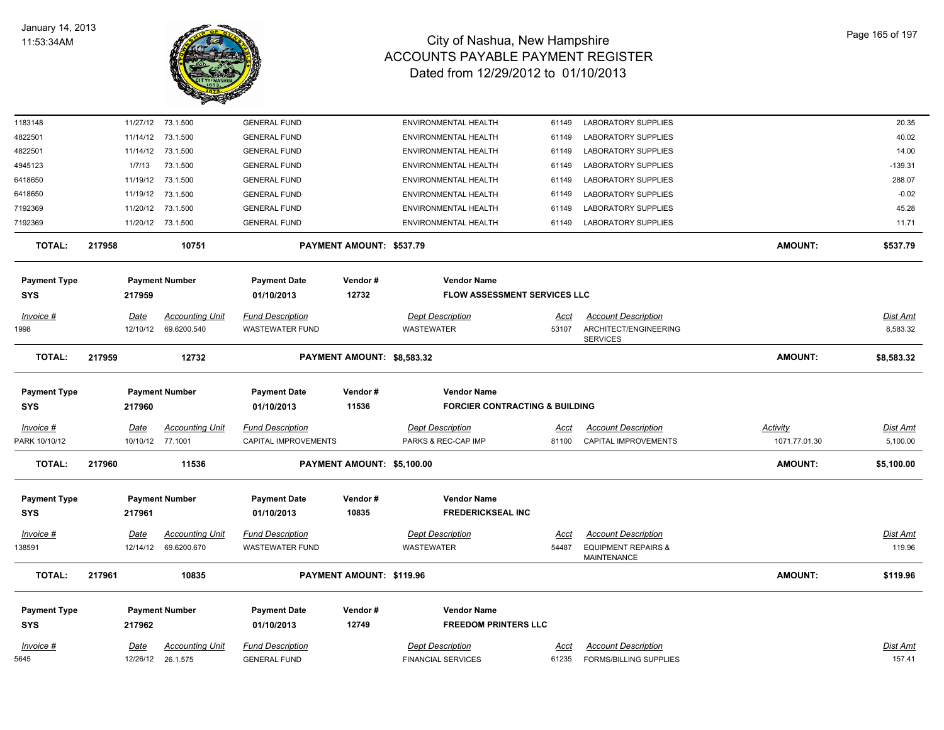

| 1183148             | 11/27/12 | 73.1.500               | <b>GENERAL FUND</b>     |                            | ENVIRONMENTAL HEALTH                      | 61149       | <b>LABORATORY SUPPLIES</b>                           |                 | 20.35           |
|---------------------|----------|------------------------|-------------------------|----------------------------|-------------------------------------------|-------------|------------------------------------------------------|-----------------|-----------------|
| 4822501             | 11/14/12 | 73.1.500               | <b>GENERAL FUND</b>     |                            | ENVIRONMENTAL HEALTH                      | 61149       | <b>LABORATORY SUPPLIES</b>                           |                 | 40.02           |
| 4822501             | 11/14/12 | 73.1.500               | <b>GENERAL FUND</b>     |                            | ENVIRONMENTAL HEALTH                      | 61149       | LABORATORY SUPPLIES                                  |                 | 14.00           |
| 4945123             | 1/7/13   | 73.1.500               | <b>GENERAL FUND</b>     |                            | ENVIRONMENTAL HEALTH                      | 61149       | <b>LABORATORY SUPPLIES</b>                           |                 | $-139.31$       |
| 6418650             | 11/19/12 | 73.1.500               | <b>GENERAL FUND</b>     |                            | ENVIRONMENTAL HEALTH                      | 61149       | <b>LABORATORY SUPPLIES</b>                           |                 | 288.07          |
| 6418650             | 11/19/12 | 73.1.500               | <b>GENERAL FUND</b>     |                            | ENVIRONMENTAL HEALTH                      | 61149       | <b>LABORATORY SUPPLIES</b>                           |                 | $-0.02$         |
| 7192369             | 11/20/12 | 73.1.500               | <b>GENERAL FUND</b>     |                            | ENVIRONMENTAL HEALTH                      | 61149       | <b>LABORATORY SUPPLIES</b>                           |                 | 45.28           |
| 7192369             |          | 11/20/12 73.1.500      | <b>GENERAL FUND</b>     |                            | ENVIRONMENTAL HEALTH                      | 61149       | <b>LABORATORY SUPPLIES</b>                           |                 | 11.71           |
| <b>TOTAL:</b>       | 217958   | 10751                  |                         | PAYMENT AMOUNT: \$537.79   |                                           |             |                                                      | <b>AMOUNT:</b>  | \$537.79        |
| <b>Payment Type</b> |          | <b>Payment Number</b>  | <b>Payment Date</b>     | Vendor#                    | <b>Vendor Name</b>                        |             |                                                      |                 |                 |
| SYS                 | 217959   |                        | 01/10/2013              | 12732                      | <b>FLOW ASSESSMENT SERVICES LLC</b>       |             |                                                      |                 |                 |
| Invoice #           | Date     | <b>Accounting Unit</b> | <b>Fund Description</b> |                            | <b>Dept Description</b>                   | Acct        | <b>Account Description</b>                           |                 | <u>Dist Amt</u> |
| 1998                | 12/10/12 | 69.6200.540            | <b>WASTEWATER FUND</b>  |                            | WASTEWATER                                | 53107       | ARCHITECT/ENGINEERING                                |                 | 8,583.32        |
|                     |          |                        |                         |                            |                                           |             | <b>SERVICES</b>                                      |                 |                 |
| <b>TOTAL:</b>       | 217959   | 12732                  |                         | PAYMENT AMOUNT: \$8,583.32 |                                           |             |                                                      | <b>AMOUNT:</b>  | \$8,583.32      |
| <b>Payment Type</b> |          | <b>Payment Number</b>  | <b>Payment Date</b>     | Vendor#                    | <b>Vendor Name</b>                        |             |                                                      |                 |                 |
| <b>SYS</b>          | 217960   |                        | 01/10/2013              | 11536                      | <b>FORCIER CONTRACTING &amp; BUILDING</b> |             |                                                      |                 |                 |
| $Invoice$ #         | Date     | <b>Accounting Unit</b> | <b>Fund Description</b> |                            | <b>Dept Description</b>                   | <u>Acct</u> | <b>Account Description</b>                           | <b>Activity</b> | <u>Dist Amt</u> |
| PARK 10/10/12       |          | 10/10/12 77.1001       | CAPITAL IMPROVEMENTS    |                            | PARKS & REC-CAP IMP                       | 81100       | CAPITAL IMPROVEMENTS                                 | 1071.77.01.30   | 5,100.00        |
| <b>TOTAL:</b>       | 217960   | 11536                  |                         | PAYMENT AMOUNT: \$5,100.00 |                                           |             |                                                      | <b>AMOUNT:</b>  | \$5,100.00      |
| <b>Payment Type</b> |          | <b>Payment Number</b>  | <b>Payment Date</b>     | Vendor#                    | <b>Vendor Name</b>                        |             |                                                      |                 |                 |
| SYS                 | 217961   |                        | 01/10/2013              | 10835                      | <b>FREDERICKSEAL INC</b>                  |             |                                                      |                 |                 |
|                     |          |                        |                         |                            |                                           |             |                                                      |                 |                 |
| Invoice #           | Date     | <b>Accounting Unit</b> | <b>Fund Description</b> |                            | <b>Dept Description</b>                   | Acct        | <b>Account Description</b>                           |                 | Dist Amt        |
| 38591               | 12/14/12 | 69.6200.670            | <b>WASTEWATER FUND</b>  |                            | <b>WASTEWATER</b>                         | 54487       | <b>EQUIPMENT REPAIRS &amp;</b><br><b>MAINTENANCE</b> |                 | 119.96          |
| <b>TOTAL:</b>       | 217961   | 10835                  |                         | PAYMENT AMOUNT: \$119.96   |                                           |             |                                                      | <b>AMOUNT:</b>  | \$119.96        |
| <b>Payment Type</b> |          | <b>Payment Number</b>  | <b>Payment Date</b>     | Vendor#                    | <b>Vendor Name</b>                        |             |                                                      |                 |                 |
| SYS                 | 217962   |                        | 01/10/2013              | 12749                      | <b>FREEDOM PRINTERS LLC</b>               |             |                                                      |                 |                 |
|                     |          |                        |                         |                            |                                           |             |                                                      |                 |                 |
| Invoice #           | Date     | <b>Accounting Unit</b> | <b>Fund Description</b> |                            | <b>Dept Description</b>                   | Acct        | <b>Account Description</b>                           |                 | Dist Amt        |
| 5645                | 12/26/12 | 26.1.575               | <b>GENERAL FUND</b>     |                            | <b>FINANCIAL SERVICES</b>                 | 61235       | <b>FORMS/BILLING SUPPLIES</b>                        |                 | 157.41          |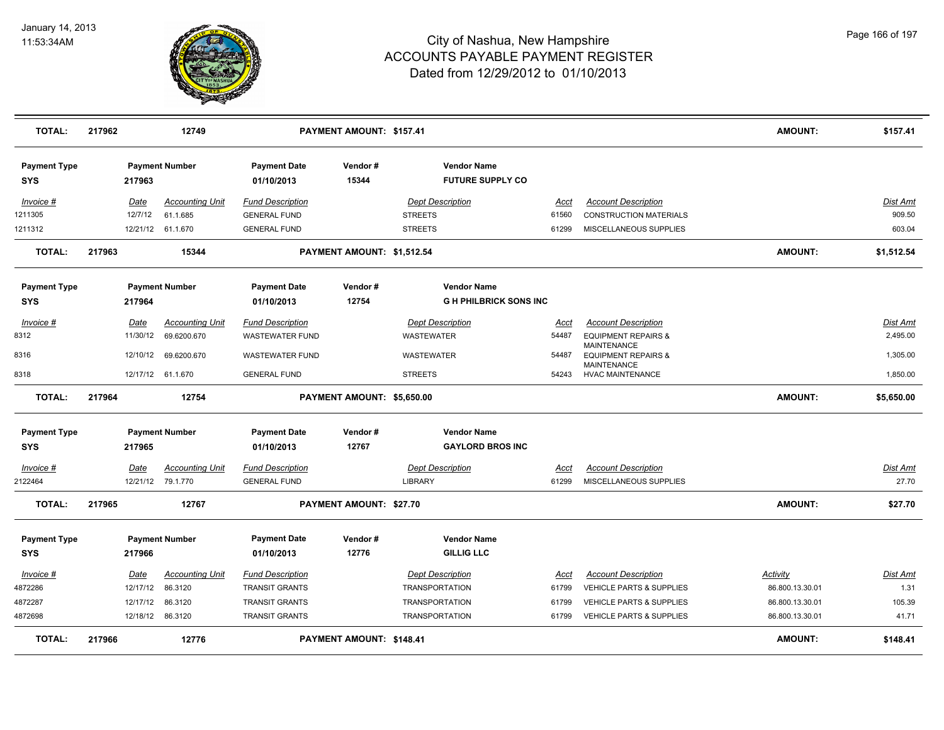

| <b>TOTAL:</b>                     | 217962      | 12749                                       |                                                | PAYMENT AMOUNT: \$157.41   |                                               |                      |                                                      | <b>AMOUNT:</b>  | \$157.41                 |
|-----------------------------------|-------------|---------------------------------------------|------------------------------------------------|----------------------------|-----------------------------------------------|----------------------|------------------------------------------------------|-----------------|--------------------------|
| <b>Payment Type</b><br>SYS        | 217963      | <b>Payment Number</b>                       | <b>Payment Date</b><br>01/10/2013              | Vendor#<br>15344           | <b>Vendor Name</b><br><b>FUTURE SUPPLY CO</b> |                      |                                                      |                 |                          |
| Invoice #                         | Date        | <b>Accounting Unit</b>                      | <b>Fund Description</b>                        |                            | <b>Dept Description</b>                       | Acct                 | <b>Account Description</b>                           |                 | Dist Amt                 |
| 1211305                           | 12/7/12     | 61.1.685                                    | <b>GENERAL FUND</b>                            |                            | <b>STREETS</b>                                | 61560                | <b>CONSTRUCTION MATERIALS</b>                        |                 | 909.50                   |
| 1211312                           |             | 12/21/12 61.1.670                           | <b>GENERAL FUND</b>                            |                            | <b>STREETS</b>                                | 61299                | MISCELLANEOUS SUPPLIES                               |                 | 603.04                   |
| <b>TOTAL:</b>                     | 217963      | 15344                                       |                                                | PAYMENT AMOUNT: \$1,512.54 |                                               |                      |                                                      | <b>AMOUNT:</b>  | \$1,512.54               |
| <b>Payment Type</b>               |             | <b>Payment Number</b>                       | <b>Payment Date</b>                            | Vendor#                    | <b>Vendor Name</b>                            |                      |                                                      |                 |                          |
| <b>SYS</b>                        | 217964      |                                             | 01/10/2013                                     | 12754                      | <b>GH PHILBRICK SONS INC</b>                  |                      |                                                      |                 |                          |
| $Invoice$ #                       | <u>Date</u> | <b>Accounting Unit</b>                      | <b>Fund Description</b>                        |                            | <b>Dept Description</b>                       | Acct                 | <b>Account Description</b>                           |                 | Dist Amt                 |
| 8312                              | 11/30/12    | 69.6200.670                                 | <b>WASTEWATER FUND</b>                         |                            | WASTEWATER                                    | 54487                | <b>EQUIPMENT REPAIRS &amp;</b>                       |                 | 2,495.00                 |
| 8316                              | 12/10/12    | 69.6200.670                                 | <b>WASTEWATER FUND</b>                         |                            | WASTEWATER                                    | 54487                | <b>MAINTENANCE</b><br><b>EQUIPMENT REPAIRS &amp;</b> |                 | 1,305.00                 |
| 8318                              |             | 12/17/12 61.1.670                           | <b>GENERAL FUND</b>                            |                            | <b>STREETS</b>                                | 54243                | MAINTENANCE<br><b>HVAC MAINTENANCE</b>               |                 | 1,850.00                 |
|                                   |             |                                             |                                                |                            |                                               |                      |                                                      |                 |                          |
| <b>TOTAL:</b>                     | 217964      | 12754                                       |                                                | PAYMENT AMOUNT: \$5,650.00 |                                               |                      |                                                      | <b>AMOUNT:</b>  | \$5,650.00               |
| <b>Payment Type</b><br><b>SYS</b> | 217965      | <b>Payment Number</b>                       | <b>Payment Date</b><br>01/10/2013              | Vendor#<br>12767           | <b>Vendor Name</b><br><b>GAYLORD BROS INC</b> |                      |                                                      |                 |                          |
|                                   |             |                                             |                                                |                            |                                               |                      |                                                      |                 |                          |
| $Invoice$ #<br>2122464            | <u>Date</u> | <b>Accounting Unit</b><br>12/21/12 79.1.770 | <b>Fund Description</b><br><b>GENERAL FUND</b> |                            | <b>Dept Description</b><br><b>LIBRARY</b>     | <u>Acct</u><br>61299 | <b>Account Description</b><br>MISCELLANEOUS SUPPLIES |                 | <u>Dist Amt</u><br>27.70 |
| <b>TOTAL:</b>                     | 217965      | 12767                                       |                                                | PAYMENT AMOUNT: \$27.70    |                                               |                      |                                                      | <b>AMOUNT:</b>  | \$27.70                  |
| <b>Payment Type</b>               |             | <b>Payment Number</b>                       | <b>Payment Date</b>                            | Vendor#                    | <b>Vendor Name</b>                            |                      |                                                      |                 |                          |
| <b>SYS</b>                        | 217966      |                                             | 01/10/2013                                     | 12776                      | <b>GILLIG LLC</b>                             |                      |                                                      |                 |                          |
| Invoice #                         | <u>Date</u> | <b>Accounting Unit</b>                      | <b>Fund Description</b>                        |                            | <b>Dept Description</b>                       | Acct                 | <b>Account Description</b>                           | <b>Activity</b> | <u>Dist Amt</u>          |
| 4872286                           | 12/17/12    | 86.3120                                     | <b>TRANSIT GRANTS</b>                          |                            | <b>TRANSPORTATION</b>                         | 61799                | VEHICLE PARTS & SUPPLIES                             | 86.800.13.30.01 | 1.31                     |
| 4872287                           | 12/17/12    | 86.3120                                     | TRANSIT GRANTS                                 |                            | <b>TRANSPORTATION</b>                         | 61799                | VEHICLE PARTS & SUPPLIES                             | 86.800.13.30.01 | 105.39                   |
| 4872698                           |             | 12/18/12 86.3120                            | <b>TRANSIT GRANTS</b>                          |                            | <b>TRANSPORTATION</b>                         | 61799                | <b>VEHICLE PARTS &amp; SUPPLIES</b>                  | 86.800.13.30.01 | 41.71                    |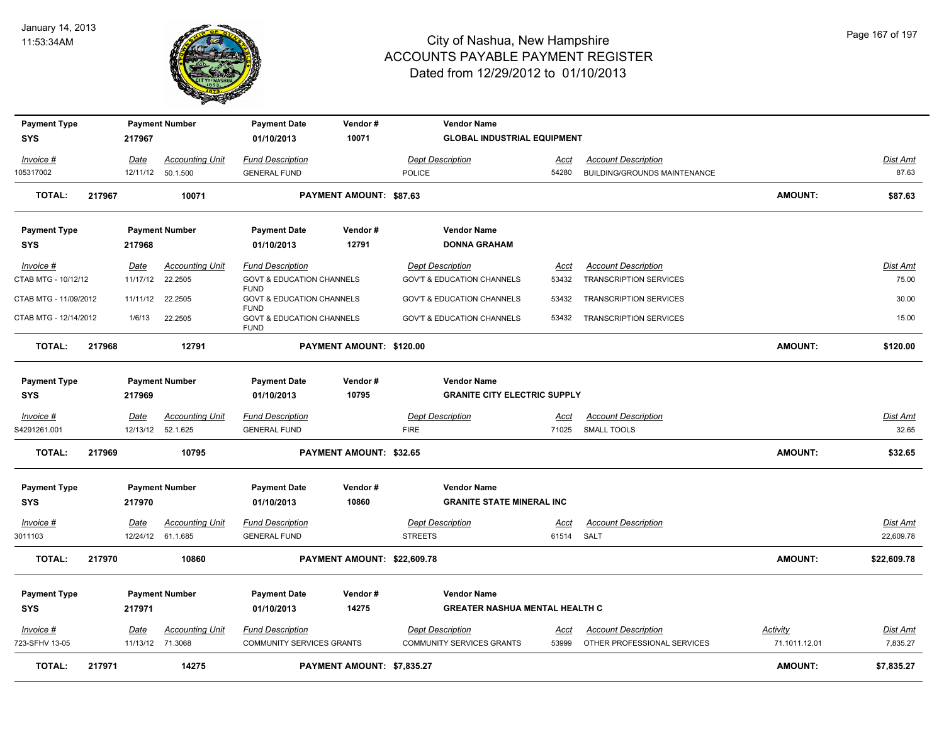

| 3011103                           |        |             | 12/24/12 61.1.685      | <b>GENERAL FUND</b>                                 |                          | <b>STREETS</b>                            | 61514       | SALT                          |                | 22,609.78       |
|-----------------------------------|--------|-------------|------------------------|-----------------------------------------------------|--------------------------|-------------------------------------------|-------------|-------------------------------|----------------|-----------------|
| Invoice #                         |        | Date        | <b>Accounting Unit</b> | <b>Fund Description</b>                             |                          | <b>Dept Description</b>                   | <u>Acct</u> | <b>Account Description</b>    |                | <b>Dist Amt</b> |
|                                   |        |             |                        |                                                     |                          |                                           |             |                               |                |                 |
| <b>SYS</b>                        |        | 217970      |                        | 01/10/2013                                          | 10860                    | <b>GRANITE STATE MINERAL INC</b>          |             |                               |                |                 |
| <b>Payment Type</b>               |        |             | <b>Payment Number</b>  | <b>Payment Date</b>                                 | Vendor#                  | <b>Vendor Name</b>                        |             |                               |                |                 |
| <b>TOTAL:</b>                     | 217969 |             | 10795                  |                                                     | PAYMENT AMOUNT: \$32.65  |                                           |             |                               | <b>AMOUNT:</b> | \$32.65         |
| S4291261.001                      |        |             | 12/13/12 52.1.625      | <b>GENERAL FUND</b>                                 |                          | <b>FIRE</b>                               | 71025       | <b>SMALL TOOLS</b>            |                | 32.65           |
| Invoice #                         |        | Date        | <b>Accounting Unit</b> | <b>Fund Description</b>                             |                          | <b>Dept Description</b>                   | <u>Acct</u> | <b>Account Description</b>    |                | <u>Dist Amt</u> |
| <b>SYS</b>                        |        | 217969      |                        | 01/10/2013                                          | 10795                    | <b>GRANITE CITY ELECTRIC SUPPLY</b>       |             |                               |                |                 |
| <b>Payment Type</b>               |        |             | <b>Payment Number</b>  | <b>Payment Date</b>                                 | Vendor#                  | <b>Vendor Name</b>                        |             |                               |                |                 |
| <b>TOTAL:</b>                     | 217968 |             | 12791                  |                                                     | PAYMENT AMOUNT: \$120.00 |                                           |             |                               | <b>AMOUNT:</b> | \$120.00        |
| CTAB MTG - 12/14/2012             |        | 1/6/13      | 22.2505                | <b>GOVT &amp; EDUCATION CHANNELS</b><br><b>FUND</b> |                          | <b>GOV'T &amp; EDUCATION CHANNELS</b>     | 53432       | <b>TRANSCRIPTION SERVICES</b> |                | 15.00           |
| CTAB MTG - 11/09/2012             |        | 11/11/12    | 22.2505                | <b>GOVT &amp; EDUCATION CHANNELS</b><br><b>FUND</b> |                          | <b>GOV'T &amp; EDUCATION CHANNELS</b>     | 53432       | <b>TRANSCRIPTION SERVICES</b> |                | 30.00           |
| CTAB MTG - 10/12/12               |        | 11/17/12    | 22.2505                | <b>GOVT &amp; EDUCATION CHANNELS</b><br><b>FUND</b> |                          | <b>GOV'T &amp; EDUCATION CHANNELS</b>     | 53432       | <b>TRANSCRIPTION SERVICES</b> |                | 75.00           |
| Invoice #                         |        | <b>Date</b> | <b>Accounting Unit</b> | <b>Fund Description</b>                             |                          | <b>Dept Description</b>                   | Acct        | <b>Account Description</b>    |                | <u>Dist Amt</u> |
| <b>Payment Type</b><br><b>SYS</b> |        | 217968      | <b>Payment Number</b>  | <b>Payment Date</b><br>01/10/2013                   | Vendor#<br>12791         | <b>Vendor Name</b><br><b>DONNA GRAHAM</b> |             |                               |                |                 |
|                                   |        |             |                        |                                                     |                          |                                           |             |                               |                |                 |
| <b>TOTAL:</b>                     | 217967 |             | 10071                  |                                                     | PAYMENT AMOUNT: \$87.63  |                                           |             |                               | <b>AMOUNT:</b> | \$87.63         |
| 105317002                         |        |             | 12/11/12 50.1.500      | <b>GENERAL FUND</b>                                 |                          | <b>POLICE</b>                             | 54280       | BUILDING/GROUNDS MAINTENANCE  |                | 87.63           |
| Invoice #                         |        | Date        | <b>Accounting Unit</b> | <b>Fund Description</b>                             |                          | <b>Dept Description</b>                   | <u>Acct</u> | <b>Account Description</b>    |                | Dist Amt        |
| <b>SYS</b>                        |        | 217967      |                        | 01/10/2013                                          | 10071                    | <b>GLOBAL INDUSTRIAL EQUIPMENT</b>        |             |                               |                |                 |
| <b>Payment Type</b>               |        |             | <b>Payment Number</b>  | <b>Payment Date</b>                                 | Vendor#                  | <b>Vendor Name</b>                        |             |                               |                |                 |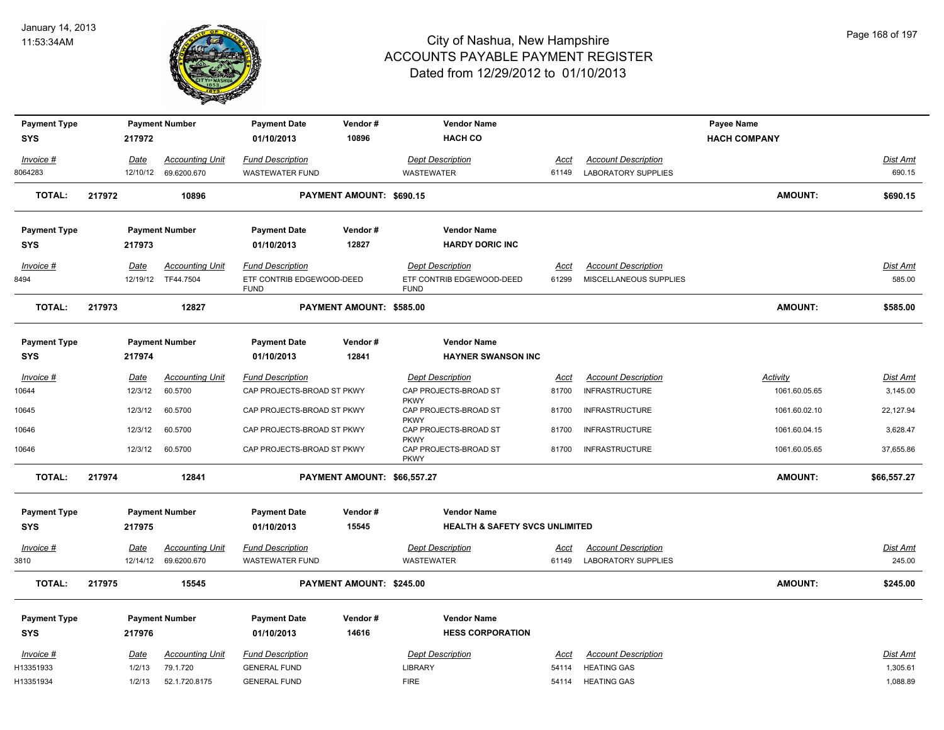

| <b>Payment Type</b>  |        |                  | <b>Payment Number</b>                          | <b>Payment Date</b>                               | Vendor#                     | <b>Vendor Name</b>                                  |                      |                                                          | Payee Name          |                           |
|----------------------|--------|------------------|------------------------------------------------|---------------------------------------------------|-----------------------------|-----------------------------------------------------|----------------------|----------------------------------------------------------|---------------------|---------------------------|
| <b>SYS</b>           |        | 217972           |                                                | 01/10/2013                                        | 10896                       | <b>HACH CO</b>                                      |                      |                                                          | <b>HACH COMPANY</b> |                           |
|                      |        |                  |                                                |                                                   |                             | <b>Dept Description</b>                             |                      |                                                          |                     |                           |
| Invoice #<br>8064283 |        | Date<br>12/10/12 | <b>Accounting Unit</b><br>69.6200.670          | <b>Fund Description</b><br><b>WASTEWATER FUND</b> |                             | <b>WASTEWATER</b>                                   | Acct<br>61149        | <b>Account Description</b><br><b>LABORATORY SUPPLIES</b> |                     | Dist Amt<br>690.15        |
|                      |        |                  |                                                |                                                   |                             |                                                     |                      |                                                          |                     |                           |
| <b>TOTAL:</b>        | 217972 |                  | 10896                                          |                                                   | PAYMENT AMOUNT: \$690.15    |                                                     |                      |                                                          | <b>AMOUNT:</b>      | \$690.15                  |
| <b>Payment Type</b>  |        |                  | <b>Payment Number</b>                          | <b>Payment Date</b>                               | Vendor#                     | <b>Vendor Name</b>                                  |                      |                                                          |                     |                           |
| SYS                  |        | 217973           |                                                | 01/10/2013                                        | 12827                       | <b>HARDY DORIC INC</b>                              |                      |                                                          |                     |                           |
| Invoice #            |        | Date             | <b>Accounting Unit</b>                         | <b>Fund Description</b>                           |                             | <b>Dept Description</b>                             | Acct                 | <b>Account Description</b>                               |                     | Dist Amt                  |
| 8494                 |        |                  | 12/19/12 TF44.7504                             | ETF CONTRIB EDGEWOOD-DEED                         |                             | ETF CONTRIB EDGEWOOD-DEED                           | 61299                | MISCELLANEOUS SUPPLIES                                   |                     | 585.00                    |
|                      |        |                  |                                                | <b>FUND</b>                                       |                             | <b>FUND</b>                                         |                      |                                                          |                     |                           |
| <b>TOTAL:</b>        | 217973 |                  | 12827                                          |                                                   | PAYMENT AMOUNT: \$585.00    |                                                     |                      |                                                          | <b>AMOUNT:</b>      | \$585.00                  |
| <b>Payment Type</b>  |        |                  | <b>Payment Number</b>                          | <b>Payment Date</b>                               | Vendor#                     | <b>Vendor Name</b>                                  |                      |                                                          |                     |                           |
| <b>SYS</b>           |        | 217974           |                                                | 01/10/2013                                        | 12841                       | <b>HAYNER SWANSON INC</b>                           |                      |                                                          |                     |                           |
| Invoice #            |        | <u>Date</u>      | <b>Accounting Unit</b>                         | <b>Fund Description</b>                           |                             | <b>Dept Description</b>                             | <u>Acct</u>          | <b>Account Description</b>                               | <b>Activity</b>     | Dist Amt                  |
| 10644                |        | 12/3/12          | 60.5700                                        | CAP PROJECTS-BROAD ST PKWY                        |                             | CAP PROJECTS-BROAD ST                               | 81700                | <b>INFRASTRUCTURE</b>                                    | 1061.60.05.65       | 3,145.00                  |
|                      |        |                  |                                                |                                                   |                             | <b>PKWY</b>                                         |                      |                                                          |                     |                           |
| 10645                |        | 12/3/12          | 60.5700                                        | CAP PROJECTS-BROAD ST PKWY                        |                             | CAP PROJECTS-BROAD ST<br><b>PKWY</b>                | 81700                | <b>INFRASTRUCTURE</b>                                    | 1061.60.02.10       | 22,127.94                 |
| 10646                |        | 12/3/12          | 60.5700                                        | CAP PROJECTS-BROAD ST PKWY                        |                             | CAP PROJECTS-BROAD ST                               | 81700                | <b>INFRASTRUCTURE</b>                                    | 1061.60.04.15       | 3,628.47                  |
| 10646                |        | 12/3/12          | 60.5700                                        | CAP PROJECTS-BROAD ST PKWY                        |                             | <b>PKWY</b><br>CAP PROJECTS-BROAD ST<br><b>PKWY</b> | 81700                | <b>INFRASTRUCTURE</b>                                    | 1061.60.05.65       | 37,655.86                 |
| <b>TOTAL:</b>        | 217974 |                  | 12841                                          |                                                   | PAYMENT AMOUNT: \$66,557.27 |                                                     |                      |                                                          | <b>AMOUNT:</b>      | \$66,557.27               |
| <b>Payment Type</b>  |        |                  | <b>Payment Number</b>                          | <b>Payment Date</b>                               | Vendor#                     | <b>Vendor Name</b>                                  |                      |                                                          |                     |                           |
| <b>SYS</b>           |        | 217975           |                                                | 01/10/2013                                        | 15545                       | <b>HEALTH &amp; SAFETY SVCS UNLIMITED</b>           |                      |                                                          |                     |                           |
|                      |        |                  |                                                |                                                   |                             |                                                     |                      |                                                          |                     |                           |
| Invoice #<br>3810    |        | <u>Date</u>      | <b>Accounting Unit</b><br>12/14/12 69.6200.670 | <b>Fund Description</b><br>WASTEWATER FUND        |                             | <b>Dept Description</b><br><b>WASTEWATER</b>        | <u>Acct</u><br>61149 | <b>Account Description</b><br><b>LABORATORY SUPPLIES</b> |                     | <u>Dist Amt</u><br>245.00 |
|                      |        |                  |                                                |                                                   |                             |                                                     |                      |                                                          |                     |                           |
| <b>TOTAL:</b>        | 217975 |                  | 15545                                          |                                                   | PAYMENT AMOUNT: \$245.00    |                                                     |                      |                                                          | <b>AMOUNT:</b>      | \$245.00                  |
| <b>Payment Type</b>  |        |                  | <b>Payment Number</b>                          | <b>Payment Date</b>                               | Vendor#                     | <b>Vendor Name</b>                                  |                      |                                                          |                     |                           |
| <b>SYS</b>           |        | 217976           |                                                | 01/10/2013                                        | 14616                       | <b>HESS CORPORATION</b>                             |                      |                                                          |                     |                           |
| Invoice #            |        | Date             | <b>Accounting Unit</b>                         | <b>Fund Description</b>                           |                             | <b>Dept Description</b>                             | Acct                 | <b>Account Description</b>                               |                     | Dist Amt                  |
| H13351933            |        | 1/2/13           | 79.1.720                                       | <b>GENERAL FUND</b>                               |                             | <b>LIBRARY</b>                                      | 54114                | <b>HEATING GAS</b>                                       |                     | 1,305.61                  |
| H13351934            |        | 1/2/13           | 52.1.720.8175                                  | <b>GENERAL FUND</b>                               |                             | <b>FIRE</b>                                         | 54114                | <b>HEATING GAS</b>                                       |                     | 1,088.89                  |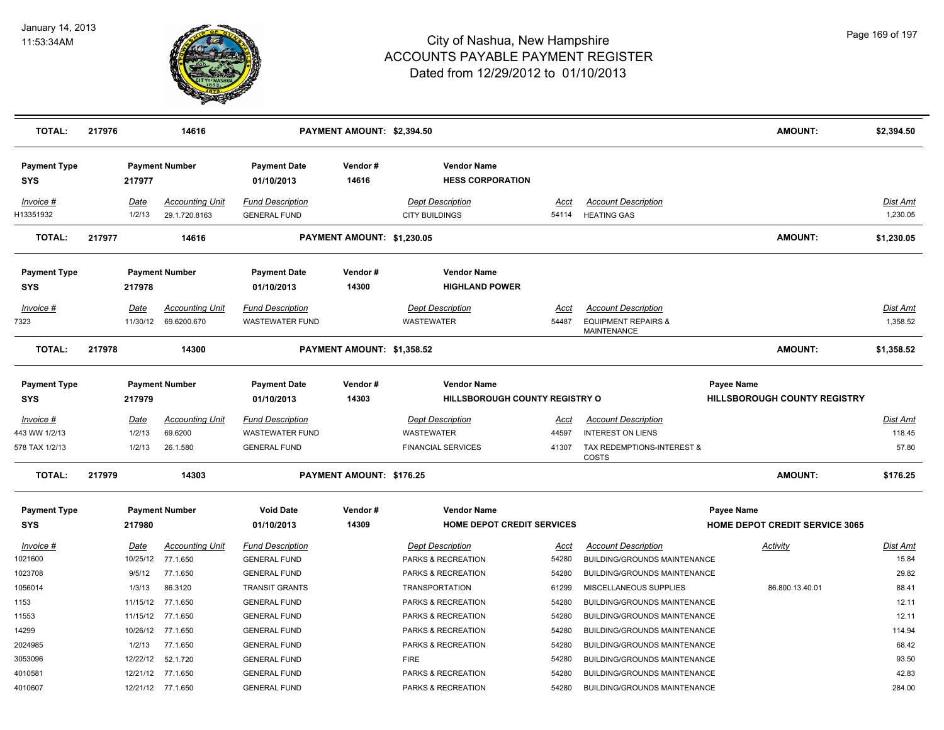

| <b>TOTAL:</b>                                | 217976 |                                | 14616                                          |                                                                          | PAYMENT AMOUNT: \$2,394.50 |                                                                           |                         |                                                                                                      | <b>AMOUNT:</b>                                      | \$2,394.50                         |
|----------------------------------------------|--------|--------------------------------|------------------------------------------------|--------------------------------------------------------------------------|----------------------------|---------------------------------------------------------------------------|-------------------------|------------------------------------------------------------------------------------------------------|-----------------------------------------------------|------------------------------------|
| <b>Payment Type</b><br>SYS                   |        | 217977                         | <b>Payment Number</b>                          | <b>Payment Date</b><br>01/10/2013                                        | Vendor#<br>14616           | <b>Vendor Name</b><br><b>HESS CORPORATION</b>                             |                         |                                                                                                      |                                                     |                                    |
| Invoice #<br>H13351932                       |        | Date<br>1/2/13                 | <b>Accounting Unit</b><br>29.1.720.8163        | <b>Fund Description</b><br><b>GENERAL FUND</b>                           |                            | <b>Dept Description</b><br><b>CITY BUILDINGS</b>                          | Acct<br>54114           | <b>Account Description</b><br><b>HEATING GAS</b>                                                     |                                                     | <b>Dist Amt</b><br>1,230.05        |
| <b>TOTAL:</b>                                | 217977 |                                | 14616                                          |                                                                          | PAYMENT AMOUNT: \$1,230.05 |                                                                           |                         |                                                                                                      | <b>AMOUNT:</b>                                      | \$1,230.05                         |
| <b>Payment Type</b><br>SYS                   |        | 217978                         | <b>Payment Number</b>                          | <b>Payment Date</b><br>01/10/2013                                        | Vendor#<br>14300           | <b>Vendor Name</b><br><b>HIGHLAND POWER</b>                               |                         |                                                                                                      |                                                     |                                    |
| Invoice #<br>7323                            |        | Date<br>11/30/12               | <b>Accounting Unit</b><br>69.6200.670          | <b>Fund Description</b><br><b>WASTEWATER FUND</b>                        |                            | <b>Dept Description</b><br><b>WASTEWATER</b>                              | Acct<br>54487           | <b>Account Description</b><br><b>EQUIPMENT REPAIRS &amp;</b><br>MAINTENANCE                          |                                                     | Dist Amt<br>1,358.52               |
| <b>TOTAL:</b>                                | 217978 |                                | 14300                                          |                                                                          | PAYMENT AMOUNT: \$1,358.52 |                                                                           |                         |                                                                                                      | <b>AMOUNT:</b>                                      | \$1,358.52                         |
| <b>Payment Type</b><br>SYS                   |        | 217979                         | <b>Payment Number</b>                          | <b>Payment Date</b><br>01/10/2013                                        | Vendor#<br>14303           | <b>Vendor Name</b><br>HILLSBOROUGH COUNTY REGISTRY O                      |                         |                                                                                                      | Payee Name<br><b>HILLSBOROUGH COUNTY REGISTRY</b>   |                                    |
| Invoice #<br>443 WW 1/2/13<br>578 TAX 1/2/13 |        | Date<br>1/2/13<br>1/2/13       | <b>Accounting Unit</b><br>69.6200<br>26.1.580  | <b>Fund Description</b><br><b>WASTEWATER FUND</b><br><b>GENERAL FUND</b> |                            | <b>Dept Description</b><br><b>WASTEWATER</b><br><b>FINANCIAL SERVICES</b> | Acct<br>44597<br>41307  | <b>Account Description</b><br><b>INTEREST ON LIENS</b><br>TAX REDEMPTIONS-INTEREST &<br><b>COSTS</b> |                                                     | <b>Dist Amt</b><br>118.45<br>57.80 |
| <b>TOTAL:</b>                                | 217979 |                                | 14303                                          |                                                                          | PAYMENT AMOUNT: \$176.25   |                                                                           |                         |                                                                                                      | <b>AMOUNT:</b>                                      | \$176.25                           |
| <b>Payment Type</b><br><b>SYS</b>            |        | 217980                         | <b>Payment Number</b>                          | <b>Void Date</b><br>01/10/2013                                           | Vendor#<br>14309           | <b>Vendor Name</b><br><b>HOME DEPOT CREDIT SERVICES</b>                   |                         |                                                                                                      | Payee Name<br><b>HOME DEPOT CREDIT SERVICE 3065</b> |                                    |
| Invoice #<br>1021600<br>1023708              |        | Date<br>10/25/12<br>9/5/12     | <b>Accounting Unit</b><br>77.1.650<br>77.1.650 | <b>Fund Description</b><br><b>GENERAL FUND</b><br><b>GENERAL FUND</b>    |                            | <b>Dept Description</b><br>PARKS & RECREATION<br>PARKS & RECREATION       | Acct<br>54280<br>54280  | <b>Account Description</b><br>BUILDING/GROUNDS MAINTENANCE<br>BUILDING/GROUNDS MAINTENANCE           | Activity                                            | Dist Amt<br>15.84<br>29.82         |
| 1056014<br>1153<br>11553                     |        | 1/3/13<br>11/15/12<br>11/15/12 | 86.3120<br>77.1.650<br>77.1.650                | <b>TRANSIT GRANTS</b><br><b>GENERAL FUND</b><br><b>GENERAL FUND</b>      |                            | <b>TRANSPORTATION</b><br>PARKS & RECREATION<br>PARKS & RECREATION         | 61299<br>54280<br>54280 | MISCELLANEOUS SUPPLIES<br>BUILDING/GROUNDS MAINTENANCE<br>BUILDING/GROUNDS MAINTENANCE               | 86.800.13.40.01                                     | 88.41<br>12.11<br>12.11            |
| 14299<br>2024985                             |        | 10/26/12<br>1/2/13             | 77.1.650<br>77.1.650                           | <b>GENERAL FUND</b><br><b>GENERAL FUND</b>                               |                            | PARKS & RECREATION<br>PARKS & RECREATION                                  | 54280<br>54280          | BUILDING/GROUNDS MAINTENANCE<br>BUILDING/GROUNDS MAINTENANCE                                         |                                                     | 114.94<br>68.42                    |
| 3053096<br>4010581<br>4010607                |        | 12/22/12<br>12/21/12           | 52.1.720<br>77.1.650<br>12/21/12 77.1.650      | <b>GENERAL FUND</b><br><b>GENERAL FUND</b><br><b>GENERAL FUND</b>        |                            | <b>FIRE</b><br>PARKS & RECREATION<br>PARKS & RECREATION                   | 54280<br>54280<br>54280 | BUILDING/GROUNDS MAINTENANCE<br>BUILDING/GROUNDS MAINTENANCE<br>BUILDING/GROUNDS MAINTENANCE         |                                                     | 93.50<br>42.83<br>284.00           |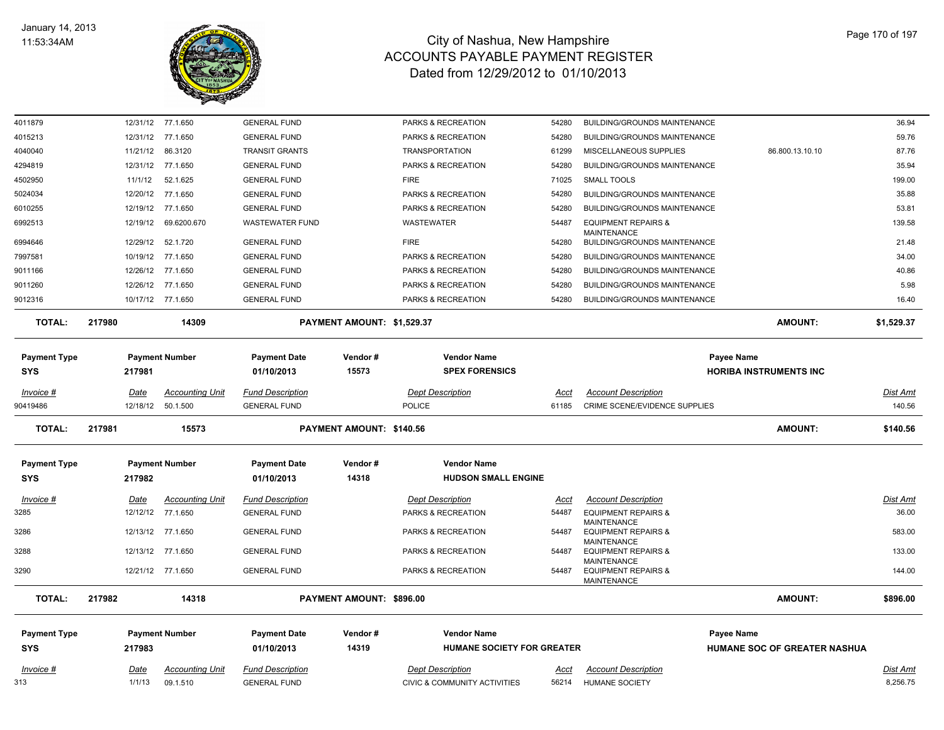

| 4011879             |        |                       | 12/31/12 77.1.650                  | <b>GENERAL FUND</b>                            |                            | PARKS & RECREATION                                      | 54280         | <b>BUILDING/GROUNDS MAINTENANCE</b>                  |                               |                              | 36.94                |
|---------------------|--------|-----------------------|------------------------------------|------------------------------------------------|----------------------------|---------------------------------------------------------|---------------|------------------------------------------------------|-------------------------------|------------------------------|----------------------|
| 4015213             |        |                       | 12/31/12 77.1.650                  | <b>GENERAL FUND</b>                            |                            | PARKS & RECREATION                                      | 54280         | <b>BUILDING/GROUNDS MAINTENANCE</b>                  |                               |                              | 59.76                |
| 4040040             |        | 11/21/12              | 86.3120                            | <b>TRANSIT GRANTS</b>                          |                            | <b>TRANSPORTATION</b>                                   | 61299         | MISCELLANEOUS SUPPLIES                               |                               | 86.800.13.10.10              | 87.76                |
| 4294819             |        |                       | 12/31/12 77.1.650                  | <b>GENERAL FUND</b>                            |                            | PARKS & RECREATION                                      | 54280         | BUILDING/GROUNDS MAINTENANCE                         |                               |                              | 35.94                |
| 4502950             |        | 11/1/12               | 52.1.625                           | <b>GENERAL FUND</b>                            |                            | <b>FIRE</b>                                             | 71025         | <b>SMALL TOOLS</b>                                   |                               |                              | 199.00               |
| 5024034             |        |                       | 12/20/12 77.1.650                  | <b>GENERAL FUND</b>                            |                            | PARKS & RECREATION                                      | 54280         | <b>BUILDING/GROUNDS MAINTENANCE</b>                  |                               |                              | 35.88                |
| 6010255             |        |                       | 12/19/12 77.1.650                  | <b>GENERAL FUND</b>                            |                            | PARKS & RECREATION                                      | 54280         | <b>BUILDING/GROUNDS MAINTENANCE</b>                  |                               |                              | 53.81                |
| 6992513             |        | 12/19/12              | 69.6200.670                        | <b>WASTEWATER FUND</b>                         |                            | WASTEWATER                                              | 54487         | <b>EQUIPMENT REPAIRS &amp;</b><br><b>MAINTENANCE</b> |                               |                              | 139.58               |
| 6994646             |        | 12/29/12              | 52.1.720                           | <b>GENERAL FUND</b>                            |                            | <b>FIRE</b>                                             | 54280         | <b>BUILDING/GROUNDS MAINTENANCE</b>                  |                               |                              | 21.48                |
| 7997581             |        | 10/19/12              | 77.1.650                           | <b>GENERAL FUND</b>                            |                            | PARKS & RECREATION                                      | 54280         | <b>BUILDING/GROUNDS MAINTENANCE</b>                  |                               |                              | 34.00                |
| 9011166             |        |                       | 12/26/12 77.1.650                  | <b>GENERAL FUND</b>                            |                            | PARKS & RECREATION                                      | 54280         | <b>BUILDING/GROUNDS MAINTENANCE</b>                  |                               |                              | 40.86                |
| 9011260             |        |                       | 12/26/12 77.1.650                  | <b>GENERAL FUND</b>                            |                            | PARKS & RECREATION                                      | 54280         | <b>BUILDING/GROUNDS MAINTENANCE</b>                  |                               |                              | 5.98                 |
| 9012316             |        |                       | 10/17/12 77.1.650                  | <b>GENERAL FUND</b>                            |                            | PARKS & RECREATION                                      | 54280         | <b>BUILDING/GROUNDS MAINTENANCE</b>                  |                               |                              | 16.40                |
| <b>TOTAL:</b>       | 217980 |                       | 14309                              |                                                | PAYMENT AMOUNT: \$1,529.37 |                                                         |               |                                                      |                               | <b>AMOUNT:</b>               | \$1,529.37           |
| <b>Payment Type</b> |        |                       | <b>Payment Number</b>              | <b>Payment Date</b>                            | Vendor#                    | <b>Vendor Name</b>                                      |               |                                                      | <b>Payee Name</b>             |                              |                      |
| <b>SYS</b>          |        | 217981                |                                    | 01/10/2013                                     | 15573                      | <b>SPEX FORENSICS</b>                                   |               |                                                      | <b>HORIBA INSTRUMENTS INC</b> |                              |                      |
|                     |        |                       |                                    |                                                |                            |                                                         |               |                                                      |                               |                              |                      |
| Invoice #           |        | Date                  | <b>Accounting Unit</b>             | <b>Fund Description</b>                        |                            | <b>Dept Description</b>                                 | Acct          | <b>Account Description</b>                           |                               |                              | Dist Amt             |
| 90419486            |        |                       | 12/18/12  50.1.500                 | <b>GENERAL FUND</b>                            |                            | <b>POLICE</b>                                           | 61185         | <b>CRIME SCENE/EVIDENCE SUPPLIES</b>                 |                               |                              | 140.56               |
| <b>TOTAL:</b>       | 217981 |                       | 15573                              |                                                | PAYMENT AMOUNT: \$140.56   |                                                         |               |                                                      |                               | <b>AMOUNT:</b>               | \$140.56             |
| <b>Payment Type</b> |        |                       | <b>Payment Number</b>              | <b>Payment Date</b>                            | Vendor#                    | <b>Vendor Name</b>                                      |               |                                                      |                               |                              |                      |
| <b>SYS</b>          |        | 217982                |                                    | 01/10/2013                                     | 14318                      | <b>HUDSON SMALL ENGINE</b>                              |               |                                                      |                               |                              |                      |
|                     |        |                       |                                    |                                                |                            |                                                         |               |                                                      |                               |                              |                      |
| Invoice #           |        | <u>Date</u>           | <b>Accounting Unit</b>             | <b>Fund Description</b>                        |                            | <b>Dept Description</b>                                 | <u>Acct</u>   | <b>Account Description</b>                           |                               |                              | <b>Dist Amt</b>      |
| 3285                |        |                       | 12/12/12 77.1.650                  | <b>GENERAL FUND</b>                            |                            | PARKS & RECREATION                                      | 54487         | <b>EQUIPMENT REPAIRS &amp;</b><br>MAINTENANCE        |                               |                              | 36.00                |
| 3286                |        |                       | 12/13/12 77.1.650                  | <b>GENERAL FUND</b>                            |                            | PARKS & RECREATION                                      | 54487         | <b>EQUIPMENT REPAIRS &amp;</b><br><b>MAINTENANCE</b> |                               |                              | 583.00               |
| 3288                |        |                       | 12/13/12 77.1.650                  | <b>GENERAL FUND</b>                            |                            | PARKS & RECREATION                                      | 54487         | <b>EQUIPMENT REPAIRS &amp;</b><br><b>MAINTENANCE</b> |                               |                              | 133.00               |
| 3290                |        |                       | 12/21/12 77.1.650                  | <b>GENERAL FUND</b>                            |                            | PARKS & RECREATION                                      | 54487         | <b>EQUIPMENT REPAIRS &amp;</b><br><b>MAINTENANCE</b> |                               |                              | 144.00               |
| <b>TOTAL:</b>       | 217982 |                       | 14318                              |                                                | PAYMENT AMOUNT: \$896.00   |                                                         |               |                                                      |                               | <b>AMOUNT:</b>               | \$896.00             |
| <b>Payment Type</b> |        |                       | <b>Payment Number</b>              | <b>Payment Date</b>                            | Vendor#                    | <b>Vendor Name</b>                                      |               |                                                      | <b>Payee Name</b>             |                              |                      |
| <b>SYS</b>          |        | 217983                |                                    | 01/10/2013                                     | 14319                      | HUMANE SOCIETY FOR GREATER                              |               |                                                      |                               | HUMANE SOC OF GREATER NASHUA |                      |
|                     |        |                       |                                    |                                                |                            |                                                         |               |                                                      |                               |                              |                      |
| Invoice #           |        | <u>Date</u><br>1/1/13 | <b>Accounting Unit</b><br>09.1.510 | <b>Fund Description</b><br><b>GENERAL FUND</b> |                            | <b>Dept Description</b><br>CIVIC & COMMUNITY ACTIVITIES | Acct<br>56214 | <b>Account Description</b><br><b>HUMANE SOCIETY</b>  |                               |                              | Dist Amt<br>8,256.75 |
| 313                 |        |                       |                                    |                                                |                            |                                                         |               |                                                      |                               |                              |                      |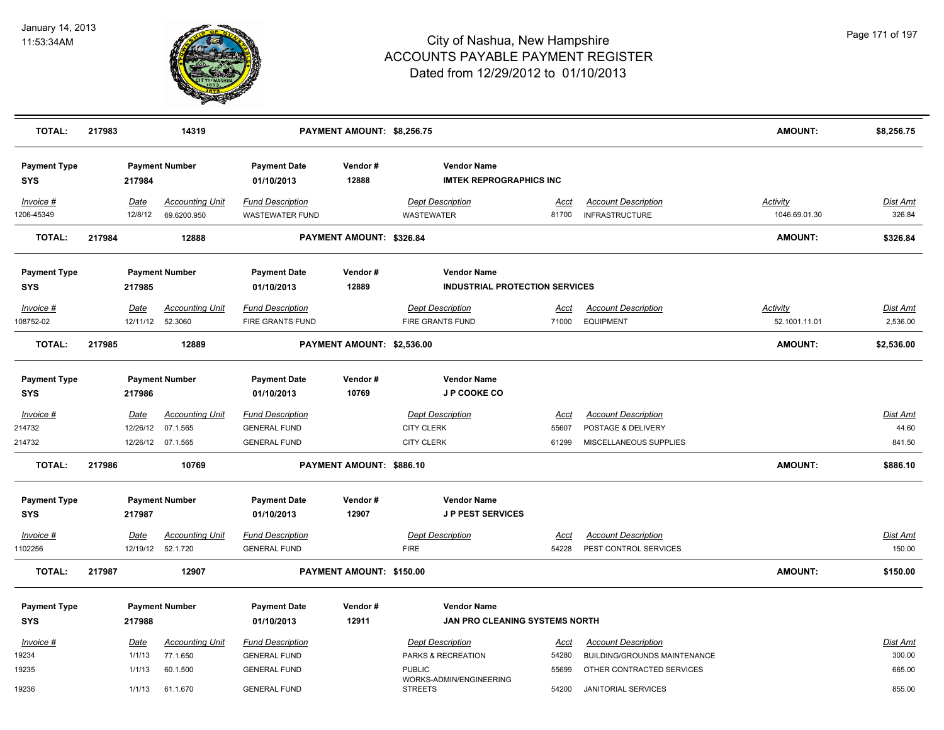

| <b>TOTAL:</b>                     | 217983 |                         | 14319                                 |                                                   | PAYMENT AMOUNT: \$8,256.75 |                                                             |                      |                                                     | <b>AMOUNT:</b>                   | \$8,256.75                |
|-----------------------------------|--------|-------------------------|---------------------------------------|---------------------------------------------------|----------------------------|-------------------------------------------------------------|----------------------|-----------------------------------------------------|----------------------------------|---------------------------|
| <b>Payment Type</b><br><b>SYS</b> |        | 217984                  | <b>Payment Number</b>                 | <b>Payment Date</b><br>01/10/2013                 | Vendor#<br>12888           | <b>Vendor Name</b><br><b>IMTEK REPROGRAPHICS INC</b>        |                      |                                                     |                                  |                           |
| Invoice #<br>1206-45349           |        | Date<br>12/8/12         | <b>Accounting Unit</b><br>69.6200.950 | <b>Fund Description</b><br><b>WASTEWATER FUND</b> |                            | <b>Dept Description</b><br><b>WASTEWATER</b>                | Acct<br>81700        | <b>Account Description</b><br><b>INFRASTRUCTURE</b> | <b>Activity</b><br>1046.69.01.30 | <b>Dist Amt</b><br>326.84 |
| <b>TOTAL:</b>                     | 217984 |                         | 12888                                 |                                                   | PAYMENT AMOUNT: \$326.84   |                                                             |                      |                                                     | <b>AMOUNT:</b>                   | \$326.84                  |
| <b>Payment Type</b><br>SYS        |        | 217985                  | <b>Payment Number</b>                 | <b>Payment Date</b><br>01/10/2013                 | Vendor#<br>12889           | <b>Vendor Name</b><br><b>INDUSTRIAL PROTECTION SERVICES</b> |                      |                                                     |                                  |                           |
| Invoice #                         |        | Date                    | <b>Accounting Unit</b>                | <b>Fund Description</b>                           |                            | <b>Dept Description</b>                                     | Acct                 | <b>Account Description</b>                          | <b>Activity</b>                  | Dist Amt                  |
| 108752-02                         |        | 12/11/12                | 52.3060                               | FIRE GRANTS FUND                                  |                            | <b>FIRE GRANTS FUND</b>                                     | 71000                | <b>EQUIPMENT</b>                                    | 52.1001.11.01                    | 2,536.00                  |
| <b>TOTAL:</b>                     | 217985 |                         | 12889                                 |                                                   | PAYMENT AMOUNT: \$2,536.00 |                                                             |                      |                                                     | AMOUNT:                          | \$2,536.00                |
| <b>Payment Type</b><br><b>SYS</b> |        | 217986                  | <b>Payment Number</b>                 | <b>Payment Date</b><br>01/10/2013                 | Vendor#<br>10769           | <b>Vendor Name</b><br>J P COOKE CO                          |                      |                                                     |                                  |                           |
| $Invoice$ #<br>214732             |        | <u>Date</u><br>12/26/12 | <b>Accounting Unit</b><br>07.1.565    | <b>Fund Description</b><br><b>GENERAL FUND</b>    |                            | <b>Dept Description</b><br><b>CITY CLERK</b>                | <u>Acct</u><br>55607 | <b>Account Description</b><br>POSTAGE & DELIVERY    |                                  | Dist Amt<br>44.60         |
| 214732                            |        | 12/26/12                | 07.1.565                              | <b>GENERAL FUND</b>                               |                            | <b>CITY CLERK</b>                                           | 61299                | MISCELLANEOUS SUPPLIES                              |                                  | 841.50                    |
| <b>TOTAL:</b>                     | 217986 |                         | 10769                                 |                                                   | PAYMENT AMOUNT: \$886.10   |                                                             |                      |                                                     | <b>AMOUNT:</b>                   | \$886.10                  |
| <b>Payment Type</b>               |        |                         | <b>Payment Number</b>                 | <b>Payment Date</b>                               | Vendor#                    | <b>Vendor Name</b>                                          |                      |                                                     |                                  |                           |
| <b>SYS</b>                        |        | 217987                  |                                       | 01/10/2013                                        | 12907                      | <b>JP PEST SERVICES</b>                                     |                      |                                                     |                                  |                           |
| Invoice #                         |        | Date                    | <b>Accounting Unit</b>                | <b>Fund Description</b>                           |                            | <b>Dept Description</b>                                     | <u>Acct</u>          | <b>Account Description</b>                          |                                  | Dist Amt                  |
| 1102256                           |        | 12/19/12                | 52.1.720                              | <b>GENERAL FUND</b>                               |                            | <b>FIRE</b>                                                 | 54228                | PEST CONTROL SERVICES                               |                                  | 150.00                    |
| <b>TOTAL:</b>                     | 217987 |                         | 12907                                 |                                                   | PAYMENT AMOUNT: \$150.00   |                                                             |                      |                                                     | <b>AMOUNT:</b>                   | \$150.00                  |
| <b>Payment Type</b>               |        |                         | <b>Payment Number</b>                 | <b>Payment Date</b>                               | Vendor#                    | <b>Vendor Name</b>                                          |                      |                                                     |                                  |                           |
| <b>SYS</b>                        |        | 217988                  |                                       | 01/10/2013                                        | 12911                      | JAN PRO CLEANING SYSTEMS NORTH                              |                      |                                                     |                                  |                           |
| Invoice #                         |        | Date                    | <b>Accounting Unit</b>                | <b>Fund Description</b>                           |                            | <b>Dept Description</b>                                     | Acct                 | <b>Account Description</b>                          |                                  | Dist Amt                  |
| 19234                             |        | 1/1/13                  | 77.1.650                              | <b>GENERAL FUND</b>                               |                            | PARKS & RECREATION                                          | 54280                | BUILDING/GROUNDS MAINTENANCE                        |                                  | 300.00                    |
| 19235                             |        | 1/1/13                  | 60.1.500                              | <b>GENERAL FUND</b>                               |                            | <b>PUBLIC</b>                                               | 55699                | OTHER CONTRACTED SERVICES                           |                                  | 665.00                    |
| 19236                             |        | 1/1/13                  | 61.1.670                              | <b>GENERAL FUND</b>                               |                            | WORKS-ADMIN/ENGINEERING<br><b>STREETS</b>                   | 54200                | <b>JANITORIAL SERVICES</b>                          |                                  | 855.00                    |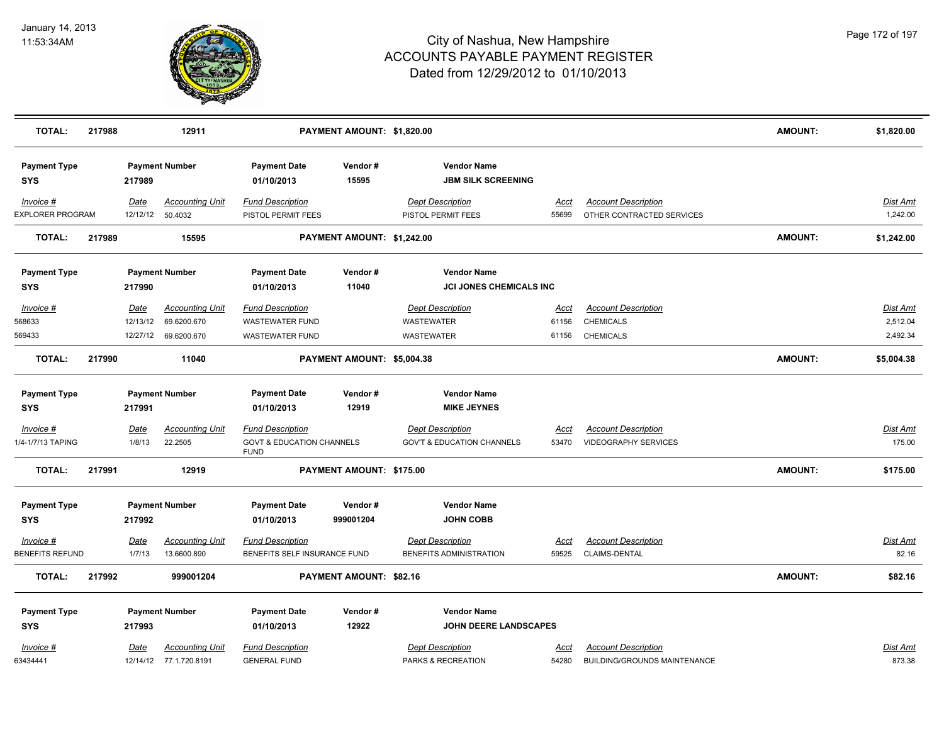

| <b>TOTAL:</b>                     | 217988 |                              | 12911                                                |                                                                                | PAYMENT AMOUNT: \$1,820.00     |                                                                  |                        |                                                                    | <b>AMOUNT:</b> | \$1,820.00                       |
|-----------------------------------|--------|------------------------------|------------------------------------------------------|--------------------------------------------------------------------------------|--------------------------------|------------------------------------------------------------------|------------------------|--------------------------------------------------------------------|----------------|----------------------------------|
| <b>Payment Type</b><br><b>SYS</b> |        | 217989                       | <b>Payment Number</b>                                | <b>Payment Date</b><br>01/10/2013                                              | Vendor#<br>15595               | <b>Vendor Name</b><br><b>JBM SILK SCREENING</b>                  |                        |                                                                    |                |                                  |
| Invoice #<br>EXPLORER PROGRAM     |        | Date<br>12/12/12             | <b>Accounting Unit</b><br>50.4032                    | <b>Fund Description</b><br>PISTOL PERMIT FEES                                  |                                | <b>Dept Description</b><br>PISTOL PERMIT FEES                    | Acct<br>55699          | <b>Account Description</b><br>OTHER CONTRACTED SERVICES            |                | <u>Dist Amt</u><br>1,242.00      |
| <b>TOTAL:</b>                     | 217989 |                              | 15595                                                |                                                                                | PAYMENT AMOUNT: \$1,242.00     |                                                                  |                        |                                                                    | <b>AMOUNT:</b> | \$1,242.00                       |
| <b>Payment Type</b><br><b>SYS</b> |        | 217990                       | <b>Payment Number</b>                                | <b>Payment Date</b><br>01/10/2013                                              | Vendor#<br>11040               | <b>Vendor Name</b><br><b>JCI JONES CHEMICALS INC</b>             |                        |                                                                    |                |                                  |
| Invoice #<br>568633<br>569433     |        | Date<br>12/13/12<br>12/27/12 | <b>Accounting Unit</b><br>69.6200.670<br>69.6200.670 | <b>Fund Description</b><br><b>WASTEWATER FUND</b><br><b>WASTEWATER FUND</b>    |                                | <b>Dept Description</b><br>WASTEWATER<br><b>WASTEWATER</b>       | Acct<br>61156<br>61156 | <b>Account Description</b><br><b>CHEMICALS</b><br><b>CHEMICALS</b> |                | Dist Amt<br>2,512.04<br>2,492.34 |
| <b>TOTAL:</b>                     | 217990 |                              | 11040                                                |                                                                                | PAYMENT AMOUNT: \$5,004.38     |                                                                  |                        |                                                                    | <b>AMOUNT:</b> | \$5,004.38                       |
| <b>Payment Type</b><br><b>SYS</b> |        | 217991                       | <b>Payment Number</b>                                | <b>Payment Date</b><br>01/10/2013                                              | Vendor#<br>12919               | <b>Vendor Name</b><br><b>MIKE JEYNES</b>                         |                        |                                                                    |                |                                  |
| $Invoice$ #<br>1/4-1/7/13 TAPING  |        | Date<br>1/8/13               | <b>Accounting Unit</b><br>22.2505                    | <b>Fund Description</b><br><b>GOVT &amp; EDUCATION CHANNELS</b><br><b>FUND</b> |                                | <b>Dept Description</b><br><b>GOV'T &amp; EDUCATION CHANNELS</b> | <u>Acct</u><br>53470   | <b>Account Description</b><br><b>VIDEOGRAPHY SERVICES</b>          |                | <u>Dist Amt</u><br>175.00        |
| <b>TOTAL:</b>                     | 217991 |                              | 12919                                                |                                                                                | PAYMENT AMOUNT: \$175.00       |                                                                  |                        |                                                                    | <b>AMOUNT:</b> | \$175.00                         |
| <b>Payment Type</b><br><b>SYS</b> |        | 217992                       | <b>Payment Number</b>                                | <b>Payment Date</b><br>01/10/2013                                              | Vendor#<br>999001204           | <b>Vendor Name</b><br><b>JOHN COBB</b>                           |                        |                                                                    |                |                                  |
| Invoice #<br>BENEFITS REFUND      |        | <u>Date</u><br>1/7/13        | <b>Accounting Unit</b><br>13.6600.890                | <b>Fund Description</b><br>BENEFITS SELF INSURANCE FUND                        |                                | <b>Dept Description</b><br>BENEFITS ADMINISTRATION               | <u>Acct</u><br>59525   | <b>Account Description</b><br>CLAIMS-DENTAL                        |                | <b>Dist Amt</b><br>82.16         |
| <b>TOTAL:</b>                     | 217992 |                              | 999001204                                            |                                                                                | <b>PAYMENT AMOUNT: \$82.16</b> |                                                                  |                        |                                                                    | <b>AMOUNT:</b> | \$82.16                          |
| <b>Payment Type</b><br><b>SYS</b> |        | 217993                       | <b>Payment Number</b>                                | <b>Payment Date</b><br>01/10/2013                                              | Vendor#<br>12922               | <b>Vendor Name</b><br>JOHN DEERE LANDSCAPES                      |                        |                                                                    |                |                                  |
| Invoice #<br>63434441             |        | <u>Date</u>                  | <b>Accounting Unit</b><br>12/14/12 77.1.720.8191     | <b>Fund Description</b><br><b>GENERAL FUND</b>                                 |                                | <b>Dept Description</b><br>PARKS & RECREATION                    | Acct<br>54280          | <b>Account Description</b><br>BUILDING/GROUNDS MAINTENANCE         |                | Dist Amt<br>873.38               |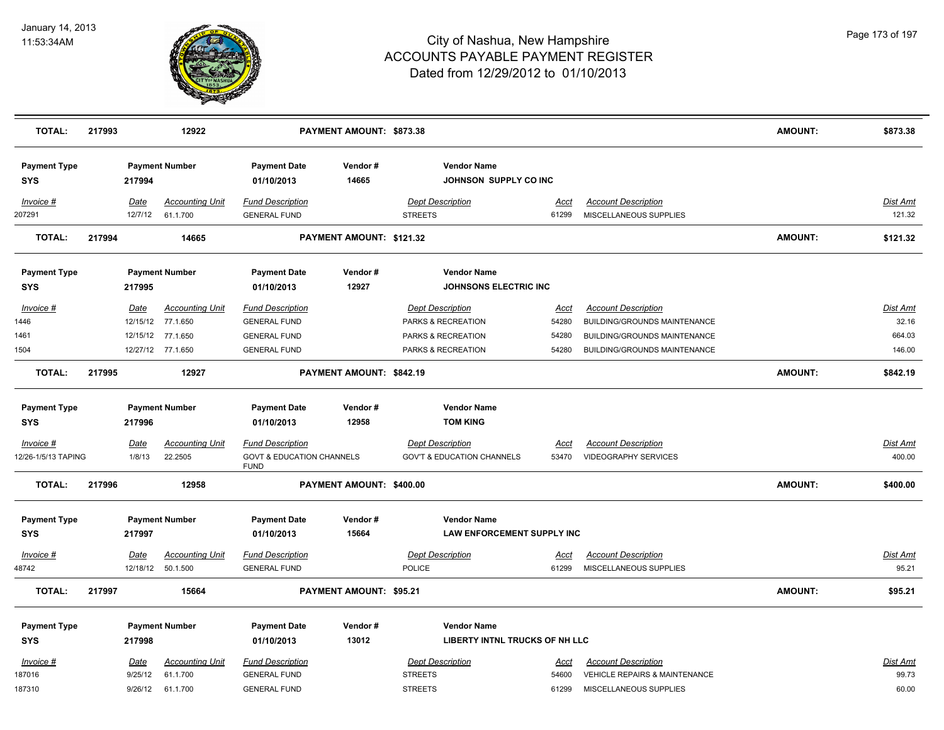

| <b>TOTAL:</b>                                                           | 217993                          | 12922                                                      |                                                                                                                     | PAYMENT AMOUNT: \$873.38       |                                                                                                           |                        |                                                                                                   | <b>AMOUNT:</b> | \$873.38                    |
|-------------------------------------------------------------------------|---------------------------------|------------------------------------------------------------|---------------------------------------------------------------------------------------------------------------------|--------------------------------|-----------------------------------------------------------------------------------------------------------|------------------------|---------------------------------------------------------------------------------------------------|----------------|-----------------------------|
| <b>Payment Type</b><br><b>SYS</b>                                       | 217994                          | <b>Payment Number</b>                                      | <b>Payment Date</b><br>01/10/2013                                                                                   | Vendor#<br>14665               | <b>Vendor Name</b><br>JOHNSON SUPPLY CO INC                                                               |                        |                                                                                                   |                |                             |
| Invoice #<br>207291                                                     | Date<br>12/7/12                 | <b>Accounting Unit</b><br>61.1.700                         | <b>Fund Description</b><br><b>GENERAL FUND</b>                                                                      |                                | <b>Dept Description</b><br><b>STREETS</b>                                                                 | Acct<br>61299          | <b>Account Description</b><br>MISCELLANEOUS SUPPLIES                                              |                | <b>Dist Amt</b><br>121.32   |
| TOTAL:                                                                  | 217994                          | 14665                                                      |                                                                                                                     | PAYMENT AMOUNT: \$121.32       |                                                                                                           |                        |                                                                                                   | <b>AMOUNT:</b> | \$121.32                    |
| <b>Payment Type</b><br><b>SYS</b>                                       | 217995                          | <b>Payment Number</b>                                      | <b>Payment Date</b><br>01/10/2013                                                                                   | Vendor#<br>12927               | <b>Vendor Name</b><br><b>JOHNSONS ELECTRIC INC</b>                                                        |                        |                                                                                                   |                |                             |
| Invoice #<br>1446<br>1461                                               | Date<br>12/15/12<br>12/15/12    | <b>Accounting Unit</b><br>77.1.650<br>77.1.650             | <b>Fund Description</b><br><b>GENERAL FUND</b><br><b>GENERAL FUND</b>                                               |                                | <b>Dept Description</b><br>PARKS & RECREATION<br>PARKS & RECREATION                                       | Acct<br>54280<br>54280 | <b>Account Description</b><br>BUILDING/GROUNDS MAINTENANCE<br><b>BUILDING/GROUNDS MAINTENANCE</b> |                | Dist Amt<br>32.16<br>664.03 |
| 1504<br><b>TOTAL:</b>                                                   | 217995                          | 12/27/12 77.1.650<br>12927                                 | <b>GENERAL FUND</b>                                                                                                 | PAYMENT AMOUNT: \$842.19       | PARKS & RECREATION                                                                                        | 54280                  | BUILDING/GROUNDS MAINTENANCE                                                                      | <b>AMOUNT:</b> | 146.00<br>\$842.19          |
| <b>Payment Type</b><br><b>SYS</b><br>$Invoice$ #<br>12/26-1/5/13 TAPING | 217996<br><u>Date</u><br>1/8/13 | <b>Payment Number</b><br><b>Accounting Unit</b><br>22.2505 | <b>Payment Date</b><br>01/10/2013<br><b>Fund Description</b><br><b>GOVT &amp; EDUCATION CHANNELS</b><br><b>FUND</b> | Vendor#<br>12958               | <b>Vendor Name</b><br><b>TOM KING</b><br><b>Dept Description</b><br><b>GOV'T &amp; EDUCATION CHANNELS</b> | <u>Acct</u><br>53470   | <b>Account Description</b><br><b>VIDEOGRAPHY SERVICES</b>                                         |                | <b>Dist Amt</b><br>400.00   |
| <b>TOTAL:</b>                                                           | 217996                          | 12958                                                      |                                                                                                                     | PAYMENT AMOUNT: \$400.00       |                                                                                                           |                        |                                                                                                   | <b>AMOUNT:</b> | \$400.00                    |
| <b>Payment Type</b><br><b>SYS</b>                                       | 217997                          | <b>Payment Number</b>                                      | <b>Payment Date</b><br>01/10/2013                                                                                   | Vendor#<br>15664               | <b>Vendor Name</b><br><b>LAW ENFORCEMENT SUPPLY INC</b>                                                   |                        |                                                                                                   |                |                             |
| $Invoice$ #<br>48742                                                    | <u>Date</u>                     | <b>Accounting Unit</b><br>12/18/12  50.1.500               | <b>Fund Description</b><br><b>GENERAL FUND</b>                                                                      |                                | <b>Dept Description</b><br><b>POLICE</b>                                                                  | <u>Acct</u><br>61299   | <b>Account Description</b><br>MISCELLANEOUS SUPPLIES                                              |                | <b>Dist Amt</b><br>95.21    |
| <b>TOTAL:</b>                                                           | 217997                          | 15664                                                      |                                                                                                                     | <b>PAYMENT AMOUNT: \$95.21</b> |                                                                                                           |                        |                                                                                                   | <b>AMOUNT:</b> | \$95.21                     |
| <b>Payment Type</b><br><b>SYS</b>                                       | 217998                          | <b>Payment Number</b>                                      | <b>Payment Date</b><br>01/10/2013                                                                                   | Vendor#<br>13012               | <b>Vendor Name</b><br><b>LIBERTY INTNL TRUCKS OF NH LLC</b>                                               |                        |                                                                                                   |                |                             |
| Invoice #<br>187016<br>187310                                           | Date<br>9/25/12<br>9/26/12      | <b>Accounting Unit</b><br>61.1.700<br>61.1.700             | <b>Fund Description</b><br><b>GENERAL FUND</b><br><b>GENERAL FUND</b>                                               |                                | <b>Dept Description</b><br><b>STREETS</b><br><b>STREETS</b>                                               | Acct<br>54600<br>61299 | <b>Account Description</b><br><b>VEHICLE REPAIRS &amp; MAINTENANCE</b><br>MISCELLANEOUS SUPPLIES  |                | Dist Amt<br>99.73<br>60.00  |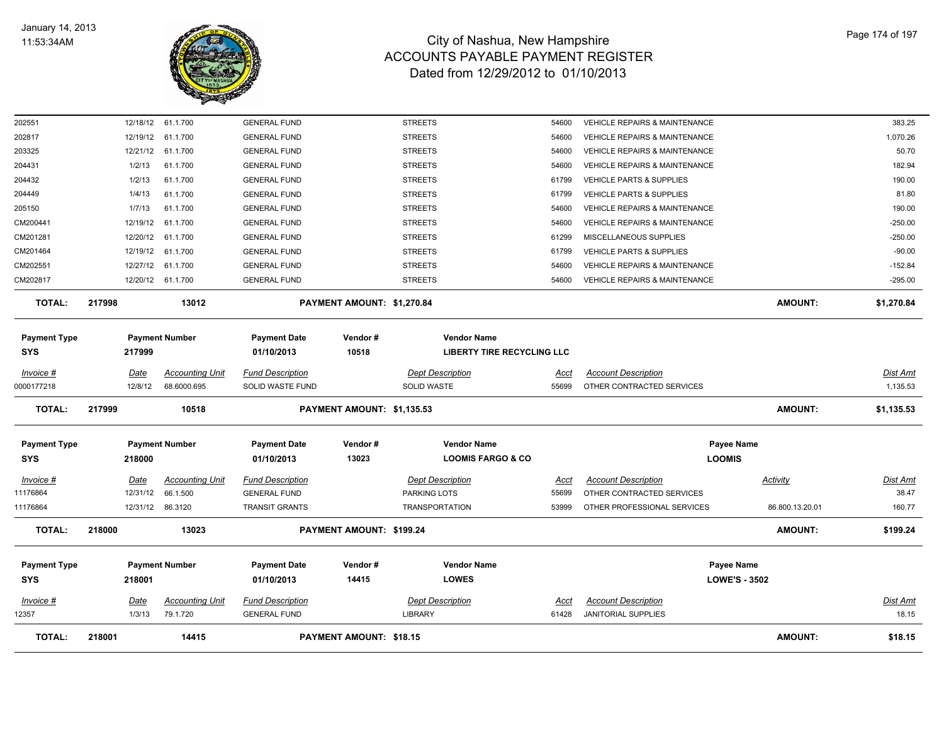

| <b>TOTAL:</b>                     | 218001                | 14415                              |                                                | <b>PAYMENT AMOUNT: \$18.15</b> |                                    |                            |                                                                | <b>AMOUNT:</b>                     | \$18.15                  |
|-----------------------------------|-----------------------|------------------------------------|------------------------------------------------|--------------------------------|------------------------------------|----------------------------|----------------------------------------------------------------|------------------------------------|--------------------------|
| Invoice #<br>12357                | <u>Date</u><br>1/3/13 | <b>Accounting Unit</b><br>79.1.720 | <b>Fund Description</b><br><b>GENERAL FUND</b> |                                | <b>Dept Description</b><br>LIBRARY | <u>Acct</u><br>61428       | <b>Account Description</b><br><b>JANITORIAL SUPPLIES</b>       |                                    | <b>Dist Amt</b><br>18.15 |
| <b>Payment Type</b><br><b>SYS</b> | 218001                | <b>Payment Number</b>              | <b>Payment Date</b><br>01/10/2013              | Vendor#<br>14415               | <b>Vendor Name</b><br><b>LOWES</b> |                            |                                                                | Payee Name<br><b>LOWE'S - 3502</b> |                          |
| <b>TOTAL:</b>                     | 218000                | 13023                              |                                                | PAYMENT AMOUNT: \$199.24       |                                    |                            |                                                                | <b>AMOUNT:</b>                     | \$199.24                 |
| 11176864                          |                       | 12/31/12 86.3120                   | <b>TRANSIT GRANTS</b>                          |                                | <b>TRANSPORTATION</b>              | 53999                      | OTHER PROFESSIONAL SERVICES                                    | 86.800.13.20.01                    | 160.77                   |
| 11176864                          | 12/31/12              | 66.1.500                           | <b>GENERAL FUND</b>                            |                                | PARKING LOTS                       | 55699                      | OTHER CONTRACTED SERVICES                                      |                                    | 38.47                    |
| Invoice #                         | Date                  | <b>Accounting Unit</b>             | <b>Fund Description</b>                        |                                | <b>Dept Description</b>            | Acct                       | <b>Account Description</b>                                     | Activity                           | Dist Amt                 |
| <b>SYS</b>                        | 218000                |                                    | 01/10/2013                                     | 13023                          | <b>LOOMIS FARGO &amp; CO</b>       |                            |                                                                | <b>LOOMIS</b>                      |                          |
| <b>Payment Type</b>               |                       | <b>Payment Number</b>              | <b>Payment Date</b>                            | Vendor#                        | <b>Vendor Name</b>                 |                            |                                                                | Payee Name                         |                          |
| <b>TOTAL:</b>                     | 217999                | 10518                              |                                                | PAYMENT AMOUNT: \$1,135.53     |                                    |                            |                                                                | <b>AMOUNT:</b>                     | \$1,135.53               |
| 0000177218                        | 12/8/12               | 68.6000.695                        | SOLID WASTE FUND                               |                                | SOLID WASTE                        | 55699                      | OTHER CONTRACTED SERVICES                                      |                                    | 1,135.53                 |
| Invoice #                         | <u>Date</u>           | <b>Accounting Unit</b>             | <b>Fund Description</b>                        |                                | <b>Dept Description</b>            | <u>Acct</u>                | <b>Account Description</b>                                     |                                    | Dist Amt                 |
| <b>SYS</b>                        | 217999                |                                    | 01/10/2013                                     | 10518                          |                                    | LIBERTY TIRE RECYCLING LLC |                                                                |                                    |                          |
| <b>Payment Type</b>               |                       | <b>Payment Number</b>              | <b>Payment Date</b>                            | Vendor#                        | <b>Vendor Name</b>                 |                            |                                                                |                                    |                          |
| <b>TOTAL:</b>                     | 217998                | 13012                              |                                                | PAYMENT AMOUNT: \$1,270.84     |                                    |                            |                                                                | <b>AMOUNT:</b>                     | \$1,270.84               |
| CM202817                          |                       | 12/20/12 61.1.700                  | <b>GENERAL FUND</b>                            |                                | <b>STREETS</b>                     | 54600                      | <b>VEHICLE REPAIRS &amp; MAINTENANCE</b>                       |                                    | $-295.00$                |
| CM202551                          | 12/27/12              | 61.1.700                           | <b>GENERAL FUND</b>                            |                                | <b>STREETS</b>                     | 54600                      | VEHICLE REPAIRS & MAINTENANCE                                  |                                    | $-152.84$                |
| CM201464                          | 12/19/12              | 61.1.700                           | <b>GENERAL FUND</b>                            |                                | <b>STREETS</b>                     | 61799                      | <b>VEHICLE PARTS &amp; SUPPLIES</b>                            |                                    | $-90.00$                 |
| CM201281                          | 12/20/12              | 61.1.700                           | <b>GENERAL FUND</b>                            |                                | <b>STREETS</b>                     | 61299                      | MISCELLANEOUS SUPPLIES                                         |                                    | $-250.00$                |
| CM200441                          | 12/19/12              | 61.1.700                           | <b>GENERAL FUND</b>                            |                                | <b>STREETS</b>                     | 54600                      | <b>VEHICLE REPAIRS &amp; MAINTENANCE</b>                       |                                    | $-250.00$                |
| 205150                            | 1/7/13                | 61.1.700                           | <b>GENERAL FUND</b>                            |                                | <b>STREETS</b>                     | 54600                      | VEHICLE REPAIRS & MAINTENANCE                                  |                                    | 190.00                   |
| 204449                            | 1/4/13                | 61.1.700                           | <b>GENERAL FUND</b>                            |                                | <b>STREETS</b>                     | 61799                      | VEHICLE PARTS & SUPPLIES                                       |                                    | 81.80                    |
| 204432                            | 1/2/13                | 61.1.700                           | <b>GENERAL FUND</b>                            |                                | <b>STREETS</b>                     | 61799                      | <b>VEHICLE PARTS &amp; SUPPLIES</b>                            |                                    | 190.00                   |
| 204431                            | 1/2/13                | 61.1.700                           | <b>GENERAL FUND</b>                            |                                | <b>STREETS</b>                     | 54600                      | <b>VEHICLE REPAIRS &amp; MAINTENANCE</b>                       |                                    | 182.94                   |
| 203325                            | 12/21/12              | 61.1.700                           | <b>GENERAL FUND</b>                            |                                | <b>STREETS</b>                     | 54600                      | <b>VEHICLE REPAIRS &amp; MAINTENANCE</b>                       |                                    | 50.70                    |
| 202551<br>202817                  | 12/18/12<br>12/19/12  | 61.1.700<br>61.1.700               | <b>GENERAL FUND</b><br><b>GENERAL FUND</b>     |                                | <b>STREETS</b><br><b>STREETS</b>   | 54600<br>54600             | VEHICLE REPAIRS & MAINTENANCE<br>VEHICLE REPAIRS & MAINTENANCE |                                    | 383.25<br>1,070.26       |
|                                   |                       |                                    |                                                |                                |                                    |                            |                                                                |                                    |                          |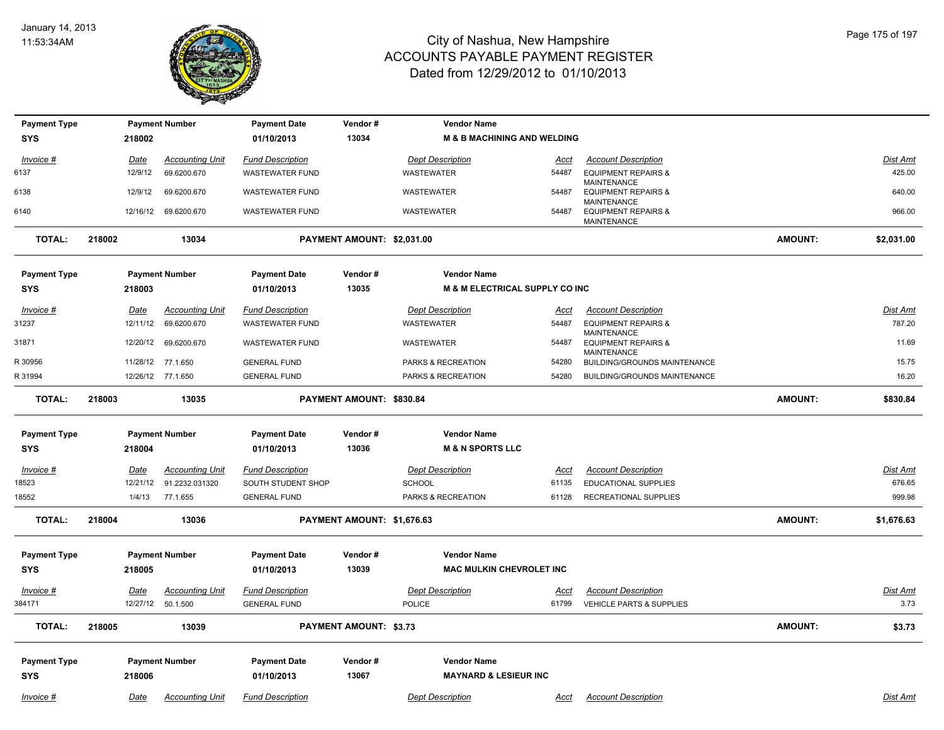

| <b>Payment Type</b> |        |             | <b>Payment Number</b>  | <b>Payment Date</b>     | Vendor#                       | <b>Vendor Name</b>                        |             |                                                              |                |                 |
|---------------------|--------|-------------|------------------------|-------------------------|-------------------------------|-------------------------------------------|-------------|--------------------------------------------------------------|----------------|-----------------|
| <b>SYS</b>          |        | 218002      |                        | 01/10/2013              | 13034                         | <b>M &amp; B MACHINING AND WELDING</b>    |             |                                                              |                |                 |
| Invoice #           |        | <u>Date</u> | <b>Accounting Unit</b> | <b>Fund Description</b> |                               | <b>Dept Description</b>                   | Acct        | <b>Account Description</b>                                   |                | Dist Amt        |
| 6137                |        | 12/9/12     | 69.6200.670            | <b>WASTEWATER FUND</b>  |                               | <b>WASTEWATER</b>                         | 54487       | <b>EQUIPMENT REPAIRS &amp;</b>                               |                | 425.00          |
| 6138                |        | 12/9/12     | 69.6200.670            | <b>WASTEWATER FUND</b>  |                               | WASTEWATER                                | 54487       | <b>MAINTENANCE</b><br><b>EQUIPMENT REPAIRS &amp;</b>         |                | 640.00          |
| 6140                |        | 12/16/12    | 69.6200.670            | <b>WASTEWATER FUND</b>  |                               | WASTEWATER                                | 54487       | MAINTENANCE<br><b>EQUIPMENT REPAIRS &amp;</b><br>MAINTENANCE |                | 966.00          |
| <b>TOTAL:</b>       | 218002 |             | 13034                  |                         | PAYMENT AMOUNT: \$2,031.00    |                                           |             |                                                              | <b>AMOUNT:</b> | \$2,031.00      |
| <b>Payment Type</b> |        |             | <b>Payment Number</b>  | <b>Payment Date</b>     | Vendor#                       | <b>Vendor Name</b>                        |             |                                                              |                |                 |
| SYS                 |        | 218003      |                        | 01/10/2013              | 13035                         | <b>M &amp; M ELECTRICAL SUPPLY CO INC</b> |             |                                                              |                |                 |
| Invoice #           |        | Date        | <b>Accounting Unit</b> | <b>Fund Description</b> |                               | <b>Dept Description</b>                   | Acct        | <b>Account Description</b>                                   |                | <b>Dist Amt</b> |
| 31237               |        | 12/11/12    | 69.6200.670            | <b>WASTEWATER FUND</b>  |                               | WASTEWATER                                | 54487       | <b>EQUIPMENT REPAIRS &amp;</b>                               |                | 787.20          |
| 31871               |        | 12/20/12    | 69.6200.670            | <b>WASTEWATER FUND</b>  |                               | <b>WASTEWATER</b>                         | 54487       | <b>MAINTENANCE</b><br><b>EQUIPMENT REPAIRS &amp;</b>         |                | 11.69           |
| R 30956             |        | 11/28/12    | 77.1.650               | <b>GENERAL FUND</b>     |                               | PARKS & RECREATION                        | 54280       | <b>MAINTENANCE</b><br><b>BUILDING/GROUNDS MAINTENANCE</b>    |                | 15.75           |
| R 31994             |        |             | 12/26/12 77.1.650      | <b>GENERAL FUND</b>     |                               | PARKS & RECREATION                        | 54280       | BUILDING/GROUNDS MAINTENANCE                                 |                | 16.20           |
| <b>TOTAL:</b>       | 218003 |             | 13035                  |                         | PAYMENT AMOUNT: \$830.84      |                                           |             |                                                              | <b>AMOUNT:</b> | \$830.84        |
| <b>Payment Type</b> |        |             | <b>Payment Number</b>  | <b>Payment Date</b>     | Vendor#                       | <b>Vendor Name</b>                        |             |                                                              |                |                 |
| <b>SYS</b>          |        | 218004      |                        | 01/10/2013              | 13036                         | <b>M &amp; N SPORTS LLC</b>               |             |                                                              |                |                 |
| Invoice #           |        | <u>Date</u> | <b>Accounting Unit</b> | <b>Fund Description</b> |                               | <b>Dept Description</b>                   | <u>Acct</u> | <b>Account Description</b>                                   |                | <b>Dist Amt</b> |
| 18523               |        | 12/21/12    | 91.2232.031320         | SOUTH STUDENT SHOP      |                               | SCHOOL                                    | 61135       | <b>EDUCATIONAL SUPPLIES</b>                                  |                | 676.65          |
| 18552               |        | 1/4/13      | 77.1.655               | <b>GENERAL FUND</b>     |                               | PARKS & RECREATION                        | 61128       | <b>RECREATIONAL SUPPLIES</b>                                 |                | 999.98          |
| <b>TOTAL:</b>       | 218004 |             | 13036                  |                         | PAYMENT AMOUNT: \$1,676.63    |                                           |             |                                                              | <b>AMOUNT:</b> | \$1,676.63      |
| <b>Payment Type</b> |        |             | <b>Payment Number</b>  | <b>Payment Date</b>     | Vendor#                       | <b>Vendor Name</b>                        |             |                                                              |                |                 |
| <b>SYS</b>          |        | 218005      |                        | 01/10/2013              | 13039                         | <b>MAC MULKIN CHEVROLET INC</b>           |             |                                                              |                |                 |
| Invoice #           |        | Date        | <b>Accounting Unit</b> | <b>Fund Description</b> |                               | <b>Dept Description</b>                   | Acct        | <b>Account Description</b>                                   |                | <b>Dist Amt</b> |
| 384171              |        | 12/27/12    | 50.1.500               | <b>GENERAL FUND</b>     |                               | POLICE                                    | 61799       | <b>VEHICLE PARTS &amp; SUPPLIES</b>                          |                | 3.73            |
| <b>TOTAL:</b>       | 218005 |             | 13039                  |                         | <b>PAYMENT AMOUNT: \$3.73</b> |                                           |             |                                                              | <b>AMOUNT:</b> | \$3.73          |
| <b>Payment Type</b> |        |             | <b>Payment Number</b>  | <b>Payment Date</b>     | Vendor#                       | <b>Vendor Name</b>                        |             |                                                              |                |                 |
| <b>SYS</b>          |        | 218006      |                        | 01/10/2013              | 13067                         | <b>MAYNARD &amp; LESIEUR INC</b>          |             |                                                              |                |                 |
| Invoice #           |        | Date        | <b>Accounting Unit</b> | <b>Fund Description</b> |                               | <b>Dept Description</b>                   | Acct        | <b>Account Description</b>                                   |                | Dist Amt        |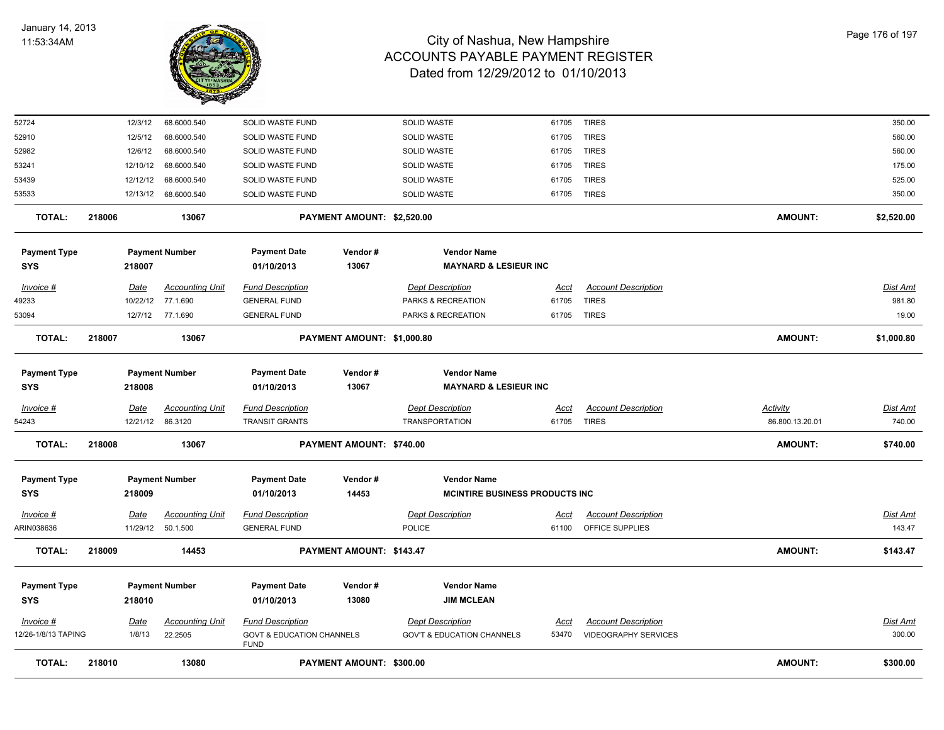

| <b>TOTAL:</b>                     | 218010 |                         | 13080                              |                                                     | PAYMENT AMOUNT: \$300.00   |                                                              |                      |                                               | <b>AMOUNT:</b>  | \$300.00                  |
|-----------------------------------|--------|-------------------------|------------------------------------|-----------------------------------------------------|----------------------------|--------------------------------------------------------------|----------------------|-----------------------------------------------|-----------------|---------------------------|
| 12/26-1/8/13 TAPING               |        | 1/8/13                  | 22.2505                            | <b>GOVT &amp; EDUCATION CHANNELS</b><br><b>FUND</b> |                            | <b>GOV'T &amp; EDUCATION CHANNELS</b>                        | 53470                | <b>VIDEOGRAPHY SERVICES</b>                   |                 | 300.00                    |
| Invoice #                         |        | <b>Date</b>             | <b>Accounting Unit</b>             | <b>Fund Description</b>                             |                            | <b>Dept Description</b>                                      | Acct                 | <b>Account Description</b>                    |                 | Dist Amt                  |
| <b>Payment Type</b><br><b>SYS</b> |        | 218010                  | <b>Payment Number</b>              | <b>Payment Date</b><br>01/10/2013                   | Vendor#<br>13080           | <b>Vendor Name</b><br><b>JIM MCLEAN</b>                      |                      |                                               |                 |                           |
| <b>TOTAL:</b>                     | 218009 |                         | 14453                              |                                                     | PAYMENT AMOUNT: \$143.47   |                                                              |                      |                                               | <b>AMOUNT:</b>  | \$143.47                  |
| $Invoice$ #<br>ARIN038636         |        | <u>Date</u><br>11/29/12 | Accounting Unit<br>50.1.500        | <b>Fund Description</b><br><b>GENERAL FUND</b>      |                            | <b>Dept Description</b><br><b>POLICE</b>                     | <u>Acct</u><br>61100 | <b>Account Description</b><br>OFFICE SUPPLIES |                 | <b>Dist Amt</b><br>143.47 |
| <b>Payment Type</b><br><b>SYS</b> |        | 218009                  | <b>Payment Number</b>              | <b>Payment Date</b><br>01/10/2013                   | Vendor#<br>14453           | <b>Vendor Name</b><br><b>MCINTIRE BUSINESS PRODUCTS INC.</b> |                      |                                               |                 |                           |
| <b>TOTAL:</b>                     | 218008 |                         | 13067                              |                                                     | PAYMENT AMOUNT: \$740.00   |                                                              |                      |                                               | <b>AMOUNT:</b>  | \$740.00                  |
| 54243                             |        | 12/21/12                | 86.3120                            | <b>TRANSIT GRANTS</b>                               |                            | <b>TRANSPORTATION</b>                                        | 61705                | <b>TIRES</b>                                  | 86.800.13.20.01 | 740.00                    |
| Invoice #                         |        | Date                    | <b>Accounting Unit</b>             | <b>Fund Description</b>                             |                            | <b>Dept Description</b>                                      | Acct                 | <b>Account Description</b>                    | <b>Activity</b> | Dist Amt                  |
| <b>Payment Type</b><br>SYS        |        | 218008                  | <b>Payment Number</b>              | <b>Payment Date</b><br>01/10/2013                   | Vendor #<br>13067          | <b>Vendor Name</b><br><b>MAYNARD &amp; LESIEUR INC</b>       |                      |                                               |                 |                           |
| <b>TOTAL:</b>                     | 218007 |                         | 13067                              |                                                     | PAYMENT AMOUNT: \$1,000.80 |                                                              |                      |                                               | <b>AMOUNT:</b>  | \$1,000.80                |
| 53094                             |        |                         | 12/7/12 77.1.690                   | <b>GENERAL FUND</b>                                 |                            | PARKS & RECREATION                                           | 61705 TIRES          |                                               |                 | 19.00                     |
| Invoice #<br>49233                |        | <u>Date</u><br>10/22/12 | <b>Accounting Unit</b><br>77.1.690 | <b>Fund Description</b><br><b>GENERAL FUND</b>      |                            | <b>Dept Description</b><br>PARKS & RECREATION                | Acct<br>61705        | <b>Account Description</b><br><b>TIRES</b>    |                 | Dist Amt<br>981.80        |
| <b>SYS</b>                        |        | 218007                  |                                    | 01/10/2013                                          | 13067                      | <b>MAYNARD &amp; LESIEUR INC</b>                             |                      |                                               |                 |                           |
| <b>Payment Type</b>               |        |                         | <b>Payment Number</b>              | <b>Payment Date</b>                                 | Vendor#                    | <b>Vendor Name</b>                                           |                      |                                               |                 |                           |
| <b>TOTAL:</b>                     | 218006 |                         | 13067                              |                                                     | PAYMENT AMOUNT: \$2,520.00 |                                                              |                      |                                               | <b>AMOUNT:</b>  | \$2,520.00                |
| 53533                             |        |                         | 12/13/12 68.6000.540               | SOLID WASTE FUND                                    |                            | SOLID WASTE                                                  | 61705                | <b>TIRES</b>                                  |                 | 350.00                    |
| 53439                             |        | 12/12/12                | 68.6000.540                        | SOLID WASTE FUND                                    |                            | SOLID WASTE                                                  | 61705                | <b>TIRES</b>                                  |                 | 525.00                    |
| 53241                             |        | 12/10/12                | 68.6000.540                        | SOLID WASTE FUND                                    |                            | SOLID WASTE                                                  | 61705                | <b>TIRES</b>                                  |                 | 175.00                    |
| 52910<br>52982                    |        | 12/5/12<br>12/6/12      | 68.6000.540<br>68.6000.540         | SOLID WASTE FUND<br>SOLID WASTE FUND                |                            | SOLID WASTE<br>SOLID WASTE                                   | 61705<br>61705       | <b>TIRES</b><br><b>TIRES</b>                  |                 | 560.00<br>560.00          |
| 52724                             |        | 12/3/12                 | 68.6000.540                        | SOLID WASTE FUND                                    |                            | SOLID WASTE                                                  | 61705                | <b>TIRES</b>                                  |                 | 350.00                    |
|                                   |        |                         |                                    |                                                     |                            |                                                              |                      |                                               |                 |                           |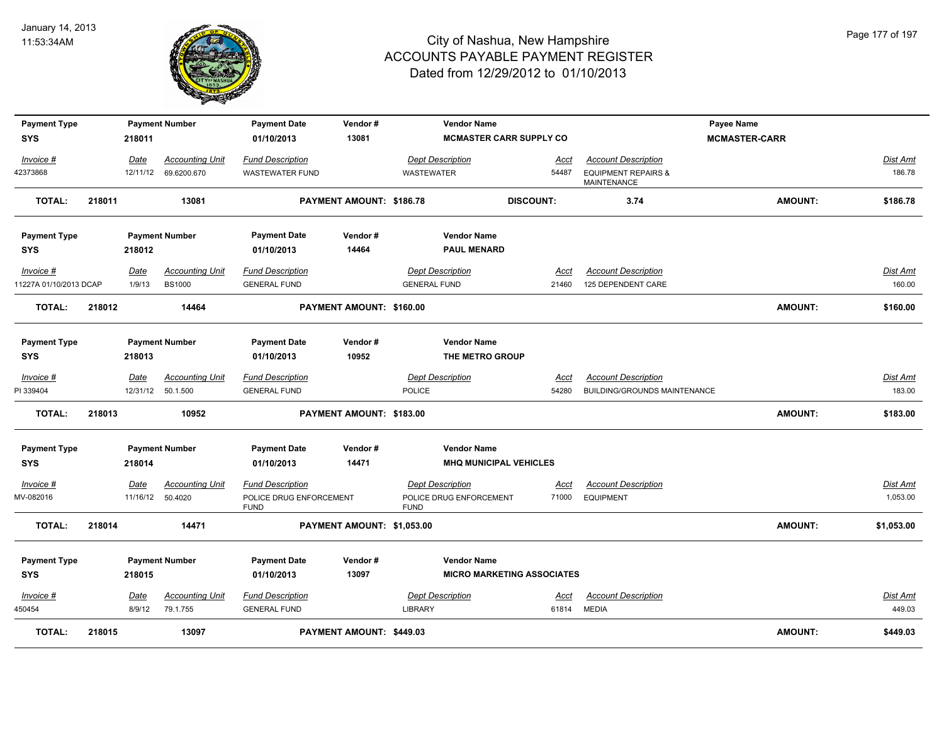

| <b>Payment Type</b>    |        |             | <b>Payment Number</b>  | <b>Payment Date</b>                    | Vendor#                    | <b>Vendor Name</b>                     |                                   |                                               | Payee Name           |                 |
|------------------------|--------|-------------|------------------------|----------------------------------------|----------------------------|----------------------------------------|-----------------------------------|-----------------------------------------------|----------------------|-----------------|
| <b>SYS</b>             |        | 218011      |                        | 01/10/2013                             | 13081                      |                                        | <b>MCMASTER CARR SUPPLY CO</b>    |                                               | <b>MCMASTER-CARR</b> |                 |
| Invoice #              |        | Date        | <b>Accounting Unit</b> | <b>Fund Description</b>                |                            | <b>Dept Description</b>                | Acct                              | <b>Account Description</b>                    |                      | Dist Amt        |
| 42373868               |        | 12/11/12    | 69.6200.670            | <b>WASTEWATER FUND</b>                 |                            | WASTEWATER                             | 54487                             | <b>EQUIPMENT REPAIRS &amp;</b><br>MAINTENANCE |                      | 186.78          |
| <b>TOTAL:</b>          | 218011 |             | 13081                  |                                        | PAYMENT AMOUNT: \$186.78   |                                        | <b>DISCOUNT:</b>                  | 3.74                                          | <b>AMOUNT:</b>       | \$186.78        |
| <b>Payment Type</b>    |        |             | <b>Payment Number</b>  | <b>Payment Date</b>                    | Vendor#                    | <b>Vendor Name</b>                     |                                   |                                               |                      |                 |
| <b>SYS</b>             |        | 218012      |                        | 01/10/2013                             | 14464                      | <b>PAUL MENARD</b>                     |                                   |                                               |                      |                 |
| Invoice #              |        | <u>Date</u> | <b>Accounting Unit</b> | <b>Fund Description</b>                |                            | <b>Dept Description</b>                | Acct                              | <b>Account Description</b>                    |                      | <b>Dist Amt</b> |
| 11227A 01/10/2013 DCAP |        | 1/9/13      | <b>BS1000</b>          | <b>GENERAL FUND</b>                    |                            | <b>GENERAL FUND</b>                    | 21460                             | 125 DEPENDENT CARE                            |                      | 160.00          |
| <b>TOTAL:</b>          | 218012 |             | 14464                  |                                        | PAYMENT AMOUNT: \$160.00   |                                        |                                   |                                               | <b>AMOUNT:</b>       | \$160.00        |
|                        |        |             |                        |                                        |                            |                                        |                                   |                                               |                      |                 |
| <b>Payment Type</b>    |        |             | <b>Payment Number</b>  | <b>Payment Date</b>                    | Vendor#                    | <b>Vendor Name</b>                     |                                   |                                               |                      |                 |
| <b>SYS</b>             |        | 218013      |                        | 01/10/2013                             | 10952                      | THE METRO GROUP                        |                                   |                                               |                      |                 |
| Invoice #              |        | <u>Date</u> | <b>Accounting Unit</b> | <b>Fund Description</b>                |                            | <b>Dept Description</b>                | <u>Acct</u>                       | <b>Account Description</b>                    |                      | <b>Dist Amt</b> |
| PI 339404              |        |             | 12/31/12 50.1.500      | <b>GENERAL FUND</b>                    |                            | <b>POLICE</b>                          | 54280                             | <b>BUILDING/GROUNDS MAINTENANCE</b>           |                      | 183.00          |
| <b>TOTAL:</b>          | 218013 |             | 10952                  |                                        | PAYMENT AMOUNT: \$183.00   |                                        |                                   |                                               | <b>AMOUNT:</b>       | \$183.00        |
| <b>Payment Type</b>    |        |             | <b>Payment Number</b>  | <b>Payment Date</b>                    | Vendor#                    | <b>Vendor Name</b>                     |                                   |                                               |                      |                 |
| SYS                    |        | 218014      |                        | 01/10/2013                             | 14471                      |                                        | <b>MHQ MUNICIPAL VEHICLES</b>     |                                               |                      |                 |
| Invoice #              |        | Date        | <b>Accounting Unit</b> | <b>Fund Description</b>                |                            | <b>Dept Description</b>                | Acct                              | <b>Account Description</b>                    |                      | Dist Amt        |
| MV-082016              |        | 11/16/12    | 50.4020                | POLICE DRUG ENFORCEMENT<br><b>FUND</b> |                            | POLICE DRUG ENFORCEMENT<br><b>FUND</b> | 71000                             | <b>EQUIPMENT</b>                              |                      | 1,053.00        |
| <b>TOTAL:</b>          | 218014 |             | 14471                  |                                        | PAYMENT AMOUNT: \$1,053.00 |                                        |                                   |                                               | <b>AMOUNT:</b>       | \$1,053.00      |
| <b>Payment Type</b>    |        |             | <b>Payment Number</b>  | <b>Payment Date</b>                    | Vendor#                    | <b>Vendor Name</b>                     |                                   |                                               |                      |                 |
| <b>SYS</b>             |        | 218015      |                        | 01/10/2013                             | 13097                      |                                        | <b>MICRO MARKETING ASSOCIATES</b> |                                               |                      |                 |
| $Invoice$ #            |        | <b>Date</b> | <b>Accounting Unit</b> | <b>Fund Description</b>                |                            | <b>Dept Description</b>                | Acct                              | <b>Account Description</b>                    |                      | Dist Amt        |
| 450454                 |        | 8/9/12      | 79.1.755               | <b>GENERAL FUND</b>                    |                            | <b>LIBRARY</b>                         | 61814                             | MEDIA                                         |                      | 449.03          |
| <b>TOTAL:</b>          | 218015 |             | 13097                  |                                        | PAYMENT AMOUNT: \$449.03   |                                        |                                   |                                               | <b>AMOUNT:</b>       | \$449.03        |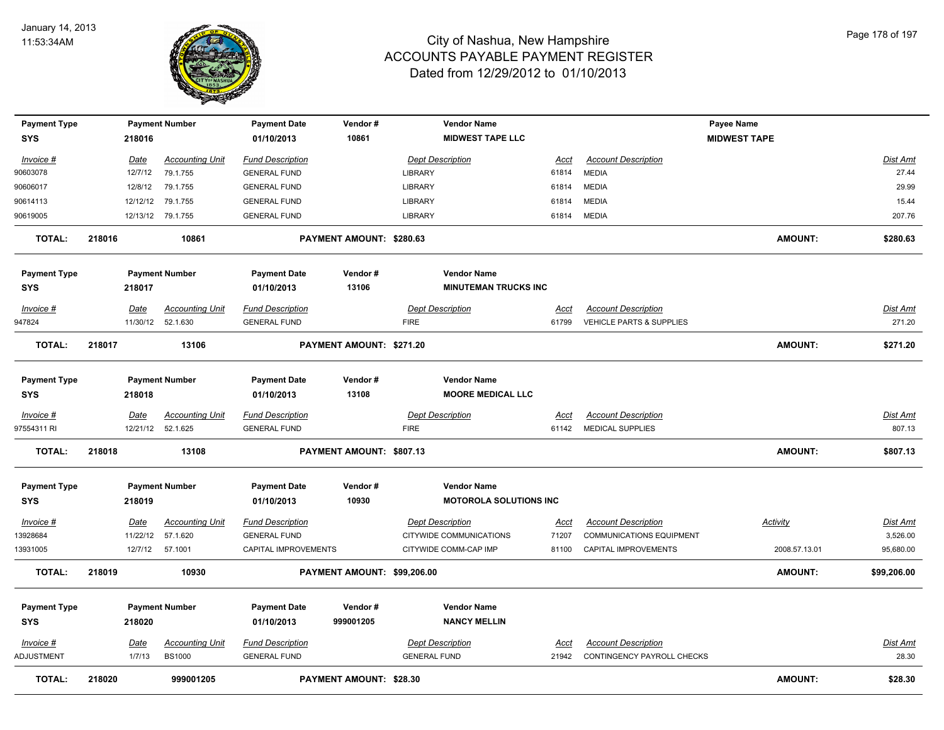

| <b>Payment Type</b> |        |             | <b>Payment Number</b>  | <b>Payment Date</b>     | Vendor#                     | <b>Vendor Name</b>            |             |                                 | Payee Name          |                 |
|---------------------|--------|-------------|------------------------|-------------------------|-----------------------------|-------------------------------|-------------|---------------------------------|---------------------|-----------------|
| <b>SYS</b>          |        | 218016      |                        | 01/10/2013              | 10861                       | <b>MIDWEST TAPE LLC</b>       |             |                                 | <b>MIDWEST TAPE</b> |                 |
| Invoice #           |        | Date        | <b>Accounting Unit</b> | <b>Fund Description</b> |                             | <b>Dept Description</b>       | <u>Acct</u> | <b>Account Description</b>      |                     | Dist Amt        |
| 90603078            |        | 12/7/12     | 79.1.755               | <b>GENERAL FUND</b>     |                             | LIBRARY                       | 61814       | <b>MEDIA</b>                    |                     | 27.44           |
| 90606017            |        | 12/8/12     | 79.1.755               | <b>GENERAL FUND</b>     |                             | LIBRARY                       | 61814       | <b>MEDIA</b>                    |                     | 29.99           |
| 90614113            |        | 12/12/12    | 79.1.755               | <b>GENERAL FUND</b>     |                             | LIBRARY                       | 61814       | <b>MEDIA</b>                    |                     | 15.44           |
| 90619005            |        |             | 12/13/12 79.1.755      | <b>GENERAL FUND</b>     |                             | LIBRARY                       | 61814       | <b>MEDIA</b>                    |                     | 207.76          |
| <b>TOTAL:</b>       | 218016 |             | 10861                  |                         | PAYMENT AMOUNT: \$280.63    |                               |             |                                 | <b>AMOUNT:</b>      | \$280.63        |
| <b>Payment Type</b> |        |             | <b>Payment Number</b>  | <b>Payment Date</b>     | Vendor#                     | <b>Vendor Name</b>            |             |                                 |                     |                 |
| <b>SYS</b>          |        | 218017      |                        | 01/10/2013              | 13106                       | <b>MINUTEMAN TRUCKS INC</b>   |             |                                 |                     |                 |
| <b>Invoice #</b>    |        | Date        | <b>Accounting Unit</b> | <b>Fund Description</b> |                             | <b>Dept Description</b>       | <u>Acct</u> | <b>Account Description</b>      |                     | Dist Amt        |
| 947824              |        |             | 11/30/12 52.1.630      | <b>GENERAL FUND</b>     |                             | <b>FIRE</b>                   | 61799       | VEHICLE PARTS & SUPPLIES        |                     | 271.20          |
| <b>TOTAL:</b>       | 218017 |             | 13106                  |                         | PAYMENT AMOUNT: \$271.20    |                               |             |                                 | <b>AMOUNT:</b>      | \$271.20        |
| <b>Payment Type</b> |        |             | <b>Payment Number</b>  | <b>Payment Date</b>     | Vendor#                     | <b>Vendor Name</b>            |             |                                 |                     |                 |
| <b>SYS</b>          |        | 218018      |                        | 01/10/2013              | 13108                       | <b>MOORE MEDICAL LLC</b>      |             |                                 |                     |                 |
| Invoice #           |        | Date        | <b>Accounting Unit</b> | <b>Fund Description</b> |                             | <b>Dept Description</b>       | Acct        | <b>Account Description</b>      |                     | <b>Dist Amt</b> |
| 97554311 RI         |        |             | 12/21/12 52.1.625      | <b>GENERAL FUND</b>     |                             | <b>FIRE</b>                   | 61142       | <b>MEDICAL SUPPLIES</b>         |                     | 807.13          |
| <b>TOTAL:</b>       | 218018 |             | 13108                  |                         | PAYMENT AMOUNT: \$807.13    |                               |             |                                 | <b>AMOUNT:</b>      | \$807.13        |
| <b>Payment Type</b> |        |             | <b>Payment Number</b>  | <b>Payment Date</b>     | Vendor#                     | <b>Vendor Name</b>            |             |                                 |                     |                 |
| <b>SYS</b>          |        | 218019      |                        | 01/10/2013              | 10930                       | <b>MOTOROLA SOLUTIONS INC</b> |             |                                 |                     |                 |
| <b>Invoice #</b>    |        | <u>Date</u> | <b>Accounting Unit</b> | <b>Fund Description</b> |                             | <b>Dept Description</b>       | <u>Acct</u> | <b>Account Description</b>      | <b>Activity</b>     | <u>Dist Amt</u> |
| 13928684            |        | 11/22/12    | 57.1.620               | <b>GENERAL FUND</b>     |                             | CITYWIDE COMMUNICATIONS       | 71207       | <b>COMMUNICATIONS EQUIPMENT</b> |                     | 3,526.00        |
| 13931005            |        |             | 12/7/12 57.1001        | CAPITAL IMPROVEMENTS    |                             | CITYWIDE COMM-CAP IMP         | 81100       | <b>CAPITAL IMPROVEMENTS</b>     | 2008.57.13.01       | 95,680.00       |
| <b>TOTAL:</b>       | 218019 |             | 10930                  |                         | PAYMENT AMOUNT: \$99,206.00 |                               |             |                                 | <b>AMOUNT:</b>      | \$99,206.00     |
| <b>Payment Type</b> |        |             | <b>Payment Number</b>  | <b>Payment Date</b>     | Vendor#                     | <b>Vendor Name</b>            |             |                                 |                     |                 |
| <b>SYS</b>          |        | 218020      |                        | 01/10/2013              | 999001205                   | <b>NANCY MELLIN</b>           |             |                                 |                     |                 |
| Invoice #           |        | Date        | <b>Accounting Unit</b> | <b>Fund Description</b> |                             | <b>Dept Description</b>       | Acct        | <b>Account Description</b>      |                     | <b>Dist Amt</b> |
| ADJUSTMENT          |        | 1/7/13      | <b>BS1000</b>          | <b>GENERAL FUND</b>     |                             | <b>GENERAL FUND</b>           | 21942       | CONTINGENCY PAYROLL CHECKS      |                     | 28.30           |
| <b>TOTAL:</b>       | 218020 |             | 999001205              |                         | PAYMENT AMOUNT: \$28.30     |                               |             |                                 | <b>AMOUNT:</b>      | \$28.30         |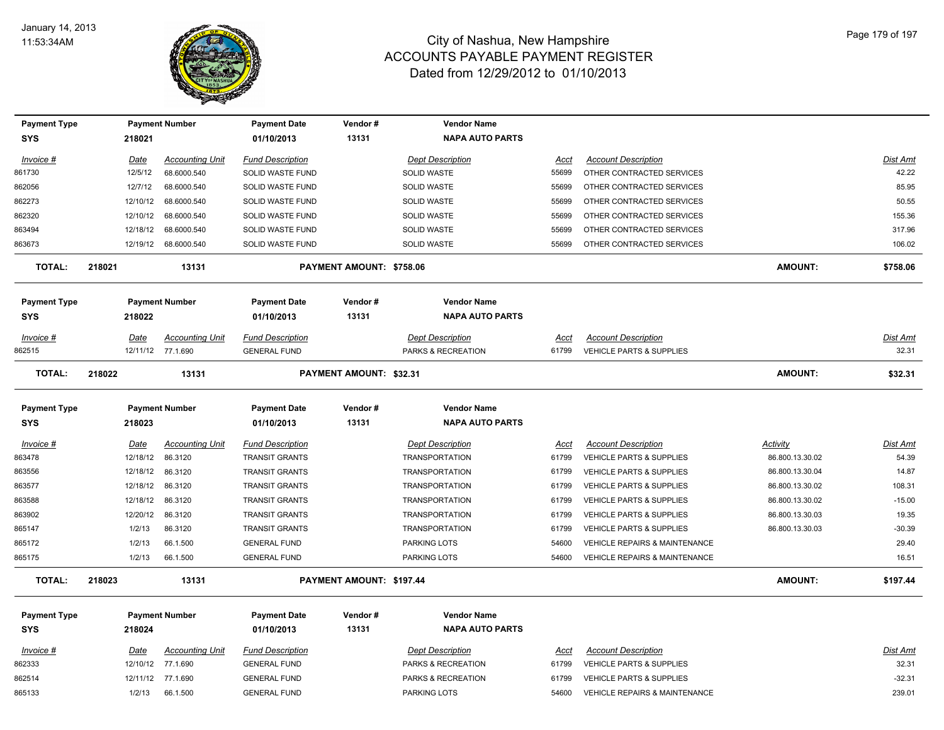

| <b>Payment Type</b> |             | <b>Payment Number</b>  | <b>Payment Date</b>     | Vendor#                        | <b>Vendor Name</b>      |             |                                          |                 |                 |
|---------------------|-------------|------------------------|-------------------------|--------------------------------|-------------------------|-------------|------------------------------------------|-----------------|-----------------|
| SYS                 | 218021      |                        | 01/10/2013              | 13131                          | <b>NAPA AUTO PARTS</b>  |             |                                          |                 |                 |
| Invoice #           | Date        | <b>Accounting Unit</b> | <b>Fund Description</b> |                                | <b>Dept Description</b> | Acct        | <b>Account Description</b>               |                 | Dist Amt        |
| 861730              | 12/5/12     | 68.6000.540            | SOLID WASTE FUND        |                                | <b>SOLID WASTE</b>      | 55699       | OTHER CONTRACTED SERVICES                |                 | 42.22           |
| 862056              | 12/7/12     | 68.6000.540            | SOLID WASTE FUND        |                                | SOLID WASTE             | 55699       | OTHER CONTRACTED SERVICES                |                 | 85.95           |
| 862273              | 12/10/12    | 68.6000.540            | SOLID WASTE FUND        |                                | <b>SOLID WASTE</b>      | 55699       | OTHER CONTRACTED SERVICES                |                 | 50.55           |
| 862320              | 12/10/12    | 68.6000.540            | SOLID WASTE FUND        |                                | <b>SOLID WASTE</b>      | 55699       | OTHER CONTRACTED SERVICES                |                 | 155.36          |
| 863494              | 12/18/12    | 68.6000.540            | <b>SOLID WASTE FUND</b> |                                | <b>SOLID WASTE</b>      | 55699       | OTHER CONTRACTED SERVICES                |                 | 317.96          |
| 863673              | 12/19/12    | 68.6000.540            | SOLID WASTE FUND        |                                | <b>SOLID WASTE</b>      | 55699       | OTHER CONTRACTED SERVICES                |                 | 106.02          |
| <b>TOTAL:</b>       | 218021      | 13131                  |                         | PAYMENT AMOUNT: \$758.06       |                         |             |                                          | <b>AMOUNT:</b>  | \$758.06        |
| <b>Payment Type</b> |             | <b>Payment Number</b>  | <b>Payment Date</b>     | Vendor#                        | <b>Vendor Name</b>      |             |                                          |                 |                 |
| SYS                 | 218022      |                        | 01/10/2013              | 13131                          | <b>NAPA AUTO PARTS</b>  |             |                                          |                 |                 |
| Invoice #           | Date        | <b>Accounting Unit</b> | <b>Fund Description</b> |                                | <b>Dept Description</b> | Acct        | <b>Account Description</b>               |                 | Dist Amt        |
| 862515              | 12/11/12    | 77.1.690               | <b>GENERAL FUND</b>     |                                | PARKS & RECREATION      | 61799       | <b>VEHICLE PARTS &amp; SUPPLIES</b>      |                 | 32.31           |
| <b>TOTAL:</b>       | 218022      | 13131                  |                         | <b>PAYMENT AMOUNT: \$32.31</b> |                         |             |                                          | <b>AMOUNT:</b>  | \$32.31         |
| <b>Payment Type</b> |             | <b>Payment Number</b>  | <b>Payment Date</b>     | Vendor#                        | <b>Vendor Name</b>      |             |                                          |                 |                 |
| SYS                 | 218023      |                        | 01/10/2013              | 13131                          | <b>NAPA AUTO PARTS</b>  |             |                                          |                 |                 |
| Invoice #           | Date        | <b>Accounting Unit</b> | <b>Fund Description</b> |                                | <b>Dept Description</b> | Acct        | <b>Account Description</b>               | Activity        | Dist Amt        |
| 863478              | 12/18/12    | 86.3120                | <b>TRANSIT GRANTS</b>   |                                | <b>TRANSPORTATION</b>   | 61799       | VEHICLE PARTS & SUPPLIES                 | 86.800.13.30.02 | 54.39           |
| 863556              | 12/18/12    | 86.3120                | <b>TRANSIT GRANTS</b>   |                                | <b>TRANSPORTATION</b>   | 61799       | <b>VEHICLE PARTS &amp; SUPPLIES</b>      | 86.800.13.30.04 | 14.87           |
| 863577              | 12/18/12    | 86.3120                | <b>TRANSIT GRANTS</b>   |                                | <b>TRANSPORTATION</b>   | 61799       | VEHICLE PARTS & SUPPLIES                 | 86.800.13.30.02 | 108.31          |
| 863588              | 12/18/12    | 86.3120                | <b>TRANSIT GRANTS</b>   |                                | <b>TRANSPORTATION</b>   | 61799       | VEHICLE PARTS & SUPPLIES                 | 86.800.13.30.02 | $-15.00$        |
| 863902              | 12/20/12    | 86.3120                | <b>TRANSIT GRANTS</b>   |                                | <b>TRANSPORTATION</b>   | 61799       | <b>VEHICLE PARTS &amp; SUPPLIES</b>      | 86.800.13.30.03 | 19.35           |
| 865147              | 1/2/13      | 86.3120                | <b>TRANSIT GRANTS</b>   |                                | <b>TRANSPORTATION</b>   | 61799       | VEHICLE PARTS & SUPPLIES                 | 86.800.13.30.03 | $-30.39$        |
| 865172              | 1/2/13      | 66.1.500               | <b>GENERAL FUND</b>     |                                | <b>PARKING LOTS</b>     | 54600       | <b>VEHICLE REPAIRS &amp; MAINTENANCE</b> |                 | 29.40           |
| 865175              | 1/2/13      | 66.1.500               | <b>GENERAL FUND</b>     |                                | <b>PARKING LOTS</b>     | 54600       | <b>VEHICLE REPAIRS &amp; MAINTENANCE</b> |                 | 16.51           |
| <b>TOTAL:</b>       | 218023      | 13131                  |                         | PAYMENT AMOUNT: \$197.44       |                         |             |                                          | <b>AMOUNT:</b>  | \$197.44        |
| <b>Payment Type</b> |             | <b>Payment Number</b>  | <b>Payment Date</b>     | Vendor#                        | <b>Vendor Name</b>      |             |                                          |                 |                 |
| SYS                 | 218024      |                        | 01/10/2013              | 13131                          | <b>NAPA AUTO PARTS</b>  |             |                                          |                 |                 |
| $Invoice$ #         | <u>Date</u> | <b>Accounting Unit</b> | <b>Fund Description</b> |                                | <b>Dept Description</b> | <u>Acct</u> | <b>Account Description</b>               |                 | <b>Dist Amt</b> |
| 862333              | 12/10/12    | 77.1.690               | <b>GENERAL FUND</b>     |                                | PARKS & RECREATION      | 61799       | <b>VEHICLE PARTS &amp; SUPPLIES</b>      |                 | 32.31           |
| 862514              | 12/11/12    | 77.1.690               | <b>GENERAL FUND</b>     |                                | PARKS & RECREATION      | 61799       | <b>VEHICLE PARTS &amp; SUPPLIES</b>      |                 | $-32.31$        |
| 865133              | 1/2/13      | 66.1.500               | <b>GENERAL FUND</b>     |                                | <b>PARKING LOTS</b>     | 54600       | <b>VEHICLE REPAIRS &amp; MAINTENANCE</b> |                 | 239.01          |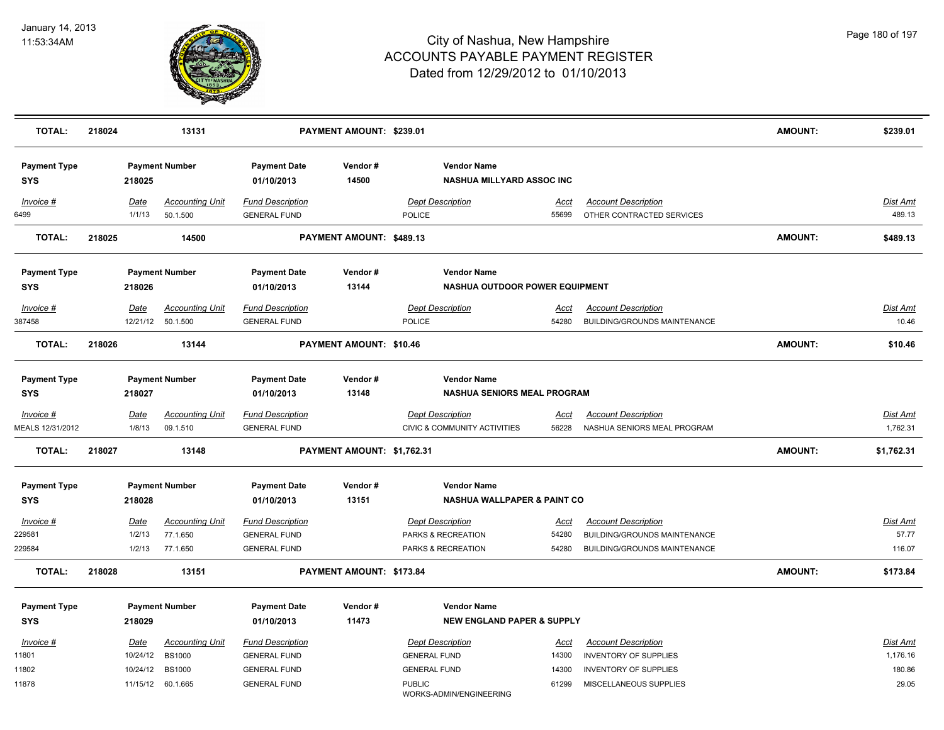

| <b>TOTAL:</b>                     | 218024         | 13131                              |                                                | PAYMENT AMOUNT: \$239.01   |                                                                    |                      |                                                           | <b>AMOUNT:</b> | \$239.01                    |
|-----------------------------------|----------------|------------------------------------|------------------------------------------------|----------------------------|--------------------------------------------------------------------|----------------------|-----------------------------------------------------------|----------------|-----------------------------|
| <b>Payment Type</b><br><b>SYS</b> | 218025         | <b>Payment Number</b>              | <b>Payment Date</b><br>01/10/2013              | Vendor#<br>14500           | <b>Vendor Name</b><br>NASHUA MILLYARD ASSOC INC                    |                      |                                                           |                |                             |
| Invoice #<br>6499                 | Date<br>1/1/13 | <b>Accounting Unit</b><br>50.1.500 | <b>Fund Description</b><br><b>GENERAL FUND</b> |                            | <b>Dept Description</b><br><b>POLICE</b>                           | Acct<br>55699        | <b>Account Description</b><br>OTHER CONTRACTED SERVICES   |                | <b>Dist Amt</b><br>489.13   |
| TOTAL:                            | 218025         | 14500                              |                                                | PAYMENT AMOUNT: \$489.13   |                                                                    |                      |                                                           | <b>AMOUNT:</b> | \$489.13                    |
| <b>Payment Type</b><br><b>SYS</b> | 218026         | <b>Payment Number</b>              | <b>Payment Date</b><br>01/10/2013              | Vendor#<br>13144           | <b>Vendor Name</b><br>NASHUA OUTDOOR POWER EQUIPMENT               |                      |                                                           |                |                             |
| Invoice #                         | Date           | <b>Accounting Unit</b>             | <b>Fund Description</b>                        |                            | <b>Dept Description</b>                                            | Acct                 | <b>Account Description</b>                                |                | <b>Dist Amt</b>             |
| 387458                            | 12/21/12       | 50.1.500                           | <b>GENERAL FUND</b>                            |                            | <b>POLICE</b>                                                      | 54280                | <b>BUILDING/GROUNDS MAINTENANCE</b>                       |                | 10.46                       |
| TOTAL:                            | 218026         | 13144                              |                                                | PAYMENT AMOUNT: \$10.46    |                                                                    |                      |                                                           | <b>AMOUNT:</b> | \$10.46                     |
| <b>Payment Type</b><br><b>SYS</b> | 218027         | <b>Payment Number</b>              | <b>Payment Date</b><br>01/10/2013              | Vendor#<br>13148           | <b>Vendor Name</b><br><b>NASHUA SENIORS MEAL PROGRAM</b>           |                      |                                                           |                |                             |
| $Invoice$ #<br>MEALS 12/31/2012   | Date<br>1/8/13 | <b>Accounting Unit</b><br>09.1.510 | <b>Fund Description</b><br><b>GENERAL FUND</b> |                            | <b>Dept Description</b><br><b>CIVIC &amp; COMMUNITY ACTIVITIES</b> | <u>Acct</u><br>56228 | <b>Account Description</b><br>NASHUA SENIORS MEAL PROGRAM |                | <b>Dist Amt</b><br>1,762.31 |
| <b>TOTAL:</b>                     | 218027         | 13148                              |                                                | PAYMENT AMOUNT: \$1,762.31 |                                                                    |                      |                                                           | <b>AMOUNT:</b> | \$1,762.31                  |
| <b>Payment Type</b><br><b>SYS</b> | 218028         | <b>Payment Number</b>              | <b>Payment Date</b><br>01/10/2013              | Vendor#<br>13151           | <b>Vendor Name</b><br><b>NASHUA WALLPAPER &amp; PAINT CO</b>       |                      |                                                           |                |                             |
| Invoice #                         | Date           | <b>Accounting Unit</b>             | <b>Fund Description</b>                        |                            | <b>Dept Description</b>                                            | Acct                 | <b>Account Description</b>                                |                | Dist Amt                    |
| 229581                            | 1/2/13         | 77.1.650                           | <b>GENERAL FUND</b>                            |                            | PARKS & RECREATION                                                 | 54280                | BUILDING/GROUNDS MAINTENANCE                              |                | 57.77                       |
| 229584                            | 1/2/13         | 77.1.650                           | <b>GENERAL FUND</b>                            |                            | PARKS & RECREATION                                                 | 54280                | BUILDING/GROUNDS MAINTENANCE                              |                | 116.07                      |
| <b>TOTAL:</b>                     | 218028         | 13151                              |                                                | PAYMENT AMOUNT: \$173.84   |                                                                    |                      |                                                           | <b>AMOUNT:</b> | \$173.84                    |
| <b>Payment Type</b>               |                | <b>Payment Number</b>              | <b>Payment Date</b>                            | Vendor#                    | <b>Vendor Name</b>                                                 |                      |                                                           |                |                             |
| <b>SYS</b>                        | 218029         |                                    | 01/10/2013                                     | 11473                      | <b>NEW ENGLAND PAPER &amp; SUPPLY</b>                              |                      |                                                           |                |                             |
| Invoice #                         | <u>Date</u>    | <b>Accounting Unit</b>             | <b>Fund Description</b>                        |                            | <b>Dept Description</b>                                            | Acct                 | <b>Account Description</b>                                |                | <b>Dist Amt</b>             |
| 11801                             | 10/24/12       | <b>BS1000</b>                      | <b>GENERAL FUND</b>                            |                            | <b>GENERAL FUND</b>                                                | 14300                | <b>INVENTORY OF SUPPLIES</b>                              |                | 1,176.16                    |
| 11802                             | 10/24/12       | <b>BS1000</b>                      | <b>GENERAL FUND</b>                            |                            | <b>GENERAL FUND</b>                                                | 14300                | <b>INVENTORY OF SUPPLIES</b>                              |                | 180.86                      |
| 11878                             | 11/15/12       | 60.1.665                           | <b>GENERAL FUND</b>                            |                            | <b>PUBLIC</b><br>WORKS-ADMIN/ENGINEERING                           | 61299                | MISCELLANEOUS SUPPLIES                                    |                | 29.05                       |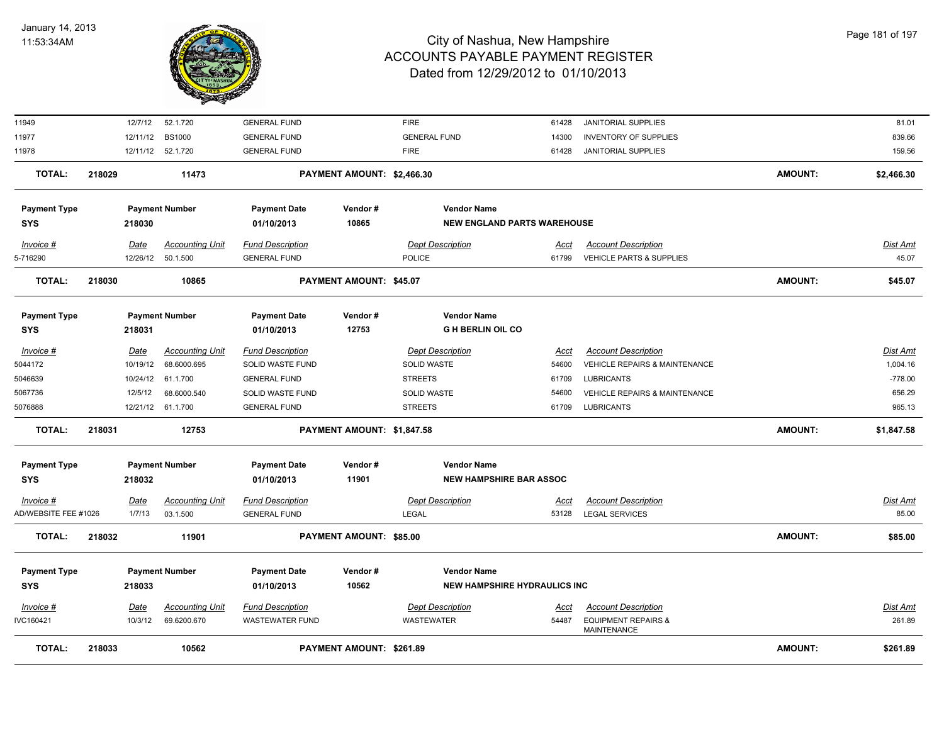

| <b>TOTAL:</b>                       | 218033                | 10562                                 |                                                    | PAYMENT AMOUNT: \$261.89   |                                                           |                      |                                                                        | <b>AMOUNT:</b> | \$261.89                 |
|-------------------------------------|-----------------------|---------------------------------------|----------------------------------------------------|----------------------------|-----------------------------------------------------------|----------------------|------------------------------------------------------------------------|----------------|--------------------------|
| IVC160421                           | 10/3/12               | 69.6200.670                           | <b>WASTEWATER FUND</b>                             |                            | WASTEWATER                                                | 54487                | <b>EQUIPMENT REPAIRS &amp;</b><br>MAINTENANCE                          |                | 261.89                   |
| <b>SYS</b><br>Invoice #             | 218033<br><u>Date</u> | <b>Accounting Unit</b>                | 01/10/2013<br><b>Fund Description</b>              |                            | <b>Dept Description</b>                                   | <u>Acct</u>          | <b>Account Description</b>                                             |                | <u>Dist Amt</u>          |
| <b>Payment Type</b>                 |                       | <b>Payment Number</b>                 | <b>Payment Date</b>                                | Vendor#<br>10562           | <b>Vendor Name</b><br><b>NEW HAMPSHIRE HYDRAULICS INC</b> |                      |                                                                        |                |                          |
| <b>TOTAL:</b>                       | 218032                | 11901                                 |                                                    | PAYMENT AMOUNT: \$85.00    |                                                           |                      |                                                                        | <b>AMOUNT:</b> | \$85.00                  |
| $Invoice$ #<br>AD/WEBSITE FEE #1026 | <u>Date</u><br>1/7/13 | <b>Accounting Unit</b><br>03.1.500    | <b>Fund Description</b><br><b>GENERAL FUND</b>     |                            | <b>Dept Description</b><br>LEGAL                          | <u>Acct</u><br>53128 | <b>Account Description</b><br><b>LEGAL SERVICES</b>                    |                | <u>Dist Amt</u><br>85.00 |
|                                     |                       |                                       |                                                    |                            |                                                           |                      |                                                                        |                |                          |
| <b>Payment Type</b><br><b>SYS</b>   | 218032                | <b>Payment Number</b>                 | <b>Payment Date</b><br>01/10/2013                  | Vendor#<br>11901           | <b>Vendor Name</b><br><b>NEW HAMPSHIRE BAR ASSOC</b>      |                      |                                                                        |                |                          |
| <b>TOTAL:</b>                       | 218031                | 12753                                 |                                                    | PAYMENT AMOUNT: \$1,847.58 |                                                           |                      |                                                                        | <b>AMOUNT:</b> | \$1,847.58               |
| 5076888                             |                       | 12/21/12 61.1.700                     | <b>GENERAL FUND</b>                                |                            | <b>STREETS</b>                                            | 61709                | <b>LUBRICANTS</b>                                                      |                | 965.13                   |
| 5067736                             | 12/5/12               | 68.6000.540                           | <b>SOLID WASTE FUND</b>                            |                            | SOLID WASTE                                               | 54600                | <b>VEHICLE REPAIRS &amp; MAINTENANCE</b>                               |                | 656.29                   |
| 5046639                             |                       | 10/24/12 61.1.700                     | <b>GENERAL FUND</b>                                |                            | <b>STREETS</b>                                            | 61709                | <b>LUBRICANTS</b>                                                      |                | $-778.00$                |
| Invoice #<br>5044172                | Date<br>10/19/12      | <b>Accounting Unit</b><br>68.6000.695 | <b>Fund Description</b><br><b>SOLID WASTE FUND</b> |                            | <b>Dept Description</b><br><b>SOLID WASTE</b>             | Acct<br>54600        | <b>Account Description</b><br><b>VEHICLE REPAIRS &amp; MAINTENANCE</b> |                | Dist Amt<br>1,004.16     |
| <b>Payment Type</b><br><b>SYS</b>   | 218031                | <b>Payment Number</b>                 | <b>Payment Date</b><br>01/10/2013                  | Vendor#<br>12753           | <b>Vendor Name</b><br><b>G H BERLIN OIL CO</b>            |                      |                                                                        |                |                          |
| <b>TOTAL:</b>                       | 218030                | 10865                                 |                                                    | PAYMENT AMOUNT: \$45.07    |                                                           |                      |                                                                        | <b>AMOUNT:</b> | \$45.07                  |
| 5-716290                            |                       | 12/26/12 50.1.500                     | <b>GENERAL FUND</b>                                |                            | <b>POLICE</b>                                             | 61799                | VEHICLE PARTS & SUPPLIES                                               |                | 45.07                    |
| $Invoice$ #                         | <u>Date</u>           | <b>Accounting Unit</b>                | <b>Fund Description</b>                            |                            | <b>Dept Description</b>                                   | Acct                 | <b>Account Description</b>                                             |                | <u>Dist Amt</u>          |
| <b>Payment Type</b><br><b>SYS</b>   | 218030                | <b>Payment Number</b>                 | <b>Payment Date</b><br>01/10/2013                  | Vendor#<br>10865           | <b>Vendor Name</b><br><b>NEW ENGLAND PARTS WAREHOUSE</b>  |                      |                                                                        |                |                          |
|                                     |                       |                                       |                                                    |                            |                                                           |                      |                                                                        |                |                          |
| TOTAL:                              | 218029                | 11473                                 |                                                    | PAYMENT AMOUNT: \$2,466.30 |                                                           |                      |                                                                        | <b>AMOUNT:</b> | \$2,466.30               |
| 11978                               |                       | 12/11/12 52.1.720                     | <b>GENERAL FUND</b>                                |                            | <b>FIRE</b>                                               | 61428                | JANITORIAL SUPPLIES                                                    |                | 159.56                   |
| 11977                               | 12/11/12              | <b>BS1000</b>                         | <b>GENERAL FUND</b>                                |                            | <b>GENERAL FUND</b>                                       | 14300                | <b>INVENTORY OF SUPPLIES</b>                                           |                | 839.66                   |
| 11949                               | 12/7/12               | 52.1.720                              | <b>GENERAL FUND</b>                                |                            | <b>FIRE</b>                                               | 61428                | <b>JANITORIAL SUPPLIES</b>                                             |                | 81.01                    |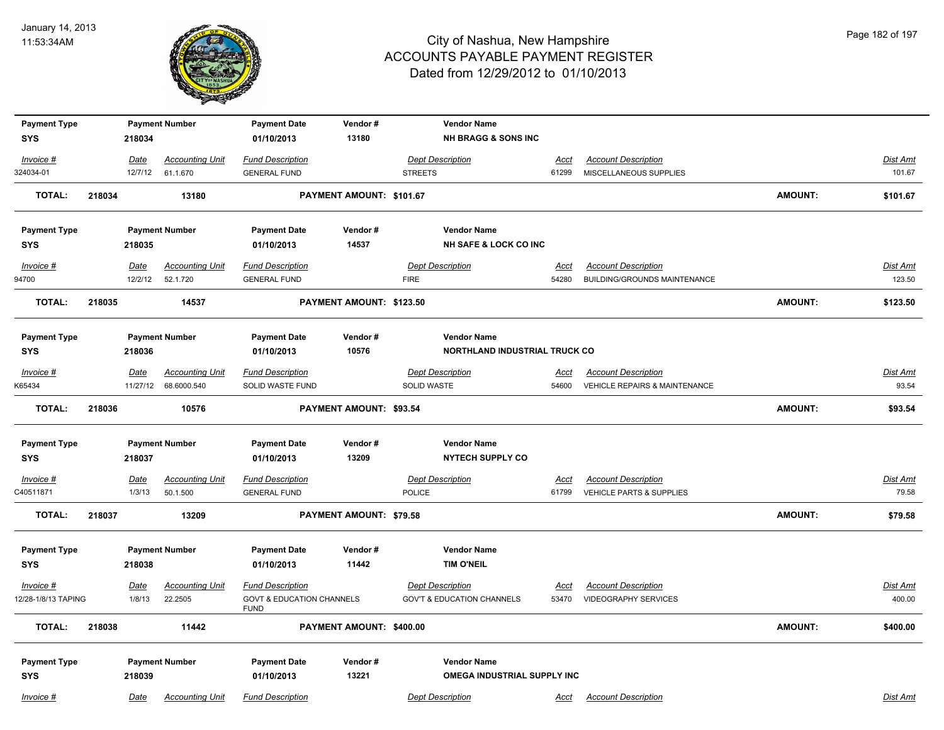

| <b>Payment Type</b> |        |             | <b>Payment Number</b>  | <b>Payment Date</b>                                 | Vendor#                        |                    | <b>Vendor Name</b>                    |             |                                          |                |                 |
|---------------------|--------|-------------|------------------------|-----------------------------------------------------|--------------------------------|--------------------|---------------------------------------|-------------|------------------------------------------|----------------|-----------------|
| <b>SYS</b>          |        | 218034      |                        | 01/10/2013                                          | 13180                          |                    | <b>NH BRAGG &amp; SONS INC</b>        |             |                                          |                |                 |
| Invoice #           |        | Date        | <b>Accounting Unit</b> | <b>Fund Description</b>                             |                                |                    | <b>Dept Description</b>               | Acct        | <b>Account Description</b>               |                | Dist Amt        |
| 324034-01           |        | 12/7/12     | 61.1.670               | <b>GENERAL FUND</b>                                 |                                | <b>STREETS</b>     |                                       | 61299       | MISCELLANEOUS SUPPLIES                   |                | 101.67          |
| <b>TOTAL:</b>       | 218034 |             | 13180                  |                                                     | PAYMENT AMOUNT: \$101.67       |                    |                                       |             |                                          | <b>AMOUNT:</b> | \$101.67        |
| <b>Payment Type</b> |        |             | <b>Payment Number</b>  | <b>Payment Date</b>                                 | Vendor#                        |                    | <b>Vendor Name</b>                    |             |                                          |                |                 |
| <b>SYS</b>          |        | 218035      |                        | 01/10/2013                                          | 14537                          |                    | <b>NH SAFE &amp; LOCK CO INC</b>      |             |                                          |                |                 |
| Invoice #           |        | Date        | <b>Accounting Unit</b> | <b>Fund Description</b>                             |                                |                    | <b>Dept Description</b>               | <u>Acct</u> | <b>Account Description</b>               |                | <b>Dist Amt</b> |
| 94700               |        | 12/2/12     | 52.1.720               | <b>GENERAL FUND</b>                                 |                                | <b>FIRE</b>        |                                       | 54280       | BUILDING/GROUNDS MAINTENANCE             |                | 123.50          |
| <b>TOTAL:</b>       | 218035 |             | 14537                  |                                                     | PAYMENT AMOUNT: \$123.50       |                    |                                       |             |                                          | <b>AMOUNT:</b> | \$123.50        |
| <b>Payment Type</b> |        |             | <b>Payment Number</b>  | <b>Payment Date</b>                                 | Vendor#                        |                    | <b>Vendor Name</b>                    |             |                                          |                |                 |
| <b>SYS</b>          |        | 218036      |                        | 01/10/2013                                          | 10576                          |                    | NORTHLAND INDUSTRIAL TRUCK CO         |             |                                          |                |                 |
| Invoice #           |        | Date        | <b>Accounting Unit</b> | <b>Fund Description</b>                             |                                |                    | <b>Dept Description</b>               | Acct        | <b>Account Description</b>               |                | <b>Dist Amt</b> |
| K65434              |        | 11/27/12    | 68.6000.540            | SOLID WASTE FUND                                    |                                | <b>SOLID WASTE</b> |                                       | 54600       | <b>VEHICLE REPAIRS &amp; MAINTENANCE</b> |                | 93.54           |
| TOTAL:              | 218036 |             | 10576                  |                                                     | <b>PAYMENT AMOUNT: \$93.54</b> |                    |                                       |             |                                          | <b>AMOUNT:</b> | \$93.54         |
| <b>Payment Type</b> |        |             | <b>Payment Number</b>  | <b>Payment Date</b>                                 | Vendor#                        |                    | <b>Vendor Name</b>                    |             |                                          |                |                 |
| <b>SYS</b>          |        | 218037      |                        | 01/10/2013                                          | 13209                          |                    | <b>NYTECH SUPPLY CO</b>               |             |                                          |                |                 |
| Invoice #           |        | <b>Date</b> | <b>Accounting Unit</b> | <b>Fund Description</b>                             |                                |                    | <b>Dept Description</b>               | <u>Acct</u> | <b>Account Description</b>               |                | <b>Dist Amt</b> |
| C40511871           |        | 1/3/13      | 50.1.500               | <b>GENERAL FUND</b>                                 |                                | <b>POLICE</b>      |                                       | 61799       | VEHICLE PARTS & SUPPLIES                 |                | 79.58           |
| <b>TOTAL:</b>       | 218037 |             | 13209                  |                                                     | PAYMENT AMOUNT: \$79.58        |                    |                                       |             |                                          | <b>AMOUNT:</b> | \$79.58         |
| <b>Payment Type</b> |        |             | <b>Payment Number</b>  | <b>Payment Date</b>                                 | Vendor#                        |                    | <b>Vendor Name</b>                    |             |                                          |                |                 |
| <b>SYS</b>          |        | 218038      |                        | 01/10/2013                                          | 11442                          |                    | <b>TIM O'NEIL</b>                     |             |                                          |                |                 |
| Invoice #           |        | Date        | <b>Accounting Unit</b> | <b>Fund Description</b>                             |                                |                    | <b>Dept Description</b>               | Acct        | <b>Account Description</b>               |                | Dist Amt        |
| 12/28-1/8/13 TAPING |        | 1/8/13      | 22.2505                | <b>GOVT &amp; EDUCATION CHANNELS</b><br><b>FUND</b> |                                |                    | <b>GOV'T &amp; EDUCATION CHANNELS</b> | 53470       | <b>VIDEOGRAPHY SERVICES</b>              |                | 400.00          |
| <b>TOTAL:</b>       | 218038 |             | 11442                  |                                                     | PAYMENT AMOUNT: \$400.00       |                    |                                       |             |                                          | <b>AMOUNT:</b> | \$400.00        |
| <b>Payment Type</b> |        |             | <b>Payment Number</b>  | <b>Payment Date</b>                                 | Vendor#                        |                    | <b>Vendor Name</b>                    |             |                                          |                |                 |
| <b>SYS</b>          |        | 218039      |                        | 01/10/2013                                          | 13221                          |                    | OMEGA INDUSTRIAL SUPPLY INC           |             |                                          |                |                 |
| Invoice #           |        | Date        | <b>Accounting Unit</b> | <b>Fund Description</b>                             |                                |                    | <b>Dept Description</b>               | Acct        | <b>Account Description</b>               |                | Dist Amt        |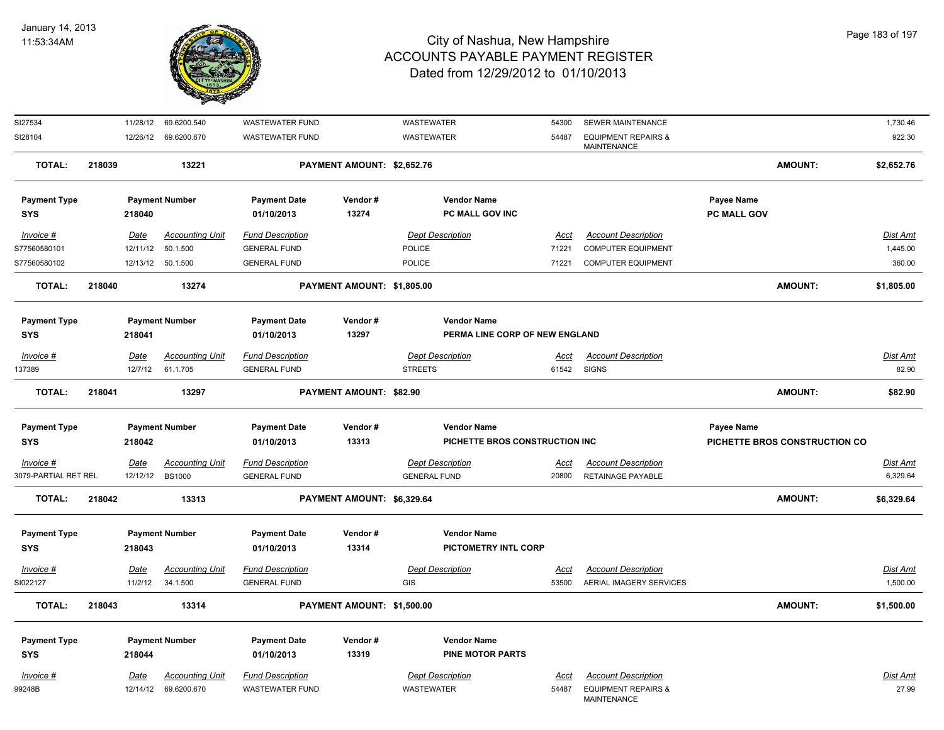

| SI27534              |        |             | 11/28/12 69.6200.540                           | <b>WASTEWATER FUND</b>                            |                            | WASTEWATER                            |                                | 54300         | SEWER MAINTENANCE                                            |             |                               | 1,730.46                 |
|----------------------|--------|-------------|------------------------------------------------|---------------------------------------------------|----------------------------|---------------------------------------|--------------------------------|---------------|--------------------------------------------------------------|-------------|-------------------------------|--------------------------|
| SI28104              |        |             | 12/26/12 69.6200.670                           | <b>WASTEWATER FUND</b>                            |                            | WASTEWATER                            |                                | 54487         | <b>EQUIPMENT REPAIRS &amp;</b><br>MAINTENANCE                |             |                               | 922.30                   |
| <b>TOTAL:</b>        | 218039 |             | 13221                                          |                                                   | PAYMENT AMOUNT: \$2,652.76 |                                       |                                |               |                                                              |             | <b>AMOUNT:</b>                | \$2,652.76               |
| <b>Payment Type</b>  |        |             | <b>Payment Number</b>                          | <b>Payment Date</b>                               | Vendor#                    |                                       | <b>Vendor Name</b>             |               |                                                              | Payee Name  |                               |                          |
| <b>SYS</b>           |        | 218040      |                                                | 01/10/2013                                        | 13274                      |                                       | PC MALL GOV INC                |               |                                                              | PC MALL GOV |                               |                          |
| $Invoice$ #          |        | <u>Date</u> | <b>Accounting Unit</b>                         | <b>Fund Description</b>                           |                            | <b>Dept Description</b>               |                                | <u>Acct</u>   | <b>Account Description</b>                                   |             |                               | Dist Amt                 |
| S77560580101         |        | 12/11/12    | 50.1.500                                       | <b>GENERAL FUND</b>                               |                            | <b>POLICE</b>                         |                                | 71221         | <b>COMPUTER EQUIPMENT</b>                                    |             |                               | 1,445.00                 |
| S77560580102         |        |             | 12/13/12 50.1.500                              | <b>GENERAL FUND</b>                               |                            | <b>POLICE</b>                         |                                | 71221         | <b>COMPUTER EQUIPMENT</b>                                    |             |                               | 360.00                   |
| <b>TOTAL:</b>        | 218040 |             | 13274                                          |                                                   | PAYMENT AMOUNT: \$1,805.00 |                                       |                                |               |                                                              |             | <b>AMOUNT:</b>                | \$1,805.00               |
| <b>Payment Type</b>  |        |             | <b>Payment Number</b>                          | <b>Payment Date</b>                               | Vendor#                    |                                       | <b>Vendor Name</b>             |               |                                                              |             |                               |                          |
| <b>SYS</b>           |        | 218041      |                                                | 01/10/2013                                        | 13297                      |                                       | PERMA LINE CORP OF NEW ENGLAND |               |                                                              |             |                               |                          |
| $Invoice$ #          |        | <u>Date</u> | <b>Accounting Unit</b>                         | <b>Fund Description</b>                           |                            | <b>Dept Description</b>               |                                | <u>Acct</u>   | <b>Account Description</b>                                   |             |                               | <b>Dist Amt</b>          |
| 137389               |        | 12/7/12     | 61.1.705                                       | <b>GENERAL FUND</b>                               |                            | <b>STREETS</b>                        |                                | 61542         | <b>SIGNS</b>                                                 |             |                               | 82.90                    |
| <b>TOTAL:</b>        | 218041 |             | 13297                                          |                                                   | PAYMENT AMOUNT: \$82.90    |                                       |                                |               |                                                              |             | <b>AMOUNT:</b>                | \$82.90                  |
| <b>Payment Type</b>  |        |             | <b>Payment Number</b>                          | <b>Payment Date</b>                               | Vendor#                    |                                       | <b>Vendor Name</b>             |               |                                                              | Payee Name  |                               |                          |
| <b>SYS</b>           |        | 218042      |                                                | 01/10/2013                                        | 13313                      |                                       | PICHETTE BROS CONSTRUCTION INC |               |                                                              |             | PICHETTE BROS CONSTRUCTION CO |                          |
| $Invoice$ #          |        | Date        | <b>Accounting Unit</b>                         | <b>Fund Description</b>                           |                            | <b>Dept Description</b>               |                                | <u>Acct</u>   | <b>Account Description</b>                                   |             |                               | Dist Amt                 |
| 3079-PARTIAL RET REL |        | 12/12/12    | <b>BS1000</b>                                  | <b>GENERAL FUND</b>                               |                            | <b>GENERAL FUND</b>                   |                                | 20800         | RETAINAGE PAYABLE                                            |             |                               | 6,329.64                 |
|                      |        |             |                                                |                                                   |                            |                                       |                                |               |                                                              |             |                               |                          |
| <b>TOTAL:</b>        | 218042 |             | 13313                                          |                                                   | PAYMENT AMOUNT: \$6,329.64 |                                       |                                |               |                                                              |             | <b>AMOUNT:</b>                | \$6,329.64               |
| <b>Payment Type</b>  |        |             | <b>Payment Number</b>                          | <b>Payment Date</b>                               | Vendor#                    |                                       | <b>Vendor Name</b>             |               |                                                              |             |                               |                          |
| <b>SYS</b>           |        | 218043      |                                                | 01/10/2013                                        | 13314                      |                                       | PICTOMETRY INTL CORP           |               |                                                              |             |                               |                          |
| $Invoice$ #          |        | <u>Date</u> | <b>Accounting Unit</b>                         | <b>Fund Description</b>                           |                            | <b>Dept Description</b>               |                                | <u>Acct</u>   | <b>Account Description</b>                                   |             |                               | <b>Dist Amt</b>          |
| SI022127             |        | 11/2/12     | 34.1.500                                       | <b>GENERAL FUND</b>                               |                            | GIS                                   |                                | 53500         | AERIAL IMAGERY SERVICES                                      |             |                               | 1,500.00                 |
| <b>TOTAL:</b>        | 218043 |             | 13314                                          |                                                   | PAYMENT AMOUNT: \$1,500.00 |                                       |                                |               |                                                              |             | <b>AMOUNT:</b>                | \$1,500.00               |
| <b>Payment Type</b>  |        |             | <b>Payment Number</b>                          | <b>Payment Date</b>                               | Vendor#                    |                                       | <b>Vendor Name</b>             |               |                                                              |             |                               |                          |
| <b>SYS</b>           |        | 218044      |                                                | 01/10/2013                                        | 13319                      |                                       | <b>PINE MOTOR PARTS</b>        |               |                                                              |             |                               |                          |
|                      |        |             |                                                |                                                   |                            |                                       |                                |               |                                                              |             |                               |                          |
| Invoice #<br>99248B  |        | <u>Date</u> | <b>Accounting Unit</b><br>12/14/12 69.6200.670 | <b>Fund Description</b><br><b>WASTEWATER FUND</b> |                            | <b>Dept Description</b><br>WASTEWATER |                                | Acct<br>54487 | <b>Account Description</b><br><b>EQUIPMENT REPAIRS &amp;</b> |             |                               | <u>Dist Amt</u><br>27.99 |
|                      |        |             |                                                |                                                   |                            |                                       |                                |               | MAINTENANCE                                                  |             |                               |                          |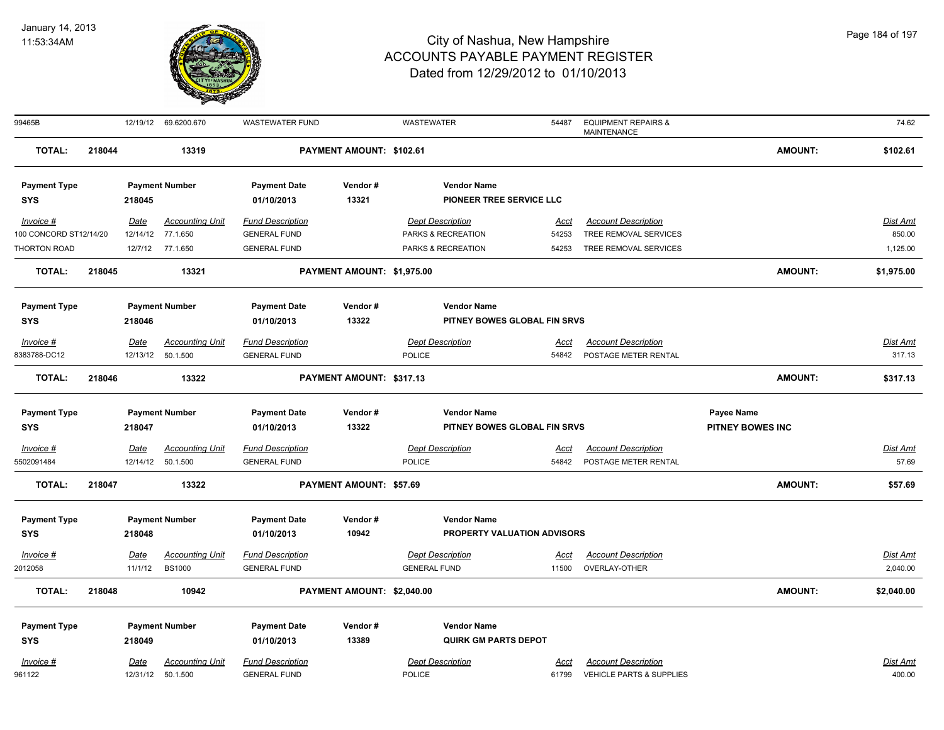

| 99465B                 |        |             | 12/19/12 69.6200.670   | <b>WASTEWATER FUND</b>  |                            | WASTEWATER              |                              | 54487       | <b>EQUIPMENT REPAIRS &amp;</b><br><b>MAINTENANCE</b> |                         | 74.62           |
|------------------------|--------|-------------|------------------------|-------------------------|----------------------------|-------------------------|------------------------------|-------------|------------------------------------------------------|-------------------------|-----------------|
| <b>TOTAL:</b>          | 218044 |             | 13319                  |                         | PAYMENT AMOUNT: \$102.61   |                         |                              |             |                                                      | <b>AMOUNT:</b>          | \$102.61        |
| <b>Payment Type</b>    |        |             | <b>Payment Number</b>  | <b>Payment Date</b>     | Vendor#                    |                         | <b>Vendor Name</b>           |             |                                                      |                         |                 |
| <b>SYS</b>             |        | 218045      |                        | 01/10/2013              | 13321                      |                         | PIONEER TREE SERVICE LLC     |             |                                                      |                         |                 |
| Invoice #              |        | <b>Date</b> | <b>Accounting Unit</b> | <b>Fund Description</b> |                            | <b>Dept Description</b> |                              | <u>Acct</u> | <b>Account Description</b>                           |                         | Dist Amt        |
| 100 CONCORD ST12/14/20 |        |             | 12/14/12 77.1.650      | <b>GENERAL FUND</b>     |                            | PARKS & RECREATION      |                              | 54253       | TREE REMOVAL SERVICES                                |                         | 850.00          |
| THORTON ROAD           |        | 12/7/12     | 77.1.650               | <b>GENERAL FUND</b>     |                            | PARKS & RECREATION      |                              | 54253       | TREE REMOVAL SERVICES                                |                         | 1,125.00        |
| <b>TOTAL:</b>          | 218045 |             | 13321                  |                         | PAYMENT AMOUNT: \$1,975.00 |                         |                              |             |                                                      | <b>AMOUNT:</b>          | \$1,975.00      |
| <b>Payment Type</b>    |        |             | <b>Payment Number</b>  | <b>Payment Date</b>     | Vendor#                    |                         | <b>Vendor Name</b>           |             |                                                      |                         |                 |
| <b>SYS</b>             |        | 218046      |                        | 01/10/2013              | 13322                      |                         | PITNEY BOWES GLOBAL FIN SRVS |             |                                                      |                         |                 |
| $Invoice$ #            |        | <b>Date</b> | <b>Accounting Unit</b> | <b>Fund Description</b> |                            | <b>Dept Description</b> |                              | <u>Acct</u> | <b>Account Description</b>                           |                         | <b>Dist Amt</b> |
| 8383788-DC12           |        |             | 12/13/12 50.1.500      | <b>GENERAL FUND</b>     |                            | POLICE                  |                              | 54842       | POSTAGE METER RENTAL                                 |                         | 317.13          |
| <b>TOTAL:</b>          | 218046 |             | 13322                  |                         | PAYMENT AMOUNT: \$317.13   |                         |                              |             |                                                      | <b>AMOUNT:</b>          | \$317.13        |
| <b>Payment Type</b>    |        |             | <b>Payment Number</b>  | <b>Payment Date</b>     | Vendor#                    |                         | <b>Vendor Name</b>           |             |                                                      | Payee Name              |                 |
| <b>SYS</b>             |        | 218047      |                        | 01/10/2013              | 13322                      |                         | PITNEY BOWES GLOBAL FIN SRVS |             |                                                      | <b>PITNEY BOWES INC</b> |                 |
| Invoice #              |        | <b>Date</b> | <b>Accounting Unit</b> | <b>Fund Description</b> |                            | <b>Dept Description</b> |                              | <u>Acct</u> | <b>Account Description</b>                           |                         | Dist Amt        |
| 5502091484             |        | 12/14/12    | 50.1.500               | <b>GENERAL FUND</b>     |                            | POLICE                  |                              | 54842       | POSTAGE METER RENTAL                                 |                         | 57.69           |
| <b>TOTAL:</b>          | 218047 |             | 13322                  |                         | PAYMENT AMOUNT: \$57.69    |                         |                              |             |                                                      | <b>AMOUNT:</b>          | \$57.69         |
| <b>Payment Type</b>    |        |             | <b>Payment Number</b>  | <b>Payment Date</b>     | Vendor#                    |                         | <b>Vendor Name</b>           |             |                                                      |                         |                 |
| <b>SYS</b>             |        | 218048      |                        | 01/10/2013              | 10942                      |                         | PROPERTY VALUATION ADVISORS  |             |                                                      |                         |                 |
| Invoice #              |        | Date        | <b>Accounting Unit</b> | <b>Fund Description</b> |                            | <b>Dept Description</b> |                              | <b>Acct</b> | <b>Account Description</b>                           |                         | <b>Dist Amt</b> |
| 2012058                |        | 11/1/12     | <b>BS1000</b>          | <b>GENERAL FUND</b>     |                            | <b>GENERAL FUND</b>     |                              | 11500       | OVERLAY-OTHER                                        |                         | 2,040.00        |
|                        |        |             |                        |                         |                            |                         |                              |             |                                                      |                         |                 |
| <b>TOTAL:</b>          | 218048 |             | 10942                  |                         | PAYMENT AMOUNT: \$2,040.00 |                         |                              |             |                                                      | <b>AMOUNT:</b>          | \$2,040.00      |
| <b>Payment Type</b>    |        |             | <b>Payment Number</b>  | <b>Payment Date</b>     | Vendor#                    |                         | <b>Vendor Name</b>           |             |                                                      |                         |                 |
| <b>SYS</b>             |        | 218049      |                        | 01/10/2013              | 13389                      |                         | <b>QUIRK GM PARTS DEPOT</b>  |             |                                                      |                         |                 |
| Invoice #              |        | <b>Date</b> | <b>Accounting Unit</b> | <b>Fund Description</b> |                            | <b>Dept Description</b> |                              | Acct        | <b>Account Description</b>                           |                         | Dist Amt        |
| 961122                 |        | 12/31/12    | 50.1.500               | <b>GENERAL FUND</b>     |                            | POLICE                  |                              | 61799       | VEHICLE PARTS & SUPPLIES                             |                         | 400.00          |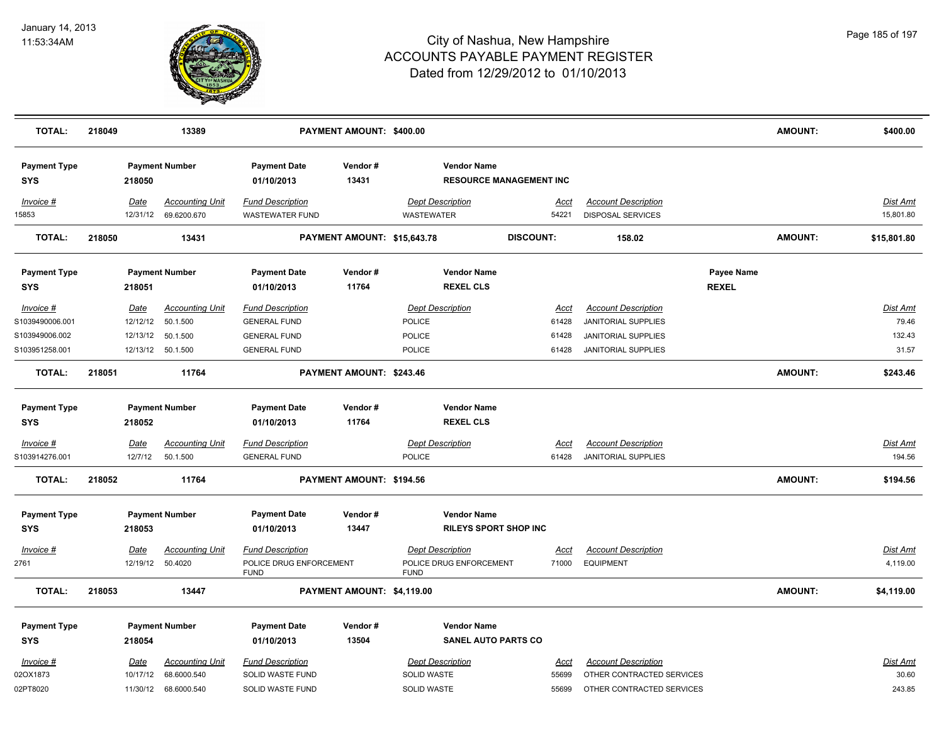

| <b>TOTAL:</b>                     | 218049           | 13389                                 |                                                   | PAYMENT AMOUNT: \$400.00    |                                                    |                                |                                                 |                            | <b>AMOUNT:</b> | \$400.00              |
|-----------------------------------|------------------|---------------------------------------|---------------------------------------------------|-----------------------------|----------------------------------------------------|--------------------------------|-------------------------------------------------|----------------------------|----------------|-----------------------|
| <b>Payment Type</b><br><b>SYS</b> | 218050           | <b>Payment Number</b>                 | <b>Payment Date</b><br>01/10/2013                 | Vendor#<br>13431            | <b>Vendor Name</b>                                 | <b>RESOURCE MANAGEMENT INC</b> |                                                 |                            |                |                       |
| Invoice #<br>15853                | Date<br>12/31/12 | <b>Accounting Unit</b><br>69.6200.670 | <b>Fund Description</b><br><b>WASTEWATER FUND</b> |                             | <b>Dept Description</b><br><b>WASTEWATER</b>       | Acct<br>54221                  | <b>Account Description</b><br>DISPOSAL SERVICES |                            |                | Dist Amt<br>15,801.80 |
| <b>TOTAL:</b>                     | 218050           | 13431                                 |                                                   | PAYMENT AMOUNT: \$15,643.78 |                                                    | <b>DISCOUNT:</b>               | 158.02                                          |                            | <b>AMOUNT:</b> | \$15,801.80           |
| <b>Payment Type</b><br><b>SYS</b> | 218051           | <b>Payment Number</b>                 | <b>Payment Date</b><br>01/10/2013                 | Vendor#<br>11764            | <b>Vendor Name</b><br><b>REXEL CLS</b>             |                                |                                                 | Payee Name<br><b>REXEL</b> |                |                       |
| Invoice #                         | Date             | <b>Accounting Unit</b>                | <b>Fund Description</b>                           |                             | <b>Dept Description</b>                            | Acct                           | <b>Account Description</b>                      |                            |                | Dist Amt              |
| S1039490006.001                   | 12/12/12         | 50.1.500                              | <b>GENERAL FUND</b>                               |                             | <b>POLICE</b>                                      | 61428                          | JANITORIAL SUPPLIES                             |                            |                | 79.46                 |
| S103949006.002                    | 12/13/12         | 50.1.500                              | <b>GENERAL FUND</b>                               |                             | <b>POLICE</b>                                      | 61428                          | <b>JANITORIAL SUPPLIES</b>                      |                            |                | 132.43                |
| S103951258.001                    | 12/13/12         | 50.1.500                              | <b>GENERAL FUND</b>                               |                             | <b>POLICE</b>                                      | 61428                          | JANITORIAL SUPPLIES                             |                            |                | 31.57                 |
| <b>TOTAL:</b>                     | 218051           | 11764                                 |                                                   | PAYMENT AMOUNT: \$243.46    |                                                    |                                |                                                 |                            | <b>AMOUNT:</b> | \$243.46              |
| <b>Payment Type</b><br><b>SYS</b> | 218052           | <b>Payment Number</b>                 | <b>Payment Date</b><br>01/10/2013                 | Vendor#<br>11764            | <b>Vendor Name</b><br><b>REXEL CLS</b>             |                                |                                                 |                            |                |                       |
| Invoice #                         | <u>Date</u>      | <b>Accounting Unit</b>                | <b>Fund Description</b>                           |                             | <b>Dept Description</b>                            | <u>Acct</u>                    | <b>Account Description</b>                      |                            |                | Dist Amt              |
| S103914276.001                    | 12/7/12          | 50.1.500                              | <b>GENERAL FUND</b>                               |                             | POLICE                                             | 61428                          | <b>JANITORIAL SUPPLIES</b>                      |                            |                | 194.56                |
| <b>TOTAL:</b>                     | 218052           | 11764                                 |                                                   | PAYMENT AMOUNT: \$194.56    |                                                    |                                |                                                 |                            | <b>AMOUNT:</b> | \$194.56              |
| <b>Payment Type</b><br><b>SYS</b> | 218053           | <b>Payment Number</b>                 | <b>Payment Date</b><br>01/10/2013                 | Vendor#<br>13447            | <b>Vendor Name</b><br><b>RILEYS SPORT SHOP INC</b> |                                |                                                 |                            |                |                       |
| Invoice #                         | Date             | <b>Accounting Unit</b>                | <b>Fund Description</b>                           |                             | <b>Dept Description</b>                            | Acct                           | <b>Account Description</b>                      |                            |                | Dist Amt              |
| 2761                              | 12/19/12         | 50.4020                               | POLICE DRUG ENFORCEMENT<br><b>FUND</b>            |                             | POLICE DRUG ENFORCEMENT<br><b>FUND</b>             | 71000                          | <b>EQUIPMENT</b>                                |                            |                | 4,119.00              |
| <b>TOTAL:</b>                     | 218053           | 13447                                 |                                                   | PAYMENT AMOUNT: \$4,119.00  |                                                    |                                |                                                 |                            | <b>AMOUNT:</b> | \$4,119.00            |
| <b>Payment Type</b><br><b>SYS</b> | 218054           | <b>Payment Number</b>                 | <b>Payment Date</b><br>01/10/2013                 | Vendor#<br>13504            | <b>Vendor Name</b><br><b>SANEL AUTO PARTS CO</b>   |                                |                                                 |                            |                |                       |
| $Invoice$ #                       | <u>Date</u>      | <b>Accounting Unit</b>                | <b>Fund Description</b>                           |                             | <b>Dept Description</b>                            | Acct                           | <b>Account Description</b>                      |                            |                | Dist Amt              |
| 02OX1873                          | 10/17/12         | 68.6000.540                           | SOLID WASTE FUND                                  |                             | <b>SOLID WASTE</b>                                 | 55699                          | OTHER CONTRACTED SERVICES                       |                            |                | 30.60                 |
| 02PT8020                          | 11/30/12         | 68.6000.540                           | SOLID WASTE FUND                                  |                             | <b>SOLID WASTE</b>                                 | 55699                          | OTHER CONTRACTED SERVICES                       |                            |                | 243.85                |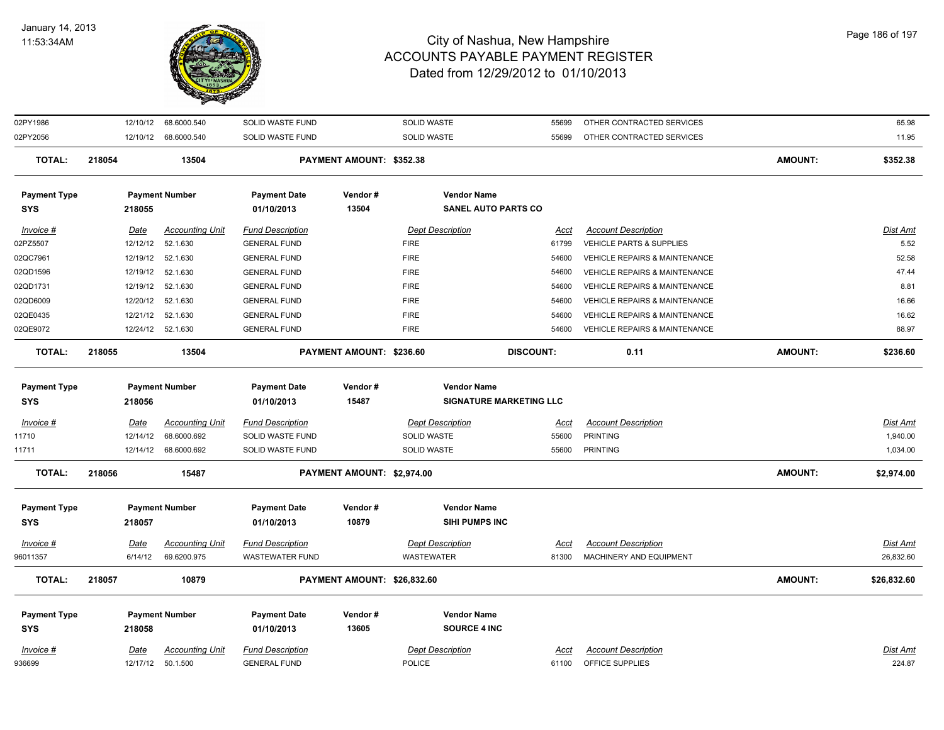

| 02PY1986            | 12/10/12    | 68.6000.540            | SOLID WASTE FUND        |                             | SOLID WASTE                    | 55699            | OTHER CONTRACTED SERVICES                |                | 65.98       |
|---------------------|-------------|------------------------|-------------------------|-----------------------------|--------------------------------|------------------|------------------------------------------|----------------|-------------|
| 02PY2056            |             | 12/10/12 68.6000.540   | SOLID WASTE FUND        |                             | SOLID WASTE                    | 55699            | OTHER CONTRACTED SERVICES                |                | 11.95       |
| <b>TOTAL:</b>       | 218054      | 13504                  |                         | PAYMENT AMOUNT: \$352.38    |                                |                  |                                          | <b>AMOUNT:</b> | \$352.38    |
| <b>Payment Type</b> |             | <b>Payment Number</b>  | <b>Payment Date</b>     | Vendor#                     | <b>Vendor Name</b>             |                  |                                          |                |             |
| <b>SYS</b>          | 218055      |                        | 01/10/2013              | 13504                       | <b>SANEL AUTO PARTS CO</b>     |                  |                                          |                |             |
| Invoice #           | <u>Date</u> | <b>Accounting Unit</b> | <b>Fund Description</b> |                             | <b>Dept Description</b>        | <u>Acct</u>      | <b>Account Description</b>               |                | Dist Amt    |
| 02PZ5507            | 12/12/12    | 52.1.630               | <b>GENERAL FUND</b>     |                             | <b>FIRE</b>                    | 61799            | VEHICLE PARTS & SUPPLIES                 |                | 5.52        |
| 02QC7961            | 12/19/12    | 52.1.630               | <b>GENERAL FUND</b>     |                             | <b>FIRE</b>                    | 54600            | VEHICLE REPAIRS & MAINTENANCE            |                | 52.58       |
| 02QD1596            |             | 12/19/12 52.1.630      | <b>GENERAL FUND</b>     |                             | <b>FIRE</b>                    | 54600            | VEHICLE REPAIRS & MAINTENANCE            |                | 47.44       |
| 02QD1731            | 12/19/12    | 52.1.630               | <b>GENERAL FUND</b>     |                             | <b>FIRE</b>                    | 54600            | VEHICLE REPAIRS & MAINTENANCE            |                | 8.81        |
| 02QD6009            | 12/20/12    | 52.1.630               | <b>GENERAL FUND</b>     |                             | <b>FIRE</b>                    | 54600            | VEHICLE REPAIRS & MAINTENANCE            |                | 16.66       |
| 02QE0435            | 12/21/12    | 52.1.630               | <b>GENERAL FUND</b>     |                             | <b>FIRE</b>                    | 54600            | VEHICLE REPAIRS & MAINTENANCE            |                | 16.62       |
| 02QE9072            |             | 12/24/12 52.1.630      | <b>GENERAL FUND</b>     |                             | <b>FIRE</b>                    | 54600            | <b>VEHICLE REPAIRS &amp; MAINTENANCE</b> |                | 88.97       |
| <b>TOTAL:</b>       | 218055      | 13504                  |                         | PAYMENT AMOUNT: \$236.60    |                                | <b>DISCOUNT:</b> | 0.11                                     | <b>AMOUNT:</b> | \$236.60    |
| <b>Payment Type</b> |             | <b>Payment Number</b>  | <b>Payment Date</b>     | Vendor#                     | <b>Vendor Name</b>             |                  |                                          |                |             |
| <b>SYS</b>          | 218056      |                        | 01/10/2013              | 15487                       | <b>SIGNATURE MARKETING LLC</b> |                  |                                          |                |             |
| Invoice #           | Date        | <b>Accounting Unit</b> | <b>Fund Description</b> |                             | <b>Dept Description</b>        | Acct             | <b>Account Description</b>               |                | Dist Amt    |
| 11710               | 12/14/12    | 68.6000.692            | SOLID WASTE FUND        |                             | SOLID WASTE                    | 55600            | <b>PRINTING</b>                          |                | 1,940.00    |
| 11711               |             | 12/14/12 68.6000.692   | SOLID WASTE FUND        |                             | SOLID WASTE                    | 55600            | <b>PRINTING</b>                          |                | 1,034.00    |
| <b>TOTAL:</b>       | 218056      | 15487                  |                         | PAYMENT AMOUNT: \$2,974.00  |                                |                  |                                          | <b>AMOUNT:</b> | \$2,974.00  |
| <b>Payment Type</b> |             | <b>Payment Number</b>  | <b>Payment Date</b>     | Vendor#                     | <b>Vendor Name</b>             |                  |                                          |                |             |
| <b>SYS</b>          | 218057      |                        | 01/10/2013              | 10879                       | SIHI PUMPS INC                 |                  |                                          |                |             |
| Invoice #           | <u>Date</u> | <b>Accounting Unit</b> | <b>Fund Description</b> |                             | <b>Dept Description</b>        | <u>Acct</u>      | <b>Account Description</b>               |                | Dist Amt    |
| 96011357            | 6/14/12     | 69.6200.975            | <b>WASTEWATER FUND</b>  |                             | WASTEWATER                     | 81300            | MACHINERY AND EQUIPMENT                  |                | 26,832.60   |
| <b>TOTAL:</b>       | 218057      | 10879                  |                         | PAYMENT AMOUNT: \$26,832.60 |                                |                  |                                          | <b>AMOUNT:</b> | \$26,832.60 |
| <b>Payment Type</b> |             | <b>Payment Number</b>  | <b>Payment Date</b>     | Vendor#                     | <b>Vendor Name</b>             |                  |                                          |                |             |
| <b>SYS</b>          | 218058      |                        | 01/10/2013              | 13605                       | <b>SOURCE 4 INC</b>            |                  |                                          |                |             |
| Invoice #           | Date        | <b>Accounting Unit</b> | <b>Fund Description</b> |                             | <b>Dept Description</b>        | Acct             | <b>Account Description</b>               |                | Dist Amt    |
| 936699              |             | 12/17/12 50.1.500      | <b>GENERAL FUND</b>     |                             | POLICE                         | 61100            | OFFICE SUPPLIES                          |                | 224.87      |

Page 186 of 197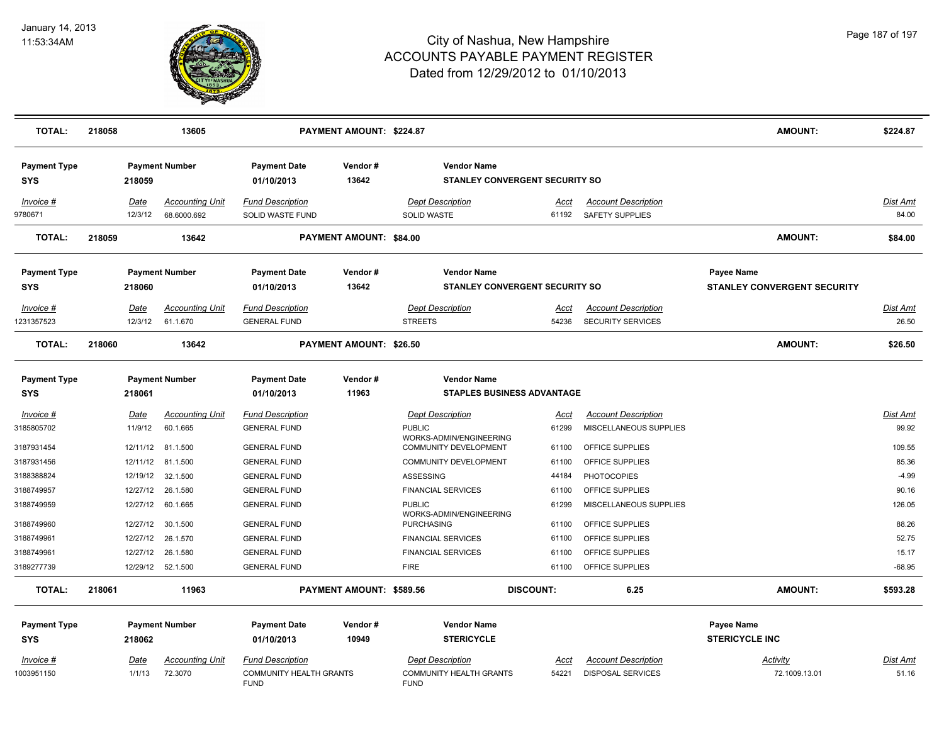

| <b>TOTAL:</b>                     | 218058                 | 13605                                 |                                                                   | PAYMENT AMOUNT: \$224.87 |                                                                     |                      |                                                      | <b>AMOUNT:</b>                                   | \$224.87                 |
|-----------------------------------|------------------------|---------------------------------------|-------------------------------------------------------------------|--------------------------|---------------------------------------------------------------------|----------------------|------------------------------------------------------|--------------------------------------------------|--------------------------|
| <b>Payment Type</b><br><b>SYS</b> | 218059                 | <b>Payment Number</b>                 | <b>Payment Date</b><br>01/10/2013                                 | Vendor#<br>13642         | <b>Vendor Name</b><br><b>STANLEY CONVERGENT SECURITY SO</b>         |                      |                                                      |                                                  |                          |
| Invoice #<br>9780671              | Date<br>12/3/12        | <b>Accounting Unit</b><br>68.6000.692 | <b>Fund Description</b><br>SOLID WASTE FUND                       |                          | <b>Dept Description</b><br>SOLID WASTE                              | Acct<br>61192        | <b>Account Description</b><br>SAFETY SUPPLIES        |                                                  | <b>Dist Amt</b><br>84.00 |
| <b>TOTAL:</b>                     | 218059                 | 13642                                 |                                                                   | PAYMENT AMOUNT: \$84.00  |                                                                     |                      |                                                      | <b>AMOUNT:</b>                                   | \$84.00                  |
| <b>Payment Type</b><br>SYS        | 218060                 | <b>Payment Number</b>                 | <b>Payment Date</b><br>01/10/2013                                 | Vendor#<br>13642         | <b>Vendor Name</b><br><b>STANLEY CONVERGENT SECURITY SO</b>         |                      |                                                      | Payee Name<br><b>STANLEY CONVERGENT SECURITY</b> |                          |
| Invoice #                         | Date                   | <b>Accounting Unit</b>                | <b>Fund Description</b>                                           |                          | <b>Dept Description</b>                                             | Acct                 | <b>Account Description</b>                           |                                                  | Dist Amt                 |
| 231357523                         | 12/3/12                | 61.1.670                              | <b>GENERAL FUND</b>                                               |                          | <b>STREETS</b>                                                      | 54236                | <b>SECURITY SERVICES</b>                             |                                                  | 26.50                    |
| <b>TOTAL:</b>                     | 218060                 | 13642                                 |                                                                   | PAYMENT AMOUNT: \$26.50  |                                                                     |                      |                                                      | <b>AMOUNT:</b>                                   | \$26.50                  |
| <b>Payment Type</b><br><b>SYS</b> | 218061                 | <b>Payment Number</b>                 | <b>Payment Date</b><br>01/10/2013                                 | Vendor#<br>11963         | <b>Vendor Name</b><br><b>STAPLES BUSINESS ADVANTAGE</b>             |                      |                                                      |                                                  |                          |
| $Invoice$ #<br>3185805702         | <b>Date</b><br>11/9/12 | <b>Accounting Unit</b><br>60.1.665    | <b>Fund Description</b><br><b>GENERAL FUND</b>                    |                          | <b>Dept Description</b><br><b>PUBLIC</b><br>WORKS-ADMIN/ENGINEERING | <u>Acct</u><br>61299 | <b>Account Description</b><br>MISCELLANEOUS SUPPLIES |                                                  | <b>Dist Amt</b><br>99.92 |
| 3187931454                        | 12/11/12               | 81.1.500                              | <b>GENERAL FUND</b>                                               |                          | <b>COMMUNITY DEVELOPMENT</b>                                        | 61100                | OFFICE SUPPLIES                                      |                                                  | 109.55                   |
| 3187931456                        | 12/11/12               | 81.1.500                              | <b>GENERAL FUND</b>                                               |                          | COMMUNITY DEVELOPMENT                                               | 61100                | OFFICE SUPPLIES                                      |                                                  | 85.36                    |
| 3188388824                        | 12/19/12               | 32.1.500                              | <b>GENERAL FUND</b>                                               |                          | ASSESSING                                                           | 44184                | <b>PHOTOCOPIES</b>                                   |                                                  | $-4.99$                  |
| 3188749957                        | 12/27/12               | 26.1.580                              | <b>GENERAL FUND</b>                                               |                          | <b>FINANCIAL SERVICES</b>                                           | 61100                | OFFICE SUPPLIES                                      |                                                  | 90.16                    |
| 3188749959                        | 12/27/12               | 60.1.665                              | <b>GENERAL FUND</b>                                               |                          | <b>PUBLIC</b><br>WORKS-ADMIN/ENGINEERING                            | 61299                | MISCELLANEOUS SUPPLIES                               |                                                  | 126.05                   |
| 3188749960                        | 12/27/12               | 30.1.500                              | <b>GENERAL FUND</b>                                               |                          | <b>PURCHASING</b>                                                   | 61100                | OFFICE SUPPLIES                                      |                                                  | 88.26                    |
| 3188749961                        |                        | 12/27/12 26.1.570                     | <b>GENERAL FUND</b>                                               |                          | <b>FINANCIAL SERVICES</b>                                           | 61100                | OFFICE SUPPLIES                                      |                                                  | 52.75                    |
| 3188749961                        | 12/27/12               | 26.1.580                              | <b>GENERAL FUND</b>                                               |                          | <b>FINANCIAL SERVICES</b>                                           | 61100                | OFFICE SUPPLIES                                      |                                                  | 15.17                    |
| 3189277739                        |                        | 12/29/12 52.1.500                     | <b>GENERAL FUND</b>                                               |                          | <b>FIRE</b>                                                         | 61100                | OFFICE SUPPLIES                                      |                                                  | $-68.95$                 |
| <b>TOTAL:</b>                     | 218061                 | 11963                                 |                                                                   | PAYMENT AMOUNT: \$589.56 |                                                                     | <b>DISCOUNT:</b>     | 6.25                                                 | <b>AMOUNT:</b>                                   | \$593.28                 |
| <b>Payment Type</b>               |                        | <b>Payment Number</b>                 | <b>Payment Date</b>                                               | Vendor#                  | <b>Vendor Name</b>                                                  |                      |                                                      | Payee Name                                       |                          |
| <b>SYS</b>                        | 218062                 |                                       | 01/10/2013                                                        | 10949                    | <b>STERICYCLE</b>                                                   |                      |                                                      | <b>STERICYCLE INC</b>                            |                          |
| Invoice #<br>1003951150           | <b>Date</b><br>1/1/13  | <b>Accounting Unit</b><br>72.3070     | <b>Fund Description</b><br>COMMUNITY HEALTH GRANTS<br><b>FUND</b> |                          | <b>Dept Description</b><br>COMMUNITY HEALTH GRANTS<br><b>FUND</b>   | Acct<br>54221        | <b>Account Description</b><br>DISPOSAL SERVICES      | <b>Activity</b><br>72.1009.13.01                 | Dist Amt<br>51.16        |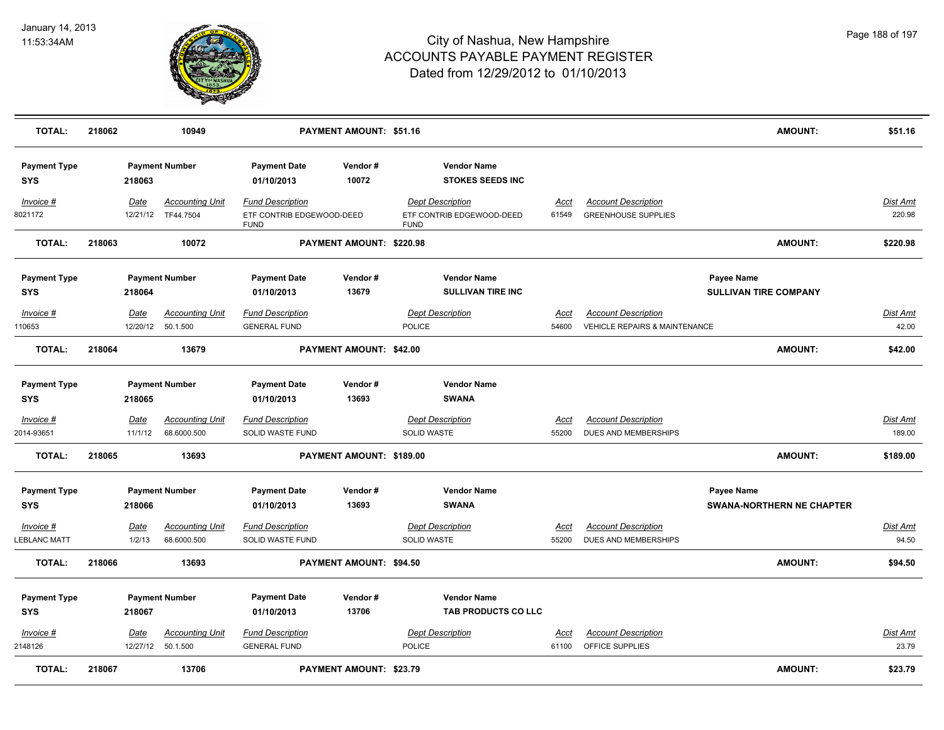

| <b>TOTAL:</b>                      | 218062           | 10949                                       |                                                                     | PAYMENT AMOUNT: \$51.16  |                                                                     |                      |                                                                        | <b>AMOUNT:</b>                                        | \$51.16                   |
|------------------------------------|------------------|---------------------------------------------|---------------------------------------------------------------------|--------------------------|---------------------------------------------------------------------|----------------------|------------------------------------------------------------------------|-------------------------------------------------------|---------------------------|
| <b>Payment Type</b><br><b>SYS</b>  | 218063           | <b>Payment Number</b>                       | <b>Payment Date</b><br>01/10/2013                                   | Vendor#<br>10072         | <b>Vendor Name</b><br><b>STOKES SEEDS INC</b>                       |                      |                                                                        |                                                       |                           |
| Invoice #<br>8021172               | Date<br>12/21/12 | <b>Accounting Unit</b><br>TF44.7504         | <b>Fund Description</b><br>ETF CONTRIB EDGEWOOD-DEED<br><b>FUND</b> |                          | <b>Dept Description</b><br>ETF CONTRIB EDGEWOOD-DEED<br><b>FUND</b> | Acct<br>61549        | <b>Account Description</b><br><b>GREENHOUSE SUPPLIES</b>               |                                                       | Dist Amt<br>220.98        |
| <b>TOTAL:</b>                      | 218063           | 10072                                       |                                                                     | PAYMENT AMOUNT: \$220.98 |                                                                     |                      |                                                                        | AMOUNT:                                               | \$220.98                  |
| <b>Payment Type</b><br><b>SYS</b>  | 218064           | <b>Payment Number</b>                       | <b>Payment Date</b><br>01/10/2013                                   | Vendor#<br>13679         | <b>Vendor Name</b><br><b>SULLIVAN TIRE INC</b>                      |                      |                                                                        | <b>Payee Name</b><br><b>SULLIVAN TIRE COMPANY</b>     |                           |
| $Invoice$ #<br>110653              | Date<br>12/20/12 | <b>Accounting Unit</b><br>50.1.500          | <b>Fund Description</b><br><b>GENERAL FUND</b>                      |                          | <b>Dept Description</b><br><b>POLICE</b>                            | <u>Acct</u><br>54600 | <b>Account Description</b><br><b>VEHICLE REPAIRS &amp; MAINTENANCE</b> |                                                       | <u>Dist Amt</u><br>42.00  |
| <b>TOTAL:</b>                      | 218064           | 13679                                       |                                                                     | PAYMENT AMOUNT: \$42.00  |                                                                     |                      |                                                                        | AMOUNT:                                               | \$42.00                   |
| <b>Payment Type</b><br><b>SYS</b>  | 218065           | <b>Payment Number</b>                       | <b>Payment Date</b><br>01/10/2013                                   | Vendor#<br>13693         | <b>Vendor Name</b><br><b>SWANA</b>                                  |                      |                                                                        |                                                       |                           |
| Invoice #<br>2014-93651            | Date<br>11/1/12  | <b>Accounting Unit</b><br>68.6000.500       | <b>Fund Description</b><br>SOLID WASTE FUND                         |                          | <b>Dept Description</b><br>SOLID WASTE                              | Acct<br>55200        | <b>Account Description</b><br>DUES AND MEMBERSHIPS                     |                                                       | <b>Dist Amt</b><br>189.00 |
| <b>TOTAL:</b>                      | 218065           | 13693                                       |                                                                     | PAYMENT AMOUNT: \$189.00 |                                                                     |                      |                                                                        | AMOUNT:                                               | \$189.00                  |
| <b>Payment Type</b><br><b>SYS</b>  | 218066           | <b>Payment Number</b>                       | <b>Payment Date</b><br>01/10/2013                                   | Vendor#<br>13693         | <b>Vendor Name</b><br><b>SWANA</b>                                  |                      |                                                                        | <b>Payee Name</b><br><b>SWANA-NORTHERN NE CHAPTER</b> |                           |
| $Invoice$ #<br><b>LEBLANC MATT</b> | Date<br>1/2/13   | <b>Accounting Unit</b><br>68.6000.500       | <b>Fund Description</b><br>SOLID WASTE FUND                         |                          | <b>Dept Description</b><br>SOLID WASTE                              | Acct<br>55200        | <b>Account Description</b><br>DUES AND MEMBERSHIPS                     |                                                       | <b>Dist Amt</b><br>94.50  |
| <b>TOTAL:</b>                      | 218066           | 13693                                       |                                                                     | PAYMENT AMOUNT: \$94.50  |                                                                     |                      |                                                                        | AMOUNT:                                               | \$94.50                   |
| <b>Payment Type</b><br><b>SYS</b>  | 218067           | <b>Payment Number</b>                       | <b>Payment Date</b><br>01/10/2013                                   | Vendor#<br>13706         | <b>Vendor Name</b><br>TAB PRODUCTS CO LLC                           |                      |                                                                        |                                                       |                           |
| Invoice #<br>2148126               | Date             | <b>Accounting Unit</b><br>12/27/12 50.1.500 | <b>Fund Description</b><br><b>GENERAL FUND</b>                      |                          | <b>Dept Description</b><br><b>POLICE</b>                            | Acct<br>61100        | <b>Account Description</b><br>OFFICE SUPPLIES                          |                                                       | Dist Amt<br>23.79         |
| <b>TOTAL:</b>                      | 218067           | 13706                                       |                                                                     | PAYMENT AMOUNT: \$23.79  |                                                                     |                      |                                                                        | AMOUNT:                                               | \$23.79                   |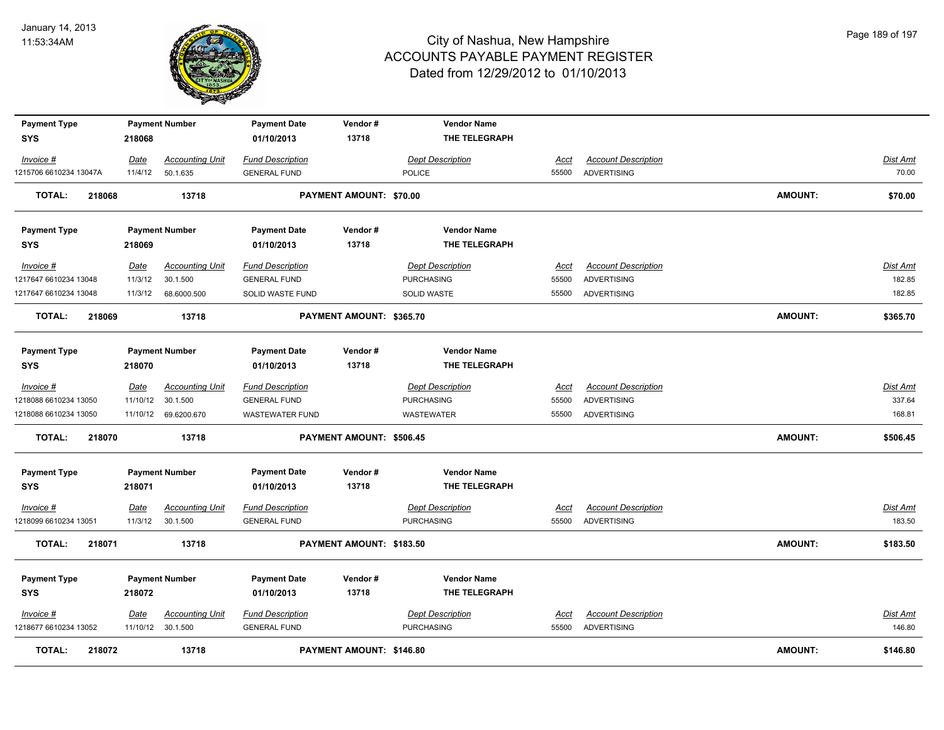

| <b>Payment Type</b>     |             | <b>Payment Number</b>  | <b>Payment Date</b>     | Vendor#                  | <b>Vendor Name</b>      |             |                            |                |                 |
|-------------------------|-------------|------------------------|-------------------------|--------------------------|-------------------------|-------------|----------------------------|----------------|-----------------|
| <b>SYS</b>              | 218068      |                        | 01/10/2013              | 13718                    | THE TELEGRAPH           |             |                            |                |                 |
| Invoice #               | Date        | <b>Accounting Unit</b> | <b>Fund Description</b> |                          | <b>Dept Description</b> | Acct        | <b>Account Description</b> |                | <b>Dist Amt</b> |
| 1215706 6610234 13047A  | 11/4/12     | 50.1.635               | <b>GENERAL FUND</b>     |                          | <b>POLICE</b>           | 55500       | ADVERTISING                |                | 70.00           |
| <b>TOTAL:</b><br>218068 |             | 13718                  |                         | PAYMENT AMOUNT: \$70.00  |                         |             |                            | <b>AMOUNT:</b> | \$70.00         |
| <b>Payment Type</b>     |             | <b>Payment Number</b>  | <b>Payment Date</b>     | Vendor#                  | <b>Vendor Name</b>      |             |                            |                |                 |
| SYS                     | 218069      |                        | 01/10/2013              | 13718                    | THE TELEGRAPH           |             |                            |                |                 |
| Invoice #               | Date        | <b>Accounting Unit</b> | <b>Fund Description</b> |                          | <b>Dept Description</b> | Acct        | <b>Account Description</b> |                | Dist Amt        |
| 1217647 6610234 13048   | 11/3/12     | 30.1.500               | <b>GENERAL FUND</b>     |                          | <b>PURCHASING</b>       | 55500       | <b>ADVERTISING</b>         |                | 182.85          |
| 1217647 6610234 13048   | 11/3/12     | 68.6000.500            | SOLID WASTE FUND        |                          | SOLID WASTE             | 55500       | <b>ADVERTISING</b>         |                | 182.85          |
| <b>TOTAL:</b><br>218069 |             | 13718                  |                         | PAYMENT AMOUNT: \$365.70 |                         |             |                            | <b>AMOUNT:</b> | \$365.70        |
| <b>Payment Type</b>     |             | <b>Payment Number</b>  | <b>Payment Date</b>     | Vendor#                  | <b>Vendor Name</b>      |             |                            |                |                 |
| <b>SYS</b>              | 218070      |                        | 01/10/2013              | 13718                    | THE TELEGRAPH           |             |                            |                |                 |
| Invoice #               | Date        | <b>Accounting Unit</b> | <b>Fund Description</b> |                          | <b>Dept Description</b> | Acct        | <b>Account Description</b> |                | Dist Amt        |
| 1218088 6610234 13050   | 11/10/12    | 30.1.500               | <b>GENERAL FUND</b>     |                          | <b>PURCHASING</b>       | 55500       | <b>ADVERTISING</b>         |                | 337.64          |
| 1218088 6610234 13050   |             | 11/10/12 69.6200.670   | WASTEWATER FUND         |                          | WASTEWATER              | 55500       | ADVERTISING                |                | 168.81          |
| <b>TOTAL:</b><br>218070 |             | 13718                  |                         | PAYMENT AMOUNT: \$506.45 |                         |             |                            | AMOUNT:        | \$506.45        |
| <b>Payment Type</b>     |             | <b>Payment Number</b>  | <b>Payment Date</b>     | Vendor#                  | <b>Vendor Name</b>      |             |                            |                |                 |
| <b>SYS</b>              | 218071      |                        | 01/10/2013              | 13718                    | THE TELEGRAPH           |             |                            |                |                 |
| $Invoice$ #             | <u>Date</u> | <b>Accounting Unit</b> | <b>Fund Description</b> |                          | <b>Dept Description</b> | <u>Acct</u> | <b>Account Description</b> |                | <u>Dist Amt</u> |
| 1218099 6610234 13051   | 11/3/12     | 30.1.500               | <b>GENERAL FUND</b>     |                          | <b>PURCHASING</b>       | 55500       | ADVERTISING                |                | 183.50          |
| <b>TOTAL:</b><br>218071 |             | 13718                  |                         | PAYMENT AMOUNT: \$183.50 |                         |             |                            | <b>AMOUNT:</b> | \$183.50        |
| <b>Payment Type</b>     |             | <b>Payment Number</b>  | <b>Payment Date</b>     | Vendor#                  | <b>Vendor Name</b>      |             |                            |                |                 |
| <b>SYS</b>              | 218072      |                        | 01/10/2013              | 13718                    | THE TELEGRAPH           |             |                            |                |                 |
| Invoice #               | <u>Date</u> | <b>Accounting Unit</b> | <b>Fund Description</b> |                          | <b>Dept Description</b> | <u>Acct</u> | <b>Account Description</b> |                | Dist Amt        |
| 1218677 6610234 13052   |             | 11/10/12 30.1.500      | <b>GENERAL FUND</b>     |                          | <b>PURCHASING</b>       | 55500       | <b>ADVERTISING</b>         |                | 146.80          |
| <b>TOTAL:</b><br>218072 |             | 13718                  |                         | PAYMENT AMOUNT: \$146.80 |                         |             |                            | <b>AMOUNT:</b> | \$146.80        |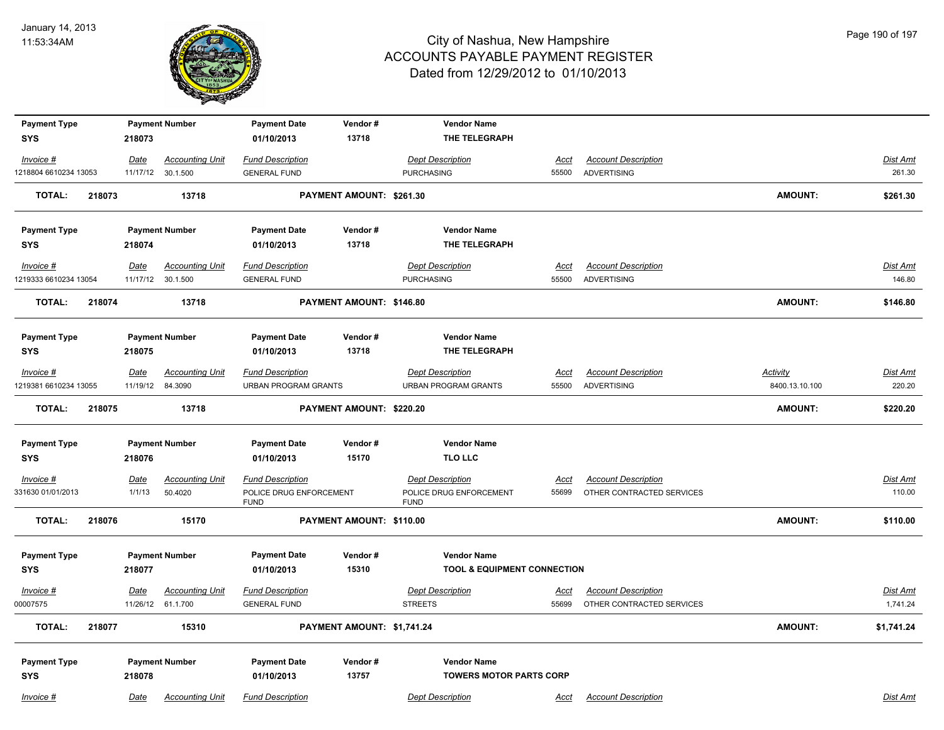

| <b>Payment Type</b>   |        |             | <b>Payment Number</b>  | <b>Payment Date</b>                    | Vendor#                    | <b>Vendor Name</b>                     |             |                            |                 |                 |
|-----------------------|--------|-------------|------------------------|----------------------------------------|----------------------------|----------------------------------------|-------------|----------------------------|-----------------|-----------------|
| <b>SYS</b>            |        | 218073      |                        | 01/10/2013                             | 13718                      | THE TELEGRAPH                          |             |                            |                 |                 |
| Invoice #             |        | Date        | <b>Accounting Unit</b> | <b>Fund Description</b>                |                            | <b>Dept Description</b>                | <b>Acct</b> | <b>Account Description</b> |                 | Dist Amt        |
| 1218804 6610234 13053 |        |             | 11/17/12 30.1.500      | <b>GENERAL FUND</b>                    |                            | <b>PURCHASING</b>                      | 55500       | ADVERTISING                |                 | 261.30          |
| <b>TOTAL:</b>         | 218073 |             | 13718                  |                                        | PAYMENT AMOUNT: \$261.30   |                                        |             |                            | <b>AMOUNT:</b>  | \$261.30        |
| <b>Payment Type</b>   |        |             | <b>Payment Number</b>  | <b>Payment Date</b>                    | Vendor#                    | <b>Vendor Name</b>                     |             |                            |                 |                 |
| <b>SYS</b>            |        | 218074      |                        | 01/10/2013                             | 13718                      | THE TELEGRAPH                          |             |                            |                 |                 |
| Invoice #             |        | <u>Date</u> | <b>Accounting Unit</b> | <b>Fund Description</b>                |                            | <b>Dept Description</b>                | <u>Acct</u> | <b>Account Description</b> |                 | <b>Dist Amt</b> |
| 1219333 6610234 13054 |        |             | 11/17/12 30.1.500      | <b>GENERAL FUND</b>                    |                            | <b>PURCHASING</b>                      | 55500       | ADVERTISING                |                 | 146.80          |
| <b>TOTAL:</b>         | 218074 |             | 13718                  |                                        | PAYMENT AMOUNT: \$146.80   |                                        |             |                            | <b>AMOUNT:</b>  | \$146.80        |
| <b>Payment Type</b>   |        |             | <b>Payment Number</b>  | <b>Payment Date</b>                    | Vendor#                    | <b>Vendor Name</b>                     |             |                            |                 |                 |
| <b>SYS</b>            |        | 218075      |                        | 01/10/2013                             | 13718                      | THE TELEGRAPH                          |             |                            |                 |                 |
| Invoice #             |        | Date        | <b>Accounting Unit</b> | <b>Fund Description</b>                |                            | <b>Dept Description</b>                | <b>Acct</b> | <b>Account Description</b> | <b>Activity</b> | <u>Dist Amt</u> |
| 1219381 6610234 13055 |        |             | 11/19/12 84.3090       | <b>URBAN PROGRAM GRANTS</b>            |                            | <b>URBAN PROGRAM GRANTS</b>            | 55500       | ADVERTISING                | 8400.13.10.100  | 220.20          |
|                       |        |             |                        |                                        |                            |                                        |             |                            |                 |                 |
| <b>TOTAL:</b>         | 218075 |             | 13718                  |                                        | PAYMENT AMOUNT: \$220.20   |                                        |             |                            | <b>AMOUNT:</b>  | \$220.20        |
| <b>Payment Type</b>   |        |             | <b>Payment Number</b>  | <b>Payment Date</b>                    | Vendor#                    | <b>Vendor Name</b>                     |             |                            |                 |                 |
| <b>SYS</b>            |        | 218076      |                        | 01/10/2013                             | 15170                      | TLO LLC                                |             |                            |                 |                 |
| $Invoice$ #           |        | <b>Date</b> | <b>Accounting Unit</b> | <b>Fund Description</b>                |                            | <b>Dept Description</b>                | <u>Acct</u> | <b>Account Description</b> |                 | <b>Dist Amt</b> |
| 331630 01/01/2013     |        | 1/1/13      | 50.4020                | POLICE DRUG ENFORCEMENT<br><b>FUND</b> |                            | POLICE DRUG ENFORCEMENT<br><b>FUND</b> | 55699       | OTHER CONTRACTED SERVICES  |                 | 110.00          |
| <b>TOTAL:</b>         | 218076 |             | 15170                  |                                        | PAYMENT AMOUNT: \$110.00   |                                        |             |                            | <b>AMOUNT:</b>  | \$110.00        |
| <b>Payment Type</b>   |        |             | <b>Payment Number</b>  | <b>Payment Date</b>                    | Vendor#                    | <b>Vendor Name</b>                     |             |                            |                 |                 |
| <b>SYS</b>            |        | 218077      |                        | 01/10/2013                             | 15310                      | <b>TOOL &amp; EQUIPMENT CONNECTION</b> |             |                            |                 |                 |
| Invoice #             |        | <b>Date</b> | <b>Accounting Unit</b> | <b>Fund Description</b>                |                            | <b>Dept Description</b>                | <u>Acct</u> | <b>Account Description</b> |                 | <b>Dist Amt</b> |
| 00007575              |        |             | 11/26/12 61.1.700      | <b>GENERAL FUND</b>                    |                            | <b>STREETS</b>                         | 55699       | OTHER CONTRACTED SERVICES  |                 | 1,741.24        |
| <b>TOTAL:</b>         | 218077 |             | 15310                  |                                        | PAYMENT AMOUNT: \$1,741.24 |                                        |             |                            | <b>AMOUNT:</b>  | \$1,741.24      |
| <b>Payment Type</b>   |        |             | <b>Payment Number</b>  | <b>Payment Date</b>                    | Vendor#                    | <b>Vendor Name</b>                     |             |                            |                 |                 |
| <b>SYS</b>            |        | 218078      |                        | 01/10/2013                             | 13757                      | <b>TOWERS MOTOR PARTS CORP</b>         |             |                            |                 |                 |
| Invoice #             |        | Date        | <b>Accounting Unit</b> | <b>Fund Description</b>                |                            | <b>Dept Description</b>                | <u>Acct</u> | <b>Account Description</b> |                 | Dist Amt        |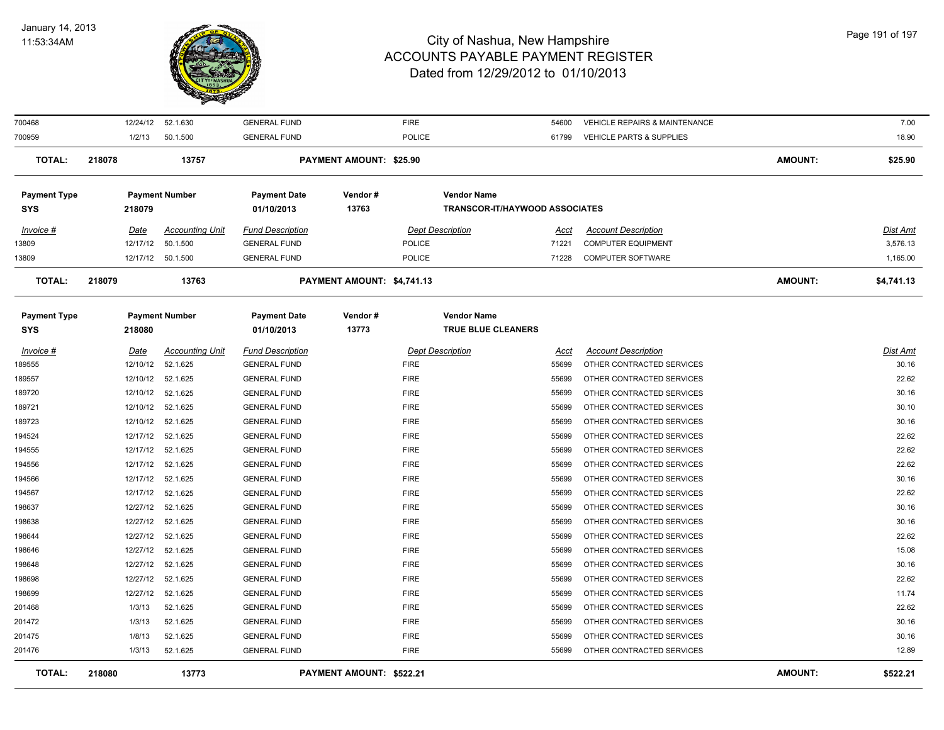

| 700468                     |             | 12/24/12 52.1.630      | <b>GENERAL FUND</b>               |                                | <b>FIRE</b>             |                                          | 54600       | VEHICLE REPAIRS & MAINTENANCE       |                | 7.00            |
|----------------------------|-------------|------------------------|-----------------------------------|--------------------------------|-------------------------|------------------------------------------|-------------|-------------------------------------|----------------|-----------------|
| 700959                     | 1/2/13      | 50.1.500               | <b>GENERAL FUND</b>               |                                | <b>POLICE</b>           |                                          | 61799       | <b>VEHICLE PARTS &amp; SUPPLIES</b> |                | 18.90           |
| <b>TOTAL:</b>              | 218078      | 13757                  |                                   | <b>PAYMENT AMOUNT: \$25.90</b> |                         |                                          |             |                                     | <b>AMOUNT:</b> | \$25.90         |
| <b>Payment Type</b>        |             | <b>Payment Number</b>  | <b>Payment Date</b>               | Vendor#                        |                         | <b>Vendor Name</b>                       |             |                                     |                |                 |
| <b>SYS</b>                 | 218079      |                        | 01/10/2013                        | 13763                          |                         | <b>TRANSCOR-IT/HAYWOOD ASSOCIATES</b>    |             |                                     |                |                 |
| Invoice #                  | <u>Date</u> | <b>Accounting Unit</b> | <b>Fund Description</b>           |                                | <b>Dept Description</b> |                                          | <u>Acct</u> | <b>Account Description</b>          |                | <b>Dist Amt</b> |
| 13809                      | 12/17/12    | 50.1.500               | <b>GENERAL FUND</b>               |                                | POLICE                  |                                          | 71221       | <b>COMPUTER EQUIPMENT</b>           |                | 3,576.13        |
| 13809                      |             | 12/17/12 50.1.500      | <b>GENERAL FUND</b>               |                                | POLICE                  |                                          | 71228       | <b>COMPUTER SOFTWARE</b>            |                | 1,165.00        |
| <b>TOTAL:</b>              | 218079      | 13763                  |                                   | PAYMENT AMOUNT: \$4,741.13     |                         |                                          |             |                                     | <b>AMOUNT:</b> | \$4,741.13      |
|                            |             |                        |                                   |                                |                         |                                          |             |                                     |                |                 |
| <b>Payment Type</b><br>SYS | 218080      | <b>Payment Number</b>  | <b>Payment Date</b><br>01/10/2013 | Vendor#<br>13773               |                         | <b>Vendor Name</b><br>TRUE BLUE CLEANERS |             |                                     |                |                 |
| Invoice #                  | <u>Date</u> | <b>Accounting Unit</b> | <b>Fund Description</b>           |                                | <b>Dept Description</b> |                                          | <b>Acct</b> | <b>Account Description</b>          |                | <b>Dist Amt</b> |
| 189555                     | 12/10/12    | 52.1.625               | <b>GENERAL FUND</b>               |                                | <b>FIRE</b>             |                                          | 55699       | OTHER CONTRACTED SERVICES           |                | 30.16           |
| 189557                     | 12/10/12    | 52.1.625               | <b>GENERAL FUND</b>               |                                | <b>FIRE</b>             |                                          | 55699       | OTHER CONTRACTED SERVICES           |                | 22.62           |
| 189720                     | 12/10/12    | 52.1.625               | <b>GENERAL FUND</b>               |                                | <b>FIRE</b>             |                                          | 55699       | OTHER CONTRACTED SERVICES           |                | 30.16           |
| 189721                     | 12/10/12    | 52.1.625               | <b>GENERAL FUND</b>               |                                | <b>FIRE</b>             |                                          | 55699       | OTHER CONTRACTED SERVICES           |                | 30.10           |
| 189723                     | 12/10/12    | 52.1.625               | <b>GENERAL FUND</b>               |                                | <b>FIRE</b>             |                                          | 55699       | OTHER CONTRACTED SERVICES           |                | 30.16           |
| 194524                     | 12/17/12    | 52.1.625               | <b>GENERAL FUND</b>               |                                | <b>FIRE</b>             |                                          | 55699       | OTHER CONTRACTED SERVICES           |                | 22.62           |
| 194555                     | 12/17/12    | 52.1.625               | <b>GENERAL FUND</b>               |                                | <b>FIRE</b>             |                                          | 55699       | OTHER CONTRACTED SERVICES           |                | 22.62           |
| 194556                     |             | 12/17/12 52.1.625      | <b>GENERAL FUND</b>               |                                | <b>FIRE</b>             |                                          | 55699       | OTHER CONTRACTED SERVICES           |                | 22.62           |
| 194566                     | 12/17/12    | 52.1.625               | <b>GENERAL FUND</b>               |                                | <b>FIRE</b>             |                                          | 55699       | OTHER CONTRACTED SERVICES           |                | 30.16           |
| 194567                     | 12/17/12    | 52.1.625               | <b>GENERAL FUND</b>               |                                | <b>FIRE</b>             |                                          | 55699       | OTHER CONTRACTED SERVICES           |                | 22.62           |
| 198637                     | 12/27/12    | 52.1.625               | <b>GENERAL FUND</b>               |                                | <b>FIRE</b>             |                                          | 55699       | OTHER CONTRACTED SERVICES           |                | 30.16           |
| 198638                     | 12/27/12    | 52.1.625               | <b>GENERAL FUND</b>               |                                | <b>FIRE</b>             |                                          | 55699       | OTHER CONTRACTED SERVICES           |                | 30.16           |
| 198644                     | 12/27/12    | 52.1.625               | <b>GENERAL FUND</b>               |                                | <b>FIRE</b>             |                                          | 55699       | OTHER CONTRACTED SERVICES           |                | 22.62           |
| 198646                     | 12/27/12    | 52.1.625               | <b>GENERAL FUND</b>               |                                | <b>FIRE</b>             |                                          | 55699       | OTHER CONTRACTED SERVICES           |                | 15.08           |
| 198648                     | 12/27/12    | 52.1.625               | <b>GENERAL FUND</b>               |                                | <b>FIRE</b>             |                                          | 55699       | OTHER CONTRACTED SERVICES           |                | 30.16           |
| 198698                     | 12/27/12    | 52.1.625               | <b>GENERAL FUND</b>               |                                | <b>FIRE</b>             |                                          | 55699       | OTHER CONTRACTED SERVICES           |                | 22.62           |
| 198699                     | 12/27/12    | 52.1.625               | <b>GENERAL FUND</b>               |                                | <b>FIRE</b>             |                                          | 55699       | OTHER CONTRACTED SERVICES           |                | 11.74           |
| 201468                     | 1/3/13      | 52.1.625               | <b>GENERAL FUND</b>               |                                | <b>FIRE</b>             |                                          | 55699       | OTHER CONTRACTED SERVICES           |                | 22.62           |
| 201472                     | 1/3/13      | 52.1.625               | <b>GENERAL FUND</b>               |                                | <b>FIRE</b>             |                                          | 55699       | OTHER CONTRACTED SERVICES           |                | 30.16           |
| 201475                     | 1/8/13      | 52.1.625               | <b>GENERAL FUND</b>               |                                | <b>FIRE</b>             |                                          | 55699       | OTHER CONTRACTED SERVICES           |                | 30.16           |
| 201476                     | 1/3/13      | 52.1.625               | <b>GENERAL FUND</b>               |                                | <b>FIRE</b>             |                                          | 55699       | OTHER CONTRACTED SERVICES           |                | 12.89           |
| <b>TOTAL:</b>              | 218080      | 13773                  |                                   | PAYMENT AMOUNT: \$522.21       |                         |                                          |             |                                     | <b>AMOUNT:</b> | \$522.21        |
|                            |             |                        |                                   |                                |                         |                                          |             |                                     |                |                 |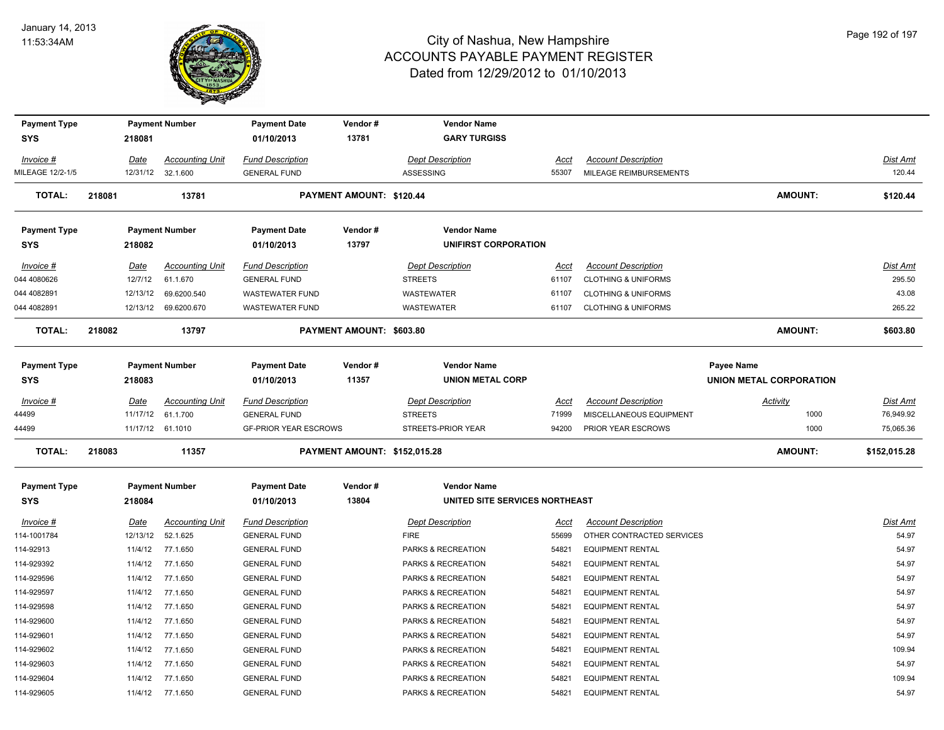

| <b>Payment Type</b>               |        |                 | <b>Payment Number</b>              | <b>Payment Date</b>                            | Vendor#                             | <b>Vendor Name</b>                            |               |                                                              |                                              |                    |
|-----------------------------------|--------|-----------------|------------------------------------|------------------------------------------------|-------------------------------------|-----------------------------------------------|---------------|--------------------------------------------------------------|----------------------------------------------|--------------------|
| <b>SYS</b>                        |        | 218081          |                                    | 01/10/2013                                     | 13781                               | <b>GARY TURGISS</b>                           |               |                                                              |                                              |                    |
| Invoice #                         |        | Date            | <b>Accounting Unit</b>             | <b>Fund Description</b>                        |                                     | <b>Dept Description</b>                       | Acct          | <b>Account Description</b>                                   |                                              | Dist Amt           |
| MILEAGE 12/2-1/5                  |        | 12/31/12        | 32.1.600                           | <b>GENERAL FUND</b>                            |                                     | ASSESSING                                     | 55307         | MILEAGE REIMBURSEMENTS                                       |                                              | 120.44             |
| <b>TOTAL:</b>                     | 218081 |                 | 13781                              |                                                | PAYMENT AMOUNT: \$120.44            |                                               |               |                                                              | <b>AMOUNT:</b>                               | \$120.44           |
| <b>Payment Type</b>               |        |                 | <b>Payment Number</b>              | <b>Payment Date</b>                            | Vendor#                             | <b>Vendor Name</b>                            |               |                                                              |                                              |                    |
| <b>SYS</b>                        |        | 218082          |                                    | 01/10/2013                                     | 13797                               | UNIFIRST CORPORATION                          |               |                                                              |                                              |                    |
| Invoice #<br>044 4080626          |        | Date<br>12/7/12 | <b>Accounting Unit</b><br>61.1.670 | <b>Fund Description</b><br><b>GENERAL FUND</b> |                                     | <b>Dept Description</b><br><b>STREETS</b>     | Acct<br>61107 | <b>Account Description</b><br><b>CLOTHING &amp; UNIFORMS</b> |                                              | Dist Amt<br>295.50 |
| 044 4082891                       |        | 12/13/12        | 69.6200.540                        | <b>WASTEWATER FUND</b>                         |                                     | WASTEWATER                                    | 61107         | <b>CLOTHING &amp; UNIFORMS</b>                               |                                              | 43.08              |
| 044 4082891                       |        |                 | 12/13/12 69.6200.670               | <b>WASTEWATER FUND</b>                         |                                     | WASTEWATER                                    | 61107         | <b>CLOTHING &amp; UNIFORMS</b>                               |                                              | 265.22             |
| <b>TOTAL:</b>                     | 218082 |                 | 13797                              |                                                | PAYMENT AMOUNT: \$603.80            |                                               |               |                                                              | <b>AMOUNT:</b>                               | \$603.80           |
|                                   |        |                 |                                    |                                                |                                     |                                               |               |                                                              |                                              |                    |
| <b>Payment Type</b><br><b>SYS</b> |        | 218083          | <b>Payment Number</b>              | <b>Payment Date</b><br>01/10/2013              | Vendor#<br>11357                    | <b>Vendor Name</b><br><b>UNION METAL CORP</b> |               |                                                              | Payee Name<br><b>UNION METAL CORPORATION</b> |                    |
| Invoice #                         |        | <b>Date</b>     | <b>Accounting Unit</b>             | <b>Fund Description</b>                        |                                     | <b>Dept Description</b>                       | Acct          | <b>Account Description</b>                                   | <b>Activity</b>                              | Dist Amt           |
| 44499                             |        | 11/17/12        | 61.1.700                           | <b>GENERAL FUND</b>                            |                                     | <b>STREETS</b>                                | 71999         | MISCELLANEOUS EQUIPMENT                                      | 1000                                         | 76,949.92          |
| 44499                             |        |                 | 11/17/12 61.1010                   | <b>GF-PRIOR YEAR ESCROWS</b>                   |                                     | STREETS-PRIOR YEAR                            | 94200         | PRIOR YEAR ESCROWS                                           | 1000                                         | 75,065.36          |
| <b>TOTAL:</b>                     | 218083 |                 | 11357                              |                                                | <b>PAYMENT AMOUNT: \$152,015.28</b> |                                               |               |                                                              | <b>AMOUNT:</b>                               | \$152,015.28       |
| <b>Payment Type</b>               |        |                 | <b>Payment Number</b>              | <b>Payment Date</b>                            | Vendor#                             | <b>Vendor Name</b>                            |               |                                                              |                                              |                    |
| <b>SYS</b>                        |        | 218084          |                                    | 01/10/2013                                     | 13804                               | UNITED SITE SERVICES NORTHEAST                |               |                                                              |                                              |                    |
| $Invoice$ #                       |        | Date            | <b>Accounting Unit</b>             | <b>Fund Description</b>                        |                                     | <b>Dept Description</b>                       | <u>Acct</u>   | <b>Account Description</b>                                   |                                              | Dist Amt           |
| 114-1001784                       |        | 12/13/12        | 52.1.625                           | <b>GENERAL FUND</b>                            |                                     | <b>FIRE</b>                                   | 55699         | OTHER CONTRACTED SERVICES                                    |                                              | 54.97              |
| 114-92913                         |        | 11/4/12         | 77.1.650                           | <b>GENERAL FUND</b>                            |                                     | PARKS & RECREATION                            | 54821         | <b>EQUIPMENT RENTAL</b>                                      |                                              | 54.97              |
| 114-929392                        |        | 11/4/12         | 77.1.650                           | <b>GENERAL FUND</b>                            |                                     | PARKS & RECREATION                            | 54821         | <b>EQUIPMENT RENTAL</b>                                      |                                              | 54.97              |
| 114-929596                        |        | 11/4/12         | 77.1.650                           | <b>GENERAL FUND</b>                            |                                     | PARKS & RECREATION                            | 54821         | <b>EQUIPMENT RENTAL</b>                                      |                                              | 54.97              |
| 114-929597                        |        | 11/4/12         | 77.1.650                           | <b>GENERAL FUND</b>                            |                                     | PARKS & RECREATION                            | 54821         | <b>EQUIPMENT RENTAL</b>                                      |                                              | 54.97              |
| 114-929598                        |        | 11/4/12         | 77.1.650                           | <b>GENERAL FUND</b>                            |                                     | PARKS & RECREATION                            | 54821         | <b>EQUIPMENT RENTAL</b>                                      |                                              | 54.97              |
| 114-929600                        |        | 11/4/12         | 77.1.650                           | <b>GENERAL FUND</b>                            |                                     | PARKS & RECREATION                            | 54821         | <b>EQUIPMENT RENTAL</b>                                      |                                              | 54.97              |
| 114-929601                        |        | 11/4/12         | 77.1.650                           | <b>GENERAL FUND</b>                            |                                     | PARKS & RECREATION                            | 54821         | <b>EQUIPMENT RENTAL</b>                                      |                                              | 54.97              |
| 114-929602                        |        | 11/4/12         | 77.1.650                           | <b>GENERAL FUND</b>                            |                                     | PARKS & RECREATION                            | 54821         | <b>EQUIPMENT RENTAL</b>                                      |                                              | 109.94             |
| 114-929603                        |        | 11/4/12         | 77.1.650                           | <b>GENERAL FUND</b>                            |                                     | PARKS & RECREATION                            | 54821         | <b>EQUIPMENT RENTAL</b>                                      |                                              | 54.97              |
| 114-929604                        |        | 11/4/12         | 77.1.650                           | <b>GENERAL FUND</b>                            |                                     | PARKS & RECREATION                            | 54821         | <b>EQUIPMENT RENTAL</b>                                      |                                              | 109.94             |
| 114-929605                        |        | 11/4/12         | 77.1.650                           | <b>GENERAL FUND</b>                            |                                     | PARKS & RECREATION                            | 54821         | <b>EQUIPMENT RENTAL</b>                                      |                                              | 54.97              |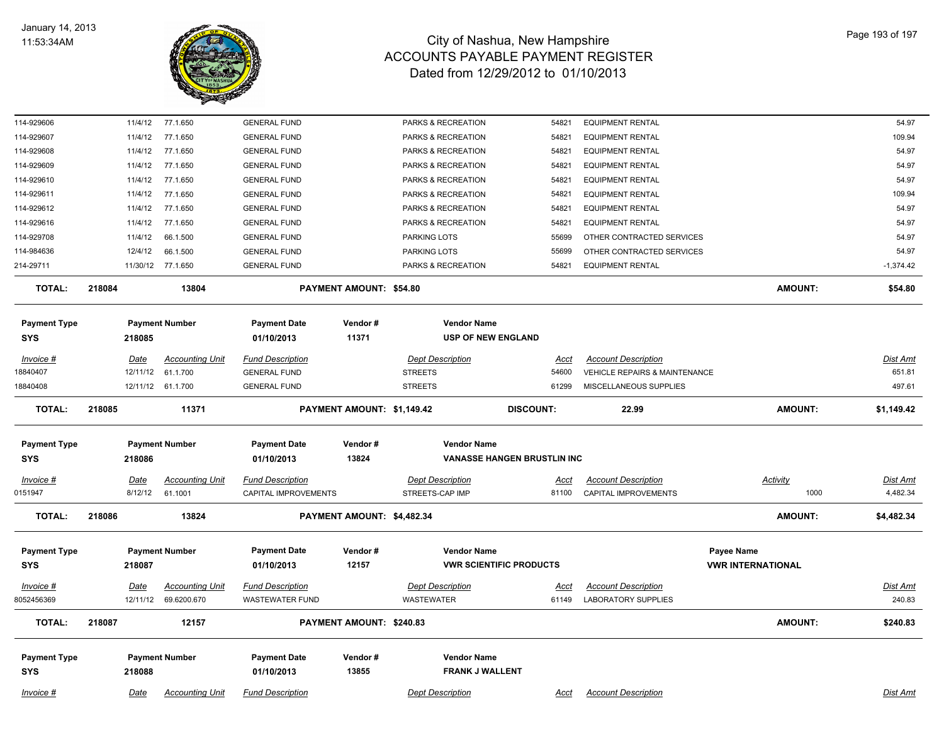

| 114-929606                        |        | 11/4/12     | 77.1.650               | <b>GENERAL FUND</b>               |                                | PARKS & RECREATION             | 54821                              | <b>EQUIPMENT RENTAL</b>       |                          | 54.97           |
|-----------------------------------|--------|-------------|------------------------|-----------------------------------|--------------------------------|--------------------------------|------------------------------------|-------------------------------|--------------------------|-----------------|
| 114-929607                        |        | 11/4/12     | 77.1.650               | <b>GENERAL FUND</b>               |                                | PARKS & RECREATION             | 54821                              | <b>EQUIPMENT RENTAL</b>       |                          | 109.94          |
| 114-929608                        |        | 11/4/12     | 77.1.650               | <b>GENERAL FUND</b>               |                                | PARKS & RECREATION             | 54821                              | <b>EQUIPMENT RENTAL</b>       |                          | 54.97           |
| 114-929609                        |        | 11/4/12     | 77.1.650               | <b>GENERAL FUND</b>               |                                | PARKS & RECREATION             | 54821                              | <b>EQUIPMENT RENTAL</b>       |                          | 54.97           |
| 114-929610                        |        | 11/4/12     | 77.1.650               | <b>GENERAL FUND</b>               |                                | PARKS & RECREATION             | 54821                              | <b>EQUIPMENT RENTAL</b>       |                          | 54.97           |
| 114-929611                        |        | 11/4/12     | 77.1.650               | <b>GENERAL FUND</b>               |                                | PARKS & RECREATION             | 54821                              | <b>EQUIPMENT RENTAL</b>       |                          | 109.94          |
| 114-929612                        |        | 11/4/12     | 77.1.650               | <b>GENERAL FUND</b>               |                                | PARKS & RECREATION             | 54821                              | <b>EQUIPMENT RENTAL</b>       |                          | 54.97           |
| 114-929616                        |        | 11/4/12     | 77.1.650               | <b>GENERAL FUND</b>               |                                | PARKS & RECREATION             | 54821                              | <b>EQUIPMENT RENTAL</b>       |                          | 54.97           |
| 114-929708                        |        | 11/4/12     | 66.1.500               | <b>GENERAL FUND</b>               |                                | <b>PARKING LOTS</b>            | 55699                              | OTHER CONTRACTED SERVICES     |                          | 54.97           |
| 114-984636                        |        | 12/4/12     | 66.1.500               | <b>GENERAL FUND</b>               |                                | PARKING LOTS                   | 55699                              | OTHER CONTRACTED SERVICES     |                          | 54.97           |
| 214-29711                         |        |             | 11/30/12 77.1.650      | <b>GENERAL FUND</b>               |                                | PARKS & RECREATION             | 54821                              | <b>EQUIPMENT RENTAL</b>       |                          | $-1,374.42$     |
| <b>TOTAL:</b>                     | 218084 |             | 13804                  |                                   | <b>PAYMENT AMOUNT: \$54.80</b> |                                |                                    |                               | <b>AMOUNT:</b>           | \$54.80         |
| <b>Payment Type</b>               |        |             | <b>Payment Number</b>  | <b>Payment Date</b>               | Vendor#                        | <b>Vendor Name</b>             |                                    |                               |                          |                 |
| <b>SYS</b>                        |        | 218085      |                        | 01/10/2013                        | 11371                          | <b>USP OF NEW ENGLAND</b>      |                                    |                               |                          |                 |
| Invoice #                         |        | <u>Date</u> | <b>Accounting Unit</b> | <b>Fund Description</b>           |                                | <b>Dept Description</b>        | <u>Acct</u>                        | <b>Account Description</b>    |                          | <b>Dist Amt</b> |
| 18840407                          |        | 12/11/12    | 61.1.700               | <b>GENERAL FUND</b>               |                                | <b>STREETS</b>                 | 54600                              | VEHICLE REPAIRS & MAINTENANCE |                          | 651.81          |
| 8840408                           |        |             | 12/11/12 61.1.700      | <b>GENERAL FUND</b>               |                                | <b>STREETS</b>                 | 61299                              | MISCELLANEOUS SUPPLIES        |                          | 497.61          |
| <b>TOTAL:</b>                     | 218085 |             | 11371                  |                                   | PAYMENT AMOUNT: \$1,149.42     |                                | <b>DISCOUNT:</b>                   | 22.99                         | <b>AMOUNT:</b>           | \$1,149.42      |
|                                   |        |             |                        |                                   | Vendor#                        | <b>Vendor Name</b>             |                                    |                               |                          |                 |
| <b>Payment Type</b><br><b>SYS</b> |        | 218086      | <b>Payment Number</b>  | <b>Payment Date</b><br>01/10/2013 | 13824                          |                                | <b>VANASSE HANGEN BRUSTLIN INC</b> |                               |                          |                 |
|                                   |        |             |                        |                                   |                                |                                |                                    |                               |                          |                 |
| Invoice #                         |        | <u>Date</u> | <b>Accounting Unit</b> | <b>Fund Description</b>           |                                | <b>Dept Description</b>        | <u>Acct</u>                        | <b>Account Description</b>    | <b>Activity</b>          | Dist Amt        |
| 0151947                           |        | 8/12/12     | 61.1001                | CAPITAL IMPROVEMENTS              |                                | STREETS-CAP IMP                | 81100                              | CAPITAL IMPROVEMENTS          | 1000                     | 4,482.34        |
| <b>TOTAL:</b>                     | 218086 |             | 13824                  |                                   | PAYMENT AMOUNT: \$4,482.34     |                                |                                    |                               | <b>AMOUNT:</b>           | \$4,482.34      |
| <b>Payment Type</b>               |        |             | <b>Payment Number</b>  | <b>Payment Date</b>               | Vendor#                        | <b>Vendor Name</b>             |                                    |                               | Payee Name               |                 |
| SYS                               |        | 218087      |                        | 01/10/2013                        | 12157                          | <b>VWR SCIENTIFIC PRODUCTS</b> |                                    |                               | <b>VWR INTERNATIONAL</b> |                 |
| <b>Invoice #</b>                  |        | <u>Date</u> | <b>Accounting Unit</b> | <b>Fund Description</b>           |                                | <b>Dept Description</b>        | <u>Acct</u>                        | <b>Account Description</b>    |                          | <b>Dist Amt</b> |
| 8052456369                        |        | 12/11/12    | 69.6200.670            | <b>WASTEWATER FUND</b>            |                                | <b>WASTEWATER</b>              | 61149                              | <b>LABORATORY SUPPLIES</b>    |                          | 240.83          |
| <b>TOTAL:</b>                     | 218087 |             | 12157                  |                                   | PAYMENT AMOUNT: \$240.83       |                                |                                    |                               | AMOUNT:                  | \$240.83        |
|                                   |        |             |                        |                                   |                                | <b>Vendor Name</b>             |                                    |                               |                          |                 |
| <b>Payment Type</b><br><b>SYS</b> |        | 218088      | <b>Payment Number</b>  | <b>Payment Date</b><br>01/10/2013 | Vendor#<br>13855               | <b>FRANK J WALLENT</b>         |                                    |                               |                          |                 |
|                                   |        |             |                        |                                   |                                |                                |                                    |                               |                          |                 |
| Invoice #                         |        | Date        | <b>Accounting Unit</b> | <b>Fund Description</b>           |                                | <b>Dept Description</b>        | Acct                               | <b>Account Description</b>    |                          | Dist Amt        |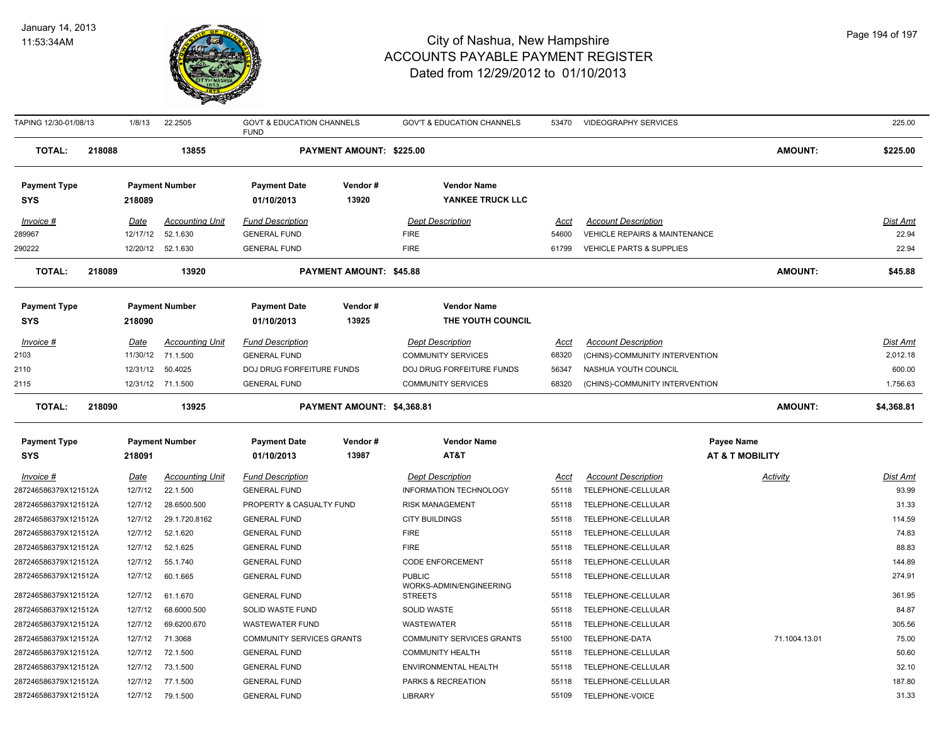

| TAPING 12/30-01/08/13 |        | 1/8/13      | 22.2505                | <b>GOVT &amp; EDUCATION CHANNELS</b><br><b>FUND</b> |                                | <b>GOV'T &amp; EDUCATION CHANNELS</b>    | 53470       | <b>VIDEOGRAPHY SERVICES</b>    |                            | 225.00          |
|-----------------------|--------|-------------|------------------------|-----------------------------------------------------|--------------------------------|------------------------------------------|-------------|--------------------------------|----------------------------|-----------------|
| TOTAL:                | 218088 |             | 13855                  |                                                     | PAYMENT AMOUNT: \$225.00       |                                          |             |                                | <b>AMOUNT:</b>             | \$225.00        |
| <b>Payment Type</b>   |        |             | <b>Payment Number</b>  | <b>Payment Date</b>                                 | Vendor#                        | <b>Vendor Name</b>                       |             |                                |                            |                 |
| <b>SYS</b>            |        | 218089      |                        | 01/10/2013                                          | 13920                          | YANKEE TRUCK LLC                         |             |                                |                            |                 |
| Invoice #             |        | Date        | <b>Accounting Unit</b> | <b>Fund Description</b>                             |                                | <b>Dept Description</b>                  | Acct        | <b>Account Description</b>     |                            | Dist Amt        |
| 289967                |        | 12/17/12    | 52.1.630               | <b>GENERAL FUND</b>                                 |                                | <b>FIRE</b>                              | 54600       | VEHICLE REPAIRS & MAINTENANCE  |                            | 22.94           |
| 290222                |        |             | 12/20/12 52.1.630      | <b>GENERAL FUND</b>                                 |                                | <b>FIRE</b>                              | 61799       | VEHICLE PARTS & SUPPLIES       |                            | 22.94           |
| <b>TOTAL:</b>         | 218089 |             | 13920                  |                                                     | <b>PAYMENT AMOUNT: \$45.88</b> |                                          |             |                                | <b>AMOUNT:</b>             | \$45.88         |
| <b>Payment Type</b>   |        |             | <b>Payment Number</b>  | <b>Payment Date</b>                                 | Vendor#                        | <b>Vendor Name</b>                       |             |                                |                            |                 |
| <b>SYS</b>            |        | 218090      |                        | 01/10/2013                                          | 13925                          | THE YOUTH COUNCIL                        |             |                                |                            |                 |
| Invoice #             |        | <b>Date</b> | <b>Accounting Unit</b> | <b>Fund Description</b>                             |                                | <b>Dept Description</b>                  | <u>Acct</u> | <b>Account Description</b>     |                            | <u>Dist Amt</u> |
| 2103                  |        | 11/30/12    | 71.1.500               | <b>GENERAL FUND</b>                                 |                                | <b>COMMUNITY SERVICES</b>                | 68320       | (CHINS)-COMMUNITY INTERVENTION |                            | 2,012.18        |
| 2110                  |        | 12/31/12    | 50.4025                | DOJ DRUG FORFEITURE FUNDS                           |                                | DOJ DRUG FORFEITURE FUNDS                | 56347       | NASHUA YOUTH COUNCIL           |                            | 600.00          |
| 2115                  |        |             | 12/31/12 71.1.500      | <b>GENERAL FUND</b>                                 |                                | <b>COMMUNITY SERVICES</b>                | 68320       | (CHINS)-COMMUNITY INTERVENTION |                            | 1,756.63        |
| <b>TOTAL:</b>         | 218090 |             | 13925                  |                                                     | PAYMENT AMOUNT: \$4,368.81     |                                          |             |                                | <b>AMOUNT:</b>             | \$4,368.81      |
| <b>Payment Type</b>   |        |             | <b>Payment Number</b>  | <b>Payment Date</b>                                 | Vendor#                        | <b>Vendor Name</b>                       |             | <b>Payee Name</b>              |                            |                 |
| <b>SYS</b>            |        | 218091      |                        | 01/10/2013                                          | 13987                          | AT&T                                     |             |                                | <b>AT &amp; T MOBILITY</b> |                 |
| Invoice #             |        | <u>Date</u> | <b>Accounting Unit</b> | <b>Fund Description</b>                             |                                | <b>Dept Description</b>                  | Acct        | <b>Account Description</b>     | Activity                   | Dist Amt        |
| 287246586379X121512A  |        | 12/7/12     | 22.1.500               | <b>GENERAL FUND</b>                                 |                                | INFORMATION TECHNOLOGY                   | 55118       | TELEPHONE-CELLULAR             |                            | 93.99           |
| 287246586379X121512A  |        | 12/7/12     | 28.6500.500            | PROPERTY & CASUALTY FUND                            |                                | <b>RISK MANAGEMENT</b>                   | 55118       | TELEPHONE-CELLULAR             |                            | 31.33           |
| 287246586379X121512A  |        | 12/7/12     | 29.1.720.8162          | <b>GENERAL FUND</b>                                 |                                | <b>CITY BUILDINGS</b>                    | 55118       | TELEPHONE-CELLULAR             |                            | 114.59          |
| 287246586379X121512A  |        | 12/7/12     | 52.1.620               | <b>GENERAL FUND</b>                                 |                                | <b>FIRE</b>                              | 55118       | TELEPHONE-CELLULAR             |                            | 74.83           |
| 287246586379X121512A  |        | 12/7/12     | 52.1.625               | <b>GENERAL FUND</b>                                 |                                | <b>FIRE</b>                              | 55118       | TELEPHONE-CELLULAR             |                            | 88.83           |
| 287246586379X121512A  |        | 12/7/12     | 55.1.740               | <b>GENERAL FUND</b>                                 |                                | <b>CODE ENFORCEMENT</b>                  | 55118       | TELEPHONE-CELLULAR             |                            | 144.89          |
| 287246586379X121512A  |        | 12/7/12     | 60.1.665               | <b>GENERAL FUND</b>                                 |                                | <b>PUBLIC</b><br>WORKS-ADMIN/ENGINEERING | 55118       | TELEPHONE-CELLULAR             |                            | 274.91          |
| 287246586379X121512A  |        | 12/7/12     | 61.1.670               | <b>GENERAL FUND</b>                                 |                                | <b>STREETS</b>                           | 55118       | TELEPHONE-CELLULAR             |                            | 361.95          |
| 287246586379X121512A  |        | 12/7/12     | 68.6000.500            | SOLID WASTE FUND                                    |                                | SOLID WASTE                              | 55118       | TELEPHONE-CELLULAR             |                            | 84.87           |
| 287246586379X121512A  |        | 12/7/12     | 69.6200.670            | <b>WASTEWATER FUND</b>                              |                                | WASTEWATER                               | 55118       | TELEPHONE-CELLULAR             |                            | 305.56          |
| 287246586379X121512A  |        | 12/7/12     | 71.3068                | COMMUNITY SERVICES GRANTS                           |                                | COMMUNITY SERVICES GRANTS                | 55100       | <b>TELEPHONE-DATA</b>          | 71.1004.13.01              | 75.00           |
| 287246586379X121512A  |        | 12/7/12     | 72.1.500               | <b>GENERAL FUND</b>                                 |                                | <b>COMMUNITY HEALTH</b>                  | 55118       | TELEPHONE-CELLULAR             |                            | 50.60           |
| 287246586379X121512A  |        | 12/7/12     | 73.1.500               | <b>GENERAL FUND</b>                                 |                                | ENVIRONMENTAL HEALTH                     | 55118       | TELEPHONE-CELLULAR             |                            | 32.10           |
| 287246586379X121512A  |        | 12/7/12     | 77.1.500               | <b>GENERAL FUND</b>                                 |                                | PARKS & RECREATION                       | 55118       | TELEPHONE-CELLULAR             |                            | 187.80          |
| 287246586379X121512A  |        | 12/7/12     | 79.1.500               | <b>GENERAL FUND</b>                                 |                                | <b>LIBRARY</b>                           | 55109       | TELEPHONE-VOICE                |                            | 31.33           |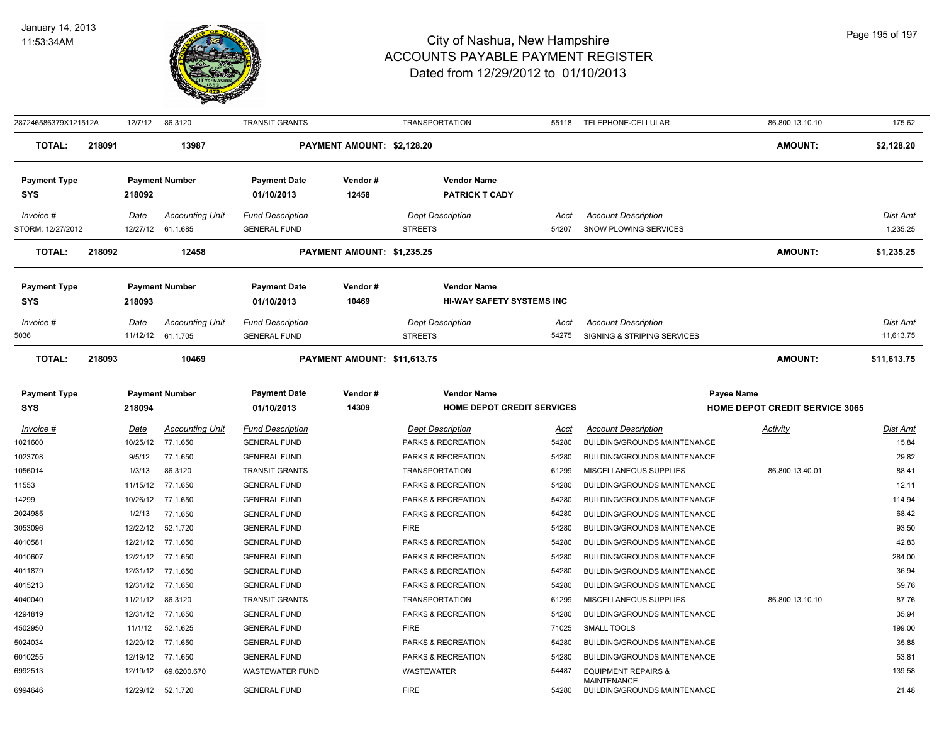

| 287246586379X121512A           |        | 12/7/12          | 86.3120                            | TRANSIT GRANTS                                 |                             | <b>TRANSPORTATION</b>                     | 55118         | TELEPHONE-CELLULAR                                         | 86.800.13.10.10                       | 175.62                      |
|--------------------------------|--------|------------------|------------------------------------|------------------------------------------------|-----------------------------|-------------------------------------------|---------------|------------------------------------------------------------|---------------------------------------|-----------------------------|
| <b>TOTAL:</b>                  | 218091 |                  | 13987                              |                                                | PAYMENT AMOUNT: \$2,128.20  |                                           |               |                                                            | <b>AMOUNT:</b>                        | \$2,128.20                  |
| <b>Payment Type</b>            |        |                  | <b>Payment Number</b>              | <b>Payment Date</b>                            | Vendor#                     | <b>Vendor Name</b>                        |               |                                                            |                                       |                             |
| <b>SYS</b>                     |        | 218092           |                                    | 01/10/2013                                     | 12458                       | <b>PATRICK T CADY</b>                     |               |                                                            |                                       |                             |
|                                |        |                  |                                    |                                                |                             |                                           |               |                                                            |                                       |                             |
| Invoice #<br>STORM: 12/27/2012 |        | Date<br>12/27/12 | <b>Accounting Unit</b><br>61.1.685 | <b>Fund Description</b><br><b>GENERAL FUND</b> |                             | <b>Dept Description</b><br><b>STREETS</b> | Acct<br>54207 | <b>Account Description</b><br><b>SNOW PLOWING SERVICES</b> |                                       | <b>Dist Amt</b><br>1,235.25 |
|                                |        |                  |                                    |                                                |                             |                                           |               |                                                            |                                       |                             |
| <b>TOTAL:</b>                  | 218092 |                  | 12458                              |                                                | PAYMENT AMOUNT: \$1,235.25  |                                           |               |                                                            | <b>AMOUNT:</b>                        | \$1,235.25                  |
| <b>Payment Type</b>            |        |                  | <b>Payment Number</b>              | <b>Payment Date</b>                            | Vendor#                     | <b>Vendor Name</b>                        |               |                                                            |                                       |                             |
| <b>SYS</b>                     |        | 218093           |                                    | 01/10/2013                                     | 10469                       | <b>HI-WAY SAFETY SYSTEMS INC</b>          |               |                                                            |                                       |                             |
| Invoice #                      |        | Date             | <b>Accounting Unit</b>             | <b>Fund Description</b>                        |                             | <b>Dept Description</b>                   | Acct          | <b>Account Description</b>                                 |                                       | <b>Dist Amt</b>             |
| 5036                           |        |                  | 11/12/12 61.1.705                  | <b>GENERAL FUND</b>                            |                             | <b>STREETS</b>                            | 54275         | SIGNING & STRIPING SERVICES                                |                                       | 11,613.75                   |
| <b>TOTAL:</b>                  | 218093 |                  | 10469                              |                                                | PAYMENT AMOUNT: \$11,613.75 |                                           |               |                                                            | <b>AMOUNT:</b>                        | \$11,613.75                 |
| <b>Payment Type</b>            |        |                  | <b>Payment Number</b>              | <b>Payment Date</b>                            | Vendor#                     | <b>Vendor Name</b>                        |               | <b>Payee Name</b>                                          |                                       |                             |
| <b>SYS</b>                     |        | 218094           |                                    | 01/10/2013                                     | 14309                       | <b>HOME DEPOT CREDIT SERVICES</b>         |               |                                                            | <b>HOME DEPOT CREDIT SERVICE 3065</b> |                             |
| $Invoice$ #                    |        | Date             | <b>Accounting Unit</b>             | <b>Fund Description</b>                        |                             | <b>Dept Description</b>                   | <u>Acct</u>   | <b>Account Description</b>                                 | <b>Activity</b>                       | <u>Dist Amt</u>             |
| 1021600                        |        | 10/25/12         | 77.1.650                           | <b>GENERAL FUND</b>                            |                             | PARKS & RECREATION                        | 54280         | BUILDING/GROUNDS MAINTENANCE                               |                                       | 15.84                       |
| 1023708                        |        | 9/5/12           | 77.1.650                           | <b>GENERAL FUND</b>                            |                             | PARKS & RECREATION                        | 54280         | BUILDING/GROUNDS MAINTENANCE                               |                                       | 29.82                       |
| 1056014                        |        | 1/3/13           | 86.3120                            | <b>TRANSIT GRANTS</b>                          |                             | <b>TRANSPORTATION</b>                     | 61299         | MISCELLANEOUS SUPPLIES                                     | 86.800.13.40.01                       | 88.41                       |
| 11553                          |        | 11/15/12         | 77.1.650                           | <b>GENERAL FUND</b>                            |                             | PARKS & RECREATION                        | 54280         | <b>BUILDING/GROUNDS MAINTENANCE</b>                        |                                       | 12.11                       |
| 14299                          |        | 10/26/12         | 77.1.650                           | <b>GENERAL FUND</b>                            |                             | PARKS & RECREATION                        | 54280         | BUILDING/GROUNDS MAINTENANCE                               |                                       | 114.94                      |
| 2024985                        |        | 1/2/13           | 77.1.650                           | <b>GENERAL FUND</b>                            |                             | PARKS & RECREATION                        | 54280         | <b>BUILDING/GROUNDS MAINTENANCE</b>                        |                                       | 68.42                       |
| 3053096                        |        | 12/22/12         | 52.1.720                           | <b>GENERAL FUND</b>                            |                             | <b>FIRE</b>                               | 54280         | BUILDING/GROUNDS MAINTENANCE                               |                                       | 93.50                       |
| 4010581                        |        | 12/21/12         | 77.1.650                           | <b>GENERAL FUND</b>                            |                             | PARKS & RECREATION                        | 54280         | BUILDING/GROUNDS MAINTENANCE                               |                                       | 42.83                       |
| 4010607                        |        | 12/21/12         | 77.1.650                           | <b>GENERAL FUND</b>                            |                             | PARKS & RECREATION                        | 54280         | BUILDING/GROUNDS MAINTENANCE                               |                                       | 284.00                      |
| 4011879                        |        | 12/31/12         | 77.1.650                           | <b>GENERAL FUND</b>                            |                             | PARKS & RECREATION                        | 54280         | BUILDING/GROUNDS MAINTENANCE                               |                                       | 36.94                       |
| 4015213                        |        | 12/31/12         | 77.1.650                           | <b>GENERAL FUND</b>                            |                             | PARKS & RECREATION                        | 54280         | <b>BUILDING/GROUNDS MAINTENANCE</b>                        |                                       | 59.76                       |
| 4040040                        |        | 11/21/12         | 86.3120                            | <b>TRANSIT GRANTS</b>                          |                             | <b>TRANSPORTATION</b>                     | 61299         | MISCELLANEOUS SUPPLIES                                     | 86.800.13.10.10                       | 87.76                       |
| 4294819                        |        |                  | 12/31/12 77.1.650                  | <b>GENERAL FUND</b>                            |                             | PARKS & RECREATION                        | 54280         | <b>BUILDING/GROUNDS MAINTENANCE</b>                        |                                       | 35.94                       |
| 4502950                        |        | 11/1/12          | 52.1.625                           | <b>GENERAL FUND</b>                            |                             | <b>FIRE</b>                               | 71025         | <b>SMALL TOOLS</b>                                         |                                       | 199.00                      |
| 5024034                        |        | 12/20/12         | 77.1.650                           | <b>GENERAL FUND</b>                            |                             | PARKS & RECREATION                        | 54280         | BUILDING/GROUNDS MAINTENANCE                               |                                       | 35.88                       |
| 6010255                        |        | 12/19/12         | 77.1.650                           | <b>GENERAL FUND</b>                            |                             | PARKS & RECREATION                        | 54280         | <b>BUILDING/GROUNDS MAINTENANCE</b>                        |                                       | 53.81                       |
| 6992513                        |        | 12/19/12         | 69.6200.670                        | <b>WASTEWATER FUND</b>                         |                             | WASTEWATER                                | 54487         | <b>EQUIPMENT REPAIRS &amp;</b><br><b>MAINTENANCE</b>       |                                       | 139.58                      |
| 6994646                        |        | 12/29/12         | 52.1.720                           | <b>GENERAL FUND</b>                            |                             | <b>FIRE</b>                               | 54280         | <b>BUILDING/GROUNDS MAINTENANCE</b>                        |                                       | 21.48                       |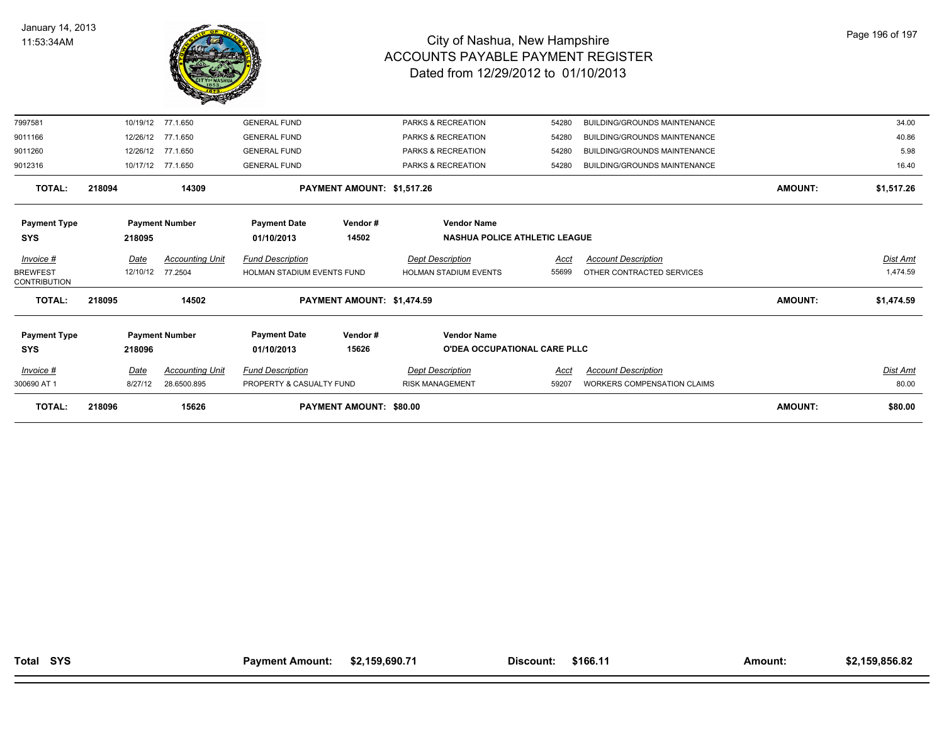

| <b>TOTAL:</b>                          | 218096 |             | 15626                  |                                   | <b>PAYMENT AMOUNT: \$80.00</b> |                               |                                      |                                     | <b>AMOUNT:</b> | \$80.00    |
|----------------------------------------|--------|-------------|------------------------|-----------------------------------|--------------------------------|-------------------------------|--------------------------------------|-------------------------------------|----------------|------------|
| 300690 AT 1                            |        | 8/27/12     | 28.6500.895            | PROPERTY & CASUALTY FUND          |                                | <b>RISK MANAGEMENT</b>        | 59207                                | <b>WORKERS COMPENSATION CLAIMS</b>  |                | 80.00      |
| Invoice #                              |        | <u>Date</u> | <b>Accounting Unit</b> | <b>Fund Description</b>           |                                | <b>Dept Description</b>       | <u>Acct</u>                          | <b>Account Description</b>          |                | Dist Amt   |
| <b>SYS</b>                             |        | 218096      |                        | 01/10/2013                        | 15626                          |                               | <b>O'DEA OCCUPATIONAL CARE PLLC</b>  |                                     |                |            |
| <b>Payment Type</b>                    |        |             | <b>Payment Number</b>  | <b>Payment Date</b>               | Vendor#                        | <b>Vendor Name</b>            |                                      |                                     |                |            |
| <b>TOTAL:</b>                          | 218095 |             | 14502                  |                                   | PAYMENT AMOUNT: \$1,474.59     |                               |                                      |                                     | <b>AMOUNT:</b> | \$1,474.59 |
| <b>BREWFEST</b><br><b>CONTRIBUTION</b> |        | 12/10/12    | 77.2504                | <b>HOLMAN STADIUM EVENTS FUND</b> |                                | <b>HOLMAN STADIUM EVENTS</b>  | 55699                                | OTHER CONTRACTED SERVICES           |                | 1,474.59   |
| Invoice #                              |        | Date        | <b>Accounting Unit</b> | <b>Fund Description</b>           |                                | <b>Dept Description</b>       | Acct                                 | <b>Account Description</b>          |                | Dist Amt   |
| <b>SYS</b>                             |        | 218095      |                        | 01/10/2013                        | 14502                          |                               | <b>NASHUA POLICE ATHLETIC LEAGUE</b> |                                     |                |            |
| <b>Payment Type</b>                    |        |             | <b>Payment Number</b>  | <b>Payment Date</b>               | Vendor#                        | <b>Vendor Name</b>            |                                      |                                     |                |            |
| <b>TOTAL:</b>                          | 218094 |             | 14309                  |                                   | PAYMENT AMOUNT: \$1,517.26     |                               |                                      |                                     | <b>AMOUNT:</b> | \$1,517.26 |
| 9012316                                |        | 10/17/12    | 77.1.650               | <b>GENERAL FUND</b>               |                                | PARKS & RECREATION            | 54280                                | <b>BUILDING/GROUNDS MAINTENANCE</b> |                | 16.40      |
| 9011260                                |        | 12/26/12    | 77.1.650               | <b>GENERAL FUND</b>               |                                | PARKS & RECREATION            | 54280                                | <b>BUILDING/GROUNDS MAINTENANCE</b> |                | 5.98       |
| 9011166                                |        | 12/26/12    | 77.1.650               | <b>GENERAL FUND</b>               |                                | PARKS & RECREATION            | 54280                                | <b>BUILDING/GROUNDS MAINTENANCE</b> |                | 40.86      |
| 7997581                                |        | 10/19/12    | 77.1.650               | <b>GENERAL FUND</b>               |                                | <b>PARKS &amp; RECREATION</b> | 54280                                | <b>BUILDING/GROUNDS MAINTENANCE</b> |                | 34.00      |